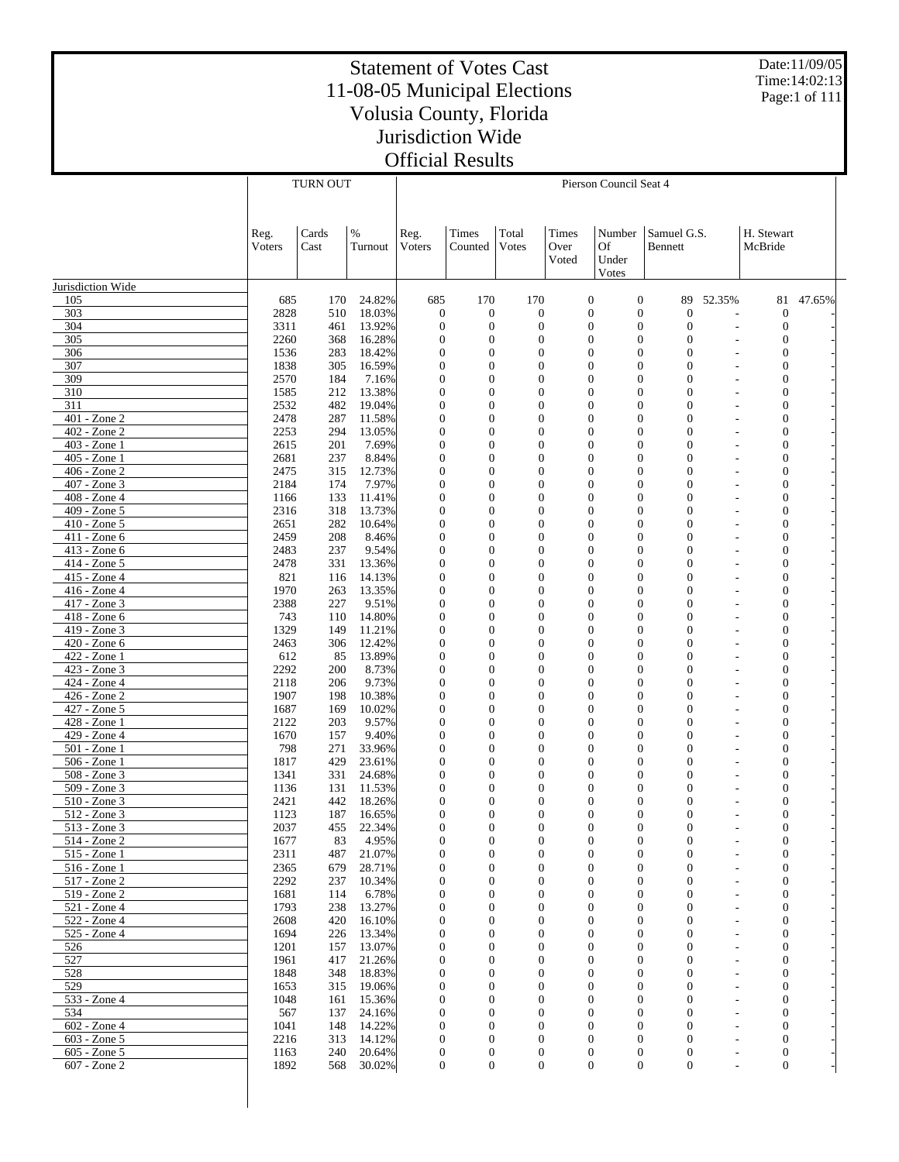Date:11/09/05 Time:14:02:13 Page:1 of 111

|                              |                | <b>TURN OUT</b> |                  |                   |                                      |                                      |                                  | Pierson Council Seat 4                |                                      |                |                                      |        |
|------------------------------|----------------|-----------------|------------------|-------------------|--------------------------------------|--------------------------------------|----------------------------------|---------------------------------------|--------------------------------------|----------------|--------------------------------------|--------|
|                              | Reg.<br>Voters | Cards<br>Cast   | $\%$<br>Turnout  | Reg.<br>Voters    | Times<br>Counted                     | Total<br>Votes                       | Times<br>Over<br>Voted           | Number<br>Of<br>Under<br>Votes        | Samuel G.S.<br>Bennett               |                | H. Stewart<br>McBride                |        |
| Jurisdiction Wide            |                |                 |                  |                   |                                      |                                      |                                  |                                       |                                      |                |                                      |        |
| 105                          | 685            | 170             | 24.82%           | 685               | 170                                  | 170                                  | $\boldsymbol{0}$                 | $\boldsymbol{0}$                      | 89                                   | 52.35%         | 81                                   | 47.65% |
| 303                          | 2828           | 510             | 18.03%           | $\theta$          | $\boldsymbol{0}$                     | $\boldsymbol{0}$                     | $\boldsymbol{0}$                 | $\boldsymbol{0}$                      | $\boldsymbol{0}$                     |                | $\boldsymbol{0}$                     |        |
| 304<br>305                   | 3311<br>2260   | 461<br>368      | 13.92%<br>16.28% | $\theta$<br>0     | $\boldsymbol{0}$<br>$\boldsymbol{0}$ | $\boldsymbol{0}$<br>$\boldsymbol{0}$ | $\mathbf{0}$<br>$\overline{0}$   | $\boldsymbol{0}$<br>$\boldsymbol{0}$  | $\boldsymbol{0}$<br>$\boldsymbol{0}$ |                | $\boldsymbol{0}$<br>$\boldsymbol{0}$ |        |
| 306                          | 1536           | 283             | 18.42%           | 0                 | $\mathbf{0}$                         | $\mathbf{0}$                         | $\overline{0}$                   | $\overline{0}$                        | $\mathbf{0}$                         |                | $\boldsymbol{0}$                     |        |
| 307                          | 1838           | 305             | 16.59%           | 0                 | $\mathbf{0}$                         | $\boldsymbol{0}$                     | $\overline{0}$                   | 0                                     | $\boldsymbol{0}$                     |                | $\boldsymbol{0}$                     |        |
| 309                          | 2570           | 184             | 7.16%            | 0                 | $\mathbf{0}$                         | $\boldsymbol{0}$                     | $\overline{0}$                   | $\overline{0}$                        | $\mathbf{0}$                         |                | $\boldsymbol{0}$                     |        |
| 310                          | 1585           | 212             | 13.38%           | 0                 | $\mathbf{0}$                         | $\boldsymbol{0}$                     | $\overline{0}$                   | $\overline{0}$                        | $\boldsymbol{0}$                     |                | $\boldsymbol{0}$                     |        |
| 311                          | 2532           | 482             | 19.04%           | 0                 | $\mathbf{0}$                         | $\boldsymbol{0}$                     | $\overline{0}$                   | $\overline{0}$                        | $\mathbf{0}$                         |                | $\mathbf{0}$                         |        |
| 401 - Zone 2                 | 2478           | 287             | 11.58%           | 0                 | $\mathbf{0}$                         | $\boldsymbol{0}$                     | $\overline{0}$                   | 0                                     | $\boldsymbol{0}$                     |                | $\boldsymbol{0}$                     |        |
| 402 - Zone 2                 | 2253           | 294             | 13.05%           | 0                 | $\mathbf{0}$                         | $\boldsymbol{0}$                     | $\overline{0}$                   | $\overline{0}$                        | $\mathbf{0}$                         |                | $\boldsymbol{0}$                     |        |
| 403 - Zone 1                 | 2615           | 201             | 7.69%            | 0                 | $\mathbf{0}$                         | $\boldsymbol{0}$                     | $\overline{0}$                   | $\overline{0}$                        | $\boldsymbol{0}$                     |                | $\boldsymbol{0}$                     |        |
| 405 - Zone 1                 | 2681           | 237             | 8.84%            | 0                 | $\mathbf{0}$                         | $\boldsymbol{0}$                     | $\overline{0}$                   | $\overline{0}$                        | $\mathbf{0}$                         |                | $\boldsymbol{0}$                     |        |
| $406 - Z$ one $2$            | 2475           | 315             | 12.73%           | 0                 | $\mathbf{0}$                         | $\boldsymbol{0}$                     | $\overline{0}$                   | $\overline{0}$                        | $\boldsymbol{0}$                     |                | $\boldsymbol{0}$                     |        |
| 407 - Zone 3                 | 2184           | 174<br>133      | 7.97%            | $\overline{0}$    | $\mathbf{0}$<br>$\mathbf{0}$         | $\boldsymbol{0}$<br>$\boldsymbol{0}$ | $\overline{0}$<br>$\overline{0}$ | $\overline{0}$<br>$\overline{0}$      | $\mathbf{0}$<br>$\boldsymbol{0}$     |                | $\boldsymbol{0}$<br>$\boldsymbol{0}$ |        |
| 408 - Zone 4<br>409 - Zone 5 | 1166<br>2316   | 318             | 11.41%<br>13.73% | 0<br>0            | $\mathbf{0}$                         | $\boldsymbol{0}$                     | $\overline{0}$                   | $\overline{0}$                        | $\mathbf{0}$                         |                | $\mathbf{0}$                         |        |
| $410 - Z$ one 5              | 2651           | 282             | 10.64%           | 0                 | $\mathbf{0}$                         | $\boldsymbol{0}$                     | $\overline{0}$                   | $\boldsymbol{0}$                      | $\boldsymbol{0}$                     |                | $\boldsymbol{0}$                     |        |
| 411 - Zone 6                 | 2459           | 208             | 8.46%            | $\overline{0}$    | $\overline{0}$                       | $\boldsymbol{0}$                     | $\overline{0}$                   | $\overline{0}$                        | $\mathbf{0}$                         |                | $\mathbf{0}$                         |        |
| 413 - Zone 6                 | 2483           | 237             | 9.54%            | 0                 | $\mathbf{0}$                         | $\boldsymbol{0}$                     | $\overline{0}$                   | $\overline{0}$                        | $\boldsymbol{0}$                     |                | $\boldsymbol{0}$                     |        |
| 414 - Zone 5                 | 2478           | 331             | 13.36%           | 0                 | $\mathbf{0}$                         | $\boldsymbol{0}$                     | $\overline{0}$                   | $\overline{0}$                        | $\mathbf{0}$                         |                | $\mathbf{0}$                         |        |
| 415 - Zone 4                 | 821            | 116             | 14.13%           | 0                 | $\mathbf{0}$                         | $\boldsymbol{0}$                     | $\overline{0}$                   | $\boldsymbol{0}$                      | $\boldsymbol{0}$                     |                | $\boldsymbol{0}$                     |        |
| 416 - Zone 4                 | 1970           | 263             | 13.35%           | 0                 | $\overline{0}$                       | $\boldsymbol{0}$                     | $\overline{0}$                   | 0                                     | $\mathbf{0}$                         |                | $\boldsymbol{0}$                     |        |
| 417 - Zone 3                 | 2388           | 227             | 9.51%            | 0                 | $\mathbf{0}$                         | $\boldsymbol{0}$                     | $\overline{0}$                   | $\overline{0}$                        | $\boldsymbol{0}$                     |                | $\boldsymbol{0}$                     |        |
| 418 - Zone 6                 | 743            | 110             | 14.80%           | 0                 | $\mathbf{0}$                         | $\boldsymbol{0}$                     | $\overline{0}$                   | $\overline{0}$                        | $\mathbf{0}$                         |                | $\boldsymbol{0}$                     |        |
| 419 - Zone 3                 | 1329           | 149             | 11.21%           | 0                 | $\mathbf{0}$                         | $\boldsymbol{0}$                     | $\overline{0}$                   | $\overline{0}$                        | $\boldsymbol{0}$                     |                | $\boldsymbol{0}$                     |        |
| 420 - Zone 6                 | 2463           | 306             | 12.42%           | 0                 | $\overline{0}$                       | $\boldsymbol{0}$                     | $\overline{0}$                   | $\overline{0}$                        | $\mathbf{0}$                         |                | $\boldsymbol{0}$                     |        |
| 422 - Zone 1                 | 612            | 85              | 13.89%           | 0                 | $\mathbf{0}$                         | $\boldsymbol{0}$                     | $\overline{0}$                   | $\overline{0}$<br>$\overline{0}$      | $\boldsymbol{0}$                     |                | $\boldsymbol{0}$                     |        |
| 423 - Zone 3<br>424 - Zone 4 | 2292<br>2118   | 200<br>206      | 8.73%<br>9.73%   | 0<br>0            | $\mathbf{0}$<br>$\mathbf{0}$         | $\boldsymbol{0}$<br>$\boldsymbol{0}$ | $\overline{0}$<br>$\overline{0}$ | $\boldsymbol{0}$                      | $\mathbf{0}$<br>$\boldsymbol{0}$     |                | $\mathbf{0}$<br>$\boldsymbol{0}$     |        |
| 426 - Zone 2                 | 1907           | 198             | 10.38%           | $\overline{0}$    | $\overline{0}$                       | $\boldsymbol{0}$                     | $\overline{0}$                   | $\overline{0}$                        | $\mathbf{0}$                         |                | $\mathbf{0}$                         |        |
| 427 - Zone 5                 | 1687           | 169             | 10.02%           | 0                 | $\mathbf{0}$                         | $\boldsymbol{0}$                     | $\overline{0}$                   | $\boldsymbol{0}$                      | $\boldsymbol{0}$                     |                | $\boldsymbol{0}$                     |        |
| 428 - Zone 1                 | 2122           | 203             | 9.57%            | 0                 | $\mathbf{0}$                         | $\boldsymbol{0}$                     | $\overline{0}$                   | $\overline{0}$                        | $\mathbf{0}$                         |                | $\mathbf{0}$                         |        |
| 429 - Zone 4                 | 1670           | 157             | 9.40%            | 0                 | $\mathbf{0}$                         | $\boldsymbol{0}$                     | $\overline{0}$                   | 0                                     | $\boldsymbol{0}$                     |                | $\boldsymbol{0}$                     |        |
| 501 - Zone 1                 | 798            | 271             | 33.96%           | 0                 | $\overline{0}$                       | $\boldsymbol{0}$                     | $\overline{0}$                   | 0                                     | $\mathbf{0}$                         |                | $\boldsymbol{0}$                     |        |
| 506 - Zone 1                 | 1817           | 429             | 23.61%           | 0                 | $\mathbf{0}$                         | $\boldsymbol{0}$                     | $\overline{0}$                   | $\overline{0}$                        | $\boldsymbol{0}$                     |                | $\boldsymbol{0}$                     |        |
| 508 - Zone 3                 | 1341           | 331             | 24.68%           | 0                 | $\mathbf{0}$                         | $\boldsymbol{0}$                     | $\overline{0}$                   | $\overline{0}$                        | $\overline{0}$                       |                | $\boldsymbol{0}$                     |        |
| 509 - Zone 3                 | 1136           | 131             | 11.53%           | $\Omega$          | $\mathbf{0}$                         | $\boldsymbol{0}$                     | $\overline{0}$                   | 0                                     | $\boldsymbol{0}$                     |                | $\boldsymbol{0}$                     |        |
| 510 - Zone 3                 | 2421           | 442             | 18.26%           | $\Omega$          | $\mathbf{0}$                         | $\mathbf{0}$                         | $\theta$                         | $\overline{0}$                        | $\overline{0}$                       |                | $\mathbf{0}$                         |        |
| 512 - Zone 3<br>513 - Zone 3 | 1123<br>2037   | 187<br>455      | 16.65%<br>22.34% | 0<br>$\mathbf{0}$ | $\boldsymbol{0}$<br>$\mathbf{0}$     | $\boldsymbol{0}$<br>$\boldsymbol{0}$ | $\theta$                         | 0<br>$\overline{0}$<br>$\overline{0}$ | $\boldsymbol{0}$<br>$\boldsymbol{0}$ |                | $\boldsymbol{0}$<br>$\boldsymbol{0}$ |        |
| 514 - Zone 2                 | 1677           | 83              | 4.95%            | $\bf{0}$          | $\bf{0}$                             | 0                                    | $\bf{0}$                         | $\bf{0}$                              | 0                                    |                |                                      |        |
| 515 - Zone 1                 | 2311           | 487             | 21.07%           | 0                 | $\boldsymbol{0}$                     | $\boldsymbol{0}$                     | $\boldsymbol{0}$                 | $\mathbf{0}$                          | $\boldsymbol{0}$                     |                | $\boldsymbol{0}$                     |        |
| 516 - Zone 1                 | 2365           | 679             | 28.71%           | 0                 | $\boldsymbol{0}$                     | $\mathbf{0}$                         | $\mathbf{0}$                     | $\mathbf{0}$                          | $\boldsymbol{0}$                     |                | $\boldsymbol{0}$                     |        |
| 517 - Zone 2                 | 2292           | 237             | 10.34%           | 0                 | $\boldsymbol{0}$                     | $\boldsymbol{0}$                     | $\overline{0}$                   | 0                                     | $\boldsymbol{0}$                     |                | $\boldsymbol{0}$                     |        |
| 519 - Zone 2                 | 1681           | 114             | 6.78%            | 0                 | $\boldsymbol{0}$                     | $\boldsymbol{0}$                     | $\theta$                         | 0                                     | $\boldsymbol{0}$                     |                | $\boldsymbol{0}$                     |        |
| 521 - Zone 4                 | 1793           | 238             | 13.27%           | 0                 | $\boldsymbol{0}$                     | $\boldsymbol{0}$                     | $\theta$                         | 0                                     | $\boldsymbol{0}$                     |                | $\boldsymbol{0}$                     |        |
| 522 - Zone 4                 | 2608           | 420             | 16.10%           | 0                 | $\boldsymbol{0}$                     | $\boldsymbol{0}$                     | $\theta$                         | 0                                     | $\boldsymbol{0}$                     |                | $\boldsymbol{0}$                     |        |
| 525 - Zone 4                 | 1694           | 226             | 13.34%           | 0                 | $\boldsymbol{0}$                     | $\boldsymbol{0}$                     | $\overline{0}$                   | 0                                     | $\boldsymbol{0}$                     |                | $\boldsymbol{0}$                     |        |
| 526                          | 1201           | 157             | 13.07%           | 0                 | $\mathbf{0}$                         | $\boldsymbol{0}$                     | $\overline{0}$                   | 0                                     | $\boldsymbol{0}$                     |                | $\boldsymbol{0}$                     |        |
| 527                          | 1961           | 417             | 21.26%           | 0                 | $\mathbf{0}$                         | $\boldsymbol{0}$                     | $\overline{0}$                   | $\overline{0}$                        | $\boldsymbol{0}$                     |                | $\boldsymbol{0}$                     |        |
| 528                          | 1848           | 348             | 18.83%           | 0                 | $\boldsymbol{0}$                     | $\boldsymbol{0}$                     | $\overline{0}$                   | 0                                     | $\boldsymbol{0}$                     |                | $\boldsymbol{0}$                     |        |
| 529                          | 1653           | 315             | 19.06%           | 0                 | $\mathbf{0}$                         | $\boldsymbol{0}$                     | $\overline{0}$                   | 0                                     | $\boldsymbol{0}$                     |                | $\boldsymbol{0}$                     |        |
| 533 - Zone 4<br>534          | 1048<br>567    | 161<br>137      | 15.36%<br>24.16% | 0<br>0            | $\mathbf{0}$<br>$\mathbf{0}$         | $\boldsymbol{0}$<br>$\boldsymbol{0}$ | $\overline{0}$<br>$\overline{0}$ | 0<br>0                                | $\boldsymbol{0}$<br>$\boldsymbol{0}$ |                | $\boldsymbol{0}$<br>$\boldsymbol{0}$ |        |
| 602 - Zone 4                 | 1041           | 148             | 14.22%           | 0                 | $\boldsymbol{0}$                     | $\boldsymbol{0}$                     | $\overline{0}$                   | 0                                     | $\boldsymbol{0}$                     |                | $\boldsymbol{0}$                     |        |
| $603 - Z$ one 5              | 2216           | 313             | 14.12%           | 0                 | $\boldsymbol{0}$                     | $\boldsymbol{0}$                     | $\theta$                         | 0                                     | $\boldsymbol{0}$                     |                | $\boldsymbol{0}$                     |        |
| $605 - Z$ one $5$            | 1163           | 240             | 20.64%           | 0                 | $\boldsymbol{0}$                     | $\boldsymbol{0}$                     | $\boldsymbol{0}$                 | $\boldsymbol{0}$                      | $\boldsymbol{0}$                     |                | $\boldsymbol{0}$                     |        |
| 607 - Zone 2                 | 1892           | 568             | 30.02%           | $\boldsymbol{0}$  | $\boldsymbol{0}$                     | $\boldsymbol{0}$                     |                                  | $\boldsymbol{0}$<br>$\boldsymbol{0}$  | $\boldsymbol{0}$                     | $\overline{a}$ | $\boldsymbol{0}$                     |        |
|                              |                |                 |                  |                   |                                      |                                      |                                  |                                       |                                      |                |                                      |        |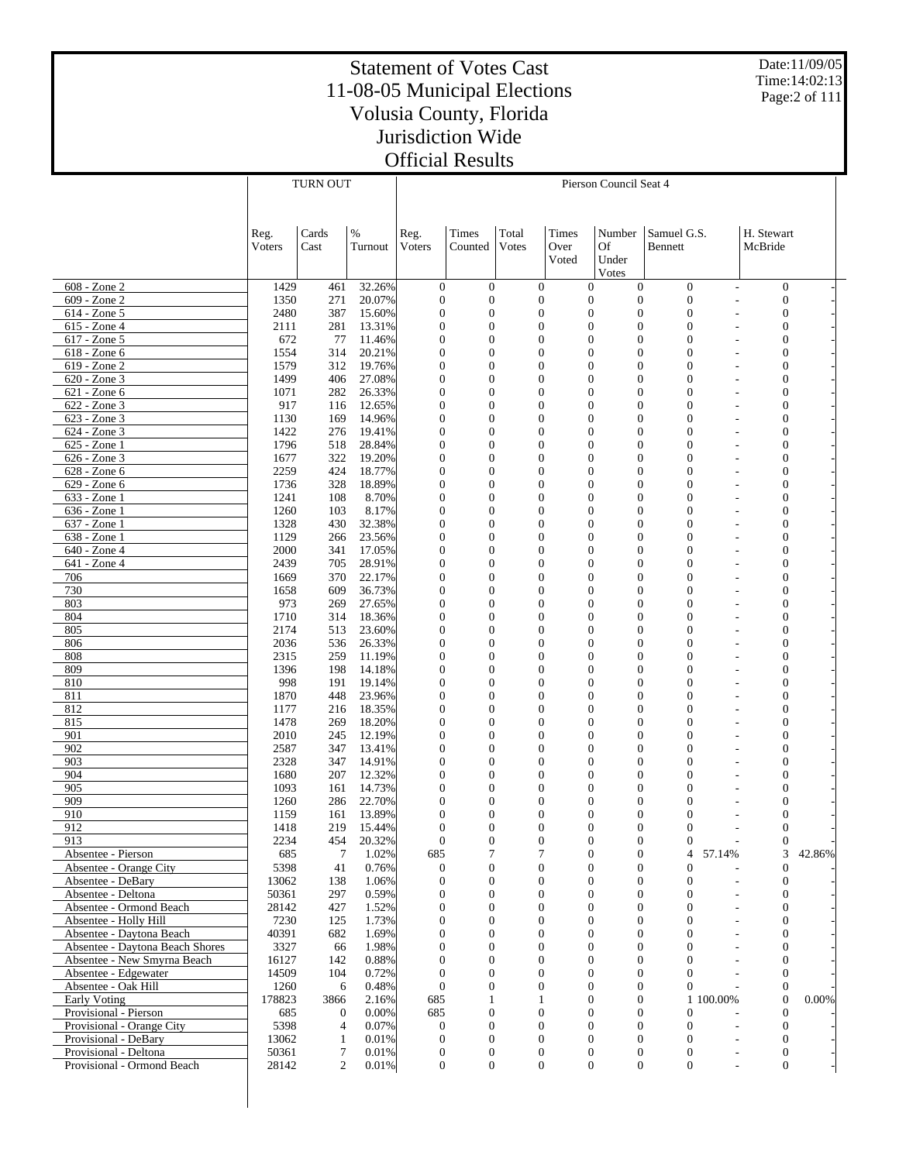Date:11/09/05 Time:14:02:13 Page:2 of 111

|                                                  |                | <b>TURN OUT</b> |                  |                                  |                                      |                       |                                    | Pierson Council Seat 4           |                                      |                                                              |                                      |        |
|--------------------------------------------------|----------------|-----------------|------------------|----------------------------------|--------------------------------------|-----------------------|------------------------------------|----------------------------------|--------------------------------------|--------------------------------------------------------------|--------------------------------------|--------|
|                                                  |                |                 |                  |                                  |                                      |                       |                                    |                                  |                                      |                                                              |                                      |        |
|                                                  |                |                 |                  |                                  |                                      |                       |                                    |                                  |                                      |                                                              | H. Stewart                           |        |
|                                                  | Reg.<br>Voters | Cards<br>Cast   | $\%$<br>Turnout  | Reg.<br>Voters                   | Times<br>Counted                     | Total<br><b>Votes</b> | Times<br>Over                      | Number<br>Of                     | Samuel G.S.<br>Bennett               |                                                              | McBride                              |        |
|                                                  |                |                 |                  |                                  |                                      |                       | Voted                              | Under                            |                                      |                                                              |                                      |        |
|                                                  |                |                 |                  |                                  |                                      |                       |                                    | Votes                            |                                      |                                                              |                                      |        |
| 608 - Zone 2<br>609 - Zone 2                     | 1429<br>1350   | 461<br>271      | 32.26%<br>20.07% | $\boldsymbol{0}$<br>$\mathbf{0}$ | $\boldsymbol{0}$<br>$\boldsymbol{0}$ |                       | $\boldsymbol{0}$<br>$\mathbf{0}$   | $\mathbf{0}$<br>$\boldsymbol{0}$ | $\mathbf{0}$<br>$\boldsymbol{0}$     | $\boldsymbol{0}$<br>$\overline{\phantom{a}}$<br>$\mathbf{0}$ | $\boldsymbol{0}$<br>$\boldsymbol{0}$ |        |
| 614 - Zone 5                                     | 2480           | 387             | 15.60%           | $\mathbf{0}$                     | $\boldsymbol{0}$                     |                       | $\mathbf{0}$                       | $\boldsymbol{0}$                 | $\boldsymbol{0}$                     | $\mathbf{0}$                                                 | $\boldsymbol{0}$                     |        |
| 615 - Zone 4                                     | 2111           | 281             | 13.31%           | $\mathbf{0}$                     | $\mathbf{0}$                         |                       | $\mathbf{0}$                       | $\mathbf{0}$                     | $\boldsymbol{0}$                     | $\overline{0}$                                               | $\boldsymbol{0}$                     |        |
| 617 - Zone 5                                     | 672            | 77              | 11.46%           | $\theta$                         | $\mathbf{0}$                         |                       | $\mathbf{0}$                       | $\overline{0}$                   | $\boldsymbol{0}$                     | $\overline{0}$                                               | $\boldsymbol{0}$                     |        |
| 618 - Zone 6                                     | 1554           | 314             | 20.21%           | $\overline{0}$                   | $\mathbf{0}$                         |                       | $\overline{0}$                     | $\overline{0}$                   | $\boldsymbol{0}$                     | $\overline{0}$                                               | $\boldsymbol{0}$                     |        |
| 619 - Zone 2<br>620 - Zone 3                     | 1579<br>1499   | 312<br>406      | 19.76%<br>27.08% | $\theta$<br>$\overline{0}$       | $\mathbf{0}$<br>$\mathbf{0}$         |                       | $\overline{0}$<br>$\mathbf{0}$     | $\overline{0}$<br>$\overline{0}$ | $\boldsymbol{0}$<br>$\boldsymbol{0}$ | $\mathbf{0}$<br>$\overline{0}$                               | $\boldsymbol{0}$<br>$\boldsymbol{0}$ |        |
| 621 - Zone 6                                     | 1071           | 282             | 26.33%           | $\theta$                         | $\mathbf{0}$                         |                       | $\mathbf{0}$                       | $\overline{0}$                   | $\boldsymbol{0}$                     | $\overline{0}$                                               | $\boldsymbol{0}$                     |        |
| 622 - Zone 3                                     | 917            | 116             | 12.65%           | $\overline{0}$                   | $\mathbf{0}$                         |                       | $\mathbf{0}$                       | $\overline{0}$                   | $\boldsymbol{0}$                     | $\overline{0}$                                               | $\boldsymbol{0}$                     |        |
| 623 - Zone 3                                     | 1130           | 169             | 14.96%           | $\theta$                         | $\mathbf{0}$                         |                       | $\mathbf{0}$                       | $\overline{0}$                   | $\boldsymbol{0}$                     | $\mathbf{0}$                                                 | $\boldsymbol{0}$                     |        |
| 624 - Zone 3                                     | 1422           | 276             | 19.41%           | $\overline{0}$<br>$\theta$       | $\mathbf{0}$<br>$\mathbf{0}$         |                       | $\mathbf{0}$<br>$\mathbf{0}$       | $\overline{0}$<br>$\overline{0}$ | $\boldsymbol{0}$                     | $\overline{0}$<br>$\overline{0}$                             | $\boldsymbol{0}$<br>$\boldsymbol{0}$ |        |
| 625 - Zone 1<br>626 - Zone 3                     | 1796<br>1677   | 518<br>322      | 28.84%<br>19.20% | $\overline{0}$                   | $\mathbf{0}$                         |                       | $\mathbf{0}$                       | $\overline{0}$                   | $\boldsymbol{0}$<br>$\boldsymbol{0}$ | $\overline{0}$                                               | $\boldsymbol{0}$                     |        |
| 628 - Zone 6                                     | 2259           | 424             | 18.77%           | $\theta$                         | $\mathbf{0}$                         |                       | $\mathbf{0}$                       | $\overline{0}$                   | $\boldsymbol{0}$                     | $\mathbf{0}$                                                 | $\boldsymbol{0}$                     |        |
| 629 - Zone 6                                     | 1736           | 328             | 18.89%           | $\overline{0}$                   | $\mathbf{0}$                         |                       | $\mathbf{0}$                       | $\overline{0}$                   | $\boldsymbol{0}$                     | $\overline{0}$                                               | $\boldsymbol{0}$                     |        |
| 633 - Zone 1                                     | 1241           | 108             | 8.70%            | $\theta$                         | $\mathbf{0}$                         |                       | $\mathbf{0}$                       | $\overline{0}$                   | $\boldsymbol{0}$                     | $\overline{0}$                                               | $\boldsymbol{0}$                     |        |
| 636 - Zone 1<br>637 - Zone 1                     | 1260           | 103<br>430      | 8.17%            | $\overline{0}$<br>$\theta$       | $\mathbf{0}$<br>$\mathbf{0}$         |                       | $\mathbf{0}$<br>$\mathbf{0}$       | $\overline{0}$<br>$\overline{0}$ | $\boldsymbol{0}$                     | $\overline{0}$<br>$\overline{0}$                             | $\boldsymbol{0}$<br>$\boldsymbol{0}$ |        |
| 638 - Zone 1                                     | 1328<br>1129   | 266             | 32.38%<br>23.56% | $\overline{0}$                   | $\mathbf{0}$                         |                       | $\mathbf{0}$                       | $\overline{0}$                   | $\boldsymbol{0}$<br>$\boldsymbol{0}$ | $\overline{0}$                                               | $\boldsymbol{0}$                     |        |
| 640 - Zone 4                                     | 2000           | 341             | 17.05%           | $\theta$                         | $\mathbf{0}$                         |                       | $\overline{0}$                     | $\overline{0}$                   | $\boldsymbol{0}$                     | $\overline{0}$                                               | $\boldsymbol{0}$                     |        |
| 641 - Zone 4                                     | 2439           | 705             | 28.91%           | $\overline{0}$                   | $\mathbf{0}$                         |                       | $\mathbf{0}$                       | $\overline{0}$                   | $\boldsymbol{0}$                     | $\overline{0}$                                               | $\boldsymbol{0}$                     |        |
| 706                                              | 1669           | 370             | 22.17%           | $\theta$                         | $\mathbf{0}$                         |                       | $\mathbf{0}$                       | $\overline{0}$                   | $\boldsymbol{0}$                     | $\overline{0}$                                               | $\boldsymbol{0}$                     |        |
| 730<br>803                                       | 1658<br>973    | 609             | 36.73%           | $\overline{0}$<br>$\theta$       | $\mathbf{0}$<br>$\mathbf{0}$         |                       | $\mathbf{0}$<br>$\overline{0}$     | $\overline{0}$<br>$\overline{0}$ | $\boldsymbol{0}$                     | $\overline{0}$<br>$\overline{0}$                             | $\boldsymbol{0}$<br>$\boldsymbol{0}$ |        |
| 804                                              | 1710           | 269<br>314      | 27.65%<br>18.36% | $\overline{0}$                   | $\mathbf{0}$                         |                       | $\overline{0}$                     | $\overline{0}$                   | $\boldsymbol{0}$<br>$\boldsymbol{0}$ | $\overline{0}$                                               | $\boldsymbol{0}$                     |        |
| 805                                              | 2174           | 513             | 23.60%           | $\theta$                         | $\mathbf{0}$                         |                       | $\overline{0}$                     | $\overline{0}$                   | $\boldsymbol{0}$                     | $\overline{0}$                                               | $\boldsymbol{0}$                     |        |
| 806                                              | 2036           | 536             | 26.33%           | $\overline{0}$                   | $\mathbf{0}$                         |                       | $\mathbf{0}$                       | $\overline{0}$                   | $\boldsymbol{0}$                     | $\overline{0}$                                               | $\boldsymbol{0}$                     |        |
| 808                                              | 2315           | 259             | 11.19%           | $\theta$                         | $\mathbf{0}$                         |                       | $\overline{0}$                     | $\theta$                         | $\boldsymbol{0}$                     | $\overline{0}$                                               | $\boldsymbol{0}$                     |        |
| 809<br>810                                       | 1396<br>998    | 198             | 14.18%           | $\overline{0}$<br>$\theta$       | $\mathbf{0}$<br>$\mathbf{0}$         |                       | $\overline{0}$<br>$\overline{0}$   | $\theta$<br>$\theta$             | $\boldsymbol{0}$                     | $\overline{0}$<br>$\overline{0}$                             | $\boldsymbol{0}$<br>$\boldsymbol{0}$ |        |
| 811                                              | 1870           | 191<br>448      | 19.14%<br>23.96% | $\overline{0}$                   | $\mathbf{0}$                         |                       | $\mathbf{0}$                       | $\overline{0}$                   | $\boldsymbol{0}$<br>$\boldsymbol{0}$ | $\overline{0}$                                               | $\boldsymbol{0}$                     |        |
| 812                                              | 1177           | 216             | 18.35%           | $\theta$                         | $\mathbf{0}$                         |                       | $\overline{0}$                     | $\theta$                         | $\boldsymbol{0}$                     | $\overline{0}$                                               | $\boldsymbol{0}$                     |        |
| 815                                              | 1478           | 269             | 18.20%           | $\overline{0}$                   | $\mathbf{0}$                         |                       | $\overline{0}$                     | $\theta$                         | $\boldsymbol{0}$                     | $\overline{0}$                                               | $\boldsymbol{0}$                     |        |
| 901                                              | 2010           | 245             | 12.19%           | $\theta$                         | $\mathbf{0}$                         |                       | $\overline{0}$                     | $\overline{0}$                   | $\boldsymbol{0}$                     | $\overline{0}$                                               | $\boldsymbol{0}$                     |        |
| 902<br>903                                       | 2587<br>2328   | 347<br>347      | 13.41%<br>14.91% | $\overline{0}$<br>$\theta$       | $\mathbf{0}$<br>$\mathbf{0}$         |                       | $\mathbf{0}$<br>$\overline{0}$     | $\overline{0}$<br>$\overline{0}$ | $\boldsymbol{0}$<br>$\boldsymbol{0}$ | $\overline{0}$<br>$\overline{0}$                             | $\boldsymbol{0}$<br>$\boldsymbol{0}$ |        |
| 904                                              | 1680           | 207             | 12.32%           | $\overline{0}$                   | $\mathbf{0}$                         |                       | $\overline{0}$                     | $\overline{0}$                   | $\boldsymbol{0}$                     | $\overline{0}$                                               | $\boldsymbol{0}$                     |        |
| 905                                              | 1093           | 161             | 14.73%           | $\theta$                         | $\mathbf{0}$                         |                       | $\overline{0}$                     | $\overline{0}$                   | $\boldsymbol{0}$                     | $\overline{0}$                                               | $\boldsymbol{0}$                     |        |
| 909                                              | 1260           | 286             | 22.70%           | $\overline{0}$                   | $\mathbf{0}$                         |                       | $\mathbf{0}$                       | $\overline{0}$                   | $\boldsymbol{0}$                     | $\overline{0}$                                               | $\boldsymbol{0}$                     |        |
| 910                                              | 1159           | 161             | 13.89%           | $\theta$                         | $\boldsymbol{0}$                     |                       | $\boldsymbol{0}$                   | $\overline{0}$                   | $\boldsymbol{0}$                     | $\boldsymbol{0}$                                             | $\boldsymbol{0}$                     |        |
| 912<br>913                                       | 1418<br>2234   | 219<br>454      | 15.44%<br>20.32% | $\boldsymbol{0}$<br>$\theta$     | $\mathbf{0}$<br>0                    |                       | $\overline{0}$<br>$\boldsymbol{0}$ | $\boldsymbol{0}$<br>$\theta$     | $\boldsymbol{0}$<br>0                | $\mathbf{0}$<br>0                                            | $\boldsymbol{0}$<br>0                |        |
| Absentee - Pierson                               | 685            | $\tau$          | 1.02%            | 685                              | 7                                    |                       | 7                                  | $\boldsymbol{0}$                 | $\mathbf{0}$                         | 57.14%<br>4                                                  | 3                                    | 42.86% |
| Absentee - Orange City                           | 5398           | 41              | 0.76%            | $\Omega$                         | $\boldsymbol{0}$                     |                       | $\boldsymbol{0}$                   | $\theta$                         | $\mathbf{0}$                         | $\mathbf{0}$                                                 | $\theta$                             |        |
| Absentee - DeBary                                | 13062          | 138             | 1.06%            | $\theta$                         | $\boldsymbol{0}$                     |                       | $\mathbf{0}$                       | $\mathbf{0}$                     | $\mathbf{0}$                         | $\mathbf{0}$                                                 | $\boldsymbol{0}$                     |        |
| Absentee - Deltona                               | 50361          | 297             | 0.59%            | $\Omega$                         | $\mathbf{0}$                         |                       | $\overline{0}$                     | $\theta$                         | $\mathbf{0}$                         | $\boldsymbol{0}$                                             | $\boldsymbol{0}$                     |        |
| Absentee - Ormond Beach<br>Absentee - Holly Hill | 28142<br>7230  | 427<br>125      | 1.52%<br>1.73%   | $\overline{0}$<br>$\Omega$       | $\mathbf{0}$<br>$\mathbf{0}$         |                       | $\overline{0}$<br>$\overline{0}$   | $\mathbf{0}$<br>$\theta$         | $\boldsymbol{0}$<br>$\boldsymbol{0}$ | $\overline{0}$<br>$\overline{0}$                             | $\boldsymbol{0}$<br>$\boldsymbol{0}$ |        |
| Absentee - Daytona Beach                         | 40391          | 682             | 1.69%            | $\theta$                         | $\mathbf{0}$                         |                       | $\mathbf{0}$                       | $\mathbf{0}$                     | $\boldsymbol{0}$                     | $\overline{0}$                                               | $\boldsymbol{0}$                     |        |
| Absentee - Daytona Beach Shores                  | 3327           | 66              | 1.98%            | $\Omega$                         | $\mathbf{0}$                         |                       | $\overline{0}$                     | $\theta$                         | $\boldsymbol{0}$                     | $\overline{0}$                                               | $\boldsymbol{0}$                     |        |
| Absentee - New Smyrna Beach                      | 16127          | 142             | 0.88%            | $\overline{0}$                   | $\mathbf{0}$                         |                       | $\overline{0}$                     | $\mathbf{0}$                     | $\boldsymbol{0}$                     | $\overline{0}$                                               | $\boldsymbol{0}$                     |        |
| Absentee - Edgewater                             | 14509          | 104             | 0.72%            | $\Omega$                         | $\mathbf{0}$                         |                       | $\overline{0}$                     | $\theta$                         | $\boldsymbol{0}$                     | $\mathbf{0}$                                                 | $\overline{0}$                       |        |
| Absentee - Oak Hill<br>Early Voting              | 1260<br>178823 | 6<br>3866       | 0.48%<br>2.16%   | $\theta$<br>685                  | $\mathbf{0}$<br>1                    |                       | $\mathbf{0}$<br>1                  | $\mathbf{0}$<br>$\theta$         | $\boldsymbol{0}$<br>$\mathbf{0}$     | $\overline{0}$<br>1 100.00%                                  | $\theta$<br>$\theta$                 | 0.00%  |
| Provisional - Pierson                            | 685            | $\mathbf{0}$    | 0.00%            | 685                              | $\boldsymbol{0}$                     |                       | $\mathbf{0}$                       | $\mathbf{0}$                     | 0                                    | $\boldsymbol{0}$                                             | $\theta$                             |        |
| Provisional - Orange City                        | 5398           | 4               | 0.07%            | $\Omega$                         | $\mathbf{0}$                         |                       | $\overline{0}$                     | $\theta$                         | $\mathbf{0}$                         | $\boldsymbol{0}$                                             | $\overline{0}$                       |        |
| Provisional - DeBary                             | 13062          | $\mathbf{1}$    | 0.01%            | $\theta$                         | $\mathbf{0}$                         |                       | $\overline{0}$                     | $\theta$                         | 0                                    | $\overline{0}$                                               | $\theta$                             |        |
| Provisional - Deltona                            | 50361          | 7               | 0.01%            | $\theta$                         | $\boldsymbol{0}$                     |                       | $\boldsymbol{0}$                   | $\mathbf{0}$                     | $\mathbf{0}$                         | $\boldsymbol{0}$                                             | $\mathbf{0}$                         |        |
| Provisional - Ormond Beach                       | 28142          | $\overline{c}$  | 0.01%            | $\boldsymbol{0}$                 | $\boldsymbol{0}$                     |                       | $\overline{0}$                     | $\boldsymbol{0}$                 | $\mathbf{0}$                         | $\boldsymbol{0}$<br>÷,                                       | $\mathbf{0}$                         |        |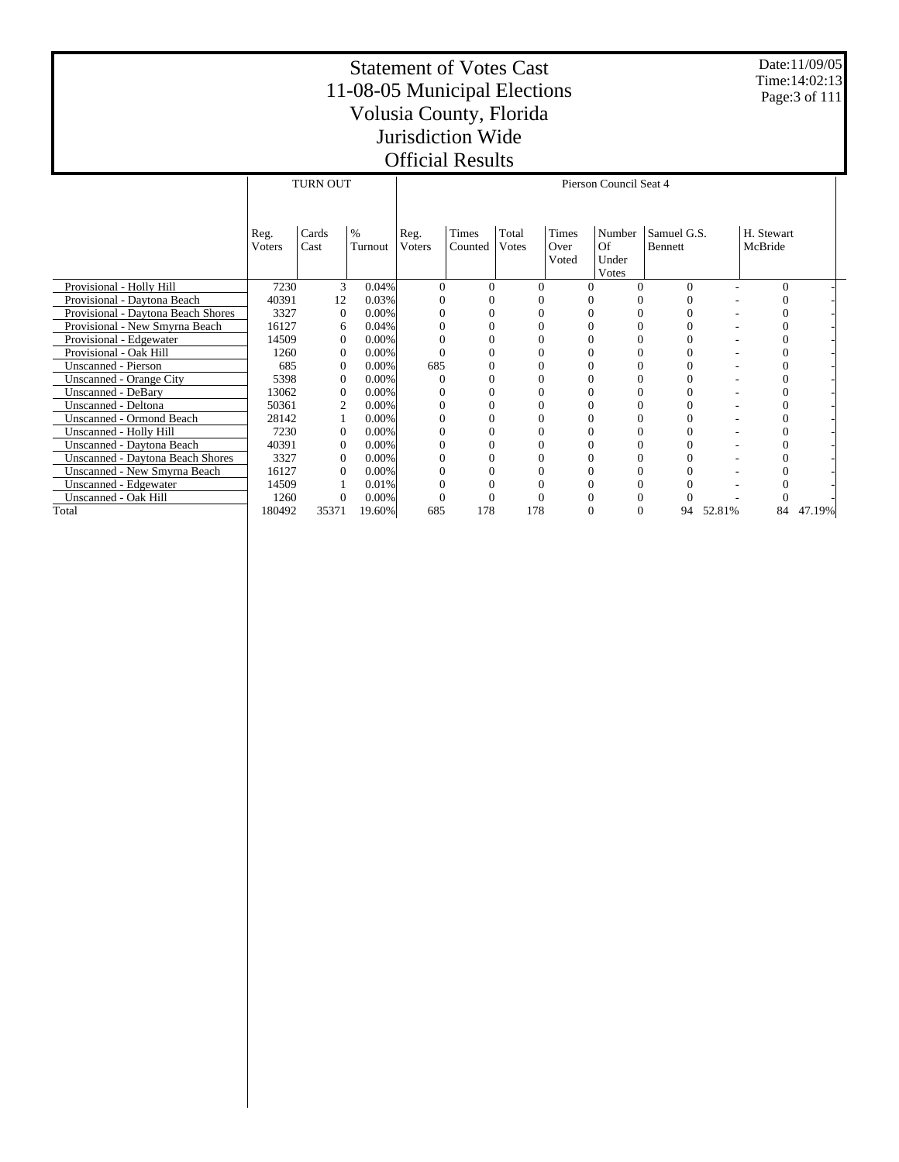Date:11/09/05 Time:14:02:13 Page:3 of 111

|                                    |                | <b>TURN OUT</b> |                 |                        |                  |                |                        | Pierson Council Seat 4 |                                 |        |                       |        |
|------------------------------------|----------------|-----------------|-----------------|------------------------|------------------|----------------|------------------------|------------------------|---------------------------------|--------|-----------------------|--------|
|                                    | Reg.<br>Voters | Cards<br>Cast   | $\%$<br>Turnout | Reg.<br><b>V</b> oters | Times<br>Counted | Total<br>Votes | Times<br>Over<br>Voted | Of<br>Under<br>Votes   | Number   Samuel G.S.<br>Bennett |        | H. Stewart<br>McBride |        |
| Provisional - Holly Hill           | 7230           | 3               | 0.04%           | 0                      |                  |                | $\Omega$               |                        | $\theta$                        |        | $\Omega$              |        |
| Provisional - Daytona Beach        | 40391          | 12              | 0.03%           |                        |                  |                |                        |                        |                                 |        |                       |        |
| Provisional - Daytona Beach Shores | 3327           | $\Omega$        | $0.00\%$        |                        |                  |                |                        |                        |                                 |        |                       |        |
| Provisional - New Smyrna Beach     | 16127          | 6               | 0.04%           |                        |                  |                |                        |                        |                                 |        |                       |        |
| Provisional - Edgewater            | 14509          |                 | $0.00\%$        |                        |                  |                |                        |                        |                                 |        |                       |        |
| Provisional - Oak Hill             | 1260           | $\Omega$        | $0.00\%$        |                        |                  |                |                        |                        |                                 |        |                       |        |
| Unscanned - Pierson                | 685            | $^{0}$          | $0.00\%$        | 685                    |                  |                |                        |                        |                                 |        |                       |        |
| Unscanned - Orange City            | 5398           | $^{(1)}$        | $0.00\%$        |                        |                  |                |                        |                        |                                 |        |                       |        |
| Unscanned - DeBary                 | 13062          | $\Omega$        | $0.00\%$        |                        |                  |                |                        |                        |                                 |        |                       |        |
| Unscanned - Deltona                | 50361          |                 | $0.00\%$        |                        |                  |                |                        |                        |                                 |        |                       |        |
| <b>Unscanned - Ormond Beach</b>    | 28142          |                 | $0.00\%$        |                        |                  |                |                        |                        |                                 |        |                       |        |
| Unscanned - Holly Hill             | 7230           | $\Omega$        | $0.00\%$        |                        |                  |                |                        |                        |                                 |        |                       |        |
| Unscanned - Daytona Beach          | 40391          | $\Omega$        | $0.00\%$        |                        |                  |                |                        |                        |                                 |        |                       |        |
| Unscanned - Daytona Beach Shores   | 3327           | $\Omega$        | $0.00\%$        |                        |                  |                |                        |                        |                                 |        |                       |        |
| Unscanned - New Smyrna Beach       | 16127          | $\Omega$        | $0.00\%$        |                        |                  |                |                        |                        |                                 |        |                       |        |
| Unscanned - Edgewater              | 14509          |                 | 0.01%           |                        |                  |                |                        |                        |                                 |        |                       |        |
| Unscanned - Oak Hill               | 1260           | $\Omega$        | $0.00\%$        |                        |                  |                |                        |                        |                                 |        |                       |        |
| Total                              | 180492         | 35371           | 19.60%          | 685                    | 178              | 178            |                        | $\Omega$               | 94                              | 52.81% | 84                    | 47.19% |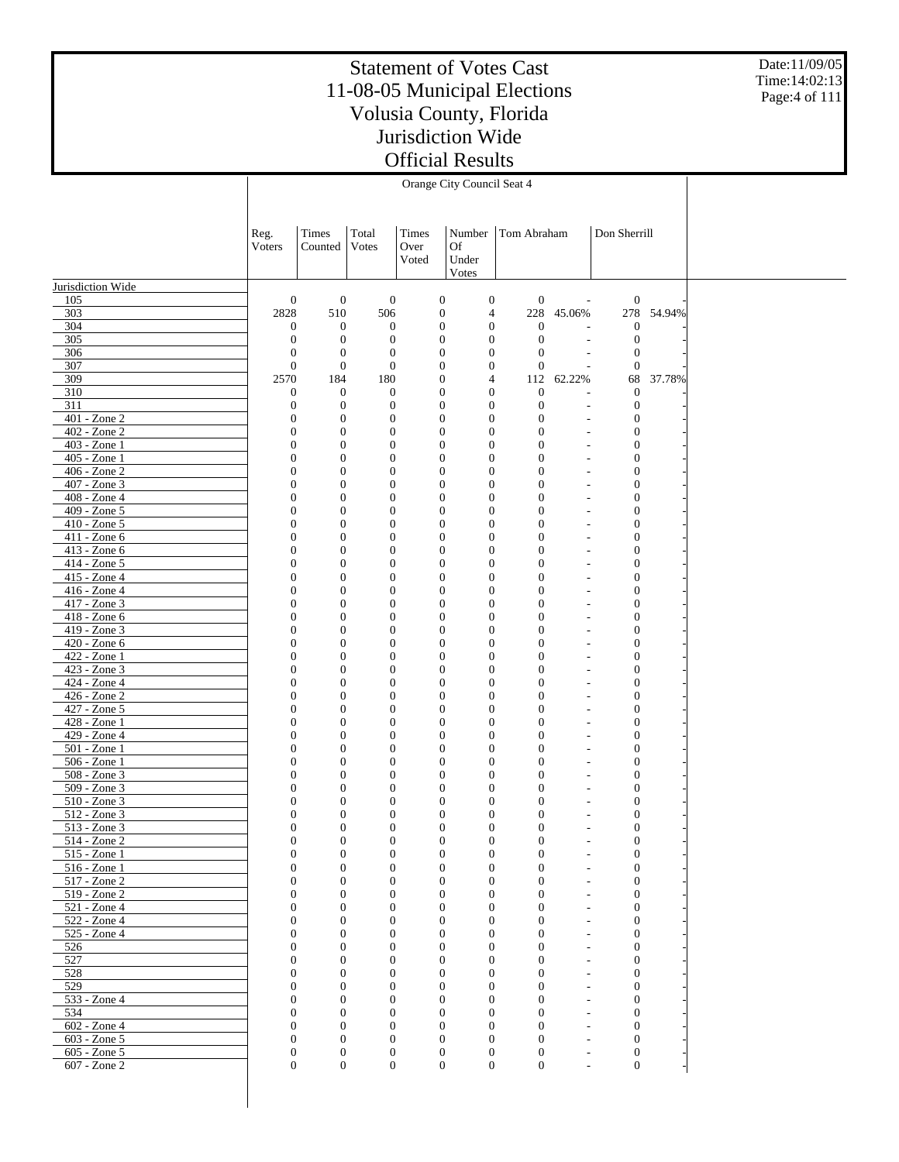Date:11/09/05 Time:14:02:13 Page:4 of 111

# Statement of Votes Cast 11-08-05 Municipal Elections Volusia County, Florida Jurisdiction Wide Official Results

Orange City Council Seat 4

|                              |                                  |                                      |                                      |                                      | Number                               | Tom Abraham                        |                | Don Sherrill                         |        |
|------------------------------|----------------------------------|--------------------------------------|--------------------------------------|--------------------------------------|--------------------------------------|------------------------------------|----------------|--------------------------------------|--------|
|                              | Reg.<br>Voters                   | Times<br>Counted                     | Total<br><b>Votes</b>                | Times<br>Over                        | <b>Of</b>                            |                                    |                |                                      |        |
|                              |                                  |                                      |                                      | Voted                                | Under                                |                                    |                |                                      |        |
| Jurisdiction Wide            |                                  |                                      |                                      |                                      | Votes                                |                                    |                |                                      |        |
| 105                          | $\boldsymbol{0}$                 | $\boldsymbol{0}$                     | $\boldsymbol{0}$                     | $\boldsymbol{0}$                     | $\boldsymbol{0}$                     | $\mathbf{0}$                       | $\overline{a}$ | $\boldsymbol{0}$                     |        |
| 303                          | 2828                             | 510                                  | 506                                  | $\boldsymbol{0}$                     | $\overline{4}$                       | 228                                | 45.06%         | 278                                  | 54.94% |
| 304                          | 0                                | $\boldsymbol{0}$                     | $\boldsymbol{0}$                     | $\mathbf{0}$                         | $\boldsymbol{0}$                     | $\boldsymbol{0}$                   |                | $\boldsymbol{0}$                     |        |
| 305<br>306                   | $\mathbf{0}$<br>$\theta$         | $\boldsymbol{0}$                     | $\mathbf{0}$<br>$\mathbf{0}$         | $\mathbf{0}$                         | $\boldsymbol{0}$<br>$\boldsymbol{0}$ | $\mathbf{0}$<br>$\mathbf{0}$       |                | $\boldsymbol{0}$<br>$\boldsymbol{0}$ |        |
| 307                          | $\mathbf{0}$                     | $\mathbf{0}$<br>$\boldsymbol{0}$     | $\mathbf{0}$                         | $\mathbf{0}$<br>$\boldsymbol{0}$     | $\boldsymbol{0}$                     | $\mathbf{0}$                       |                | $\boldsymbol{0}$                     |        |
| 309                          | 2570                             | 184                                  | 180                                  | $\boldsymbol{0}$                     | 4                                    | 112                                | 62.22%         | 68                                   | 37.78% |
| 310                          | $\mathbf 0$                      | $\boldsymbol{0}$                     | $\boldsymbol{0}$                     | $\mathbf{0}$                         | $\boldsymbol{0}$                     | $\mathbf{0}$                       |                | $\boldsymbol{0}$                     |        |
| 311                          | $\theta$                         | $\boldsymbol{0}$                     | $\mathbf{0}$                         | $\mathbf{0}$                         | $\boldsymbol{0}$                     | $\mathbf{0}$                       |                | $\boldsymbol{0}$                     |        |
| 401 - Zone 2                 | $\mathbf{0}$                     | $\boldsymbol{0}$                     | $\mathbf{0}$                         | $\boldsymbol{0}$                     | $\boldsymbol{0}$                     | $\overline{0}$                     |                | $\boldsymbol{0}$                     |        |
| 402 - Zone 2<br>403 - Zone 1 | $\theta$<br>$\mathbf{0}$         | $\boldsymbol{0}$<br>$\boldsymbol{0}$ | $\boldsymbol{0}$<br>$\mathbf{0}$     | $\mathbf{0}$<br>$\boldsymbol{0}$     | $\boldsymbol{0}$<br>$\boldsymbol{0}$ | $\overline{0}$<br>$\overline{0}$   |                | $\boldsymbol{0}$<br>$\boldsymbol{0}$ |        |
| 405 - Zone 1                 | $\theta$                         | $\boldsymbol{0}$                     | $\boldsymbol{0}$                     | $\mathbf{0}$                         | $\boldsymbol{0}$                     | $\overline{0}$                     |                | $\boldsymbol{0}$                     |        |
| 406 - Zone 2                 | $\mathbf{0}$                     | $\boldsymbol{0}$                     | $\mathbf{0}$                         | $\boldsymbol{0}$                     | $\boldsymbol{0}$                     | $\overline{0}$                     |                | $\boldsymbol{0}$                     |        |
| 407 - Zone 3                 | $\theta$                         | $\boldsymbol{0}$                     | $\boldsymbol{0}$                     | $\mathbf{0}$                         | $\boldsymbol{0}$                     | $\boldsymbol{0}$                   |                | $\boldsymbol{0}$                     |        |
| 408 - Zone 4                 | $\mathbf{0}$                     | $\boldsymbol{0}$                     | $\mathbf{0}$                         | $\boldsymbol{0}$                     | $\boldsymbol{0}$                     | $\mathbf{0}$                       |                | $\boldsymbol{0}$                     |        |
| 409 - Zone 5                 | $\theta$                         | $\mathbf{0}$                         | $\boldsymbol{0}$                     | $\mathbf{0}$                         | $\boldsymbol{0}$                     | $\boldsymbol{0}$                   |                | $\boldsymbol{0}$                     |        |
| 410 - Zone 5<br>411 - Zone 6 | $\mathbf{0}$<br>$\theta$         | $\boldsymbol{0}$<br>$\boldsymbol{0}$ | $\mathbf{0}$<br>$\boldsymbol{0}$     | $\boldsymbol{0}$<br>$\mathbf{0}$     | $\boldsymbol{0}$<br>$\boldsymbol{0}$ | $\mathbf{0}$<br>$\boldsymbol{0}$   |                | $\boldsymbol{0}$<br>$\boldsymbol{0}$ |        |
| 413 - Zone 6                 | $\mathbf{0}$                     | $\boldsymbol{0}$                     | $\mathbf{0}$                         | $\boldsymbol{0}$                     | $\boldsymbol{0}$                     | $\mathbf{0}$                       |                | $\boldsymbol{0}$                     |        |
| 414 - Zone 5                 | $\mathbf{0}$                     | $\boldsymbol{0}$                     | $\boldsymbol{0}$                     | $\mathbf{0}$                         | $\boldsymbol{0}$                     | $\boldsymbol{0}$                   |                | $\boldsymbol{0}$                     |        |
| 415 - Zone 4                 | $\mathbf{0}$                     | $\boldsymbol{0}$                     | $\mathbf{0}$                         | $\boldsymbol{0}$                     | $\boldsymbol{0}$                     | $\mathbf{0}$                       |                | $\boldsymbol{0}$                     |        |
| 416 - Zone 4                 | $\theta$                         | $\boldsymbol{0}$                     | $\boldsymbol{0}$                     | $\mathbf{0}$                         | $\boldsymbol{0}$                     | $\boldsymbol{0}$                   |                | $\boldsymbol{0}$                     |        |
| 417 - Zone 3                 | $\mathbf{0}$                     | $\boldsymbol{0}$                     | $\mathbf{0}$                         | $\boldsymbol{0}$                     | $\boldsymbol{0}$                     | $\mathbf{0}$                       |                | $\boldsymbol{0}$                     |        |
| 418 - Zone 6<br>419 - Zone 3 | $\mathbf{0}$<br>$\mathbf{0}$     | $\boldsymbol{0}$<br>$\boldsymbol{0}$ | $\boldsymbol{0}$<br>$\mathbf{0}$     | $\mathbf{0}$<br>$\boldsymbol{0}$     | $\boldsymbol{0}$<br>$\boldsymbol{0}$ | $\boldsymbol{0}$<br>$\mathbf{0}$   |                | $\boldsymbol{0}$<br>$\boldsymbol{0}$ |        |
| 420 - Zone 6                 | $\theta$                         | $\boldsymbol{0}$                     | $\boldsymbol{0}$                     | $\mathbf{0}$                         | $\boldsymbol{0}$                     | $\boldsymbol{0}$                   |                | $\boldsymbol{0}$                     |        |
| 422 - Zone 1                 | $\mathbf{0}$                     | $\boldsymbol{0}$                     | $\mathbf{0}$                         | $\boldsymbol{0}$                     | $\boldsymbol{0}$                     | $\mathbf{0}$                       |                | $\boldsymbol{0}$                     |        |
| 423 - Zone 3                 | $\theta$                         | $\boldsymbol{0}$                     | $\boldsymbol{0}$                     | $\mathbf{0}$                         | $\boldsymbol{0}$                     | $\boldsymbol{0}$                   |                | $\boldsymbol{0}$                     |        |
| 424 - Zone 4                 | $\mathbf{0}$                     | $\boldsymbol{0}$                     | $\mathbf{0}$                         | $\boldsymbol{0}$                     | $\boldsymbol{0}$                     | $\mathbf{0}$                       |                | $\boldsymbol{0}$                     |        |
| 426 - Zone 2                 | $\theta$                         | $\boldsymbol{0}$                     | $\boldsymbol{0}$                     | $\mathbf{0}$                         | $\boldsymbol{0}$                     | $\boldsymbol{0}$                   |                | $\boldsymbol{0}$                     |        |
| 427 - Zone 5<br>428 - Zone 1 | $\mathbf{0}$<br>$\theta$         | $\boldsymbol{0}$<br>$\mathbf{0}$     | $\mathbf{0}$<br>$\boldsymbol{0}$     | $\boldsymbol{0}$<br>$\mathbf{0}$     | $\boldsymbol{0}$<br>$\boldsymbol{0}$ | $\mathbf{0}$<br>$\boldsymbol{0}$   |                | $\boldsymbol{0}$<br>$\boldsymbol{0}$ |        |
| 429 - Zone 4                 | $\mathbf{0}$                     | $\boldsymbol{0}$                     | $\mathbf{0}$                         | $\boldsymbol{0}$                     | $\boldsymbol{0}$                     | $\mathbf{0}$                       |                | $\boldsymbol{0}$                     |        |
| 501 - Zone 1                 | $\theta$                         | $\boldsymbol{0}$                     | $\boldsymbol{0}$                     | $\mathbf{0}$                         | $\boldsymbol{0}$                     | $\boldsymbol{0}$                   |                | $\boldsymbol{0}$                     |        |
| 506 - Zone 1                 | $\mathbf{0}$                     | $\boldsymbol{0}$                     | $\mathbf{0}$                         | $\boldsymbol{0}$                     | $\boldsymbol{0}$                     | $\mathbf{0}$                       |                | $\boldsymbol{0}$                     |        |
| 508 - Zone 3                 | $\mathbf{0}$                     | $\mathbf{0}$                         | $\boldsymbol{0}$                     | $\mathbf{0}$                         | $\boldsymbol{0}$                     | $\boldsymbol{0}$                   |                | $\boldsymbol{0}$                     |        |
| 509 - Zone 3                 | $\mathbf{0}$                     | $\boldsymbol{0}$                     | $\mathbf{0}$                         | $\boldsymbol{0}$                     | $\boldsymbol{0}$                     | $\mathbf{0}$                       |                | $\boldsymbol{0}$                     |        |
| 510 - Zone 3<br>512 - Zone 3 | $\Omega$<br>$\Omega$             | $\boldsymbol{0}$<br>$\boldsymbol{0}$ | $\boldsymbol{0}$<br>$\mathbf{0}$     | $\boldsymbol{0}$<br>$\boldsymbol{0}$ | $\boldsymbol{0}$<br>$\boldsymbol{0}$ | $\boldsymbol{0}$<br>$\overline{0}$ |                | $\boldsymbol{0}$<br>$\boldsymbol{0}$ |        |
| 513 - Zone 3                 | $\Omega$                         | $\boldsymbol{0}$                     | $\mathbf{0}$                         | $\boldsymbol{0}$                     | $\boldsymbol{0}$                     | $\overline{0}$                     |                | $\boldsymbol{0}$                     |        |
| 514 - Zone 2                 | $\Omega$                         | $\boldsymbol{0}$                     | $\mathbf{0}$                         | $\boldsymbol{0}$                     | $\boldsymbol{0}$                     | $\overline{0}$                     |                | $\boldsymbol{0}$                     |        |
| 515 - Zone 1                 | $\mathbf{0}$                     | $\boldsymbol{0}$                     | $\mathbf{0}$                         | $\boldsymbol{0}$                     | $\boldsymbol{0}$                     | $\overline{0}$                     |                | $\boldsymbol{0}$                     |        |
| 516 - Zone 1                 | $\Omega$                         | $\theta$                             | $\Omega$                             | $\Omega$                             | $\mathbf{0}$                         | $\Omega$                           |                | $\Omega$                             |        |
| 517 - Zone 2                 | $\mathbf{0}$                     | $\boldsymbol{0}$                     | $\boldsymbol{0}$                     | $\mathbf{0}$                         | $\boldsymbol{0}$                     | $\mathbf{0}$                       |                | $\boldsymbol{0}$                     |        |
| 519 - Zone 2<br>521 - Zone 4 | $\boldsymbol{0}$<br>$\mathbf{0}$ | $\boldsymbol{0}$<br>$\boldsymbol{0}$ | $\boldsymbol{0}$<br>$\boldsymbol{0}$ | $\mathbf{0}$<br>$\mathbf{0}$         | $\mathbf{0}$<br>$\mathbf{0}$         | $\mathbf{0}$<br>$\overline{0}$     |                | $\mathbf{0}$<br>$\boldsymbol{0}$     |        |
| 522 - Zone 4                 | $\mathbf{0}$                     | $\boldsymbol{0}$                     | $\overline{0}$                       | $\boldsymbol{0}$                     | $\boldsymbol{0}$                     | $\overline{0}$                     |                | $\boldsymbol{0}$                     |        |
| 525 - Zone 4                 | $\theta$                         | $\boldsymbol{0}$                     | $\overline{0}$                       | $\mathbf{0}$                         | $\mathbf{0}$                         | $\overline{0}$                     |                | $\boldsymbol{0}$                     |        |
| 526                          | $\mathbf{0}$                     | $\boldsymbol{0}$                     | $\boldsymbol{0}$                     | $\boldsymbol{0}$                     | $\boldsymbol{0}$                     | $\overline{0}$                     |                | $\boldsymbol{0}$                     |        |
| 527                          | $\mathbf{0}$                     | $\boldsymbol{0}$                     | $\overline{0}$                       | $\mathbf{0}$                         | $\mathbf{0}$                         | $\overline{0}$                     |                | $\boldsymbol{0}$                     |        |
| 528                          | $\mathbf{0}$                     | $\boldsymbol{0}$                     | $\boldsymbol{0}$                     | $\boldsymbol{0}$                     | $\boldsymbol{0}$                     | $\overline{0}$                     |                | $\boldsymbol{0}$                     |        |
| 529<br>533 - Zone 4          | $\theta$                         | $\boldsymbol{0}$                     | $\boldsymbol{0}$<br>$\boldsymbol{0}$ | $\mathbf{0}$                         | $\mathbf{0}$                         | $\overline{0}$<br>$\overline{0}$   |                | $\boldsymbol{0}$                     |        |
| 534                          | $\mathbf{0}$<br>$\mathbf{0}$     | $\boldsymbol{0}$<br>$\boldsymbol{0}$ | $\overline{0}$                       | $\boldsymbol{0}$<br>$\mathbf{0}$     | $\boldsymbol{0}$<br>$\mathbf{0}$     | $\overline{0}$                     |                | $\boldsymbol{0}$<br>$\boldsymbol{0}$ |        |
| 602 - Zone 4                 | $\mathbf{0}$                     | $\boldsymbol{0}$                     | $\boldsymbol{0}$                     | $\overline{0}$                       | $\boldsymbol{0}$                     | $\overline{0}$                     |                | $\boldsymbol{0}$                     |        |
| 603 - Zone 5                 | $\theta$                         | $\boldsymbol{0}$                     | $\boldsymbol{0}$                     | $\mathbf{0}$                         | $\mathbf{0}$                         | $\mathbf{0}$                       |                | $\mathbf{0}$                         |        |
| 605 - Zone 5                 | $\mathbf{0}$                     | $\boldsymbol{0}$                     | $\boldsymbol{0}$                     | $\boldsymbol{0}$                     | $\boldsymbol{0}$                     | $\boldsymbol{0}$                   |                | $\boldsymbol{0}$                     |        |
| 607 - Zone 2                 | $\mathbf{0}$                     | $\boldsymbol{0}$                     | $\boldsymbol{0}$                     | $\boldsymbol{0}$                     | $\mathbf{0}$                         | $\boldsymbol{0}$                   |                | $\boldsymbol{0}$                     |        |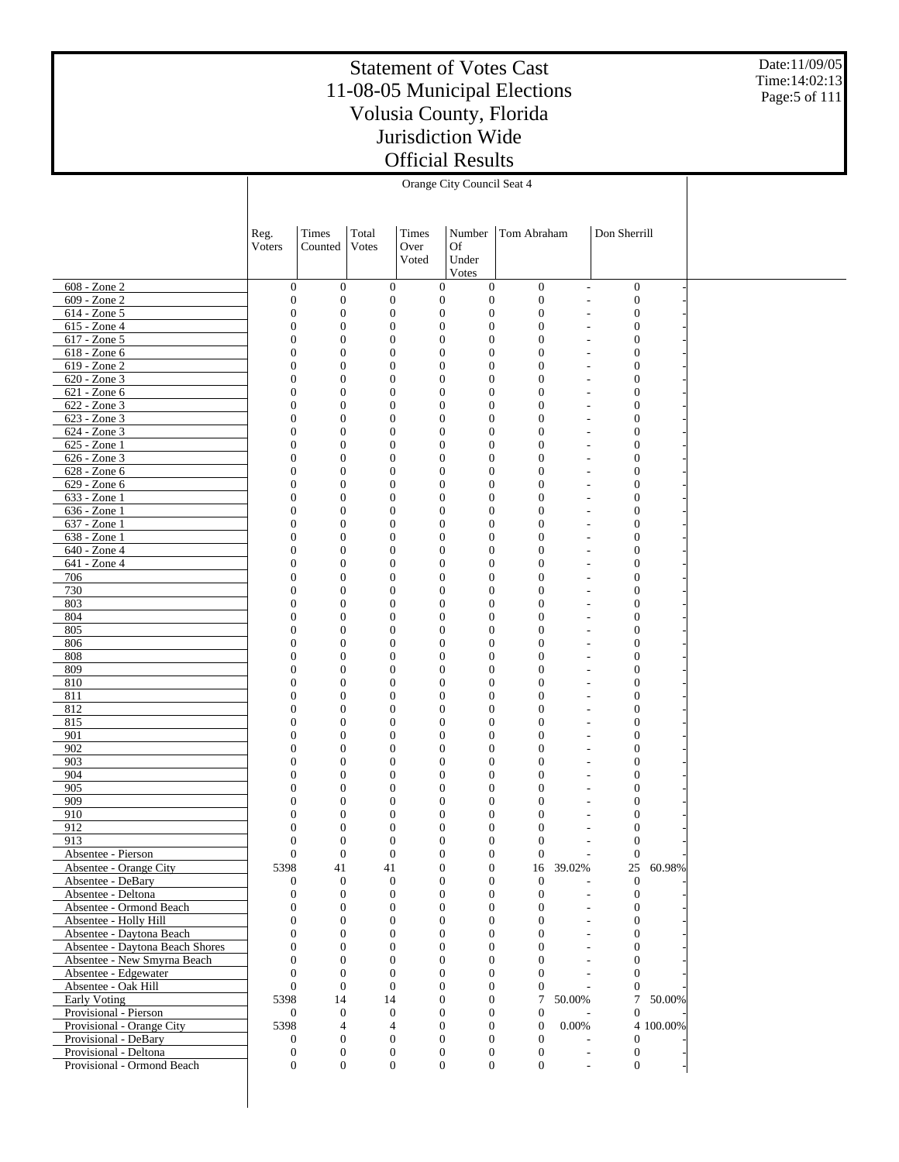Date:11/09/05 Time:14:02:13 Page:5 of 111

|                                                             |                                      |                                      |                                      |       | Orange City Council Seat 4                                   |                                  |                          |                              |           |  |
|-------------------------------------------------------------|--------------------------------------|--------------------------------------|--------------------------------------|-------|--------------------------------------------------------------|----------------------------------|--------------------------|------------------------------|-----------|--|
|                                                             |                                      |                                      |                                      |       |                                                              |                                  |                          |                              |           |  |
|                                                             |                                      |                                      |                                      |       |                                                              |                                  |                          |                              |           |  |
|                                                             | Reg.                                 | <b>Times</b>                         | Total                                | Times | Number                                                       | Tom Abraham                      |                          | Don Sherrill                 |           |  |
|                                                             | Voters                               | Counted                              | Votes                                | Over  | <b>Of</b>                                                    |                                  |                          |                              |           |  |
|                                                             |                                      |                                      |                                      | Voted | Under                                                        |                                  |                          |                              |           |  |
|                                                             |                                      |                                      |                                      |       | <b>Votes</b>                                                 |                                  |                          |                              |           |  |
| 608 - Zone 2                                                | $\boldsymbol{0}$                     | $\boldsymbol{0}$                     | $\mathbf{0}$                         |       | $\boldsymbol{0}$<br>$\boldsymbol{0}$                         | $\boldsymbol{0}$                 | $\overline{\phantom{a}}$ | $\boldsymbol{0}$             |           |  |
| 609 - Zone 2                                                | $\boldsymbol{0}$                     | $\boldsymbol{0}$                     | $\boldsymbol{0}$                     |       | $\boldsymbol{0}$<br>$\boldsymbol{0}$                         | $\boldsymbol{0}$                 | $\overline{a}$           | $\mathbf{0}$                 |           |  |
| 614 - Zone 5                                                | $\boldsymbol{0}$                     | $\boldsymbol{0}$                     | $\boldsymbol{0}$                     |       | $\mathbf{0}$<br>$\mathbf{0}$                                 | $\boldsymbol{0}$                 |                          | $\mathbf{0}$                 |           |  |
| 615 - Zone 4                                                | $\boldsymbol{0}$                     | $\boldsymbol{0}$                     | $\boldsymbol{0}$                     |       | $\mathbf{0}$<br>$\mathbf{0}$                                 | $\overline{0}$                   |                          | $\mathbf{0}$                 |           |  |
| 617 - Zone 5                                                | $\boldsymbol{0}$                     | $\boldsymbol{0}$                     | $\boldsymbol{0}$                     |       | $\mathbf{0}$<br>$\mathbf{0}$                                 | $\overline{0}$                   |                          | $\mathbf{0}$                 |           |  |
| 618 - Zone 6                                                | $\boldsymbol{0}$                     | $\boldsymbol{0}$                     | $\mathbf{0}$                         |       | $\mathbf{0}$<br>$\mathbf{0}$                                 | $\overline{0}$                   |                          | 0                            |           |  |
| 619 - Zone 2                                                | $\boldsymbol{0}$                     | $\boldsymbol{0}$                     | $\boldsymbol{0}$                     |       | $\mathbf{0}$<br>$\mathbf{0}$                                 | $\overline{0}$                   |                          | $\mathbf{0}$                 |           |  |
| 620 - Zone 3                                                | $\boldsymbol{0}$                     | $\boldsymbol{0}$                     | $\boldsymbol{0}$                     |       | $\mathbf{0}$<br>$\mathbf{0}$                                 | $\overline{0}$                   |                          | $\mathbf{0}$                 |           |  |
| 621 - Zone 6<br>622 - Zone 3                                | $\boldsymbol{0}$<br>$\boldsymbol{0}$ | $\boldsymbol{0}$<br>$\boldsymbol{0}$ | $\boldsymbol{0}$<br>$\boldsymbol{0}$ |       | $\mathbf{0}$<br>$\mathbf{0}$<br>$\mathbf{0}$<br>$\mathbf{0}$ | $\overline{0}$<br>$\overline{0}$ |                          | $\mathbf{0}$<br>$\mathbf{0}$ |           |  |
| 623 - Zone 3                                                | $\boldsymbol{0}$                     | $\boldsymbol{0}$                     | $\boldsymbol{0}$                     |       | $\mathbf{0}$<br>$\mathbf{0}$                                 | $\overline{0}$                   |                          | $\mathbf{0}$                 |           |  |
| 624 - Zone 3                                                | $\boldsymbol{0}$                     | $\boldsymbol{0}$                     | $\boldsymbol{0}$                     |       | $\mathbf{0}$<br>$\mathbf{0}$                                 | $\overline{0}$                   |                          | $\mathbf{0}$                 |           |  |
| 625 - Zone 1                                                | $\boldsymbol{0}$                     | $\boldsymbol{0}$                     | $\boldsymbol{0}$                     |       | $\mathbf{0}$<br>$\mathbf{0}$                                 | $\mathbf{0}$                     |                          | $\mathbf{0}$                 |           |  |
| 626 - Zone 3                                                | $\boldsymbol{0}$                     | $\boldsymbol{0}$                     | $\boldsymbol{0}$                     |       | $\mathbf{0}$<br>$\mathbf{0}$                                 | $\overline{0}$                   |                          | 0                            |           |  |
| 628 - Zone 6                                                | $\boldsymbol{0}$                     | $\boldsymbol{0}$                     | $\boldsymbol{0}$                     |       | $\mathbf{0}$<br>$\mathbf{0}$                                 | $\mathbf{0}$                     | Ĭ.                       | $\mathbf{0}$                 |           |  |
| 629 - Zone 6                                                | $\boldsymbol{0}$                     | $\boldsymbol{0}$                     | $\boldsymbol{0}$                     |       | $\mathbf{0}$<br>$\mathbf{0}$                                 | $\overline{0}$                   |                          | $\mathbf{0}$                 |           |  |
| 633 - Zone 1                                                | $\boldsymbol{0}$                     | $\boldsymbol{0}$                     | $\boldsymbol{0}$                     |       | $\mathbf{0}$<br>$\mathbf{0}$                                 | $\overline{0}$                   | ٠                        | $\mathbf{0}$                 |           |  |
| 636 - Zone 1                                                | $\boldsymbol{0}$                     | $\boldsymbol{0}$                     | $\boldsymbol{0}$                     |       | $\mathbf{0}$<br>$\mathbf{0}$                                 | $\overline{0}$                   |                          | 0                            |           |  |
| 637 - Zone 1                                                | $\boldsymbol{0}$                     | $\boldsymbol{0}$                     | $\boldsymbol{0}$                     |       | $\mathbf{0}$<br>$\mathbf{0}$                                 | $\overline{0}$                   | ٠                        | $\mathbf{0}$                 |           |  |
| 638 - Zone 1                                                | $\boldsymbol{0}$                     | $\boldsymbol{0}$                     | $\boldsymbol{0}$                     |       | $\mathbf{0}$<br>$\mathbf{0}$                                 | $\overline{0}$                   |                          | $\mathbf{0}$                 |           |  |
| 640 - Zone 4                                                | $\boldsymbol{0}$                     | $\boldsymbol{0}$                     | $\boldsymbol{0}$                     |       | $\mathbf{0}$<br>$\mathbf{0}$                                 | $\overline{0}$                   | ٠                        | $\mathbf{0}$                 |           |  |
| 641 - Zone 4                                                | $\boldsymbol{0}$                     | $\boldsymbol{0}$                     | $\boldsymbol{0}$                     |       | $\mathbf{0}$<br>$\mathbf{0}$                                 | $\overline{0}$                   |                          | $\mathbf{0}$                 |           |  |
| 706<br>730                                                  | $\boldsymbol{0}$<br>$\boldsymbol{0}$ | $\boldsymbol{0}$<br>$\boldsymbol{0}$ | $\boldsymbol{0}$<br>$\boldsymbol{0}$ |       | $\mathbf{0}$<br>$\mathbf{0}$<br>$\mathbf{0}$<br>$\mathbf{0}$ | $\overline{0}$<br>$\overline{0}$ | Ĭ.                       | $\mathbf{0}$<br>$\mathbf{0}$ |           |  |
| 803                                                         | $\boldsymbol{0}$                     | $\boldsymbol{0}$                     | $\boldsymbol{0}$                     |       | $\mathbf{0}$<br>$\mathbf{0}$                                 | $\overline{0}$                   |                          | $\mathbf{0}$                 |           |  |
| 804                                                         | $\boldsymbol{0}$                     | $\boldsymbol{0}$                     | $\boldsymbol{0}$                     |       | $\mathbf{0}$<br>$\mathbf{0}$                                 | $\overline{0}$                   |                          | $\mathbf{0}$                 |           |  |
| 805                                                         | $\boldsymbol{0}$                     | $\boldsymbol{0}$                     | $\boldsymbol{0}$                     |       | $\mathbf{0}$<br>$\mathbf{0}$                                 | $\overline{0}$                   |                          | $\mathbf{0}$                 |           |  |
| 806                                                         | $\boldsymbol{0}$                     | $\boldsymbol{0}$                     | $\boldsymbol{0}$                     |       | $\mathbf{0}$<br>$\mathbf{0}$                                 | $\overline{0}$                   |                          | $\mathbf{0}$                 |           |  |
| 808                                                         | $\boldsymbol{0}$                     | $\boldsymbol{0}$                     | $\boldsymbol{0}$                     |       | $\mathbf{0}$<br>$\mathbf{0}$                                 | $\overline{0}$                   |                          | $\mathbf{0}$                 |           |  |
| 809                                                         | $\boldsymbol{0}$                     | $\boldsymbol{0}$                     | $\boldsymbol{0}$                     |       | $\mathbf{0}$<br>$\mathbf{0}$                                 | $\overline{0}$                   |                          | 0                            |           |  |
| 810                                                         | $\boldsymbol{0}$                     | $\boldsymbol{0}$                     | $\boldsymbol{0}$                     |       | $\mathbf{0}$<br>$\mathbf{0}$                                 | $\overline{0}$                   | Ĭ.                       | $\mathbf{0}$                 |           |  |
| 811                                                         | $\boldsymbol{0}$                     | $\boldsymbol{0}$                     | $\boldsymbol{0}$                     |       | $\mathbf{0}$<br>$\mathbf{0}$                                 | $\overline{0}$                   |                          | $\mathbf{0}$                 |           |  |
| 812                                                         | $\boldsymbol{0}$                     | $\boldsymbol{0}$                     | $\boldsymbol{0}$                     |       | $\mathbf{0}$<br>$\mathbf{0}$                                 | $\mathbf{0}$                     | ٠                        | $\mathbf{0}$                 |           |  |
| 815                                                         | $\boldsymbol{0}$                     | $\boldsymbol{0}$                     | $\boldsymbol{0}$                     |       | $\mathbf{0}$<br>$\mathbf{0}$                                 | $\overline{0}$                   |                          | 0                            |           |  |
| 901                                                         | $\boldsymbol{0}$                     | $\boldsymbol{0}$                     | $\boldsymbol{0}$                     |       | $\mathbf{0}$<br>$\mathbf{0}$                                 | $\mathbf{0}$                     | ٠                        | $\mathbf{0}$                 |           |  |
| 902<br>903                                                  | $\boldsymbol{0}$<br>$\boldsymbol{0}$ | $\boldsymbol{0}$<br>$\boldsymbol{0}$ | $\boldsymbol{0}$<br>$\boldsymbol{0}$ |       | $\mathbf{0}$<br>$\mathbf{0}$<br>$\mathbf{0}$<br>$\mathbf{0}$ | $\overline{0}$<br>$\mathbf{0}$   |                          | $\mathbf{0}$<br>$\mathbf{0}$ |           |  |
| 904                                                         | $\boldsymbol{0}$                     | $\boldsymbol{0}$                     | $\boldsymbol{0}$                     |       | $\mathbf{0}$<br>$\mathbf{0}$                                 | $\overline{0}$                   |                          | $\mathbf{0}$                 |           |  |
| 905                                                         | $\boldsymbol{0}$                     | $\boldsymbol{0}$                     | $\boldsymbol{0}$                     |       | $\mathbf{0}$<br>$\mathbf{0}$                                 | $\overline{0}$                   |                          | $\mathbf{0}$                 |           |  |
| 909                                                         | 0                                    | $\boldsymbol{0}$                     | $\boldsymbol{0}$                     |       | $\mathbf{0}$<br>$\mathbf{0}$                                 | $\overline{0}$                   |                          | $\mathbf{0}$                 |           |  |
| 910                                                         | $\boldsymbol{0}$                     | $\boldsymbol{0}$                     | $\boldsymbol{0}$                     |       | $\mathbf{0}$<br>$\mathbf{0}$                                 | $\mathbf{0}$                     |                          | $\mathbf{0}$                 |           |  |
| 912                                                         | $\overline{0}$                       | $\boldsymbol{0}$                     | $\boldsymbol{0}$                     |       | $\boldsymbol{0}$<br>$\boldsymbol{0}$                         | $\boldsymbol{0}$                 | ٠                        | $\mathbf{0}$                 |           |  |
| 913                                                         | $\boldsymbol{0}$                     | 0                                    | $\boldsymbol{0}$                     |       | $\boldsymbol{0}$<br>0                                        | $\boldsymbol{0}$                 |                          | $\boldsymbol{0}$             |           |  |
| Absentee - Pierson                                          | $\boldsymbol{0}$                     | $\mathbf{0}$                         | $\boldsymbol{0}$                     |       | $\boldsymbol{0}$<br>$\boldsymbol{0}$                         | $\boldsymbol{0}$                 |                          | $\boldsymbol{0}$             |           |  |
| Absentee - Orange City                                      | 5398                                 | 41                                   | $41\,$                               |       | $\boldsymbol{0}$<br>$\boldsymbol{0}$                         | 16                               | 39.02%                   | $25\,$                       | 60.98%    |  |
| Absentee - DeBary                                           | $\boldsymbol{0}$                     | $\boldsymbol{0}$                     | $\mathbf{0}$                         |       | $\boldsymbol{0}$<br>$\boldsymbol{0}$                         | $\mathbf{0}$                     |                          | $\mathbf{0}$                 |           |  |
| Absentee - Deltona                                          | $\boldsymbol{0}$                     | $\mathbf{0}$                         | $\mathbf{0}$                         |       | $\boldsymbol{0}$<br>$\boldsymbol{0}$                         | $\overline{0}$                   |                          | $\mathbf{0}$                 |           |  |
| Absentee - Ormond Beach                                     | $\boldsymbol{0}$                     | $\mathbf{0}$                         | $\mathbf{0}$                         |       | $\boldsymbol{0}$<br>$\boldsymbol{0}$                         | $\mathbf{0}$                     |                          | $\overline{0}$               |           |  |
| Absentee - Holly Hill                                       | $\boldsymbol{0}$                     | $\overline{0}$                       | $\mathbf{0}$                         |       | $\boldsymbol{0}$<br>$\boldsymbol{0}$                         | $\Omega$                         |                          | $\theta$                     |           |  |
| Absentee - Daytona Beach<br>Absentee - Daytona Beach Shores | $\boldsymbol{0}$                     | $\overline{0}$<br>$\overline{0}$     | $\mathbf{0}$<br>$\mathbf{0}$         |       | $\boldsymbol{0}$<br>$\boldsymbol{0}$<br>$\boldsymbol{0}$     | $\theta$<br>$\Omega$             |                          | 0                            |           |  |
| Absentee - New Smyrna Beach                                 | $\boldsymbol{0}$<br>$\boldsymbol{0}$ | $\overline{0}$                       | $\mathbf{0}$                         |       | $\boldsymbol{0}$<br>$\boldsymbol{0}$<br>$\boldsymbol{0}$     | $\Omega$                         |                          | $\theta$<br>0                |           |  |
| Absentee - Edgewater                                        | $\mathbf{0}$                         | $\overline{0}$                       | $\mathbf{0}$                         |       | $\mathbf{0}$<br>$\mathbf{0}$                                 | $\Omega$                         |                          | $\theta$                     |           |  |
| Absentee - Oak Hill                                         | $\boldsymbol{0}$                     | $\boldsymbol{0}$                     | $\boldsymbol{0}$                     |       | $\overline{0}$<br>$\boldsymbol{0}$                           | $\overline{0}$                   |                          | $\Omega$                     |           |  |
| Early Voting                                                | 5398                                 | 14                                   | 14                                   |       | $\boldsymbol{0}$<br>$\boldsymbol{0}$                         | 7                                | 50.00%                   | 7                            | 50.00%    |  |
| Provisional - Pierson                                       | 0                                    | $\boldsymbol{0}$                     | $\mathbf{0}$                         |       | $\boldsymbol{0}$<br>$\boldsymbol{0}$                         | $\mathbf{0}$                     |                          | $\Omega$                     |           |  |
| Provisional - Orange City                                   | 5398                                 | 4                                    | $\overline{4}$                       |       | $\boldsymbol{0}$<br>$\boldsymbol{0}$                         | $\mathbf{0}$                     | 0.00%                    |                              | 4 100.00% |  |
| Provisional - DeBary                                        | 0                                    | $\boldsymbol{0}$                     | $\boldsymbol{0}$                     |       | $\boldsymbol{0}$<br>$\boldsymbol{0}$                         | $\boldsymbol{0}$                 |                          | $\theta$                     |           |  |
| Provisional - Deltona                                       | $\boldsymbol{0}$                     | $\mathbf{0}$                         | $\boldsymbol{0}$                     |       | $\boldsymbol{0}$<br>$\boldsymbol{0}$                         | $\boldsymbol{0}$                 |                          | $\boldsymbol{0}$             |           |  |
| Provisional - Ormond Beach                                  | $\boldsymbol{0}$                     | $\boldsymbol{0}$                     | $\boldsymbol{0}$                     |       | $\boldsymbol{0}$<br>$\boldsymbol{0}$                         | $\boldsymbol{0}$                 |                          | $\boldsymbol{0}$             |           |  |
|                                                             |                                      |                                      |                                      |       |                                                              |                                  |                          |                              |           |  |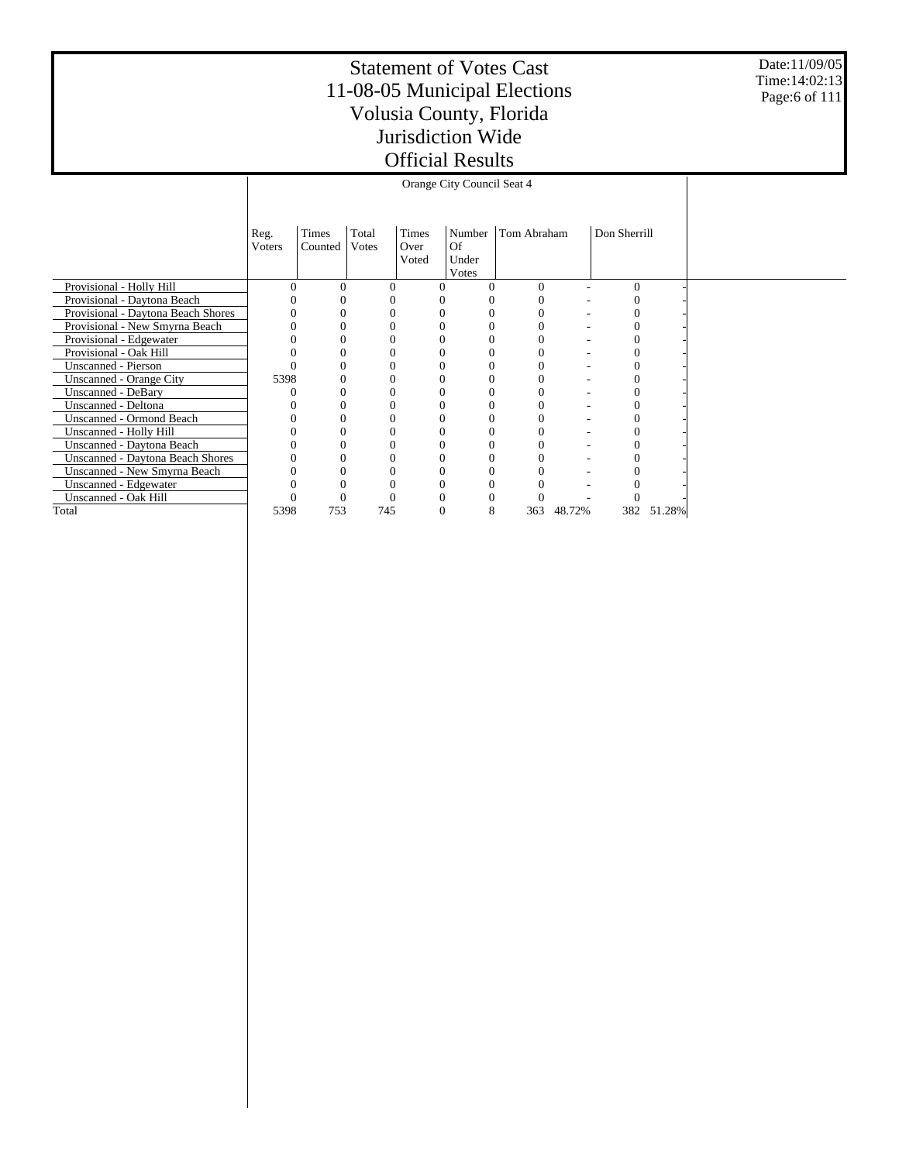Date:11/09/05 Time:14:02:13 Page:6 of 111

I

#### Statement of Votes Cast 11-08-05 Municipal Elections Volusia County, Florida Jurisdiction Wide Official Results Orange City Council Seat 4

|                                         | Reg.<br><b>Voters</b> | Times<br>Counted | Total<br>Votes | Times<br>Over | Number<br><b>Of</b> | Tom Abraham |        | Don Sherrill |        |
|-----------------------------------------|-----------------------|------------------|----------------|---------------|---------------------|-------------|--------|--------------|--------|
|                                         |                       |                  |                | Voted         | Under<br>Votes      |             |        |              |        |
| Provisional - Holly Hill                |                       |                  | 0              |               |                     | $\Omega$    |        | $\Omega$     |        |
| Provisional - Daytona Beach             |                       |                  |                | 0             |                     | 0           |        |              |        |
| Provisional - Daytona Beach Shores      |                       |                  |                | 0             |                     |             |        |              |        |
| Provisional - New Smyrna Beach          |                       |                  |                |               |                     |             |        |              |        |
| Provisional - Edgewater                 |                       |                  |                | 0             |                     |             |        |              |        |
| Provisional - Oak Hill                  |                       |                  |                |               |                     |             |        |              |        |
| Unscanned - Pierson                     |                       |                  |                | 0             |                     |             |        |              |        |
| Unscanned - Orange City                 | 5398                  |                  |                | 0             |                     |             |        |              |        |
| Unscanned - DeBary                      |                       |                  |                | 0             |                     |             |        |              |        |
| Unscanned - Deltona                     |                       |                  |                | 0             | 0                   | 0           |        |              |        |
| Unscanned - Ormond Beach                |                       |                  |                | 0             |                     | 0           |        |              |        |
| Unscanned - Holly Hill                  |                       |                  |                | 0             | $\Omega$            | 0           |        |              |        |
| Unscanned - Daytona Beach               |                       |                  |                | 0             |                     |             |        |              |        |
| <b>Unscanned - Daytona Beach Shores</b> |                       |                  | $\Omega$       | 0             | $\Omega$            | 0           |        |              |        |
| Unscanned - New Smyrna Beach            |                       |                  |                | 0             |                     |             |        |              |        |
| Unscanned - Edgewater                   |                       |                  | 0              | 0             | $\Omega$            | 0           |        |              |        |
| Unscanned - Oak Hill                    |                       |                  |                |               |                     |             |        |              |        |
| Total                                   | 5398                  | 753              | 745            | 0             | 8                   | 363         | 48.72% | 382          | 51.28% |
|                                         |                       |                  |                |               |                     |             |        |              |        |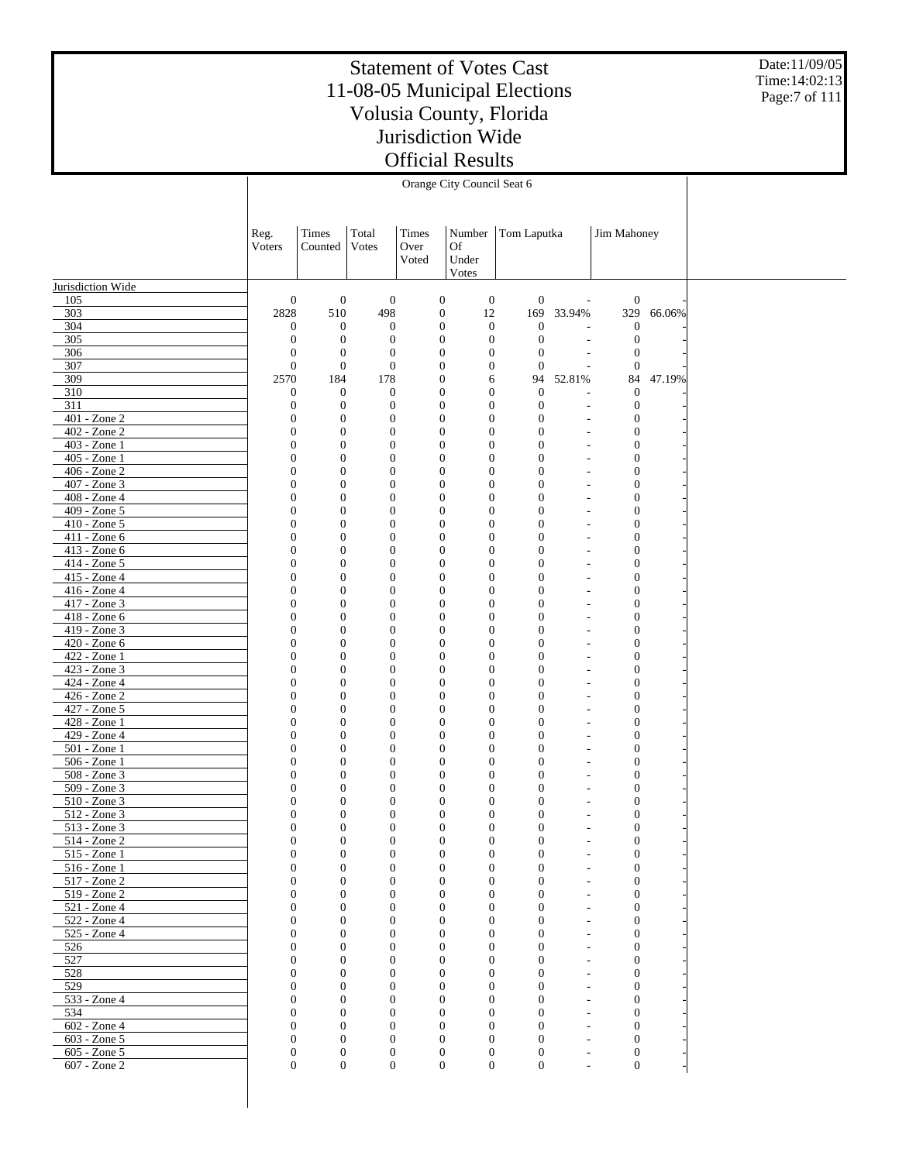Date:11/09/05 Time:14:02:13 Page:7 of 111

# Statement of Votes Cast 11-08-05 Municipal Elections Volusia County, Florida Jurisdiction Wide Official Results

Orange City Council Seat 6

|                              | Reg.                             | Times                                | Total                                | Times                                |                                      | Number   Tom Laputka                 |        | Jim Mahoney                          |        |
|------------------------------|----------------------------------|--------------------------------------|--------------------------------------|--------------------------------------|--------------------------------------|--------------------------------------|--------|--------------------------------------|--------|
|                              | Voters                           | Counted                              | Votes                                | Over                                 | Of                                   |                                      |        |                                      |        |
|                              |                                  |                                      |                                      | Voted                                | Under<br>Votes                       |                                      |        |                                      |        |
| Jurisdiction Wide            |                                  |                                      |                                      |                                      |                                      |                                      |        |                                      |        |
| 105                          | $\boldsymbol{0}$                 | $\boldsymbol{0}$                     | $\boldsymbol{0}$                     | $\boldsymbol{0}$                     | $\boldsymbol{0}$                     | $\boldsymbol{0}$                     |        | $\boldsymbol{0}$                     |        |
| 303                          | 2828                             | 510                                  | 498                                  | $\boldsymbol{0}$                     | 12                                   | 169                                  | 33.94% | 329                                  | 66.06% |
| 304<br>305                   | $\mathbf{0}$<br>$\mathbf{0}$     | $\boldsymbol{0}$<br>$\boldsymbol{0}$ | $\boldsymbol{0}$<br>$\boldsymbol{0}$ | $\boldsymbol{0}$<br>$\boldsymbol{0}$ | $\boldsymbol{0}$<br>$\boldsymbol{0}$ | $\boldsymbol{0}$<br>$\boldsymbol{0}$ | Ĭ.     | $\boldsymbol{0}$<br>$\boldsymbol{0}$ |        |
| 306                          | $\theta$                         | $\mathbf{0}$                         | $\boldsymbol{0}$                     | $\boldsymbol{0}$                     | $\boldsymbol{0}$                     | $\mathbf{0}$                         |        | $\boldsymbol{0}$                     |        |
| 307                          | $\boldsymbol{0}$                 | $\mathbf{0}$                         | $\boldsymbol{0}$                     | $\boldsymbol{0}$                     | $\boldsymbol{0}$                     | $\boldsymbol{0}$                     |        | $\boldsymbol{0}$                     |        |
| 309                          | 2570                             | 184                                  | 178                                  | $\boldsymbol{0}$                     | 6                                    | 94                                   | 52.81% | 84                                   | 47.19% |
| 310                          | $\mathbf{0}$                     | $\mathbf{0}$                         | $\boldsymbol{0}$                     | $\boldsymbol{0}$                     | $\boldsymbol{0}$                     | $\boldsymbol{0}$                     |        | $\boldsymbol{0}$                     |        |
| 311                          | $\mathbf{0}$                     | $\boldsymbol{0}$                     | $\boldsymbol{0}$                     | $\boldsymbol{0}$                     | $\boldsymbol{0}$                     | $\boldsymbol{0}$                     | ÷,     | $\boldsymbol{0}$                     |        |
| 401 - Zone 2<br>402 - Zone 2 | $\overline{0}$<br>$\overline{0}$ | $\boldsymbol{0}$<br>$\boldsymbol{0}$ | $\mathbf{0}$<br>$\boldsymbol{0}$     | $\boldsymbol{0}$<br>$\boldsymbol{0}$ | $\boldsymbol{0}$<br>$\boldsymbol{0}$ | $\boldsymbol{0}$<br>$\boldsymbol{0}$ |        | $\boldsymbol{0}$<br>$\boldsymbol{0}$ |        |
| 403 - Zone 1                 | $\overline{0}$                   | $\boldsymbol{0}$                     | $\boldsymbol{0}$                     | $\boldsymbol{0}$                     | $\boldsymbol{0}$                     | $\boldsymbol{0}$                     |        | $\boldsymbol{0}$                     |        |
| 405 - Zone 1                 | $\overline{0}$                   | $\boldsymbol{0}$                     | $\boldsymbol{0}$                     | $\boldsymbol{0}$                     | $\boldsymbol{0}$                     | $\boldsymbol{0}$                     |        | $\boldsymbol{0}$                     |        |
| 406 - Zone 2                 | $\overline{0}$                   | $\boldsymbol{0}$                     | $\boldsymbol{0}$                     | $\boldsymbol{0}$                     | $\boldsymbol{0}$                     | $\boldsymbol{0}$                     |        | $\boldsymbol{0}$                     |        |
| 407 - Zone 3                 | $\overline{0}$                   | $\boldsymbol{0}$                     | $\boldsymbol{0}$                     | $\boldsymbol{0}$                     | $\boldsymbol{0}$                     | $\boldsymbol{0}$                     |        | $\boldsymbol{0}$                     |        |
| 408 - Zone 4<br>409 - Zone 5 | $\overline{0}$<br>$\overline{0}$ | $\boldsymbol{0}$<br>$\boldsymbol{0}$ | $\boldsymbol{0}$<br>$\boldsymbol{0}$ | $\boldsymbol{0}$<br>$\boldsymbol{0}$ | $\boldsymbol{0}$<br>$\boldsymbol{0}$ | $\boldsymbol{0}$<br>$\boldsymbol{0}$ |        | $\boldsymbol{0}$<br>$\boldsymbol{0}$ |        |
| 410 - Zone 5                 | $\overline{0}$                   | $\boldsymbol{0}$                     | $\boldsymbol{0}$                     | $\boldsymbol{0}$                     | $\boldsymbol{0}$                     | $\boldsymbol{0}$                     |        | $\boldsymbol{0}$                     |        |
| 411 - Zone 6                 | $\overline{0}$                   | $\boldsymbol{0}$                     | $\boldsymbol{0}$                     | $\boldsymbol{0}$                     | $\boldsymbol{0}$                     | $\boldsymbol{0}$                     |        | $\boldsymbol{0}$                     |        |
| 413 - Zone 6                 | $\overline{0}$                   | $\boldsymbol{0}$                     | $\boldsymbol{0}$                     | $\boldsymbol{0}$                     | $\boldsymbol{0}$                     | $\boldsymbol{0}$                     |        | $\boldsymbol{0}$                     |        |
| 414 - Zone 5                 | $\overline{0}$                   | $\boldsymbol{0}$                     | $\boldsymbol{0}$                     | $\boldsymbol{0}$                     | $\boldsymbol{0}$                     | $\boldsymbol{0}$                     |        | $\boldsymbol{0}$                     |        |
| 415 - Zone 4                 | $\overline{0}$                   | $\boldsymbol{0}$                     | $\boldsymbol{0}$                     | $\boldsymbol{0}$                     | $\boldsymbol{0}$                     | $\boldsymbol{0}$                     |        | $\boldsymbol{0}$                     |        |
| 416 - Zone 4                 | $\theta$<br>$\overline{0}$       | $\boldsymbol{0}$                     | $\boldsymbol{0}$                     | $\boldsymbol{0}$                     | $\boldsymbol{0}$                     | $\boldsymbol{0}$                     |        | $\boldsymbol{0}$                     |        |
| 417 - Zone 3<br>418 - Zone 6 | $\theta$                         | $\boldsymbol{0}$<br>$\boldsymbol{0}$ | $\boldsymbol{0}$<br>$\boldsymbol{0}$ | $\boldsymbol{0}$<br>$\boldsymbol{0}$ | $\boldsymbol{0}$<br>$\boldsymbol{0}$ | $\boldsymbol{0}$<br>$\boldsymbol{0}$ |        | $\boldsymbol{0}$<br>$\boldsymbol{0}$ |        |
| 419 - Zone 3                 | $\overline{0}$                   | $\boldsymbol{0}$                     | $\boldsymbol{0}$                     | $\boldsymbol{0}$                     | $\boldsymbol{0}$                     | $\boldsymbol{0}$                     |        | $\boldsymbol{0}$                     |        |
| 420 - Zone 6                 | $\theta$                         | $\boldsymbol{0}$                     | $\boldsymbol{0}$                     | $\boldsymbol{0}$                     | $\boldsymbol{0}$                     | $\boldsymbol{0}$                     |        | $\boldsymbol{0}$                     |        |
| 422 - Zone 1                 | $\overline{0}$                   | $\boldsymbol{0}$                     | $\boldsymbol{0}$                     | $\boldsymbol{0}$                     | $\boldsymbol{0}$                     | $\boldsymbol{0}$                     |        | $\boldsymbol{0}$                     |        |
| 423 - Zone 3                 | $\overline{0}$                   | $\boldsymbol{0}$                     | $\boldsymbol{0}$                     | $\boldsymbol{0}$                     | $\boldsymbol{0}$                     | $\boldsymbol{0}$                     |        | $\boldsymbol{0}$                     |        |
| 424 - Zone 4                 | $\overline{0}$                   | $\boldsymbol{0}$                     | $\boldsymbol{0}$                     | $\boldsymbol{0}$                     | $\boldsymbol{0}$                     | $\boldsymbol{0}$                     |        | $\boldsymbol{0}$                     |        |
| 426 - Zone 2<br>427 - Zone 5 | $\overline{0}$<br>$\overline{0}$ | $\boldsymbol{0}$<br>$\boldsymbol{0}$ | $\boldsymbol{0}$<br>$\boldsymbol{0}$ | $\boldsymbol{0}$<br>$\boldsymbol{0}$ | $\boldsymbol{0}$<br>$\boldsymbol{0}$ | $\boldsymbol{0}$<br>$\boldsymbol{0}$ |        | $\boldsymbol{0}$<br>$\boldsymbol{0}$ |        |
| 428 - Zone 1                 | $\overline{0}$                   | $\boldsymbol{0}$                     | $\boldsymbol{0}$                     | $\boldsymbol{0}$                     | $\boldsymbol{0}$                     | $\boldsymbol{0}$                     |        | $\boldsymbol{0}$                     |        |
| 429 - Zone 4                 | $\overline{0}$                   | $\boldsymbol{0}$                     | $\boldsymbol{0}$                     | $\boldsymbol{0}$                     | $\boldsymbol{0}$                     | $\mathbf{0}$                         |        | $\boldsymbol{0}$                     |        |
| 501 - Zone 1                 | $\overline{0}$                   | $\boldsymbol{0}$                     | $\boldsymbol{0}$                     | $\boldsymbol{0}$                     | $\boldsymbol{0}$                     | $\boldsymbol{0}$                     |        | $\boldsymbol{0}$                     |        |
| 506 - Zone 1                 | $\overline{0}$                   | $\boldsymbol{0}$                     | $\boldsymbol{0}$                     | $\boldsymbol{0}$                     | $\boldsymbol{0}$                     | $\boldsymbol{0}$                     |        | $\boldsymbol{0}$                     |        |
| 508 - Zone 3                 | $\overline{0}$                   | $\boldsymbol{0}$                     | $\boldsymbol{0}$                     | $\boldsymbol{0}$                     | $\boldsymbol{0}$                     | $\boldsymbol{0}$                     |        | $\boldsymbol{0}$                     |        |
| 509 - Zone 3<br>510 - Zone 3 | $\overline{0}$<br>$\overline{0}$ | $\boldsymbol{0}$<br>$\boldsymbol{0}$ | $\boldsymbol{0}$<br>$\boldsymbol{0}$ | $\boldsymbol{0}$<br>$\boldsymbol{0}$ | $\boldsymbol{0}$<br>$\boldsymbol{0}$ | $\boldsymbol{0}$<br>$\boldsymbol{0}$ |        | $\boldsymbol{0}$<br>$\boldsymbol{0}$ |        |
| 512 - Zone 3                 | $\overline{0}$                   | $\boldsymbol{0}$                     | $\boldsymbol{0}$                     | $\overline{0}$                       | $\boldsymbol{0}$                     | $\mathbf{0}$                         |        | $\boldsymbol{0}$                     |        |
| 513 - Zone 3                 | $\mathbf{0}$                     | $\boldsymbol{0}$                     | $\mathbf{0}$                         | $\overline{0}$                       | $\boldsymbol{0}$                     | $\boldsymbol{0}$                     |        | $\boldsymbol{0}$                     |        |
| $514 - Zone$ 2               | $\theta$                         | $\boldsymbol{0}$                     | $\mathbf{0}$                         | $\boldsymbol{0}$                     | $\boldsymbol{0}$                     | $\mathbf{0}$                         |        | $\boldsymbol{0}$                     |        |
| 515 - Zone 1                 | $\mathbf{0}$                     | $\boldsymbol{0}$                     | $\boldsymbol{0}$                     | $\mathbf{0}$                         | $\boldsymbol{0}$                     | $\boldsymbol{0}$                     |        | $\boldsymbol{0}$                     |        |
| 516 - Zone 1                 | $\Omega$                         | $\Omega$                             | $\Omega$                             | $\Omega$                             | $\Omega$                             | $\Omega$                             |        | $\Omega$                             |        |
| 517 - Zone 2<br>519 - Zone 2 | $\overline{0}$<br>$\mathbf{0}$   | $\boldsymbol{0}$<br>$\boldsymbol{0}$ | $\boldsymbol{0}$<br>$\boldsymbol{0}$ | $\boldsymbol{0}$<br>$\boldsymbol{0}$ | $\boldsymbol{0}$<br>$\boldsymbol{0}$ | $\theta$<br>$\boldsymbol{0}$         |        | $\mathbf{0}$<br>$\mathbf{0}$         |        |
| 521 - Zone 4                 | $\mathbf{0}$                     | $\overline{0}$                       | $\mathbf{0}$                         | $\mathbf{0}$                         | $\mathbf{0}$                         | $\overline{0}$                       |        | $\mathbf{0}$                         |        |
| 522 - Zone 4                 | $\Omega$                         | $\overline{0}$                       | $\overline{0}$                       | $\theta$                             | $\mathbf{0}$                         | $\overline{0}$                       |        | $\mathbf{0}$                         |        |
| 525 - Zone 4                 | $\Omega$                         | $\overline{0}$                       | $\mathbf{0}$                         | $\theta$                             | $\mathbf{0}$                         | $\theta$                             |        | $\theta$                             |        |
| 526                          | $\Omega$                         | $\overline{0}$                       | $\overline{0}$                       | $\theta$                             | $\mathbf{0}$                         | $\overline{0}$                       |        | $\mathbf{0}$                         |        |
| 527                          | $\Omega$<br>$\Omega$             | $\overline{0}$<br>$\overline{0}$     | $\mathbf{0}$<br>$\overline{0}$       | $\mathbf{0}$<br>$\mathbf{0}$         | $\mathbf{0}$<br>$\mathbf{0}$         | $\theta$<br>$\overline{0}$           |        | $\theta$<br>$\mathbf{0}$             |        |
| 528<br>529                   | $\Omega$                         | $\overline{0}$                       | $\mathbf{0}$                         | $\mathbf{0}$                         | $\mathbf{0}$                         | $\overline{0}$                       |        | $\theta$                             |        |
| 533 - Zone 4                 | $\Omega$                         | $\overline{0}$                       | $\overline{0}$                       | $\theta$                             | $\mathbf{0}$                         | $\overline{0}$                       |        | $\mathbf{0}$                         |        |
| 534                          | $\Omega$                         | $\overline{0}$                       | $\mathbf{0}$                         | $\mathbf{0}$                         | $\mathbf{0}$                         | $\overline{0}$                       |        | $\theta$                             |        |
| 602 - Zone 4                 | $\Omega$                         | $\theta$                             | $\overline{0}$                       | $\theta$                             | $\mathbf{0}$                         | $\overline{0}$                       |        | $\mathbf{0}$                         |        |
| 603 - Zone 5                 | $\mathbf{0}$                     | $\overline{0}$                       | $\mathbf{0}$                         | $\theta$                             | $\mathbf{0}$                         | $\overline{0}$                       |        | $\boldsymbol{0}$                     |        |
| 605 - Zone 5                 | $\boldsymbol{0}$                 | $\boldsymbol{0}$                     | $\boldsymbol{0}$                     | $\boldsymbol{0}$                     | $\boldsymbol{0}$                     | $\boldsymbol{0}$                     |        | $\boldsymbol{0}$                     |        |
| 607 - Zone 2                 | $\mathbf{0}$                     | $\mathbf{0}$                         | $\boldsymbol{0}$                     | $\mathbf{0}$                         | $\boldsymbol{0}$                     | $\boldsymbol{0}$                     |        | $\boldsymbol{0}$                     |        |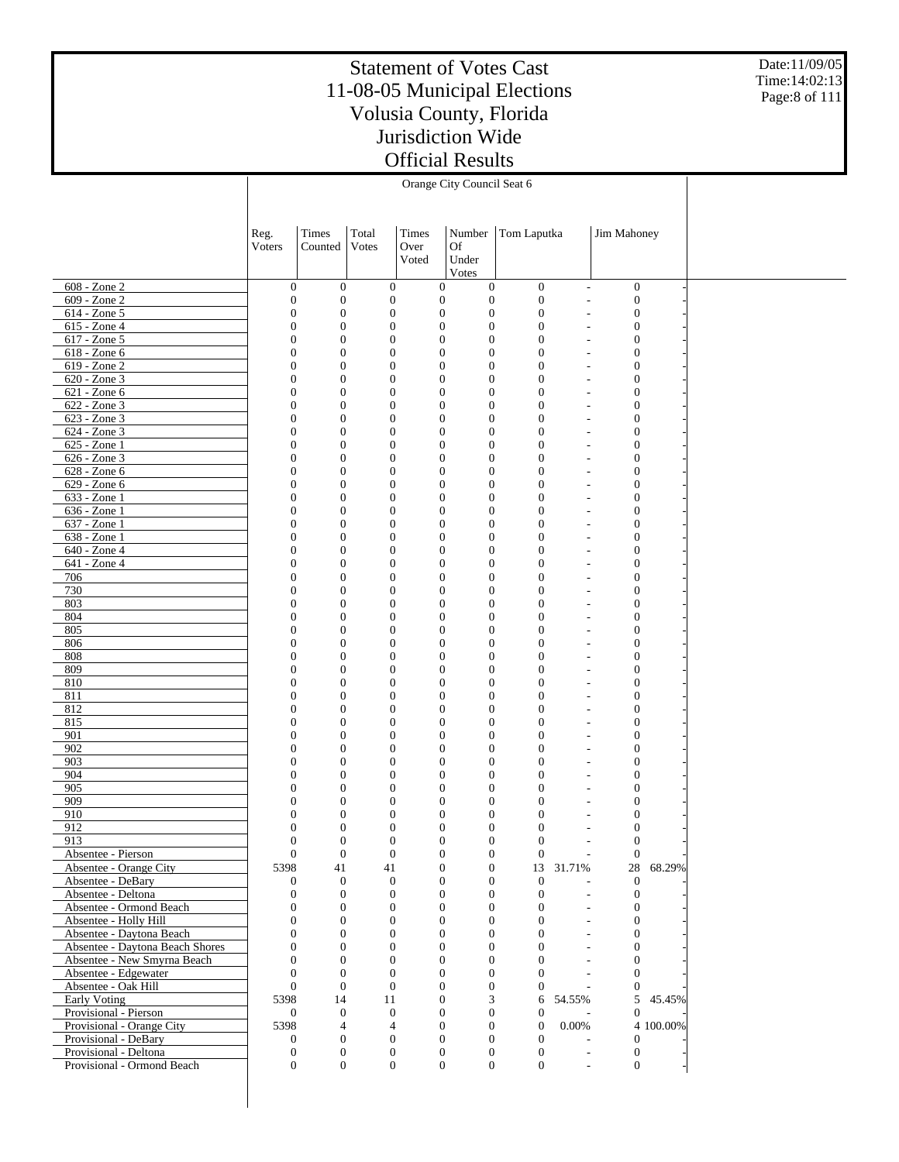Date:11/09/05 Time:14:02:13 Page:8 of 111

#### Statement of Votes Cast 11-08-05 Municipal Elections Volusia County, Florida Jurisdiction Wide Official Results Orange City Council Seat 6

|                                 |                  |                  |                |                        | Orange City Council Seat of           |                                      |                          |                  |           |  |
|---------------------------------|------------------|------------------|----------------|------------------------|---------------------------------------|--------------------------------------|--------------------------|------------------|-----------|--|
|                                 | Reg.<br>Voters   | Times<br>Counted | Total<br>Votes | Times<br>Over<br>Voted | Number<br><b>Of</b><br>Under<br>Votes | Tom Laputka                          |                          | Jim Mahoney      |           |  |
| 608 - Zone 2                    | $\boldsymbol{0}$ | $\mathbf{0}$     |                | $\mathbf{0}$           | $\boldsymbol{0}$                      | $\boldsymbol{0}$<br>$\mathbf{0}$     | ÷,                       | $\boldsymbol{0}$ |           |  |
| 609 - Zone 2                    | $\boldsymbol{0}$ | $\boldsymbol{0}$ |                | $\boldsymbol{0}$       | $\boldsymbol{0}$                      | $\boldsymbol{0}$<br>$\boldsymbol{0}$ | $\overline{a}$           | $\boldsymbol{0}$ |           |  |
| 614 - Zone 5                    | $\mathbf{0}$     | $\boldsymbol{0}$ |                | $\boldsymbol{0}$       | $\boldsymbol{0}$                      | $\boldsymbol{0}$<br>$\boldsymbol{0}$ |                          | $\boldsymbol{0}$ |           |  |
| 615 - Zone 4                    | $\mathbf{0}$     | $\boldsymbol{0}$ |                | $\mathbf{0}$           | $\boldsymbol{0}$                      | $\boldsymbol{0}$<br>$\boldsymbol{0}$ |                          | $\boldsymbol{0}$ |           |  |
| 617 - Zone 5                    | $\mathbf{0}$     | $\boldsymbol{0}$ |                | $\mathbf{0}$           | $\boldsymbol{0}$                      | $\boldsymbol{0}$<br>$\mathbf{0}$     |                          | $\boldsymbol{0}$ |           |  |
| 618 - Zone 6                    | $\mathbf{0}$     | $\boldsymbol{0}$ |                | $\mathbf{0}$           | $\boldsymbol{0}$                      | $\boldsymbol{0}$<br>$\mathbf{0}$     |                          | $\boldsymbol{0}$ |           |  |
| 619 - Zone 2                    | $\mathbf{0}$     | $\boldsymbol{0}$ |                | $\boldsymbol{0}$       | $\boldsymbol{0}$                      | $\boldsymbol{0}$<br>$\mathbf{0}$     |                          | $\boldsymbol{0}$ |           |  |
| 620 - Zone 3                    | $\mathbf{0}$     | $\boldsymbol{0}$ |                | $\mathbf{0}$           | $\boldsymbol{0}$                      | $\boldsymbol{0}$<br>$\mathbf{0}$     |                          | $\boldsymbol{0}$ |           |  |
| 621 - Zone 6                    | $\mathbf{0}$     | $\boldsymbol{0}$ |                | $\boldsymbol{0}$       | $\boldsymbol{0}$                      | $\boldsymbol{0}$<br>$\mathbf{0}$     |                          | $\boldsymbol{0}$ |           |  |
| 622 - Zone 3                    | $\mathbf{0}$     | $\boldsymbol{0}$ |                | $\mathbf{0}$           | $\boldsymbol{0}$                      | $\boldsymbol{0}$<br>$\mathbf{0}$     |                          | $\boldsymbol{0}$ |           |  |
| 623 - Zone 3                    | $\mathbf{0}$     | $\boldsymbol{0}$ |                | $\boldsymbol{0}$       | $\boldsymbol{0}$<br>$\boldsymbol{0}$  | $\mathbf{0}$                         |                          | $\boldsymbol{0}$ |           |  |
| 624 - Zone 3                    | $\mathbf{0}$     | $\boldsymbol{0}$ |                | $\mathbf{0}$           | $\boldsymbol{0}$                      | $\boldsymbol{0}$<br>$\mathbf{0}$     |                          | $\boldsymbol{0}$ |           |  |
| 625 - Zone 1                    | $\mathbf{0}$     | $\boldsymbol{0}$ |                | $\mathbf{0}$           | $\boldsymbol{0}$<br>$\boldsymbol{0}$  | $\mathbf{0}$                         |                          | $\boldsymbol{0}$ |           |  |
| 626 - Zone 3                    | $\mathbf{0}$     | $\boldsymbol{0}$ |                | $\mathbf{0}$           | $\boldsymbol{0}$                      | $\boldsymbol{0}$<br>$\mathbf{0}$     |                          | $\boldsymbol{0}$ |           |  |
| 628 - Zone 6                    | $\mathbf{0}$     | $\mathbf{0}$     |                | $\boldsymbol{0}$       | $\boldsymbol{0}$<br>$\boldsymbol{0}$  | $\mathbf{0}$                         |                          | $\boldsymbol{0}$ |           |  |
| 629 - Zone 6                    | $\mathbf{0}$     | $\boldsymbol{0}$ |                | $\mathbf{0}$           | $\boldsymbol{0}$                      | $\boldsymbol{0}$<br>$\mathbf{0}$     |                          | $\boldsymbol{0}$ |           |  |
| $633 - Z$ one 1                 | $\mathbf{0}$     | $\boldsymbol{0}$ |                | $\mathbf{0}$           | $\boldsymbol{0}$<br>$\boldsymbol{0}$  | $\mathbf{0}$                         |                          | $\boldsymbol{0}$ |           |  |
| 636 - Zone 1                    | $\mathbf{0}$     | $\boldsymbol{0}$ |                | $\mathbf{0}$           | $\boldsymbol{0}$                      | $\boldsymbol{0}$<br>$\mathbf{0}$     |                          | $\boldsymbol{0}$ |           |  |
| 637 - Zone 1                    | $\mathbf{0}$     | $\mathbf{0}$     |                | $\boldsymbol{0}$       | $\boldsymbol{0}$<br>$\boldsymbol{0}$  | $\mathbf{0}$                         |                          | $\boldsymbol{0}$ |           |  |
| 638 - Zone 1                    | $\mathbf{0}$     | $\boldsymbol{0}$ |                | $\mathbf{0}$           | $\boldsymbol{0}$                      | $\boldsymbol{0}$<br>$\mathbf{0}$     |                          | $\boldsymbol{0}$ |           |  |
| 640 - Zone 4                    | $\mathbf{0}$     | $\mathbf{0}$     |                | $\mathbf{0}$           | $\boldsymbol{0}$<br>$\boldsymbol{0}$  | $\mathbf{0}$                         |                          | $\boldsymbol{0}$ |           |  |
| 641 - Zone 4                    | $\mathbf{0}$     | $\boldsymbol{0}$ |                | $\mathbf{0}$           | $\boldsymbol{0}$                      | $\boldsymbol{0}$<br>$\mathbf{0}$     |                          | $\boldsymbol{0}$ |           |  |
| 706                             | $\mathbf{0}$     | $\mathbf{0}$     |                | $\boldsymbol{0}$       | $\boldsymbol{0}$<br>$\boldsymbol{0}$  | $\mathbf{0}$                         |                          | $\boldsymbol{0}$ |           |  |
| 730                             | $\mathbf{0}$     | $\boldsymbol{0}$ |                | $\mathbf{0}$           | $\boldsymbol{0}$                      | $\boldsymbol{0}$<br>$\mathbf{0}$     |                          | $\boldsymbol{0}$ |           |  |
| 803                             | $\mathbf{0}$     | $\mathbf{0}$     |                | $\mathbf{0}$           | $\boldsymbol{0}$<br>$\boldsymbol{0}$  | $\mathbf{0}$                         |                          | $\boldsymbol{0}$ |           |  |
| 804                             | $\mathbf{0}$     | $\boldsymbol{0}$ |                | $\mathbf{0}$           | $\boldsymbol{0}$                      | $\boldsymbol{0}$<br>$\mathbf{0}$     |                          | $\boldsymbol{0}$ |           |  |
| 805                             | $\mathbf{0}$     | $\mathbf{0}$     |                | $\boldsymbol{0}$       | $\boldsymbol{0}$<br>$\boldsymbol{0}$  | $\mathbf{0}$                         |                          | $\boldsymbol{0}$ |           |  |
| 806                             | $\mathbf{0}$     | $\boldsymbol{0}$ |                | $\mathbf{0}$           | $\boldsymbol{0}$                      | $\boldsymbol{0}$<br>$\mathbf{0}$     |                          | $\boldsymbol{0}$ |           |  |
| 808                             | $\mathbf{0}$     | $\mathbf{0}$     |                | $\mathbf{0}$           | $\boldsymbol{0}$                      | $\boldsymbol{0}$<br>$\mathbf{0}$     |                          | $\boldsymbol{0}$ |           |  |
| 809                             | $\mathbf{0}$     | $\boldsymbol{0}$ |                | $\mathbf{0}$           | $\boldsymbol{0}$                      | $\boldsymbol{0}$<br>$\mathbf{0}$     |                          | $\boldsymbol{0}$ |           |  |
| 810                             | $\mathbf{0}$     | $\mathbf{0}$     |                | $\boldsymbol{0}$       | $\boldsymbol{0}$<br>$\boldsymbol{0}$  | $\mathbf{0}$                         |                          | $\boldsymbol{0}$ |           |  |
| 811                             | $\mathbf{0}$     | $\boldsymbol{0}$ |                | $\mathbf{0}$           | $\boldsymbol{0}$                      | $\boldsymbol{0}$<br>$\mathbf{0}$     |                          | $\boldsymbol{0}$ |           |  |
| 812                             | $\mathbf{0}$     | $\mathbf{0}$     |                | $\boldsymbol{0}$       | $\boldsymbol{0}$                      | $\boldsymbol{0}$<br>$\mathbf{0}$     |                          | $\boldsymbol{0}$ |           |  |
| 815                             | $\mathbf{0}$     | $\boldsymbol{0}$ |                | $\mathbf{0}$           | $\boldsymbol{0}$                      | $\boldsymbol{0}$<br>$\mathbf{0}$     |                          | $\boldsymbol{0}$ |           |  |
| 901                             | $\mathbf{0}$     | $\mathbf{0}$     |                | $\boldsymbol{0}$       | $\boldsymbol{0}$                      | $\boldsymbol{0}$<br>$\mathbf{0}$     |                          | $\boldsymbol{0}$ |           |  |
| 902                             | $\mathbf{0}$     | $\boldsymbol{0}$ |                | $\mathbf{0}$           | $\boldsymbol{0}$                      | $\boldsymbol{0}$<br>$\mathbf{0}$     |                          | $\boldsymbol{0}$ |           |  |
| 903                             | $\mathbf{0}$     | $\boldsymbol{0}$ |                | $\boldsymbol{0}$       | $\boldsymbol{0}$                      | $\boldsymbol{0}$<br>$\mathbf{0}$     |                          | $\boldsymbol{0}$ |           |  |
| 904                             | $\mathbf{0}$     | $\boldsymbol{0}$ |                | $\mathbf{0}$           | $\boldsymbol{0}$                      | $\boldsymbol{0}$<br>$\mathbf{0}$     |                          | $\boldsymbol{0}$ |           |  |
| 905                             | $\mathbf{0}$     | $\boldsymbol{0}$ |                | $\mathbf{0}$           | $\boldsymbol{0}$                      | $\boldsymbol{0}$<br>$\mathbf{0}$     |                          | $\boldsymbol{0}$ |           |  |
| 909                             | $\overline{0}$   | $\boldsymbol{0}$ |                | $\mathbf{0}$           | $\boldsymbol{0}$                      | $\boldsymbol{0}$<br>$\mathbf{0}$     |                          | $\boldsymbol{0}$ |           |  |
| $\overline{910}$                | $\overline{0}$   | $\boldsymbol{0}$ |                | $\boldsymbol{0}$       | $\boldsymbol{0}$<br>$\boldsymbol{0}$  | $\mathbf{0}$                         |                          | $\boldsymbol{0}$ |           |  |
| 912                             | $\mathbf{0}$     | $\mathbf{0}$     |                | $\mathbf{0}$           | $\boldsymbol{0}$                      | $\boldsymbol{0}$<br>$\overline{0}$   |                          | $\boldsymbol{0}$ |           |  |
| 913                             | $\Omega$         | $\mathbf{0}$     |                | $\mathbf{0}$           | $\Omega$                              | $\boldsymbol{0}$<br>$\Omega$         |                          | $\boldsymbol{0}$ |           |  |
| Absentee - Pierson              | $\boldsymbol{0}$ | $\boldsymbol{0}$ |                | $\boldsymbol{0}$       | $\boldsymbol{0}$                      | $\boldsymbol{0}$<br>$\boldsymbol{0}$ | $\overline{\phantom{a}}$ | $\boldsymbol{0}$ |           |  |
| Absentee - Orange City          | 5398             | 41               | 41             |                        | $\boldsymbol{0}$                      | 13<br>$\overline{0}$                 | 31.71%                   | 28               | 68.29%    |  |
| Absentee - DeBary               | $\mathbf{0}$     | $\theta$         |                | $\mathbf{0}$           | $\boldsymbol{0}$                      | $\mathbf{0}$<br>$\overline{0}$       |                          | $\boldsymbol{0}$ |           |  |
| Absentee - Deltona              | $\Omega$         | $\overline{0}$   |                | $\boldsymbol{0}$       | $\boldsymbol{0}$                      | $\overline{0}$<br>$\overline{0}$     |                          | $\boldsymbol{0}$ |           |  |
| Absentee - Ormond Beach         | $\Omega$         | $\overline{0}$   |                | $\boldsymbol{0}$       | $\boldsymbol{0}$                      | $\overline{0}$<br>$\mathbf{0}$       |                          | 0                |           |  |
| Absentee - Holly Hill           | $\Omega$         | $\overline{0}$   |                | $\boldsymbol{0}$       | $\boldsymbol{0}$                      | $\overline{0}$<br>$\overline{0}$     |                          | $\boldsymbol{0}$ |           |  |
| Absentee - Daytona Beach        | $\Omega$         | $\overline{0}$   |                | $\boldsymbol{0}$       | $\boldsymbol{0}$                      | $\overline{0}$<br>$\theta$           |                          | 0                |           |  |
| Absentee - Daytona Beach Shores | $\Omega$         | $\overline{0}$   |                | $\boldsymbol{0}$       | $\boldsymbol{0}$                      | $\overline{0}$<br>$\overline{0}$     |                          | $\mathbf{0}$     |           |  |
| Absentee - New Smyrna Beach     | $\Omega$         | $\overline{0}$   |                | $\boldsymbol{0}$       | $\boldsymbol{0}$                      | $\overline{0}$<br>$\overline{0}$     |                          | $\overline{0}$   |           |  |
| Absentee - Edgewater            | $\mathbf{0}$     | $\mathbf{0}$     |                | $\boldsymbol{0}$       | $\boldsymbol{0}$                      | $\overline{0}$<br>0                  |                          | $\mathbf{0}$     |           |  |
| Absentee - Oak Hill             | $\Omega$         | $\mathbf{0}$     |                | $\mathbf{0}$           | $\boldsymbol{0}$                      | $\overline{0}$<br>$\overline{0}$     |                          | $\overline{0}$   |           |  |
| Early Voting                    | 5398             | 14               | 11             |                        | $\boldsymbol{0}$                      | 6<br>3                               | 54.55%                   | 5                | 45.45%    |  |
| Provisional - Pierson           | $\Omega$         | $\theta$         |                | $\mathbf{0}$           | $\boldsymbol{0}$                      | $\overline{0}$<br>$\boldsymbol{0}$   |                          | $\mathbf{0}$     |           |  |
| Provisional - Orange City       | 5398             | 4                |                | 4                      | $\boldsymbol{0}$                      | $\overline{0}$<br>$\overline{0}$     | 0.00%                    |                  | 4 100.00% |  |
| Provisional - DeBary            | $\mathbf{0}$     | $\overline{0}$   |                | $\boldsymbol{0}$       | $\mathbf{0}$                          | $\overline{0}$<br>$\mathbf{0}$       |                          | $\boldsymbol{0}$ |           |  |
| Provisional - Deltona           | $\boldsymbol{0}$ | $\overline{0}$   |                | $\boldsymbol{0}$       | $\boldsymbol{0}$                      | $\boldsymbol{0}$<br>0                |                          | $\mathbf{0}$     |           |  |
| Provisional - Ormond Beach      | $\overline{0}$   | $\overline{0}$   |                | $\mathbf{0}$           | $\boldsymbol{0}$                      | $\overline{0}$<br>$\overline{0}$     |                          | $\overline{0}$   |           |  |
|                                 |                  |                  |                |                        |                                       |                                      |                          |                  |           |  |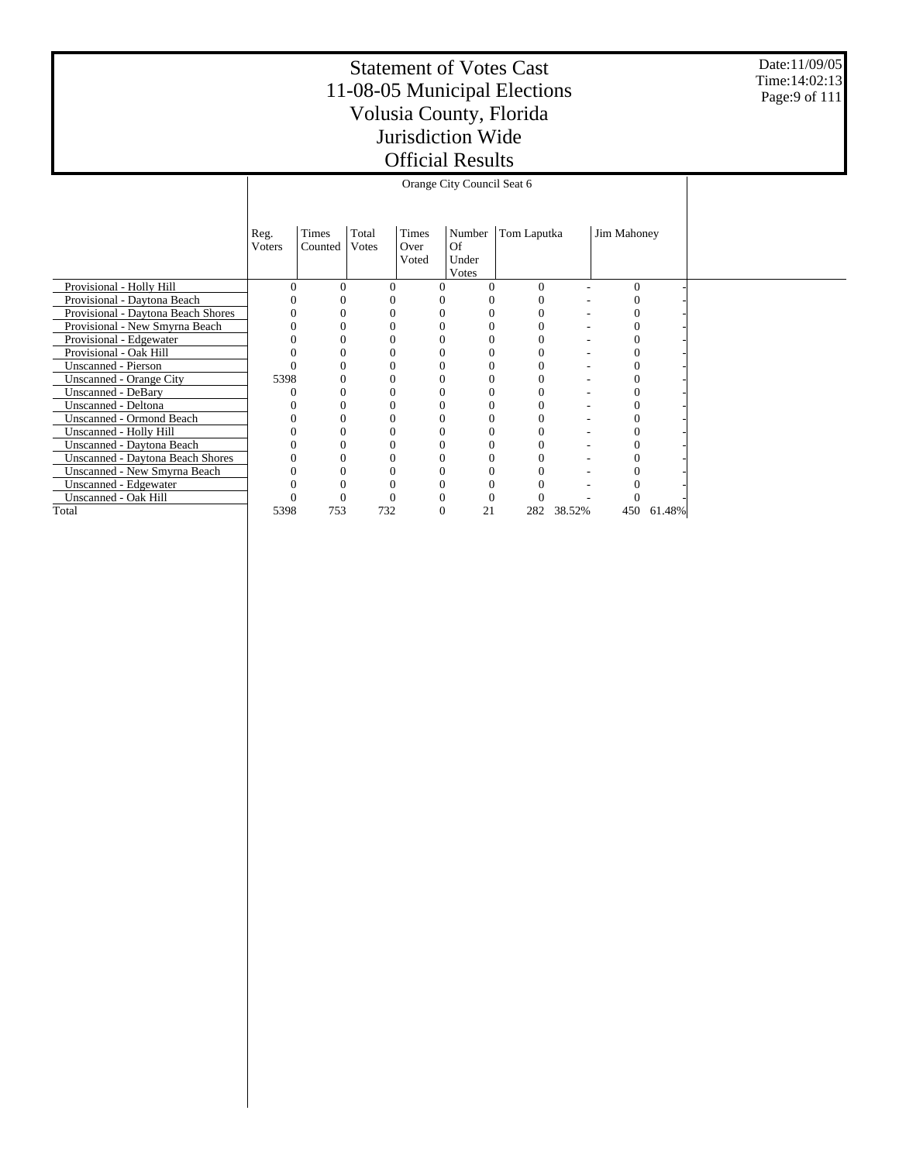Date:11/09/05 Time:14:02:13 Page:9 of 111

 $\overline{\phantom{a}}$ 

#### Statement of Votes Cast 11-08-05 Municipal Elections Volusia County, Florida Jurisdiction Wide Official Results Orange City Council Seat 6

|                                         | Reg.<br>Voters | Times<br>Counted | Total<br>Votes | Times<br>Over<br>Voted | Number<br>Of<br>Under<br>Votes | Tom Laputka |        | Jim Mahoney |        |
|-----------------------------------------|----------------|------------------|----------------|------------------------|--------------------------------|-------------|--------|-------------|--------|
| Provisional - Holly Hill                |                | $\Omega$         | $\Omega$       | 0                      |                                | $\Omega$    |        | 0           |        |
| Provisional - Daytona Beach             |                |                  |                | 0                      |                                |             |        |             |        |
| Provisional - Daytona Beach Shores      |                |                  |                | 0                      | $\Omega$                       |             |        |             |        |
| Provisional - New Smyrna Beach          |                |                  |                | 0                      | $\Omega$                       |             |        |             |        |
| Provisional - Edgewater                 |                |                  |                | 0                      | $\Omega$                       |             |        |             |        |
| Provisional - Oak Hill                  |                |                  |                | 0                      | $\Omega$                       |             | ۰      |             |        |
| <b>Unscanned - Pierson</b>              |                |                  |                | 0                      |                                |             |        |             |        |
| Unscanned - Orange City                 | 5398           | $\Omega$         | $\Omega$       | 0                      | $\Omega$                       |             | ۰      |             |        |
| Unscanned - DeBary                      |                |                  |                | 0                      |                                |             |        |             |        |
| Unscanned - Deltona                     |                |                  |                | 0                      | $\Omega$                       |             |        |             |        |
| Unscanned - Ormond Beach                |                |                  |                | 0                      |                                |             |        |             |        |
| Unscanned - Holly Hill                  |                |                  |                | 0                      | $\Omega$                       |             |        |             |        |
| Unscanned - Daytona Beach               |                |                  |                | 0                      |                                |             |        |             |        |
| <b>Unscanned - Daytona Beach Shores</b> |                |                  |                | 0                      |                                |             |        |             |        |
| Unscanned - New Smyrna Beach            |                |                  |                | 0                      |                                |             |        |             |        |
| Unscanned - Edgewater                   |                |                  | $\Omega$       | 0                      | 0                              |             |        |             |        |
| Unscanned - Oak Hill                    |                |                  |                |                        |                                |             |        |             |        |
| Total                                   | 5398           | 753              | 732            | 0                      | 21                             | 282         | 38.52% | 450         | 61.48% |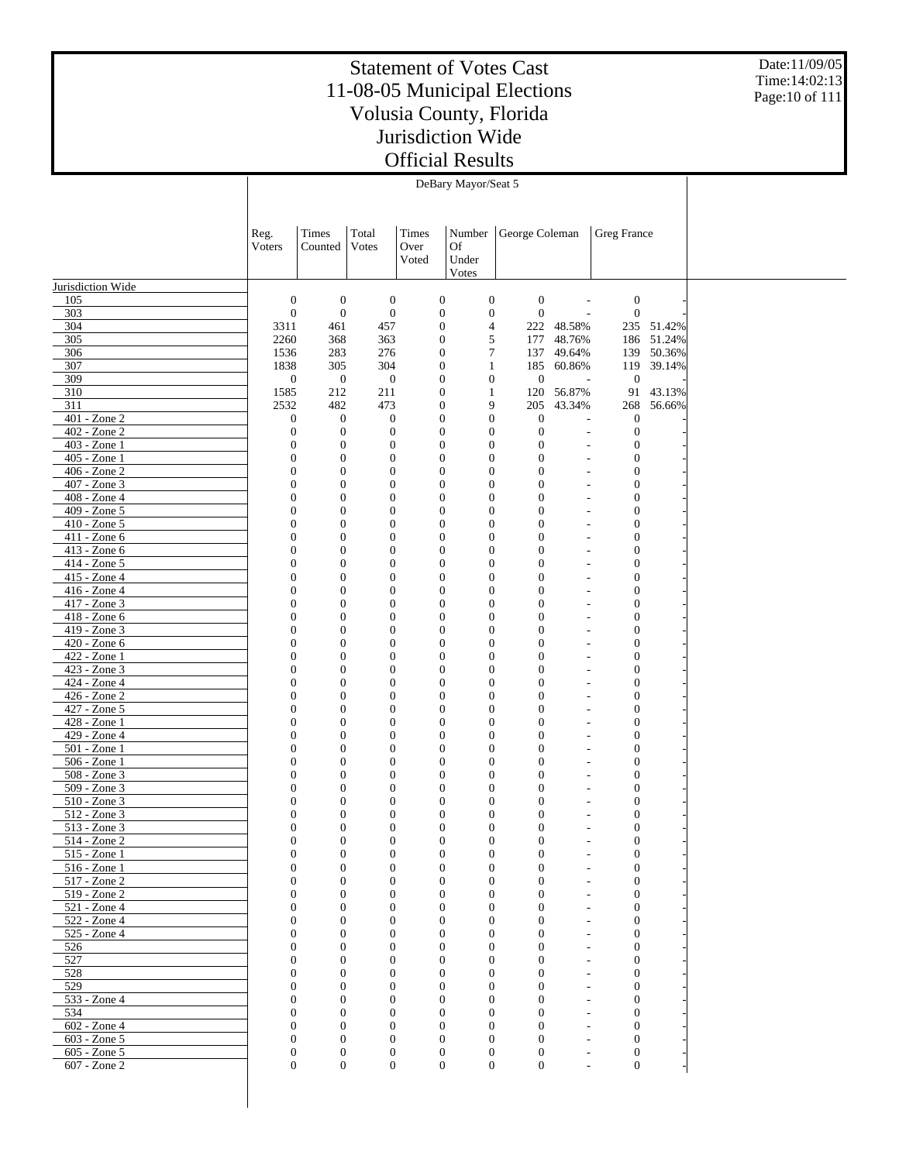Date:11/09/05 Time:14:02:13 Page:10 of 111

# Statement of Votes Cast 11-08-05 Municipal Elections Volusia County, Florida Jurisdiction Wide Official Results

DeBary Mayor/Seat 5

|                              | Reg.                             | Times                                | Total                                | Times         | Number                                                                       | George Coleman                       |                          | Greg France                          |            |
|------------------------------|----------------------------------|--------------------------------------|--------------------------------------|---------------|------------------------------------------------------------------------------|--------------------------------------|--------------------------|--------------------------------------|------------|
|                              | Voters                           | Counted                              | <b>Votes</b>                         | Over<br>Voted | Of<br>Under                                                                  |                                      |                          |                                      |            |
|                              |                                  |                                      |                                      |               | Votes                                                                        |                                      |                          |                                      |            |
| Jurisdiction Wide            |                                  |                                      |                                      |               |                                                                              |                                      |                          |                                      |            |
| 105<br>303                   | $\boldsymbol{0}$<br>$\mathbf{0}$ | $\boldsymbol{0}$                     | $\boldsymbol{0}$                     |               | $\boldsymbol{0}$<br>$\boldsymbol{0}$<br>$\boldsymbol{0}$<br>$\boldsymbol{0}$ | $\boldsymbol{0}$<br>$\boldsymbol{0}$ | $\overline{a}$<br>÷,     | $\boldsymbol{0}$<br>$\mathbf{0}$     |            |
| 304                          | 3311                             | $\boldsymbol{0}$<br>461              | $\boldsymbol{0}$<br>457              |               | $\boldsymbol{0}$<br>4                                                        |                                      | 222 48.58%               |                                      | 235 51.42% |
| 305                          | 2260                             | 368                                  | 363                                  |               | $\boldsymbol{0}$<br>5                                                        | 177                                  | 48.76%                   |                                      | 186 51.24% |
| 306                          | 1536                             | 283                                  | 276                                  |               | 7<br>$\boldsymbol{0}$                                                        |                                      | 137 49.64%               |                                      | 139 50.36% |
| 307                          | 1838                             | 305                                  | 304                                  |               | $\boldsymbol{0}$<br>$\mathbf{1}$                                             | 185                                  | 60.86%                   |                                      | 119 39.14% |
| 309                          | $\boldsymbol{0}$                 | $\boldsymbol{0}$                     | $\mathbf{0}$                         |               | $\boldsymbol{0}$<br>$\boldsymbol{0}$                                         | $\mathbf{0}$                         | $\overline{\phantom{a}}$ | $\mathbf{0}$                         |            |
| 310                          | 1585                             | 212                                  | 211                                  |               | $\boldsymbol{0}$<br>$\mathbf{1}$                                             | 120                                  | 56.87%                   | 91                                   | 43.13%     |
| 311<br>401 - Zone 2          | 2532<br>$\boldsymbol{0}$         | 482<br>$\mathbf{0}$                  | 473<br>$\boldsymbol{0}$              |               | $\boldsymbol{0}$<br>9<br>$\boldsymbol{0}$<br>$\boldsymbol{0}$                | 205<br>$\mathbf{0}$                  | 43.34%                   | $\boldsymbol{0}$                     | 268 56.66% |
| 402 - Zone 2                 | $\mathbf{0}$                     | $\boldsymbol{0}$                     | $\boldsymbol{0}$                     |               | $\boldsymbol{0}$<br>$\boldsymbol{0}$                                         | $\mathbf{0}$                         | ÷,                       | $\boldsymbol{0}$                     |            |
| 403 - Zone 1                 | $\mathbf{0}$                     | 0                                    | $\boldsymbol{0}$                     |               | $\boldsymbol{0}$<br>$\mathbf{0}$                                             | $\theta$                             |                          | $\boldsymbol{0}$                     |            |
| 405 - Zone 1                 | $\theta$                         | $\boldsymbol{0}$                     | $\boldsymbol{0}$                     |               | $\boldsymbol{0}$<br>$\mathbf{0}$                                             | $\overline{0}$                       |                          | $\boldsymbol{0}$                     |            |
| 406 - Zone 2                 | $\mathbf{0}$                     | $\boldsymbol{0}$                     | $\boldsymbol{0}$                     |               | $\boldsymbol{0}$<br>$\mathbf{0}$                                             | $\overline{0}$                       |                          | $\boldsymbol{0}$                     |            |
| 407 - Zone 3                 | $\theta$                         | $\boldsymbol{0}$                     | $\boldsymbol{0}$                     |               | $\boldsymbol{0}$<br>$\boldsymbol{0}$                                         | $\overline{0}$                       |                          | $\boldsymbol{0}$                     |            |
| 408 - Zone 4                 | $\mathbf{0}$                     | $\boldsymbol{0}$                     | $\boldsymbol{0}$                     |               | $\boldsymbol{0}$<br>$\boldsymbol{0}$                                         | $\boldsymbol{0}$                     |                          | $\boldsymbol{0}$                     |            |
| 409 - Zone 5<br>410 - Zone 5 | $\theta$<br>$\mathbf{0}$         | $\boldsymbol{0}$<br>$\boldsymbol{0}$ | $\boldsymbol{0}$<br>$\boldsymbol{0}$ |               | $\boldsymbol{0}$<br>$\boldsymbol{0}$<br>$\boldsymbol{0}$<br>$\mathbf{0}$     | $\overline{0}$<br>$\overline{0}$     |                          | $\boldsymbol{0}$<br>$\boldsymbol{0}$ |            |
| 411 - Zone 6                 | $\theta$                         | $\boldsymbol{0}$                     | $\boldsymbol{0}$                     |               | $\boldsymbol{0}$<br>$\boldsymbol{0}$                                         | $\overline{0}$                       |                          | $\boldsymbol{0}$                     |            |
| 413 - Zone 6                 | $\mathbf{0}$                     | $\boldsymbol{0}$                     | $\boldsymbol{0}$                     |               | $\boldsymbol{0}$<br>$\mathbf{0}$                                             | $\boldsymbol{0}$                     |                          | $\boldsymbol{0}$                     |            |
| 414 - Zone 5                 | $\theta$                         | $\boldsymbol{0}$                     | $\boldsymbol{0}$                     |               | $\boldsymbol{0}$<br>$\boldsymbol{0}$                                         | $\overline{0}$                       |                          | $\boldsymbol{0}$                     |            |
| 415 - Zone 4                 | $\mathbf{0}$                     | $\boldsymbol{0}$                     | $\boldsymbol{0}$                     |               | $\boldsymbol{0}$<br>$\boldsymbol{0}$                                         | $\overline{0}$                       |                          | $\boldsymbol{0}$                     |            |
| 416 - Zone 4                 | $\theta$                         | $\boldsymbol{0}$                     | $\boldsymbol{0}$                     |               | $\boldsymbol{0}$<br>$\boldsymbol{0}$                                         | $\overline{0}$                       |                          | $\boldsymbol{0}$                     |            |
| 417 - Zone 3                 | $\mathbf{0}$                     | $\boldsymbol{0}$                     | $\boldsymbol{0}$                     |               | $\boldsymbol{0}$<br>$\mathbf{0}$                                             | $\boldsymbol{0}$                     |                          | $\boldsymbol{0}$                     |            |
| 418 - Zone 6<br>419 - Zone 3 | $\theta$<br>$\mathbf{0}$         | $\boldsymbol{0}$<br>$\boldsymbol{0}$ | $\boldsymbol{0}$<br>$\boldsymbol{0}$ |               | $\boldsymbol{0}$<br>$\boldsymbol{0}$<br>$\boldsymbol{0}$<br>0                | $\overline{0}$<br>$\overline{0}$     |                          | $\boldsymbol{0}$<br>$\boldsymbol{0}$ |            |
| 420 - Zone 6                 | $\theta$                         | $\boldsymbol{0}$                     | $\boldsymbol{0}$                     |               | $\boldsymbol{0}$<br>$\boldsymbol{0}$                                         | $\overline{0}$                       |                          | $\boldsymbol{0}$                     |            |
| 422 - Zone 1                 | $\mathbf{0}$                     | $\boldsymbol{0}$                     | $\boldsymbol{0}$                     |               | $\boldsymbol{0}$<br>$\mathbf{0}$                                             | $\overline{0}$                       |                          | $\boldsymbol{0}$                     |            |
| 423 - Zone 3                 | $\theta$                         | $\boldsymbol{0}$                     | $\boldsymbol{0}$                     |               | $\boldsymbol{0}$<br>$\mathbf{0}$                                             | $\overline{0}$                       |                          | $\boldsymbol{0}$                     |            |
| 424 - Zone 4                 | $\mathbf{0}$                     | $\boldsymbol{0}$                     | $\boldsymbol{0}$                     |               | $\boldsymbol{0}$<br>0                                                        | $\overline{0}$                       |                          | $\boldsymbol{0}$                     |            |
| 426 - Zone 2                 | $\theta$                         | $\boldsymbol{0}$                     | $\boldsymbol{0}$                     |               | $\boldsymbol{0}$<br>$\boldsymbol{0}$                                         | $\boldsymbol{0}$                     |                          | $\boldsymbol{0}$                     |            |
| 427 - Zone 5<br>428 - Zone 1 | $\mathbf{0}$<br>$\theta$         | $\boldsymbol{0}$<br>$\boldsymbol{0}$ | $\boldsymbol{0}$<br>$\boldsymbol{0}$ |               | $\boldsymbol{0}$<br>$\boldsymbol{0}$<br>$\boldsymbol{0}$<br>$\mathbf{0}$     | $\overline{0}$<br>$\overline{0}$     |                          | $\boldsymbol{0}$                     |            |
| 429 - Zone 4                 | $\mathbf{0}$                     | $\boldsymbol{0}$                     | $\boldsymbol{0}$                     |               | $\boldsymbol{0}$<br>$\mathbf{0}$                                             | $\overline{0}$                       |                          | $\boldsymbol{0}$<br>$\boldsymbol{0}$ |            |
| 501 - Zone 1                 | $\theta$                         | $\boldsymbol{0}$                     | $\boldsymbol{0}$                     |               | $\boldsymbol{0}$<br>$\boldsymbol{0}$                                         | $\boldsymbol{0}$                     |                          | $\boldsymbol{0}$                     |            |
| 506 - Zone 1                 | $\mathbf{0}$                     | $\boldsymbol{0}$                     | $\boldsymbol{0}$                     |               | $\boldsymbol{0}$<br>$\boldsymbol{0}$                                         | $\boldsymbol{0}$                     |                          | $\boldsymbol{0}$                     |            |
| 508 - Zone 3                 | $\theta$                         | $\boldsymbol{0}$                     | $\boldsymbol{0}$                     |               | $\boldsymbol{0}$<br>$\boldsymbol{0}$                                         | $\overline{0}$                       |                          | $\boldsymbol{0}$                     |            |
| 509 - Zone 3                 | $\mathbf{0}$                     | $\boldsymbol{0}$                     | $\boldsymbol{0}$                     |               | $\boldsymbol{0}$<br>$\mathbf{0}$                                             | $\overline{0}$                       |                          | $\boldsymbol{0}$                     |            |
| 510 - Zone 3                 | $\theta$                         | $\boldsymbol{0}$                     | $\boldsymbol{0}$                     |               | $\boldsymbol{0}$<br>$\boldsymbol{0}$                                         | $\boldsymbol{0}$                     |                          | $\boldsymbol{0}$                     |            |
| 512 - Zone 3<br>513 - Zone 3 | $\mathbf{0}$<br>$\Omega$         | $\boldsymbol{0}$<br>0                | $\boldsymbol{0}$<br>$\mathbf{0}$     |               | $\boldsymbol{0}$<br>$\boldsymbol{0}$<br>$\overline{0}$<br>$\mathbf{0}$       | $\overline{0}$<br>$\overline{0}$     |                          | $\boldsymbol{0}$<br>$\boldsymbol{0}$ |            |
| 514 - Zone 2                 | $\theta$                         | $\boldsymbol{0}$                     | $\boldsymbol{0}$                     |               | $\boldsymbol{0}$<br>$\mathbf{0}$                                             | $\overline{0}$                       |                          | $\boldsymbol{0}$                     |            |
| 515 - Zone 1                 | $\overline{0}$                   | $\theta$                             | $\mathbf{0}$                         |               | $\mathbf{0}$<br>$\mathbf{0}$                                                 | $\overline{0}$                       |                          | $\mathbf{0}$                         |            |
| 516 - Zone 1                 | $\Omega$                         | $\overline{0}$                       | $\Omega$                             |               | $\Omega$<br>$\Omega$                                                         | $\Omega$                             |                          | $\Omega$                             |            |
| 517 - Zone 2                 | $\theta$                         | 0                                    | $\mathbf{0}$                         |               | $\overline{0}$<br>$\overline{0}$                                             | $\overline{0}$                       |                          | $\mathbf{0}$                         |            |
| 519 - Zone 2                 | $\theta$                         | 0                                    | $\boldsymbol{0}$                     |               | $\boldsymbol{0}$<br>$\mathbf{0}$                                             | $\overline{0}$                       |                          | $\boldsymbol{0}$                     |            |
| 521 - Zone 4<br>522 - Zone 4 | $\Omega$<br>$\mathbf{0}$         | $\overline{0}$<br>$\overline{0}$     | $\mathbf{0}$<br>$\mathbf{0}$         |               | $\theta$<br>$\mathbf{0}$<br>$\mathbf{0}$<br>$\overline{0}$                   | $\overline{0}$<br>$\overline{0}$     |                          | $\mathbf{0}$<br>$\boldsymbol{0}$     |            |
| 525 - Zone 4                 | $\Omega$                         | $\overline{0}$                       | $\mathbf{0}$                         |               | $\theta$<br>$\overline{0}$                                                   | $\overline{0}$                       |                          | $\mathbf{0}$                         |            |
| 526                          | $\mathbf{0}$                     | $\overline{0}$                       | $\mathbf{0}$                         |               | $\mathbf{0}$<br>$\overline{0}$                                               | $\overline{0}$                       |                          | $\boldsymbol{0}$                     |            |
| 527                          | $\Omega$                         | $\overline{0}$                       | $\mathbf{0}$                         |               | $\theta$<br>$\theta$                                                         | $\overline{0}$                       |                          | $\mathbf{0}$                         |            |
| 528                          | $\Omega$                         | $\overline{0}$                       | $\mathbf{0}$                         |               | $\mathbf{0}$<br>$\overline{0}$                                               | $\overline{0}$                       |                          | $\mathbf{0}$                         |            |
| 529                          | $\Omega$                         | $\overline{0}$                       | $\mathbf{0}$                         |               | $\theta$<br>$\theta$                                                         | $\overline{0}$                       |                          | $\mathbf{0}$                         |            |
| 533 - Zone 4                 | $\mathbf{0}$                     | $\overline{0}$                       | $\mathbf{0}$                         |               | $\mathbf{0}$<br>$\overline{0}$                                               | $\overline{0}$                       |                          | $\boldsymbol{0}$                     |            |
| 534<br>602 - Zone 4          | $\Omega$<br>$\Omega$             | $\overline{0}$<br>$\overline{0}$     | $\mathbf{0}$<br>$\mathbf{0}$         |               | $\theta$<br>$\theta$<br>$\mathbf{0}$<br>$\overline{0}$                       | $\overline{0}$<br>$\overline{0}$     |                          | $\mathbf{0}$<br>$\boldsymbol{0}$     |            |
| 603 - Zone 5                 | $\Omega$                         | $\overline{0}$                       | $\mathbf{0}$                         |               | $\theta$<br>$\overline{0}$                                                   | $\overline{0}$                       |                          | $\mathbf{0}$                         |            |
| 605 - Zone 5                 | $\mathbf{0}$                     | 0                                    | $\boldsymbol{0}$                     |               | $\boldsymbol{0}$<br>$\boldsymbol{0}$                                         | $\boldsymbol{0}$                     |                          | $\boldsymbol{0}$                     |            |
| 607 - Zone 2                 | $\theta$                         | $\overline{0}$                       | $\boldsymbol{0}$                     |               | $\mathbf{0}$<br>$\mathbf{0}$                                                 | $\boldsymbol{0}$                     | ÷,                       | $\mathbf{0}$                         |            |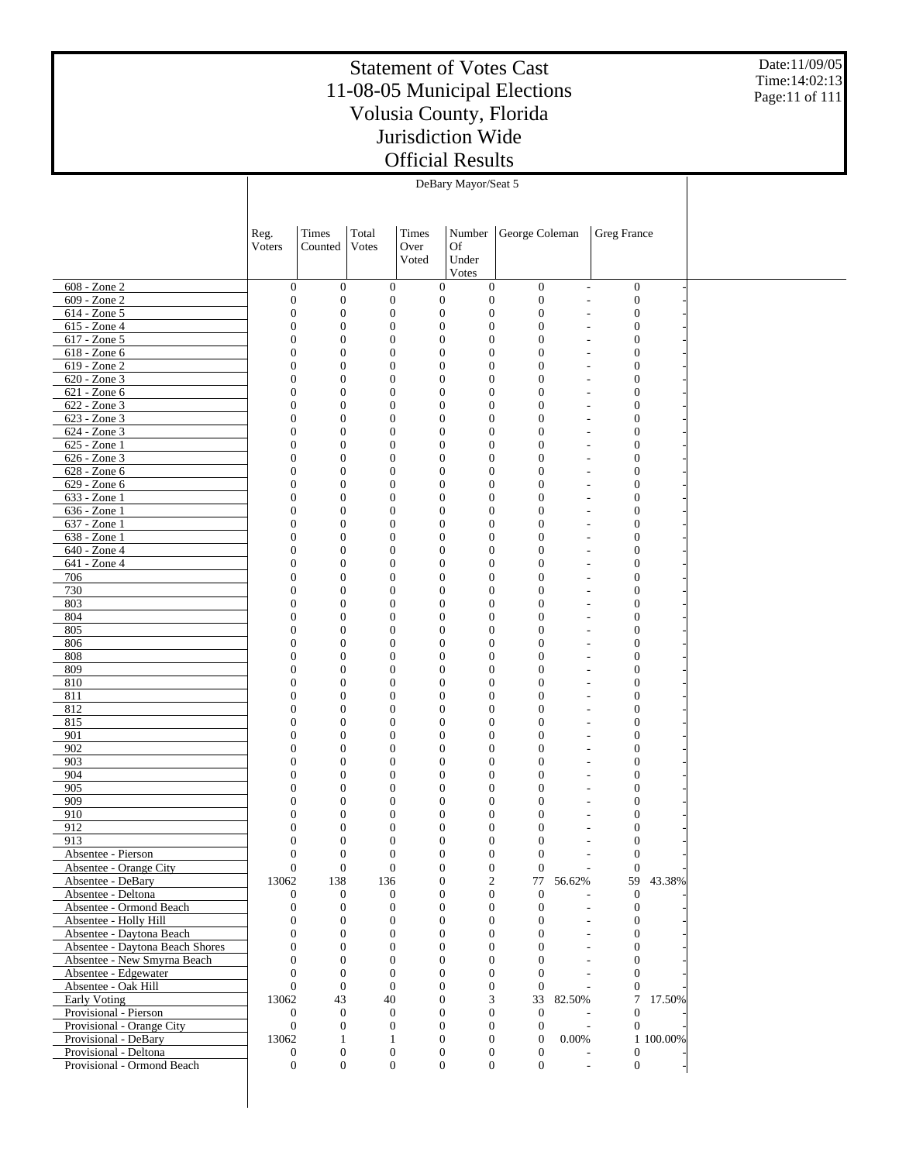Date:11/09/05 Time:14:02:13 Page:11 of 111

# Statement of Votes Cast 11-08-05 Municipal Elections Volusia County, Florida Jurisdiction Wide Official Results

DeBary Mayor/Seat 5

|                                                     | Reg.                             | <b>Times</b>                       | Total                                | Times |                                      | Number                             | George Coleman                       |                          | Greg France                          |           |
|-----------------------------------------------------|----------------------------------|------------------------------------|--------------------------------------|-------|--------------------------------------|------------------------------------|--------------------------------------|--------------------------|--------------------------------------|-----------|
|                                                     | Voters                           | Counted                            | <b>Votes</b>                         | Over  | Of                                   |                                    |                                      |                          |                                      |           |
|                                                     |                                  |                                    |                                      | Voted | Under                                |                                    |                                      |                          |                                      |           |
|                                                     |                                  |                                    |                                      |       | Votes                                |                                    |                                      |                          |                                      |           |
| 608 - Zone 2                                        | $\boldsymbol{0}$                 | $\boldsymbol{0}$                   | $\boldsymbol{0}$                     |       | $\boldsymbol{0}$                     | $\boldsymbol{0}$                   | $\boldsymbol{0}$                     | $\overline{\phantom{a}}$ | $\boldsymbol{0}$                     |           |
| 609 - Zone 2                                        | $\boldsymbol{0}$                 | $\boldsymbol{0}$                   | $\boldsymbol{0}$                     |       | $\boldsymbol{0}$                     | $\boldsymbol{0}$                   | $\boldsymbol{0}$                     | ÷,                       | $\boldsymbol{0}$                     |           |
| 614 - Zone 5                                        | $\mathbf{0}$                     | $\boldsymbol{0}$                   | $\boldsymbol{0}$                     |       | $\boldsymbol{0}$                     | $\boldsymbol{0}$                   | $\boldsymbol{0}$                     | ٠                        | $\boldsymbol{0}$                     |           |
| 615 - Zone 4                                        | $\mathbf{0}$                     | $\mathbf{0}$                       | $\boldsymbol{0}$                     |       | $\boldsymbol{0}$                     | $\boldsymbol{0}$                   | $\boldsymbol{0}$                     |                          | $\boldsymbol{0}$                     |           |
| 617 - Zone 5<br>618 - Zone 6                        | $\mathbf{0}$<br>$\mathbf{0}$     | $\boldsymbol{0}$<br>$\overline{0}$ | $\boldsymbol{0}$<br>$\boldsymbol{0}$ |       | $\boldsymbol{0}$<br>$\boldsymbol{0}$ | $\boldsymbol{0}$<br>$\mathbf{0}$   | $\boldsymbol{0}$<br>$\boldsymbol{0}$ | ٠                        | $\mathbf{0}$                         |           |
| 619 - Zone 2                                        | $\overline{0}$                   | $\theta$                           | $\boldsymbol{0}$                     |       | $\boldsymbol{0}$                     | $\mathbf{0}$                       | $\boldsymbol{0}$                     | ٠                        | $\boldsymbol{0}$<br>$\mathbf{0}$     |           |
| 620 - Zone 3                                        | $\mathbf{0}$                     | $\overline{0}$                     | $\boldsymbol{0}$                     |       | $\boldsymbol{0}$                     | $\mathbf{0}$                       | $\boldsymbol{0}$                     |                          | $\mathbf{0}$                         |           |
| 621 - Zone 6                                        | $\overline{0}$                   | $\theta$                           | $\boldsymbol{0}$                     |       | $\boldsymbol{0}$                     | $\boldsymbol{0}$                   | $\boldsymbol{0}$                     | ٠                        | $\mathbf{0}$                         |           |
| 622 - Zone 3                                        | $\mathbf{0}$                     | $\overline{0}$                     | $\boldsymbol{0}$                     |       | $\boldsymbol{0}$                     | $\mathbf{0}$                       | $\boldsymbol{0}$                     |                          | $\boldsymbol{0}$                     |           |
| 623 - Zone 3                                        | $\overline{0}$                   | $\theta$                           | $\boldsymbol{0}$                     |       | $\boldsymbol{0}$                     | $\boldsymbol{0}$                   | $\boldsymbol{0}$                     | Ĭ.                       | $\mathbf{0}$                         |           |
| 624 - Zone 3                                        | $\mathbf{0}$                     | $\mathbf{0}$                       | $\boldsymbol{0}$                     |       | $\boldsymbol{0}$                     | $\mathbf{0}$                       | $\boldsymbol{0}$                     |                          | $\boldsymbol{0}$                     |           |
| 625 - Zone 1                                        | $\mathbf{0}$                     | $\boldsymbol{0}$                   | $\boldsymbol{0}$                     |       | $\boldsymbol{0}$                     | $\boldsymbol{0}$                   | $\boldsymbol{0}$                     | ٠                        | $\mathbf{0}$                         |           |
| 626 - Zone 3                                        | $\mathbf{0}$                     | $\overline{0}$                     | $\boldsymbol{0}$                     |       | $\boldsymbol{0}$                     | $\boldsymbol{0}$                   | $\boldsymbol{0}$                     |                          | $\boldsymbol{0}$                     |           |
| 628 - Zone 6                                        | $\overline{0}$                   | $\theta$                           | $\boldsymbol{0}$                     |       | $\boldsymbol{0}$                     | $\boldsymbol{0}$                   | $\boldsymbol{0}$                     | Ĭ.                       | $\mathbf{0}$                         |           |
| 629 - Zone 6                                        | $\mathbf{0}$                     | $\mathbf{0}$                       | $\boldsymbol{0}$                     |       | $\boldsymbol{0}$                     | $\mathbf{0}$                       | $\boldsymbol{0}$                     |                          | $\boldsymbol{0}$                     |           |
| 633 - Zone 1<br>636 - Zone 1                        | $\overline{0}$<br>$\mathbf{0}$   | $\boldsymbol{0}$<br>$\overline{0}$ | $\boldsymbol{0}$<br>$\boldsymbol{0}$ |       | $\boldsymbol{0}$<br>$\boldsymbol{0}$ | $\boldsymbol{0}$<br>$\mathbf{0}$   | $\boldsymbol{0}$<br>$\boldsymbol{0}$ | Ĭ.                       | $\boldsymbol{0}$<br>$\boldsymbol{0}$ |           |
| 637 - Zone 1                                        | $\overline{0}$                   | $\theta$                           | $\boldsymbol{0}$                     |       | $\boldsymbol{0}$                     | $\boldsymbol{0}$                   | $\boldsymbol{0}$                     | Ĭ.                       | $\mathbf{0}$                         |           |
| 638 - Zone 1                                        | $\mathbf{0}$                     | $\overline{0}$                     | $\boldsymbol{0}$                     |       | $\boldsymbol{0}$                     | $\mathbf{0}$                       | $\boldsymbol{0}$                     |                          | $\boldsymbol{0}$                     |           |
| 640 - Zone 4                                        | $\mathbf{0}$                     | $\theta$                           | $\boldsymbol{0}$                     |       | $\boldsymbol{0}$                     | $\boldsymbol{0}$                   | $\boldsymbol{0}$                     | ٠                        | $\mathbf{0}$                         |           |
| 641 - Zone 4                                        | $\mathbf{0}$                     | $\overline{0}$                     | $\boldsymbol{0}$                     |       | $\boldsymbol{0}$                     | $\mathbf{0}$                       | $\boldsymbol{0}$                     |                          | $\boldsymbol{0}$                     |           |
| 706                                                 | $\overline{0}$                   | $\theta$                           | $\boldsymbol{0}$                     |       | $\boldsymbol{0}$                     | $\boldsymbol{0}$                   | $\boldsymbol{0}$                     | ٠                        | $\mathbf{0}$                         |           |
| 730                                                 | $\mathbf{0}$                     | $\overline{0}$                     | $\boldsymbol{0}$                     |       | $\boldsymbol{0}$                     | $\mathbf{0}$                       | $\boldsymbol{0}$                     |                          | $\mathbf{0}$                         |           |
| 803                                                 | $\mathbf{0}$                     | $\theta$                           | $\boldsymbol{0}$                     |       | $\boldsymbol{0}$                     | $\boldsymbol{0}$                   | $\boldsymbol{0}$                     | ٠                        | $\mathbf{0}$                         |           |
| 804                                                 | $\mathbf{0}$                     | $\overline{0}$                     | $\boldsymbol{0}$                     |       | $\boldsymbol{0}$                     | $\mathbf{0}$                       | $\boldsymbol{0}$                     |                          | $\boldsymbol{0}$                     |           |
| 805                                                 | $\overline{0}$                   | $\theta$                           | $\boldsymbol{0}$                     |       | $\boldsymbol{0}$                     | $\boldsymbol{0}$                   | $\boldsymbol{0}$                     | Ĭ.                       | $\mathbf{0}$                         |           |
| 806<br>808                                          | $\mathbf{0}$<br>$\mathbf{0}$     | $\overline{0}$<br>$\mathbf{0}$     | $\boldsymbol{0}$<br>$\boldsymbol{0}$ |       | $\boldsymbol{0}$<br>$\boldsymbol{0}$ | $\mathbf{0}$<br>$\boldsymbol{0}$   | $\boldsymbol{0}$<br>$\boldsymbol{0}$ |                          | $\boldsymbol{0}$<br>$\mathbf{0}$     |           |
| 809                                                 | $\mathbf{0}$                     | $\overline{0}$                     | $\boldsymbol{0}$                     |       | $\boldsymbol{0}$                     | $\boldsymbol{0}$                   | $\boldsymbol{0}$                     | ٠                        | $\boldsymbol{0}$                     |           |
| 810                                                 | $\overline{0}$                   | $\theta$                           | $\boldsymbol{0}$                     |       | $\boldsymbol{0}$                     | $\boldsymbol{0}$                   | $\boldsymbol{0}$                     | ٠                        | $\mathbf{0}$                         |           |
| 811                                                 | $\mathbf{0}$                     | $\mathbf{0}$                       | $\boldsymbol{0}$                     |       | $\boldsymbol{0}$                     | $\mathbf{0}$                       | $\boldsymbol{0}$                     |                          | $\boldsymbol{0}$                     |           |
| 812                                                 | $\overline{0}$                   | $\mathbf{0}$                       | $\boldsymbol{0}$                     |       | $\boldsymbol{0}$                     | $\boldsymbol{0}$                   | $\boldsymbol{0}$                     | Ĭ.                       | $\boldsymbol{0}$                     |           |
| 815                                                 | $\mathbf{0}$                     | $\overline{0}$                     | $\boldsymbol{0}$                     |       | $\boldsymbol{0}$                     | $\mathbf{0}$                       | $\boldsymbol{0}$                     |                          | $\boldsymbol{0}$                     |           |
| 901                                                 | $\overline{0}$                   | $\theta$                           | $\boldsymbol{0}$                     |       | $\boldsymbol{0}$                     | $\boldsymbol{0}$                   | $\boldsymbol{0}$                     | Ĭ.                       | $\mathbf{0}$                         |           |
| 902                                                 | $\mathbf{0}$                     | $\mathbf{0}$                       | $\boldsymbol{0}$                     |       | $\boldsymbol{0}$                     | $\mathbf{0}$                       | $\boldsymbol{0}$                     |                          | $\boldsymbol{0}$                     |           |
| 903                                                 | $\overline{0}$                   | $\boldsymbol{0}$                   | $\boldsymbol{0}$                     |       | $\boldsymbol{0}$                     | $\boldsymbol{0}$                   | $\boldsymbol{0}$                     | ٠                        | $\boldsymbol{0}$                     |           |
| 904                                                 | $\mathbf{0}$<br>$\overline{0}$   | $\overline{0}$                     | $\boldsymbol{0}$                     |       | $\boldsymbol{0}$                     | $\mathbf{0}$                       | $\boldsymbol{0}$                     |                          | $\boldsymbol{0}$                     |           |
| 905<br>909                                          | $\mathbf{0}$                     | $\theta$<br>$\overline{0}$         | $\boldsymbol{0}$<br>$\boldsymbol{0}$ |       | $\boldsymbol{0}$<br>$\boldsymbol{0}$ | $\boldsymbol{0}$<br>$\mathbf{0}$   | $\boldsymbol{0}$<br>$\boldsymbol{0}$ | ٠                        | $\mathbf{0}$<br>$\mathbf{0}$         |           |
| 910                                                 | $\overline{0}$                   | $\theta$                           | $\boldsymbol{0}$                     |       | $\boldsymbol{0}$                     | $\boldsymbol{0}$                   | $\boldsymbol{0}$                     |                          | $\mathbf{0}$                         |           |
| 912                                                 | $\mathbf{0}$                     | $\overline{0}$                     | $\boldsymbol{0}$                     |       | $\boldsymbol{0}$                     | $\mathbf{0}$                       | $\boldsymbol{0}$                     |                          | $\boldsymbol{0}$                     |           |
| 913                                                 | $\overline{0}$                   | $\boldsymbol{0}$                   | $\boldsymbol{0}$                     |       | $\boldsymbol{0}$                     | $\boldsymbol{0}$                   | $\boldsymbol{0}$                     | ٠                        | $\mathbf{0}$                         |           |
| Absentee - Pierson                                  | $\mathbf{0}$                     | $\overline{0}$                     | $\boldsymbol{0}$                     |       | $\boldsymbol{0}$                     | $\mathbf{0}$                       | $\boldsymbol{0}$                     | $\overline{\phantom{a}}$ | $\mathbf{0}$                         |           |
| Absentee - Orange City                              | $\bf{0}$                         | $\boldsymbol{0}$                   | $\boldsymbol{0}$                     |       | 0                                    | $\bf{0}$                           | $\boldsymbol{0}$                     |                          | $\boldsymbol{0}$                     |           |
| Absentee - DeBary                                   | 13062                            | 138                                | 136                                  |       | $\boldsymbol{0}$                     | $\overline{c}$                     | 77<br>56.62%                         |                          |                                      | 59 43.38% |
| Absentee - Deltona                                  | $\mathbf{0}$                     | $\mathbf{0}$                       | $\boldsymbol{0}$                     |       | $\boldsymbol{0}$                     | 0                                  | $\mathbf{0}$                         |                          | $\boldsymbol{0}$                     |           |
| Absentee - Ormond Beach<br>Absentee - Holly Hill    | $\boldsymbol{0}$<br>$\mathbf{0}$ | $\overline{0}$                     | $\boldsymbol{0}$<br>$\boldsymbol{0}$ |       | $\boldsymbol{0}$<br>$\boldsymbol{0}$ | $\overline{0}$                     | $\mathbf{0}$<br>$\boldsymbol{0}$     |                          | $\boldsymbol{0}$<br>$\mathbf{0}$     |           |
| Absentee - Daytona Beach                            | $\mathbf{0}$                     | 0<br>$\overline{0}$                | $\boldsymbol{0}$                     |       | $\boldsymbol{0}$                     | $\boldsymbol{0}$<br>$\overline{0}$ | $\overline{0}$                       |                          | $\mathbf{0}$                         |           |
| Absentee - Daytona Beach Shores                     | $\mathbf{0}$                     | $\overline{0}$                     | $\boldsymbol{0}$                     |       | $\boldsymbol{0}$                     | $\overline{0}$                     | $\overline{0}$                       |                          | $\mathbf{0}$                         |           |
| Absentee - New Smyrna Beach                         | $\mathbf{0}$                     | $\overline{0}$                     | $\boldsymbol{0}$                     |       | $\boldsymbol{0}$                     | $\overline{0}$                     | $\overline{0}$                       |                          | $\mathbf{0}$                         |           |
| Absentee - Edgewater                                | $\mathbf{0}$                     | $\mathbf{0}$                       | $\boldsymbol{0}$                     |       | $\boldsymbol{0}$                     | $\overline{0}$                     | $\mathbf{0}$                         | ٠                        | $\boldsymbol{0}$                     |           |
| Absentee - Oak Hill                                 | $\mathbf{0}$                     | $\boldsymbol{0}$                   | $\boldsymbol{0}$                     |       | $\boldsymbol{0}$                     | $\overline{0}$                     | $\mathbf{0}$                         |                          | $\boldsymbol{0}$                     |           |
| Early Voting                                        | 13062                            | 43                                 | 40                                   |       | $\boldsymbol{0}$                     | 3                                  | 33<br>82.50%                         |                          |                                      | 7 17.50%  |
| Provisional - Pierson                               | $\theta$                         | $\mathbf{0}$                       | $\mathbf{0}$                         |       | $\boldsymbol{0}$                     | $\overline{0}$                     | $\mathbf{0}$                         |                          | $\overline{0}$                       |           |
| Provisional - Orange City                           | $\Omega$                         | $\theta$                           | $\boldsymbol{0}$                     |       | $\overline{0}$                       | $\overline{0}$                     | $\mathbf{0}$                         |                          | $\mathbf{0}$                         |           |
| Provisional - DeBary                                | 13062                            | 1                                  | $\mathbf{1}$                         |       | $\boldsymbol{0}$                     | $\overline{0}$                     | $\mathbf{0}$                         | 0.00%                    |                                      | 1 100.00% |
| Provisional - Deltona<br>Provisional - Ormond Beach | $\mathbf{0}$<br>$\boldsymbol{0}$ | $\boldsymbol{0}$<br>$\overline{0}$ | $\boldsymbol{0}$<br>$\boldsymbol{0}$ |       | $\mathbf{0}$<br>$\boldsymbol{0}$     | $\boldsymbol{0}$<br>$\overline{0}$ | $\boldsymbol{0}$<br>$\boldsymbol{0}$ | $\overline{\phantom{a}}$ | $\boldsymbol{0}$<br>$\mathbf{0}$     |           |
|                                                     |                                  |                                    |                                      |       |                                      |                                    |                                      |                          |                                      |           |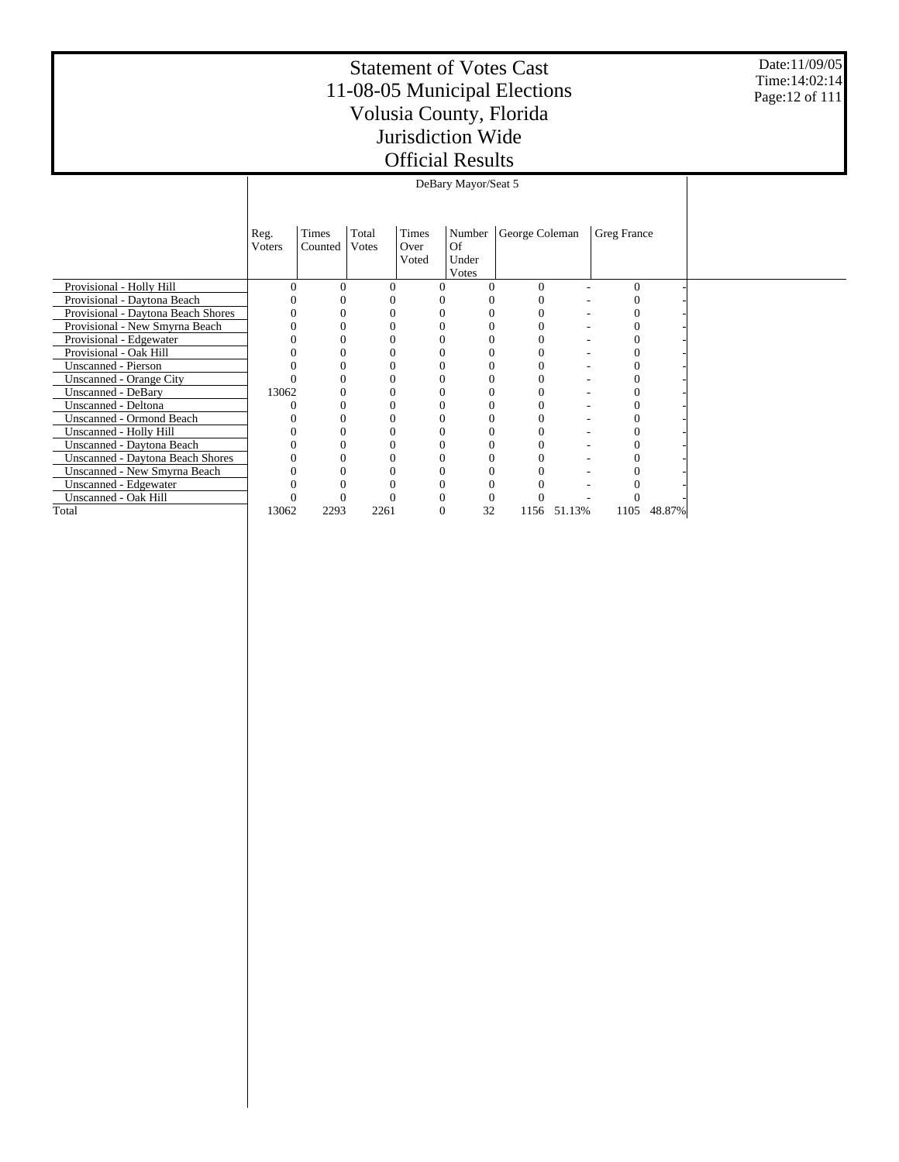Date:11/09/05 Time:14:02:14 Page:12 of 111

# Statement of Votes Cast 11-08-05 Municipal Elections Volusia County, Florida Jurisdiction Wide Official Results

#### DeBary Mayor/Seat 5

|                                         | Reg.<br>Voters | Times<br>Counted | Total<br>Votes | Times<br>Over<br>Voted | Number<br>Of<br>Under<br>Votes | George Coleman |             | Greg France |      |        |
|-----------------------------------------|----------------|------------------|----------------|------------------------|--------------------------------|----------------|-------------|-------------|------|--------|
| Provisional - Holly Hill                |                |                  |                |                        |                                |                |             |             | 0    |        |
| Provisional - Daytona Beach             |                |                  |                |                        |                                |                |             |             |      |        |
| Provisional - Daytona Beach Shores      |                |                  |                |                        |                                |                |             |             |      |        |
| Provisional - New Smyrna Beach          |                |                  |                |                        |                                |                |             |             |      |        |
| Provisional - Edgewater                 |                |                  |                |                        |                                |                |             |             |      |        |
| Provisional - Oak Hill                  |                |                  |                |                        |                                |                |             |             |      |        |
| Unscanned - Pierson                     |                |                  |                |                        |                                |                |             |             |      |        |
| Unscanned - Orange City                 |                |                  |                |                        |                                |                |             |             |      |        |
| Unscanned - DeBary                      | 13062          |                  |                |                        |                                |                |             |             |      |        |
| Unscanned - Deltona                     |                |                  |                |                        |                                |                |             |             |      |        |
| Unscanned - Ormond Beach                |                |                  |                |                        |                                |                |             |             |      |        |
| Unscanned - Holly Hill                  |                |                  |                |                        |                                |                |             |             |      |        |
| Unscanned - Daytona Beach               |                |                  |                |                        |                                |                |             |             |      |        |
| <b>Unscanned - Daytona Beach Shores</b> |                |                  |                |                        |                                |                |             |             |      |        |
| Unscanned - New Smyrna Beach            |                |                  |                |                        |                                |                |             |             |      |        |
| Unscanned - Edgewater                   |                |                  |                |                        |                                |                |             |             |      |        |
| Unscanned - Oak Hill                    |                |                  |                |                        |                                |                |             |             |      |        |
| Total                                   | 13062          | 2293             | 2261           |                        | 32                             |                | 1156 51.13% |             | 1105 | 48.87% |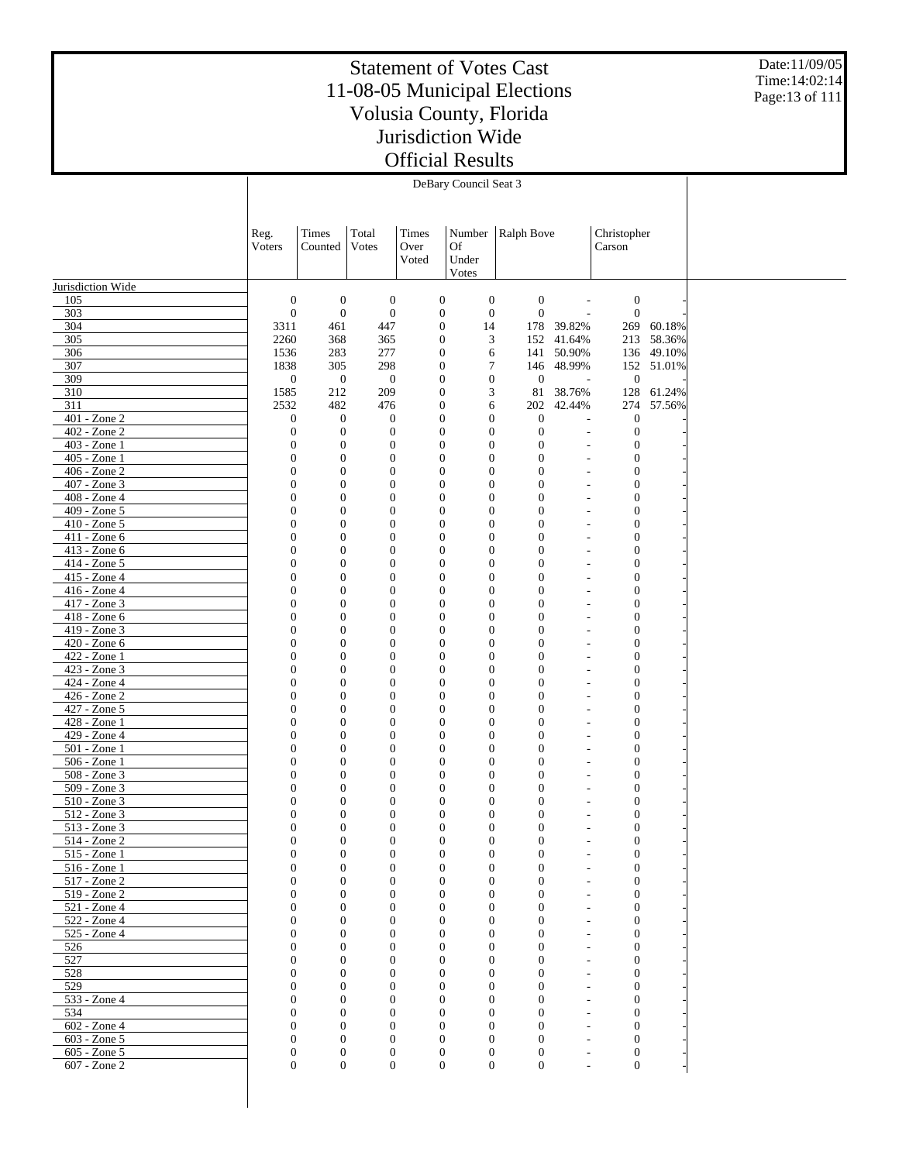Date:11/09/05 Time:14:02:14 Page:13 of 111

Τ

#### Statement of Votes Cast 11-08-05 Municipal Elections Volusia County, Florida Jurisdiction Wide Official Results DeBary Council Seat 3

T

|                              | Reg.<br>Voters                     | Times<br>Counted                 | Total<br>Votes                       | Times<br>Over<br>Voted | Number<br>Of<br>Under<br><b>Votes</b>                         | <b>Ralph Bove</b>                    |                                  | Christopher<br>Carson                |            |
|------------------------------|------------------------------------|----------------------------------|--------------------------------------|------------------------|---------------------------------------------------------------|--------------------------------------|----------------------------------|--------------------------------------|------------|
| Jurisdiction Wide            |                                    |                                  |                                      |                        |                                                               |                                      |                                  |                                      |            |
| 105                          | $\mathbf{0}$                       | $\mathbf{0}$                     | $\boldsymbol{0}$                     | $\boldsymbol{0}$       | $\boldsymbol{0}$                                              | $\boldsymbol{0}$                     | L,                               | $\boldsymbol{0}$                     |            |
| 303                          | $\mathbf{0}$                       | $\mathbf{0}$                     | $\boldsymbol{0}$                     | $\boldsymbol{0}$       | $\boldsymbol{0}$                                              | $\boldsymbol{0}$                     | $\overline{\phantom{a}}$         | $\boldsymbol{0}$                     |            |
| 304                          | 3311                               | 461                              | 447                                  |                        | 0<br>14                                                       | 178                                  | 39.82%                           | 269                                  | 60.18%     |
| 305                          | 2260                               | 368                              | 365                                  |                        | 3<br>0                                                        |                                      | 152 41.64%                       |                                      | 213 58.36% |
| 306                          | 1536                               | 283                              | 277                                  |                        | 6<br>0                                                        | 141                                  | 50.90%                           |                                      | 136 49.10% |
| 307                          | 1838                               | 305                              | 298                                  |                        | 7<br>0                                                        |                                      | 146 48.99%                       |                                      | 152 51.01% |
| 309                          | $\mathbf{0}$                       | $\mathbf{0}$                     | $\mathbf{0}$                         |                        | $\boldsymbol{0}$<br>$\boldsymbol{0}$                          | $\boldsymbol{0}$                     | $\sim$                           | $\mathbf{0}$                         |            |
| 310                          | 1585                               | 212                              | 209                                  |                        | 3<br>0                                                        | 81                                   | 38.76%                           | 128                                  | 61.24%     |
| 311                          | 2532                               | 482                              | 476                                  |                        | $\boldsymbol{0}$<br>6                                         | 202                                  | 42.44%                           | 274                                  | 57.56%     |
| 401 - Zone 2                 | $\boldsymbol{0}$                   | $\boldsymbol{0}$                 | $\boldsymbol{0}$                     |                        | $\mathbf{0}$<br>0                                             | $\boldsymbol{0}$                     | $\overline{a}$                   | $\boldsymbol{0}$                     |            |
| 402 - Zone 2                 | $\mathbf{0}$                       | $\boldsymbol{0}$                 | $\boldsymbol{0}$                     |                        | $\boldsymbol{0}$<br>$\boldsymbol{0}$                          | $\boldsymbol{0}$                     | $\blacksquare$                   | $\mathbf{0}$                         |            |
| 403 - Zone 1                 | $\mathbf{0}$                       | $\boldsymbol{0}$                 | $\boldsymbol{0}$                     |                        | $\boldsymbol{0}$<br>0                                         | $\boldsymbol{0}$                     | $\blacksquare$                   | $\boldsymbol{0}$                     |            |
| 405 - Zone 1<br>406 - Zone 2 | $\mathbf{0}$<br>$\mathbf{0}$       | 0                                | $\boldsymbol{0}$<br>$\boldsymbol{0}$ |                        | $\boldsymbol{0}$<br>0<br>$\boldsymbol{0}$<br>$\boldsymbol{0}$ | $\boldsymbol{0}$<br>$\boldsymbol{0}$ | $\overline{a}$                   | $\boldsymbol{0}$<br>$\boldsymbol{0}$ |            |
| 407 - Zone 3                 | $\mathbf{0}$                       | 0<br>0                           | $\boldsymbol{0}$                     |                        | $\boldsymbol{0}$<br>0                                         | $\boldsymbol{0}$                     | $\overline{\phantom{a}}$<br>L,   | $\boldsymbol{0}$                     |            |
| 408 - Zone 4                 | $\mathbf{0}$                       | 0                                | $\boldsymbol{0}$                     |                        | $\boldsymbol{0}$<br>0                                         | $\boldsymbol{0}$                     | $\overline{a}$                   | $\boldsymbol{0}$                     |            |
| 409 - Zone 5                 | $\mathbf{0}$                       | 0                                | $\boldsymbol{0}$                     |                        | $\boldsymbol{0}$<br>0                                         | $\boldsymbol{0}$                     | $\overline{a}$                   | $\boldsymbol{0}$                     |            |
| 410 - Zone 5                 | $\mathbf{0}$                       | 0                                | $\boldsymbol{0}$                     |                        | $\boldsymbol{0}$<br>0                                         | $\boldsymbol{0}$                     | $\overline{a}$                   | $\boldsymbol{0}$                     |            |
| 411 - Zone 6                 | $\mathbf{0}$                       | 0                                | $\boldsymbol{0}$                     |                        | $\boldsymbol{0}$<br>$\boldsymbol{0}$                          | $\boldsymbol{0}$                     | L,                               | $\boldsymbol{0}$                     |            |
| 413 - Zone 6                 | $\mathbf{0}$                       | 0                                | $\boldsymbol{0}$                     |                        | $\boldsymbol{0}$<br>0                                         | $\boldsymbol{0}$                     | $\overline{a}$                   | $\boldsymbol{0}$                     |            |
| 414 - Zone 5                 | $\mathbf{0}$                       | 0                                | $\boldsymbol{0}$                     |                        | $\boldsymbol{0}$<br>0                                         | $\boldsymbol{0}$                     | $\overline{a}$                   | $\boldsymbol{0}$                     |            |
| 415 - Zone 4                 | $\mathbf{0}$                       | 0                                | $\boldsymbol{0}$                     |                        | $\boldsymbol{0}$<br>0                                         | $\boldsymbol{0}$                     | $\overline{\phantom{a}}$         | $\boldsymbol{0}$                     |            |
| 416 - Zone 4                 | $\mathbf{0}$                       | 0                                | $\boldsymbol{0}$                     |                        | $\boldsymbol{0}$<br>0                                         | $\boldsymbol{0}$                     | $\overline{a}$                   | $\boldsymbol{0}$                     |            |
| 417 - Zone 3                 | $\mathbf{0}$                       | 0                                | $\boldsymbol{0}$                     |                        | $\boldsymbol{0}$<br>0                                         | $\boldsymbol{0}$                     | $\overline{\phantom{a}}$         | $\boldsymbol{0}$                     |            |
| 418 - Zone 6                 | $\mathbf{0}$                       | 0                                | $\boldsymbol{0}$                     |                        | $\boldsymbol{0}$<br>0                                         | $\boldsymbol{0}$                     | L,                               | $\boldsymbol{0}$                     |            |
| 419 - Zone 3                 | $\mathbf{0}$                       | 0                                | $\boldsymbol{0}$                     |                        | $\boldsymbol{0}$<br>$\boldsymbol{0}$                          | $\boldsymbol{0}$                     | $\overline{a}$                   | $\boldsymbol{0}$                     |            |
| 420 - Zone 6                 | $\mathbf{0}$                       | 0                                | $\boldsymbol{0}$                     |                        | $\boldsymbol{0}$<br>0                                         | $\boldsymbol{0}$                     | $\overline{a}$                   | $\boldsymbol{0}$                     |            |
| 422 - Zone 1                 | $\mathbf{0}$                       | 0                                | $\boldsymbol{0}$                     |                        | $\boldsymbol{0}$<br>0                                         | $\boldsymbol{0}$                     | $\overline{a}$                   | $\boldsymbol{0}$                     |            |
| 423 - Zone 3                 | $\mathbf{0}$                       | 0                                | $\boldsymbol{0}$                     |                        | $\boldsymbol{0}$<br>$\boldsymbol{0}$                          | $\boldsymbol{0}$                     | L,                               | $\boldsymbol{0}$                     |            |
| 424 - Zone 4                 | $\mathbf{0}$                       | 0                                | $\boldsymbol{0}$                     |                        | $\boldsymbol{0}$<br>0                                         | $\boldsymbol{0}$                     | $\overline{a}$                   | $\boldsymbol{0}$                     |            |
| 426 - Zone 2                 | $\mathbf{0}$                       | 0                                | $\boldsymbol{0}$                     |                        | $\boldsymbol{0}$<br>0                                         | $\boldsymbol{0}$                     | $\overline{a}$                   | $\boldsymbol{0}$                     |            |
| 427 - Zone 5                 | $\mathbf{0}$                       | 0                                | $\boldsymbol{0}$                     |                        | $\boldsymbol{0}$<br>0                                         | $\boldsymbol{0}$                     | $\overline{\phantom{a}}$         | $\boldsymbol{0}$                     |            |
| 428 - Zone 1                 | $\mathbf{0}$                       | 0                                | $\boldsymbol{0}$                     |                        | $\boldsymbol{0}$<br>0                                         | $\boldsymbol{0}$                     | $\overline{a}$                   | $\boldsymbol{0}$                     |            |
| 429 - Zone 4                 | $\mathbf{0}$                       | 0                                | $\boldsymbol{0}$                     |                        | $\boldsymbol{0}$<br>$\boldsymbol{0}$<br>$\boldsymbol{0}$      | $\boldsymbol{0}$                     | $\overline{\phantom{a}}$         | $\boldsymbol{0}$                     |            |
| 501 - Zone 1<br>506 - Zone 1 | $\mathbf{0}$                       | 0                                | $\boldsymbol{0}$                     |                        | 0<br>$\boldsymbol{0}$                                         | $\boldsymbol{0}$                     | L,                               | $\boldsymbol{0}$                     |            |
| 508 - Zone 3                 | $\mathbf{0}$<br>$\mathbf{0}$       | 0<br>0                           | $\boldsymbol{0}$<br>$\boldsymbol{0}$ |                        | 0<br>$\boldsymbol{0}$<br>0                                    | $\boldsymbol{0}$<br>$\boldsymbol{0}$ | $\overline{a}$<br>$\overline{a}$ | $\boldsymbol{0}$<br>$\boldsymbol{0}$ |            |
| 509 - Zone 3                 | $\mathbf{0}$                       | 0                                | $\boldsymbol{0}$                     |                        | $\boldsymbol{0}$<br>0                                         | $\boldsymbol{0}$                     | $\overline{a}$                   | $\boldsymbol{0}$                     |            |
| 510 - Zone 3                 | $\mathbf{0}$                       | $\boldsymbol{0}$                 | $\boldsymbol{0}$                     |                        | $\boldsymbol{0}$<br>0                                         | $\boldsymbol{0}$                     | $\overline{a}$                   | $\boldsymbol{0}$                     |            |
| 512 - Zone 3                 | $\mathbf{0}$                       | $\boldsymbol{0}$                 | $\boldsymbol{0}$                     |                        | $\boldsymbol{0}$<br>0                                         | $\boldsymbol{0}$                     | $\overline{a}$                   | $\boldsymbol{0}$                     |            |
| 513 - Zone 3                 | $\mathbf{0}$                       | $\boldsymbol{0}$                 | $\boldsymbol{0}$                     |                        | $\boldsymbol{0}$<br>$\boldsymbol{0}$                          | $\boldsymbol{0}$                     | $\overline{a}$                   | $\boldsymbol{0}$                     |            |
| 514 - Zone 2                 | $\theta$                           | $\Omega$                         | $\overline{0}$                       |                        | $\Omega$<br>$\overline{0}$                                    | $\mathbf{0}$                         | ٠                                | $\theta$                             |            |
| 515 - Zone 1                 | $\mathbf{0}$                       | $\mathbf{0}$                     | 0                                    |                        | $\boldsymbol{0}$<br>$\mathbf{0}$                              | $\boldsymbol{0}$                     |                                  | $\boldsymbol{0}$                     |            |
| $516 - Zone1$                | $\mathbf{0}$                       | $\mathbf{0}$                     | $\boldsymbol{0}$                     |                        | $\boldsymbol{0}$<br>$\boldsymbol{0}$                          | $\boldsymbol{0}$                     | ÷,                               | $\overline{0}$                       |            |
| 517 - Zone 2                 | $\mathbf{0}$                       | $\boldsymbol{0}$                 | $\boldsymbol{0}$                     |                        | $\boldsymbol{0}$<br>0                                         | $\boldsymbol{0}$                     | ÷,                               | $\mathbf{0}$                         |            |
| $519 - Zone2$                | $\mathbf{0}$                       | $\theta$                         | $\overline{0}$                       |                        | $\mathbf{0}$<br>$\overline{0}$                                | $\boldsymbol{0}$                     | $\overline{a}$                   | $\mathbf{0}$                         |            |
| 521 - Zone 4                 | $\overline{0}$                     | $\boldsymbol{0}$                 | $\boldsymbol{0}$                     |                        | $\mathbf{0}$<br>0                                             | $\boldsymbol{0}$                     | L,                               | $\boldsymbol{0}$                     |            |
| 522 - Zone 4                 | $\overline{0}$                     | $\theta$                         | $\overline{0}$                       |                        | $\mathbf{0}$<br>$\overline{0}$                                | $\theta$                             | $\overline{a}$                   | $\mathbf{0}$                         |            |
| 525 - Zone 4                 | $\overline{0}$                     | $\boldsymbol{0}$                 | $\boldsymbol{0}$                     |                        | $\mathbf{0}$<br>0                                             | $\mathbf{0}$                         | ÷,                               | $\mathbf{0}$                         |            |
| 526                          | $\mathbf{0}$                       | $\overline{0}$                   | $\overline{0}$                       |                        | $\mathbf{0}$<br>$\overline{0}$                                | $\theta$                             | ÷,                               | $\mathbf{0}$                         |            |
| 527                          | $\overline{0}$                     | $\boldsymbol{0}$                 | $\boldsymbol{0}$                     |                        | $\mathbf{0}$<br>0                                             | $\boldsymbol{0}$                     | $\overline{a}$                   | $\boldsymbol{0}$                     |            |
| 528                          | $\overline{0}$                     | $\mathbf{0}$                     | $\overline{0}$                       |                        | $\mathbf{0}$<br>$\overline{0}$                                | $\theta$                             | $\overline{a}$                   | $\mathbf{0}$                         |            |
| 529                          | $\overline{0}$                     | $\boldsymbol{0}$                 | $\boldsymbol{0}$                     |                        | $\mathbf{0}$<br>$\overline{0}$                                | $\theta$                             | $\overline{a}$                   | $\mathbf{0}$                         |            |
| 533 - Zone 4                 | $\mathbf{0}$                       | $\overline{0}$                   | $\overline{0}$                       |                        | $\mathbf{0}$<br>$\overline{0}$                                | $\theta$                             | ÷,                               | $\mathbf{0}$                         |            |
| 534                          | $\overline{0}$                     | $\boldsymbol{0}$                 | $\boldsymbol{0}$                     |                        | $\mathbf{0}$<br>$\overline{0}$                                | $\boldsymbol{0}$                     | ÷,                               | $\boldsymbol{0}$                     |            |
| 602 - Zone 4<br>603 - Zone 5 | $\overline{0}$                     | $\theta$                         | $\overline{0}$                       |                        | $\mathbf{0}$<br>$\overline{0}$                                | $\theta$                             | $\overline{\phantom{0}}$         | $\mathbf{0}$                         |            |
| 605 - Zone 5                 | $\overline{0}$<br>$\boldsymbol{0}$ | $\boldsymbol{0}$<br>$\mathbf{0}$ | $\boldsymbol{0}$<br>$\boldsymbol{0}$ | $\boldsymbol{0}$       | $\boldsymbol{0}$<br>$\overline{0}$<br>$\mathbf{0}$            | $\boldsymbol{0}$<br>$\boldsymbol{0}$ | ÷.                               | $\mathbf{0}$<br>$\boldsymbol{0}$     |            |
| 607 - Zone 2                 | $\theta$                           | $\overline{0}$                   | $\overline{0}$                       |                        | $\overline{0}$<br>$\boldsymbol{0}$                            | $\mathbf{0}$                         | $\overline{a}$                   | $\overline{0}$                       |            |
|                              |                                    |                                  |                                      |                        |                                                               |                                      |                                  |                                      |            |

306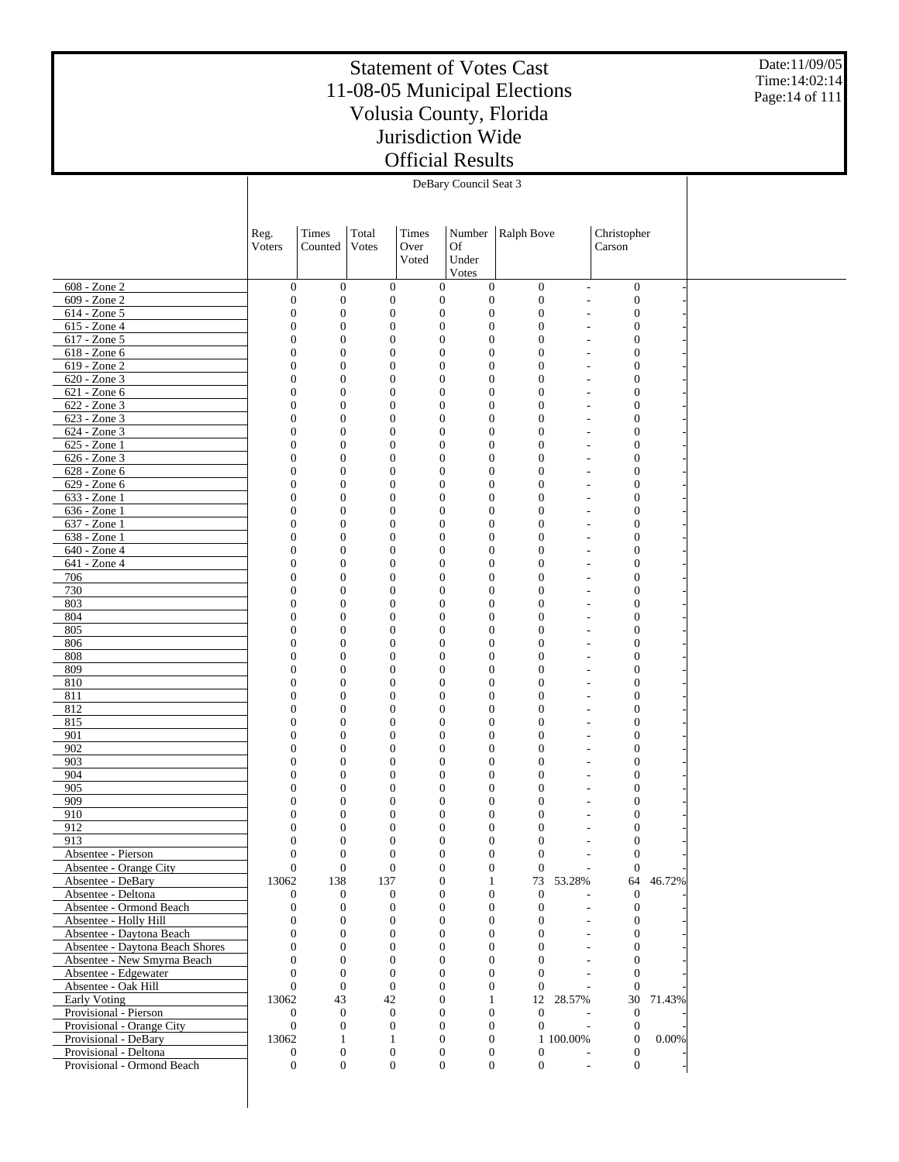Date:11/09/05 Time:14:02:14 Page:14 of 111

|                                                   | Reg.                               | Times                                | Total                                | Times |                                                                              | Number   Ralph Bove                  |                             | Christopher                          |           |  |
|---------------------------------------------------|------------------------------------|--------------------------------------|--------------------------------------|-------|------------------------------------------------------------------------------|--------------------------------------|-----------------------------|--------------------------------------|-----------|--|
|                                                   | Voters                             | Counted                              | Votes                                | Over  | Of                                                                           |                                      |                             | Carson                               |           |  |
|                                                   |                                    |                                      |                                      | Voted | Under                                                                        |                                      |                             |                                      |           |  |
|                                                   |                                    |                                      |                                      |       | Votes                                                                        |                                      |                             |                                      |           |  |
| 608 - Zone 2                                      | $\boldsymbol{0}$                   | $\boldsymbol{0}$                     | $\boldsymbol{0}$                     |       | $\boldsymbol{0}$<br>$\boldsymbol{0}$                                         | $\boldsymbol{0}$                     | $\overline{\phantom{a}}$    | $\boldsymbol{0}$                     |           |  |
| 609 - Zone 2                                      | $\boldsymbol{0}$<br>$\overline{0}$ | $\mathbf{0}$                         | $\boldsymbol{0}$                     |       | $\boldsymbol{0}$<br>$\boldsymbol{0}$                                         | $\boldsymbol{0}$                     | ÷,                          | $\boldsymbol{0}$                     |           |  |
| 614 - Zone 5<br>615 - Zone 4                      | $\mathbf{0}$                       | $\mathbf{0}$<br>$\mathbf{0}$         | $\boldsymbol{0}$<br>$\boldsymbol{0}$ |       | $\boldsymbol{0}$<br>$\boldsymbol{0}$<br>$\boldsymbol{0}$<br>$\boldsymbol{0}$ | $\boldsymbol{0}$<br>$\boldsymbol{0}$ | ٠                           | $\boldsymbol{0}$<br>$\boldsymbol{0}$ |           |  |
| 617 - Zone 5                                      | $\mathbf{0}$                       | $\mathbf{0}$                         | $\boldsymbol{0}$                     |       | $\boldsymbol{0}$<br>$\boldsymbol{0}$                                         | $\boldsymbol{0}$                     | ٠                           | $\boldsymbol{0}$                     |           |  |
| 618 - Zone 6                                      | $\mathbf{0}$                       | $\boldsymbol{0}$                     | $\boldsymbol{0}$                     |       | $\boldsymbol{0}$<br>$\boldsymbol{0}$                                         | $\boldsymbol{0}$                     |                             | $\boldsymbol{0}$                     |           |  |
| 619 - Zone 2                                      | $\mathbf{0}$                       | $\mathbf{0}$                         | $\boldsymbol{0}$                     |       | $\boldsymbol{0}$<br>$\boldsymbol{0}$                                         | $\boldsymbol{0}$                     | ٠                           | $\boldsymbol{0}$                     |           |  |
| 620 - Zone 3                                      | $\mathbf{0}$                       | $\boldsymbol{0}$                     | $\boldsymbol{0}$                     |       | $\boldsymbol{0}$<br>$\boldsymbol{0}$                                         | $\boldsymbol{0}$                     | ٠                           | $\boldsymbol{0}$                     |           |  |
| 621 - Zone 6                                      | $\mathbf{0}$                       | $\boldsymbol{0}$                     | $\boldsymbol{0}$                     |       | $\boldsymbol{0}$<br>$\boldsymbol{0}$                                         | $\boldsymbol{0}$                     | ٠                           | $\boldsymbol{0}$                     |           |  |
| 622 - Zone 3                                      | $\overline{0}$                     | $\boldsymbol{0}$                     | $\boldsymbol{0}$                     |       | $\boldsymbol{0}$<br>$\boldsymbol{0}$                                         | $\boldsymbol{0}$                     | ٠                           | $\boldsymbol{0}$                     |           |  |
| 623 - Zone 3                                      | $\mathbf{0}$                       | $\boldsymbol{0}$                     | $\boldsymbol{0}$                     |       | $\boldsymbol{0}$<br>$\boldsymbol{0}$                                         | $\boldsymbol{0}$                     | ٠                           | $\boldsymbol{0}$                     |           |  |
| 624 - Zone 3                                      | $\mathbf{0}$                       | $\boldsymbol{0}$                     | $\boldsymbol{0}$                     |       | $\boldsymbol{0}$<br>$\boldsymbol{0}$                                         | $\boldsymbol{0}$                     | ٠                           | $\boldsymbol{0}$                     |           |  |
| 625 - Zone 1<br>626 - Zone 3                      | $\mathbf{0}$<br>$\overline{0}$     | $\boldsymbol{0}$<br>$\boldsymbol{0}$ | $\boldsymbol{0}$<br>$\boldsymbol{0}$ |       | $\boldsymbol{0}$<br>$\boldsymbol{0}$<br>$\boldsymbol{0}$<br>$\boldsymbol{0}$ | $\boldsymbol{0}$<br>$\boldsymbol{0}$ | ٠                           | $\boldsymbol{0}$<br>$\boldsymbol{0}$ |           |  |
| 628 - Zone 6                                      | $\mathbf{0}$                       | $\boldsymbol{0}$                     | $\boldsymbol{0}$                     |       | $\boldsymbol{0}$<br>$\boldsymbol{0}$                                         | $\boldsymbol{0}$                     | ٠                           | $\boldsymbol{0}$                     |           |  |
| 629 - Zone 6                                      | $\mathbf{0}$                       | $\boldsymbol{0}$                     | $\boldsymbol{0}$                     |       | $\boldsymbol{0}$<br>$\boldsymbol{0}$                                         | $\boldsymbol{0}$                     | ٠                           | $\boldsymbol{0}$                     |           |  |
| 633 - Zone 1                                      | $\mathbf{0}$                       | $\boldsymbol{0}$                     | $\boldsymbol{0}$                     |       | $\boldsymbol{0}$<br>$\boldsymbol{0}$                                         | $\boldsymbol{0}$                     | ٠                           | $\boldsymbol{0}$                     |           |  |
| 636 - Zone 1                                      | $\overline{0}$                     | $\boldsymbol{0}$                     | $\boldsymbol{0}$                     |       | $\boldsymbol{0}$<br>$\boldsymbol{0}$                                         | $\boldsymbol{0}$                     |                             | $\boldsymbol{0}$                     |           |  |
| 637 - Zone 1                                      | $\mathbf{0}$                       | $\boldsymbol{0}$                     | $\boldsymbol{0}$                     |       | $\boldsymbol{0}$<br>$\boldsymbol{0}$                                         | $\boldsymbol{0}$                     | ٠                           | $\boldsymbol{0}$                     |           |  |
| 638 - Zone 1                                      | $\mathbf{0}$                       | $\boldsymbol{0}$                     | $\boldsymbol{0}$                     |       | $\boldsymbol{0}$<br>$\boldsymbol{0}$                                         | $\boldsymbol{0}$                     | ٠                           | $\boldsymbol{0}$                     |           |  |
| 640 - Zone 4                                      | $\mathbf{0}$                       | $\boldsymbol{0}$                     | $\boldsymbol{0}$                     |       | $\boldsymbol{0}$<br>$\boldsymbol{0}$                                         | $\boldsymbol{0}$                     | ٠                           | $\boldsymbol{0}$                     |           |  |
| 641 - Zone 4                                      | $\mathbf{0}$                       | $\boldsymbol{0}$                     | $\boldsymbol{0}$                     |       | $\boldsymbol{0}$<br>$\boldsymbol{0}$                                         | $\boldsymbol{0}$                     |                             | $\boldsymbol{0}$                     |           |  |
| 706                                               | $\overline{0}$                     | $\boldsymbol{0}$                     | $\boldsymbol{0}$                     |       | $\boldsymbol{0}$<br>$\boldsymbol{0}$                                         | $\boldsymbol{0}$                     | ٠                           | $\boldsymbol{0}$                     |           |  |
| 730<br>803                                        | $\mathbf{0}$<br>$\mathbf{0}$       | $\boldsymbol{0}$<br>$\boldsymbol{0}$ | $\boldsymbol{0}$<br>$\boldsymbol{0}$ |       | $\boldsymbol{0}$<br>$\boldsymbol{0}$<br>$\boldsymbol{0}$<br>$\boldsymbol{0}$ | $\boldsymbol{0}$<br>$\boldsymbol{0}$ | ٠                           | $\boldsymbol{0}$<br>$\boldsymbol{0}$ |           |  |
| 804                                               | $\overline{0}$                     | $\boldsymbol{0}$                     | $\boldsymbol{0}$                     |       | $\boldsymbol{0}$<br>$\boldsymbol{0}$                                         | $\boldsymbol{0}$                     | ٠                           | $\boldsymbol{0}$                     |           |  |
| 805                                               | $\mathbf{0}$                       | $\boldsymbol{0}$                     | $\boldsymbol{0}$                     |       | $\boldsymbol{0}$<br>$\boldsymbol{0}$                                         | $\boldsymbol{0}$                     | ٠                           | $\boldsymbol{0}$                     |           |  |
| 806                                               | $\mathbf{0}$                       | $\boldsymbol{0}$                     | $\boldsymbol{0}$                     |       | $\boldsymbol{0}$<br>$\boldsymbol{0}$                                         | $\boldsymbol{0}$                     | ٠                           | $\boldsymbol{0}$                     |           |  |
| 808                                               | $\mathbf{0}$                       | $\boldsymbol{0}$                     | $\boldsymbol{0}$                     |       | $\boldsymbol{0}$<br>$\boldsymbol{0}$                                         | $\boldsymbol{0}$                     | ٠                           | $\boldsymbol{0}$                     |           |  |
| 809                                               | $\overline{0}$                     | $\boldsymbol{0}$                     | $\boldsymbol{0}$                     |       | $\boldsymbol{0}$<br>$\boldsymbol{0}$                                         | $\boldsymbol{0}$                     |                             | $\boldsymbol{0}$                     |           |  |
| 810                                               | $\mathbf{0}$                       | $\boldsymbol{0}$                     | $\boldsymbol{0}$                     |       | $\boldsymbol{0}$<br>$\boldsymbol{0}$                                         | $\boldsymbol{0}$                     | ٠                           | $\boldsymbol{0}$                     |           |  |
| 811                                               | $\mathbf{0}$                       | $\boldsymbol{0}$                     | $\boldsymbol{0}$                     |       | $\boldsymbol{0}$<br>$\boldsymbol{0}$                                         | $\boldsymbol{0}$                     | ٠                           | $\boldsymbol{0}$                     |           |  |
| 812                                               | $\mathbf{0}$                       | $\boldsymbol{0}$                     | $\boldsymbol{0}$                     |       | $\boldsymbol{0}$<br>$\boldsymbol{0}$                                         | $\boldsymbol{0}$                     | ٠                           | $\boldsymbol{0}$                     |           |  |
| 815                                               | $\overline{0}$                     | $\boldsymbol{0}$                     | $\boldsymbol{0}$                     |       | $\boldsymbol{0}$<br>$\boldsymbol{0}$                                         | $\boldsymbol{0}$                     |                             | $\boldsymbol{0}$                     |           |  |
| 901<br>902                                        | $\mathbf{0}$<br>$\mathbf{0}$       | $\boldsymbol{0}$<br>$\boldsymbol{0}$ | $\boldsymbol{0}$<br>$\boldsymbol{0}$ |       | $\boldsymbol{0}$<br>$\boldsymbol{0}$<br>$\boldsymbol{0}$<br>$\boldsymbol{0}$ | $\boldsymbol{0}$<br>$\boldsymbol{0}$ | ٠                           | $\boldsymbol{0}$<br>$\boldsymbol{0}$ |           |  |
| 903                                               | $\mathbf{0}$                       | $\boldsymbol{0}$                     | $\boldsymbol{0}$                     |       | $\boldsymbol{0}$<br>$\boldsymbol{0}$                                         | $\boldsymbol{0}$                     | ٠                           | $\boldsymbol{0}$                     |           |  |
| 904                                               | $\overline{0}$                     | $\boldsymbol{0}$                     | $\mathbf{0}$                         |       | $\boldsymbol{0}$<br>$\boldsymbol{0}$                                         | $\boldsymbol{0}$                     |                             | $\boldsymbol{0}$                     |           |  |
| 905                                               | $\overline{0}$                     | $\mathbf{0}$                         | $\mathbf{0}$                         |       | $\boldsymbol{0}$<br>$\boldsymbol{0}$                                         | $\boldsymbol{0}$                     |                             | $\boldsymbol{0}$                     |           |  |
| 909                                               | $\overline{0}$                     | $\boldsymbol{0}$                     | $\boldsymbol{0}$                     |       | $\boldsymbol{0}$<br>$\boldsymbol{0}$                                         | $\boldsymbol{0}$                     |                             | $\boldsymbol{0}$                     |           |  |
| 910                                               | $\overline{0}$                     | $\boldsymbol{0}$                     | $\boldsymbol{0}$                     |       | $\boldsymbol{0}$<br>$\boldsymbol{0}$                                         | $\boldsymbol{0}$                     | ٠                           | $\boldsymbol{0}$                     |           |  |
| 912                                               | $\overline{0}$                     | $\overline{0}$                       | $\boldsymbol{0}$                     |       | $\boldsymbol{0}$<br>$\mathbf{0}$                                             | $\boldsymbol{0}$                     | $\overline{\phantom{a}}$    | $\boldsymbol{0}$                     |           |  |
| 913                                               | $\boldsymbol{0}$                   | 0                                    | $\boldsymbol{0}$                     |       | 0<br>0                                                                       | $\boldsymbol{0}$                     |                             | 0                                    |           |  |
| Absentee - Pierson                                | $\overline{0}$                     | $\boldsymbol{0}$                     | $\mathbf{0}$                         |       | $\boldsymbol{0}$<br>0                                                        | $\mathbf{0}$                         |                             | $\boldsymbol{0}$                     |           |  |
| Absentee - Orange City                            | $\Omega$                           | $\mathbf{0}$                         | $\mathbf{0}$                         |       | $\boldsymbol{0}$<br>$\boldsymbol{0}$                                         | $\boldsymbol{0}$                     |                             | $\overline{0}$                       |           |  |
| Absentee - DeBary<br>Absentee - Deltona           | 13062<br>$\overline{0}$            | 138<br>$\boldsymbol{0}$              | 137<br>$\boldsymbol{0}$              |       | $\boldsymbol{0}$<br>1<br>$\boldsymbol{0}$<br>$\overline{0}$                  | 73<br>$\boldsymbol{0}$               | 53.28%                      | 64<br>$\mathbf{0}$                   | 46.72%    |  |
| Absentee - Ormond Beach                           | $\Omega$                           | $\boldsymbol{0}$                     | $\boldsymbol{0}$                     |       | $\boldsymbol{0}$<br>$\mathbf{0}$                                             | $\mathbf{0}$                         |                             | $\boldsymbol{0}$                     |           |  |
| Absentee - Holly Hill                             | $\Omega$                           | $\boldsymbol{0}$                     | $\boldsymbol{0}$                     |       | $\boldsymbol{0}$<br>$\mathbf{0}$                                             | $\boldsymbol{0}$                     |                             | $\mathbf{0}$                         |           |  |
| Absentee - Daytona Beach                          | $\Omega$                           | $\overline{0}$                       | $\boldsymbol{0}$                     |       | $\boldsymbol{0}$<br>$\mathbf{0}$                                             | $\overline{0}$                       |                             | $\mathbf{0}$                         |           |  |
| Absentee - Daytona Beach Shores                   | $\Omega$                           | $\mathbf{0}$                         | $\boldsymbol{0}$                     |       | $\boldsymbol{0}$<br>$\mathbf{0}$                                             | $\overline{0}$                       |                             | $\mathbf{0}$                         |           |  |
| Absentee - New Smyrna Beach                       | $\Omega$                           | $\overline{0}$                       | $\boldsymbol{0}$                     |       | $\boldsymbol{0}$<br>$\Omega$                                                 | $\overline{0}$                       |                             | $\mathbf{0}$                         |           |  |
| Absentee - Edgewater                              | $\Omega$                           | $\theta$                             | $\boldsymbol{0}$                     |       | $\boldsymbol{0}$<br>$\mathbf{0}$                                             | $\theta$                             |                             | $\overline{0}$                       |           |  |
| Absentee - Oak Hill                               | $\mathbf{0}$                       | $\boldsymbol{0}$                     | $\boldsymbol{0}$                     |       | $\boldsymbol{0}$<br>$\overline{0}$                                           | $\overline{0}$                       |                             | $\mathbf{0}$                         |           |  |
| Early Voting                                      | 13062                              | 43                                   | 42                                   |       | $\boldsymbol{0}$<br>1                                                        |                                      | 12 28.57%                   |                                      | 30 71.43% |  |
| Provisional - Pierson                             | $\overline{0}$<br>$\Omega$         | $\boldsymbol{0}$                     | $\boldsymbol{0}$                     |       | $\boldsymbol{0}$<br>$\overline{0}$                                           | $\boldsymbol{0}$                     |                             | $\mathbf{0}$                         |           |  |
| Provisional - Orange City<br>Provisional - DeBary |                                    | $\mathbf{0}$<br>$\mathbf{1}$         | $\boldsymbol{0}$<br>$\mathbf{1}$     |       | $\boldsymbol{0}$<br>$\overline{0}$<br>$\boldsymbol{0}$<br>$\overline{0}$     | $\boldsymbol{0}$                     | $\overline{a}$<br>1 100.00% | $\mathbf{0}$<br>$\overline{0}$       | 0.00%     |  |
| Provisional - Deltona                             | 13062<br>$\mathbf{0}$              | $\boldsymbol{0}$                     | $\mathbf{0}$                         |       | $\boldsymbol{0}$<br>0                                                        | $\mathbf{0}$                         |                             | $\Omega$                             |           |  |
| Provisional - Ormond Beach                        | $\boldsymbol{0}$                   | $\boldsymbol{0}$                     | $\mathbf{0}$                         |       | $\boldsymbol{0}$<br>$\overline{0}$                                           | $\boldsymbol{0}$                     | $\blacksquare$              | $\overline{0}$                       |           |  |
|                                                   |                                    |                                      |                                      |       |                                                                              |                                      |                             |                                      |           |  |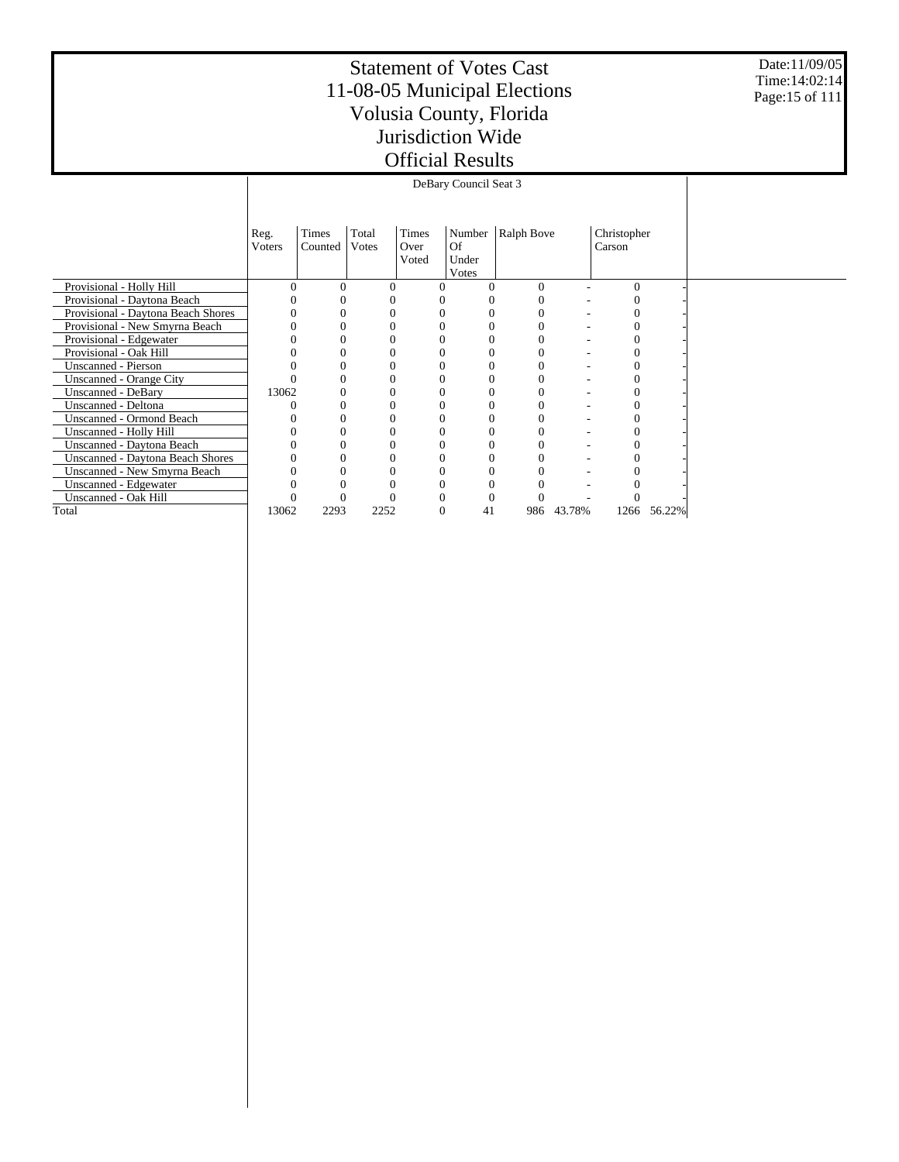Date:11/09/05 Time:14:02:14 Page:15 of 111

 $\overline{1}$ 

#### Statement of Votes Cast 11-08-05 Municipal Elections Volusia County, Florida Jurisdiction Wide Official Results DeBary Council Seat 3

 $\overline{1}$ 

| Reg.<br>Voters | Times<br>Counted | Total<br>Votes | Times<br>Over<br>Voted |          |    |                             | Christopher<br>Carson      |        |
|----------------|------------------|----------------|------------------------|----------|----|-----------------------------|----------------------------|--------|
| $\Omega$       |                  |                |                        | 0        |    | $\theta$                    | $\Omega$                   |        |
|                |                  |                |                        | 0        |    |                             | 0                          |        |
|                |                  |                |                        | 0        |    |                             |                            |        |
|                |                  |                |                        | 0        |    |                             | 0                          |        |
|                |                  |                |                        | 0        |    |                             |                            |        |
|                |                  |                |                        | 0        |    |                             | 0                          |        |
|                |                  |                |                        | $\Omega$ |    |                             |                            |        |
|                |                  |                |                        | 0        |    |                             | $\Omega$                   |        |
|                |                  |                |                        | $\Omega$ |    |                             |                            |        |
|                |                  |                |                        | 0        |    |                             | $\Omega$                   |        |
|                |                  |                |                        | $\Omega$ |    |                             |                            |        |
|                |                  |                |                        | 0        |    |                             | 0                          |        |
|                |                  |                |                        | $\Omega$ |    |                             |                            |        |
|                |                  |                |                        | 0        |    |                             | 0                          |        |
|                |                  |                |                        | 0        |    |                             |                            |        |
|                |                  |                |                        | 0        |    |                             |                            |        |
|                |                  |                |                        |          |    |                             |                            |        |
|                |                  |                |                        | 0        | 41 |                             | 1266                       | 56.22% |
|                |                  | 13062<br>13062 | $\Omega$<br>2293       | 2252     |    | <b>Of</b><br>Under<br>Votes | Number   Ralph Bove<br>986 | 43.78% |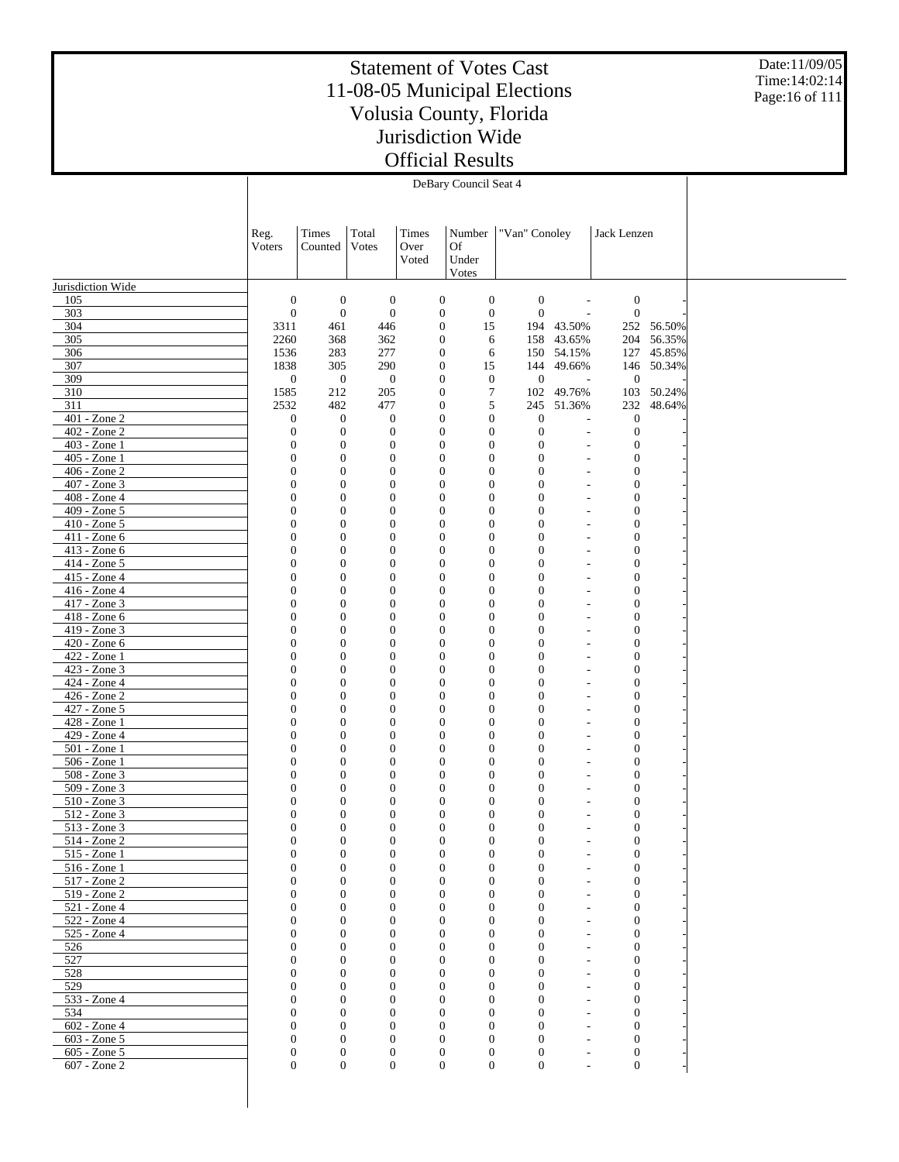Date:11/09/05 Time:14:02:14 Page:16 of 111

I

#### Statement of Votes Cast 11-08-05 Municipal Elections Volusia County, Florida Jurisdiction Wide Official Results DeBary Council Seat 4

|                              | Reg.<br><b>Voters</b>                | Times<br>Counted                     | Total<br>Votes                   | Times<br>Over<br>Voted | Number<br><b>Of</b><br>Under<br>Votes | "Van" Conoley                    |                                      | Jack Lenzen                                                          |                          |
|------------------------------|--------------------------------------|--------------------------------------|----------------------------------|------------------------|---------------------------------------|----------------------------------|--------------------------------------|----------------------------------------------------------------------|--------------------------|
| Jurisdiction Wide            |                                      |                                      |                                  |                        |                                       |                                  |                                      |                                                                      |                          |
| 105                          | $\boldsymbol{0}$                     | $\boldsymbol{0}$                     | $\boldsymbol{0}$                 |                        | $\boldsymbol{0}$                      | $\boldsymbol{0}$                 | $\boldsymbol{0}$                     | $\boldsymbol{0}$<br>$\overline{\phantom{a}}$                         |                          |
| 303                          | $\boldsymbol{0}$                     | $\boldsymbol{0}$                     | $\boldsymbol{0}$                 |                        | $\boldsymbol{0}$                      | $\boldsymbol{0}$                 | $\boldsymbol{0}$                     | $\overline{a}$<br>$\boldsymbol{0}$                                   |                          |
| 304<br>305                   | 3311                                 | 461                                  | 446                              |                        | $\boldsymbol{0}$                      | 15                               | 194 43.50%                           |                                                                      | 252 56.50%               |
| 306                          | 2260<br>1536                         | 368<br>283                           | 362<br>277                       |                        | $\boldsymbol{0}$<br>$\boldsymbol{0}$  | 158<br>6<br>6                    | 43.65%<br>150 54.15%                 |                                                                      | 204 56.35%<br>127 45.85% |
| 307                          | 1838                                 | 305                                  | 290                              |                        | $\boldsymbol{0}$                      | 15                               | 144 49.66%                           |                                                                      | 146 50.34%               |
| 309                          | $\boldsymbol{0}$                     | $\overline{0}$                       | $\boldsymbol{0}$                 |                        | $\boldsymbol{0}$                      | $\mathbf{0}$                     | $\boldsymbol{0}$                     | $\boldsymbol{0}$<br>$\sim$                                           |                          |
| 310                          | 1585                                 | 212                                  | 205                              |                        | $\mathbf{0}$                          | $\tau$<br>102                    | 49.76%                               |                                                                      | 103 50.24%               |
| 311                          | 2532                                 | 482                                  | 477                              |                        | $\boldsymbol{0}$                      | 5                                | 245 51.36%                           | 232                                                                  | 48.64%                   |
| 401 - Zone 2                 | $\boldsymbol{0}$                     | $\boldsymbol{0}$                     | $\boldsymbol{0}$                 |                        | $\boldsymbol{0}$                      | $\boldsymbol{0}$                 | $\boldsymbol{0}$                     | $\boldsymbol{0}$<br>÷,                                               |                          |
| 402 - Zone 2                 | $\boldsymbol{0}$                     | $\boldsymbol{0}$                     | $\boldsymbol{0}$                 |                        | $\boldsymbol{0}$                      | $\boldsymbol{0}$                 | $\boldsymbol{0}$                     | $\boldsymbol{0}$<br>$\overline{\phantom{a}}$                         |                          |
| 403 - Zone 1                 | $\boldsymbol{0}$                     | $\boldsymbol{0}$                     | $\mathbf{0}$                     |                        | $\boldsymbol{0}$                      | $\mathbf{0}$                     | $\boldsymbol{0}$                     | $\boldsymbol{0}$<br>Ĭ.                                               |                          |
| 405 - Zone 1                 | $\boldsymbol{0}$                     | $\boldsymbol{0}$                     | $\mathbf{0}$                     |                        | $\boldsymbol{0}$                      | $\mathbf{0}$                     | $\boldsymbol{0}$                     | $\boldsymbol{0}$<br>$\overline{\phantom{a}}$                         |                          |
| 406 - Zone 2                 | $\boldsymbol{0}$                     | $\boldsymbol{0}$                     | $\mathbf{0}$                     |                        | $\boldsymbol{0}$                      | $\mathbf{0}$                     | $\boldsymbol{0}$                     | $\boldsymbol{0}$<br>÷,                                               |                          |
| 407 - Zone 3                 | $\boldsymbol{0}$                     | $\boldsymbol{0}$                     | $\mathbf{0}$                     |                        | $\boldsymbol{0}$                      | $\mathbf{0}$                     | $\boldsymbol{0}$                     | $\boldsymbol{0}$<br>÷,                                               |                          |
| 408 - Zone 4                 | $\boldsymbol{0}$<br>$\boldsymbol{0}$ | $\boldsymbol{0}$                     | $\mathbf{0}$                     |                        | $\boldsymbol{0}$                      | $\mathbf{0}$                     | $\boldsymbol{0}$<br>$\boldsymbol{0}$ | $\boldsymbol{0}$<br>÷,                                               |                          |
| 409 - Zone 5<br>410 - Zone 5 | $\boldsymbol{0}$                     | $\boldsymbol{0}$<br>$\boldsymbol{0}$ | $\mathbf{0}$<br>$\mathbf{0}$     |                        | $\boldsymbol{0}$<br>$\boldsymbol{0}$  | $\mathbf{0}$<br>$\mathbf{0}$     | $\boldsymbol{0}$                     | $\boldsymbol{0}$<br>÷,<br>$\boldsymbol{0}$<br>÷,                     |                          |
| 411 - Zone 6                 | $\boldsymbol{0}$                     | $\boldsymbol{0}$                     | $\mathbf{0}$                     |                        | $\boldsymbol{0}$                      | $\mathbf{0}$                     | $\boldsymbol{0}$                     | $\boldsymbol{0}$<br>÷,                                               |                          |
| 413 - Zone 6                 | $\boldsymbol{0}$                     | $\boldsymbol{0}$                     | $\mathbf{0}$                     |                        | $\boldsymbol{0}$                      | $\mathbf{0}$                     | $\boldsymbol{0}$                     | $\boldsymbol{0}$<br>÷,                                               |                          |
| 414 - Zone 5                 | $\boldsymbol{0}$                     | $\boldsymbol{0}$                     | $\mathbf{0}$                     |                        | $\mathbf{0}$                          | $\boldsymbol{0}$                 | $\boldsymbol{0}$                     | $\boldsymbol{0}$<br>÷,                                               |                          |
| 415 - Zone 4                 | $\boldsymbol{0}$                     | $\boldsymbol{0}$                     | $\mathbf{0}$                     |                        | $\boldsymbol{0}$                      | $\mathbf{0}$                     | $\boldsymbol{0}$                     | $\boldsymbol{0}$<br>L,                                               |                          |
| 416 - Zone 4                 | $\boldsymbol{0}$                     | $\boldsymbol{0}$                     | $\mathbf{0}$                     |                        | $\boldsymbol{0}$                      | $\mathbf{0}$                     | $\boldsymbol{0}$                     | $\boldsymbol{0}$<br>$\overline{a}$                                   |                          |
| 417 - Zone 3                 | $\boldsymbol{0}$                     | $\boldsymbol{0}$                     | $\mathbf{0}$                     |                        | $\boldsymbol{0}$                      | $\mathbf{0}$                     | $\boldsymbol{0}$                     | $\boldsymbol{0}$<br>L,                                               |                          |
| 418 - Zone 6                 | $\boldsymbol{0}$                     | $\boldsymbol{0}$                     | $\mathbf{0}$                     |                        | $\boldsymbol{0}$                      | $\boldsymbol{0}$                 | $\boldsymbol{0}$                     | $\boldsymbol{0}$<br>÷,                                               |                          |
| 419 - Zone 3                 | $\mathbf{0}$                         | $\boldsymbol{0}$                     | $\mathbf{0}$                     |                        | $\boldsymbol{0}$                      | $\mathbf{0}$                     | $\boldsymbol{0}$                     | $\boldsymbol{0}$<br>L,                                               |                          |
| 420 - Zone 6                 | $\boldsymbol{0}$                     | $\boldsymbol{0}$                     | $\mathbf{0}$                     |                        | $\boldsymbol{0}$                      | $\boldsymbol{0}$                 | $\boldsymbol{0}$                     | $\boldsymbol{0}$<br>$\overline{a}$                                   |                          |
| 422 - Zone 1                 | $\boldsymbol{0}$                     | $\boldsymbol{0}$                     | $\mathbf{0}$                     |                        | $\boldsymbol{0}$                      | $\mathbf{0}$                     | $\boldsymbol{0}$                     | $\boldsymbol{0}$<br>L,                                               |                          |
| 423 - Zone 3<br>424 - Zone 4 | $\boldsymbol{0}$<br>$\mathbf{0}$     | $\boldsymbol{0}$<br>$\boldsymbol{0}$ | $\mathbf{0}$<br>$\mathbf{0}$     |                        | $\boldsymbol{0}$<br>$\boldsymbol{0}$  | $\boldsymbol{0}$<br>$\mathbf{0}$ | $\boldsymbol{0}$<br>$\boldsymbol{0}$ | $\boldsymbol{0}$<br>÷,<br>$\boldsymbol{0}$<br>÷,                     |                          |
| 426 - Zone 2                 | $\boldsymbol{0}$                     | $\boldsymbol{0}$                     | $\mathbf{0}$                     |                        | $\boldsymbol{0}$                      | $\boldsymbol{0}$                 | $\boldsymbol{0}$                     | $\boldsymbol{0}$<br>÷,                                               |                          |
| 427 - Zone 5                 | $\boldsymbol{0}$                     | $\boldsymbol{0}$                     | $\mathbf{0}$                     |                        | $\boldsymbol{0}$                      | $\mathbf{0}$                     | $\boldsymbol{0}$                     | $\boldsymbol{0}$<br>÷,                                               |                          |
| 428 - Zone 1                 | $\boldsymbol{0}$                     | $\boldsymbol{0}$                     | $\mathbf{0}$                     |                        | $\boldsymbol{0}$                      | $\boldsymbol{0}$                 | $\boldsymbol{0}$                     | $\boldsymbol{0}$<br>÷,                                               |                          |
| 429 - Zone 4                 | $\mathbf{0}$                         | $\boldsymbol{0}$                     | $\mathbf{0}$                     |                        | $\boldsymbol{0}$                      | $\mathbf{0}$                     | $\boldsymbol{0}$                     | $\boldsymbol{0}$<br>÷,                                               |                          |
| 501 - Zone 1                 | $\boldsymbol{0}$                     | $\boldsymbol{0}$                     | $\mathbf{0}$                     |                        | $\boldsymbol{0}$                      | $\boldsymbol{0}$                 | $\boldsymbol{0}$                     | $\boldsymbol{0}$<br>÷,                                               |                          |
| 506 - Zone 1                 | $\boldsymbol{0}$                     | $\boldsymbol{0}$                     | $\mathbf{0}$                     |                        | $\boldsymbol{0}$                      | $\mathbf{0}$                     | $\boldsymbol{0}$                     | $\boldsymbol{0}$<br>÷,                                               |                          |
| 508 - Zone 3                 | $\boldsymbol{0}$                     | $\boldsymbol{0}$                     | $\mathbf{0}$                     |                        | $\boldsymbol{0}$                      | $\boldsymbol{0}$                 | $\boldsymbol{0}$                     | $\boldsymbol{0}$<br>÷,                                               |                          |
| 509 - Zone 3                 | $\mathbf{0}$                         | $\boldsymbol{0}$                     | $\mathbf{0}$                     |                        | $\boldsymbol{0}$                      | $\mathbf{0}$                     | $\boldsymbol{0}$                     | $\boldsymbol{0}$<br>÷,                                               |                          |
| 510 - Zone 3<br>512 - Zone 3 | $\boldsymbol{0}$                     | $\boldsymbol{0}$                     | $\mathbf{0}$                     |                        | $\boldsymbol{0}$                      | $\mathbf{0}$                     | $\boldsymbol{0}$                     | $\boldsymbol{0}$<br>÷,                                               |                          |
| 513 - Zone 3                 | $\mathbf{0}$<br>$\boldsymbol{0}$     | $\boldsymbol{0}$<br>$\boldsymbol{0}$ | $\mathbf{0}$<br>$\mathbf{0}$     |                        | $\boldsymbol{0}$<br>$\boldsymbol{0}$  | $\mathbf{0}$<br>$\mathbf{0}$     | $\boldsymbol{0}$<br>$\boldsymbol{0}$ | $\boldsymbol{0}$<br>٠<br>$\boldsymbol{0}$<br>÷,                      |                          |
| 514 - Zone 2                 | $\overline{0}$                       | $\boldsymbol{0}$                     | $\boldsymbol{0}$                 |                        | $\boldsymbol{0}$                      | $\boldsymbol{0}$                 | $\overline{0}$                       | $\boldsymbol{0}$<br>÷,                                               |                          |
| 515 - Zone 1                 | 0                                    | 0                                    | $\bf{0}$                         |                        | $\bf{0}$                              | 0                                | 0                                    | 0<br>٠                                                               |                          |
| 516 - Zone 1                 | $\boldsymbol{0}$                     | $\mathbf{0}$                         | $\boldsymbol{0}$                 |                        | $\boldsymbol{0}$                      | $\mathbf{0}$                     | $\boldsymbol{0}$                     | $\boldsymbol{0}$<br>$\overline{\phantom{a}}$                         |                          |
| 517 - Zone 2                 | $\boldsymbol{0}$                     | $\mathbf{0}$                         | $\mathbf{0}$                     |                        | $\boldsymbol{0}$                      | $\theta$                         | $\boldsymbol{0}$                     | $\boldsymbol{0}$<br>$\overline{a}$                                   |                          |
| 519 - Zone 2                 | $\boldsymbol{0}$                     | $\mathbf{0}$                         | $\boldsymbol{0}$                 |                        | $\boldsymbol{0}$                      | $\theta$                         | $\mathbf{0}$                         | $\boldsymbol{0}$<br>$\overline{a}$                                   |                          |
| 521 - Zone 4                 | $\mathbf{0}$                         | $\mathbf{0}$                         | $\mathbf{0}$                     |                        | $\boldsymbol{0}$                      | $\theta$                         | $\mathbf{0}$                         | $\overline{0}$<br>$\overline{a}$                                     |                          |
| 522 - Zone 4                 | $\mathbf{0}$                         | $\boldsymbol{0}$                     | $\boldsymbol{0}$                 |                        | $\boldsymbol{0}$                      | $\mathbf{0}$                     | $\overline{0}$                       | $\boldsymbol{0}$<br>L,                                               |                          |
| 525 - Zone 4                 | $\mathbf{0}$                         | $\mathbf{0}$                         | $\mathbf{0}$                     |                        | $\boldsymbol{0}$                      | $\theta$                         | $\overline{0}$                       | $\overline{0}$<br>L,                                                 |                          |
| 526                          | $\mathbf{0}$                         | $\mathbf{0}$                         | $\boldsymbol{0}$                 |                        | $\boldsymbol{0}$                      | $\mathbf{0}$                     | $\overline{0}$                       | $\boldsymbol{0}$<br>$\overline{a}$                                   |                          |
| 527<br>528                   | $\mathbf{0}$<br>$\mathbf{0}$         | $\mathbf{0}$<br>$\mathbf{0}$         | $\mathbf{0}$<br>$\boldsymbol{0}$ |                        | $\boldsymbol{0}$<br>$\mathbf{0}$      | $\theta$<br>$\mathbf{0}$         | $\overline{0}$<br>$\overline{0}$     | $\overline{0}$<br>$\overline{a}$<br>$\overline{0}$<br>$\overline{a}$ |                          |
| 529                          | $\mathbf{0}$                         | $\mathbf{0}$                         | $\mathbf{0}$                     |                        | $\boldsymbol{0}$                      | $\theta$                         | $\overline{0}$                       | $\overline{0}$<br>L,                                                 |                          |
| 533 - Zone 4                 | $\mathbf{0}$                         | $\mathbf{0}$                         | $\boldsymbol{0}$                 |                        | $\boldsymbol{0}$                      | $\mathbf{0}$                     | $\overline{0}$                       | $\boldsymbol{0}$<br>$\overline{a}$                                   |                          |
| 534                          | $\mathbf{0}$                         | $\mathbf{0}$                         | $\mathbf{0}$                     |                        | $\boldsymbol{0}$                      | $\theta$                         | $\overline{0}$                       | $\mathbf{0}$<br>$\overline{a}$                                       |                          |
| 602 - Zone 4                 | $\mathbf{0}$                         | $\boldsymbol{0}$                     | $\boldsymbol{0}$                 |                        | $\mathbf{0}$                          | $\theta$                         | $\overline{0}$                       | $\boldsymbol{0}$<br>$\overline{a}$                                   |                          |
| 603 - Zone 5                 | $\boldsymbol{0}$                     | $\mathbf{0}$                         | $\mathbf{0}$                     |                        | $\boldsymbol{0}$                      | $\theta$                         | $\mathbf{0}$                         | $\boldsymbol{0}$<br>$\overline{a}$                                   |                          |
| 605 - Zone 5                 | $\boldsymbol{0}$                     | $\boldsymbol{0}$                     | $\boldsymbol{0}$                 |                        | $\boldsymbol{0}$                      | $\mathbf{0}$                     | $\boldsymbol{0}$                     | $\boldsymbol{0}$<br>$\overline{a}$                                   |                          |
| 607 - Zone 2                 | $\overline{0}$                       | $\boldsymbol{0}$                     | $\mathbf{0}$                     |                        | $\boldsymbol{0}$                      | $\mathbf{0}$                     | $\boldsymbol{0}$                     | $\boldsymbol{0}$<br>L,                                               |                          |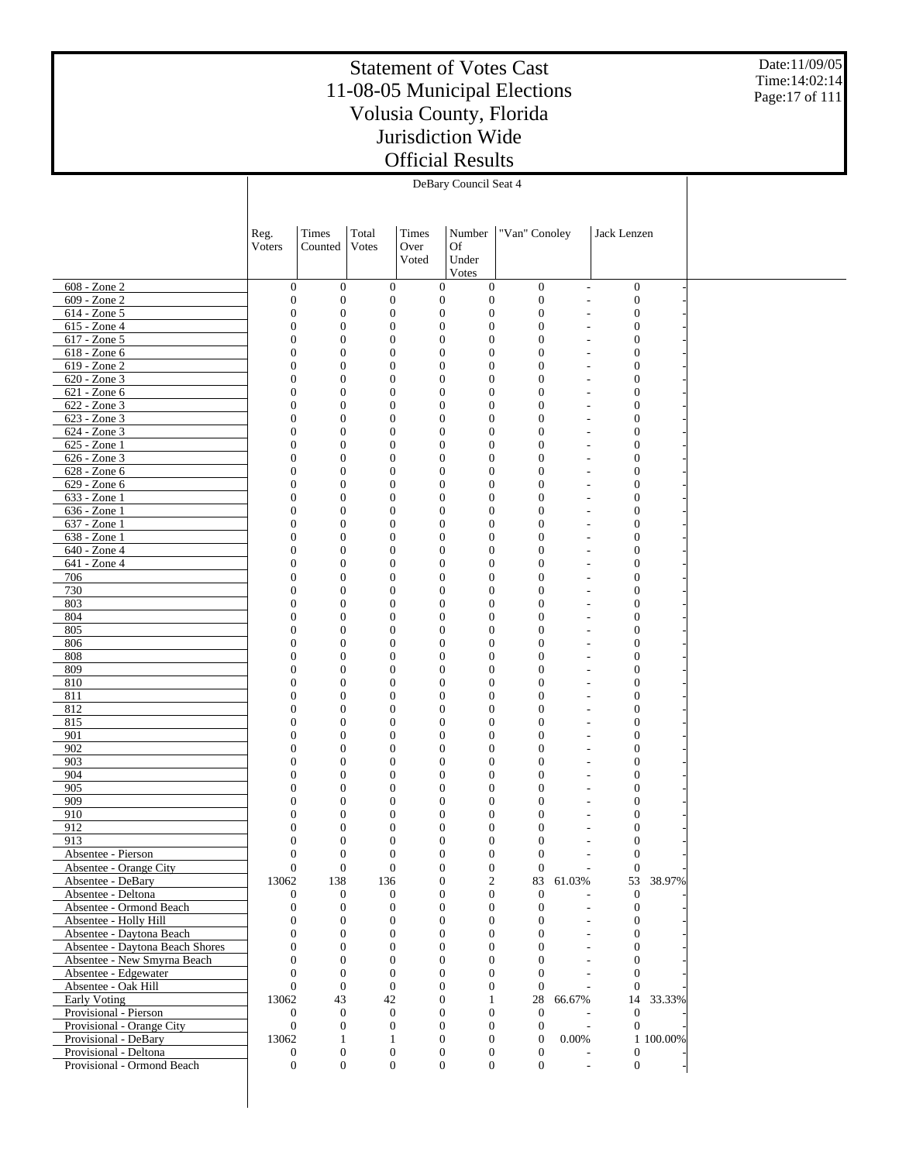Date:11/09/05 Time:14:02:14 Page:17 of 111

|                                 |                                      |                              |                                      |                  | DeBary Council Seat 4                |                                      |                                            |                                      |           |  |
|---------------------------------|--------------------------------------|------------------------------|--------------------------------------|------------------|--------------------------------------|--------------------------------------|--------------------------------------------|--------------------------------------|-----------|--|
|                                 |                                      |                              |                                      |                  |                                      |                                      |                                            |                                      |           |  |
|                                 | Reg.                                 | Times                        | Total                                | Times            | Number                               | "Van" Conoley                        |                                            | Jack Lenzen                          |           |  |
|                                 | Voters                               | Counted                      | <b>Votes</b>                         | Over             | Of                                   |                                      |                                            |                                      |           |  |
|                                 |                                      |                              |                                      | Voted            | Under                                |                                      |                                            |                                      |           |  |
|                                 |                                      |                              |                                      |                  | Votes                                |                                      |                                            |                                      |           |  |
| 608 - Zone 2                    | $\boldsymbol{0}$                     | $\boldsymbol{0}$             | $\mathbf{0}$                         | $\mathbf{0}$     | $\boldsymbol{0}$                     | $\boldsymbol{0}$                     | $\overline{a}$                             | $\boldsymbol{0}$                     |           |  |
| 609 - Zone 2                    | $\boldsymbol{0}$                     | $\mathbf{0}$                 | $\boldsymbol{0}$                     | $\boldsymbol{0}$ | $\boldsymbol{0}$<br>$\boldsymbol{0}$ | $\boldsymbol{0}$                     | L.                                         | $\boldsymbol{0}$                     |           |  |
| 614 - Zone 5<br>615 - Zone 4    | $\boldsymbol{0}$<br>$\boldsymbol{0}$ | $\mathbf{0}$<br>$\mathbf{0}$ | $\boldsymbol{0}$<br>$\boldsymbol{0}$ | $\mathbf{0}$     | $\boldsymbol{0}$<br>$\boldsymbol{0}$ | $\boldsymbol{0}$<br>$\boldsymbol{0}$ | $\overline{a}$<br>$\overline{a}$           | $\boldsymbol{0}$<br>$\boldsymbol{0}$ |           |  |
| 617 - Zone 5                    | $\boldsymbol{0}$                     | $\mathbf{0}$                 | $\boldsymbol{0}$                     |                  | $\boldsymbol{0}$<br>$\boldsymbol{0}$ | $\boldsymbol{0}$                     |                                            | $\boldsymbol{0}$                     |           |  |
| 618 - Zone 6                    | $\boldsymbol{0}$                     | $\mathbf{0}$                 | $\boldsymbol{0}$                     |                  | $\boldsymbol{0}$<br>$\boldsymbol{0}$ | $\boldsymbol{0}$                     | $\overline{\phantom{a}}$                   | $\boldsymbol{0}$                     |           |  |
| 619 - Zone 2                    | $\boldsymbol{0}$                     | $\mathbf{0}$                 | $\boldsymbol{0}$                     |                  | $\boldsymbol{0}$<br>$\boldsymbol{0}$ | $\boldsymbol{0}$                     | $\overline{a}$<br>$\overline{\phantom{a}}$ | $\boldsymbol{0}$                     |           |  |
| 620 - Zone 3                    | $\boldsymbol{0}$                     | $\mathbf{0}$                 | $\boldsymbol{0}$                     |                  | $\boldsymbol{0}$<br>$\boldsymbol{0}$ | $\boldsymbol{0}$                     | $\overline{a}$                             | $\boldsymbol{0}$                     |           |  |
| 621 - Zone 6                    | $\boldsymbol{0}$                     | $\mathbf{0}$                 | $\boldsymbol{0}$                     |                  | $\boldsymbol{0}$<br>$\boldsymbol{0}$ | $\boldsymbol{0}$                     | $\overline{\phantom{a}}$                   | $\boldsymbol{0}$                     |           |  |
| 622 - Zone 3                    | $\boldsymbol{0}$                     | $\mathbf{0}$                 | $\boldsymbol{0}$                     |                  | $\boldsymbol{0}$<br>$\boldsymbol{0}$ | $\boldsymbol{0}$                     | $\overline{a}$                             | $\boldsymbol{0}$                     |           |  |
| 623 - Zone 3                    | $\boldsymbol{0}$                     | $\mathbf{0}$                 | $\boldsymbol{0}$                     |                  | $\boldsymbol{0}$<br>$\boldsymbol{0}$ | $\boldsymbol{0}$                     | $\overline{a}$                             | $\boldsymbol{0}$                     |           |  |
| 624 - Zone 3                    | $\boldsymbol{0}$                     | $\mathbf{0}$                 | $\boldsymbol{0}$                     |                  | $\boldsymbol{0}$<br>$\boldsymbol{0}$ | $\boldsymbol{0}$                     | $\overline{a}$                             | $\boldsymbol{0}$                     |           |  |
| 625 - Zone 1                    | $\boldsymbol{0}$                     | $\mathbf{0}$                 | $\boldsymbol{0}$                     |                  | $\boldsymbol{0}$<br>$\boldsymbol{0}$ | $\boldsymbol{0}$                     | $\overline{\phantom{a}}$                   | $\boldsymbol{0}$                     |           |  |
| 626 - Zone 3                    | $\boldsymbol{0}$                     | $\mathbf{0}$                 | $\boldsymbol{0}$                     |                  | $\boldsymbol{0}$<br>$\boldsymbol{0}$ | $\boldsymbol{0}$                     | $\overline{\phantom{a}}$                   | $\boldsymbol{0}$                     |           |  |
| 628 - Zone 6                    | $\boldsymbol{0}$                     | $\mathbf{0}$                 | $\boldsymbol{0}$                     |                  | $\boldsymbol{0}$<br>$\boldsymbol{0}$ | $\boldsymbol{0}$                     | $\overline{\phantom{a}}$                   | $\boldsymbol{0}$                     |           |  |
| 629 - Zone 6                    | $\boldsymbol{0}$                     | $\mathbf{0}$                 | $\boldsymbol{0}$                     |                  | $\boldsymbol{0}$<br>$\boldsymbol{0}$ | $\boldsymbol{0}$                     | $\overline{a}$                             | $\boldsymbol{0}$                     |           |  |
| 633 - Zone 1                    | $\boldsymbol{0}$                     | $\mathbf{0}$                 | $\boldsymbol{0}$                     |                  | $\boldsymbol{0}$<br>$\boldsymbol{0}$ | $\boldsymbol{0}$                     | $\overline{\phantom{a}}$                   | $\boldsymbol{0}$                     |           |  |
| 636 - Zone 1                    | $\boldsymbol{0}$                     | $\mathbf{0}$                 | $\boldsymbol{0}$                     |                  | $\boldsymbol{0}$<br>$\boldsymbol{0}$ | $\boldsymbol{0}$                     | $\overline{a}$                             | $\boldsymbol{0}$                     |           |  |
| 637 - Zone 1                    | $\boldsymbol{0}$                     | $\mathbf{0}$                 | $\boldsymbol{0}$                     |                  | $\boldsymbol{0}$<br>$\boldsymbol{0}$ | $\boldsymbol{0}$                     | $\overline{\phantom{m}}$                   | $\boldsymbol{0}$                     |           |  |
| 638 - Zone 1                    | $\boldsymbol{0}$                     | $\mathbf{0}$                 | $\boldsymbol{0}$                     |                  | $\boldsymbol{0}$<br>$\boldsymbol{0}$ | $\boldsymbol{0}$                     | $\overline{a}$                             | $\boldsymbol{0}$                     |           |  |
| 640 - Zone 4                    | $\boldsymbol{0}$                     | $\mathbf{0}$                 | $\boldsymbol{0}$                     |                  | $\boldsymbol{0}$<br>$\boldsymbol{0}$ | $\boldsymbol{0}$                     | $\overline{\phantom{a}}$                   | $\boldsymbol{0}$                     |           |  |
| 641 - Zone 4                    | $\boldsymbol{0}$                     | $\mathbf{0}$                 | $\boldsymbol{0}$                     |                  | $\boldsymbol{0}$<br>$\boldsymbol{0}$ | $\boldsymbol{0}$                     | $\overline{a}$                             | $\boldsymbol{0}$                     |           |  |
| 706                             | $\boldsymbol{0}$                     | $\mathbf{0}$                 | $\boldsymbol{0}$                     |                  | $\boldsymbol{0}$<br>$\boldsymbol{0}$ | $\boldsymbol{0}$                     | $\overline{\phantom{a}}$                   | $\boldsymbol{0}$                     |           |  |
| 730                             | $\boldsymbol{0}$                     | $\mathbf{0}$                 | $\boldsymbol{0}$                     |                  | $\boldsymbol{0}$<br>$\boldsymbol{0}$ | $\boldsymbol{0}$                     | $\overline{a}$                             | $\boldsymbol{0}$                     |           |  |
| 803                             | $\boldsymbol{0}$                     | $\mathbf{0}$                 | $\boldsymbol{0}$                     |                  | $\boldsymbol{0}$<br>$\boldsymbol{0}$ | $\boldsymbol{0}$                     | $\overline{a}$                             | $\boldsymbol{0}$                     |           |  |
| 804                             | $\boldsymbol{0}$                     | $\mathbf{0}$                 | $\boldsymbol{0}$                     |                  | $\boldsymbol{0}$<br>$\boldsymbol{0}$ | $\boldsymbol{0}$                     | $\overline{a}$                             | $\boldsymbol{0}$                     |           |  |
| 805                             | $\boldsymbol{0}$                     | $\mathbf{0}$                 | $\boldsymbol{0}$                     |                  | $\boldsymbol{0}$<br>$\boldsymbol{0}$ | $\boldsymbol{0}$                     | $\overline{\phantom{a}}$                   | $\boldsymbol{0}$                     |           |  |
| 806                             | $\boldsymbol{0}$                     | $\mathbf{0}$                 | $\boldsymbol{0}$                     |                  | $\boldsymbol{0}$<br>$\boldsymbol{0}$ | $\boldsymbol{0}$                     | $\overline{a}$                             | $\boldsymbol{0}$                     |           |  |
| 808                             | $\boldsymbol{0}$                     | $\mathbf{0}$                 | $\boldsymbol{0}$                     |                  | $\boldsymbol{0}$<br>$\boldsymbol{0}$ | $\boldsymbol{0}$                     | $\overline{\phantom{m}}$                   | $\boldsymbol{0}$                     |           |  |
| 809                             | $\boldsymbol{0}$                     | $\mathbf{0}$                 | $\boldsymbol{0}$                     |                  | $\boldsymbol{0}$<br>$\boldsymbol{0}$ | $\boldsymbol{0}$                     | $\overline{a}$                             | $\boldsymbol{0}$                     |           |  |
| 810                             | $\boldsymbol{0}$                     | $\mathbf{0}$                 | $\boldsymbol{0}$                     |                  | $\boldsymbol{0}$<br>$\boldsymbol{0}$ | $\boldsymbol{0}$                     | $\overline{\phantom{a}}$                   | $\boldsymbol{0}$                     |           |  |
| 811                             | $\boldsymbol{0}$                     | $\mathbf{0}$                 | $\boldsymbol{0}$                     |                  | $\boldsymbol{0}$<br>$\boldsymbol{0}$ | $\boldsymbol{0}$                     | $\overline{a}$                             | $\boldsymbol{0}$                     |           |  |
| 812                             | $\boldsymbol{0}$                     | $\mathbf{0}$                 | $\boldsymbol{0}$                     |                  | $\boldsymbol{0}$<br>$\boldsymbol{0}$ | $\boldsymbol{0}$                     | $\overline{a}$                             | $\boldsymbol{0}$                     |           |  |
| 815                             | $\boldsymbol{0}$                     | $\mathbf{0}$                 | $\boldsymbol{0}$                     |                  | $\boldsymbol{0}$<br>$\boldsymbol{0}$ | $\boldsymbol{0}$                     | $\overline{a}$                             | $\boldsymbol{0}$                     |           |  |
| 901                             | $\boldsymbol{0}$                     | $\mathbf{0}$                 | $\boldsymbol{0}$                     |                  | $\boldsymbol{0}$<br>$\boldsymbol{0}$ | $\boldsymbol{0}$                     | $\overline{\phantom{a}}$                   | $\boldsymbol{0}$                     |           |  |
| 902                             | $\boldsymbol{0}$                     | $\mathbf{0}$                 | $\boldsymbol{0}$                     |                  | $\boldsymbol{0}$<br>$\boldsymbol{0}$ | $\boldsymbol{0}$                     | $\overline{a}$                             | $\boldsymbol{0}$                     |           |  |
| 903                             | $\boldsymbol{0}$                     | $\mathbf{0}$                 | $\boldsymbol{0}$                     |                  | $\boldsymbol{0}$<br>$\boldsymbol{0}$ | $\boldsymbol{0}$                     | $\overline{\phantom{m}}$                   | $\boldsymbol{0}$                     |           |  |
| 904                             | $\boldsymbol{0}$                     | $\mathbf{0}$                 | $\boldsymbol{0}$                     |                  | $\boldsymbol{0}$<br>$\boldsymbol{0}$ | $\boldsymbol{0}$                     | $\overline{a}$                             | $\boldsymbol{0}$                     |           |  |
| 905                             | $\boldsymbol{0}$                     | $\mathbf{0}$                 | $\boldsymbol{0}$                     |                  | $\boldsymbol{0}$<br>$\boldsymbol{0}$ | $\boldsymbol{0}$                     | $\overline{\phantom{a}}$                   | $\boldsymbol{0}$                     |           |  |
| 909                             | $\boldsymbol{0}$                     | $\mathbf{0}$                 | $\boldsymbol{0}$                     |                  | $\boldsymbol{0}$<br>$\boldsymbol{0}$ | $\boldsymbol{0}$                     | $\overline{a}$                             | $\boldsymbol{0}$                     |           |  |
| 910                             | 0                                    | $\mathbf{0}$                 | $\boldsymbol{0}$                     |                  | $\boldsymbol{0}$<br>$\boldsymbol{0}$ | $\boldsymbol{0}$                     | $\overline{\phantom{a}}$                   | $\boldsymbol{0}$                     |           |  |
| 912                             | $\overline{0}$                       | $\overline{0}$               | $\boldsymbol{0}$                     |                  | $\boldsymbol{0}$<br>$\boldsymbol{0}$ | $\boldsymbol{0}$                     | $\overline{a}$                             | $\boldsymbol{0}$                     |           |  |
| 913                             | $\boldsymbol{0}$                     | $\theta$                     | $\boldsymbol{0}$                     |                  | 0<br>$\boldsymbol{0}$                | $\bf{0}$                             |                                            | 0                                    |           |  |
| Absentee - Pierson              | $\boldsymbol{0}$                     | $\boldsymbol{0}$             | $\boldsymbol{0}$                     | $\mathbf{0}$     | $\boldsymbol{0}$                     | $\boldsymbol{0}$                     | $\overline{a}$                             | $\boldsymbol{0}$                     |           |  |
| Absentee - Orange City          | $\boldsymbol{0}$                     | $\overline{0}$               | $\mathbf{0}$                         | $\mathbf{0}$     | $\boldsymbol{0}$                     | $\mathbf{0}$                         | $\overline{a}$                             | $\mathbf{0}$                         |           |  |
| Absentee - DeBary               | 13062                                | 138                          | 136                                  |                  | $\mathfrak{2}$<br>$\boldsymbol{0}$   | 83                                   | 61.03%                                     | 53                                   | 38.97%    |  |
| Absentee - Deltona              | $\boldsymbol{0}$                     | $\boldsymbol{0}$             | $\boldsymbol{0}$                     |                  | $\boldsymbol{0}$<br>$\boldsymbol{0}$ | $\boldsymbol{0}$                     | L,                                         | $\boldsymbol{0}$                     |           |  |
| Absentee - Ormond Beach         | $\boldsymbol{0}$                     | $\mathbf{0}$                 | $\mathbf{0}$                         |                  | $\boldsymbol{0}$<br>$\boldsymbol{0}$ | $\boldsymbol{0}$                     | $\overline{a}$                             | $\boldsymbol{0}$                     |           |  |
| Absentee - Holly Hill           | $\boldsymbol{0}$                     | $\overline{0}$               | $\mathbf{0}$                         |                  | $\boldsymbol{0}$<br>$\boldsymbol{0}$ | $\boldsymbol{0}$                     | $\overline{a}$                             | $\mathbf{0}$                         |           |  |
| Absentee - Daytona Beach        | $\boldsymbol{0}$                     | $\boldsymbol{0}$             | $\boldsymbol{0}$                     |                  | $\boldsymbol{0}$<br>$\boldsymbol{0}$ | $\mathbf{0}$                         | $\overline{a}$                             | $\mathbf{0}$                         |           |  |
| Absentee - Daytona Beach Shores | $\boldsymbol{0}$                     | $\overline{0}$               | $\mathbf{0}$                         |                  | $\overline{0}$<br>$\boldsymbol{0}$   | $\mathbf{0}$                         | $\overline{a}$                             | $\mathbf{0}$                         |           |  |
| Absentee - New Smyrna Beach     | $\boldsymbol{0}$                     | $\boldsymbol{0}$             | $\mathbf{0}$                         |                  | $\boldsymbol{0}$<br>$\overline{0}$   | $\boldsymbol{0}$                     | $\overline{a}$                             | $\mathbf{0}$                         |           |  |
| Absentee - Edgewater            | $\mathbf{0}$                         | $\overline{0}$               | $\mathbf{0}$                         |                  | $\overline{0}$<br>$\boldsymbol{0}$   | $\mathbf{0}$                         | $\overline{\phantom{a}}$                   | $\mathbf{0}$                         |           |  |
| Absentee - Oak Hill             | $\mathbf{0}$                         | $\boldsymbol{0}$             | $\boldsymbol{0}$                     |                  | $\overline{0}$<br>$\boldsymbol{0}$   | $\boldsymbol{0}$                     | L.                                         | $\boldsymbol{0}$                     |           |  |
| Early Voting                    | 13062                                | 43                           | 42                                   |                  | $\boldsymbol{0}$<br>$\mathbf{1}$     | 28                                   | 66.67%                                     | 14                                   | 33.33%    |  |
| Provisional - Pierson           | $\boldsymbol{0}$                     | $\boldsymbol{0}$             | $\mathbf{0}$                         |                  | $\overline{0}$<br>$\boldsymbol{0}$   | $\boldsymbol{0}$                     | $\overline{a}$                             | $\boldsymbol{0}$                     |           |  |
| Provisional - Orange City       | $\boldsymbol{0}$                     | $\theta$                     | $\mathbf{0}$                         |                  | $\boldsymbol{0}$<br>$\boldsymbol{0}$ | $\boldsymbol{0}$                     | $\overline{\phantom{a}}$                   | $\mathbf{0}$                         |           |  |
| Provisional - DeBary            | 13062                                | 1                            | 1                                    |                  | $\boldsymbol{0}$<br>$\boldsymbol{0}$ | $\boldsymbol{0}$                     | 0.00%                                      |                                      | 1 100.00% |  |
| Provisional - Deltona           | $\boldsymbol{0}$                     | $\mathbf{0}$                 | $\mathbf{0}$                         | $\boldsymbol{0}$ | $\mathbf{0}$                         | $\boldsymbol{0}$                     |                                            | $\mathbf{0}$                         |           |  |
| Provisional - Ormond Beach      | $\mathbf{0}$                         | $\boldsymbol{0}$             | $\boldsymbol{0}$                     |                  | $\boldsymbol{0}$<br>$\boldsymbol{0}$ | $\mathbf{0}$                         | $\blacksquare$                             | $\mathbf{0}$                         |           |  |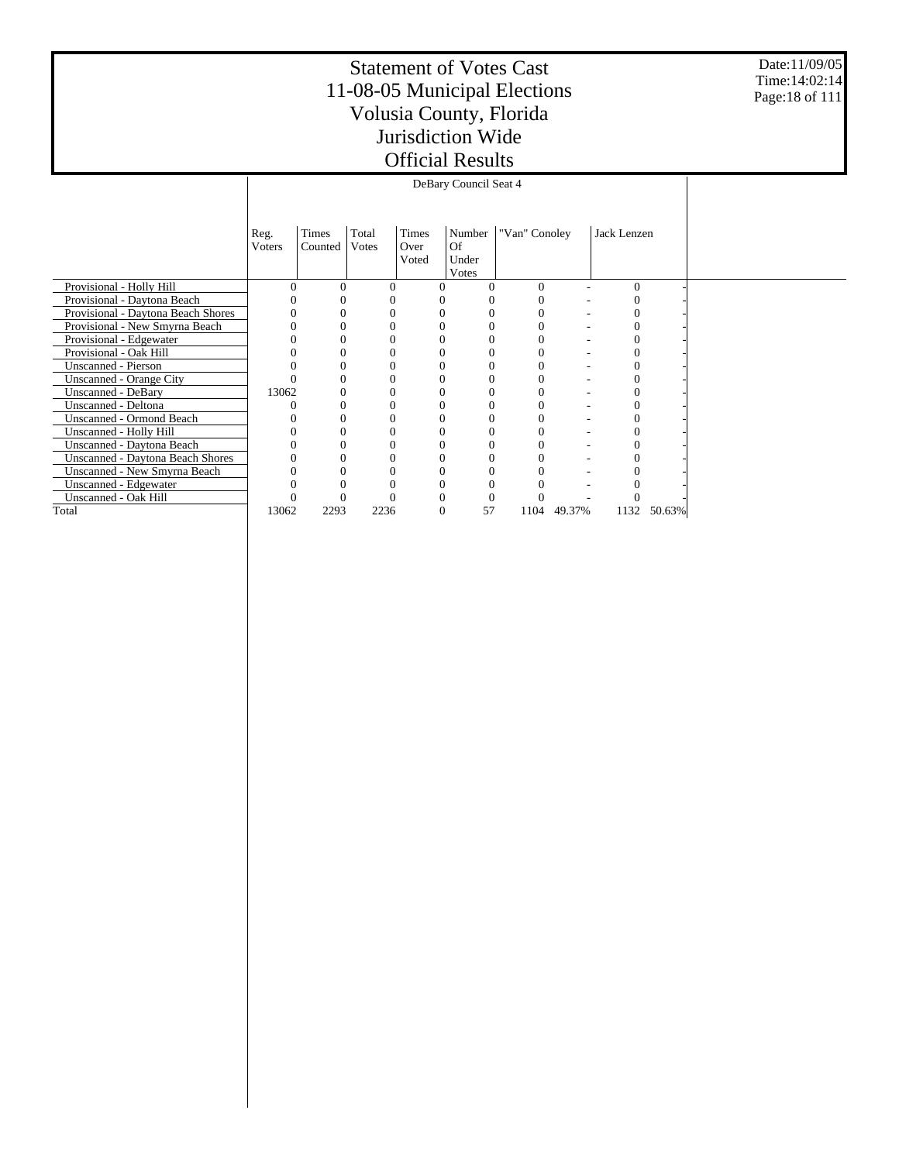Date:11/09/05 Time:14:02:14 Page:18 of 111

 $\overline{\phantom{a}}$ 

#### Statement of Votes Cast 11-08-05 Municipal Elections Volusia County, Florida Jurisdiction Wide Official Results DeBary Council Seat 4

 $\overline{1}$ 

|                                    | Reg.<br>Voters | Times<br>Counted | Total<br><b>V</b> otes | Times<br>Over<br>Voted | Number<br>$\Omega$<br>Under<br>Votes | "Van" Conoley |        | Jack Lenzen |        |  |
|------------------------------------|----------------|------------------|------------------------|------------------------|--------------------------------------|---------------|--------|-------------|--------|--|
| Provisional - Holly Hill           |                |                  |                        |                        |                                      | $\Omega$      |        |             |        |  |
| Provisional - Daytona Beach        |                |                  |                        |                        |                                      |               |        |             |        |  |
| Provisional - Daytona Beach Shores |                |                  |                        |                        |                                      |               |        |             |        |  |
| Provisional - New Smyrna Beach     |                |                  |                        |                        |                                      |               |        |             |        |  |
| Provisional - Edgewater            |                |                  |                        |                        |                                      |               |        |             |        |  |
| Provisional - Oak Hill             |                |                  |                        |                        |                                      |               |        |             |        |  |
| <b>Unscanned - Pierson</b>         |                |                  |                        |                        |                                      |               |        |             |        |  |
| Unscanned - Orange City            |                |                  |                        |                        |                                      |               |        |             |        |  |
| Unscanned - DeBary                 | 13062          |                  |                        |                        |                                      |               |        |             |        |  |
| Unscanned - Deltona                |                |                  |                        |                        |                                      |               |        |             |        |  |
| Unscanned - Ormond Beach           |                |                  |                        |                        |                                      |               |        |             |        |  |
| Unscanned - Holly Hill             |                |                  |                        |                        |                                      |               |        |             |        |  |
| Unscanned - Daytona Beach          |                |                  |                        |                        |                                      |               |        |             |        |  |
| Unscanned - Daytona Beach Shores   |                |                  |                        |                        |                                      |               |        |             |        |  |
| Unscanned - New Smyrna Beach       |                |                  |                        |                        |                                      |               |        |             |        |  |
| Unscanned - Edgewater              |                |                  |                        |                        |                                      |               |        |             |        |  |
| Unscanned - Oak Hill               |                |                  |                        |                        |                                      |               |        |             |        |  |
| Total                              | 13062          | 2293             | 2236                   | 0                      | 57                                   | 1104          | 49.37% | 1132        | 50.63% |  |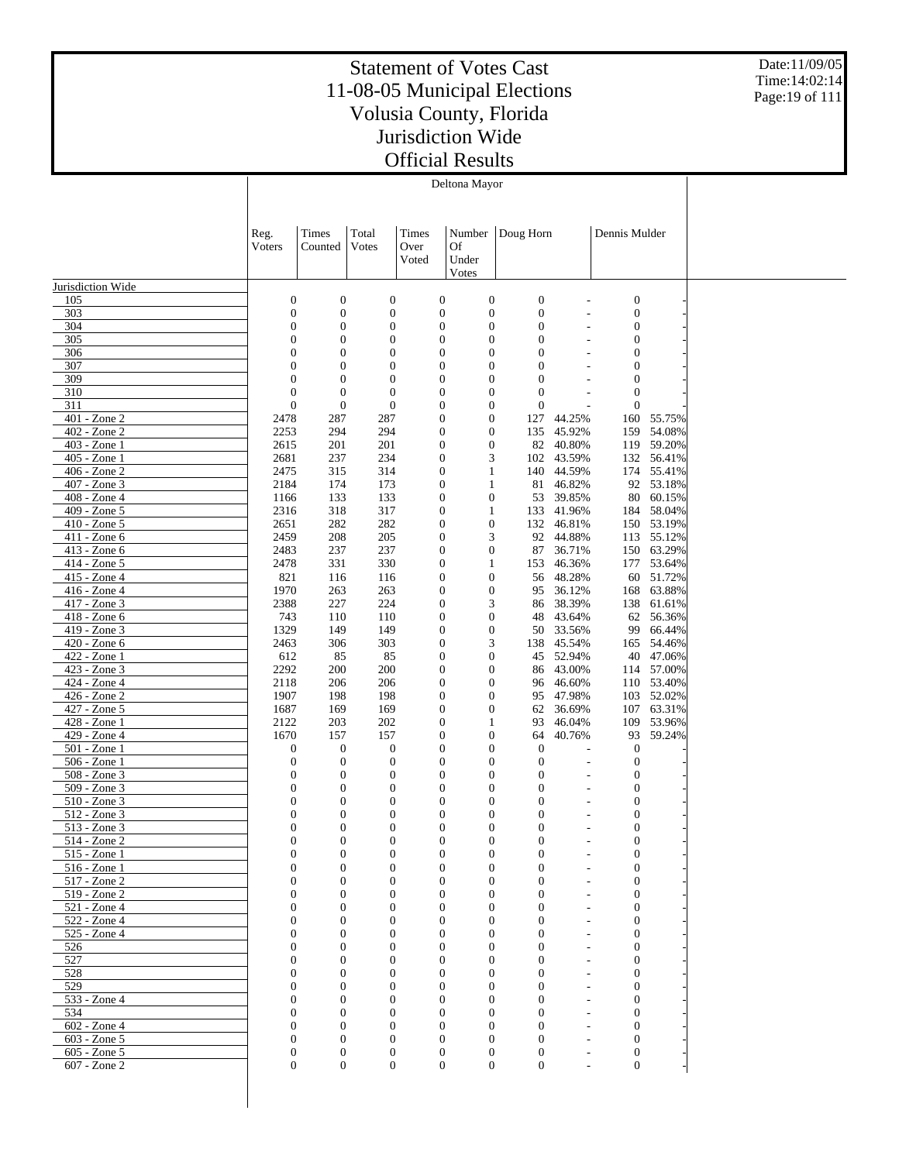Date:11/09/05 Time:14:02:14 Page:19 of 111

 $\overline{\phantom{a}}$ 

# Statement of Votes Cast 11-08-05 Municipal Elections Volusia County, Florida Jurisdiction Wide Official Results

 $\overline{\phantom{a}}$ 

 $\overline{\phantom{a}}$ 

Deltona Mayor

|                              | Reg.<br>Voters                     | Times<br>Counted                     | Total<br>Votes               | Times<br>Over<br>Voted | <b>Of</b><br>Under<br>Votes                                              | Number   Doug Horn               |                      | Dennis Mulder                                |                      |
|------------------------------|------------------------------------|--------------------------------------|------------------------------|------------------------|--------------------------------------------------------------------------|----------------------------------|----------------------|----------------------------------------------|----------------------|
| Jurisdiction Wide            |                                    |                                      |                              |                        |                                                                          |                                  |                      |                                              |                      |
| 105                          | $\mathbf{0}$                       | $\boldsymbol{0}$                     | $\boldsymbol{0}$             |                        | $\boldsymbol{0}$<br>$\boldsymbol{0}$                                     | $\boldsymbol{0}$                 |                      | $\boldsymbol{0}$                             |                      |
| 303                          | $\boldsymbol{0}$                   | $\boldsymbol{0}$                     | $\boldsymbol{0}$             |                        | $\mathbf{0}$<br>$\boldsymbol{0}$                                         | $\mathbf{0}$                     |                      | $\mathbf{0}$<br>$\overline{a}$               |                      |
| 304                          | $\mathbf{0}$                       | $\boldsymbol{0}$                     | $\boldsymbol{0}$             |                        | $\mathbf{0}$<br>$\boldsymbol{0}$                                         | $\mathbf{0}$                     |                      | $\mathbf{0}$                                 |                      |
| 305                          | $\overline{0}$                     | $\boldsymbol{0}$                     | $\overline{0}$               |                        | $\mathbf{0}$<br>$\boldsymbol{0}$                                         | $\overline{0}$                   |                      | $\mathbf{0}$                                 |                      |
| 306                          | $\overline{0}$                     | $\boldsymbol{0}$                     | $\mathbf{0}$                 |                        | $\boldsymbol{0}$<br>$\boldsymbol{0}$                                     | $\overline{0}$                   |                      | $\mathbf{0}$                                 |                      |
| 307                          | $\overline{0}$                     | $\overline{0}$                       | $\overline{0}$               |                        | $\mathbf{0}$<br>$\boldsymbol{0}$                                         | $\overline{0}$                   |                      | $\mathbf{0}$                                 |                      |
| 309<br>310                   | $\overline{0}$<br>$\overline{0}$   | $\boldsymbol{0}$<br>$\boldsymbol{0}$ | $\mathbf{0}$<br>$\mathbf{0}$ |                        | $\mathbf{0}$<br>$\boldsymbol{0}$<br>$\mathbf{0}$<br>$\boldsymbol{0}$     | $\overline{0}$<br>$\overline{0}$ |                      | $\mathbf{0}$<br>$\mathbf{0}$                 |                      |
| 311                          | $\overline{0}$                     | $\mathbf{0}$                         | $\mathbf{0}$                 |                        | $\mathbf{0}$<br>$\boldsymbol{0}$                                         | $\theta$                         |                      | $\overline{\phantom{a}}$<br>$\boldsymbol{0}$ |                      |
| 401 - Zone 2                 | 2478                               | 287                                  | 287                          |                        | $\mathbf{0}$<br>$\boldsymbol{0}$                                         | 127                              | 44.25%               |                                              | 160 55.75%           |
| 402 - Zone 2                 | 2253                               | 294                                  | 294                          |                        | $\mathbf{0}$<br>$\boldsymbol{0}$                                         | 135                              | 45.92%               | 159                                          | 54.08%               |
| 403 - Zone 1                 | 2615                               | 201                                  | 201                          |                        | $\boldsymbol{0}$<br>$\mathbf{0}$                                         |                                  | 82 40.80%            |                                              | 119 59.20%           |
| 405 - Zone 1                 | 2681                               | 237                                  | 234                          |                        | $\mathbf{0}$<br>3                                                        | 102                              | 43.59%               |                                              | 132 56.41%           |
| 406 - Zone 2                 | 2475                               | 315                                  | 314                          |                        | $\mathbf{0}$<br>$\mathbf{1}$                                             | 140                              | 44.59%               |                                              | 174 55.41%           |
| 407 - Zone 3                 | 2184                               | 174                                  | 173                          |                        | $\mathbf{0}$<br>$\mathbf{1}$                                             | 81                               | 46.82%               |                                              | 92 53.18%            |
| 408 - Zone 4                 | 1166                               | 133                                  | 133                          |                        | $\mathbf{0}$<br>$\boldsymbol{0}$                                         | 53                               | 39.85%               | 80                                           | 60.15%               |
| 409 - Zone 5<br>410 - Zone 5 | 2316                               | 318<br>282                           | 317<br>282                   |                        | $\mathbf{0}$<br>$\mathbf{1}$<br>$\boldsymbol{0}$<br>$\mathbf{0}$         | 133                              | 41.96%<br>132 46.81% | 184                                          | 58.04%<br>150 53.19% |
| 411 - Zone 6                 | 2651<br>2459                       | 208                                  | 205                          |                        | $\mathbf{0}$<br>3                                                        | 92                               | 44.88%               |                                              | 113 55.12%           |
| 413 - Zone 6                 | 2483                               | 237                                  | 237                          |                        | $\mathbf{0}$<br>$\boldsymbol{0}$                                         | 87                               | 36.71%               |                                              | 150 63.29%           |
| 414 - Zone 5                 | 2478                               | 331                                  | 330                          |                        | $\mathbf{0}$<br>$\mathbf{1}$                                             | 153                              | 46.36%               | 177                                          | 53.64%               |
| 415 - Zone 4                 | 821                                | 116                                  | 116                          |                        | $\mathbf{0}$<br>$\boldsymbol{0}$                                         | 56                               | 48.28%               |                                              | 60 51.72%            |
| 416 - Zone 4                 | 1970                               | 263                                  | 263                          |                        | $\mathbf{0}$<br>$\boldsymbol{0}$                                         | 95                               | 36.12%               | 168                                          | 63.88%               |
| 417 - Zone 3                 | 2388                               | 227                                  | 224                          |                        | 3<br>$\mathbf{0}$                                                        | 86                               | 38.39%               |                                              | 138 61.61%           |
| 418 - Zone 6                 | 743                                | 110                                  | 110                          |                        | $\mathbf{0}$<br>$\boldsymbol{0}$                                         | 48                               | 43.64%               |                                              | 62 56.36%            |
| 419 - Zone 3                 | 1329                               | 149                                  | 149                          |                        | $\mathbf{0}$<br>$\boldsymbol{0}$                                         | 50                               | 33.56%               | 99                                           | 66.44%               |
| 420 - Zone 6<br>422 - Zone 1 | 2463<br>612                        | 306<br>85                            | 303<br>85                    |                        | $\mathbf{0}$<br>3<br>$\mathbf{0}$<br>$\boldsymbol{0}$                    | 138                              | 45.54%<br>45 52.94%  | 165<br>40                                    | 54.46%<br>47.06%     |
| 423 - Zone 3                 | 2292                               | 200                                  | 200                          |                        | $\mathbf{0}$<br>$\boldsymbol{0}$                                         | 86                               | 43.00%               |                                              | 114 57.00%           |
| 424 - Zone 4                 | 2118                               | 206                                  | 206                          |                        | $\mathbf{0}$<br>$\boldsymbol{0}$                                         | 96                               | 46.60%               |                                              | 110 53.40%           |
| 426 - Zone 2                 | 1907                               | 198                                  | 198                          |                        | $\mathbf{0}$<br>$\boldsymbol{0}$                                         | 95                               | 47.98%               | 103                                          | 52.02%               |
| 427 - Zone 5                 | 1687                               | 169                                  | 169                          |                        | $\boldsymbol{0}$<br>$\mathbf{0}$                                         | 62                               | 36.69%               | 107                                          | 63.31%               |
| 428 - Zone 1                 | 2122                               | 203                                  | 202                          |                        | $\mathbf{0}$<br>$\mathbf{1}$                                             | 93                               | 46.04%               | 109                                          | 53.96%               |
| 429 - Zone 4                 | 1670                               | 157                                  | 157                          |                        | $\mathbf{0}$<br>$\boldsymbol{0}$                                         | 64                               | 40.76%               |                                              | 93 59.24%            |
| 501 - Zone 1                 | $\boldsymbol{0}$                   | $\boldsymbol{0}$                     | $\boldsymbol{0}$             |                        | $\mathbf{0}$<br>$\boldsymbol{0}$                                         | $\boldsymbol{0}$                 |                      | $\boldsymbol{0}$                             |                      |
| 506 - Zone 1                 | $\boldsymbol{0}$                   | $\boldsymbol{0}$                     | $\mathbf{0}$                 |                        | $\mathbf{0}$<br>$\boldsymbol{0}$                                         | $\mathbf{0}$                     |                      | $\mathbf{0}$<br>$\overline{\phantom{a}}$     |                      |
| 508 - Zone 3<br>509 - Zone 3 | $\boldsymbol{0}$<br>$\overline{0}$ | $\boldsymbol{0}$<br>$\boldsymbol{0}$ | $\mathbf{0}$<br>$\mathbf{0}$ |                        | $\boldsymbol{0}$<br>$\boldsymbol{0}$<br>$\mathbf{0}$<br>$\boldsymbol{0}$ | $\overline{0}$<br>$\overline{0}$ |                      | $\boldsymbol{0}$<br>$\mathbf{0}$             |                      |
| 510 - Zone 3                 | $\overline{0}$                     | $\boldsymbol{0}$                     | $\mathbf{0}$                 |                        | $\boldsymbol{0}$<br>$\boldsymbol{0}$                                     | $\overline{0}$                   |                      | ٠<br>$\mathbf{0}$                            |                      |
| 512 - Zone 3                 | $\theta$                           | $\boldsymbol{0}$                     | $\overline{0}$               |                        | $\boldsymbol{0}$<br>$\boldsymbol{0}$                                     | $\overline{0}$                   |                      | $\mathbf{0}$                                 |                      |
| 513 - Zone 3                 | 0                                  | $\boldsymbol{0}$                     | $\mathbf{0}$                 |                        | $\boldsymbol{0}$<br>$\boldsymbol{0}$                                     | $\overline{0}$                   |                      | $\boldsymbol{0}$                             |                      |
| 514 - Zone 2                 | $\overline{0}$                     | $\mathbf{0}$                         | $\overline{0}$               |                        | $\mathbf{0}$<br>$\mathbf{0}$                                             | $\overline{0}$                   |                      | $\overline{0}$<br>٠                          |                      |
| 515 - Zone 1                 | $\Omega$                           | $\overline{0}$                       | $\Omega$                     |                        | $\overline{0}$<br>$\Omega$                                               | $\Omega$                         |                      | $\Omega$                                     |                      |
| 516 - Zone 1                 |                                    | $\theta$                             | 0                            |                        | $\theta$<br>$\mathbf{0}$                                                 | 0                                |                      | 0                                            |                      |
| 517 - Zone 2                 | $\Omega$                           | $\mathbf{0}$                         | $\mathbf{0}$                 |                        | $\overline{0}$<br>$\boldsymbol{0}$                                       | $\theta$                         |                      | $\overline{0}$                               |                      |
| 519 - Zone 2                 |                                    | $\Omega$                             | $\theta$<br>$\theta$         |                        | $\Omega$<br>$\Omega$<br>$\overline{0}$                                   | $\Omega$<br>$\Omega$             |                      | $\theta$                                     |                      |
| 521 - Zone 4<br>522 - Zone 4 |                                    | $\overline{0}$<br>$\Omega$           | $\theta$                     |                        | $\mathbf{0}$<br>$\Omega$<br>$\Omega$                                     | $\Omega$                         |                      | $\overline{0}$<br>0                          |                      |
| 525 - Zone 4                 | 0                                  | $\overline{0}$                       | $\theta$                     |                        | $\overline{0}$<br>$\mathbf{0}$                                           | $\Omega$                         |                      | $\overline{0}$                               |                      |
| 526                          |                                    | $\Omega$                             | $\theta$                     |                        | $\Omega$<br>$\Omega$                                                     | $\Omega$                         |                      | $\theta$                                     |                      |
| 527                          |                                    | $\overline{0}$                       | $\theta$                     |                        | $\overline{0}$<br>$\mathbf{0}$                                           | $\Omega$                         |                      | $\overline{0}$                               |                      |
| 528                          |                                    | $\Omega$                             | $\theta$                     |                        | $\Omega$<br>$\Omega$                                                     | $\Omega$                         |                      | $\theta$                                     |                      |
| 529                          |                                    | $\overline{0}$                       | $\theta$                     |                        | $\overline{0}$<br>$\mathbf{0}$                                           | $\Omega$                         |                      | $\overline{0}$                               |                      |
| 533 - Zone 4                 |                                    | $\Omega$                             | $\theta$                     |                        | $\Omega$<br>$\Omega$                                                     | $\Omega$                         |                      | $\theta$                                     |                      |
| 534                          | $\Omega$                           | $\overline{0}$                       | $\theta$                     |                        | $\overline{0}$<br>$\mathbf{0}$                                           | $\Omega$                         |                      | $\overline{0}$                               |                      |
| 602 - Zone 4<br>603 - Zone 5 | $\Omega$                           | $\Omega$<br>$\theta$                 | $\theta$<br>$\mathbf{0}$     |                        | $\Omega$<br>$\Omega$<br>$\overline{0}$<br>$\mathbf{0}$                   | $\Omega$<br>$\theta$             |                      | $\theta$<br>$\overline{0}$                   |                      |
| 605 - Zone 5                 |                                    | $\Omega$                             | $\overline{0}$               |                        | $\theta$<br>$\mathbf{0}$                                                 | $\overline{0}$                   |                      | $\mathbf{0}$                                 |                      |
| 607 - Zone 2                 | $\overline{0}$                     | $\mathbf{0}$                         | $\boldsymbol{0}$             |                        | $\overline{0}$<br>$\mathbf{0}$                                           |                                  | $\boldsymbol{0}$     | $\mathbf{0}$                                 |                      |
|                              |                                    |                                      |                              |                        |                                                                          |                                  |                      |                                              |                      |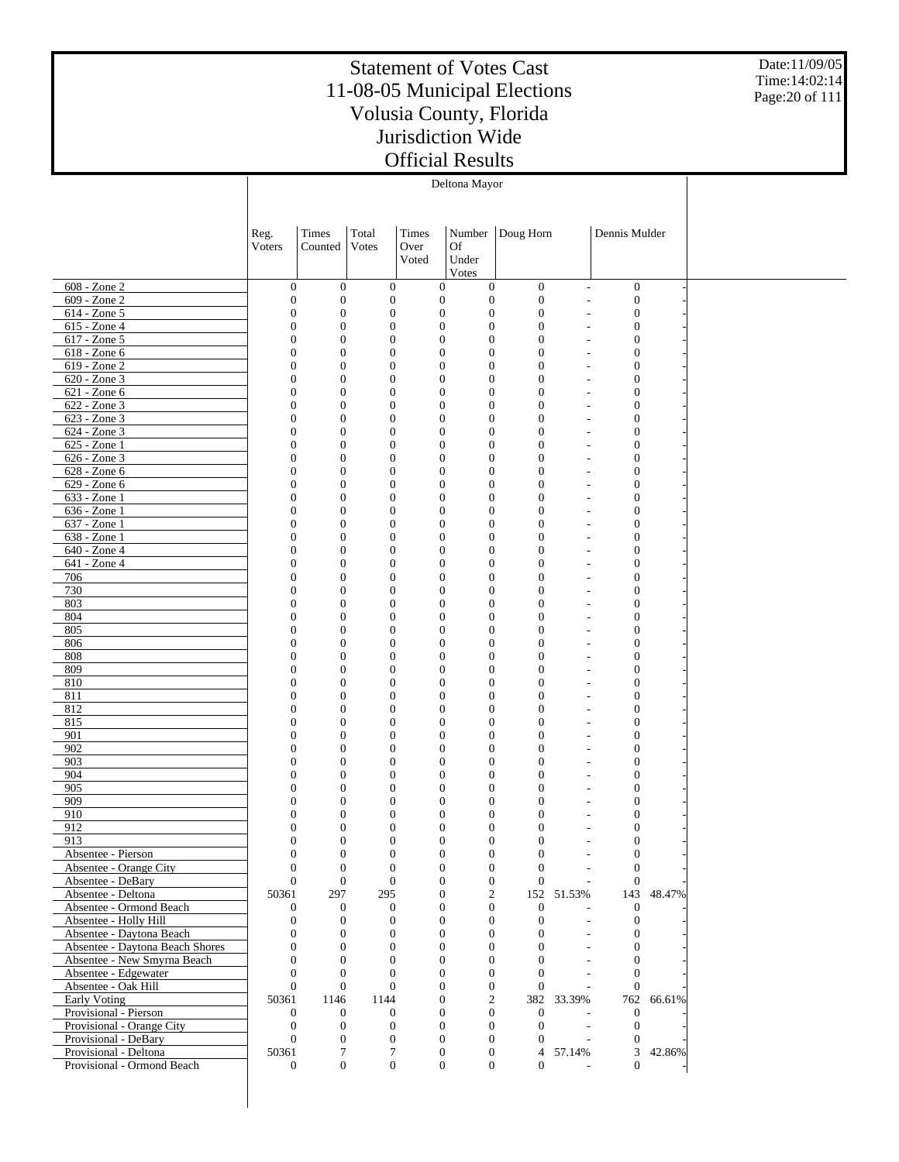Date:11/09/05 Time:14:02:14 Page:20 of 111

| Deltona Mayor |  |
|---------------|--|
|---------------|--|

|                                                     | Reg.<br>Voters               | Times<br>Counted                     | Total<br>Votes                       | Times<br>Over<br>Voted | Of<br>Under                          | Number   Doug Horn                                                           |                          | Dennis Mulder                        |            |
|-----------------------------------------------------|------------------------------|--------------------------------------|--------------------------------------|------------------------|--------------------------------------|------------------------------------------------------------------------------|--------------------------|--------------------------------------|------------|
| 608 - Zone 2                                        | $\boldsymbol{0}$             | $\boldsymbol{0}$                     |                                      | $\boldsymbol{0}$       | Votes<br>$\boldsymbol{0}$            | $\boldsymbol{0}$<br>$\boldsymbol{0}$                                         | $\overline{\phantom{a}}$ | $\boldsymbol{0}$                     |            |
| $609 - Zone2$                                       | $\boldsymbol{0}$             | $\boldsymbol{0}$                     | $\boldsymbol{0}$                     |                        | $\boldsymbol{0}$                     | $\boldsymbol{0}$<br>$\boldsymbol{0}$                                         | $\overline{\phantom{a}}$ | $\boldsymbol{0}$                     |            |
| 614 - Zone 5                                        | $\boldsymbol{0}$             | $\boldsymbol{0}$                     | $\boldsymbol{0}$                     |                        | $\boldsymbol{0}$                     | $\boldsymbol{0}$<br>$\boldsymbol{0}$                                         |                          | $\boldsymbol{0}$                     |            |
| $615 - Zone4$                                       | $\mathbf{0}$                 | $\boldsymbol{0}$                     | $\boldsymbol{0}$                     |                        | $\boldsymbol{0}$                     | $\boldsymbol{0}$<br>$\boldsymbol{0}$                                         | $\overline{\phantom{a}}$ | $\boldsymbol{0}$                     |            |
| 617 - Zone 5                                        | $\mathbf{0}$                 | $\boldsymbol{0}$                     | $\boldsymbol{0}$                     |                        | $\boldsymbol{0}$                     | $\boldsymbol{0}$<br>$\boldsymbol{0}$                                         |                          | $\boldsymbol{0}$                     |            |
| $618 - Zone 6$                                      | $\mathbf{0}$                 | $\boldsymbol{0}$                     | $\boldsymbol{0}$                     |                        | $\boldsymbol{0}$                     | $\boldsymbol{0}$<br>$\boldsymbol{0}$                                         |                          | $\boldsymbol{0}$                     |            |
| $619 - Zone2$                                       | $\mathbf{0}$                 | $\boldsymbol{0}$                     | $\boldsymbol{0}$                     |                        | $\boldsymbol{0}$                     | $\boldsymbol{0}$<br>$\boldsymbol{0}$                                         |                          | $\boldsymbol{0}$                     |            |
| $620 - Z$ one 3                                     | $\mathbf{0}$                 | $\boldsymbol{0}$                     | $\boldsymbol{0}$                     |                        | $\boldsymbol{0}$                     | $\boldsymbol{0}$<br>$\boldsymbol{0}$                                         | $\overline{\phantom{a}}$ | $\boldsymbol{0}$                     |            |
| 621 - Zone 6<br>$622 - Zone$ 3                      | $\mathbf{0}$<br>$\mathbf{0}$ | $\boldsymbol{0}$<br>$\boldsymbol{0}$ | $\boldsymbol{0}$<br>$\boldsymbol{0}$ |                        | $\boldsymbol{0}$<br>$\boldsymbol{0}$ | $\boldsymbol{0}$<br>$\boldsymbol{0}$<br>$\boldsymbol{0}$<br>$\boldsymbol{0}$ | $\overline{\phantom{a}}$ | $\boldsymbol{0}$<br>$\boldsymbol{0}$ |            |
| 623 - Zone 3                                        | $\mathbf{0}$                 | $\boldsymbol{0}$                     | $\boldsymbol{0}$                     |                        | $\boldsymbol{0}$                     | $\boldsymbol{0}$<br>$\boldsymbol{0}$                                         |                          | $\boldsymbol{0}$                     |            |
| $624 - Zone$ 3                                      | $\mathbf{0}$                 | $\boldsymbol{0}$                     | $\boldsymbol{0}$                     |                        | $\boldsymbol{0}$                     | $\boldsymbol{0}$<br>$\boldsymbol{0}$                                         | $\overline{\phantom{a}}$ | $\boldsymbol{0}$                     |            |
| 625 - Zone 1                                        | $\mathbf{0}$                 | $\boldsymbol{0}$                     | $\boldsymbol{0}$                     |                        | $\boldsymbol{0}$                     | $\boldsymbol{0}$<br>$\boldsymbol{0}$                                         |                          | $\boldsymbol{0}$                     |            |
| $626 - Zone$ 3                                      | $\mathbf{0}$                 | $\boldsymbol{0}$                     | $\boldsymbol{0}$                     |                        | $\boldsymbol{0}$                     | $\boldsymbol{0}$<br>$\boldsymbol{0}$                                         | $\overline{\phantom{a}}$ | $\boldsymbol{0}$                     |            |
| 628 - Zone 6                                        | $\mathbf{0}$                 | $\boldsymbol{0}$                     | $\boldsymbol{0}$                     |                        | $\boldsymbol{0}$                     | $\boldsymbol{0}$<br>$\boldsymbol{0}$                                         |                          | $\boldsymbol{0}$                     |            |
| $629 - Zone 6$                                      | $\mathbf{0}$                 | $\boldsymbol{0}$                     | $\boldsymbol{0}$                     |                        | $\boldsymbol{0}$                     | $\boldsymbol{0}$<br>$\boldsymbol{0}$                                         |                          | $\boldsymbol{0}$                     |            |
| 633 - Zone 1                                        | $\mathbf{0}$                 | $\boldsymbol{0}$                     | $\boldsymbol{0}$                     |                        | $\boldsymbol{0}$                     | $\boldsymbol{0}$<br>$\boldsymbol{0}$                                         |                          | $\boldsymbol{0}$                     |            |
| $636 - Zone1$                                       | $\mathbf{0}$                 | $\boldsymbol{0}$                     | $\boldsymbol{0}$                     |                        | $\boldsymbol{0}$                     | $\boldsymbol{0}$<br>$\boldsymbol{0}$                                         | $\overline{\phantom{a}}$ | $\boldsymbol{0}$                     |            |
| 637 - Zone 1<br>$638 - Z$ one 1                     | $\mathbf{0}$<br>$\mathbf{0}$ | $\boldsymbol{0}$<br>$\boldsymbol{0}$ | $\boldsymbol{0}$                     |                        | $\boldsymbol{0}$<br>$\boldsymbol{0}$ | $\boldsymbol{0}$<br>$\boldsymbol{0}$<br>$\boldsymbol{0}$<br>$\boldsymbol{0}$ |                          | $\boldsymbol{0}$                     |            |
| 640 - Zone 4                                        | $\mathbf{0}$                 | $\boldsymbol{0}$                     | $\boldsymbol{0}$<br>$\boldsymbol{0}$ |                        | $\boldsymbol{0}$                     | $\boldsymbol{0}$<br>$\boldsymbol{0}$                                         | $\overline{\phantom{a}}$ | $\boldsymbol{0}$<br>$\boldsymbol{0}$ |            |
| $641 - Zone4$                                       | $\mathbf{0}$                 | $\boldsymbol{0}$                     | $\boldsymbol{0}$                     |                        | $\boldsymbol{0}$                     | $\boldsymbol{0}$<br>$\boldsymbol{0}$                                         |                          | $\boldsymbol{0}$                     |            |
| 706                                                 | $\boldsymbol{0}$             | $\boldsymbol{0}$                     | $\boldsymbol{0}$                     |                        | $\boldsymbol{0}$                     | $\boldsymbol{0}$<br>$\boldsymbol{0}$                                         |                          | $\boldsymbol{0}$                     |            |
| 730                                                 | $\mathbf{0}$                 | $\boldsymbol{0}$                     | $\boldsymbol{0}$                     |                        | $\boldsymbol{0}$                     | $\boldsymbol{0}$<br>$\boldsymbol{0}$                                         | $\overline{\phantom{a}}$ | $\boldsymbol{0}$                     |            |
| 803                                                 | $\mathbf{0}$                 | $\boldsymbol{0}$                     | $\boldsymbol{0}$                     |                        | $\boldsymbol{0}$                     | $\boldsymbol{0}$<br>$\boldsymbol{0}$                                         | $\overline{\phantom{a}}$ | $\boldsymbol{0}$                     |            |
| 804                                                 | $\mathbf{0}$                 | $\boldsymbol{0}$                     | $\boldsymbol{0}$                     |                        | $\boldsymbol{0}$                     | $\boldsymbol{0}$<br>$\boldsymbol{0}$                                         | $\overline{\phantom{a}}$ | $\boldsymbol{0}$                     |            |
| 805                                                 | $\mathbf{0}$                 | $\boldsymbol{0}$                     | $\boldsymbol{0}$                     |                        | $\boldsymbol{0}$                     | $\boldsymbol{0}$<br>$\boldsymbol{0}$                                         |                          | $\boldsymbol{0}$                     |            |
| 806                                                 | $\mathbf{0}$                 | $\boldsymbol{0}$                     | $\boldsymbol{0}$                     |                        | $\boldsymbol{0}$                     | $\boldsymbol{0}$<br>$\boldsymbol{0}$                                         | $\overline{\phantom{a}}$ | $\boldsymbol{0}$                     |            |
| 808                                                 | $\boldsymbol{0}$             | $\boldsymbol{0}$                     | $\boldsymbol{0}$                     |                        | $\boldsymbol{0}$                     | $\boldsymbol{0}$<br>$\boldsymbol{0}$                                         |                          | $\boldsymbol{0}$                     |            |
| 809                                                 | $\mathbf{0}$                 | $\boldsymbol{0}$                     | $\boldsymbol{0}$                     |                        | $\boldsymbol{0}$                     | $\boldsymbol{0}$<br>0                                                        | $\overline{\phantom{a}}$ | $\boldsymbol{0}$                     |            |
| 810<br>811                                          | $\mathbf{0}$<br>$\mathbf{0}$ | $\boldsymbol{0}$<br>$\boldsymbol{0}$ | $\boldsymbol{0}$<br>$\boldsymbol{0}$ |                        | $\boldsymbol{0}$<br>$\boldsymbol{0}$ | $\boldsymbol{0}$<br>$\boldsymbol{0}$<br>$\boldsymbol{0}$<br>$\boldsymbol{0}$ | $\overline{\phantom{a}}$ | $\boldsymbol{0}$<br>$\boldsymbol{0}$ |            |
| 812                                                 | $\mathbf{0}$                 | $\boldsymbol{0}$                     | $\boldsymbol{0}$                     |                        | $\boldsymbol{0}$                     | $\boldsymbol{0}$<br>$\boldsymbol{0}$                                         |                          | $\boldsymbol{0}$                     |            |
| 815                                                 | $\mathbf{0}$                 | $\boldsymbol{0}$                     | $\boldsymbol{0}$                     |                        | $\boldsymbol{0}$                     | $\boldsymbol{0}$<br>$\boldsymbol{0}$                                         | $\overline{\phantom{a}}$ | $\boldsymbol{0}$                     |            |
| 901                                                 | $\mathbf{0}$                 | $\boldsymbol{0}$                     | $\boldsymbol{0}$                     |                        | $\boldsymbol{0}$                     | $\boldsymbol{0}$<br>$\boldsymbol{0}$                                         |                          | $\boldsymbol{0}$                     |            |
| 902                                                 | $\mathbf{0}$                 | $\boldsymbol{0}$                     | $\boldsymbol{0}$                     |                        | $\boldsymbol{0}$                     | $\boldsymbol{0}$<br>$\boldsymbol{0}$                                         | $\overline{\phantom{a}}$ | $\boldsymbol{0}$                     |            |
| 903                                                 | $\mathbf{0}$                 | $\boldsymbol{0}$                     | $\boldsymbol{0}$                     |                        | $\boldsymbol{0}$                     | $\boldsymbol{0}$<br>$\boldsymbol{0}$                                         |                          | $\boldsymbol{0}$                     |            |
| 904                                                 | $\mathbf{0}$                 | $\boldsymbol{0}$                     | $\boldsymbol{0}$                     |                        | $\boldsymbol{0}$                     | $\boldsymbol{0}$<br>$\boldsymbol{0}$                                         |                          | $\boldsymbol{0}$                     |            |
| 905                                                 | $\mathbf{0}$                 | $\boldsymbol{0}$                     | $\boldsymbol{0}$                     |                        | $\boldsymbol{0}$                     | $\boldsymbol{0}$<br>$\boldsymbol{0}$                                         |                          | $\boldsymbol{0}$                     |            |
| 909                                                 | $\Omega$                     | $\boldsymbol{0}$                     | $\boldsymbol{0}$                     |                        | $\boldsymbol{0}$                     | $\boldsymbol{0}$<br>$\mathbf{0}$                                             |                          | $\boldsymbol{0}$                     |            |
| 910<br>912                                          | $\mathbf{0}$<br>$\Omega$     | $\boldsymbol{0}$<br>$\boldsymbol{0}$ | $\boldsymbol{0}$<br>$\boldsymbol{0}$ |                        | $\boldsymbol{0}$<br>$\boldsymbol{0}$ | $\boldsymbol{0}$<br>$\overline{0}$<br>$\boldsymbol{0}$<br>$\mathbf{0}$       |                          | $\boldsymbol{0}$<br>$\boldsymbol{0}$ |            |
| 913                                                 | $\mathbf{0}$                 | $\boldsymbol{0}$                     | $\boldsymbol{0}$                     |                        | $\boldsymbol{0}$                     | $\mathbf{0}$<br>$\overline{0}$                                               |                          | $\boldsymbol{0}$                     |            |
| Absentee - Pierson                                  | $\Omega$                     | $\overline{0}$                       | $\Omega$                             |                        | $\Omega$                             | $\mathbf{0}$<br>$\Omega$                                                     |                          | $\Omega$                             |            |
| Absentee - Orange City                              | $\boldsymbol{0}$             | $\boldsymbol{0}$                     | $\mathbf{0}$                         |                        | $\boldsymbol{0}$                     | $\mathbf{0}$<br>$\boldsymbol{0}$                                             |                          | $\boldsymbol{0}$                     |            |
| Absentee - DeBary                                   | $\mathbf{0}$                 | $\boldsymbol{0}$                     | $\mathbf{0}$                         |                        | $\boldsymbol{0}$                     | $\Omega$<br>$\boldsymbol{0}$                                                 |                          | $\overline{0}$                       |            |
| Absentee - Deltona                                  | 50361                        | 297                                  | 295                                  |                        | $\mathbf{0}$                         | $\overline{c}$                                                               | 152 51.53%               |                                      | 143 48.47% |
| Absentee - Ormond Beach                             | $\overline{0}$               | $\boldsymbol{0}$                     | $\mathbf{0}$                         |                        | $\boldsymbol{0}$                     | $\mathbf{0}$<br>$\overline{0}$                                               |                          | $\boldsymbol{0}$                     |            |
| Absentee - Holly Hill                               | $\mathbf{0}$                 | 0                                    |                                      | $\mathbf{0}$           | $\boldsymbol{0}$                     | $\overline{0}$<br>$\overline{0}$                                             |                          | $\boldsymbol{0}$                     |            |
| Absentee - Daytona Beach                            | $\Omega$                     | $\mathbf{0}$                         | $\boldsymbol{0}$                     |                        | $\boldsymbol{0}$                     | $\mathbf{0}$<br>$\overline{0}$                                               |                          | $\overline{0}$                       |            |
| Absentee - Daytona Beach Shores                     | $\mathbf{0}$                 | $\overline{0}$                       |                                      | $\mathbf{0}$           | $\boldsymbol{0}$                     | $\mathbf{0}$<br>$\Omega$                                                     |                          | $\boldsymbol{0}$                     |            |
| Absentee - New Smyrna Beach<br>Absentee - Edgewater | $\mathbf{0}$<br>$\mathbf{0}$ | $\overline{0}$<br>$\boldsymbol{0}$   | $\boldsymbol{0}$                     | $\mathbf{0}$           | $\boldsymbol{0}$<br>$\boldsymbol{0}$ | $\Omega$<br>$\Omega$<br>$\mathbf{0}$<br>$\Omega$                             |                          | $\boldsymbol{0}$<br>$\overline{0}$   |            |
| Absentee - Oak Hill                                 | $\mathbf{0}$                 | $\mathbf{0}$                         | $\mathbf{0}$                         |                        | $\boldsymbol{0}$                     | $\mathbf{0}$<br>$\Omega$                                                     |                          | $\overline{0}$                       |            |
| Early Voting                                        | 50361                        | 1146                                 | 1144                                 |                        | $\boldsymbol{0}$                     | $\overline{c}$                                                               | 382 33.39%               |                                      | 762 66.61% |
| Provisional - Pierson                               | $\boldsymbol{0}$             | $\mathbf{0}$                         |                                      | $\overline{0}$         | $\boldsymbol{0}$                     | $\mathbf{0}$<br>$\overline{0}$                                               |                          | $\mathbf{0}$                         |            |
| Provisional - Orange City                           | $\boldsymbol{0}$             | $\mathbf{0}$                         |                                      | $\mathbf{0}$           | $\boldsymbol{0}$                     | $\overline{0}$<br>$\overline{0}$                                             | $\sim$                   | $\boldsymbol{0}$                     |            |
| Provisional - DeBary                                | $\mathbf{0}$                 | $\overline{0}$                       |                                      | $\mathbf{0}$           | $\boldsymbol{0}$                     | $\overline{0}$<br>$\Omega$                                                   | $\overline{\phantom{a}}$ | 0                                    |            |
| Provisional - Deltona                               | 50361                        | 7                                    |                                      | $\tau$                 | $\boldsymbol{0}$                     | $\mathbf{0}$<br>4                                                            | 57.14%                   | 3                                    | 42.86%     |
| Provisional - Ormond Beach                          | $\boldsymbol{0}$             | $\overline{0}$                       |                                      | $\mathbf{0}$           | $\boldsymbol{0}$                     | $\Omega$<br>$\Omega$                                                         |                          | $\Omega$                             |            |
|                                                     |                              |                                      |                                      |                        |                                      |                                                                              |                          |                                      |            |
|                                                     |                              |                                      |                                      |                        |                                      |                                                                              |                          |                                      |            |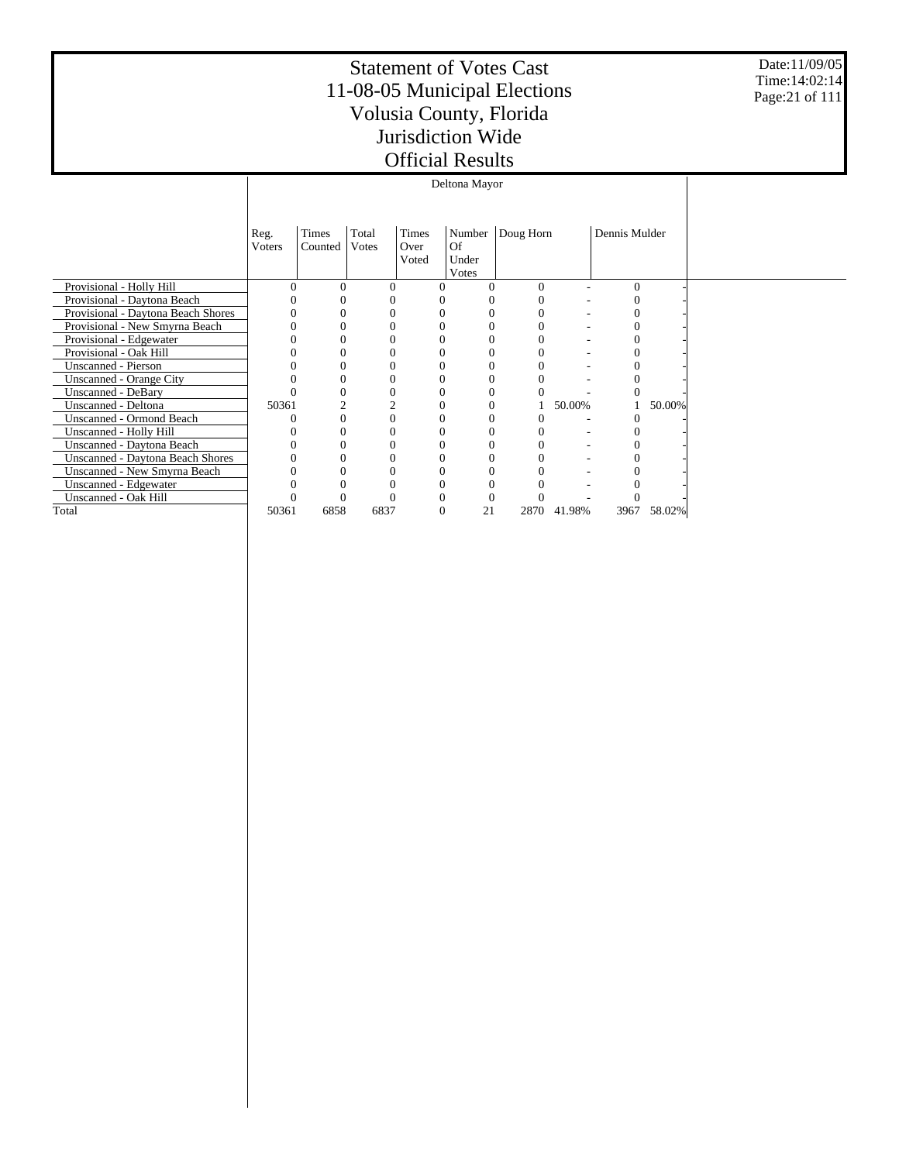Statement of Votes Cast 11-08-05 Municipal Elections Volusia County, Florida Jurisdiction Wide Official Results

Date:11/09/05 Time:14:02:14 Page:21 of 111

#### Deltona Mayor

|                                         | Reg.   | Times   | Total | Times |    |       | Number   Doug Horn |        | Dennis Mulder |        |
|-----------------------------------------|--------|---------|-------|-------|----|-------|--------------------|--------|---------------|--------|
|                                         | Voters | Counted | Votes | Over  | Of |       |                    |        |               |        |
|                                         |        |         |       | Voted |    | Under |                    |        |               |        |
|                                         |        |         |       |       |    | Votes |                    |        |               |        |
| Provisional - Holly Hill                |        |         |       |       |    |       | $\Omega$           |        | $\Omega$      |        |
| Provisional - Daytona Beach             |        |         |       |       |    |       |                    |        |               |        |
| Provisional - Daytona Beach Shores      |        |         |       |       |    |       |                    |        |               |        |
| Provisional - New Smyrna Beach          |        |         |       |       |    |       |                    |        |               |        |
| Provisional - Edgewater                 |        |         |       |       |    |       |                    |        |               |        |
| Provisional - Oak Hill                  |        |         |       |       |    |       |                    |        |               |        |
| <b>Unscanned - Pierson</b>              |        |         |       |       |    |       |                    |        |               |        |
| Unscanned - Orange City                 |        |         |       |       |    |       |                    |        |               |        |
| Unscanned - DeBary                      |        |         |       |       |    |       |                    |        |               |        |
| Unscanned - Deltona                     | 50361  |         |       |       |    |       |                    | 50.00% |               | 50.00% |
| Unscanned - Ormond Beach                |        |         |       |       |    |       |                    |        |               |        |
| Unscanned - Holly Hill                  |        |         |       |       |    |       |                    |        |               |        |
| Unscanned - Daytona Beach               |        |         |       |       |    |       |                    |        |               |        |
| <b>Unscanned - Daytona Beach Shores</b> |        |         |       |       |    |       |                    |        |               |        |
| Unscanned - New Smyrna Beach            |        |         |       |       |    |       |                    |        |               |        |
| Unscanned - Edgewater                   |        |         |       |       |    |       |                    |        |               |        |
| Unscanned - Oak Hill                    |        |         |       |       |    |       |                    |        |               |        |
| Total                                   | 50361  | 6858    | 6837  |       |    | 21    | 2870               | 41.98% | 3967          | 58.02% |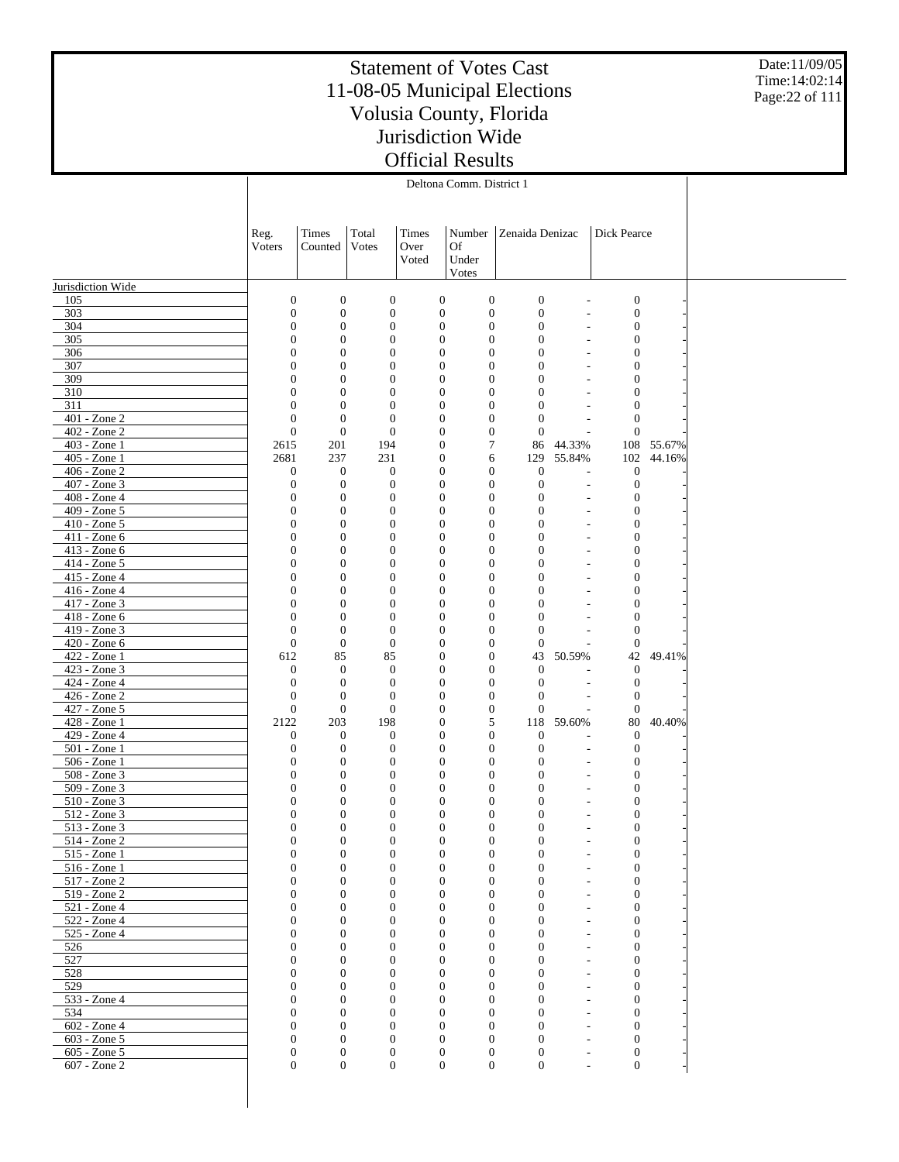Date:11/09/05 Time:14:02:14 Page:22 of 111

 $\overline{1}$ 

#### Statement of Votes Cast 11-08-05 Municipal Elections Volusia County, Florida Jurisdiction Wide Official Results Deltona Comm. District 1

|                              | Reg.<br>Voters                       | Times<br>Counted               | Total<br><b>Votes</b>            | Times<br>Over<br>Voted               | Number<br><b>Of</b><br>Under<br><b>Votes</b> | Zenaida Denizac                  |                                  | Dick Pearce                          |        |
|------------------------------|--------------------------------------|--------------------------------|----------------------------------|--------------------------------------|----------------------------------------------|----------------------------------|----------------------------------|--------------------------------------|--------|
| Jurisdiction Wide            |                                      |                                |                                  |                                      |                                              |                                  |                                  |                                      |        |
| 105                          | $\boldsymbol{0}$                     | $\mathbf{0}$                   | $\boldsymbol{0}$                 | $\boldsymbol{0}$                     | $\boldsymbol{0}$                             | $\boldsymbol{0}$                 |                                  | $\boldsymbol{0}$                     |        |
| 303                          | $\boldsymbol{0}$                     | $\mathbf{0}$                   | $\boldsymbol{0}$                 | $\boldsymbol{0}$                     | $\boldsymbol{0}$                             | $\boldsymbol{0}$                 |                                  | $\boldsymbol{0}$                     |        |
| 304                          | $\boldsymbol{0}$                     | $\boldsymbol{0}$               | $\boldsymbol{0}$                 | $\boldsymbol{0}$                     | $\boldsymbol{0}$                             | $\boldsymbol{0}$                 | ÷,                               | $\boldsymbol{0}$                     |        |
| 305                          | $\boldsymbol{0}$                     | $\boldsymbol{0}$               | $\boldsymbol{0}$                 | $\boldsymbol{0}$                     | $\boldsymbol{0}$                             | $\mathbf{0}$                     |                                  | $\boldsymbol{0}$                     |        |
| 306                          | $\boldsymbol{0}$                     | $\boldsymbol{0}$               | $\mathbf{0}$                     | $\boldsymbol{0}$                     | $\boldsymbol{0}$                             | $\mathbf{0}$                     |                                  | $\boldsymbol{0}$                     |        |
| 307                          | $\boldsymbol{0}$                     | $\boldsymbol{0}$               | $\boldsymbol{0}$                 | $\boldsymbol{0}$                     | $\boldsymbol{0}$                             | $\overline{0}$                   |                                  | $\boldsymbol{0}$                     |        |
| 309                          | $\boldsymbol{0}$                     | $\boldsymbol{0}$               | $\boldsymbol{0}$                 | $\boldsymbol{0}$                     | $\boldsymbol{0}$                             | $\boldsymbol{0}$                 |                                  | $\boldsymbol{0}$                     |        |
| 310                          | $\mathbf{0}$                         | $\boldsymbol{0}$               | $\boldsymbol{0}$                 | $\boldsymbol{0}$                     | $\boldsymbol{0}$                             | $\mathbf{0}$                     |                                  | $\boldsymbol{0}$                     |        |
| 311                          | $\mathbf{0}$                         | $\boldsymbol{0}$               | $\mathbf{0}$                     | $\boldsymbol{0}$                     | $\boldsymbol{0}$                             | $\boldsymbol{0}$                 |                                  | $\boldsymbol{0}$                     |        |
| 401 - Zone 2                 | $\mathbf{0}$                         | $\mathbf{0}$                   | $\boldsymbol{0}$                 | $\boldsymbol{0}$                     | $\boldsymbol{0}$                             | $\boldsymbol{0}$                 |                                  | $\boldsymbol{0}$                     |        |
| 402 - Zone 2                 | $\boldsymbol{0}$                     | $\mathbf{0}$                   | $\boldsymbol{0}$                 | $\boldsymbol{0}$                     | $\boldsymbol{0}$                             | $\mathbf{0}$                     |                                  | $\boldsymbol{0}$                     |        |
| 403 - Zone 1                 | 2615                                 | 201                            | 194                              | $\boldsymbol{0}$                     | 7                                            | 86                               | 44.33%                           | 108                                  | 55.67% |
| 405 - Zone 1                 | 2681                                 | 237                            | 231                              | $\boldsymbol{0}$                     | 6                                            | 129                              | 55.84%                           | 102                                  | 44.16% |
| 406 - Zone 2<br>407 - Zone 3 | $\boldsymbol{0}$<br>$\boldsymbol{0}$ | $\mathbf{0}$<br>$\mathbf{0}$   | $\boldsymbol{0}$<br>$\mathbf{0}$ | $\boldsymbol{0}$<br>$\boldsymbol{0}$ | $\mathbf{0}$<br>$\boldsymbol{0}$             | $\mathbf{0}$<br>$\boldsymbol{0}$ |                                  | $\boldsymbol{0}$<br>$\boldsymbol{0}$ |        |
| 408 - Zone 4                 | $\boldsymbol{0}$                     | $\mathbf{0}$                   | $\mathbf{0}$                     | $\boldsymbol{0}$                     | $\boldsymbol{0}$                             | $\mathbf{0}$                     | $\overline{a}$<br>L,             | $\boldsymbol{0}$                     |        |
| 409 - Zone 5                 | $\boldsymbol{0}$                     | $\boldsymbol{0}$               | $\mathbf{0}$                     | $\boldsymbol{0}$                     | $\mathbf{0}$                                 | $\mathbf{0}$                     | $\overline{a}$                   | $\boldsymbol{0}$                     |        |
| 410 - Zone 5                 | $\boldsymbol{0}$                     | $\boldsymbol{0}$               | $\boldsymbol{0}$                 | $\boldsymbol{0}$                     | $\mathbf{0}$                                 | $\mathbf{0}$                     |                                  | $\boldsymbol{0}$                     |        |
| 411 - Zone 6                 | $\boldsymbol{0}$                     | $\boldsymbol{0}$               | $\boldsymbol{0}$                 | $\boldsymbol{0}$                     | $\mathbf{0}$                                 | $\boldsymbol{0}$                 |                                  | $\boldsymbol{0}$                     |        |
| 413 - Zone 6                 | $\boldsymbol{0}$                     | $\boldsymbol{0}$               | $\boldsymbol{0}$                 | $\boldsymbol{0}$                     | $\boldsymbol{0}$                             | $\mathbf{0}$                     |                                  | $\boldsymbol{0}$                     |        |
| 414 - Zone 5                 | $\mathbf{0}$                         | $\boldsymbol{0}$               | $\boldsymbol{0}$                 | $\boldsymbol{0}$                     | $\mathbf{0}$                                 | $\boldsymbol{0}$                 |                                  | $\boldsymbol{0}$                     |        |
| 415 - Zone 4                 | $\boldsymbol{0}$                     | $\boldsymbol{0}$               | $\boldsymbol{0}$                 | $\boldsymbol{0}$                     | $\boldsymbol{0}$                             | $\mathbf{0}$                     |                                  | $\boldsymbol{0}$                     |        |
| 416 - Zone 4                 | $\boldsymbol{0}$                     | $\boldsymbol{0}$               | $\boldsymbol{0}$                 | $\boldsymbol{0}$                     | $\boldsymbol{0}$                             | $\boldsymbol{0}$                 |                                  | $\boldsymbol{0}$                     |        |
| 417 - Zone 3                 | $\boldsymbol{0}$                     | $\boldsymbol{0}$               | $\boldsymbol{0}$                 | $\boldsymbol{0}$                     | $\boldsymbol{0}$                             | $\mathbf{0}$                     |                                  | $\boldsymbol{0}$                     |        |
| 418 - Zone 6                 | $\mathbf{0}$                         | $\boldsymbol{0}$               | $\mathbf{0}$                     | $\boldsymbol{0}$                     | $\boldsymbol{0}$                             | $\mathbf{0}$                     |                                  | $\boldsymbol{0}$                     |        |
| 419 - Zone 3                 | $\mathbf{0}$                         | $\mathbf{0}$                   | $\mathbf{0}$                     | $\boldsymbol{0}$                     | $\boldsymbol{0}$                             | $\boldsymbol{0}$                 |                                  | $\boldsymbol{0}$                     |        |
| 420 - Zone 6                 | $\boldsymbol{0}$                     | $\mathbf{0}$                   | $\boldsymbol{0}$                 | $\boldsymbol{0}$                     | $\boldsymbol{0}$                             | $\boldsymbol{0}$                 |                                  | $\boldsymbol{0}$                     |        |
| 422 - Zone 1                 | 612                                  | 85                             | 85                               | $\boldsymbol{0}$                     | $\boldsymbol{0}$                             | 43                               | 50.59%                           | 42                                   | 49.41% |
| 423 - Zone 3<br>424 - Zone 4 | $\boldsymbol{0}$<br>$\boldsymbol{0}$ | $\mathbf{0}$<br>$\mathbf{0}$   | $\mathbf{0}$<br>$\boldsymbol{0}$ | $\boldsymbol{0}$<br>$\boldsymbol{0}$ | $\boldsymbol{0}$<br>$\boldsymbol{0}$         | $\mathbf{0}$<br>$\boldsymbol{0}$ |                                  | $\mathbf{0}$<br>$\boldsymbol{0}$     |        |
| 426 - Zone 2                 | $\boldsymbol{0}$                     | $\mathbf{0}$                   | $\mathbf{0}$                     | $\boldsymbol{0}$                     | $\boldsymbol{0}$                             | $\boldsymbol{0}$                 | L,                               | $\boldsymbol{0}$                     |        |
| 427 - Zone 5                 | $\boldsymbol{0}$                     | $\mathbf{0}$                   | $\boldsymbol{0}$                 | $\boldsymbol{0}$                     | $\boldsymbol{0}$                             | $\boldsymbol{0}$                 |                                  | $\boldsymbol{0}$                     |        |
| 428 - Zone 1                 | 2122                                 | 203                            | 198                              | $\boldsymbol{0}$                     | 5                                            | 118                              | 59.60%                           | 80                                   | 40.40% |
| 429 - Zone 4                 | $\mathbf{0}$                         | $\mathbf{0}$                   | $\boldsymbol{0}$                 | $\boldsymbol{0}$                     | $\boldsymbol{0}$                             | $\boldsymbol{0}$                 |                                  | $\boldsymbol{0}$                     |        |
| 501 - Zone 1                 | $\boldsymbol{0}$                     | $\mathbf{0}$                   | $\mathbf{0}$                     | $\boldsymbol{0}$                     | $\boldsymbol{0}$                             | $\boldsymbol{0}$                 |                                  | $\boldsymbol{0}$                     |        |
| 506 - Zone 1                 | $\boldsymbol{0}$                     | $\mathbf{0}$                   | $\mathbf{0}$                     | $\boldsymbol{0}$                     | $\boldsymbol{0}$                             | $\mathbf{0}$                     |                                  | $\boldsymbol{0}$                     |        |
| 508 - Zone 3                 | $\boldsymbol{0}$                     | $\boldsymbol{0}$               | $\mathbf{0}$                     | $\boldsymbol{0}$                     | $\boldsymbol{0}$                             | $\mathbf{0}$                     | $\overline{a}$                   | $\boldsymbol{0}$                     |        |
| 509 - Zone 3                 | $\boldsymbol{0}$                     | $\boldsymbol{0}$               | $\boldsymbol{0}$                 | $\boldsymbol{0}$                     | $\boldsymbol{0}$                             | $\overline{0}$                   |                                  | $\boldsymbol{0}$                     |        |
| 510 - Zone 3                 | $\mathbf{0}$                         | $\boldsymbol{0}$               | $\mathbf{0}$                     | $\boldsymbol{0}$                     | $\boldsymbol{0}$                             | $\boldsymbol{0}$                 |                                  | $\boldsymbol{0}$                     |        |
| 512 - Zone 3                 | $\boldsymbol{0}$                     | $\boldsymbol{0}$               | $\boldsymbol{0}$                 | $\boldsymbol{0}$                     | $\boldsymbol{0}$                             | $\mathbf{0}$                     |                                  | $\boldsymbol{0}$                     |        |
| 513 - Zone 3                 | $\mathbf{0}$                         | $\boldsymbol{0}$               | $\mathbf{0}$                     | $\boldsymbol{0}$                     | $\boldsymbol{0}$                             | $\mathbf{0}$                     | $\overline{a}$                   | $\boldsymbol{0}$                     |        |
| 514 - Zone 2                 | $\mathbf{0}$                         | $\overline{0}$                 | $\mathbf{0}$                     | $\mathbf{0}$                         | $\boldsymbol{0}$                             | $\mathbf{0}$                     | $\overline{a}$                   | $\boldsymbol{0}$                     |        |
| 515 - Zone 1                 | $\mathbf{0}$                         | $\boldsymbol{0}$               | $\mathbf{0}$                     | $\boldsymbol{0}$                     | $\boldsymbol{0}$                             | $\mathbf{0}$                     |                                  | $\mathbf{0}$                         |        |
| 516 - Zone 1                 | $\boldsymbol{0}$                     | $\mathbf{0}$                   | $\boldsymbol{0}$                 | $\boldsymbol{0}$                     | $\boldsymbol{0}$                             | $\mathbf{0}$                     |                                  | $\boldsymbol{0}$                     |        |
| 517 - Zone 2<br>519 - Zone 2 | $\mathbf{0}$<br>$\mathbf{0}$         | $\overline{0}$<br>$\mathbf{0}$ | $\mathbf{0}$<br>$\boldsymbol{0}$ | $\theta$<br>$\boldsymbol{0}$         | $\mathbf{0}$<br>$\boldsymbol{0}$             | $\theta$<br>$\theta$             | $\overline{a}$                   | $\overline{0}$                       |        |
| 521 - Zone 4                 | $\mathbf{0}$                         | $\overline{0}$                 | $\mathbf{0}$                     | $\theta$                             | $\mathbf{0}$                                 | $\theta$                         | $\overline{a}$<br>$\overline{a}$ | 0<br>$\overline{0}$                  |        |
| 522 - Zone 4                 | $\mathbf{0}$                         | $\overline{0}$                 | $\mathbf{0}$                     | $\boldsymbol{0}$                     | $\mathbf{0}$                                 | $\theta$                         |                                  | 0                                    |        |
| 525 - Zone 4                 | $\mathbf{0}$                         | $\overline{0}$                 | $\mathbf{0}$                     | $\theta$                             | $\mathbf{0}$                                 | $\theta$                         |                                  | $\overline{0}$                       |        |
| 526                          | $\mathbf{0}$                         | $\mathbf{0}$                   | $\boldsymbol{0}$                 | $\boldsymbol{0}$                     | $\boldsymbol{0}$                             | $\theta$                         |                                  | $\boldsymbol{0}$                     |        |
| 527                          | $\mathbf{0}$                         | $\overline{0}$                 | $\mathbf{0}$                     | $\theta$                             | $\mathbf{0}$                                 | $\mathbf{0}$                     | $\overline{a}$                   | $\overline{0}$                       |        |
| 528                          | $\mathbf{0}$                         | $\overline{0}$                 | $\mathbf{0}$                     | $\mathbf{0}$                         | $\mathbf{0}$                                 | $\theta$                         |                                  | 0                                    |        |
| 529                          | $\mathbf{0}$                         | $\overline{0}$                 | $\mathbf{0}$                     | $\mathbf{0}$                         | $\mathbf{0}$                                 | $\theta$                         | $\overline{a}$                   | $\overline{0}$                       |        |
| 533 - Zone 4                 | $\mathbf{0}$                         | $\overline{0}$                 | $\boldsymbol{0}$                 | $\boldsymbol{0}$                     | $\boldsymbol{0}$                             | $\theta$                         |                                  | $\boldsymbol{0}$                     |        |
| 534                          | $\mathbf{0}$                         | $\overline{0}$                 | $\mathbf{0}$                     | $\mathbf{0}$                         | $\mathbf{0}$                                 | $\theta$                         | $\overline{a}$                   | $\overline{0}$                       |        |
| 602 - Zone 4                 | $\mathbf{0}$                         | $\overline{0}$                 | $\mathbf{0}$                     | $\mathbf{0}$                         | $\mathbf{0}$                                 | $\theta$                         |                                  | 0                                    |        |
| $603 - Z$ one 5              | $\mathbf{0}$                         | $\overline{0}$                 | $\mathbf{0}$                     | $\theta$                             | $\mathbf{0}$                                 | $\overline{0}$                   | $\overline{a}$                   | $\overline{0}$                       |        |
| 605 - Zone 5                 | $\mathbf{0}$                         | $\boldsymbol{0}$               | $\mathbf{0}$                     | $\boldsymbol{0}$                     | $\mathbf{0}$                                 | $\mathbf{0}$                     |                                  | $\boldsymbol{0}$                     |        |
| 607 - Zone 2                 | $\mathbf{0}$                         | $\boldsymbol{0}$               | $\mathbf{0}$                     | $\boldsymbol{0}$                     | $\mathbf{0}$                                 | $\mathbf{0}$                     | $\overline{\phantom{a}}$         | $\overline{0}$                       |        |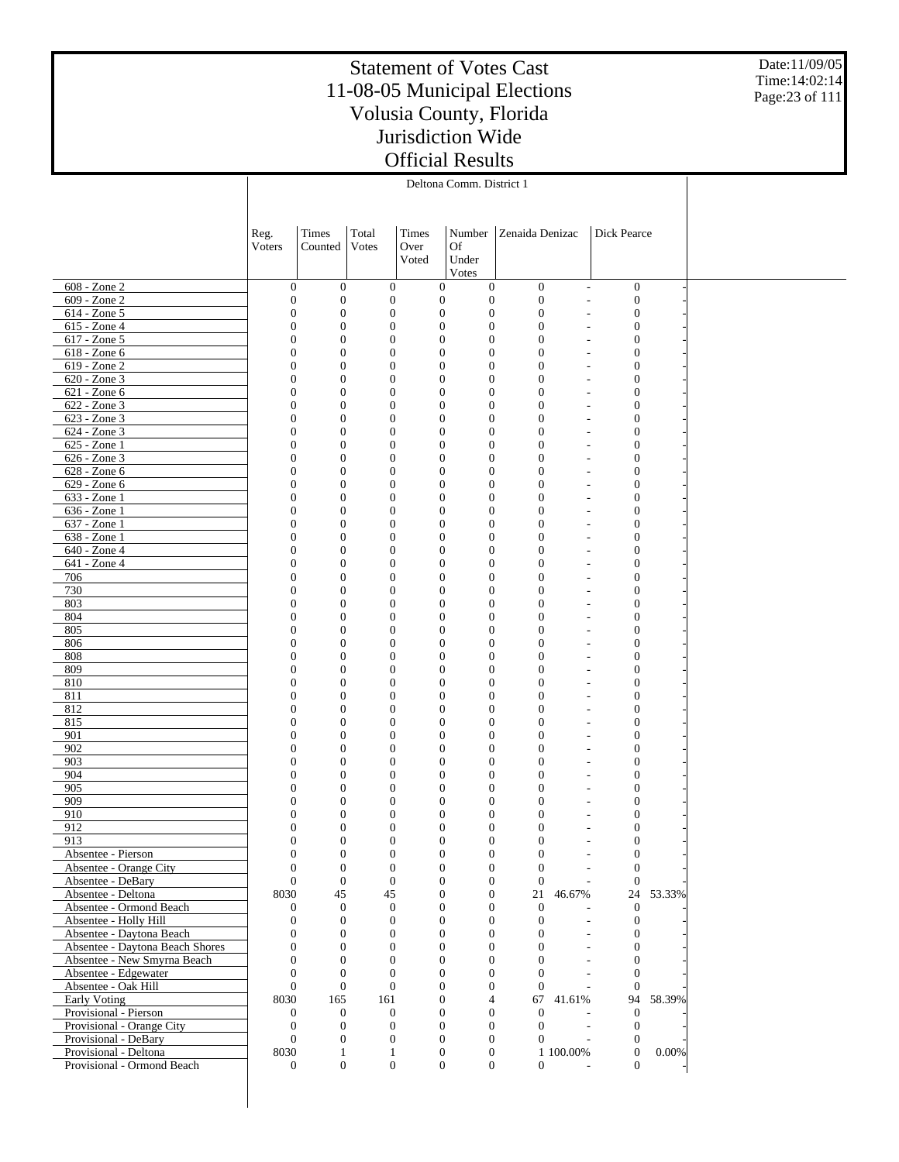Date:11/09/05 Time:14:02:14 Page:23 of 111

ı

#### Statement of Votes Cast 11-08-05 Municipal Elections Volusia County, Florida Jurisdiction Wide Official Results Deltona Comm. District 1

|                                                                | Reg.                             | Times                          | Total                            | Times | Number                                                                   | Zenaida Denizac                  |                          | Dick Pearce                  |           |  |
|----------------------------------------------------------------|----------------------------------|--------------------------------|----------------------------------|-------|--------------------------------------------------------------------------|----------------------------------|--------------------------|------------------------------|-----------|--|
|                                                                | Voters                           | Counted                        | Votes                            | Over  | <b>Of</b>                                                                |                                  |                          |                              |           |  |
|                                                                |                                  |                                |                                  | Voted | Under<br>Votes                                                           |                                  |                          |                              |           |  |
| $608 - Z$ one 2                                                | $\boldsymbol{0}$                 | $\boldsymbol{0}$               | $\boldsymbol{0}$                 |       | $\boldsymbol{0}$<br>$\boldsymbol{0}$                                     | $\boldsymbol{0}$                 | $\sim$                   | $\boldsymbol{0}$             |           |  |
| $\overline{609 - \text{Zone} 2}$                               | $\boldsymbol{0}$                 | $\mathbf{0}$                   | $\boldsymbol{0}$                 |       | $\boldsymbol{0}$<br>$\mathbf{0}$                                         | $\mathbf{0}$                     |                          | $\boldsymbol{0}$             |           |  |
| 614 - Zone 5                                                   | $\mathbf{0}$                     | $\mathbf{0}$                   | $\mathbf{0}$                     |       | $\overline{0}$<br>$\boldsymbol{0}$                                       | $\overline{0}$                   |                          | $\mathbf{0}$                 |           |  |
| 615 - Zone 4                                                   | $\mathbf{0}$                     | $\mathbf{0}$                   | $\boldsymbol{0}$                 |       | $\boldsymbol{0}$<br>$\boldsymbol{0}$                                     | $\overline{0}$                   |                          | $\boldsymbol{0}$             |           |  |
| 617 - Zone 5                                                   | $\mathbf{0}$                     | $\overline{0}$                 | $\mathbf{0}$                     |       | $\boldsymbol{0}$<br>$\mathbf{0}$                                         | $\overline{0}$                   |                          | $\mathbf{0}$                 |           |  |
| 618 - Zone 6                                                   | $\mathbf{0}$                     | $\mathbf{0}$                   | $\mathbf{0}$                     |       | $\boldsymbol{0}$<br>$\boldsymbol{0}$                                     | $\overline{0}$                   |                          | 0                            |           |  |
| 619 - Zone 2                                                   | $\mathbf{0}$                     | $\overline{0}$                 | $\mathbf{0}$                     |       | $\boldsymbol{0}$<br>$\mathbf{0}$                                         | $\overline{0}$                   |                          | 0                            |           |  |
| 620 - Zone 3                                                   | $\mathbf{0}$                     | $\mathbf{0}$                   | $\mathbf{0}$                     |       | $\boldsymbol{0}$<br>$\boldsymbol{0}$                                     | $\overline{0}$                   |                          | 0                            |           |  |
| 621 - Zone 6                                                   | $\mathbf{0}$                     | $\overline{0}$                 | $\mathbf{0}$                     |       | $\boldsymbol{0}$<br>$\mathbf{0}$                                         | $\overline{0}$                   |                          | 0                            |           |  |
| 622 - Zone 3                                                   | $\boldsymbol{0}$                 | $\mathbf{0}$                   | $\mathbf{0}$                     |       | $\boldsymbol{0}$<br>$\boldsymbol{0}$                                     | $\overline{0}$                   |                          | 0                            |           |  |
| 623 - Zone 3                                                   | $\mathbf{0}$                     | $\overline{0}$                 | $\mathbf{0}$                     |       | $\boldsymbol{0}$<br>$\mathbf{0}$                                         | $\overline{0}$                   |                          | 0                            |           |  |
| 624 - Zone 3                                                   | $\mathbf{0}$<br>$\mathbf{0}$     | $\mathbf{0}$<br>$\overline{0}$ | $\mathbf{0}$                     |       | $\boldsymbol{0}$<br>$\boldsymbol{0}$<br>$\mathbf{0}$                     | $\overline{0}$<br>$\overline{0}$ |                          | 0<br>$\overline{0}$          |           |  |
| 625 - Zone 1<br>626 - Zone 3                                   | $\boldsymbol{0}$                 | $\mathbf{0}$                   | $\mathbf{0}$<br>$\boldsymbol{0}$ |       | $\boldsymbol{0}$<br>$\boldsymbol{0}$<br>$\boldsymbol{0}$                 | $\overline{0}$                   |                          | 0                            |           |  |
| 628 - Zone 6                                                   | $\mathbf{0}$                     | $\overline{0}$                 | $\mathbf{0}$                     |       | $\boldsymbol{0}$<br>$\mathbf{0}$                                         | $\overline{0}$                   |                          | 0                            |           |  |
| 629 - Zone 6                                                   | $\mathbf{0}$                     | $\mathbf{0}$                   | $\mathbf{0}$                     |       | $\boldsymbol{0}$<br>$\boldsymbol{0}$                                     | $\overline{0}$                   |                          | 0                            |           |  |
| 633 - Zone 1                                                   | $\mathbf{0}$                     | $\overline{0}$                 | $\mathbf{0}$                     |       | $\boldsymbol{0}$<br>$\mathbf{0}$                                         | $\overline{0}$                   |                          | $\overline{0}$               |           |  |
| $636 - Z$ one 1                                                | $\mathbf{0}$                     | $\mathbf{0}$                   | $\mathbf{0}$                     |       | $\boldsymbol{0}$<br>$\boldsymbol{0}$                                     | $\overline{0}$                   |                          | 0                            |           |  |
| 637 - Zone 1                                                   | $\mathbf{0}$                     | $\overline{0}$                 | $\mathbf{0}$                     |       | $\boldsymbol{0}$<br>$\mathbf{0}$                                         | $\overline{0}$                   |                          | 0                            |           |  |
| 638 - Zone 1                                                   | $\mathbf{0}$                     | $\mathbf{0}$                   | $\mathbf{0}$                     |       | $\boldsymbol{0}$<br>$\boldsymbol{0}$                                     | $\overline{0}$                   |                          | 0                            |           |  |
| 640 - Zone 4                                                   | $\mathbf{0}$                     | $\overline{0}$                 | $\mathbf{0}$                     |       | $\boldsymbol{0}$<br>$\mathbf{0}$                                         | $\overline{0}$                   |                          | $\overline{0}$               |           |  |
| 641 - Zone 4                                                   | $\mathbf{0}$                     | $\mathbf{0}$                   | $\mathbf{0}$                     |       | $\boldsymbol{0}$<br>$\boldsymbol{0}$                                     | $\overline{0}$                   |                          | 0                            |           |  |
| 706                                                            | $\mathbf{0}$                     | $\overline{0}$                 | $\mathbf{0}$                     |       | $\boldsymbol{0}$<br>$\mathbf{0}$                                         | $\overline{0}$                   |                          | 0                            |           |  |
| 730                                                            | $\mathbf{0}$                     | $\mathbf{0}$                   | $\mathbf{0}$                     |       | $\boldsymbol{0}$<br>$\boldsymbol{0}$                                     | $\overline{0}$                   |                          | 0                            |           |  |
| 803                                                            | $\mathbf{0}$                     | $\overline{0}$                 | $\mathbf{0}$                     |       | $\boldsymbol{0}$<br>$\mathbf{0}$                                         | $\overline{0}$                   |                          | 0                            |           |  |
| 804                                                            | $\boldsymbol{0}$                 | $\mathbf{0}$                   | $\mathbf{0}$                     |       | $\boldsymbol{0}$<br>$\boldsymbol{0}$                                     | $\overline{0}$                   |                          | 0                            |           |  |
| 805                                                            | $\mathbf{0}$                     | $\overline{0}$                 | $\mathbf{0}$                     |       | $\boldsymbol{0}$<br>$\mathbf{0}$                                         | $\overline{0}$                   |                          | $\boldsymbol{0}$             |           |  |
| 806                                                            | $\boldsymbol{0}$                 | $\mathbf{0}$                   | $\mathbf{0}$                     |       | $\boldsymbol{0}$<br>$\boldsymbol{0}$                                     | $\overline{0}$                   |                          | 0                            |           |  |
| 808                                                            | $\mathbf{0}$                     | $\overline{0}$                 | $\mathbf{0}$                     |       | $\boldsymbol{0}$<br>$\mathbf{0}$                                         | $\overline{0}$                   |                          | $\overline{0}$               |           |  |
| 809                                                            | $\boldsymbol{0}$                 | $\mathbf{0}$                   | $\mathbf{0}$                     |       | $\boldsymbol{0}$<br>$\boldsymbol{0}$                                     | $\overline{0}$                   |                          | 0                            |           |  |
| 810                                                            | $\mathbf{0}$                     | $\overline{0}$                 | $\mathbf{0}$                     |       | $\boldsymbol{0}$<br>$\mathbf{0}$                                         | $\overline{0}$                   |                          | $\boldsymbol{0}$             |           |  |
| 811                                                            | $\boldsymbol{0}$                 | $\mathbf{0}$                   | $\mathbf{0}$                     |       | $\boldsymbol{0}$<br>$\boldsymbol{0}$                                     | $\overline{0}$                   |                          | 0                            |           |  |
| 812<br>815                                                     | $\mathbf{0}$<br>$\boldsymbol{0}$ | $\overline{0}$<br>$\mathbf{0}$ | $\mathbf{0}$<br>$\mathbf{0}$     |       | $\boldsymbol{0}$<br>$\mathbf{0}$<br>$\boldsymbol{0}$<br>$\boldsymbol{0}$ | $\overline{0}$<br>$\overline{0}$ |                          | $\overline{0}$<br>0          |           |  |
| 901                                                            | $\mathbf{0}$                     | $\overline{0}$                 | $\mathbf{0}$                     |       | $\boldsymbol{0}$<br>$\mathbf{0}$                                         | $\overline{0}$                   |                          | $\boldsymbol{0}$             |           |  |
| 902                                                            | $\mathbf{0}$                     | $\mathbf{0}$                   | $\mathbf{0}$                     |       | $\boldsymbol{0}$<br>$\boldsymbol{0}$                                     | $\overline{0}$                   |                          | 0                            |           |  |
| 903                                                            | $\mathbf{0}$                     | $\overline{0}$                 | $\mathbf{0}$                     |       | $\boldsymbol{0}$<br>$\mathbf{0}$                                         | $\overline{0}$                   |                          | $\boldsymbol{0}$             |           |  |
| 904                                                            | $\boldsymbol{0}$                 | $\mathbf{0}$                   | $\mathbf{0}$                     |       | $\boldsymbol{0}$<br>$\boldsymbol{0}$                                     | $\overline{0}$                   |                          | 0                            |           |  |
| 905                                                            | $\mathbf{0}$                     | $\overline{0}$                 | $\mathbf{0}$                     |       | $\overline{0}$<br>$\mathbf{0}$                                           | $\overline{0}$                   |                          | $\boldsymbol{0}$             |           |  |
| 909                                                            | $\mathbf{0}$                     | $\overline{0}$                 | $\mathbf{0}$                     |       | $\boldsymbol{0}$<br>$\boldsymbol{0}$                                     | $\overline{0}$                   |                          | 0                            |           |  |
| 910                                                            | $\mathbf{0}$                     | $\overline{0}$                 | $\Omega$                         |       | $\overline{0}$<br>$\mathbf{0}$                                           | $\overline{0}$                   |                          | $\overline{0}$               |           |  |
| 912                                                            | $\mathbf{0}$                     | $\overline{0}$                 | $\mathbf{0}$                     |       | $\boldsymbol{0}$<br>$\boldsymbol{0}$                                     | $\overline{0}$                   |                          | $\boldsymbol{0}$             |           |  |
| 913                                                            | $\Omega$                         | $\Omega$                       | $\Omega$                         |       | $\Omega$<br>$\theta$                                                     | $\Omega$                         |                          | $\Omega$                     |           |  |
| Absentee - Pierson                                             | $\boldsymbol{0}$                 | $\boldsymbol{0}$               | $\boldsymbol{0}$                 |       | $\boldsymbol{0}$<br>$\boldsymbol{0}$                                     | $\boldsymbol{0}$                 |                          | $\boldsymbol{0}$             |           |  |
| Absentee - Orange City                                         | $\mathbf{0}$                     | $\boldsymbol{0}$               | $\boldsymbol{0}$                 |       | $\boldsymbol{0}$<br>$\mathbf{0}$                                         | $\overline{0}$                   |                          | $\overline{0}$               |           |  |
| Absentee - DeBary                                              | $\overline{0}$                   | $\boldsymbol{0}$               | $\boldsymbol{0}$                 |       | $\boldsymbol{0}$<br>$\boldsymbol{0}$                                     | $\theta$                         |                          | $\mathbf{0}$                 |           |  |
| Absentee - Deltona                                             | 8030                             | 45                             | 45                               |       | $\overline{0}$<br>$\mathbf{0}$                                           | 21                               | 46.67%                   |                              | 24 53.33% |  |
| Absentee - Ormond Beach                                        | $\mathbf{0}$                     | $\mathbf{0}$                   | $\boldsymbol{0}$                 |       | $\boldsymbol{0}$<br>$\mathbf{0}$                                         | $\mathbf{0}$                     |                          | $\mathbf{0}$                 |           |  |
| Absentee - Holly Hill                                          | $\mathbf{0}$                     | $\overline{0}$                 | $\mathbf{0}$                     |       | $\overline{0}$<br>$\mathbf{0}$                                           | $\overline{0}$                   |                          | $\mathbf{0}$                 |           |  |
| Absentee - Daytona Beach                                       | $\boldsymbol{0}$                 | $\mathbf{0}$<br>$\overline{0}$ | $\boldsymbol{0}$                 |       | $\boldsymbol{0}$<br>$\mathbf{0}$<br>$\overline{0}$                       | $\overline{0}$<br>$\Omega$       |                          | $\boldsymbol{0}$<br>$\Omega$ |           |  |
| Absentee - Daytona Beach Shores<br>Absentee - New Smyrna Beach | $\mathbf{0}$<br>$\theta$         | $\overline{0}$                 | $\mathbf{0}$<br>$\boldsymbol{0}$ |       | $\mathbf{0}$<br>$\boldsymbol{0}$<br>$\mathbf{0}$                         | $\overline{0}$                   |                          | $\boldsymbol{0}$             |           |  |
| Absentee - Edgewater                                           | $\mathbf{0}$                     | $\overline{0}$                 | $\mathbf{0}$                     |       | $\overline{0}$<br>$\mathbf{0}$                                           | $\Omega$                         |                          | $\mathbf{0}$                 |           |  |
| Absentee - Oak Hill                                            | $\overline{0}$                   | $\mathbf{0}$                   | $\mathbf{0}$                     |       | $\boldsymbol{0}$<br>$\mathbf{0}$                                         | $\mathbf{0}$                     |                          | $\mathbf{0}$                 |           |  |
| Early Voting                                                   | 8030                             | 165                            | 161                              |       | $\overline{0}$<br>$\overline{4}$                                         | 67                               | 41.61%                   | 94                           | 58.39%    |  |
| Provisional - Pierson                                          | $\mathbf{0}$                     | $\mathbf{0}$                   | $\boldsymbol{0}$                 |       | $\boldsymbol{0}$<br>$\mathbf{0}$                                         | $\overline{0}$                   |                          | $\mathbf{0}$                 |           |  |
| Provisional - Orange City                                      | $\mathbf{0}$                     | $\overline{0}$                 | $\boldsymbol{0}$                 |       | $\overline{0}$<br>$\theta$                                               | $\overline{0}$                   | $\overline{\phantom{a}}$ | $\mathbf{0}$                 |           |  |
| Provisional - DeBary                                           | $\mathbf{0}$                     | $\mathbf{0}$                   | $\boldsymbol{0}$                 |       | $\boldsymbol{0}$<br>$\mathbf{0}$                                         | $\overline{0}$                   |                          | $\boldsymbol{0}$             |           |  |
| Provisional - Deltona                                          | 8030                             | $\mathbf{1}$                   | $\mathbf{1}$                     |       | $\boldsymbol{0}$<br>$\mathbf{0}$                                         |                                  | 1 100.00%                | $\boldsymbol{0}$             | 0.00%     |  |
| Provisional - Ormond Beach                                     | $\overline{0}$                   | $\boldsymbol{0}$               | $\overline{0}$                   |       | $\overline{0}$<br>$\overline{0}$                                         | $\overline{0}$                   |                          | $\overline{0}$               |           |  |
|                                                                |                                  |                                |                                  |       |                                                                          |                                  |                          |                              |           |  |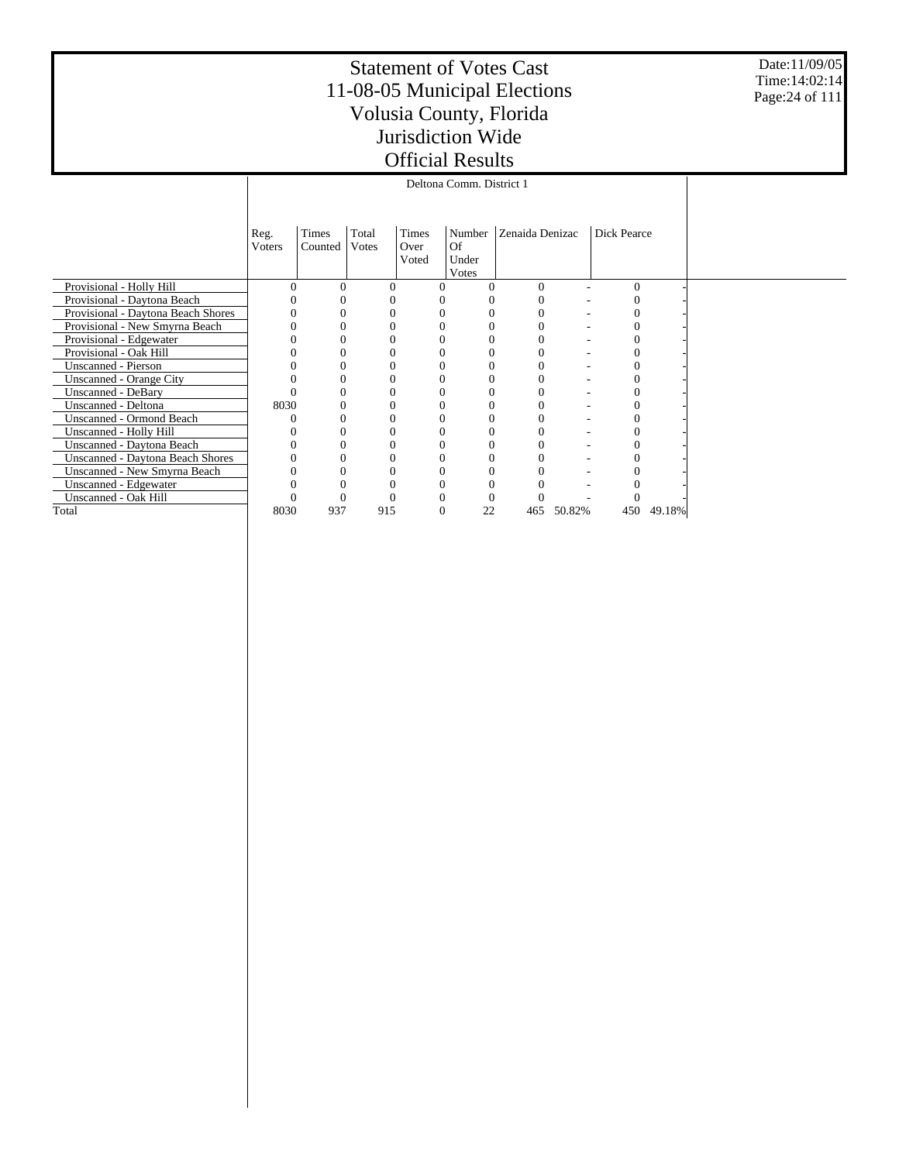Date:11/09/05 Time:14:02:14 Page:24 of 111

#### Statement of Votes Cast 11-08-05 Municipal Elections Volusia County, Florida Jurisdiction Wide Official Results Deltona Comm. District 1

|                                         | Reg.<br>Voters | Times<br>Counted | Total<br><b>Votes</b> | Times<br>Over | Number<br>Of   | Zenaida Denizac |        | Dick Pearce |        |
|-----------------------------------------|----------------|------------------|-----------------------|---------------|----------------|-----------------|--------|-------------|--------|
|                                         |                |                  |                       | Voted         | Under<br>Votes |                 |        |             |        |
| Provisional - Holly Hill                |                | $\Omega$         | $\Omega$              |               |                | $\Omega$        |        | $\Omega$    |        |
| Provisional - Daytona Beach             |                |                  |                       |               |                |                 |        |             |        |
| Provisional - Daytona Beach Shores      |                |                  | 0                     |               |                |                 |        |             |        |
| Provisional - New Smyrna Beach          |                |                  |                       |               |                |                 |        |             |        |
| Provisional - Edgewater                 |                |                  |                       |               |                |                 |        |             |        |
| Provisional - Oak Hill                  |                |                  |                       |               |                |                 |        |             |        |
| Unscanned - Pierson                     |                |                  |                       |               |                |                 |        |             |        |
| Unscanned - Orange City                 |                |                  |                       |               |                |                 |        |             |        |
| Unscanned - DeBary                      |                |                  |                       |               |                |                 |        |             |        |
| Unscanned - Deltona                     | 8030           |                  |                       |               |                |                 |        |             |        |
| Unscanned - Ormond Beach                |                |                  |                       |               |                |                 |        |             |        |
| Unscanned - Holly Hill                  |                |                  |                       |               |                |                 |        |             |        |
| Unscanned - Daytona Beach               |                |                  |                       |               |                |                 |        |             |        |
| <b>Unscanned - Daytona Beach Shores</b> |                |                  | 0                     |               |                |                 |        |             |        |
| Unscanned - New Smyrna Beach            |                |                  | 0                     |               |                |                 |        |             |        |
| Unscanned - Edgewater                   |                |                  | 0                     |               |                |                 |        |             |        |
| Unscanned - Oak Hill                    |                |                  |                       |               |                |                 |        |             |        |
| Total                                   | 8030           | 937              | 915                   | $\mathbf{0}$  | 22             | 465             | 50.82% | 450         | 49.18% |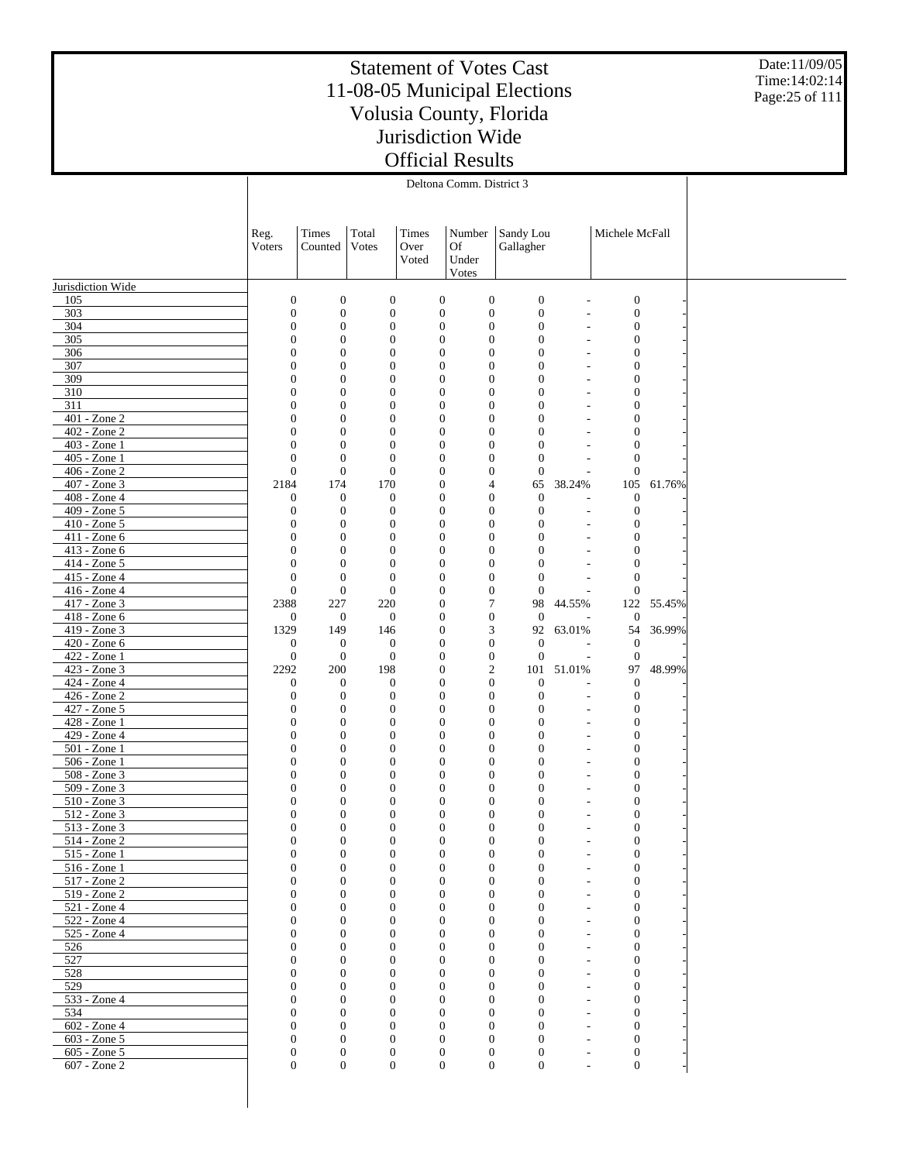Date:11/09/05 Time:14:02:14 Page:25 of 111

#### Statement of Votes Cast 11-08-05 Municipal Elections Volusia County, Florida Jurisdiction Wide Official Results Deltona Comm. District 3

|                                  | Denona Comin. District 5     |                                  |                                      |                        |                                                                              |                                      |                          |                                      |        |  |
|----------------------------------|------------------------------|----------------------------------|--------------------------------------|------------------------|------------------------------------------------------------------------------|--------------------------------------|--------------------------|--------------------------------------|--------|--|
|                                  | Reg.<br>Voters               | Times<br>Counted                 | Total<br>Votes                       | Times<br>Over<br>Voted | Number<br>Of<br>Under<br>Votes                                               | Sandy Lou<br>Gallagher               |                          | Michele McFall                       |        |  |
| Jurisdiction Wide                |                              |                                  |                                      |                        |                                                                              |                                      |                          |                                      |        |  |
| 105                              | $\boldsymbol{0}$             | $\boldsymbol{0}$                 | $\boldsymbol{0}$                     |                        | $\boldsymbol{0}$<br>$\boldsymbol{0}$                                         | $\boldsymbol{0}$                     |                          | $\boldsymbol{0}$                     |        |  |
| 303                              | $\boldsymbol{0}$             | $\mathbf{0}$                     | $\boldsymbol{0}$                     |                        | $\boldsymbol{0}$<br>$\boldsymbol{0}$                                         | $\boldsymbol{0}$                     |                          | $\boldsymbol{0}$                     |        |  |
| 304                              | $\mathbf{0}$                 | $\boldsymbol{0}$                 | $\boldsymbol{0}$                     |                        | $\boldsymbol{0}$<br>$\boldsymbol{0}$                                         | $\boldsymbol{0}$                     |                          | $\boldsymbol{0}$                     |        |  |
| 305                              | $\mathbf{0}$                 | $\mathbf{0}$                     | $\boldsymbol{0}$                     |                        | $\boldsymbol{0}$<br>$\boldsymbol{0}$                                         | $\boldsymbol{0}$                     |                          | $\boldsymbol{0}$                     |        |  |
| 306                              | $\mathbf{0}$                 | $\boldsymbol{0}$                 | $\boldsymbol{0}$                     |                        | $\mathbf{0}$<br>$\boldsymbol{0}$                                             | $\boldsymbol{0}$                     |                          | $\boldsymbol{0}$                     |        |  |
| 307                              | $\mathbf{0}$                 | $\boldsymbol{0}$                 | $\boldsymbol{0}$                     |                        | $\boldsymbol{0}$<br>$\boldsymbol{0}$                                         | $\boldsymbol{0}$                     |                          | $\boldsymbol{0}$                     |        |  |
| 309                              | $\mathbf{0}$                 | $\boldsymbol{0}$                 | $\boldsymbol{0}$                     |                        | $\boldsymbol{0}$<br>$\boldsymbol{0}$                                         | $\overline{0}$                       |                          | $\boldsymbol{0}$                     |        |  |
| 310                              | $\mathbf{0}$                 | $\mathbf{0}$                     | $\boldsymbol{0}$                     |                        | $\boldsymbol{0}$<br>$\boldsymbol{0}$                                         | $\boldsymbol{0}$                     |                          | $\boldsymbol{0}$                     |        |  |
| 311<br>401 - Zone 2              | $\mathbf{0}$<br>$\mathbf{0}$ | $\boldsymbol{0}$<br>$\mathbf{0}$ | $\boldsymbol{0}$<br>$\boldsymbol{0}$ |                        | $\mathbf{0}$<br>$\boldsymbol{0}$<br>$\boldsymbol{0}$<br>$\boldsymbol{0}$     | $\boldsymbol{0}$<br>$\boldsymbol{0}$ |                          | $\boldsymbol{0}$<br>$\boldsymbol{0}$ |        |  |
| 402 - Zone 2                     | $\mathbf{0}$                 | $\boldsymbol{0}$                 | $\boldsymbol{0}$                     |                        | $\boldsymbol{0}$<br>$\boldsymbol{0}$                                         | $\overline{0}$                       |                          | $\boldsymbol{0}$                     |        |  |
| 403 - Zone 1                     | $\boldsymbol{0}$             | $\mathbf{0}$                     | $\boldsymbol{0}$                     |                        | $\boldsymbol{0}$<br>$\boldsymbol{0}$                                         | $\overline{0}$                       |                          | $\boldsymbol{0}$                     |        |  |
| 405 - Zone 1                     | $\mathbf{0}$                 | $\boldsymbol{0}$                 | $\boldsymbol{0}$                     |                        | $\mathbf{0}$<br>$\boldsymbol{0}$                                             | $\boldsymbol{0}$                     |                          | $\boldsymbol{0}$                     |        |  |
| 406 - Zone 2                     | $\mathbf{0}$                 | $\boldsymbol{0}$                 | $\mathbf{0}$                         |                        | $\boldsymbol{0}$<br>$\boldsymbol{0}$                                         | $\boldsymbol{0}$                     |                          | $\boldsymbol{0}$                     |        |  |
| 407 - Zone 3                     | 2184                         | 174                              | 170                                  |                        | $\boldsymbol{0}$<br>4                                                        | 65                                   | 38.24%                   | 105                                  | 61.76% |  |
| 408 - Zone 4                     | $\theta$                     | $\mathbf{0}$                     | $\mathbf{0}$                         |                        | $\boldsymbol{0}$<br>$\boldsymbol{0}$                                         | $\mathbf{0}$                         |                          | $\mathbf{0}$                         |        |  |
| 409 - Zone 5                     | $\mathbf{0}$                 | $\mathbf{0}$                     | $\boldsymbol{0}$                     |                        | $\boldsymbol{0}$<br>$\boldsymbol{0}$                                         | $\mathbf{0}$                         |                          | $\boldsymbol{0}$                     |        |  |
| 410 - Zone 5                     | $\mathbf{0}$                 | $\boldsymbol{0}$                 | $\boldsymbol{0}$                     |                        | $\boldsymbol{0}$<br>$\boldsymbol{0}$                                         | $\overline{0}$                       |                          | $\boldsymbol{0}$                     |        |  |
| 411 - Zone 6                     | $\mathbf{0}$                 | $\boldsymbol{0}$                 | $\boldsymbol{0}$                     |                        | $\boldsymbol{0}$<br>$\boldsymbol{0}$                                         | $\overline{0}$                       |                          | $\boldsymbol{0}$                     |        |  |
| 413 - Zone 6                     | $\mathbf{0}$                 | $\mathbf{0}$                     | $\boldsymbol{0}$                     |                        | $\mathbf{0}$<br>$\boldsymbol{0}$                                             | $\overline{0}$                       |                          | $\boldsymbol{0}$                     |        |  |
| 414 - Zone 5                     | $\mathbf{0}$                 | $\boldsymbol{0}$                 | $\boldsymbol{0}$                     |                        | $\mathbf{0}$<br>$\boldsymbol{0}$                                             | $\overline{0}$                       |                          | $\boldsymbol{0}$                     |        |  |
| 415 - Zone 4                     | $\boldsymbol{0}$             | $\overline{0}$                   | $\mathbf{0}$                         |                        | $\boldsymbol{0}$<br>$\boldsymbol{0}$                                         | $\boldsymbol{0}$                     |                          | $\boldsymbol{0}$                     |        |  |
| 416 - Zone 4                     | $\mathbf{0}$<br>2388         | $\mathbf{0}$<br>227              | $\mathbf{0}$<br>220                  |                        | $\boldsymbol{0}$<br>$\boldsymbol{0}$<br>$\boldsymbol{0}$<br>7                | $\boldsymbol{0}$<br>98               | 44.55%                   | $\mathbf{0}$<br>122                  | 55.45% |  |
| 417 - Zone 3<br>418 - Zone 6     | $\mathbf{0}$                 | $\boldsymbol{0}$                 | $\mathbf{0}$                         |                        | $\boldsymbol{0}$<br>$\boldsymbol{0}$                                         | $\mathbf{0}$                         |                          | $\mathbf{0}$                         |        |  |
| 419 - Zone 3                     | 1329                         | 149                              | 146                                  |                        | $\boldsymbol{0}$<br>3                                                        |                                      | 92 63.01%                | 54                                   | 36.99% |  |
| 420 - Zone 6                     | $\boldsymbol{0}$             | $\mathbf{0}$                     | $\boldsymbol{0}$                     |                        | $\boldsymbol{0}$<br>$\boldsymbol{0}$                                         | $\mathbf{0}$                         |                          | $\mathbf{0}$                         |        |  |
| 422 - Zone 1                     | $\mathbf{0}$                 | $\mathbf{0}$                     | $\mathbf{0}$                         |                        | $\boldsymbol{0}$<br>$\boldsymbol{0}$                                         | $\overline{0}$                       | $\overline{\phantom{a}}$ | $\mathbf{0}$                         |        |  |
| 423 - Zone 3                     | 2292                         | 200                              | 198                                  |                        | $\boldsymbol{0}$<br>$\boldsymbol{2}$                                         |                                      | 101 51.01%               | 97                                   | 48.99% |  |
| 424 - Zone 4                     | $\boldsymbol{0}$             | $\mathbf{0}$                     | $\boldsymbol{0}$                     |                        | $\boldsymbol{0}$<br>$\boldsymbol{0}$                                         | $\boldsymbol{0}$                     |                          | $\boldsymbol{0}$                     |        |  |
| 426 - Zone 2                     | $\mathbf{0}$                 | $\boldsymbol{0}$                 | $\boldsymbol{0}$                     |                        | $\boldsymbol{0}$<br>$\boldsymbol{0}$                                         | $\mathbf{0}$                         |                          | $\boldsymbol{0}$                     |        |  |
| $\overline{427 - \text{Zone}}$ 5 | $\mathbf{0}$                 | $\boldsymbol{0}$                 | $\boldsymbol{0}$                     |                        | $\boldsymbol{0}$<br>$\boldsymbol{0}$                                         | $\overline{0}$                       |                          | $\boldsymbol{0}$                     |        |  |
| 428 - Zone 1                     | $\mathbf{0}$                 | $\boldsymbol{0}$                 | $\boldsymbol{0}$                     |                        | $\mathbf{0}$<br>$\boldsymbol{0}$                                             | $\overline{0}$                       |                          | $\boldsymbol{0}$                     |        |  |
| 429 - Zone 4                     | $\mathbf{0}$                 | $\mathbf{0}$                     | $\boldsymbol{0}$                     |                        | $\boldsymbol{0}$<br>$\boldsymbol{0}$                                         | $\overline{0}$                       |                          | $\boldsymbol{0}$                     |        |  |
| 501 - Zone 1                     | $\mathbf{0}$                 | $\boldsymbol{0}$                 | $\boldsymbol{0}$                     |                        | $\boldsymbol{0}$<br>$\boldsymbol{0}$                                         | $\overline{0}$                       |                          | $\boldsymbol{0}$                     |        |  |
| 506 - Zone 1                     | $\mathbf{0}$                 | $\mathbf{0}$                     | $\boldsymbol{0}$                     |                        | $\boldsymbol{0}$<br>$\boldsymbol{0}$                                         | $\boldsymbol{0}$                     |                          | $\boldsymbol{0}$                     |        |  |
| 508 - Zone 3                     | $\mathbf{0}$<br>$\mathbf{0}$ | $\boldsymbol{0}$<br>$\mathbf{0}$ | $\boldsymbol{0}$                     |                        | $\boldsymbol{0}$<br>$\boldsymbol{0}$                                         | $\boldsymbol{0}$<br>$\overline{0}$   |                          | $\boldsymbol{0}$                     |        |  |
| 509 - Zone 3<br>510 - Zone 3     | $\Omega$                     | $\boldsymbol{0}$                 | $\boldsymbol{0}$<br>$\boldsymbol{0}$ |                        | $\boldsymbol{0}$<br>$\boldsymbol{0}$<br>$\boldsymbol{0}$<br>$\boldsymbol{0}$ | $\overline{0}$                       |                          | $\boldsymbol{0}$<br>$\boldsymbol{0}$ |        |  |
| 512 - Zone 3                     | $\overline{0}$               | $\boldsymbol{0}$                 | $\boldsymbol{0}$                     |                        | $\boldsymbol{0}$<br>$\boldsymbol{0}$                                         | $\mathbf{0}$                         |                          | $\boldsymbol{0}$                     |        |  |
| 513 - Zone 3                     | $\boldsymbol{0}$             | $\mathbf{0}$                     | $\boldsymbol{0}$                     |                        | $\boldsymbol{0}$<br>$\boldsymbol{0}$                                         | $\overline{0}$                       |                          | $\boldsymbol{0}$                     |        |  |
| 514 - Zone 2                     | $\Omega$                     | $\Omega$                         | $\Omega$                             |                        | $\Omega$<br>$\Omega$                                                         | $\Omega$                             |                          | $\Omega$                             |        |  |
| 515 - Zone 1                     | $\boldsymbol{0}$             | $\mathbf{0}$                     | $\boldsymbol{0}$                     |                        | $\boldsymbol{0}$<br>$\boldsymbol{0}$                                         | $\overline{0}$                       |                          | $\boldsymbol{0}$                     |        |  |
| 516 - Zone 1                     | $\mathbf{0}$                 | $\overline{0}$                   | $\boldsymbol{0}$                     |                        | $\theta$<br>$\boldsymbol{0}$                                                 | $\overline{0}$                       |                          | $\boldsymbol{0}$                     |        |  |
| 517 - Zone 2                     | $\Omega$                     | $\overline{0}$                   | $\boldsymbol{0}$                     |                        | $\theta$<br>$\mathbf{0}$                                                     | $\overline{0}$                       |                          | $\mathbf{0}$                         |        |  |
| 519 - Zone 2                     | $\Omega$                     | $\theta$                         | $\boldsymbol{0}$                     |                        | $\theta$<br>$\mathbf{0}$                                                     | $\overline{0}$                       |                          | $\mathbf{0}$                         |        |  |
| 521 - Zone 4                     | $\Omega$                     | $\overline{0}$                   | $\boldsymbol{0}$                     |                        | $\theta$<br>$\mathbf{0}$                                                     | $\overline{0}$                       |                          | $\mathbf{0}$                         |        |  |
| 522 - Zone 4                     | $\Omega$                     | $\theta$                         | $\boldsymbol{0}$                     |                        | $\theta$<br>$\mathbf{0}$                                                     | $\overline{0}$                       |                          | $\mathbf{0}$                         |        |  |
| 525 - Zone 4                     | $\Omega$                     | $\overline{0}$                   | $\mathbf{0}$                         |                        | $\theta$<br>$\mathbf{0}$                                                     | $\overline{0}$                       |                          | $\mathbf{0}$                         |        |  |
| 526                              | $\Omega$                     | $\theta$                         | $\mathbf{0}$                         |                        | $\theta$<br>$\mathbf{0}$                                                     | $\overline{0}$                       |                          | $\mathbf{0}$                         |        |  |
| 527                              | $\Omega$                     | $\overline{0}$                   | $\boldsymbol{0}$                     |                        | $\theta$<br>$\mathbf{0}$                                                     | $\overline{0}$                       |                          | $\mathbf{0}$                         |        |  |
| 528                              | $\Omega$                     | $\theta$                         | $\boldsymbol{0}$                     |                        | $\theta$<br>$\mathbf{0}$                                                     | $\overline{0}$                       |                          | $\mathbf{0}$                         |        |  |
| 529                              | $\Omega$                     | $\overline{0}$                   | $\mathbf{0}$                         |                        | $\theta$<br>$\mathbf{0}$                                                     | $\overline{0}$                       |                          | $\mathbf{0}$                         |        |  |
| 533 - Zone 4<br>534              | $\Omega$<br>$\Omega$         | $\theta$<br>$\overline{0}$       | $\mathbf{0}$<br>$\boldsymbol{0}$     |                        | $\theta$<br>$\mathbf{0}$<br>$\mathbf{0}$<br>$\mathbf{0}$                     | $\overline{0}$<br>$\overline{0}$     |                          | $\mathbf{0}$<br>$\mathbf{0}$         |        |  |
| 602 - Zone 4                     | $\Omega$                     | $\theta$                         | $\mathbf{0}$                         |                        | $\mathbf{0}$<br>$\mathbf{0}$                                                 | $\overline{0}$                       |                          | $\mathbf{0}$                         |        |  |
| 603 - Zone 5                     | $\Omega$                     | $\overline{0}$                   | $\mathbf{0}$                         |                        | $\mathbf{0}$<br>$\mathbf{0}$                                                 | $\mathbf{0}$                         |                          | $\boldsymbol{0}$                     |        |  |
| 605 - Zone 5                     | $\mathbf{0}$                 | $\mathbf{0}$                     | $\boldsymbol{0}$                     |                        | $\boldsymbol{0}$<br>$\boldsymbol{0}$                                         | $\boldsymbol{0}$                     |                          | $\boldsymbol{0}$                     |        |  |
| 607 - Zone 2                     | $\Omega$                     | $\Omega$                         | $\overline{0}$                       |                        | $\theta$<br>$\Omega$                                                         | $\boldsymbol{0}$                     |                          | $\theta$                             |        |  |
|                                  |                              |                                  |                                      |                        |                                                                              |                                      |                          |                                      |        |  |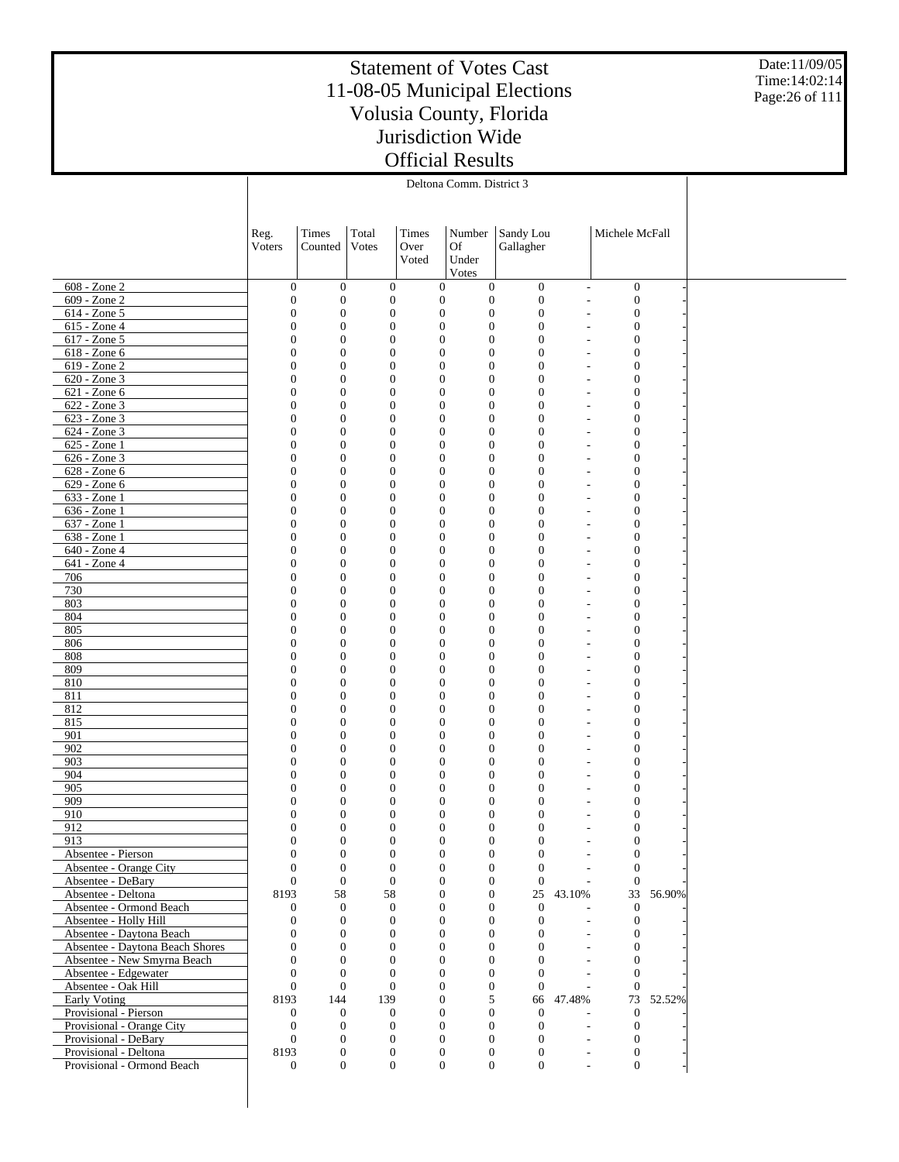Date:11/09/05 Time:14:02:14 Page:26 of 111

|                                                   |                                |                                      |                                      |                        | Deltona Comm. District 3                                                 |                                      |                          |                                      |           |
|---------------------------------------------------|--------------------------------|--------------------------------------|--------------------------------------|------------------------|--------------------------------------------------------------------------|--------------------------------------|--------------------------|--------------------------------------|-----------|
|                                                   |                                |                                      |                                      |                        |                                                                          |                                      |                          |                                      |           |
|                                                   | Reg.<br>Voters                 | Times<br>Counted                     | Total<br>Votes                       | Times<br>Over<br>Voted | Number<br><b>Of</b><br>Under<br>Votes                                    | Sandy Lou<br>Gallagher               |                          | Michele McFall                       |           |
| 608 - Zone 2                                      | $\boldsymbol{0}$               | $\boldsymbol{0}$                     | $\mathbf{0}$                         |                        | $\boldsymbol{0}$<br>$\boldsymbol{0}$                                     | $\boldsymbol{0}$                     | $\overline{\phantom{a}}$ | $\boldsymbol{0}$                     |           |
| 609 - Zone 2                                      | $\boldsymbol{0}$               | $\mathbf{0}$                         | $\boldsymbol{0}$                     |                        | $\boldsymbol{0}$<br>$\boldsymbol{0}$                                     | $\boldsymbol{0}$                     | ÷,                       | $\boldsymbol{0}$                     |           |
| 614 - Zone 5                                      | $\overline{0}$                 | $\mathbf{0}$                         | $\boldsymbol{0}$                     |                        | $\boldsymbol{0}$<br>$\boldsymbol{0}$                                     | $\boldsymbol{0}$                     | ٠                        | $\boldsymbol{0}$                     |           |
| 615 - Zone 4                                      | $\overline{0}$                 | $\boldsymbol{0}$                     | $\mathbf{0}$                         |                        | $\boldsymbol{0}$<br>$\mathbf{0}$                                         | $\boldsymbol{0}$                     |                          | $\boldsymbol{0}$                     |           |
| 617 - Zone 5                                      | $\mathbf{0}$                   | $\boldsymbol{0}$                     | $\boldsymbol{0}$                     |                        | $\boldsymbol{0}$<br>$\mathbf{0}$                                         | $\boldsymbol{0}$                     | ٠                        | $\boldsymbol{0}$                     |           |
| 618 - Zone 6                                      | $\overline{0}$                 | $\overline{0}$                       | $\boldsymbol{0}$                     |                        | $\boldsymbol{0}$<br>$\mathbf{0}$                                         | $\boldsymbol{0}$                     |                          | $\mathbf{0}$                         |           |
| 619 - Zone 2<br>620 - Zone 3                      | $\mathbf{0}$<br>$\overline{0}$ | $\boldsymbol{0}$<br>$\boldsymbol{0}$ | $\boldsymbol{0}$<br>$\mathbf{0}$     |                        | $\boldsymbol{0}$<br>$\mathbf{0}$<br>$\boldsymbol{0}$<br>$\mathbf{0}$     | $\boldsymbol{0}$<br>$\boldsymbol{0}$ | ٠<br>٠                   | $\boldsymbol{0}$<br>$\boldsymbol{0}$ |           |
| 621 - Zone 6                                      | $\Omega$                       | $\boldsymbol{0}$                     | $\boldsymbol{0}$                     |                        | $\boldsymbol{0}$<br>$\mathbf{0}$                                         | $\boldsymbol{0}$                     | ٠                        | $\boldsymbol{0}$                     |           |
| 622 - Zone 3                                      | $\overline{0}$                 | $\overline{0}$                       | $\boldsymbol{0}$                     |                        | $\boldsymbol{0}$<br>$\mathbf{0}$                                         | $\boldsymbol{0}$                     | ٠                        | $\mathbf{0}$                         |           |
| 623 - Zone 3                                      | $\mathbf{0}$                   | $\boldsymbol{0}$                     | $\boldsymbol{0}$                     |                        | $\boldsymbol{0}$<br>$\boldsymbol{0}$                                     | $\boldsymbol{0}$                     | ٠                        | $\boldsymbol{0}$                     |           |
| 624 - Zone 3                                      | $\overline{0}$                 | $\boldsymbol{0}$                     | $\mathbf{0}$                         |                        | $\boldsymbol{0}$<br>$\mathbf{0}$                                         | $\boldsymbol{0}$                     | ٠                        | $\mathbf{0}$                         |           |
| 625 - Zone 1                                      | $\mathbf{0}$                   | $\boldsymbol{0}$                     | $\boldsymbol{0}$                     |                        | $\boldsymbol{0}$<br>$\mathbf{0}$                                         | $\boldsymbol{0}$                     | ٠                        | $\boldsymbol{0}$                     |           |
| 626 - Zone 3                                      | $\overline{0}$                 | $\overline{0}$                       | $\boldsymbol{0}$                     |                        | $\boldsymbol{0}$<br>$\mathbf{0}$                                         | $\boldsymbol{0}$                     | ٠                        | $\mathbf{0}$                         |           |
| 628 - Zone 6<br>629 - Zone 6                      | $\mathbf{0}$<br>$\overline{0}$ | $\boldsymbol{0}$<br>$\boldsymbol{0}$ | $\boldsymbol{0}$<br>$\mathbf{0}$     |                        | $\boldsymbol{0}$<br>$\boldsymbol{0}$<br>$\boldsymbol{0}$<br>$\mathbf{0}$ | $\boldsymbol{0}$<br>$\boldsymbol{0}$ | ٠                        | $\boldsymbol{0}$<br>$\mathbf{0}$     |           |
| 633 - Zone 1                                      | $\mathbf{0}$                   | $\boldsymbol{0}$                     | $\boldsymbol{0}$                     |                        | $\boldsymbol{0}$<br>$\mathbf{0}$                                         | $\boldsymbol{0}$                     | ٠<br>٠                   | $\boldsymbol{0}$                     |           |
| 636 - Zone 1                                      | $\overline{0}$                 | $\overline{0}$                       | $\boldsymbol{0}$                     |                        | $\boldsymbol{0}$<br>$\mathbf{0}$                                         | $\boldsymbol{0}$                     | ٠                        | $\mathbf{0}$                         |           |
| 637 - Zone 1                                      | $\mathbf{0}$                   | $\boldsymbol{0}$                     | $\boldsymbol{0}$                     |                        | $\boldsymbol{0}$<br>$\boldsymbol{0}$                                     | $\boldsymbol{0}$                     | ٠                        | $\boldsymbol{0}$                     |           |
| 638 - Zone 1                                      | $\overline{0}$                 | $\boldsymbol{0}$                     | $\boldsymbol{0}$                     |                        | $\boldsymbol{0}$<br>$\mathbf{0}$                                         | $\boldsymbol{0}$                     | ٠                        | $\mathbf{0}$                         |           |
| 640 - Zone 4                                      | $\mathbf{0}$                   | $\boldsymbol{0}$                     | $\boldsymbol{0}$                     |                        | $\boldsymbol{0}$<br>$\mathbf{0}$                                         | $\boldsymbol{0}$                     | ٠                        | $\boldsymbol{0}$                     |           |
| 641 - Zone 4                                      | $\overline{0}$                 | $\overline{0}$                       | $\boldsymbol{0}$                     |                        | $\boldsymbol{0}$<br>$\mathbf{0}$                                         | $\boldsymbol{0}$                     | ٠                        | $\mathbf{0}$                         |           |
| 706<br>730                                        | $\mathbf{0}$<br>$\overline{0}$ | $\boldsymbol{0}$<br>$\boldsymbol{0}$ | $\boldsymbol{0}$<br>$\boldsymbol{0}$ |                        | $\boldsymbol{0}$<br>$\boldsymbol{0}$<br>$\boldsymbol{0}$<br>$\mathbf{0}$ | $\boldsymbol{0}$<br>$\boldsymbol{0}$ | ٠                        | $\boldsymbol{0}$<br>$\mathbf{0}$     |           |
| 803                                               | $\mathbf{0}$                   | $\boldsymbol{0}$                     | $\boldsymbol{0}$                     |                        | $\boldsymbol{0}$<br>$\mathbf{0}$                                         | $\boldsymbol{0}$                     | ٠<br>٠                   | $\boldsymbol{0}$                     |           |
| 804                                               | $\overline{0}$                 | $\overline{0}$                       | $\boldsymbol{0}$                     |                        | $\boldsymbol{0}$<br>$\mathbf{0}$                                         | $\boldsymbol{0}$                     | ٠                        | $\mathbf{0}$                         |           |
| 805                                               | $\mathbf{0}$                   | $\boldsymbol{0}$                     | $\boldsymbol{0}$                     |                        | $\boldsymbol{0}$<br>$\boldsymbol{0}$                                     | $\boldsymbol{0}$                     | ٠                        | $\boldsymbol{0}$                     |           |
| 806                                               | $\overline{0}$                 | $\boldsymbol{0}$                     | $\boldsymbol{0}$                     |                        | $\boldsymbol{0}$<br>$\mathbf{0}$                                         | $\boldsymbol{0}$                     | ٠                        | $\mathbf{0}$                         |           |
| 808                                               | $\mathbf{0}$                   | $\boldsymbol{0}$                     | $\boldsymbol{0}$                     |                        | $\boldsymbol{0}$<br>$\mathbf{0}$                                         | $\boldsymbol{0}$                     | ٠                        | $\boldsymbol{0}$                     |           |
| 809                                               | $\overline{0}$                 | $\overline{0}$                       | $\boldsymbol{0}$                     |                        | $\boldsymbol{0}$<br>$\mathbf{0}$                                         | $\boldsymbol{0}$                     | ٠                        | $\mathbf{0}$                         |           |
| 810                                               | $\mathbf{0}$                   | $\boldsymbol{0}$                     | $\boldsymbol{0}$                     |                        | $\boldsymbol{0}$<br>$\boldsymbol{0}$                                     | $\boldsymbol{0}$                     | ٠                        | $\boldsymbol{0}$                     |           |
| 811<br>812                                        | $\overline{0}$<br>$\mathbf{0}$ | $\boldsymbol{0}$<br>$\boldsymbol{0}$ | $\boldsymbol{0}$<br>$\boldsymbol{0}$ |                        | $\boldsymbol{0}$<br>$\mathbf{0}$<br>$\boldsymbol{0}$<br>$\mathbf{0}$     | $\boldsymbol{0}$<br>$\boldsymbol{0}$ | ٠<br>٠                   | $\mathbf{0}$<br>$\boldsymbol{0}$     |           |
| 815                                               | $\overline{0}$                 | $\overline{0}$                       | $\boldsymbol{0}$                     |                        | $\boldsymbol{0}$<br>$\mathbf{0}$                                         | $\boldsymbol{0}$                     | ٠                        | $\mathbf{0}$                         |           |
| 901                                               | $\mathbf{0}$                   | $\boldsymbol{0}$                     | $\boldsymbol{0}$                     |                        | $\boldsymbol{0}$<br>$\boldsymbol{0}$                                     | $\boldsymbol{0}$                     | ٠                        | $\boldsymbol{0}$                     |           |
| 902                                               | $\overline{0}$                 | $\boldsymbol{0}$                     | $\boldsymbol{0}$                     |                        | $\boldsymbol{0}$<br>$\mathbf{0}$                                         | $\boldsymbol{0}$                     | ٠                        | $\boldsymbol{0}$                     |           |
| 903                                               | $\Omega$                       | $\boldsymbol{0}$                     | $\boldsymbol{0}$                     |                        | $\boldsymbol{0}$<br>$\boldsymbol{0}$                                     | $\boldsymbol{0}$                     | ٠                        | $\boldsymbol{0}$                     |           |
| 904                                               | $\overline{0}$                 | $\overline{0}$                       | $\boldsymbol{0}$                     |                        | $\boldsymbol{0}$<br>$\mathbf{0}$                                         | $\boldsymbol{0}$                     |                          | $\boldsymbol{0}$                     |           |
| 905                                               | $\theta$                       | $\boldsymbol{0}$                     | $\boldsymbol{0}$                     |                        | $\boldsymbol{0}$<br>$\boldsymbol{0}$                                     | $\boldsymbol{0}$                     | ٠                        | $\boldsymbol{0}$                     |           |
| 909<br>910                                        | $\overline{0}$<br>$\theta$     | $\boldsymbol{0}$<br>$\boldsymbol{0}$ | $\boldsymbol{0}$<br>$\boldsymbol{0}$ |                        | $\boldsymbol{0}$<br>$\mathbf{0}$<br>$\boldsymbol{0}$<br>$\boldsymbol{0}$ | $\boldsymbol{0}$<br>$\boldsymbol{0}$ | ٠                        | $\mathbf{0}$<br>$\boldsymbol{0}$     |           |
| 912                                               | $\mathbf{0}$                   | $\overline{0}$                       | $\boldsymbol{0}$                     |                        | $\boldsymbol{0}$<br>$\mathbf{0}$                                         | $\boldsymbol{0}$                     | $\overline{\phantom{a}}$ | $\overline{0}$                       |           |
| 913                                               | 0                              | $\bf{0}$                             | $\bf{0}$                             |                        | 0<br>0                                                                   | $\boldsymbol{0}$                     |                          | 0                                    |           |
| Absentee - Pierson                                | $\boldsymbol{0}$               | $\boldsymbol{0}$                     | $\boldsymbol{0}$                     |                        | $\boldsymbol{0}$<br>0                                                    | $\boldsymbol{0}$                     |                          | $\boldsymbol{0}$                     |           |
| Absentee - Orange City                            | $\mathbf{0}$                   | $\boldsymbol{0}$                     | $\boldsymbol{0}$                     |                        | $\boldsymbol{0}$<br>$\boldsymbol{0}$                                     | $\boldsymbol{0}$                     |                          | $\overline{0}$                       |           |
| Absentee - DeBary                                 | $\mathbf{0}$                   | $\boldsymbol{0}$                     | $\boldsymbol{0}$                     |                        | $\boldsymbol{0}$<br>$\overline{0}$                                       | $\mathbf{0}$                         |                          | $\theta$                             |           |
| Absentee - Deltona                                | 8193                           | 58                                   | 58                                   |                        | $\mathbf{0}$<br>$\overline{0}$                                           |                                      | 25 43.10%                |                                      | 33 56.90% |
| Absentee - Ormond Beach<br>Absentee - Holly Hill  | $\overline{0}$<br>$\Omega$     | $\boldsymbol{0}$<br>$\boldsymbol{0}$ | $\boldsymbol{0}$<br>$\boldsymbol{0}$ |                        | $\boldsymbol{0}$<br>$\mathbf{0}$<br>$\boldsymbol{0}$<br>$\overline{0}$   | $\mathbf{0}$<br>$\mathbf{0}$         |                          | $\boldsymbol{0}$<br>$\boldsymbol{0}$ |           |
| Absentee - Daytona Beach                          | $\Omega$                       | $\overline{0}$                       | $\boldsymbol{0}$                     |                        | $\boldsymbol{0}$<br>$\mathbf{0}$                                         | $\boldsymbol{0}$                     |                          | $\mathbf{0}$                         |           |
| Absentee - Daytona Beach Shores                   | $\Omega$                       | $\mathbf{0}$                         | $\boldsymbol{0}$                     |                        | $\boldsymbol{0}$<br>$\mathbf{0}$                                         | $\overline{0}$                       |                          | $\mathbf{0}$                         |           |
| Absentee - New Smyrna Beach                       | $\mathbf{0}$                   | $\overline{0}$                       | $\boldsymbol{0}$                     |                        | $\boldsymbol{0}$<br>$\mathbf{0}$                                         | $\overline{0}$                       |                          | $\mathbf{0}$                         |           |
| Absentee - Edgewater                              | $\mathbf{0}$                   | $\mathbf{0}$                         | $\boldsymbol{0}$                     |                        | $\boldsymbol{0}$<br>$\overline{0}$                                       | $\mathbf{0}$                         |                          | $\overline{0}$                       |           |
| Absentee - Oak Hill                               | $\mathbf{0}$                   | $\boldsymbol{0}$                     | $\boldsymbol{0}$                     |                        | $\boldsymbol{0}$<br>$\overline{0}$                                       | $\mathbf{0}$                         |                          | $\overline{0}$                       |           |
| Early Voting                                      | 8193                           | 144                                  | 139                                  |                        | $\boldsymbol{0}$<br>5                                                    |                                      | 66 47.48%                | 73                                   | 52.52%    |
| Provisional - Pierson                             | $\overline{0}$                 | $\mathbf{0}$                         | $\boldsymbol{0}$                     |                        | $\boldsymbol{0}$<br>$\overline{0}$                                       | $\mathbf{0}$                         |                          | $\mathbf{0}$                         |           |
| Provisional - Orange City<br>Provisional - DeBary | $\mathbf{0}$<br>$\Omega$       | $\mathbf{0}$<br>$\overline{0}$       | $\boldsymbol{0}$<br>$\boldsymbol{0}$ |                        | $\boldsymbol{0}$<br>$\overline{0}$<br>$\mathbf{0}$<br>$\mathbf{0}$       | $\mathbf{0}$<br>$\boldsymbol{0}$     |                          | $\boldsymbol{0}$<br>$\mathbf{0}$     |           |
| Provisional - Deltona                             | 8193                           | $\boldsymbol{0}$                     | $\mathbf{0}$                         |                        | $\mathbf{0}$<br>0                                                        | $\boldsymbol{0}$                     |                          | $\boldsymbol{0}$                     |           |
| Provisional - Ormond Beach                        | $\overline{0}$                 | $\overline{0}$                       |                                      | $\mathbf{0}$           | $\boldsymbol{0}$<br>$\overline{0}$                                       | $\boldsymbol{0}$                     | ä,                       | $\boldsymbol{0}$                     |           |
|                                                   |                                |                                      |                                      |                        |                                                                          |                                      |                          |                                      |           |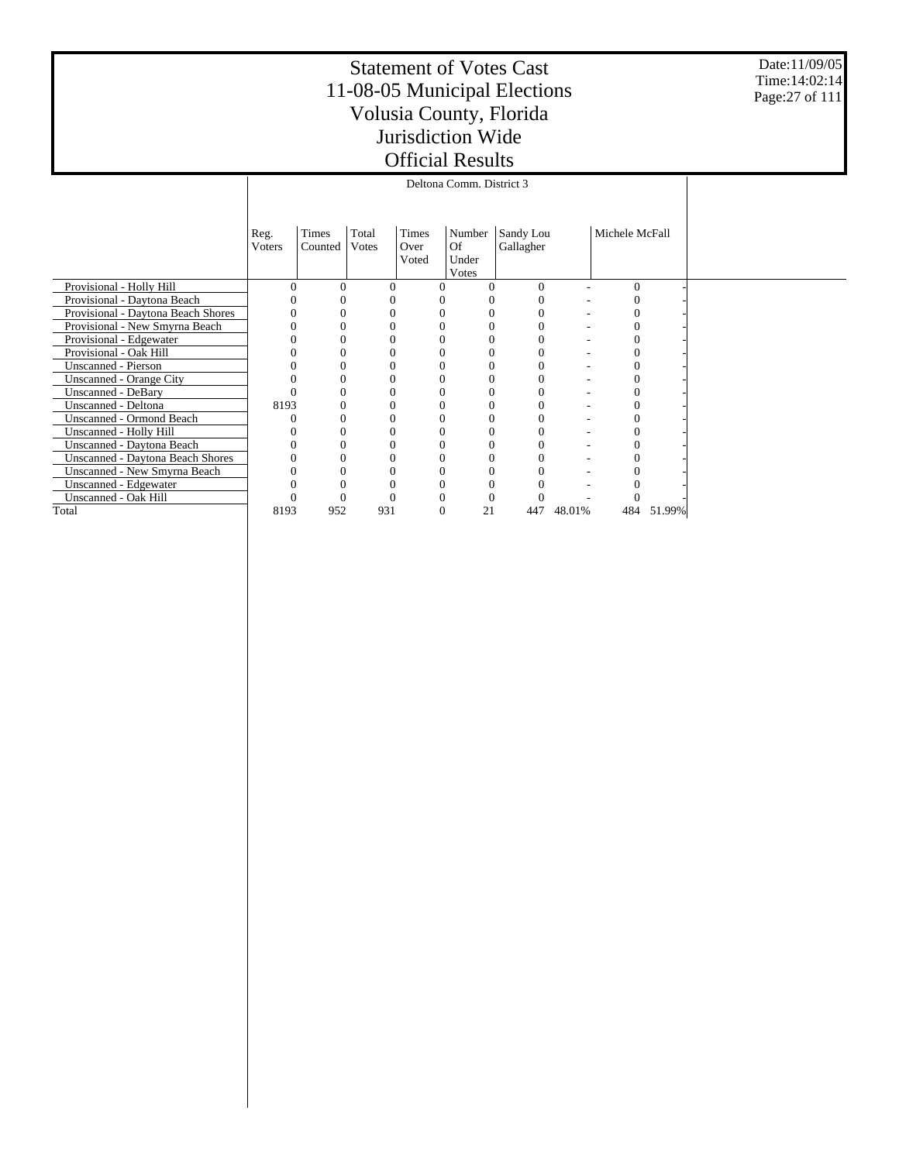Date:11/09/05 Time:14:02:14 Page:27 of 111

# Statement of Votes Cast 11-08-05 Municipal Elections Volusia County, Florida Jurisdiction Wide Official Results

|                                         |        |          |          |          | Deltona Comm. District 3 |           |        |                |        |  |
|-----------------------------------------|--------|----------|----------|----------|--------------------------|-----------|--------|----------------|--------|--|
|                                         |        |          |          |          |                          |           |        |                |        |  |
|                                         |        |          |          |          |                          |           |        |                |        |  |
|                                         | Reg.   | Times    | Total    | Times    | Number                   | Sandy Lou |        | Michele McFall |        |  |
|                                         | Voters | Counted  | Votes    | Over     | <b>Of</b>                | Gallagher |        |                |        |  |
|                                         |        |          |          | Voted    | Under                    |           |        |                |        |  |
|                                         |        |          |          |          | Votes                    |           |        |                |        |  |
| Provisional - Holly Hill                | ∩      | $\Omega$ | $\Omega$ |          |                          | $\Omega$  |        | $\Omega$       |        |  |
| Provisional - Daytona Beach             |        |          |          |          |                          |           |        |                |        |  |
| Provisional - Daytona Beach Shores      |        |          |          |          |                          |           |        |                |        |  |
| Provisional - New Smyrna Beach          |        |          |          |          |                          |           |        |                |        |  |
| Provisional - Edgewater                 |        |          |          |          |                          |           |        |                |        |  |
| Provisional - Oak Hill                  |        |          |          |          |                          |           |        |                |        |  |
| Unscanned - Pierson                     |        |          |          |          |                          |           |        |                |        |  |
| Unscanned - Orange City                 |        |          |          |          |                          |           |        |                |        |  |
| Unscanned - DeBary                      |        |          |          |          |                          |           |        |                |        |  |
| Unscanned - Deltona                     | 8193   |          |          |          |                          |           |        |                |        |  |
| Unscanned - Ormond Beach                |        |          |          |          |                          |           |        |                |        |  |
| Unscanned - Holly Hill                  |        |          |          |          |                          |           |        |                |        |  |
| Unscanned - Daytona Beach               |        |          |          |          |                          |           |        |                |        |  |
| <b>Unscanned - Daytona Beach Shores</b> |        |          |          |          |                          |           |        |                |        |  |
| Unscanned - New Smyrna Beach            |        |          |          |          |                          |           |        |                |        |  |
| Unscanned - Edgewater                   |        |          |          |          |                          |           |        |                |        |  |
| Unscanned - Oak Hill                    |        |          |          |          |                          |           |        |                |        |  |
| Total                                   | 8193   | 952      | 931      | $\Omega$ | 21                       | 447       | 48.01% | 484            | 51.99% |  |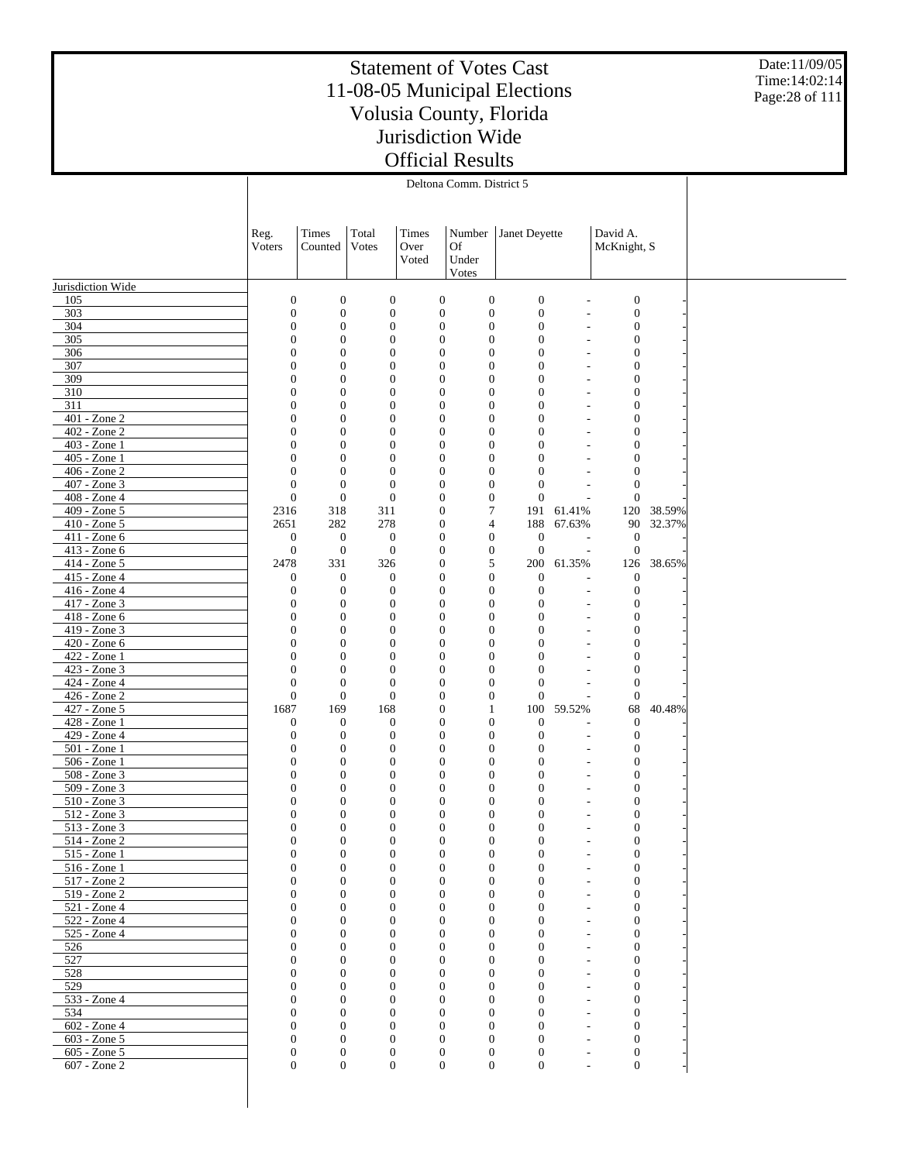Date:11/09/05 Time:14:02:14 Page:28 of 111

|                              | DURUMA COMMI. DISTRUIT         |                                      |                                      |               |                                      |                                      |                                      |                          |                                      |        |
|------------------------------|--------------------------------|--------------------------------------|--------------------------------------|---------------|--------------------------------------|--------------------------------------|--------------------------------------|--------------------------|--------------------------------------|--------|
|                              | Reg.<br>Voters                 | Times<br>Counted   Votes             | Total                                | Times<br>Over | Of                                   |                                      | Number Janet Deyette                 |                          | David A.<br>McKnight, S              |        |
|                              |                                |                                      |                                      | Voted         | Under                                |                                      |                                      |                          |                                      |        |
| Jurisdiction Wide            |                                |                                      |                                      |               | Votes                                |                                      |                                      |                          |                                      |        |
| 105                          | $\boldsymbol{0}$               | $\boldsymbol{0}$                     | $\boldsymbol{0}$                     |               | $\boldsymbol{0}$                     | $\boldsymbol{0}$                     | $\boldsymbol{0}$                     |                          | $\boldsymbol{0}$                     |        |
| 303                          | $\mathbf{0}$                   | $\boldsymbol{0}$                     | $\boldsymbol{0}$                     |               | $\boldsymbol{0}$                     | $\boldsymbol{0}$                     | $\boldsymbol{0}$                     |                          | $\boldsymbol{0}$                     |        |
| 304                          | $\theta$                       | $\boldsymbol{0}$                     | $\boldsymbol{0}$                     |               | $\boldsymbol{0}$                     | $\boldsymbol{0}$                     | $\boldsymbol{0}$                     |                          | $\boldsymbol{0}$                     |        |
| 305                          | $\Omega$                       | $\boldsymbol{0}$                     | $\boldsymbol{0}$                     |               | $\boldsymbol{0}$                     | $\boldsymbol{0}$                     | $\overline{0}$                       |                          | $\boldsymbol{0}$                     |        |
| 306<br>307                   | $\mathbf{0}$<br>$\Omega$       | $\boldsymbol{0}$<br>$\boldsymbol{0}$ | $\boldsymbol{0}$<br>$\mathbf{0}$     |               | $\boldsymbol{0}$<br>$\boldsymbol{0}$ | $\boldsymbol{0}$<br>$\boldsymbol{0}$ | $\overline{0}$<br>$\Omega$           |                          | $\boldsymbol{0}$<br>$\boldsymbol{0}$ |        |
| 309                          | $\mathbf{0}$                   | $\boldsymbol{0}$                     | $\boldsymbol{0}$                     |               | $\boldsymbol{0}$                     | $\boldsymbol{0}$                     | $\overline{0}$                       |                          | $\boldsymbol{0}$                     |        |
| 310                          | $\Omega$                       | $\boldsymbol{0}$                     | $\mathbf{0}$                         |               | $\boldsymbol{0}$                     | $\boldsymbol{0}$                     | $\Omega$                             |                          | $\boldsymbol{0}$                     |        |
| 311                          | $\mathbf{0}$                   | $\boldsymbol{0}$                     | $\boldsymbol{0}$                     |               | $\boldsymbol{0}$                     | $\boldsymbol{0}$                     | $\overline{0}$                       |                          | $\boldsymbol{0}$                     |        |
| 401 - Zone 2<br>402 - Zone 2 | $\Omega$<br>$\mathbf{0}$       | $\boldsymbol{0}$<br>$\boldsymbol{0}$ | $\mathbf{0}$<br>$\boldsymbol{0}$     |               | $\boldsymbol{0}$<br>$\boldsymbol{0}$ | $\boldsymbol{0}$<br>$\boldsymbol{0}$ | $\Omega$<br>$\overline{0}$           |                          | $\boldsymbol{0}$<br>$\boldsymbol{0}$ |        |
| 403 - Zone 1                 | $\Omega$                       | $\boldsymbol{0}$                     | $\mathbf{0}$                         |               | $\boldsymbol{0}$                     | $\boldsymbol{0}$                     | $\Omega$                             |                          | $\boldsymbol{0}$                     |        |
| 405 - Zone 1                 | $\mathbf{0}$                   | $\boldsymbol{0}$                     | $\boldsymbol{0}$                     |               | $\boldsymbol{0}$                     | $\boldsymbol{0}$                     | $\overline{0}$                       |                          | $\boldsymbol{0}$                     |        |
| 406 - Zone 2                 | $\Omega$                       | $\boldsymbol{0}$                     | $\boldsymbol{0}$                     |               | $\boldsymbol{0}$                     | $\boldsymbol{0}$                     | $\Omega$                             |                          | $\boldsymbol{0}$                     |        |
| 407 - Zone 3                 | $\mathbf{0}$                   | $\boldsymbol{0}$                     | $\mathbf{0}$                         |               | $\boldsymbol{0}$                     | $\boldsymbol{0}$                     | $\mathbf{0}$                         |                          | $\boldsymbol{0}$                     |        |
| 408 - Zone 4<br>409 - Zone 5 | $\mathbf{0}$<br>2316           | $\mathbf{0}$<br>318                  | $\boldsymbol{0}$<br>311              |               | $\boldsymbol{0}$<br>$\boldsymbol{0}$ | $\boldsymbol{0}$<br>$\tau$           | $\boldsymbol{0}$                     | 191 61.41%               | $\mathbf{0}$<br>120                  | 38.59% |
| 410 - Zone 5                 | 2651                           | 282                                  | 278                                  |               | $\boldsymbol{0}$                     | 4                                    |                                      | 188 67.63%               | 90                                   | 32.37% |
| 411 - Zone 6                 | $\mathbf{0}$                   | $\mathbf{0}$                         | $\boldsymbol{0}$                     |               | $\boldsymbol{0}$                     | $\boldsymbol{0}$                     | $\mathbf{0}$                         |                          | $\boldsymbol{0}$                     |        |
| 413 - Zone 6                 | $\theta$                       | $\mathbf{0}$                         | $\boldsymbol{0}$                     |               | $\boldsymbol{0}$                     | $\boldsymbol{0}$                     | $\mathbf{0}$                         | $\overline{\phantom{a}}$ | $\boldsymbol{0}$                     |        |
| 414 - Zone 5                 | 2478                           | 331                                  | 326                                  |               | $\boldsymbol{0}$                     | 5                                    |                                      | 200 61.35%               | 126                                  | 38.65% |
| 415 - Zone 4<br>416 - Zone 4 | $\boldsymbol{0}$<br>$\theta$   | $\boldsymbol{0}$<br>$\boldsymbol{0}$ | $\boldsymbol{0}$<br>$\boldsymbol{0}$ |               | $\boldsymbol{0}$<br>$\boldsymbol{0}$ | $\boldsymbol{0}$<br>$\boldsymbol{0}$ | $\boldsymbol{0}$<br>$\theta$         |                          | $\boldsymbol{0}$<br>$\boldsymbol{0}$ |        |
| 417 - Zone 3                 | $\mathbf{0}$                   | $\boldsymbol{0}$                     | $\mathbf{0}$                         |               | $\boldsymbol{0}$                     | $\boldsymbol{0}$                     | $\overline{0}$                       |                          | $\boldsymbol{0}$                     |        |
| 418 - Zone 6                 | $\theta$                       | $\boldsymbol{0}$                     | $\boldsymbol{0}$                     |               | $\boldsymbol{0}$                     | $\boldsymbol{0}$                     | $\overline{0}$                       |                          | $\boldsymbol{0}$                     |        |
| 419 - Zone 3                 | $\Omega$                       | $\boldsymbol{0}$                     | $\boldsymbol{0}$                     |               | $\boldsymbol{0}$                     | $\boldsymbol{0}$                     | $\Omega$                             |                          | $\boldsymbol{0}$                     |        |
| 420 - Zone 6                 | $\mathbf{0}$                   | $\boldsymbol{0}$                     | $\boldsymbol{0}$                     |               | $\boldsymbol{0}$                     | $\boldsymbol{0}$                     | $\Omega$                             |                          | $\boldsymbol{0}$                     |        |
| 422 - Zone 1<br>423 - Zone 3 | $\Omega$<br>$\mathbf{0}$       | $\boldsymbol{0}$<br>$\boldsymbol{0}$ | $\boldsymbol{0}$<br>$\boldsymbol{0}$ |               | $\boldsymbol{0}$<br>$\boldsymbol{0}$ | $\boldsymbol{0}$<br>$\boldsymbol{0}$ | $\Omega$<br>$\mathbf{0}$             |                          | $\boldsymbol{0}$<br>$\boldsymbol{0}$ |        |
| 424 - Zone 4                 | $\theta$                       | $\mathbf{0}$                         | $\mathbf{0}$                         |               | $\boldsymbol{0}$                     | $\boldsymbol{0}$                     | $\mathbf{0}$                         |                          | $\boldsymbol{0}$                     |        |
| 426 - Zone 2                 | $\boldsymbol{0}$               | $\boldsymbol{0}$                     | $\boldsymbol{0}$                     |               | $\boldsymbol{0}$                     | $\boldsymbol{0}$                     | $\boldsymbol{0}$                     |                          | $\boldsymbol{0}$                     |        |
| 427 - Zone 5                 | 1687                           | 169                                  | 168                                  |               | $\boldsymbol{0}$                     | 1                                    | 100                                  | 59.52%                   | 68                                   | 40.48% |
| 428 - Zone 1                 | $\mathbf{0}$                   | $\boldsymbol{0}$                     | $\boldsymbol{0}$                     |               | $\boldsymbol{0}$                     | $\boldsymbol{0}$                     | $\boldsymbol{0}$                     |                          | $\boldsymbol{0}$                     |        |
| 429 - Zone 4<br>501 - Zone 1 | $\overline{0}$<br>$\mathbf{0}$ | $\boldsymbol{0}$<br>$\boldsymbol{0}$ | $\mathbf{0}$<br>$\mathbf{0}$         |               | $\boldsymbol{0}$<br>$\boldsymbol{0}$ | $\boldsymbol{0}$<br>$\boldsymbol{0}$ | $\overline{0}$<br>$\overline{0}$     |                          | $\boldsymbol{0}$<br>$\boldsymbol{0}$ |        |
| 506 - Zone 1                 | $\Omega$                       | $\boldsymbol{0}$                     | $\mathbf{0}$                         |               | $\boldsymbol{0}$                     | $\boldsymbol{0}$                     | $\Omega$                             |                          | $\boldsymbol{0}$                     |        |
| 508 - Zone 3                 | $\mathbf{0}$                   | $\boldsymbol{0}$                     | $\boldsymbol{0}$                     |               | $\boldsymbol{0}$                     | $\boldsymbol{0}$                     | $\overline{0}$                       |                          | $\boldsymbol{0}$                     |        |
| 509 - Zone 3                 | $\Omega$                       | $\boldsymbol{0}$                     | $\mathbf{0}$                         |               | $\boldsymbol{0}$                     | $\boldsymbol{0}$                     | $\Omega$                             |                          | $\boldsymbol{0}$                     |        |
| 510 - Zone 3                 | $\Omega$                       | $\boldsymbol{0}$                     | $\mathbf{0}$                         |               | $\boldsymbol{0}$                     | $\boldsymbol{0}$                     | $\Omega$                             |                          | $\boldsymbol{0}$                     |        |
| 512 - Zone 3<br>513 - Zone 3 | $\Omega$<br>$\mathbf{0}$       | $\boldsymbol{0}$<br>$\boldsymbol{0}$ | $\mathbf{0}$<br>$\boldsymbol{0}$     |               | $\boldsymbol{0}$<br>$\mathbf{0}$     | $\mathbf{0}$<br>$\boldsymbol{0}$     | 0<br>$\overline{0}$                  |                          | $\boldsymbol{0}$<br>$\boldsymbol{0}$ |        |
| 514 - Zone 2                 | $\Omega$                       | $\boldsymbol{0}$                     | $\Omega$                             |               | $\Omega$                             | $\theta$                             | $\Omega$                             |                          | $\Omega$                             |        |
| $515 - Zone1$                | $\boldsymbol{0}$               | $\boldsymbol{0}$                     | $\boldsymbol{0}$                     |               | $\boldsymbol{0}$                     | $\boldsymbol{0}$                     | $\overline{0}$                       |                          | $\boldsymbol{0}$                     |        |
| 516 - Zone 1                 | $\mathbf{0}$                   | $\mathbf{0}$                         | $\boldsymbol{0}$                     |               | $\boldsymbol{0}$                     | $\overline{0}$                       | $\overline{0}$                       |                          | $\mathbf{0}$                         |        |
| 517 - Zone 2<br>519 - Zone 2 | $\mathbf{0}$<br>$\Omega$       | $\boldsymbol{0}$<br>$\mathbf{0}$     | $\boldsymbol{0}$<br>$\mathbf{0}$     |               | $\boldsymbol{0}$<br>$\mathbf{0}$     | $\boldsymbol{0}$<br>$\overline{0}$   | $\overline{0}$<br>$\Omega$           |                          | $\boldsymbol{0}$<br>$\boldsymbol{0}$ |        |
| 521 - Zone 4                 | $\mathbf{0}$                   | $\boldsymbol{0}$                     | $\boldsymbol{0}$                     |               | $\boldsymbol{0}$                     | $\boldsymbol{0}$                     | $\overline{0}$                       | ٠                        | $\boldsymbol{0}$                     |        |
| 522 - Zone 4                 | $\Omega$                       | $\mathbf{0}$                         | $\mathbf{0}$                         |               | $\theta$                             | $\Omega$                             | $\Omega$                             |                          | $\mathbf{0}$                         |        |
| 525 - Zone 4                 | $\Omega$                       | $\boldsymbol{0}$                     | $\boldsymbol{0}$                     |               | $\mathbf{0}$                         | $\mathbf{0}$                         | $\overline{0}$                       |                          | $\mathbf{0}$                         |        |
| 526                          | $\Omega$                       | $\Omega$                             | $\mathbf{0}$                         |               | $\mathbf{0}$                         | $\Omega$                             | $\Omega$                             |                          | $\mathbf{0}$                         |        |
| 527                          | $\Omega$<br>$\Omega$           | $\boldsymbol{0}$<br>$\mathbf{0}$     | $\boldsymbol{0}$<br>$\mathbf{0}$     |               | $\mathbf{0}$<br>$\mathbf{0}$         | $\mathbf{0}$<br>$\Omega$             | $\overline{0}$<br>$\Omega$           |                          | $\mathbf{0}$<br>$\mathbf{0}$         |        |
| 528<br>529                   | $\Omega$                       | $\boldsymbol{0}$                     | $\boldsymbol{0}$                     |               | $\mathbf{0}$                         | $\mathbf{0}$                         | $\Omega$                             | $\overline{\phantom{a}}$ | $\mathbf{0}$                         |        |
| 533 - Zone 4                 | $\Omega$                       | $\Omega$                             | $\mathbf{0}$                         |               | $\theta$                             | $\Omega$                             | $\Omega$                             | ٠                        | $\mathbf{0}$                         |        |
| 534                          | $\Omega$                       | $\boldsymbol{0}$                     | $\mathbf{0}$                         |               | $\mathbf{0}$                         | $\mathbf{0}$                         | $\overline{0}$                       |                          | $\mathbf{0}$                         |        |
| 602 - Zone 4                 | $\Omega$                       | $\Omega$                             | $\mathbf{0}$                         |               | $\mathbf{0}$                         | $\Omega$                             | $\Omega$                             | ٠                        | $\mathbf{0}$                         |        |
| 603 - Zone 5                 | $\Omega$<br>$\Omega$           | $\boldsymbol{0}$                     | $\boldsymbol{0}$                     |               | $\mathbf{0}$                         | $\overline{0}$                       | $\overline{0}$                       |                          | $\mathbf{0}$                         |        |
| 605 - Zone 5<br>607 - Zone 2 | $\Omega$                       | $\boldsymbol{0}$<br>$\mathbf{0}$     | $\mathbf{0}$<br>$\boldsymbol{0}$     |               | $\boldsymbol{0}$<br>$\overline{0}$   | $\boldsymbol{0}$<br>$\overline{0}$   | $\boldsymbol{0}$<br>$\boldsymbol{0}$ |                          | $\mathbf{0}$<br>$\mathbf{0}$         |        |
|                              |                                |                                      |                                      |               |                                      |                                      |                                      |                          |                                      |        |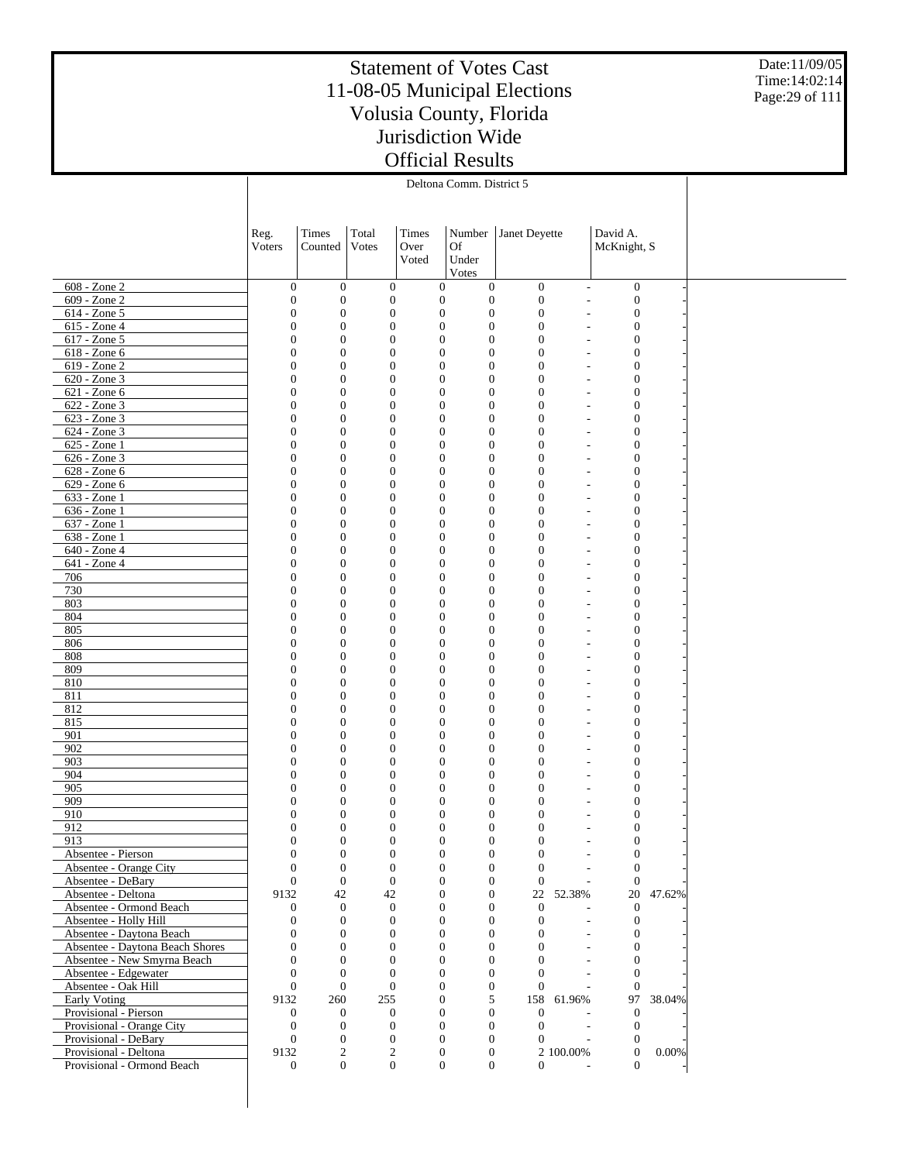Date:11/09/05 Time:14:02:14 Page:29 of 111

|                                                    |                                |                                      |       |                                      | Deltona Comm. District 5                                                     |                                                                          |                          |                                      |          |  |
|----------------------------------------------------|--------------------------------|--------------------------------------|-------|--------------------------------------|------------------------------------------------------------------------------|--------------------------------------------------------------------------|--------------------------|--------------------------------------|----------|--|
|                                                    |                                |                                      |       |                                      |                                                                              |                                                                          |                          |                                      |          |  |
|                                                    | Reg.                           | Times                                | Total | Times                                | Number                                                                       | Janet Deyette                                                            |                          | David A.                             |          |  |
|                                                    | Voters                         | Counted                              | Votes | Over<br>Voted                        | Of<br>Under                                                                  |                                                                          |                          | McKnight, S                          |          |  |
| 608 - Zone 2                                       | $\boldsymbol{0}$               | $\boldsymbol{0}$                     |       | $\boldsymbol{0}$                     | Votes<br>$\boldsymbol{0}$<br>$\boldsymbol{0}$                                | $\boldsymbol{0}$                                                         | $\overline{\phantom{a}}$ | $\boldsymbol{0}$                     |          |  |
| 609 - Zone 2                                       | $\boldsymbol{0}$               | $\mathbf{0}$                         |       | $\boldsymbol{0}$                     | $\boldsymbol{0}$<br>$\boldsymbol{0}$                                         | $\boldsymbol{0}$                                                         | ÷,                       | $\boldsymbol{0}$                     |          |  |
| 614 - Zone 5                                       | $\overline{0}$                 | $\mathbf{0}$                         |       | $\boldsymbol{0}$                     | $\boldsymbol{0}$<br>$\boldsymbol{0}$                                         | $\boldsymbol{0}$                                                         | ٠                        | $\boldsymbol{0}$                     |          |  |
| 615 - Zone 4                                       | $\mathbf{0}$                   | $\mathbf{0}$                         |       | $\boldsymbol{0}$                     | $\boldsymbol{0}$<br>$\boldsymbol{0}$                                         | $\boldsymbol{0}$                                                         |                          | $\boldsymbol{0}$                     |          |  |
| 617 - Zone 5                                       | $\mathbf{0}$                   | $\boldsymbol{0}$                     |       | $\boldsymbol{0}$                     | $\boldsymbol{0}$<br>$\boldsymbol{0}$                                         | $\boldsymbol{0}$                                                         | ٠                        | $\boldsymbol{0}$                     |          |  |
| 618 - Zone 6                                       | $\mathbf{0}$                   | $\boldsymbol{0}$                     |       | $\boldsymbol{0}$                     | $\boldsymbol{0}$<br>$\mathbf{0}$                                             | $\boldsymbol{0}$                                                         |                          | $\boldsymbol{0}$                     |          |  |
| 619 - Zone 2                                       | $\mathbf{0}$                   | $\boldsymbol{0}$                     |       | $\boldsymbol{0}$                     | $\boldsymbol{0}$<br>$\boldsymbol{0}$                                         | $\boldsymbol{0}$                                                         | ٠                        | $\boldsymbol{0}$                     |          |  |
| 620 - Zone 3<br>621 - Zone 6                       | $\mathbf{0}$<br>$\mathbf{0}$   | $\boldsymbol{0}$<br>$\boldsymbol{0}$ |       | $\boldsymbol{0}$<br>$\boldsymbol{0}$ | $\boldsymbol{0}$<br>$\boldsymbol{0}$<br>$\boldsymbol{0}$<br>$\boldsymbol{0}$ | $\boldsymbol{0}$<br>$\boldsymbol{0}$                                     | L,<br>٠                  | $\boldsymbol{0}$<br>$\boldsymbol{0}$ |          |  |
| 622 - Zone 3                                       | $\overline{0}$                 | $\boldsymbol{0}$                     |       | $\boldsymbol{0}$                     | $\boldsymbol{0}$<br>$\boldsymbol{0}$                                         | $\boldsymbol{0}$                                                         | ٠                        | $\boldsymbol{0}$                     |          |  |
| 623 - Zone 3                                       | $\overline{0}$                 | $\boldsymbol{0}$                     |       | $\boldsymbol{0}$                     | $\boldsymbol{0}$<br>$\boldsymbol{0}$                                         | $\boldsymbol{0}$                                                         | ٠                        | $\boldsymbol{0}$                     |          |  |
| 624 - Zone 3                                       | $\mathbf{0}$                   | $\boldsymbol{0}$                     |       | $\boldsymbol{0}$                     | $\boldsymbol{0}$<br>$\boldsymbol{0}$                                         | $\boldsymbol{0}$                                                         | L,                       | $\boldsymbol{0}$                     |          |  |
| 625 - Zone 1                                       | $\mathbf{0}$                   | $\boldsymbol{0}$                     |       | $\boldsymbol{0}$                     | $\boldsymbol{0}$<br>$\boldsymbol{0}$                                         | $\boldsymbol{0}$                                                         | ٠                        | $\boldsymbol{0}$                     |          |  |
| 626 - Zone 3                                       | $\overline{0}$                 | $\boldsymbol{0}$                     |       | $\boldsymbol{0}$                     | $\boldsymbol{0}$<br>$\boldsymbol{0}$                                         | $\boldsymbol{0}$                                                         | ٠                        | $\boldsymbol{0}$                     |          |  |
| 628 - Zone 6<br>629 - Zone 6                       | $\overline{0}$<br>$\mathbf{0}$ | $\boldsymbol{0}$<br>$\boldsymbol{0}$ |       | $\boldsymbol{0}$<br>$\boldsymbol{0}$ | $\boldsymbol{0}$<br>$\boldsymbol{0}$<br>$\boldsymbol{0}$<br>$\boldsymbol{0}$ | $\boldsymbol{0}$<br>$\boldsymbol{0}$                                     | ٠<br>L,                  | $\boldsymbol{0}$<br>$\boldsymbol{0}$ |          |  |
| 633 - Zone 1                                       | $\mathbf{0}$                   | $\boldsymbol{0}$                     |       | $\boldsymbol{0}$                     | $\boldsymbol{0}$<br>$\boldsymbol{0}$                                         | $\boldsymbol{0}$                                                         | ٠                        | $\boldsymbol{0}$                     |          |  |
| 636 - Zone 1                                       | $\overline{0}$                 | $\boldsymbol{0}$                     |       | $\boldsymbol{0}$                     | $\boldsymbol{0}$<br>$\boldsymbol{0}$                                         | $\boldsymbol{0}$                                                         | ٠                        | $\boldsymbol{0}$                     |          |  |
| 637 - Zone 1                                       | $\mathbf{0}$                   | $\boldsymbol{0}$                     |       | $\boldsymbol{0}$                     | $\boldsymbol{0}$<br>$\boldsymbol{0}$                                         | $\boldsymbol{0}$                                                         | ٠                        | $\boldsymbol{0}$                     |          |  |
| 638 - Zone 1                                       | $\mathbf{0}$                   | $\boldsymbol{0}$                     |       | $\boldsymbol{0}$                     | $\boldsymbol{0}$<br>$\boldsymbol{0}$                                         | $\boldsymbol{0}$                                                         | L,                       | $\boldsymbol{0}$                     |          |  |
| 640 - Zone 4                                       | $\mathbf{0}$                   | $\boldsymbol{0}$                     |       | $\boldsymbol{0}$                     | $\boldsymbol{0}$<br>$\boldsymbol{0}$                                         | $\boldsymbol{0}$                                                         | ٠                        | $\boldsymbol{0}$                     |          |  |
| 641 - Zone 4                                       | $\overline{0}$                 | $\boldsymbol{0}$                     |       | $\boldsymbol{0}$                     | $\boldsymbol{0}$<br>$\boldsymbol{0}$                                         | $\boldsymbol{0}$                                                         | ٠                        | $\boldsymbol{0}$                     |          |  |
| 706<br>730                                         | $\overline{0}$<br>$\mathbf{0}$ | $\boldsymbol{0}$<br>$\boldsymbol{0}$ |       | $\boldsymbol{0}$<br>$\boldsymbol{0}$ | $\boldsymbol{0}$<br>$\boldsymbol{0}$<br>$\boldsymbol{0}$<br>$\boldsymbol{0}$ | $\boldsymbol{0}$<br>$\boldsymbol{0}$                                     | ٠                        | $\boldsymbol{0}$<br>$\boldsymbol{0}$ |          |  |
| 803                                                | $\mathbf{0}$                   | $\boldsymbol{0}$                     |       | $\boldsymbol{0}$                     | $\boldsymbol{0}$<br>$\boldsymbol{0}$                                         | $\boldsymbol{0}$                                                         | L,<br>٠                  | $\boldsymbol{0}$                     |          |  |
| 804                                                | $\overline{0}$                 | $\boldsymbol{0}$                     |       | $\boldsymbol{0}$                     | $\boldsymbol{0}$<br>$\boldsymbol{0}$                                         | $\boldsymbol{0}$                                                         | ٠                        | $\boldsymbol{0}$                     |          |  |
| 805                                                | $\mathbf{0}$                   | $\boldsymbol{0}$                     |       | $\boldsymbol{0}$                     | $\boldsymbol{0}$<br>$\boldsymbol{0}$                                         | $\boldsymbol{0}$                                                         | ٠                        | $\boldsymbol{0}$                     |          |  |
| 806                                                | $\mathbf{0}$                   | $\boldsymbol{0}$                     |       | $\boldsymbol{0}$                     | $\boldsymbol{0}$<br>$\boldsymbol{0}$                                         | $\boldsymbol{0}$                                                         | L,                       | $\boldsymbol{0}$                     |          |  |
| 808                                                | $\mathbf{0}$                   | $\boldsymbol{0}$                     |       | $\boldsymbol{0}$                     | $\boldsymbol{0}$<br>$\boldsymbol{0}$                                         | $\boldsymbol{0}$                                                         | ٠                        | $\boldsymbol{0}$                     |          |  |
| 809                                                | $\overline{0}$                 | $\boldsymbol{0}$                     |       | $\boldsymbol{0}$                     | $\boldsymbol{0}$<br>$\boldsymbol{0}$                                         | $\boldsymbol{0}$                                                         | ٠                        | $\boldsymbol{0}$                     |          |  |
| 810<br>811                                         | $\mathbf{0}$<br>$\mathbf{0}$   | $\boldsymbol{0}$<br>$\boldsymbol{0}$ |       | $\boldsymbol{0}$<br>$\boldsymbol{0}$ | $\boldsymbol{0}$<br>$\boldsymbol{0}$<br>$\boldsymbol{0}$<br>$\boldsymbol{0}$ | $\boldsymbol{0}$<br>$\boldsymbol{0}$                                     | ٠                        | $\boldsymbol{0}$<br>$\boldsymbol{0}$ |          |  |
| 812                                                | $\mathbf{0}$                   | $\boldsymbol{0}$                     |       | $\boldsymbol{0}$                     | $\boldsymbol{0}$<br>$\boldsymbol{0}$                                         | $\boldsymbol{0}$                                                         | L,<br>٠                  | $\boldsymbol{0}$                     |          |  |
| 815                                                | $\overline{0}$                 | $\boldsymbol{0}$                     |       | $\boldsymbol{0}$                     | $\boldsymbol{0}$<br>$\boldsymbol{0}$                                         | $\boldsymbol{0}$                                                         | ٠                        | $\boldsymbol{0}$                     |          |  |
| 901                                                | $\mathbf{0}$                   | $\boldsymbol{0}$                     |       | $\boldsymbol{0}$                     | $\boldsymbol{0}$<br>$\boldsymbol{0}$                                         | $\boldsymbol{0}$                                                         | ٠                        | $\boldsymbol{0}$                     |          |  |
| 902                                                | $\mathbf{0}$                   | $\boldsymbol{0}$                     |       | $\boldsymbol{0}$                     | $\boldsymbol{0}$<br>$\boldsymbol{0}$                                         | $\boldsymbol{0}$                                                         | ٠                        | $\boldsymbol{0}$                     |          |  |
| 903                                                | $\mathbf{0}$                   | $\boldsymbol{0}$                     |       | $\boldsymbol{0}$                     | $\boldsymbol{0}$<br>$\boldsymbol{0}$                                         | $\boldsymbol{0}$                                                         | ٠                        | $\boldsymbol{0}$                     |          |  |
| 904                                                | $\overline{0}$                 | $\boldsymbol{0}$                     |       | $\boldsymbol{0}$                     | $\boldsymbol{0}$<br>$\boldsymbol{0}$                                         | $\boldsymbol{0}$                                                         |                          | $\boldsymbol{0}$                     |          |  |
| 905<br>909                                         | $\mathbf{0}$<br>$\overline{0}$ | $\boldsymbol{0}$<br>$\boldsymbol{0}$ |       | $\boldsymbol{0}$                     | $\boldsymbol{0}$<br>$\boldsymbol{0}$<br>$\boldsymbol{0}$<br>$\boldsymbol{0}$ | $\boldsymbol{0}$<br>$\boldsymbol{0}$                                     |                          | $\boldsymbol{0}$<br>$\boldsymbol{0}$ |          |  |
| 910                                                | $\overline{0}$                 | $\boldsymbol{0}$                     |       | $\boldsymbol{0}$<br>$\boldsymbol{0}$ | $\boldsymbol{0}$<br>$\boldsymbol{0}$                                         | $\boldsymbol{0}$                                                         | ٠                        | $\boldsymbol{0}$                     |          |  |
| 912                                                | $\overline{0}$                 | $\overline{0}$                       |       | $\boldsymbol{0}$                     | $\boldsymbol{0}$<br>$\mathbf{0}$                                             | $\boldsymbol{0}$                                                         | $\overline{\phantom{a}}$ | $\boldsymbol{0}$                     |          |  |
| 913                                                | 0                              | $\bf{0}$                             |       | $\boldsymbol{0}$                     | 0                                                                            | 0<br>$\boldsymbol{0}$                                                    |                          | 0                                    |          |  |
| Absentee - Pierson                                 | $\boldsymbol{0}$               | $\boldsymbol{0}$                     |       | $\boldsymbol{0}$                     | $\boldsymbol{0}$                                                             | $\boldsymbol{0}$<br>0                                                    |                          | $\boldsymbol{0}$                     |          |  |
| Absentee - Orange City                             | $\overline{0}$                 | $\boldsymbol{0}$                     |       | $\boldsymbol{0}$                     | $\boldsymbol{0}$                                                             | $\boldsymbol{0}$<br>$\boldsymbol{0}$                                     |                          | $\overline{0}$                       |          |  |
| Absentee - DeBary                                  | $\mathbf{0}$                   | $\boldsymbol{0}$                     |       | $\boldsymbol{0}$                     | $\boldsymbol{0}$                                                             | $\overline{0}$<br>$\boldsymbol{0}$                                       |                          | $\theta$                             |          |  |
| Absentee - Deltona                                 | 9132                           | 42                                   | 42    |                                      | $\boldsymbol{0}$                                                             | $\overline{0}$                                                           | 22 52.38%                | 20                                   | 47.62%   |  |
| Absentee - Ormond Beach<br>Absentee - Holly Hill   | $\overline{0}$<br>$\mathbf{0}$ | $\boldsymbol{0}$<br>$\mathbf{0}$     |       | $\mathbf{0}$<br>$\boldsymbol{0}$     | $\boldsymbol{0}$<br>$\mathbf{0}$<br>$\boldsymbol{0}$                         | $\mathbf{0}$<br>$\overline{0}$<br>$\boldsymbol{0}$                       |                          | $\mathbf{0}$<br>$\boldsymbol{0}$     |          |  |
| Absentee - Daytona Beach                           | $\Omega$                       | $\overline{0}$                       |       | $\mathbf{0}$                         | $\boldsymbol{0}$<br>$\mathbf{0}$                                             | $\boldsymbol{0}$                                                         |                          | $\mathbf{0}$                         |          |  |
| Absentee - Daytona Beach Shores                    | $\Omega$                       | $\mathbf{0}$                         |       | $\mathbf{0}$                         | $\boldsymbol{0}$<br>$\mathbf{0}$                                             | $\overline{0}$                                                           |                          | $\mathbf{0}$                         |          |  |
| Absentee - New Smyrna Beach                        | $\mathbf{0}$                   | $\overline{0}$                       |       | $\mathbf{0}$                         | $\boldsymbol{0}$                                                             | $\overline{0}$<br>$\overline{0}$                                         |                          | $\mathbf{0}$                         |          |  |
| Absentee - Edgewater                               | $\overline{0}$                 | $\mathbf{0}$                         |       | $\mathbf{0}$                         | $\boldsymbol{0}$<br>$\mathbf{0}$                                             | $\overline{0}$                                                           |                          | $\overline{0}$                       |          |  |
| Absentee - Oak Hill                                | $\boldsymbol{0}$               | $\boldsymbol{0}$                     |       | $\mathbf{0}$                         | $\boldsymbol{0}$                                                             | $\overline{0}$<br>$\overline{0}$                                         |                          | $\overline{0}$                       |          |  |
| Early Voting                                       | 9132                           | 260                                  | 255   |                                      | $\boldsymbol{0}$<br>5                                                        |                                                                          | 158 61.96%               | 97                                   | 38.04%   |  |
| Provisional - Pierson<br>Provisional - Orange City | $\mathbf{0}$<br>$\mathbf{0}$   | $\boldsymbol{0}$                     |       | $\boldsymbol{0}$                     | $\boldsymbol{0}$<br>$\boldsymbol{0}$                                         | $\overline{0}$<br>$\boldsymbol{0}$<br>$\overline{0}$<br>$\boldsymbol{0}$ |                          | $\mathbf{0}$<br>$\boldsymbol{0}$     |          |  |
| Provisional - DeBary                               | $\mathbf{0}$                   | $\boldsymbol{0}$<br>$\boldsymbol{0}$ |       | $\boldsymbol{0}$<br>$\mathbf{0}$     | $\boldsymbol{0}$<br>$\Omega$                                                 | $\mathbf{0}$                                                             | ٠                        | $\mathbf{0}$                         |          |  |
| Provisional - Deltona                              | 9132                           | $\boldsymbol{2}$                     |       | $\overline{2}$                       | $\mathbf{0}$                                                                 | 0                                                                        | 2 100.00%                | $\overline{0}$                       | $0.00\%$ |  |
| Provisional - Ormond Beach                         | $\mathbf{0}$                   | $\overline{0}$                       |       | $\boldsymbol{0}$                     | $\boldsymbol{0}$                                                             | $\overline{0}$<br>$\mathbf{0}$                                           |                          | $\overline{0}$                       |          |  |
|                                                    |                                |                                      |       |                                      |                                                                              |                                                                          |                          |                                      |          |  |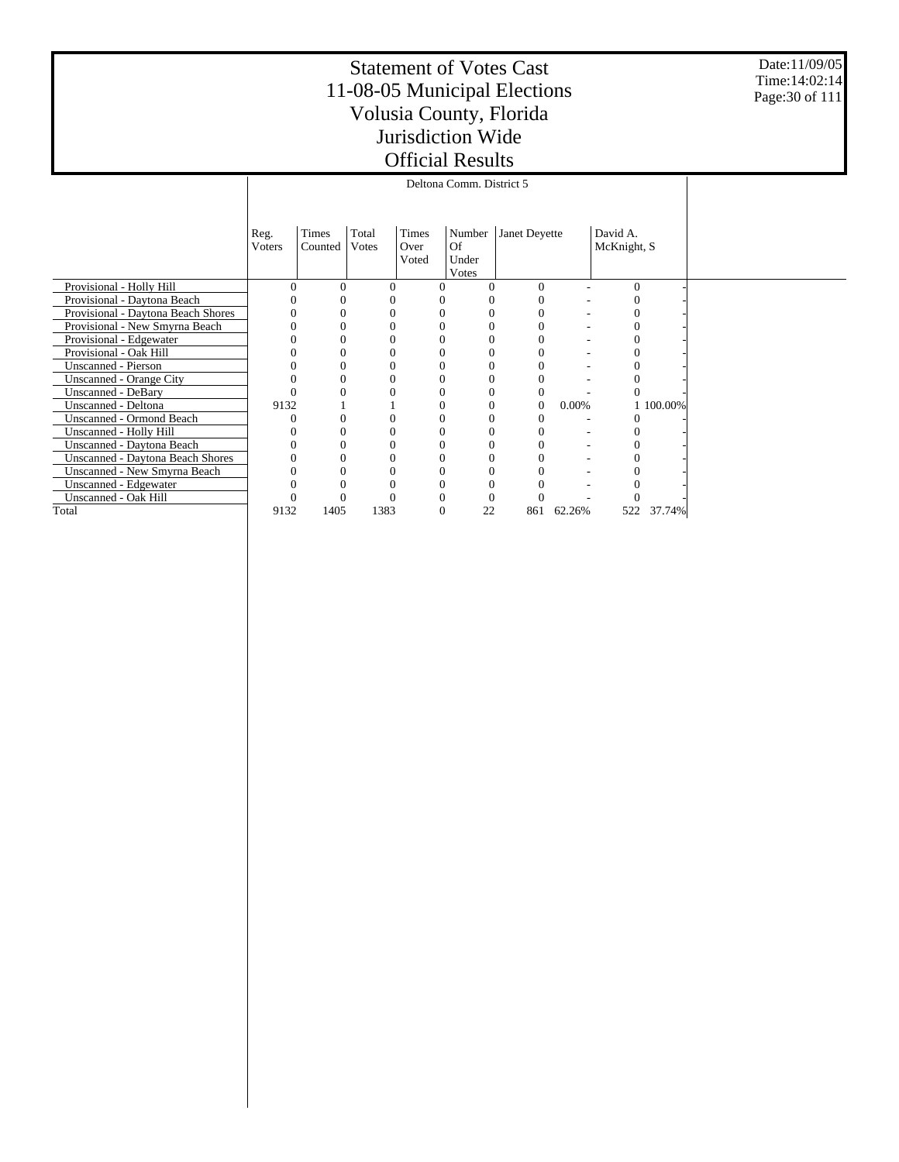Date:11/09/05 Time:14:02:14 Page:30 of 111

 $\overline{\phantom{a}}$ 

#### Statement of Votes Cast 11-08-05 Municipal Elections Volusia County, Florida Jurisdiction Wide Official Results Deltona Comm. District 5

| Total<br>Times<br>Times<br>David A.<br>Janet Deyette<br>Number<br>Reg.<br>Of<br>McKnight, S<br>Votes<br>Over<br><b>V</b> oters<br>Counted<br>Under<br>Voted<br>Votes<br>Provisional - Holly Hill<br>$\Omega$<br>$\Omega$<br>$\Omega$<br>$\Omega$<br>0<br>$\Omega$<br>0<br>٠<br>Provisional - Daytona Beach<br>$\Omega$<br>Provisional - Daytona Beach Shores<br>$\Omega$<br>$\Omega$<br>٠<br>Provisional - New Smyrna Beach<br>$\Omega$<br>Provisional - Edgewater<br>$\Omega$<br>Provisional - Oak Hill<br>$\Omega$<br><b>Unscanned - Pierson</b><br>$\Omega$<br>Unscanned - Orange City<br>$\Omega$ |
|-------------------------------------------------------------------------------------------------------------------------------------------------------------------------------------------------------------------------------------------------------------------------------------------------------------------------------------------------------------------------------------------------------------------------------------------------------------------------------------------------------------------------------------------------------------------------------------------------------|
|                                                                                                                                                                                                                                                                                                                                                                                                                                                                                                                                                                                                       |
|                                                                                                                                                                                                                                                                                                                                                                                                                                                                                                                                                                                                       |
|                                                                                                                                                                                                                                                                                                                                                                                                                                                                                                                                                                                                       |
|                                                                                                                                                                                                                                                                                                                                                                                                                                                                                                                                                                                                       |
|                                                                                                                                                                                                                                                                                                                                                                                                                                                                                                                                                                                                       |
|                                                                                                                                                                                                                                                                                                                                                                                                                                                                                                                                                                                                       |
|                                                                                                                                                                                                                                                                                                                                                                                                                                                                                                                                                                                                       |
|                                                                                                                                                                                                                                                                                                                                                                                                                                                                                                                                                                                                       |
|                                                                                                                                                                                                                                                                                                                                                                                                                                                                                                                                                                                                       |
| Unscanned - DeBary                                                                                                                                                                                                                                                                                                                                                                                                                                                                                                                                                                                    |
| Unscanned - Deltona<br>9132<br>0.00%<br>1 100.00%<br>$\Omega$<br>0                                                                                                                                                                                                                                                                                                                                                                                                                                                                                                                                    |
| Unscanned - Ormond Beach<br>$\theta$<br>$\Omega$<br>0<br>۰                                                                                                                                                                                                                                                                                                                                                                                                                                                                                                                                            |
| Unscanned - Holly Hill<br>$\theta$<br>$\Omega$<br>0<br>۰                                                                                                                                                                                                                                                                                                                                                                                                                                                                                                                                              |
| Unscanned - Daytona Beach<br>$\Omega$<br>$\theta$<br>0<br>0                                                                                                                                                                                                                                                                                                                                                                                                                                                                                                                                           |
| <b>Unscanned - Daytona Beach Shores</b><br>$\Omega$<br>0                                                                                                                                                                                                                                                                                                                                                                                                                                                                                                                                              |
| Unscanned - New Smyrna Beach<br>$\Omega$<br>0<br>0                                                                                                                                                                                                                                                                                                                                                                                                                                                                                                                                                    |
| Unscanned - Edgewater<br>$\Omega$<br>0                                                                                                                                                                                                                                                                                                                                                                                                                                                                                                                                                                |
| Unscanned - Oak Hill                                                                                                                                                                                                                                                                                                                                                                                                                                                                                                                                                                                  |
| 9132<br>1405<br>1383<br>22<br>$\overline{0}$<br>861<br>62.26%<br>522<br>37.74%<br>Total                                                                                                                                                                                                                                                                                                                                                                                                                                                                                                               |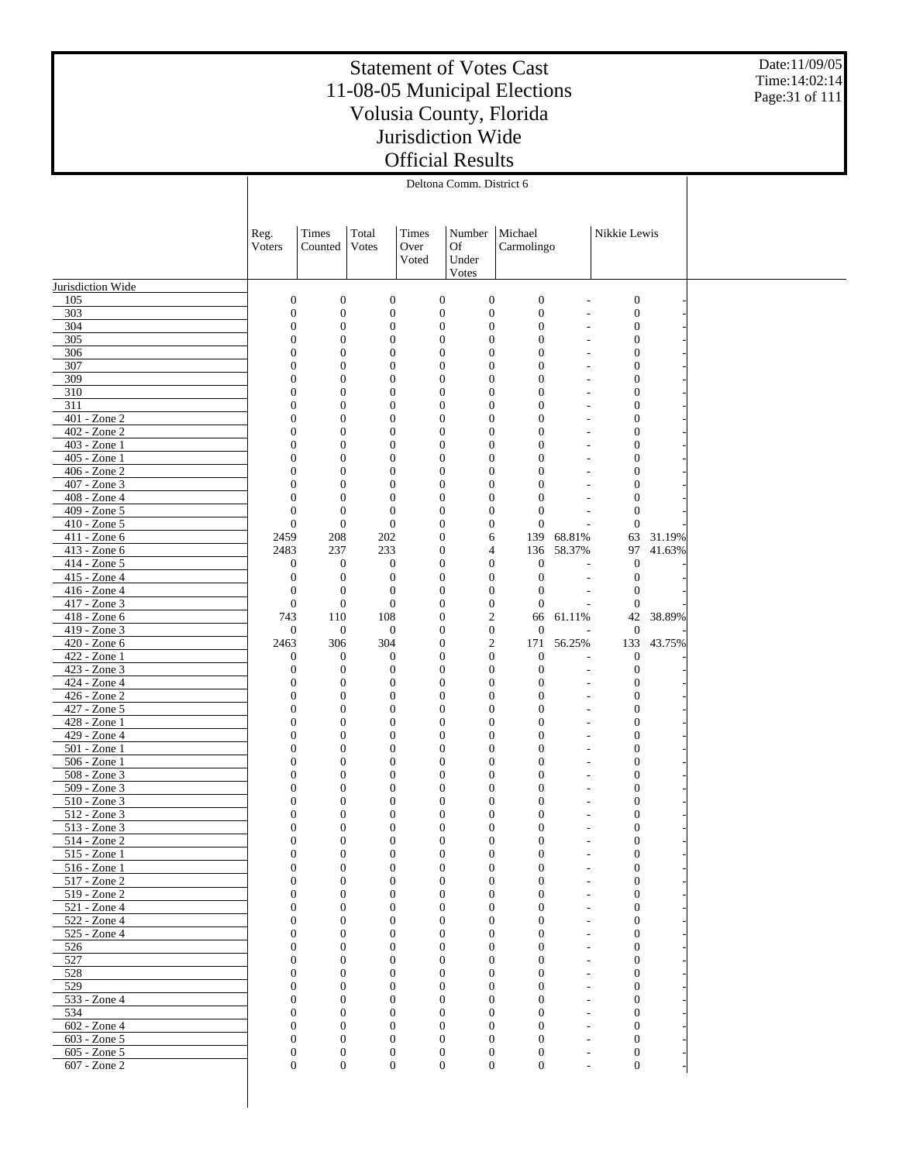Date:11/09/05 Time:14:02:14 Page:31 of 111

Τ

#### Statement of Votes Cast 11-08-05 Municipal Elections Volusia County, Florida Jurisdiction Wide Official Results Deltona Comm. District 6

T

|                               | DUROHA COMMI, DISHIU U             |                                      |                                  |                        |                                      |                                      |                                  |                          |                                      |        |
|-------------------------------|------------------------------------|--------------------------------------|----------------------------------|------------------------|--------------------------------------|--------------------------------------|----------------------------------|--------------------------|--------------------------------------|--------|
|                               | Reg.<br>Voters                     | Times<br>Counted                     | Total<br>Votes                   | Times<br>Over<br>Voted | <b>Of</b><br>Under<br>Votes          |                                      | Number   Michael<br>Carmolingo   |                          | Nikkie Lewis                         |        |
| Jurisdiction Wide             |                                    |                                      |                                  |                        |                                      |                                      |                                  |                          |                                      |        |
| 105                           | $\boldsymbol{0}$                   | $\boldsymbol{0}$                     | $\boldsymbol{0}$                 |                        | $\boldsymbol{0}$                     | $\boldsymbol{0}$                     | $\boldsymbol{0}$                 | ÷,                       | $\boldsymbol{0}$                     |        |
| 303                           | $\mathbf{0}$                       | $\boldsymbol{0}$                     | $\boldsymbol{0}$                 |                        | $\mathbf{0}$                         | $\boldsymbol{0}$                     | $\boldsymbol{0}$                 | L,                       | $\boldsymbol{0}$                     |        |
| 304                           | $\mathbf{0}$                       | $\boldsymbol{0}$                     | $\boldsymbol{0}$                 |                        | $\mathbf{0}$                         | $\boldsymbol{0}$                     | $\boldsymbol{0}$                 |                          | $\boldsymbol{0}$                     |        |
| 305<br>306                    | $\theta$<br>$\mathbf{0}$           | $\boldsymbol{0}$<br>$\boldsymbol{0}$ | $\boldsymbol{0}$<br>$\mathbf{0}$ |                        | $\mathbf{0}$<br>$\boldsymbol{0}$     | $\boldsymbol{0}$<br>$\boldsymbol{0}$ | $\overline{0}$<br>$\mathbf{0}$   | ٠                        | $\boldsymbol{0}$<br>$\boldsymbol{0}$ |        |
| 307                           | $\theta$                           | $\boldsymbol{0}$                     | $\mathbf{0}$                     |                        | $\boldsymbol{0}$                     | $\boldsymbol{0}$                     | $\overline{0}$                   |                          | $\boldsymbol{0}$                     |        |
| 309                           | $\mathbf{0}$                       | $\boldsymbol{0}$                     | $\mathbf{0}$                     |                        | $\boldsymbol{0}$                     | $\boldsymbol{0}$                     | $\mathbf{0}$                     |                          | $\boldsymbol{0}$                     |        |
| 310                           | $\theta$                           | $\boldsymbol{0}$                     | $\mathbf{0}$                     |                        | $\boldsymbol{0}$                     | $\boldsymbol{0}$                     | $\overline{0}$                   |                          | $\boldsymbol{0}$                     |        |
| 311                           | $\mathbf{0}$                       | $\boldsymbol{0}$                     | $\mathbf{0}$                     |                        | $\boldsymbol{0}$                     | $\boldsymbol{0}$                     | $\mathbf{0}$                     |                          | $\boldsymbol{0}$                     |        |
| 401 - Zone 2                  | $\Omega$                           | $\boldsymbol{0}$                     | $\mathbf{0}$                     |                        | $\mathbf{0}$                         | $\boldsymbol{0}$                     | $\overline{0}$                   |                          | $\boldsymbol{0}$                     |        |
| 402 - Zone 2                  | $\mathbf{0}$                       | $\boldsymbol{0}$                     | $\mathbf{0}$                     |                        | $\boldsymbol{0}$                     | $\boldsymbol{0}$                     | $\overline{0}$                   |                          | $\boldsymbol{0}$                     |        |
| 403 - Zone 1                  | $\theta$                           | $\boldsymbol{0}$                     | $\mathbf{0}$                     |                        | $\boldsymbol{0}$                     | $\boldsymbol{0}$                     | $\overline{0}$                   | ٠                        | $\boldsymbol{0}$                     |        |
| 405 - Zone 1<br>406 - Zone 2  | $\mathbf{0}$<br>$\mathbf{0}$       | $\boldsymbol{0}$<br>$\boldsymbol{0}$ | $\mathbf{0}$<br>$\mathbf{0}$     |                        | $\mathbf{0}$<br>$\mathbf{0}$         | $\boldsymbol{0}$<br>$\boldsymbol{0}$ | $\mathbf{0}$<br>$\overline{0}$   |                          | $\boldsymbol{0}$<br>$\boldsymbol{0}$ |        |
| 407 - Zone 3                  | $\overline{0}$                     | $\boldsymbol{0}$                     | $\mathbf{0}$                     |                        | $\boldsymbol{0}$                     | $\boldsymbol{0}$                     | $\overline{0}$                   |                          | $\boldsymbol{0}$                     |        |
| 408 - Zone 4                  | $\overline{0}$                     | $\overline{0}$                       | $\mathbf{0}$                     |                        | $\mathbf{0}$                         | $\boldsymbol{0}$                     | $\overline{0}$                   |                          | $\boldsymbol{0}$                     |        |
| 409 - Zone 5                  | $\boldsymbol{0}$                   | $\boldsymbol{0}$                     | $\boldsymbol{0}$                 |                        | $\mathbf{0}$                         | $\boldsymbol{0}$                     | $\overline{0}$                   |                          | $\boldsymbol{0}$                     |        |
| 410 - Zone 5                  | $\mathbf{0}$                       | $\boldsymbol{0}$                     | $\boldsymbol{0}$                 |                        | $\boldsymbol{0}$                     | $\boldsymbol{0}$                     | $\mathbf{0}$                     | ÷,                       | $\boldsymbol{0}$                     |        |
| 411 - Zone 6                  | 2459                               | 208                                  | 202                              |                        | $\boldsymbol{0}$                     | 6                                    | 139                              | 68.81%                   | 63                                   | 31.19% |
| 413 - Zone 6                  | 2483                               | 237                                  | 233                              |                        | $\mathbf{0}$                         | 4                                    |                                  | 136 58.37%               | 97                                   | 41.63% |
| 414 - Zone 5                  | $\boldsymbol{0}$                   | $\boldsymbol{0}$                     | $\mathbf{0}$                     |                        | $\mathbf{0}$                         | $\boldsymbol{0}$                     | $\boldsymbol{0}$                 |                          | $\boldsymbol{0}$                     |        |
| 415 - Zone 4                  | $\mathbf{0}$                       | $\mathbf{0}$                         | $\mathbf{0}$                     |                        | $\mathbf{0}$                         | $\boldsymbol{0}$                     | $\boldsymbol{0}$                 | $\overline{a}$           | $\boldsymbol{0}$                     |        |
| 416 - Zone 4                  | $\boldsymbol{0}$                   | $\boldsymbol{0}$                     | $\boldsymbol{0}$                 |                        | $\mathbf{0}$                         | $\boldsymbol{0}$                     | $\boldsymbol{0}$                 |                          | $\boldsymbol{0}$                     |        |
| 417 - Zone 3<br>418 - Zone 6  | $\boldsymbol{0}$<br>743            | $\boldsymbol{0}$<br>110              | $\mathbf{0}$<br>108              |                        | $\boldsymbol{0}$<br>$\mathbf{0}$     | $\boldsymbol{0}$<br>$\sqrt{2}$       | $\boldsymbol{0}$                 | Ĭ.                       | $\mathbf{0}$<br>42                   | 38.89% |
| 419 - Zone 3                  | $\boldsymbol{0}$                   | $\boldsymbol{0}$                     | $\mathbf{0}$                     |                        | $\mathbf{0}$                         | $\boldsymbol{0}$                     | $\mathbf{0}$                     | 66 61.11%                | $\mathbf{0}$                         |        |
| 420 - Zone 6                  | 2463                               | 306                                  | 304                              |                        | $\mathbf{0}$                         | $\sqrt{2}$                           | 171                              | 56.25%                   | 133                                  | 43.75% |
| 422 - Zone 1                  | $\mathbf{0}$                       | $\boldsymbol{0}$                     | $\mathbf{0}$                     |                        | $\mathbf{0}$                         | $\boldsymbol{0}$                     | $\boldsymbol{0}$                 | ÷,                       | $\mathbf{0}$                         |        |
| 423 - Zone 3                  | $\boldsymbol{0}$                   | $\boldsymbol{0}$                     | $\boldsymbol{0}$                 |                        | $\mathbf{0}$                         | $\boldsymbol{0}$                     | $\boldsymbol{0}$                 |                          | $\mathbf{0}$                         |        |
| 424 - Zone 4                  | $\mathbf{0}$                       | $\boldsymbol{0}$                     | $\mathbf{0}$                     |                        | $\boldsymbol{0}$                     | $\boldsymbol{0}$                     | $\theta$                         | ÷,                       | $\boldsymbol{0}$                     |        |
| 426 - Zone 2                  | $\mathbf{0}$                       | $\boldsymbol{0}$                     | $\mathbf{0}$                     |                        | $\boldsymbol{0}$                     | $\boldsymbol{0}$                     | $\overline{0}$                   |                          | $\boldsymbol{0}$                     |        |
| 427 - Zone 5                  | $\mathbf{0}$                       | $\boldsymbol{0}$                     | $\mathbf{0}$                     |                        | $\boldsymbol{0}$                     | $\boldsymbol{0}$                     | $\overline{0}$                   | ٠                        | $\boldsymbol{0}$                     |        |
| 428 - Zone 1                  | $\mathbf{0}$                       | $\boldsymbol{0}$                     | $\mathbf{0}$                     |                        | $\boldsymbol{0}$                     | $\boldsymbol{0}$                     | $\overline{0}$                   |                          | $\boldsymbol{0}$                     |        |
| 429 - Zone 4<br>501 - Zone 1  | $\theta$<br>$\mathbf{0}$           | $\boldsymbol{0}$<br>$\boldsymbol{0}$ | $\mathbf{0}$<br>$\mathbf{0}$     |                        | $\boldsymbol{0}$<br>$\boldsymbol{0}$ | $\boldsymbol{0}$<br>$\boldsymbol{0}$ | $\overline{0}$<br>$\overline{0}$ | ٠                        | $\boldsymbol{0}$<br>$\boldsymbol{0}$ |        |
| 506 - Zone 1                  | $\theta$                           | $\boldsymbol{0}$                     | $\mathbf{0}$                     |                        | $\boldsymbol{0}$                     | $\boldsymbol{0}$                     | $\overline{0}$                   | ٠                        | $\boldsymbol{0}$                     |        |
| 508 - Zone 3                  | $\mathbf{0}$                       | $\boldsymbol{0}$                     | $\mathbf{0}$                     |                        | $\boldsymbol{0}$                     | $\boldsymbol{0}$                     | $\mathbf{0}$                     |                          | $\boldsymbol{0}$                     |        |
| 509 - Zone 3                  | $\Omega$                           | $\boldsymbol{0}$                     | $\overline{0}$                   |                        | $\overline{0}$                       | $\boldsymbol{0}$                     | $\overline{0}$                   |                          | $\boldsymbol{0}$                     |        |
| 510 - Zone 3                  | 0                                  | $\boldsymbol{0}$                     | $\overline{0}$                   |                        | $\boldsymbol{0}$                     | $\boldsymbol{0}$                     | $\mathbf{0}$                     |                          | $\boldsymbol{0}$                     |        |
| 512 - Zone 3                  | 0                                  | $\boldsymbol{0}$                     | $\overline{0}$                   |                        | $\overline{0}$                       | $\boldsymbol{0}$                     | $\theta$                         |                          | $\boldsymbol{0}$                     |        |
| 513 - Zone 3                  | $\boldsymbol{0}$                   | $\boldsymbol{0}$                     | $\overline{0}$                   |                        | $\boldsymbol{0}$                     | $\boldsymbol{0}$                     | $\theta$                         |                          | $\boldsymbol{0}$                     |        |
| 514 - Zone 2                  | $\Omega$                           | $\Omega$                             | $\theta$                         |                        | $\Omega$                             | $\boldsymbol{0}$                     | $\Omega$                         |                          | $\Omega$                             |        |
| $515 - Zone1$<br>516 - Zone 1 | $\boldsymbol{0}$<br>$\overline{0}$ | $\boldsymbol{0}$<br>$\overline{0}$   | $\boldsymbol{0}$<br>$\mathbf{0}$ |                        | $\mathbf{0}$<br>$\overline{0}$       | $\boldsymbol{0}$<br>$\overline{0}$   | $\mathbf{0}$<br>$\mathbf{0}$     | ٠                        | $\mathbf{0}$<br>$\mathbf{0}$         |        |
| 517 - Zone 2                  | $\overline{0}$                     | $\overline{0}$                       | $\overline{0}$                   |                        | $\mathbf{0}$                         | $\mathbf{0}$                         | $\mathbf{0}$                     |                          | $\boldsymbol{0}$                     |        |
| 519 - Zone 2                  | $\Omega$                           | $\Omega$                             | $\theta$                         |                        | $\overline{0}$                       | $\Omega$                             | $\Omega$                         | ٠                        | $\mathbf{0}$                         |        |
| 521 - Zone 4                  | $\mathbf{0}$                       | $\overline{0}$                       | $\overline{0}$                   |                        | $\mathbf{0}$                         | $\boldsymbol{0}$                     | $\overline{0}$                   |                          | $\boldsymbol{0}$                     |        |
| 522 - Zone 4                  | $\Omega$                           | $\Omega$                             | $\Omega$                         |                        | $\overline{0}$                       | $\mathbf{0}$                         | $\Omega$                         | ٠                        | $\mathbf{0}$                         |        |
| 525 - Zone 4                  | $\mathbf{0}$                       | $\overline{0}$                       | $\overline{0}$                   |                        | $\mathbf{0}$                         | $\mathbf{0}$                         | $\Omega$                         | ٠                        | $\boldsymbol{0}$                     |        |
| 526                           | $\Omega$                           | $\Omega$                             | $\Omega$                         |                        | $\overline{0}$                       | $\Omega$                             | $\Omega$                         | ٠                        | $\mathbf{0}$                         |        |
| 527                           | $\mathbf{0}$                       | $\overline{0}$                       | $\overline{0}$                   |                        | $\boldsymbol{0}$                     | $\boldsymbol{0}$                     | $\overline{0}$                   | ٠                        | $\boldsymbol{0}$                     |        |
| 528                           | $\Omega$                           | $\Omega$                             | $\Omega$<br>$\overline{0}$       |                        | $\overline{0}$                       | $\mathbf{0}$                         | $\Omega$                         | ٠                        | $\mathbf{0}$                         |        |
| 529<br>533 - Zone 4           | $\mathbf{0}$<br>$\Omega$           | $\overline{0}$<br>$\Omega$           | $\Omega$                         |                        | $\mathbf{0}$<br>$\overline{0}$       | $\mathbf{0}$<br>$\Omega$             | $\overline{0}$<br>$\Omega$       | ٠<br>٠                   | $\boldsymbol{0}$<br>$\mathbf{0}$     |        |
| 534                           | $\mathbf{0}$                       | $\overline{0}$                       | $\mathbf{0}$                     |                        | $\mathbf{0}$                         | $\boldsymbol{0}$                     | $\overline{0}$                   | ٠                        | $\boldsymbol{0}$                     |        |
| 602 - Zone 4                  | $\Omega$                           | $\Omega$                             | $\Omega$                         |                        | $\Omega$                             | $\Omega$                             | $\Omega$                         | ٠                        | $\mathbf{0}$                         |        |
| 603 - Zone 5                  | $\Omega$                           | $\overline{0}$                       | $\overline{0}$                   |                        | $\mathbf{0}$                         | $\overline{0}$                       | $\mathbf{0}$                     |                          | $\boldsymbol{0}$                     |        |
| 605 - Zone 5                  | $\Omega$                           | $\boldsymbol{0}$                     | $\boldsymbol{0}$                 |                        | $\mathbf{0}$                         | $\mathbf{0}$                         | $\boldsymbol{0}$                 | $\overline{\phantom{a}}$ | $\mathbf{0}$                         |        |
| 607 - Zone 2                  | $\overline{0}$                     | $\theta$                             | $\overline{0}$                   |                        | $\mathbf{0}$                         | $\overline{0}$                       | $\boldsymbol{0}$                 |                          | $\mathbf{0}$                         |        |
|                               |                                    |                                      |                                  |                        |                                      |                                      |                                  |                          |                                      |        |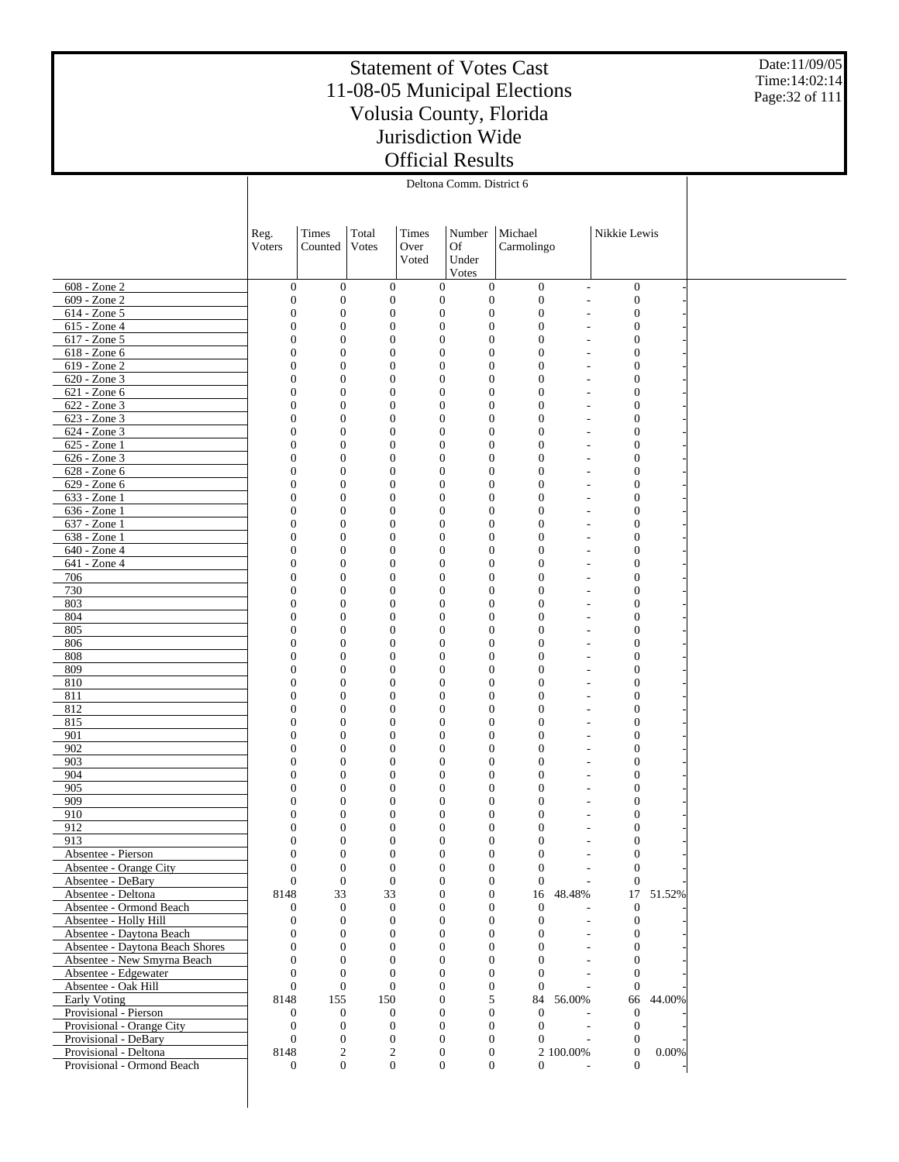Date:11/09/05 Time:14:02:14 Page:32 of 111

|                                             |                                    |                                  |                                      |                        | Deltona Comm. District 6                                                     |                                      |                                  |                                      |           |  |
|---------------------------------------------|------------------------------------|----------------------------------|--------------------------------------|------------------------|------------------------------------------------------------------------------|--------------------------------------|----------------------------------|--------------------------------------|-----------|--|
|                                             |                                    |                                  |                                      |                        |                                                                              |                                      |                                  |                                      |           |  |
|                                             | Reg.<br>Voters                     | Times<br>Counted                 | Total<br>Votes                       | Times<br>Over<br>Voted | Number<br><b>Of</b><br>Under                                                 | Michael<br>Carmolingo                |                                  | Nikkie Lewis                         |           |  |
|                                             |                                    |                                  |                                      |                        | Votes                                                                        |                                      |                                  |                                      |           |  |
| 608 - Zone 2<br>609 - Zone 2                | $\boldsymbol{0}$<br>$\mathbf{0}$   | $\mathbf{0}$<br>$\mathbf{0}$     | $\boldsymbol{0}$<br>$\boldsymbol{0}$ |                        | $\boldsymbol{0}$<br>$\boldsymbol{0}$<br>$\boldsymbol{0}$<br>$\boldsymbol{0}$ | $\boldsymbol{0}$<br>$\boldsymbol{0}$ | $\overline{a}$<br>$\overline{a}$ | $\boldsymbol{0}$<br>$\boldsymbol{0}$ |           |  |
| 614 - Zone 5                                | $\overline{0}$                     | $\mathbf{0}$                     | $\boldsymbol{0}$                     |                        | $\mathbf{0}$<br>$\mathbf{0}$                                                 | $\boldsymbol{0}$                     | ٠                                | $\boldsymbol{0}$                     |           |  |
| 615 - Zone 4                                | $\mathbf{0}$                       | $\mathbf{0}$                     | $\boldsymbol{0}$                     |                        | $\mathbf{0}$<br>$\mathbf{0}$                                                 | $\boldsymbol{0}$                     | L,                               | $\boldsymbol{0}$                     |           |  |
| 617 - Zone 5                                | $\overline{0}$                     | $\mathbf{0}$                     | $\boldsymbol{0}$                     |                        | $\mathbf{0}$<br>$\mathbf{0}$                                                 | $\boldsymbol{0}$                     | ٠                                | $\mathbf{0}$                         |           |  |
| 618 - Zone 6                                | $\mathbf{0}$                       | $\overline{0}$                   | $\boldsymbol{0}$                     |                        | $\boldsymbol{0}$<br>$\mathbf{0}$                                             | $\boldsymbol{0}$                     | L                                | $\mathbf{0}$                         |           |  |
| $619 - Zone2$                               | $\overline{0}$                     | $\mathbf{0}$                     | $\boldsymbol{0}$                     |                        | $\mathbf{0}$<br>$\mathbf{0}$                                                 | $\boldsymbol{0}$                     | ٠                                | $\mathbf{0}$                         |           |  |
| 620 - Zone 3                                | $\overline{0}$                     | $\overline{0}$                   | $\boldsymbol{0}$                     |                        | $\mathbf{0}$<br>$\mathbf{0}$                                                 | $\boldsymbol{0}$                     | $\overline{a}$                   | $\boldsymbol{0}$                     |           |  |
| 621 - Zone 6                                | $\overline{0}$                     | $\mathbf{0}$                     | $\boldsymbol{0}$                     |                        | $\mathbf{0}$<br>$\mathbf{0}$                                                 | $\boldsymbol{0}$                     | $\overline{a}$                   | $\mathbf{0}$                         |           |  |
| 622 - Zone 3                                | $\mathbf{0}$                       | $\overline{0}$                   | $\boldsymbol{0}$                     |                        | $\boldsymbol{0}$<br>$\mathbf{0}$                                             | $\boldsymbol{0}$                     | $\overline{a}$                   | $\mathbf{0}$                         |           |  |
| 623 - Zone 3<br>624 - Zone 3                | $\overline{0}$<br>$\mathbf{0}$     | $\mathbf{0}$<br>$\boldsymbol{0}$ | $\boldsymbol{0}$                     |                        | $\mathbf{0}$<br>$\mathbf{0}$<br>$\mathbf{0}$<br>$\mathbf{0}$                 | $\boldsymbol{0}$<br>$\boldsymbol{0}$ | $\overline{a}$                   | $\mathbf{0}$                         |           |  |
| 625 - Zone 1                                | $\overline{0}$                     | $\mathbf{0}$                     | $\boldsymbol{0}$<br>$\boldsymbol{0}$ |                        | $\mathbf{0}$<br>$\mathbf{0}$                                                 | $\boldsymbol{0}$                     | $\overline{a}$<br>$\overline{a}$ | $\boldsymbol{0}$<br>$\mathbf{0}$     |           |  |
| 626 - Zone 3                                | $\mathbf{0}$                       | $\overline{0}$                   | $\boldsymbol{0}$                     |                        | $\boldsymbol{0}$<br>$\mathbf{0}$                                             | $\boldsymbol{0}$                     | $\overline{a}$                   | $\mathbf{0}$                         |           |  |
| 628 - Zone 6                                | $\overline{0}$                     | $\mathbf{0}$                     | $\boldsymbol{0}$                     |                        | $\mathbf{0}$<br>$\mathbf{0}$                                                 | $\boldsymbol{0}$                     | $\overline{a}$                   | $\mathbf{0}$                         |           |  |
| 629 - Zone 6                                | $\overline{0}$                     | $\boldsymbol{0}$                 | $\boldsymbol{0}$                     |                        | $\mathbf{0}$<br>$\mathbf{0}$                                                 | $\boldsymbol{0}$                     | $\overline{a}$                   | $\boldsymbol{0}$                     |           |  |
| 633 - Zone 1                                | $\overline{0}$                     | $\mathbf{0}$                     | $\boldsymbol{0}$                     |                        | $\mathbf{0}$<br>$\mathbf{0}$                                                 | $\boldsymbol{0}$                     | $\overline{a}$                   | $\mathbf{0}$                         |           |  |
| 636 - Zone 1                                | $\overline{0}$                     | $\overline{0}$                   | $\boldsymbol{0}$                     |                        | $\mathbf{0}$<br>$\mathbf{0}$                                                 | $\boldsymbol{0}$                     | $\overline{a}$                   | $\mathbf{0}$                         |           |  |
| 637 - Zone 1                                | $\overline{0}$                     | $\mathbf{0}$                     | $\boldsymbol{0}$                     |                        | $\mathbf{0}$<br>$\mathbf{0}$                                                 | $\boldsymbol{0}$                     | $\overline{a}$                   | $\mathbf{0}$                         |           |  |
| 638 - Zone 1                                | $\overline{0}$                     | $\boldsymbol{0}$                 | $\boldsymbol{0}$                     |                        | $\mathbf{0}$<br>$\mathbf{0}$                                                 | $\boldsymbol{0}$                     | $\overline{a}$                   | $\boldsymbol{0}$                     |           |  |
| 640 - Zone 4                                | $\overline{0}$                     | $\mathbf{0}$                     | $\boldsymbol{0}$                     |                        | $\mathbf{0}$<br>$\mathbf{0}$                                                 | $\boldsymbol{0}$                     | $\overline{a}$                   | $\mathbf{0}$                         |           |  |
| 641 - Zone 4<br>706                         | $\mathbf{0}$<br>$\overline{0}$     | $\overline{0}$<br>$\mathbf{0}$   | $\boldsymbol{0}$<br>$\boldsymbol{0}$ |                        | $\mathbf{0}$<br>$\mathbf{0}$<br>$\mathbf{0}$<br>$\mathbf{0}$                 | $\boldsymbol{0}$<br>$\boldsymbol{0}$ | $\overline{a}$<br>$\overline{a}$ | $\mathbf{0}$<br>$\mathbf{0}$         |           |  |
| 730                                         | $\overline{0}$                     | $\overline{0}$                   | $\boldsymbol{0}$                     |                        | $\mathbf{0}$<br>$\mathbf{0}$                                                 | $\boldsymbol{0}$                     | $\overline{a}$                   | $\boldsymbol{0}$                     |           |  |
| 803                                         | $\overline{0}$                     | $\mathbf{0}$                     | $\boldsymbol{0}$                     |                        | $\mathbf{0}$<br>$\mathbf{0}$                                                 | $\boldsymbol{0}$                     | $\overline{a}$                   | $\mathbf{0}$                         |           |  |
| 804                                         | $\mathbf{0}$                       | $\overline{0}$                   | $\boldsymbol{0}$                     |                        | $\boldsymbol{0}$<br>$\mathbf{0}$                                             | $\boldsymbol{0}$                     | $\overline{a}$                   | $\mathbf{0}$                         |           |  |
| 805                                         | $\overline{0}$                     | $\mathbf{0}$                     | $\boldsymbol{0}$                     |                        | $\mathbf{0}$<br>$\mathbf{0}$                                                 | $\boldsymbol{0}$                     | $\overline{a}$                   | $\mathbf{0}$                         |           |  |
| 806                                         | $\overline{0}$                     | $\overline{0}$                   | $\boldsymbol{0}$                     |                        | $\mathbf{0}$<br>$\mathbf{0}$                                                 | $\boldsymbol{0}$                     | $\overline{a}$                   | $\mathbf{0}$                         |           |  |
| 808                                         | $\overline{0}$                     | $\overline{0}$                   | $\boldsymbol{0}$                     |                        | $\mathbf{0}$<br>$\mathbf{0}$                                                 | $\boldsymbol{0}$                     | $\overline{a}$                   | $\mathbf{0}$                         |           |  |
| 809                                         | $\mathbf{0}$                       | $\overline{0}$                   | $\boldsymbol{0}$                     |                        | $\boldsymbol{0}$<br>$\mathbf{0}$                                             | $\boldsymbol{0}$                     | $\overline{a}$                   | $\mathbf{0}$                         |           |  |
| 810                                         | $\overline{0}$                     | $\mathbf{0}$                     | $\boldsymbol{0}$                     |                        | $\mathbf{0}$<br>$\mathbf{0}$                                                 | $\boldsymbol{0}$                     | $\overline{\phantom{a}}$         | $\mathbf{0}$                         |           |  |
| 811<br>812                                  | $\overline{0}$<br>$\overline{0}$   | $\overline{0}$<br>$\overline{0}$ | $\boldsymbol{0}$<br>$\boldsymbol{0}$ |                        | $\mathbf{0}$<br>$\mathbf{0}$<br>$\mathbf{0}$<br>$\mathbf{0}$                 | $\boldsymbol{0}$<br>$\boldsymbol{0}$ | $\overline{a}$<br>$\overline{a}$ | $\mathbf{0}$<br>$\mathbf{0}$         |           |  |
| 815                                         | $\overline{0}$                     | $\overline{0}$                   | $\boldsymbol{0}$                     |                        | $\boldsymbol{0}$<br>$\mathbf{0}$                                             | $\boldsymbol{0}$                     | $\overline{a}$                   | $\mathbf{0}$                         |           |  |
| 901                                         | $\overline{0}$                     | $\mathbf{0}$                     | $\boldsymbol{0}$                     |                        | $\mathbf{0}$<br>$\mathbf{0}$                                                 | $\boldsymbol{0}$                     | $\overline{a}$                   | $\mathbf{0}$                         |           |  |
| 902                                         | $\overline{0}$                     | $\overline{0}$                   | $\boldsymbol{0}$                     |                        | $\mathbf{0}$<br>$\mathbf{0}$                                                 | $\boldsymbol{0}$                     | $\overline{a}$                   | $\mathbf{0}$                         |           |  |
| 903                                         | $\overline{0}$                     | $\overline{0}$                   | $\boldsymbol{0}$                     |                        | $\mathbf{0}$<br>$\mathbf{0}$                                                 | $\boldsymbol{0}$                     | L,                               | $\mathbf{0}$                         |           |  |
| 904                                         | $\overline{0}$                     | $\overline{0}$                   | $\boldsymbol{0}$                     |                        | $\boldsymbol{0}$<br>$\mathbf{0}$                                             | $\boldsymbol{0}$                     | L,                               | $\mathbf{0}$                         |           |  |
| 905                                         | $\overline{0}$                     | $\mathbf{0}$                     | $\boldsymbol{0}$                     |                        | $\mathbf{0}$<br>$\mathbf{0}$                                                 | $\boldsymbol{0}$                     | ٠                                | $\mathbf{0}$                         |           |  |
| 909                                         | $\overline{0}$                     | $\overline{0}$                   | $\boldsymbol{0}$                     |                        | $\mathbf{0}$<br>$\mathbf{0}$                                                 | $\boldsymbol{0}$                     | ٠                                | $\boldsymbol{0}$                     |           |  |
| 910                                         | $\overline{0}$                     | $\mathbf{0}$                     | $\boldsymbol{0}$                     |                        | $\mathbf{0}$<br>$\mathbf{0}$                                                 | $\boldsymbol{0}$                     | -                                | $\mathbf{0}$                         |           |  |
| 912                                         | $\overline{0}$                     | $\overline{0}$                   | $\boldsymbol{0}$                     |                        | $\boldsymbol{0}$<br>$\theta$                                                 | $\boldsymbol{0}$                     | $\overline{\phantom{a}}$         | $\mathbf{0}$                         |           |  |
| 913<br>Absentee - Pierson                   | $\bf{0}$<br>$\boldsymbol{0}$       | 0<br>$\boldsymbol{0}$            | $\boldsymbol{0}$<br>$\boldsymbol{0}$ |                        | $\boldsymbol{0}$<br>$\bf{0}$<br>$\boldsymbol{0}$<br>$\boldsymbol{0}$         | 0<br>$\mathbf{0}$                    |                                  | $\bf{0}$<br>$\mathbf{0}$             |           |  |
| Absentee - Orange City                      | $\overline{0}$                     | $\boldsymbol{0}$                 | $\boldsymbol{0}$                     |                        | $\boldsymbol{0}$<br>$\boldsymbol{0}$                                         | $\mathbf{0}$                         |                                  | $\mathbf{0}$                         |           |  |
| Absentee - DeBary                           | $\mathbf{0}$                       | $\mathbf{0}$                     | $\boldsymbol{0}$                     |                        | $\boldsymbol{0}$<br>$\mathbf{0}$                                             | $\theta$                             |                                  | $\mathbf{0}$                         |           |  |
| Absentee - Deltona                          | 8148                               | 33                               | 33                                   |                        | $\boldsymbol{0}$<br>$\boldsymbol{0}$                                         |                                      | 16 48.48%                        |                                      | 17 51.52% |  |
| Absentee - Ormond Beach                     | $\overline{0}$                     | $\mathbf{0}$                     | $\boldsymbol{0}$                     |                        | $\boldsymbol{0}$<br>$\theta$                                                 | $\boldsymbol{0}$                     |                                  | $\mathbf{0}$                         |           |  |
| Absentee - Holly Hill                       | $\mathbf{0}$                       | $\boldsymbol{0}$                 | $\boldsymbol{0}$                     |                        | $\boldsymbol{0}$<br>$\boldsymbol{0}$                                         | $\boldsymbol{0}$                     |                                  | $\boldsymbol{0}$                     |           |  |
| Absentee - Daytona Beach                    | $\Omega$                           | $\boldsymbol{0}$                 | $\boldsymbol{0}$                     |                        | $\boldsymbol{0}$<br>$\mathbf{0}$                                             | $\boldsymbol{0}$                     |                                  | $\mathbf{0}$                         |           |  |
| Absentee - Daytona Beach Shores             | $\Omega$                           | $\boldsymbol{0}$                 | $\boldsymbol{0}$                     |                        | $\boldsymbol{0}$<br>$\mathbf{0}$                                             | $\overline{0}$                       |                                  | $\mathbf{0}$                         |           |  |
| Absentee - New Smyrna Beach                 | $\mathbf{0}$                       | $\overline{0}$                   | $\boldsymbol{0}$                     |                        | $\boldsymbol{0}$<br>$\overline{0}$                                           | $\overline{0}$                       |                                  | $\mathbf{0}$                         |           |  |
| Absentee - Edgewater<br>Absentee - Oak Hill | $\overline{0}$<br>$\boldsymbol{0}$ | $\boldsymbol{0}$<br>$\mathbf{0}$ | $\boldsymbol{0}$<br>$\mathbf{0}$     |                        | $\boldsymbol{0}$<br>$\boldsymbol{0}$<br>$\boldsymbol{0}$<br>$\boldsymbol{0}$ | $\overline{0}$<br>$\theta$           |                                  | $\mathbf{0}$<br>$\mathbf{0}$         |           |  |
| Early Voting                                | 8148                               | 155                              | 150                                  |                        | $\boldsymbol{0}$<br>5                                                        | 84                                   | 56.00%                           | 66                                   | 44.00%    |  |
| Provisional - Pierson                       | $\boldsymbol{0}$                   | $\boldsymbol{0}$                 | $\boldsymbol{0}$                     |                        | $\boldsymbol{0}$<br>0                                                        | $\mathbf{0}$                         |                                  | $\mathbf{0}$                         |           |  |
| Provisional - Orange City                   | $\mathbf{0}$                       | $\boldsymbol{0}$                 | $\boldsymbol{0}$                     |                        | $\mathbf{0}$<br>$\mathbf{0}$                                                 | $\boldsymbol{0}$                     | $\overline{\phantom{a}}$         | $\mathbf{0}$                         |           |  |
| Provisional - DeBary                        | $\Omega$                           | $\boldsymbol{0}$                 | $\boldsymbol{0}$                     |                        | $\boldsymbol{0}$<br>$\mathbf{0}$                                             | $\mathbf{0}$                         |                                  | $\mathbf{0}$                         |           |  |
| Provisional - Deltona                       | 8148                               | $\boldsymbol{2}$                 | $\boldsymbol{2}$                     |                        | $\boldsymbol{0}$<br>$\mathbf{0}$                                             |                                      | 2 100.00%                        | $\theta$                             | 0.00%     |  |
| Provisional - Ormond Beach                  | $\overline{0}$                     | $\overline{0}$                   |                                      | $\boldsymbol{0}$       | $\boldsymbol{0}$<br>$\mathbf{0}$                                             | $\mathbf{0}$                         | ÷,                               | $\mathbf{0}$                         |           |  |
|                                             |                                    |                                  |                                      |                        |                                                                              |                                      |                                  |                                      |           |  |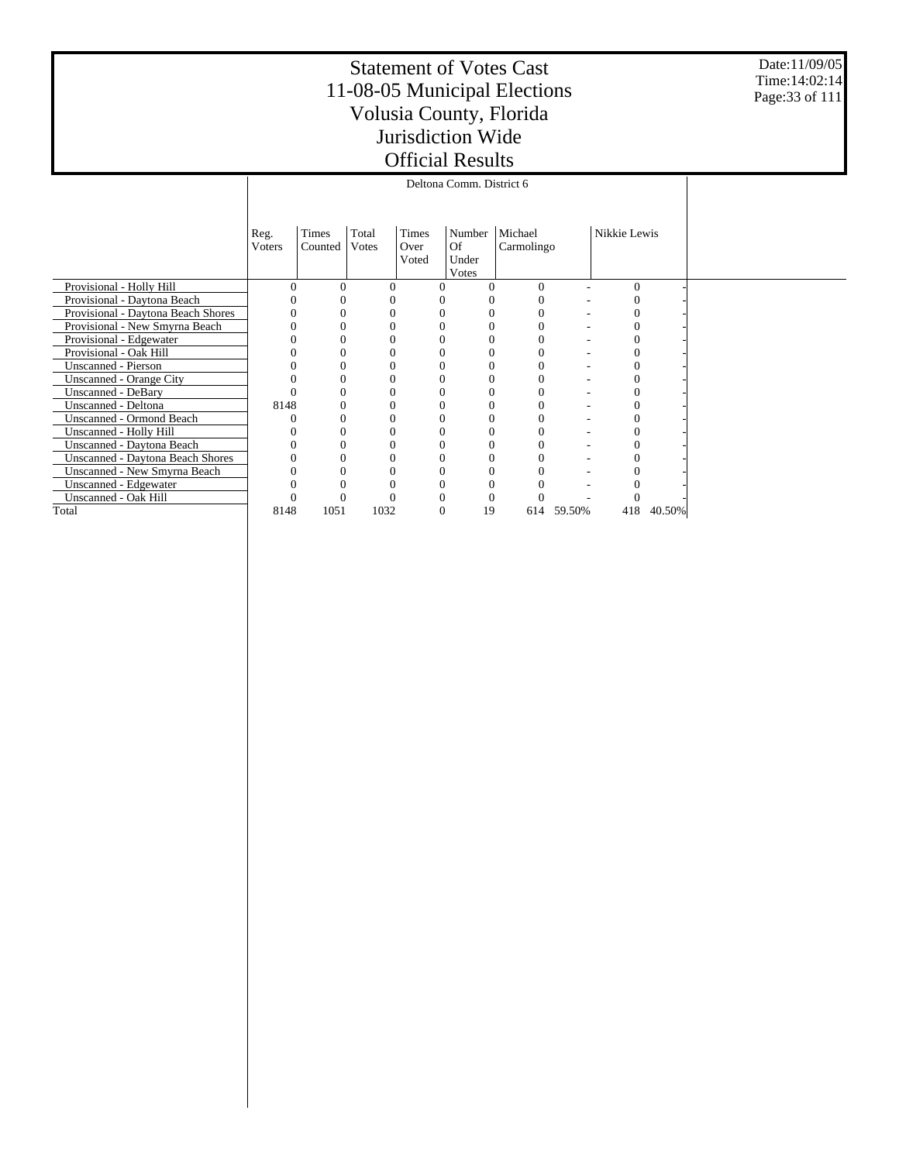Date:11/09/05 Time:14:02:14 Page:33 of 111

 $\overline{\phantom{a}}$ 

#### Statement of Votes Cast 11-08-05 Municipal Elections Volusia County, Florida Jurisdiction Wide Official Results Deltona Comm. District 6

|                                         | Reg.<br>Voters | Times<br>Counted | Total<br>Votes | Times<br>Over<br>Voted | Number  <br>Of<br>Under<br>Votes | Michael<br>Carmolingo |            | Nikkie Lewis |        |
|-----------------------------------------|----------------|------------------|----------------|------------------------|----------------------------------|-----------------------|------------|--------------|--------|
| Provisional - Holly Hill                |                |                  | 0              |                        |                                  | 0                     |            |              |        |
| Provisional - Daytona Beach             |                |                  |                |                        |                                  |                       |            |              |        |
| Provisional - Daytona Beach Shores      |                |                  |                |                        |                                  |                       |            |              |        |
| Provisional - New Smyrna Beach          |                |                  |                |                        |                                  |                       |            |              |        |
| Provisional - Edgewater                 |                |                  |                |                        |                                  |                       |            |              |        |
| Provisional - Oak Hill                  |                |                  |                |                        |                                  |                       |            |              |        |
| Unscanned - Pierson                     |                |                  |                |                        |                                  |                       |            |              |        |
| Unscanned - Orange City                 |                |                  |                |                        |                                  |                       |            |              |        |
| Unscanned - DeBary                      |                |                  |                |                        |                                  |                       |            |              |        |
| Unscanned - Deltona                     | 8148           |                  |                |                        |                                  |                       |            |              |        |
| Unscanned - Ormond Beach                |                |                  |                |                        |                                  |                       |            |              |        |
| Unscanned - Holly Hill                  |                |                  |                |                        |                                  |                       |            |              |        |
| Unscanned - Daytona Beach               |                |                  |                |                        |                                  |                       |            |              |        |
| <b>Unscanned - Daytona Beach Shores</b> |                |                  |                |                        |                                  |                       |            |              |        |
| Unscanned - New Smyrna Beach            |                |                  |                |                        |                                  |                       |            |              |        |
| Unscanned - Edgewater                   |                |                  |                |                        |                                  |                       |            |              |        |
| Unscanned - Oak Hill                    |                |                  |                |                        |                                  |                       |            |              |        |
| Total                                   | 8148           | 1051             | 1032           |                        | 19                               |                       | 614 59.50% | 418          | 40.50% |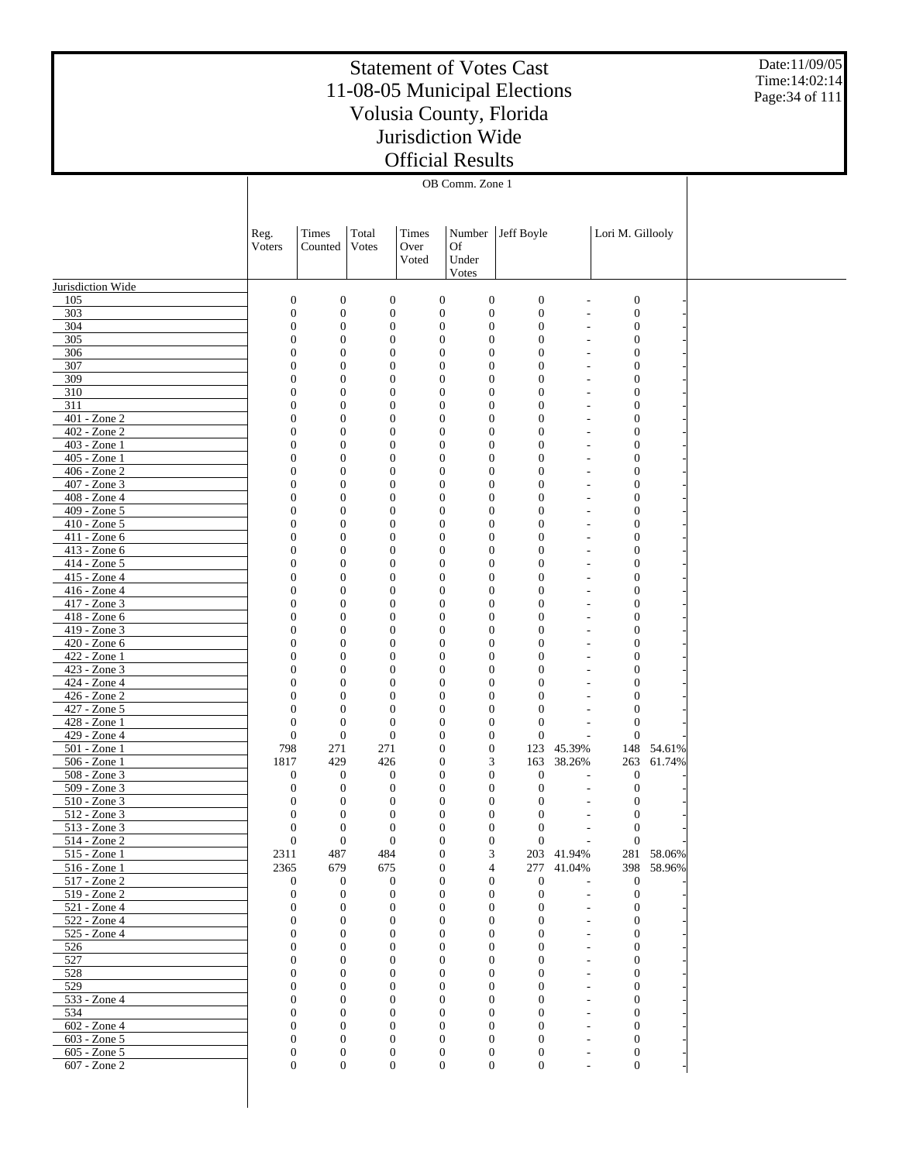Date:11/09/05 Time:14:02:14 Page:34 of 111

# Statement of Votes Cast 11-08-05 Municipal Elections Volusia County, Florida Jurisdiction Wide Official Results

|  | OB Comm. Zone 1 |  |  |
|--|-----------------|--|--|
|--|-----------------|--|--|

|                                   | Reg.<br>Voters                       | Times<br>Counted                     | Total<br>Votes                       | Times<br>Over<br>Voted | Number<br>Of<br>Under                                                        | Jeff Boyle                   |                | Lori M. Gillooly                     |            |  |
|-----------------------------------|--------------------------------------|--------------------------------------|--------------------------------------|------------------------|------------------------------------------------------------------------------|------------------------------|----------------|--------------------------------------|------------|--|
|                                   |                                      |                                      |                                      |                        | Votes                                                                        |                              |                |                                      |            |  |
| Jurisdiction Wide                 |                                      |                                      |                                      |                        |                                                                              |                              |                |                                      |            |  |
| 105                               | $\boldsymbol{0}$                     | $\boldsymbol{0}$                     | $\boldsymbol{0}$                     |                        | $\boldsymbol{0}$<br>$\boldsymbol{0}$                                         | $\boldsymbol{0}$             |                | $\boldsymbol{0}$                     |            |  |
| 303                               | $\boldsymbol{0}$                     | $\boldsymbol{0}$                     | $\boldsymbol{0}$                     |                        | $\boldsymbol{0}$<br>$\boldsymbol{0}$                                         | $\boldsymbol{0}$             | $\overline{a}$ | $\boldsymbol{0}$                     |            |  |
| 304                               | $\boldsymbol{0}$                     | $\boldsymbol{0}$                     | $\boldsymbol{0}$                     |                        | $\boldsymbol{0}$<br>$\boldsymbol{0}$                                         | $\mathbf{0}$                 | ٠              | $\boldsymbol{0}$                     |            |  |
| 305                               | $\mathbf{0}$                         | $\boldsymbol{0}$                     | $\boldsymbol{0}$                     |                        | $\boldsymbol{0}$<br>$\boldsymbol{0}$                                         | $\mathbf{0}$                 | ÷,             | $\boldsymbol{0}$                     |            |  |
| 306                               | $\boldsymbol{0}$                     | $\boldsymbol{0}$                     | $\boldsymbol{0}$                     |                        | $\boldsymbol{0}$<br>$\boldsymbol{0}$                                         | $\mathbf{0}$                 |                | $\boldsymbol{0}$                     |            |  |
| 307<br>309                        | $\boldsymbol{0}$                     | $\boldsymbol{0}$<br>$\boldsymbol{0}$ | $\boldsymbol{0}$<br>$\boldsymbol{0}$ |                        | $\boldsymbol{0}$<br>$\boldsymbol{0}$                                         | $\mathbf{0}$<br>$\mathbf{0}$ | ٠              | $\boldsymbol{0}$                     |            |  |
| 310                               | $\boldsymbol{0}$<br>$\boldsymbol{0}$ | $\boldsymbol{0}$                     | $\boldsymbol{0}$                     |                        | $\boldsymbol{0}$<br>$\boldsymbol{0}$<br>$\boldsymbol{0}$<br>$\boldsymbol{0}$ | $\mathbf{0}$                 |                | $\boldsymbol{0}$<br>$\boldsymbol{0}$ |            |  |
| 311                               | $\boldsymbol{0}$                     | $\boldsymbol{0}$                     | $\boldsymbol{0}$                     |                        | $\boldsymbol{0}$<br>$\boldsymbol{0}$                                         | $\mathbf{0}$                 | $\overline{a}$ | $\boldsymbol{0}$                     |            |  |
| 401 - Zone 2                      | $\boldsymbol{0}$                     | $\boldsymbol{0}$                     | $\boldsymbol{0}$                     |                        | $\boldsymbol{0}$<br>$\boldsymbol{0}$                                         | $\mathbf{0}$                 | ÷,             | $\boldsymbol{0}$                     |            |  |
| $\overline{402 - \text{Zone } 2}$ | $\boldsymbol{0}$                     | $\boldsymbol{0}$                     | $\boldsymbol{0}$                     |                        | $\boldsymbol{0}$<br>$\boldsymbol{0}$                                         | $\mathbf{0}$                 |                | $\boldsymbol{0}$                     |            |  |
| 403 - Zone 1                      | $\boldsymbol{0}$                     | $\boldsymbol{0}$                     | $\boldsymbol{0}$                     |                        | $\boldsymbol{0}$<br>$\boldsymbol{0}$                                         | $\mathbf{0}$                 |                | $\boldsymbol{0}$                     |            |  |
| 405 - Zone 1                      | $\boldsymbol{0}$                     | $\boldsymbol{0}$                     | $\boldsymbol{0}$                     |                        | $\boldsymbol{0}$<br>$\boldsymbol{0}$                                         | $\mathbf{0}$                 |                | $\boldsymbol{0}$                     |            |  |
| 406 - Zone 2                      | $\boldsymbol{0}$                     | $\boldsymbol{0}$                     | $\boldsymbol{0}$                     |                        | $\boldsymbol{0}$<br>$\boldsymbol{0}$                                         | $\mathbf{0}$                 | ÷,             | $\boldsymbol{0}$                     |            |  |
| 407 - Zone 3                      | $\boldsymbol{0}$                     | $\boldsymbol{0}$                     | $\boldsymbol{0}$                     |                        | $\boldsymbol{0}$<br>$\boldsymbol{0}$                                         | $\mathbf{0}$                 |                | $\boldsymbol{0}$                     |            |  |
| 408 - Zone 4                      | $\boldsymbol{0}$                     | $\boldsymbol{0}$                     | $\boldsymbol{0}$                     |                        | $\boldsymbol{0}$<br>$\boldsymbol{0}$                                         | $\mathbf{0}$                 |                | $\boldsymbol{0}$                     |            |  |
| 409 - Zone 5                      | $\boldsymbol{0}$                     | $\boldsymbol{0}$                     | $\boldsymbol{0}$                     |                        | $\boldsymbol{0}$<br>$\boldsymbol{0}$                                         | $\mathbf{0}$                 |                | $\boldsymbol{0}$                     |            |  |
| 410 - Zone 5                      | $\boldsymbol{0}$                     | $\boldsymbol{0}$                     | $\boldsymbol{0}$                     |                        | $\boldsymbol{0}$<br>$\boldsymbol{0}$                                         | $\mathbf{0}$                 | $\overline{a}$ | $\boldsymbol{0}$                     |            |  |
| 411 - Zone 6                      | $\boldsymbol{0}$                     | $\boldsymbol{0}$                     | $\boldsymbol{0}$                     |                        | $\boldsymbol{0}$<br>$\boldsymbol{0}$                                         | $\mathbf{0}$                 |                | $\boldsymbol{0}$                     |            |  |
| 413 - Zone 6                      | $\boldsymbol{0}$                     | $\boldsymbol{0}$                     | $\boldsymbol{0}$                     |                        | $\boldsymbol{0}$<br>$\boldsymbol{0}$                                         | $\mathbf{0}$                 | ÷,             | $\boldsymbol{0}$                     |            |  |
| 414 - Zone 5                      | $\boldsymbol{0}$                     | $\boldsymbol{0}$                     | $\boldsymbol{0}$                     |                        | $\boldsymbol{0}$<br>$\boldsymbol{0}$                                         | $\mathbf{0}$                 |                | $\boldsymbol{0}$                     |            |  |
| 415 - Zone 4                      | $\boldsymbol{0}$                     | $\boldsymbol{0}$                     | $\boldsymbol{0}$                     |                        | $\boldsymbol{0}$<br>$\boldsymbol{0}$                                         | $\mathbf{0}$                 | $\overline{a}$ | $\boldsymbol{0}$                     |            |  |
| 416 - Zone 4                      | $\boldsymbol{0}$                     | $\boldsymbol{0}$                     | $\boldsymbol{0}$                     |                        | $\boldsymbol{0}$<br>$\boldsymbol{0}$                                         | $\mathbf{0}$                 |                | $\boldsymbol{0}$                     |            |  |
| 417 - Zone 3                      | $\boldsymbol{0}$                     | $\boldsymbol{0}$                     | $\boldsymbol{0}$                     |                        | $\boldsymbol{0}$<br>$\boldsymbol{0}$                                         | $\mathbf{0}$                 | ÷,             | $\boldsymbol{0}$                     |            |  |
| 418 - Zone 6                      | $\boldsymbol{0}$                     | $\boldsymbol{0}$                     | $\boldsymbol{0}$                     |                        | $\boldsymbol{0}$<br>$\boldsymbol{0}$                                         | $\mathbf{0}$                 |                | $\boldsymbol{0}$                     |            |  |
| 419 - Zone 3                      | $\boldsymbol{0}$                     | $\boldsymbol{0}$                     | $\boldsymbol{0}$                     |                        | $\boldsymbol{0}$<br>$\boldsymbol{0}$                                         | $\mathbf{0}$                 |                | $\boldsymbol{0}$                     |            |  |
| 420 - Zone 6                      | $\boldsymbol{0}$                     | $\boldsymbol{0}$                     | $\boldsymbol{0}$                     |                        | $\boldsymbol{0}$<br>$\boldsymbol{0}$                                         | $\mathbf{0}$                 |                | $\boldsymbol{0}$                     |            |  |
| 422 - Zone 1                      | $\boldsymbol{0}$                     | $\boldsymbol{0}$                     | $\boldsymbol{0}$                     |                        | $\boldsymbol{0}$<br>$\boldsymbol{0}$                                         | $\mathbf{0}$                 | ٠              | $\boldsymbol{0}$                     |            |  |
| 423 - Zone 3                      | $\boldsymbol{0}$                     | $\boldsymbol{0}$                     | $\boldsymbol{0}$                     |                        | $\boldsymbol{0}$<br>$\boldsymbol{0}$                                         | $\mathbf{0}$                 |                | $\boldsymbol{0}$                     |            |  |
| 424 - Zone 4                      | $\mathbf{0}$                         | $\boldsymbol{0}$                     | $\boldsymbol{0}$                     |                        | $\boldsymbol{0}$<br>$\boldsymbol{0}$                                         | $\mathbf{0}$                 |                | $\boldsymbol{0}$                     |            |  |
| 426 - Zone 2                      | $\boldsymbol{0}$                     | $\boldsymbol{0}$                     | $\boldsymbol{0}$                     |                        | $\boldsymbol{0}$<br>$\boldsymbol{0}$                                         | $\mathbf{0}$                 |                | $\boldsymbol{0}$                     |            |  |
| 427 - Zone 5                      | $\boldsymbol{0}$                     | $\boldsymbol{0}$                     | $\boldsymbol{0}$                     |                        | $\boldsymbol{0}$<br>$\boldsymbol{0}$                                         | $\mathbf{0}$                 |                | $\boldsymbol{0}$                     |            |  |
| 428 - Zone 1                      | $\boldsymbol{0}$                     | $\boldsymbol{0}$                     | $\mathbf{0}$                         |                        | $\boldsymbol{0}$<br>$\boldsymbol{0}$                                         | $\boldsymbol{0}$             |                | $\boldsymbol{0}$                     |            |  |
| 429 - Zone 4                      | $\boldsymbol{0}$                     | $\mathbf{0}$                         | $\boldsymbol{0}$                     |                        | $\boldsymbol{0}$<br>$\mathbf{0}$                                             | $\mathbf{0}$                 |                | $\boldsymbol{0}$                     |            |  |
| 501 - Zone 1                      | 798                                  | 271                                  | 271                                  |                        | $\boldsymbol{0}$<br>$\boldsymbol{0}$                                         | 123                          | 45.39%         |                                      | 148 54.61% |  |
| 506 - Zone 1                      | 1817                                 | 429                                  | 426                                  |                        | $\boldsymbol{0}$                                                             | 3<br>163                     | 38.26%         |                                      | 263 61.74% |  |
| $508 - Z$ one 3                   | $\boldsymbol{0}$                     | $\boldsymbol{0}$                     | $\mathbf{0}$                         |                        | $\boldsymbol{0}$<br>$\boldsymbol{0}$                                         | $\mathbf{0}$                 |                | $\boldsymbol{0}$                     |            |  |
| 509 - Zone 3                      | $\mathbf{0}$                         | $\boldsymbol{0}$                     | $\mathbf{0}$                         |                        | $\boldsymbol{0}$<br>$\mathbf{0}$                                             | $\boldsymbol{0}$             | ÷,             | $\boldsymbol{0}$                     |            |  |
| 510 - Zone 3                      | $\mathbf{0}$                         | $\boldsymbol{0}$                     | $\mathbf{0}$                         |                        | $\boldsymbol{0}$<br>$\mathbf{0}$                                             | $\boldsymbol{0}$             |                | $\boldsymbol{0}$                     |            |  |
| 512 - Zone 3                      | $\theta$                             | $\boldsymbol{0}$                     | $\boldsymbol{0}$                     |                        | $\boldsymbol{0}$<br>$\mathbf{0}$                                             | $\mathbf{0}$                 |                | $\boldsymbol{0}$                     |            |  |
| 513 - Zone 3                      | $\boldsymbol{0}$                     | $\boldsymbol{0}$                     | $\mathbf{0}$                         |                        | $\boldsymbol{0}$<br>$\boldsymbol{0}$                                         | $\mathbf{0}$                 |                | $\boldsymbol{0}$                     |            |  |
| 514 - Zone 2                      | $\boldsymbol{0}$                     | $\boldsymbol{0}$                     | $\mathbf{0}$                         |                        | $\boldsymbol{0}$<br>$\boldsymbol{0}$<br>$\Omega$                             | $\mathbf{0}$                 | $\overline{a}$ | $\boldsymbol{0}$                     |            |  |
| 515 - Zone 1                      | 2311                                 | 487                                  | 484                                  |                        | 3                                                                            |                              | 203 41.94%     |                                      | 281 58.06% |  |
| 516 - Zone 1                      | 2365                                 | 679                                  | 675                                  |                        | $\boldsymbol{0}$<br>$\overline{4}$                                           |                              | 277 41.04%     |                                      | 398 58.96% |  |
| 517 - Zone 2                      | $\boldsymbol{0}$                     | $\boldsymbol{0}$                     | $\boldsymbol{0}$                     |                        | $\boldsymbol{0}$<br>$\mathbf{0}$                                             | $\theta$                     |                | $\mathbf{0}$                         |            |  |
| 519 - Zone 2                      | $\theta$                             | $\theta$                             | $\theta$                             |                        | $\overline{0}$<br>$\mathbf{0}$                                               | $\theta$<br>0                |                | $\mathbf{0}$                         |            |  |
| 521 - Zone 4                      | $\mathbf{0}$<br>$\Omega$             | $\overline{0}$<br>$\overline{0}$     | $\overline{0}$<br>$\Omega$           |                        | $\boldsymbol{0}$<br>$\mathbf{0}$<br>$\boldsymbol{0}$<br>0                    | 0                            |                | 0                                    |            |  |
| 522 - Zone 4<br>525 - Zone 4      | 0                                    | $\overline{0}$                       | $\overline{0}$                       |                        | $\boldsymbol{0}$<br>$\mathbf{0}$                                             | $\Omega$                     |                | 0<br>0                               |            |  |
| 526                               | 0                                    | $\overline{0}$                       | $\Omega$                             |                        | $\mathbf{0}$<br>$\Omega$                                                     | 0                            |                | 0                                    |            |  |
| 527                               | 0                                    | $\overline{0}$                       | $\overline{0}$                       |                        | $\boldsymbol{0}$<br>$\mathbf{0}$                                             | 0                            |                | 0                                    |            |  |
| 528                               | 0                                    | $\overline{0}$                       | $\Omega$                             |                        | $\boldsymbol{0}$<br>$^{(1)}$                                                 | $\Omega$                     |                | 0                                    |            |  |
| 529                               | 0                                    | $\overline{0}$                       | $\overline{0}$                       |                        | $\boldsymbol{0}$<br>$\mathbf{0}$                                             | $\Omega$                     |                | 0                                    |            |  |
| 533 - Zone 4                      | 0                                    | $\overline{0}$                       | $\Omega$                             |                        | $\mathbf{0}$<br>$\mathbf{0}$                                                 | $\Omega$                     |                | 0                                    |            |  |
| 534                               | 0                                    | $\overline{0}$                       | $\overline{0}$                       |                        | $\boldsymbol{0}$<br>$\mathbf{0}$                                             | 0                            |                | 0                                    |            |  |
| 602 - Zone 4                      | $\Omega$                             | $\overline{0}$                       | $\theta$                             |                        | $\mathbf{0}$<br>$\mathbf{0}$                                                 | 0                            |                | $\boldsymbol{0}$                     |            |  |
| 603 - Zone 5                      | $\Omega$                             | $\overline{0}$                       | $\theta$                             |                        | $\overline{0}$<br>$\boldsymbol{0}$                                           | $\overline{0}$               |                | $\mathbf{0}$                         |            |  |
|                                   |                                      | $\overline{0}$                       | $\Omega$                             |                        | $\mathbf{0}$<br>$\mathbf{0}$                                                 | 0                            |                | $\mathbf{0}$                         |            |  |
|                                   | 0                                    |                                      |                                      |                        |                                                                              |                              |                |                                      |            |  |
| 605 - Zone 5<br>607 - Zone 2      | $\Omega$                             | $\boldsymbol{0}$                     | $\boldsymbol{0}$                     |                        | $\mathbf{0}$<br>$\boldsymbol{0}$                                             | $\boldsymbol{0}$             |                | $\boldsymbol{0}$                     |            |  |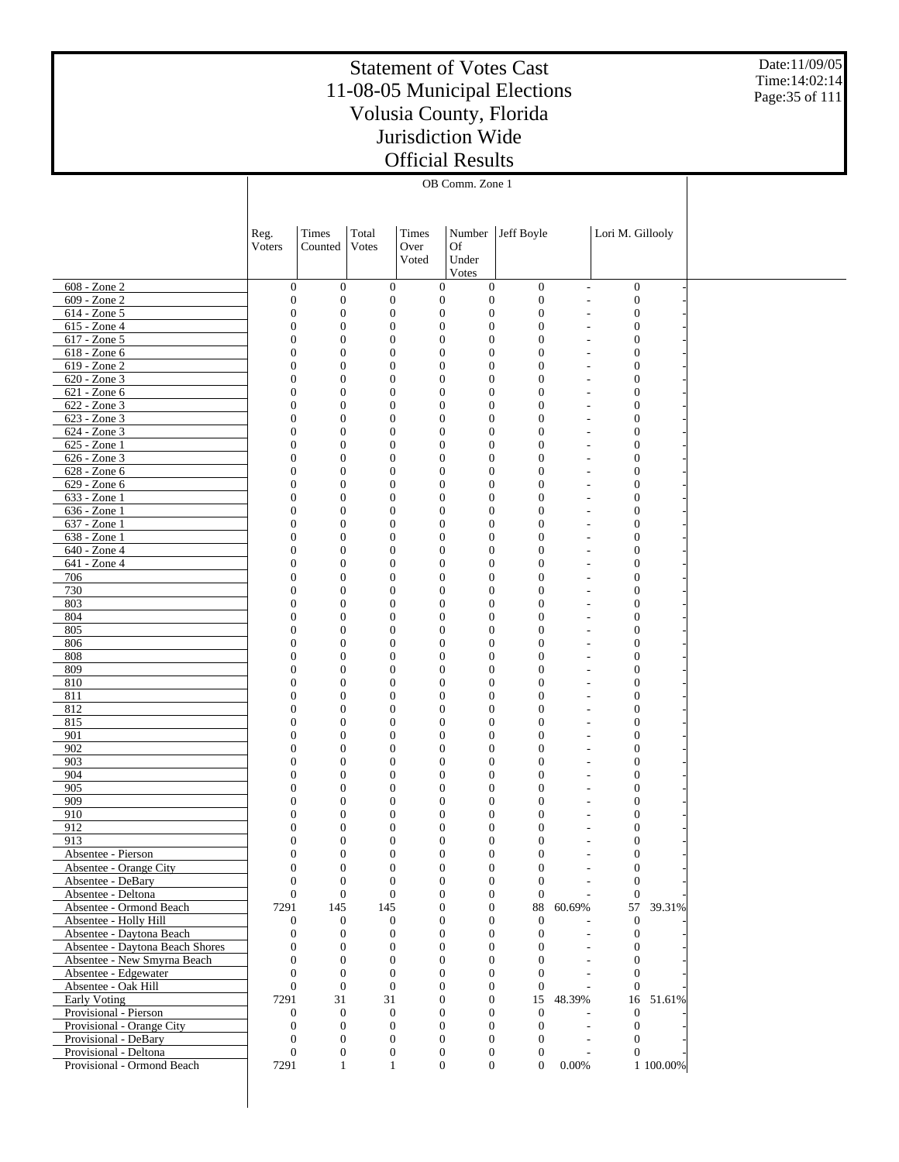Date:11/09/05 Time:14:02:14 Page:35 of 111

| OB Comm. Zone 1 |  |
|-----------------|--|
|                 |  |

|                                                   | Reg.<br>Voters   | Times<br>Counted                                                       | Total<br>Votes | Times<br>Over<br>Voted               | <b>Of</b><br>Under<br>Votes                                                  | Number Jeff Boyle                    |                          | Lori M. Gillooly                     |           |  |
|---------------------------------------------------|------------------|------------------------------------------------------------------------|----------------|--------------------------------------|------------------------------------------------------------------------------|--------------------------------------|--------------------------|--------------------------------------|-----------|--|
| 608 - Zone 2                                      |                  | $\mathbf{0}$<br>$\boldsymbol{0}$                                       |                | $\boldsymbol{0}$                     | $\mathbf{0}$<br>$\boldsymbol{0}$                                             | $\boldsymbol{0}$                     | $\overline{\phantom{a}}$ | $\boldsymbol{0}$                     |           |  |
| 609 - Zone 2                                      | $\boldsymbol{0}$ | $\boldsymbol{0}$                                                       |                | $\boldsymbol{0}$                     | $\boldsymbol{0}$<br>$\boldsymbol{0}$                                         | $\boldsymbol{0}$                     | $\overline{\phantom{a}}$ | $\boldsymbol{0}$                     |           |  |
| $614 - Zone$ 5                                    | $\boldsymbol{0}$ | $\boldsymbol{0}$                                                       |                | $\boldsymbol{0}$                     | $\boldsymbol{0}$<br>$\boldsymbol{0}$                                         | $\boldsymbol{0}$                     |                          | $\boldsymbol{0}$                     |           |  |
| 615 - Zone 4<br>617 - Zone 5                      | $\theta$         | $\boldsymbol{0}$<br>$\boldsymbol{0}$<br>$\mathbf{0}$                   |                | $\boldsymbol{0}$<br>$\boldsymbol{0}$ | $\boldsymbol{0}$<br>$\boldsymbol{0}$<br>$\boldsymbol{0}$<br>$\boldsymbol{0}$ | $\mathbf{0}$<br>$\boldsymbol{0}$     | $\overline{\phantom{a}}$ | $\boldsymbol{0}$<br>$\boldsymbol{0}$ |           |  |
| 618 - Zone 6                                      |                  | $\boldsymbol{0}$<br>$\mathbf{0}$                                       |                | $\boldsymbol{0}$                     | $\boldsymbol{0}$<br>$\boldsymbol{0}$                                         | $\boldsymbol{0}$                     |                          | $\boldsymbol{0}$                     |           |  |
| 619 - Zone 2                                      |                  | $\boldsymbol{0}$<br>$\mathbf{0}$                                       |                | $\boldsymbol{0}$                     | $\boldsymbol{0}$<br>$\boldsymbol{0}$                                         | $\boldsymbol{0}$                     | $\overline{\phantom{a}}$ | $\boldsymbol{0}$                     |           |  |
| 620 - Zone 3                                      |                  | $\boldsymbol{0}$<br>$\mathbf{0}$                                       |                | $\boldsymbol{0}$                     | $\boldsymbol{0}$<br>$\boldsymbol{0}$                                         | $\boldsymbol{0}$                     |                          | $\boldsymbol{0}$                     |           |  |
| 621 - Zone 6                                      |                  | $\boldsymbol{0}$<br>$\mathbf{0}$                                       |                | $\boldsymbol{0}$                     | $\boldsymbol{0}$<br>$\boldsymbol{0}$                                         | $\boldsymbol{0}$                     | $\overline{\phantom{a}}$ | $\boldsymbol{0}$                     |           |  |
| 622 - Zone 3                                      |                  | $\boldsymbol{0}$<br>$\mathbf{0}$                                       |                | $\boldsymbol{0}$                     | $\boldsymbol{0}$<br>$\boldsymbol{0}$                                         | $\boldsymbol{0}$                     |                          | $\boldsymbol{0}$                     |           |  |
| 623 - Zone 3                                      |                  | $\boldsymbol{0}$<br>$\mathbf{0}$                                       |                | $\boldsymbol{0}$                     | $\boldsymbol{0}$<br>$\boldsymbol{0}$                                         | $\boldsymbol{0}$                     |                          | $\boldsymbol{0}$                     |           |  |
| 624 - Zone 3                                      |                  | $\boldsymbol{0}$<br>$\mathbf{0}$                                       |                | $\boldsymbol{0}$                     | $\boldsymbol{0}$<br>$\boldsymbol{0}$                                         | $\boldsymbol{0}$                     |                          | $\boldsymbol{0}$                     |           |  |
| 625 - Zone 1                                      |                  | $\boldsymbol{0}$<br>$\mathbf{0}$                                       |                | $\boldsymbol{0}$                     | $\boldsymbol{0}$<br>$\boldsymbol{0}$                                         | $\boldsymbol{0}$                     |                          | $\boldsymbol{0}$                     |           |  |
| 626 - Zone 3                                      |                  | $\boldsymbol{0}$<br>$\mathbf{0}$                                       |                | $\boldsymbol{0}$                     | $\boldsymbol{0}$<br>$\boldsymbol{0}$                                         | $\boldsymbol{0}$                     |                          | $\boldsymbol{0}$                     |           |  |
| 628 - Zone 6                                      |                  | $\boldsymbol{0}$<br>$\mathbf{0}$                                       |                | $\boldsymbol{0}$                     | $\boldsymbol{0}$<br>$\boldsymbol{0}$                                         | $\boldsymbol{0}$                     |                          | $\boldsymbol{0}$                     |           |  |
| 629 - Zone 6                                      |                  | $\boldsymbol{0}$<br>$\mathbf{0}$                                       |                | $\boldsymbol{0}$                     | $\boldsymbol{0}$<br>$\boldsymbol{0}$                                         | $\boldsymbol{0}$                     |                          | $\boldsymbol{0}$                     |           |  |
| 633 - Zone 1                                      |                  | $\boldsymbol{0}$<br>$\mathbf{0}$                                       |                | $\boldsymbol{0}$                     | $\boldsymbol{0}$<br>$\boldsymbol{0}$                                         | $\boldsymbol{0}$                     |                          | $\boldsymbol{0}$                     |           |  |
| 636 - Zone 1                                      |                  | $\boldsymbol{0}$<br>$\mathbf{0}$                                       |                | $\boldsymbol{0}$                     | $\boldsymbol{0}$<br>$\boldsymbol{0}$                                         | $\boldsymbol{0}$                     |                          | $\boldsymbol{0}$                     |           |  |
| 637 - Zone 1<br>638 - Zone 1                      |                  | $\boldsymbol{0}$<br>$\mathbf{0}$<br>$\boldsymbol{0}$<br>$\mathbf{0}$   |                | $\boldsymbol{0}$<br>$\boldsymbol{0}$ | $\mathbf{0}$<br>$\boldsymbol{0}$<br>$\boldsymbol{0}$<br>$\boldsymbol{0}$     | $\boldsymbol{0}$<br>$\boldsymbol{0}$ | $\overline{\phantom{a}}$ | $\boldsymbol{0}$<br>$\boldsymbol{0}$ |           |  |
| 640 - Zone 4                                      |                  | $\boldsymbol{0}$<br>$\mathbf{0}$                                       |                | $\boldsymbol{0}$                     | $\mathbf{0}$<br>$\boldsymbol{0}$                                             | $\boldsymbol{0}$                     | $\overline{\phantom{a}}$ | $\boldsymbol{0}$                     |           |  |
| 641 - Zone 4                                      |                  | $\boldsymbol{0}$<br>$\mathbf{0}$                                       |                | $\boldsymbol{0}$                     | $\boldsymbol{0}$<br>$\boldsymbol{0}$                                         | $\boldsymbol{0}$                     |                          | $\boldsymbol{0}$                     |           |  |
| 706                                               |                  | $\boldsymbol{0}$<br>$\mathbf{0}$                                       |                | $\boldsymbol{0}$                     | $\mathbf{0}$<br>$\boldsymbol{0}$                                             | $\boldsymbol{0}$                     | $\overline{\phantom{a}}$ | $\boldsymbol{0}$                     |           |  |
| 730                                               |                  | $\boldsymbol{0}$<br>$\mathbf{0}$                                       |                | $\boldsymbol{0}$                     | $\boldsymbol{0}$<br>$\boldsymbol{0}$                                         | $\boldsymbol{0}$                     |                          | $\boldsymbol{0}$                     |           |  |
| 803                                               |                  | $\boldsymbol{0}$<br>$\mathbf{0}$                                       |                | $\boldsymbol{0}$                     | $\boldsymbol{0}$<br>$\boldsymbol{0}$                                         | $\boldsymbol{0}$                     | $\overline{\phantom{a}}$ | $\boldsymbol{0}$                     |           |  |
| 804                                               |                  | $\boldsymbol{0}$<br>$\mathbf{0}$                                       |                | $\boldsymbol{0}$                     | $\boldsymbol{0}$<br>$\boldsymbol{0}$                                         | $\boldsymbol{0}$                     |                          | $\boldsymbol{0}$                     |           |  |
| 805                                               |                  | $\boldsymbol{0}$<br>$\mathbf{0}$                                       |                | $\boldsymbol{0}$                     | $\boldsymbol{0}$<br>$\boldsymbol{0}$                                         | $\boldsymbol{0}$                     |                          | $\boldsymbol{0}$                     |           |  |
| 806                                               |                  | $\boldsymbol{0}$<br>$\mathbf{0}$                                       |                | $\boldsymbol{0}$                     | $\boldsymbol{0}$<br>$\boldsymbol{0}$                                         | $\boldsymbol{0}$                     |                          | $\boldsymbol{0}$                     |           |  |
| 808                                               |                  | $\boldsymbol{0}$<br>$\mathbf{0}$                                       |                | $\boldsymbol{0}$                     | $\boldsymbol{0}$<br>$\boldsymbol{0}$                                         | $\boldsymbol{0}$                     |                          | $\boldsymbol{0}$                     |           |  |
| 809                                               |                  | $\boldsymbol{0}$<br>$\mathbf{0}$                                       |                | $\boldsymbol{0}$                     | $\boldsymbol{0}$<br>$\boldsymbol{0}$                                         | $\boldsymbol{0}$                     |                          | $\boldsymbol{0}$                     |           |  |
| 810                                               |                  | $\boldsymbol{0}$<br>$\mathbf{0}$                                       |                | $\boldsymbol{0}$                     | $\boldsymbol{0}$<br>$\boldsymbol{0}$                                         | $\boldsymbol{0}$                     |                          | $\boldsymbol{0}$                     |           |  |
| 811                                               |                  | $\boldsymbol{0}$<br>$\mathbf{0}$                                       |                | $\boldsymbol{0}$                     | $\boldsymbol{0}$<br>$\boldsymbol{0}$                                         | $\boldsymbol{0}$                     |                          | $\boldsymbol{0}$                     |           |  |
| 812                                               |                  | $\boldsymbol{0}$<br>$\mathbf{0}$                                       |                | $\boldsymbol{0}$                     | $\boldsymbol{0}$<br>$\boldsymbol{0}$                                         | $\boldsymbol{0}$                     |                          | $\boldsymbol{0}$                     |           |  |
| 815<br>901                                        |                  | $\boldsymbol{0}$<br>$\mathbf{0}$<br>$\boldsymbol{0}$<br>$\mathbf{0}$   |                | $\boldsymbol{0}$<br>$\boldsymbol{0}$ | $\boldsymbol{0}$<br>$\boldsymbol{0}$<br>$\boldsymbol{0}$<br>$\boldsymbol{0}$ | $\boldsymbol{0}$<br>$\boldsymbol{0}$ | $\overline{\phantom{a}}$ | $\boldsymbol{0}$<br>$\boldsymbol{0}$ |           |  |
| 902                                               |                  | $\boldsymbol{0}$<br>$\mathbf{0}$                                       |                | $\boldsymbol{0}$                     | $\boldsymbol{0}$<br>$\boldsymbol{0}$                                         | $\boldsymbol{0}$                     |                          | $\boldsymbol{0}$                     |           |  |
| 903                                               |                  | $\boldsymbol{0}$<br>$\mathbf{0}$                                       |                | $\boldsymbol{0}$                     | $\boldsymbol{0}$<br>$\boldsymbol{0}$                                         | $\boldsymbol{0}$                     | $\overline{\phantom{a}}$ | $\boldsymbol{0}$                     |           |  |
| 904                                               |                  | $\boldsymbol{0}$<br>$\mathbf{0}$                                       |                | $\boldsymbol{0}$                     | $\boldsymbol{0}$<br>$\boldsymbol{0}$                                         | $\boldsymbol{0}$                     |                          | $\boldsymbol{0}$                     |           |  |
| 905                                               |                  | $\boldsymbol{0}$<br>$\mathbf{0}$                                       |                | $\boldsymbol{0}$                     | $\boldsymbol{0}$<br>$\boldsymbol{0}$                                         | $\boldsymbol{0}$                     | $\overline{\phantom{a}}$ | $\boldsymbol{0}$                     |           |  |
| 909                                               |                  | $\boldsymbol{0}$<br>$\mathbf{0}$                                       |                | $\boldsymbol{0}$                     | $\boldsymbol{0}$<br>$\boldsymbol{0}$                                         | $\boldsymbol{0}$                     |                          | $\boldsymbol{0}$                     |           |  |
| 910                                               |                  | $\boldsymbol{0}$<br>$\mathbf{0}$                                       |                | $\boldsymbol{0}$                     | $\boldsymbol{0}$<br>$\boldsymbol{0}$                                         | $\boldsymbol{0}$                     |                          | $\boldsymbol{0}$                     |           |  |
| 912                                               |                  | $\boldsymbol{0}$<br>$\mathbf{0}$                                       |                | $\boldsymbol{0}$                     | $\boldsymbol{0}$<br>$\boldsymbol{0}$                                         | $\boldsymbol{0}$                     |                          | $\boldsymbol{0}$                     |           |  |
| 913                                               |                  | $\boldsymbol{0}$<br>$\mathbf{0}$                                       |                | $\boldsymbol{0}$                     | $\boldsymbol{0}$<br>$\boldsymbol{0}$                                         | $\boldsymbol{0}$                     |                          | $\boldsymbol{0}$                     |           |  |
| Absentee - Pierson                                |                  | $\Omega$<br>$\theta$                                                   |                | $\overline{0}$                       | $\mathbf{0}$<br>$\mathbf{0}$                                                 | $\overline{0}$                       |                          | $\mathbf{0}$                         |           |  |
| Absentee - Orange City                            |                  | $\boldsymbol{0}$<br>$\boldsymbol{0}$                                   |                | $\boldsymbol{0}$                     | $\boldsymbol{0}$<br>$\boldsymbol{0}$                                         | $\boldsymbol{0}$                     |                          | $\boldsymbol{0}$                     |           |  |
| Absentee - DeBary                                 |                  | $\mathbf{0}$<br>$\boldsymbol{0}$                                       |                | $\boldsymbol{0}$                     | $\boldsymbol{0}$<br>$\boldsymbol{0}$                                         | $\boldsymbol{0}$                     |                          | $\boldsymbol{0}$                     |           |  |
| Absentee - Deltona                                |                  | $\boldsymbol{0}$<br>$\mathbf{0}$                                       |                | $\boldsymbol{0}$                     | $\boldsymbol{0}$<br>$\boldsymbol{0}$                                         | $\boldsymbol{0}$                     |                          | $\boldsymbol{0}$                     |           |  |
| Absentee - Ormond Beach                           | 7291             | 145                                                                    | 145            |                                      | $\mathbf{0}$<br>$\mathbf{0}$                                                 | $88\,$                               | 60.69%                   | 57                                   | 39.31%    |  |
| Absentee - Holly Hill<br>Absentee - Daytona Beach |                  | $\boldsymbol{0}$<br>$\overline{0}$<br>$\boldsymbol{0}$<br>$\mathbf{0}$ |                | 0<br>$\overline{0}$                  | $\boldsymbol{0}$<br>$\boldsymbol{0}$<br>$\boldsymbol{0}$<br>$\mathbf{0}$     | $\mathbf{0}$<br>$\boldsymbol{0}$     |                          | $\boldsymbol{0}$<br>$\mathbf{0}$     |           |  |
| Absentee - Daytona Beach Shores                   | $\theta$         | $\overline{0}$                                                         |                | $\mathbf{0}$                         | $\mathbf{0}$<br>$\boldsymbol{0}$                                             | $\overline{0}$                       |                          | $\boldsymbol{0}$                     |           |  |
| Absentee - New Smyrna Beach                       |                  | $\boldsymbol{0}$<br>$\mathbf{0}$                                       |                | $\boldsymbol{0}$                     | $\boldsymbol{0}$<br>$\mathbf{0}$                                             | $\mathbf{0}$                         |                          | $\boldsymbol{0}$                     |           |  |
| Absentee - Edgewater                              | $\theta$         | $\mathbf{0}$                                                           |                | $\boldsymbol{0}$                     | $\mathbf{0}$<br>$\boldsymbol{0}$                                             | $\overline{0}$                       |                          | $\mathbf{0}$                         |           |  |
| Absentee - Oak Hill                               |                  | $\mathbf{0}$<br>$\mathbf{0}$                                           |                | $\overline{0}$                       | $\boldsymbol{0}$<br>$\mathbf{0}$                                             | $\boldsymbol{0}$                     |                          | $\theta$                             |           |  |
| Early Voting                                      | 7291             | 31                                                                     | 31             |                                      | $\mathbf{0}$<br>$\boldsymbol{0}$                                             | 15                                   | 48.39%                   | 16                                   | 51.61%    |  |
| Provisional - Pierson                             |                  | $\boldsymbol{0}$<br>$\boldsymbol{0}$                                   |                | $\overline{0}$                       | $\mathbf{0}$<br>$\boldsymbol{0}$                                             | $\boldsymbol{0}$                     |                          | $\mathbf{0}$                         |           |  |
| Provisional - Orange City                         |                  | $\theta$<br>$\mathbf{0}$                                               |                | $\mathbf{0}$                         | $\mathbf{0}$<br>$\boldsymbol{0}$                                             | $\theta$                             |                          | $\boldsymbol{0}$                     |           |  |
| Provisional - DeBary                              |                  | $\boldsymbol{0}$<br>$\mathbf{0}$                                       |                | $\overline{0}$                       | $\boldsymbol{0}$<br>$\boldsymbol{0}$                                         | $\theta$                             |                          | $\mathbf{0}$                         |           |  |
| Provisional - Deltona                             |                  | $\boldsymbol{0}$<br>$\mathbf{0}$                                       |                | $\boldsymbol{0}$                     | $\boldsymbol{0}$<br>$\mathbf{0}$                                             | $\boldsymbol{0}$                     |                          | $\mathbf{0}$                         |           |  |
| Provisional - Ormond Beach                        | 7291             | $\mathbf{1}$                                                           |                | $\mathbf{1}$                         | $\theta$<br>$\mathbf{0}$                                                     | $\overline{0}$                       | 0.00%                    |                                      | 1 100.00% |  |
|                                                   |                  |                                                                        |                |                                      |                                                                              |                                      |                          |                                      |           |  |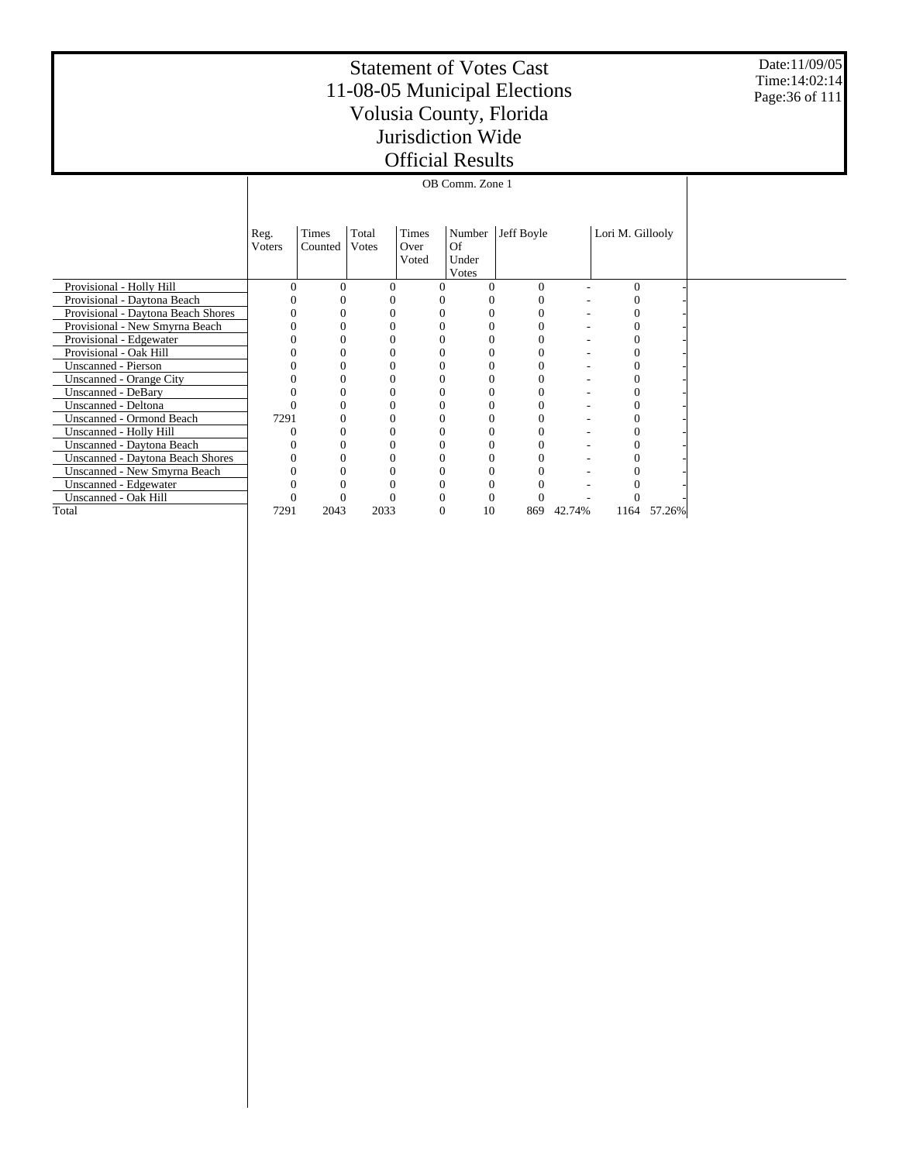Statement of Votes Cast 11-08-05 Municipal Elections Volusia County, Florida Jurisdiction Wide Official Results

Date:11/09/05 Time:14:02:14 Page:36 of 111

#### OB Comm. Zone 1

|                                         | Reg.     | Times   | Total | Times |           |          | Number Jeff Boyle |        | Lori M. Gillooly |        |
|-----------------------------------------|----------|---------|-------|-------|-----------|----------|-------------------|--------|------------------|--------|
|                                         | Voters   | Counted | Votes | Over  | <b>Of</b> |          |                   |        |                  |        |
|                                         |          |         |       | Voted | Under     |          |                   |        |                  |        |
|                                         |          |         |       |       | Votes     |          |                   |        |                  |        |
| Provisional - Holly Hill                | $\Omega$ |         |       |       |           | $\Omega$ | $\Omega$          | ۰      | $\Omega$         |        |
| Provisional - Daytona Beach             |          |         |       |       |           |          |                   |        |                  |        |
| Provisional - Daytona Beach Shores      |          |         |       |       |           |          |                   |        |                  |        |
| Provisional - New Smyrna Beach          |          |         |       |       |           |          |                   |        |                  |        |
| Provisional - Edgewater                 |          |         |       |       |           |          |                   |        |                  |        |
| Provisional - Oak Hill                  |          |         |       |       |           |          |                   |        |                  |        |
| Unscanned - Pierson                     |          |         |       |       |           |          |                   |        |                  |        |
| Unscanned - Orange City                 |          |         |       |       |           |          |                   |        |                  |        |
| Unscanned - DeBary                      |          |         |       |       |           |          |                   |        |                  |        |
| Unscanned - Deltona                     |          |         |       |       |           |          |                   |        |                  |        |
| Unscanned - Ormond Beach                | 7291     |         |       |       |           |          |                   |        |                  |        |
| Unscanned - Holly Hill                  |          |         |       |       |           |          |                   |        |                  |        |
| Unscanned - Daytona Beach               |          |         |       |       |           |          |                   |        |                  |        |
| <b>Unscanned - Daytona Beach Shores</b> |          |         |       |       |           |          |                   |        |                  |        |
| Unscanned - New Smyrna Beach            |          |         |       |       |           |          |                   |        |                  |        |
| Unscanned - Edgewater                   |          |         |       |       |           |          |                   |        |                  |        |
| Unscanned - Oak Hill                    |          |         |       |       |           |          |                   |        |                  |        |
| Total                                   | 7291     | 2043    | 2033  |       | 0         | 10       | 869               | 42.74% | 1164             | 57.26% |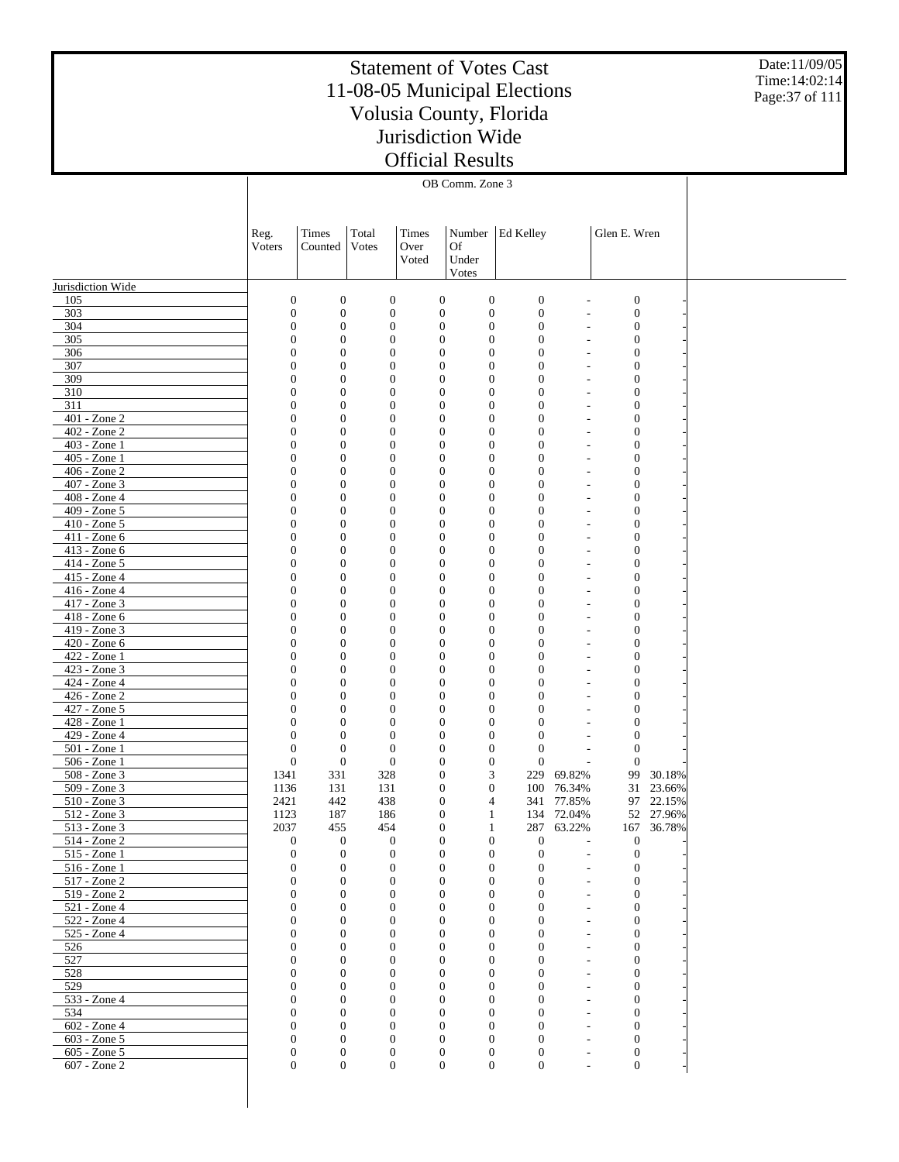Date:11/09/05 Time:14:02:14 Page:37 of 111

# Statement of Votes Cast 11-08-05 Municipal Elections Volusia County, Florida Jurisdiction Wide Official Results

 $\overline{\phantom{a}}$ 

 $\overline{\phantom{a}}$ 

| OB Comm. Zone 3 |  |  |
|-----------------|--|--|
|-----------------|--|--|

|                              | Reg.<br>Voters                       | Times<br>Counted   Votes             | Total      | Times<br>Over<br>Voted               | <b>Of</b><br>Under                   |                                      | Number   Ed Kelley                   |                          | Glen E. Wren                         |                         |
|------------------------------|--------------------------------------|--------------------------------------|------------|--------------------------------------|--------------------------------------|--------------------------------------|--------------------------------------|--------------------------|--------------------------------------|-------------------------|
|                              |                                      |                                      |            |                                      | Votes                                |                                      |                                      |                          |                                      |                         |
| Jurisdiction Wide<br>105     | $\boldsymbol{0}$                     | $\boldsymbol{0}$                     |            | $\boldsymbol{0}$                     | $\boldsymbol{0}$                     |                                      | $\boldsymbol{0}$                     |                          | $\boldsymbol{0}$                     |                         |
| 303                          | $\boldsymbol{0}$                     | $\boldsymbol{0}$                     |            | $\boldsymbol{0}$                     | $\boldsymbol{0}$                     | $\boldsymbol{0}$<br>$\boldsymbol{0}$ | $\boldsymbol{0}$                     |                          | $\boldsymbol{0}$                     |                         |
| 304                          | $\boldsymbol{0}$                     | $\boldsymbol{0}$                     |            | $\boldsymbol{0}$                     | $\boldsymbol{0}$                     | $\boldsymbol{0}$                     | $\boldsymbol{0}$                     |                          | $\boldsymbol{0}$                     |                         |
| 305                          | $\boldsymbol{0}$                     | $\boldsymbol{0}$                     |            | $\boldsymbol{0}$                     | $\boldsymbol{0}$                     | $\boldsymbol{0}$                     | $\boldsymbol{0}$                     |                          | $\boldsymbol{0}$                     |                         |
| 306                          | $\boldsymbol{0}$                     | $\boldsymbol{0}$                     |            | $\boldsymbol{0}$                     | $\boldsymbol{0}$                     | $\boldsymbol{0}$                     | $\boldsymbol{0}$                     |                          | $\boldsymbol{0}$                     |                         |
| 307                          | $\boldsymbol{0}$                     | $\boldsymbol{0}$                     |            | $\boldsymbol{0}$                     | $\boldsymbol{0}$                     | $\boldsymbol{0}$                     | $\boldsymbol{0}$                     |                          | $\boldsymbol{0}$                     |                         |
| 309                          | $\boldsymbol{0}$                     | $\boldsymbol{0}$                     |            | $\boldsymbol{0}$                     | $\boldsymbol{0}$                     | $\boldsymbol{0}$                     | $\boldsymbol{0}$                     |                          | $\boldsymbol{0}$                     |                         |
| 310                          | $\boldsymbol{0}$                     | $\boldsymbol{0}$                     |            | $\boldsymbol{0}$                     | $\boldsymbol{0}$                     | $\boldsymbol{0}$                     | $\boldsymbol{0}$                     |                          | $\boldsymbol{0}$                     |                         |
| 311                          | $\boldsymbol{0}$                     | $\boldsymbol{0}$                     |            | $\boldsymbol{0}$                     | $\boldsymbol{0}$                     | $\boldsymbol{0}$                     | $\boldsymbol{0}$                     |                          | $\boldsymbol{0}$                     |                         |
| 401 - Zone 2                 | $\boldsymbol{0}$                     | $\boldsymbol{0}$                     |            | $\boldsymbol{0}$                     | $\boldsymbol{0}$                     | $\boldsymbol{0}$                     | $\boldsymbol{0}$                     |                          | $\boldsymbol{0}$                     |                         |
| 402 - Zone 2<br>403 - Zone 1 | $\boldsymbol{0}$<br>$\boldsymbol{0}$ | $\boldsymbol{0}$<br>$\boldsymbol{0}$ |            | $\boldsymbol{0}$<br>$\boldsymbol{0}$ | $\boldsymbol{0}$<br>$\boldsymbol{0}$ | $\boldsymbol{0}$<br>$\boldsymbol{0}$ | $\boldsymbol{0}$<br>$\boldsymbol{0}$ |                          | $\boldsymbol{0}$<br>$\boldsymbol{0}$ |                         |
| 405 - Zone 1                 | $\boldsymbol{0}$                     | $\boldsymbol{0}$                     |            | $\boldsymbol{0}$                     | $\boldsymbol{0}$                     | $\boldsymbol{0}$                     | $\boldsymbol{0}$                     |                          | $\boldsymbol{0}$                     |                         |
| 406 - Zone 2                 | $\boldsymbol{0}$                     | $\boldsymbol{0}$                     |            | $\boldsymbol{0}$                     | $\boldsymbol{0}$                     | $\boldsymbol{0}$                     | $\boldsymbol{0}$                     |                          | $\boldsymbol{0}$                     |                         |
| 407 - Zone 3                 | $\boldsymbol{0}$                     | $\boldsymbol{0}$                     |            | $\boldsymbol{0}$                     | $\boldsymbol{0}$                     | $\boldsymbol{0}$                     | $\boldsymbol{0}$                     |                          | $\boldsymbol{0}$                     |                         |
| 408 - Zone 4                 | $\boldsymbol{0}$                     | $\boldsymbol{0}$                     |            | $\boldsymbol{0}$                     | $\boldsymbol{0}$                     | $\boldsymbol{0}$                     | $\boldsymbol{0}$                     |                          | $\boldsymbol{0}$                     |                         |
| 409 - Zone 5                 | $\boldsymbol{0}$                     | $\boldsymbol{0}$                     |            | $\boldsymbol{0}$                     | $\boldsymbol{0}$                     | $\boldsymbol{0}$                     | $\boldsymbol{0}$                     |                          | $\boldsymbol{0}$                     |                         |
| 410 - Zone 5                 | $\boldsymbol{0}$                     | $\boldsymbol{0}$                     |            | $\boldsymbol{0}$                     | $\boldsymbol{0}$                     | $\boldsymbol{0}$                     | $\boldsymbol{0}$                     |                          | $\boldsymbol{0}$                     |                         |
| 411 - Zone 6                 | $\boldsymbol{0}$                     | $\boldsymbol{0}$                     |            | $\boldsymbol{0}$                     | $\boldsymbol{0}$                     | $\boldsymbol{0}$                     | $\boldsymbol{0}$                     |                          | $\boldsymbol{0}$                     |                         |
| 413 - Zone 6<br>414 - Zone 5 | $\boldsymbol{0}$                     | $\boldsymbol{0}$<br>$\boldsymbol{0}$ |            | $\boldsymbol{0}$<br>$\boldsymbol{0}$ | $\boldsymbol{0}$<br>$\boldsymbol{0}$ | $\boldsymbol{0}$                     | $\boldsymbol{0}$<br>$\boldsymbol{0}$ |                          | $\boldsymbol{0}$                     |                         |
| 415 - Zone 4                 | $\boldsymbol{0}$<br>$\boldsymbol{0}$ | $\boldsymbol{0}$                     |            | $\boldsymbol{0}$                     | $\boldsymbol{0}$                     | $\boldsymbol{0}$<br>$\boldsymbol{0}$ | $\boldsymbol{0}$                     |                          | $\boldsymbol{0}$<br>$\boldsymbol{0}$ |                         |
| 416 - Zone 4                 | $\boldsymbol{0}$                     | $\boldsymbol{0}$                     |            | $\boldsymbol{0}$                     | $\boldsymbol{0}$                     | $\boldsymbol{0}$                     | $\boldsymbol{0}$                     |                          | $\boldsymbol{0}$                     |                         |
| 417 - Zone 3                 | $\boldsymbol{0}$                     | $\boldsymbol{0}$                     |            | $\boldsymbol{0}$                     | $\boldsymbol{0}$                     | $\boldsymbol{0}$                     | $\boldsymbol{0}$                     |                          | $\boldsymbol{0}$                     |                         |
| 418 - Zone 6                 | $\boldsymbol{0}$                     | $\boldsymbol{0}$                     |            | $\boldsymbol{0}$                     | $\boldsymbol{0}$                     | $\boldsymbol{0}$                     | $\boldsymbol{0}$                     |                          | $\boldsymbol{0}$                     |                         |
| 419 - Zone 3                 | $\boldsymbol{0}$                     | $\boldsymbol{0}$                     |            | $\boldsymbol{0}$                     | $\boldsymbol{0}$                     | $\boldsymbol{0}$                     | $\boldsymbol{0}$                     |                          | $\boldsymbol{0}$                     |                         |
| 420 - Zone 6                 | $\boldsymbol{0}$                     | $\boldsymbol{0}$                     |            | $\boldsymbol{0}$                     | $\boldsymbol{0}$                     | $\boldsymbol{0}$                     | $\boldsymbol{0}$                     |                          | $\boldsymbol{0}$                     |                         |
| 422 - Zone 1                 | $\boldsymbol{0}$                     | $\boldsymbol{0}$                     |            | $\boldsymbol{0}$                     | $\boldsymbol{0}$                     | $\boldsymbol{0}$                     | $\boldsymbol{0}$                     |                          | $\boldsymbol{0}$                     |                         |
| 423 - Zone 3                 | $\boldsymbol{0}$                     | $\boldsymbol{0}$                     |            | $\boldsymbol{0}$                     | $\boldsymbol{0}$                     | $\boldsymbol{0}$                     | $\boldsymbol{0}$                     |                          | $\boldsymbol{0}$                     |                         |
| 424 - Zone 4<br>426 - Zone 2 | $\boldsymbol{0}$<br>$\boldsymbol{0}$ | $\boldsymbol{0}$<br>$\boldsymbol{0}$ |            | $\boldsymbol{0}$<br>$\boldsymbol{0}$ | $\boldsymbol{0}$<br>$\boldsymbol{0}$ | $\boldsymbol{0}$<br>$\boldsymbol{0}$ | $\boldsymbol{0}$<br>$\boldsymbol{0}$ |                          | $\boldsymbol{0}$<br>$\boldsymbol{0}$ |                         |
| 427 - Zone 5                 | $\boldsymbol{0}$                     | $\boldsymbol{0}$                     |            | $\boldsymbol{0}$                     | $\boldsymbol{0}$                     | $\boldsymbol{0}$                     | $\boldsymbol{0}$                     |                          | $\boldsymbol{0}$                     |                         |
| 428 - Zone 1                 | $\boldsymbol{0}$                     | $\boldsymbol{0}$                     |            | $\boldsymbol{0}$                     | $\boldsymbol{0}$                     | $\boldsymbol{0}$                     | $\boldsymbol{0}$                     |                          | $\boldsymbol{0}$                     |                         |
| 429 - Zone 4                 | $\boldsymbol{0}$                     | $\boldsymbol{0}$                     |            | $\boldsymbol{0}$                     | $\boldsymbol{0}$                     | $\boldsymbol{0}$                     | $\boldsymbol{0}$                     |                          | $\boldsymbol{0}$                     |                         |
| 501 - Zone 1                 | $\boldsymbol{0}$                     | $\boldsymbol{0}$                     |            | $\boldsymbol{0}$                     | $\boldsymbol{0}$                     | $\boldsymbol{0}$                     | $\boldsymbol{0}$                     |                          | $\boldsymbol{0}$                     |                         |
| 506 - Zone 1                 | $\boldsymbol{0}$                     | $\mathbf{0}$                         |            | $\boldsymbol{0}$                     | $\boldsymbol{0}$                     | $\boldsymbol{0}$                     | $\mathbf{0}$                         | $\overline{\phantom{a}}$ | $\mathbf{0}$                         |                         |
| $508 - Z$ one 3              | 1341                                 | 331                                  | 328        |                                      | $\boldsymbol{0}$                     | 3                                    |                                      | 229 69.82%               | 99                                   | 30.18%                  |
| 509 - Zone 3                 | 1136                                 | 131                                  | 131        |                                      | $\boldsymbol{0}$                     | $\boldsymbol{0}$                     |                                      | 100 76.34%               |                                      | 31 23.66%               |
| 510 - Zone 3                 | 2421                                 | 442                                  | 438        |                                      | $\boldsymbol{0}$                     | $\overline{4}$                       |                                      | 341 77.85%               |                                      | 97 22.15%               |
| 512 - Zone 3<br>513 - Zone 3 | 1123<br>2037                         | 187<br>455                           | 186<br>454 |                                      | $\boldsymbol{0}$<br>$\boldsymbol{0}$ | $\mathbf{1}$<br>$\mathbf{1}$         |                                      | 134 72.04%<br>287 63.22% |                                      | 52 27.96%<br>167 36.78% |
| 514 - Zone 2                 | $\boldsymbol{0}$                     | $\boldsymbol{0}$                     |            | $\boldsymbol{0}$                     | $\boldsymbol{0}$                     | $\boldsymbol{0}$                     | $\boldsymbol{0}$                     | $\sim$                   | $\mathbf{0}$                         |                         |
| 515 - Zone 1                 | $\Omega$                             | $\Omega$                             |            | $\Omega$                             | $\Omega$                             | $\Omega$                             | $\theta$                             |                          | $\Omega$                             |                         |
| 516 - Zone 1                 | 0                                    | $\boldsymbol{0}$                     |            | $\boldsymbol{0}$                     | $\boldsymbol{0}$                     | $\boldsymbol{0}$                     | $\overline{0}$                       |                          | 0                                    |                         |
| 517 - Zone 2                 | $\overline{0}$                       | $\boldsymbol{0}$                     |            | $\boldsymbol{0}$                     | $\boldsymbol{0}$                     | $\boldsymbol{0}$                     | $\overline{0}$                       |                          | $\boldsymbol{0}$                     |                         |
| 519 - Zone 2                 | $\boldsymbol{0}$                     | $\overline{0}$                       |            | $\boldsymbol{0}$                     | $\overline{0}$                       | $\mathbf{0}$                         | $\overline{0}$                       |                          | $\boldsymbol{0}$                     |                         |
| 521 - Zone 4                 | $\boldsymbol{0}$                     | $\overline{0}$                       |            | $\mathbf{0}$                         | $\Omega$                             | $\mathbf{0}$                         | $\theta$                             |                          | $\boldsymbol{0}$                     |                         |
| 522 - Zone 4                 | $\Omega$                             | $\overline{0}$                       |            | $\mathbf{0}$                         | $\Omega$                             | $\mathbf{0}$                         | 0<br>$\Omega$                        |                          | $\boldsymbol{0}$                     |                         |
| 525 - Zone 4<br>526          | $\boldsymbol{0}$<br>$\Omega$         | $\overline{0}$<br>$\overline{0}$     |            | $\mathbf{0}$<br>$\mathbf{0}$         | $\Omega$<br>$\Omega$                 | $\boldsymbol{0}$<br>$\mathbf{0}$     | 0                                    |                          | $\boldsymbol{0}$<br>$\mathbf{0}$     |                         |
| 527                          | $\Omega$                             | $\overline{0}$                       |            | $\mathbf{0}$                         | $\Omega$                             | $\overline{0}$                       | $\Omega$                             |                          | $\boldsymbol{0}$                     |                         |
| 528                          | $\Omega$                             | $\overline{0}$                       |            | $\mathbf{0}$                         | $\Omega$                             | $\mathbf{0}$                         | $\Omega$                             |                          | $\boldsymbol{0}$                     |                         |
| 529                          | $\boldsymbol{0}$                     | $\overline{0}$                       |            | $\mathbf{0}$                         | $\Omega$                             | $\overline{0}$                       | $\Omega$                             |                          | $\boldsymbol{0}$                     |                         |
| 533 - Zone 4                 | $\Omega$                             | $\overline{0}$                       |            | $\mathbf{0}$                         | $\Omega$                             | $\mathbf{0}$                         | $\theta$                             |                          | $\mathbf{0}$                         |                         |
| 534                          | $\Omega$                             | $\overline{0}$                       |            | $\mathbf{0}$                         | $\Omega$                             | $\overline{0}$                       | $\theta$                             |                          | $\boldsymbol{0}$                     |                         |
| 602 - Zone 4                 | $\Omega$                             | $\overline{0}$                       |            | $\mathbf{0}$                         | $\Omega$                             | $\mathbf{0}$                         | $\theta$                             |                          | $\boldsymbol{0}$                     |                         |
| 603 - Zone 5                 | $\boldsymbol{0}$                     | $\overline{0}$                       |            | $\mathbf{0}$                         | $\overline{0}$                       | $\overline{0}$                       | $\overline{0}$                       |                          | $\boldsymbol{0}$                     |                         |
| 605 - Zone 5<br>607 - Zone 2 | $\Omega$<br>$\mathbf{0}$             | $\boldsymbol{0}$<br>$\boldsymbol{0}$ |            | $\boldsymbol{0}$<br>$\boldsymbol{0}$ | $\theta$<br>$\mathbf{0}$             | $\boldsymbol{0}$<br>$\boldsymbol{0}$ | $\mathbf{0}$<br>$\boldsymbol{0}$     |                          | $\boldsymbol{0}$<br>$\boldsymbol{0}$ |                         |
|                              |                                      |                                      |            |                                      |                                      |                                      |                                      |                          |                                      |                         |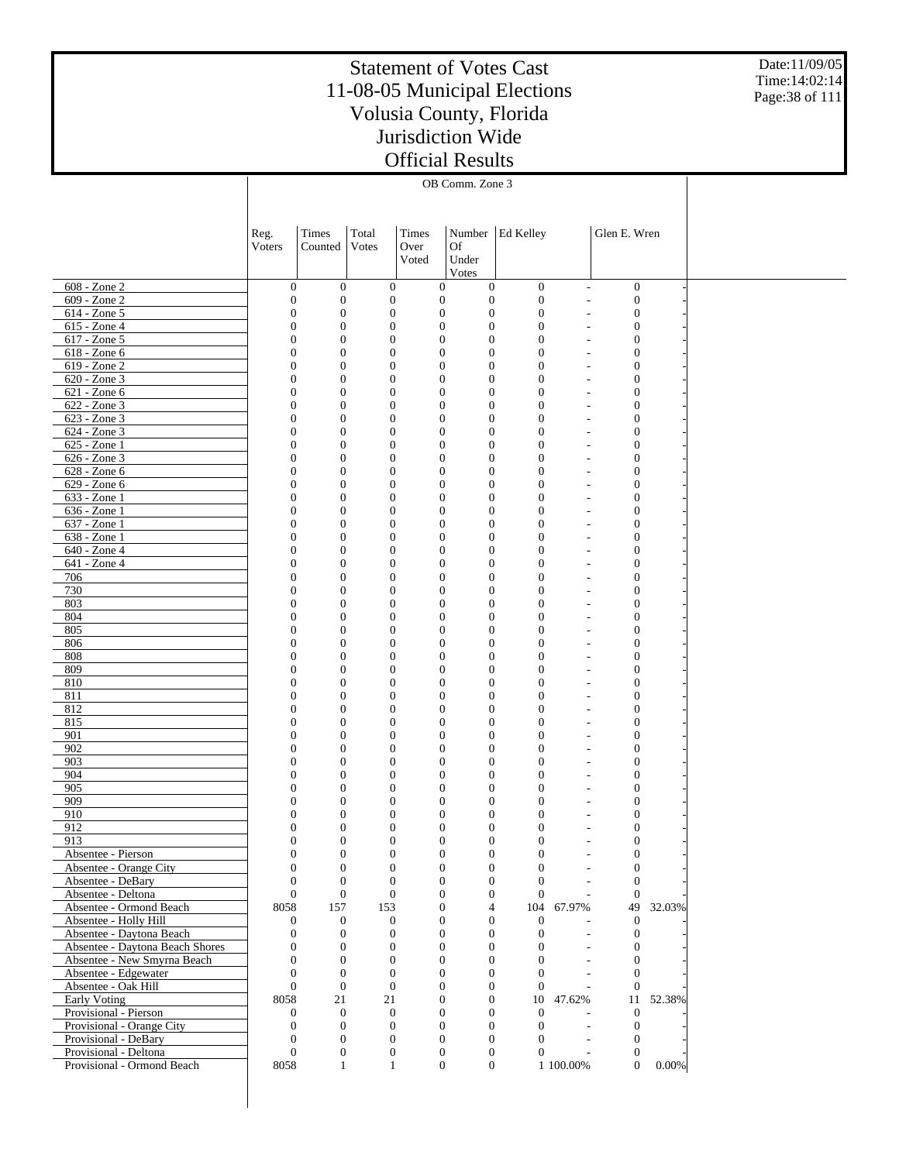Date:11/09/05 Time:14:02:14 Page:38 of 111

|  | OB Comm. Zone 3 |  |  |
|--|-----------------|--|--|
|--|-----------------|--|--|

|                                                    | Reg.<br>Voters               | Times<br>Counted                     | Total<br>Votes | Times<br>Over                        | Number<br><b>Of</b>                                                  | Ed Kelley                    |                          | Glen E. Wren                         |           |  |
|----------------------------------------------------|------------------------------|--------------------------------------|----------------|--------------------------------------|----------------------------------------------------------------------|------------------------------|--------------------------|--------------------------------------|-----------|--|
|                                                    |                              |                                      |                | Voted                                | Under                                                                |                              |                          |                                      |           |  |
|                                                    |                              |                                      |                |                                      | Votes                                                                |                              |                          |                                      |           |  |
| 608 - Zone 2                                       | $\mathbf{0}$                 | $\mathbf{0}$                         |                | $\mathbf{0}$                         | $\mathbf{0}$<br>$\mathbf{0}$                                         | $\mathbf{0}$                 | $\blacksquare$           | $\mathbf{0}$                         |           |  |
| 609 - Zone 2                                       | $\boldsymbol{0}$             | $\boldsymbol{0}$                     |                | $\boldsymbol{0}$                     | $\boldsymbol{0}$<br>$\boldsymbol{0}$                                 | $\boldsymbol{0}$             | $\overline{\phantom{a}}$ | $\boldsymbol{0}$                     |           |  |
| 614 - Zone 5                                       | $\boldsymbol{0}$             | $\boldsymbol{0}$                     |                | $\boldsymbol{0}$                     | $\boldsymbol{0}$<br>$\mathbf{0}$                                     | $\mathbf{0}$                 | ÷,                       | $\boldsymbol{0}$                     |           |  |
| 615 - Zone 4                                       | $\boldsymbol{0}$             | $\boldsymbol{0}$                     |                | $\boldsymbol{0}$                     | $\mathbf{0}$<br>$\mathbf{0}$                                         | $\mathbf{0}$                 |                          | $\boldsymbol{0}$                     |           |  |
| 617 - Zone 5<br>618 - Zone 6                       | $\mathbf{0}$<br>$\mathbf{0}$ | $\boldsymbol{0}$<br>$\boldsymbol{0}$ |                | $\boldsymbol{0}$<br>$\boldsymbol{0}$ | $\mathbf{0}$<br>$\mathbf{0}$<br>$\mathbf{0}$<br>$\mathbf{0}$         | $\mathbf{0}$<br>$\mathbf{0}$ |                          | $\mathbf{0}$<br>$\boldsymbol{0}$     |           |  |
| 619 - Zone 2                                       | $\mathbf{0}$                 | $\boldsymbol{0}$                     |                | $\boldsymbol{0}$                     | $\mathbf{0}$<br>$\mathbf{0}$                                         | $\mathbf{0}$                 | ÷,                       | $\boldsymbol{0}$                     |           |  |
| 620 - Zone 3                                       | $\mathbf{0}$                 | $\boldsymbol{0}$                     |                | $\boldsymbol{0}$                     | $\mathbf{0}$<br>$\mathbf{0}$                                         | $\mathbf{0}$                 | ٠                        | $\boldsymbol{0}$                     |           |  |
| 621 - Zone 6                                       | $\mathbf{0}$                 | $\boldsymbol{0}$                     |                | $\boldsymbol{0}$                     | $\mathbf{0}$<br>$\mathbf{0}$                                         | $\mathbf{0}$                 | ÷,                       | $\mathbf{0}$                         |           |  |
| 622 - Zone 3                                       | $\mathbf{0}$                 | $\boldsymbol{0}$                     |                | $\boldsymbol{0}$                     | $\mathbf{0}$<br>$\mathbf{0}$                                         | $\mathbf{0}$                 | ٠                        | $\boldsymbol{0}$                     |           |  |
| 623 - Zone 3                                       | $\mathbf{0}$                 | $\boldsymbol{0}$                     |                | $\boldsymbol{0}$                     | $\mathbf{0}$<br>$\mathbf{0}$                                         | $\mathbf{0}$                 | ÷,                       | $\boldsymbol{0}$                     |           |  |
| 624 - Zone 3                                       | $\mathbf{0}$                 | $\boldsymbol{0}$                     |                | $\boldsymbol{0}$                     | $\mathbf{0}$<br>$\mathbf{0}$                                         | $\mathbf{0}$                 |                          | $\boldsymbol{0}$                     |           |  |
| 625 - Zone 1                                       | $\mathbf{0}$                 | $\boldsymbol{0}$                     |                | $\boldsymbol{0}$                     | $\mathbf{0}$<br>$\mathbf{0}$                                         | $\mathbf{0}$                 | ÷,                       | $\mathbf{0}$                         |           |  |
| 626 - Zone 3                                       | $\mathbf{0}$                 | $\boldsymbol{0}$                     |                | $\boldsymbol{0}$                     | $\mathbf{0}$<br>$\mathbf{0}$                                         | $\mathbf{0}$                 |                          | $\boldsymbol{0}$                     |           |  |
| $628 - Zone 6$                                     | $\mathbf{0}$                 | $\boldsymbol{0}$                     |                | $\boldsymbol{0}$                     | $\mathbf{0}$<br>$\mathbf{0}$                                         | $\mathbf{0}$                 | $\overline{\phantom{a}}$ | $\boldsymbol{0}$                     |           |  |
| 629 - Zone 6<br>633 - Zone 1                       | $\mathbf{0}$<br>$\mathbf{0}$ | $\boldsymbol{0}$<br>$\boldsymbol{0}$ |                | $\boldsymbol{0}$<br>$\boldsymbol{0}$ | $\mathbf{0}$<br>$\mathbf{0}$<br>$\mathbf{0}$<br>$\mathbf{0}$         | $\mathbf{0}$<br>$\mathbf{0}$ |                          | $\boldsymbol{0}$<br>$\mathbf{0}$     |           |  |
| 636 - Zone 1                                       | $\mathbf{0}$                 | $\boldsymbol{0}$                     |                | $\boldsymbol{0}$                     | $\mathbf{0}$<br>$\mathbf{0}$                                         | $\mathbf{0}$                 | ÷,<br>÷,                 | $\boldsymbol{0}$                     |           |  |
| $637 - Z$ one 1                                    | $\mathbf{0}$                 | $\boldsymbol{0}$                     |                | $\boldsymbol{0}$                     | $\mathbf{0}$<br>$\mathbf{0}$                                         | $\mathbf{0}$                 | ÷,                       | $\boldsymbol{0}$                     |           |  |
| 638 - Zone 1                                       | $\mathbf{0}$                 | $\boldsymbol{0}$                     |                | $\boldsymbol{0}$                     | $\mathbf{0}$<br>$\mathbf{0}$                                         | $\mathbf{0}$                 | ٠                        | $\boldsymbol{0}$                     |           |  |
| 640 - Zone 4                                       | $\mathbf{0}$                 | $\boldsymbol{0}$                     |                | $\boldsymbol{0}$                     | $\mathbf{0}$<br>$\mathbf{0}$                                         | $\mathbf{0}$                 | ÷,                       | $\mathbf{0}$                         |           |  |
| 641 - Zone 4                                       | $\mathbf{0}$                 | $\boldsymbol{0}$                     |                | $\boldsymbol{0}$                     | $\mathbf{0}$<br>$\mathbf{0}$                                         | $\mathbf{0}$                 | ٠                        | $\boldsymbol{0}$                     |           |  |
| 706                                                | $\mathbf{0}$                 | $\boldsymbol{0}$                     |                | $\boldsymbol{0}$                     | $\mathbf{0}$<br>$\mathbf{0}$                                         | $\mathbf{0}$                 | ÷,                       | $\boldsymbol{0}$                     |           |  |
| 730                                                | $\mathbf{0}$                 | $\boldsymbol{0}$                     |                | $\boldsymbol{0}$                     | $\mathbf{0}$<br>$\mathbf{0}$                                         | $\mathbf{0}$                 |                          | $\boldsymbol{0}$                     |           |  |
| 803                                                | $\mathbf{0}$                 | $\boldsymbol{0}$                     |                | $\boldsymbol{0}$                     | $\mathbf{0}$<br>$\mathbf{0}$                                         | $\mathbf{0}$                 | ÷,                       | $\boldsymbol{0}$                     |           |  |
| 804                                                | $\mathbf{0}$                 | $\boldsymbol{0}$                     |                | $\boldsymbol{0}$                     | $\mathbf{0}$<br>$\mathbf{0}$                                         | $\mathbf{0}$                 |                          | $\boldsymbol{0}$                     |           |  |
| 805                                                | $\mathbf{0}$                 | $\boldsymbol{0}$                     |                | $\boldsymbol{0}$                     | $\mathbf{0}$<br>$\mathbf{0}$                                         | $\mathbf{0}$                 | $\overline{\phantom{a}}$ | $\boldsymbol{0}$                     |           |  |
| 806                                                | $\theta$                     | $\boldsymbol{0}$                     |                | $\boldsymbol{0}$                     | $\mathbf{0}$<br>$\mathbf{0}$                                         | $\mathbf{0}$                 |                          | $\boldsymbol{0}$                     |           |  |
| 808<br>809                                         | $\mathbf{0}$<br>$\mathbf{0}$ | $\boldsymbol{0}$<br>$\boldsymbol{0}$ |                | $\boldsymbol{0}$<br>$\boldsymbol{0}$ | $\mathbf{0}$<br>$\mathbf{0}$<br>$\mathbf{0}$<br>$\mathbf{0}$         | $\mathbf{0}$<br>$\mathbf{0}$ | ÷,                       | $\mathbf{0}$                         |           |  |
| 810                                                | $\mathbf{0}$                 | $\boldsymbol{0}$                     |                | $\boldsymbol{0}$                     | $\mathbf{0}$<br>$\boldsymbol{0}$                                     | $\mathbf{0}$                 | ÷,                       | $\boldsymbol{0}$<br>$\boldsymbol{0}$ |           |  |
| 811                                                | $\mathbf{0}$                 | $\boldsymbol{0}$                     |                | $\boldsymbol{0}$                     | $\mathbf{0}$<br>$\boldsymbol{0}$                                     | $\mathbf{0}$                 | ٠                        | $\boldsymbol{0}$                     |           |  |
| 812                                                | $\mathbf{0}$                 | $\boldsymbol{0}$                     |                | $\boldsymbol{0}$                     | $\mathbf{0}$<br>$\boldsymbol{0}$                                     | $\mathbf{0}$                 | ÷,                       | $\mathbf{0}$                         |           |  |
| 815                                                | $\mathbf{0}$                 | $\boldsymbol{0}$                     |                | $\boldsymbol{0}$                     | $\mathbf{0}$<br>$\boldsymbol{0}$                                     | $\mathbf{0}$                 | ٠                        | $\boldsymbol{0}$                     |           |  |
| 901                                                | $\mathbf{0}$                 | $\boldsymbol{0}$                     |                | $\boldsymbol{0}$                     | $\mathbf{0}$<br>$\boldsymbol{0}$                                     | $\mathbf{0}$                 | ÷,                       | $\boldsymbol{0}$                     |           |  |
| 902                                                | $\theta$                     | $\boldsymbol{0}$                     |                | $\boldsymbol{0}$                     | $\mathbf{0}$<br>$\boldsymbol{0}$                                     | $\mathbf{0}$                 |                          | $\boldsymbol{0}$                     |           |  |
| 903                                                | $\mathbf{0}$                 | $\boldsymbol{0}$                     |                | $\boldsymbol{0}$                     | $\mathbf{0}$<br>$\boldsymbol{0}$                                     | $\mathbf{0}$                 |                          | $\boldsymbol{0}$                     |           |  |
| 904                                                | $\theta$                     | $\boldsymbol{0}$                     |                | $\boldsymbol{0}$                     | $\mathbf{0}$<br>$\boldsymbol{0}$                                     | $\mathbf{0}$                 |                          | $\boldsymbol{0}$                     |           |  |
| 905                                                | $\mathbf{0}$                 | $\boldsymbol{0}$                     |                | $\boldsymbol{0}$                     | $\boldsymbol{0}$<br>$\boldsymbol{0}$                                 | $\mathbf{0}$                 | ÷,                       | $\boldsymbol{0}$                     |           |  |
| 909                                                | $\theta$                     | $\boldsymbol{0}$                     |                | $\boldsymbol{0}$                     | $\boldsymbol{0}$<br>$\boldsymbol{0}$                                 | $\mathbf{0}$                 |                          | $\boldsymbol{0}$                     |           |  |
| 910                                                | $\theta$                     | $\boldsymbol{0}$                     |                | $\boldsymbol{0}$                     | $\mathbf{0}$<br>$\boldsymbol{0}$                                     | $\mathbf{0}$                 |                          | $\mathbf{0}$                         |           |  |
| 912<br>913                                         | $\theta$<br>$\theta$         | $\boldsymbol{0}$<br>$\overline{0}$   |                | $\boldsymbol{0}$<br>$\boldsymbol{0}$ | $\boldsymbol{0}$<br>$\mathbf{0}$<br>$\boldsymbol{0}$<br>$\mathbf{0}$ | $\mathbf{0}$<br>$\mathbf{0}$ |                          | $\boldsymbol{0}$<br>$\mathbf{0}$     |           |  |
| Absentee - Pierson                                 | $\Omega$                     | $\overline{0}$                       |                | $\mathbf{0}$                         | $\mathbf{0}$<br>$\mathbf{0}$                                         | $\overline{0}$               |                          | $\mathbf{0}$                         |           |  |
| Absentee - Orange City                             | $\boldsymbol{0}$             | $\mathbf{0}$                         |                | $\boldsymbol{0}$                     | $\boldsymbol{0}$<br>$\boldsymbol{0}$                                 | $\boldsymbol{0}$             |                          | $\boldsymbol{0}$                     |           |  |
| Absentee - DeBary                                  | $\mathbf{0}$                 | $\mathbf{0}$                         |                | $\boldsymbol{0}$                     | $\boldsymbol{0}$<br>$\mathbf{0}$                                     | $\overline{0}$               |                          | $\boldsymbol{0}$                     |           |  |
| Absentee - Deltona                                 | $\theta$                     | $\mathbf{0}$                         |                | $\boldsymbol{0}$                     | $\boldsymbol{0}$<br>$\mathbf{0}$                                     | $\theta$                     |                          | $\mathbf{0}$                         |           |  |
| Absentee - Ormond Beach                            | 8058                         | 157                                  | 153            |                                      | $\boldsymbol{0}$<br>4                                                | 104                          | 67.97%                   | 49                                   | 32.03%    |  |
| Absentee - Holly Hill                              | $\mathbf{0}$                 | $\mathbf{0}$                         |                | $\boldsymbol{0}$                     | $\boldsymbol{0}$<br>$\overline{0}$                                   | $\boldsymbol{0}$             |                          | $\mathbf{0}$                         |           |  |
| Absentee - Daytona Beach                           | $\theta$                     | $\mathbf{0}$                         |                | $\boldsymbol{0}$                     | $\boldsymbol{0}$<br>0                                                | $\mathbf{0}$                 |                          | $\boldsymbol{0}$                     |           |  |
| Absentee - Daytona Beach Shores                    | $\theta$                     | $\overline{0}$                       |                | $\mathbf{0}$                         | $\mathbf{0}$<br>$\overline{0}$                                       | $\overline{0}$               |                          | $\boldsymbol{0}$                     |           |  |
| Absentee - New Smyrna Beach                        | $\theta$                     | $\theta$                             |                | $\boldsymbol{0}$                     | $\mathbf{0}$<br>$\boldsymbol{0}$                                     | $\overline{0}$               |                          | $\boldsymbol{0}$                     |           |  |
| Absentee - Edgewater                               | $\mathbf{0}$                 | $\overline{0}$                       |                | $\mathbf{0}$                         | $\mathbf{0}$<br>$\overline{0}$                                       | $\overline{0}$               |                          | $\boldsymbol{0}$                     |           |  |
| Absentee - Oak Hill                                | $\mathbf{0}$                 | $\theta$                             |                | $\mathbf{0}$                         | $\boldsymbol{0}$<br>$\mathbf{0}$                                     | $\overline{0}$               |                          | $\boldsymbol{0}$                     |           |  |
| Early Voting                                       | 8058<br>$\theta$             | 21<br>$\mathbf{0}$                   | 21             | $\mathbf{0}$                         | $\theta$<br>$\overline{0}$<br>$\boldsymbol{0}$<br>$\overline{0}$     | 10<br>$\mathbf{0}$           | 47.62%                   | $\mathbf{0}$                         | 11 52.38% |  |
| Provisional - Pierson<br>Provisional - Orange City | $\theta$                     | $\theta$                             |                | $\mathbf{0}$                         | $\theta$<br>$\overline{0}$                                           | $\overline{0}$               |                          | $\mathbf{0}$                         |           |  |
| Provisional - DeBary                               | $\theta$                     | $\mathbf{0}$                         |                | $\mathbf{0}$                         | $\boldsymbol{0}$<br>$\theta$                                         | $\overline{0}$               |                          | $\boldsymbol{0}$                     |           |  |
| Provisional - Deltona                              | $\theta$                     | $\boldsymbol{0}$                     |                | $\boldsymbol{0}$                     | $\boldsymbol{0}$<br>$\boldsymbol{0}$                                 | $\overline{0}$               |                          | $\boldsymbol{0}$                     |           |  |
| Provisional - Ormond Beach                         | 8058                         | 1                                    |                | $\mathbf{1}$                         | $\boldsymbol{0}$<br>$\boldsymbol{0}$                                 |                              | 1 100.00%                | $\overline{0}$                       | $0.00\%$  |  |
|                                                    |                              |                                      |                |                                      |                                                                      |                              |                          |                                      |           |  |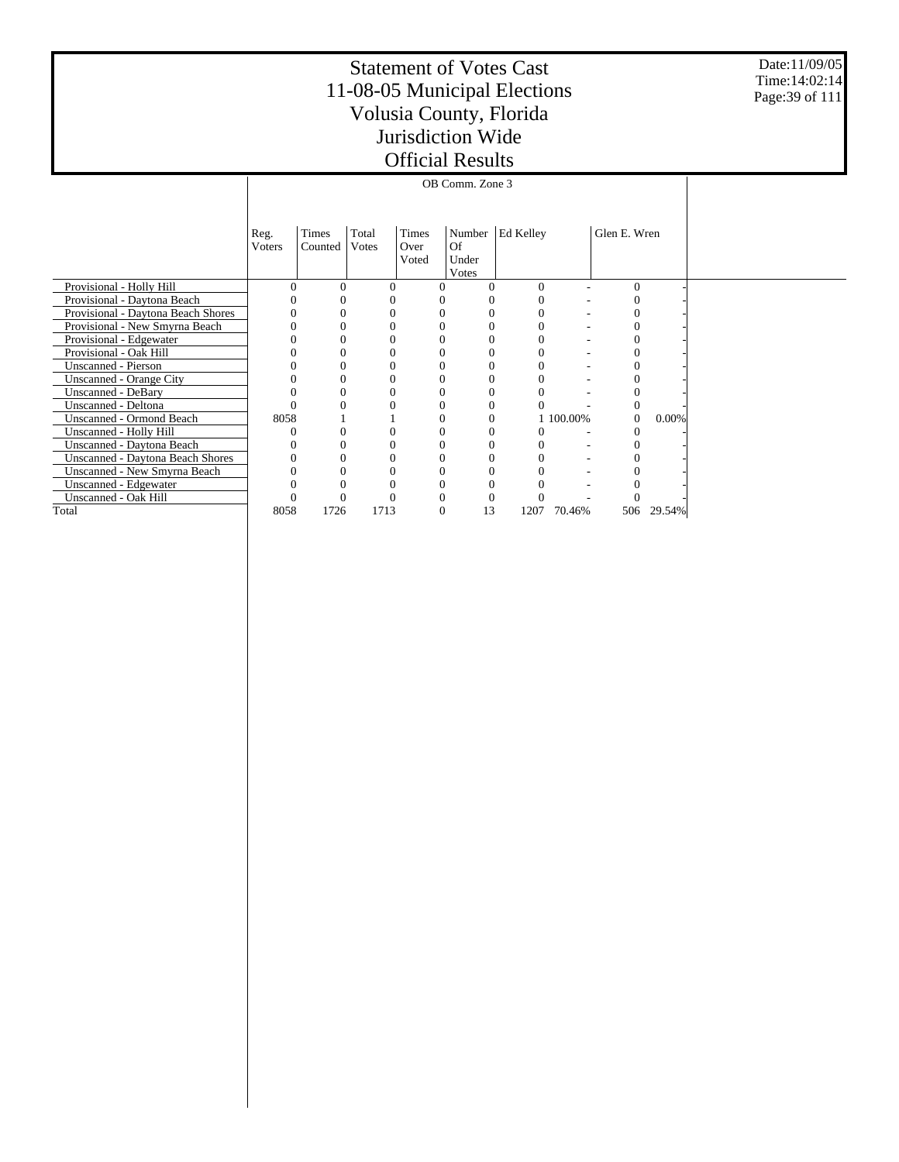Date:11/09/05 Time:14:02:14 Page:39 of 111

### Statement of Votes Cast 11-08-05 Municipal Elections Volusia County, Florida Jurisdiction Wide Official Results

#### OB Comm. Zone 3

|                                         | Reg.   | Times   | Total | Times | Number |          | Ed Kelley |           | Glen E. Wren |            |
|-----------------------------------------|--------|---------|-------|-------|--------|----------|-----------|-----------|--------------|------------|
|                                         | Voters | Counted | Votes | Over  | Of     |          |           |           |              |            |
|                                         |        |         |       | Voted | Under  |          |           |           |              |            |
|                                         |        |         |       |       | Votes  |          |           |           |              |            |
| Provisional - Holly Hill                |        |         |       |       |        | $\Omega$ |           |           |              |            |
| Provisional - Daytona Beach             |        |         |       |       |        |          |           |           |              |            |
| Provisional - Daytona Beach Shores      |        |         |       |       |        |          |           |           |              |            |
| Provisional - New Smyrna Beach          |        |         |       |       |        |          |           |           |              |            |
| Provisional - Edgewater                 |        |         |       |       |        |          |           |           |              |            |
| Provisional - Oak Hill                  |        |         |       |       |        |          |           |           |              |            |
| Unscanned - Pierson                     |        |         |       |       |        |          |           |           |              |            |
| Unscanned - Orange City                 |        |         |       |       |        |          |           |           |              |            |
| Unscanned - DeBary                      |        |         |       |       |        |          |           |           |              |            |
| Unscanned - Deltona                     |        |         |       |       |        |          |           |           |              |            |
| Unscanned - Ormond Beach                | 8058   |         |       |       |        |          |           | 1 100.00% |              | $0.00\%$   |
| Unscanned - Holly Hill                  |        |         |       |       |        |          |           |           |              |            |
| Unscanned - Daytona Beach               |        |         |       |       |        |          |           |           |              |            |
| <b>Unscanned - Daytona Beach Shores</b> |        |         |       |       |        |          |           |           |              |            |
| Unscanned - New Smyrna Beach            |        |         |       |       |        |          |           |           |              |            |
| Unscanned - Edgewater                   |        |         |       |       |        |          |           |           |              |            |
| Unscanned - Oak Hill                    |        |         |       |       |        |          |           |           |              |            |
| Total                                   | 8058   | 1726    | 1713  |       |        | 13       | 1207      | 70.46%    |              | 506 29.54% |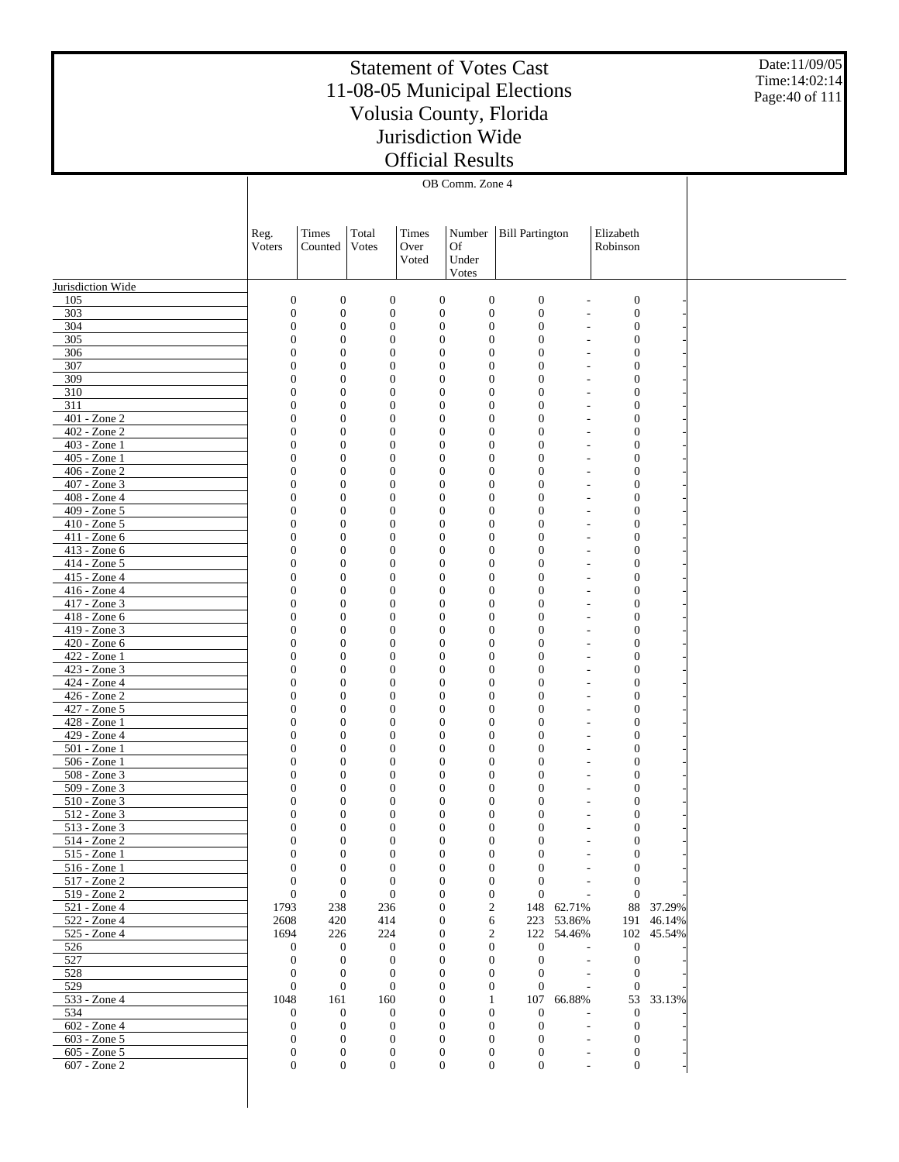Date:11/09/05 Time:14:02:14 Page:40 of 111

| OB Comm. Zone 4 |  |  |
|-----------------|--|--|
|-----------------|--|--|

|                              | Reg.<br>Voters               | Times<br>Counted                     | Total<br><b>Votes</b>                | Times<br>Over<br>Voted | Number<br><b>Of</b><br>Under<br>Votes |                                      | <b>Bill Partington</b>               | Elizabeth<br>Robinson        |            |
|------------------------------|------------------------------|--------------------------------------|--------------------------------------|------------------------|---------------------------------------|--------------------------------------|--------------------------------------|------------------------------|------------|
| Jurisdiction Wide            |                              |                                      |                                      |                        |                                       |                                      |                                      |                              |            |
| 105                          | $\boldsymbol{0}$             | $\boldsymbol{0}$                     | $\boldsymbol{0}$                     |                        | $\boldsymbol{0}$                      | $\boldsymbol{0}$                     | $\boldsymbol{0}$                     | $\boldsymbol{0}$             |            |
| 303                          | $\mathbf{0}$                 | $\boldsymbol{0}$                     | $\boldsymbol{0}$                     |                        | $\boldsymbol{0}$                      | $\boldsymbol{0}$                     | $\boldsymbol{0}$                     | $\boldsymbol{0}$             |            |
| 304                          | $\mathbf{0}$                 | $\boldsymbol{0}$                     | $\boldsymbol{0}$                     |                        | $\boldsymbol{0}$                      | $\boldsymbol{0}$                     | $\boldsymbol{0}$                     | $\boldsymbol{0}$             |            |
| 305                          | $\theta$                     | $\boldsymbol{0}$                     | $\boldsymbol{0}$                     |                        | $\boldsymbol{0}$                      | $\boldsymbol{0}$                     | $\boldsymbol{0}$                     | $\theta$                     |            |
| 306                          | $\theta$                     | $\boldsymbol{0}$                     | $\boldsymbol{0}$                     |                        | $\boldsymbol{0}$                      | $\boldsymbol{0}$                     | $\boldsymbol{0}$                     | $\overline{0}$               |            |
| 307                          | $\mathbf{0}$                 | $\boldsymbol{0}$                     | $\boldsymbol{0}$                     |                        | $\boldsymbol{0}$                      | $\boldsymbol{0}$                     | $\boldsymbol{0}$                     | $\boldsymbol{0}$             |            |
| 309                          | $\mathbf{0}$                 | $\boldsymbol{0}$                     | $\boldsymbol{0}$                     |                        | $\boldsymbol{0}$                      | $\boldsymbol{0}$                     | $\boldsymbol{0}$                     | $\mathbf{0}$                 |            |
| 310                          | $\mathbf{0}$                 | $\boldsymbol{0}$                     | $\boldsymbol{0}$                     |                        | $\boldsymbol{0}$                      | $\boldsymbol{0}$                     | $\boldsymbol{0}$                     | $\theta$                     |            |
| 311                          | $\theta$                     | $\boldsymbol{0}$                     | $\boldsymbol{0}$                     |                        | $\boldsymbol{0}$                      | $\boldsymbol{0}$                     | $\boldsymbol{0}$                     | $\mathbf{0}$                 |            |
| 401 - Zone 2                 | $\mathbf{0}$                 | $\boldsymbol{0}$                     | $\boldsymbol{0}$                     |                        | $\boldsymbol{0}$                      | $\boldsymbol{0}$                     | $\boldsymbol{0}$                     | $\boldsymbol{0}$             |            |
| 402 - Zone 2                 | $\mathbf{0}$                 | $\boldsymbol{0}$                     | $\boldsymbol{0}$                     |                        | $\boldsymbol{0}$                      | $\boldsymbol{0}$                     | $\boldsymbol{0}$                     | $\overline{0}$               |            |
| 403 - Zone 1<br>405 - Zone 1 | $\mathbf{0}$<br>$\theta$     | $\boldsymbol{0}$                     | $\boldsymbol{0}$<br>$\boldsymbol{0}$ |                        | $\boldsymbol{0}$<br>$\boldsymbol{0}$  | $\boldsymbol{0}$<br>$\boldsymbol{0}$ | $\boldsymbol{0}$<br>$\boldsymbol{0}$ | $\theta$<br>$\mathbf{0}$     |            |
| 406 - Zone 2                 | $\mathbf{0}$                 | $\boldsymbol{0}$<br>$\boldsymbol{0}$ | $\boldsymbol{0}$                     |                        | $\boldsymbol{0}$                      | $\boldsymbol{0}$                     | $\boldsymbol{0}$                     | $\boldsymbol{0}$             |            |
| 407 - Zone 3                 | $\mathbf{0}$                 | $\boldsymbol{0}$                     | $\boldsymbol{0}$                     |                        | $\boldsymbol{0}$                      | $\boldsymbol{0}$                     | $\boldsymbol{0}$                     | $\overline{0}$               |            |
| 408 - Zone 4                 | $\mathbf{0}$                 | $\boldsymbol{0}$                     | $\boldsymbol{0}$                     |                        | $\boldsymbol{0}$                      | $\boldsymbol{0}$                     | $\boldsymbol{0}$                     | $\theta$                     |            |
| 409 - Zone 5                 | $\theta$                     | $\boldsymbol{0}$                     | $\boldsymbol{0}$                     |                        | $\boldsymbol{0}$                      | $\boldsymbol{0}$                     | $\boldsymbol{0}$                     | $\overline{0}$               |            |
| 410 - Zone 5                 | $\mathbf{0}$                 | $\boldsymbol{0}$                     | $\boldsymbol{0}$                     |                        | $\boldsymbol{0}$                      | $\boldsymbol{0}$                     | $\boldsymbol{0}$                     | $\theta$                     |            |
| 411 - Zone 6                 | $\mathbf{0}$                 | $\boldsymbol{0}$                     | $\boldsymbol{0}$                     |                        | $\boldsymbol{0}$                      | $\boldsymbol{0}$                     | $\boldsymbol{0}$                     | $\mathbf{0}$                 |            |
| 413 - Zone 6                 | $\mathbf{0}$                 | $\boldsymbol{0}$                     | $\boldsymbol{0}$                     |                        | $\boldsymbol{0}$                      | $\boldsymbol{0}$                     | $\boldsymbol{0}$                     | $\theta$                     |            |
| 414 - Zone 5                 | $\mathbf{0}$                 | $\boldsymbol{0}$                     | $\boldsymbol{0}$                     |                        | $\boldsymbol{0}$                      | $\boldsymbol{0}$                     | $\boldsymbol{0}$                     | $\overline{0}$               |            |
| 415 - Zone 4                 | $\mathbf{0}$                 | $\boldsymbol{0}$                     | $\boldsymbol{0}$                     |                        | $\boldsymbol{0}$                      | $\boldsymbol{0}$                     | $\boldsymbol{0}$                     | $\theta$                     |            |
| $416 - Zone4$                | $\mathbf{0}$                 | $\boldsymbol{0}$                     | $\boldsymbol{0}$                     |                        | $\boldsymbol{0}$                      | $\boldsymbol{0}$                     | $\boldsymbol{0}$                     | $\mathbf{0}$                 |            |
| 417 - Zone 3                 | $\mathbf{0}$                 | $\boldsymbol{0}$                     | $\boldsymbol{0}$                     |                        | $\boldsymbol{0}$                      | $\boldsymbol{0}$                     | $\boldsymbol{0}$                     | $\theta$                     |            |
| $418 - Z$ one 6              | $\mathbf{0}$                 | $\boldsymbol{0}$                     | $\boldsymbol{0}$                     |                        | $\boldsymbol{0}$                      | $\boldsymbol{0}$                     | $\boldsymbol{0}$                     | $\overline{0}$               |            |
| 419 - Zone 3                 | $\mathbf{0}$                 | $\boldsymbol{0}$                     | $\boldsymbol{0}$                     |                        | $\boldsymbol{0}$                      | $\boldsymbol{0}$                     | $\boldsymbol{0}$                     | $\boldsymbol{0}$             |            |
| 420 - Zone 6                 | $\mathbf{0}$                 | $\boldsymbol{0}$                     | $\boldsymbol{0}$                     |                        | $\boldsymbol{0}$                      | $\boldsymbol{0}$                     | $\boldsymbol{0}$                     | $\mathbf{0}$                 |            |
| 422 - Zone 1<br>423 - Zone 3 | $\mathbf{0}$<br>$\mathbf{0}$ | $\boldsymbol{0}$<br>$\boldsymbol{0}$ | $\boldsymbol{0}$<br>$\boldsymbol{0}$ |                        | $\boldsymbol{0}$<br>$\boldsymbol{0}$  | $\boldsymbol{0}$<br>$\boldsymbol{0}$ | $\boldsymbol{0}$<br>$\boldsymbol{0}$ | $\theta$<br>$\overline{0}$   |            |
| 424 - Zone 4                 | $\mathbf{0}$                 | $\boldsymbol{0}$                     | $\boldsymbol{0}$                     |                        | $\boldsymbol{0}$                      | $\boldsymbol{0}$                     | $\boldsymbol{0}$                     | $\boldsymbol{0}$             |            |
| 426 - Zone 2                 | $\mathbf{0}$                 | $\boldsymbol{0}$                     | $\boldsymbol{0}$                     |                        | $\boldsymbol{0}$                      | $\boldsymbol{0}$                     | $\boldsymbol{0}$                     | $\mathbf{0}$                 |            |
| 427 - Zone 5                 | $\mathbf{0}$                 | $\boldsymbol{0}$                     | $\boldsymbol{0}$                     |                        | $\boldsymbol{0}$                      | $\boldsymbol{0}$                     | $\boldsymbol{0}$                     | $\theta$                     |            |
| 428 - Zone 1                 | $\mathbf{0}$                 | $\boldsymbol{0}$                     | $\boldsymbol{0}$                     |                        | $\boldsymbol{0}$                      | $\boldsymbol{0}$                     | $\boldsymbol{0}$                     | $\overline{0}$               |            |
| 429 - Zone 4                 | $\mathbf{0}$                 | $\boldsymbol{0}$                     | $\boldsymbol{0}$                     |                        | $\boldsymbol{0}$                      | $\boldsymbol{0}$                     | $\boldsymbol{0}$                     | $\boldsymbol{0}$             |            |
| 501 - Zone 1                 | $\mathbf{0}$                 | $\boldsymbol{0}$                     | $\boldsymbol{0}$                     |                        | $\boldsymbol{0}$                      | $\boldsymbol{0}$                     | $\boldsymbol{0}$                     | $\mathbf{0}$                 |            |
| 506 - Zone 1                 | $\mathbf{0}$                 | $\boldsymbol{0}$                     | $\boldsymbol{0}$                     |                        | $\boldsymbol{0}$                      | $\boldsymbol{0}$                     | $\boldsymbol{0}$                     | $\theta$                     |            |
| 508 - Zone 3                 | $\theta$                     | $\boldsymbol{0}$                     | $\boldsymbol{0}$                     |                        | $\boldsymbol{0}$                      | $\boldsymbol{0}$                     | $\boldsymbol{0}$                     | $\overline{0}$               |            |
| 509 - Zone 3                 | $\mathbf{0}$                 | $\boldsymbol{0}$                     | $\boldsymbol{0}$                     |                        | $\boldsymbol{0}$                      | $\boldsymbol{0}$                     | $\boldsymbol{0}$                     | $\boldsymbol{0}$             |            |
| 510 - Zone 3                 | $\theta$                     | $\boldsymbol{0}$                     | $\boldsymbol{0}$                     |                        | $\boldsymbol{0}$                      | $\boldsymbol{0}$                     | $\boldsymbol{0}$                     | $\mathbf{0}$                 |            |
| 512 - Zone 3                 | $\theta$                     | $\boldsymbol{0}$                     | $\boldsymbol{0}$                     |                        | $\boldsymbol{0}$                      | $\boldsymbol{0}$                     | $\boldsymbol{0}$                     | $\boldsymbol{0}$             |            |
| 513 - Zone 3                 | $\theta$<br>$\mathbf{0}$     | $\boldsymbol{0}$<br>$\boldsymbol{0}$ | $\boldsymbol{0}$<br>$\boldsymbol{0}$ |                        | $\boldsymbol{0}$<br>$\boldsymbol{0}$  | $\boldsymbol{0}$                     | $\boldsymbol{0}$                     | $\mathbf{0}$<br>$\mathbf{0}$ |            |
| 514 - Zone 2<br>515 - Zone 1 | $\Omega$                     | $\overline{0}$                       | $\Omega$                             |                        | $\Omega$                              | $\boldsymbol{0}$<br>$\mathbf{0}$     | $\boldsymbol{0}$<br>$\Omega$         | $\Omega$                     |            |
| 516 - Zone 1                 | $\theta$                     | $\boldsymbol{0}$                     | $\boldsymbol{0}$                     |                        | $\boldsymbol{0}$                      | $\boldsymbol{0}$                     | $\boldsymbol{0}$                     | $\mathbf{0}$                 |            |
| 517 - Zone 2                 | $\mathbf{0}$                 | $\boldsymbol{0}$                     | $\mathbf{0}$                         |                        | $\boldsymbol{0}$                      | $\boldsymbol{0}$                     | 0                                    | $\mathbf{0}$                 |            |
| 519 - Zone 2                 | $\theta$                     | $\boldsymbol{0}$                     | $\mathbf{0}$                         |                        | $\boldsymbol{0}$                      | $\boldsymbol{0}$                     | $\boldsymbol{0}$                     | $\mathbf{0}$                 |            |
| 521 - Zone 4                 | 1793                         | 238                                  | 236                                  |                        | $\boldsymbol{0}$                      | 2                                    | 148 62.71%                           |                              | 88 37.29%  |
| 522 - Zone 4                 | 2608                         | 420                                  | 414                                  |                        | 0                                     | 6                                    | 223 53.86%                           |                              | 191 46.14% |
| 525 - Zone 4                 | 1694                         | 226                                  | 224                                  |                        | $\boldsymbol{0}$                      | 2                                    | 122 54.46%                           |                              | 102 45.54% |
| 526                          | 0                            | $\boldsymbol{0}$                     | $\mathbf{0}$                         |                        | $\boldsymbol{0}$                      | $\mathbf{0}$                         | $\mathbf{0}$                         | $\mathbf{0}$                 |            |
| 527                          | $\mathbf{0}$                 | $\boldsymbol{0}$                     | $\mathbf{0}$                         |                        | $\boldsymbol{0}$                      | $\mathbf{0}$                         | $\boldsymbol{0}$                     | $\mathbf{0}$                 |            |
| 528                          | $\theta$                     | $\boldsymbol{0}$                     | $\mathbf{0}$                         |                        | $\theta$                              | $\boldsymbol{0}$                     | 0                                    | $\mathbf{0}$                 |            |
| 529                          | $\mathbf{0}$                 | $\mathbf{0}$                         | $\mathbf{0}$                         |                        | $\mathbf{0}$                          | 0                                    | $\boldsymbol{0}$                     | $\boldsymbol{0}$             |            |
| 533 - Zone 4                 | 1048                         | 161                                  | 160                                  |                        | $\mathbf{0}$                          | 1                                    | 107 66.88%                           |                              | 53 33.13%  |
| 534                          | $\mathbf{0}$                 | $\mathbf{0}$                         | $\mathbf{0}$                         |                        | $\mathbf{0}$                          | $\mathbf{0}$                         | 0                                    | $\boldsymbol{0}$             |            |
| 602 - Zone 4                 | $\theta$                     | $\mathbf{0}$                         | $\mathbf{0}$                         |                        | $\mathbf{0}$                          | $\boldsymbol{0}$                     | 0                                    | $\boldsymbol{0}$             |            |
| 603 - Zone 5<br>605 - Zone 5 | $\Omega$<br>$\Omega$         | $\mathbf{0}$<br>$\mathbf{0}$         | $\mathbf{0}$<br>$\mathbf{0}$         |                        | $\mathbf{0}$<br>$\theta$              | $\mathbf{0}$<br>$\boldsymbol{0}$     | 0<br>0                               | $\mathbf{0}$<br>$\mathbf{0}$ |            |
| 607 - Zone 2                 | $\mathbf{0}$                 | $\mathbf{0}$                         | $\boldsymbol{0}$                     |                        | $\boldsymbol{0}$                      | $\mathbf{0}$                         | $\mathbf{0}$                         | $\boldsymbol{0}$             |            |
|                              |                              |                                      |                                      |                        |                                       |                                      |                                      |                              |            |
|                              |                              |                                      |                                      |                        |                                       |                                      |                                      |                              |            |
|                              |                              |                                      |                                      |                        |                                       |                                      |                                      |                              |            |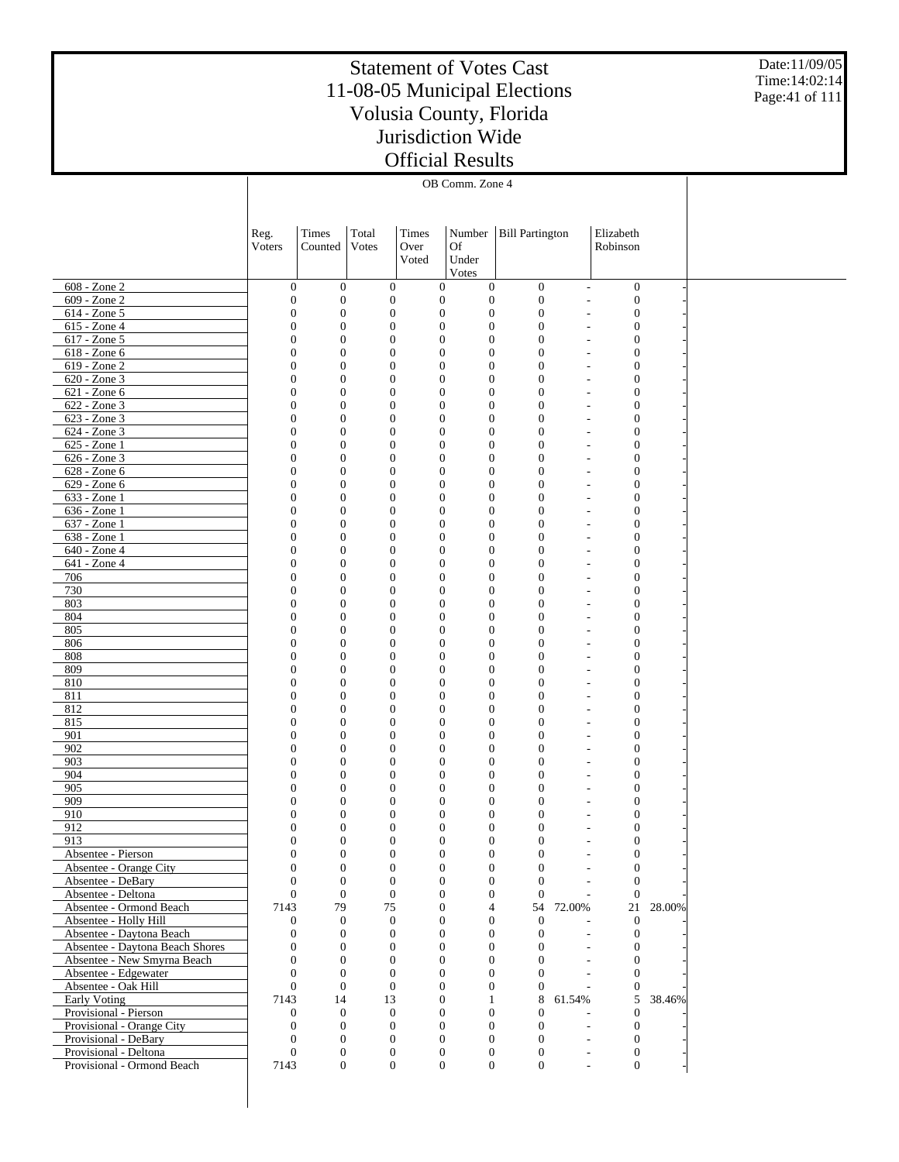Date:11/09/05 Time:14:02:14 Page:41 of 111

|                                                                | Reg.   | Times                                                                        | Total            | Times                                | Number                               |                                | <b>Bill Partington</b>       | Elizabeth                                                             |        |  |
|----------------------------------------------------------------|--------|------------------------------------------------------------------------------|------------------|--------------------------------------|--------------------------------------|--------------------------------|------------------------------|-----------------------------------------------------------------------|--------|--|
|                                                                | Voters | Counted                                                                      | Votes            | Over<br>Voted                        | Of<br>Under                          |                                |                              | Robinson                                                              |        |  |
|                                                                |        |                                                                              |                  |                                      | Votes                                |                                |                              |                                                                       |        |  |
| 608 - Zone 2                                                   |        | $\boldsymbol{0}$                                                             | $\boldsymbol{0}$ | $\boldsymbol{0}$                     | $\mathbf{0}$                         | $\boldsymbol{0}$               | $\boldsymbol{0}$             | $\boldsymbol{0}$<br>$\overline{\phantom{a}}$                          |        |  |
| 609 - Zone 2                                                   |        | $\boldsymbol{0}$                                                             | $\boldsymbol{0}$ | $\boldsymbol{0}$                     | $\boldsymbol{0}$                     | $\mathbf{0}$                   | $\boldsymbol{0}$             | $\boldsymbol{0}$<br>$\tilde{\phantom{a}}$                             |        |  |
| 614 - Zone 5                                                   |        | $\boldsymbol{0}$<br>$\boldsymbol{0}$                                         |                  | $\boldsymbol{0}$                     | $\boldsymbol{0}$                     | $\mathbf{0}$                   | $\mathbf{0}$                 | $\boldsymbol{0}$<br>$\tilde{\phantom{a}}$                             |        |  |
| 615 - Zone 4                                                   |        | $\boldsymbol{0}$<br>$\boldsymbol{0}$<br>$\mathbf{0}$                         |                  | $\boldsymbol{0}$                     | $\boldsymbol{0}$                     | $\mathbf{0}$                   | $\mathbf{0}$                 | $\boldsymbol{0}$<br>٠                                                 |        |  |
| 617 - Zone 5<br>$618 - Zone6$                                  |        | $\boldsymbol{0}$<br>$\boldsymbol{0}$<br>$\boldsymbol{0}$                     |                  | $\boldsymbol{0}$<br>$\boldsymbol{0}$ | $\boldsymbol{0}$<br>$\boldsymbol{0}$ | $\mathbf{0}$<br>$\mathbf{0}$   | $\mathbf{0}$<br>$\mathbf{0}$ | $\boldsymbol{0}$<br>$\overline{\phantom{a}}$<br>$\boldsymbol{0}$      |        |  |
| 619 - Zone 2                                                   |        | $\mathbf{0}$<br>$\boldsymbol{0}$                                             |                  | $\boldsymbol{0}$                     | $\boldsymbol{0}$                     | $\mathbf{0}$                   | $\mathbf{0}$                 | $\boldsymbol{0}$<br>$\overline{\phantom{a}}$                          |        |  |
| 620 - Zone 3                                                   |        | $\boldsymbol{0}$<br>$\boldsymbol{0}$                                         |                  | $\boldsymbol{0}$                     | $\boldsymbol{0}$                     | $\mathbf{0}$                   | $\mathbf{0}$                 | $\boldsymbol{0}$<br>٠                                                 |        |  |
| 621 - Zone 6                                                   |        | $\mathbf{0}$<br>$\boldsymbol{0}$                                             |                  | $\boldsymbol{0}$                     | $\boldsymbol{0}$                     | $\mathbf{0}$                   | $\mathbf{0}$                 | $\boldsymbol{0}$<br>$\overline{\phantom{a}}$                          |        |  |
| 622 - Zone 3                                                   |        | $\boldsymbol{0}$<br>$\boldsymbol{0}$                                         |                  | $\boldsymbol{0}$                     | $\boldsymbol{0}$                     | $\mathbf{0}$                   | $\mathbf{0}$                 | $\boldsymbol{0}$<br>٠                                                 |        |  |
| 623 - Zone 3                                                   |        | $\mathbf{0}$<br>$\boldsymbol{0}$                                             |                  | $\boldsymbol{0}$                     | $\boldsymbol{0}$                     | $\mathbf{0}$                   | $\mathbf{0}$                 | $\boldsymbol{0}$<br>$\overline{\phantom{a}}$                          |        |  |
| 624 - Zone 3                                                   |        | $\boldsymbol{0}$<br>$\boldsymbol{0}$                                         |                  | $\boldsymbol{0}$                     | $\boldsymbol{0}$                     | $\mathbf{0}$                   | $\mathbf{0}$                 | $\boldsymbol{0}$                                                      |        |  |
| 625 - Zone 1                                                   |        | $\boldsymbol{0}$<br>$\boldsymbol{0}$                                         |                  | $\boldsymbol{0}$                     | $\boldsymbol{0}$                     | $\mathbf{0}$                   | $\mathbf{0}$                 | $\boldsymbol{0}$<br>$\overline{\phantom{a}}$                          |        |  |
| 626 - Zone 3                                                   |        | $\boldsymbol{0}$<br>$\boldsymbol{0}$                                         |                  | $\boldsymbol{0}$                     | $\boldsymbol{0}$                     | $\mathbf{0}$                   | $\mathbf{0}$                 | $\boldsymbol{0}$<br>٠                                                 |        |  |
| 628 - Zone 6                                                   |        | $\mathbf{0}$<br>$\boldsymbol{0}$                                             |                  | $\boldsymbol{0}$                     | $\boldsymbol{0}$                     | $\mathbf{0}$                   | $\mathbf{0}$                 | $\boldsymbol{0}$<br>$\tilde{\phantom{a}}$                             |        |  |
| 629 - Zone 6<br>633 - Zone 1                                   |        | $\boldsymbol{0}$<br>$\boldsymbol{0}$<br>$\boldsymbol{0}$<br>$\boldsymbol{0}$ |                  | $\boldsymbol{0}$<br>$\boldsymbol{0}$ | $\boldsymbol{0}$<br>$\boldsymbol{0}$ | $\mathbf{0}$<br>$\mathbf{0}$   | $\mathbf{0}$<br>$\mathbf{0}$ | $\boldsymbol{0}$<br>٠<br>$\boldsymbol{0}$<br>$\overline{\phantom{a}}$ |        |  |
| 636 - Zone 1                                                   |        | $\boldsymbol{0}$<br>$\boldsymbol{0}$                                         |                  | $\boldsymbol{0}$                     | $\boldsymbol{0}$                     | $\mathbf{0}$                   | $\mathbf{0}$                 | $\boldsymbol{0}$<br>٠                                                 |        |  |
| 637 - Zone 1                                                   |        | $\mathbf{0}$<br>$\boldsymbol{0}$                                             |                  | $\boldsymbol{0}$                     | $\boldsymbol{0}$                     | $\mathbf{0}$                   | $\mathbf{0}$                 | $\boldsymbol{0}$<br>$\tilde{\phantom{a}}$                             |        |  |
| 638 - Zone 1                                                   |        | $\boldsymbol{0}$<br>$\boldsymbol{0}$                                         |                  | $\boldsymbol{0}$                     | $\boldsymbol{0}$                     | $\mathbf{0}$                   | $\mathbf{0}$                 | $\boldsymbol{0}$<br>٠                                                 |        |  |
| 640 - Zone 4                                                   |        | $\boldsymbol{0}$<br>$\boldsymbol{0}$                                         |                  | $\boldsymbol{0}$                     | $\boldsymbol{0}$                     | $\mathbf{0}$                   | $\mathbf{0}$                 | $\boldsymbol{0}$<br>$\overline{\phantom{a}}$                          |        |  |
| 641 - Zone 4                                                   |        | $\boldsymbol{0}$<br>$\boldsymbol{0}$                                         |                  | $\boldsymbol{0}$                     | $\boldsymbol{0}$                     | $\mathbf{0}$                   | $\mathbf{0}$                 | $\boldsymbol{0}$<br>٠                                                 |        |  |
| 706                                                            |        | $\mathbf{0}$<br>$\boldsymbol{0}$                                             |                  | $\boldsymbol{0}$                     | $\boldsymbol{0}$                     | $\mathbf{0}$                   | $\mathbf{0}$                 | $\boldsymbol{0}$<br>$\overline{\phantom{a}}$                          |        |  |
| 730                                                            |        | $\boldsymbol{0}$<br>$\boldsymbol{0}$                                         |                  | $\boldsymbol{0}$                     | $\boldsymbol{0}$                     | $\mathbf{0}$                   | $\mathbf{0}$                 | $\boldsymbol{0}$<br>٠                                                 |        |  |
| 803                                                            |        | $\boldsymbol{0}$<br>$\boldsymbol{0}$                                         |                  | $\boldsymbol{0}$                     | $\boldsymbol{0}$                     | $\mathbf{0}$                   | $\mathbf{0}$                 | $\boldsymbol{0}$<br>$\overline{\phantom{a}}$                          |        |  |
| 804                                                            |        | $\boldsymbol{0}$<br>$\boldsymbol{0}$                                         |                  | $\boldsymbol{0}$                     | $\boldsymbol{0}$                     | $\mathbf{0}$                   | $\mathbf{0}$                 | $\boldsymbol{0}$<br>٠                                                 |        |  |
| 805<br>806                                                     |        | $\mathbf{0}$<br>$\boldsymbol{0}$<br>$\boldsymbol{0}$<br>$\boldsymbol{0}$     |                  | $\boldsymbol{0}$<br>$\boldsymbol{0}$ | $\boldsymbol{0}$                     | $\mathbf{0}$<br>$\mathbf{0}$   | $\mathbf{0}$<br>$\mathbf{0}$ | $\boldsymbol{0}$<br>$\overline{\phantom{a}}$                          |        |  |
| 808                                                            |        | $\boldsymbol{0}$<br>$\boldsymbol{0}$                                         |                  | $\boldsymbol{0}$                     | $\boldsymbol{0}$<br>$\boldsymbol{0}$ | $\mathbf{0}$                   | $\mathbf{0}$                 | $\boldsymbol{0}$<br>٠<br>$\boldsymbol{0}$<br>$\overline{\phantom{a}}$ |        |  |
| 809                                                            |        | $\boldsymbol{0}$<br>$\boldsymbol{0}$                                         |                  | $\boldsymbol{0}$                     | $\boldsymbol{0}$                     | $\mathbf{0}$                   | $\mathbf{0}$                 | $\boldsymbol{0}$<br>٠                                                 |        |  |
| 810                                                            |        | $\mathbf{0}$<br>$\boldsymbol{0}$                                             |                  | $\boldsymbol{0}$                     | $\boldsymbol{0}$                     | $\mathbf{0}$                   | $\mathbf{0}$                 | $\boldsymbol{0}$<br>$\overline{\phantom{a}}$                          |        |  |
| 811                                                            |        | $\boldsymbol{0}$<br>$\boldsymbol{0}$                                         |                  | $\boldsymbol{0}$                     | $\boldsymbol{0}$                     | $\mathbf{0}$                   | $\mathbf{0}$                 | $\boldsymbol{0}$                                                      |        |  |
| 812                                                            |        | $\boldsymbol{0}$<br>$\boldsymbol{0}$                                         |                  | $\boldsymbol{0}$                     | $\boldsymbol{0}$                     | $\mathbf{0}$                   | $\mathbf{0}$                 | $\boldsymbol{0}$<br>$\overline{\phantom{a}}$                          |        |  |
| 815                                                            |        | $\boldsymbol{0}$<br>$\boldsymbol{0}$                                         |                  | $\boldsymbol{0}$                     | $\boldsymbol{0}$                     | $\mathbf{0}$                   | $\mathbf{0}$                 | $\boldsymbol{0}$<br>٠                                                 |        |  |
| 901                                                            |        | $\mathbf{0}$<br>$\boldsymbol{0}$                                             |                  | $\boldsymbol{0}$                     | $\boldsymbol{0}$                     | $\mathbf{0}$                   | $\mathbf{0}$                 | $\boldsymbol{0}$<br>$\tilde{\phantom{a}}$                             |        |  |
| 902                                                            |        | $\boldsymbol{0}$<br>$\boldsymbol{0}$                                         |                  | $\boldsymbol{0}$                     | $\boldsymbol{0}$                     | $\mathbf{0}$                   | $\mathbf{0}$                 | $\boldsymbol{0}$<br>٠                                                 |        |  |
| 903                                                            |        | $\boldsymbol{0}$<br>$\boldsymbol{0}$                                         |                  | $\boldsymbol{0}$                     | $\boldsymbol{0}$                     | $\mathbf{0}$                   | $\mathbf{0}$                 | $\boldsymbol{0}$<br>$\overline{\phantom{a}}$                          |        |  |
| 904                                                            |        | $\boldsymbol{0}$<br>$\boldsymbol{0}$                                         |                  | $\boldsymbol{0}$                     | $\boldsymbol{0}$                     | $\mathbf{0}$                   | $\mathbf{0}$                 | $\boldsymbol{0}$<br>٠                                                 |        |  |
| 905<br>909                                                     |        | $\boldsymbol{0}$<br>$\mathbf{0}$<br>$\boldsymbol{0}$<br>$\boldsymbol{0}$     |                  | $\boldsymbol{0}$<br>$\boldsymbol{0}$ | $\boldsymbol{0}$<br>$\boldsymbol{0}$ | $\mathbf{0}$<br>$\mathbf{0}$   | $\mathbf{0}$<br>$\mathbf{0}$ | $\boldsymbol{0}$<br>$\tilde{\phantom{a}}$<br>$\boldsymbol{0}$<br>٠    |        |  |
| 910                                                            |        | $\mathbf{0}$<br>$\boldsymbol{0}$                                             |                  | $\boldsymbol{0}$                     | $\boldsymbol{0}$                     | $\mathbf{0}$                   | $\mathbf{0}$                 | $\boldsymbol{0}$<br>٠                                                 |        |  |
| 912                                                            |        | $\boldsymbol{0}$<br>$\boldsymbol{0}$                                         |                  | $\boldsymbol{0}$                     | $\boldsymbol{0}$                     | $\mathbf{0}$                   | $\mathbf{0}$                 | $\boldsymbol{0}$                                                      |        |  |
| 913                                                            |        | $\overline{0}$<br>$\boldsymbol{0}$                                           |                  | $\boldsymbol{0}$                     | $\boldsymbol{0}$                     | $\overline{0}$                 | $\mathbf{0}$                 | $\boldsymbol{0}$<br>$\overline{\phantom{a}}$                          |        |  |
| Absentee - Pierson                                             |        | $\overline{0}$                                                               | $\overline{0}$   | $\overline{0}$                       | $\boldsymbol{0}$                     | $\overline{0}$                 | $\overline{0}$               | $\boldsymbol{0}$<br>$\tilde{\phantom{a}}$                             |        |  |
| Absentee - Orange City                                         |        | $\boldsymbol{0}$                                                             | $\boldsymbol{0}$ | $\overline{0}$                       | $\boldsymbol{0}$                     | $\boldsymbol{0}$               | $\mathbf{0}$                 | $\boldsymbol{0}$                                                      |        |  |
| Absentee - DeBary                                              |        | $\boldsymbol{0}$                                                             | $\boldsymbol{0}$ | $\mathbf{0}$                         | $\boldsymbol{0}$                     | $\mathbf{0}$                   | $\theta$                     | $\boldsymbol{0}$                                                      |        |  |
| Absentee - Deltona                                             |        | $\mathbf{0}$                                                                 | $\mathbf{0}$     | $\theta$                             | $\boldsymbol{0}$                     | $\mathbf{0}$                   | $\theta$                     | $\boldsymbol{0}$                                                      |        |  |
| Absentee - Ormond Beach                                        | 7143   | 79                                                                           |                  | 75                                   | $\boldsymbol{0}$                     | $\overline{\mathbf{4}}$        | 54 72.00%                    | 21                                                                    | 28.00% |  |
| Absentee - Holly Hill                                          |        | $\mathbf{0}$                                                                 | $\mathbf{0}$     | $\theta$                             | $\boldsymbol{0}$                     | $\overline{0}$                 | $\overline{0}$               | $\boldsymbol{0}$                                                      |        |  |
| Absentee - Daytona Beach                                       |        | $\boldsymbol{0}$                                                             | $\boldsymbol{0}$ | $\mathbf{0}$                         | $\mathbf{0}$                         | $\mathbf{0}$                   | $\theta$                     | $\boldsymbol{0}$                                                      |        |  |
| Absentee - Daytona Beach Shores<br>Absentee - New Smyrna Beach |        | $\mathbf{0}$<br>$\overline{0}$<br>$\mathbf{0}$<br>$\boldsymbol{0}$           |                  | $\mathbf{0}$<br>$\mathbf{0}$         | $\mathbf{0}$<br>$\boldsymbol{0}$     | $\overline{0}$<br>$\mathbf{0}$ | $\Omega$<br>$\Omega$         | $\boldsymbol{0}$<br>$\boldsymbol{0}$                                  |        |  |
| Absentee - Edgewater                                           |        | $\mathbf{0}$<br>$\overline{0}$                                               |                  | $\mathbf{0}$                         | $\mathbf{0}$                         | $\overline{0}$                 | $\Omega$                     | $\mathbf{0}$                                                          |        |  |
| Absentee - Oak Hill                                            |        | $\mathbf{0}$                                                                 | $\boldsymbol{0}$ | $\mathbf{0}$                         | $\mathbf{0}$                         | $\mathbf{0}$                   | $\theta$                     | $\boldsymbol{0}$                                                      |        |  |
| Early Voting                                                   | 7143   | 14                                                                           |                  | 13                                   | $\boldsymbol{0}$                     | 1                              | 8<br>61.54%                  | 5                                                                     | 38.46% |  |
| Provisional - Pierson                                          |        | $\boldsymbol{0}$                                                             | $\boldsymbol{0}$ | $\theta$                             | $\mathbf{0}$                         | $\mathbf{0}$                   | $\theta$                     | $\mathbf{0}$                                                          |        |  |
| Provisional - Orange City                                      |        | $\mathbf{0}$                                                                 | $\overline{0}$   | $\mathbf{0}$                         | $\mathbf{0}$                         | $\overline{0}$                 | $\theta$                     | $\mathbf{0}$                                                          |        |  |
| Provisional - DeBary                                           |        | $\mathbf{0}$                                                                 | $\overline{0}$   | $\overline{0}$                       | $\mathbf{0}$                         | $\overline{0}$                 | $\theta$                     | $\mathbf{0}$                                                          |        |  |
| Provisional - Deltona                                          |        | $\mathbf{0}$                                                                 | $\boldsymbol{0}$ | $\overline{0}$                       | $\boldsymbol{0}$                     | $\overline{0}$                 | $\overline{0}$               | $\mathbf{0}$<br>$\overline{\phantom{a}}$                              |        |  |
| Provisional - Ormond Beach                                     | 7143   |                                                                              | $\boldsymbol{0}$ | $\mathbf{0}$                         | $\boldsymbol{0}$                     | $\overline{0}$                 | $\overline{0}$               | $\boldsymbol{0}$<br>$\sim$                                            |        |  |
|                                                                |        |                                                                              |                  |                                      |                                      |                                |                              |                                                                       |        |  |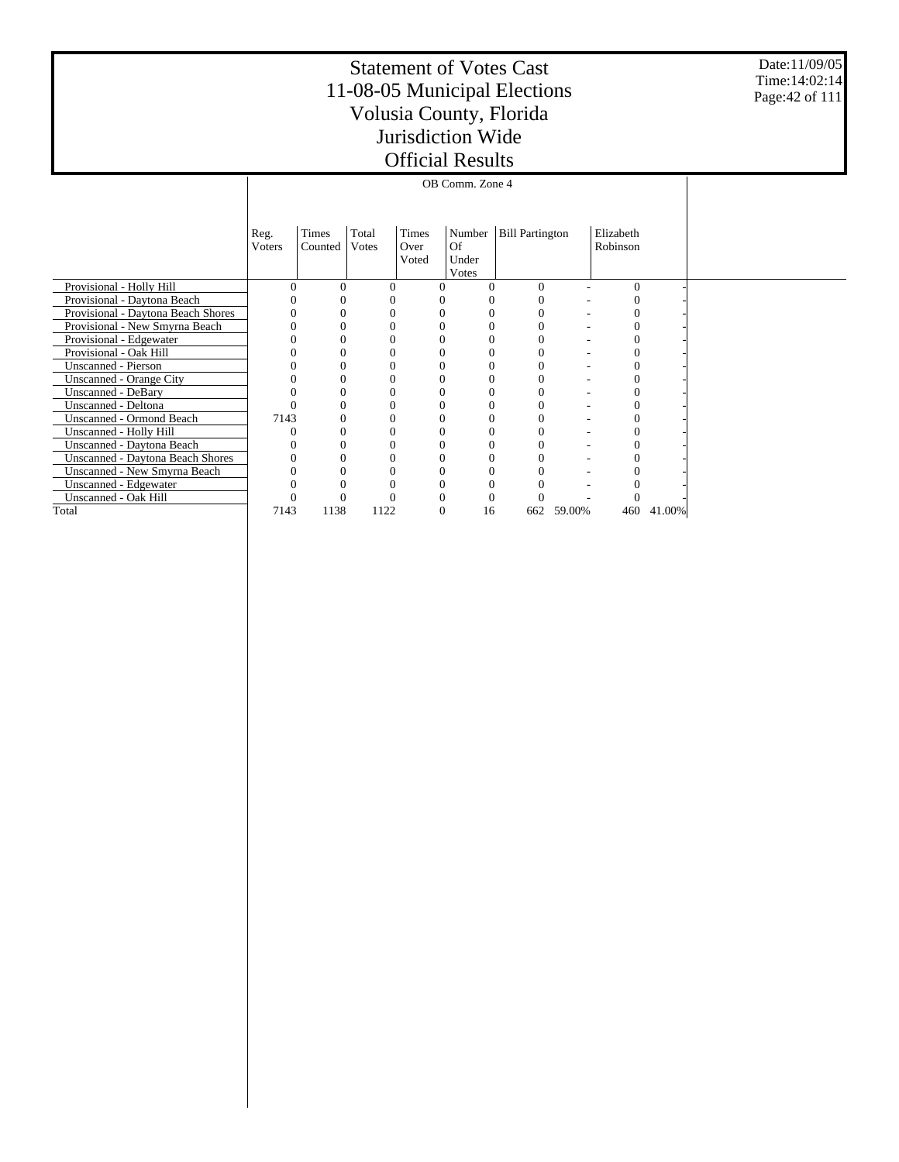Date:11/09/05 Time:14:02:14 Page:42 of 111

| OB Comm. Zone 4 |  |
|-----------------|--|
|-----------------|--|

|                                         | Reg.   | Times   | Total | Times | Number    |    | <b>Bill Partington</b> |        | Elizabeth |        |
|-----------------------------------------|--------|---------|-------|-------|-----------|----|------------------------|--------|-----------|--------|
|                                         | Voters | Counted | Votes | Over  | <b>Of</b> |    |                        |        | Robinson  |        |
|                                         |        |         |       | Voted | Under     |    |                        |        |           |        |
|                                         |        |         |       |       | Votes     |    |                        |        |           |        |
| Provisional - Holly Hill                |        | 0       |       |       | 0         |    | $\Omega$               |        | $\Omega$  |        |
| Provisional - Daytona Beach             |        |         |       |       |           |    |                        |        |           |        |
| Provisional - Daytona Beach Shores      |        |         |       |       |           |    |                        |        |           |        |
| Provisional - New Smyrna Beach          |        |         |       |       |           |    |                        |        |           |        |
| Provisional - Edgewater                 |        |         |       |       |           |    |                        |        |           |        |
| Provisional - Oak Hill                  |        |         |       |       |           |    |                        |        |           |        |
| Unscanned - Pierson                     |        |         |       |       |           |    |                        |        |           |        |
| Unscanned - Orange City                 |        |         |       |       |           |    |                        |        |           |        |
| Unscanned - DeBary                      |        |         |       |       |           |    |                        |        |           |        |
| Unscanned - Deltona                     |        |         |       |       |           |    |                        |        |           |        |
| Unscanned - Ormond Beach                | 7143   |         |       |       |           |    |                        |        |           |        |
| Unscanned - Holly Hill                  |        |         |       |       |           |    |                        |        |           |        |
| Unscanned - Daytona Beach               |        |         |       |       |           |    |                        |        |           |        |
| <b>Unscanned - Daytona Beach Shores</b> |        |         |       |       |           |    |                        |        |           |        |
| Unscanned - New Smyrna Beach            |        |         |       |       |           |    |                        |        |           |        |
| Unscanned - Edgewater                   |        |         |       |       |           |    |                        |        |           |        |
| Unscanned - Oak Hill                    |        |         |       |       |           |    |                        |        |           |        |
| Total                                   | 7143   | 1138    | 1122  |       | 0         | 16 | 662                    | 59.00% | 460       | 41.00% |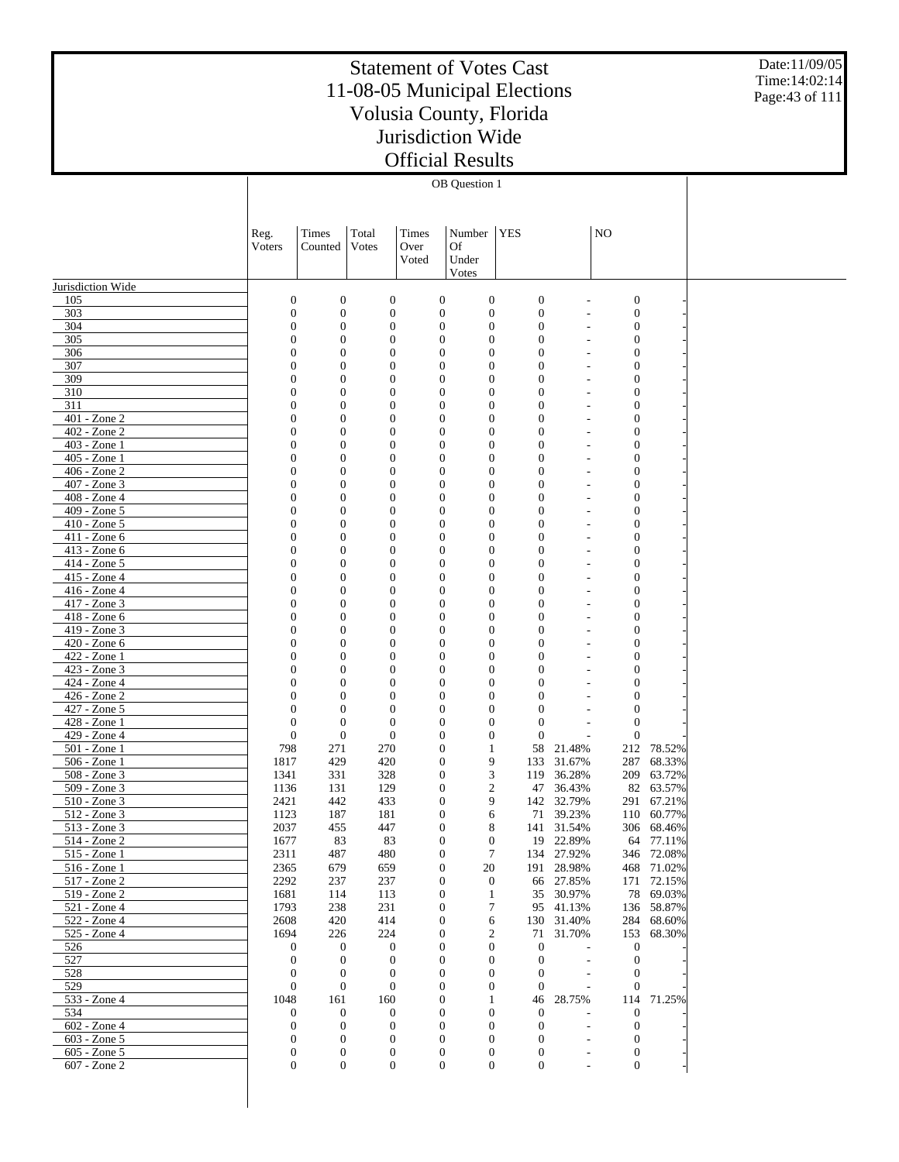Τ

 $\overline{\phantom{a}}$ 

Date:11/09/05 Time:14:02:14 Page:43 of 111

т

|                                    | OD Question 1              |                                    |            |                              |                                    |                                      |  |                            |                        |                                  |                          |  |
|------------------------------------|----------------------------|------------------------------------|------------|------------------------------|------------------------------------|--------------------------------------|--|----------------------------|------------------------|----------------------------------|--------------------------|--|
|                                    |                            |                                    |            |                              |                                    |                                      |  |                            |                        |                                  |                          |  |
|                                    |                            |                                    |            |                              |                                    |                                      |  |                            |                        |                                  |                          |  |
|                                    | Reg.<br>Voters             | Times<br>Counted   Votes           | Total      | Times<br>Over                |                                    | Number   YES<br><b>Of</b>            |  |                            |                        | NO                               |                          |  |
|                                    |                            |                                    |            | Voted                        |                                    | Under                                |  |                            |                        |                                  |                          |  |
|                                    |                            |                                    |            |                              |                                    | Votes                                |  |                            |                        |                                  |                          |  |
| Jurisdiction Wide                  |                            |                                    |            |                              |                                    |                                      |  |                            |                        |                                  |                          |  |
| 105                                | $\boldsymbol{0}$           | $\boldsymbol{0}$                   |            | $\boldsymbol{0}$             | $\boldsymbol{0}$                   | $\boldsymbol{0}$                     |  | $\boldsymbol{0}$           |                        | $\boldsymbol{0}$                 |                          |  |
| 303                                | $\overline{0}$             | $\boldsymbol{0}$                   |            | $\mathbf{0}$                 | $\boldsymbol{0}$                   | $\boldsymbol{0}$                     |  | $\overline{0}$             |                        | $\boldsymbol{0}$                 |                          |  |
| 304<br>305                         | $\mathbf{0}$<br>$\theta$   | $\boldsymbol{0}$<br>$\overline{0}$ |            | $\theta$<br>$\theta$         | $\overline{0}$<br>$\mathbf{0}$     | $\boldsymbol{0}$<br>$\boldsymbol{0}$ |  | $\theta$<br>$\overline{0}$ |                        | $\boldsymbol{0}$<br>$\mathbf{0}$ |                          |  |
| 306                                | $\overline{0}$             | $\boldsymbol{0}$                   |            | $\mathbf{0}$                 | $\mathbf{0}$                       | $\boldsymbol{0}$                     |  | $\overline{0}$             |                        | $\boldsymbol{0}$                 |                          |  |
| 307                                | $\theta$                   | $\mathbf{0}$                       |            | $\mathbf{0}$                 | $\mathbf{0}$                       | $\mathbf{0}$                         |  | $\theta$                   |                        | $\mathbf{0}$                     |                          |  |
| 309                                | $\overline{0}$             | $\boldsymbol{0}$                   |            | $\mathbf{0}$                 | $\mathbf{0}$                       | $\boldsymbol{0}$                     |  | $\theta$                   |                        | 0                                |                          |  |
| 310                                | $\theta$                   | $\overline{0}$                     |            | $\mathbf{0}$                 | $\mathbf{0}$                       | $\mathbf{0}$                         |  | $\theta$                   |                        | $\mathbf{0}$                     |                          |  |
| 311                                | $\overline{0}$             | $\boldsymbol{0}$                   |            | $\mathbf{0}$                 | $\mathbf{0}$                       | $\boldsymbol{0}$                     |  | $\overline{0}$             |                        | 0                                |                          |  |
| 401 - Zone 2                       | $\theta$                   | $\overline{0}$                     |            | $\mathbf{0}$                 | $\mathbf{0}$                       | $\mathbf{0}$                         |  | $\theta$<br>$\theta$       |                        | $\overline{0}$                   |                          |  |
| 402 - Zone 2<br>403 - Zone 1       | $\overline{0}$<br>$\theta$ | $\boldsymbol{0}$<br>$\overline{0}$ |            | $\mathbf{0}$<br>$\mathbf{0}$ | $\mathbf{0}$<br>$\mathbf{0}$       | $\boldsymbol{0}$<br>$\mathbf{0}$     |  | $\overline{0}$             |                        | 0<br>$\overline{0}$              |                          |  |
| 405 - Zone 1                       | $\overline{0}$             | $\boldsymbol{0}$                   |            | $\mathbf{0}$                 | $\mathbf{0}$                       | $\boldsymbol{0}$                     |  | $\overline{0}$             |                        | 0                                |                          |  |
| 406 - Zone 2                       | $\theta$                   | $\overline{0}$                     |            | $\mathbf{0}$                 | $\mathbf{0}$                       | $\mathbf{0}$                         |  | $\theta$                   |                        | $\overline{0}$                   |                          |  |
| 407 - Zone 3                       | $\overline{0}$             | $\boldsymbol{0}$                   |            | $\mathbf{0}$                 | $\mathbf{0}$                       | $\boldsymbol{0}$                     |  | $\theta$                   |                        | 0                                |                          |  |
| 408 - Zone 4                       | $\theta$                   | $\overline{0}$                     |            | $\mathbf{0}$                 | $\mathbf{0}$                       | $\mathbf{0}$                         |  | $\overline{0}$             |                        | $\overline{0}$                   |                          |  |
| 409 - Zone 5                       | $\overline{0}$             | $\boldsymbol{0}$                   |            | $\mathbf{0}$                 | $\mathbf{0}$                       | $\boldsymbol{0}$                     |  | $\overline{0}$             |                        | 0                                |                          |  |
| 410 - Zone 5                       | $\theta$                   | $\overline{0}$                     |            | $\mathbf{0}$                 | $\mathbf{0}$                       | $\mathbf{0}$                         |  | $\theta$                   |                        | $\mathbf{0}$                     |                          |  |
| $411 - Z$ one 6<br>$413 - Z$ one 6 | $\overline{0}$<br>$\theta$ | $\boldsymbol{0}$<br>$\overline{0}$ |            | $\mathbf{0}$<br>$\mathbf{0}$ | $\mathbf{0}$<br>$\mathbf{0}$       | $\boldsymbol{0}$<br>$\mathbf{0}$     |  | $\theta$<br>$\overline{0}$ |                        | 0<br>$\overline{0}$              |                          |  |
| 414 - Zone 5                       | $\overline{0}$             | $\boldsymbol{0}$                   |            | $\mathbf{0}$                 | $\mathbf{0}$                       | $\boldsymbol{0}$                     |  | $\overline{0}$             |                        | 0                                |                          |  |
| 415 - Zone 4                       | $\theta$                   | $\overline{0}$                     |            | $\mathbf{0}$                 | $\mathbf{0}$                       | $\mathbf{0}$                         |  | $\theta$                   |                        | $\mathbf{0}$                     |                          |  |
| 416 - Zone 4                       | $\overline{0}$             | $\boldsymbol{0}$                   |            | $\mathbf{0}$                 | $\mathbf{0}$                       | $\boldsymbol{0}$                     |  | $\theta$                   |                        | 0                                |                          |  |
| 417 - Zone 3                       | $\theta$                   | $\overline{0}$                     |            | $\mathbf{0}$                 | $\mathbf{0}$                       | $\mathbf{0}$                         |  | $\theta$                   |                        | $\overline{0}$                   |                          |  |
| 418 - Zone 6                       | $\overline{0}$             | $\boldsymbol{0}$                   |            | $\mathbf{0}$                 | $\mathbf{0}$                       | $\boldsymbol{0}$                     |  | $\theta$                   |                        | 0                                |                          |  |
| 419 - Zone 3                       | $\theta$                   | $\overline{0}$                     |            | $\mathbf{0}$                 | $\mathbf{0}$                       | $\mathbf{0}$                         |  | $\theta$                   |                        | $\overline{0}$                   |                          |  |
| 420 - Zone 6<br>422 - Zone 1       | $\overline{0}$<br>$\theta$ | $\overline{0}$<br>$\overline{0}$   |            | $\mathbf{0}$<br>$\mathbf{0}$ | $\overline{0}$<br>$\overline{0}$   | $\boldsymbol{0}$<br>$\mathbf{0}$     |  | $\theta$<br>$\theta$       |                        | 0<br>$\overline{0}$              |                          |  |
| 423 - Zone 3                       | $\overline{0}$             | $\overline{0}$                     |            | $\mathbf{0}$                 | $\overline{0}$                     | $\boldsymbol{0}$                     |  | $\theta$                   |                        | 0                                |                          |  |
| 424 - Zone 4                       | $\theta$                   | $\overline{0}$                     |            | $\mathbf{0}$                 | $\overline{0}$                     | $\mathbf{0}$                         |  | $\theta$                   |                        | $\overline{0}$                   |                          |  |
| 426 - Zone 2                       | $\overline{0}$             | $\overline{0}$                     |            | $\mathbf{0}$                 | $\overline{0}$                     | $\boldsymbol{0}$                     |  | $\theta$                   |                        | $\boldsymbol{0}$                 |                          |  |
| 427 - Zone 5                       | $\Omega$                   | $\overline{0}$                     |            | $\theta$                     | $\overline{0}$                     | $\mathbf{0}$                         |  | $\theta$                   |                        | $\mathbf{0}$                     |                          |  |
| 428 - Zone 1                       | $\overline{0}$             | $\boldsymbol{0}$                   |            | $\mathbf{0}$                 | $\overline{0}$                     | $\boldsymbol{0}$                     |  | $\theta$                   |                        | $\mathbf{0}$                     |                          |  |
| 429 - Zone 4                       | $\mathbf{0}$               | $\boldsymbol{0}$                   |            | $\boldsymbol{0}$             | $\overline{0}$                     | $\boldsymbol{0}$                     |  | $\Omega$                   |                        | $\mathbf{0}$                     |                          |  |
| 501 - Zone 1                       | 798                        | 271                                | 270        |                              | $\boldsymbol{0}$                   | $\mathbf{1}$                         |  | 58                         | 21.48%                 |                                  | 212 78.52%               |  |
| 506 - Zone 1<br>508 - Zone 3       | 1817<br>1341               | 429<br>331                         | 420<br>328 |                              | $\overline{0}$<br>$\boldsymbol{0}$ | 9<br>3                               |  | 119                        | 133 31.67%<br>36.28%   |                                  | 287 68.33%<br>209 63.72% |  |
| 509 - Zone 3                       | 1136                       | 131                                | 129        |                              | $\overline{0}$                     | 2                                    |  |                            | 47 36.43%              |                                  | 82 63.57%                |  |
| 510 - Zone 3                       | 2421                       | 442                                | 433        |                              | $\boldsymbol{0}$                   | 9                                    |  |                            | 142 32.79%             |                                  | 291 67.21%               |  |
| 512 - Zone 3                       | 1123                       | 187                                | 181        |                              | $\theta$                           | 6                                    |  |                            | 71 39.23%              |                                  | 110 60.77%               |  |
| 513 - Zone 3                       | 2037                       | 455                                | 447        |                              | $\theta$                           | 8                                    |  |                            | 141 31.54%             |                                  | 306 68.46%               |  |
| 514 - Zone 2                       | 1677                       | 83                                 | 83         |                              | $\Omega$                           | $\mathbf{0}$                         |  |                            | 19 22.89%              |                                  | 64 77.11%                |  |
| 515 - Zone 1                       | 2311                       | 487                                | 480        |                              | $\boldsymbol{0}$                   | $\tau$                               |  |                            | 134 27.92%             |                                  | 346 72.08%               |  |
| $516 - Z$ one 1<br>517 - Zone 2    | 2365<br>2292               | 679<br>237                         | 659<br>237 |                              | $\boldsymbol{0}$                   | 20                                   |  |                            | 191 28.98%             |                                  | 468 71.02%               |  |
| 519 - Zone 2                       | 1681                       | 114                                | 113        |                              | $\boldsymbol{0}$<br>$\theta$       | $\boldsymbol{0}$<br>1                |  |                            | 66 27.85%<br>35 30.97% |                                  | 171 72.15%<br>78 69.03%  |  |
| 521 - Zone 4                       | 1793                       | 238                                | 231        |                              | $\boldsymbol{0}$                   | 7                                    |  |                            | 95 41.13%              |                                  | 136 58.87%               |  |
| 522 - Zone 4                       | 2608                       | 420                                | 414        |                              | 0                                  | 6                                    |  |                            | 130 31.40%             |                                  | 284 68.60%               |  |
| 525 - Zone 4                       | 1694                       | 226                                | 224        |                              | $\overline{0}$                     | 2                                    |  |                            | 71 31.70%              |                                  | 153 68.30%               |  |
| 526                                | 0                          | $\overline{0}$                     |            | $\theta$                     | $\overline{0}$                     | $\mathbf{0}$                         |  | $\theta$                   | $\overline{a}$         | $\mathbf{0}$                     |                          |  |
| 527                                | $\boldsymbol{0}$           | $\overline{0}$                     |            | $\theta$                     | $\overline{0}$                     | $\mathbf{0}$                         |  | $\theta$                   |                        | $\mathbf{0}$                     |                          |  |
| 528                                | $\theta$                   | $\theta$                           |            | $\theta$                     | $\overline{0}$                     | $\mathbf{0}$                         |  | $\Omega$                   |                        | $\mathbf{0}$                     |                          |  |
| 529<br>533 - Zone 4                | $\theta$                   | $\theta$                           |            | $\boldsymbol{0}$             | $\overline{0}$                     | $\mathbf{0}$                         |  | $\overline{0}$             |                        | $\theta$                         |                          |  |
| 534                                | 1048<br>$\boldsymbol{0}$   | 161<br>$\theta$                    | 160        | $\boldsymbol{0}$             | $\overline{0}$<br>$\overline{0}$   | 1<br>$\mathbf{0}$                    |  | 46<br>$\Omega$             | 28.75%                 | $\theta$                         | 114 71.25%               |  |
| 602 - Zone 4                       | $\mathbf{0}$               | $\Omega$                           |            | $\Omega$                     | $\overline{0}$                     | $\mathbf{0}$                         |  | $\Omega$                   |                        | $\theta$                         |                          |  |
| 603 - Zone 5                       | $\mathbf{0}$               | $\overline{0}$                     |            | $\theta$                     | $\overline{0}$                     | $\mathbf{0}$                         |  | $\theta$                   |                        | $\mathbf{0}$                     |                          |  |
| $605 - Z$ one 5                    | $\mathbf{0}$               | $\boldsymbol{0}$                   |            | $\boldsymbol{0}$             | $\overline{0}$                     | $\boldsymbol{0}$                     |  | $\boldsymbol{0}$           | $\overline{a}$         | $\mathbf{0}$                     |                          |  |
| 607 - Zone 2                       | $\Omega$                   | $\overline{0}$                     |            | $\mathbf{0}$                 | $\overline{0}$                     | $\mathbf{0}$                         |  | $\mathbf{0}$               |                        | $\mathbf{0}$                     |                          |  |
|                                    |                            |                                    |            |                              |                                    |                                      |  |                            |                        |                                  |                          |  |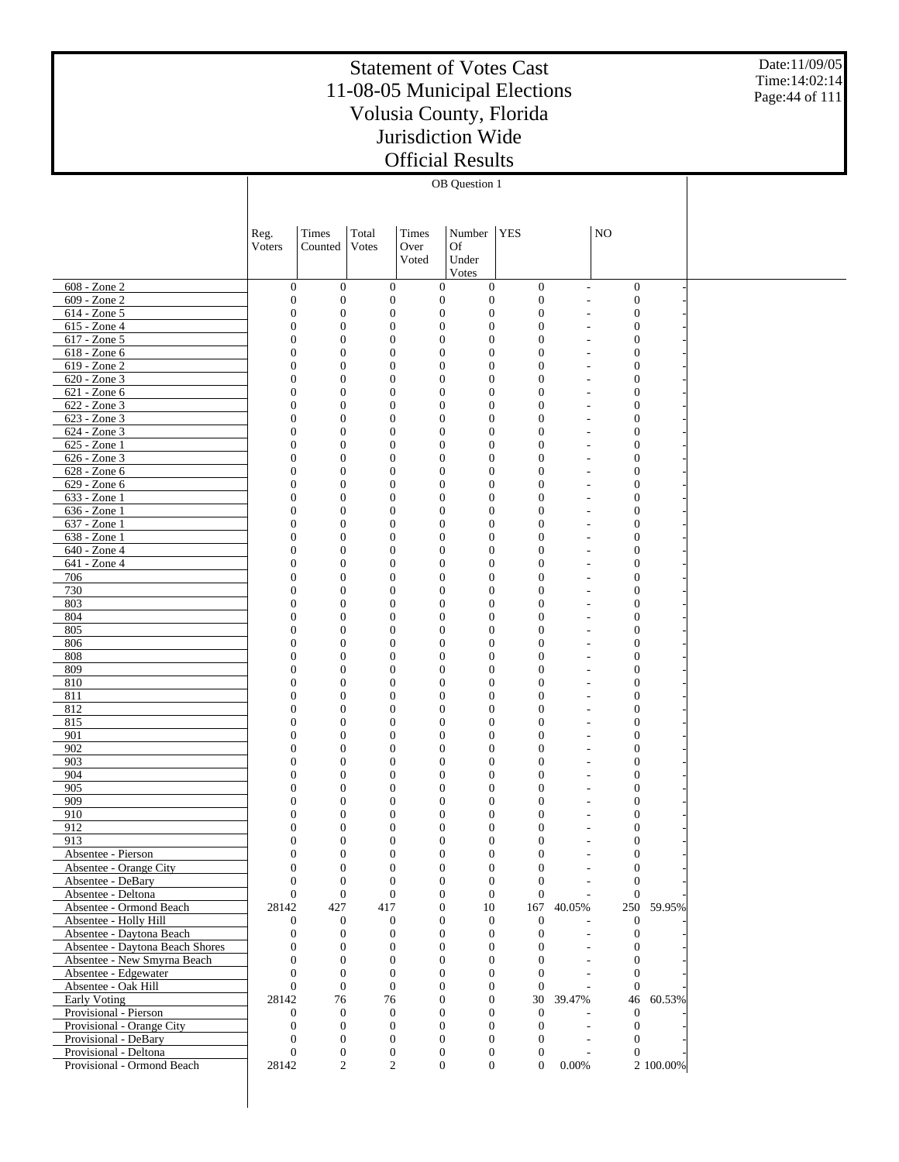Date:11/09/05 Time:14:02:14 Page:44 of 111

 $\overline{1}$ 

## Statement of Votes Cast 11-08-05 Municipal Elections Volusia County, Florida Jurisdiction Wide Official Results

 $\overline{1}$ 

|                                             | Reg.                                 | Times                              | Total                                | Times | Number                               | <b>YES</b>                       |                                      |                                  | NO                                   |            |  |
|---------------------------------------------|--------------------------------------|------------------------------------|--------------------------------------|-------|--------------------------------------|----------------------------------|--------------------------------------|----------------------------------|--------------------------------------|------------|--|
|                                             | Voters                               | Counted                            | <b>Votes</b>                         | Over  | <b>Of</b>                            |                                  |                                      |                                  |                                      |            |  |
|                                             |                                      |                                    |                                      | Voted | Under<br>Votes                       |                                  |                                      |                                  |                                      |            |  |
| 608 - Zone 2                                | $\boldsymbol{0}$                     | $\mathbf{0}$                       | $\mathbf{0}$                         |       | $\boldsymbol{0}$                     | $\mathbf{0}$                     | $\boldsymbol{0}$                     | $\overline{\phantom{a}}$         | $\boldsymbol{0}$                     |            |  |
| 609 - Zone 2                                | $\boldsymbol{0}$                     | $\boldsymbol{0}$                   | $\mathbf{0}$                         |       | $\boldsymbol{0}$                     | $\boldsymbol{0}$                 | $\boldsymbol{0}$                     | L,                               | $\boldsymbol{0}$                     |            |  |
| 614 - Zone 5                                | $\boldsymbol{0}$                     | $\boldsymbol{0}$                   | $\boldsymbol{0}$                     |       | $\boldsymbol{0}$                     | $\mathbf{0}$                     | $\boldsymbol{0}$                     | ÷,                               | $\boldsymbol{0}$                     |            |  |
| 615 - Zone 4<br>617 - Zone 5                | $\boldsymbol{0}$<br>$\boldsymbol{0}$ | $\mathbf{0}$<br>$\mathbf{0}$       | $\boldsymbol{0}$<br>$\boldsymbol{0}$ |       | $\boldsymbol{0}$<br>$\boldsymbol{0}$ | $\boldsymbol{0}$<br>$\mathbf{0}$ | $\boldsymbol{0}$<br>$\boldsymbol{0}$ |                                  | $\boldsymbol{0}$<br>$\boldsymbol{0}$ |            |  |
| 618 - Zone 6                                | $\mathbf{0}$                         | $\boldsymbol{0}$                   | $\boldsymbol{0}$                     |       | $\boldsymbol{0}$                     | $\mathbf{0}$                     | $\boldsymbol{0}$                     |                                  | $\boldsymbol{0}$                     |            |  |
| 619 - Zone 2                                | $\mathbf{0}$                         | $\mathbf{0}$                       | $\boldsymbol{0}$                     |       | $\boldsymbol{0}$                     | $\mathbf{0}$                     | $\boldsymbol{0}$                     |                                  | $\boldsymbol{0}$                     |            |  |
| 620 - Zone 3                                | $\mathbf{0}$                         | $\boldsymbol{0}$                   | $\boldsymbol{0}$                     |       | $\boldsymbol{0}$                     | $\mathbf{0}$                     | $\boldsymbol{0}$                     | ÷,                               | $\boldsymbol{0}$                     |            |  |
| $621 - Zone 6$                              | $\mathbf{0}$                         | $\mathbf{0}$                       | $\boldsymbol{0}$                     |       | $\boldsymbol{0}$                     | $\mathbf{0}$                     | $\boldsymbol{0}$                     | ÷,                               | $\boldsymbol{0}$                     |            |  |
| 622 - Zone 3                                | $\mathbf{0}$                         | $\boldsymbol{0}$                   | $\boldsymbol{0}$                     |       | $\boldsymbol{0}$                     | $\mathbf{0}$                     | $\boldsymbol{0}$                     | $\overline{a}$                   | $\boldsymbol{0}$                     |            |  |
| 623 - Zone 3<br>624 - Zone 3                | $\boldsymbol{0}$<br>$\mathbf{0}$     | $\mathbf{0}$<br>$\boldsymbol{0}$   | $\boldsymbol{0}$<br>$\boldsymbol{0}$ |       | $\boldsymbol{0}$<br>$\boldsymbol{0}$ | $\mathbf{0}$<br>$\mathbf{0}$     | $\boldsymbol{0}$<br>$\boldsymbol{0}$ | $\overline{a}$                   | $\boldsymbol{0}$<br>$\boldsymbol{0}$ |            |  |
| 625 - Zone 1                                | $\boldsymbol{0}$                     | $\mathbf{0}$                       | $\boldsymbol{0}$                     |       | $\boldsymbol{0}$                     | $\mathbf{0}$                     | $\boldsymbol{0}$                     | $\overline{a}$                   | $\boldsymbol{0}$                     |            |  |
| 626 - Zone 3                                | $\mathbf{0}$                         | $\boldsymbol{0}$                   | $\boldsymbol{0}$                     |       | $\boldsymbol{0}$                     | $\mathbf{0}$                     | $\boldsymbol{0}$                     | L,                               | $\boldsymbol{0}$                     |            |  |
| 628 - Zone 6                                | $\mathbf{0}$                         | $\overline{0}$                     | $\boldsymbol{0}$                     |       | $\boldsymbol{0}$                     | $\mathbf{0}$                     | $\boldsymbol{0}$                     | $\overline{a}$                   | $\boldsymbol{0}$                     |            |  |
| 629 - Zone 6                                | $\mathbf{0}$                         | $\boldsymbol{0}$                   | $\boldsymbol{0}$                     |       | $\boldsymbol{0}$                     | $\mathbf{0}$                     | $\boldsymbol{0}$                     | $\overline{a}$                   | $\boldsymbol{0}$                     |            |  |
| 633 - Zone 1                                | $\mathbf{0}$                         | $\mathbf{0}$                       | $\boldsymbol{0}$                     |       | $\boldsymbol{0}$                     | $\mathbf{0}$                     | $\boldsymbol{0}$                     | ÷,                               | $\boldsymbol{0}$                     |            |  |
| 636 - Zone 1<br>637 - Zone 1                | $\mathbf{0}$<br>$\boldsymbol{0}$     | $\boldsymbol{0}$<br>$\mathbf{0}$   | $\boldsymbol{0}$<br>$\boldsymbol{0}$ |       | $\boldsymbol{0}$<br>$\boldsymbol{0}$ | $\mathbf{0}$<br>$\mathbf{0}$     | $\boldsymbol{0}$<br>$\boldsymbol{0}$ | ÷,<br>÷,                         | $\boldsymbol{0}$<br>$\boldsymbol{0}$ |            |  |
| 638 - Zone 1                                | $\mathbf{0}$                         | $\boldsymbol{0}$                   | $\boldsymbol{0}$                     |       | $\boldsymbol{0}$                     | $\mathbf{0}$                     | $\boldsymbol{0}$                     |                                  | $\boldsymbol{0}$                     |            |  |
| 640 - Zone 4                                | $\boldsymbol{0}$                     | $\mathbf{0}$                       | $\boldsymbol{0}$                     |       | $\boldsymbol{0}$                     | $\mathbf{0}$                     | $\boldsymbol{0}$                     | $\overline{a}$                   | $\boldsymbol{0}$                     |            |  |
| 641 - Zone 4                                | $\mathbf{0}$                         | $\boldsymbol{0}$                   | $\boldsymbol{0}$                     |       | $\boldsymbol{0}$                     | $\mathbf{0}$                     | $\boldsymbol{0}$                     | ÷,                               | $\boldsymbol{0}$                     |            |  |
| 706                                         | $\mathbf{0}$                         | $\overline{0}$                     | $\boldsymbol{0}$                     |       | $\boldsymbol{0}$                     | $\mathbf{0}$                     | $\boldsymbol{0}$                     | ÷,                               | $\boldsymbol{0}$                     |            |  |
| 730                                         | $\mathbf{0}$                         | $\boldsymbol{0}$                   | $\boldsymbol{0}$                     |       | $\boldsymbol{0}$                     | $\mathbf{0}$                     | $\boldsymbol{0}$                     | $\overline{a}$                   | $\boldsymbol{0}$                     |            |  |
| 803<br>804                                  | $\boldsymbol{0}$<br>$\mathbf{0}$     | $\mathbf{0}$<br>$\boldsymbol{0}$   | $\boldsymbol{0}$<br>$\boldsymbol{0}$ |       | $\boldsymbol{0}$<br>$\boldsymbol{0}$ | $\mathbf{0}$<br>$\mathbf{0}$     | $\boldsymbol{0}$<br>$\boldsymbol{0}$ | $\overline{a}$<br>÷,             | $\boldsymbol{0}$<br>$\boldsymbol{0}$ |            |  |
| 805                                         | $\boldsymbol{0}$                     | $\overline{0}$                     | $\boldsymbol{0}$                     |       | $\boldsymbol{0}$                     | $\mathbf{0}$                     | $\boldsymbol{0}$                     |                                  | $\boldsymbol{0}$                     |            |  |
| 806                                         | $\mathbf{0}$                         | $\boldsymbol{0}$                   | $\boldsymbol{0}$                     |       | $\boldsymbol{0}$                     | $\mathbf{0}$                     | $\boldsymbol{0}$                     |                                  | $\boldsymbol{0}$                     |            |  |
| 808                                         | $\mathbf{0}$                         | $\mathbf{0}$                       | $\boldsymbol{0}$                     |       | $\boldsymbol{0}$                     | $\mathbf{0}$                     | $\boldsymbol{0}$                     | $\overline{a}$                   | $\boldsymbol{0}$                     |            |  |
| 809                                         | $\mathbf{0}$                         | $\boldsymbol{0}$                   | $\boldsymbol{0}$                     |       | $\boldsymbol{0}$                     | $\mathbf{0}$                     | $\boldsymbol{0}$                     | ÷,                               | $\boldsymbol{0}$                     |            |  |
| 810                                         | $\boldsymbol{0}$                     | $\overline{0}$                     | $\boldsymbol{0}$                     |       | $\boldsymbol{0}$                     | $\mathbf{0}$                     | $\boldsymbol{0}$                     | ÷,                               | $\boldsymbol{0}$                     |            |  |
| 811<br>812                                  | $\mathbf{0}$<br>$\boldsymbol{0}$     | $\boldsymbol{0}$<br>$\mathbf{0}$   | $\boldsymbol{0}$<br>$\boldsymbol{0}$ |       | $\boldsymbol{0}$<br>$\boldsymbol{0}$ | $\mathbf{0}$<br>$\mathbf{0}$     | $\boldsymbol{0}$<br>$\boldsymbol{0}$ | $\overline{a}$<br>$\overline{a}$ | $\boldsymbol{0}$<br>$\boldsymbol{0}$ |            |  |
| 815                                         | $\mathbf{0}$                         | $\boldsymbol{0}$                   | $\boldsymbol{0}$                     |       | $\boldsymbol{0}$                     | $\mathbf{0}$                     | $\boldsymbol{0}$                     | ÷,                               | $\boldsymbol{0}$                     |            |  |
| 901                                         | $\mathbf{0}$                         | $\overline{0}$                     | $\boldsymbol{0}$                     |       | $\boldsymbol{0}$                     | $\mathbf{0}$                     | $\boldsymbol{0}$                     | L,                               | $\boldsymbol{0}$                     |            |  |
| 902                                         | $\mathbf{0}$                         | $\boldsymbol{0}$                   | $\boldsymbol{0}$                     |       | $\boldsymbol{0}$                     | $\mathbf{0}$                     | $\boldsymbol{0}$                     | ÷,                               | $\boldsymbol{0}$                     |            |  |
| 903                                         | $\mathbf{0}$                         | $\overline{0}$                     | $\boldsymbol{0}$                     |       | $\boldsymbol{0}$                     | $\mathbf{0}$                     | $\boldsymbol{0}$                     | ÷,                               | $\boldsymbol{0}$                     |            |  |
| 904                                         | $\mathbf{0}$                         | $\boldsymbol{0}$                   | $\boldsymbol{0}$                     |       | $\boldsymbol{0}$                     | $\mathbf{0}$                     | $\boldsymbol{0}$                     | ÷,                               | $\boldsymbol{0}$                     |            |  |
| 905<br>909                                  | $\mathbf{0}$<br>$\mathbf{0}$         | $\overline{0}$<br>$\boldsymbol{0}$ | $\boldsymbol{0}$<br>$\boldsymbol{0}$ |       | $\boldsymbol{0}$<br>$\boldsymbol{0}$ | $\mathbf{0}$<br>$\mathbf{0}$     | $\boldsymbol{0}$<br>$\boldsymbol{0}$ |                                  | $\boldsymbol{0}$<br>$\boldsymbol{0}$ |            |  |
| 910                                         | $\mathbf{0}$                         | $\mathbf{0}$                       | $\boldsymbol{0}$                     |       | $\boldsymbol{0}$                     | $\mathbf{0}$                     | $\boldsymbol{0}$                     |                                  | $\boldsymbol{0}$                     |            |  |
| 912                                         | $\theta$                             | $\boldsymbol{0}$                   | $\boldsymbol{0}$                     |       | $\mathbf{0}$                         | $\mathbf{0}$                     | $\boldsymbol{0}$                     |                                  | $\boldsymbol{0}$                     |            |  |
| 913                                         | $\mathbf{0}$                         | $\overline{0}$                     | $\overline{0}$                       |       | $\boldsymbol{0}$                     | $\theta$                         | $\mathbf{0}$                         | $\overline{a}$                   | $\boldsymbol{0}$                     |            |  |
| Absentee - Pierson                          | $\theta$                             | $\theta$                           | $\theta$                             |       | $\theta$                             | $\theta$                         | $\theta$                             |                                  | $\theta$                             |            |  |
| Absentee - Orange City                      | $\boldsymbol{0}$                     | $\overline{0}$                     | $\boldsymbol{0}$                     |       | $\boldsymbol{0}$                     | $\mathbf{0}$                     | $\boldsymbol{0}$                     |                                  | $\boldsymbol{0}$                     |            |  |
| Absentee - DeBary<br>Absentee - Deltona     | $\mathbf{0}$<br>$\mathbf{0}$         | $\overline{0}$<br>$\overline{0}$   | $\mathbf{0}$<br>$\theta$             |       | $\boldsymbol{0}$<br>$\boldsymbol{0}$ | $\overline{0}$<br>$\mathbf{0}$   | $\theta$<br>$\mathbf{0}$             |                                  | $\mathbf{0}$<br>$\mathbf{0}$         |            |  |
| Absentee - Ormond Beach                     | 28142                                | 427                                | 417                                  |       | $\mathbf{0}$                         | 10                               | 167                                  | 40.05%                           |                                      | 250 59.95% |  |
| Absentee - Holly Hill                       | $\mathbf{0}$                         | $\overline{0}$                     | $\overline{0}$                       |       | $\boldsymbol{0}$                     | $\mathbf{0}$                     | $\mathbf{0}$                         |                                  | $\boldsymbol{0}$                     |            |  |
| Absentee - Daytona Beach                    | $\mathbf{0}$                         | $\overline{0}$                     | $\mathbf{0}$                         |       | $\boldsymbol{0}$                     | $\overline{0}$                   | $\mathbf{0}$                         |                                  | $\mathbf{0}$                         |            |  |
| Absentee - Daytona Beach Shores             | $\mathbf{0}$                         | $\Omega$                           | $\mathbf{0}$                         |       | $\boldsymbol{0}$                     | $\overline{0}$                   | $\mathbf{0}$                         |                                  | $\mathbf{0}$                         |            |  |
| Absentee - New Smyrna Beach                 | $\mathbf{0}$                         | $\overline{0}$                     | $\mathbf{0}$                         |       | $\boldsymbol{0}$                     | $\theta$                         | $\Omega$                             |                                  | $\mathbf{0}$                         |            |  |
| Absentee - Edgewater<br>Absentee - Oak Hill | $\mathbf{0}$<br>$\Omega$             | $\Omega$<br>$\overline{0}$         | $\mathbf{0}$<br>$\theta$             |       | $\boldsymbol{0}$<br>$\boldsymbol{0}$ | $\theta$<br>$\theta$             | $\mathbf{0}$<br>$\mathbf{0}$         |                                  | $\mathbf{0}$<br>$\mathbf{0}$         |            |  |
| Early Voting                                | 28142                                | 76                                 | 76                                   |       | $\boldsymbol{0}$                     | $\overline{0}$                   | 30                                   | 39.47%                           |                                      | 46 60.53%  |  |
| Provisional - Pierson                       | $\boldsymbol{0}$                     | $\overline{0}$                     | $\mathbf{0}$                         |       | $\boldsymbol{0}$                     | $\theta$                         | $\boldsymbol{0}$                     |                                  | $\mathbf{0}$                         |            |  |
| Provisional - Orange City                   | $\mathbf{0}$                         | $\Omega$                           | $\mathbf{0}$                         |       | $\mathbf{0}$                         | $\overline{0}$                   | $\theta$                             | L,                               | $\boldsymbol{0}$                     |            |  |
| Provisional - DeBary                        | $\mathbf{0}$                         | $\overline{0}$                     | $\mathbf{0}$                         |       | $\theta$                             | $\theta$                         | $\overline{0}$                       |                                  | $\theta$                             |            |  |
| Provisional - Deltona                       | $\mathbf{0}$                         | $\overline{0}$                     | $\boldsymbol{0}$                     |       | $\mathbf{0}$                         | $\overline{0}$                   | $\overline{0}$                       |                                  | $\theta$                             |            |  |
| Provisional - Ormond Beach                  | 28142                                | 2                                  | 2                                    |       | $\boldsymbol{0}$                     | $\overline{0}$                   | $\overline{0}$                       | 0.00%                            |                                      | 2 100.00%  |  |
|                                             |                                      |                                    |                                      |       |                                      |                                  |                                      |                                  |                                      |            |  |
|                                             |                                      |                                    |                                      |       |                                      |                                  |                                      |                                  |                                      |            |  |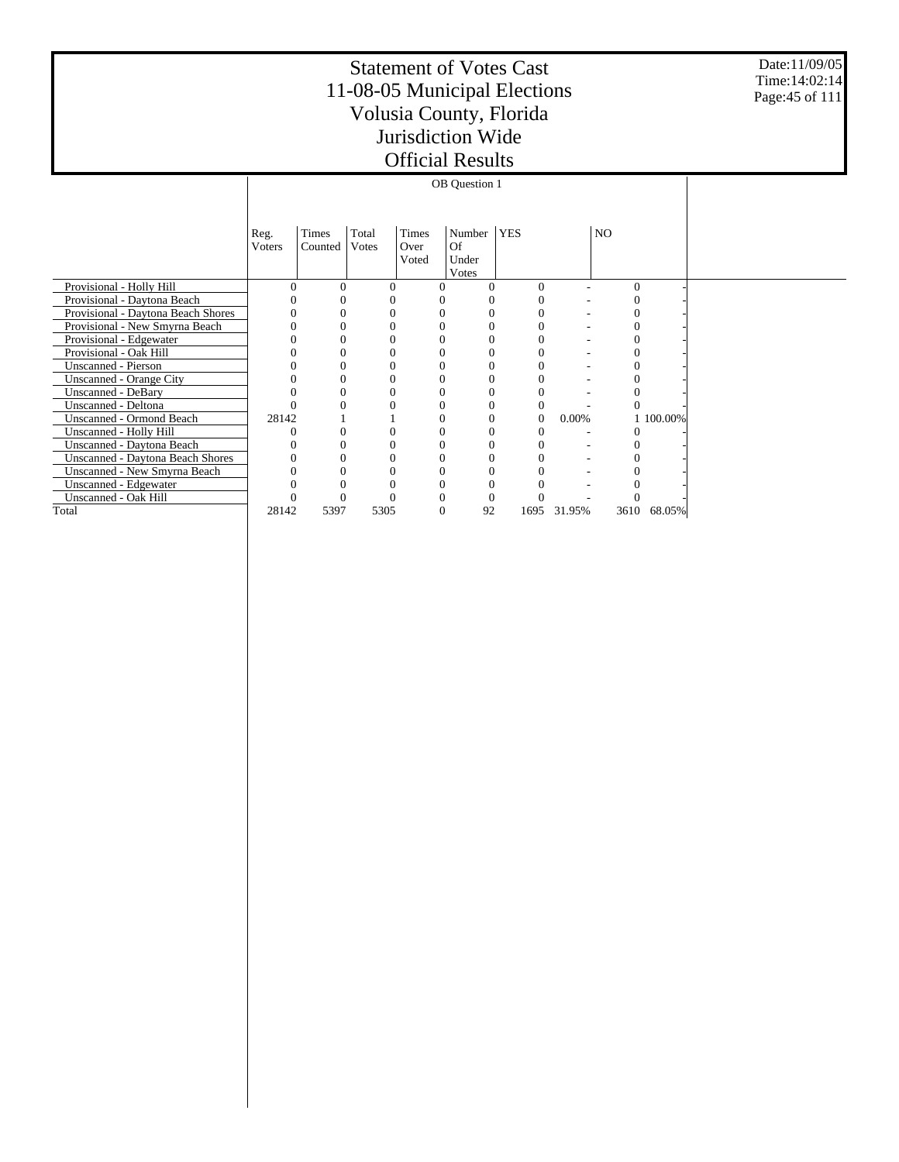Date:11/09/05 Time:14:02:14 Page:45 of 111

|                                         | Reg.<br>Voters | Times<br>Counted | Total<br>Votes | Times<br>Over<br>Voted | <b>Of</b> | Number   YES<br>Under |          |             | N <sub>O</sub> |             |
|-----------------------------------------|----------------|------------------|----------------|------------------------|-----------|-----------------------|----------|-------------|----------------|-------------|
|                                         |                |                  |                |                        |           | Votes                 |          |             |                |             |
| Provisional - Holly Hill                |                |                  |                |                        | $\Omega$  |                       | $\Omega$ |             |                |             |
| Provisional - Daytona Beach             |                |                  |                |                        |           |                       |          |             |                |             |
| Provisional - Daytona Beach Shores      |                |                  |                |                        |           |                       |          |             |                |             |
| Provisional - New Smyrna Beach          |                |                  |                |                        |           |                       |          |             |                |             |
| Provisional - Edgewater                 |                |                  |                |                        |           |                       |          |             |                |             |
| Provisional - Oak Hill                  |                |                  |                |                        |           |                       |          |             |                |             |
| Unscanned - Pierson                     |                |                  |                |                        |           |                       |          |             |                |             |
| Unscanned - Orange City                 |                |                  |                |                        |           |                       |          |             |                |             |
| <b>Unscanned - DeBary</b>               |                |                  |                |                        |           |                       |          |             |                |             |
| Unscanned - Deltona                     |                |                  |                |                        |           |                       |          |             |                |             |
| Unscanned - Ormond Beach                | 28142          |                  |                |                        |           |                       |          | 0.00%       |                | 1 100,00%   |
| Unscanned - Holly Hill                  |                |                  |                |                        | $\Omega$  |                       |          |             |                |             |
| Unscanned - Daytona Beach               |                |                  |                |                        |           |                       |          |             |                |             |
| <b>Unscanned - Daytona Beach Shores</b> |                |                  |                |                        |           |                       |          |             |                |             |
| Unscanned - New Smyrna Beach            |                |                  |                |                        |           |                       |          |             |                |             |
| Unscanned - Edgewater                   |                |                  |                |                        |           |                       |          |             |                |             |
| Unscanned - Oak Hill                    |                |                  |                |                        |           |                       |          |             |                |             |
| Total                                   | 28142          | 5397             | 5305           |                        | $\theta$  | 92                    |          | 1695 31.95% |                | 3610 68.05% |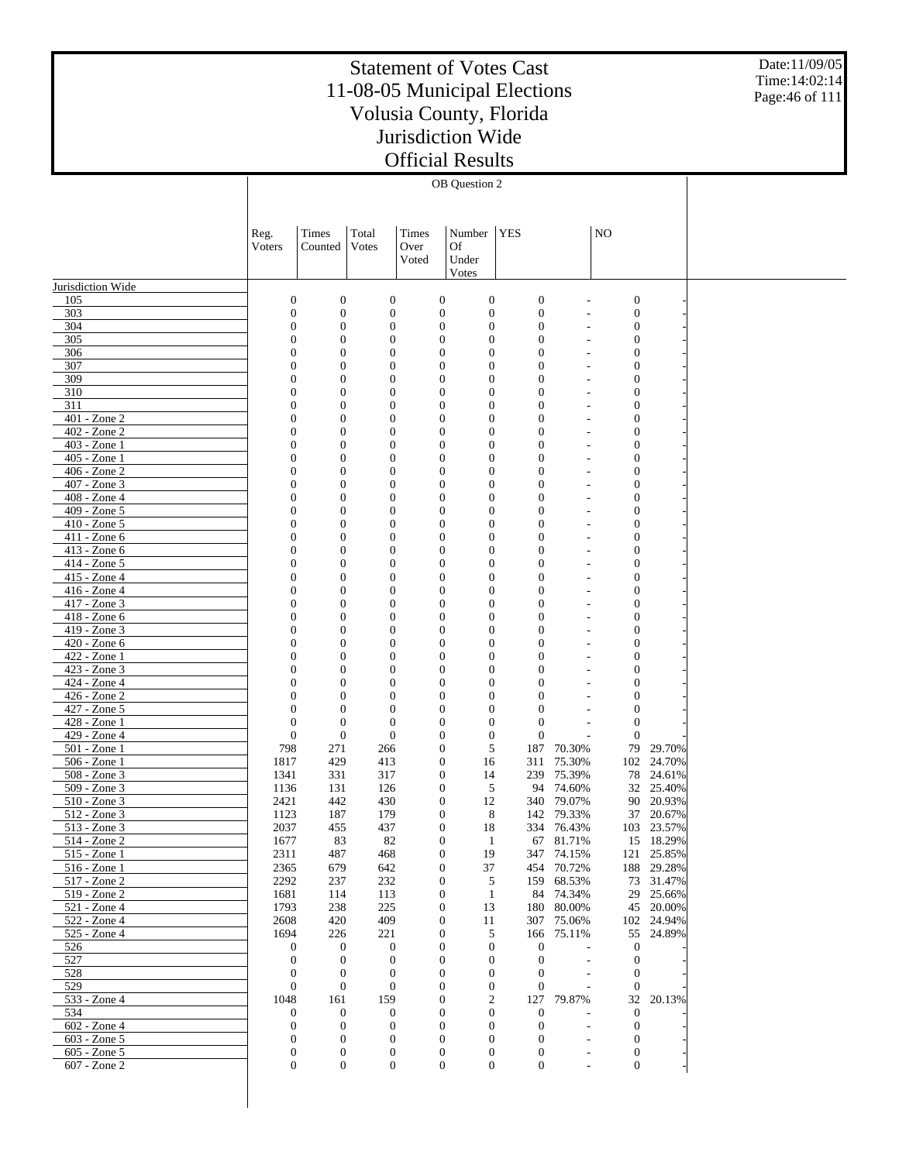Date:11/09/05 Time:14:02:14 Page:46 of 111

т

## Statement of Votes Cast 11-08-05 Municipal Elections Volusia County, Florida Jurisdiction Wide Official Results

Τ

|                                 | $\sigma$ $\sigma$ $\sigma$ $\sigma$ |                              |                                  |                        |                                                                            |     |                                  |                         |                     |                          |  |
|---------------------------------|-------------------------------------|------------------------------|----------------------------------|------------------------|----------------------------------------------------------------------------|-----|----------------------------------|-------------------------|---------------------|--------------------------|--|
|                                 | Reg.<br>Voters                      | Times<br>Counted             | Total<br>  Votes                 | Times<br>Over<br>Voted | Number<br><b>Of</b><br>Under<br><b>V</b> otes                              | YES |                                  |                         | $\rm NO$            |                          |  |
| Jurisdiction Wide               |                                     |                              |                                  |                        |                                                                            |     |                                  |                         |                     |                          |  |
| 105                             | $\boldsymbol{0}$                    | $\boldsymbol{0}$             | $\boldsymbol{0}$                 |                        | $\boldsymbol{0}$<br>$\boldsymbol{0}$                                       |     | $\mathbf{0}$                     |                         | $\mathbf{0}$        |                          |  |
| 303                             | $\theta$                            | $\mathbf{0}$                 | $\boldsymbol{0}$                 |                        | $\boldsymbol{0}$<br>$\mathbf{0}$                                           |     | $\mathbf{0}$                     |                         | $\boldsymbol{0}$    |                          |  |
| 304                             | $\mathbf{0}$                        | $\mathbf{0}$                 | $\boldsymbol{0}$                 |                        | $\boldsymbol{0}$<br>$\boldsymbol{0}$                                       |     | $\mathbf{0}$                     |                         | 0                   |                          |  |
| 305                             | $\mathbf{0}$                        | $\mathbf{0}$                 | $\mathbf{0}$                     |                        | $\overline{0}$<br>$\mathbf{0}$                                             |     | $\mathbf{0}$                     |                         | 0                   |                          |  |
| 306                             | 0                                   | $\mathbf{0}$                 | $\boldsymbol{0}$                 |                        | $\boldsymbol{0}$<br>$\mathbf{0}$                                           |     | $\overline{0}$                   |                         | $\overline{0}$      |                          |  |
| 307                             | 0                                   | $\mathbf{0}$                 | $\mathbf{0}$                     |                        | $\overline{0}$<br>$\boldsymbol{0}$                                         |     | $\overline{0}$                   |                         | 0                   |                          |  |
| 309                             | 0                                   | $\mathbf{0}$                 | $\boldsymbol{0}$                 |                        | $\boldsymbol{0}$<br>$\boldsymbol{0}$                                       |     | $\overline{0}$                   |                         | $\overline{0}$      |                          |  |
| 310                             | $\Omega$                            | $\mathbf{0}$                 | $\mathbf{0}$                     |                        | $\overline{0}$<br>$\mathbf{0}$                                             |     | $\overline{0}$                   |                         | 0                   |                          |  |
| 311<br>401 - Zone 2             | 0<br>0                              | $\mathbf{0}$<br>$\mathbf{0}$ | $\boldsymbol{0}$<br>$\mathbf{0}$ |                        | $\boldsymbol{0}$<br>$\mathbf{0}$<br>$\overline{0}$<br>$\boldsymbol{0}$     |     | $\overline{0}$<br>$\overline{0}$ |                         | $\overline{0}$<br>0 |                          |  |
| 402 - Zone 2                    | 0                                   | $\mathbf{0}$                 | $\boldsymbol{0}$                 |                        | $\boldsymbol{0}$<br>$\boldsymbol{0}$                                       |     | $\overline{0}$                   |                         | $\overline{0}$      |                          |  |
| 403 - Zone 1                    | $\Omega$                            | $\mathbf{0}$                 | $\mathbf{0}$                     |                        | $\overline{0}$<br>$\mathbf{0}$                                             |     | $\overline{0}$                   |                         | 0                   |                          |  |
| 405 - Zone 1                    | $\boldsymbol{0}$                    | $\mathbf{0}$                 | $\boldsymbol{0}$                 |                        | $\boldsymbol{0}$<br>$\mathbf{0}$                                           |     | $\overline{0}$                   |                         | $\overline{0}$      |                          |  |
| 406 - Zone 2                    | 0                                   | $\mathbf{0}$                 | $\mathbf{0}$                     |                        | $\overline{0}$<br>$\boldsymbol{0}$                                         |     | $\overline{0}$                   |                         | 0                   |                          |  |
| 407 - Zone 3                    | 0                                   | $\mathbf{0}$                 | $\boldsymbol{0}$                 |                        | $\boldsymbol{0}$<br>$\boldsymbol{0}$                                       |     | $\overline{0}$                   |                         | $\overline{0}$      |                          |  |
| 408 - Zone 4                    | $\Omega$                            | $\mathbf{0}$                 | $\mathbf{0}$                     |                        | $\overline{0}$<br>$\mathbf{0}$                                             |     | $\overline{0}$                   |                         | 0                   |                          |  |
| 409 - Zone 5                    | 0                                   | $\mathbf{0}$                 | $\boldsymbol{0}$                 |                        | $\boldsymbol{0}$<br>$\boldsymbol{0}$                                       |     | $\overline{0}$                   |                         | $\overline{0}$      |                          |  |
| 410 - Zone 5                    | 0                                   | $\mathbf{0}$                 | $\mathbf{0}$                     |                        | $\overline{0}$<br>$\boldsymbol{0}$                                         |     | $\overline{0}$                   |                         | 0                   |                          |  |
| 411 - Zone 6                    | 0                                   | $\mathbf{0}$                 | $\boldsymbol{0}$                 |                        | $\boldsymbol{0}$<br>$\boldsymbol{0}$                                       |     | $\overline{0}$                   |                         | $\overline{0}$      |                          |  |
| $413 - Z$ one 6                 | $\Omega$                            | $\mathbf{0}$                 | $\mathbf{0}$                     |                        | $\overline{0}$<br>$\mathbf{0}$                                             |     | $\overline{0}$                   |                         | 0                   |                          |  |
| $414 - Z$ one 5                 | 0                                   | $\mathbf{0}$                 | $\boldsymbol{0}$                 |                        | $\boldsymbol{0}$<br>$\boldsymbol{0}$                                       |     | $\overline{0}$                   |                         | $\overline{0}$      |                          |  |
| 415 - Zone 4                    | 0                                   | $\mathbf{0}$                 | $\mathbf{0}$                     |                        | $\overline{0}$<br>$\boldsymbol{0}$                                         |     | $\overline{0}$                   |                         | 0                   |                          |  |
| $416 -$ Zone $4$                | 0                                   | $\mathbf{0}$                 | $\boldsymbol{0}$                 |                        | $\boldsymbol{0}$<br>$\boldsymbol{0}$                                       |     | $\overline{0}$                   |                         | $\overline{0}$      |                          |  |
| 417 - Zone 3                    | $\Omega$                            | $\mathbf{0}$                 | $\mathbf{0}$                     |                        | $\overline{0}$<br>$\boldsymbol{0}$                                         |     | $\overline{0}$                   |                         | 0                   |                          |  |
| $418 - Z$ one 6<br>419 - Zone 3 | 0<br>0                              | $\mathbf{0}$<br>$\theta$     | $\boldsymbol{0}$<br>$\mathbf{0}$ |                        | $\boldsymbol{0}$<br>$\boldsymbol{0}$<br>$\overline{0}$<br>$\boldsymbol{0}$ |     | $\overline{0}$<br>$\overline{0}$ |                         | $\overline{0}$<br>0 |                          |  |
| 420 - Zone 6                    | 0                                   | 0                            | $\boldsymbol{0}$                 |                        | $\boldsymbol{0}$<br>$\boldsymbol{0}$                                       |     | $\overline{0}$                   |                         | $\overline{0}$      |                          |  |
| 422 - Zone 1                    | $\Omega$                            | $\mathbf{0}$                 | $\mathbf{0}$                     |                        | $\overline{0}$<br>$\boldsymbol{0}$                                         |     | 0                                |                         | 0                   |                          |  |
| 423 - Zone 3                    | 0                                   | $\mathbf{0}$                 | $\boldsymbol{0}$                 |                        | $\boldsymbol{0}$<br>$\boldsymbol{0}$                                       |     | $\overline{0}$                   |                         | $\overline{0}$      |                          |  |
| 424 - Zone 4                    | 0                                   | $\overline{0}$               | $\mathbf{0}$                     |                        | $\overline{0}$<br>$\mathbf{0}$                                             |     | 0                                |                         | 0                   |                          |  |
| 426 - Zone 2                    | $\boldsymbol{0}$                    | $\overline{0}$               | $\boldsymbol{0}$                 |                        | $\boldsymbol{0}$<br>$\boldsymbol{0}$                                       |     | 0                                |                         | $\overline{0}$      |                          |  |
| 427 - Zone 5                    | $\mathbf{0}$                        | $\overline{0}$               | $\mathbf{0}$                     |                        | $\boldsymbol{0}$<br>$\mathbf{0}$                                           |     | 0                                |                         | $\theta$            |                          |  |
| 428 - Zone 1                    | $\mathbf{0}$                        | $\boldsymbol{0}$             | $\boldsymbol{0}$                 |                        | $\boldsymbol{0}$<br>$\mathbf{0}$                                           |     | $\overline{0}$                   |                         | $\overline{0}$      |                          |  |
| 429 - Zone 4                    | $\mathbf{0}$                        | $\mathbf{0}$                 | $\boldsymbol{0}$                 |                        | $\boldsymbol{0}$<br>$\mathbf{0}$                                           |     | $\overline{0}$                   |                         | $\overline{0}$      |                          |  |
| 501 - Zone 1                    | 798                                 | 271                          | 266                              |                        | $\boldsymbol{0}$<br>5                                                      |     | 187                              | 70.30%                  | 79                  | 29.70%                   |  |
| 506 - Zone 1                    | 1817                                | 429                          | 413                              |                        | $\boldsymbol{0}$<br>16                                                     |     |                                  | 311 75.30%              |                     | 102 24.70%               |  |
| 508 - Zone 3                    | 1341                                | 331                          | 317                              |                        | $\boldsymbol{0}$<br>14                                                     |     | 239                              | 75.39%                  |                     | 78 24.61%                |  |
| 509 - Zone 3                    | 1136                                | 131                          | 126                              |                        | $\boldsymbol{0}$<br>5                                                      |     |                                  | 94 74.60%               |                     | 32 25.40%                |  |
| $510 - Z$ one 3                 | 2421                                | 442                          | 430                              |                        | 12<br>$\boldsymbol{0}$                                                     |     |                                  | 340 79.07%              |                     | 90 20.93%                |  |
| 512 - Zone 3                    | 1123                                | 187                          | 179                              |                        | $\boldsymbol{0}$<br>8                                                      |     |                                  | 142 79.33%              |                     | 37 20.67%                |  |
| 513 - Zone 3                    | 2037                                | 455                          | 437                              |                        | $\boldsymbol{0}$<br>18                                                     |     |                                  | 334 76.43%              |                     | 103 23.57%               |  |
| 514 - Zone 2<br>515 - Zone 1    | 1677<br>2311                        | 83<br>487                    | 82                               |                        | $\Omega$<br>$\mathbf{1}$                                                   |     |                                  | 67 81.71%<br>347 74.15% |                     | 15 18.29%                |  |
| 516 - Zone 1                    | 2365                                | 679                          | 468<br>642                       |                        | $\boldsymbol{0}$<br>19<br>$\boldsymbol{0}$<br>37                           |     |                                  | 454 70.72%              |                     | 121 25.85%<br>188 29.28% |  |
| 517 - Zone 2                    | 2292                                | 237                          | 232                              |                        | $\boldsymbol{0}$<br>5                                                      |     | 159                              | 68.53%                  |                     | 73 31.47%                |  |
| 519 - Zone 2                    | 1681                                | 114                          | 113                              |                        | $\boldsymbol{0}$<br>1                                                      |     |                                  | 84 74.34%               |                     | 29 25.66%                |  |
| 521 - Zone 4                    | 1793                                | 238                          | 225                              |                        | $\boldsymbol{0}$<br>13                                                     |     |                                  | 180 80.00%              |                     | 45 20.00%                |  |
| 522 - Zone 4                    | 2608                                | 420                          | 409                              |                        | $\boldsymbol{0}$<br>11                                                     |     |                                  | 307 75.06%              |                     | 102 24.94%               |  |
| 525 - Zone 4                    | 1694                                | 226                          | 221                              |                        | $\boldsymbol{0}$<br>5                                                      |     |                                  | 166 75.11%              |                     | 55 24.89%                |  |
| 526                             | 0                                   | $\boldsymbol{0}$             | $\boldsymbol{0}$                 |                        | $\boldsymbol{0}$<br>$\mathbf{0}$                                           |     | $\mathbf{0}$                     |                         | $\overline{0}$      |                          |  |
| 527                             | $\boldsymbol{0}$                    | $\boldsymbol{0}$             | $\mathbf{0}$                     |                        | $\boldsymbol{0}$<br>$\mathbf{0}$                                           |     | $\boldsymbol{0}$                 |                         | $\mathbf{0}$        |                          |  |
| 528                             | $\theta$                            | $\overline{0}$               | $\boldsymbol{0}$                 |                        | $\boldsymbol{0}$<br>$\mathbf{0}$                                           |     | $\overline{0}$                   |                         | $\theta$            |                          |  |
| 529                             | $\boldsymbol{0}$                    | $\boldsymbol{0}$             | $\mathbf{0}$                     |                        | $\boldsymbol{0}$<br>$\boldsymbol{0}$                                       |     | $\boldsymbol{0}$                 |                         | $\overline{0}$      |                          |  |
| 533 - Zone 4                    | 1048                                | 161                          | 159                              |                        | $\boldsymbol{0}$<br>2                                                      |     |                                  | 127 79.87%              |                     | 32 20.13%                |  |
| 534                             | $\boldsymbol{0}$                    | $\boldsymbol{0}$             | $\mathbf{0}$                     |                        | $\boldsymbol{0}$<br>$\mathbf{0}$                                           |     | $\boldsymbol{0}$                 |                         | $\mathbf{0}$        |                          |  |
| 602 - Zone 4                    | $\mathbf{0}$                        | $\theta$                     | $\mathbf{0}$                     |                        | $\boldsymbol{0}$<br>0                                                      |     | $\theta$                         |                         | $\mathbf{0}$        |                          |  |
| 603 - Zone 5                    | $\mathbf{0}$                        | $\boldsymbol{0}$             | $\boldsymbol{0}$                 |                        | $\boldsymbol{0}$<br>$\boldsymbol{0}$                                       |     | $\boldsymbol{0}$                 |                         | $\boldsymbol{0}$    |                          |  |
| $605 - Z$ one 5                 | $\mathbf{0}$                        | $\boldsymbol{0}$             | $\boldsymbol{0}$                 |                        | $\boldsymbol{0}$<br>$\mathbf{0}$                                           |     | 0                                |                         | $\mathbf{0}$        |                          |  |
| 607 - Zone 2                    | $\mathbf{0}$                        | $\mathbf{0}$                 | $\boldsymbol{0}$                 |                        | $\boldsymbol{0}$<br>$\mathbf{0}$                                           |     | $\mathbf{0}$                     | $\overline{a}$          | $\mathbf{0}$        |                          |  |
|                                 |                                     |                              |                                  |                        |                                                                            |     |                                  |                         |                     |                          |  |
|                                 |                                     |                              |                                  |                        |                                                                            |     |                                  |                         |                     |                          |  |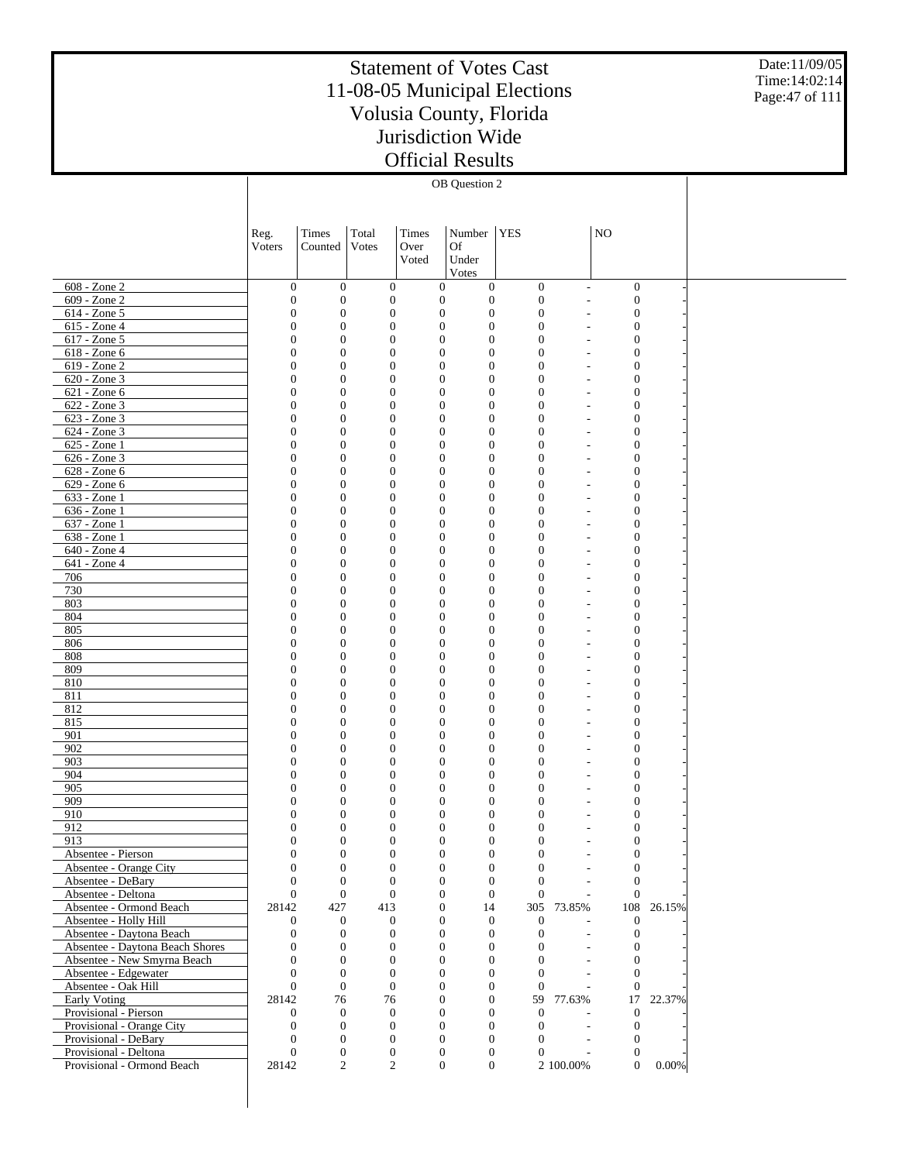Date:11/09/05 Time:14:02:14 Page:47 of 111

 $\overline{1}$ 

## Statement of Votes Cast 11-08-05 Municipal Elections Volusia County, Florida Jurisdiction Wide Official Results

| OB Question 2 |  |
|---------------|--|
|---------------|--|

 $\overline{1}$ 

|                                                                |                                  |                                      | Total |                                      |                                  | <b>YES</b>                       |                                    |                                                             |                            |
|----------------------------------------------------------------|----------------------------------|--------------------------------------|-------|--------------------------------------|----------------------------------|----------------------------------|------------------------------------|-------------------------------------------------------------|----------------------------|
|                                                                | Reg.<br>Voters                   | Times<br>Counted                     | Votes | Times<br>Over                        | Number<br><b>Of</b>              |                                  |                                    | $_{\rm NO}$                                                 |                            |
|                                                                |                                  |                                      |       | Voted                                | Under                            |                                  |                                    |                                                             |                            |
| 608 - Zone 2                                                   | $\mathbf{0}$                     | $\boldsymbol{0}$                     |       | $\boldsymbol{0}$                     | Votes<br>$\mathbf{0}$            | $\boldsymbol{0}$                 | $\boldsymbol{0}$                   | $\boldsymbol{0}$<br>$\overline{\phantom{a}}$                |                            |
| 609 - Zone 2                                                   | $\mathbf{0}$                     | $\boldsymbol{0}$                     |       | $\boldsymbol{0}$                     | $\mathbf{0}$                     | $\boldsymbol{0}$                 | $\boldsymbol{0}$                   | $\boldsymbol{0}$<br>÷,                                      |                            |
| 614 - Zone 5                                                   | $\mathbf{0}$                     | $\boldsymbol{0}$                     |       | $\boldsymbol{0}$                     | $\mathbf{0}$                     | $\boldsymbol{0}$                 | $\boldsymbol{0}$                   | $\boldsymbol{0}$<br>٠                                       |                            |
| 615 - Zone 4                                                   | $\overline{0}$                   | $\boldsymbol{0}$                     |       | $\boldsymbol{0}$                     | $\mathbf{0}$                     | $\boldsymbol{0}$                 | $\boldsymbol{0}$                   | $\boldsymbol{0}$                                            |                            |
| 617 - Zone 5<br>618 - Zone 6                                   | $\theta$<br>$\overline{0}$       | $\boldsymbol{0}$<br>$\boldsymbol{0}$ |       | $\boldsymbol{0}$<br>$\boldsymbol{0}$ | $\mathbf{0}$<br>$\mathbf{0}$     | $\mathbf{0}$<br>$\boldsymbol{0}$ | $\overline{0}$<br>$\overline{0}$   | $\mathbf{0}$<br>٠<br>$\boldsymbol{0}$                       |                            |
| $619 - Zone2$                                                  | $\overline{0}$                   | $\mathbf{0}$                         |       | $\mathbf{0}$                         | $\mathbf{0}$                     | $\mathbf{0}$                     | $\overline{0}$                     | $\boldsymbol{0}$<br>÷,                                      |                            |
| 620 - Zone 3                                                   | $\overline{0}$                   | $\boldsymbol{0}$                     |       | $\boldsymbol{0}$                     | $\mathbf{0}$                     | $\boldsymbol{0}$                 | $\boldsymbol{0}$                   | $\boldsymbol{0}$                                            |                            |
| 621 - Zone 6                                                   | $\overline{0}$                   | $\boldsymbol{0}$                     |       | $\boldsymbol{0}$                     | $\mathbf{0}$                     | $\mathbf{0}$                     | $\boldsymbol{0}$                   | $\boldsymbol{0}$<br>٠                                       |                            |
| 622 - Zone 3                                                   | $\overline{0}$                   | $\boldsymbol{0}$                     |       | $\boldsymbol{0}$                     | $\mathbf{0}$                     | $\boldsymbol{0}$                 | $\boldsymbol{0}$                   | $\boldsymbol{0}$                                            |                            |
| 623 - Zone 3<br>624 - Zone 3                                   | $\theta$<br>$\overline{0}$       | $\boldsymbol{0}$<br>$\boldsymbol{0}$ |       | $\boldsymbol{0}$<br>$\boldsymbol{0}$ | $\mathbf{0}$<br>$\mathbf{0}$     | $\mathbf{0}$<br>$\boldsymbol{0}$ | $\overline{0}$<br>$\boldsymbol{0}$ | $\boldsymbol{0}$<br>$\overline{a}$<br>$\boldsymbol{0}$<br>٠ |                            |
| 625 - Zone 1                                                   | $\overline{0}$                   | $\boldsymbol{0}$                     |       | $\boldsymbol{0}$                     | $\mathbf{0}$                     | $\mathbf{0}$                     | $\overline{0}$                     | $\boldsymbol{0}$<br>٠                                       |                            |
| 626 - Zone 3                                                   | $\overline{0}$                   | $\boldsymbol{0}$                     |       | $\boldsymbol{0}$                     | $\mathbf{0}$                     | $\boldsymbol{0}$                 | $\boldsymbol{0}$                   | $\boldsymbol{0}$                                            |                            |
| 628 - Zone 6                                                   | $\theta$                         | $\boldsymbol{0}$                     |       | $\boldsymbol{0}$                     | $\mathbf{0}$                     | $\mathbf{0}$                     | $\boldsymbol{0}$                   | $\boldsymbol{0}$<br>٠                                       |                            |
| 629 - Zone 6<br>633 - Zone 1                                   | $\overline{0}$<br>$\overline{0}$ | $\boldsymbol{0}$<br>$\boldsymbol{0}$ |       | $\boldsymbol{0}$<br>$\boldsymbol{0}$ | $\mathbf{0}$<br>$\mathbf{0}$     | $\boldsymbol{0}$<br>$\mathbf{0}$ | $\boldsymbol{0}$<br>$\overline{0}$ | $\boldsymbol{0}$<br>$\boldsymbol{0}$<br>$\overline{a}$      |                            |
| 636 - Zone 1                                                   | $\overline{0}$                   | $\boldsymbol{0}$                     |       | $\boldsymbol{0}$                     | $\mathbf{0}$                     | $\boldsymbol{0}$                 | $\overline{0}$                     | $\boldsymbol{0}$<br>٠                                       |                            |
| 637 - Zone 1                                                   | $\overline{0}$                   | $\boldsymbol{0}$                     |       | $\boldsymbol{0}$                     | $\mathbf{0}$                     | $\mathbf{0}$                     | $\overline{0}$                     | $\boldsymbol{0}$<br>٠                                       |                            |
| 638 - Zone 1                                                   | $\overline{0}$                   | $\boldsymbol{0}$                     |       | $\boldsymbol{0}$                     | $\mathbf{0}$                     | $\boldsymbol{0}$                 | $\boldsymbol{0}$                   | $\boldsymbol{0}$                                            |                            |
| 640 - Zone 4                                                   | $\theta$                         | $\boldsymbol{0}$                     |       | $\boldsymbol{0}$                     | $\mathbf{0}$                     | $\mathbf{0}$                     | $\boldsymbol{0}$                   | $\boldsymbol{0}$<br>÷,                                      |                            |
| 641 - Zone 4<br>706                                            | $\theta$<br>$\overline{0}$       | $\boldsymbol{0}$<br>$\boldsymbol{0}$ |       | $\boldsymbol{0}$<br>$\boldsymbol{0}$ | $\mathbf{0}$<br>$\mathbf{0}$     | $\boldsymbol{0}$<br>$\mathbf{0}$ | $\overline{0}$<br>$\overline{0}$   | $\boldsymbol{0}$<br>÷<br>$\boldsymbol{0}$<br>$\overline{a}$ |                            |
| 730                                                            | $\overline{0}$                   | $\boldsymbol{0}$                     |       | $\boldsymbol{0}$                     | $\mathbf{0}$                     | $\boldsymbol{0}$                 | $\boldsymbol{0}$                   | $\boldsymbol{0}$                                            |                            |
| 803                                                            | $\overline{0}$                   | $\boldsymbol{0}$                     |       | $\boldsymbol{0}$                     | $\mathbf{0}$                     | $\mathbf{0}$                     | $\overline{0}$                     | $\boldsymbol{0}$<br>٠                                       |                            |
| 804                                                            | $\overline{0}$                   | $\boldsymbol{0}$                     |       | $\boldsymbol{0}$                     | $\mathbf{0}$                     | $\boldsymbol{0}$                 | $\boldsymbol{0}$                   | $\boldsymbol{0}$                                            |                            |
| 805                                                            | $\overline{0}$                   | $\boldsymbol{0}$                     |       | $\boldsymbol{0}$                     | $\mathbf{0}$                     | $\mathbf{0}$                     | 0                                  | $\boldsymbol{0}$<br>$\overline{a}$                          |                            |
| 806<br>808                                                     | $\overline{0}$<br>$\overline{0}$ | $\boldsymbol{0}$<br>$\boldsymbol{0}$ |       | $\boldsymbol{0}$<br>$\boldsymbol{0}$ | $\mathbf{0}$<br>$\mathbf{0}$     | $\boldsymbol{0}$<br>$\mathbf{0}$ | $\boldsymbol{0}$<br>$\overline{0}$ | $\boldsymbol{0}$<br>٠<br>$\boldsymbol{0}$<br>÷,             |                            |
| 809                                                            | $\overline{0}$                   | $\boldsymbol{0}$                     |       | $\boldsymbol{0}$                     | $\mathbf{0}$                     | $\boldsymbol{0}$                 | $\boldsymbol{0}$                   | $\boldsymbol{0}$                                            |                            |
| 810                                                            | $\overline{0}$                   | $\boldsymbol{0}$                     |       | $\boldsymbol{0}$                     | $\mathbf{0}$                     | $\mathbf{0}$                     | $\boldsymbol{0}$                   | $\boldsymbol{0}$<br>٠                                       |                            |
| 811                                                            | $\overline{0}$                   | $\boldsymbol{0}$                     |       | $\boldsymbol{0}$                     | $\mathbf{0}$                     | $\boldsymbol{0}$                 | $\boldsymbol{0}$                   | $\boldsymbol{0}$                                            |                            |
| 812<br>815                                                     | $\overline{0}$<br>$\overline{0}$ | $\boldsymbol{0}$<br>$\boldsymbol{0}$ |       | $\boldsymbol{0}$<br>$\boldsymbol{0}$ | $\mathbf{0}$<br>$\mathbf{0}$     | $\mathbf{0}$                     | $\overline{0}$<br>$\overline{0}$   | $\boldsymbol{0}$<br>$\overline{a}$<br>$\boldsymbol{0}$<br>٠ |                            |
| 901                                                            | $\overline{0}$                   | $\boldsymbol{0}$                     |       | $\boldsymbol{0}$                     | $\mathbf{0}$                     | $\boldsymbol{0}$<br>$\mathbf{0}$ | $\overline{0}$                     | $\boldsymbol{0}$<br>÷,                                      |                            |
| 902                                                            | $\overline{0}$                   | $\boldsymbol{0}$                     |       | $\boldsymbol{0}$                     | $\mathbf{0}$                     | $\boldsymbol{0}$                 | $\boldsymbol{0}$                   | $\boldsymbol{0}$                                            |                            |
| 903                                                            | $\overline{0}$                   | $\boldsymbol{0}$                     |       | $\boldsymbol{0}$                     | $\mathbf{0}$                     | $\mathbf{0}$                     | $\overline{0}$                     | $\boldsymbol{0}$<br>٠                                       |                            |
| 904                                                            | $\overline{0}$                   | $\boldsymbol{0}$                     |       | $\boldsymbol{0}$                     | $\mathbf{0}$                     | $\boldsymbol{0}$                 | $\boldsymbol{0}$                   | $\boldsymbol{0}$                                            |                            |
| 905<br>909                                                     | $\overline{0}$<br>$\Omega$       | $\boldsymbol{0}$<br>$\boldsymbol{0}$ |       | $\boldsymbol{0}$<br>$\boldsymbol{0}$ | $\mathbf{0}$<br>$\mathbf{0}$     | $\mathbf{0}$<br>$\boldsymbol{0}$ | $\overline{0}$<br>$\boldsymbol{0}$ | $\boldsymbol{0}$<br>$\overline{a}$<br>$\boldsymbol{0}$      |                            |
| 910                                                            | $\theta$                         | $\mathbf{0}$                         |       | $\boldsymbol{0}$                     | $\mathbf{0}$                     | $\mathbf{0}$                     | $\overline{0}$                     | $\boldsymbol{0}$                                            |                            |
| 912                                                            | $\Omega$                         | $\boldsymbol{0}$                     |       | $\boldsymbol{0}$                     | $\mathbf{0}$                     | $\boldsymbol{0}$                 | 0                                  | $\boldsymbol{0}$                                            |                            |
| 913                                                            |                                  | $\mathbf{0}$<br>$\Omega$             |       | $\overline{0}$                       | $\overline{0}$                   | $\mathbf{0}$                     | $\overline{0}$                     | $\boldsymbol{0}$<br>٠                                       |                            |
| Absentee - Pierson                                             |                                  | $\boldsymbol{0}$                     |       | $\boldsymbol{0}$                     | $\mathbf{0}$                     | 0                                | 0                                  | $\boldsymbol{0}$                                            |                            |
| Absentee - Orange City<br>Absentee - DeBary                    | $\theta$<br>$\mathbf{0}$         | $\boldsymbol{0}$<br>$\mathbf{0}$     |       | $\boldsymbol{0}$<br>$\boldsymbol{0}$ | $\mathbf{0}$<br>$\boldsymbol{0}$ | 0<br>$\mathbf{0}$                | $\boldsymbol{0}$<br>$\mathbf{0}$   | $\boldsymbol{0}$<br>$\mathbf{0}$                            |                            |
| Absentee - Deltona                                             | $\theta$                         | $\mathbf{0}$                         |       | $\overline{0}$                       | $\mathbf{0}$                     | $\theta$                         | $\mathbf{0}$                       | $\mathbf{0}$                                                |                            |
| Absentee - Ormond Beach                                        | 28142                            | 427                                  | 413   |                                      | $\mathbf{0}$                     | 14                               | 305 73.85%                         |                                                             | 108 26.15%                 |
| Absentee - Holly Hill                                          |                                  | $\overline{0}$<br>$\overline{0}$     |       | $\mathbf{0}$                         | $\mathbf{0}$                     | $\theta$                         | $\theta$                           | $\boldsymbol{0}$                                            |                            |
| Absentee - Daytona Beach                                       | $\theta$                         | $\boldsymbol{0}$                     |       | $\boldsymbol{0}$                     | $\mathbf{0}$                     | $\overline{0}$                   | $\mathbf{0}$                       | $\boldsymbol{0}$                                            |                            |
| Absentee - Daytona Beach Shores<br>Absentee - New Smyrna Beach | $\theta$                         | 0<br>$\theta$<br>$\overline{0}$      |       | $\mathbf{0}$<br>$\overline{0}$       | $\mathbf{0}$<br>$\mathbf{0}$     | $\mathbf{0}$<br>$\overline{0}$   | $\overline{0}$<br>$\Omega$         | $\mathbf{0}$<br>$\boldsymbol{0}$                            |                            |
| Absentee - Edgewater                                           | $\theta$                         | $\mathbf{0}$                         |       | $\overline{0}$                       | $\overline{0}$                   | $\Omega$                         | $\Omega$                           | $\mathbf{0}$                                                |                            |
| Absentee - Oak Hill                                            | $\mathbf{0}$                     | $\theta$                             |       | $\boldsymbol{0}$                     | $\mathbf{0}$                     | $\overline{0}$                   | $\mathbf{0}$                       | $\mathbf{0}$                                                |                            |
| Early Voting                                                   | 28142                            | 76                                   | 76    |                                      | $\mathbf{0}$                     | $\Omega$                         | 59<br>77.63%                       |                                                             | 17<br>22.37%               |
| Provisional - Pierson<br>Provisional - Orange City             | $\theta$<br>$\theta$             | $\overline{0}$<br>$\Omega$           |       | $\mathbf{0}$<br>$\mathbf{0}$         | $\mathbf{0}$<br>$\theta$         | $\overline{0}$<br>$\Omega$       | $\mathbf{0}$<br>$\theta$           | $\mathbf{0}$<br>$\mathbf{0}$                                |                            |
| Provisional - DeBary                                           | $\theta$                         | $\mathbf{0}$                         |       | $\mathbf{0}$                         | $\mathbf{0}$                     | $\overline{0}$                   | $\overline{0}$                     | $\overline{a}$<br>$\mathbf{0}$                              |                            |
| Provisional - Deltona                                          | $\theta$                         | $\overline{0}$                       |       | $\boldsymbol{0}$                     | $\mathbf{0}$                     | $\overline{0}$                   | $\overline{0}$                     | $\overline{0}$                                              |                            |
| Provisional - Ormond Beach                                     | 28142                            | $\overline{c}$                       |       | $\overline{c}$                       | $\boldsymbol{0}$                 | $\boldsymbol{0}$                 | 2 100.00%                          |                                                             | $\overline{0}$<br>$0.00\%$ |
|                                                                |                                  |                                      |       |                                      |                                  |                                  |                                    |                                                             |                            |
|                                                                |                                  |                                      |       |                                      |                                  |                                  |                                    |                                                             |                            |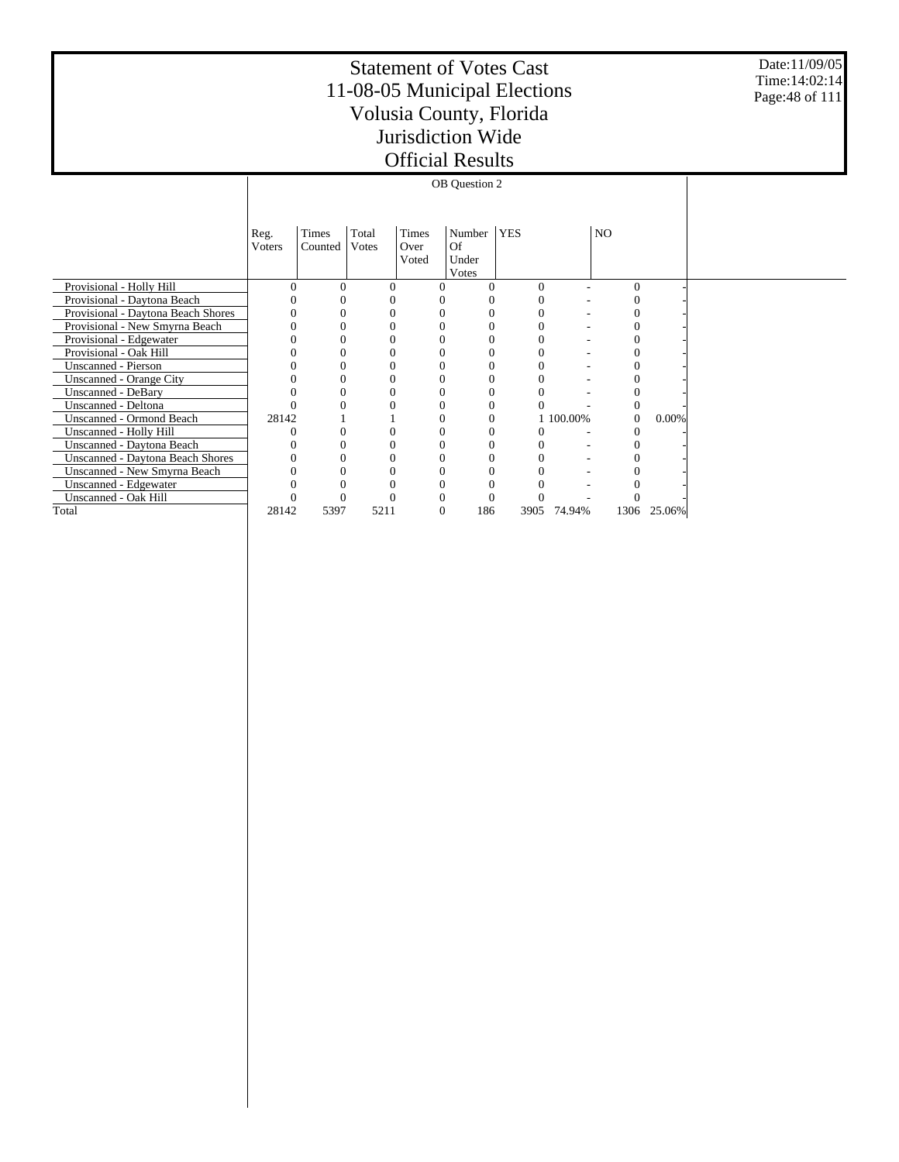Date:11/09/05 Time:14:02:14 Page:48 of 111

|                                         | Reg.<br>Voters | Times<br>Counted | Total<br>Votes | Times<br>Over<br>Voted | <b>Of</b><br>Under<br>Votes | Number $ YES$ |           |        | N <sub>O</sub> |             |
|-----------------------------------------|----------------|------------------|----------------|------------------------|-----------------------------|---------------|-----------|--------|----------------|-------------|
| Provisional - Holly Hill                |                | 0                |                |                        |                             |               | 0         |        |                |             |
| Provisional - Daytona Beach             |                |                  |                |                        |                             |               |           |        |                |             |
| Provisional - Daytona Beach Shores      |                |                  |                |                        |                             |               |           |        |                |             |
| Provisional - New Smyrna Beach          |                |                  |                |                        |                             |               |           |        |                |             |
| Provisional - Edgewater                 |                |                  |                |                        |                             |               |           |        |                |             |
| Provisional - Oak Hill                  |                |                  |                |                        |                             |               |           |        |                |             |
| Unscanned - Pierson                     |                |                  |                |                        |                             |               |           |        |                |             |
| Unscanned - Orange City                 |                |                  |                |                        |                             |               |           |        |                |             |
| Unscanned - DeBary                      |                |                  |                |                        |                             |               |           |        |                |             |
| Unscanned - Deltona                     |                |                  |                |                        |                             |               |           |        |                |             |
| Unscanned - Ormond Beach                | 28142          |                  |                |                        |                             |               | 1 100.00% |        | 0              | 0.00%       |
| Unscanned - Holly Hill                  |                |                  |                |                        |                             |               |           |        |                |             |
| Unscanned - Daytona Beach               |                |                  |                |                        |                             |               |           |        |                |             |
| <b>Unscanned - Daytona Beach Shores</b> |                |                  |                |                        |                             |               |           |        |                |             |
| Unscanned - New Smyrna Beach            |                |                  |                |                        |                             |               |           |        |                |             |
| Unscanned - Edgewater                   |                |                  |                |                        |                             |               |           |        |                |             |
| Unscanned - Oak Hill                    |                |                  |                |                        |                             |               |           |        |                |             |
| Total                                   | 28142          | 5397             | 5211           |                        | $\overline{0}$              | 186           | 3905      | 74.94% |                | 1306 25.06% |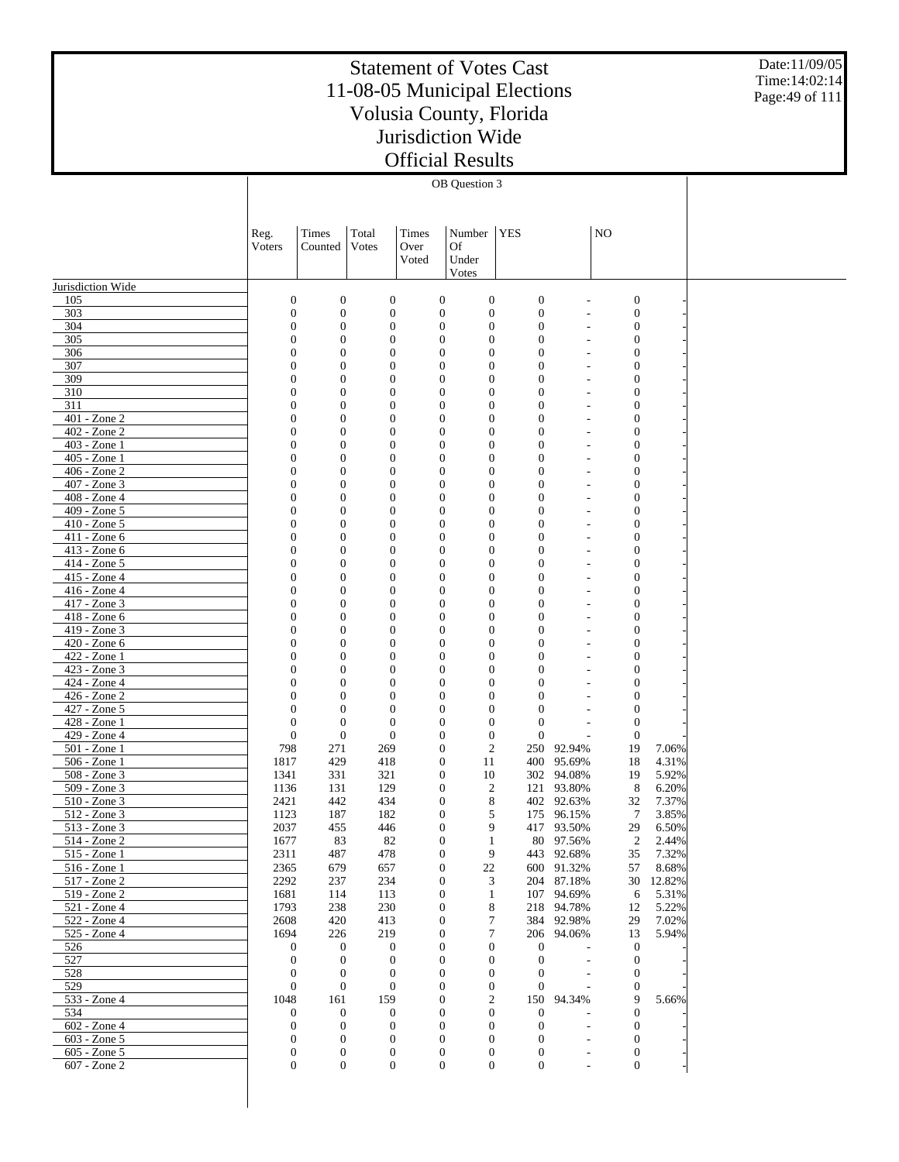Date:11/09/05 Time:14:02:14 Page:49 of 111

Τ

#### OB Question 3

Τ

|                                 | Reg.<br>Voters                       | Times<br>Counted                     | Total<br>Votes                       | Times<br>Over<br>Voted | Number<br><b>Of</b><br>Under<br>Votes                                        | YES |                                  |                          | NO                                   |                |
|---------------------------------|--------------------------------------|--------------------------------------|--------------------------------------|------------------------|------------------------------------------------------------------------------|-----|----------------------------------|--------------------------|--------------------------------------|----------------|
| Jurisdiction Wide               |                                      |                                      |                                      |                        |                                                                              |     |                                  |                          |                                      |                |
| 105                             | $\mathbf{0}$                         | $\boldsymbol{0}$                     | $\boldsymbol{0}$                     |                        | $\boldsymbol{0}$<br>$\boldsymbol{0}$                                         |     | $\boldsymbol{0}$                 | ÷,                       | $\boldsymbol{0}$                     |                |
| 303                             | $\mathbf{0}$                         | $\boldsymbol{0}$                     | $\boldsymbol{0}$                     |                        | $\boldsymbol{0}$<br>$\mathbf{0}$                                             |     | $\mathbf{0}$                     |                          | $\boldsymbol{0}$                     |                |
| 304                             | $\mathbf{0}$                         | $\boldsymbol{0}$                     | $\boldsymbol{0}$                     |                        | $\boldsymbol{0}$<br>$\boldsymbol{0}$                                         |     | $\mathbf{0}$                     |                          | $\boldsymbol{0}$                     |                |
| 305                             | $\boldsymbol{0}$                     | $\boldsymbol{0}$                     | $\boldsymbol{0}$                     |                        | $\boldsymbol{0}$<br>$\overline{0}$                                           |     | $\mathbf{0}$                     |                          | $\boldsymbol{0}$                     |                |
| 306                             | $\mathbf{0}$                         | $\boldsymbol{0}$                     | $\boldsymbol{0}$                     |                        | $\boldsymbol{0}$<br>$\mathbf{0}$                                             |     | $\overline{0}$                   |                          | $\boldsymbol{0}$                     |                |
| 307                             | $\boldsymbol{0}$                     | $\boldsymbol{0}$                     | $\boldsymbol{0}$                     |                        | $\mathbf{0}$<br>$\mathbf{0}$                                                 |     | $\overline{0}$<br>$\overline{0}$ |                          | $\boldsymbol{0}$                     |                |
| 309<br>310                      | $\boldsymbol{0}$<br>$\boldsymbol{0}$ | $\boldsymbol{0}$<br>$\boldsymbol{0}$ | $\boldsymbol{0}$<br>$\boldsymbol{0}$ |                        | $\boldsymbol{0}$<br>$\mathbf{0}$<br>$\boldsymbol{0}$<br>$\mathbf{0}$         |     | $\overline{0}$                   |                          | $\boldsymbol{0}$<br>$\boldsymbol{0}$ |                |
| 311                             | $\mathbf{0}$                         | $\boldsymbol{0}$                     | $\boldsymbol{0}$                     |                        | $\boldsymbol{0}$<br>$\mathbf{0}$                                             |     | $\mathbf{0}$                     |                          | $\boldsymbol{0}$                     |                |
| 401 - Zone 2                    | $\boldsymbol{0}$                     | $\boldsymbol{0}$                     | $\boldsymbol{0}$                     |                        | $\boldsymbol{0}$<br>$\overline{0}$                                           |     | $\mathbf{0}$                     |                          | $\boldsymbol{0}$                     |                |
| 402 - Zone 2                    | $\boldsymbol{0}$                     | $\boldsymbol{0}$                     | $\boldsymbol{0}$                     |                        | $\boldsymbol{0}$<br>$\mathbf{0}$                                             |     | $\overline{0}$                   |                          | $\boldsymbol{0}$                     |                |
| 403 - Zone 1                    | $\boldsymbol{0}$                     | $\boldsymbol{0}$                     | $\boldsymbol{0}$                     |                        | $\boldsymbol{0}$<br>$\mathbf{0}$                                             |     | $\mathbf{0}$                     |                          | $\boldsymbol{0}$                     |                |
| 405 - Zone 1                    | $\mathbf{0}$                         | $\boldsymbol{0}$                     | $\boldsymbol{0}$                     |                        | $\boldsymbol{0}$<br>$\mathbf{0}$                                             |     | $\mathbf{0}$                     |                          | $\boldsymbol{0}$                     |                |
| $406 - Z$ one $2$               | $\boldsymbol{0}$                     | $\boldsymbol{0}$                     | $\boldsymbol{0}$                     |                        | $\boldsymbol{0}$<br>$\overline{0}$                                           |     | $\overline{0}$                   |                          | $\boldsymbol{0}$                     |                |
| 407 - Zone 3                    | $\boldsymbol{0}$                     | $\boldsymbol{0}$                     | $\boldsymbol{0}$                     |                        | $\boldsymbol{0}$<br>$\mathbf{0}$                                             |     | $\overline{0}$                   |                          | $\boldsymbol{0}$                     |                |
| 408 - Zone 4                    | $\boldsymbol{0}$                     | $\boldsymbol{0}$                     | $\boldsymbol{0}$                     |                        | $\boldsymbol{0}$<br>$\mathbf{0}$                                             |     | $\mathbf{0}$                     |                          | $\boldsymbol{0}$                     |                |
| 409 - Zone 5                    | $\mathbf{0}$<br>$\boldsymbol{0}$     | $\boldsymbol{0}$<br>$\boldsymbol{0}$ | $\boldsymbol{0}$<br>$\boldsymbol{0}$ |                        | $\boldsymbol{0}$<br>$\mathbf{0}$<br>$\boldsymbol{0}$<br>$\overline{0}$       |     | $\mathbf{0}$<br>$\overline{0}$   |                          | $\boldsymbol{0}$<br>$\boldsymbol{0}$ |                |
| $410 - Z$ one 5<br>411 - Zone 6 | $\mathbf{0}$                         | $\boldsymbol{0}$                     | $\boldsymbol{0}$                     |                        | $\boldsymbol{0}$<br>$\mathbf{0}$                                             |     | $\overline{0}$                   |                          | $\boldsymbol{0}$                     |                |
| $413 - Z$ one 6                 | $\boldsymbol{0}$                     | $\boldsymbol{0}$                     | $\boldsymbol{0}$                     |                        | $\boldsymbol{0}$<br>$\mathbf{0}$                                             |     | $\mathbf{0}$                     |                          | $\boldsymbol{0}$                     |                |
| 414 - Zone 5                    | $\mathbf{0}$                         | $\boldsymbol{0}$                     | $\boldsymbol{0}$                     |                        | $\boldsymbol{0}$<br>$\mathbf{0}$                                             |     | $\mathbf{0}$                     |                          | $\boldsymbol{0}$                     |                |
| 415 - Zone 4                    | $\boldsymbol{0}$                     | $\boldsymbol{0}$                     | $\boldsymbol{0}$                     |                        | $\boldsymbol{0}$<br>$\overline{0}$                                           |     | $\overline{0}$                   |                          | $\boldsymbol{0}$                     |                |
| $416 - Z$ one $4$               | $\mathbf{0}$                         | $\boldsymbol{0}$                     | $\boldsymbol{0}$                     |                        | $\boldsymbol{0}$<br>$\mathbf{0}$                                             |     | $\overline{0}$                   |                          | $\boldsymbol{0}$                     |                |
| $417 - Z$ one 3                 | $\boldsymbol{0}$                     | $\boldsymbol{0}$                     | $\boldsymbol{0}$                     |                        | $\boldsymbol{0}$<br>$\overline{0}$                                           |     | $\mathbf{0}$                     |                          | $\boldsymbol{0}$                     |                |
| 418 - Zone 6                    | $\mathbf{0}$                         | $\boldsymbol{0}$                     | $\boldsymbol{0}$                     |                        | $\boldsymbol{0}$<br>$\overline{0}$                                           |     | $\overline{0}$                   |                          | $\boldsymbol{0}$                     |                |
| $419 - Z$ one 3                 | $\boldsymbol{0}$                     | $\boldsymbol{0}$                     | $\boldsymbol{0}$                     |                        | $\boldsymbol{0}$<br>$\overline{0}$                                           |     | $\overline{0}$                   |                          | $\boldsymbol{0}$                     |                |
| 420 - Zone 6                    | $\mathbf{0}$                         | $\boldsymbol{0}$<br>$\boldsymbol{0}$ | $\boldsymbol{0}$<br>$\boldsymbol{0}$ |                        | $\boldsymbol{0}$<br>$\overline{0}$<br>$\boldsymbol{0}$<br>$\overline{0}$     |     | $\overline{0}$<br>$\overline{0}$ |                          | $\boldsymbol{0}$<br>$\boldsymbol{0}$ |                |
| 422 - Zone 1<br>423 - Zone 3    | $\boldsymbol{0}$<br>$\mathbf{0}$     | $\boldsymbol{0}$                     | $\boldsymbol{0}$                     |                        | $\boldsymbol{0}$<br>$\overline{0}$                                           |     | $\overline{0}$                   |                          | $\boldsymbol{0}$                     |                |
| 424 - Zone 4                    | $\mathbf{0}$                         | $\boldsymbol{0}$                     | $\boldsymbol{0}$                     |                        | $\boldsymbol{0}$<br>$\overline{0}$                                           |     | $\theta$                         |                          | $\boldsymbol{0}$                     |                |
| 426 - Zone 2                    | $\mathbf{0}$                         | $\boldsymbol{0}$                     | $\boldsymbol{0}$                     |                        | $\boldsymbol{0}$<br>$\overline{0}$                                           |     | $\overline{0}$                   |                          | $\boldsymbol{0}$                     |                |
| 427 - Zone 5                    | $\mathbf{0}$                         | $\boldsymbol{0}$                     | $\boldsymbol{0}$                     |                        | $\boldsymbol{0}$<br>$\overline{0}$                                           |     | $\theta$                         |                          | $\boldsymbol{0}$                     |                |
| 428 - Zone 1                    | $\mathbf{0}$                         | $\boldsymbol{0}$                     | $\boldsymbol{0}$                     |                        | $\boldsymbol{0}$<br>$\overline{0}$                                           |     | $\overline{0}$                   |                          | $\boldsymbol{0}$                     |                |
| 429 - Zone 4                    | $\boldsymbol{0}$                     | $\boldsymbol{0}$                     | $\boldsymbol{0}$                     |                        | $\mathbf{0}$<br>$\boldsymbol{0}$                                             |     | $\overline{0}$                   |                          | $\mathbf{0}$                         |                |
| 501 - Zone 1                    | 798                                  | 271                                  | 269                                  |                        | $\overline{2}$<br>$\boldsymbol{0}$                                           |     | 250                              | 92.94%                   | 19                                   | 7.06%          |
| 506 - Zone 1                    | 1817                                 | 429                                  | 418                                  |                        | $\boldsymbol{0}$<br>11                                                       |     |                                  | 400 95.69%               | 18                                   | 4.31%          |
| 508 - Zone 3                    | 1341                                 | 331                                  | 321                                  |                        | 10<br>$\boldsymbol{0}$                                                       |     |                                  | 302 94.08%               | 19                                   | 5.92%          |
| 509 - Zone 3<br>510 - Zone 3    | 1136<br>2421                         | 131<br>442                           | 129<br>434                           |                        | $\boldsymbol{2}$<br>$\boldsymbol{0}$<br>8<br>$\boldsymbol{0}$                |     |                                  | 121 93.80%<br>402 92.63% | 8<br>32                              | 6.20%<br>7.37% |
| 512 - Zone 3                    | 1123                                 | 187                                  | 182                                  |                        | 5<br>$\boldsymbol{0}$                                                        |     |                                  | 175 96.15%               | $\overline{7}$                       | 3.85%          |
| 513 - Zone 3                    | 2037                                 | 455                                  | 446                                  |                        | 9<br>$\boldsymbol{0}$                                                        |     |                                  | 417 93.50%               | 29                                   | 6.50%          |
| 514 - Zone 2                    | 1677                                 | 83                                   | 82                                   |                        | $\Omega$<br>$\mathbf{1}$                                                     |     |                                  | 80 97.56%                | $\overline{2}$                       | 2.44%          |
| 515 - Zone 1                    | 2311                                 | 487                                  | 478                                  |                        | $\boldsymbol{0}$<br>9                                                        |     |                                  | 443 92.68%               | 35                                   | 7.32%          |
| 516 - Zone 1                    | 2365                                 | 679                                  | 657                                  |                        | $\boldsymbol{0}$<br>22                                                       |     |                                  | 600 91.32%               | 57                                   | 8.68%          |
| 517 - Zone 2                    | 2292                                 | 237                                  | 234                                  |                        | $\boldsymbol{0}$<br>3                                                        |     |                                  | 204 87.18%               |                                      | 30 12.82%      |
| 519 - Zone 2                    | 1681                                 | 114                                  | 113                                  |                        | 0<br>1                                                                       |     |                                  | 107 94.69%               | 6                                    | 5.31%          |
| 521 - Zone 4                    | 1793                                 | 238                                  | 230                                  |                        | $\boldsymbol{0}$<br>8                                                        |     |                                  | 218 94.78%               | 12                                   | 5.22%          |
| 522 - Zone 4                    | 2608                                 | 420                                  | 413                                  |                        | 7<br>0                                                                       |     |                                  | 384 92.98%               | 29                                   | 7.02%          |
| 525 - Zone 4                    | 1694                                 | 226                                  | 219                                  |                        | 7<br>$\boldsymbol{0}$                                                        |     |                                  | 206 94.06%               | 13                                   | 5.94%          |
| 526<br>527                      | $\mathbf{0}$<br>$\boldsymbol{0}$     | 0<br>$\mathbf{0}$                    | $\boldsymbol{0}$<br>$\mathbf{0}$     |                        | $\boldsymbol{0}$<br>$\boldsymbol{0}$<br>$\boldsymbol{0}$<br>$\boldsymbol{0}$ |     | $\mathbf{0}$<br>$\overline{0}$   | $\overline{a}$           | $\mathbf{0}$<br>$\mathbf{0}$         |                |
| 528                             | $\boldsymbol{0}$                     | $\mathbf{0}$                         | $\boldsymbol{0}$                     |                        | $\mathbf{0}$<br>$\boldsymbol{0}$                                             |     | $\overline{0}$                   |                          | $\mathbf{0}$                         |                |
| 529                             | $\boldsymbol{0}$                     | $\mathbf{0}$                         | $\mathbf{0}$                         |                        | $\boldsymbol{0}$<br>$\boldsymbol{0}$                                         |     | $\theta$                         |                          | $\mathbf{0}$                         |                |
| 533 - Zone 4                    | 1048                                 | 161                                  | 159                                  |                        | $\mathbf{0}$<br>2                                                            |     |                                  | 150 94.34%               | 9                                    | 5.66%          |
| 534                             | $\mathbf{0}$                         | $\mathbf{0}$                         | $\boldsymbol{0}$                     |                        | $\boldsymbol{0}$<br>$\mathbf{0}$                                             |     | $\boldsymbol{0}$                 |                          | $\theta$                             |                |
| 602 - Zone 4                    | $\boldsymbol{0}$                     | $\boldsymbol{0}$                     | $\mathbf{0}$                         |                        | $\boldsymbol{0}$<br>$\boldsymbol{0}$                                         |     | $\overline{0}$                   |                          | $\mathbf{0}$                         |                |
| 603 - Zone 5                    | $\boldsymbol{0}$                     | $\boldsymbol{0}$                     | $\theta$                             |                        | $\boldsymbol{0}$<br>$\boldsymbol{0}$                                         |     | $\theta$                         |                          | $\mathbf{0}$                         |                |
|                                 | $\theta$                             | $\boldsymbol{0}$                     | $\boldsymbol{0}$                     |                        | $\boldsymbol{0}$<br>$\boldsymbol{0}$                                         |     | $\boldsymbol{0}$                 | $\overline{\phantom{a}}$ | $\mathbf{0}$                         |                |
| 605 - Zone 5<br>607 - Zone 2    | $\mathbf{0}$                         | $\boldsymbol{0}$                     | $\boldsymbol{0}$                     |                        | $\mathbf{0}$<br>$\boldsymbol{0}$                                             |     | $\boldsymbol{0}$                 | $\overline{a}$           | $\boldsymbol{0}$                     |                |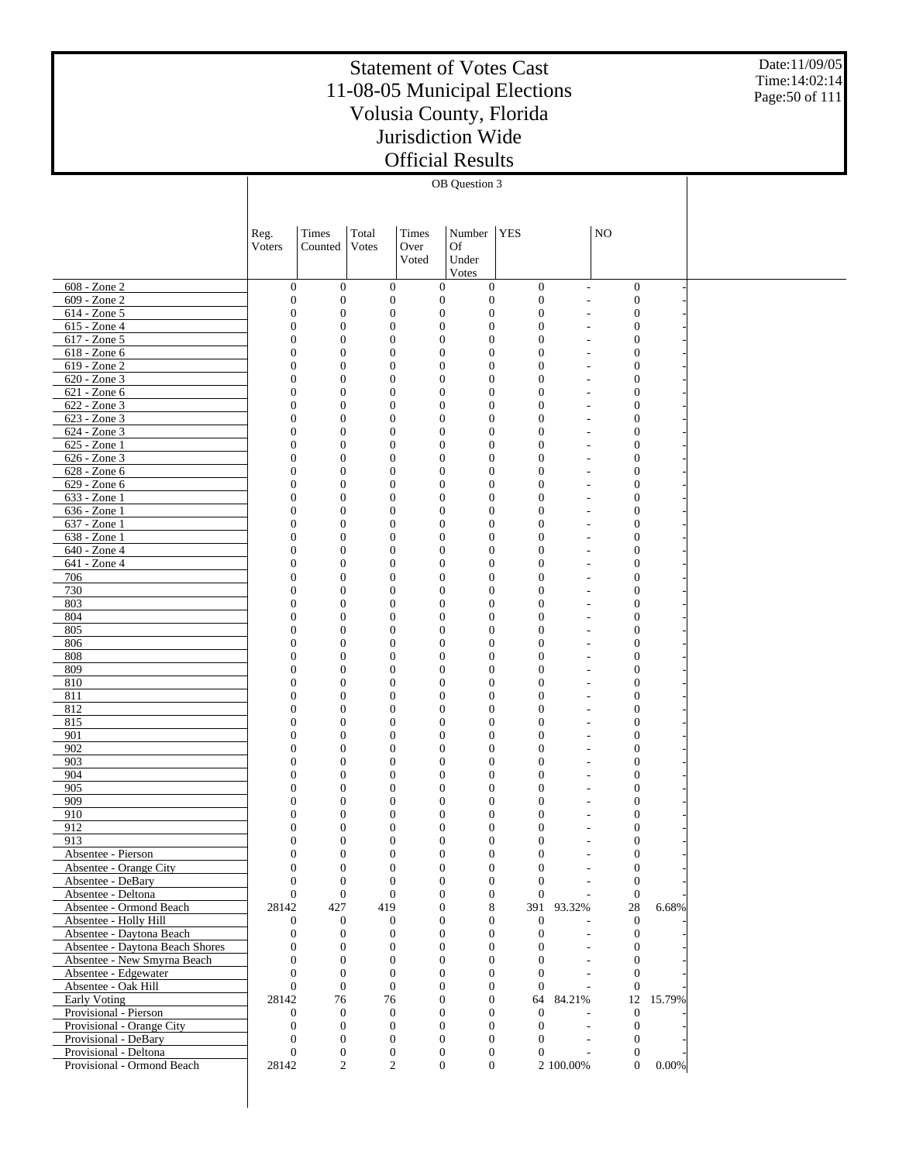Date:11/09/05 Time:14:02:14 Page:50 of 111

 $\overline{1}$ 

## Statement of Votes Cast 11-08-05 Municipal Elections Volusia County, Florida Jurisdiction Wide Official Results

 $\overline{1}$ 

|                                                     | Reg.                             | Times                                | Total                                | Times | Number                               | <b>YES</b>                       |                                              | NO                                   |           |  |
|-----------------------------------------------------|----------------------------------|--------------------------------------|--------------------------------------|-------|--------------------------------------|----------------------------------|----------------------------------------------|--------------------------------------|-----------|--|
|                                                     | Voters                           | Counted                              | Votes                                | Over  | Of                                   |                                  |                                              |                                      |           |  |
|                                                     |                                  |                                      |                                      | Voted | Under                                |                                  |                                              |                                      |           |  |
| 608 - Zone 2                                        | $\boldsymbol{0}$                 | $\boldsymbol{0}$                     | $\boldsymbol{0}$                     |       | <b>Votes</b><br>$\boldsymbol{0}$     | $\mathbf{0}$                     | $\boldsymbol{0}$<br>$\overline{\phantom{a}}$ | $\boldsymbol{0}$                     |           |  |
| 609 - Zone 2                                        | $\theta$                         | $\boldsymbol{0}$                     | $\boldsymbol{0}$                     |       | $\boldsymbol{0}$                     | $\boldsymbol{0}$                 | $\boldsymbol{0}$<br>L,                       | $\boldsymbol{0}$                     |           |  |
| 614 - Zone 5                                        | $\overline{0}$                   | $\boldsymbol{0}$                     | $\boldsymbol{0}$                     |       | $\boldsymbol{0}$                     | $\boldsymbol{0}$                 | $\mathbf{0}$                                 | $\boldsymbol{0}$                     |           |  |
| 615 - Zone 4<br>$617 - Zone 5$                      | $\overline{0}$<br>$\overline{0}$ | $\boldsymbol{0}$<br>$\boldsymbol{0}$ | $\boldsymbol{0}$<br>$\boldsymbol{0}$ |       | $\boldsymbol{0}$<br>$\boldsymbol{0}$ | $\boldsymbol{0}$<br>$\mathbf{0}$ | $\boldsymbol{0}$<br>$\boldsymbol{0}$         | $\boldsymbol{0}$<br>$\boldsymbol{0}$ |           |  |
| 618 - Zone 6                                        | $\overline{0}$                   | $\boldsymbol{0}$                     | $\boldsymbol{0}$                     |       | $\boldsymbol{0}$                     | $\boldsymbol{0}$                 | $\boldsymbol{0}$                             | $\boldsymbol{0}$                     |           |  |
| 619 - Zone 2                                        | $\overline{0}$                   | $\overline{0}$                       | $\boldsymbol{0}$                     |       | $\boldsymbol{0}$                     | $\mathbf{0}$                     | $\boldsymbol{0}$                             | $\boldsymbol{0}$                     |           |  |
| 620 - Zone 3                                        | $\overline{0}$                   | $\boldsymbol{0}$                     | $\boldsymbol{0}$                     |       | $\boldsymbol{0}$                     | $\boldsymbol{0}$                 | $\boldsymbol{0}$                             | $\boldsymbol{0}$                     |           |  |
| 621 - Zone 6<br>622 - Zone 3                        | $\overline{0}$<br>$\overline{0}$ | $\boldsymbol{0}$<br>$\boldsymbol{0}$ | $\boldsymbol{0}$<br>$\boldsymbol{0}$ |       | $\boldsymbol{0}$<br>$\boldsymbol{0}$ | $\mathbf{0}$<br>$\boldsymbol{0}$ | $\boldsymbol{0}$<br>$\boldsymbol{0}$         | $\boldsymbol{0}$<br>$\boldsymbol{0}$ |           |  |
| $623 - Zone$ 3                                      | $\overline{0}$                   | $\boldsymbol{0}$                     | $\boldsymbol{0}$                     |       | $\boldsymbol{0}$                     | $\mathbf{0}$                     | $\boldsymbol{0}$                             | $\boldsymbol{0}$                     |           |  |
| 624 - Zone 3                                        | $\overline{0}$                   | $\boldsymbol{0}$                     | $\boldsymbol{0}$                     |       | $\boldsymbol{0}$                     | $\boldsymbol{0}$                 | $\boldsymbol{0}$                             | $\boldsymbol{0}$                     |           |  |
| 625 - Zone 1                                        | $\overline{0}$                   | $\boldsymbol{0}$                     | $\boldsymbol{0}$                     |       | $\boldsymbol{0}$                     | $\mathbf{0}$                     | $\boldsymbol{0}$                             | $\boldsymbol{0}$                     |           |  |
| 626 - Zone 3                                        | $\overline{0}$                   | $\boldsymbol{0}$                     | $\boldsymbol{0}$                     |       | $\boldsymbol{0}$                     | $\boldsymbol{0}$                 | $\boldsymbol{0}$                             | $\boldsymbol{0}$                     |           |  |
| 628 - Zone 6<br>629 - Zone 6                        | $\overline{0}$<br>$\overline{0}$ | $\boldsymbol{0}$<br>$\boldsymbol{0}$ | $\boldsymbol{0}$<br>$\boldsymbol{0}$ |       | $\boldsymbol{0}$<br>$\boldsymbol{0}$ | $\mathbf{0}$<br>$\boldsymbol{0}$ | $\boldsymbol{0}$<br>$\boldsymbol{0}$         | $\boldsymbol{0}$<br>$\boldsymbol{0}$ |           |  |
| 633 - Zone 1                                        | $\overline{0}$                   | $\boldsymbol{0}$                     | $\boldsymbol{0}$                     |       | $\boldsymbol{0}$                     | $\mathbf{0}$                     | $\boldsymbol{0}$                             | $\boldsymbol{0}$                     |           |  |
| 636 - Zone 1                                        | $\overline{0}$                   | $\boldsymbol{0}$                     | $\boldsymbol{0}$                     |       | $\boldsymbol{0}$                     | $\boldsymbol{0}$                 | $\boldsymbol{0}$                             | $\boldsymbol{0}$                     |           |  |
| 637 - Zone 1                                        | $\overline{0}$                   | $\boldsymbol{0}$                     | $\boldsymbol{0}$                     |       | $\boldsymbol{0}$                     | $\mathbf{0}$                     | $\boldsymbol{0}$                             | $\boldsymbol{0}$                     |           |  |
| 638 - Zone 1                                        | $\overline{0}$                   | $\boldsymbol{0}$                     | $\boldsymbol{0}$                     |       | $\boldsymbol{0}$                     | $\boldsymbol{0}$                 | $\boldsymbol{0}$                             | $\boldsymbol{0}$                     |           |  |
| 640 - Zone 4<br>641 - Zone 4                        | $\overline{0}$<br>$\overline{0}$ | $\boldsymbol{0}$<br>$\boldsymbol{0}$ | $\boldsymbol{0}$<br>$\boldsymbol{0}$ |       | $\boldsymbol{0}$<br>$\boldsymbol{0}$ | $\mathbf{0}$<br>$\boldsymbol{0}$ | $\boldsymbol{0}$<br>$\boldsymbol{0}$         | $\boldsymbol{0}$<br>$\boldsymbol{0}$ |           |  |
| 706                                                 | $\overline{0}$                   | $\boldsymbol{0}$                     | $\boldsymbol{0}$                     |       | $\boldsymbol{0}$                     | $\mathbf{0}$                     | $\boldsymbol{0}$                             | $\boldsymbol{0}$                     |           |  |
| 730                                                 | $\overline{0}$                   | $\boldsymbol{0}$                     | $\boldsymbol{0}$                     |       | $\boldsymbol{0}$                     | $\boldsymbol{0}$                 | $\boldsymbol{0}$                             | $\boldsymbol{0}$                     |           |  |
| 803                                                 | $\overline{0}$                   | $\boldsymbol{0}$                     | $\boldsymbol{0}$                     |       | $\boldsymbol{0}$                     | $\mathbf{0}$                     | $\boldsymbol{0}$                             | $\boldsymbol{0}$                     |           |  |
| 804<br>805                                          | $\overline{0}$<br>$\overline{0}$ | $\boldsymbol{0}$<br>$\boldsymbol{0}$ | $\boldsymbol{0}$<br>$\boldsymbol{0}$ |       | $\boldsymbol{0}$<br>$\boldsymbol{0}$ | $\boldsymbol{0}$<br>$\mathbf{0}$ | $\boldsymbol{0}$<br>$\boldsymbol{0}$         | $\boldsymbol{0}$<br>$\boldsymbol{0}$ |           |  |
| 806                                                 | $\overline{0}$                   | $\boldsymbol{0}$                     | $\boldsymbol{0}$                     |       | $\boldsymbol{0}$                     | $\boldsymbol{0}$                 | $\boldsymbol{0}$                             | $\boldsymbol{0}$                     |           |  |
| 808                                                 | $\overline{0}$                   | $\boldsymbol{0}$                     | $\boldsymbol{0}$                     |       | $\boldsymbol{0}$                     | $\mathbf{0}$                     | $\boldsymbol{0}$                             | $\boldsymbol{0}$                     |           |  |
| 809                                                 | $\overline{0}$                   | $\boldsymbol{0}$                     | $\boldsymbol{0}$                     |       | $\boldsymbol{0}$                     | $\boldsymbol{0}$                 | $\boldsymbol{0}$                             | $\boldsymbol{0}$                     |           |  |
| 810                                                 | $\overline{0}$                   | $\boldsymbol{0}$                     | $\boldsymbol{0}$                     |       | $\boldsymbol{0}$                     | $\mathbf{0}$                     | $\boldsymbol{0}$                             | $\boldsymbol{0}$                     |           |  |
| 811<br>812                                          | $\overline{0}$<br>$\overline{0}$ | $\boldsymbol{0}$<br>$\boldsymbol{0}$ | $\boldsymbol{0}$<br>$\boldsymbol{0}$ |       | $\boldsymbol{0}$<br>$\boldsymbol{0}$ | $\boldsymbol{0}$<br>$\mathbf{0}$ | $\boldsymbol{0}$<br>$\boldsymbol{0}$         | $\boldsymbol{0}$<br>$\boldsymbol{0}$ |           |  |
| 815                                                 | $\overline{0}$                   | $\boldsymbol{0}$                     | $\boldsymbol{0}$                     |       | $\boldsymbol{0}$                     | $\boldsymbol{0}$                 | $\boldsymbol{0}$                             | $\boldsymbol{0}$                     |           |  |
| 901                                                 | $\overline{0}$                   | $\boldsymbol{0}$                     | $\boldsymbol{0}$                     |       | $\boldsymbol{0}$                     | $\mathbf{0}$                     | $\boldsymbol{0}$                             | $\boldsymbol{0}$                     |           |  |
| 902                                                 | $\overline{0}$                   | $\boldsymbol{0}$                     | $\boldsymbol{0}$                     |       | $\boldsymbol{0}$                     | $\boldsymbol{0}$                 | $\boldsymbol{0}$                             | $\boldsymbol{0}$                     |           |  |
| 903<br>904                                          | $\overline{0}$<br>$\overline{0}$ | $\boldsymbol{0}$<br>$\boldsymbol{0}$ | $\boldsymbol{0}$<br>$\boldsymbol{0}$ |       | $\boldsymbol{0}$<br>$\boldsymbol{0}$ | $\mathbf{0}$<br>$\mathbf{0}$     | $\boldsymbol{0}$<br>$\boldsymbol{0}$         | $\boldsymbol{0}$<br>$\boldsymbol{0}$ |           |  |
| 905                                                 | $\overline{0}$                   | $\overline{0}$                       | $\boldsymbol{0}$                     |       | $\boldsymbol{0}$                     | $\mathbf{0}$                     | $\boldsymbol{0}$                             | $\boldsymbol{0}$                     |           |  |
| 909                                                 | $\Omega$                         | $\boldsymbol{0}$                     | $\boldsymbol{0}$                     |       | $\boldsymbol{0}$                     | $\boldsymbol{0}$                 | $\boldsymbol{0}$                             | $\boldsymbol{0}$                     |           |  |
| 910                                                 | $\theta$                         | $\overline{0}$                       | $\boldsymbol{0}$                     |       | $\boldsymbol{0}$                     | $\overline{0}$                   | $\boldsymbol{0}$                             | $\boldsymbol{0}$                     |           |  |
| 912                                                 | $\theta$                         | $\boldsymbol{0}$                     | $\boldsymbol{0}$                     |       | $\boldsymbol{0}$                     | $\boldsymbol{0}$                 | $\boldsymbol{0}$                             | $\boldsymbol{0}$                     |           |  |
| 913<br>Absentee - Pierson                           | $\theta$<br>$\theta$             | $\overline{0}$<br>$\theta$           | $\mathbf{0}$<br>$\theta$             |       | $\overline{0}$<br>$\theta$           | $\overline{0}$<br>$\theta$       | $\overline{0}$<br>$\theta$                   | $\boldsymbol{0}$<br>$\theta$         |           |  |
| Absentee - Orange City                              | $\theta$                         | $\overline{0}$                       | $\boldsymbol{0}$                     |       | $\boldsymbol{0}$                     | $\boldsymbol{0}$                 | $\boldsymbol{0}$                             | $\boldsymbol{0}$                     |           |  |
| Absentee - DeBary                                   | $\theta$                         | $\overline{0}$                       | $\mathbf{0}$                         |       | $\boldsymbol{0}$                     | $\overline{0}$                   | $\theta$                                     | $\mathbf{0}$                         |           |  |
| Absentee - Deltona                                  | $\theta$                         | $\theta$                             | $\mathbf{0}$                         |       | $\boldsymbol{0}$                     | $\mathbf{0}$                     | $\theta$                                     | $\mathbf{0}$                         |           |  |
| Absentee - Ormond Beach<br>Absentee - Holly Hill    | 28142<br>$\overline{0}$          | 427<br>$\overline{0}$                | 419<br>$\mathbf{0}$                  |       | $\boldsymbol{0}$<br>$\boldsymbol{0}$ | 8<br>$\overline{0}$              | 391 93.32%<br>$\theta$                       | 28<br>$\boldsymbol{0}$               | 6.68%     |  |
| Absentee - Daytona Beach                            | $\theta$                         | $\overline{0}$                       | $\mathbf{0}$                         |       | $\boldsymbol{0}$                     | $\overline{0}$                   | $\boldsymbol{0}$                             | $\mathbf{0}$                         |           |  |
| Absentee - Daytona Beach Shores                     | $\theta$                         | $\Omega$                             | $\mathbf{0}$                         |       | $\boldsymbol{0}$                     | $\mathbf{0}$                     | $\mathbf{0}$                                 | $\boldsymbol{0}$                     |           |  |
| Absentee - New Smyrna Beach                         | $\theta$                         | $\overline{0}$                       | $\mathbf{0}$                         |       | $\boldsymbol{0}$                     | $\mathbf{0}$                     | $\mathbf{0}$                                 | $\overline{0}$                       |           |  |
| Absentee - Edgewater                                | $\mathbf{0}$                     | $\Omega$                             | $\mathbf{0}$                         |       | $\boldsymbol{0}$                     | $\Omega$                         | $\mathbf{0}$                                 | $\overline{0}$                       |           |  |
| Absentee - Oak Hill<br>Early Voting                 | $\Omega$<br>28142                | $\overline{0}$<br>76                 | $\mathbf{0}$<br>76                   |       | $\boldsymbol{0}$<br>$\boldsymbol{0}$ | $\overline{0}$<br>$\mathbf{0}$   | $\theta$<br>64<br>84.21%                     | $\mathbf{0}$                         | 12 15.79% |  |
| Provisional - Pierson                               | $\boldsymbol{0}$                 | $\theta$                             | $\mathbf{0}$                         |       | $\boldsymbol{0}$                     | $\overline{0}$                   | $\mathbf{0}$                                 | $\mathbf{0}$                         |           |  |
| Provisional - Orange City                           | $\theta$                         | $\Omega$                             | $\mathbf{0}$                         |       | $\mathbf{0}$                         | $\mathbf{0}$                     | $\mathbf{0}$                                 | $\mathbf{0}$<br>÷,                   |           |  |
| Provisional - DeBary                                | $\theta$                         | $\overline{0}$                       | $\mathbf{0}$                         |       | $\overline{0}$                       | $\overline{0}$                   | $\mathbf{0}$                                 | $\mathbf{0}$                         |           |  |
| Provisional - Deltona<br>Provisional - Ormond Beach | $\theta$<br>28142                | $\overline{0}$<br>2                  | $\boldsymbol{0}$<br>$\overline{2}$   |       | $\boldsymbol{0}$<br>$\boldsymbol{0}$ | $\mathbf{0}$<br>$\overline{0}$   | $\mathbf{0}$<br>2 100.00%                    | $\overline{0}$<br>$\overline{0}$     | $0.00\%$  |  |
|                                                     |                                  |                                      |                                      |       |                                      |                                  |                                              |                                      |           |  |
|                                                     |                                  |                                      |                                      |       |                                      |                                  |                                              |                                      |           |  |
|                                                     |                                  |                                      |                                      |       |                                      |                                  |                                              |                                      |           |  |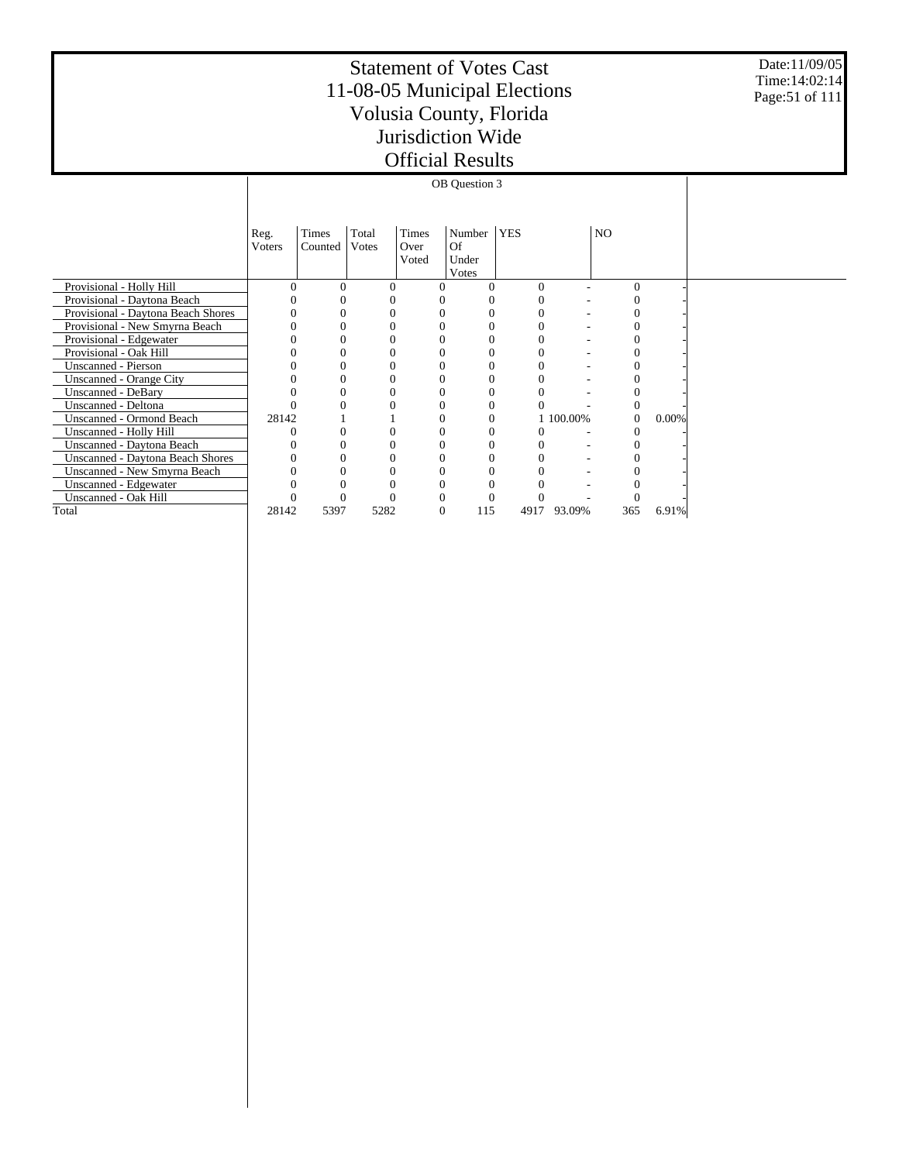Date:11/09/05 Time:14:02:14 Page:51 of 111

|                                         | Reg.<br><b>V</b> oters | Times<br>Counted | Total<br><b>V</b> otes | Times<br>Over<br>Voted | Of<br>Under<br><b>V</b> otes | Number   YES |      |           | NO.      |       |
|-----------------------------------------|------------------------|------------------|------------------------|------------------------|------------------------------|--------------|------|-----------|----------|-------|
| Provisional - Holly Hill                |                        |                  |                        |                        | $\Omega$                     |              | 0    |           | $\Omega$ |       |
| Provisional - Daytona Beach             |                        |                  |                        |                        |                              |              |      |           |          |       |
| Provisional - Daytona Beach Shores      |                        |                  |                        |                        |                              |              |      |           |          |       |
| Provisional - New Smyrna Beach          |                        |                  |                        |                        |                              |              |      |           |          |       |
| Provisional - Edgewater                 |                        |                  |                        |                        |                              |              |      |           |          |       |
| Provisional - Oak Hill                  |                        |                  |                        |                        |                              |              |      |           |          |       |
| Unscanned - Pierson                     |                        |                  |                        |                        |                              |              |      |           |          |       |
| Unscanned - Orange City                 |                        |                  |                        |                        |                              |              |      |           |          |       |
| <b>Unscanned - DeBary</b>               |                        |                  |                        |                        |                              |              |      |           |          |       |
| Unscanned - Deltona                     |                        |                  |                        |                        |                              |              |      |           |          |       |
| Unscanned - Ormond Beach                | 28142                  |                  |                        |                        |                              |              |      | 1 100,00% |          | 0.00% |
| Unscanned - Holly Hill                  |                        |                  |                        |                        | $\Omega$                     |              |      |           |          |       |
| Unscanned - Daytona Beach               |                        |                  |                        |                        |                              |              |      |           |          |       |
| <b>Unscanned - Daytona Beach Shores</b> |                        |                  |                        |                        |                              |              |      |           |          |       |
| Unscanned - New Smyrna Beach            |                        |                  |                        |                        |                              |              |      |           |          |       |
| Unscanned - Edgewater                   |                        |                  |                        |                        |                              |              |      |           |          |       |
| Unscanned - Oak Hill                    |                        |                  |                        |                        |                              |              |      |           |          |       |
| Total                                   | 28142                  | 5397             | 5282                   |                        | $\theta$                     | 115          | 4917 | 93.09%    | 365      | 6.91% |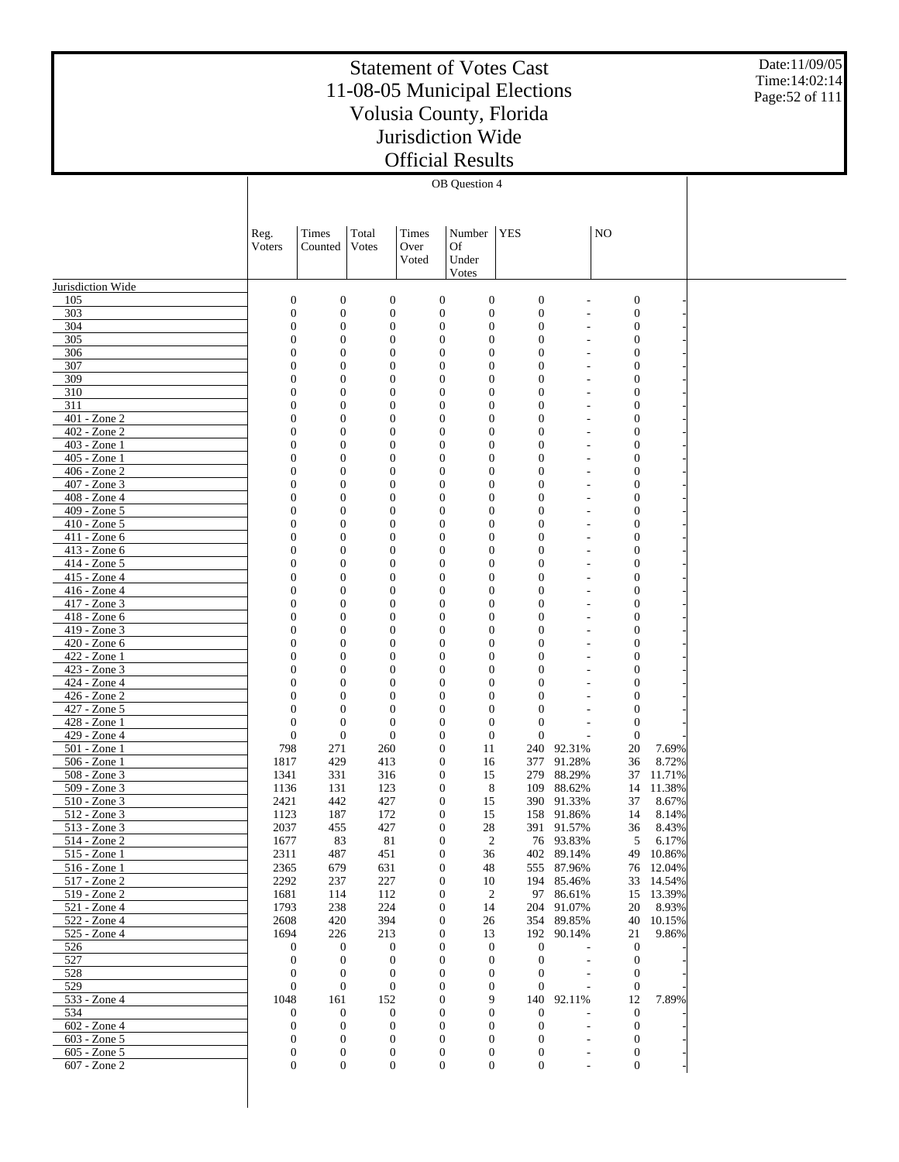OB Question 4

Date:11/09/05 Time:14:02:14 Page:52 of 111

#### Jurisdiction Wide 105 303 304 305 306 307 309 310 311 401 - Zone 2 402 - Zone 2 403 - Zone 1 405 - Zone 1 406 - Zone 2 407 - Zone 3 408 - Zone 4 409 - Zone 5 410 - Zone 5 411 - Zone 6 413 - Zone 6 414 - Zone 5 415 - Zone 4  $\overline{416}$  - Zone 4 417 - Zone 3 418 - Zone 6 419 - Zone 3 420 - Zone 6 422 - Zone 1 423 - Zone 3 424 - Zone 4 426 - Zone 2 427 - Zone 5 428 - Zone 1 429 - Zone 4 501 - Zone 1 506 - Zone 1 508 - Zone 3 509 - Zone 3 510 - Zone 3 512 - Zone 3 513 - Zone 3 514 - Zone 2 515 - Zone 1 516 - Zone 1 517 - Zone 2 519 - Zone 2 521 - Zone 4 522 - Zone 4 525 - Zone 4 526 527 528 529 533 - Zone 4 534 602 - Zone 4 603 - Zone 5 605 - Zone 5 Reg. Voters Times Counted Total Votes Times Over Voted Number | YES | NO Of Under Votes  $0 \t 0 \t 0 \t 0 \t 0 \t 0 \t 0 \t - \t 0 \t 0 \t 0 \t 0 \t 0 \t 0 \t 0 \t 0 \t - \t 0 \t 0 \t 0 \t 0 \t 0 \t 0 \t 0 \t 0 \t - \t 0 \t 0 \t 0 \t 0 \t 0 \t 0 \t 0 \t 0 \t - \t 0 \t 0 \t 0 \t 0 \t 0 \t 0 \t 0 \t 0 \t - \t 0 \t 0 \t 0 \t 0 \t 0 \t 0 \t 0 \t 0 \t - \t 0 \t 0 \t 0 \t 0 \t 0 \t 0 \t 0 \t 0 \t - \t 0 \t 0 \t 0 \t 0 \t 0 \t 0 \t 0 \t 0 \t - \t 0 \t 0 \t 0 \t 0 \t 0 \t 0 \t 0 \t 0 \t - \t 0 \t 0 \t 0 \t 0 \t 0 \t 0 \t 0 \t 0 \t - \t 0 \t 0 \t 0 \t 0 \t 0 \t 0 \t 0 \t 0 \t - \t 0 \t 0 \t 0 \t 0 \t 0 \t 0 \t 0 \t 0 \t - \t 0 \t 0 \t 0 \t 0 \t 0 \t 0 \t 0 \t 0 \t - \t 0 \t 0 \t 0 \t 0 \t 0 \t 0 \t 0 \t 0 \t - \t 0 \t 0 \t 0 \t 0 \t 0 \t 0 \t 0 \t 0 \t - \t 0 \t 0 \t 0 \t 0 \t 0 \t 0 \t 0 \t 0 \t - \t 0 \t 0 \t 0 \t 0 \t 0 \t 0 \t 0 \t 0 \t - \t 0 \t 0 \t 0 \t 0 \t 0 \t 0 \t 0 \t 0 \t - \t 0 \t 0 \t 0 \t 0 \t 0 \t 0 \t 0 \t 0 \t - \t 0 \t 0 \t 0 \t 0 \t 0 \t 0 \t 0 \t 0 \t - \t 0 \t 0 \t 0 \t 0 \t 0 \t 0 \t 0 \t 0 \t - \t 0 \t 0 \t 0 \t 0 \t 0 \t 0 \t 0 \t 0 \t - \t 0 \t 0 \t 0 \t 0 \t 0 \t 0 \t 0 \t 0 \t - \t 0 \t 0 \t 0 \t 0 \t 0 \t 0 \t 0 \t 0 \t - \t 0 \t 0 \t 0 \t 0 \t 0 \t 0 \t 0 \t 0 \t - \t 0 \t 0 \t 0 \t 0 \t 0 \t 0 \t 0 \t 0 \t - \t 0 \t 0 \t 0 \t 0 \t 0 \t 0 \t 0 \t 0 \t - \t 0 \t 0 \t 0 \t 0 \t 0 \t 0 \t 0 \t 0 \t - \t 0 \t 0 \t 0 \t 0 \t 0 \t 0 \t 0 \t 0 \t - \t 0 \t 0 \t 0 \t 0 \t 0 \t 0 \t 0 \t 0 \t - \t 0 \t 0 \t 0 \t 0 \t 0 \t 0 \t 0 \t 0 \t - \t 0 \t 0 \t 0 \t 0 \t 0 \t 0 \t 0 \t 0 \t - \t 0 \t 0 \t 0 \t 0 \t 0 \t 0 \t 0 \t 0 \t - \t 0 \t 0 \t 0 \t 0 \t 0 \t 0 \t 0 \t 0 \t - \t 0 \t -$ 798 271 260 0 11 240 92.31% 20 7.69% 1817 429 413 0 16 377 91.28% 36 8.72% 1341 331 316 0 15 279 88.29% 37 11.71% 1136 131 123 0 8 109 88.62% 14 11.38% 2421 442 427 0 15 390 91.33% 37 8.67% 1123 187 172 0 15 158 91.86% 14 8.14% 2037 455 427 0 28 391 91.57% 36 8.43% 1677 83 81 0 2 76 93.83% 5 6.17% 2311 487 451 0 36 402 89.14% 49 10.86% 2365 679 631 0 48 555 87.96% 76 12.04% 2292 237 227 0 10 194 85.46% 33 14.54% 1681 114 112 0 2 97 86.61% 15 13.39% 1793 238 224 0 14 204 91.07% 20 8.93% 2608 420 394 0 26 354 89.85% 40 10.15% 1694 226 213 0 13 192 90.14% 21 9.86%  $0 \t 0 \t 0 \t 0 \t 0 \t 0 \t 0 \t - \t 0 \t 0 \t 0 \t 0 \t 0 \t 0 \t 0 \t 0 \t - \t 0 \t 0 \t 0 \t 0 \t 0 \t 0 \t 0 \t 0 \t - \t 0 \t 0 \t 0 \t 0 \t 0 \t 0 \t 0 \t 0 \t - \t 0 \t -$ 1048 161 152 0 9 140 92.11% 12 7.89%  $0 \t 0 \t 0 \t 0 \t 0 \t 0 \t 0 \t - \t 0 \t 0 \t 0 \t 0 \t 0 \t 0 \t 0 \t 0 \t - \t 0 \t 0 \t 0 \t 0 \t 0 \t 0 \t 0 \t 0 \t - \t 0 \t 0 \t 0 \t 0 \t 0 \t 0 \t 0 \t 0 \t - \t 0 \t -$

 $0 \t 0 \t 0 \t 0 \t 0 \t 0 \t 0 \t - \t 0 \t -$ 

607 - Zone 2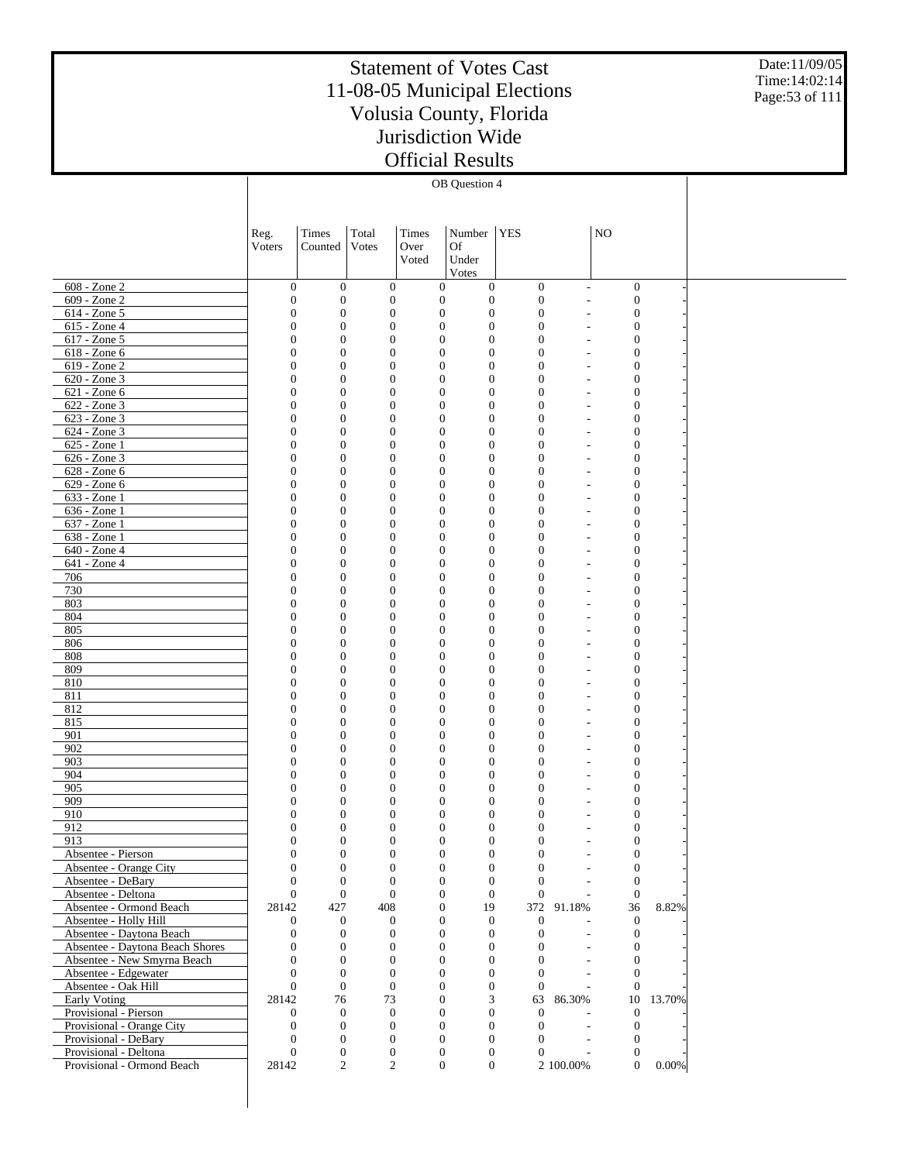Date:11/09/05 Time:14:02:14 Page:53 of 111

## Statement of Votes Cast 11-08-05 Municipal Elections Volusia County, Florida Jurisdiction Wide Official Results

|                                                             | Reg.                           | Times                        | Total                                | Times | Number                                                                 | <b>YES</b>                       |                          | NO                                   |          |  |
|-------------------------------------------------------------|--------------------------------|------------------------------|--------------------------------------|-------|------------------------------------------------------------------------|----------------------------------|--------------------------|--------------------------------------|----------|--|
|                                                             | Voters                         | Counted                      | Votes                                | Over  | <b>Of</b>                                                              |                                  |                          |                                      |          |  |
|                                                             |                                |                              |                                      | Voted | Under                                                                  |                                  |                          |                                      |          |  |
|                                                             |                                |                              |                                      |       | Votes                                                                  |                                  |                          |                                      |          |  |
| 608 - Zone 2                                                | $\theta$                       | $\mathbf{0}$                 | $\mathbf{0}$                         |       | $\mathbf{0}$<br>$\mathbf{0}$                                           | $\mathbf{0}$                     | $\overline{\phantom{a}}$ | $\mathbf{0}$                         |          |  |
| 609 - Zone 2                                                | $\boldsymbol{0}$               | $\mathbf{0}$                 | $\mathbf{0}$                         |       | $\boldsymbol{0}$<br>$\boldsymbol{0}$                                   | $\boldsymbol{0}$                 | $\overline{a}$           | $\mathbf{0}$                         |          |  |
| 614 - Zone 5                                                | $\mathbf{0}$                   | $\boldsymbol{0}$             | $\mathbf{0}$                         |       | $\boldsymbol{0}$<br>$\boldsymbol{0}$                                   | $\overline{0}$                   |                          | $\mathbf{0}$                         |          |  |
| 615 - Zone 4                                                | $\mathbf{0}$                   | $\mathbf{0}$                 | $\boldsymbol{0}$                     |       | $\boldsymbol{0}$<br>$\boldsymbol{0}$                                   | $\overline{0}$                   |                          | $\boldsymbol{0}$                     |          |  |
| 617 - Zone 5                                                | $\mathbf{0}$                   | $\mathbf{0}$                 | $\mathbf{0}$                         |       | $\overline{0}$<br>$\mathbf{0}$                                         | $\overline{0}$                   |                          | $\boldsymbol{0}$                     |          |  |
| 618 - Zone 6<br>619 - Zone 2                                | $\mathbf{0}$<br>$\mathbf{0}$   | $\mathbf{0}$<br>$\mathbf{0}$ | $\boldsymbol{0}$<br>$\mathbf{0}$     |       | $\boldsymbol{0}$<br>$\boldsymbol{0}$<br>$\overline{0}$<br>$\mathbf{0}$ | $\overline{0}$<br>$\overline{0}$ |                          | $\boldsymbol{0}$<br>$\mathbf{0}$     |          |  |
| 620 - Zone 3                                                | $\mathbf{0}$                   | $\mathbf{0}$                 | $\boldsymbol{0}$                     |       | $\boldsymbol{0}$<br>$\boldsymbol{0}$                                   | $\overline{0}$                   |                          | $\boldsymbol{0}$                     |          |  |
| 621 - Zone 6                                                | $\mathbf{0}$                   | $\mathbf{0}$                 | $\mathbf{0}$                         |       | $\overline{0}$<br>$\mathbf{0}$                                         | $\overline{0}$                   |                          | $\mathbf{0}$                         |          |  |
| 622 - Zone 3                                                | $\mathbf{0}$                   | $\mathbf{0}$                 | $\boldsymbol{0}$                     |       | $\boldsymbol{0}$<br>$\boldsymbol{0}$                                   | $\overline{0}$                   |                          | $\boldsymbol{0}$                     |          |  |
| 623 - Zone 3                                                | $\mathbf{0}$                   | $\mathbf{0}$                 | $\mathbf{0}$                         |       | $\overline{0}$<br>$\mathbf{0}$                                         | $\overline{0}$                   |                          | $\mathbf{0}$                         |          |  |
| 624 - Zone 3                                                | $\mathbf{0}$                   | $\mathbf{0}$                 | $\boldsymbol{0}$                     |       | $\boldsymbol{0}$<br>$\boldsymbol{0}$                                   | $\overline{0}$                   |                          | $\boldsymbol{0}$                     |          |  |
| 625 - Zone 1                                                | $\mathbf{0}$                   | $\mathbf{0}$                 | $\mathbf{0}$                         |       | $\overline{0}$<br>$\mathbf{0}$                                         | $\overline{0}$                   |                          | $\mathbf{0}$                         |          |  |
| 626 - Zone 3                                                | $\mathbf{0}$                   | $\mathbf{0}$                 | $\boldsymbol{0}$                     |       | $\boldsymbol{0}$<br>$\boldsymbol{0}$                                   | $\overline{0}$                   |                          | $\boldsymbol{0}$                     |          |  |
| 628 - Zone 6                                                | $\mathbf{0}$                   | $\mathbf{0}$                 | $\mathbf{0}$                         |       | $\overline{0}$<br>$\mathbf{0}$                                         | $\overline{0}$                   |                          | $\mathbf{0}$                         |          |  |
| 629 - Zone 6                                                | $\mathbf{0}$                   | $\mathbf{0}$                 | $\boldsymbol{0}$                     |       | $\boldsymbol{0}$<br>$\mathbf{0}$                                       | $\overline{0}$                   |                          | $\boldsymbol{0}$                     |          |  |
| 633 - Zone 1<br>636 - Zone 1                                | $\mathbf{0}$<br>$\mathbf{0}$   | $\mathbf{0}$<br>$\mathbf{0}$ | $\mathbf{0}$<br>$\boldsymbol{0}$     |       | $\overline{0}$<br>$\mathbf{0}$<br>$\boldsymbol{0}$<br>$\boldsymbol{0}$ | $\overline{0}$<br>$\overline{0}$ |                          | $\boldsymbol{0}$                     |          |  |
| 637 - Zone 1                                                | $\mathbf{0}$                   | $\mathbf{0}$                 | $\mathbf{0}$                         |       | $\overline{0}$<br>$\mathbf{0}$                                         | $\overline{0}$                   |                          | $\boldsymbol{0}$<br>$\mathbf{0}$     |          |  |
| 638 - Zone 1                                                | $\mathbf{0}$                   | $\mathbf{0}$                 | $\boldsymbol{0}$                     |       | $\boldsymbol{0}$<br>$\boldsymbol{0}$                                   | $\overline{0}$                   |                          | $\boldsymbol{0}$                     |          |  |
| 640 - Zone 4                                                | $\mathbf{0}$                   | $\mathbf{0}$                 | $\mathbf{0}$                         |       | $\overline{0}$<br>$\mathbf{0}$                                         | $\overline{0}$                   |                          | $\boldsymbol{0}$                     |          |  |
| 641 - Zone 4                                                | $\mathbf{0}$                   | $\mathbf{0}$                 | $\boldsymbol{0}$                     |       | $\boldsymbol{0}$<br>$\boldsymbol{0}$                                   | $\overline{0}$                   |                          | $\boldsymbol{0}$                     |          |  |
| 706                                                         | $\mathbf{0}$                   | $\mathbf{0}$                 | $\mathbf{0}$                         |       | $\overline{0}$<br>$\mathbf{0}$                                         | $\overline{0}$                   |                          | $\mathbf{0}$                         |          |  |
| 730                                                         | $\mathbf{0}$                   | $\mathbf{0}$                 | $\boldsymbol{0}$                     |       | $\boldsymbol{0}$<br>$\boldsymbol{0}$                                   | $\overline{0}$                   |                          | $\boldsymbol{0}$                     |          |  |
| 803                                                         | $\mathbf{0}$                   | $\mathbf{0}$                 | $\mathbf{0}$                         |       | $\overline{0}$<br>$\mathbf{0}$                                         | $\overline{0}$                   |                          | $\mathbf{0}$                         |          |  |
| 804                                                         | $\mathbf{0}$                   | $\mathbf{0}$                 | $\boldsymbol{0}$                     |       | $\boldsymbol{0}$<br>$\boldsymbol{0}$                                   | $\overline{0}$                   |                          | $\boldsymbol{0}$                     |          |  |
| 805                                                         | $\mathbf{0}$                   | $\mathbf{0}$                 | $\mathbf{0}$                         |       | $\overline{0}$<br>$\mathbf{0}$                                         | $\overline{0}$                   |                          | $\boldsymbol{0}$                     |          |  |
| 806<br>808                                                  | $\mathbf{0}$<br>$\mathbf{0}$   | $\mathbf{0}$<br>$\mathbf{0}$ | $\boldsymbol{0}$<br>$\mathbf{0}$     |       | $\boldsymbol{0}$<br>$\mathbf{0}$<br>$\overline{0}$<br>$\mathbf{0}$     | $\overline{0}$<br>$\overline{0}$ |                          | $\boldsymbol{0}$<br>$\mathbf{0}$     |          |  |
| 809                                                         | $\mathbf{0}$                   | $\mathbf{0}$                 | $\boldsymbol{0}$                     |       | $\boldsymbol{0}$<br>$\boldsymbol{0}$                                   | $\overline{0}$                   |                          | $\boldsymbol{0}$                     |          |  |
| 810                                                         | $\mathbf{0}$                   | $\mathbf{0}$                 | $\mathbf{0}$                         |       | $\overline{0}$<br>$\mathbf{0}$                                         | $\overline{0}$                   |                          | $\mathbf{0}$                         |          |  |
| 811                                                         | $\mathbf{0}$                   | $\mathbf{0}$                 | $\boldsymbol{0}$                     |       | $\boldsymbol{0}$<br>$\mathbf{0}$                                       | $\overline{0}$                   |                          | $\boldsymbol{0}$                     |          |  |
| 812                                                         | $\mathbf{0}$                   | $\mathbf{0}$                 | $\mathbf{0}$                         |       | $\overline{0}$<br>$\mathbf{0}$                                         | $\overline{0}$                   |                          | $\boldsymbol{0}$                     |          |  |
| 815                                                         | $\mathbf{0}$                   | $\mathbf{0}$                 | $\boldsymbol{0}$                     |       | $\boldsymbol{0}$<br>$\boldsymbol{0}$                                   | $\overline{0}$                   |                          | $\boldsymbol{0}$                     |          |  |
| 901                                                         | $\mathbf{0}$                   | $\mathbf{0}$                 | $\mathbf{0}$                         |       | $\overline{0}$<br>$\mathbf{0}$                                         | $\overline{0}$                   |                          | $\mathbf{0}$                         |          |  |
| 902                                                         | $\mathbf{0}$                   | $\mathbf{0}$                 | $\boldsymbol{0}$                     |       | $\boldsymbol{0}$<br>$\boldsymbol{0}$                                   | $\overline{0}$                   |                          | $\boldsymbol{0}$                     |          |  |
| 903                                                         | $\mathbf{0}$                   | $\mathbf{0}$                 | $\mathbf{0}$                         |       | $\overline{0}$<br>$\mathbf{0}$                                         | $\overline{0}$                   |                          | $\boldsymbol{0}$                     |          |  |
| 904                                                         | $\mathbf{0}$                   | $\mathbf{0}$                 | $\boldsymbol{0}$                     |       | $\boldsymbol{0}$<br>$\boldsymbol{0}$                                   | $\overline{0}$                   |                          | $\boldsymbol{0}$                     |          |  |
| 905<br>909                                                  | $\mathbf{0}$<br>$\mathbf{0}$   | $\theta$<br>$\mathbf{0}$     | $\theta$<br>$\mathbf{0}$             |       | $\mathbf{0}$<br>$\mathbf{0}$<br>$\mathbf{0}$<br>$\boldsymbol{0}$       | $\overline{0}$<br>$\overline{0}$ |                          | $\boldsymbol{0}$<br>$\boldsymbol{0}$ |          |  |
| 910                                                         | $\mathbf{0}$                   | $\mathbf{0}$                 | $\mathbf{0}$                         |       | $\overline{0}$<br>$\overline{0}$                                       | $\overline{0}$                   |                          | $\boldsymbol{0}$                     |          |  |
| 912                                                         | $\Omega$                       | $\theta$                     | $\mathbf{0}$                         |       | $\overline{0}$<br>$\mathbf{0}$                                         | $\Omega$                         |                          | $\mathbf{0}$                         |          |  |
| 913                                                         | $\boldsymbol{0}$               | $\mathbf{0}$                 | $\boldsymbol{0}$                     |       | $\boldsymbol{0}$<br>$\boldsymbol{0}$                                   | $\overline{0}$                   |                          | $\mathbf{0}$                         |          |  |
| Absentee - Pierson                                          | $\mathbf{0}$                   | $\mathbf{0}$                 | $\mathbf{0}$                         |       | $\boldsymbol{0}$<br>$\boldsymbol{0}$                                   | $\overline{0}$                   |                          | $\mathbf{0}$                         |          |  |
| Absentee - Orange City                                      | $\mathbf{0}$                   | $\mathbf{0}$                 | $\mathbf{0}$                         |       | $\boldsymbol{0}$<br>$\boldsymbol{0}$                                   | $\theta$                         |                          | $\mathbf{0}$                         |          |  |
| Absentee - DeBary                                           | $\mathbf{0}$                   | $\theta$                     | $\mathbf{0}$                         |       | $\boldsymbol{0}$<br>$\boldsymbol{0}$                                   | $\overline{0}$                   |                          | $\mathbf{0}$                         |          |  |
| Absentee - Deltona                                          | $\mathbf{0}$                   | $\mathbf{0}$                 | $\mathbf{0}$                         |       | $\overline{0}$<br>$\mathbf{0}$                                         | $\theta$                         | ÷,                       | $\mathbf{0}$                         |          |  |
| Absentee - Ormond Beach                                     | 28142                          | 427                          | 408                                  |       | $\boldsymbol{0}$<br>19                                                 |                                  | 372 91.18%               | 36                                   | 8.82%    |  |
| Absentee - Holly Hill                                       | $\overline{0}$<br>$\mathbf{0}$ | $\mathbf{0}$                 | $\mathbf{0}$                         |       | $\mathbf{0}$<br>$\overline{0}$<br>$\boldsymbol{0}$<br>$\boldsymbol{0}$ | $\overline{0}$                   |                          | $\mathbf{0}$<br>$\mathbf{0}$         |          |  |
| Absentee - Daytona Beach<br>Absentee - Daytona Beach Shores | $\mathbf{0}$                   | $\boldsymbol{0}$<br>$\theta$ | $\boldsymbol{0}$<br>$\boldsymbol{0}$ |       | $\overline{0}$<br>$\boldsymbol{0}$                                     | $\overline{0}$<br>$\overline{0}$ |                          | $\boldsymbol{0}$                     |          |  |
| Absentee - New Smyrna Beach                                 | $\mathbf{0}$                   | $\theta$                     | $\mathbf{0}$                         |       | $\boldsymbol{0}$<br>$\boldsymbol{0}$                                   | $\overline{0}$                   |                          | $\mathbf{0}$                         |          |  |
| Absentee - Edgewater                                        | $\mathbf{0}$                   | $\mathbf{0}$                 | $\mathbf{0}$                         |       | $\overline{0}$<br>$\boldsymbol{0}$                                     | $\overline{0}$                   |                          | $\mathbf{0}$                         |          |  |
| Absentee - Oak Hill                                         | $\overline{0}$                 | $\theta$                     | $\mathbf{0}$                         |       | $\boldsymbol{0}$<br>$\boldsymbol{0}$                                   | $\overline{0}$                   |                          | $\mathbf{0}$                         |          |  |
| Early Voting                                                | 28142                          | 76                           | 73                                   |       | $\boldsymbol{0}$<br>3                                                  | 63                               | 86.30%                   | 10                                   | 13.70%   |  |
| Provisional - Pierson                                       | $\overline{0}$                 | $\overline{0}$               | $\mathbf{0}$                         |       | $\boldsymbol{0}$<br>$\boldsymbol{0}$                                   | $\overline{0}$                   |                          | $\mathbf{0}$                         |          |  |
| Provisional - Orange City                                   | $\mathbf{0}$                   | $\overline{0}$               | $\mathbf{0}$                         |       | $\overline{0}$<br>$\mathbf{0}$                                         | $\overline{0}$                   | $\overline{a}$           | $\mathbf{0}$                         |          |  |
| Provisional - DeBary                                        | $\mathbf{0}$                   | $\overline{0}$               | $\boldsymbol{0}$                     |       | $\boldsymbol{0}$<br>$\boldsymbol{0}$                                   | $\overline{0}$                   |                          | $\mathbf{0}$                         |          |  |
| Provisional - Deltona                                       | $\mathbf{0}$                   | $\mathbf{0}$                 | $\boldsymbol{0}$                     |       | $\boldsymbol{0}$<br>$\boldsymbol{0}$                                   | $\overline{0}$                   | ÷,                       | $\mathbf{0}$                         |          |  |
| Provisional - Ormond Beach                                  | 28142                          | 2                            |                                      | 2     | $\mathbf{0}$<br>$\boldsymbol{0}$                                       |                                  | 2 100.00%                | $\mathbf{0}$                         | $0.00\%$ |  |
|                                                             |                                |                              |                                      |       |                                                                        |                                  |                          |                                      |          |  |
|                                                             |                                |                              |                                      |       |                                                                        |                                  |                          |                                      |          |  |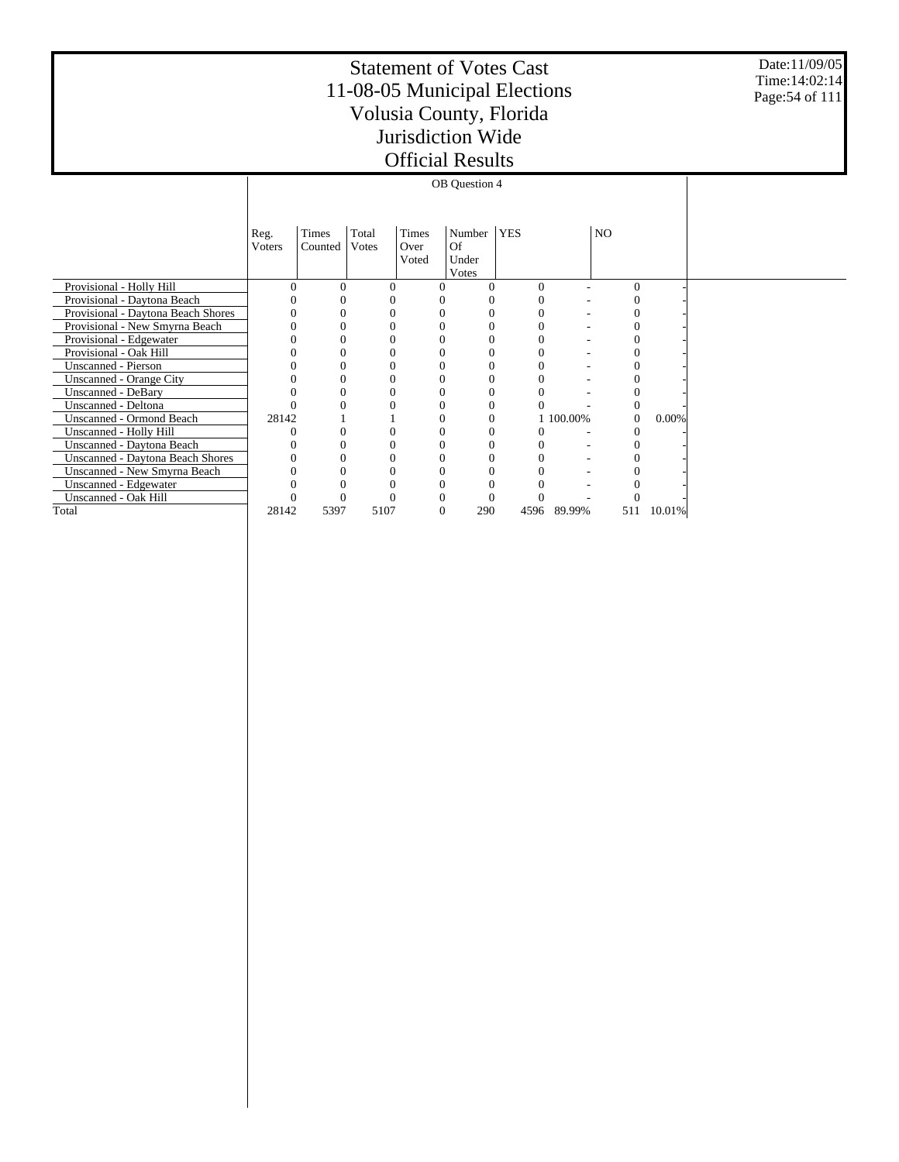Date:11/09/05 Time:14:02:14 Page:54 of 111

|                                         | Reg.<br>Voters | Times<br>Counted | Total<br>Votes | Times<br>Over<br>Voted | Of<br>Under<br>Votes | Number $ YES$ |             | NO. |     |        |
|-----------------------------------------|----------------|------------------|----------------|------------------------|----------------------|---------------|-------------|-----|-----|--------|
| Provisional - Holly Hill                |                | 0                |                |                        | $\Omega$             |               | 0           |     |     |        |
| Provisional - Daytona Beach             |                |                  |                |                        |                      |               |             |     |     |        |
| Provisional - Daytona Beach Shores      |                |                  |                |                        |                      |               |             |     |     |        |
| Provisional - New Smyrna Beach          |                |                  |                |                        |                      |               |             |     |     |        |
| Provisional - Edgewater                 |                |                  |                |                        |                      |               |             |     |     |        |
| Provisional - Oak Hill                  |                |                  |                |                        |                      |               |             |     |     |        |
| Unscanned - Pierson                     |                |                  |                |                        |                      |               |             |     |     |        |
| Unscanned - Orange City                 |                |                  |                |                        |                      |               |             |     |     |        |
| Unscanned - DeBary                      |                |                  |                |                        |                      |               |             |     |     |        |
| Unscanned - Deltona                     |                |                  |                |                        |                      |               |             |     |     |        |
| Unscanned - Ormond Beach                | 28142          |                  |                |                        |                      |               | 1 100.00%   |     |     | 0.00%  |
| Unscanned - Holly Hill                  |                |                  |                |                        |                      |               |             |     |     |        |
| Unscanned - Daytona Beach               |                |                  |                |                        |                      |               |             |     |     |        |
| <b>Unscanned - Daytona Beach Shores</b> |                |                  |                |                        |                      |               |             |     |     |        |
| Unscanned - New Smyrna Beach            |                |                  |                |                        |                      |               |             |     |     |        |
| Unscanned - Edgewater                   |                |                  |                |                        |                      |               |             |     |     |        |
| Unscanned - Oak Hill                    |                |                  |                |                        |                      |               |             |     |     |        |
| Total                                   | 28142          | 5397             | 5107           |                        | $\Omega$             | 290           | 4596 89.99% |     | 511 | 10.01% |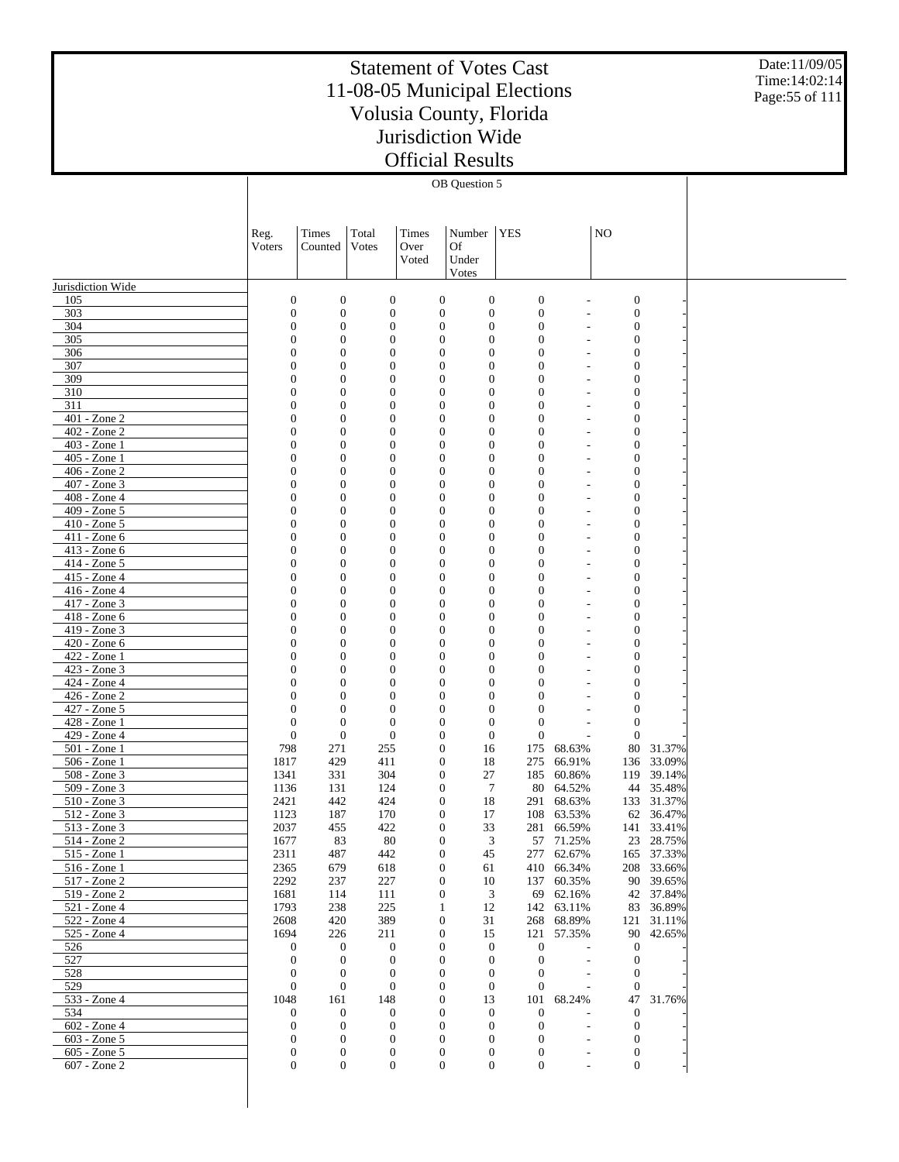Date:11/09/05 Time:14:02:14 Page:55 of 111

Τ

#### OB Question 5

Τ

|                                 | $\sigma$ $\sigma$ $\sigma$ $\sigma$ |                                      |                                      |                        |                                                                  |                |                                  |                         |                                      |                         |  |
|---------------------------------|-------------------------------------|--------------------------------------|--------------------------------------|------------------------|------------------------------------------------------------------|----------------|----------------------------------|-------------------------|--------------------------------------|-------------------------|--|
|                                 | Reg.<br>Voters                      | Times<br>Counted   Votes             | Total                                | Times<br>Over<br>Voted | Number<br><b>Of</b><br>Under<br>Votes                            | <sub>YES</sub> |                                  |                         | $_{\rm NO}$                          |                         |  |
| Jurisdiction Wide               |                                     |                                      |                                      |                        |                                                                  |                |                                  |                         |                                      |                         |  |
| 105                             | $\mathbf{0}$                        | $\boldsymbol{0}$                     | $\boldsymbol{0}$                     |                        | $\boldsymbol{0}$<br>$\mathbf{0}$                                 |                | $\boldsymbol{0}$                 |                         | $\boldsymbol{0}$                     |                         |  |
| 303                             | $\theta$                            | $\boldsymbol{0}$                     | $\boldsymbol{0}$                     |                        | $\mathbf{0}$<br>$\mathbf{0}$                                     |                | $\boldsymbol{0}$                 |                         | $\boldsymbol{0}$                     |                         |  |
| 304                             | $\overline{0}$                      | $\boldsymbol{0}$                     | $\boldsymbol{0}$                     |                        | $\boldsymbol{0}$<br>$\boldsymbol{0}$                             |                | $\overline{0}$                   |                         | $\boldsymbol{0}$                     |                         |  |
| 305                             | 0                                   | $\overline{0}$                       | $\mathbf{0}$                         |                        | $\overline{0}$<br>$\mathbf{0}$                                   |                | $\overline{0}$                   |                         | $\boldsymbol{0}$                     |                         |  |
| 306                             | 0                                   | $\boldsymbol{0}$                     | $\mathbf{0}$                         |                        | $\overline{0}$<br>$\mathbf{0}$                                   |                | $\overline{0}$                   |                         | $\boldsymbol{0}$                     |                         |  |
| 307                             | 0                                   | $\overline{0}$                       | $\mathbf{0}$                         |                        | $\overline{0}$<br>$\mathbf{0}$                                   |                | $\overline{0}$                   |                         | $\boldsymbol{0}$                     |                         |  |
| 309                             | 0                                   | $\boldsymbol{0}$                     | $\boldsymbol{0}$                     |                        | $\overline{0}$<br>$\mathbf{0}$                                   |                | $\overline{0}$                   |                         | $\boldsymbol{0}$                     |                         |  |
| 310<br>311                      | 0<br>0                              | $\overline{0}$<br>$\boldsymbol{0}$   | $\mathbf{0}$<br>$\boldsymbol{0}$     |                        | $\overline{0}$<br>$\mathbf{0}$<br>$\overline{0}$<br>$\mathbf{0}$ |                | $\overline{0}$<br>$\overline{0}$ |                         | $\boldsymbol{0}$<br>$\boldsymbol{0}$ |                         |  |
| 401 - Zone 2                    | 0                                   | $\overline{0}$                       | $\boldsymbol{0}$                     |                        | $\overline{0}$<br>$\mathbf{0}$                                   |                | $\overline{0}$                   |                         | $\boldsymbol{0}$                     |                         |  |
| 402 - Zone 2                    | 0                                   | $\boldsymbol{0}$                     | $\boldsymbol{0}$                     |                        | $\overline{0}$<br>$\mathbf{0}$                                   |                | $\overline{0}$                   |                         | $\boldsymbol{0}$                     |                         |  |
| 403 - Zone 1                    | 0                                   | $\overline{0}$                       | $\mathbf{0}$                         |                        | $\overline{0}$<br>$\mathbf{0}$                                   |                | $\overline{0}$                   |                         | $\boldsymbol{0}$                     |                         |  |
| 405 - Zone 1                    | 0                                   | $\boldsymbol{0}$                     | $\boldsymbol{0}$                     |                        | $\overline{0}$<br>$\boldsymbol{0}$                               |                | $\overline{0}$                   |                         | $\boldsymbol{0}$                     |                         |  |
| 406 - Zone 2                    | $\Omega$                            | $\overline{0}$                       | $\boldsymbol{0}$                     |                        | $\overline{0}$<br>$\mathbf{0}$                                   |                | $\overline{0}$                   |                         | $\boldsymbol{0}$                     |                         |  |
| 407 - Zone 3                    | 0                                   | $\overline{0}$                       | $\boldsymbol{0}$                     |                        | $\overline{0}$<br>$\mathbf{0}$                                   |                | $\overline{0}$                   |                         | $\boldsymbol{0}$                     |                         |  |
| 408 - Zone 4                    | 0                                   | $\overline{0}$                       | $\boldsymbol{0}$                     |                        | $\overline{0}$<br>$\mathbf{0}$                                   |                | $\overline{0}$                   |                         | $\boldsymbol{0}$                     |                         |  |
| 409 - Zone 5                    | 0                                   | $\boldsymbol{0}$                     | $\boldsymbol{0}$                     |                        | $\overline{0}$<br>$\mathbf{0}$                                   |                | $\overline{0}$                   |                         | $\boldsymbol{0}$                     |                         |  |
| 410 - Zone 5                    | 0                                   | $\overline{0}$                       | $\mathbf{0}$                         |                        | $\overline{0}$<br>$\mathbf{0}$                                   |                | $\overline{0}$                   |                         | $\boldsymbol{0}$                     |                         |  |
| 411 - Zone 6                    | 0                                   | $\boldsymbol{0}$                     | $\boldsymbol{0}$                     |                        | $\overline{0}$<br>$\mathbf{0}$                                   |                | $\overline{0}$                   |                         | $\boldsymbol{0}$                     |                         |  |
| 413 - Zone 6                    | $\Omega$                            | $\overline{0}$                       | $\boldsymbol{0}$                     |                        | $\overline{0}$<br>$\mathbf{0}$                                   |                | $\overline{0}$                   |                         | $\boldsymbol{0}$                     |                         |  |
| 414 - Zone 5                    | 0                                   | $\boldsymbol{0}$                     | $\boldsymbol{0}$                     |                        | $\overline{0}$<br>$\mathbf{0}$                                   |                | $\overline{0}$                   |                         | $\boldsymbol{0}$                     |                         |  |
| 415 - Zone 4                    | 0                                   | $\overline{0}$                       | $\boldsymbol{0}$                     |                        | $\overline{0}$<br>$\mathbf{0}$                                   |                | $\overline{0}$                   |                         | $\boldsymbol{0}$                     |                         |  |
| $416 - Z$ one $4$               | 0                                   | $\boldsymbol{0}$                     | $\boldsymbol{0}$                     |                        | $\overline{0}$<br>$\mathbf{0}$                                   |                | $\overline{0}$                   |                         | $\boldsymbol{0}$                     |                         |  |
| 417 - Zone 3<br>$418 - Z$ one 6 | 0<br>0                              | $\overline{0}$<br>$\boldsymbol{0}$   | $\mathbf{0}$<br>$\boldsymbol{0}$     |                        | $\overline{0}$<br>$\mathbf{0}$<br>$\overline{0}$<br>$\mathbf{0}$ |                | $\overline{0}$<br>$\overline{0}$ |                         | $\boldsymbol{0}$                     |                         |  |
| 419 - Zone 3                    | 0                                   | $\overline{0}$                       | $\mathbf{0}$                         |                        | $\overline{0}$<br>$\mathbf{0}$                                   |                | $\overline{0}$                   |                         | $\boldsymbol{0}$<br>$\boldsymbol{0}$ |                         |  |
| 420 - Zone 6                    | 0                                   | $\overline{0}$                       | $\mathbf{0}$                         |                        | $\overline{0}$<br>$\mathbf{0}$                                   |                | $\overline{0}$                   |                         | $\boldsymbol{0}$                     |                         |  |
| 422 - Zone 1                    | 0                                   | $\overline{0}$                       | $\mathbf{0}$                         |                        | $\overline{0}$<br>$\mathbf{0}$                                   |                | $\overline{0}$                   |                         | $\boldsymbol{0}$                     |                         |  |
| 423 - Zone 3                    | 0                                   | $\boldsymbol{0}$                     | $\boldsymbol{0}$                     |                        | $\overline{0}$<br>$\mathbf{0}$                                   |                | $\overline{0}$                   |                         | $\boldsymbol{0}$                     |                         |  |
| 424 - Zone 4                    | $\theta$                            | $\overline{0}$                       | $\mathbf{0}$                         |                        | $\overline{0}$<br>$\mathbf{0}$                                   |                | $\overline{0}$                   |                         | $\mathbf{0}$                         |                         |  |
| 426 - Zone 2                    | 0                                   | $\overline{0}$                       | $\mathbf{0}$                         |                        | $\overline{0}$<br>$\mathbf{0}$                                   |                | $\overline{0}$                   |                         | $\boldsymbol{0}$                     |                         |  |
| 427 - Zone 5                    | $\boldsymbol{0}$                    | $\overline{0}$                       | $\boldsymbol{0}$                     |                        | $\overline{0}$<br>$\mathbf{0}$                                   |                | $\overline{0}$                   |                         | $\boldsymbol{0}$                     |                         |  |
| 428 - Zone 1                    | $\boldsymbol{0}$                    | $\boldsymbol{0}$                     | $\mathbf{0}$                         |                        | $\boldsymbol{0}$<br>$\mathbf{0}$                                 |                | $\overline{0}$                   |                         | $\boldsymbol{0}$                     |                         |  |
| 429 - Zone 4                    | $\theta$                            | $\boldsymbol{0}$                     | $\boldsymbol{0}$                     |                        | $\overline{0}$<br>$\theta$                                       |                | $\overline{0}$                   |                         | $\mathbf{0}$                         |                         |  |
| 501 - Zone 1                    | 798                                 | 271                                  | 255                                  |                        | $\boldsymbol{0}$<br>16                                           |                | 175                              | 68.63%                  |                                      | 80 31.37%               |  |
| 506 - Zone 1                    | 1817                                | 429                                  | 411                                  |                        | $\boldsymbol{0}$<br>18                                           |                |                                  | 275 66.91%              |                                      | 136 33.09%              |  |
| 508 - Zone 3                    | 1341                                | 331                                  | 304                                  |                        | 27<br>$\boldsymbol{0}$                                           |                |                                  | 185 60.86%              |                                      | 119 39.14%              |  |
| $509 - Z$ one 3                 | 1136                                | 131                                  | 124                                  |                        | $\boldsymbol{0}$<br>7                                            |                |                                  | 80 64.52%               |                                      | 44 35.48%               |  |
| 510 - Zone 3                    | 2421                                | 442                                  | 424                                  |                        | $\boldsymbol{0}$<br>18                                           |                | 291                              | 68.63%                  |                                      | 133 31.37%              |  |
| 512 - Zone 3                    | 1123                                | 187                                  | 170                                  |                        | $\boldsymbol{0}$<br>17                                           |                |                                  | 108 63.53%              |                                      | 62 36.47%               |  |
| 513 - Zone 3                    | 2037                                | 455                                  | 422                                  |                        | 33<br>$\boldsymbol{0}$<br>$\Omega$                               |                |                                  | 281 66.59%<br>57 71.25% |                                      | 141 33.41%              |  |
| 514 - Zone 2<br>515 - Zone 1    | 1677<br>2311                        | 83<br>487                            | 80<br>442                            |                        | 3<br>$\mathbf{0}$<br>45                                          |                |                                  | 277 62.67%              |                                      | 23 28.75%<br>165 37.33% |  |
| 516 - Zone 1                    | 2365                                | 679                                  | 618                                  |                        | $\mathbf{0}$<br>61                                               |                |                                  | 410 66.34%              |                                      | 208 33.66%              |  |
| 517 - Zone 2                    | 2292                                | 237                                  | 227                                  |                        | $\mathbf{0}$<br>10                                               |                |                                  | 137 60.35%              |                                      | 90 39.65%               |  |
| 519 - Zone 2                    | 1681                                | 114                                  | 111                                  |                        | $\mathbf{0}$<br>3                                                |                |                                  | 69 62.16%               |                                      | 42 37.84%               |  |
| 521 - Zone 4                    | 1793                                | 238                                  | 225                                  |                        | 1<br>12                                                          |                |                                  | 142 63.11%              |                                      | 83 36.89%               |  |
| 522 - Zone 4                    | 2608                                | 420                                  | 389                                  |                        | $\mathbf{0}$<br>31                                               |                |                                  | 268 68.89%              |                                      | 121 31.11%              |  |
| 525 - Zone 4                    | 1694                                | 226                                  | 211                                  |                        | $\boldsymbol{0}$<br>15                                           |                |                                  | 121 57.35%              |                                      | 90 42.65%               |  |
| 526                             | $\mathbf 0$                         | $\boldsymbol{0}$                     | $\boldsymbol{0}$                     |                        | $\boldsymbol{0}$<br>$\mathbf{0}$                                 |                | $\boldsymbol{0}$                 |                         | $\boldsymbol{0}$                     |                         |  |
| 527                             | $\mathbf{0}$                        | $\boldsymbol{0}$                     | $\mathbf{0}$                         |                        | $\boldsymbol{0}$<br>$\overline{0}$                               |                | $\boldsymbol{0}$                 |                         | $\boldsymbol{0}$                     |                         |  |
| 528                             | $\mathbf{0}$                        | $\overline{0}$                       | $\boldsymbol{0}$                     |                        | $\boldsymbol{0}$<br>$\theta$                                     |                | $\overline{0}$                   |                         | $\mathbf{0}$                         |                         |  |
| 529                             | $\mathbf{0}$                        | $\boldsymbol{0}$                     | $\boldsymbol{0}$                     |                        | $\boldsymbol{0}$<br>$\mathbf{0}$                                 |                | $\theta$                         |                         | $\boldsymbol{0}$                     |                         |  |
| 533 - Zone 4                    | 1048                                | 161                                  | 148                                  |                        | $\boldsymbol{0}$<br>13                                           |                | 101                              | 68.24%                  |                                      | 47 31.76%               |  |
| 534                             | $\mathbf{0}$                        | $\theta$                             | $\boldsymbol{0}$                     |                        | $\boldsymbol{0}$<br>$\overline{0}$                               |                | $\theta$                         |                         | $\boldsymbol{0}$                     |                         |  |
| 602 - Zone 4                    | $\theta$                            | $\mathbf{0}$                         | $\mathbf{0}$                         |                        | $\overline{0}$<br>$\overline{0}$                                 |                | $\theta$                         |                         | $\boldsymbol{0}$                     |                         |  |
| 603 - Zone 5                    | $\theta$                            | $\mathbf{0}$                         | $\boldsymbol{0}$                     |                        | $\overline{0}$<br>$\overline{0}$                                 |                | $\overline{0}$                   |                         | 0                                    |                         |  |
|                                 |                                     |                                      |                                      |                        |                                                                  |                | $\boldsymbol{0}$                 |                         | $\boldsymbol{0}$                     |                         |  |
| 605 - Zone 5<br>607 - Zone 2    | $\theta$<br>$\mathbf{0}$            | $\boldsymbol{0}$<br>$\boldsymbol{0}$ | $\boldsymbol{0}$<br>$\boldsymbol{0}$ |                        | $\overline{0}$<br>$\overline{0}$<br>$\boldsymbol{0}$<br>$\theta$ |                | $\boldsymbol{0}$                 |                         | $\boldsymbol{0}$                     |                         |  |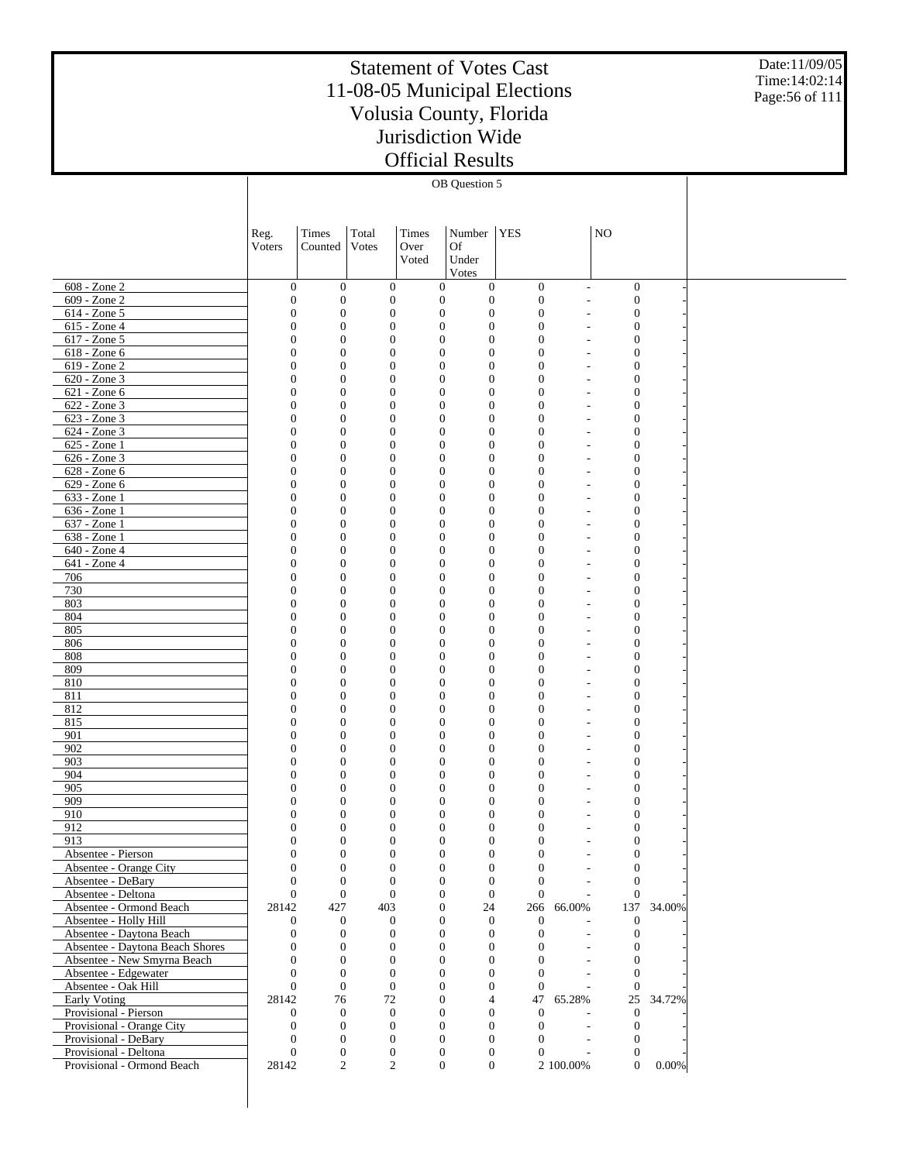Date:11/09/05 Time:14:02:14 Page:56 of 111

 $\overline{1}$ 

## Statement of Votes Cast 11-08-05 Municipal Elections Volusia County, Florida Jurisdiction Wide Official Results

| OB Question 5 |  |
|---------------|--|
|               |  |

 $\overline{1}$ 

|                                                     | Reg.                             | Times                                | Total                                | Times         | Number                               | <b>YES</b>                           |                                           | $_{\rm NO}$                                  |            |  |
|-----------------------------------------------------|----------------------------------|--------------------------------------|--------------------------------------|---------------|--------------------------------------|--------------------------------------|-------------------------------------------|----------------------------------------------|------------|--|
|                                                     | Voters                           | Counted                              | Votes                                | Over<br>Voted | Of<br>Under                          |                                      |                                           |                                              |            |  |
|                                                     |                                  |                                      |                                      |               | Votes                                |                                      |                                           |                                              |            |  |
| 608 - Zone 2                                        | $\boldsymbol{0}$                 | $\mathbf{0}$                         | $\boldsymbol{0}$                     |               | $\boldsymbol{0}$                     | $\mathbf{0}$                         | $\boldsymbol{0}$                          | $\boldsymbol{0}$<br>$\sim$                   |            |  |
| 609 - Zone 2                                        | $\boldsymbol{0}$                 | $\boldsymbol{0}$                     | $\boldsymbol{0}$                     |               | $\boldsymbol{0}$                     | $\boldsymbol{0}$                     | $\mathbf{0}$                              | $\boldsymbol{0}$<br>$\overline{\phantom{a}}$ |            |  |
| 614 - Zone 5<br>615 - Zone 4                        | $\overline{0}$<br>$\overline{0}$ | $\boldsymbol{0}$<br>$\boldsymbol{0}$ | $\boldsymbol{0}$<br>$\boldsymbol{0}$ |               | $\boldsymbol{0}$<br>$\boldsymbol{0}$ | $\boldsymbol{0}$<br>$\boldsymbol{0}$ | $\mathbf{0}$<br>$\boldsymbol{0}$          | $\boldsymbol{0}$<br>$\boldsymbol{0}$         |            |  |
| 617 - Zone 5                                        | $\overline{0}$                   | $\boldsymbol{0}$                     | $\boldsymbol{0}$                     |               | $\boldsymbol{0}$                     | $\boldsymbol{0}$                     | $\boldsymbol{0}$                          | $\boldsymbol{0}$                             |            |  |
| 618 - Zone 6                                        | $\overline{0}$                   | $\boldsymbol{0}$                     | $\boldsymbol{0}$                     |               | $\boldsymbol{0}$                     | $\mathbf{0}$                         | $\boldsymbol{0}$                          | $\boldsymbol{0}$                             |            |  |
| 619 - Zone 2                                        | $\overline{0}$                   | $\boldsymbol{0}$                     | $\boldsymbol{0}$                     |               | $\boldsymbol{0}$                     | $\mathbf{0}$                         | $\boldsymbol{0}$                          | $\boldsymbol{0}$                             |            |  |
| 620 - Zone 3                                        | $\overline{0}$                   | $\boldsymbol{0}$                     | $\boldsymbol{0}$                     |               | $\boldsymbol{0}$                     | $\mathbf{0}$                         | $\boldsymbol{0}$                          | $\boldsymbol{0}$                             |            |  |
| 621 - Zone 6                                        | $\overline{0}$                   | $\boldsymbol{0}$                     | $\boldsymbol{0}$                     |               | $\boldsymbol{0}$                     | $\mathbf{0}$                         | $\boldsymbol{0}$                          | $\boldsymbol{0}$                             |            |  |
| 622 - Zone 3<br>623 - Zone 3                        | $\overline{0}$<br>$\overline{0}$ | $\boldsymbol{0}$<br>$\boldsymbol{0}$ | $\boldsymbol{0}$<br>$\boldsymbol{0}$ |               | $\boldsymbol{0}$<br>$\boldsymbol{0}$ | $\mathbf{0}$<br>$\mathbf{0}$         | $\boldsymbol{0}$<br>$\boldsymbol{0}$      | $\boldsymbol{0}$<br>$\boldsymbol{0}$         |            |  |
| 624 - Zone 3                                        | $\overline{0}$                   | $\boldsymbol{0}$                     | $\boldsymbol{0}$                     |               | $\boldsymbol{0}$                     | $\mathbf{0}$                         | $\boldsymbol{0}$                          | $\boldsymbol{0}$                             |            |  |
| 625 - Zone 1                                        | $\overline{0}$                   | $\boldsymbol{0}$                     | $\boldsymbol{0}$                     |               | $\boldsymbol{0}$                     | $\mathbf{0}$                         | $\boldsymbol{0}$                          | $\boldsymbol{0}$                             |            |  |
| 626 - Zone 3                                        | $\overline{0}$                   | $\boldsymbol{0}$                     | $\boldsymbol{0}$                     |               | $\boldsymbol{0}$                     | $\mathbf{0}$                         | $\boldsymbol{0}$                          | $\boldsymbol{0}$                             |            |  |
| 628 - Zone 6                                        | $\overline{0}$                   | $\boldsymbol{0}$                     | $\boldsymbol{0}$                     |               | $\boldsymbol{0}$                     | $\mathbf{0}$                         | $\boldsymbol{0}$                          | $\boldsymbol{0}$                             |            |  |
| 629 - Zone 6                                        | $\overline{0}$                   | $\boldsymbol{0}$                     | $\boldsymbol{0}$                     |               | $\boldsymbol{0}$                     | $\mathbf{0}$                         | $\boldsymbol{0}$                          | $\boldsymbol{0}$                             |            |  |
| 633 - Zone 1                                        | $\overline{0}$                   | $\boldsymbol{0}$                     | $\boldsymbol{0}$                     |               | $\boldsymbol{0}$                     | $\boldsymbol{0}$                     | $\boldsymbol{0}$                          | $\boldsymbol{0}$                             |            |  |
| 636 - Zone 1                                        | $\overline{0}$                   | $\boldsymbol{0}$                     | $\boldsymbol{0}$                     |               | $\boldsymbol{0}$                     | $\mathbf{0}$                         | $\boldsymbol{0}$                          | $\boldsymbol{0}$                             |            |  |
| 637 - Zone 1                                        | $\overline{0}$                   | $\boldsymbol{0}$                     | $\boldsymbol{0}$                     |               | $\boldsymbol{0}$                     | $\mathbf{0}$                         | $\boldsymbol{0}$                          | $\boldsymbol{0}$                             |            |  |
| 638 - Zone 1                                        | $\overline{0}$<br>$\overline{0}$ | $\boldsymbol{0}$                     | $\boldsymbol{0}$                     |               | $\boldsymbol{0}$                     | $\mathbf{0}$                         | $\boldsymbol{0}$                          | $\boldsymbol{0}$                             |            |  |
| 640 - Zone 4<br>641 - Zone 4                        | $\overline{0}$                   | $\boldsymbol{0}$<br>$\boldsymbol{0}$ | $\boldsymbol{0}$<br>$\boldsymbol{0}$ |               | $\boldsymbol{0}$<br>$\boldsymbol{0}$ | $\mathbf{0}$<br>$\mathbf{0}$         | $\boldsymbol{0}$<br>$\boldsymbol{0}$      | $\boldsymbol{0}$<br>$\boldsymbol{0}$         |            |  |
| 706                                                 | $\overline{0}$                   | $\boldsymbol{0}$                     | $\boldsymbol{0}$                     |               | $\boldsymbol{0}$                     | $\mathbf{0}$                         | $\boldsymbol{0}$                          | $\boldsymbol{0}$                             |            |  |
| 730                                                 | $\overline{0}$                   | $\boldsymbol{0}$                     | $\boldsymbol{0}$                     |               | $\boldsymbol{0}$                     | $\mathbf{0}$                         | $\boldsymbol{0}$                          | $\boldsymbol{0}$                             |            |  |
| 803                                                 | $\overline{0}$                   | $\boldsymbol{0}$                     | $\boldsymbol{0}$                     |               | $\boldsymbol{0}$                     | $\mathbf{0}$                         | $\boldsymbol{0}$                          | $\boldsymbol{0}$                             |            |  |
| 804                                                 | $\overline{0}$                   | $\boldsymbol{0}$                     | $\boldsymbol{0}$                     |               | $\boldsymbol{0}$                     | $\mathbf{0}$                         | $\boldsymbol{0}$                          | $\boldsymbol{0}$                             |            |  |
| 805                                                 | $\overline{0}$                   | $\boldsymbol{0}$                     | $\boldsymbol{0}$                     |               | $\boldsymbol{0}$                     | $\mathbf{0}$                         | $\boldsymbol{0}$                          | $\boldsymbol{0}$                             |            |  |
| 806                                                 | $\overline{0}$                   | $\boldsymbol{0}$                     | $\boldsymbol{0}$                     |               | $\boldsymbol{0}$                     | $\mathbf{0}$                         | $\boldsymbol{0}$                          | $\boldsymbol{0}$                             |            |  |
| 808                                                 | $\overline{0}$                   | $\boldsymbol{0}$                     | $\boldsymbol{0}$                     |               | $\boldsymbol{0}$                     | $\mathbf{0}$                         | $\boldsymbol{0}$                          | $\boldsymbol{0}$                             |            |  |
| 809                                                 | $\overline{0}$                   | $\boldsymbol{0}$                     | $\boldsymbol{0}$                     |               | $\boldsymbol{0}$                     | $\mathbf{0}$                         | $\boldsymbol{0}$                          | $\boldsymbol{0}$                             |            |  |
| 810                                                 | $\overline{0}$                   | $\boldsymbol{0}$                     | $\boldsymbol{0}$                     |               | $\boldsymbol{0}$                     | $\mathbf{0}$                         | $\boldsymbol{0}$                          | $\boldsymbol{0}$                             |            |  |
| 811<br>812                                          | $\overline{0}$<br>$\overline{0}$ | $\boldsymbol{0}$<br>$\boldsymbol{0}$ | $\boldsymbol{0}$<br>$\boldsymbol{0}$ |               | $\boldsymbol{0}$<br>$\boldsymbol{0}$ | $\boldsymbol{0}$<br>$\mathbf{0}$     | $\boldsymbol{0}$<br>$\boldsymbol{0}$      | $\boldsymbol{0}$<br>$\boldsymbol{0}$         |            |  |
| 815                                                 | $\overline{0}$                   | $\boldsymbol{0}$                     | $\boldsymbol{0}$                     |               | $\boldsymbol{0}$                     | $\mathbf{0}$                         | $\boldsymbol{0}$                          | $\boldsymbol{0}$                             |            |  |
| 901                                                 | $\overline{0}$                   | $\boldsymbol{0}$                     | $\boldsymbol{0}$                     |               | $\boldsymbol{0}$                     | $\mathbf{0}$                         | $\boldsymbol{0}$                          | $\boldsymbol{0}$                             |            |  |
| 902                                                 | $\overline{0}$                   | $\boldsymbol{0}$                     | $\boldsymbol{0}$                     |               | $\boldsymbol{0}$                     | $\mathbf{0}$                         | $\boldsymbol{0}$                          | $\boldsymbol{0}$                             |            |  |
| 903                                                 | $\overline{0}$                   | $\boldsymbol{0}$                     | $\boldsymbol{0}$                     |               | $\boldsymbol{0}$                     | $\mathbf{0}$                         | $\boldsymbol{0}$                          | $\boldsymbol{0}$                             |            |  |
| 904                                                 | $\overline{0}$                   | $\boldsymbol{0}$                     | $\boldsymbol{0}$                     |               | $\boldsymbol{0}$                     | $\mathbf{0}$                         | $\boldsymbol{0}$                          | $\boldsymbol{0}$                             |            |  |
| 905                                                 | $\overline{0}$                   | $\boldsymbol{0}$                     | $\boldsymbol{0}$                     |               | $\boldsymbol{0}$                     | $\mathbf{0}$                         | $\boldsymbol{0}$                          | $\boldsymbol{0}$                             |            |  |
| 909                                                 | $\Omega$                         | $\boldsymbol{0}$                     | $\boldsymbol{0}$                     |               | $\boldsymbol{0}$                     | $\mathbf{0}$                         | $\boldsymbol{0}$                          | $\boldsymbol{0}$                             |            |  |
| 910                                                 | $\overline{0}$                   | $\boldsymbol{0}$                     | $\boldsymbol{0}$                     |               | $\boldsymbol{0}$                     | $\mathbf{0}$                         | $\boldsymbol{0}$                          | $\boldsymbol{0}$                             |            |  |
| 912                                                 | $\Omega$<br>$\theta$             | $\boldsymbol{0}$<br>$\overline{0}$   | $\boldsymbol{0}$                     |               | $\boldsymbol{0}$<br>$\boldsymbol{0}$ | $\boldsymbol{0}$<br>$\overline{0}$   | $\boldsymbol{0}$                          | $\boldsymbol{0}$                             |            |  |
| 913                                                 | $\theta$                         | 0                                    | $\boldsymbol{0}$<br>$\bf{0}$         |               | $\boldsymbol{0}$                     | 0                                    | $\boldsymbol{0}$<br>٠<br>$\boldsymbol{0}$ | $\boldsymbol{0}$<br>0                        |            |  |
| Absentee - Pierson<br>Absentee - Orange City        | $\theta$                         | 0                                    | $\boldsymbol{0}$                     |               | $\boldsymbol{0}$                     | $\boldsymbol{0}$                     | $\boldsymbol{0}$                          | $\boldsymbol{0}$                             |            |  |
| Absentee - DeBary                                   | $\Omega$                         | 0                                    | $\boldsymbol{0}$                     |               | $\boldsymbol{0}$                     | $\mathbf{0}$                         | $\mathbf{0}$                              | $\boldsymbol{0}$                             |            |  |
| Absentee - Deltona                                  | $\theta$                         | $\mathbf{0}$                         | $\boldsymbol{0}$                     |               | $\boldsymbol{0}$                     | $\mathbf{0}$                         | $\mathbf{0}$                              | $\boldsymbol{0}$                             |            |  |
| Absentee - Ormond Beach                             | 28142                            | 427                                  | 403                                  |               | $\boldsymbol{0}$                     | 24                                   | 266<br>66.00%                             |                                              | 137 34.00% |  |
| Absentee - Holly Hill                               | $\theta$                         | $\mathbf{0}$                         | $\mathbf{0}$                         |               | $\boldsymbol{0}$                     | $\mathbf{0}$                         | $\mathbf{0}$                              | 0                                            |            |  |
| Absentee - Daytona Beach                            | $\overline{0}$                   | 0                                    | $\mathbf{0}$                         |               | $\boldsymbol{0}$                     | $\mathbf{0}$                         | $\boldsymbol{0}$                          | $\boldsymbol{0}$                             |            |  |
| Absentee - Daytona Beach Shores                     | $\overline{0}$                   | $\overline{0}$                       | $\boldsymbol{0}$                     |               | $\boldsymbol{0}$                     | $\overline{0}$                       | $\boldsymbol{0}$                          | $\boldsymbol{0}$                             |            |  |
| Absentee - New Smyrna Beach                         | $\overline{0}$                   | $\overline{0}$                       | $\boldsymbol{0}$                     |               | $\boldsymbol{0}$                     | $\overline{0}$                       | $\theta$                                  | $\boldsymbol{0}$                             |            |  |
| Absentee - Edgewater                                | $\overline{0}$                   | $\overline{0}$                       | $\boldsymbol{0}$                     |               | $\boldsymbol{0}$                     | $\overline{0}$                       | $\boldsymbol{0}$                          | $\mathbf{0}$                                 |            |  |
| Absentee - Oak Hill                                 | $\Omega$                         | $\mathbf{0}$                         | $\boldsymbol{0}$                     |               | $\boldsymbol{0}$<br>$\boldsymbol{0}$ | $\mathbf{0}$                         | $\mathbf{0}$                              | $\mathbf{0}$                                 |            |  |
| Early Voting<br>Provisional - Pierson               | 28142<br>$\theta$                | 76<br>$\mathbf{0}$                   | 72<br>$\mathbf{0}$                   |               | $\boldsymbol{0}$                     | 4<br>$\mathbf{0}$                    | 47<br>65.28%<br>$\boldsymbol{0}$          | 25<br>$\boldsymbol{0}$                       | 34.72%     |  |
| Provisional - Orange City                           | $\overline{0}$                   | $\overline{0}$                       | $\boldsymbol{0}$                     |               | $\boldsymbol{0}$                     | $\overline{0}$                       | $\boldsymbol{0}$                          | $\boldsymbol{0}$                             |            |  |
| Provisional - DeBary                                | $\Omega$                         | $\overline{0}$                       | $\boldsymbol{0}$                     |               | $\boldsymbol{0}$                     | $\mathbf{0}$                         | $\theta$                                  | $\boldsymbol{0}$                             |            |  |
|                                                     |                                  |                                      |                                      |               |                                      |                                      |                                           |                                              |            |  |
|                                                     | $\overline{0}$                   | $\boldsymbol{0}$                     |                                      |               | $\boldsymbol{0}$                     | $\overline{0}$                       | $\boldsymbol{0}$                          | $\boldsymbol{0}$                             |            |  |
| Provisional - Deltona<br>Provisional - Ormond Beach | 28142                            | 2                                    | $\boldsymbol{0}$<br>$\overline{2}$   |               | $\boldsymbol{0}$                     | $\mathbf{0}$                         | 2 100.00%                                 | $\overline{0}$                               | $0.00\%$   |  |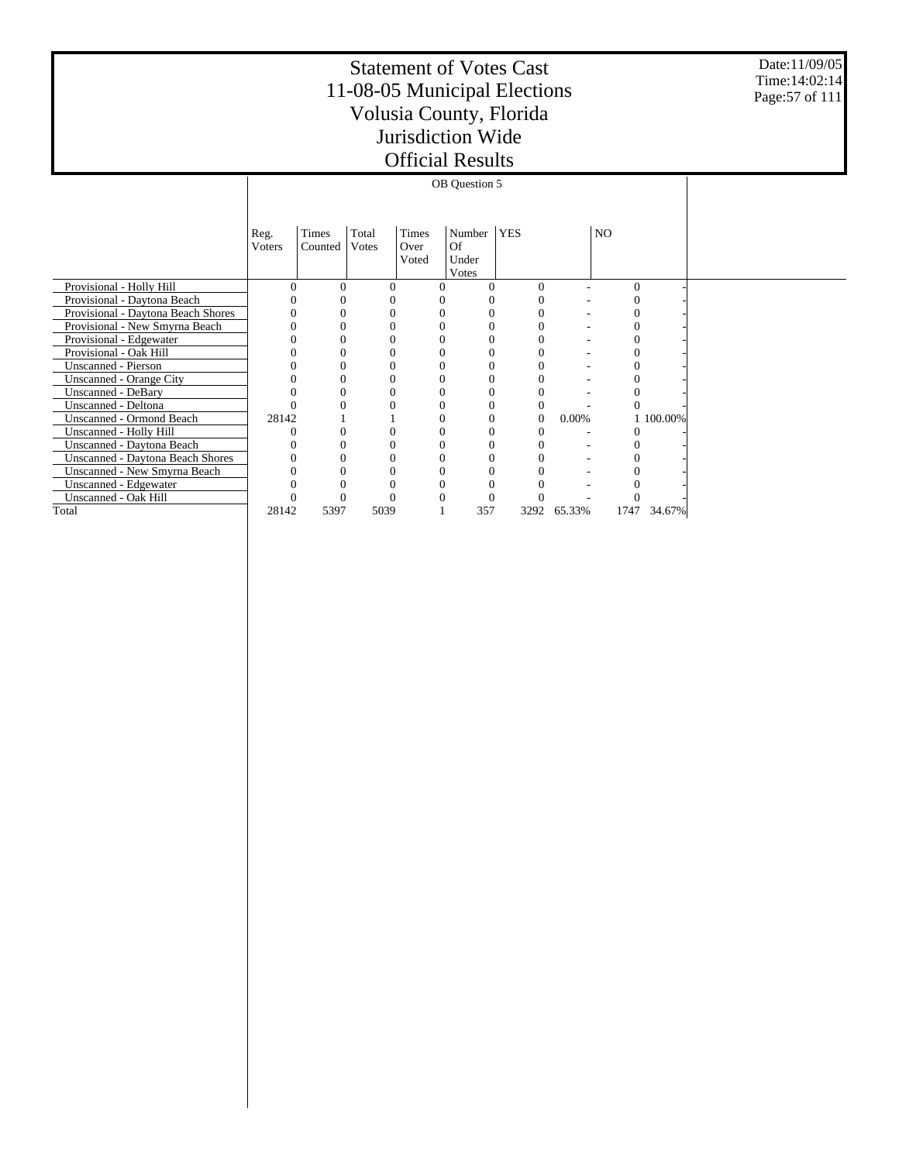Date:11/09/05 Time:14:02:14 Page:57 of 111

|                                    | Reg.<br><b>V</b> oters | Times<br>Counted | Total<br>Votes | Times<br>Over<br>Voted | Of<br>Under<br>Votes | Number   YES |          |        | NO. |             |
|------------------------------------|------------------------|------------------|----------------|------------------------|----------------------|--------------|----------|--------|-----|-------------|
| Provisional - Holly Hill           |                        |                  |                |                        | $\Omega$             |              | $\Omega$ |        |     |             |
| Provisional - Daytona Beach        |                        |                  |                |                        |                      |              |          |        |     |             |
| Provisional - Daytona Beach Shores |                        |                  |                |                        |                      |              |          |        |     |             |
| Provisional - New Smyrna Beach     |                        |                  |                |                        |                      |              |          |        |     |             |
| Provisional - Edgewater            |                        |                  |                |                        |                      |              |          |        |     |             |
| Provisional - Oak Hill             |                        |                  |                |                        |                      |              |          |        |     |             |
| Unscanned - Pierson                |                        |                  |                |                        | $\Omega$             |              |          |        |     |             |
| Unscanned - Orange City            |                        |                  |                |                        |                      |              |          |        |     |             |
| Unscanned - DeBary                 |                        |                  |                |                        |                      |              |          |        |     |             |
| Unscanned - Deltona                |                        |                  |                |                        |                      |              |          |        |     |             |
| Unscanned - Ormond Beach           | 28142                  |                  |                |                        |                      |              | 0        | 0.00%  |     | 1 100.00%   |
| Unscanned - Holly Hill             |                        |                  |                |                        |                      |              |          |        |     |             |
| Unscanned - Daytona Beach          |                        |                  |                |                        | $\Omega$             |              |          |        |     |             |
| Unscanned - Daytona Beach Shores   |                        |                  |                |                        |                      |              |          |        |     |             |
| Unscanned - New Smyrna Beach       |                        |                  |                |                        |                      |              |          |        |     |             |
| Unscanned - Edgewater              |                        |                  |                |                        |                      |              |          |        |     |             |
| Unscanned - Oak Hill               |                        |                  |                |                        |                      |              |          |        |     |             |
| Total                              | 28142                  | 5397             | 5039           |                        |                      | 357          | 3292     | 65.33% |     | 1747 34.67% |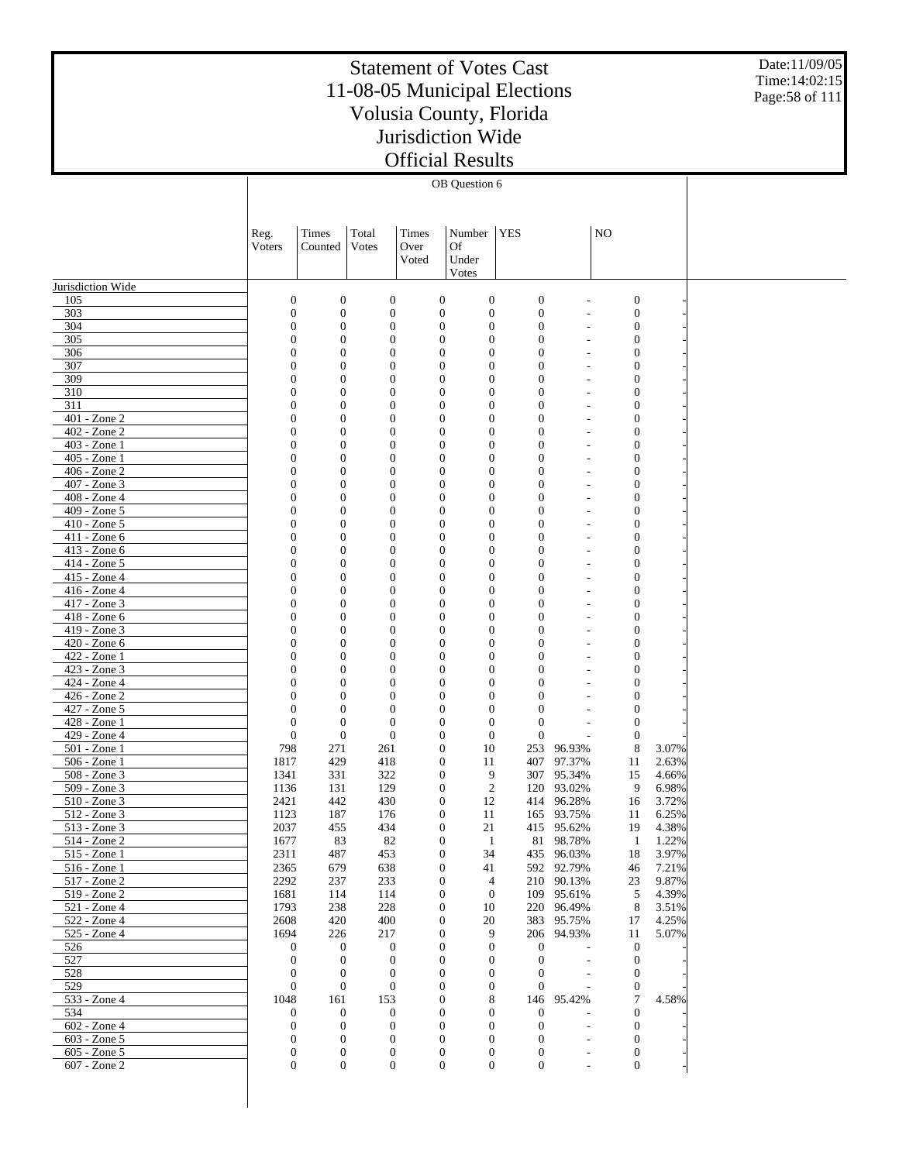Date:11/09/05 Time:14:02:15 Page:58 of 111

| <b>OB</b> Question 6 |  |
|----------------------|--|
|----------------------|--|

|                                 | Reg.                             | Times                                | Total                                | Times | Number                                                                   | <b>YES</b> |                                      |                     | $\rm NO$                             |                |
|---------------------------------|----------------------------------|--------------------------------------|--------------------------------------|-------|--------------------------------------------------------------------------|------------|--------------------------------------|---------------------|--------------------------------------|----------------|
|                                 | Voters                           | Counted                              | Votes                                | Over  | Of                                                                       |            |                                      |                     |                                      |                |
|                                 |                                  |                                      |                                      | Voted | Under                                                                    |            |                                      |                     |                                      |                |
|                                 |                                  |                                      |                                      |       | Votes                                                                    |            |                                      |                     |                                      |                |
| Jurisdiction Wide               |                                  |                                      |                                      |       |                                                                          |            |                                      |                     |                                      |                |
| 105<br>303                      | $\mathbf{0}$<br>$\boldsymbol{0}$ | $\boldsymbol{0}$<br>$\boldsymbol{0}$ | $\mathbf{0}$<br>$\mathbf{0}$         |       | $\boldsymbol{0}$<br>$\boldsymbol{0}$<br>$\mathbf{0}$<br>$\boldsymbol{0}$ |            | $\boldsymbol{0}$<br>$\boldsymbol{0}$ |                     | $\boldsymbol{0}$<br>$\boldsymbol{0}$ |                |
| 304                             | $\boldsymbol{0}$                 | $\boldsymbol{0}$                     | $\mathbf{0}$                         |       | $\boldsymbol{0}$<br>$\mathbf{0}$                                         |            | $\boldsymbol{0}$                     |                     | $\boldsymbol{0}$                     |                |
| 305                             | $\mathbf{0}$                     | $\boldsymbol{0}$                     | $\boldsymbol{0}$                     |       | $\boldsymbol{0}$<br>0                                                    |            | $\mathbf{0}$                         |                     | $\boldsymbol{0}$                     |                |
| 306                             | $\mathbf{0}$                     | $\boldsymbol{0}$                     | $\mathbf{0}$                         |       | $\boldsymbol{0}$<br>$\boldsymbol{0}$                                     |            | $\mathbf{0}$                         |                     | $\boldsymbol{0}$                     |                |
| 307                             | $\mathbf{0}$                     | $\boldsymbol{0}$                     | $\boldsymbol{0}$                     |       | 0<br>0                                                                   |            | $\mathbf{0}$                         |                     | $\boldsymbol{0}$                     |                |
| 309                             | $\boldsymbol{0}$                 | $\boldsymbol{0}$                     | $\mathbf{0}$                         |       | $\boldsymbol{0}$<br>$\mathbf{0}$                                         |            | $\mathbf{0}$                         |                     | $\boldsymbol{0}$                     |                |
| 310                             | $\mathbf{0}$                     | $\boldsymbol{0}$                     | $\boldsymbol{0}$                     |       | 0<br>0                                                                   |            | $\mathbf{0}$                         |                     | $\boldsymbol{0}$                     |                |
| 311<br>401 - Zone 2             | $\mathbf{0}$<br>$\mathbf{0}$     | $\boldsymbol{0}$<br>$\boldsymbol{0}$ | $\mathbf{0}$<br>$\boldsymbol{0}$     |       | $\boldsymbol{0}$<br>$\boldsymbol{0}$<br>$\boldsymbol{0}$<br>0            |            | $\mathbf{0}$<br>$\mathbf{0}$         |                     | $\boldsymbol{0}$<br>$\boldsymbol{0}$ |                |
| 402 - Zone 2                    | $\boldsymbol{0}$                 | $\boldsymbol{0}$                     | $\mathbf{0}$                         |       | $\boldsymbol{0}$<br>$\boldsymbol{0}$                                     |            | $\mathbf{0}$                         |                     | $\boldsymbol{0}$                     |                |
| 403 - Zone 1                    | $\mathbf{0}$                     | $\boldsymbol{0}$                     | $\boldsymbol{0}$                     |       | 0<br>0                                                                   |            | $\mathbf{0}$                         |                     | $\boldsymbol{0}$                     |                |
| 405 - Zone 1                    | $\mathbf{0}$                     | $\boldsymbol{0}$                     | $\mathbf{0}$                         |       | $\boldsymbol{0}$<br>$\boldsymbol{0}$                                     |            | $\mathbf{0}$                         |                     | $\boldsymbol{0}$                     |                |
| 406 - Zone 2                    | $\mathbf{0}$                     | $\boldsymbol{0}$                     | $\boldsymbol{0}$                     |       | $\boldsymbol{0}$<br>0                                                    |            | $\mathbf{0}$                         |                     | $\boldsymbol{0}$                     |                |
| 407 - Zone 3                    | $\boldsymbol{0}$                 | $\boldsymbol{0}$                     | $\mathbf{0}$                         |       | $\boldsymbol{0}$<br>$\boldsymbol{0}$                                     |            | $\mathbf{0}$                         |                     | $\boldsymbol{0}$                     |                |
| 408 - Zone 4                    | $\mathbf{0}$                     | $\boldsymbol{0}$                     | $\boldsymbol{0}$                     |       | 0<br>0                                                                   |            | $\mathbf{0}$                         |                     | $\boldsymbol{0}$                     |                |
| 409 - Zone 5<br>410 - Zone 5    | $\mathbf{0}$<br>$\mathbf{0}$     | $\boldsymbol{0}$<br>$\boldsymbol{0}$ | $\mathbf{0}$<br>$\boldsymbol{0}$     |       | $\boldsymbol{0}$<br>$\boldsymbol{0}$<br>$\boldsymbol{0}$<br>0            |            | $\mathbf{0}$<br>$\mathbf{0}$         |                     | $\boldsymbol{0}$<br>$\boldsymbol{0}$ |                |
| 411 - Zone 6                    | $\boldsymbol{0}$                 | $\boldsymbol{0}$                     | $\mathbf{0}$                         |       | $\boldsymbol{0}$<br>$\boldsymbol{0}$                                     |            | $\mathbf{0}$                         |                     | $\boldsymbol{0}$                     |                |
| 413 - Zone 6                    | $\mathbf{0}$                     | $\boldsymbol{0}$                     | $\boldsymbol{0}$                     |       | 0<br>0                                                                   |            | $\mathbf{0}$                         |                     | $\boldsymbol{0}$                     |                |
| 414 - Zone 5                    | $\mathbf{0}$                     | $\boldsymbol{0}$                     | $\mathbf{0}$                         |       | $\boldsymbol{0}$<br>$\boldsymbol{0}$                                     |            | $\mathbf{0}$                         |                     | $\boldsymbol{0}$                     |                |
| 415 - Zone 4                    | $\mathbf{0}$                     | $\boldsymbol{0}$                     | $\boldsymbol{0}$                     |       | $\boldsymbol{0}$<br>0                                                    |            | $\overline{0}$                       |                     | $\boldsymbol{0}$                     |                |
| 416 - Zone 4                    | $\mathbf{0}$                     | $\boldsymbol{0}$                     | $\mathbf{0}$                         |       | $\boldsymbol{0}$<br>$\boldsymbol{0}$                                     |            | $\mathbf{0}$                         |                     | $\boldsymbol{0}$                     |                |
| 417 - Zone 3                    | $\mathbf{0}$                     | $\boldsymbol{0}$                     | $\boldsymbol{0}$                     |       | $\boldsymbol{0}$<br>0                                                    |            | $\mathbf{0}$                         |                     | $\boldsymbol{0}$                     |                |
| 418 - Zone 6<br>419 - Zone 3    | $\boldsymbol{0}$<br>$\mathbf{0}$ | $\boldsymbol{0}$<br>$\boldsymbol{0}$ | $\mathbf{0}$<br>$\boldsymbol{0}$     |       | $\boldsymbol{0}$<br>$\boldsymbol{0}$<br>$\boldsymbol{0}$<br>0            |            | $\mathbf{0}$<br>$\overline{0}$       |                     | $\boldsymbol{0}$<br>$\boldsymbol{0}$ |                |
| 420 - Zone 6                    | $\mathbf{0}$                     | $\boldsymbol{0}$                     | $\mathbf{0}$                         |       | $\boldsymbol{0}$<br>$\boldsymbol{0}$                                     |            | $\mathbf{0}$                         |                     | $\boldsymbol{0}$                     |                |
| 422 - Zone 1                    | $\mathbf{0}$                     | $\boldsymbol{0}$                     | $\boldsymbol{0}$                     |       | $\boldsymbol{0}$<br>0                                                    |            | $\overline{0}$                       |                     | $\boldsymbol{0}$                     |                |
| 423 - Zone 3                    | $\mathbf{0}$                     | $\boldsymbol{0}$                     | $\mathbf{0}$                         |       | $\boldsymbol{0}$<br>$\boldsymbol{0}$                                     |            | $\theta$                             |                     | $\boldsymbol{0}$                     |                |
| 424 - Zone 4                    | $\mathbf{0}$                     | $\boldsymbol{0}$                     | $\boldsymbol{0}$                     |       | 0<br>0                                                                   |            | $\theta$                             |                     | $\boldsymbol{0}$                     |                |
| 426 - Zone 2                    | $\mathbf{0}$                     | $\boldsymbol{0}$                     | $\mathbf{0}$                         |       | $\boldsymbol{0}$<br>$\boldsymbol{0}$                                     |            | $\theta$                             |                     | $\boldsymbol{0}$                     |                |
| 427 - Zone 5                    | $\mathbf{0}$                     | $\overline{0}$                       | $\boldsymbol{0}$                     |       | $\boldsymbol{0}$<br>0                                                    |            | $\overline{0}$                       |                     | $\boldsymbol{0}$                     |                |
| 428 - Zone 1<br>429 - Zone 4    | $\mathbf{0}$<br>$\boldsymbol{0}$ | $\boldsymbol{0}$<br>$\boldsymbol{0}$ | $\boldsymbol{0}$<br>$\boldsymbol{0}$ |       | $\boldsymbol{0}$<br>$\boldsymbol{0}$<br>$\mathbf{0}$<br>0                |            | $\mathbf{0}$<br>$\mathbf{0}$         |                     | $\boldsymbol{0}$<br>$\boldsymbol{0}$ |                |
| 501 - Zone 1                    | 798                              | 271                                  | 261                                  |       | 10<br>0                                                                  | 253        |                                      | 96.93%              | 8                                    | 3.07%          |
| $506 - Z$ one 1                 | 1817                             | 429                                  | 418                                  |       | 0<br>11                                                                  | 407        |                                      | 97.37%              | 11                                   | 2.63%          |
| 508 - Zone 3                    | 1341                             | 331                                  | 322                                  |       | 9<br>0                                                                   | 307        |                                      | 95.34%              | 15                                   | 4.66%          |
| 509 - Zone 3                    | 1136                             | 131                                  | 129                                  |       | $\overline{2}$<br>0                                                      | 120        |                                      | 93.02%              | 9                                    | 6.98%          |
| 510 - Zone 3                    | 2421                             | 442                                  | 430                                  |       | 0<br>12                                                                  | 414        |                                      | 96.28%              | 16                                   | 3.72%          |
| 512 - Zone 3                    | 1123                             | 187                                  | 176                                  |       | 0<br>11                                                                  | 165        |                                      | 93.75%              | 11                                   | 6.25%          |
| 513 - Zone 3<br>$514 - Zone2$   | 2037<br>1677                     | 455<br>83                            | 434<br>82                            |       | $\overline{0}$<br>21<br>$\mathbf{0}$<br>-1                               | 415        |                                      | 95.62%<br>81 98.78% | 19<br>1                              | 4.38%<br>1.22% |
| 515 - Zone 1                    | 2311                             | 487                                  | 453                                  |       | 34<br>$\boldsymbol{0}$                                                   |            |                                      | 435 96.03%          | 18                                   | 3.97%          |
| 516 - Zone 1                    | 2365                             | 679                                  | 638                                  |       | $\mathbf{0}$<br>41                                                       |            |                                      | 592 92.79%          | 46                                   | 7.21%          |
| 517 - Zone 2                    | 2292                             | 237                                  | 233                                  |       | $\mathbf{0}$<br>$\overline{4}$                                           |            |                                      | 210 90.13%          | 23                                   | 9.87%          |
| 519 - Zone 2                    | 1681                             | 114                                  | 114                                  |       | $\mathbf{0}$<br>$\theta$                                                 |            |                                      | 109 95.61%          | 5                                    | 4.39%          |
| 521 - Zone 4                    | 1793                             | 238                                  | 228                                  |       | $\boldsymbol{0}$<br>10                                                   |            |                                      | 220 96.49%          | 8                                    | 3.51%          |
| 522 - Zone 4                    | 2608                             | 420                                  | 400                                  |       | $\mathbf{0}$<br>20                                                       |            |                                      | 383 95.75%          | 17                                   | 4.25%          |
| 525 - Zone 4<br>526             | 1694<br>$\boldsymbol{0}$         | 226<br>$\theta$                      | 217<br>$\boldsymbol{0}$              |       | $\mathbf{0}$<br>9<br>0<br>$\theta$                                       |            | $\mathbf{0}$                         | 206 94.93%          | 11<br>$\mathbf{0}$                   | 5.07%          |
| 527                             | $\boldsymbol{0}$                 | $\theta$                             | $\boldsymbol{0}$                     |       | 0<br>$\mathbf{0}$                                                        |            | $\theta$                             |                     | $\boldsymbol{0}$                     |                |
| 528                             | $\mathbf{0}$                     | $\boldsymbol{0}$                     | $\mathbf{0}$                         |       | 0<br>$\mathbf{0}$                                                        |            | $\theta$                             |                     | $\mathbf{0}$                         |                |
| 529                             | $\mathbf{0}$                     | $\mathbf{0}$                         | $\boldsymbol{0}$                     |       | 0<br>$\mathbf{0}$                                                        |            | $\theta$                             |                     | $\boldsymbol{0}$                     |                |
| 533 - Zone 4                    | 1048                             | 161                                  | 153                                  |       | 0<br>8                                                                   | 146        |                                      | 95.42%              | $\tau$                               | 4.58%          |
| 534                             | $\boldsymbol{0}$                 | $\theta$                             | $\boldsymbol{0}$                     |       | $\mathbf{0}$<br>0                                                        |            | $\mathbf{0}$                         |                     | $\mathbf{0}$                         |                |
| 602 - Zone 4                    | $\mathbf{0}$                     | $\theta$                             | $\mathbf{0}$                         |       | 0<br>$\boldsymbol{0}$                                                    |            | $\theta$                             |                     | $\mathbf{0}$                         |                |
| $603 - Z$ one 5<br>605 - Zone 5 | $\boldsymbol{0}$                 | $\mathbf{0}$<br>$\boldsymbol{0}$     | $\boldsymbol{0}$                     |       | 0<br>$\mathbf{0}$                                                        |            | $\theta$                             |                     | $\boldsymbol{0}$                     |                |
|                                 | $\boldsymbol{0}$                 |                                      | $\boldsymbol{0}$<br>$\boldsymbol{0}$ |       | 0<br>0<br>$\mathbf{0}$<br>$\boldsymbol{0}$                               |            | $\boldsymbol{0}$<br>$\boldsymbol{0}$ |                     | $\boldsymbol{0}$<br>$\boldsymbol{0}$ |                |
| 607 - Zone 2                    | $\mathbf{0}$                     | $\mathbf{0}$                         |                                      |       |                                                                          |            |                                      |                     |                                      |                |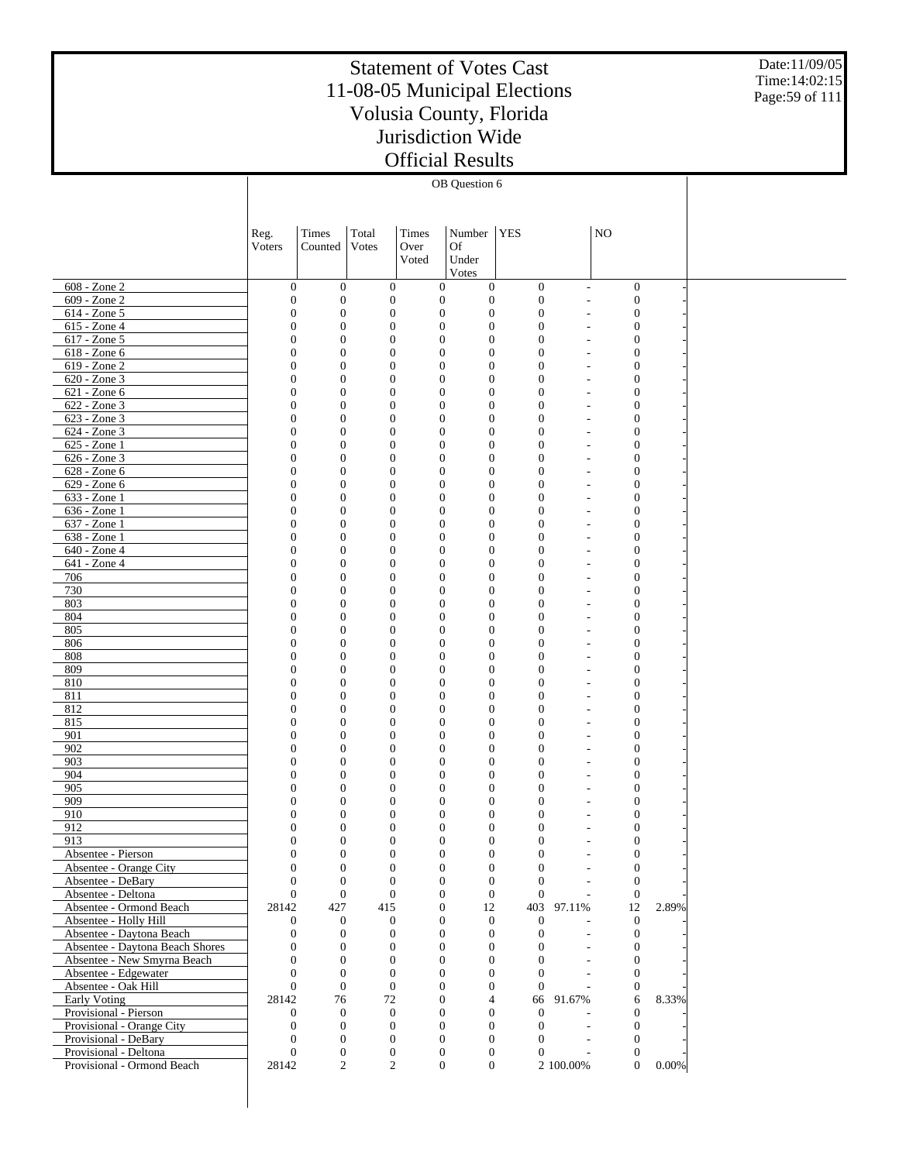Date:11/09/05 Time:14:02:15 Page:59 of 111

 $\overline{1}$ 

## Statement of Votes Cast 11-08-05 Municipal Elections Volusia County, Florida Jurisdiction Wide Official Results

OB Question 6

 $\overline{1}$ 

|                                                     | Reg.                             | Times                                | Total                                | Times | Number                               | <b>YES</b>                   |                                                                | $\rm NO$                                     |          |  |
|-----------------------------------------------------|----------------------------------|--------------------------------------|--------------------------------------|-------|--------------------------------------|------------------------------|----------------------------------------------------------------|----------------------------------------------|----------|--|
|                                                     | Voters                           | Counted                              | Votes                                | Over  | <b>Of</b>                            |                              |                                                                |                                              |          |  |
|                                                     |                                  |                                      |                                      | Voted | Under                                |                              |                                                                |                                              |          |  |
| 608 - Zone 2                                        | $\mathbf{0}$                     | $\boldsymbol{0}$                     | $\boldsymbol{0}$                     |       | <b>Votes</b><br>$\mathbf{0}$         | $\mathbf{0}$                 | $\boldsymbol{0}$                                               | $\boldsymbol{0}$<br>$\overline{\phantom{a}}$ |          |  |
| 609 - Zone 2                                        | $\boldsymbol{0}$                 | $\boldsymbol{0}$                     | $\boldsymbol{0}$                     |       | $\boldsymbol{0}$                     | $\mathbf{0}$                 | $\boldsymbol{0}$<br>$\overline{\phantom{a}}$                   | $\mathbf{0}$                                 |          |  |
| 614 - Zone 5                                        | $\boldsymbol{0}$                 | $\mathbf{0}$                         | $\boldsymbol{0}$                     |       | $\boldsymbol{0}$                     | $\mathbf{0}$                 | $\mathbf{0}$                                                   | $\mathbf{0}$                                 |          |  |
| 615 - Zone 4                                        | $\mathbf{0}$                     | $\mathbf{0}$                         | $\boldsymbol{0}$                     |       | $\boldsymbol{0}$                     | $\mathbf{0}$                 | $\boldsymbol{0}$                                               | $\mathbf{0}$                                 |          |  |
| 617 - Zone 5                                        | $\boldsymbol{0}$                 | $\boldsymbol{0}$                     | $\boldsymbol{0}$                     |       | $\boldsymbol{0}$                     | $\mathbf{0}$                 | $\boldsymbol{0}$                                               | $\mathbf{0}$                                 |          |  |
| 618 - Zone 6                                        | $\mathbf{0}$                     | $\boldsymbol{0}$                     | $\boldsymbol{0}$                     |       | $\boldsymbol{0}$                     | $\mathbf{0}$                 | $\boldsymbol{0}$                                               | $\mathbf{0}$                                 |          |  |
| 619 - Zone 2                                        | $\boldsymbol{0}$                 | $\boldsymbol{0}$                     | $\boldsymbol{0}$                     |       | $\boldsymbol{0}$                     | $\mathbf{0}$                 | $\overline{0}$                                                 | 0                                            |          |  |
| 620 - Zone 3                                        | $\mathbf{0}$                     | $\boldsymbol{0}$                     | $\boldsymbol{0}$                     |       | $\boldsymbol{0}$                     | $\mathbf{0}$                 | $\boldsymbol{0}$                                               | $\mathbf{0}$                                 |          |  |
| 621 - Zone 6<br>622 - Zone 3                        | $\boldsymbol{0}$<br>$\mathbf{0}$ | $\boldsymbol{0}$                     | $\boldsymbol{0}$                     |       | $\boldsymbol{0}$                     | $\mathbf{0}$                 | $\boldsymbol{0}$                                               | 0                                            |          |  |
| 623 - Zone 3                                        | $\boldsymbol{0}$                 | $\boldsymbol{0}$<br>$\boldsymbol{0}$ | $\boldsymbol{0}$<br>$\boldsymbol{0}$ |       | $\boldsymbol{0}$<br>$\boldsymbol{0}$ | $\mathbf{0}$<br>$\mathbf{0}$ | $\boldsymbol{0}$<br>$\overline{\phantom{a}}$<br>$\overline{0}$ | $\mathbf{0}$<br>0                            |          |  |
| 624 - Zone 3                                        | $\mathbf{0}$                     | $\boldsymbol{0}$                     | $\boldsymbol{0}$                     |       | $\boldsymbol{0}$                     | $\mathbf{0}$                 | $\boldsymbol{0}$                                               | $\mathbf{0}$                                 |          |  |
| 625 - Zone 1                                        | $\boldsymbol{0}$                 | $\boldsymbol{0}$                     | $\boldsymbol{0}$                     |       | $\boldsymbol{0}$                     | $\mathbf{0}$                 | $\boldsymbol{0}$                                               | 0                                            |          |  |
| 626 - Zone 3                                        | $\mathbf{0}$                     | $\boldsymbol{0}$                     | $\boldsymbol{0}$                     |       | $\boldsymbol{0}$                     | $\mathbf{0}$                 | $\boldsymbol{0}$                                               | $\mathbf{0}$                                 |          |  |
| 628 - Zone 6                                        | $\boldsymbol{0}$                 | $\boldsymbol{0}$                     | $\boldsymbol{0}$                     |       | $\boldsymbol{0}$                     | $\mathbf{0}$                 | $\overline{0}$                                                 | 0                                            |          |  |
| 629 - Zone 6                                        | $\mathbf{0}$                     | $\boldsymbol{0}$                     | $\boldsymbol{0}$                     |       | $\boldsymbol{0}$                     | $\mathbf{0}$                 | $\boldsymbol{0}$<br>$\overline{\phantom{a}}$                   | $\mathbf{0}$                                 |          |  |
| 633 - Zone 1                                        | $\boldsymbol{0}$                 | $\boldsymbol{0}$                     | $\boldsymbol{0}$                     |       | $\boldsymbol{0}$                     | $\mathbf{0}$                 | $\boldsymbol{0}$                                               | 0                                            |          |  |
| 636 - Zone 1                                        | $\mathbf{0}$                     | $\boldsymbol{0}$                     | $\boldsymbol{0}$                     |       | $\boldsymbol{0}$                     | $\mathbf{0}$                 | $\boldsymbol{0}$                                               | $\mathbf{0}$                                 |          |  |
| 637 - Zone 1                                        | $\boldsymbol{0}$                 | $\boldsymbol{0}$                     | $\boldsymbol{0}$                     |       | $\boldsymbol{0}$                     | $\mathbf{0}$                 | $\overline{0}$                                                 | 0                                            |          |  |
| 638 - Zone 1                                        | $\mathbf{0}$                     | $\boldsymbol{0}$                     | $\boldsymbol{0}$                     |       | $\boldsymbol{0}$                     | $\mathbf{0}$                 | $\boldsymbol{0}$                                               | $\mathbf{0}$                                 |          |  |
| 640 - Zone 4                                        | $\boldsymbol{0}$                 | $\boldsymbol{0}$                     | $\boldsymbol{0}$                     |       | $\boldsymbol{0}$                     | $\mathbf{0}$                 | $\boldsymbol{0}$                                               | 0                                            |          |  |
| 641 - Zone 4                                        | $\mathbf{0}$                     | $\boldsymbol{0}$                     | $\boldsymbol{0}$                     |       | $\boldsymbol{0}$                     | $\mathbf{0}$                 | $\boldsymbol{0}$<br>$\overline{\phantom{a}}$                   | $\mathbf{0}$                                 |          |  |
| 706                                                 | $\boldsymbol{0}$                 | $\boldsymbol{0}$                     | $\boldsymbol{0}$                     |       | $\boldsymbol{0}$                     | $\mathbf{0}$                 | $\overline{0}$                                                 | 0                                            |          |  |
| 730                                                 | $\mathbf{0}$                     | $\boldsymbol{0}$                     | $\boldsymbol{0}$                     |       | $\boldsymbol{0}$                     | $\mathbf{0}$                 | $\boldsymbol{0}$                                               | $\mathbf{0}$                                 |          |  |
| 803                                                 | $\boldsymbol{0}$                 | $\boldsymbol{0}$                     | $\boldsymbol{0}$                     |       | $\boldsymbol{0}$                     | $\mathbf{0}$                 | $\boldsymbol{0}$                                               | 0                                            |          |  |
| 804                                                 | $\mathbf{0}$                     | $\boldsymbol{0}$                     | $\boldsymbol{0}$                     |       | $\boldsymbol{0}$                     | $\mathbf{0}$                 | $\boldsymbol{0}$                                               | $\mathbf{0}$                                 |          |  |
| 805<br>806                                          | $\boldsymbol{0}$<br>$\mathbf{0}$ | $\boldsymbol{0}$<br>$\boldsymbol{0}$ | $\boldsymbol{0}$<br>$\boldsymbol{0}$ |       | $\boldsymbol{0}$<br>$\boldsymbol{0}$ | $\mathbf{0}$<br>$\mathbf{0}$ | $\overline{0}$<br>$\boldsymbol{0}$<br>$\overline{\phantom{a}}$ | 0<br>$\mathbf{0}$                            |          |  |
| 808                                                 | $\boldsymbol{0}$                 | $\boldsymbol{0}$                     | $\boldsymbol{0}$                     |       | $\boldsymbol{0}$                     | $\mathbf{0}$                 | $\boldsymbol{0}$                                               | 0                                            |          |  |
| 809                                                 | $\mathbf{0}$                     | $\boldsymbol{0}$                     | $\boldsymbol{0}$                     |       | $\boldsymbol{0}$                     | $\mathbf{0}$                 | $\boldsymbol{0}$                                               | $\mathbf{0}$                                 |          |  |
| 810                                                 | $\boldsymbol{0}$                 | $\boldsymbol{0}$                     | $\boldsymbol{0}$                     |       | $\boldsymbol{0}$                     | $\mathbf{0}$                 | $\overline{0}$                                                 | 0                                            |          |  |
| 811                                                 | $\mathbf{0}$                     | $\boldsymbol{0}$                     | $\boldsymbol{0}$                     |       | $\boldsymbol{0}$                     | $\mathbf{0}$                 | $\boldsymbol{0}$                                               | $\mathbf{0}$                                 |          |  |
| 812                                                 | $\boldsymbol{0}$                 | $\boldsymbol{0}$                     | $\boldsymbol{0}$                     |       | $\boldsymbol{0}$                     | $\mathbf{0}$                 | $\boldsymbol{0}$                                               | 0                                            |          |  |
| 815                                                 | $\mathbf{0}$                     | $\boldsymbol{0}$                     | $\boldsymbol{0}$                     |       | $\boldsymbol{0}$                     | $\mathbf{0}$                 | $\boldsymbol{0}$<br>$\overline{\phantom{a}}$                   | $\mathbf{0}$                                 |          |  |
| 901                                                 | $\boldsymbol{0}$                 | $\boldsymbol{0}$                     | $\boldsymbol{0}$                     |       | $\boldsymbol{0}$                     | $\mathbf{0}$                 | $\overline{0}$                                                 | 0                                            |          |  |
| 902                                                 | $\mathbf{0}$                     | $\boldsymbol{0}$                     | $\boldsymbol{0}$                     |       | $\boldsymbol{0}$                     | $\mathbf{0}$                 | $\boldsymbol{0}$                                               | $\mathbf{0}$<br>٠                            |          |  |
| 903                                                 | $\boldsymbol{0}$                 | $\boldsymbol{0}$                     | $\boldsymbol{0}$                     |       | $\boldsymbol{0}$                     | $\mathbf{0}$                 | $\boldsymbol{0}$                                               | 0                                            |          |  |
| 904                                                 | $\theta$                         | $\boldsymbol{0}$                     | $\boldsymbol{0}$                     |       | $\boldsymbol{0}$                     | $\mathbf{0}$                 | $\boldsymbol{0}$                                               | $\mathbf{0}$                                 |          |  |
| 905                                                 | 0                                | $\boldsymbol{0}$                     | $\boldsymbol{0}$                     |       | $\boldsymbol{0}$                     | $\mathbf{0}$                 | $\overline{0}$                                                 | 0                                            |          |  |
| 909                                                 | $\theta$                         | $\boldsymbol{0}$                     | $\boldsymbol{0}$                     |       | $\boldsymbol{0}$                     | $\mathbf{0}$                 | $\boldsymbol{0}$                                               | $\mathbf{0}$                                 |          |  |
| 910<br>912                                          | $\overline{0}$<br>$\overline{0}$ | $\boldsymbol{0}$<br>$\overline{0}$   | $\boldsymbol{0}$<br>$\boldsymbol{0}$ |       | $\boldsymbol{0}$<br>$\boldsymbol{0}$ | $\mathbf{0}$<br>$\mathbf{0}$ | $\boldsymbol{0}$                                               | $\mathbf{0}$<br>$\mathbf{0}$                 |          |  |
| 913                                                 | $\overline{0}$                   | $\overline{0}$                       | $\boldsymbol{0}$                     |       | $\overline{0}$                       | $\mathbf{0}$                 | $\mathbf{0}$<br>$\boldsymbol{0}$                               | $\overline{0}$<br>$\sim$                     |          |  |
| Absentee - Pierson                                  | $\mathbf{0}$                     | $\mathbf{0}$                         | 0                                    |       | 0                                    | $\boldsymbol{0}$             | 0                                                              | 0                                            |          |  |
| Absentee - Orange City                              | $\boldsymbol{0}$                 | $\boldsymbol{0}$                     | $\boldsymbol{0}$                     |       | $\boldsymbol{0}$                     | $\boldsymbol{0}$             | $\boldsymbol{0}$                                               | $\boldsymbol{0}$                             |          |  |
| Absentee - DeBary                                   | $\mathbf{0}$                     | $\boldsymbol{0}$                     | $\boldsymbol{0}$                     |       | $\boldsymbol{0}$                     | $\mathbf{0}$                 | $\theta$                                                       | $\mathbf{0}$                                 |          |  |
| Absentee - Deltona                                  | $\mathbf{0}$                     | $\boldsymbol{0}$                     | $\mathbf{0}$                         |       | $\boldsymbol{0}$                     | $\mathbf{0}$                 | $\mathbf{0}$                                                   | $\mathbf{0}$                                 |          |  |
| Absentee - Ormond Beach                             | 28142                            | 427                                  | 415                                  |       | $\mathbf{0}$<br>12                   |                              | 403 97.11%                                                     | 12                                           | 2.89%    |  |
| Absentee - Holly Hill                               | $\mathbf{0}$                     | $\boldsymbol{0}$                     | $\mathbf{0}$                         |       | $\boldsymbol{0}$                     | $\mathbf{0}$                 | $\theta$                                                       | $\boldsymbol{0}$                             |          |  |
| Absentee - Daytona Beach                            | $\mathbf{0}$                     | $\mathbf{0}$                         | $\boldsymbol{0}$                     |       | $\boldsymbol{0}$                     | $\mathbf{0}$                 | $\theta$                                                       | $\boldsymbol{0}$                             |          |  |
| Absentee - Daytona Beach Shores                     | $\boldsymbol{0}$                 | $\mathbf{0}$                         | $\boldsymbol{0}$                     |       | $\boldsymbol{0}$                     | $\mathbf{0}$                 | $\theta$                                                       | $\boldsymbol{0}$                             |          |  |
| Absentee - New Smyrna Beach                         | $\mathbf{0}$                     | $\mathbf{0}$                         | $\boldsymbol{0}$                     |       | $\boldsymbol{0}$                     | $\mathbf{0}$                 | $\theta$                                                       | $\mathbf{0}$                                 |          |  |
| Absentee - Edgewater                                | $\boldsymbol{0}$                 | $\overline{0}$                       | $\mathbf{0}$                         |       | $\boldsymbol{0}$                     | $\mathbf{0}$                 | $\mathbf{0}$                                                   | $\mathbf{0}$                                 |          |  |
| Absentee - Oak Hill                                 | $\mathbf{0}$                     | $\mathbf{0}$                         | $\mathbf{0}$                         |       | $\boldsymbol{0}$                     | $\mathbf{0}$                 | $\mathbf{0}$                                                   | $\mathbf{0}$                                 |          |  |
| Early Voting                                        | 28142                            | 76                                   | 72                                   |       | $\boldsymbol{0}$                     | $\overline{4}$               | 66<br>91.67%                                                   | 6                                            | 8.33%    |  |
| Provisional - Pierson<br>Provisional - Orange City  | $\mathbf{0}$<br>$\mathbf{0}$     | $\boldsymbol{0}$<br>$\mathbf{0}$     | $\mathbf{0}$<br>$\boldsymbol{0}$     |       | $\mathbf{0}$<br>$\boldsymbol{0}$     | $\mathbf{0}$<br>$\mathbf{0}$ | $\boldsymbol{0}$<br>$\theta$                                   | $\boldsymbol{0}$<br>$\boldsymbol{0}$         |          |  |
| Provisional - DeBary                                | $\mathbf{0}$                     | $\mathbf{0}$                         | $\boldsymbol{0}$                     |       | $\mathbf{0}$                         | $\overline{0}$               | $\theta$                                                       | $\mathbf{0}$                                 |          |  |
|                                                     |                                  | $\boldsymbol{0}$                     | $\boldsymbol{0}$                     |       | $\mathbf{0}$                         | $\mathbf{0}$                 | $\theta$<br>$\overline{a}$                                     | $\boldsymbol{0}$                             |          |  |
|                                                     |                                  |                                      |                                      |       |                                      |                              |                                                                |                                              |          |  |
| Provisional - Deltona<br>Provisional - Ormond Beach | $\mathbf{0}$<br>28142            | $\overline{c}$                       | $\overline{c}$                       |       | $\boldsymbol{0}$                     | $\mathbf{0}$                 | 2 100.00%                                                      | $\overline{0}$                               | $0.00\%$ |  |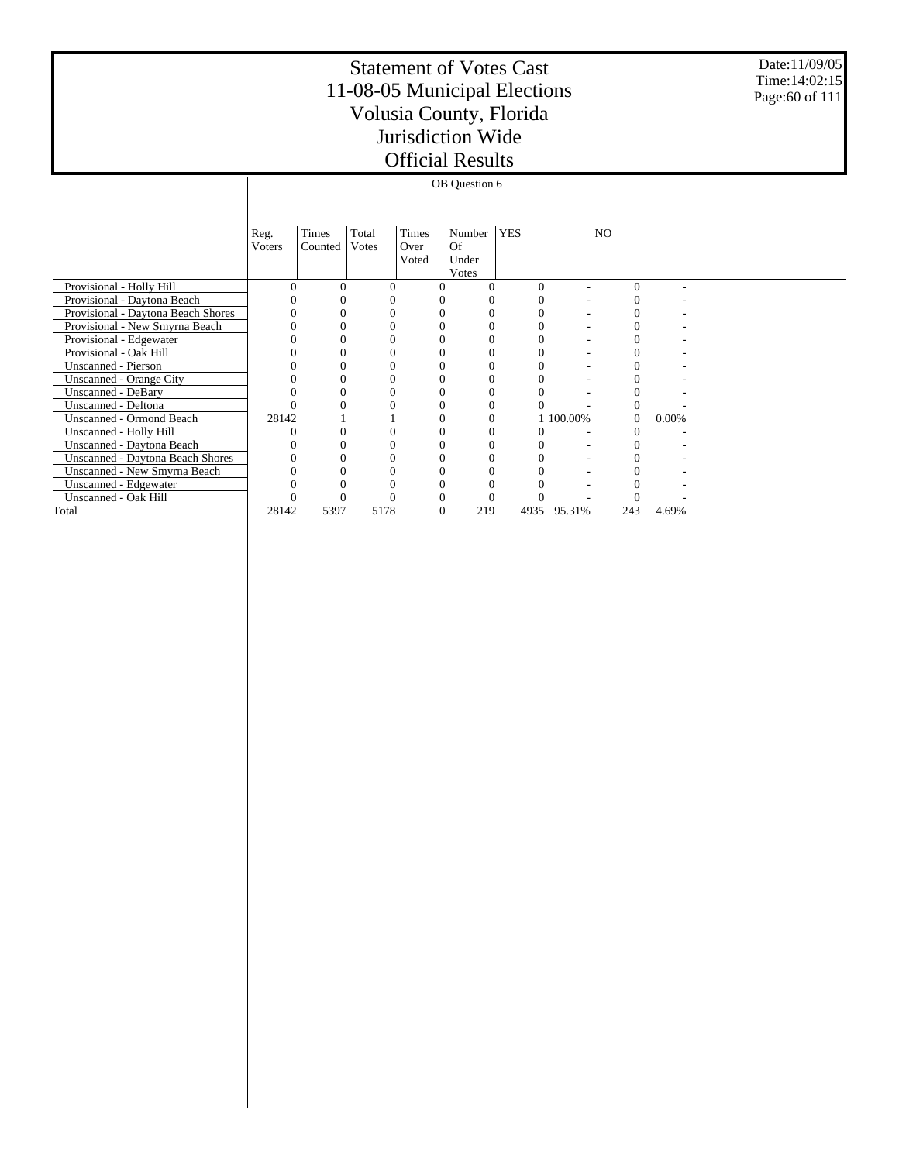Date:11/09/05 Time:14:02:15 Page:60 of 111

|                                         | Reg.<br>Voters | Times<br>Counted | Total<br>Votes | Times<br>Over<br>Voted | <b>Of</b><br>Under<br>Votes | Number $ YES$ |                | NO. |     |       |
|-----------------------------------------|----------------|------------------|----------------|------------------------|-----------------------------|---------------|----------------|-----|-----|-------|
| Provisional - Holly Hill                |                | $\Omega$         |                |                        |                             |               | 0              |     |     |       |
| Provisional - Daytona Beach             |                |                  |                |                        |                             |               |                |     |     |       |
| Provisional - Daytona Beach Shores      |                |                  |                |                        |                             |               |                |     |     |       |
| Provisional - New Smyrna Beach          |                |                  |                |                        |                             |               |                |     |     |       |
| Provisional - Edgewater                 |                |                  |                |                        |                             |               |                |     |     |       |
| Provisional - Oak Hill                  |                |                  |                |                        |                             |               |                |     |     |       |
| Unscanned - Pierson                     |                |                  |                |                        |                             |               |                |     |     |       |
| Unscanned - Orange City                 |                |                  |                |                        |                             |               |                |     |     |       |
| Unscanned - DeBary                      |                |                  |                |                        |                             |               |                |     |     |       |
| Unscanned - Deltona                     |                |                  |                |                        |                             |               |                |     |     |       |
| Unscanned - Ormond Beach                | 28142          |                  |                |                        |                             |               | 1 100.00%      |     |     | 0.00% |
| Unscanned - Holly Hill                  |                |                  |                |                        |                             |               |                |     |     |       |
| Unscanned - Daytona Beach               |                |                  |                |                        |                             |               |                |     |     |       |
| <b>Unscanned - Daytona Beach Shores</b> |                |                  |                |                        |                             |               |                |     |     |       |
| Unscanned - New Smyrna Beach            |                |                  |                |                        |                             |               |                |     |     |       |
| Unscanned - Edgewater                   |                |                  |                |                        |                             |               |                |     |     |       |
| Unscanned - Oak Hill                    |                |                  |                |                        |                             |               |                |     |     |       |
| Total                                   | 28142          | 5397             | 5178           |                        | $\overline{0}$              | 219           | 4935<br>95.31% |     | 243 | 4.69% |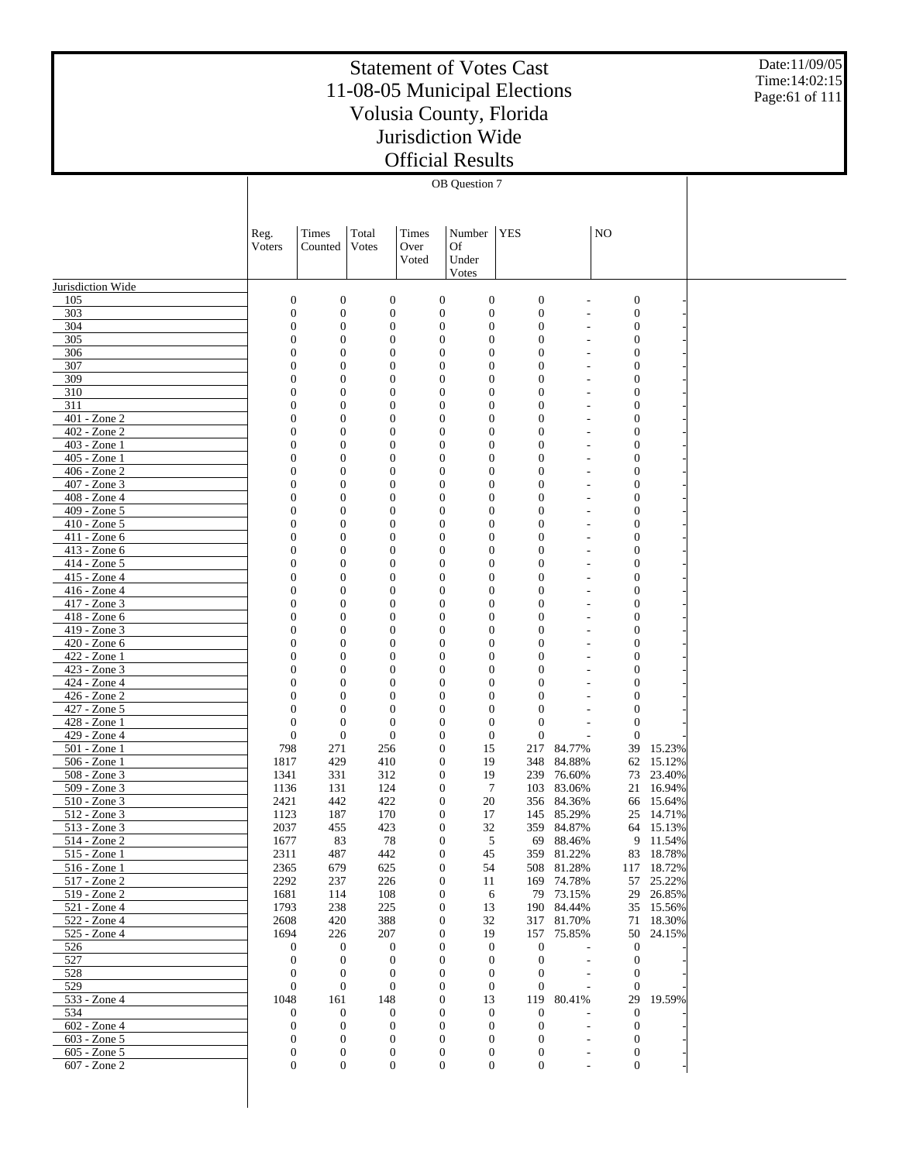Date:11/09/05 Time:14:02:15 Page:61 of 111

Τ

## Statement of Votes Cast 11-08-05 Municipal Elections Volusia County, Florida Jurisdiction Wide Official Results

Τ

|                                   | OD Question /        |                                    |                              |                        |                                                                |                  |                            |                          |                              |                        |  |
|-----------------------------------|----------------------|------------------------------------|------------------------------|------------------------|----------------------------------------------------------------|------------------|----------------------------|--------------------------|------------------------------|------------------------|--|
|                                   | Reg.<br>Voters       | Times<br>Counted                   | Total<br><b>Votes</b>        | Times<br>Over<br>Voted | Number<br><b>Of</b><br>Under<br>Votes                          | <b>YES</b>       |                            |                          | $\rm NO$                     |                        |  |
| Jurisdiction Wide                 |                      |                                    |                              |                        |                                                                |                  |                            |                          |                              |                        |  |
| 105                               | $\boldsymbol{0}$     | $\boldsymbol{0}$                   | $\boldsymbol{0}$             |                        | $\boldsymbol{0}$<br>$\mathbf{0}$                               |                  | $\boldsymbol{0}$           |                          | $\boldsymbol{0}$             |                        |  |
| 303                               | $\theta$             | $\boldsymbol{0}$                   | $\boldsymbol{0}$             |                        | $\boldsymbol{0}$<br>$\mathbf{0}$                               |                  | $\overline{0}$             |                          | $\boldsymbol{0}$             |                        |  |
| 304                               | $\overline{0}$       | $\boldsymbol{0}$                   | $\boldsymbol{0}$             |                        | $\boldsymbol{0}$<br>$\boldsymbol{0}$                           |                  | $\overline{0}$             |                          | $\boldsymbol{0}$             |                        |  |
| 305                               | $\Omega$             | $\overline{0}$                     | $\mathbf{0}$                 |                        | $\overline{0}$                                                 | $\mathbf{0}$     | $\overline{0}$             |                          | $\boldsymbol{0}$             |                        |  |
| 306                               | $\Omega$             | $\boldsymbol{0}$                   | $\mathbf{0}$                 |                        | $\mathbf{0}$                                                   | $\boldsymbol{0}$ | $\overline{0}$             |                          | $\boldsymbol{0}$             |                        |  |
| 307                               | $\Omega$             | $\overline{0}$                     | $\mathbf{0}$                 |                        | $\overline{0}$<br>$\mathbf{0}$                                 |                  | $\theta$                   |                          | $\theta$                     |                        |  |
| 309                               | $\Omega$             | $\boldsymbol{0}$                   | $\mathbf{0}$                 |                        | 0                                                              | $\boldsymbol{0}$ | $\theta$                   |                          | $\boldsymbol{0}$             |                        |  |
| 310                               | $\Omega$             | $\overline{0}$                     | $\mathbf{0}$                 |                        | $\overline{0}$<br>$\mathbf{0}$                                 |                  | $\theta$                   |                          | $\theta$                     |                        |  |
| 311<br>401 - Zone 2               | $\Omega$<br>$\Omega$ | $\boldsymbol{0}$<br>$\overline{0}$ | $\mathbf{0}$<br>$\mathbf{0}$ |                        | $\mathbf{0}$<br>$\overline{0}$<br>$\mathbf{0}$                 | $\boldsymbol{0}$ | $\theta$<br>$\theta$       |                          | $\boldsymbol{0}$<br>$\theta$ |                        |  |
| 402 - Zone 2                      | $\Omega$             | $\boldsymbol{0}$                   | $\mathbf{0}$                 |                        | 0                                                              | $\boldsymbol{0}$ | $\overline{0}$             |                          | $\boldsymbol{0}$             |                        |  |
| 403 - Zone 1                      | $\Omega$             | $\overline{0}$                     | $\mathbf{0}$                 |                        | $\overline{0}$<br>$\mathbf{0}$                                 |                  | $\theta$                   |                          | $\theta$                     |                        |  |
| 405 - Zone 1                      | $\Omega$             | $\boldsymbol{0}$                   | $\mathbf{0}$                 |                        | $\boldsymbol{0}$                                               | $\boldsymbol{0}$ | $\theta$                   |                          | $\boldsymbol{0}$             |                        |  |
| 406 - Zone 2                      | $\Omega$             | $\overline{0}$                     | $\mathbf{0}$                 |                        | $\overline{0}$<br>$\mathbf{0}$                                 |                  | $\overline{0}$             |                          | $\theta$                     |                        |  |
| 407 - Zone 3                      | $\Omega$             | $\boldsymbol{0}$                   | $\mathbf{0}$                 |                        | 0                                                              | $\boldsymbol{0}$ | $\theta$                   |                          | $\boldsymbol{0}$             |                        |  |
| 408 - Zone 4                      | $\Omega$             | $\overline{0}$                     | $\mathbf{0}$                 |                        | $\overline{0}$<br>$\mathbf{0}$                                 |                  | $\theta$                   |                          | $\theta$                     |                        |  |
| 409 - Zone 5                      | $\Omega$             | $\boldsymbol{0}$                   | $\mathbf{0}$                 |                        | $\boldsymbol{0}$                                               | $\boldsymbol{0}$ | $\overline{0}$             |                          | $\boldsymbol{0}$             |                        |  |
| 410 - Zone 5                      | $\Omega$             | $\overline{0}$                     | $\mathbf{0}$                 |                        | $\overline{0}$<br>$\mathbf{0}$                                 |                  | $\overline{0}$             |                          | $\theta$                     |                        |  |
| 411 - Zone 6                      | $\Omega$             | $\boldsymbol{0}$                   | $\mathbf{0}$                 |                        | 0                                                              | $\boldsymbol{0}$ | $\theta$                   |                          | $\boldsymbol{0}$             |                        |  |
| 413 - Zone 6                      | $\Omega$             | $\overline{0}$                     | $\mathbf{0}$                 |                        | $\overline{0}$<br>$\mathbf{0}$                                 |                  | $\theta$                   |                          | $\theta$                     |                        |  |
| 414 - Zone 5                      | $\Omega$             | $\boldsymbol{0}$                   | $\mathbf{0}$                 |                        | $\boldsymbol{0}$                                               | $\boldsymbol{0}$ | $\overline{0}$             |                          | $\boldsymbol{0}$             |                        |  |
| 415 - Zone 4                      | $\Omega$             | $\overline{0}$                     | $\mathbf{0}$                 |                        | $\overline{0}$<br>$\mathbf{0}$                                 |                  | $\overline{0}$<br>$\theta$ |                          | $\theta$                     |                        |  |
| $416 - Z$ one $4$<br>417 - Zone 3 | $\Omega$<br>$\Omega$ | $\boldsymbol{0}$<br>$\overline{0}$ | $\mathbf{0}$<br>$\mathbf{0}$ |                        | 0<br>$\overline{0}$<br>$\mathbf{0}$                            | $\mathbf{0}$     | $\theta$                   |                          | $\boldsymbol{0}$<br>$\theta$ |                        |  |
| 418 - Zone 6                      | $\Omega$             | $\boldsymbol{0}$                   | $\mathbf{0}$                 |                        | $\boldsymbol{0}$                                               | $\boldsymbol{0}$ | $\overline{0}$             |                          | $\boldsymbol{0}$             |                        |  |
| 419 - Zone 3                      | $\Omega$             | $\overline{0}$                     | $\mathbf{0}$                 |                        | $\overline{0}$<br>$\mathbf{0}$                                 |                  | $\theta$                   |                          | $\theta$                     |                        |  |
| 420 - Zone 6                      | $\Omega$             | $\boldsymbol{0}$                   | $\mathbf{0}$                 |                        | 0                                                              | $\mathbf{0}$     | $\theta$                   |                          | $\boldsymbol{0}$             |                        |  |
| 422 - Zone 1                      | $\Omega$             | $\overline{0}$                     | $\overline{0}$               |                        | $\overline{0}$<br>$\mathbf{0}$                                 |                  | $\Omega$                   |                          | $\theta$                     |                        |  |
| 423 - Zone 3                      | $\Omega$             | $\boldsymbol{0}$                   | $\mathbf{0}$                 |                        | $\boldsymbol{0}$                                               | $\boldsymbol{0}$ | $\theta$                   |                          | $\boldsymbol{0}$             |                        |  |
| 424 - Zone 4                      | $\Omega$             | $\Omega$                           | $\overline{0}$               |                        | $\overline{0}$<br>$\mathbf{0}$                                 |                  | $\theta$                   |                          | $\theta$                     |                        |  |
| 426 - Zone 2                      | $\Omega$             | $\overline{0}$                     | $\mathbf{0}$                 |                        | 0                                                              | $\mathbf{0}$     | $\theta$                   |                          | $\boldsymbol{0}$             |                        |  |
| 427 - Zone 5                      | $\Omega$             | $\overline{0}$                     | $\boldsymbol{0}$             |                        | $\overline{0}$<br>$\mathbf{0}$                                 |                  | $\theta$                   |                          | $\boldsymbol{0}$             |                        |  |
| 428 - Zone 1                      | $\Omega$             | $\boldsymbol{0}$                   | $\mathbf{0}$                 |                        | 0<br>$\boldsymbol{0}$                                          |                  | $\theta$                   |                          | $\boldsymbol{0}$             |                        |  |
| 429 - Zone 4                      | $\theta$             | $\boldsymbol{0}$                   | $\boldsymbol{0}$             |                        | 0<br>$\boldsymbol{0}$                                          |                  | $\Omega$                   |                          | $\mathbf{0}$                 |                        |  |
| 501 - Zone 1                      | 798                  | 271                                | 256                          |                        | $\boldsymbol{0}$<br>15                                         |                  | 217                        | 84.77%                   |                              | 39 15.23%              |  |
| 506 - Zone 1                      | 1817                 | 429                                | 410                          |                        | $\boldsymbol{0}$<br>19                                         |                  | 348                        | 84.88%                   |                              | 62 15.12%              |  |
| 508 - Zone 3                      | 1341                 | 331                                | 312                          |                        | $\boldsymbol{0}$<br>19                                         |                  | 239                        | 76.60%                   |                              | 73 23.40%              |  |
| 509 - Zone 3<br>510 - Zone 3      | 1136<br>2421         | 131<br>442                         | 124<br>422                   |                        | $\tau$<br>$\boldsymbol{0}$<br>0<br>20                          |                  |                            | 103 83.06%<br>356 84.36% |                              | 21 16.94%<br>66 15.64% |  |
| 512 - Zone 3                      | 1123                 | 187                                | 170                          |                        | 0<br>17                                                        |                  |                            | 145 85.29%               |                              | 25 14.71%              |  |
| 513 - Zone 3                      | 2037                 | 455                                | 423                          |                        | $\boldsymbol{0}$<br>32                                         |                  |                            | 359 84.87%               |                              | 64 15.13%              |  |
| 514 - Zone 2                      | 1677                 | 83                                 | 78                           |                        | $\Omega$<br>5                                                  |                  |                            | 69 88.46%                |                              | 9 11.54%               |  |
| 515 - Zone 1                      | 2311                 | 487                                | 442                          |                        | $\boldsymbol{0}$<br>45                                         |                  |                            | 359 81.22%               |                              | 83 18.78%              |  |
| 516 - Zone 1                      | 2365                 | 679                                | 625                          |                        | $\boldsymbol{0}$<br>54                                         |                  |                            | 508 81.28%               |                              | 117 18.72%             |  |
| 517 - Zone 2                      | 2292                 | 237                                | 226                          |                        | $\boldsymbol{0}$<br>11                                         |                  |                            | 169 74.78%               |                              | 57 25.22%              |  |
| 519 - Zone 2                      | 1681                 | 114                                | 108                          |                        | $\boldsymbol{0}$<br>6                                          |                  |                            | 79 73.15%                |                              | 29 26.85%              |  |
| 521 - Zone 4                      | 1793                 | 238                                | 225                          |                        | $\boldsymbol{0}$<br>13                                         |                  |                            | 190 84.44%               |                              | 35 15.56%              |  |
| 522 - Zone 4                      | 2608                 | 420                                | 388                          |                        | $\boldsymbol{0}$<br>32                                         |                  |                            | 317 81.70%               |                              | 71 18.30%              |  |
| 525 - Zone 4                      | 1694                 | 226                                | 207                          |                        | $\boldsymbol{0}$<br>19                                         |                  | 157                        | 75.85%                   |                              | 50 24.15%              |  |
| 526                               | $\mathbf{0}$         | $\mathbf{0}$                       | $\bf{0}$                     |                        | $\boldsymbol{0}$<br>$\theta$                                   |                  | $\mathbf{0}$               |                          | $\mathbf{0}$                 |                        |  |
| 527                               | $\boldsymbol{0}$     | $\boldsymbol{0}$                   | $\boldsymbol{0}$             |                        | $\boldsymbol{0}$<br>$\boldsymbol{0}$                           |                  | $\theta$                   |                          | $\boldsymbol{0}$             |                        |  |
| 528                               | $\boldsymbol{0}$     | $\overline{0}$                     | 0                            |                        | $\boldsymbol{0}$<br>$\theta$                                   |                  | $\Omega$                   |                          | $\overline{0}$               |                        |  |
| 529<br>533 - Zone 4               | $\mathbf{0}$         | $\mathbf{0}$<br>161                | $\mathbf{0}$                 |                        | $\boldsymbol{0}$<br>$\boldsymbol{0}$<br>$\boldsymbol{0}$<br>13 |                  | $\overline{0}$             |                          | $\mathbf{0}$                 | 29 19.59%              |  |
| 534                               | 1048<br>$\mathbf{0}$ | $\mathbf{0}$                       | 148<br>$\boldsymbol{0}$      |                        | $\boldsymbol{0}$<br>$\overline{0}$                             |                  | 119<br>$\mathbf{0}$        | 80.41%                   | $\mathbf{0}$                 |                        |  |
| 602 - Zone 4                      | $\theta$             | $\overline{0}$                     | $\boldsymbol{0}$             |                        | $\boldsymbol{0}$<br>$\theta$                                   |                  | $\theta$                   |                          | $\mathbf{0}$                 |                        |  |
| 603 - Zone 5                      | $\overline{0}$       | 0                                  | $\boldsymbol{0}$             |                        | $\boldsymbol{0}$<br>$\overline{0}$                             |                  | $\overline{0}$             |                          | $\mathbf{0}$                 |                        |  |
| 605 - Zone 5                      | $\mathbf{0}$         | 0                                  | $\boldsymbol{0}$             |                        | $\boldsymbol{0}$                                               | $\mathbf{0}$     | $\boldsymbol{0}$           |                          | $\mathbf{0}$                 |                        |  |
| 607 - Zone 2                      | $\theta$             | $\boldsymbol{0}$                   | $\boldsymbol{0}$             |                        | $\boldsymbol{0}$<br>$\theta$                                   |                  | $\mathbf{0}$               |                          | $\boldsymbol{0}$             |                        |  |
|                                   |                      |                                    |                              |                        |                                                                |                  |                            |                          |                              |                        |  |
|                                   |                      |                                    |                              |                        |                                                                |                  |                            |                          |                              |                        |  |
|                                   |                      |                                    |                              |                        |                                                                |                  |                            |                          |                              |                        |  |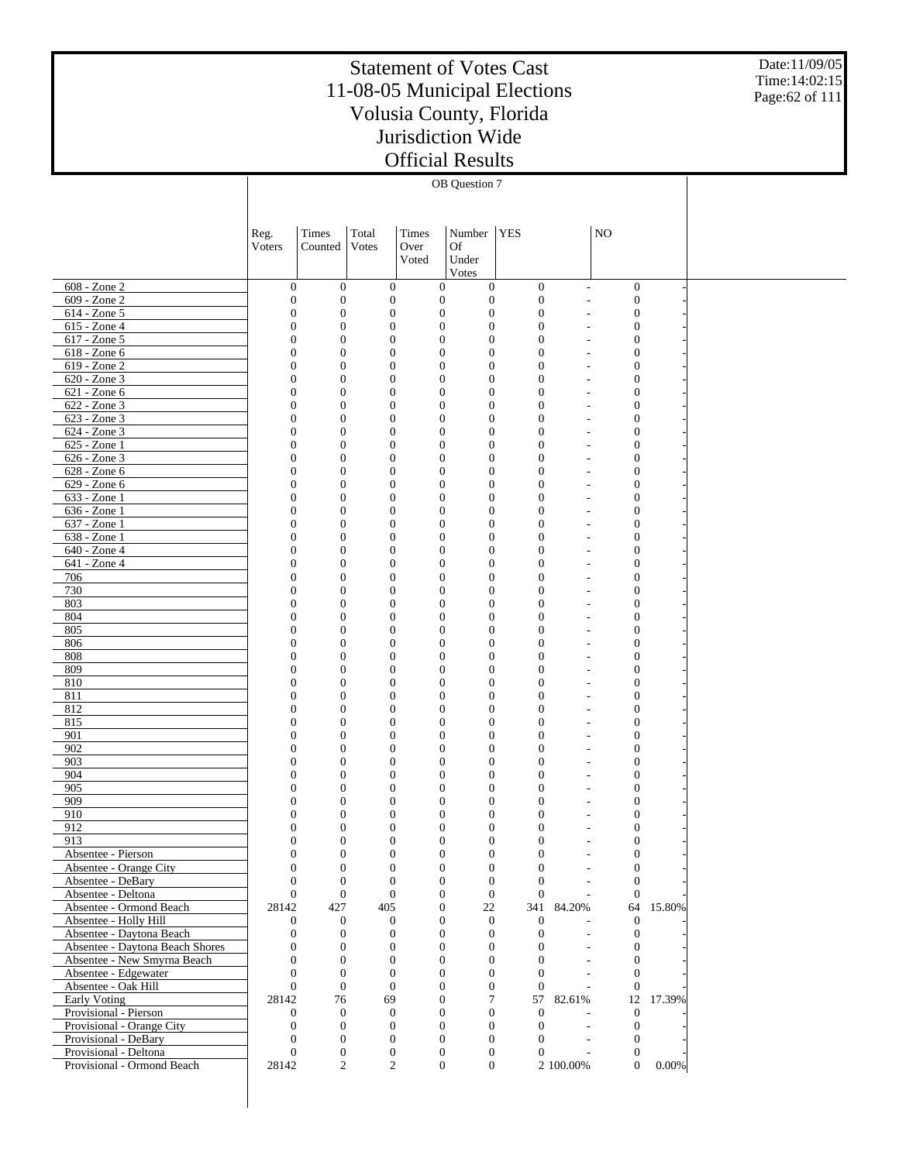Date:11/09/05 Time:14:02:15 Page:62 of 111

 $\overline{\phantom{a}}$ 

## Statement of Votes Cast 11-08-05 Municipal Elections Volusia County, Florida Jurisdiction Wide Official Results

| OB Question 7 |  |
|---------------|--|
|---------------|--|

 $\overline{\phantom{a}}$ 

|                                                     | Reg.<br>Voters             | Times<br>Counted                     | Total<br><b>Votes</b>        | Times<br>Over<br>Voted               | Number<br><b>Of</b><br>Under<br><b>Votes</b> | YES                                  |                                    | NO                       |                                      |           |
|-----------------------------------------------------|----------------------------|--------------------------------------|------------------------------|--------------------------------------|----------------------------------------------|--------------------------------------|------------------------------------|--------------------------|--------------------------------------|-----------|
| 608 - Zone 2                                        | $\mathbf{0}$               | $\mathbf{0}$                         | $\mathbf{0}$                 |                                      | $\boldsymbol{0}$                             | $\mathbf{0}$                         | $\boldsymbol{0}$                   | $\overline{\phantom{a}}$ | $\boldsymbol{0}$                     |           |
| 609 - Zone 2                                        | $\boldsymbol{0}$           | $\mathbf{0}$                         | $\mathbf{0}$                 |                                      | $\boldsymbol{0}$                             | $\mathbf{0}$                         | $\boldsymbol{0}$                   | $\overline{a}$           | $\boldsymbol{0}$                     |           |
| 614 - Zone 5                                        | $\mathbf{0}$               | $\boldsymbol{0}$                     | $\boldsymbol{0}$             |                                      | $\boldsymbol{0}$                             | $\mathbf{0}$                         | $\boldsymbol{0}$                   | $\overline{a}$           | $\boldsymbol{0}$                     |           |
| 615 - Zone 4                                        | $\theta$                   | $\boldsymbol{0}$                     | $\mathbf{0}$                 |                                      | $\mathbf{0}$                                 | $\mathbf{0}$                         | $\boldsymbol{0}$                   |                          | $\boldsymbol{0}$                     |           |
| 617 - Zone 5                                        | $\Omega$                   | $\mathbf{0}$                         |                              | $\mathbf{0}$                         | $\boldsymbol{0}$                             | $\mathbf{0}$                         | $\boldsymbol{0}$                   |                          | $\boldsymbol{0}$                     |           |
| 618 - Zone 6                                        | $\overline{0}$             | $\boldsymbol{0}$                     |                              | $\boldsymbol{0}$                     | $\boldsymbol{0}$                             | $\mathbf{0}$                         | $\overline{0}$                     |                          | $\boldsymbol{0}$                     |           |
| 619 - Zone 2                                        | $\overline{0}$             | $\mathbf{0}$                         |                              | $\boldsymbol{0}$                     | $\mathbf{0}$                                 | $\mathbf{0}$                         | $\boldsymbol{0}$                   |                          | $\boldsymbol{0}$                     |           |
| 620 - Zone 3                                        | $\overline{0}$             | $\boldsymbol{0}$                     |                              | $\boldsymbol{0}$                     | $\boldsymbol{0}$                             | $\boldsymbol{0}$                     | 0                                  |                          | $\boldsymbol{0}$                     |           |
| $621 - Zone 6$                                      | $\Omega$                   | $\mathbf{0}$                         | $\theta$                     |                                      | $\boldsymbol{0}$                             | $\mathbf{0}$                         | $\boldsymbol{0}$                   | $\overline{a}$           | $\boldsymbol{0}$                     |           |
| 622 - Zone 3                                        | $\overline{0}$             | $\boldsymbol{0}$                     |                              | $\boldsymbol{0}$                     | $\boldsymbol{0}$                             | $\mathbf{0}$                         | $\overline{0}$                     |                          | $\boldsymbol{0}$                     |           |
| 623 - Zone 3                                        | $\overline{0}$             | $\boldsymbol{0}$                     |                              | $\boldsymbol{0}$                     | $\mathbf{0}$                                 | $\mathbf{0}$                         | $\boldsymbol{0}$                   | $\overline{a}$           | $\boldsymbol{0}$                     |           |
| 624 - Zone 3<br>625 - Zone 1                        | $\overline{0}$<br>$\Omega$ | $\boldsymbol{0}$<br>$\boldsymbol{0}$ | $\mathbf{0}$<br>$\mathbf{0}$ |                                      | $\boldsymbol{0}$<br>$\boldsymbol{0}$         | $\boldsymbol{0}$<br>$\mathbf{0}$     | 0<br>$\boldsymbol{0}$              |                          | $\boldsymbol{0}$<br>$\boldsymbol{0}$ |           |
| 626 - Zone 3                                        | $\overline{0}$             | $\boldsymbol{0}$                     |                              | $\boldsymbol{0}$                     | $\boldsymbol{0}$                             | $\mathbf{0}$                         | $\overline{0}$                     |                          | $\boldsymbol{0}$                     |           |
| 628 - Zone 6                                        | $\overline{0}$             | $\mathbf{0}$                         |                              | $\boldsymbol{0}$                     | $\mathbf{0}$                                 | $\mathbf{0}$                         | $\boldsymbol{0}$                   | $\overline{a}$           | $\boldsymbol{0}$                     |           |
| 629 - Zone 6                                        | $\overline{0}$             | $\boldsymbol{0}$                     |                              | $\boldsymbol{0}$                     | $\boldsymbol{0}$                             | $\boldsymbol{0}$                     | 0                                  |                          | $\boldsymbol{0}$                     |           |
| 633 - Zone 1                                        | $\Omega$                   | $\boldsymbol{0}$                     | $\mathbf{0}$                 |                                      | $\boldsymbol{0}$                             | $\mathbf{0}$                         | $\boldsymbol{0}$                   | $\overline{a}$           | $\boldsymbol{0}$                     |           |
| 636 - Zone 1                                        | $\overline{0}$             | $\boldsymbol{0}$                     |                              | $\boldsymbol{0}$                     | $\boldsymbol{0}$                             | $\mathbf{0}$                         | 0                                  |                          | $\boldsymbol{0}$                     |           |
| 637 - Zone 1                                        | $\overline{0}$             | $\boldsymbol{0}$                     | $\mathbf{0}$                 |                                      | $\mathbf{0}$                                 | $\mathbf{0}$                         | $\boldsymbol{0}$                   |                          | $\boldsymbol{0}$                     |           |
| 638 - Zone 1                                        | $\overline{0}$             | $\boldsymbol{0}$                     |                              | $\boldsymbol{0}$                     | $\boldsymbol{0}$                             | $\boldsymbol{0}$                     | 0                                  |                          | $\boldsymbol{0}$                     |           |
| 640 - Zone 4                                        | $\Omega$                   | $\mathbf{0}$                         | $\theta$                     |                                      | $\boldsymbol{0}$                             | $\mathbf{0}$                         | 0                                  | $\overline{a}$           | $\boldsymbol{0}$                     |           |
| 641 - Zone 4                                        | $\overline{0}$             | $\boldsymbol{0}$                     |                              | $\boldsymbol{0}$                     | $\boldsymbol{0}$                             | $\mathbf{0}$                         | $\overline{0}$                     |                          | $\boldsymbol{0}$                     |           |
| 706                                                 | $\overline{0}$             | $\boldsymbol{0}$                     | $\mathbf{0}$                 |                                      | $\mathbf{0}$                                 | $\boldsymbol{0}$                     | $\boldsymbol{0}$                   |                          | $\boldsymbol{0}$                     |           |
| 730<br>803                                          | $\overline{0}$             | $\boldsymbol{0}$                     | $\mathbf{0}$                 |                                      | $\boldsymbol{0}$                             | $\boldsymbol{0}$                     | 0                                  |                          | $\boldsymbol{0}$                     |           |
| 804                                                 | $\Omega$<br>$\overline{0}$ | $\theta$<br>$\theta$                 | $\mathbf{0}$                 | $\boldsymbol{0}$                     | $\boldsymbol{0}$<br>$\boldsymbol{0}$         | $\mathbf{0}$<br>$\mathbf{0}$         | $\boldsymbol{0}$<br>$\overline{0}$ | $\overline{a}$           | $\boldsymbol{0}$<br>$\boldsymbol{0}$ |           |
| 805                                                 | $\overline{0}$             | $\boldsymbol{0}$                     |                              | $\boldsymbol{0}$                     | $\mathbf{0}$                                 | $\mathbf{0}$                         | $\boldsymbol{0}$                   | $\overline{a}$           | $\boldsymbol{0}$                     |           |
| 806                                                 | $\overline{0}$             | $\boldsymbol{0}$                     |                              | $\boldsymbol{0}$                     | $\boldsymbol{0}$                             | $\boldsymbol{0}$                     | 0                                  |                          | $\boldsymbol{0}$                     |           |
| 808                                                 | $\Omega$                   | $\boldsymbol{0}$                     | $\mathbf{0}$                 |                                      | $\boldsymbol{0}$                             | $\mathbf{0}$                         | $\boldsymbol{0}$                   | $\overline{a}$           | $\boldsymbol{0}$                     |           |
| 809                                                 | $\overline{0}$             | $\boldsymbol{0}$                     |                              | $\boldsymbol{0}$                     | $\boldsymbol{0}$                             | $\mathbf{0}$                         | $\overline{0}$                     |                          | $\boldsymbol{0}$                     |           |
| 810                                                 | $\overline{0}$             | $\mathbf{0}$                         | $\mathbf{0}$                 |                                      | $\mathbf{0}$                                 | $\mathbf{0}$                         | $\boldsymbol{0}$                   | $\overline{a}$           | $\boldsymbol{0}$                     |           |
| 811                                                 | $\overline{0}$             | $\boldsymbol{0}$                     |                              | $\boldsymbol{0}$                     | $\boldsymbol{0}$                             | $\mathbf{0}$                         | 0                                  |                          | $\boldsymbol{0}$                     |           |
| 812                                                 | $\Omega$                   | $\mathbf{0}$                         | $\mathbf{0}$                 |                                      | $\boldsymbol{0}$                             | $\mathbf{0}$                         | $\boldsymbol{0}$                   | $\overline{a}$           | $\boldsymbol{0}$                     |           |
| 815                                                 | $\overline{0}$             | $\boldsymbol{0}$                     |                              | $\boldsymbol{0}$                     | $\boldsymbol{0}$                             | $\mathbf{0}$                         | 0                                  |                          | $\boldsymbol{0}$                     |           |
| 901                                                 | $\Omega$                   | $\boldsymbol{0}$                     | $\mathbf{0}$                 |                                      | $\mathbf{0}$                                 | $\boldsymbol{0}$                     | $\boldsymbol{0}$                   |                          | $\boldsymbol{0}$                     |           |
| 902                                                 | $\overline{0}$             | $\boldsymbol{0}$                     |                              | $\boldsymbol{0}$                     | $\boldsymbol{0}$                             | $\boldsymbol{0}$                     | 0                                  |                          | $\boldsymbol{0}$                     |           |
| 903                                                 | $\Omega$                   | $\mathbf{0}$                         |                              | $\mathbf{0}$                         | $\boldsymbol{0}$                             | $\mathbf{0}$                         | 0                                  | $\overline{a}$           | $\boldsymbol{0}$                     |           |
| 904                                                 | $\mathbf{0}$               | $\boldsymbol{0}$                     |                              | $\boldsymbol{0}$                     | $\boldsymbol{0}$                             | $\mathbf{0}$                         | $\overline{0}$                     |                          | $\boldsymbol{0}$                     |           |
| 905<br>909                                          | $\Omega$<br>$\Omega$       | $\boldsymbol{0}$<br>$\boldsymbol{0}$ |                              | $\boldsymbol{0}$<br>$\boldsymbol{0}$ | $\boldsymbol{0}$<br>$\boldsymbol{0}$         | $\boldsymbol{0}$<br>$\boldsymbol{0}$ | $\boldsymbol{0}$<br>0              |                          | $\boldsymbol{0}$<br>$\boldsymbol{0}$ |           |
| 910                                                 | $\Omega$                   | $\theta$                             |                              | $\mathbf{0}$                         | $\boldsymbol{0}$                             | $\mathbf{0}$                         | 0                                  |                          | $\boldsymbol{0}$                     |           |
| 912                                                 | $\theta$                   | $\theta$                             |                              | $\boldsymbol{0}$                     | $\boldsymbol{0}$                             | $\mathbf{0}$                         | 0                                  |                          | $\boldsymbol{0}$                     |           |
| 913                                                 | $\mathbf{0}$               | $\overline{0}$                       |                              | $\mathbf{0}$                         | $\theta$                                     | $\mathbf{0}$                         | $\theta$                           |                          | $\mathbf{0}$                         |           |
| Absentee - Pierson                                  | $\Omega$                   | $\Omega$                             | $\mathbf{0}$                 |                                      | $\boldsymbol{0}$                             | $\mathbf{0}$                         | $\boldsymbol{0}$                   |                          | $\boldsymbol{0}$                     |           |
| Absentee - Orange City                              | $\theta$                   | $\boldsymbol{0}$                     | $\boldsymbol{0}$             |                                      | $\boldsymbol{0}$                             | 0                                    | $\boldsymbol{0}$                   |                          | $\boldsymbol{0}$                     |           |
| Absentee - DeBary                                   | $\mathbf{0}$               | $\boldsymbol{0}$                     | $\mathbf{0}$                 |                                      | $\boldsymbol{0}$                             | 0                                    | $\theta$                           |                          | $\boldsymbol{0}$                     |           |
| Absentee - Deltona                                  | $\Omega$                   | $\mathbf{0}$                         | $\mathbf{0}$                 |                                      | $\boldsymbol{0}$                             | $\mathbf{0}$                         | $\theta$                           |                          | $\mathbf{0}$                         |           |
| Absentee - Ormond Beach                             | 28142                      | 427                                  | 405                          |                                      | $\boldsymbol{0}$<br>22                       |                                      | 341<br>84.20%                      |                          |                                      | 64 15.80% |
| Absentee - Holly Hill                               | $\theta$                   | $\mathbf{0}$                         | $\boldsymbol{0}$             |                                      | $\boldsymbol{0}$                             | $\mathbf{0}$                         | $\boldsymbol{0}$                   |                          | $\mathbf{0}$                         |           |
| Absentee - Daytona Beach                            | $\theta$                   | $\theta$                             | $\boldsymbol{0}$             |                                      | $\boldsymbol{0}$                             | $\mathbf{0}$                         | $\theta$                           |                          | $\boldsymbol{0}$                     |           |
| Absentee - Daytona Beach Shores                     | $\Omega$                   | $\overline{0}$                       |                              | $\boldsymbol{0}$                     | $\mathbf{0}$                                 | $\mathbf{0}$                         | 0                                  |                          | $\mathbf{0}$                         |           |
| Absentee - New Smyrna Beach<br>Absentee - Edgewater | $\overline{0}$<br>$\Omega$ | $\overline{0}$<br>$\theta$           | $\overline{0}$               | $\boldsymbol{0}$                     | $\boldsymbol{0}$<br>$\mathbf{0}$             | $\mathbf{0}$<br>$\mathbf{0}$         | $\overline{0}$<br>$\theta$         |                          | $\boldsymbol{0}$<br>$\mathbf{0}$     |           |
| Absentee - Oak Hill                                 | $\theta$                   | $\boldsymbol{0}$                     | $\mathbf{0}$                 |                                      | $\boldsymbol{0}$                             | $\overline{0}$                       | $\theta$                           |                          | $\boldsymbol{0}$                     |           |
| <b>Early Voting</b>                                 | 28142                      | 76                                   | 69                           |                                      | $\theta$                                     | 7                                    | 57 82.61%                          |                          |                                      | 12 17.39% |
| Provisional - Pierson                               | $\theta$                   | $\theta$                             | $\boldsymbol{0}$             |                                      | $\boldsymbol{0}$                             | $\mathbf{0}$                         | $\theta$                           |                          | $\boldsymbol{0}$                     |           |
| Provisional - Orange City                           | $\theta$                   | $\theta$                             |                              | $\mathbf{0}$                         | $\theta$                                     | $\overline{0}$                       | $\theta$                           |                          | $\boldsymbol{0}$                     |           |
| Provisional - DeBary                                | $\theta$                   | $\overline{0}$                       |                              | $\mathbf{0}$                         | $\theta$                                     | $\overline{0}$                       | $\overline{0}$                     |                          | $\boldsymbol{0}$                     |           |
| Provisional - Deltona                               | $\Omega$                   | $\mathbf{0}$                         |                              | $\boldsymbol{0}$                     | $\boldsymbol{0}$                             | $\boldsymbol{0}$                     | $\overline{0}$                     |                          | $\mathbf{0}$                         |           |
| Provisional - Ormond Beach                          | 28142                      | $\overline{c}$                       |                              | $\boldsymbol{2}$                     | $\boldsymbol{0}$                             | $\mathbf{0}$                         | 2 100.00%                          |                          | $\mathbf{0}$                         | 0.00%     |
|                                                     |                            |                                      |                              |                                      |                                              |                                      |                                    |                          |                                      |           |
|                                                     |                            |                                      |                              |                                      |                                              |                                      |                                    |                          |                                      |           |
|                                                     |                            |                                      |                              |                                      |                                              |                                      |                                    |                          |                                      |           |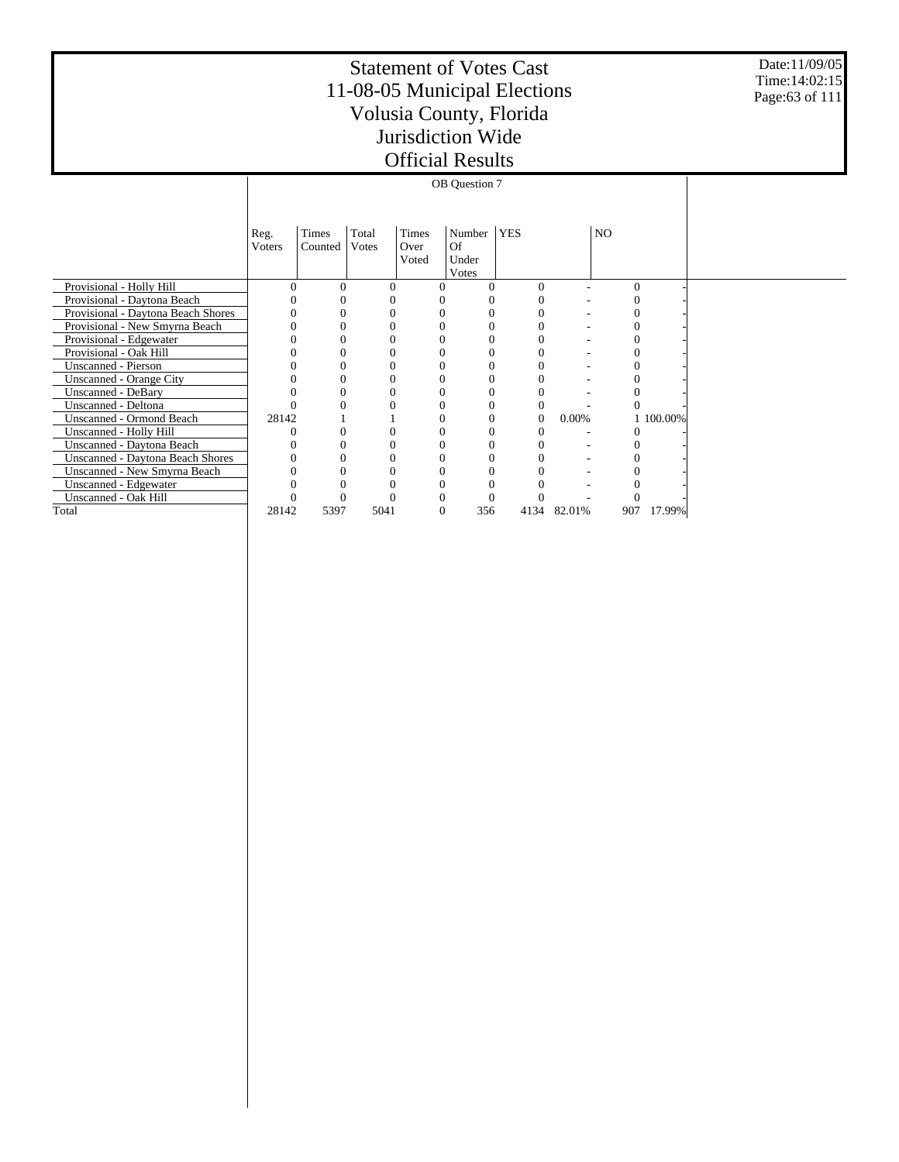Date:11/09/05 Time:14:02:15 Page:63 of 111

|                                         | Reg.   | Times   | Total | <b>Times</b> | Number          | <b>YES</b> |          |        | NO. |           |
|-----------------------------------------|--------|---------|-------|--------------|-----------------|------------|----------|--------|-----|-----------|
|                                         | Voters | Counted | Votes | Over         | Of              |            |          |        |     |           |
|                                         |        |         |       | Voted        | Under           |            |          |        |     |           |
|                                         |        |         |       |              | Votes           |            |          |        |     |           |
| Provisional - Holly Hill                |        |         |       |              |                 |            | $\Omega$ | ٠      | 0   |           |
| Provisional - Daytona Beach             |        |         |       |              |                 |            |          |        |     |           |
| Provisional - Daytona Beach Shores      |        |         |       |              |                 |            |          |        |     |           |
| Provisional - New Smyrna Beach          |        |         |       |              |                 |            |          |        |     |           |
| Provisional - Edgewater                 |        |         |       |              |                 |            |          |        |     |           |
| Provisional - Oak Hill                  |        |         |       |              |                 |            |          |        |     |           |
| Unscanned - Pierson                     |        |         |       |              |                 |            |          |        |     |           |
| Unscanned - Orange City                 |        |         |       |              |                 |            |          |        |     |           |
| Unscanned - DeBary                      |        |         |       |              |                 |            |          |        |     |           |
| Unscanned - Deltona                     |        |         |       |              |                 |            |          |        |     |           |
| Unscanned - Ormond Beach                | 28142  |         |       |              |                 |            | $\Omega$ | 0.00%  |     | 1 100.00% |
| Unscanned - Holly Hill                  |        |         |       |              |                 |            |          |        |     |           |
| Unscanned - Daytona Beach               |        |         |       |              |                 |            |          |        |     |           |
| <b>Unscanned - Daytona Beach Shores</b> |        |         |       |              |                 |            |          |        |     |           |
| Unscanned - New Smyrna Beach            |        |         |       |              |                 |            |          |        |     |           |
| Unscanned - Edgewater                   |        |         |       |              |                 |            |          |        |     |           |
| Unscanned - Oak Hill                    |        |         |       |              |                 |            |          |        |     |           |
| Total                                   | 28142  | 5397    | 5041  |              | 356<br>$\theta$ |            | 4134     | 82.01% | 907 | 17.99%    |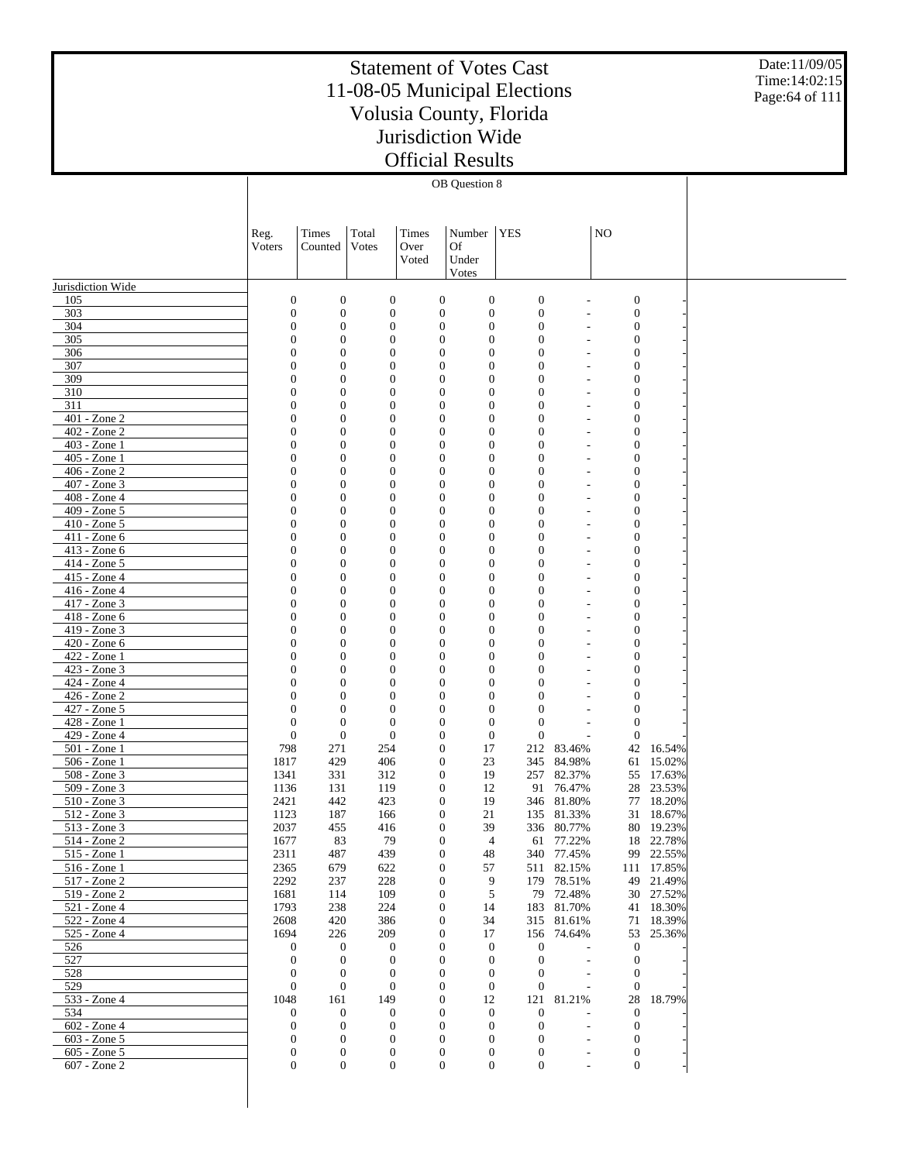Date:11/09/05 Time:14:02:15 Page:64 of 111

Τ

#### OB Question 8

Τ

|                                                  | OD Question o                |                                      |                       |                              |                                                                          |  |                            |                         |                                      |                        |  |
|--------------------------------------------------|------------------------------|--------------------------------------|-----------------------|------------------------------|--------------------------------------------------------------------------|--|----------------------------|-------------------------|--------------------------------------|------------------------|--|
|                                                  | Reg.<br>Voters               | Times<br>Counted                     | Total<br><b>Votes</b> | Times<br>Over<br>Voted       | Number   YES<br><b>Of</b><br>Under                                       |  |                            |                         | NO                                   |                        |  |
|                                                  |                              |                                      |                       |                              | Votes                                                                    |  |                            |                         |                                      |                        |  |
| Jurisdiction Wide                                |                              |                                      |                       |                              |                                                                          |  |                            |                         |                                      |                        |  |
| 105                                              | $\boldsymbol{0}$             | $\boldsymbol{0}$                     |                       | $\mathbf{0}$                 | $\boldsymbol{0}$<br>$\boldsymbol{0}$                                     |  | $\boldsymbol{0}$           |                         | $\boldsymbol{0}$                     |                        |  |
| 303                                              | $\theta$                     | $\boldsymbol{0}$                     |                       | $\theta$                     | $\boldsymbol{0}$<br>$\mathbf{0}$                                         |  | $\overline{0}$             |                         | $\mathbf{0}$                         |                        |  |
| 304<br>305                                       | $\mathbf{0}$<br>$\mathbf{0}$ | $\boldsymbol{0}$<br>$\boldsymbol{0}$ |                       | $\mathbf{0}$<br>$\theta$     | $\boldsymbol{0}$<br>$\boldsymbol{0}$<br>$\boldsymbol{0}$<br>$\mathbf{0}$ |  | $\overline{0}$<br>$\theta$ |                         | $\boldsymbol{0}$<br>$\boldsymbol{0}$ |                        |  |
| 306                                              | $\mathbf{0}$                 | $\mathbf{0}$                         |                       | $\mathbf{0}$                 | $\mathbf{0}$<br>$\boldsymbol{0}$                                         |  | $\theta$                   |                         | $\boldsymbol{0}$                     |                        |  |
| 307                                              | $\mathbf{0}$                 | $\overline{0}$                       |                       | $\mathbf{0}$                 | $\mathbf{0}$<br>$\mathbf{0}$                                             |  | $\Omega$                   |                         | $\boldsymbol{0}$                     |                        |  |
| 309                                              | $\mathbf{0}$                 | $\mathbf{0}$                         |                       | $\mathbf{0}$                 | $\mathbf{0}$<br>$\boldsymbol{0}$                                         |  | 0                          |                         | 0                                    |                        |  |
| 310                                              | $\Omega$                     | $\overline{0}$                       |                       | $\mathbf{0}$                 | $\mathbf{0}$<br>$\mathbf{0}$                                             |  | $\theta$                   |                         | $\overline{0}$                       |                        |  |
| 311                                              | $\mathbf{0}$                 | $\mathbf{0}$                         |                       | $\mathbf{0}$                 | $\boldsymbol{0}$<br>$\mathbf{0}$                                         |  | $\theta$                   |                         | $\boldsymbol{0}$                     |                        |  |
| 401 - Zone 2                                     | $\mathbf{0}$                 | $\overline{0}$                       |                       | $\mathbf{0}$                 | $\mathbf{0}$<br>$\mathbf{0}$                                             |  | $\theta$                   |                         | $\boldsymbol{0}$                     |                        |  |
| 402 - Zone 2                                     | $\mathbf{0}$                 | $\mathbf{0}$                         |                       | $\mathbf{0}$                 | $\mathbf{0}$<br>$\boldsymbol{0}$                                         |  | $\theta$                   |                         | 0                                    |                        |  |
| 403 - Zone 1                                     | $\Omega$                     | $\overline{0}$                       |                       | $\theta$                     | $\mathbf{0}$<br>$\mathbf{0}$                                             |  | $\theta$                   |                         | $\boldsymbol{0}$                     |                        |  |
| 405 - Zone 1                                     | $\mathbf{0}$                 | $\mathbf{0}$                         |                       | $\mathbf{0}$                 | $\boldsymbol{0}$<br>$\mathbf{0}$                                         |  | $\theta$                   |                         | 0                                    |                        |  |
| 406 - Zone 2<br>$407 - Z$ one 3                  | $\mathbf{0}$<br>$\mathbf{0}$ | $\overline{0}$<br>$\mathbf{0}$       |                       | $\mathbf{0}$<br>$\mathbf{0}$ | $\mathbf{0}$<br>$\mathbf{0}$<br>$\boldsymbol{0}$<br>$\mathbf{0}$         |  | $\theta$<br>0              |                         | $\boldsymbol{0}$<br>0                |                        |  |
| 408 - Zone 4                                     | $\Omega$                     | $\overline{0}$                       |                       | $\mathbf{0}$                 | $\boldsymbol{0}$<br>$\mathbf{0}$                                         |  | $\theta$                   |                         | $\mathbf{0}$                         |                        |  |
| 409 - Zone 5                                     | $\mathbf{0}$                 | $\mathbf{0}$                         |                       | $\mathbf{0}$                 | $\mathbf{0}$<br>$\boldsymbol{0}$                                         |  | $\theta$                   |                         | $\mathbf{0}$                         |                        |  |
| 410 - Zone 5                                     | $\mathbf{0}$                 | $\overline{0}$                       |                       | $\mathbf{0}$                 | $\mathbf{0}$<br>$\mathbf{0}$                                             |  | $\theta$                   |                         | $\mathbf{0}$                         |                        |  |
| 411 - Zone 6                                     | $\mathbf{0}$                 | $\mathbf{0}$                         |                       | $\mathbf{0}$                 | $\boldsymbol{0}$<br>$\mathbf{0}$                                         |  | 0                          |                         | 0                                    |                        |  |
| 413 - Zone 6                                     | $\Omega$                     | $\overline{0}$                       |                       | $\theta$                     | $\mathbf{0}$<br>$\mathbf{0}$                                             |  | $\theta$                   |                         | $\mathbf{0}$                         |                        |  |
| $414 - Zone$ 5                                   | $\mathbf{0}$                 | $\mathbf{0}$                         |                       | $\mathbf{0}$                 | $\boldsymbol{0}$<br>$\mathbf{0}$                                         |  | $\theta$                   |                         | $\mathbf{0}$                         |                        |  |
| 415 - Zone 4                                     | $\mathbf{0}$                 | $\overline{0}$                       |                       | $\mathbf{0}$                 | $\mathbf{0}$<br>$\mathbf{0}$                                             |  | $\Omega$                   |                         | $\mathbf{0}$                         |                        |  |
| 416 - Zone 4                                     | $\mathbf{0}$                 | $\mathbf{0}$                         |                       | $\mathbf{0}$                 | $\mathbf{0}$<br>$\boldsymbol{0}$                                         |  | $\theta$                   |                         | 0                                    |                        |  |
| 417 - Zone 3                                     | $\Omega$                     | $\overline{0}$                       |                       | $\mathbf{0}$                 | $\mathbf{0}$<br>$\mathbf{0}$                                             |  | $\theta$                   |                         | $\mathbf{0}$                         |                        |  |
| 418 - Zone 6<br>$419 - Zone$ 3                   | $\mathbf{0}$<br>$\Omega$     | $\mathbf{0}$<br>$\overline{0}$       |                       | $\mathbf{0}$<br>$\mathbf{0}$ | $\boldsymbol{0}$<br>$\mathbf{0}$<br>$\mathbf{0}$<br>$\mathbf{0}$         |  | 0<br>$\theta$              |                         | 0<br>$\overline{0}$                  |                        |  |
| $420 - Z$ one 6                                  | $\mathbf{0}$                 | $\mathbf{0}$                         |                       | $\mathbf{0}$                 | $\mathbf{0}$<br>$\boldsymbol{0}$                                         |  | $\theta$                   |                         | 0                                    |                        |  |
| 422 - Zone 1                                     | $\Omega$                     | $\overline{0}$                       |                       | $\mathbf{0}$                 | $\boldsymbol{0}$<br>$\mathbf{0}$                                         |  | $\theta$                   |                         | $\overline{0}$                       |                        |  |
| 423 - Zone 3                                     | $\mathbf{0}$                 | $\mathbf{0}$                         |                       | $\mathbf{0}$                 | $\mathbf{0}$<br>$\boldsymbol{0}$                                         |  | $\theta$                   |                         | 0                                    |                        |  |
| $424 - Z$ one 4                                  | $\Omega$                     | $\overline{0}$                       |                       | $\mathbf{0}$                 | $\mathbf{0}$<br>$\mathbf{0}$                                             |  | $\theta$                   |                         | $\overline{0}$                       |                        |  |
| 426 - Zone 2                                     | $\mathbf{0}$                 | $\overline{0}$                       |                       | $\mathbf{0}$                 | $\boldsymbol{0}$<br>$\mathbf{0}$                                         |  | $\theta$                   |                         | 0                                    |                        |  |
| $427 - Z$ one 5                                  | $\Omega$                     | $\overline{0}$                       |                       | $\theta$                     | $\boldsymbol{0}$<br>$\mathbf{0}$                                         |  | $\Omega$                   |                         | $\boldsymbol{0}$                     |                        |  |
| 428 - Zone 1                                     | $\theta$                     | $\boldsymbol{0}$                     |                       | $\mathbf{0}$                 | $\boldsymbol{0}$<br>$\mathbf{0}$                                         |  | $\theta$                   |                         | $\mathbf{0}$                         |                        |  |
| 429 - Zone 4                                     | $\boldsymbol{0}$             | $\boldsymbol{0}$                     |                       | $\mathbf{0}$                 | $\boldsymbol{0}$<br>$\mathbf{0}$                                         |  | $\overline{0}$             |                         | $\mathbf{0}$                         |                        |  |
| 501 - Zone 1                                     | 798                          | 271                                  | 254                   |                              | $\boldsymbol{0}$<br>17                                                   |  |                            | 212 83.46%              |                                      | 42 16.54%              |  |
| 506 - Zone 1                                     | 1817                         | 429                                  | 406                   |                              | 23<br>$\boldsymbol{0}$                                                   |  |                            | 345 84.98%              |                                      | 61 15.02%              |  |
| 508 - Zone 3<br>$\overline{509 - \text{Zone}}$ 3 | 1341<br>1136                 | 331<br>131                           | 312<br>119            |                              | 19<br>$\boldsymbol{0}$<br>$\boldsymbol{0}$<br>12                         |  |                            | 257 82.37%<br>91 76.47% |                                      | 55 17.63%<br>28 23.53% |  |
| $510 - Z$ one 3                                  | 2421                         | 442                                  | 423                   |                              | 19<br>$\mathbf{0}$                                                       |  |                            | 346 81.80%              |                                      | 77 18.20%              |  |
| 512 - Zone 3                                     | 1123                         | 187                                  | 166                   |                              | 21<br>$\mathbf{0}$                                                       |  |                            | 135 81.33%              |                                      | 31 18.67%              |  |
| 513 - Zone 3                                     | 2037                         | 455                                  | 416                   |                              | 39<br>$\mathbf{0}$                                                       |  |                            | 336 80.77%              |                                      | 80 19.23%              |  |
| 514 - Zone 2                                     | 1677                         | 83                                   | 79                    |                              | $\Omega$<br>$\overline{4}$                                               |  |                            | 61 77.22%               |                                      | 18 22.78%              |  |
| 515 - Zone 1                                     | 2311                         | 487                                  | 439                   |                              | $\boldsymbol{0}$<br>48                                                   |  |                            | 340 77.45%              |                                      | 99 22.55%              |  |
| $516 - Zone$ 1                                   | 2365                         | 679                                  | 622                   |                              | $\boldsymbol{0}$<br>57                                                   |  |                            | 511 82.15%              |                                      | 111 17.85%             |  |
| 517 - Zone 2                                     | 2292                         | 237                                  | 228                   |                              | 9<br>$\boldsymbol{0}$                                                    |  |                            | 179 78.51%              |                                      | 49 21.49%              |  |
| 519 - Zone 2                                     | 1681                         | 114                                  | 109                   |                              | 5<br>$\mathbf{0}$                                                        |  |                            | 79 72.48%               |                                      | 30 27.52%              |  |
| 521 - Zone 4                                     | 1793                         | 238                                  | 224                   |                              | $\boldsymbol{0}$<br>14                                                   |  |                            | 183 81.70%              |                                      | 41 18.30%              |  |
| 522 - Zone 4                                     | 2608<br>1694                 | 420<br>226                           | 386                   |                              | $\overline{0}$<br>34<br>$\overline{0}$<br>17                             |  |                            | 315 81.61%              |                                      | 71 18.39%              |  |
| 525 - Zone 4<br>526                              | $\overline{0}$               | $\theta$                             | 209                   | $\theta$                     | $\overline{0}$<br>$\mathbf{0}$                                           |  | $\theta$                   | 156 74.64%              | $\boldsymbol{0}$                     | 53 25.36%              |  |
| 527                                              | $\mathbf{0}$                 | $\theta$                             |                       | $\overline{0}$               | $\overline{0}$<br>$\mathbf{0}$                                           |  | $\overline{0}$             |                         | $\mathbf{0}$                         |                        |  |
| 528                                              | $\theta$                     | $\overline{0}$                       |                       | $\theta$                     | $\overline{0}$<br>$\theta$                                               |  | $\theta$                   |                         | $\overline{0}$                       |                        |  |
| 529                                              | $\theta$                     | $\boldsymbol{0}$                     |                       | $\boldsymbol{0}$             | $\overline{0}$<br>$\boldsymbol{0}$                                       |  | $\theta$                   |                         | $\boldsymbol{0}$                     |                        |  |
| 533 - Zone 4                                     | 1048                         | 161                                  | 149                   |                              | $\overline{0}$<br>12                                                     |  |                            | 121 81.21%              |                                      | 28 18.79%              |  |
| 534                                              | $\mathbf{0}$                 | $\theta$                             |                       | $\boldsymbol{0}$             | $\overline{0}$<br>$\boldsymbol{0}$                                       |  | $\overline{0}$             |                         | $\overline{0}$                       |                        |  |
| 602 - Zone 4                                     | $\theta$                     | $\theta$                             |                       | $\theta$                     | $\theta$<br>$\theta$                                                     |  | $\overline{0}$             |                         | $\overline{0}$                       |                        |  |
| 603 - Zone 5                                     | $\theta$                     | $\boldsymbol{0}$                     |                       | $\overline{0}$               | $\theta$<br>$\boldsymbol{0}$                                             |  | $\Omega$                   |                         | $\boldsymbol{0}$                     |                        |  |
|                                                  |                              | $\boldsymbol{0}$                     |                       | $\boldsymbol{0}$             | $\boldsymbol{0}$<br>$\theta$                                             |  | $\overline{0}$             | $\overline{a}$          | $\boldsymbol{0}$                     |                        |  |
| $605 - Z$ one 5<br>607 - Zone 2                  | $\mathbf{0}$<br>$\mathbf{0}$ | $\boldsymbol{0}$                     |                       | $\mathbf{0}$                 | $\mathbf{0}$<br>$\boldsymbol{0}$                                         |  | $\mathbf{0}$               |                         | $\mathbf{0}$                         |                        |  |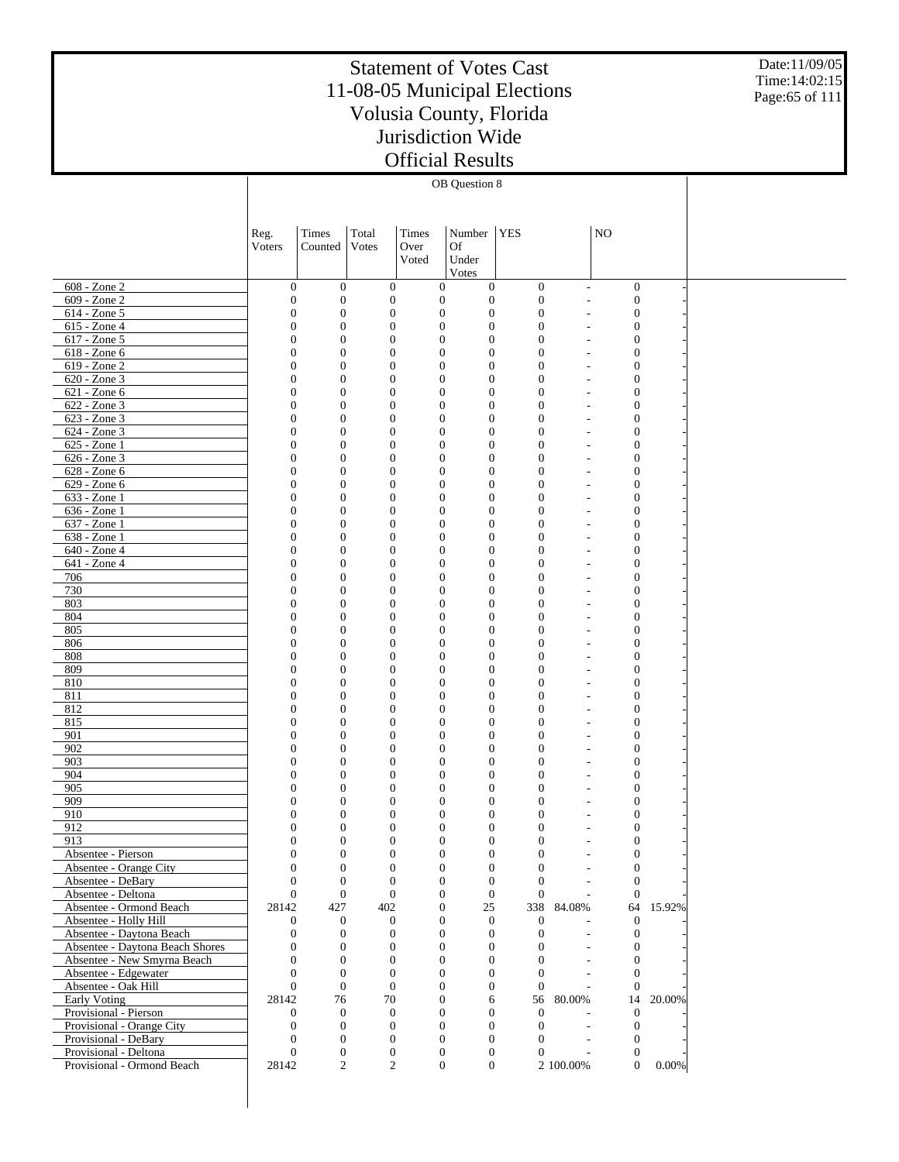Date:11/09/05 Time:14:02:15 Page:65 of 111

## Statement of Votes Cast 11-08-05 Municipal Elections Volusia County, Florida Jurisdiction Wide Official Results

|                                               |                                |                                |       |                                      | OB Question 8                                                          |                                  |                |                                            |           |  |
|-----------------------------------------------|--------------------------------|--------------------------------|-------|--------------------------------------|------------------------------------------------------------------------|----------------------------------|----------------|--------------------------------------------|-----------|--|
|                                               |                                |                                |       |                                      |                                                                        |                                  |                |                                            |           |  |
|                                               |                                |                                |       |                                      |                                                                        |                                  |                |                                            |           |  |
|                                               | Reg.                           | Times                          | Total | Times                                | Number                                                                 | <b>YES</b>                       |                | NO                                         |           |  |
|                                               | Voters                         | Counted                        | Votes | Over                                 | Of                                                                     |                                  |                |                                            |           |  |
|                                               |                                |                                |       | Voted                                | Under                                                                  |                                  |                |                                            |           |  |
|                                               |                                |                                |       |                                      | Votes                                                                  |                                  |                |                                            |           |  |
| 608 - Zone 2                                  | $\overline{0}$                 | $\mathbf{0}$                   |       | $\boldsymbol{0}$                     | $\mathbf{0}$<br>$\mathbf{0}$                                           | $\mathbf{0}$                     |                | $\overline{0}$<br>$\overline{\phantom{a}}$ |           |  |
| 609 - Zone 2                                  | $\boldsymbol{0}$               | $\boldsymbol{0}$               |       | $\boldsymbol{0}$                     | $\boldsymbol{0}$<br>$\boldsymbol{0}$                                   | $\mathbf{0}$                     | $\overline{a}$ | $\boldsymbol{0}$                           |           |  |
| 614 - Zone 5                                  | $\mathbf{0}$                   | $\overline{0}$                 |       | $\boldsymbol{0}$                     | $\boldsymbol{0}$<br>$\mathbf{0}$                                       | $\mathbf{0}$                     |                | $\boldsymbol{0}$                           |           |  |
| 615 - Zone 4                                  | $\mathbf{0}$                   | $\mathbf{0}$                   |       | $\boldsymbol{0}$                     | $\boldsymbol{0}$<br>$\boldsymbol{0}$                                   | $\overline{0}$                   |                | $\mathbf{0}$                               |           |  |
| 617 - Zone 5                                  | $\mathbf{0}$                   | $\overline{0}$                 |       | $\boldsymbol{0}$                     | $\overline{0}$<br>$\mathbf{0}$                                         | $\overline{0}$                   |                | $\mathbf{0}$                               |           |  |
| 618 - Zone 6                                  | $\mathbf{0}$                   | $\theta$                       |       | $\boldsymbol{0}$                     | $\boldsymbol{0}$<br>$\boldsymbol{0}$                                   | $\overline{0}$                   |                | $\mathbf{0}$                               |           |  |
| 619 - Zone 2                                  | $\mathbf{0}$                   | $\overline{0}$                 |       | $\boldsymbol{0}$                     | $\overline{0}$<br>$\mathbf{0}$                                         | $\overline{0}$                   |                | $\mathbf{0}$                               |           |  |
| 620 - Zone 3                                  | $\mathbf{0}$                   | $\theta$                       |       | $\boldsymbol{0}$                     | $\boldsymbol{0}$<br>$\mathbf{0}$                                       | $\overline{0}$                   |                | $\boldsymbol{0}$                           |           |  |
| 621 - Zone 6<br>622 - Zone 3                  | $\mathbf{0}$<br>$\mathbf{0}$   | $\overline{0}$<br>$\theta$     |       | $\boldsymbol{0}$<br>$\boldsymbol{0}$ | $\overline{0}$<br>$\mathbf{0}$<br>$\boldsymbol{0}$<br>$\boldsymbol{0}$ | $\overline{0}$<br>$\overline{0}$ |                | $\mathbf{0}$<br>$\mathbf{0}$               |           |  |
| 623 - Zone 3                                  | $\mathbf{0}$                   | $\overline{0}$                 |       | $\boldsymbol{0}$                     | $\overline{0}$<br>$\mathbf{0}$                                         | $\overline{0}$                   |                | $\mathbf{0}$                               |           |  |
| 624 - Zone 3                                  | $\mathbf{0}$                   | $\theta$                       |       | $\boldsymbol{0}$                     | $\boldsymbol{0}$<br>$\mathbf{0}$                                       | $\overline{0}$                   |                | $\boldsymbol{0}$                           |           |  |
| 625 - Zone 1                                  | $\mathbf{0}$                   | $\overline{0}$                 |       | $\boldsymbol{0}$                     | $\overline{0}$<br>$\mathbf{0}$                                         | $\overline{0}$                   |                | $\mathbf{0}$                               |           |  |
| 626 - Zone 3                                  | $\mathbf{0}$                   | $\theta$                       |       | $\boldsymbol{0}$                     | $\boldsymbol{0}$<br>$\mathbf{0}$                                       | $\overline{0}$                   |                | $\mathbf{0}$                               |           |  |
| 628 - Zone 6                                  | $\mathbf{0}$                   | $\overline{0}$                 |       | $\boldsymbol{0}$                     | $\overline{0}$<br>$\mathbf{0}$                                         | $\overline{0}$                   |                | $\mathbf{0}$                               |           |  |
| 629 - Zone 6                                  | $\mathbf{0}$                   | $\theta$                       |       | $\boldsymbol{0}$                     | $\boldsymbol{0}$<br>$\boldsymbol{0}$                                   | $\overline{0}$                   |                | $\boldsymbol{0}$                           |           |  |
| 633 - Zone 1                                  | $\mathbf{0}$                   | $\overline{0}$                 |       | $\boldsymbol{0}$                     | $\overline{0}$<br>$\mathbf{0}$                                         | $\overline{0}$                   |                | $\mathbf{0}$                               |           |  |
| 636 - Zone 1                                  | $\mathbf{0}$                   | $\theta$                       |       | $\boldsymbol{0}$                     | $\boldsymbol{0}$<br>$\mathbf{0}$                                       | $\overline{0}$                   |                | $\boldsymbol{0}$                           |           |  |
| 637 - Zone 1                                  | $\mathbf{0}$                   | $\overline{0}$                 |       | $\boldsymbol{0}$                     | $\overline{0}$<br>$\mathbf{0}$                                         | $\overline{0}$                   |                | $\mathbf{0}$                               |           |  |
| 638 - Zone 1                                  | $\mathbf{0}$                   | $\theta$                       |       | $\boldsymbol{0}$                     | $\boldsymbol{0}$<br>$\mathbf{0}$                                       | $\overline{0}$                   |                | $\boldsymbol{0}$                           |           |  |
| 640 - Zone 4                                  | $\mathbf{0}$                   | $\overline{0}$                 |       | $\boldsymbol{0}$                     | $\overline{0}$<br>$\mathbf{0}$                                         | $\overline{0}$                   |                | $\mathbf{0}$                               |           |  |
| 641 - Zone 4                                  | $\mathbf{0}$                   | $\theta$                       |       | $\boldsymbol{0}$                     | $\boldsymbol{0}$<br>$\boldsymbol{0}$                                   | $\overline{0}$                   |                | $\mathbf{0}$                               |           |  |
| 706                                           | $\mathbf{0}$                   | $\overline{0}$                 |       | $\boldsymbol{0}$                     | $\overline{0}$<br>$\mathbf{0}$                                         | $\overline{0}$                   |                | $\mathbf{0}$                               |           |  |
| 730                                           | $\mathbf{0}$                   | $\theta$<br>$\overline{0}$     |       | $\boldsymbol{0}$                     | $\boldsymbol{0}$<br>$\mathbf{0}$<br>$\overline{0}$                     | $\overline{0}$                   |                | $\boldsymbol{0}$                           |           |  |
| 803<br>804                                    | $\mathbf{0}$<br>$\mathbf{0}$   | $\theta$                       |       | $\boldsymbol{0}$<br>$\boldsymbol{0}$ | $\mathbf{0}$<br>$\boldsymbol{0}$<br>$\boldsymbol{0}$                   | $\overline{0}$<br>$\overline{0}$ |                | $\mathbf{0}$<br>$\mathbf{0}$               |           |  |
| 805                                           | $\mathbf{0}$                   | $\overline{0}$                 |       | $\boldsymbol{0}$                     | $\overline{0}$<br>$\mathbf{0}$                                         | $\overline{0}$                   |                | $\mathbf{0}$                               |           |  |
| 806                                           | $\mathbf{0}$                   | $\overline{0}$                 |       | $\boldsymbol{0}$                     | $\boldsymbol{0}$<br>$\mathbf{0}$                                       | $\overline{0}$                   |                | $\boldsymbol{0}$                           |           |  |
| 808                                           | $\mathbf{0}$                   | $\overline{0}$                 |       | $\boldsymbol{0}$                     | $\overline{0}$<br>$\mathbf{0}$                                         | $\overline{0}$                   |                | $\mathbf{0}$                               |           |  |
| 809                                           | $\mathbf{0}$                   | $\theta$                       |       | $\boldsymbol{0}$                     | $\boldsymbol{0}$<br>$\boldsymbol{0}$                                   | $\overline{0}$                   |                | $\mathbf{0}$                               |           |  |
| 810                                           | $\mathbf{0}$                   | $\overline{0}$                 |       | $\boldsymbol{0}$                     | $\overline{0}$<br>$\mathbf{0}$                                         | $\overline{0}$                   |                | $\mathbf{0}$                               |           |  |
| 811                                           | $\mathbf{0}$                   | $\theta$                       |       | $\boldsymbol{0}$                     | $\boldsymbol{0}$<br>$\mathbf{0}$                                       | $\overline{0}$                   |                | $\boldsymbol{0}$                           |           |  |
| 812                                           | $\mathbf{0}$                   | $\overline{0}$                 |       | $\boldsymbol{0}$                     | $\overline{0}$<br>$\mathbf{0}$                                         | $\overline{0}$                   |                | $\mathbf{0}$                               |           |  |
| 815                                           | $\mathbf{0}$                   | $\theta$                       |       | $\boldsymbol{0}$                     | $\boldsymbol{0}$<br>$\mathbf{0}$                                       | $\overline{0}$                   |                | $\boldsymbol{0}$                           |           |  |
| 901                                           | $\mathbf{0}$                   | $\overline{0}$                 |       | $\boldsymbol{0}$                     | $\overline{0}$<br>$\mathbf{0}$                                         | $\overline{0}$                   |                | $\mathbf{0}$                               |           |  |
| 902                                           | $\mathbf{0}$                   | $\theta$                       |       | $\boldsymbol{0}$                     | $\boldsymbol{0}$<br>$\boldsymbol{0}$                                   | $\overline{0}$                   |                | $\boldsymbol{0}$                           |           |  |
| 903                                           | $\mathbf{0}$                   | $\overline{0}$                 |       | $\boldsymbol{0}$                     | $\overline{0}$<br>$\mathbf{0}$                                         | $\overline{0}$                   |                | $\mathbf{0}$                               |           |  |
| 904                                           | $\mathbf{0}$                   | $\theta$                       |       | $\boldsymbol{0}$                     | $\boldsymbol{0}$<br>$\boldsymbol{0}$                                   | $\overline{0}$                   |                | $\boldsymbol{0}$                           |           |  |
| 905<br>909                                    | $\mathbf{0}$<br>$\mathbf{0}$   | $\mathbf{0}$<br>$\overline{0}$ |       | $\mathbf{0}$                         | $\mathbf{0}$<br>$\mathbf{0}$<br>$\boldsymbol{0}$<br>$\mathbf{0}$       | $\overline{0}$<br>$\overline{0}$ |                | $\boldsymbol{0}$                           |           |  |
| 910                                           | $\mathbf{0}$                   | $\overline{0}$                 |       | $\boldsymbol{0}$<br>$\mathbf{0}$     | $\overline{0}$<br>$\overline{0}$                                       | $\overline{0}$                   |                | $\boldsymbol{0}$<br>$\mathbf{0}$           |           |  |
| 912                                           | $\Omega$                       | $\theta$                       |       | $\Omega$                             | $\overline{0}$<br>$\mathbf{0}$                                         | $\Omega$                         |                | $\mathbf{0}$                               |           |  |
| 913                                           | 0                              | $\overline{0}$                 |       | $\boldsymbol{0}$                     | $\boldsymbol{0}$<br>$\boldsymbol{0}$                                   | $\overline{0}$                   |                | $\mathbf{0}$                               |           |  |
| Absentee - Pierson                            | $\mathbf{0}$                   | $\boldsymbol{0}$               |       | $\boldsymbol{0}$                     | $\boldsymbol{0}$<br>$\boldsymbol{0}$                                   | $\overline{0}$                   |                | $\mathbf{0}$                               |           |  |
| Absentee - Orange City                        | $\mathbf{0}$                   | $\overline{0}$                 |       | $\mathbf{0}$                         | $\boldsymbol{0}$<br>$\mathbf{0}$                                       | $\overline{0}$                   |                | $\boldsymbol{0}$                           |           |  |
| Absentee - DeBary                             | $\mathbf{0}$                   | $\theta$                       |       | $\mathbf{0}$                         | $\boldsymbol{0}$<br>$\mathbf{0}$                                       | $\overline{0}$                   |                | $\theta$                                   |           |  |
| Absentee - Deltona                            | $\overline{0}$                 | $\boldsymbol{0}$               |       | $\boldsymbol{0}$                     | $\boldsymbol{0}$<br>$\mathbf{0}$                                       | $\overline{0}$                   |                | $\mathbf{0}$                               |           |  |
| Absentee - Ormond Beach                       | 28142                          | 427                            | 402   |                                      | $\boldsymbol{0}$<br>25                                                 |                                  | 338 84.08%     |                                            | 64 15.92% |  |
| Absentee - Holly Hill                         | $\overline{0}$                 | $\overline{0}$                 |       | $\mathbf{0}$                         | $\mathbf{0}$<br>$\mathbf{0}$                                           | $\boldsymbol{0}$                 |                | $\overline{0}$                             |           |  |
| Absentee - Daytona Beach                      | $\mathbf{0}$                   | $\theta$                       |       | $\boldsymbol{0}$                     | $\boldsymbol{0}$<br>$\boldsymbol{0}$                                   | $\overline{0}$                   |                | $\mathbf{0}$                               |           |  |
| Absentee - Daytona Beach Shores               | $\mathbf{0}$                   | $\mathbf{0}$                   |       | $\boldsymbol{0}$                     | $\boldsymbol{0}$<br>$\mathbf{0}$                                       | $\overline{0}$                   |                | $\mathbf{0}$                               |           |  |
| Absentee - New Smyrna Beach                   | $\mathbf{0}$                   | $\theta$                       |       | $\boldsymbol{0}$                     | $\boldsymbol{0}$<br>$\boldsymbol{0}$                                   | $\overline{0}$                   |                | $\boldsymbol{0}$                           |           |  |
| Absentee - Edgewater                          | $\mathbf{0}$                   | $\overline{0}$                 |       | $\mathbf{0}$                         | $\overline{0}$<br>$\boldsymbol{0}$                                     | $\overline{0}$                   |                | $\mathbf{0}$                               |           |  |
| Absentee - Oak Hill                           | $\overline{0}$                 | $\mathbf{0}$                   |       | $\mathbf{0}$                         | $\boldsymbol{0}$<br>$\boldsymbol{0}$                                   | $\overline{0}$                   |                | $\overline{0}$                             |           |  |
| Early Voting                                  | 28142                          | 76                             | 70    |                                      | $\boldsymbol{0}$<br>6                                                  | 56                               | 80.00%         | 14                                         | 20.00%    |  |
| Provisional - Pierson                         | $\overline{0}$                 | $\theta$                       |       | $\boldsymbol{0}$                     | $\boldsymbol{0}$<br>$\boldsymbol{0}$                                   | $\overline{0}$                   |                | $\overline{0}$                             |           |  |
| Provisional - Orange City                     | $\overline{0}$<br>$\mathbf{0}$ | $\theta$<br>$\overline{0}$     |       | $\mathbf{0}$<br>$\boldsymbol{0}$     | $\overline{0}$<br>$\mathbf{0}$<br>$\boldsymbol{0}$<br>$\boldsymbol{0}$ | $\overline{0}$<br>$\overline{0}$ |                | $\overline{0}$<br>$\theta$                 |           |  |
| Provisional - DeBary<br>Provisional - Deltona | $\mathbf{0}$                   | $\boldsymbol{0}$               |       | $\boldsymbol{0}$                     | $\boldsymbol{0}$<br>$\boldsymbol{0}$                                   | $\overline{0}$                   | $\overline{a}$ | $\overline{0}$                             |           |  |
| Provisional - Ormond Beach                    | 28142                          | 2                              |       | 2                                    | $\mathbf{0}$<br>$\boldsymbol{0}$                                       |                                  | 2 100.00%      | $\mathbf{0}$                               | $0.00\%$  |  |
|                                               |                                |                                |       |                                      |                                                                        |                                  |                |                                            |           |  |
|                                               |                                |                                |       |                                      |                                                                        |                                  |                |                                            |           |  |
|                                               |                                |                                |       |                                      |                                                                        |                                  |                |                                            |           |  |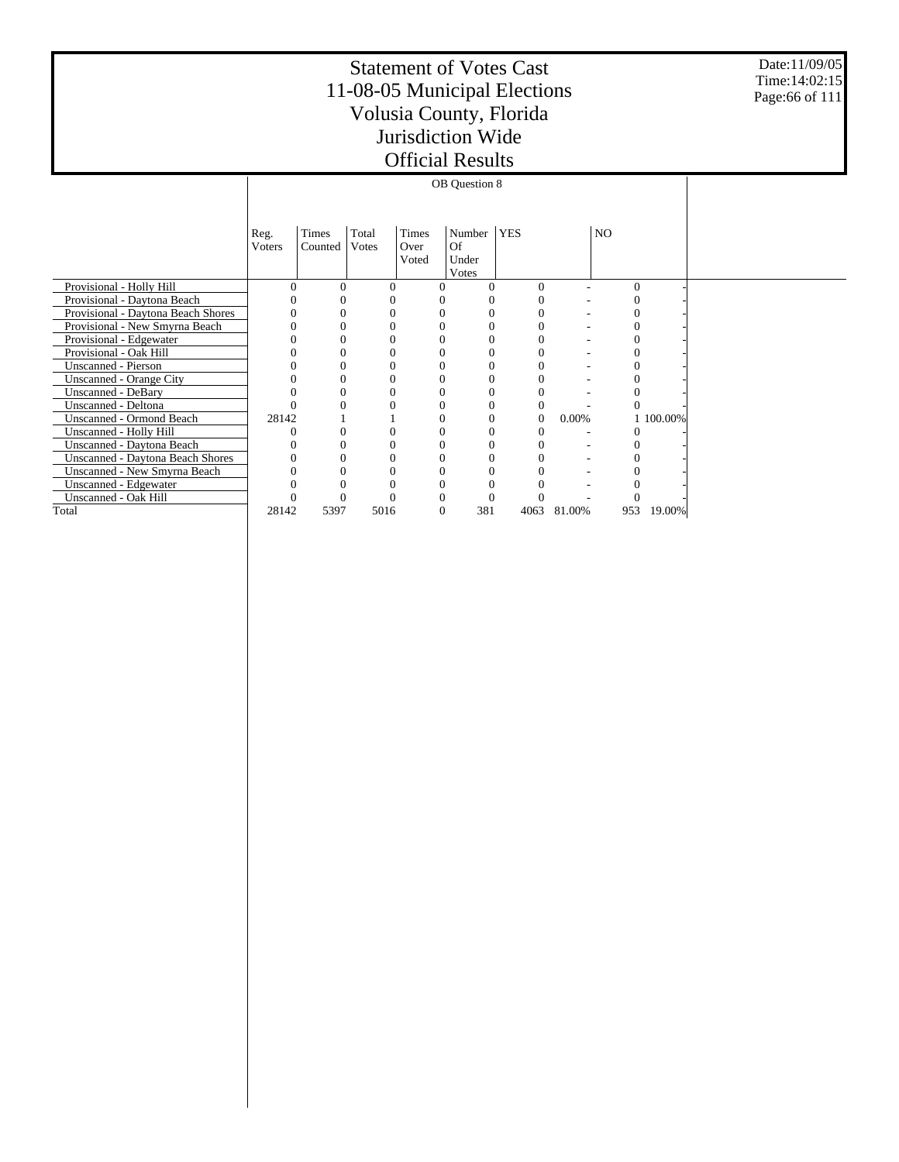Date:11/09/05 Time:14:02:15 Page:66 of 111

|                                         | Reg.<br>Voters | Times<br>Counted | Total<br>Votes | Times<br>Over<br>Voted | Of<br>Under<br>Votes | Number   YES |      |        | NO. |           |
|-----------------------------------------|----------------|------------------|----------------|------------------------|----------------------|--------------|------|--------|-----|-----------|
| Provisional - Holly Hill                |                | 0                |                |                        | $\Omega$             |              | 0    |        |     |           |
| Provisional - Daytona Beach             |                |                  |                |                        |                      |              |      |        |     |           |
| Provisional - Daytona Beach Shores      |                |                  |                |                        |                      |              |      |        |     |           |
| Provisional - New Smyrna Beach          |                |                  |                |                        |                      |              |      |        |     |           |
| Provisional - Edgewater                 |                |                  |                |                        |                      |              |      |        |     |           |
| Provisional - Oak Hill                  |                |                  |                |                        |                      |              |      |        |     |           |
| Unscanned - Pierson                     |                |                  |                |                        |                      |              |      |        |     |           |
| Unscanned - Orange City                 |                |                  |                |                        |                      |              |      |        |     |           |
| Unscanned - DeBary                      |                |                  |                |                        |                      |              |      |        |     |           |
| Unscanned - Deltona                     |                |                  |                |                        |                      |              |      |        |     |           |
| Unscanned - Ormond Beach                | 28142          |                  |                |                        |                      |              |      | 0.00%  |     | 1 100,00% |
| Unscanned - Holly Hill                  |                |                  |                |                        |                      |              |      |        |     |           |
| Unscanned - Daytona Beach               |                |                  |                |                        |                      |              |      |        |     |           |
| <b>Unscanned - Daytona Beach Shores</b> |                |                  |                |                        |                      |              |      |        |     |           |
| Unscanned - New Smyrna Beach            |                |                  |                |                        |                      |              |      |        |     |           |
| Unscanned - Edgewater                   |                |                  |                |                        |                      |              |      |        |     |           |
| Unscanned - Oak Hill                    |                |                  |                |                        |                      |              |      |        |     |           |
| Total                                   | 28142          | 5397             | 5016           |                        | $\Omega$             | 381          | 4063 | 81.00% | 953 | 19.00%    |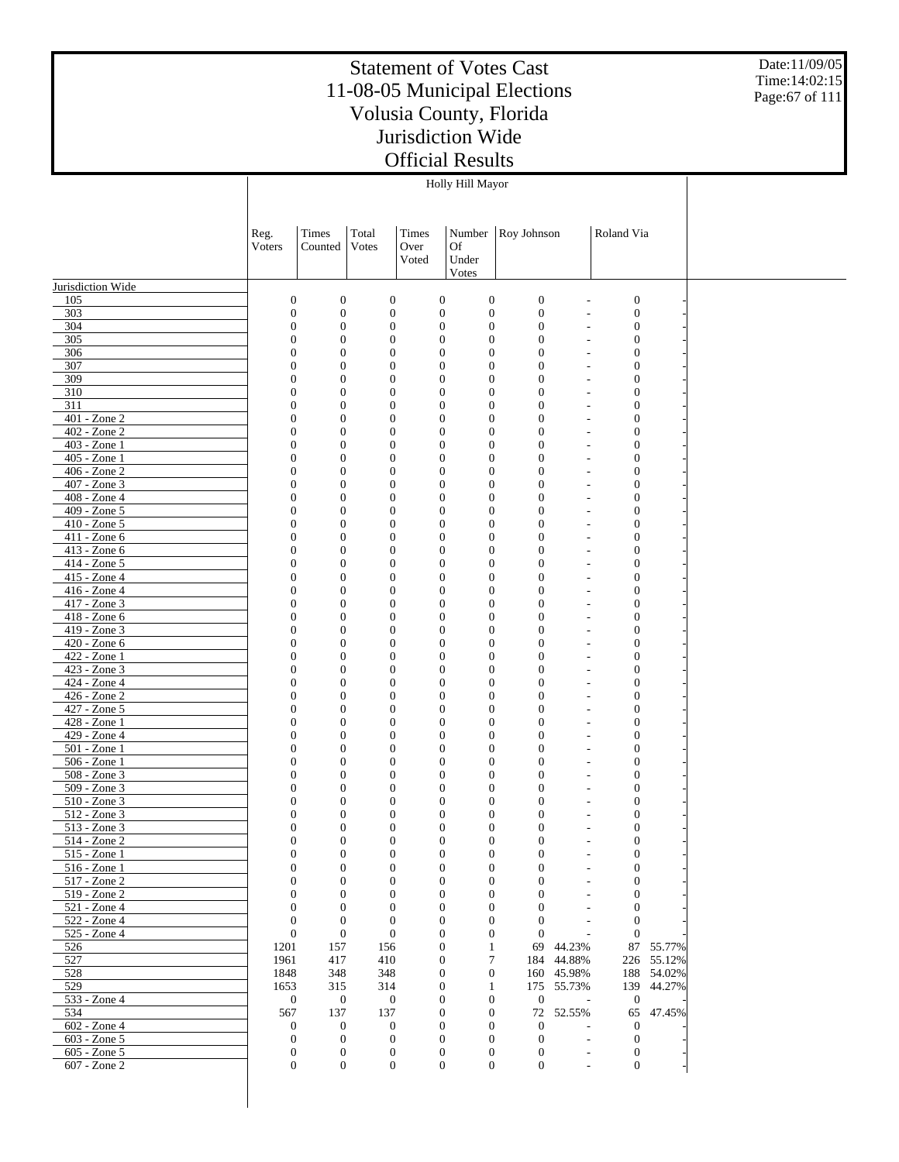Date:11/09/05 Time:14:02:15 Page:67 of 111

 $\overline{1}$ 

## Statement of Votes Cast 11-08-05 Municipal Elections Volusia County, Florida Jurisdiction Wide Official Results

 $\overline{1}$ 

Holly Hill Mayor

|                               | Reg.                             | Times                                | Total      | Times                                | Number                               | Roy Johnson                                                                  |                         | Roland Via                           |                         |  |
|-------------------------------|----------------------------------|--------------------------------------|------------|--------------------------------------|--------------------------------------|------------------------------------------------------------------------------|-------------------------|--------------------------------------|-------------------------|--|
|                               | Voters                           | Counted   Votes                      |            | Over<br>Voted                        | <b>Of</b><br>Under                   |                                                                              |                         |                                      |                         |  |
|                               |                                  |                                      |            |                                      | Votes                                |                                                                              |                         |                                      |                         |  |
| Jurisdiction Wide             |                                  |                                      |            |                                      |                                      |                                                                              |                         |                                      |                         |  |
| 105<br>303                    | $\boldsymbol{0}$<br>$\mathbf{0}$ | $\boldsymbol{0}$<br>$\boldsymbol{0}$ |            | $\boldsymbol{0}$<br>$\boldsymbol{0}$ | $\boldsymbol{0}$<br>$\boldsymbol{0}$ | $\boldsymbol{0}$<br>$\boldsymbol{0}$<br>$\boldsymbol{0}$<br>$\boldsymbol{0}$ | L,                      | $\boldsymbol{0}$<br>$\boldsymbol{0}$ |                         |  |
| 304                           | $\mathbf{0}$                     | $\boldsymbol{0}$                     |            | $\boldsymbol{0}$                     | $\boldsymbol{0}$                     | $\boldsymbol{0}$<br>$\boldsymbol{0}$                                         |                         | $\boldsymbol{0}$                     |                         |  |
| 305                           | $\mathbf{0}$                     | $\boldsymbol{0}$                     |            | $\boldsymbol{0}$                     | $\boldsymbol{0}$                     | $\boldsymbol{0}$<br>$\boldsymbol{0}$                                         |                         | $\boldsymbol{0}$                     |                         |  |
| 306                           | $\mathbf{0}$                     | $\boldsymbol{0}$                     |            | $\boldsymbol{0}$                     | $\boldsymbol{0}$                     | $\boldsymbol{0}$<br>$\mathbf{0}$                                             |                         | $\boldsymbol{0}$                     |                         |  |
| 307                           | $\mathbf{0}$                     | $\boldsymbol{0}$                     |            | $\boldsymbol{0}$                     | $\boldsymbol{0}$                     | $\boldsymbol{0}$<br>$\boldsymbol{0}$                                         |                         | $\boldsymbol{0}$                     |                         |  |
| 309                           | $\mathbf{0}$                     | $\boldsymbol{0}$                     |            | $\boldsymbol{0}$                     | $\boldsymbol{0}$                     | $\boldsymbol{0}$<br>$\boldsymbol{0}$                                         |                         | $\boldsymbol{0}$                     |                         |  |
| 310<br>311                    | $\Omega$<br>$\mathbf{0}$         | $\boldsymbol{0}$<br>$\boldsymbol{0}$ |            | $\boldsymbol{0}$<br>$\boldsymbol{0}$ | $\boldsymbol{0}$<br>$\boldsymbol{0}$ | $\boldsymbol{0}$<br>$\boldsymbol{0}$<br>$\boldsymbol{0}$<br>$\boldsymbol{0}$ |                         | $\boldsymbol{0}$<br>$\boldsymbol{0}$ |                         |  |
| 401 - Zone 2                  | $\mathbf{0}$                     | $\boldsymbol{0}$                     |            | $\boldsymbol{0}$                     | $\boldsymbol{0}$                     | $\boldsymbol{0}$<br>$\boldsymbol{0}$                                         | ٠                       | $\boldsymbol{0}$                     |                         |  |
| 402 - Zone 2                  | $\mathbf{0}$                     | $\boldsymbol{0}$                     |            | $\boldsymbol{0}$                     | $\boldsymbol{0}$                     | $\boldsymbol{0}$<br>$\boldsymbol{0}$                                         |                         | $\boldsymbol{0}$                     |                         |  |
| 403 - Zone 1                  | $\Omega$                         | $\boldsymbol{0}$                     |            | $\boldsymbol{0}$                     | $\boldsymbol{0}$                     | $\boldsymbol{0}$<br>$\boldsymbol{0}$                                         |                         | $\boldsymbol{0}$                     |                         |  |
| 405 - Zone 1                  | $\mathbf{0}$                     | $\boldsymbol{0}$                     |            | $\boldsymbol{0}$                     | $\boldsymbol{0}$                     | $\boldsymbol{0}$<br>$\boldsymbol{0}$                                         |                         | $\boldsymbol{0}$                     |                         |  |
| 406 - Zone 2                  | $\mathbf{0}$                     | $\boldsymbol{0}$                     |            | $\boldsymbol{0}$                     | $\boldsymbol{0}$                     | $\boldsymbol{0}$<br>$\boldsymbol{0}$                                         | ٠                       | $\boldsymbol{0}$                     |                         |  |
| 407 - Zone 3<br>408 - Zone 4  | $\mathbf{0}$<br>$\Omega$         | $\boldsymbol{0}$<br>$\boldsymbol{0}$ |            | $\boldsymbol{0}$<br>$\boldsymbol{0}$ | $\boldsymbol{0}$<br>$\boldsymbol{0}$ | $\boldsymbol{0}$<br>$\boldsymbol{0}$<br>$\boldsymbol{0}$<br>$\boldsymbol{0}$ |                         | $\boldsymbol{0}$<br>$\boldsymbol{0}$ |                         |  |
| 409 - Zone 5                  | $\mathbf{0}$                     | $\boldsymbol{0}$                     |            | $\boldsymbol{0}$                     | $\boldsymbol{0}$                     | $\boldsymbol{0}$<br>$\boldsymbol{0}$                                         |                         | $\boldsymbol{0}$                     |                         |  |
| 410 - Zone 5                  | $\mathbf{0}$                     | $\boldsymbol{0}$                     |            | $\boldsymbol{0}$                     | $\boldsymbol{0}$                     | $\boldsymbol{0}$<br>$\boldsymbol{0}$                                         |                         | $\boldsymbol{0}$                     |                         |  |
| 411 - Zone 6                  | $\mathbf{0}$                     | $\boldsymbol{0}$                     |            | $\boldsymbol{0}$                     | $\boldsymbol{0}$                     | $\boldsymbol{0}$<br>$\boldsymbol{0}$                                         |                         | $\boldsymbol{0}$                     |                         |  |
| 413 - Zone 6                  | $\Omega$                         | $\boldsymbol{0}$                     |            | $\boldsymbol{0}$                     | $\boldsymbol{0}$                     | $\boldsymbol{0}$<br>$\boldsymbol{0}$                                         |                         | $\boldsymbol{0}$                     |                         |  |
| $414 - Zone$ 5                | $\mathbf{0}$                     | $\boldsymbol{0}$                     |            | $\boldsymbol{0}$                     | $\boldsymbol{0}$                     | $\boldsymbol{0}$<br>$\boldsymbol{0}$                                         |                         | $\boldsymbol{0}$                     |                         |  |
| 415 - Zone 4<br>$416 - Zone4$ | $\mathbf{0}$<br>$\mathbf{0}$     | $\boldsymbol{0}$<br>$\boldsymbol{0}$ |            | $\boldsymbol{0}$<br>$\boldsymbol{0}$ | $\boldsymbol{0}$<br>$\boldsymbol{0}$ | $\boldsymbol{0}$<br>$\boldsymbol{0}$<br>$\boldsymbol{0}$<br>$\boldsymbol{0}$ |                         | $\boldsymbol{0}$<br>$\boldsymbol{0}$ |                         |  |
| 417 - Zone 3                  | $\Omega$                         | $\boldsymbol{0}$                     |            | $\boldsymbol{0}$                     | $\boldsymbol{0}$                     | $\boldsymbol{0}$<br>$\boldsymbol{0}$                                         | ٠                       | $\boldsymbol{0}$                     |                         |  |
| 418 - Zone 6                  | $\mathbf{0}$                     | $\boldsymbol{0}$                     |            | $\boldsymbol{0}$                     | $\boldsymbol{0}$                     | $\boldsymbol{0}$<br>$\boldsymbol{0}$                                         |                         | $\boldsymbol{0}$                     |                         |  |
| 419 - Zone 3                  | $\mathbf{0}$                     | $\boldsymbol{0}$                     |            | $\boldsymbol{0}$                     | $\boldsymbol{0}$                     | $\boldsymbol{0}$<br>$\boldsymbol{0}$                                         |                         | $\boldsymbol{0}$                     |                         |  |
| 420 - Zone 6                  | $\mathbf{0}$                     | $\boldsymbol{0}$                     |            | $\boldsymbol{0}$                     | $\boldsymbol{0}$                     | $\boldsymbol{0}$<br>$\boldsymbol{0}$                                         |                         | $\boldsymbol{0}$                     |                         |  |
| 422 - Zone 1                  | $\mathbf{0}$                     | $\boldsymbol{0}$                     |            | $\boldsymbol{0}$                     | $\boldsymbol{0}$                     | $\boldsymbol{0}$<br>$\boldsymbol{0}$                                         |                         | $\boldsymbol{0}$                     |                         |  |
| 423 - Zone 3<br>424 - Zone 4  | $\mathbf{0}$<br>$\mathbf{0}$     | $\boldsymbol{0}$<br>$\boldsymbol{0}$ |            | $\boldsymbol{0}$<br>$\boldsymbol{0}$ | $\boldsymbol{0}$<br>$\boldsymbol{0}$ | $\boldsymbol{0}$<br>$\boldsymbol{0}$<br>$\boldsymbol{0}$<br>$\boldsymbol{0}$ | ٠                       | $\boldsymbol{0}$<br>$\boldsymbol{0}$ |                         |  |
| 426 - Zone 2                  | $\mathbf{0}$                     | $\boldsymbol{0}$                     |            | $\boldsymbol{0}$                     | $\boldsymbol{0}$                     | $\boldsymbol{0}$<br>$\boldsymbol{0}$                                         |                         | $\boldsymbol{0}$                     |                         |  |
| 427 - Zone 5                  | $\Omega$                         | $\boldsymbol{0}$                     |            | $\boldsymbol{0}$                     | $\boldsymbol{0}$                     | $\boldsymbol{0}$<br>$\boldsymbol{0}$                                         |                         | $\boldsymbol{0}$                     |                         |  |
| 428 - Zone 1                  | $\mathbf{0}$                     | $\boldsymbol{0}$                     |            | $\boldsymbol{0}$                     | $\boldsymbol{0}$                     | $\boldsymbol{0}$<br>$\boldsymbol{0}$                                         |                         | $\boldsymbol{0}$                     |                         |  |
| 429 - Zone 4                  | $\mathbf{0}$                     | $\boldsymbol{0}$                     |            | $\boldsymbol{0}$                     | $\boldsymbol{0}$                     | $\boldsymbol{0}$<br>$\boldsymbol{0}$                                         | ٠                       | $\boldsymbol{0}$                     |                         |  |
| 501 - Zone 1                  | $\mathbf{0}$                     | $\boldsymbol{0}$                     |            | $\boldsymbol{0}$                     | $\boldsymbol{0}$                     | $\boldsymbol{0}$<br>$\boldsymbol{0}$                                         |                         | $\boldsymbol{0}$                     |                         |  |
| 506 - Zone 1<br>508 - Zone 3  | $\Omega$<br>$\mathbf{0}$         | $\boldsymbol{0}$<br>$\boldsymbol{0}$ |            | $\boldsymbol{0}$<br>$\boldsymbol{0}$ | $\boldsymbol{0}$<br>$\boldsymbol{0}$ | $\boldsymbol{0}$<br>$\boldsymbol{0}$<br>$\boldsymbol{0}$<br>$\boldsymbol{0}$ |                         | $\boldsymbol{0}$<br>$\boldsymbol{0}$ |                         |  |
| $509 - Zone$ 3                | $\theta$                         | $\boldsymbol{0}$                     |            | $\boldsymbol{0}$                     | $\boldsymbol{0}$                     | $\boldsymbol{0}$<br>$\boldsymbol{0}$                                         |                         | $\boldsymbol{0}$                     |                         |  |
| 510 - Zone 3                  | $\theta$                         | $\boldsymbol{0}$                     |            | $\boldsymbol{0}$                     | $\boldsymbol{0}$                     | 0<br>$\boldsymbol{0}$                                                        |                         | $\boldsymbol{0}$                     |                         |  |
| $512 - Zone$ 3                | $\Omega$                         | $\boldsymbol{0}$                     |            | $\boldsymbol{0}$                     | $\mathbf{0}$                         | $\boldsymbol{0}$<br>$\boldsymbol{0}$                                         |                         | $\boldsymbol{0}$                     |                         |  |
| 513 - Zone 3                  | 0                                | $\boldsymbol{0}$                     |            | $\mathbf{0}$                         | $\boldsymbol{0}$                     | $\boldsymbol{0}$<br>$\boldsymbol{0}$                                         |                         | $\boldsymbol{0}$                     |                         |  |
| 514 - Zone 2                  | $\theta$                         | $\overline{0}$                       |            | $\mathbf{0}$<br>$\Omega$             | $\mathbf{0}$<br>$\theta$             | $\mathbf{0}$<br>$\overline{0}$                                               | ٠                       | $\boldsymbol{0}$<br>$\theta$         |                         |  |
| $515 - Zone1$<br>516 - Zone 1 | $\Omega$                         | $\boldsymbol{0}$<br>$\boldsymbol{0}$ |            | $\Omega$                             | $\theta$                             | $\boldsymbol{0}$<br>$\overline{0}$<br>0<br>0                                 |                         | $\boldsymbol{0}$                     |                         |  |
| 517 - Zone 2                  | $\Omega$                         | $\boldsymbol{0}$                     |            | $\mathbf{0}$                         | $\boldsymbol{0}$                     | 0<br>$\mathbf{0}$                                                            |                         | $\boldsymbol{0}$                     |                         |  |
| 519 - Zone 2                  | $\Omega$                         | $\overline{0}$                       |            | $\theta$                             | $\theta$                             | $\Omega$<br>$\theta$                                                         |                         | $\boldsymbol{0}$                     |                         |  |
| 521 - Zone 4                  | $\Omega$                         | $\overline{0}$                       |            | $\theta$                             | $\theta$                             | 0<br>$\theta$                                                                |                         | $\boldsymbol{0}$                     |                         |  |
| 522 - Zone 4                  | $\Omega$                         | $\overline{0}$                       |            | $\theta$                             | $\theta$                             | 0<br>$\Omega$                                                                |                         | $\boldsymbol{0}$                     |                         |  |
| 525 - Zone 4                  | $\Omega$                         | $\boldsymbol{0}$                     |            | $\boldsymbol{0}$                     | $\theta$                             | $\boldsymbol{0}$<br>$\theta$                                                 |                         | $\mathbf{0}$                         |                         |  |
| 526<br>527                    | 1201<br>1961                     | 157<br>417                           | 156<br>410 |                                      | $\theta$<br>$\boldsymbol{0}$         | 1<br>7                                                                       | 69 44.23%<br>184 44.88% |                                      | 87 55.77%<br>226 55.12% |  |
| 528                           | 1848                             | 348                                  | 348        |                                      | $\theta$                             | 0                                                                            | 160 45.98%              |                                      | 188 54.02%              |  |
| 529                           | 1653                             | 315                                  | 314        |                                      | 0                                    | 1                                                                            | 175 55.73%              |                                      | 139 44.27%              |  |
| 533 - Zone 4                  | $\boldsymbol{0}$                 | $\mathbf{0}$                         |            | $\mathbf{0}$                         | $\theta$                             | $\boldsymbol{0}$<br>0                                                        | $\overline{a}$          | $\mathbf{0}$                         |                         |  |
| 534                           | 567                              | 137                                  | 137        |                                      | $\boldsymbol{0}$                     | 0                                                                            | 72 52.55%               |                                      | 65 47.45%               |  |
| 602 - Zone 4<br>603 - Zone 5  | $\theta$                         | $\boldsymbol{0}$                     |            | 0                                    | $\theta$<br>$\theta$                 | $\mathbf{0}$<br>0                                                            |                         | $\boldsymbol{0}$                     |                         |  |
| 605 - Zone 5                  | $\theta$<br>$\Omega$             | $\boldsymbol{0}$<br>$\boldsymbol{0}$ |            | $\boldsymbol{0}$<br>$\boldsymbol{0}$ | $\theta$                             | 0<br>$\boldsymbol{0}$<br>0<br>$\boldsymbol{0}$                               |                         | $\boldsymbol{0}$<br>$\mathbf{0}$     |                         |  |
| 607 - Zone 2                  | $\theta$                         | $\boldsymbol{0}$                     |            | $\boldsymbol{0}$                     | $\mathbf{0}$                         | $\mathbf{0}$<br>$\boldsymbol{0}$                                             |                         | $\mathbf{0}$                         |                         |  |
|                               |                                  |                                      |            |                                      |                                      |                                                                              |                         |                                      |                         |  |
|                               |                                  |                                      |            |                                      |                                      |                                                                              |                         |                                      |                         |  |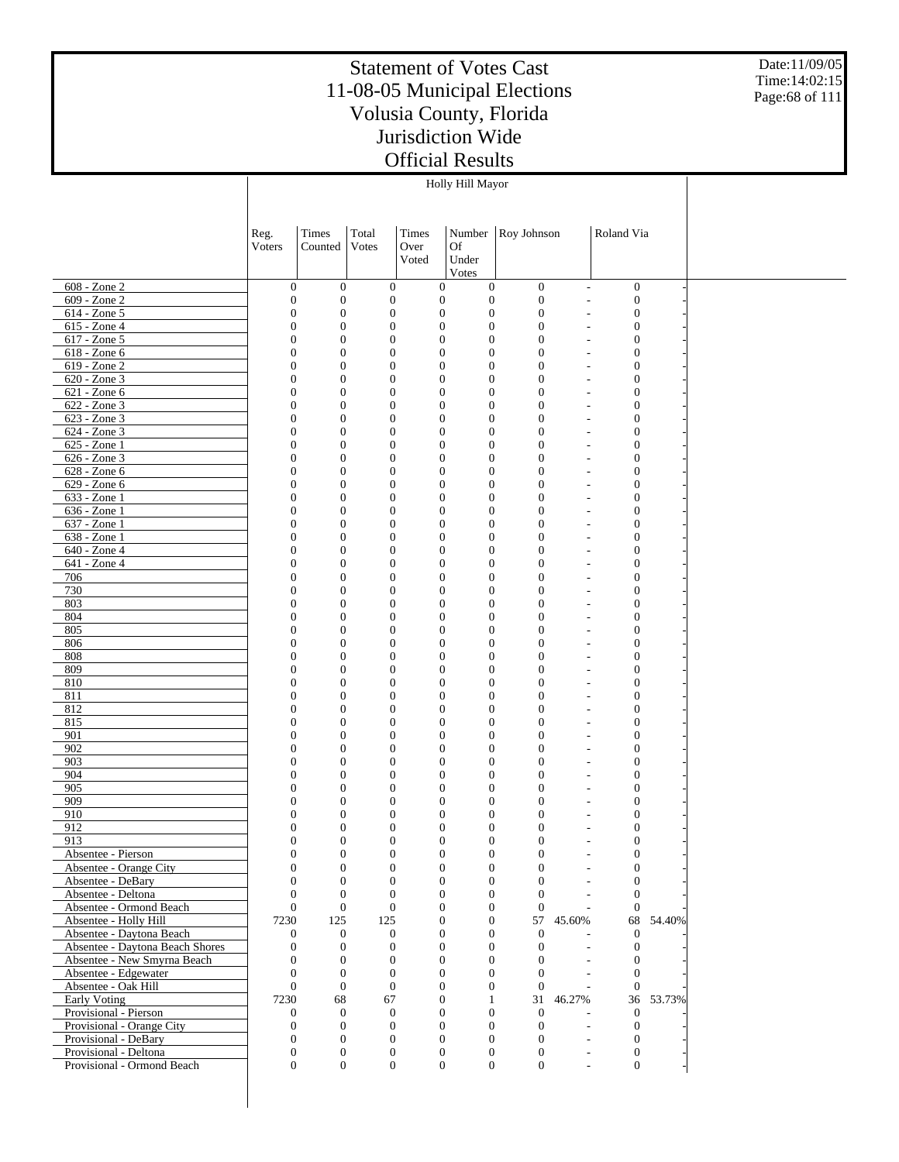Date:11/09/05 Time:14:02:15 Page:68 of 111

## Statement of Votes Cast 11-08-05 Municipal Elections Volusia County, Florida Jurisdiction Wide Official Results

Holly Hill Mayor

| Times<br>Total<br>Number   Roy Johnson<br>Roland Via<br>Reg.<br>Times<br>Voters<br>Votes<br>Counted<br>Over<br>Of<br>Under<br>Voted<br>Votes<br>608 - Zone 2<br>$\boldsymbol{0}$<br>$\boldsymbol{0}$<br>$\boldsymbol{0}$<br>$\boldsymbol{0}$<br>$\boldsymbol{0}$<br>$\mathbf{0}$<br>$\boldsymbol{0}$<br>$\overline{\phantom{a}}$<br>609 - Zone 2<br>$\boldsymbol{0}$<br>$\mathbf{0}$<br>$\boldsymbol{0}$<br>$\boldsymbol{0}$<br>$\boldsymbol{0}$<br>$\boldsymbol{0}$<br>$\boldsymbol{0}$<br>$\overline{\phantom{a}}$<br>614 - Zone 5<br>$\boldsymbol{0}$<br>$\boldsymbol{0}$<br>$\boldsymbol{0}$<br>$\boldsymbol{0}$<br>$\boldsymbol{0}$<br>$\boldsymbol{0}$<br>$\boldsymbol{0}$<br>615 - Zone 4<br>$\theta$<br>$\boldsymbol{0}$<br>$\boldsymbol{0}$<br>$\boldsymbol{0}$<br>$\boldsymbol{0}$<br>$\boldsymbol{0}$<br>$\boldsymbol{0}$<br>$\overline{\phantom{a}}$<br>617 - Zone 5<br>$\mathbf{0}$<br>$\boldsymbol{0}$<br>$\overline{0}$<br>$\boldsymbol{0}$<br>$\boldsymbol{0}$<br>$\boldsymbol{0}$<br>$\boldsymbol{0}$<br>$618 - Zone 6$<br>$\theta$<br>$\boldsymbol{0}$<br>$\boldsymbol{0}$<br>$\boldsymbol{0}$<br>$\boldsymbol{0}$<br>$\overline{0}$<br>$\mathbf{0}$<br>$619 - Zone2$<br>$\mathbf{0}$<br>$\boldsymbol{0}$<br>$\overline{0}$<br>$\boldsymbol{0}$<br>$\boldsymbol{0}$<br>$\boldsymbol{0}$<br>$\boldsymbol{0}$<br>620 - Zone 3<br>$\theta$<br>$\boldsymbol{0}$<br>$\boldsymbol{0}$<br>$\boldsymbol{0}$<br>$\boldsymbol{0}$<br>$\boldsymbol{0}$<br>$\boldsymbol{0}$<br>621 - Zone 6<br>$\mathbf{0}$<br>$\boldsymbol{0}$<br>$\overline{0}$<br>$\boldsymbol{0}$<br>$\boldsymbol{0}$<br>$\boldsymbol{0}$<br>$\boldsymbol{0}$<br>622 - Zone 3<br>$\theta$<br>$\boldsymbol{0}$<br>$\boldsymbol{0}$<br>$\boldsymbol{0}$<br>$\boldsymbol{0}$<br>$\boldsymbol{0}$<br>$\boldsymbol{0}$<br>623 - Zone 3<br>$\mathbf{0}$<br>$\boldsymbol{0}$<br>$\overline{0}$<br>$\boldsymbol{0}$<br>$\boldsymbol{0}$<br>$\boldsymbol{0}$<br>$\boldsymbol{0}$<br>624 - Zone 3<br>$\boldsymbol{0}$<br>$\theta$<br>$\boldsymbol{0}$<br>$\boldsymbol{0}$<br>$\boldsymbol{0}$<br>$\boldsymbol{0}$<br>$\boldsymbol{0}$<br>625 - Zone 1<br>$\mathbf{0}$<br>$\boldsymbol{0}$<br>$\overline{0}$<br>$\boldsymbol{0}$<br>$\boldsymbol{0}$<br>$\boldsymbol{0}$<br>$\boldsymbol{0}$<br>626 - Zone 3<br>$\overline{0}$<br>$\boldsymbol{0}$<br>$\boldsymbol{0}$<br>$\boldsymbol{0}$<br>$\boldsymbol{0}$<br>$\boldsymbol{0}$<br>$\boldsymbol{0}$<br>628 - Zone 6<br>$\mathbf{0}$<br>$\boldsymbol{0}$<br>$\mathbf{0}$<br>$\boldsymbol{0}$<br>$\boldsymbol{0}$<br>$\boldsymbol{0}$<br>$\boldsymbol{0}$<br>629 - Zone 6<br>$\theta$<br>$\boldsymbol{0}$<br>$\boldsymbol{0}$<br>$\boldsymbol{0}$<br>$\boldsymbol{0}$<br>$\boldsymbol{0}$<br>$\boldsymbol{0}$<br>633 - Zone 1<br>$\mathbf{0}$<br>$\boldsymbol{0}$<br>$\overline{0}$<br>$\boldsymbol{0}$<br>$\boldsymbol{0}$<br>$\overline{0}$<br>$\boldsymbol{0}$<br>636 - Zone 1<br>$\theta$<br>$\boldsymbol{0}$<br>$\boldsymbol{0}$<br>$\boldsymbol{0}$<br>$\boldsymbol{0}$<br>$\boldsymbol{0}$<br>$\boldsymbol{0}$<br>637 - Zone 1<br>$\mathbf{0}$<br>$\boldsymbol{0}$<br>$\overline{0}$<br>$\boldsymbol{0}$<br>$\boldsymbol{0}$<br>$\boldsymbol{0}$<br>$\boldsymbol{0}$<br>638 - Zone 1<br>$\theta$<br>$\boldsymbol{0}$<br>$\boldsymbol{0}$<br>$\boldsymbol{0}$<br>$\boldsymbol{0}$<br>$\boldsymbol{0}$<br>$\boldsymbol{0}$<br>640 - Zone 4<br>$\mathbf{0}$<br>$\boldsymbol{0}$<br>$\mathbf{0}$<br>$\boldsymbol{0}$<br>$\boldsymbol{0}$<br>$\boldsymbol{0}$<br>$\boldsymbol{0}$<br>641 - Zone 4<br>$\overline{0}$<br>$\boldsymbol{0}$<br>$\boldsymbol{0}$<br>$\boldsymbol{0}$<br>$\boldsymbol{0}$<br>$\boldsymbol{0}$<br>$\boldsymbol{0}$<br>$\mathbf{0}$<br>$\boldsymbol{0}$<br>706<br>$\overline{0}$<br>$\boldsymbol{0}$<br>$\boldsymbol{0}$<br>$\boldsymbol{0}$<br>$\boldsymbol{0}$<br>730<br>$\theta$<br>$\boldsymbol{0}$<br>$\boldsymbol{0}$<br>$\boldsymbol{0}$<br>$\boldsymbol{0}$<br>$\boldsymbol{0}$<br>$\boldsymbol{0}$<br>803<br>$\mathbf{0}$<br>$\boldsymbol{0}$<br>$\overline{0}$<br>$\boldsymbol{0}$<br>$\boldsymbol{0}$<br>$\boldsymbol{0}$<br>$\boldsymbol{0}$<br>804<br>$\overline{0}$<br>$\boldsymbol{0}$<br>$\boldsymbol{0}$<br>$\boldsymbol{0}$<br>$\boldsymbol{0}$<br>$\boldsymbol{0}$<br>$\boldsymbol{0}$<br>805<br>$\mathbf{0}$<br>$\boldsymbol{0}$<br>$\mathbf{0}$<br>$\boldsymbol{0}$<br>$\boldsymbol{0}$<br>$\boldsymbol{0}$<br>$\boldsymbol{0}$<br>806<br>$\overline{0}$<br>$\boldsymbol{0}$<br>$\boldsymbol{0}$<br>$\boldsymbol{0}$<br>$\boldsymbol{0}$<br>$\boldsymbol{0}$<br>$\boldsymbol{0}$<br>808<br>$\mathbf{0}$<br>$\boldsymbol{0}$<br>$\overline{0}$<br>$\boldsymbol{0}$<br>$\boldsymbol{0}$<br>$\boldsymbol{0}$<br>$\boldsymbol{0}$<br>809<br>$\theta$<br>$\boldsymbol{0}$<br>$\boldsymbol{0}$<br>$\boldsymbol{0}$<br>$\boldsymbol{0}$<br>$\boldsymbol{0}$<br>$\boldsymbol{0}$<br>$\overline{\phantom{a}}$<br>810<br>$\mathbf{0}$<br>$\boldsymbol{0}$<br>$\overline{0}$<br>$\boldsymbol{0}$<br>$\boldsymbol{0}$<br>$\boldsymbol{0}$<br>$\boldsymbol{0}$<br>811<br>$\theta$<br>$\boldsymbol{0}$<br>$\boldsymbol{0}$<br>$\boldsymbol{0}$<br>$\boldsymbol{0}$<br>$\boldsymbol{0}$<br>$\boldsymbol{0}$<br>812<br>$\mathbf{0}$<br>$\boldsymbol{0}$<br>$\overline{0}$<br>$\boldsymbol{0}$<br>$\boldsymbol{0}$<br>$\boldsymbol{0}$<br>$\boldsymbol{0}$<br>815<br>$\overline{0}$<br>$\boldsymbol{0}$<br>$\boldsymbol{0}$<br>$\boldsymbol{0}$<br>$\boldsymbol{0}$<br>$\boldsymbol{0}$<br>$\boldsymbol{0}$<br>901<br>$\mathbf{0}$<br>$\boldsymbol{0}$<br>$\overline{0}$<br>$\boldsymbol{0}$<br>$\boldsymbol{0}$<br>$\boldsymbol{0}$<br>$\boldsymbol{0}$<br>902<br>$\theta$<br>$\boldsymbol{0}$<br>$\boldsymbol{0}$<br>$\boldsymbol{0}$<br>$\boldsymbol{0}$<br>$\overline{0}$<br>$\boldsymbol{0}$<br>903<br>$\mathbf{0}$<br>$\boldsymbol{0}$<br>$\overline{0}$<br>$\boldsymbol{0}$<br>$\boldsymbol{0}$<br>$\overline{0}$<br>$\mathbf{0}$<br>904<br>$\boldsymbol{0}$<br>$\boldsymbol{0}$<br>$\boldsymbol{0}$<br>$\boldsymbol{0}$<br>$\boldsymbol{0}$<br>$\boldsymbol{0}$<br>$\theta$<br>905<br>$\mathbf{0}$<br>$\boldsymbol{0}$<br>$\overline{0}$<br>$\boldsymbol{0}$<br>$\boldsymbol{0}$<br>$\boldsymbol{0}$<br>$\boldsymbol{0}$<br>909<br>$\boldsymbol{0}$<br>$\boldsymbol{0}$<br>$\boldsymbol{0}$<br>$\boldsymbol{0}$<br>$\overline{0}$<br>$\mathbf{0}$<br>$\theta$<br>910<br>$\boldsymbol{0}$<br>$\mathbf{0}$<br>$\boldsymbol{0}$<br>$\boldsymbol{0}$<br>$\overline{0}$<br>$\mathbf{0}$<br>$\theta$<br>912<br>$\boldsymbol{0}$<br>$\boldsymbol{0}$<br>$\overline{0}$<br>$\boldsymbol{0}$<br>$\overline{0}$<br>$\Omega$<br>$\overline{0}$<br>913<br>$\boldsymbol{0}$<br>$\boldsymbol{0}$<br>$\boldsymbol{0}$<br>$\mathbf{0}$<br>$\overline{0}$<br>$\overline{0}$<br>$\overline{0}$<br>Absentee - Pierson<br>$\Omega$<br>$\Omega$<br>$\Omega$<br>$\Omega$<br>$\Omega$<br>$\Omega$<br>$\Omega$<br>Absentee - Orange City<br>$\boldsymbol{0}$<br>$\boldsymbol{0}$<br>$\boldsymbol{0}$<br>$\boldsymbol{0}$<br>$\boldsymbol{0}$<br>$\boldsymbol{0}$<br>$\mathbf{0}$<br>$\overline{0}$<br>$\boldsymbol{0}$<br>Absentee - DeBary<br>$\overline{0}$<br>$\boldsymbol{0}$<br>$\boldsymbol{0}$<br>$\mathbf{0}$<br>$\mathbf{0}$<br>$\boldsymbol{0}$<br>$\boldsymbol{0}$<br>Absentee - Deltona<br>$\mathbf{0}$<br>$\boldsymbol{0}$<br>$\mathbf{0}$<br>$\overline{0}$<br>$\theta$<br>$\boldsymbol{0}$<br>Absentee - Ormond Beach<br>$\mathbf{0}$<br>$\mathbf{0}$<br>$\Omega$<br>$\theta$<br>$\Omega$<br>$\theta$<br>68 54.40%<br>Absentee - Holly Hill<br>7230<br>125<br>125<br>$\boldsymbol{0}$<br>$\mathbf{0}$<br>57 45.60%<br>Absentee - Daytona Beach<br>$\boldsymbol{0}$<br>$\mathbf{0}$<br>$\mathbf{0}$<br>$\boldsymbol{0}$<br>$\boldsymbol{0}$<br>$\mathbf{0}$<br>$\mathbf{0}$<br>Absentee - Daytona Beach Shores<br>$\theta$<br>$\mathbf{0}$<br>$\boldsymbol{0}$<br>$\mathbf{0}$<br>$\theta$<br>$\boldsymbol{0}$<br>$\overline{0}$<br>Absentee - New Smyrna Beach<br>$\overline{0}$<br>$\boldsymbol{0}$<br>$\mathbf{0}$<br>$\Omega$<br>$\mathbf{0}$<br>$\boldsymbol{0}$<br>$\Omega$<br>$\mathbf{0}$<br>$\boldsymbol{0}$<br>Absentee - Edgewater<br>$\mathbf{0}$<br>$\boldsymbol{0}$<br>$\boldsymbol{0}$<br>$\mathbf{0}$<br>$\Omega$<br>$\mathbf{0}$<br>Absentee - Oak Hill<br>$\mathbf{0}$<br>$\mathbf{0}$<br>$\Omega$<br>$\theta$<br>$\Omega$<br>$\Omega$<br>67<br>7230<br>68<br>$\boldsymbol{0}$<br>31 46.27%<br>36 53.73%<br>Early Voting<br>$\mathbf{1}$<br>Provisional - Pierson<br>$\theta$<br>$\mathbf{0}$<br>$\Omega$<br>$\theta$<br>$\mathbf{0}$<br>$\mathbf{0}$<br>$\overline{0}$<br>Provisional - Orange City<br>$\mathbf{0}$<br>$\theta$<br>$\boldsymbol{0}$<br>$\boldsymbol{0}$<br>$\overline{0}$<br>$\theta$<br>$\boldsymbol{0}$<br>Provisional - DeBary<br>$\Omega$<br>$\boldsymbol{0}$<br>$\mathbf{0}$<br>$\Omega$<br>$\mathbf{0}$<br>$\Omega$<br>$\theta$<br>$\boldsymbol{0}$<br>Provisional - Deltona<br>$\mathbf{0}$<br>$\boldsymbol{0}$<br>$\mathbf{0}$<br>$\mathbf{0}$<br>$\boldsymbol{0}$<br>$\boldsymbol{0}$<br>$\overline{0}$<br>$\boldsymbol{0}$<br>$\boldsymbol{0}$<br>Provisional - Ormond Beach<br>$\mathbf{0}$<br>$\Omega$<br>$\overline{0}$<br>$\boldsymbol{0}$<br>$\overline{\phantom{a}}$ |  |  |  |  |  |
|---------------------------------------------------------------------------------------------------------------------------------------------------------------------------------------------------------------------------------------------------------------------------------------------------------------------------------------------------------------------------------------------------------------------------------------------------------------------------------------------------------------------------------------------------------------------------------------------------------------------------------------------------------------------------------------------------------------------------------------------------------------------------------------------------------------------------------------------------------------------------------------------------------------------------------------------------------------------------------------------------------------------------------------------------------------------------------------------------------------------------------------------------------------------------------------------------------------------------------------------------------------------------------------------------------------------------------------------------------------------------------------------------------------------------------------------------------------------------------------------------------------------------------------------------------------------------------------------------------------------------------------------------------------------------------------------------------------------------------------------------------------------------------------------------------------------------------------------------------------------------------------------------------------------------------------------------------------------------------------------------------------------------------------------------------------------------------------------------------------------------------------------------------------------------------------------------------------------------------------------------------------------------------------------------------------------------------------------------------------------------------------------------------------------------------------------------------------------------------------------------------------------------------------------------------------------------------------------------------------------------------------------------------------------------------------------------------------------------------------------------------------------------------------------------------------------------------------------------------------------------------------------------------------------------------------------------------------------------------------------------------------------------------------------------------------------------------------------------------------------------------------------------------------------------------------------------------------------------------------------------------------------------------------------------------------------------------------------------------------------------------------------------------------------------------------------------------------------------------------------------------------------------------------------------------------------------------------------------------------------------------------------------------------------------------------------------------------------------------------------------------------------------------------------------------------------------------------------------------------------------------------------------------------------------------------------------------------------------------------------------------------------------------------------------------------------------------------------------------------------------------------------------------------------------------------------------------------------------------------------------------------------------------------------------------------------------------------------------------------------------------------------------------------------------------------------------------------------------------------------------------------------------------------------------------------------------------------------------------------------------------------------------------------------------------------------------------------------------------------------------------------------------------------------------------------------------------------------------------------------------------------------------------------------------------------------------------------------------------------------------------------------------------------------------------------------------------------------------------------------------------------------------------------------------------------------------------------------------------------------------------------------------------------------------------------------------------------------------------------------------------------------------------------------------------------------------------------------------------------------------------------------------------------------------------------------------------------------------------------------------------------------------------------------------------------------------------------------------------------------------------------------------------------------------------------------------------------------------------------------------------------------------------------------------------------------------------------------------------------------------------------------------------------------------------------------------------------------------------------------------------------------------------------------------------------------------------------------------------------------------------------------------------------------------------------------------------------------------------------------------------------------------------------------------------------------------------------------------------------------------------------------------------------------------------------------------------------------------------------------------------------------------------------------------------------------------------------------------------------------------------------------------------------------------------------------------------------------------------------------------------------------------------------------------------------------------------------------------------------------------------------------------------------------------------------------------------------------------------------------------------------------------------------------------------------------------------------------------------------------------------------------------------------------------------------------------------------------------------------------------------------------------------------------------------------------------------------------------------------------------------------------------------------------------------------------------------------------------------------------------------------------------------------------------------------------------------------------------------------------------------------------------------------------------------------------------------------------------------------------------------------------------------------------------------------------------------------------------------------------------------------------------------------------------------------------------------------------------------------------------------------------------------------------------------------------------------------------------------------------------------------------------------------------------------------------------------------------------------------------------------------------------------------------------------------------------------------------------------------------------------------------------------------------------------------------------------------------------------------------------------------------------------------------------------------------------------------------------------------------------------------------------------------------------------------------------------------------------------------------------------------------------------------------------------------------------------------------------------------------------------------------------------------------------------------------------------------------------------------------------------------------------------------------|--|--|--|--|--|
|                                                                                                                                                                                                                                                                                                                                                                                                                                                                                                                                                                                                                                                                                                                                                                                                                                                                                                                                                                                                                                                                                                                                                                                                                                                                                                                                                                                                                                                                                                                                                                                                                                                                                                                                                                                                                                                                                                                                                                                                                                                                                                                                                                                                                                                                                                                                                                                                                                                                                                                                                                                                                                                                                                                                                                                                                                                                                                                                                                                                                                                                                                                                                                                                                                                                                                                                                                                                                                                                                                                                                                                                                                                                                                                                                                                                                                                                                                                                                                                                                                                                                                                                                                                                                                                                                                                                                                                                                                                                                                                                                                                                                                                                                                                                                                                                                                                                                                                                                                                                                                                                                                                                                                                                                                                                                                                                                                                                                                                                                                                                                                                                                                                                                                                                                                                                                                                                                                                                                                                                                                                                                                                                                                                                                                                                                                                                                                                                                                                                                                                                                                                                                                                                                                                                                                                                                                                                                                                                                                                                                                                                                                                                                                                                                                                                                                                                                                                                                                                                                                                                                                                                                                                                                                                                                                                                                                                                                                                                                                                                                                                                                                                                                                                                                                                                                                                                                                                                                                                                                                                                                                                                                                                                                                                                                                                                                                                                                                                                                                                                                                                                                                                                                                     |  |  |  |  |  |
|                                                                                                                                                                                                                                                                                                                                                                                                                                                                                                                                                                                                                                                                                                                                                                                                                                                                                                                                                                                                                                                                                                                                                                                                                                                                                                                                                                                                                                                                                                                                                                                                                                                                                                                                                                                                                                                                                                                                                                                                                                                                                                                                                                                                                                                                                                                                                                                                                                                                                                                                                                                                                                                                                                                                                                                                                                                                                                                                                                                                                                                                                                                                                                                                                                                                                                                                                                                                                                                                                                                                                                                                                                                                                                                                                                                                                                                                                                                                                                                                                                                                                                                                                                                                                                                                                                                                                                                                                                                                                                                                                                                                                                                                                                                                                                                                                                                                                                                                                                                                                                                                                                                                                                                                                                                                                                                                                                                                                                                                                                                                                                                                                                                                                                                                                                                                                                                                                                                                                                                                                                                                                                                                                                                                                                                                                                                                                                                                                                                                                                                                                                                                                                                                                                                                                                                                                                                                                                                                                                                                                                                                                                                                                                                                                                                                                                                                                                                                                                                                                                                                                                                                                                                                                                                                                                                                                                                                                                                                                                                                                                                                                                                                                                                                                                                                                                                                                                                                                                                                                                                                                                                                                                                                                                                                                                                                                                                                                                                                                                                                                                                                                                                                                                     |  |  |  |  |  |
|                                                                                                                                                                                                                                                                                                                                                                                                                                                                                                                                                                                                                                                                                                                                                                                                                                                                                                                                                                                                                                                                                                                                                                                                                                                                                                                                                                                                                                                                                                                                                                                                                                                                                                                                                                                                                                                                                                                                                                                                                                                                                                                                                                                                                                                                                                                                                                                                                                                                                                                                                                                                                                                                                                                                                                                                                                                                                                                                                                                                                                                                                                                                                                                                                                                                                                                                                                                                                                                                                                                                                                                                                                                                                                                                                                                                                                                                                                                                                                                                                                                                                                                                                                                                                                                                                                                                                                                                                                                                                                                                                                                                                                                                                                                                                                                                                                                                                                                                                                                                                                                                                                                                                                                                                                                                                                                                                                                                                                                                                                                                                                                                                                                                                                                                                                                                                                                                                                                                                                                                                                                                                                                                                                                                                                                                                                                                                                                                                                                                                                                                                                                                                                                                                                                                                                                                                                                                                                                                                                                                                                                                                                                                                                                                                                                                                                                                                                                                                                                                                                                                                                                                                                                                                                                                                                                                                                                                                                                                                                                                                                                                                                                                                                                                                                                                                                                                                                                                                                                                                                                                                                                                                                                                                                                                                                                                                                                                                                                                                                                                                                                                                                                                                                     |  |  |  |  |  |
|                                                                                                                                                                                                                                                                                                                                                                                                                                                                                                                                                                                                                                                                                                                                                                                                                                                                                                                                                                                                                                                                                                                                                                                                                                                                                                                                                                                                                                                                                                                                                                                                                                                                                                                                                                                                                                                                                                                                                                                                                                                                                                                                                                                                                                                                                                                                                                                                                                                                                                                                                                                                                                                                                                                                                                                                                                                                                                                                                                                                                                                                                                                                                                                                                                                                                                                                                                                                                                                                                                                                                                                                                                                                                                                                                                                                                                                                                                                                                                                                                                                                                                                                                                                                                                                                                                                                                                                                                                                                                                                                                                                                                                                                                                                                                                                                                                                                                                                                                                                                                                                                                                                                                                                                                                                                                                                                                                                                                                                                                                                                                                                                                                                                                                                                                                                                                                                                                                                                                                                                                                                                                                                                                                                                                                                                                                                                                                                                                                                                                                                                                                                                                                                                                                                                                                                                                                                                                                                                                                                                                                                                                                                                                                                                                                                                                                                                                                                                                                                                                                                                                                                                                                                                                                                                                                                                                                                                                                                                                                                                                                                                                                                                                                                                                                                                                                                                                                                                                                                                                                                                                                                                                                                                                                                                                                                                                                                                                                                                                                                                                                                                                                                                                                     |  |  |  |  |  |
|                                                                                                                                                                                                                                                                                                                                                                                                                                                                                                                                                                                                                                                                                                                                                                                                                                                                                                                                                                                                                                                                                                                                                                                                                                                                                                                                                                                                                                                                                                                                                                                                                                                                                                                                                                                                                                                                                                                                                                                                                                                                                                                                                                                                                                                                                                                                                                                                                                                                                                                                                                                                                                                                                                                                                                                                                                                                                                                                                                                                                                                                                                                                                                                                                                                                                                                                                                                                                                                                                                                                                                                                                                                                                                                                                                                                                                                                                                                                                                                                                                                                                                                                                                                                                                                                                                                                                                                                                                                                                                                                                                                                                                                                                                                                                                                                                                                                                                                                                                                                                                                                                                                                                                                                                                                                                                                                                                                                                                                                                                                                                                                                                                                                                                                                                                                                                                                                                                                                                                                                                                                                                                                                                                                                                                                                                                                                                                                                                                                                                                                                                                                                                                                                                                                                                                                                                                                                                                                                                                                                                                                                                                                                                                                                                                                                                                                                                                                                                                                                                                                                                                                                                                                                                                                                                                                                                                                                                                                                                                                                                                                                                                                                                                                                                                                                                                                                                                                                                                                                                                                                                                                                                                                                                                                                                                                                                                                                                                                                                                                                                                                                                                                                                                     |  |  |  |  |  |
|                                                                                                                                                                                                                                                                                                                                                                                                                                                                                                                                                                                                                                                                                                                                                                                                                                                                                                                                                                                                                                                                                                                                                                                                                                                                                                                                                                                                                                                                                                                                                                                                                                                                                                                                                                                                                                                                                                                                                                                                                                                                                                                                                                                                                                                                                                                                                                                                                                                                                                                                                                                                                                                                                                                                                                                                                                                                                                                                                                                                                                                                                                                                                                                                                                                                                                                                                                                                                                                                                                                                                                                                                                                                                                                                                                                                                                                                                                                                                                                                                                                                                                                                                                                                                                                                                                                                                                                                                                                                                                                                                                                                                                                                                                                                                                                                                                                                                                                                                                                                                                                                                                                                                                                                                                                                                                                                                                                                                                                                                                                                                                                                                                                                                                                                                                                                                                                                                                                                                                                                                                                                                                                                                                                                                                                                                                                                                                                                                                                                                                                                                                                                                                                                                                                                                                                                                                                                                                                                                                                                                                                                                                                                                                                                                                                                                                                                                                                                                                                                                                                                                                                                                                                                                                                                                                                                                                                                                                                                                                                                                                                                                                                                                                                                                                                                                                                                                                                                                                                                                                                                                                                                                                                                                                                                                                                                                                                                                                                                                                                                                                                                                                                                                                     |  |  |  |  |  |
|                                                                                                                                                                                                                                                                                                                                                                                                                                                                                                                                                                                                                                                                                                                                                                                                                                                                                                                                                                                                                                                                                                                                                                                                                                                                                                                                                                                                                                                                                                                                                                                                                                                                                                                                                                                                                                                                                                                                                                                                                                                                                                                                                                                                                                                                                                                                                                                                                                                                                                                                                                                                                                                                                                                                                                                                                                                                                                                                                                                                                                                                                                                                                                                                                                                                                                                                                                                                                                                                                                                                                                                                                                                                                                                                                                                                                                                                                                                                                                                                                                                                                                                                                                                                                                                                                                                                                                                                                                                                                                                                                                                                                                                                                                                                                                                                                                                                                                                                                                                                                                                                                                                                                                                                                                                                                                                                                                                                                                                                                                                                                                                                                                                                                                                                                                                                                                                                                                                                                                                                                                                                                                                                                                                                                                                                                                                                                                                                                                                                                                                                                                                                                                                                                                                                                                                                                                                                                                                                                                                                                                                                                                                                                                                                                                                                                                                                                                                                                                                                                                                                                                                                                                                                                                                                                                                                                                                                                                                                                                                                                                                                                                                                                                                                                                                                                                                                                                                                                                                                                                                                                                                                                                                                                                                                                                                                                                                                                                                                                                                                                                                                                                                                                                     |  |  |  |  |  |
|                                                                                                                                                                                                                                                                                                                                                                                                                                                                                                                                                                                                                                                                                                                                                                                                                                                                                                                                                                                                                                                                                                                                                                                                                                                                                                                                                                                                                                                                                                                                                                                                                                                                                                                                                                                                                                                                                                                                                                                                                                                                                                                                                                                                                                                                                                                                                                                                                                                                                                                                                                                                                                                                                                                                                                                                                                                                                                                                                                                                                                                                                                                                                                                                                                                                                                                                                                                                                                                                                                                                                                                                                                                                                                                                                                                                                                                                                                                                                                                                                                                                                                                                                                                                                                                                                                                                                                                                                                                                                                                                                                                                                                                                                                                                                                                                                                                                                                                                                                                                                                                                                                                                                                                                                                                                                                                                                                                                                                                                                                                                                                                                                                                                                                                                                                                                                                                                                                                                                                                                                                                                                                                                                                                                                                                                                                                                                                                                                                                                                                                                                                                                                                                                                                                                                                                                                                                                                                                                                                                                                                                                                                                                                                                                                                                                                                                                                                                                                                                                                                                                                                                                                                                                                                                                                                                                                                                                                                                                                                                                                                                                                                                                                                                                                                                                                                                                                                                                                                                                                                                                                                                                                                                                                                                                                                                                                                                                                                                                                                                                                                                                                                                                                                     |  |  |  |  |  |
|                                                                                                                                                                                                                                                                                                                                                                                                                                                                                                                                                                                                                                                                                                                                                                                                                                                                                                                                                                                                                                                                                                                                                                                                                                                                                                                                                                                                                                                                                                                                                                                                                                                                                                                                                                                                                                                                                                                                                                                                                                                                                                                                                                                                                                                                                                                                                                                                                                                                                                                                                                                                                                                                                                                                                                                                                                                                                                                                                                                                                                                                                                                                                                                                                                                                                                                                                                                                                                                                                                                                                                                                                                                                                                                                                                                                                                                                                                                                                                                                                                                                                                                                                                                                                                                                                                                                                                                                                                                                                                                                                                                                                                                                                                                                                                                                                                                                                                                                                                                                                                                                                                                                                                                                                                                                                                                                                                                                                                                                                                                                                                                                                                                                                                                                                                                                                                                                                                                                                                                                                                                                                                                                                                                                                                                                                                                                                                                                                                                                                                                                                                                                                                                                                                                                                                                                                                                                                                                                                                                                                                                                                                                                                                                                                                                                                                                                                                                                                                                                                                                                                                                                                                                                                                                                                                                                                                                                                                                                                                                                                                                                                                                                                                                                                                                                                                                                                                                                                                                                                                                                                                                                                                                                                                                                                                                                                                                                                                                                                                                                                                                                                                                                                                     |  |  |  |  |  |
|                                                                                                                                                                                                                                                                                                                                                                                                                                                                                                                                                                                                                                                                                                                                                                                                                                                                                                                                                                                                                                                                                                                                                                                                                                                                                                                                                                                                                                                                                                                                                                                                                                                                                                                                                                                                                                                                                                                                                                                                                                                                                                                                                                                                                                                                                                                                                                                                                                                                                                                                                                                                                                                                                                                                                                                                                                                                                                                                                                                                                                                                                                                                                                                                                                                                                                                                                                                                                                                                                                                                                                                                                                                                                                                                                                                                                                                                                                                                                                                                                                                                                                                                                                                                                                                                                                                                                                                                                                                                                                                                                                                                                                                                                                                                                                                                                                                                                                                                                                                                                                                                                                                                                                                                                                                                                                                                                                                                                                                                                                                                                                                                                                                                                                                                                                                                                                                                                                                                                                                                                                                                                                                                                                                                                                                                                                                                                                                                                                                                                                                                                                                                                                                                                                                                                                                                                                                                                                                                                                                                                                                                                                                                                                                                                                                                                                                                                                                                                                                                                                                                                                                                                                                                                                                                                                                                                                                                                                                                                                                                                                                                                                                                                                                                                                                                                                                                                                                                                                                                                                                                                                                                                                                                                                                                                                                                                                                                                                                                                                                                                                                                                                                                                                     |  |  |  |  |  |
|                                                                                                                                                                                                                                                                                                                                                                                                                                                                                                                                                                                                                                                                                                                                                                                                                                                                                                                                                                                                                                                                                                                                                                                                                                                                                                                                                                                                                                                                                                                                                                                                                                                                                                                                                                                                                                                                                                                                                                                                                                                                                                                                                                                                                                                                                                                                                                                                                                                                                                                                                                                                                                                                                                                                                                                                                                                                                                                                                                                                                                                                                                                                                                                                                                                                                                                                                                                                                                                                                                                                                                                                                                                                                                                                                                                                                                                                                                                                                                                                                                                                                                                                                                                                                                                                                                                                                                                                                                                                                                                                                                                                                                                                                                                                                                                                                                                                                                                                                                                                                                                                                                                                                                                                                                                                                                                                                                                                                                                                                                                                                                                                                                                                                                                                                                                                                                                                                                                                                                                                                                                                                                                                                                                                                                                                                                                                                                                                                                                                                                                                                                                                                                                                                                                                                                                                                                                                                                                                                                                                                                                                                                                                                                                                                                                                                                                                                                                                                                                                                                                                                                                                                                                                                                                                                                                                                                                                                                                                                                                                                                                                                                                                                                                                                                                                                                                                                                                                                                                                                                                                                                                                                                                                                                                                                                                                                                                                                                                                                                                                                                                                                                                                                                     |  |  |  |  |  |
|                                                                                                                                                                                                                                                                                                                                                                                                                                                                                                                                                                                                                                                                                                                                                                                                                                                                                                                                                                                                                                                                                                                                                                                                                                                                                                                                                                                                                                                                                                                                                                                                                                                                                                                                                                                                                                                                                                                                                                                                                                                                                                                                                                                                                                                                                                                                                                                                                                                                                                                                                                                                                                                                                                                                                                                                                                                                                                                                                                                                                                                                                                                                                                                                                                                                                                                                                                                                                                                                                                                                                                                                                                                                                                                                                                                                                                                                                                                                                                                                                                                                                                                                                                                                                                                                                                                                                                                                                                                                                                                                                                                                                                                                                                                                                                                                                                                                                                                                                                                                                                                                                                                                                                                                                                                                                                                                                                                                                                                                                                                                                                                                                                                                                                                                                                                                                                                                                                                                                                                                                                                                                                                                                                                                                                                                                                                                                                                                                                                                                                                                                                                                                                                                                                                                                                                                                                                                                                                                                                                                                                                                                                                                                                                                                                                                                                                                                                                                                                                                                                                                                                                                                                                                                                                                                                                                                                                                                                                                                                                                                                                                                                                                                                                                                                                                                                                                                                                                                                                                                                                                                                                                                                                                                                                                                                                                                                                                                                                                                                                                                                                                                                                                                                     |  |  |  |  |  |
|                                                                                                                                                                                                                                                                                                                                                                                                                                                                                                                                                                                                                                                                                                                                                                                                                                                                                                                                                                                                                                                                                                                                                                                                                                                                                                                                                                                                                                                                                                                                                                                                                                                                                                                                                                                                                                                                                                                                                                                                                                                                                                                                                                                                                                                                                                                                                                                                                                                                                                                                                                                                                                                                                                                                                                                                                                                                                                                                                                                                                                                                                                                                                                                                                                                                                                                                                                                                                                                                                                                                                                                                                                                                                                                                                                                                                                                                                                                                                                                                                                                                                                                                                                                                                                                                                                                                                                                                                                                                                                                                                                                                                                                                                                                                                                                                                                                                                                                                                                                                                                                                                                                                                                                                                                                                                                                                                                                                                                                                                                                                                                                                                                                                                                                                                                                                                                                                                                                                                                                                                                                                                                                                                                                                                                                                                                                                                                                                                                                                                                                                                                                                                                                                                                                                                                                                                                                                                                                                                                                                                                                                                                                                                                                                                                                                                                                                                                                                                                                                                                                                                                                                                                                                                                                                                                                                                                                                                                                                                                                                                                                                                                                                                                                                                                                                                                                                                                                                                                                                                                                                                                                                                                                                                                                                                                                                                                                                                                                                                                                                                                                                                                                                                                     |  |  |  |  |  |
|                                                                                                                                                                                                                                                                                                                                                                                                                                                                                                                                                                                                                                                                                                                                                                                                                                                                                                                                                                                                                                                                                                                                                                                                                                                                                                                                                                                                                                                                                                                                                                                                                                                                                                                                                                                                                                                                                                                                                                                                                                                                                                                                                                                                                                                                                                                                                                                                                                                                                                                                                                                                                                                                                                                                                                                                                                                                                                                                                                                                                                                                                                                                                                                                                                                                                                                                                                                                                                                                                                                                                                                                                                                                                                                                                                                                                                                                                                                                                                                                                                                                                                                                                                                                                                                                                                                                                                                                                                                                                                                                                                                                                                                                                                                                                                                                                                                                                                                                                                                                                                                                                                                                                                                                                                                                                                                                                                                                                                                                                                                                                                                                                                                                                                                                                                                                                                                                                                                                                                                                                                                                                                                                                                                                                                                                                                                                                                                                                                                                                                                                                                                                                                                                                                                                                                                                                                                                                                                                                                                                                                                                                                                                                                                                                                                                                                                                                                                                                                                                                                                                                                                                                                                                                                                                                                                                                                                                                                                                                                                                                                                                                                                                                                                                                                                                                                                                                                                                                                                                                                                                                                                                                                                                                                                                                                                                                                                                                                                                                                                                                                                                                                                                                                     |  |  |  |  |  |
|                                                                                                                                                                                                                                                                                                                                                                                                                                                                                                                                                                                                                                                                                                                                                                                                                                                                                                                                                                                                                                                                                                                                                                                                                                                                                                                                                                                                                                                                                                                                                                                                                                                                                                                                                                                                                                                                                                                                                                                                                                                                                                                                                                                                                                                                                                                                                                                                                                                                                                                                                                                                                                                                                                                                                                                                                                                                                                                                                                                                                                                                                                                                                                                                                                                                                                                                                                                                                                                                                                                                                                                                                                                                                                                                                                                                                                                                                                                                                                                                                                                                                                                                                                                                                                                                                                                                                                                                                                                                                                                                                                                                                                                                                                                                                                                                                                                                                                                                                                                                                                                                                                                                                                                                                                                                                                                                                                                                                                                                                                                                                                                                                                                                                                                                                                                                                                                                                                                                                                                                                                                                                                                                                                                                                                                                                                                                                                                                                                                                                                                                                                                                                                                                                                                                                                                                                                                                                                                                                                                                                                                                                                                                                                                                                                                                                                                                                                                                                                                                                                                                                                                                                                                                                                                                                                                                                                                                                                                                                                                                                                                                                                                                                                                                                                                                                                                                                                                                                                                                                                                                                                                                                                                                                                                                                                                                                                                                                                                                                                                                                                                                                                                                                                     |  |  |  |  |  |
|                                                                                                                                                                                                                                                                                                                                                                                                                                                                                                                                                                                                                                                                                                                                                                                                                                                                                                                                                                                                                                                                                                                                                                                                                                                                                                                                                                                                                                                                                                                                                                                                                                                                                                                                                                                                                                                                                                                                                                                                                                                                                                                                                                                                                                                                                                                                                                                                                                                                                                                                                                                                                                                                                                                                                                                                                                                                                                                                                                                                                                                                                                                                                                                                                                                                                                                                                                                                                                                                                                                                                                                                                                                                                                                                                                                                                                                                                                                                                                                                                                                                                                                                                                                                                                                                                                                                                                                                                                                                                                                                                                                                                                                                                                                                                                                                                                                                                                                                                                                                                                                                                                                                                                                                                                                                                                                                                                                                                                                                                                                                                                                                                                                                                                                                                                                                                                                                                                                                                                                                                                                                                                                                                                                                                                                                                                                                                                                                                                                                                                                                                                                                                                                                                                                                                                                                                                                                                                                                                                                                                                                                                                                                                                                                                                                                                                                                                                                                                                                                                                                                                                                                                                                                                                                                                                                                                                                                                                                                                                                                                                                                                                                                                                                                                                                                                                                                                                                                                                                                                                                                                                                                                                                                                                                                                                                                                                                                                                                                                                                                                                                                                                                                                                     |  |  |  |  |  |
|                                                                                                                                                                                                                                                                                                                                                                                                                                                                                                                                                                                                                                                                                                                                                                                                                                                                                                                                                                                                                                                                                                                                                                                                                                                                                                                                                                                                                                                                                                                                                                                                                                                                                                                                                                                                                                                                                                                                                                                                                                                                                                                                                                                                                                                                                                                                                                                                                                                                                                                                                                                                                                                                                                                                                                                                                                                                                                                                                                                                                                                                                                                                                                                                                                                                                                                                                                                                                                                                                                                                                                                                                                                                                                                                                                                                                                                                                                                                                                                                                                                                                                                                                                                                                                                                                                                                                                                                                                                                                                                                                                                                                                                                                                                                                                                                                                                                                                                                                                                                                                                                                                                                                                                                                                                                                                                                                                                                                                                                                                                                                                                                                                                                                                                                                                                                                                                                                                                                                                                                                                                                                                                                                                                                                                                                                                                                                                                                                                                                                                                                                                                                                                                                                                                                                                                                                                                                                                                                                                                                                                                                                                                                                                                                                                                                                                                                                                                                                                                                                                                                                                                                                                                                                                                                                                                                                                                                                                                                                                                                                                                                                                                                                                                                                                                                                                                                                                                                                                                                                                                                                                                                                                                                                                                                                                                                                                                                                                                                                                                                                                                                                                                                                                     |  |  |  |  |  |
|                                                                                                                                                                                                                                                                                                                                                                                                                                                                                                                                                                                                                                                                                                                                                                                                                                                                                                                                                                                                                                                                                                                                                                                                                                                                                                                                                                                                                                                                                                                                                                                                                                                                                                                                                                                                                                                                                                                                                                                                                                                                                                                                                                                                                                                                                                                                                                                                                                                                                                                                                                                                                                                                                                                                                                                                                                                                                                                                                                                                                                                                                                                                                                                                                                                                                                                                                                                                                                                                                                                                                                                                                                                                                                                                                                                                                                                                                                                                                                                                                                                                                                                                                                                                                                                                                                                                                                                                                                                                                                                                                                                                                                                                                                                                                                                                                                                                                                                                                                                                                                                                                                                                                                                                                                                                                                                                                                                                                                                                                                                                                                                                                                                                                                                                                                                                                                                                                                                                                                                                                                                                                                                                                                                                                                                                                                                                                                                                                                                                                                                                                                                                                                                                                                                                                                                                                                                                                                                                                                                                                                                                                                                                                                                                                                                                                                                                                                                                                                                                                                                                                                                                                                                                                                                                                                                                                                                                                                                                                                                                                                                                                                                                                                                                                                                                                                                                                                                                                                                                                                                                                                                                                                                                                                                                                                                                                                                                                                                                                                                                                                                                                                                                                                     |  |  |  |  |  |
|                                                                                                                                                                                                                                                                                                                                                                                                                                                                                                                                                                                                                                                                                                                                                                                                                                                                                                                                                                                                                                                                                                                                                                                                                                                                                                                                                                                                                                                                                                                                                                                                                                                                                                                                                                                                                                                                                                                                                                                                                                                                                                                                                                                                                                                                                                                                                                                                                                                                                                                                                                                                                                                                                                                                                                                                                                                                                                                                                                                                                                                                                                                                                                                                                                                                                                                                                                                                                                                                                                                                                                                                                                                                                                                                                                                                                                                                                                                                                                                                                                                                                                                                                                                                                                                                                                                                                                                                                                                                                                                                                                                                                                                                                                                                                                                                                                                                                                                                                                                                                                                                                                                                                                                                                                                                                                                                                                                                                                                                                                                                                                                                                                                                                                                                                                                                                                                                                                                                                                                                                                                                                                                                                                                                                                                                                                                                                                                                                                                                                                                                                                                                                                                                                                                                                                                                                                                                                                                                                                                                                                                                                                                                                                                                                                                                                                                                                                                                                                                                                                                                                                                                                                                                                                                                                                                                                                                                                                                                                                                                                                                                                                                                                                                                                                                                                                                                                                                                                                                                                                                                                                                                                                                                                                                                                                                                                                                                                                                                                                                                                                                                                                                                                                     |  |  |  |  |  |
|                                                                                                                                                                                                                                                                                                                                                                                                                                                                                                                                                                                                                                                                                                                                                                                                                                                                                                                                                                                                                                                                                                                                                                                                                                                                                                                                                                                                                                                                                                                                                                                                                                                                                                                                                                                                                                                                                                                                                                                                                                                                                                                                                                                                                                                                                                                                                                                                                                                                                                                                                                                                                                                                                                                                                                                                                                                                                                                                                                                                                                                                                                                                                                                                                                                                                                                                                                                                                                                                                                                                                                                                                                                                                                                                                                                                                                                                                                                                                                                                                                                                                                                                                                                                                                                                                                                                                                                                                                                                                                                                                                                                                                                                                                                                                                                                                                                                                                                                                                                                                                                                                                                                                                                                                                                                                                                                                                                                                                                                                                                                                                                                                                                                                                                                                                                                                                                                                                                                                                                                                                                                                                                                                                                                                                                                                                                                                                                                                                                                                                                                                                                                                                                                                                                                                                                                                                                                                                                                                                                                                                                                                                                                                                                                                                                                                                                                                                                                                                                                                                                                                                                                                                                                                                                                                                                                                                                                                                                                                                                                                                                                                                                                                                                                                                                                                                                                                                                                                                                                                                                                                                                                                                                                                                                                                                                                                                                                                                                                                                                                                                                                                                                                                                     |  |  |  |  |  |
|                                                                                                                                                                                                                                                                                                                                                                                                                                                                                                                                                                                                                                                                                                                                                                                                                                                                                                                                                                                                                                                                                                                                                                                                                                                                                                                                                                                                                                                                                                                                                                                                                                                                                                                                                                                                                                                                                                                                                                                                                                                                                                                                                                                                                                                                                                                                                                                                                                                                                                                                                                                                                                                                                                                                                                                                                                                                                                                                                                                                                                                                                                                                                                                                                                                                                                                                                                                                                                                                                                                                                                                                                                                                                                                                                                                                                                                                                                                                                                                                                                                                                                                                                                                                                                                                                                                                                                                                                                                                                                                                                                                                                                                                                                                                                                                                                                                                                                                                                                                                                                                                                                                                                                                                                                                                                                                                                                                                                                                                                                                                                                                                                                                                                                                                                                                                                                                                                                                                                                                                                                                                                                                                                                                                                                                                                                                                                                                                                                                                                                                                                                                                                                                                                                                                                                                                                                                                                                                                                                                                                                                                                                                                                                                                                                                                                                                                                                                                                                                                                                                                                                                                                                                                                                                                                                                                                                                                                                                                                                                                                                                                                                                                                                                                                                                                                                                                                                                                                                                                                                                                                                                                                                                                                                                                                                                                                                                                                                                                                                                                                                                                                                                                                                     |  |  |  |  |  |
|                                                                                                                                                                                                                                                                                                                                                                                                                                                                                                                                                                                                                                                                                                                                                                                                                                                                                                                                                                                                                                                                                                                                                                                                                                                                                                                                                                                                                                                                                                                                                                                                                                                                                                                                                                                                                                                                                                                                                                                                                                                                                                                                                                                                                                                                                                                                                                                                                                                                                                                                                                                                                                                                                                                                                                                                                                                                                                                                                                                                                                                                                                                                                                                                                                                                                                                                                                                                                                                                                                                                                                                                                                                                                                                                                                                                                                                                                                                                                                                                                                                                                                                                                                                                                                                                                                                                                                                                                                                                                                                                                                                                                                                                                                                                                                                                                                                                                                                                                                                                                                                                                                                                                                                                                                                                                                                                                                                                                                                                                                                                                                                                                                                                                                                                                                                                                                                                                                                                                                                                                                                                                                                                                                                                                                                                                                                                                                                                                                                                                                                                                                                                                                                                                                                                                                                                                                                                                                                                                                                                                                                                                                                                                                                                                                                                                                                                                                                                                                                                                                                                                                                                                                                                                                                                                                                                                                                                                                                                                                                                                                                                                                                                                                                                                                                                                                                                                                                                                                                                                                                                                                                                                                                                                                                                                                                                                                                                                                                                                                                                                                                                                                                                                                     |  |  |  |  |  |
|                                                                                                                                                                                                                                                                                                                                                                                                                                                                                                                                                                                                                                                                                                                                                                                                                                                                                                                                                                                                                                                                                                                                                                                                                                                                                                                                                                                                                                                                                                                                                                                                                                                                                                                                                                                                                                                                                                                                                                                                                                                                                                                                                                                                                                                                                                                                                                                                                                                                                                                                                                                                                                                                                                                                                                                                                                                                                                                                                                                                                                                                                                                                                                                                                                                                                                                                                                                                                                                                                                                                                                                                                                                                                                                                                                                                                                                                                                                                                                                                                                                                                                                                                                                                                                                                                                                                                                                                                                                                                                                                                                                                                                                                                                                                                                                                                                                                                                                                                                                                                                                                                                                                                                                                                                                                                                                                                                                                                                                                                                                                                                                                                                                                                                                                                                                                                                                                                                                                                                                                                                                                                                                                                                                                                                                                                                                                                                                                                                                                                                                                                                                                                                                                                                                                                                                                                                                                                                                                                                                                                                                                                                                                                                                                                                                                                                                                                                                                                                                                                                                                                                                                                                                                                                                                                                                                                                                                                                                                                                                                                                                                                                                                                                                                                                                                                                                                                                                                                                                                                                                                                                                                                                                                                                                                                                                                                                                                                                                                                                                                                                                                                                                                                                     |  |  |  |  |  |
|                                                                                                                                                                                                                                                                                                                                                                                                                                                                                                                                                                                                                                                                                                                                                                                                                                                                                                                                                                                                                                                                                                                                                                                                                                                                                                                                                                                                                                                                                                                                                                                                                                                                                                                                                                                                                                                                                                                                                                                                                                                                                                                                                                                                                                                                                                                                                                                                                                                                                                                                                                                                                                                                                                                                                                                                                                                                                                                                                                                                                                                                                                                                                                                                                                                                                                                                                                                                                                                                                                                                                                                                                                                                                                                                                                                                                                                                                                                                                                                                                                                                                                                                                                                                                                                                                                                                                                                                                                                                                                                                                                                                                                                                                                                                                                                                                                                                                                                                                                                                                                                                                                                                                                                                                                                                                                                                                                                                                                                                                                                                                                                                                                                                                                                                                                                                                                                                                                                                                                                                                                                                                                                                                                                                                                                                                                                                                                                                                                                                                                                                                                                                                                                                                                                                                                                                                                                                                                                                                                                                                                                                                                                                                                                                                                                                                                                                                                                                                                                                                                                                                                                                                                                                                                                                                                                                                                                                                                                                                                                                                                                                                                                                                                                                                                                                                                                                                                                                                                                                                                                                                                                                                                                                                                                                                                                                                                                                                                                                                                                                                                                                                                                                                                     |  |  |  |  |  |
|                                                                                                                                                                                                                                                                                                                                                                                                                                                                                                                                                                                                                                                                                                                                                                                                                                                                                                                                                                                                                                                                                                                                                                                                                                                                                                                                                                                                                                                                                                                                                                                                                                                                                                                                                                                                                                                                                                                                                                                                                                                                                                                                                                                                                                                                                                                                                                                                                                                                                                                                                                                                                                                                                                                                                                                                                                                                                                                                                                                                                                                                                                                                                                                                                                                                                                                                                                                                                                                                                                                                                                                                                                                                                                                                                                                                                                                                                                                                                                                                                                                                                                                                                                                                                                                                                                                                                                                                                                                                                                                                                                                                                                                                                                                                                                                                                                                                                                                                                                                                                                                                                                                                                                                                                                                                                                                                                                                                                                                                                                                                                                                                                                                                                                                                                                                                                                                                                                                                                                                                                                                                                                                                                                                                                                                                                                                                                                                                                                                                                                                                                                                                                                                                                                                                                                                                                                                                                                                                                                                                                                                                                                                                                                                                                                                                                                                                                                                                                                                                                                                                                                                                                                                                                                                                                                                                                                                                                                                                                                                                                                                                                                                                                                                                                                                                                                                                                                                                                                                                                                                                                                                                                                                                                                                                                                                                                                                                                                                                                                                                                                                                                                                                                                     |  |  |  |  |  |
|                                                                                                                                                                                                                                                                                                                                                                                                                                                                                                                                                                                                                                                                                                                                                                                                                                                                                                                                                                                                                                                                                                                                                                                                                                                                                                                                                                                                                                                                                                                                                                                                                                                                                                                                                                                                                                                                                                                                                                                                                                                                                                                                                                                                                                                                                                                                                                                                                                                                                                                                                                                                                                                                                                                                                                                                                                                                                                                                                                                                                                                                                                                                                                                                                                                                                                                                                                                                                                                                                                                                                                                                                                                                                                                                                                                                                                                                                                                                                                                                                                                                                                                                                                                                                                                                                                                                                                                                                                                                                                                                                                                                                                                                                                                                                                                                                                                                                                                                                                                                                                                                                                                                                                                                                                                                                                                                                                                                                                                                                                                                                                                                                                                                                                                                                                                                                                                                                                                                                                                                                                                                                                                                                                                                                                                                                                                                                                                                                                                                                                                                                                                                                                                                                                                                                                                                                                                                                                                                                                                                                                                                                                                                                                                                                                                                                                                                                                                                                                                                                                                                                                                                                                                                                                                                                                                                                                                                                                                                                                                                                                                                                                                                                                                                                                                                                                                                                                                                                                                                                                                                                                                                                                                                                                                                                                                                                                                                                                                                                                                                                                                                                                                                                                     |  |  |  |  |  |
|                                                                                                                                                                                                                                                                                                                                                                                                                                                                                                                                                                                                                                                                                                                                                                                                                                                                                                                                                                                                                                                                                                                                                                                                                                                                                                                                                                                                                                                                                                                                                                                                                                                                                                                                                                                                                                                                                                                                                                                                                                                                                                                                                                                                                                                                                                                                                                                                                                                                                                                                                                                                                                                                                                                                                                                                                                                                                                                                                                                                                                                                                                                                                                                                                                                                                                                                                                                                                                                                                                                                                                                                                                                                                                                                                                                                                                                                                                                                                                                                                                                                                                                                                                                                                                                                                                                                                                                                                                                                                                                                                                                                                                                                                                                                                                                                                                                                                                                                                                                                                                                                                                                                                                                                                                                                                                                                                                                                                                                                                                                                                                                                                                                                                                                                                                                                                                                                                                                                                                                                                                                                                                                                                                                                                                                                                                                                                                                                                                                                                                                                                                                                                                                                                                                                                                                                                                                                                                                                                                                                                                                                                                                                                                                                                                                                                                                                                                                                                                                                                                                                                                                                                                                                                                                                                                                                                                                                                                                                                                                                                                                                                                                                                                                                                                                                                                                                                                                                                                                                                                                                                                                                                                                                                                                                                                                                                                                                                                                                                                                                                                                                                                                                                                     |  |  |  |  |  |
|                                                                                                                                                                                                                                                                                                                                                                                                                                                                                                                                                                                                                                                                                                                                                                                                                                                                                                                                                                                                                                                                                                                                                                                                                                                                                                                                                                                                                                                                                                                                                                                                                                                                                                                                                                                                                                                                                                                                                                                                                                                                                                                                                                                                                                                                                                                                                                                                                                                                                                                                                                                                                                                                                                                                                                                                                                                                                                                                                                                                                                                                                                                                                                                                                                                                                                                                                                                                                                                                                                                                                                                                                                                                                                                                                                                                                                                                                                                                                                                                                                                                                                                                                                                                                                                                                                                                                                                                                                                                                                                                                                                                                                                                                                                                                                                                                                                                                                                                                                                                                                                                                                                                                                                                                                                                                                                                                                                                                                                                                                                                                                                                                                                                                                                                                                                                                                                                                                                                                                                                                                                                                                                                                                                                                                                                                                                                                                                                                                                                                                                                                                                                                                                                                                                                                                                                                                                                                                                                                                                                                                                                                                                                                                                                                                                                                                                                                                                                                                                                                                                                                                                                                                                                                                                                                                                                                                                                                                                                                                                                                                                                                                                                                                                                                                                                                                                                                                                                                                                                                                                                                                                                                                                                                                                                                                                                                                                                                                                                                                                                                                                                                                                                                                     |  |  |  |  |  |
|                                                                                                                                                                                                                                                                                                                                                                                                                                                                                                                                                                                                                                                                                                                                                                                                                                                                                                                                                                                                                                                                                                                                                                                                                                                                                                                                                                                                                                                                                                                                                                                                                                                                                                                                                                                                                                                                                                                                                                                                                                                                                                                                                                                                                                                                                                                                                                                                                                                                                                                                                                                                                                                                                                                                                                                                                                                                                                                                                                                                                                                                                                                                                                                                                                                                                                                                                                                                                                                                                                                                                                                                                                                                                                                                                                                                                                                                                                                                                                                                                                                                                                                                                                                                                                                                                                                                                                                                                                                                                                                                                                                                                                                                                                                                                                                                                                                                                                                                                                                                                                                                                                                                                                                                                                                                                                                                                                                                                                                                                                                                                                                                                                                                                                                                                                                                                                                                                                                                                                                                                                                                                                                                                                                                                                                                                                                                                                                                                                                                                                                                                                                                                                                                                                                                                                                                                                                                                                                                                                                                                                                                                                                                                                                                                                                                                                                                                                                                                                                                                                                                                                                                                                                                                                                                                                                                                                                                                                                                                                                                                                                                                                                                                                                                                                                                                                                                                                                                                                                                                                                                                                                                                                                                                                                                                                                                                                                                                                                                                                                                                                                                                                                                                                     |  |  |  |  |  |
|                                                                                                                                                                                                                                                                                                                                                                                                                                                                                                                                                                                                                                                                                                                                                                                                                                                                                                                                                                                                                                                                                                                                                                                                                                                                                                                                                                                                                                                                                                                                                                                                                                                                                                                                                                                                                                                                                                                                                                                                                                                                                                                                                                                                                                                                                                                                                                                                                                                                                                                                                                                                                                                                                                                                                                                                                                                                                                                                                                                                                                                                                                                                                                                                                                                                                                                                                                                                                                                                                                                                                                                                                                                                                                                                                                                                                                                                                                                                                                                                                                                                                                                                                                                                                                                                                                                                                                                                                                                                                                                                                                                                                                                                                                                                                                                                                                                                                                                                                                                                                                                                                                                                                                                                                                                                                                                                                                                                                                                                                                                                                                                                                                                                                                                                                                                                                                                                                                                                                                                                                                                                                                                                                                                                                                                                                                                                                                                                                                                                                                                                                                                                                                                                                                                                                                                                                                                                                                                                                                                                                                                                                                                                                                                                                                                                                                                                                                                                                                                                                                                                                                                                                                                                                                                                                                                                                                                                                                                                                                                                                                                                                                                                                                                                                                                                                                                                                                                                                                                                                                                                                                                                                                                                                                                                                                                                                                                                                                                                                                                                                                                                                                                                                                     |  |  |  |  |  |
|                                                                                                                                                                                                                                                                                                                                                                                                                                                                                                                                                                                                                                                                                                                                                                                                                                                                                                                                                                                                                                                                                                                                                                                                                                                                                                                                                                                                                                                                                                                                                                                                                                                                                                                                                                                                                                                                                                                                                                                                                                                                                                                                                                                                                                                                                                                                                                                                                                                                                                                                                                                                                                                                                                                                                                                                                                                                                                                                                                                                                                                                                                                                                                                                                                                                                                                                                                                                                                                                                                                                                                                                                                                                                                                                                                                                                                                                                                                                                                                                                                                                                                                                                                                                                                                                                                                                                                                                                                                                                                                                                                                                                                                                                                                                                                                                                                                                                                                                                                                                                                                                                                                                                                                                                                                                                                                                                                                                                                                                                                                                                                                                                                                                                                                                                                                                                                                                                                                                                                                                                                                                                                                                                                                                                                                                                                                                                                                                                                                                                                                                                                                                                                                                                                                                                                                                                                                                                                                                                                                                                                                                                                                                                                                                                                                                                                                                                                                                                                                                                                                                                                                                                                                                                                                                                                                                                                                                                                                                                                                                                                                                                                                                                                                                                                                                                                                                                                                                                                                                                                                                                                                                                                                                                                                                                                                                                                                                                                                                                                                                                                                                                                                                                                     |  |  |  |  |  |
|                                                                                                                                                                                                                                                                                                                                                                                                                                                                                                                                                                                                                                                                                                                                                                                                                                                                                                                                                                                                                                                                                                                                                                                                                                                                                                                                                                                                                                                                                                                                                                                                                                                                                                                                                                                                                                                                                                                                                                                                                                                                                                                                                                                                                                                                                                                                                                                                                                                                                                                                                                                                                                                                                                                                                                                                                                                                                                                                                                                                                                                                                                                                                                                                                                                                                                                                                                                                                                                                                                                                                                                                                                                                                                                                                                                                                                                                                                                                                                                                                                                                                                                                                                                                                                                                                                                                                                                                                                                                                                                                                                                                                                                                                                                                                                                                                                                                                                                                                                                                                                                                                                                                                                                                                                                                                                                                                                                                                                                                                                                                                                                                                                                                                                                                                                                                                                                                                                                                                                                                                                                                                                                                                                                                                                                                                                                                                                                                                                                                                                                                                                                                                                                                                                                                                                                                                                                                                                                                                                                                                                                                                                                                                                                                                                                                                                                                                                                                                                                                                                                                                                                                                                                                                                                                                                                                                                                                                                                                                                                                                                                                                                                                                                                                                                                                                                                                                                                                                                                                                                                                                                                                                                                                                                                                                                                                                                                                                                                                                                                                                                                                                                                                                                     |  |  |  |  |  |
|                                                                                                                                                                                                                                                                                                                                                                                                                                                                                                                                                                                                                                                                                                                                                                                                                                                                                                                                                                                                                                                                                                                                                                                                                                                                                                                                                                                                                                                                                                                                                                                                                                                                                                                                                                                                                                                                                                                                                                                                                                                                                                                                                                                                                                                                                                                                                                                                                                                                                                                                                                                                                                                                                                                                                                                                                                                                                                                                                                                                                                                                                                                                                                                                                                                                                                                                                                                                                                                                                                                                                                                                                                                                                                                                                                                                                                                                                                                                                                                                                                                                                                                                                                                                                                                                                                                                                                                                                                                                                                                                                                                                                                                                                                                                                                                                                                                                                                                                                                                                                                                                                                                                                                                                                                                                                                                                                                                                                                                                                                                                                                                                                                                                                                                                                                                                                                                                                                                                                                                                                                                                                                                                                                                                                                                                                                                                                                                                                                                                                                                                                                                                                                                                                                                                                                                                                                                                                                                                                                                                                                                                                                                                                                                                                                                                                                                                                                                                                                                                                                                                                                                                                                                                                                                                                                                                                                                                                                                                                                                                                                                                                                                                                                                                                                                                                                                                                                                                                                                                                                                                                                                                                                                                                                                                                                                                                                                                                                                                                                                                                                                                                                                                                                     |  |  |  |  |  |
|                                                                                                                                                                                                                                                                                                                                                                                                                                                                                                                                                                                                                                                                                                                                                                                                                                                                                                                                                                                                                                                                                                                                                                                                                                                                                                                                                                                                                                                                                                                                                                                                                                                                                                                                                                                                                                                                                                                                                                                                                                                                                                                                                                                                                                                                                                                                                                                                                                                                                                                                                                                                                                                                                                                                                                                                                                                                                                                                                                                                                                                                                                                                                                                                                                                                                                                                                                                                                                                                                                                                                                                                                                                                                                                                                                                                                                                                                                                                                                                                                                                                                                                                                                                                                                                                                                                                                                                                                                                                                                                                                                                                                                                                                                                                                                                                                                                                                                                                                                                                                                                                                                                                                                                                                                                                                                                                                                                                                                                                                                                                                                                                                                                                                                                                                                                                                                                                                                                                                                                                                                                                                                                                                                                                                                                                                                                                                                                                                                                                                                                                                                                                                                                                                                                                                                                                                                                                                                                                                                                                                                                                                                                                                                                                                                                                                                                                                                                                                                                                                                                                                                                                                                                                                                                                                                                                                                                                                                                                                                                                                                                                                                                                                                                                                                                                                                                                                                                                                                                                                                                                                                                                                                                                                                                                                                                                                                                                                                                                                                                                                                                                                                                                                                     |  |  |  |  |  |
|                                                                                                                                                                                                                                                                                                                                                                                                                                                                                                                                                                                                                                                                                                                                                                                                                                                                                                                                                                                                                                                                                                                                                                                                                                                                                                                                                                                                                                                                                                                                                                                                                                                                                                                                                                                                                                                                                                                                                                                                                                                                                                                                                                                                                                                                                                                                                                                                                                                                                                                                                                                                                                                                                                                                                                                                                                                                                                                                                                                                                                                                                                                                                                                                                                                                                                                                                                                                                                                                                                                                                                                                                                                                                                                                                                                                                                                                                                                                                                                                                                                                                                                                                                                                                                                                                                                                                                                                                                                                                                                                                                                                                                                                                                                                                                                                                                                                                                                                                                                                                                                                                                                                                                                                                                                                                                                                                                                                                                                                                                                                                                                                                                                                                                                                                                                                                                                                                                                                                                                                                                                                                                                                                                                                                                                                                                                                                                                                                                                                                                                                                                                                                                                                                                                                                                                                                                                                                                                                                                                                                                                                                                                                                                                                                                                                                                                                                                                                                                                                                                                                                                                                                                                                                                                                                                                                                                                                                                                                                                                                                                                                                                                                                                                                                                                                                                                                                                                                                                                                                                                                                                                                                                                                                                                                                                                                                                                                                                                                                                                                                                                                                                                                                                     |  |  |  |  |  |
|                                                                                                                                                                                                                                                                                                                                                                                                                                                                                                                                                                                                                                                                                                                                                                                                                                                                                                                                                                                                                                                                                                                                                                                                                                                                                                                                                                                                                                                                                                                                                                                                                                                                                                                                                                                                                                                                                                                                                                                                                                                                                                                                                                                                                                                                                                                                                                                                                                                                                                                                                                                                                                                                                                                                                                                                                                                                                                                                                                                                                                                                                                                                                                                                                                                                                                                                                                                                                                                                                                                                                                                                                                                                                                                                                                                                                                                                                                                                                                                                                                                                                                                                                                                                                                                                                                                                                                                                                                                                                                                                                                                                                                                                                                                                                                                                                                                                                                                                                                                                                                                                                                                                                                                                                                                                                                                                                                                                                                                                                                                                                                                                                                                                                                                                                                                                                                                                                                                                                                                                                                                                                                                                                                                                                                                                                                                                                                                                                                                                                                                                                                                                                                                                                                                                                                                                                                                                                                                                                                                                                                                                                                                                                                                                                                                                                                                                                                                                                                                                                                                                                                                                                                                                                                                                                                                                                                                                                                                                                                                                                                                                                                                                                                                                                                                                                                                                                                                                                                                                                                                                                                                                                                                                                                                                                                                                                                                                                                                                                                                                                                                                                                                                                                     |  |  |  |  |  |
|                                                                                                                                                                                                                                                                                                                                                                                                                                                                                                                                                                                                                                                                                                                                                                                                                                                                                                                                                                                                                                                                                                                                                                                                                                                                                                                                                                                                                                                                                                                                                                                                                                                                                                                                                                                                                                                                                                                                                                                                                                                                                                                                                                                                                                                                                                                                                                                                                                                                                                                                                                                                                                                                                                                                                                                                                                                                                                                                                                                                                                                                                                                                                                                                                                                                                                                                                                                                                                                                                                                                                                                                                                                                                                                                                                                                                                                                                                                                                                                                                                                                                                                                                                                                                                                                                                                                                                                                                                                                                                                                                                                                                                                                                                                                                                                                                                                                                                                                                                                                                                                                                                                                                                                                                                                                                                                                                                                                                                                                                                                                                                                                                                                                                                                                                                                                                                                                                                                                                                                                                                                                                                                                                                                                                                                                                                                                                                                                                                                                                                                                                                                                                                                                                                                                                                                                                                                                                                                                                                                                                                                                                                                                                                                                                                                                                                                                                                                                                                                                                                                                                                                                                                                                                                                                                                                                                                                                                                                                                                                                                                                                                                                                                                                                                                                                                                                                                                                                                                                                                                                                                                                                                                                                                                                                                                                                                                                                                                                                                                                                                                                                                                                                                                     |  |  |  |  |  |
|                                                                                                                                                                                                                                                                                                                                                                                                                                                                                                                                                                                                                                                                                                                                                                                                                                                                                                                                                                                                                                                                                                                                                                                                                                                                                                                                                                                                                                                                                                                                                                                                                                                                                                                                                                                                                                                                                                                                                                                                                                                                                                                                                                                                                                                                                                                                                                                                                                                                                                                                                                                                                                                                                                                                                                                                                                                                                                                                                                                                                                                                                                                                                                                                                                                                                                                                                                                                                                                                                                                                                                                                                                                                                                                                                                                                                                                                                                                                                                                                                                                                                                                                                                                                                                                                                                                                                                                                                                                                                                                                                                                                                                                                                                                                                                                                                                                                                                                                                                                                                                                                                                                                                                                                                                                                                                                                                                                                                                                                                                                                                                                                                                                                                                                                                                                                                                                                                                                                                                                                                                                                                                                                                                                                                                                                                                                                                                                                                                                                                                                                                                                                                                                                                                                                                                                                                                                                                                                                                                                                                                                                                                                                                                                                                                                                                                                                                                                                                                                                                                                                                                                                                                                                                                                                                                                                                                                                                                                                                                                                                                                                                                                                                                                                                                                                                                                                                                                                                                                                                                                                                                                                                                                                                                                                                                                                                                                                                                                                                                                                                                                                                                                                                                     |  |  |  |  |  |
|                                                                                                                                                                                                                                                                                                                                                                                                                                                                                                                                                                                                                                                                                                                                                                                                                                                                                                                                                                                                                                                                                                                                                                                                                                                                                                                                                                                                                                                                                                                                                                                                                                                                                                                                                                                                                                                                                                                                                                                                                                                                                                                                                                                                                                                                                                                                                                                                                                                                                                                                                                                                                                                                                                                                                                                                                                                                                                                                                                                                                                                                                                                                                                                                                                                                                                                                                                                                                                                                                                                                                                                                                                                                                                                                                                                                                                                                                                                                                                                                                                                                                                                                                                                                                                                                                                                                                                                                                                                                                                                                                                                                                                                                                                                                                                                                                                                                                                                                                                                                                                                                                                                                                                                                                                                                                                                                                                                                                                                                                                                                                                                                                                                                                                                                                                                                                                                                                                                                                                                                                                                                                                                                                                                                                                                                                                                                                                                                                                                                                                                                                                                                                                                                                                                                                                                                                                                                                                                                                                                                                                                                                                                                                                                                                                                                                                                                                                                                                                                                                                                                                                                                                                                                                                                                                                                                                                                                                                                                                                                                                                                                                                                                                                                                                                                                                                                                                                                                                                                                                                                                                                                                                                                                                                                                                                                                                                                                                                                                                                                                                                                                                                                                                                     |  |  |  |  |  |
|                                                                                                                                                                                                                                                                                                                                                                                                                                                                                                                                                                                                                                                                                                                                                                                                                                                                                                                                                                                                                                                                                                                                                                                                                                                                                                                                                                                                                                                                                                                                                                                                                                                                                                                                                                                                                                                                                                                                                                                                                                                                                                                                                                                                                                                                                                                                                                                                                                                                                                                                                                                                                                                                                                                                                                                                                                                                                                                                                                                                                                                                                                                                                                                                                                                                                                                                                                                                                                                                                                                                                                                                                                                                                                                                                                                                                                                                                                                                                                                                                                                                                                                                                                                                                                                                                                                                                                                                                                                                                                                                                                                                                                                                                                                                                                                                                                                                                                                                                                                                                                                                                                                                                                                                                                                                                                                                                                                                                                                                                                                                                                                                                                                                                                                                                                                                                                                                                                                                                                                                                                                                                                                                                                                                                                                                                                                                                                                                                                                                                                                                                                                                                                                                                                                                                                                                                                                                                                                                                                                                                                                                                                                                                                                                                                                                                                                                                                                                                                                                                                                                                                                                                                                                                                                                                                                                                                                                                                                                                                                                                                                                                                                                                                                                                                                                                                                                                                                                                                                                                                                                                                                                                                                                                                                                                                                                                                                                                                                                                                                                                                                                                                                                                                     |  |  |  |  |  |
|                                                                                                                                                                                                                                                                                                                                                                                                                                                                                                                                                                                                                                                                                                                                                                                                                                                                                                                                                                                                                                                                                                                                                                                                                                                                                                                                                                                                                                                                                                                                                                                                                                                                                                                                                                                                                                                                                                                                                                                                                                                                                                                                                                                                                                                                                                                                                                                                                                                                                                                                                                                                                                                                                                                                                                                                                                                                                                                                                                                                                                                                                                                                                                                                                                                                                                                                                                                                                                                                                                                                                                                                                                                                                                                                                                                                                                                                                                                                                                                                                                                                                                                                                                                                                                                                                                                                                                                                                                                                                                                                                                                                                                                                                                                                                                                                                                                                                                                                                                                                                                                                                                                                                                                                                                                                                                                                                                                                                                                                                                                                                                                                                                                                                                                                                                                                                                                                                                                                                                                                                                                                                                                                                                                                                                                                                                                                                                                                                                                                                                                                                                                                                                                                                                                                                                                                                                                                                                                                                                                                                                                                                                                                                                                                                                                                                                                                                                                                                                                                                                                                                                                                                                                                                                                                                                                                                                                                                                                                                                                                                                                                                                                                                                                                                                                                                                                                                                                                                                                                                                                                                                                                                                                                                                                                                                                                                                                                                                                                                                                                                                                                                                                                                                     |  |  |  |  |  |
|                                                                                                                                                                                                                                                                                                                                                                                                                                                                                                                                                                                                                                                                                                                                                                                                                                                                                                                                                                                                                                                                                                                                                                                                                                                                                                                                                                                                                                                                                                                                                                                                                                                                                                                                                                                                                                                                                                                                                                                                                                                                                                                                                                                                                                                                                                                                                                                                                                                                                                                                                                                                                                                                                                                                                                                                                                                                                                                                                                                                                                                                                                                                                                                                                                                                                                                                                                                                                                                                                                                                                                                                                                                                                                                                                                                                                                                                                                                                                                                                                                                                                                                                                                                                                                                                                                                                                                                                                                                                                                                                                                                                                                                                                                                                                                                                                                                                                                                                                                                                                                                                                                                                                                                                                                                                                                                                                                                                                                                                                                                                                                                                                                                                                                                                                                                                                                                                                                                                                                                                                                                                                                                                                                                                                                                                                                                                                                                                                                                                                                                                                                                                                                                                                                                                                                                                                                                                                                                                                                                                                                                                                                                                                                                                                                                                                                                                                                                                                                                                                                                                                                                                                                                                                                                                                                                                                                                                                                                                                                                                                                                                                                                                                                                                                                                                                                                                                                                                                                                                                                                                                                                                                                                                                                                                                                                                                                                                                                                                                                                                                                                                                                                                                                     |  |  |  |  |  |
|                                                                                                                                                                                                                                                                                                                                                                                                                                                                                                                                                                                                                                                                                                                                                                                                                                                                                                                                                                                                                                                                                                                                                                                                                                                                                                                                                                                                                                                                                                                                                                                                                                                                                                                                                                                                                                                                                                                                                                                                                                                                                                                                                                                                                                                                                                                                                                                                                                                                                                                                                                                                                                                                                                                                                                                                                                                                                                                                                                                                                                                                                                                                                                                                                                                                                                                                                                                                                                                                                                                                                                                                                                                                                                                                                                                                                                                                                                                                                                                                                                                                                                                                                                                                                                                                                                                                                                                                                                                                                                                                                                                                                                                                                                                                                                                                                                                                                                                                                                                                                                                                                                                                                                                                                                                                                                                                                                                                                                                                                                                                                                                                                                                                                                                                                                                                                                                                                                                                                                                                                                                                                                                                                                                                                                                                                                                                                                                                                                                                                                                                                                                                                                                                                                                                                                                                                                                                                                                                                                                                                                                                                                                                                                                                                                                                                                                                                                                                                                                                                                                                                                                                                                                                                                                                                                                                                                                                                                                                                                                                                                                                                                                                                                                                                                                                                                                                                                                                                                                                                                                                                                                                                                                                                                                                                                                                                                                                                                                                                                                                                                                                                                                                                                     |  |  |  |  |  |
|                                                                                                                                                                                                                                                                                                                                                                                                                                                                                                                                                                                                                                                                                                                                                                                                                                                                                                                                                                                                                                                                                                                                                                                                                                                                                                                                                                                                                                                                                                                                                                                                                                                                                                                                                                                                                                                                                                                                                                                                                                                                                                                                                                                                                                                                                                                                                                                                                                                                                                                                                                                                                                                                                                                                                                                                                                                                                                                                                                                                                                                                                                                                                                                                                                                                                                                                                                                                                                                                                                                                                                                                                                                                                                                                                                                                                                                                                                                                                                                                                                                                                                                                                                                                                                                                                                                                                                                                                                                                                                                                                                                                                                                                                                                                                                                                                                                                                                                                                                                                                                                                                                                                                                                                                                                                                                                                                                                                                                                                                                                                                                                                                                                                                                                                                                                                                                                                                                                                                                                                                                                                                                                                                                                                                                                                                                                                                                                                                                                                                                                                                                                                                                                                                                                                                                                                                                                                                                                                                                                                                                                                                                                                                                                                                                                                                                                                                                                                                                                                                                                                                                                                                                                                                                                                                                                                                                                                                                                                                                                                                                                                                                                                                                                                                                                                                                                                                                                                                                                                                                                                                                                                                                                                                                                                                                                                                                                                                                                                                                                                                                                                                                                                                                     |  |  |  |  |  |
|                                                                                                                                                                                                                                                                                                                                                                                                                                                                                                                                                                                                                                                                                                                                                                                                                                                                                                                                                                                                                                                                                                                                                                                                                                                                                                                                                                                                                                                                                                                                                                                                                                                                                                                                                                                                                                                                                                                                                                                                                                                                                                                                                                                                                                                                                                                                                                                                                                                                                                                                                                                                                                                                                                                                                                                                                                                                                                                                                                                                                                                                                                                                                                                                                                                                                                                                                                                                                                                                                                                                                                                                                                                                                                                                                                                                                                                                                                                                                                                                                                                                                                                                                                                                                                                                                                                                                                                                                                                                                                                                                                                                                                                                                                                                                                                                                                                                                                                                                                                                                                                                                                                                                                                                                                                                                                                                                                                                                                                                                                                                                                                                                                                                                                                                                                                                                                                                                                                                                                                                                                                                                                                                                                                                                                                                                                                                                                                                                                                                                                                                                                                                                                                                                                                                                                                                                                                                                                                                                                                                                                                                                                                                                                                                                                                                                                                                                                                                                                                                                                                                                                                                                                                                                                                                                                                                                                                                                                                                                                                                                                                                                                                                                                                                                                                                                                                                                                                                                                                                                                                                                                                                                                                                                                                                                                                                                                                                                                                                                                                                                                                                                                                                                                     |  |  |  |  |  |
|                                                                                                                                                                                                                                                                                                                                                                                                                                                                                                                                                                                                                                                                                                                                                                                                                                                                                                                                                                                                                                                                                                                                                                                                                                                                                                                                                                                                                                                                                                                                                                                                                                                                                                                                                                                                                                                                                                                                                                                                                                                                                                                                                                                                                                                                                                                                                                                                                                                                                                                                                                                                                                                                                                                                                                                                                                                                                                                                                                                                                                                                                                                                                                                                                                                                                                                                                                                                                                                                                                                                                                                                                                                                                                                                                                                                                                                                                                                                                                                                                                                                                                                                                                                                                                                                                                                                                                                                                                                                                                                                                                                                                                                                                                                                                                                                                                                                                                                                                                                                                                                                                                                                                                                                                                                                                                                                                                                                                                                                                                                                                                                                                                                                                                                                                                                                                                                                                                                                                                                                                                                                                                                                                                                                                                                                                                                                                                                                                                                                                                                                                                                                                                                                                                                                                                                                                                                                                                                                                                                                                                                                                                                                                                                                                                                                                                                                                                                                                                                                                                                                                                                                                                                                                                                                                                                                                                                                                                                                                                                                                                                                                                                                                                                                                                                                                                                                                                                                                                                                                                                                                                                                                                                                                                                                                                                                                                                                                                                                                                                                                                                                                                                                                                     |  |  |  |  |  |
|                                                                                                                                                                                                                                                                                                                                                                                                                                                                                                                                                                                                                                                                                                                                                                                                                                                                                                                                                                                                                                                                                                                                                                                                                                                                                                                                                                                                                                                                                                                                                                                                                                                                                                                                                                                                                                                                                                                                                                                                                                                                                                                                                                                                                                                                                                                                                                                                                                                                                                                                                                                                                                                                                                                                                                                                                                                                                                                                                                                                                                                                                                                                                                                                                                                                                                                                                                                                                                                                                                                                                                                                                                                                                                                                                                                                                                                                                                                                                                                                                                                                                                                                                                                                                                                                                                                                                                                                                                                                                                                                                                                                                                                                                                                                                                                                                                                                                                                                                                                                                                                                                                                                                                                                                                                                                                                                                                                                                                                                                                                                                                                                                                                                                                                                                                                                                                                                                                                                                                                                                                                                                                                                                                                                                                                                                                                                                                                                                                                                                                                                                                                                                                                                                                                                                                                                                                                                                                                                                                                                                                                                                                                                                                                                                                                                                                                                                                                                                                                                                                                                                                                                                                                                                                                                                                                                                                                                                                                                                                                                                                                                                                                                                                                                                                                                                                                                                                                                                                                                                                                                                                                                                                                                                                                                                                                                                                                                                                                                                                                                                                                                                                                                                                     |  |  |  |  |  |
|                                                                                                                                                                                                                                                                                                                                                                                                                                                                                                                                                                                                                                                                                                                                                                                                                                                                                                                                                                                                                                                                                                                                                                                                                                                                                                                                                                                                                                                                                                                                                                                                                                                                                                                                                                                                                                                                                                                                                                                                                                                                                                                                                                                                                                                                                                                                                                                                                                                                                                                                                                                                                                                                                                                                                                                                                                                                                                                                                                                                                                                                                                                                                                                                                                                                                                                                                                                                                                                                                                                                                                                                                                                                                                                                                                                                                                                                                                                                                                                                                                                                                                                                                                                                                                                                                                                                                                                                                                                                                                                                                                                                                                                                                                                                                                                                                                                                                                                                                                                                                                                                                                                                                                                                                                                                                                                                                                                                                                                                                                                                                                                                                                                                                                                                                                                                                                                                                                                                                                                                                                                                                                                                                                                                                                                                                                                                                                                                                                                                                                                                                                                                                                                                                                                                                                                                                                                                                                                                                                                                                                                                                                                                                                                                                                                                                                                                                                                                                                                                                                                                                                                                                                                                                                                                                                                                                                                                                                                                                                                                                                                                                                                                                                                                                                                                                                                                                                                                                                                                                                                                                                                                                                                                                                                                                                                                                                                                                                                                                                                                                                                                                                                                                                     |  |  |  |  |  |
|                                                                                                                                                                                                                                                                                                                                                                                                                                                                                                                                                                                                                                                                                                                                                                                                                                                                                                                                                                                                                                                                                                                                                                                                                                                                                                                                                                                                                                                                                                                                                                                                                                                                                                                                                                                                                                                                                                                                                                                                                                                                                                                                                                                                                                                                                                                                                                                                                                                                                                                                                                                                                                                                                                                                                                                                                                                                                                                                                                                                                                                                                                                                                                                                                                                                                                                                                                                                                                                                                                                                                                                                                                                                                                                                                                                                                                                                                                                                                                                                                                                                                                                                                                                                                                                                                                                                                                                                                                                                                                                                                                                                                                                                                                                                                                                                                                                                                                                                                                                                                                                                                                                                                                                                                                                                                                                                                                                                                                                                                                                                                                                                                                                                                                                                                                                                                                                                                                                                                                                                                                                                                                                                                                                                                                                                                                                                                                                                                                                                                                                                                                                                                                                                                                                                                                                                                                                                                                                                                                                                                                                                                                                                                                                                                                                                                                                                                                                                                                                                                                                                                                                                                                                                                                                                                                                                                                                                                                                                                                                                                                                                                                                                                                                                                                                                                                                                                                                                                                                                                                                                                                                                                                                                                                                                                                                                                                                                                                                                                                                                                                                                                                                                                                     |  |  |  |  |  |
|                                                                                                                                                                                                                                                                                                                                                                                                                                                                                                                                                                                                                                                                                                                                                                                                                                                                                                                                                                                                                                                                                                                                                                                                                                                                                                                                                                                                                                                                                                                                                                                                                                                                                                                                                                                                                                                                                                                                                                                                                                                                                                                                                                                                                                                                                                                                                                                                                                                                                                                                                                                                                                                                                                                                                                                                                                                                                                                                                                                                                                                                                                                                                                                                                                                                                                                                                                                                                                                                                                                                                                                                                                                                                                                                                                                                                                                                                                                                                                                                                                                                                                                                                                                                                                                                                                                                                                                                                                                                                                                                                                                                                                                                                                                                                                                                                                                                                                                                                                                                                                                                                                                                                                                                                                                                                                                                                                                                                                                                                                                                                                                                                                                                                                                                                                                                                                                                                                                                                                                                                                                                                                                                                                                                                                                                                                                                                                                                                                                                                                                                                                                                                                                                                                                                                                                                                                                                                                                                                                                                                                                                                                                                                                                                                                                                                                                                                                                                                                                                                                                                                                                                                                                                                                                                                                                                                                                                                                                                                                                                                                                                                                                                                                                                                                                                                                                                                                                                                                                                                                                                                                                                                                                                                                                                                                                                                                                                                                                                                                                                                                                                                                                                                                     |  |  |  |  |  |
|                                                                                                                                                                                                                                                                                                                                                                                                                                                                                                                                                                                                                                                                                                                                                                                                                                                                                                                                                                                                                                                                                                                                                                                                                                                                                                                                                                                                                                                                                                                                                                                                                                                                                                                                                                                                                                                                                                                                                                                                                                                                                                                                                                                                                                                                                                                                                                                                                                                                                                                                                                                                                                                                                                                                                                                                                                                                                                                                                                                                                                                                                                                                                                                                                                                                                                                                                                                                                                                                                                                                                                                                                                                                                                                                                                                                                                                                                                                                                                                                                                                                                                                                                                                                                                                                                                                                                                                                                                                                                                                                                                                                                                                                                                                                                                                                                                                                                                                                                                                                                                                                                                                                                                                                                                                                                                                                                                                                                                                                                                                                                                                                                                                                                                                                                                                                                                                                                                                                                                                                                                                                                                                                                                                                                                                                                                                                                                                                                                                                                                                                                                                                                                                                                                                                                                                                                                                                                                                                                                                                                                                                                                                                                                                                                                                                                                                                                                                                                                                                                                                                                                                                                                                                                                                                                                                                                                                                                                                                                                                                                                                                                                                                                                                                                                                                                                                                                                                                                                                                                                                                                                                                                                                                                                                                                                                                                                                                                                                                                                                                                                                                                                                                                                     |  |  |  |  |  |
|                                                                                                                                                                                                                                                                                                                                                                                                                                                                                                                                                                                                                                                                                                                                                                                                                                                                                                                                                                                                                                                                                                                                                                                                                                                                                                                                                                                                                                                                                                                                                                                                                                                                                                                                                                                                                                                                                                                                                                                                                                                                                                                                                                                                                                                                                                                                                                                                                                                                                                                                                                                                                                                                                                                                                                                                                                                                                                                                                                                                                                                                                                                                                                                                                                                                                                                                                                                                                                                                                                                                                                                                                                                                                                                                                                                                                                                                                                                                                                                                                                                                                                                                                                                                                                                                                                                                                                                                                                                                                                                                                                                                                                                                                                                                                                                                                                                                                                                                                                                                                                                                                                                                                                                                                                                                                                                                                                                                                                                                                                                                                                                                                                                                                                                                                                                                                                                                                                                                                                                                                                                                                                                                                                                                                                                                                                                                                                                                                                                                                                                                                                                                                                                                                                                                                                                                                                                                                                                                                                                                                                                                                                                                                                                                                                                                                                                                                                                                                                                                                                                                                                                                                                                                                                                                                                                                                                                                                                                                                                                                                                                                                                                                                                                                                                                                                                                                                                                                                                                                                                                                                                                                                                                                                                                                                                                                                                                                                                                                                                                                                                                                                                                                                                     |  |  |  |  |  |
|                                                                                                                                                                                                                                                                                                                                                                                                                                                                                                                                                                                                                                                                                                                                                                                                                                                                                                                                                                                                                                                                                                                                                                                                                                                                                                                                                                                                                                                                                                                                                                                                                                                                                                                                                                                                                                                                                                                                                                                                                                                                                                                                                                                                                                                                                                                                                                                                                                                                                                                                                                                                                                                                                                                                                                                                                                                                                                                                                                                                                                                                                                                                                                                                                                                                                                                                                                                                                                                                                                                                                                                                                                                                                                                                                                                                                                                                                                                                                                                                                                                                                                                                                                                                                                                                                                                                                                                                                                                                                                                                                                                                                                                                                                                                                                                                                                                                                                                                                                                                                                                                                                                                                                                                                                                                                                                                                                                                                                                                                                                                                                                                                                                                                                                                                                                                                                                                                                                                                                                                                                                                                                                                                                                                                                                                                                                                                                                                                                                                                                                                                                                                                                                                                                                                                                                                                                                                                                                                                                                                                                                                                                                                                                                                                                                                                                                                                                                                                                                                                                                                                                                                                                                                                                                                                                                                                                                                                                                                                                                                                                                                                                                                                                                                                                                                                                                                                                                                                                                                                                                                                                                                                                                                                                                                                                                                                                                                                                                                                                                                                                                                                                                                                                     |  |  |  |  |  |
|                                                                                                                                                                                                                                                                                                                                                                                                                                                                                                                                                                                                                                                                                                                                                                                                                                                                                                                                                                                                                                                                                                                                                                                                                                                                                                                                                                                                                                                                                                                                                                                                                                                                                                                                                                                                                                                                                                                                                                                                                                                                                                                                                                                                                                                                                                                                                                                                                                                                                                                                                                                                                                                                                                                                                                                                                                                                                                                                                                                                                                                                                                                                                                                                                                                                                                                                                                                                                                                                                                                                                                                                                                                                                                                                                                                                                                                                                                                                                                                                                                                                                                                                                                                                                                                                                                                                                                                                                                                                                                                                                                                                                                                                                                                                                                                                                                                                                                                                                                                                                                                                                                                                                                                                                                                                                                                                                                                                                                                                                                                                                                                                                                                                                                                                                                                                                                                                                                                                                                                                                                                                                                                                                                                                                                                                                                                                                                                                                                                                                                                                                                                                                                                                                                                                                                                                                                                                                                                                                                                                                                                                                                                                                                                                                                                                                                                                                                                                                                                                                                                                                                                                                                                                                                                                                                                                                                                                                                                                                                                                                                                                                                                                                                                                                                                                                                                                                                                                                                                                                                                                                                                                                                                                                                                                                                                                                                                                                                                                                                                                                                                                                                                                                                     |  |  |  |  |  |
|                                                                                                                                                                                                                                                                                                                                                                                                                                                                                                                                                                                                                                                                                                                                                                                                                                                                                                                                                                                                                                                                                                                                                                                                                                                                                                                                                                                                                                                                                                                                                                                                                                                                                                                                                                                                                                                                                                                                                                                                                                                                                                                                                                                                                                                                                                                                                                                                                                                                                                                                                                                                                                                                                                                                                                                                                                                                                                                                                                                                                                                                                                                                                                                                                                                                                                                                                                                                                                                                                                                                                                                                                                                                                                                                                                                                                                                                                                                                                                                                                                                                                                                                                                                                                                                                                                                                                                                                                                                                                                                                                                                                                                                                                                                                                                                                                                                                                                                                                                                                                                                                                                                                                                                                                                                                                                                                                                                                                                                                                                                                                                                                                                                                                                                                                                                                                                                                                                                                                                                                                                                                                                                                                                                                                                                                                                                                                                                                                                                                                                                                                                                                                                                                                                                                                                                                                                                                                                                                                                                                                                                                                                                                                                                                                                                                                                                                                                                                                                                                                                                                                                                                                                                                                                                                                                                                                                                                                                                                                                                                                                                                                                                                                                                                                                                                                                                                                                                                                                                                                                                                                                                                                                                                                                                                                                                                                                                                                                                                                                                                                                                                                                                                                                     |  |  |  |  |  |
|                                                                                                                                                                                                                                                                                                                                                                                                                                                                                                                                                                                                                                                                                                                                                                                                                                                                                                                                                                                                                                                                                                                                                                                                                                                                                                                                                                                                                                                                                                                                                                                                                                                                                                                                                                                                                                                                                                                                                                                                                                                                                                                                                                                                                                                                                                                                                                                                                                                                                                                                                                                                                                                                                                                                                                                                                                                                                                                                                                                                                                                                                                                                                                                                                                                                                                                                                                                                                                                                                                                                                                                                                                                                                                                                                                                                                                                                                                                                                                                                                                                                                                                                                                                                                                                                                                                                                                                                                                                                                                                                                                                                                                                                                                                                                                                                                                                                                                                                                                                                                                                                                                                                                                                                                                                                                                                                                                                                                                                                                                                                                                                                                                                                                                                                                                                                                                                                                                                                                                                                                                                                                                                                                                                                                                                                                                                                                                                                                                                                                                                                                                                                                                                                                                                                                                                                                                                                                                                                                                                                                                                                                                                                                                                                                                                                                                                                                                                                                                                                                                                                                                                                                                                                                                                                                                                                                                                                                                                                                                                                                                                                                                                                                                                                                                                                                                                                                                                                                                                                                                                                                                                                                                                                                                                                                                                                                                                                                                                                                                                                                                                                                                                                                                     |  |  |  |  |  |
|                                                                                                                                                                                                                                                                                                                                                                                                                                                                                                                                                                                                                                                                                                                                                                                                                                                                                                                                                                                                                                                                                                                                                                                                                                                                                                                                                                                                                                                                                                                                                                                                                                                                                                                                                                                                                                                                                                                                                                                                                                                                                                                                                                                                                                                                                                                                                                                                                                                                                                                                                                                                                                                                                                                                                                                                                                                                                                                                                                                                                                                                                                                                                                                                                                                                                                                                                                                                                                                                                                                                                                                                                                                                                                                                                                                                                                                                                                                                                                                                                                                                                                                                                                                                                                                                                                                                                                                                                                                                                                                                                                                                                                                                                                                                                                                                                                                                                                                                                                                                                                                                                                                                                                                                                                                                                                                                                                                                                                                                                                                                                                                                                                                                                                                                                                                                                                                                                                                                                                                                                                                                                                                                                                                                                                                                                                                                                                                                                                                                                                                                                                                                                                                                                                                                                                                                                                                                                                                                                                                                                                                                                                                                                                                                                                                                                                                                                                                                                                                                                                                                                                                                                                                                                                                                                                                                                                                                                                                                                                                                                                                                                                                                                                                                                                                                                                                                                                                                                                                                                                                                                                                                                                                                                                                                                                                                                                                                                                                                                                                                                                                                                                                                                                     |  |  |  |  |  |
|                                                                                                                                                                                                                                                                                                                                                                                                                                                                                                                                                                                                                                                                                                                                                                                                                                                                                                                                                                                                                                                                                                                                                                                                                                                                                                                                                                                                                                                                                                                                                                                                                                                                                                                                                                                                                                                                                                                                                                                                                                                                                                                                                                                                                                                                                                                                                                                                                                                                                                                                                                                                                                                                                                                                                                                                                                                                                                                                                                                                                                                                                                                                                                                                                                                                                                                                                                                                                                                                                                                                                                                                                                                                                                                                                                                                                                                                                                                                                                                                                                                                                                                                                                                                                                                                                                                                                                                                                                                                                                                                                                                                                                                                                                                                                                                                                                                                                                                                                                                                                                                                                                                                                                                                                                                                                                                                                                                                                                                                                                                                                                                                                                                                                                                                                                                                                                                                                                                                                                                                                                                                                                                                                                                                                                                                                                                                                                                                                                                                                                                                                                                                                                                                                                                                                                                                                                                                                                                                                                                                                                                                                                                                                                                                                                                                                                                                                                                                                                                                                                                                                                                                                                                                                                                                                                                                                                                                                                                                                                                                                                                                                                                                                                                                                                                                                                                                                                                                                                                                                                                                                                                                                                                                                                                                                                                                                                                                                                                                                                                                                                                                                                                                                                     |  |  |  |  |  |

 $\overline{\phantom{a}}$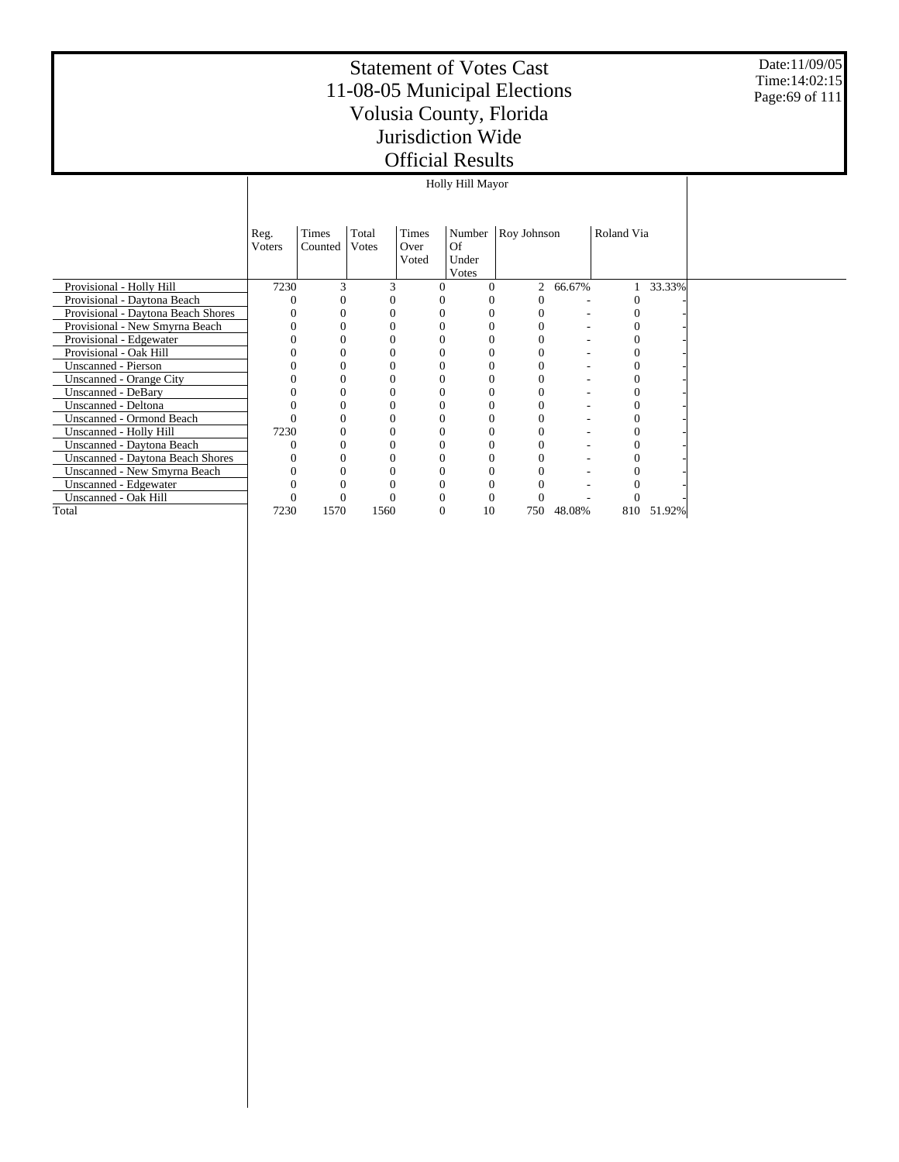Date:11/09/05 Time:14:02:15 Page:69 of 111

#### Statement of Votes Cast 11-08-05 Municipal Elections Volusia County, Florida Jurisdiction Wide Official Results

#### Holly Hill Mayor

|                                         | Reg.   | Times   | Total | Times |       | Number | Roy Johnson    |        | Roland Via |            |
|-----------------------------------------|--------|---------|-------|-------|-------|--------|----------------|--------|------------|------------|
|                                         | Voters | Counted | Votes | Over  | Of    |        |                |        |            |            |
|                                         |        |         |       | Voted |       | Under  |                |        |            |            |
|                                         |        |         |       |       | Votes |        |                |        |            |            |
| Provisional - Holly Hill                | 7230   | 3       |       |       | 0     |        | $\overline{2}$ | 66.67% |            | 33.33%     |
| Provisional - Daytona Beach             |        |         |       |       |       |        |                |        |            |            |
| Provisional - Daytona Beach Shores      |        |         |       |       |       |        |                |        |            |            |
| Provisional - New Smyrna Beach          |        |         |       |       |       |        |                |        |            |            |
| Provisional - Edgewater                 |        |         |       |       |       |        |                |        |            |            |
| Provisional - Oak Hill                  |        |         |       |       |       |        |                |        |            |            |
| Unscanned - Pierson                     |        |         |       |       |       |        |                |        |            |            |
| Unscanned - Orange City                 |        |         |       |       |       |        |                |        |            |            |
| Unscanned - DeBary                      |        |         |       |       |       |        |                |        |            |            |
| Unscanned - Deltona                     |        |         |       |       |       |        |                |        |            |            |
| Unscanned - Ormond Beach                |        |         |       |       |       |        |                |        |            |            |
| Unscanned - Holly Hill                  | 7230   |         |       |       |       |        |                |        |            |            |
| Unscanned - Daytona Beach               |        |         |       |       |       |        |                |        |            |            |
| <b>Unscanned - Daytona Beach Shores</b> |        |         |       |       |       |        |                |        |            |            |
| Unscanned - New Smyrna Beach            |        |         |       |       |       |        |                |        |            |            |
| Unscanned - Edgewater                   |        |         |       |       |       |        |                |        |            |            |
| Unscanned - Oak Hill                    |        |         |       |       |       |        |                |        |            |            |
| Total                                   | 7230   | 1570    | 1560  |       |       | 10     | 750            | 48.08% |            | 810 51.92% |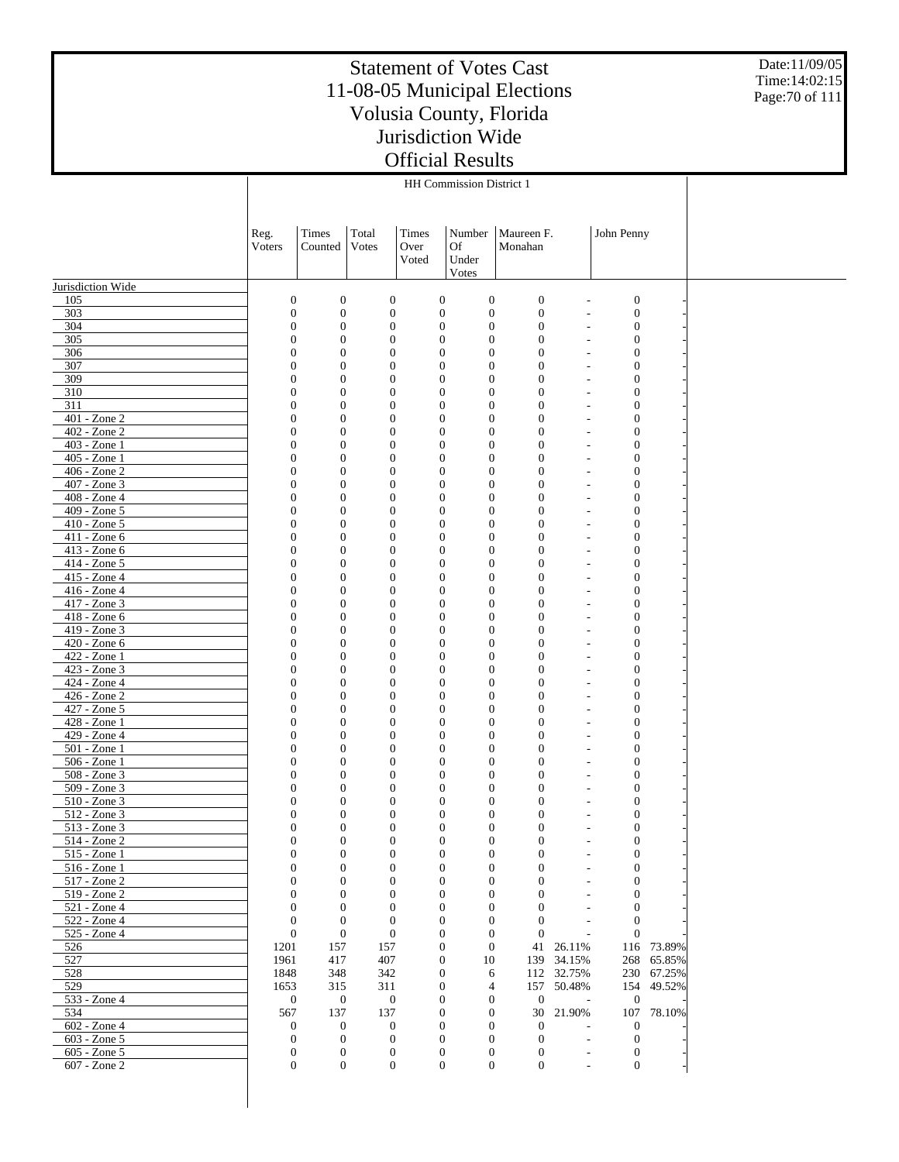Date:11/09/05 Time:14:02:15 Page:70 of 111

## Statement of Votes Cast 11-08-05 Municipal Elections Volusia County, Florida Jurisdiction Wide Official Results

|                              |                                |                                      |                                      |                        | HH Commission District 1                                                     |                                      |            |                                      |            |  |
|------------------------------|--------------------------------|--------------------------------------|--------------------------------------|------------------------|------------------------------------------------------------------------------|--------------------------------------|------------|--------------------------------------|------------|--|
|                              |                                |                                      |                                      |                        |                                                                              |                                      |            |                                      |            |  |
|                              | Reg.<br>Voters                 | Times<br>Counted                     | Total<br>Votes                       | Times<br>Over<br>Voted | Number<br>Of<br>Under<br>Votes                                               | Maureen F.<br>Monahan                |            | John Penny                           |            |  |
| Jurisdiction Wide            |                                |                                      |                                      |                        |                                                                              |                                      |            |                                      |            |  |
| 105                          | $\boldsymbol{0}$               | $\boldsymbol{0}$                     |                                      | $\boldsymbol{0}$       | $\boldsymbol{0}$<br>$\boldsymbol{0}$                                         | $\boldsymbol{0}$                     |            | $\boldsymbol{0}$                     |            |  |
| 303                          | $\mathbf{0}$                   | $\boldsymbol{0}$                     |                                      | $\boldsymbol{0}$       | $\boldsymbol{0}$<br>$\boldsymbol{0}$                                         | $\boldsymbol{0}$                     |            | $\boldsymbol{0}$                     |            |  |
| 304                          | $\boldsymbol{0}$               | $\boldsymbol{0}$                     | $\boldsymbol{0}$                     |                        | $\boldsymbol{0}$<br>$\boldsymbol{0}$                                         | $\boldsymbol{0}$                     |            | $\boldsymbol{0}$                     |            |  |
| 305<br>306                   | $\mathbf{0}$<br>$\mathbf{0}$   | $\boldsymbol{0}$<br>$\boldsymbol{0}$ | $\boldsymbol{0}$<br>$\boldsymbol{0}$ |                        | $\boldsymbol{0}$<br>$\boldsymbol{0}$<br>$\boldsymbol{0}$<br>$\boldsymbol{0}$ | $\boldsymbol{0}$<br>$\boldsymbol{0}$ |            | $\boldsymbol{0}$<br>$\boldsymbol{0}$ |            |  |
| 307                          | $\mathbf{0}$                   | $\boldsymbol{0}$                     | $\boldsymbol{0}$                     |                        | $\boldsymbol{0}$<br>$\boldsymbol{0}$                                         | $\boldsymbol{0}$                     |            | $\boldsymbol{0}$                     |            |  |
| 309                          | $\mathbf{0}$                   | $\boldsymbol{0}$                     | $\boldsymbol{0}$                     |                        | $\boldsymbol{0}$<br>$\boldsymbol{0}$                                         | $\boldsymbol{0}$                     |            | $\boldsymbol{0}$                     |            |  |
| 310                          | $\mathbf{0}$                   | $\boldsymbol{0}$                     | $\boldsymbol{0}$                     |                        | $\boldsymbol{0}$<br>$\boldsymbol{0}$                                         | $\boldsymbol{0}$                     |            | $\boldsymbol{0}$                     |            |  |
| 311                          | $\mathbf{0}$                   | $\boldsymbol{0}$                     | $\boldsymbol{0}$                     |                        | $\boldsymbol{0}$<br>$\boldsymbol{0}$                                         | $\boldsymbol{0}$                     |            | $\boldsymbol{0}$                     |            |  |
| 401 - Zone 2                 | $\mathbf{0}$                   | $\boldsymbol{0}$                     | $\boldsymbol{0}$                     |                        | $\boldsymbol{0}$<br>$\boldsymbol{0}$                                         | $\boldsymbol{0}$                     |            | $\boldsymbol{0}$                     |            |  |
| 402 - Zone 2                 | $\mathbf{0}$                   | $\boldsymbol{0}$                     | $\boldsymbol{0}$                     |                        | $\boldsymbol{0}$<br>$\boldsymbol{0}$                                         | $\boldsymbol{0}$                     |            | $\boldsymbol{0}$                     |            |  |
| 403 - Zone 1<br>405 - Zone 1 | $\mathbf{0}$<br>$\mathbf{0}$   | $\boldsymbol{0}$<br>$\boldsymbol{0}$ | $\boldsymbol{0}$                     |                        | $\boldsymbol{0}$<br>$\boldsymbol{0}$<br>$\boldsymbol{0}$<br>$\boldsymbol{0}$ | $\boldsymbol{0}$<br>$\boldsymbol{0}$ |            | $\boldsymbol{0}$                     |            |  |
| 406 - Zone 2                 | $\mathbf{0}$                   | $\boldsymbol{0}$                     | $\boldsymbol{0}$<br>$\boldsymbol{0}$ |                        | $\boldsymbol{0}$<br>$\boldsymbol{0}$                                         | $\boldsymbol{0}$                     |            | $\boldsymbol{0}$<br>$\boldsymbol{0}$ |            |  |
| 407 - Zone 3                 | $\mathbf{0}$                   | $\boldsymbol{0}$                     | $\boldsymbol{0}$                     |                        | $\boldsymbol{0}$<br>$\boldsymbol{0}$                                         | $\boldsymbol{0}$                     |            | $\boldsymbol{0}$                     |            |  |
| 408 - Zone 4                 | $\mathbf{0}$                   | $\boldsymbol{0}$                     | $\boldsymbol{0}$                     |                        | $\boldsymbol{0}$<br>$\boldsymbol{0}$                                         | $\boldsymbol{0}$                     |            | $\boldsymbol{0}$                     |            |  |
| 409 - Zone 5                 | $\mathbf{0}$                   | $\boldsymbol{0}$                     | $\boldsymbol{0}$                     |                        | $\boldsymbol{0}$<br>$\boldsymbol{0}$                                         | $\boldsymbol{0}$                     |            | $\boldsymbol{0}$                     |            |  |
| 410 - Zone 5                 | $\mathbf{0}$                   | $\boldsymbol{0}$                     | $\boldsymbol{0}$                     |                        | $\boldsymbol{0}$<br>$\boldsymbol{0}$                                         | $\boldsymbol{0}$                     |            | $\boldsymbol{0}$                     |            |  |
| 411 - Zone 6                 | $\mathbf{0}$                   | $\boldsymbol{0}$                     | $\boldsymbol{0}$                     |                        | $\boldsymbol{0}$<br>$\boldsymbol{0}$                                         | $\boldsymbol{0}$                     |            | $\boldsymbol{0}$                     |            |  |
| 413 - Zone 6<br>414 - Zone 5 | $\mathbf{0}$<br>$\mathbf{0}$   | $\boldsymbol{0}$<br>$\boldsymbol{0}$ | $\boldsymbol{0}$<br>$\boldsymbol{0}$ |                        | $\boldsymbol{0}$<br>$\boldsymbol{0}$<br>$\boldsymbol{0}$<br>$\boldsymbol{0}$ | $\boldsymbol{0}$<br>$\boldsymbol{0}$ |            | $\boldsymbol{0}$<br>$\boldsymbol{0}$ |            |  |
| 415 - Zone 4                 | $\mathbf{0}$                   | $\boldsymbol{0}$                     | $\boldsymbol{0}$                     |                        | $\boldsymbol{0}$<br>$\boldsymbol{0}$                                         | $\boldsymbol{0}$                     |            | $\boldsymbol{0}$                     |            |  |
| 416 - Zone 4                 | $\mathbf{0}$                   | $\boldsymbol{0}$                     | $\boldsymbol{0}$                     |                        | $\boldsymbol{0}$<br>$\boldsymbol{0}$                                         | $\boldsymbol{0}$                     |            | $\boldsymbol{0}$                     |            |  |
| 417 - Zone 3                 | $\mathbf{0}$                   | $\boldsymbol{0}$                     | $\boldsymbol{0}$                     |                        | $\boldsymbol{0}$<br>$\boldsymbol{0}$                                         | $\boldsymbol{0}$                     |            | $\boldsymbol{0}$                     |            |  |
| 418 - Zone 6                 | $\mathbf{0}$                   | $\boldsymbol{0}$                     | $\boldsymbol{0}$                     |                        | $\boldsymbol{0}$<br>$\boldsymbol{0}$                                         | $\boldsymbol{0}$                     |            | $\boldsymbol{0}$                     |            |  |
| 419 - Zone 3                 | $\mathbf{0}$                   | $\boldsymbol{0}$                     | $\boldsymbol{0}$                     |                        | $\boldsymbol{0}$<br>$\boldsymbol{0}$                                         | $\boldsymbol{0}$                     |            | $\boldsymbol{0}$                     |            |  |
| 420 - Zone 6                 | $\mathbf{0}$                   | $\boldsymbol{0}$                     | $\boldsymbol{0}$                     |                        | $\boldsymbol{0}$<br>$\boldsymbol{0}$                                         | $\boldsymbol{0}$                     |            | $\boldsymbol{0}$                     |            |  |
| 422 - Zone 1<br>423 - Zone 3 | $\mathbf{0}$<br>$\mathbf{0}$   | $\boldsymbol{0}$<br>$\boldsymbol{0}$ | $\boldsymbol{0}$<br>$\boldsymbol{0}$ |                        | $\boldsymbol{0}$<br>$\boldsymbol{0}$<br>$\boldsymbol{0}$<br>$\boldsymbol{0}$ | $\boldsymbol{0}$<br>$\boldsymbol{0}$ |            | $\boldsymbol{0}$<br>$\boldsymbol{0}$ |            |  |
| 424 - Zone 4                 | $\mathbf{0}$                   | $\boldsymbol{0}$                     | $\boldsymbol{0}$                     |                        | $\boldsymbol{0}$<br>$\boldsymbol{0}$                                         | $\boldsymbol{0}$                     |            | $\boldsymbol{0}$                     |            |  |
| 426 - Zone 2                 | $\mathbf{0}$                   | $\boldsymbol{0}$                     | $\boldsymbol{0}$                     |                        | $\boldsymbol{0}$<br>$\boldsymbol{0}$                                         | $\boldsymbol{0}$                     |            | $\boldsymbol{0}$                     |            |  |
| 427 - Zone 5                 | $\mathbf{0}$                   | $\boldsymbol{0}$                     | $\boldsymbol{0}$                     |                        | $\boldsymbol{0}$<br>$\boldsymbol{0}$                                         | $\boldsymbol{0}$                     |            | $\boldsymbol{0}$                     |            |  |
| 428 - Zone 1                 | $\mathbf{0}$                   | $\boldsymbol{0}$                     | $\boldsymbol{0}$                     |                        | $\boldsymbol{0}$<br>$\boldsymbol{0}$                                         | $\boldsymbol{0}$                     |            | $\boldsymbol{0}$                     |            |  |
| 429 - Zone 4                 | $\mathbf{0}$                   | $\boldsymbol{0}$                     | $\boldsymbol{0}$                     |                        | $\boldsymbol{0}$<br>$\boldsymbol{0}$                                         | $\boldsymbol{0}$                     |            | $\boldsymbol{0}$                     |            |  |
| 501 - Zone 1                 | $\mathbf{0}$                   | $\boldsymbol{0}$                     | $\boldsymbol{0}$                     |                        | $\boldsymbol{0}$<br>$\boldsymbol{0}$                                         | $\boldsymbol{0}$                     |            | $\boldsymbol{0}$                     |            |  |
| 506 - Zone 1                 | $\mathbf{0}$                   | $\boldsymbol{0}$                     | $\boldsymbol{0}$                     |                        | $\boldsymbol{0}$<br>$\boldsymbol{0}$                                         | $\boldsymbol{0}$                     |            | $\boldsymbol{0}$                     |            |  |
| 508 - Zone 3<br>509 - Zone 3 | $\mathbf{0}$<br>$\mathbf{0}$   | $\boldsymbol{0}$<br>$\boldsymbol{0}$ | $\boldsymbol{0}$<br>$\boldsymbol{0}$ |                        | $\boldsymbol{0}$<br>$\boldsymbol{0}$<br>$\boldsymbol{0}$<br>$\boldsymbol{0}$ | $\boldsymbol{0}$<br>$\boldsymbol{0}$ |            | $\boldsymbol{0}$<br>$\boldsymbol{0}$ |            |  |
| $510 - Z$ one 3              | $\mathbf{0}$                   | $\boldsymbol{0}$                     | $\boldsymbol{0}$                     |                        | $\boldsymbol{0}$<br>$\boldsymbol{0}$                                         | $\boldsymbol{0}$                     |            | $\boldsymbol{0}$                     |            |  |
| 512 - Zone 3                 | $\mathbf{0}$                   | $\boldsymbol{0}$                     | $\boldsymbol{0}$                     |                        | $\boldsymbol{0}$<br>$\boldsymbol{0}$                                         | $\boldsymbol{0}$                     |            | $\boldsymbol{0}$                     |            |  |
| 513 - Zone 3                 | $\mathbf{0}$                   | $\mathbf{0}$                         | $\boldsymbol{0}$                     |                        | $\boldsymbol{0}$<br>$\mathbf{0}$                                             | $\boldsymbol{0}$                     | ÷,         | $\boldsymbol{0}$                     |            |  |
| 514 - Zone 2                 | 0                              | $\boldsymbol{0}$                     |                                      | 0                      | $\boldsymbol{0}$<br>$\bf{0}$                                                 | 0                                    |            | $\bf{0}$                             |            |  |
| 515 - Zone 1                 | $\mathbf{0}$                   | $\boldsymbol{0}$                     | $\boldsymbol{0}$                     |                        | $\boldsymbol{0}$<br>$\mathbf{0}$                                             | $\boldsymbol{0}$                     |            | $\boldsymbol{0}$                     |            |  |
| 516 - Zone 1                 | $\overline{0}$                 | $\theta$                             | $\boldsymbol{0}$                     |                        | $\mathbf{0}$<br>$\mathbf{0}$                                                 | $\boldsymbol{0}$                     |            | $\boldsymbol{0}$                     |            |  |
| 517 - Zone 2<br>519 - Zone 2 | $\mathbf{0}$<br>$\overline{0}$ | $\mathbf{0}$<br>$\mathbf{0}$         | $\boldsymbol{0}$<br>$\boldsymbol{0}$ |                        | $\boldsymbol{0}$<br>$\theta$<br>$\boldsymbol{0}$<br>$\theta$                 | $\boldsymbol{0}$<br>$\boldsymbol{0}$ |            | $\boldsymbol{0}$<br>$\boldsymbol{0}$ |            |  |
| 521 - Zone 4                 | $\mathbf{0}$                   | $\mathbf{0}$                         | $\boldsymbol{0}$                     |                        | $\boldsymbol{0}$<br>$\theta$                                                 | $\boldsymbol{0}$                     |            | $\boldsymbol{0}$                     |            |  |
| 522 - Zone 4                 | $\mathbf{0}$                   | $\mathbf{0}$                         | $\mathbf{0}$                         |                        | $\boldsymbol{0}$<br>$\theta$                                                 | $\boldsymbol{0}$                     |            | $\mathbf{0}$                         |            |  |
| 525 - Zone 4                 | $\mathbf{0}$                   | $\boldsymbol{0}$                     | $\boldsymbol{0}$                     |                        | $\boldsymbol{0}$<br>$\mathbf{0}$                                             | $\boldsymbol{0}$                     |            | $\mathbf{0}$                         |            |  |
| 526                          | 1201                           | 157                                  | 157                                  |                        | $\boldsymbol{0}$<br>$\boldsymbol{0}$                                         | 41                                   | 26.11%     |                                      | 116 73.89% |  |
| 527                          | 1961                           | 417                                  | 407                                  |                        | $\boldsymbol{0}$<br>10                                                       |                                      | 139 34.15% |                                      | 268 65.85% |  |
| 528                          | 1848                           | 348                                  | 342                                  |                        | $\boldsymbol{0}$<br>6                                                        |                                      | 112 32.75% |                                      | 230 67.25% |  |
| 529<br>533 - Zone 4          | 1653<br>$\boldsymbol{0}$       | 315<br>$\boldsymbol{0}$              | 311<br>$\overline{0}$                |                        | $\boldsymbol{0}$<br>$\overline{4}$<br>$\boldsymbol{0}$<br>$\boldsymbol{0}$   | 157<br>$\mathbf{0}$                  | 50.48%     | $\mathbf{0}$                         | 154 49.52% |  |
| 534                          | 567                            | 137                                  | 137                                  |                        | $\boldsymbol{0}$<br>$\mathbf{0}$                                             | 30                                   | 21.90%     |                                      | 107 78.10% |  |
| 602 - Zone 4                 | $\mathbf{0}$                   | $\boldsymbol{0}$                     | $\boldsymbol{0}$                     |                        | $\boldsymbol{0}$<br>$\mathbf{0}$                                             | $\boldsymbol{0}$                     |            | $\boldsymbol{0}$                     |            |  |
| 603 - Zone 5                 | $\boldsymbol{0}$               | $\theta$                             | $\boldsymbol{0}$                     |                        | $\boldsymbol{0}$<br>$\mathbf{0}$                                             | $\boldsymbol{0}$                     |            | $\boldsymbol{0}$                     |            |  |
| 605 - Zone 5                 | $\mathbf{0}$                   | $\boldsymbol{0}$                     | $\boldsymbol{0}$                     |                        | $\boldsymbol{0}$<br>$\mathbf{0}$                                             | $\boldsymbol{0}$                     |            | $\boldsymbol{0}$                     |            |  |
| 607 - Zone 2                 | $\boldsymbol{0}$               | $\mathbf{0}$                         | $\boldsymbol{0}$                     |                        | $\boldsymbol{0}$<br>$\mathbf{0}$                                             | $\mathbf{0}$                         | L,         | $\boldsymbol{0}$                     |            |  |
|                              |                                |                                      |                                      |                        |                                                                              |                                      |            |                                      |            |  |

 $\overline{\phantom{a}}$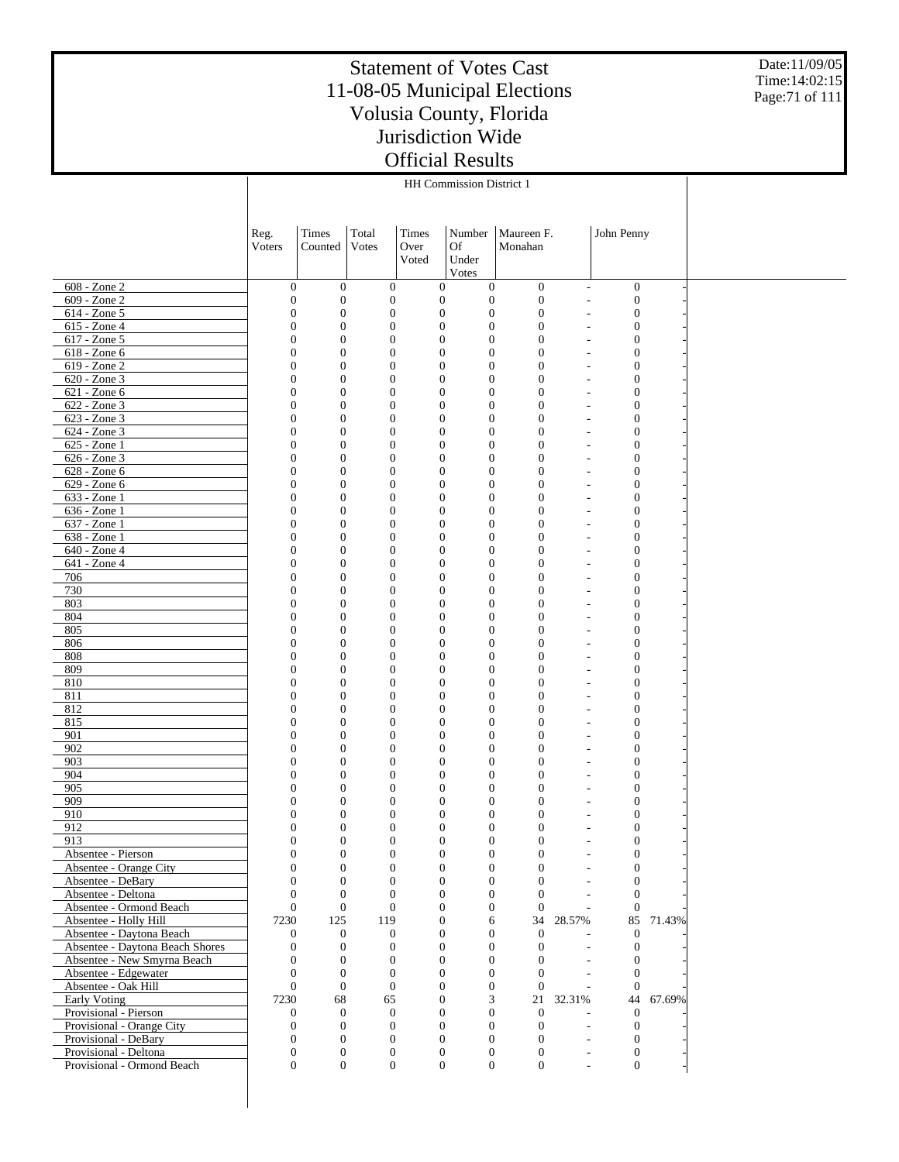Date:11/09/05 Time:14:02:15 Page:71 of 111

|                                                   |                                      |                              |                              |       | <b>HH Commission District 1</b>                                      |                                      |                                            |                                  |           |  |
|---------------------------------------------------|--------------------------------------|------------------------------|------------------------------|-------|----------------------------------------------------------------------|--------------------------------------|--------------------------------------------|----------------------------------|-----------|--|
|                                                   |                                      |                              |                              |       |                                                                      |                                      |                                            |                                  |           |  |
|                                                   |                                      |                              |                              |       |                                                                      |                                      |                                            |                                  |           |  |
|                                                   | Reg.                                 | Times                        | Total                        | Times | Number                                                               | Maureen F.                           |                                            | John Penny                       |           |  |
|                                                   | Voters                               | Counted                      | <b>Votes</b>                 | Over  | Of                                                                   | Monahan                              |                                            |                                  |           |  |
|                                                   |                                      |                              |                              | Voted | Under                                                                |                                      |                                            |                                  |           |  |
|                                                   |                                      |                              |                              |       | Votes                                                                |                                      |                                            |                                  |           |  |
| 608 - Zone 2                                      | $\boldsymbol{0}$                     | $\boldsymbol{0}$             | $\boldsymbol{0}$             |       | $\mathbf{0}$<br>$\mathbf{0}$                                         | $\boldsymbol{0}$                     | $\overline{\phantom{a}}$                   | $\boldsymbol{0}$                 |           |  |
| 609 - Zone 2                                      | $\boldsymbol{0}$                     | $\mathbf{0}$                 | $\boldsymbol{0}$             |       | $\boldsymbol{0}$<br>$\boldsymbol{0}$                                 | $\boldsymbol{0}$                     | $\sim$                                     | $\boldsymbol{0}$                 |           |  |
| 614 - Zone 5                                      | $\boldsymbol{0}$                     | $\mathbf{0}$                 | $\mathbf{0}$                 |       | $\mathbf{0}$<br>$\boldsymbol{0}$                                     | $\mathbf{0}$                         | $\overline{a}$                             | $\boldsymbol{0}$                 |           |  |
| 615 - Zone 4                                      | $\boldsymbol{0}$                     | $\mathbf{0}$                 | $\boldsymbol{0}$             |       | $\mathbf{0}$<br>$\boldsymbol{0}$                                     | $\mathbf{0}$                         | $\overline{a}$                             | $\boldsymbol{0}$                 |           |  |
| 617 - Zone 5                                      | 0                                    | $\mathbf{0}$                 | $\mathbf{0}$                 |       | $\mathbf{0}$<br>$\boldsymbol{0}$                                     | $\mathbf{0}$                         | $\overline{a}$                             | $\mathbf{0}$                     |           |  |
| 618 - Zone 6                                      | 0                                    | $\mathbf{0}$                 | $\mathbf{0}$                 |       | $\mathbf{0}$<br>$\boldsymbol{0}$                                     | $\boldsymbol{0}$                     |                                            | $\boldsymbol{0}$                 |           |  |
| 619 - Zone 2<br>620 - Zone 3                      | 0<br>0                               | $\mathbf{0}$<br>$\mathbf{0}$ | $\mathbf{0}$<br>$\mathbf{0}$ |       | $\mathbf{0}$<br>$\boldsymbol{0}$<br>$\mathbf{0}$<br>$\boldsymbol{0}$ | $\boldsymbol{0}$<br>$\boldsymbol{0}$ | $\overline{a}$                             | $\mathbf{0}$<br>$\boldsymbol{0}$ |           |  |
| 621 - Zone 6                                      | 0                                    | $\mathbf{0}$                 | $\mathbf{0}$                 |       | $\mathbf{0}$<br>$\boldsymbol{0}$                                     | $\boldsymbol{0}$                     | $\overline{a}$                             | $\mathbf{0}$                     |           |  |
| 622 - Zone 3                                      | 0                                    | $\mathbf{0}$                 | $\mathbf{0}$                 |       | $\mathbf{0}$<br>$\boldsymbol{0}$                                     | $\boldsymbol{0}$                     |                                            | $\boldsymbol{0}$                 |           |  |
| 623 - Zone 3                                      | 0                                    | $\boldsymbol{0}$             | $\mathbf{0}$                 |       | $\mathbf{0}$<br>$\boldsymbol{0}$                                     | $\boldsymbol{0}$                     | $\overline{a}$                             | $\mathbf{0}$                     |           |  |
| 624 - Zone 3                                      | 0                                    | $\mathbf{0}$                 | $\mathbf{0}$                 |       | $\mathbf{0}$<br>$\boldsymbol{0}$                                     | $\boldsymbol{0}$                     | $\overline{a}$                             | $\boldsymbol{0}$                 |           |  |
| 625 - Zone 1                                      | 0                                    | $\mathbf{0}$                 | $\mathbf{0}$                 |       | $\mathbf{0}$<br>$\boldsymbol{0}$                                     | $\boldsymbol{0}$                     | $\overline{\phantom{a}}$                   | $\mathbf{0}$                     |           |  |
| 626 - Zone 3                                      | 0                                    | $\mathbf{0}$                 | $\mathbf{0}$                 |       | $\mathbf{0}$<br>$\boldsymbol{0}$                                     | $\boldsymbol{0}$                     | $\overline{a}$                             | $\boldsymbol{0}$                 |           |  |
| $628 - Zone 6$                                    | 0                                    | $\boldsymbol{0}$             | $\mathbf{0}$                 |       | $\mathbf{0}$<br>$\boldsymbol{0}$                                     | $\boldsymbol{0}$                     | $\overline{\phantom{a}}$                   | $\mathbf{0}$                     |           |  |
| 629 - Zone 6                                      | 0                                    | $\mathbf{0}$                 | $\mathbf{0}$                 |       | $\mathbf{0}$<br>$\boldsymbol{0}$                                     | $\boldsymbol{0}$                     | $\overline{a}$                             | $\boldsymbol{0}$                 |           |  |
| $633 - Zone1$<br>636 - Zone 1                     | 0                                    | $\mathbf{0}$<br>$\mathbf{0}$ | $\mathbf{0}$                 |       | $\mathbf{0}$<br>$\boldsymbol{0}$<br>$\mathbf{0}$<br>$\boldsymbol{0}$ | $\mathbf{0}$                         | $\overline{\phantom{a}}$<br>$\overline{a}$ | $\mathbf{0}$                     |           |  |
| 637 - Zone 1                                      | 0<br>0                               | $\mathbf{0}$                 | $\mathbf{0}$<br>$\mathbf{0}$ |       | $\mathbf{0}$<br>$\boldsymbol{0}$                                     | $\mathbf{0}$<br>$\mathbf{0}$         | $\overline{\phantom{a}}$                   | $\boldsymbol{0}$<br>$\mathbf{0}$ |           |  |
| 638 - Zone 1                                      | 0                                    | $\mathbf{0}$                 | $\mathbf{0}$                 |       | $\mathbf{0}$<br>$\boldsymbol{0}$                                     | $\mathbf{0}$                         | $\overline{a}$                             | $\boldsymbol{0}$                 |           |  |
| 640 - Zone 4                                      | $\boldsymbol{0}$                     | $\mathbf{0}$                 | $\mathbf{0}$                 |       | $\mathbf{0}$<br>$\boldsymbol{0}$                                     | $\boldsymbol{0}$                     | $\overline{\phantom{a}}$                   | $\mathbf{0}$                     |           |  |
| 641 - Zone 4                                      | 0                                    | $\mathbf{0}$                 | $\mathbf{0}$                 |       | $\mathbf{0}$<br>$\boldsymbol{0}$                                     | $\boldsymbol{0}$                     | $\overline{a}$                             | $\boldsymbol{0}$                 |           |  |
| 706                                               | $\mathbf{0}$                         | $\mathbf{0}$                 | $\mathbf{0}$                 |       | $\mathbf{0}$<br>$\boldsymbol{0}$                                     | $\boldsymbol{0}$                     | $\overline{\phantom{a}}$                   | $\mathbf{0}$                     |           |  |
| 730                                               | $\boldsymbol{0}$                     | $\mathbf{0}$                 | $\mathbf{0}$                 |       | $\mathbf{0}$<br>$\boldsymbol{0}$                                     | $\boldsymbol{0}$                     | $\overline{a}$                             | $\boldsymbol{0}$                 |           |  |
| 803                                               | $\boldsymbol{0}$                     | $\mathbf{0}$                 | $\mathbf{0}$                 |       | $\mathbf{0}$<br>$\boldsymbol{0}$                                     | $\boldsymbol{0}$                     | $\overline{a}$                             | $\mathbf{0}$                     |           |  |
| 804                                               | 0                                    | $\mathbf{0}$                 | $\mathbf{0}$                 |       | $\mathbf{0}$<br>$\boldsymbol{0}$                                     | $\boldsymbol{0}$                     |                                            | $\boldsymbol{0}$                 |           |  |
| 805                                               | $\boldsymbol{0}$                     | $\mathbf{0}$                 | $\mathbf{0}$                 |       | $\mathbf{0}$<br>$\boldsymbol{0}$                                     | $\boldsymbol{0}$                     | $\overline{a}$                             | $\mathbf{0}$                     |           |  |
| 806<br>808                                        | 0<br>$\boldsymbol{0}$                | $\mathbf{0}$<br>$\mathbf{0}$ | $\mathbf{0}$<br>$\mathbf{0}$ |       | $\mathbf{0}$<br>$\boldsymbol{0}$<br>$\mathbf{0}$<br>$\boldsymbol{0}$ | $\boldsymbol{0}$<br>$\boldsymbol{0}$ | $\overline{a}$<br>$\overline{\phantom{a}}$ | $\boldsymbol{0}$<br>$\mathbf{0}$ |           |  |
| 809                                               | 0                                    | $\mathbf{0}$                 | $\mathbf{0}$                 |       | $\mathbf{0}$<br>$\boldsymbol{0}$                                     | $\boldsymbol{0}$                     | $\overline{a}$                             | $\boldsymbol{0}$                 |           |  |
| 810                                               | $\boldsymbol{0}$                     | $\boldsymbol{0}$             | $\mathbf{0}$                 |       | $\mathbf{0}$<br>$\boldsymbol{0}$                                     | $\mathbf{0}$                         | $\overline{\phantom{a}}$                   | $\mathbf{0}$                     |           |  |
| 811                                               | 0                                    | $\mathbf{0}$                 | $\mathbf{0}$                 |       | $\mathbf{0}$<br>$\boldsymbol{0}$                                     | $\mathbf{0}$                         | $\overline{a}$                             | $\boldsymbol{0}$                 |           |  |
| 812                                               | $\boldsymbol{0}$                     | $\mathbf{0}$                 | $\mathbf{0}$                 |       | $\mathbf{0}$<br>$\boldsymbol{0}$                                     | $\mathbf{0}$                         | $\overline{\phantom{a}}$                   | $\mathbf{0}$                     |           |  |
| 815                                               | 0                                    | $\mathbf{0}$                 | $\mathbf{0}$                 |       | $\mathbf{0}$<br>$\boldsymbol{0}$                                     | $\mathbf{0}$                         | $\overline{a}$                             | $\boldsymbol{0}$                 |           |  |
| 901                                               | $\boldsymbol{0}$                     | $\mathbf{0}$                 | $\mathbf{0}$                 |       | $\mathbf{0}$<br>$\boldsymbol{0}$                                     | $\mathbf{0}$                         | $\overline{\phantom{a}}$                   | $\mathbf{0}$                     |           |  |
| 902                                               | $\boldsymbol{0}$                     | $\mathbf{0}$                 | $\mathbf{0}$                 |       | $\mathbf{0}$<br>$\boldsymbol{0}$                                     | $\boldsymbol{0}$                     | $\overline{a}$                             | $\boldsymbol{0}$                 |           |  |
| 903                                               | $\boldsymbol{0}$                     | $\mathbf{0}$                 | $\mathbf{0}$                 |       | $\mathbf{0}$<br>$\boldsymbol{0}$                                     | $\boldsymbol{0}$                     | $\overline{\phantom{a}}$                   | $\mathbf{0}$                     |           |  |
| 904<br>905                                        | $\boldsymbol{0}$<br>$\boldsymbol{0}$ | $\mathbf{0}$<br>$\mathbf{0}$ | $\mathbf{0}$<br>$\mathbf{0}$ |       | $\mathbf{0}$<br>$\boldsymbol{0}$<br>$\mathbf{0}$<br>$\boldsymbol{0}$ | $\boldsymbol{0}$<br>$\boldsymbol{0}$ | $\overline{a}$<br>$\overline{a}$           | $\boldsymbol{0}$<br>$\mathbf{0}$ |           |  |
| 909                                               | $\boldsymbol{0}$                     | $\mathbf{0}$                 | $\mathbf{0}$                 |       | $\mathbf{0}$<br>$\boldsymbol{0}$                                     | $\boldsymbol{0}$                     |                                            | $\boldsymbol{0}$                 |           |  |
| 910                                               | $\boldsymbol{0}$                     | $\mathbf{0}$                 | $\mathbf{0}$                 |       | $\mathbf{0}$<br>$\boldsymbol{0}$                                     | $\boldsymbol{0}$                     | $\overline{a}$                             | $\mathbf{0}$                     |           |  |
| 912                                               | $\overline{0}$                       | $\theta$                     | $\boldsymbol{0}$             |       | $\boldsymbol{0}$<br>$\mathbf{0}$                                     | $\boldsymbol{0}$                     | $\overline{\phantom{a}}$                   | $\boldsymbol{0}$                 |           |  |
| 913                                               | 0                                    | $\boldsymbol{0}$             | $\boldsymbol{0}$             |       | $\boldsymbol{0}$<br>$\boldsymbol{0}$                                 | 0                                    |                                            | $\mathbf{0}$                     |           |  |
| Absentee - Pierson                                | $\boldsymbol{0}$                     | $\boldsymbol{0}$             | $\boldsymbol{0}$             |       | $\boldsymbol{0}$<br>$\mathbf{0}$                                     | $\mathbf{0}$                         |                                            | $\boldsymbol{0}$                 |           |  |
| Absentee - Orange City                            | $\overline{0}$                       | $\mathbf{0}$                 | $\mathbf{0}$                 |       | $\boldsymbol{0}$<br>$\mathbf{0}$                                     | $\mathbf{0}$                         |                                            | $\mathbf{0}$                     |           |  |
| Absentee - DeBary                                 | $\overline{0}$                       | $\mathbf{0}$                 | $\mathbf{0}$                 |       | $\boldsymbol{0}$<br>$\mathbf{0}$                                     | $\overline{0}$                       |                                            | $\mathbf{0}$                     |           |  |
| Absentee - Deltona                                | $\mathbf{0}$                         | $\mathbf{0}$                 | $\mathbf{0}$                 |       | $\boldsymbol{0}$<br>$\mathbf{0}$                                     | $\theta$                             |                                            | $\mathbf{0}$                     |           |  |
| Absentee - Ormond Beach                           | $\boldsymbol{0}$                     | $\mathbf{0}$                 | $\mathbf{0}$                 |       | $\boldsymbol{0}$<br>$\mathbf{0}$                                     | $\boldsymbol{0}$                     |                                            | $\mathbf{0}$                     |           |  |
| Absentee - Holly Hill<br>Absentee - Daytona Beach | 7230<br>$\boldsymbol{0}$             | 125<br>$\mathbf{0}$          | 119<br>$\boldsymbol{0}$      |       | $\boldsymbol{0}$<br>6<br>$\boldsymbol{0}$<br>$\mathbf{0}$            | $\mathbf{0}$                         | 34 28.57%                                  | $\boldsymbol{0}$                 | 85 71.43% |  |
| Absentee - Daytona Beach Shores                   | $\mathbf{0}$                         | $\mathbf{0}$                 | $\boldsymbol{0}$             |       | $\boldsymbol{0}$<br>$\mathbf{0}$                                     | $\mathbf{0}$                         |                                            | $\mathbf{0}$                     |           |  |
| Absentee - New Smyrna Beach                       | $\boldsymbol{0}$                     | $\theta$                     | $\boldsymbol{0}$             |       | $\boldsymbol{0}$<br>$\mathbf{0}$                                     | $\mathbf{0}$                         |                                            | $\boldsymbol{0}$                 |           |  |
| Absentee - Edgewater                              | $\mathbf{0}$                         | $\theta$                     | $\boldsymbol{0}$             |       | $\boldsymbol{0}$<br>$\mathbf{0}$                                     | $\overline{0}$                       |                                            | $\boldsymbol{0}$                 |           |  |
| Absentee - Oak Hill                               | $\mathbf{0}$                         | $\boldsymbol{0}$             | $\boldsymbol{0}$             |       | $\boldsymbol{0}$<br>$\mathbf{0}$                                     | $\theta$                             | ÷                                          | $\boldsymbol{0}$                 |           |  |
| Early Voting                                      | 7230                                 | 68                           | 65                           |       | $\boldsymbol{0}$<br>3                                                |                                      | 21 32.31%                                  |                                  | 44 67.69% |  |
| Provisional - Pierson                             | $\mathbf{0}$                         | $\theta$                     | $\boldsymbol{0}$             |       | $\boldsymbol{0}$<br>$\mathbf{0}$                                     | $\mathbf{0}$                         |                                            | $\boldsymbol{0}$                 |           |  |
| Provisional - Orange City                         | $\mathbf{0}$                         | $\theta$                     | $\mathbf{0}$                 |       | $\boldsymbol{0}$<br>$\mathbf{0}$                                     | $\mathbf{0}$                         |                                            | $\boldsymbol{0}$                 |           |  |
| Provisional - DeBary                              | $\mathbf{0}$                         | $\theta$                     | $\boldsymbol{0}$             |       | $\boldsymbol{0}$<br>$\mathbf{0}$                                     | $\mathbf{0}$                         |                                            | $\boldsymbol{0}$                 |           |  |
| Provisional - Deltona                             | $\mathbf{0}$                         | $\theta$<br>$\mathbf{0}$     | $\overline{0}$               |       | $\boldsymbol{0}$<br>$\mathbf{0}$                                     | $\mathbf{0}$                         | $\overline{\phantom{a}}$                   | $\boldsymbol{0}$                 |           |  |
| Provisional - Ormond Beach                        | $\boldsymbol{0}$                     |                              | $\mathbf{0}$                 |       | $\boldsymbol{0}$<br>$\mathbf{0}$                                     | $\mathbf{0}$                         | $\overline{a}$                             | $\boldsymbol{0}$                 |           |  |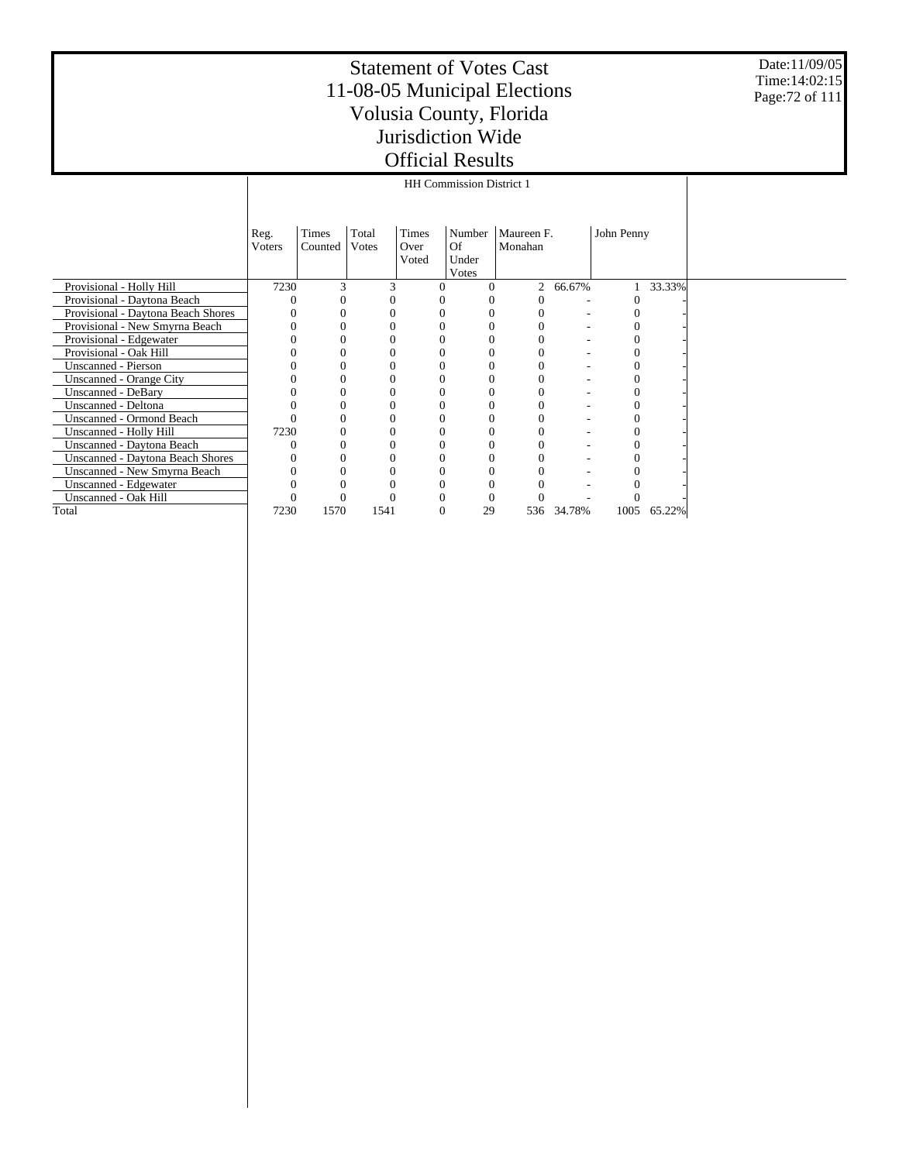Date:11/09/05 Time:14:02:15 Page:72 of 111

|                                         | Reg.<br><b>Voters</b> | Times<br>Counted | Total<br>Votes | Times<br>Over<br>Voted | Number<br>Of<br>Under<br>Votes | Maureen F.<br>Monahan |            | John Penny |        |
|-----------------------------------------|-----------------------|------------------|----------------|------------------------|--------------------------------|-----------------------|------------|------------|--------|
| Provisional - Holly Hill                | 7230                  | $\mathcal{F}$    | $\mathcal{F}$  |                        | $\Omega$                       | 2                     | 66.67%     |            | 33.33% |
| Provisional - Daytona Beach             |                       |                  |                |                        |                                |                       |            |            |        |
| Provisional - Daytona Beach Shores      |                       |                  |                |                        |                                |                       |            |            |        |
| Provisional - New Smyrna Beach          |                       |                  |                |                        |                                |                       |            |            |        |
| Provisional - Edgewater                 |                       |                  |                |                        |                                |                       |            |            |        |
| Provisional - Oak Hill                  |                       |                  |                |                        |                                |                       |            |            |        |
| Unscanned - Pierson                     |                       |                  |                |                        |                                |                       |            |            |        |
| Unscanned - Orange City                 |                       |                  |                |                        |                                |                       |            |            |        |
| Unscanned - DeBary                      |                       |                  |                |                        |                                |                       |            |            |        |
| Unscanned - Deltona                     |                       |                  |                |                        |                                |                       |            |            |        |
| Unscanned - Ormond Beach                |                       |                  |                |                        |                                |                       |            |            |        |
| Unscanned - Holly Hill                  | 7230                  |                  |                |                        |                                |                       |            |            |        |
| Unscanned - Daytona Beach               |                       |                  |                |                        |                                |                       |            |            |        |
| <b>Unscanned - Daytona Beach Shores</b> |                       |                  |                |                        |                                |                       |            |            |        |
| Unscanned - New Smyrna Beach            |                       |                  |                |                        |                                |                       |            |            |        |
| Unscanned - Edgewater                   |                       |                  |                |                        |                                |                       |            |            |        |
| Unscanned - Oak Hill                    |                       |                  |                |                        |                                |                       |            |            |        |
| Total                                   | 7230                  | 1570             | 1541           |                        | 29                             |                       | 536 34.78% | 1005       | 65.22% |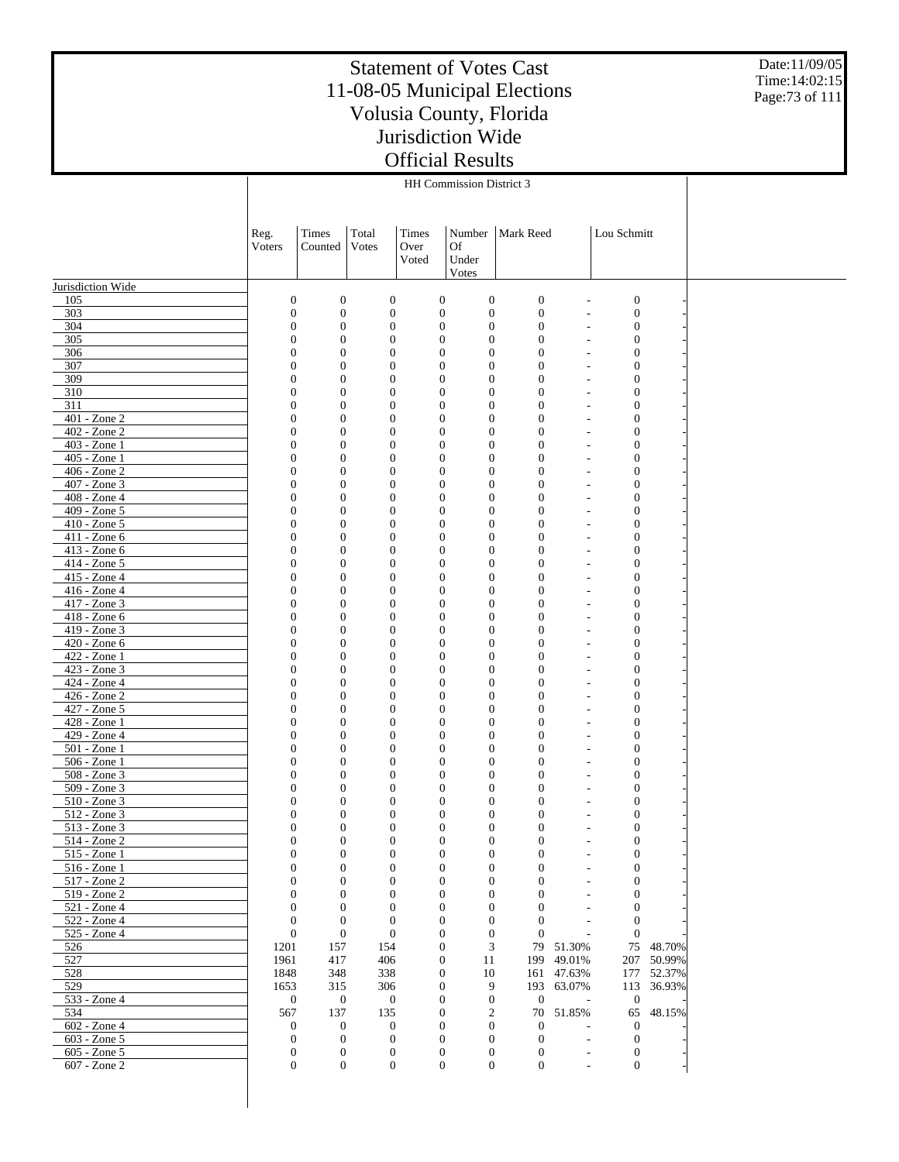Date:11/09/05 Time:14:02:15 Page:73 of 111

# Statement of Votes Cast 11-08-05 Municipal Elections Volusia County, Florida Jurisdiction Wide Official Results

|                              | HH Commission District 3         |                                  |                |                                      |                                                                              |                                      |                          |                                      |            |  |  |
|------------------------------|----------------------------------|----------------------------------|----------------|--------------------------------------|------------------------------------------------------------------------------|--------------------------------------|--------------------------|--------------------------------------|------------|--|--|
|                              |                                  |                                  |                |                                      |                                                                              |                                      |                          |                                      |            |  |  |
|                              | Reg.<br>Voters                   | Times<br>Counted                 | Total<br>Votes | Times<br>Over<br>Voted               | Of<br>Under<br>Votes                                                         | Number   Mark Reed                   |                          | Lou Schmitt                          |            |  |  |
| Jurisdiction Wide            |                                  |                                  |                |                                      |                                                                              |                                      |                          |                                      |            |  |  |
| 105                          | $\mathbf{0}$                     | $\boldsymbol{0}$                 |                | $\boldsymbol{0}$                     | $\boldsymbol{0}$<br>$\boldsymbol{0}$                                         | $\boldsymbol{0}$                     |                          | $\boldsymbol{0}$                     |            |  |  |
| 303                          | $\mathbf{0}$                     | $\boldsymbol{0}$                 |                | $\boldsymbol{0}$                     | $\boldsymbol{0}$<br>$\boldsymbol{0}$                                         | $\boldsymbol{0}$                     | ٠                        | $\boldsymbol{0}$                     |            |  |  |
| 304<br>305                   | $\mathbf{0}$<br>$\overline{0}$   | $\mathbf{0}$<br>$\mathbf{0}$     |                | $\boldsymbol{0}$                     | $\boldsymbol{0}$<br>$\mathbf{0}$<br>$\mathbf{0}$<br>$\mathbf{0}$             | $\boldsymbol{0}$<br>$\boldsymbol{0}$ |                          | $\boldsymbol{0}$                     |            |  |  |
| 306                          | $\overline{0}$                   | $\boldsymbol{0}$                 |                | $\boldsymbol{0}$<br>$\boldsymbol{0}$ | $\boldsymbol{0}$<br>$\mathbf{0}$                                             | $\boldsymbol{0}$                     |                          | $\boldsymbol{0}$<br>$\boldsymbol{0}$ |            |  |  |
| 307                          | $\overline{0}$                   | $\mathbf{0}$                     |                | $\boldsymbol{0}$                     | $\boldsymbol{0}$<br>$\mathbf{0}$                                             | $\boldsymbol{0}$                     |                          | $\boldsymbol{0}$                     |            |  |  |
| 309                          | $\overline{0}$                   | $\mathbf{0}$                     |                | $\boldsymbol{0}$                     | $\boldsymbol{0}$<br>$\mathbf{0}$                                             | $\boldsymbol{0}$                     |                          | $\boldsymbol{0}$                     |            |  |  |
| 310                          | $\overline{0}$                   | $\mathbf{0}$                     |                | $\boldsymbol{0}$                     | $\boldsymbol{0}$<br>$\mathbf{0}$                                             | $\boldsymbol{0}$                     | L                        | $\boldsymbol{0}$                     |            |  |  |
| 311                          | $\overline{0}$                   | $\boldsymbol{0}$                 |                | $\boldsymbol{0}$                     | $\boldsymbol{0}$<br>$\mathbf{0}$                                             | $\boldsymbol{0}$                     |                          | $\boldsymbol{0}$                     |            |  |  |
| 401 - Zone 2                 | $\overline{0}$                   | $\mathbf{0}$                     |                | $\boldsymbol{0}$                     | $\mathbf{0}$<br>$\mathbf{0}$                                                 | $\boldsymbol{0}$                     | L                        | $\boldsymbol{0}$                     |            |  |  |
| 402 - Zone 2                 | $\overline{0}$                   | $\mathbf{0}$                     |                | $\boldsymbol{0}$                     | $\boldsymbol{0}$<br>$\mathbf{0}$                                             | $\boldsymbol{0}$                     |                          | $\boldsymbol{0}$                     |            |  |  |
| 403 - Zone 1                 | $\overline{0}$                   | $\mathbf{0}$                     |                | $\boldsymbol{0}$                     | $\boldsymbol{0}$<br>$\mathbf{0}$                                             | $\boldsymbol{0}$                     | ٠                        | $\boldsymbol{0}$                     |            |  |  |
| 405 - Zone 1<br>406 - Zone 2 | $\overline{0}$<br>$\overline{0}$ | $\boldsymbol{0}$<br>$\mathbf{0}$ |                | $\boldsymbol{0}$                     | $\boldsymbol{0}$<br>$\mathbf{0}$<br>$\mathbf{0}$<br>$\mathbf{0}$             | $\boldsymbol{0}$<br>$\boldsymbol{0}$ |                          | $\boldsymbol{0}$                     |            |  |  |
| 407 - Zone 3                 | $\overline{0}$                   | $\mathbf{0}$                     |                | $\boldsymbol{0}$<br>$\boldsymbol{0}$ | $\boldsymbol{0}$<br>$\mathbf{0}$                                             | $\boldsymbol{0}$                     | ٠                        | $\boldsymbol{0}$<br>$\boldsymbol{0}$ |            |  |  |
| 408 - Zone 4                 | $\overline{0}$                   | $\mathbf{0}$                     |                | $\boldsymbol{0}$                     | $\boldsymbol{0}$<br>$\mathbf{0}$                                             | $\boldsymbol{0}$                     | ٠                        | $\boldsymbol{0}$                     |            |  |  |
| 409 - Zone 5                 | $\overline{0}$                   | $\boldsymbol{0}$                 |                | $\boldsymbol{0}$                     | $\boldsymbol{0}$<br>$\mathbf{0}$                                             | $\boldsymbol{0}$                     |                          | $\boldsymbol{0}$                     |            |  |  |
| 410 - Zone 5                 | $\overline{0}$                   | $\mathbf{0}$                     |                | $\boldsymbol{0}$                     | $\mathbf{0}$<br>$\mathbf{0}$                                                 | $\boldsymbol{0}$                     | ٠                        | $\boldsymbol{0}$                     |            |  |  |
| 411 - Zone 6                 | $\overline{0}$                   | $\mathbf{0}$                     |                | $\boldsymbol{0}$                     | $\boldsymbol{0}$<br>$\mathbf{0}$                                             | $\boldsymbol{0}$                     |                          | $\boldsymbol{0}$                     |            |  |  |
| 413 - Zone 6                 | $\overline{0}$                   | $\mathbf{0}$                     |                | $\boldsymbol{0}$                     | $\boldsymbol{0}$<br>$\mathbf{0}$                                             | $\boldsymbol{0}$                     | ٠                        | $\boldsymbol{0}$                     |            |  |  |
| 414 - Zone 5                 | $\overline{0}$                   | $\boldsymbol{0}$                 |                | $\boldsymbol{0}$                     | $\boldsymbol{0}$<br>$\mathbf{0}$                                             | $\boldsymbol{0}$                     |                          | $\boldsymbol{0}$                     |            |  |  |
| 415 - Zone 4<br>416 - Zone 4 | $\overline{0}$<br>$\overline{0}$ | $\mathbf{0}$<br>$\mathbf{0}$     |                | $\boldsymbol{0}$<br>$\boldsymbol{0}$ | $\mathbf{0}$<br>$\mathbf{0}$<br>$\boldsymbol{0}$<br>$\mathbf{0}$             | $\boldsymbol{0}$<br>$\boldsymbol{0}$ | ٠                        | $\boldsymbol{0}$<br>$\boldsymbol{0}$ |            |  |  |
| 417 - Zone 3                 | $\overline{0}$                   | $\mathbf{0}$                     |                | $\boldsymbol{0}$                     | $\boldsymbol{0}$<br>$\mathbf{0}$                                             | $\boldsymbol{0}$                     | ٠                        | $\boldsymbol{0}$                     |            |  |  |
| 418 - Zone 6                 | $\overline{0}$                   | $\boldsymbol{0}$                 |                | $\boldsymbol{0}$                     | $\boldsymbol{0}$<br>$\mathbf{0}$                                             | $\boldsymbol{0}$                     |                          | $\boldsymbol{0}$                     |            |  |  |
| 419 - Zone 3                 | $\overline{0}$                   | $\mathbf{0}$                     |                | $\boldsymbol{0}$                     | $\mathbf{0}$<br>$\mathbf{0}$                                                 | $\boldsymbol{0}$                     | ٠                        | $\boldsymbol{0}$                     |            |  |  |
| 420 - Zone 6                 | $\overline{0}$                   | $\mathbf{0}$                     |                | $\boldsymbol{0}$                     | $\boldsymbol{0}$<br>$\mathbf{0}$                                             | $\boldsymbol{0}$                     |                          | $\boldsymbol{0}$                     |            |  |  |
| 422 - Zone 1                 | $\overline{0}$                   | $\mathbf{0}$                     |                | $\boldsymbol{0}$                     | $\mathbf{0}$<br>$\mathbf{0}$                                                 | $\boldsymbol{0}$                     | ٠                        | $\boldsymbol{0}$                     |            |  |  |
| 423 - Zone 3                 | $\overline{0}$                   | $\boldsymbol{0}$                 |                | $\boldsymbol{0}$                     | $\boldsymbol{0}$<br>$\mathbf{0}$                                             | $\boldsymbol{0}$                     |                          | $\boldsymbol{0}$                     |            |  |  |
| 424 - Zone 4                 | $\overline{0}$                   | $\mathbf{0}$                     |                | $\boldsymbol{0}$                     | $\mathbf{0}$<br>$\mathbf{0}$                                                 | $\boldsymbol{0}$                     | ٠                        | $\boldsymbol{0}$                     |            |  |  |
| 426 - Zone 2<br>427 - Zone 5 | $\overline{0}$<br>$\overline{0}$ | $\mathbf{0}$<br>$\mathbf{0}$     |                | $\boldsymbol{0}$<br>$\boldsymbol{0}$ | $\boldsymbol{0}$<br>$\mathbf{0}$<br>$\mathbf{0}$<br>$\mathbf{0}$             | $\boldsymbol{0}$<br>$\boldsymbol{0}$ | ٠                        | $\boldsymbol{0}$<br>$\boldsymbol{0}$ |            |  |  |
| 428 - Zone 1                 | $\overline{0}$                   | $\boldsymbol{0}$                 |                | $\boldsymbol{0}$                     | $\boldsymbol{0}$<br>$\mathbf{0}$                                             | $\boldsymbol{0}$                     |                          | $\boldsymbol{0}$                     |            |  |  |
| 429 - Zone 4                 | $\overline{0}$                   | $\mathbf{0}$                     |                | $\boldsymbol{0}$                     | $\mathbf{0}$<br>$\mathbf{0}$                                                 | $\boldsymbol{0}$                     |                          | $\boldsymbol{0}$                     |            |  |  |
| 501 - Zone 1                 | $\overline{0}$                   | $\boldsymbol{0}$                 |                | $\boldsymbol{0}$                     | $\boldsymbol{0}$<br>$\mathbf{0}$                                             | $\boldsymbol{0}$                     |                          | $\boldsymbol{0}$                     |            |  |  |
| 506 - Zone 1                 | $\overline{0}$                   | $\mathbf{0}$                     |                | $\boldsymbol{0}$                     | $\mathbf{0}$<br>$\mathbf{0}$                                                 | $\boldsymbol{0}$                     |                          | $\boldsymbol{0}$                     |            |  |  |
| 508 - Zone 3                 | $\overline{0}$                   | $\boldsymbol{0}$                 |                | $\boldsymbol{0}$                     | $\boldsymbol{0}$<br>$\mathbf{0}$                                             | $\boldsymbol{0}$                     |                          | $\boldsymbol{0}$                     |            |  |  |
| 509 - Zone 3                 | $\overline{0}$                   | $\mathbf{0}$                     |                | $\boldsymbol{0}$                     | $\mathbf{0}$<br>$\mathbf{0}$                                                 | $\boldsymbol{0}$                     |                          | $\boldsymbol{0}$                     |            |  |  |
| 510 - Zone 3<br>512 - Zone 3 | $\overline{0}$<br>$\overline{0}$ | $\boldsymbol{0}$<br>$\mathbf{0}$ |                | $\boldsymbol{0}$<br>$\boldsymbol{0}$ | $\boldsymbol{0}$<br>$\mathbf{0}$<br>$\boldsymbol{0}$<br>$\mathbf{0}$         | $\boldsymbol{0}$<br>$\boldsymbol{0}$ | L                        | $\boldsymbol{0}$<br>$\boldsymbol{0}$ |            |  |  |
| 513 - Zone 3                 | $\overline{0}$                   | $\boldsymbol{0}$                 |                | $\boldsymbol{0}$                     | $\mathbf{0}$<br>$\overline{0}$                                               | $\boldsymbol{0}$                     | $\overline{\phantom{a}}$ | $\mathbf{0}$                         |            |  |  |
| 514 - Zone 2                 | 0                                | $\boldsymbol{0}$                 |                | $\boldsymbol{0}$                     | $\boldsymbol{0}$<br>$\bf{0}$                                                 | 0                                    |                          | 0                                    |            |  |  |
| 515 - Zone 1                 | $\overline{0}$                   | $\boldsymbol{0}$                 |                | $\boldsymbol{0}$                     | $\boldsymbol{0}$<br>$\mathbf{0}$                                             | $\boldsymbol{0}$                     |                          | $\boldsymbol{0}$                     |            |  |  |
| 516 - Zone 1                 | $\theta$                         | $\boldsymbol{0}$                 |                | $\mathbf{0}$                         | $\boldsymbol{0}$<br>$\mathbf{0}$                                             | $\boldsymbol{0}$                     |                          | $\boldsymbol{0}$                     |            |  |  |
| 517 - Zone 2                 | $\mathbf{0}$                     | $\theta$                         |                | $\boldsymbol{0}$                     | $\boldsymbol{0}$<br>$\overline{0}$                                           | $\boldsymbol{0}$                     |                          | $\boldsymbol{0}$                     |            |  |  |
| 519 - Zone 2                 | $\mathbf{0}$                     | $\theta$                         |                | $\boldsymbol{0}$                     | $\boldsymbol{0}$<br>$\overline{0}$                                           | $\boldsymbol{0}$                     |                          | $\mathbf{0}$                         |            |  |  |
| 521 - Zone 4                 | $\overline{0}$<br>$\overline{0}$ | $\theta$                         |                | $\boldsymbol{0}$                     | $\boldsymbol{0}$<br>$\overline{0}$                                           | $\overline{0}$                       |                          | $\boldsymbol{0}$                     |            |  |  |
| 522 - Zone 4<br>525 - Zone 4 | $\boldsymbol{0}$                 | $\boldsymbol{0}$<br>$\mathbf{0}$ |                | $\boldsymbol{0}$<br>$\boldsymbol{0}$ | $\boldsymbol{0}$<br>$\boldsymbol{0}$<br>$\boldsymbol{0}$<br>$\boldsymbol{0}$ | $\boldsymbol{0}$<br>$\boldsymbol{0}$ |                          | $\boldsymbol{0}$<br>$\boldsymbol{0}$ |            |  |  |
| 526                          | 1201                             | 157                              | 154            |                                      | $\boldsymbol{0}$<br>3                                                        |                                      | 79 51.30%                |                                      | 75 48.70%  |  |  |
| 527                          | 1961                             | 417                              | 406            |                                      | $\boldsymbol{0}$<br>11                                                       |                                      | 199 49.01%               |                                      | 207 50.99% |  |  |
| 528                          | 1848                             | 348                              | 338            |                                      | $\boldsymbol{0}$<br>10                                                       |                                      | 161 47.63%               |                                      | 177 52.37% |  |  |
| 529                          | 1653                             | 315                              | 306            |                                      | $\boldsymbol{0}$<br>9                                                        |                                      | 193 63.07%               |                                      | 113 36.93% |  |  |
| 533 - Zone 4                 | $\mathbf{0}$                     | $\boldsymbol{0}$                 | $\overline{0}$ |                                      | $\boldsymbol{0}$<br>$\mathbf{0}$                                             | $\boldsymbol{0}$                     |                          | $\mathbf{0}$                         |            |  |  |
| 534                          | 567                              | 137                              | 135            |                                      | $\boldsymbol{0}$<br>2                                                        | 70                                   | 51.85%                   |                                      | 65 48.15%  |  |  |
| 602 - Zone 4<br>603 - Zone 5 | $\theta$<br>$\mathbf{0}$         | $\mathbf{0}$<br>$\boldsymbol{0}$ |                | $\boldsymbol{0}$<br>$\boldsymbol{0}$ | $\boldsymbol{0}$<br>$\boldsymbol{0}$<br>$\boldsymbol{0}$<br>$\mathbf{0}$     | $\mathbf{0}$<br>$\mathbf{0}$         | $\overline{\phantom{a}}$ | $\mathbf{0}$<br>$\mathbf{0}$         |            |  |  |
| 605 - Zone 5                 | $\mathbf{0}$                     | $\boldsymbol{0}$                 |                | $\boldsymbol{0}$                     | $\boldsymbol{0}$<br>$\mathbf{0}$                                             | $\boldsymbol{0}$                     | ٠                        | $\mathbf{0}$                         |            |  |  |
| 607 - Zone 2                 | $\mathbf{0}$                     | $\mathbf{0}$                     |                | $\boldsymbol{0}$                     | $\boldsymbol{0}$<br>$\mathbf{0}$                                             | $\mathbf{0}$                         | $\overline{a}$           | $\mathbf{0}$                         |            |  |  |
|                              |                                  |                                  |                |                                      |                                                                              |                                      |                          |                                      |            |  |  |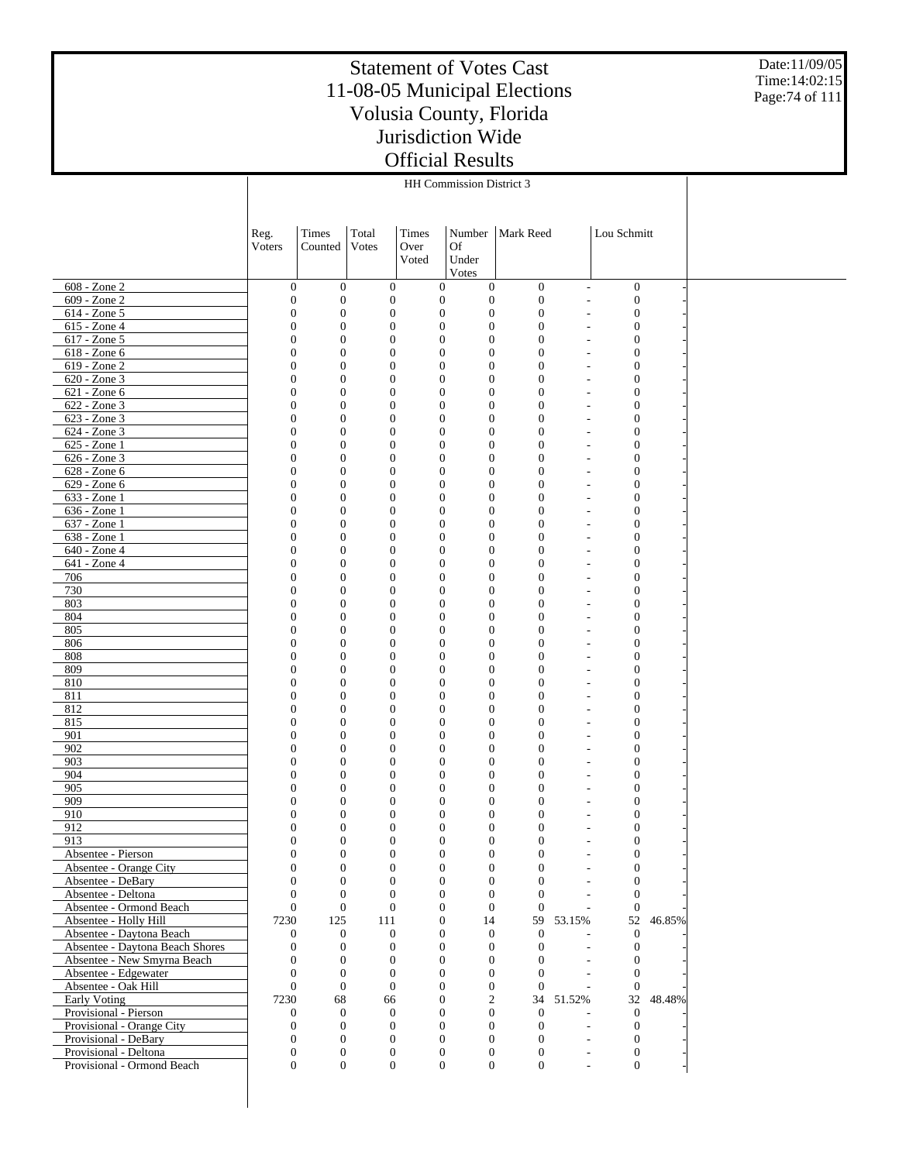Date:11/09/05 Time:14:02:15 Page:74 of 111

# Statement of Votes Cast 11-08-05 Municipal Elections Volusia County, Florida Jurisdiction Wide Official Results

|                                                    | HH Commission District 3         |                                  |              |                                      |                                                                              |                                                                          |                          |                                      |           |  |
|----------------------------------------------------|----------------------------------|----------------------------------|--------------|--------------------------------------|------------------------------------------------------------------------------|--------------------------------------------------------------------------|--------------------------|--------------------------------------|-----------|--|
|                                                    |                                  |                                  |              |                                      |                                                                              |                                                                          |                          |                                      |           |  |
|                                                    |                                  |                                  |              |                                      |                                                                              |                                                                          |                          |                                      |           |  |
|                                                    | Reg.                             | Times                            | Total        | Times                                |                                                                              | Number   Mark Reed                                                       |                          | Lou Schmitt                          |           |  |
|                                                    | Voters                           | Counted                          | <b>Votes</b> | Over<br>Voted                        | <b>Of</b><br>Under                                                           |                                                                          |                          |                                      |           |  |
|                                                    |                                  |                                  |              |                                      | Votes                                                                        |                                                                          |                          |                                      |           |  |
| 608 - Zone 2                                       | $\mathbf{0}$                     | $\mathbf{0}$                     |              | $\mathbf{0}$                         | $\boldsymbol{0}$                                                             | $\boldsymbol{0}$<br>$\boldsymbol{0}$                                     | $\overline{\phantom{a}}$ | $\boldsymbol{0}$                     |           |  |
| 609 - Zone 2                                       | $\boldsymbol{0}$                 | $\mathbf{0}$                     |              | $\boldsymbol{0}$                     | $\boldsymbol{0}$<br>$\mathbf{0}$                                             | $\mathbf{0}$                                                             | $\overline{\phantom{a}}$ | $\boldsymbol{0}$                     |           |  |
| 614 - Zone 5                                       | $\boldsymbol{0}$                 | $\mathbf{0}$<br>$\mathbf{0}$     |              | $\boldsymbol{0}$                     | $\boldsymbol{0}$<br>$\boldsymbol{0}$<br>$\boldsymbol{0}$                     | $\boldsymbol{0}$                                                         |                          | $\boldsymbol{0}$                     |           |  |
| 615 - Zone 4<br>617 - Zone 5                       | $\boldsymbol{0}$<br>$\mathbf{0}$ | $\mathbf{0}$                     |              | $\mathbf{0}$<br>$\boldsymbol{0}$     | $\boldsymbol{0}$<br>$\boldsymbol{0}$<br>$\boldsymbol{0}$                     | $\boldsymbol{0}$<br>$\boldsymbol{0}$                                     |                          | $\boldsymbol{0}$<br>$\boldsymbol{0}$ |           |  |
| 618 - Zone 6                                       | 0                                | $\mathbf{0}$                     |              | $\mathbf{0}$                         | $\boldsymbol{0}$<br>$\boldsymbol{0}$                                         | $\overline{0}$                                                           |                          | $\boldsymbol{0}$                     |           |  |
| 619 - Zone 2                                       | $\mathbf{0}$                     | $\mathbf{0}$                     |              | $\mathbf{0}$                         | $\boldsymbol{0}$<br>$\boldsymbol{0}$                                         | $\mathbf{0}$                                                             |                          | $\boldsymbol{0}$                     |           |  |
| 620 - Zone 3                                       | $\boldsymbol{0}$                 | $\mathbf{0}$                     |              | $\mathbf{0}$                         | $\boldsymbol{0}$<br>$\boldsymbol{0}$                                         | $\boldsymbol{0}$                                                         |                          | $\boldsymbol{0}$                     |           |  |
| 621 - Zone 6                                       | $\mathbf{0}$                     | $\mathbf{0}$                     |              | $\mathbf{0}$                         | $\boldsymbol{0}$<br>$\boldsymbol{0}$                                         | $\boldsymbol{0}$                                                         |                          | $\boldsymbol{0}$                     |           |  |
| 622 - Zone 3<br>623 - Zone 3                       | 0<br>$\mathbf{0}$                | $\mathbf{0}$<br>$\mathbf{0}$     |              | $\mathbf{0}$<br>$\mathbf{0}$         | $\boldsymbol{0}$<br>$\boldsymbol{0}$<br>$\boldsymbol{0}$<br>$\boldsymbol{0}$ | $\boldsymbol{0}$<br>$\boldsymbol{0}$                                     |                          | $\boldsymbol{0}$<br>$\boldsymbol{0}$ |           |  |
| 624 - Zone 3                                       | $\boldsymbol{0}$                 | $\mathbf{0}$                     |              | $\mathbf{0}$                         | $\boldsymbol{0}$<br>$\boldsymbol{0}$                                         | $\boldsymbol{0}$                                                         |                          | $\boldsymbol{0}$                     |           |  |
| 625 - Zone 1                                       | $\mathbf{0}$                     | $\mathbf{0}$                     |              | $\mathbf{0}$                         | $\boldsymbol{0}$<br>$\boldsymbol{0}$                                         | $\boldsymbol{0}$                                                         |                          | $\boldsymbol{0}$                     |           |  |
| 626 - Zone 3                                       | 0                                | $\mathbf{0}$                     |              | $\mathbf{0}$                         | $\boldsymbol{0}$<br>$\boldsymbol{0}$                                         | $\boldsymbol{0}$                                                         |                          | $\boldsymbol{0}$                     |           |  |
| 628 - Zone 6                                       | $\mathbf{0}$                     | $\mathbf{0}$                     |              | $\boldsymbol{0}$                     | $\boldsymbol{0}$<br>$\boldsymbol{0}$                                         | $\boldsymbol{0}$                                                         |                          | $\boldsymbol{0}$                     |           |  |
| 629 - Zone 6                                       | 0                                | $\mathbf{0}$                     |              | $\mathbf{0}$                         | $\boldsymbol{0}$<br>$\boldsymbol{0}$                                         | $\boldsymbol{0}$                                                         |                          | $\boldsymbol{0}$                     |           |  |
| 633 - Zone 1<br>636 - Zone 1                       | $\mathbf{0}$<br>0                | $\mathbf{0}$<br>$\mathbf{0}$     |              | $\boldsymbol{0}$<br>$\mathbf{0}$     | $\boldsymbol{0}$<br>$\boldsymbol{0}$<br>$\boldsymbol{0}$<br>$\boldsymbol{0}$ | $\boldsymbol{0}$<br>$\overline{0}$                                       |                          | $\boldsymbol{0}$<br>$\boldsymbol{0}$ |           |  |
| 637 - Zone 1                                       | $\mathbf{0}$                     | $\mathbf{0}$                     |              | $\boldsymbol{0}$                     | $\boldsymbol{0}$<br>$\boldsymbol{0}$                                         | $\mathbf{0}$                                                             |                          | $\boldsymbol{0}$                     |           |  |
| 638 - Zone 1                                       | $\boldsymbol{0}$                 | $\mathbf{0}$                     |              | $\mathbf{0}$                         | $\boldsymbol{0}$<br>$\boldsymbol{0}$                                         | $\overline{0}$                                                           |                          | $\boldsymbol{0}$                     |           |  |
| 640 - Zone 4                                       | $\mathbf{0}$                     | $\mathbf{0}$                     |              | $\boldsymbol{0}$                     | $\boldsymbol{0}$<br>$\boldsymbol{0}$                                         | $\mathbf{0}$                                                             |                          | $\boldsymbol{0}$                     |           |  |
| 641 - Zone 4                                       | $\boldsymbol{0}$                 | $\mathbf{0}$                     |              | $\mathbf{0}$                         | $\boldsymbol{0}$<br>$\boldsymbol{0}$                                         | $\overline{0}$                                                           |                          | $\boldsymbol{0}$                     |           |  |
| 706                                                | $\mathbf{0}$                     | $\mathbf{0}$                     |              | $\mathbf{0}$                         | $\boldsymbol{0}$<br>$\boldsymbol{0}$                                         | $\boldsymbol{0}$                                                         |                          | $\boldsymbol{0}$                     |           |  |
| 730<br>803                                         | $\boldsymbol{0}$<br>$\mathbf{0}$ | $\mathbf{0}$<br>$\mathbf{0}$     |              | $\mathbf{0}$<br>$\mathbf{0}$         | $\boldsymbol{0}$<br>$\boldsymbol{0}$<br>$\boldsymbol{0}$<br>$\boldsymbol{0}$ | $\boldsymbol{0}$                                                         |                          | $\boldsymbol{0}$                     |           |  |
| 804                                                | $\boldsymbol{0}$                 | $\mathbf{0}$                     |              | $\mathbf{0}$                         | $\boldsymbol{0}$<br>$\boldsymbol{0}$                                         | $\boldsymbol{0}$<br>$\overline{0}$                                       |                          | $\boldsymbol{0}$<br>$\boldsymbol{0}$ |           |  |
| 805                                                | $\mathbf{0}$                     | $\mathbf{0}$                     |              | $\mathbf{0}$                         | $\boldsymbol{0}$<br>$\boldsymbol{0}$                                         | $\boldsymbol{0}$                                                         |                          | $\boldsymbol{0}$                     |           |  |
| 806                                                | $\boldsymbol{0}$                 | $\mathbf{0}$                     |              | $\mathbf{0}$                         | $\boldsymbol{0}$<br>$\boldsymbol{0}$                                         | $\boldsymbol{0}$                                                         |                          | $\boldsymbol{0}$                     |           |  |
| 808                                                | $\mathbf{0}$                     | $\mathbf{0}$                     |              | $\mathbf{0}$                         | $\boldsymbol{0}$<br>$\boldsymbol{0}$                                         | $\boldsymbol{0}$                                                         |                          | $\boldsymbol{0}$                     |           |  |
| 809                                                | $\boldsymbol{0}$                 | $\mathbf{0}$                     |              | $\mathbf{0}$                         | $\boldsymbol{0}$<br>$\boldsymbol{0}$                                         | $\boldsymbol{0}$                                                         |                          | $\boldsymbol{0}$                     |           |  |
| 810                                                | $\mathbf{0}$                     | $\mathbf{0}$                     |              | $\boldsymbol{0}$                     | $\boldsymbol{0}$<br>$\boldsymbol{0}$                                         | $\boldsymbol{0}$                                                         |                          | $\boldsymbol{0}$                     |           |  |
| 811<br>812                                         | 0<br>$\mathbf{0}$                | $\mathbf{0}$<br>$\mathbf{0}$     |              | $\mathbf{0}$<br>$\boldsymbol{0}$     | $\boldsymbol{0}$<br>$\boldsymbol{0}$<br>$\boldsymbol{0}$<br>$\boldsymbol{0}$ | $\boldsymbol{0}$<br>$\boldsymbol{0}$                                     |                          | $\boldsymbol{0}$<br>$\boldsymbol{0}$ |           |  |
| 815                                                | 0                                | $\mathbf{0}$                     |              | $\mathbf{0}$                         | $\boldsymbol{0}$<br>$\boldsymbol{0}$                                         | $\overline{0}$                                                           |                          | $\boldsymbol{0}$                     |           |  |
| 901                                                | $\mathbf{0}$                     | $\mathbf{0}$                     |              | $\boldsymbol{0}$                     | $\boldsymbol{0}$<br>$\boldsymbol{0}$                                         | $\boldsymbol{0}$                                                         |                          | $\boldsymbol{0}$                     |           |  |
| 902                                                | 0                                | $\mathbf{0}$                     |              | $\mathbf{0}$                         | $\boldsymbol{0}$<br>$\boldsymbol{0}$                                         | $\boldsymbol{0}$                                                         |                          | $\boldsymbol{0}$                     |           |  |
| 903                                                | $\mathbf{0}$                     | $\mathbf{0}$                     |              | $\boldsymbol{0}$                     | $\boldsymbol{0}$<br>$\boldsymbol{0}$                                         | $\boldsymbol{0}$                                                         |                          | $\boldsymbol{0}$                     |           |  |
| 904                                                | 0                                | $\mathbf{0}$                     |              | $\mathbf{0}$                         | $\boldsymbol{0}$<br>$\boldsymbol{0}$                                         | $\boldsymbol{0}$                                                         |                          | $\boldsymbol{0}$                     |           |  |
| 905<br>909                                         | $\mathbf{0}$<br>$\overline{0}$   | $\mathbf{0}$<br>$\mathbf{0}$     |              | $\boldsymbol{0}$                     | $\boldsymbol{0}$<br>$\boldsymbol{0}$<br>$\boldsymbol{0}$                     | $\boldsymbol{0}$                                                         |                          | $\boldsymbol{0}$                     |           |  |
| 910                                                | 0                                | $\mathbf{0}$                     |              | $\boldsymbol{0}$<br>$\boldsymbol{0}$ | $\boldsymbol{0}$<br>$\boldsymbol{0}$<br>$\boldsymbol{0}$                     | $\boldsymbol{0}$<br>$\boldsymbol{0}$                                     |                          | $\boldsymbol{0}$<br>$\boldsymbol{0}$ |           |  |
| 912                                                | $\overline{0}$                   | $\overline{0}$                   |              | $\mathbf{0}$                         | $\boldsymbol{0}$<br>$\overline{0}$                                           | $\boldsymbol{0}$                                                         |                          | $\boldsymbol{0}$                     |           |  |
| 913                                                | $\boldsymbol{0}$                 | $\bf{0}$                         |              | 0                                    | $\boldsymbol{0}$<br>$\bf{0}$                                                 | 0                                                                        |                          | 0                                    |           |  |
| Absentee - Pierson                                 | $\boldsymbol{0}$                 | $\mathbf{0}$                     |              | $\boldsymbol{0}$                     | $\boldsymbol{0}$<br>$\boldsymbol{0}$                                         | $\boldsymbol{0}$                                                         |                          | $\boldsymbol{0}$                     |           |  |
| Absentee - Orange City                             | $\mathbf{0}$                     | $\boldsymbol{0}$                 |              | $\boldsymbol{0}$                     | $\mathbf{0}$                                                                 | $\boldsymbol{0}$<br>$\overline{0}$                                       |                          | $\boldsymbol{0}$                     |           |  |
| Absentee - DeBary                                  | $\mathbf{0}$                     | $\mathbf{0}$                     |              | $\boldsymbol{0}$                     | $\boldsymbol{0}$<br>$\boldsymbol{0}$                                         | $\overline{0}$                                                           |                          | $\boldsymbol{0}$                     |           |  |
| Absentee - Deltona<br>Absentee - Ormond Beach      | $\mathbf{0}$<br>$\boldsymbol{0}$ | $\mathbf{0}$<br>$\boldsymbol{0}$ |              | $\mathbf{0}$<br>$\boldsymbol{0}$     | $\boldsymbol{0}$<br>$\boldsymbol{0}$                                         | $\boldsymbol{0}$<br>$\overline{0}$<br>$\boldsymbol{0}$<br>$\overline{0}$ |                          | $\boldsymbol{0}$<br>$\boldsymbol{0}$ |           |  |
| Absentee - Holly Hill                              | 7230                             | 125                              | 111          |                                      | $\boldsymbol{0}$<br>14                                                       |                                                                          | 59 53.15%                |                                      | 52 46.85% |  |
| Absentee - Daytona Beach                           | $\mathbf{0}$                     | $\mathbf{0}$                     |              | 0                                    | $\boldsymbol{0}$<br>$\mathbf{0}$                                             | $\mathbf{0}$                                                             |                          | $\boldsymbol{0}$                     |           |  |
| Absentee - Daytona Beach Shores                    | $\boldsymbol{0}$                 | $\mathbf{0}$                     |              | $\boldsymbol{0}$                     | $\boldsymbol{0}$                                                             | $\boldsymbol{0}$<br>$\mathbf{0}$                                         |                          | $\boldsymbol{0}$                     |           |  |
| Absentee - New Smyrna Beach                        | $\boldsymbol{0}$                 | $\mathbf{0}$                     |              | $\boldsymbol{0}$                     | $\boldsymbol{0}$<br>$\boldsymbol{0}$                                         | $\overline{0}$                                                           |                          | $\boldsymbol{0}$                     |           |  |
| Absentee - Edgewater                               | $\boldsymbol{0}$                 | $\mathbf{0}$                     |              | $\boldsymbol{0}$                     | $\boldsymbol{0}$                                                             | $\boldsymbol{0}$<br>$\overline{0}$                                       |                          | $\boldsymbol{0}$                     |           |  |
| Absentee - Oak Hill                                | $\mathbf{0}$                     | $\boldsymbol{0}$                 |              | $\boldsymbol{0}$                     | $\boldsymbol{0}$                                                             | $\boldsymbol{0}$<br>$\overline{0}$                                       |                          | $\boldsymbol{0}$                     |           |  |
| Early Voting                                       | 7230                             | 68                               | 66           |                                      | $\boldsymbol{0}$                                                             | $\mathfrak{2}$<br>$\boldsymbol{0}$                                       | 34 51.52%                | 32                                   | 48.48%    |  |
| Provisional - Pierson<br>Provisional - Orange City | $\boldsymbol{0}$<br>$\mathbf{0}$ | $\mathbf{0}$<br>$\mathbf{0}$     |              | $\boldsymbol{0}$<br>$\mathbf{0}$     | $\boldsymbol{0}$<br>$\boldsymbol{0}$                                         | $\mathbf{0}$<br>$\boldsymbol{0}$<br>$\mathbf{0}$                         |                          | $\boldsymbol{0}$<br>$\boldsymbol{0}$ |           |  |
| Provisional - DeBary                               | $\mathbf{0}$                     | $\overline{0}$                   |              | 0                                    | $\boldsymbol{0}$                                                             | $\boldsymbol{0}$<br>$\overline{0}$                                       |                          | $\boldsymbol{0}$                     |           |  |
| Provisional - Deltona                              | $\boldsymbol{0}$                 | $\mathbf{0}$                     |              | 0                                    | $\boldsymbol{0}$                                                             | $\boldsymbol{0}$<br>0                                                    |                          | $\boldsymbol{0}$                     |           |  |
| Provisional - Ormond Beach                         | $\boldsymbol{0}$                 | $\boldsymbol{0}$                 |              | $\boldsymbol{0}$                     | $\boldsymbol{0}$                                                             | $\boldsymbol{0}$<br>$\mathbf{0}$                                         | $\tilde{\phantom{a}}$    | $\boldsymbol{0}$                     |           |  |
|                                                    |                                  |                                  |              |                                      |                                                                              |                                                                          |                          |                                      |           |  |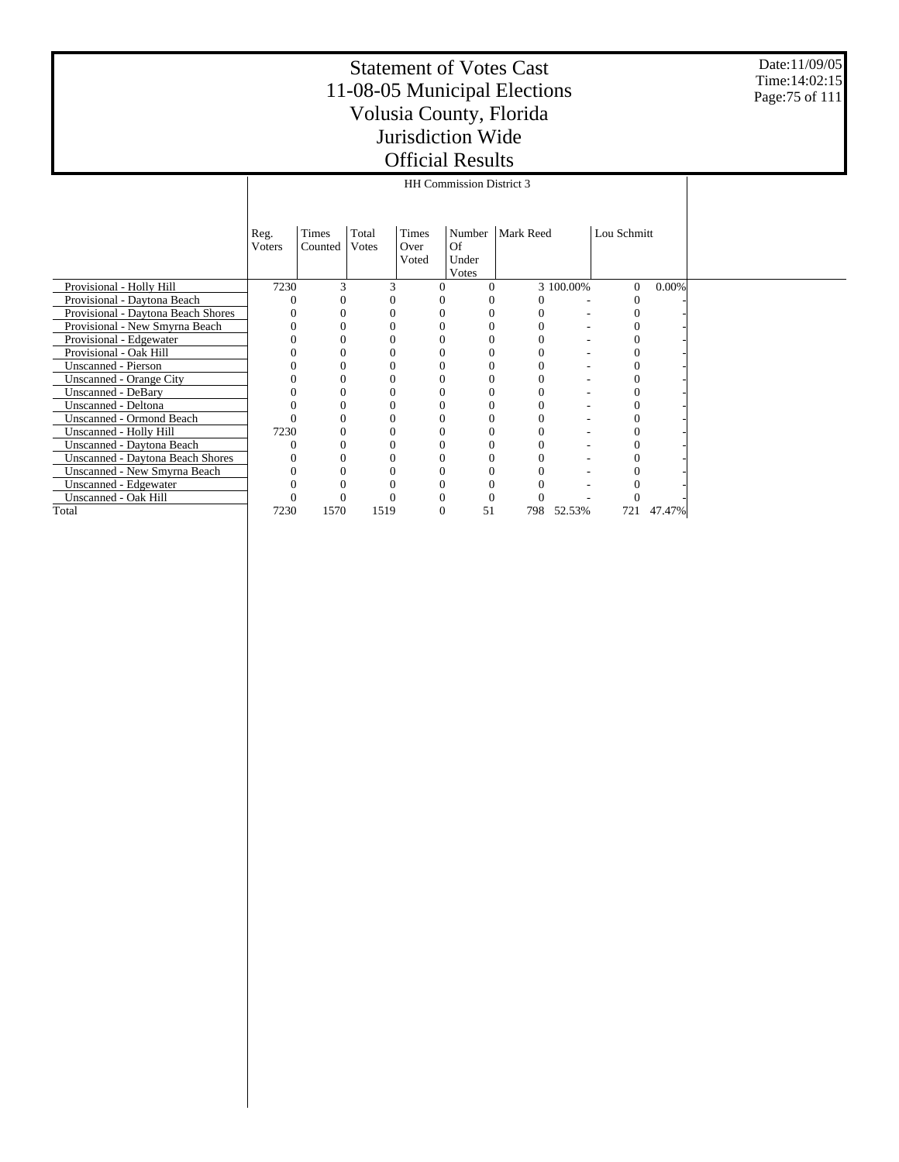Date:11/09/05 Time:14:02:15 Page:75 of 111

|                                         | Reg.<br>Voters | Times<br>Counted | Total<br>Votes | Times<br>Over<br>Voted | Number  <br>Of<br>Under | Mark Reed |                          | Lou Schmitt |        |
|-----------------------------------------|----------------|------------------|----------------|------------------------|-------------------------|-----------|--------------------------|-------------|--------|
|                                         |                |                  |                |                        | Votes                   |           |                          |             |        |
| Provisional - Holly Hill                | 7230           | 3                | 3              |                        | 0<br>$\Omega$           |           | 3 100.00%                | $\Omega$    | 0.00%  |
| Provisional - Daytona Beach             |                |                  |                |                        | 0<br>$\Omega$           |           |                          |             |        |
| Provisional - Daytona Beach Shores      |                | $\Omega$         | $\Omega$       |                        | $\Omega$<br>0           |           | $\overline{\phantom{a}}$ |             |        |
| Provisional - New Smyrna Beach          |                |                  |                |                        | $\Omega$<br>0           |           | ۰                        |             |        |
| Provisional - Edgewater                 |                |                  | 0              |                        | $\Omega$<br>0           |           | ۰                        |             |        |
| Provisional - Oak Hill                  |                |                  |                |                        | 0                       |           |                          |             |        |
| Unscanned - Pierson                     |                |                  |                |                        | 0<br>$\Omega$           |           | ۰                        |             |        |
| Unscanned - Orange City                 |                |                  |                |                        | 0                       |           |                          |             |        |
| Unscanned - DeBary                      |                |                  |                |                        | $\Omega$                |           |                          |             |        |
| Unscanned - Deltona                     |                |                  |                |                        |                         |           |                          |             |        |
| Unscanned - Ormond Beach                |                |                  |                |                        | 0                       |           |                          |             |        |
| Unscanned - Holly Hill                  | 7230           |                  |                |                        | 0<br>0                  |           |                          |             |        |
| Unscanned - Daytona Beach               |                |                  | $\Omega$       |                        | 0<br>0                  |           |                          |             |        |
| <b>Unscanned - Daytona Beach Shores</b> |                |                  |                |                        | 0<br>0                  |           |                          |             |        |
| Unscanned - New Smyrna Beach            |                |                  |                |                        | 0                       |           |                          |             |        |
| Unscanned - Edgewater                   |                |                  |                |                        |                         |           |                          |             |        |
| Unscanned - Oak Hill                    |                |                  |                |                        |                         |           |                          |             |        |
| Total                                   | 7230           | 1570             | 1519           |                        | 51<br>0                 | 798       | 52.53%                   | 721         | 47.47% |
|                                         |                |                  |                |                        |                         |           |                          |             |        |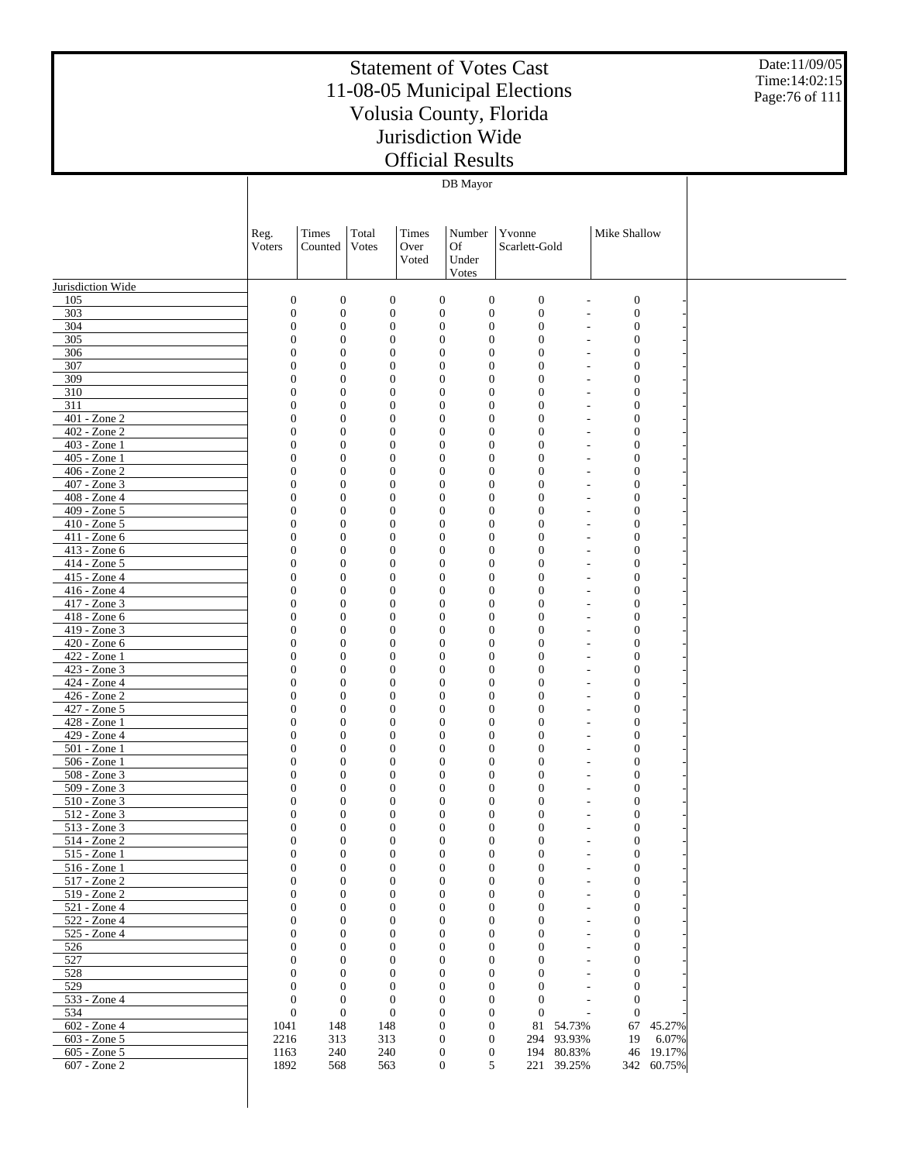Date:11/09/05 Time:14:02:15 Page:76 of 111

 $\overline{1}$ 

# Statement of Votes Cast 11-08-05 Municipal Elections Volusia County, Florida Jurisdiction Wide Official Results

 $\overline{1}$ 

DB Mayor

|                              | Reg.<br>Voters                   | Times<br>Counted                     | Total<br>Votes                       | Times<br>Over<br>Voted | Number<br><b>Of</b><br>Under<br>Votes |                                      | Yvonne<br>Scarlett-Gold              |                          | Mike Shallow                         |            |
|------------------------------|----------------------------------|--------------------------------------|--------------------------------------|------------------------|---------------------------------------|--------------------------------------|--------------------------------------|--------------------------|--------------------------------------|------------|
| Jurisdiction Wide            |                                  |                                      |                                      |                        |                                       |                                      |                                      |                          |                                      |            |
| 105                          | $\boldsymbol{0}$                 | $\boldsymbol{0}$                     | $\boldsymbol{0}$                     |                        | $\boldsymbol{0}$                      | $\boldsymbol{0}$                     | $\boldsymbol{0}$                     |                          | $\boldsymbol{0}$                     |            |
| 303                          | $\boldsymbol{0}$                 | $\boldsymbol{0}$                     | $\boldsymbol{0}$                     |                        | $\boldsymbol{0}$                      | $\boldsymbol{0}$                     | $\boldsymbol{0}$                     | $\overline{\phantom{a}}$ | $\boldsymbol{0}$                     |            |
| 304                          | $\mathbf{0}$                     | $\boldsymbol{0}$                     | $\boldsymbol{0}$                     |                        | $\boldsymbol{0}$                      | $\boldsymbol{0}$                     | $\boldsymbol{0}$                     | ÷                        | $\boldsymbol{0}$                     |            |
| 305                          | $\mathbf{0}$                     | $\boldsymbol{0}$                     | $\boldsymbol{0}$                     |                        | $\mathbf{0}$                          | $\boldsymbol{0}$                     | $\boldsymbol{0}$                     |                          | $\boldsymbol{0}$                     |            |
| 306<br>307                   | $\boldsymbol{0}$<br>$\mathbf{0}$ | $\boldsymbol{0}$<br>$\boldsymbol{0}$ | $\boldsymbol{0}$<br>$\mathbf{0}$     |                        | $\mathbf{0}$<br>$\mathbf{0}$          | $\boldsymbol{0}$<br>$\mathbf{0}$     | $\boldsymbol{0}$<br>$\boldsymbol{0}$ | ÷                        | $\boldsymbol{0}$<br>$\boldsymbol{0}$ |            |
| 309                          | $\mathbf{0}$                     | $\boldsymbol{0}$                     | $\boldsymbol{0}$                     |                        | $\mathbf{0}$                          | $\boldsymbol{0}$                     | $\boldsymbol{0}$                     |                          | $\boldsymbol{0}$                     |            |
| 310                          | $\mathbf{0}$                     | $\boldsymbol{0}$                     | $\boldsymbol{0}$                     |                        | $\mathbf{0}$                          | $\boldsymbol{0}$                     | $\boldsymbol{0}$                     |                          | $\boldsymbol{0}$                     |            |
| 311                          | $\mathbf{0}$                     | $\boldsymbol{0}$                     | $\boldsymbol{0}$                     |                        | $\mathbf{0}$                          | $\boldsymbol{0}$                     | $\boldsymbol{0}$                     |                          | $\boldsymbol{0}$                     |            |
| 401 - Zone 2                 | $\mathbf{0}$                     | $\boldsymbol{0}$                     | $\boldsymbol{0}$                     |                        | $\mathbf{0}$                          | $\boldsymbol{0}$                     | $\boldsymbol{0}$                     | ÷                        | $\boldsymbol{0}$                     |            |
| 402 - Zone 2                 | $\mathbf{0}$                     | $\boldsymbol{0}$                     | $\boldsymbol{0}$                     |                        | $\mathbf{0}$                          | $\boldsymbol{0}$                     | $\boldsymbol{0}$                     |                          | $\boldsymbol{0}$                     |            |
| $403 - Z$ one 1              | $\mathbf{0}$                     | $\boldsymbol{0}$                     | $\boldsymbol{0}$                     |                        | $\mathbf{0}$                          | $\boldsymbol{0}$                     | $\boldsymbol{0}$                     |                          | $\boldsymbol{0}$                     |            |
| 405 - Zone 1<br>406 - Zone 2 | $\boldsymbol{0}$<br>$\mathbf{0}$ | $\boldsymbol{0}$<br>$\boldsymbol{0}$ | $\boldsymbol{0}$<br>$\boldsymbol{0}$ |                        | $\mathbf{0}$<br>$\mathbf{0}$          | $\boldsymbol{0}$<br>$\boldsymbol{0}$ | $\boldsymbol{0}$<br>$\boldsymbol{0}$ | ÷                        | $\boldsymbol{0}$<br>$\boldsymbol{0}$ |            |
| 407 - Zone 3                 | $\mathbf{0}$                     | $\boldsymbol{0}$                     | $\boldsymbol{0}$                     |                        | $\mathbf{0}$                          | $\boldsymbol{0}$                     | $\boldsymbol{0}$                     |                          | $\boldsymbol{0}$                     |            |
| 408 - Zone 4                 | $\mathbf{0}$                     | $\boldsymbol{0}$                     | $\boldsymbol{0}$                     |                        | $\mathbf{0}$                          | $\boldsymbol{0}$                     | $\boldsymbol{0}$                     |                          | $\boldsymbol{0}$                     |            |
| 409 - Zone 5                 | $\boldsymbol{0}$                 | $\boldsymbol{0}$                     | $\boldsymbol{0}$                     |                        | $\mathbf{0}$                          | $\boldsymbol{0}$                     | $\boldsymbol{0}$                     |                          | $\boldsymbol{0}$                     |            |
| 410 - Zone 5                 | $\mathbf{0}$                     | $\boldsymbol{0}$                     | $\boldsymbol{0}$                     |                        | $\mathbf{0}$                          | $\boldsymbol{0}$                     | $\boldsymbol{0}$                     | ÷                        | $\boldsymbol{0}$                     |            |
| 411 - Zone 6                 | $\mathbf{0}$                     | $\boldsymbol{0}$                     | $\boldsymbol{0}$                     |                        | $\mathbf{0}$                          | $\boldsymbol{0}$                     | $\boldsymbol{0}$                     |                          | $\boldsymbol{0}$                     |            |
| 413 - Zone 6                 | $\mathbf{0}$                     | $\boldsymbol{0}$                     | $\boldsymbol{0}$                     |                        | $\mathbf{0}$                          | $\mathbf{0}$                         | $\boldsymbol{0}$                     |                          | $\boldsymbol{0}$                     |            |
| 414 - Zone 5<br>415 - Zone 4 | $\boldsymbol{0}$<br>$\mathbf{0}$ | $\boldsymbol{0}$<br>$\boldsymbol{0}$ | $\boldsymbol{0}$<br>$\boldsymbol{0}$ |                        | $\mathbf{0}$<br>$\mathbf{0}$          | $\boldsymbol{0}$<br>$\boldsymbol{0}$ | $\boldsymbol{0}$<br>$\boldsymbol{0}$ | ÷                        | $\boldsymbol{0}$<br>$\boldsymbol{0}$ |            |
| 416 - Zone 4                 | $\mathbf{0}$                     | $\boldsymbol{0}$                     | $\boldsymbol{0}$                     |                        | $\mathbf{0}$                          | $\boldsymbol{0}$                     | $\boldsymbol{0}$                     |                          | $\boldsymbol{0}$                     |            |
| 417 - Zone 3                 | $\mathbf{0}$                     | $\boldsymbol{0}$                     | $\boldsymbol{0}$                     |                        | $\mathbf{0}$                          | $\mathbf{0}$                         | $\boldsymbol{0}$                     |                          | $\boldsymbol{0}$                     |            |
| 418 - Zone 6                 | $\boldsymbol{0}$                 | $\boldsymbol{0}$                     | $\boldsymbol{0}$                     |                        | $\mathbf{0}$                          | $\boldsymbol{0}$                     | $\boldsymbol{0}$                     |                          | $\boldsymbol{0}$                     |            |
| 419 - Zone 3                 | $\mathbf{0}$                     | $\boldsymbol{0}$                     | $\boldsymbol{0}$                     |                        | $\mathbf{0}$                          | $\boldsymbol{0}$                     | $\boldsymbol{0}$                     | ÷                        | $\boldsymbol{0}$                     |            |
| 420 - Zone 6                 | $\mathbf{0}$                     | $\boldsymbol{0}$                     | $\boldsymbol{0}$                     |                        | $\mathbf{0}$                          | $\boldsymbol{0}$                     | $\boldsymbol{0}$                     |                          | $\boldsymbol{0}$                     |            |
| 422 - Zone 1<br>423 - Zone 3 | $\mathbf{0}$                     | $\boldsymbol{0}$<br>$\boldsymbol{0}$ | $\boldsymbol{0}$<br>$\boldsymbol{0}$ |                        | $\mathbf{0}$<br>$\mathbf{0}$          | $\mathbf{0}$<br>$\boldsymbol{0}$     | $\boldsymbol{0}$<br>$\boldsymbol{0}$ | ٠                        | $\boldsymbol{0}$                     |            |
| 424 - Zone 4                 | $\boldsymbol{0}$<br>$\mathbf{0}$ | $\boldsymbol{0}$                     | $\boldsymbol{0}$                     |                        | $\mathbf{0}$                          | $\boldsymbol{0}$                     | $\boldsymbol{0}$                     | ٠                        | $\boldsymbol{0}$<br>$\boldsymbol{0}$ |            |
| 426 - Zone 2                 | $\mathbf{0}$                     | $\boldsymbol{0}$                     | $\boldsymbol{0}$                     |                        | $\mathbf{0}$                          | $\boldsymbol{0}$                     | $\boldsymbol{0}$                     |                          | $\boldsymbol{0}$                     |            |
| $427 - Z$ one 5              | $\mathbf{0}$                     | $\boldsymbol{0}$                     | $\boldsymbol{0}$                     |                        | $\mathbf{0}$                          | $\mathbf{0}$                         | $\boldsymbol{0}$                     | ÷                        | $\boldsymbol{0}$                     |            |
| 428 - Zone 1                 | $\boldsymbol{0}$                 | $\boldsymbol{0}$                     | $\boldsymbol{0}$                     |                        | $\mathbf{0}$                          | $\boldsymbol{0}$                     | $\boldsymbol{0}$                     |                          | $\boldsymbol{0}$                     |            |
| 429 - Zone 4                 | $\mathbf{0}$                     | $\boldsymbol{0}$                     | $\boldsymbol{0}$                     |                        | $\mathbf{0}$                          | $\boldsymbol{0}$                     | $\boldsymbol{0}$                     |                          | $\boldsymbol{0}$                     |            |
| 501 - Zone 1                 | $\mathbf{0}$                     | $\boldsymbol{0}$                     | $\boldsymbol{0}$                     |                        | $\mathbf{0}$                          | $\boldsymbol{0}$                     | $\boldsymbol{0}$                     |                          | $\boldsymbol{0}$                     |            |
| 506 - Zone 1<br>508 - Zone 3 | $\mathbf{0}$<br>$\mathbf{0}$     | $\boldsymbol{0}$<br>$\boldsymbol{0}$ | $\boldsymbol{0}$<br>$\boldsymbol{0}$ |                        | $\mathbf{0}$<br>$\mathbf{0}$          | $\mathbf{0}$<br>$\boldsymbol{0}$     | $\boldsymbol{0}$<br>$\boldsymbol{0}$ | ÷                        | $\boldsymbol{0}$<br>$\boldsymbol{0}$ |            |
| $509 - Zone$ 3               | $\mathbf{0}$                     | $\boldsymbol{0}$                     | $\boldsymbol{0}$                     |                        | $\mathbf{0}$                          | $\boldsymbol{0}$                     | $\boldsymbol{0}$                     |                          | $\boldsymbol{0}$                     |            |
| 510 - Zone 3                 | $\mathbf{0}$                     | $\boldsymbol{0}$                     | $\boldsymbol{0}$                     |                        | $\mathbf{0}$                          | $\boldsymbol{0}$                     | $\boldsymbol{0}$                     |                          | $\boldsymbol{0}$                     |            |
| $512 - Zone$ 3               | $\Omega$                         | $\boldsymbol{0}$                     | $\mathbf{0}$                         |                        | $\mathbf{0}$                          | $\boldsymbol{0}$                     | 0                                    |                          | $\boldsymbol{0}$                     |            |
| 513 - Zone 3                 | $\mathbf{0}$                     | $\boldsymbol{0}$                     | $\mathbf{0}$                         |                        | $\mathbf{0}$                          | $\boldsymbol{0}$                     | 0                                    |                          | $\boldsymbol{0}$                     |            |
| 514 - Zone 2                 | $\Omega$                         | $\mathbf{0}$                         | $\boldsymbol{0}$                     |                        | $\mathbf{0}$                          | $\mathbf{0}$                         | 0                                    | ٠                        | $\boldsymbol{0}$                     |            |
| $515 - Zone1$                |                                  | $\boldsymbol{0}$                     | $\overline{0}$                       |                        | $\boldsymbol{0}$                      | $\overline{0}$                       | 0                                    |                          | $\overline{0}$                       |            |
| 516 - Zone 1<br>517 - Zone 2 | $\mathbf{0}$<br>$\mathbf{0}$     | $\mathbf{0}$<br>$\boldsymbol{0}$     | $\boldsymbol{0}$<br>$\boldsymbol{0}$ |                        | $\boldsymbol{0}$<br>$\boldsymbol{0}$  | 0<br>$\boldsymbol{0}$                | $\boldsymbol{0}$<br>$\boldsymbol{0}$ |                          | 0<br>$\boldsymbol{0}$                |            |
| $519 - Zone$ 2               | $\mathbf{0}$                     | $\overline{0}$                       | $\boldsymbol{0}$                     |                        | $\mathbf{0}$                          | $\mathbf{0}$                         | $\boldsymbol{0}$                     |                          | $\boldsymbol{0}$                     |            |
| $521 - Zone4$                | $\mathbf{0}$                     | $\boldsymbol{0}$                     | $\boldsymbol{0}$                     |                        | $\mathbf{0}$                          | $\boldsymbol{0}$                     | $\boldsymbol{0}$                     |                          | $\boldsymbol{0}$                     |            |
| 522 - Zone 4                 | $\Omega$                         | $\overline{0}$                       | $\mathbf{0}$                         |                        | $\mathbf{0}$                          | 0                                    | 0                                    |                          | 0                                    |            |
| 525 - Zone 4                 | $\mathbf{0}$                     | $\boldsymbol{0}$                     | $\boldsymbol{0}$                     |                        | $\mathbf{0}$                          | $\boldsymbol{0}$                     | $\overline{0}$                       |                          | $\boldsymbol{0}$                     |            |
| 526                          | $\Omega$                         | $\overline{0}$                       | $\mathbf{0}$                         |                        | $\mathbf{0}$                          | 0                                    | $\overline{0}$                       |                          | 0                                    |            |
| 527                          | $\mathbf{0}$                     | $\boldsymbol{0}$                     | $\boldsymbol{0}$                     |                        | $\mathbf{0}$                          | $\boldsymbol{0}$                     | $\overline{0}$                       |                          | $\boldsymbol{0}$                     |            |
| 528<br>529                   | $\Omega$<br>$\mathbf{0}$         | $\overline{0}$<br>$\boldsymbol{0}$   | $\mathbf{0}$<br>$\boldsymbol{0}$     |                        | $\mathbf{0}$<br>$\mathbf{0}$          | 0<br>$\boldsymbol{0}$                | 0<br>$\overline{0}$                  |                          | $\boldsymbol{0}$<br>$\boldsymbol{0}$ |            |
| 533 - Zone 4                 | $\mathbf{0}$                     | $\overline{0}$                       | $\mathbf{0}$                         |                        | $\mathbf{0}$                          | 0                                    | 0                                    |                          | $\boldsymbol{0}$                     |            |
| 534                          | $\mathbf{0}$                     | $\boldsymbol{0}$                     | $\boldsymbol{0}$                     |                        | $\boldsymbol{0}$                      | 0                                    | $\theta$                             |                          | $\boldsymbol{0}$                     |            |
| 602 - Zone 4                 | 1041                             | 148                                  | 148                                  |                        | $\boldsymbol{0}$                      | $\mathbf{0}$                         | 81 54.73%                            |                          |                                      | 67 45.27%  |
| 603 - Zone 5                 | 2216                             | 313                                  | 313                                  |                        | $\boldsymbol{0}$                      | 0                                    | 294 93.93%                           |                          | 19                                   | 6.07%      |
| 605 - Zone 5                 | 1163                             | 240                                  | 240                                  |                        | $\boldsymbol{0}$                      | $\boldsymbol{0}$                     | 194 80.83%                           |                          |                                      | 46 19.17%  |
| $607 - Z$ one $2$            | 1892                             | 568                                  | 563                                  |                        | $\boldsymbol{0}$                      | 5                                    | 221 39.25%                           |                          |                                      | 342 60.75% |
|                              |                                  |                                      |                                      |                        |                                       |                                      |                                      |                          |                                      |            |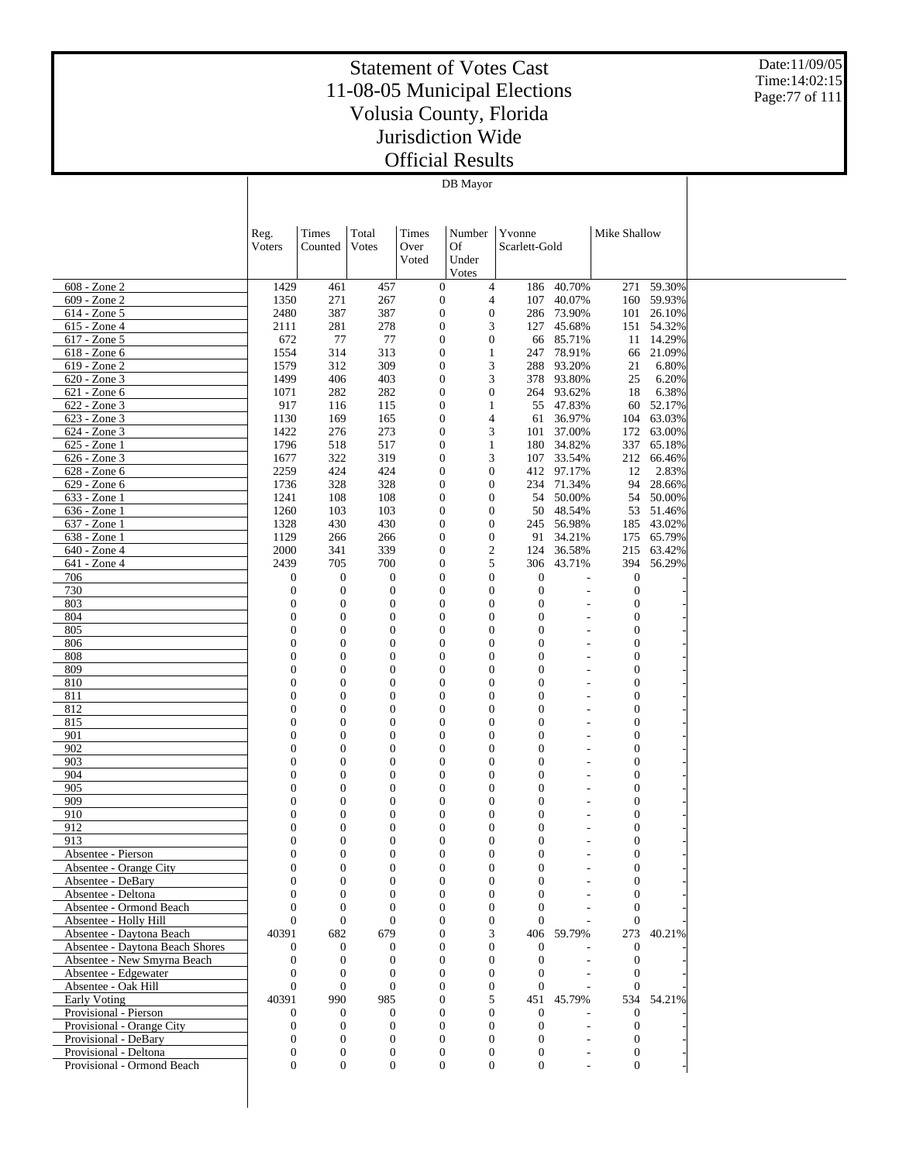Date:11/09/05 Time:14:02:15 Page:77 of 111

# Statement of Votes Cast 11-08-05 Municipal Elections Volusia County, Florida Jurisdiction Wide Official Results

DB Mayor

|                                             | Reg.<br>Voters             | Times<br>Counted         | Total<br><b>Votes</b> | Times<br>Over<br>Voted | Number<br><b>Of</b><br>Under                                       | Yvonne<br>Scarlett-Gold |                  | Mike Shallow             |                          |
|---------------------------------------------|----------------------------|--------------------------|-----------------------|------------------------|--------------------------------------------------------------------|-------------------------|------------------|--------------------------|--------------------------|
| 608 - Zone 2                                | 1429                       | 461                      | 457                   |                        | <b>V</b> otes<br>$\mathbf{0}$<br>$\overline{4}$                    |                         | 186 40.70%       |                          | 271 59.30%               |
| 609 - Zone 2                                | 1350                       | 271                      | 267                   |                        | $\mathbf{0}$<br>4                                                  |                         | 107 40.07%       |                          | 160 59.93%               |
| 614 - Zone 5                                | 2480                       | 387                      | 387                   |                        | $\boldsymbol{0}$<br>$\boldsymbol{0}$                               |                         | 286 73.90%       |                          | 101 26.10%               |
| 615 - Zone 4                                | 2111                       | 281                      | 278                   |                        | 3<br>$\boldsymbol{0}$                                              |                         | 127 45.68%       |                          | 151 54.32%               |
| 617 - Zone 5                                | 672                        | 77                       | 77                    |                        | $\boldsymbol{0}$<br>$\boldsymbol{0}$                               |                         | 66 85.71%        |                          | 11 14.29%                |
| 618 - Zone 6                                | 1554                       | 314                      | 313                   |                        | $\boldsymbol{0}$<br>$\mathbf{1}$                                   |                         | 247 78.91%       |                          | 66 21.09%                |
| 619 - Zone 2                                | 1579                       | 312                      | 309                   |                        | $\boldsymbol{0}$<br>3                                              |                         | 288 93.20%       | 21                       | 6.80%                    |
| $620 - Z$ one 3                             | 1499                       | 406                      | 403                   |                        | 3<br>$\boldsymbol{0}$                                              |                         | 378 93.80%       | 25                       | 6.20%                    |
| 621 - Zone 6                                | 1071                       | 282                      | 282                   |                        | $\boldsymbol{0}$<br>$\boldsymbol{0}$                               |                         | 264 93.62%       | 18                       | 6.38%                    |
| 622 - Zone 3                                | 917                        | 116                      | 115                   |                        | $\boldsymbol{0}$<br>1                                              |                         | 55 47.83%        |                          | 60 52.17%                |
| 623 - Zone 3                                | 1130                       | 169                      | 165                   |                        | $\boldsymbol{0}$<br>$\overline{4}$                                 |                         | 61 36.97%        |                          | 104 63.03%               |
| 624 - Zone 3                                | 1422                       | 276                      | 273                   |                        | 3<br>$\boldsymbol{0}$                                              |                         | 101 37.00%       |                          | 172 63.00%               |
| 625 - Zone 1                                | 1796                       | 518                      | 517                   |                        | $\boldsymbol{0}$<br>$\mathbf{1}$                                   |                         | 180 34.82%       |                          | 337 65.18%               |
| $626 - Z$ one 3                             | 1677                       | 322                      | 319                   |                        | 3<br>$\boldsymbol{0}$                                              |                         | 107 33.54%       |                          | 212 66.46%               |
| 628 - Zone 6                                | 2259                       | 424                      | 424                   |                        | $\boldsymbol{0}$<br>$\mathbf{0}$                                   |                         | 412 97.17%       | 12                       | 2.83%                    |
| 629 - Zone 6                                | 1736                       | 328                      | 328                   |                        | $\boldsymbol{0}$<br>$\boldsymbol{0}$                               |                         | 234 71.34%       |                          | 94 28.66%                |
| 633 - Zone 1                                | 1241                       | 108                      | 108                   |                        | $\boldsymbol{0}$<br>$\mathbf{0}$                                   |                         | 54 50.00%        |                          | 54 50.00%                |
| 636 - Zone 1                                | 1260                       | 103                      | 103                   |                        | $\boldsymbol{0}$<br>$\boldsymbol{0}$                               |                         | 50 48.54%        |                          | 53 51.46%                |
| 637 - Zone 1                                | 1328                       | 430                      | 430                   |                        | $\boldsymbol{0}$<br>$\boldsymbol{0}$                               |                         | 245 56.98%       |                          | 185 43.02%               |
| 638 - Zone 1                                | 1129                       | 266                      | 266                   |                        | $\boldsymbol{0}$<br>$\boldsymbol{0}$                               |                         | 91 34.21%        |                          | 175 65.79%               |
| 640 - Zone 4<br>641 - Zone 4                | 2000<br>2439               | 341<br>705               | 339<br>700            |                        | $\overline{c}$<br>$\boldsymbol{0}$<br>5<br>$\boldsymbol{0}$        | 124<br>306              | 36.58%<br>43.71% |                          | 215 63.42%<br>394 56.29% |
| 706                                         | $\mathbf{0}$               | $\boldsymbol{0}$         | $\mathbf{0}$          |                        | $\boldsymbol{0}$<br>$\boldsymbol{0}$                               | $\mathbf{0}$            |                  | $\mathbf{0}$             |                          |
| 730                                         | $\boldsymbol{0}$           | $\boldsymbol{0}$         | $\mathbf{0}$          |                        | $\boldsymbol{0}$<br>$\boldsymbol{0}$                               | $\mathbf 0$             |                  | $\mathbf{0}$             |                          |
| 803                                         | $\boldsymbol{0}$           | $\overline{0}$           | $\mathbf{0}$          |                        | $\boldsymbol{0}$<br>$\boldsymbol{0}$                               | $\overline{0}$          |                  | $\mathbf{0}$             |                          |
| 804                                         | $\mathbf{0}$               | $\overline{0}$           | 0                     |                        | $\boldsymbol{0}$<br>$\boldsymbol{0}$                               | $\overline{0}$          |                  | $\mathbf{0}$             |                          |
| 805                                         | $\mathbf{0}$               | $\overline{0}$           | 0                     |                        | $\boldsymbol{0}$<br>$\mathbf{0}$                                   | $\theta$                |                  | $\mathbf{0}$             |                          |
| 806                                         | $\mathbf{0}$               | $\overline{0}$           | 0                     |                        | $\boldsymbol{0}$<br>$\boldsymbol{0}$                               | $\overline{0}$          |                  | $\boldsymbol{0}$         |                          |
| 808                                         | $\mathbf{0}$               | $\overline{0}$           | 0                     |                        | $\boldsymbol{0}$<br>$\mathbf{0}$                                   | $\overline{0}$          |                  | $\boldsymbol{0}$         |                          |
| 809                                         | $\mathbf{0}$               | $\overline{0}$           | 0                     |                        | $\boldsymbol{0}$<br>$\boldsymbol{0}$                               | $\overline{0}$          |                  | $\mathbf{0}$             |                          |
| 810                                         | $\mathbf{0}$               | $\overline{0}$           | 0                     |                        | $\boldsymbol{0}$<br>$\mathbf{0}$                                   | $\overline{0}$          |                  | $\mathbf{0}$             |                          |
| 811                                         | $\mathbf{0}$               | $\mathbf{0}$             | 0                     |                        | $\boldsymbol{0}$<br>$\boldsymbol{0}$                               | $\overline{0}$          |                  | 0                        |                          |
| 812                                         | $\mathbf{0}$               | $\overline{0}$           | 0                     |                        | $\boldsymbol{0}$<br>$\mathbf{0}$                                   | $\overline{0}$          |                  | $\mathbf{0}$             |                          |
| 815                                         | $\mathbf{0}$               | $\overline{0}$           | 0                     |                        | $\boldsymbol{0}$<br>$\boldsymbol{0}$                               | $\overline{0}$          |                  | $\mathbf{0}$             |                          |
| 901                                         | $\mathbf{0}$               | $\overline{0}$           | 0                     |                        | $\boldsymbol{0}$<br>$\mathbf{0}$                                   | $\overline{0}$          |                  | $\boldsymbol{0}$         |                          |
| 902                                         | $\mathbf{0}$               | $\overline{0}$           | 0                     |                        | $\boldsymbol{0}$<br>$\boldsymbol{0}$                               | $\overline{0}$          |                  | $\boldsymbol{0}$         |                          |
| 903                                         | $\mathbf{0}$               | $\overline{0}$           | 0                     |                        | $\boldsymbol{0}$<br>$\mathbf{0}$                                   | $\overline{0}$          |                  | $\boldsymbol{0}$         |                          |
| 904                                         | $\mathbf{0}$               | $\overline{0}$           | 0                     |                        | $\boldsymbol{0}$<br>$\boldsymbol{0}$                               | $\overline{0}$          |                  | $\mathbf{0}$             |                          |
| 905                                         | $\mathbf{0}$               | $\overline{0}$           | 0                     |                        | $\boldsymbol{0}$<br>$\mathbf{0}$                                   | $\overline{0}$          |                  | $\mathbf{0}$             |                          |
| 909                                         | $\Omega$                   | $\mathbf{0}$             | 0                     |                        | $\boldsymbol{0}$<br>$\boldsymbol{0}$                               | $\overline{0}$          |                  | $\boldsymbol{0}$         |                          |
| 910                                         | 0                          | $\overline{0}$           | $\overline{0}$        |                        | $\boldsymbol{0}$<br>$\mathbf{0}$                                   | $\overline{0}$          |                  | $\boldsymbol{0}$         |                          |
| 912                                         | 0                          | $\overline{0}$           | $\overline{0}$        |                        | $\boldsymbol{0}$<br>$\boldsymbol{0}$                               | 0                       |                  | $\boldsymbol{0}$         |                          |
| 913                                         | 0                          | $\overline{0}$           | $\overline{0}$        |                        | $\boldsymbol{0}$<br>$\mathbf{0}$                                   | $\Omega$                |                  | $\theta$                 |                          |
| Absentee - Pierson                          | $\overline{0}$<br>$\Omega$ | $\mathbf{0}$<br>$\Omega$ | 0<br>$\Omega$         |                        | $\boldsymbol{0}$<br>$\mathbf{0}$<br>$\mathbf{0}$<br>$\overline{0}$ | 0                       |                  | $\mathbf{0}$<br>$\Omega$ |                          |
| Absentee - Orange City<br>Absentee - DeBary | $\mathbf{0}$               | 0                        | $\boldsymbol{0}$      |                        | $\boldsymbol{0}$<br>$\boldsymbol{0}$                               | $\theta$                |                  | $\boldsymbol{0}$         |                          |
| Absentee - Deltona                          | $\theta$                   | $\theta$                 | 0                     |                        | $\boldsymbol{0}$<br>$\boldsymbol{0}$                               | $\Omega$                |                  | $\theta$                 |                          |
| Absentee - Ormond Beach                     | $\theta$                   | $\mathbf{0}$             | 0                     |                        | $\boldsymbol{0}$<br>$\boldsymbol{0}$                               | $\Omega$                |                  | $\theta$                 |                          |
| Absentee - Holly Hill                       | $\Omega$                   | $\boldsymbol{0}$         | $\mathbf{0}$          |                        | $\boldsymbol{0}$<br>$\boldsymbol{0}$                               | $\Omega$                |                  | $\theta$                 |                          |
| Absentee - Daytona Beach                    | 40391                      | 682                      | 679                   |                        | 3<br>$\boldsymbol{0}$                                              |                         | 406 59.79%       | 273                      | 40.21%                   |
| Absentee - Daytona Beach Shores             | $\mathbf{0}$               | $\overline{0}$           | 0                     |                        | $\boldsymbol{0}$<br>$\mathbf{0}$                                   | $\theta$                |                  | $\theta$                 |                          |
| Absentee - New Smyrna Beach                 | $\mathbf{0}$               | $\theta$                 | $\theta$              |                        | $\boldsymbol{0}$<br>$\boldsymbol{0}$                               | $\theta$                |                  | $\overline{0}$           |                          |
| Absentee - Edgewater                        | $\mathbf{0}$               | $\overline{0}$           | $\theta$              |                        | $\overline{0}$<br>$\boldsymbol{0}$                                 | $\Omega$                |                  | $\theta$                 |                          |
| Absentee - Oak Hill                         | $\theta$                   | $\mathbf{0}$             | $\boldsymbol{0}$      |                        | $\boldsymbol{0}$<br>$\boldsymbol{0}$                               | $\theta$                |                  | $\Omega$                 |                          |
| Early Voting                                | 40391                      | 990                      | 985                   |                        | $\boldsymbol{0}$<br>5                                              | 451                     | 45.79%           |                          | 534 54.21%               |
| Provisional - Pierson                       | $\theta$                   | $\theta$                 | $\theta$              |                        | $\boldsymbol{0}$<br>$\mathbf{0}$                                   | $\bf{0}$                |                  | $\Omega$                 |                          |
| Provisional - Orange City                   | $\Omega$                   | $\theta$                 | 0                     |                        | $\overline{0}$<br>$\mathbf{0}$                                     | $\theta$                |                  | $\theta$                 |                          |
| Provisional - DeBary                        | $\Omega$                   | $\Omega$                 | $\boldsymbol{0}$      |                        | $\boldsymbol{0}$<br>$\mathbf{0}$                                   | $\Omega$                |                  | $\mathbf{0}$             |                          |
| Provisional - Deltona                       | $\mathbf{0}$               | $\theta$                 | 0                     |                        | $\boldsymbol{0}$<br>$\boldsymbol{0}$                               | $\overline{0}$          |                  | $\boldsymbol{0}$         |                          |
| Provisional - Ormond Beach                  | $\mathbf{0}$               | $\overline{0}$           | $\boldsymbol{0}$      |                        | $\boldsymbol{0}$<br>$\overline{0}$                                 | $\overline{0}$          |                  | $\mathbf{0}$             |                          |
|                                             |                            |                          |                       |                        |                                                                    |                         |                  |                          |                          |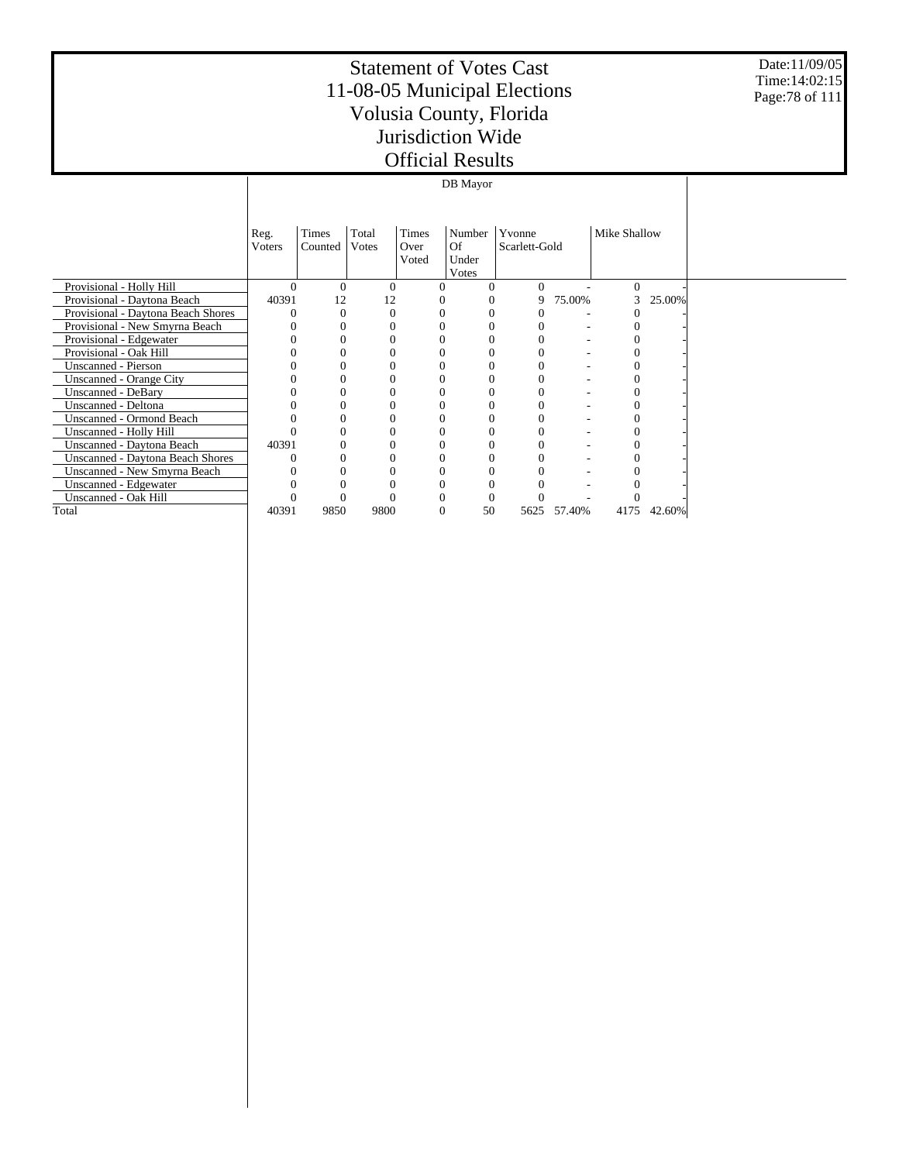Date:11/09/05 Time:14:02:15 Page:78 of 111

## Statement of Votes Cast 11-08-05 Municipal Elections Volusia County, Florida Jurisdiction Wide Official Results

DB Mayor

|                                         | Reg.<br><b>V</b> oters | Times<br>Counted | Total<br>Votes | Times<br>Over | Number<br>Of   |    | Yvonne<br>Scarlett-Gold |        | Mike Shallow  |        |
|-----------------------------------------|------------------------|------------------|----------------|---------------|----------------|----|-------------------------|--------|---------------|--------|
|                                         |                        |                  |                | Voted         | Under<br>Votes |    |                         |        |               |        |
| Provisional - Holly Hill                | $\Omega$               | $\Omega$         | $\Omega$       |               | $\Omega$       |    |                         |        | 0             |        |
| Provisional - Daytona Beach             | 40391                  | 12               | 12             |               |                |    | 9                       | 75.00% | $\mathcal{F}$ | 25.00% |
| Provisional - Daytona Beach Shores      |                        |                  |                |               |                |    |                         |        |               |        |
| Provisional - New Smyrna Beach          |                        |                  |                |               |                |    |                         |        |               |        |
| Provisional - Edgewater                 |                        |                  |                |               |                |    |                         |        |               |        |
| Provisional - Oak Hill                  |                        |                  |                |               |                |    |                         |        |               |        |
| Unscanned - Pierson                     |                        |                  |                |               |                |    |                         |        |               |        |
| Unscanned - Orange City                 |                        |                  |                |               |                |    |                         |        |               |        |
| Unscanned - DeBary                      |                        |                  |                |               |                |    |                         |        |               |        |
| Unscanned - Deltona                     |                        |                  |                |               |                |    |                         |        |               |        |
| Unscanned - Ormond Beach                |                        |                  |                |               |                |    |                         |        |               |        |
| Unscanned - Holly Hill                  |                        |                  |                |               |                |    |                         |        |               |        |
| Unscanned - Daytona Beach               | 40391                  |                  |                |               |                |    |                         |        |               |        |
| <b>Unscanned - Daytona Beach Shores</b> |                        |                  |                |               |                |    |                         |        |               |        |
| Unscanned - New Smyrna Beach            |                        |                  |                |               |                |    |                         |        |               |        |
| Unscanned - Edgewater                   |                        |                  |                |               |                |    |                         |        |               |        |
| Unscanned - Oak Hill                    |                        |                  |                |               |                |    |                         |        |               |        |
| Total                                   | 40391                  | 9850             | 9800           |               | $\mathbf{0}$   | 50 | 5625                    | 57.40% | 4175          | 42.60% |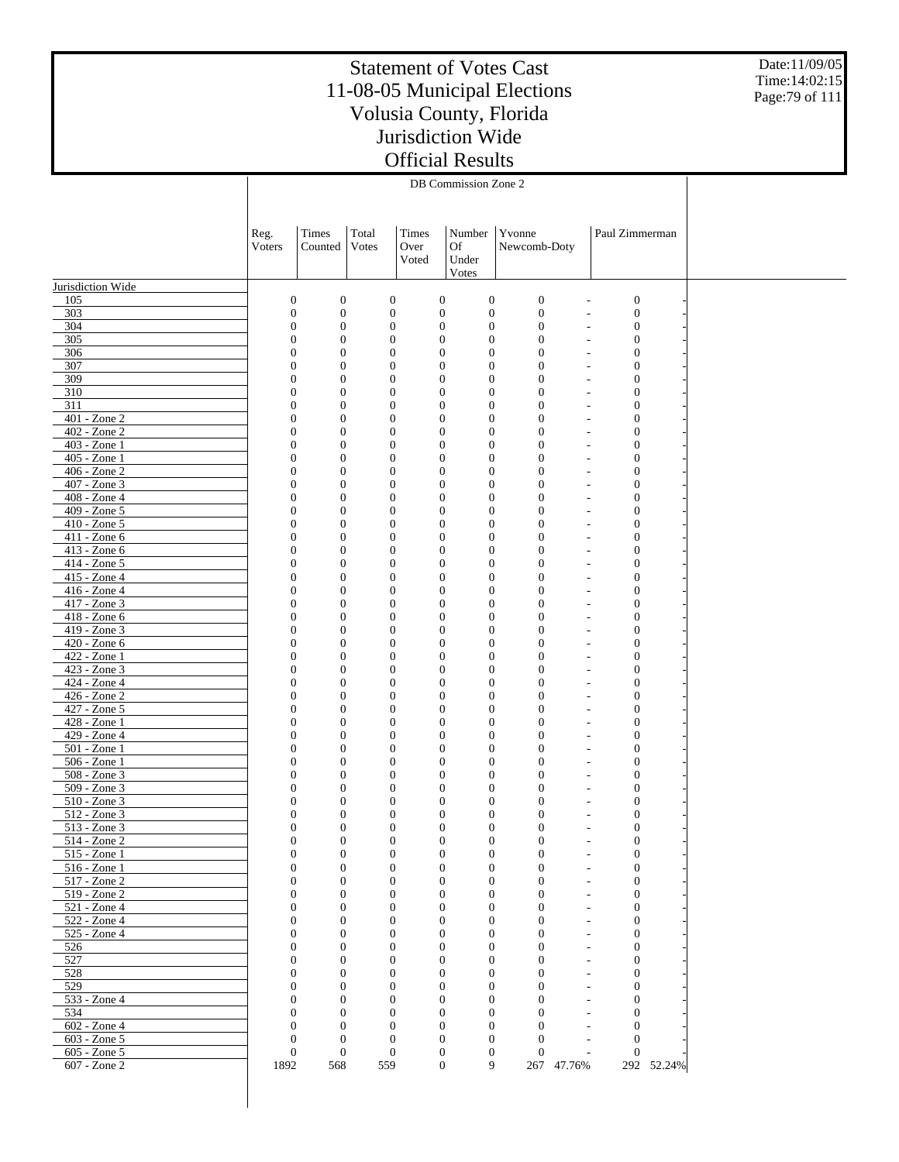Date:11/09/05 Time:14:02:15 Page:79 of 111

Τ

## Statement of Votes Cast 11-08-05 Municipal Elections Volusia County, Florida Jurisdiction Wide Official Results DB Commission Zone 2

Τ

|                              | Reg.<br>Voters                       | Times<br>Counted                     | Total<br><b>Votes</b>            | Times<br>Over<br>Voted               | Number<br><b>Of</b><br>Under<br>Votes                | Yvonne<br>Newcomb-Doty             |                                            | Paul Zimmerman                       |            |
|------------------------------|--------------------------------------|--------------------------------------|----------------------------------|--------------------------------------|------------------------------------------------------|------------------------------------|--------------------------------------------|--------------------------------------|------------|
| Jurisdiction Wide            |                                      |                                      |                                  |                                      |                                                      |                                    |                                            |                                      |            |
| 105                          | $\boldsymbol{0}$                     | $\boldsymbol{0}$                     | $\mathbf{0}$                     | $\boldsymbol{0}$                     | $\mathbf{0}$                                         | $\boldsymbol{0}$                   | $\overline{a}$                             | $\boldsymbol{0}$                     |            |
| 303                          | $\boldsymbol{0}$                     | $\boldsymbol{0}$                     | $\mathbf{0}$                     | $\boldsymbol{0}$                     | $\boldsymbol{0}$                                     | $\boldsymbol{0}$                   | L.                                         | $\boldsymbol{0}$                     |            |
| 304                          | $\boldsymbol{0}$                     | $\boldsymbol{0}$                     | $\boldsymbol{0}$                 | $\boldsymbol{0}$                     | $\boldsymbol{0}$                                     | $\boldsymbol{0}$                   | $\overline{a}$                             | $\boldsymbol{0}$                     |            |
| 305                          | $\boldsymbol{0}$                     | $\boldsymbol{0}$                     | $\boldsymbol{0}$                 |                                      | $\boldsymbol{0}$<br>$\boldsymbol{0}$                 | $\mathbf{0}$                       | $\overline{\phantom{a}}$                   | $\boldsymbol{0}$                     |            |
| 306                          | $\boldsymbol{0}$                     | $\mathbf{0}$                         | $\mathbf{0}$                     | $\boldsymbol{0}$                     | $\mathbf{0}$                                         | $\overline{0}$                     | $\overline{a}$                             | $\boldsymbol{0}$                     |            |
| 307                          | $\boldsymbol{0}$                     | $\boldsymbol{0}$                     | $\boldsymbol{0}$                 |                                      | $\boldsymbol{0}$<br>$\mathbf{0}$                     | $\boldsymbol{0}$                   | $\overline{a}$                             | $\boldsymbol{0}$                     |            |
| 309                          | $\boldsymbol{0}$                     | $\mathbf{0}$                         | $\mathbf{0}$                     | $\boldsymbol{0}$                     | $\mathbf{0}$                                         | $\overline{0}$                     | L,                                         | $\boldsymbol{0}$                     |            |
| 310                          | $\boldsymbol{0}$                     | $\boldsymbol{0}$                     | $\boldsymbol{0}$                 | $\boldsymbol{0}$                     | $\boldsymbol{0}$                                     | $\boldsymbol{0}$                   | $\overline{a}$                             | $\boldsymbol{0}$                     |            |
| 311                          | $\boldsymbol{0}$                     | $\boldsymbol{0}$                     | $\boldsymbol{0}$                 | $\boldsymbol{0}$                     | $\boldsymbol{0}$                                     | $\overline{0}$                     | $\overline{a}$                             | $\boldsymbol{0}$                     |            |
| 401 - Zone 2<br>402 - Zone 2 | $\boldsymbol{0}$<br>$\boldsymbol{0}$ | $\boldsymbol{0}$<br>$\mathbf{0}$     | $\boldsymbol{0}$<br>$\mathbf{0}$ | $\boldsymbol{0}$                     | $\boldsymbol{0}$<br>$\mathbf{0}$<br>$\boldsymbol{0}$ | $\boldsymbol{0}$<br>$\overline{0}$ | $\overline{a}$                             | $\boldsymbol{0}$<br>$\boldsymbol{0}$ |            |
| 403 - Zone 1                 | $\boldsymbol{0}$                     | $\boldsymbol{0}$                     | $\boldsymbol{0}$                 | $\boldsymbol{0}$                     | $\boldsymbol{0}$                                     | $\boldsymbol{0}$                   | $\overline{a}$<br>$\overline{\phantom{a}}$ | $\boldsymbol{0}$                     |            |
| 405 - Zone 1                 | $\boldsymbol{0}$                     | $\mathbf{0}$                         | $\boldsymbol{0}$                 | $\boldsymbol{0}$                     | $\boldsymbol{0}$                                     | $\overline{0}$                     | L,                                         | $\boldsymbol{0}$                     |            |
| 406 - Zone 2                 | $\boldsymbol{0}$                     | $\boldsymbol{0}$                     | $\boldsymbol{0}$                 | $\boldsymbol{0}$                     | $\mathbf{0}$                                         | $\boldsymbol{0}$                   | $\overline{a}$                             | $\boldsymbol{0}$                     |            |
| 407 - Zone 3                 | $\boldsymbol{0}$                     | $\mathbf{0}$                         | $\mathbf{0}$                     | $\boldsymbol{0}$                     | $\boldsymbol{0}$                                     | $\overline{0}$                     | $\overline{a}$                             | $\boldsymbol{0}$                     |            |
| 408 - Zone 4                 | $\boldsymbol{0}$                     | $\boldsymbol{0}$                     | $\boldsymbol{0}$                 | $\boldsymbol{0}$                     | $\boldsymbol{0}$                                     | $\boldsymbol{0}$                   | $\overline{a}$                             | $\boldsymbol{0}$                     |            |
| 409 - Zone 5                 | $\boldsymbol{0}$                     | $\boldsymbol{0}$                     | $\boldsymbol{0}$                 | $\boldsymbol{0}$                     | $\boldsymbol{0}$                                     | $\overline{0}$                     | $\overline{a}$                             | $\boldsymbol{0}$                     |            |
| 410 - Zone 5                 | $\boldsymbol{0}$                     | $\boldsymbol{0}$                     | $\boldsymbol{0}$                 | $\boldsymbol{0}$                     | $\mathbf{0}$                                         | $\boldsymbol{0}$                   | $\overline{\phantom{a}}$                   | $\boldsymbol{0}$                     |            |
| 411 - Zone 6                 | $\boldsymbol{0}$                     | $\mathbf{0}$                         | $\mathbf{0}$                     | $\boldsymbol{0}$                     | $\mathbf{0}$                                         | $\overline{0}$                     | L,                                         | $\boldsymbol{0}$                     |            |
| 413 - Zone 6                 | $\boldsymbol{0}$                     | $\boldsymbol{0}$                     | $\boldsymbol{0}$                 | $\boldsymbol{0}$                     | $\boldsymbol{0}$                                     | $\boldsymbol{0}$                   | $\overline{a}$                             | $\boldsymbol{0}$                     |            |
| 414 - Zone 5                 | $\boldsymbol{0}$                     | $\boldsymbol{0}$                     | $\mathbf{0}$                     | $\boldsymbol{0}$                     | $\boldsymbol{0}$                                     | $\overline{0}$                     | $\overline{a}$                             | $\boldsymbol{0}$                     |            |
| 415 - Zone 4                 | $\boldsymbol{0}$                     | $\boldsymbol{0}$                     | $\boldsymbol{0}$                 | $\boldsymbol{0}$                     | $\mathbf{0}$                                         | $\boldsymbol{0}$                   | $\overline{a}$                             | $\boldsymbol{0}$                     |            |
| 416 - Zone 4                 | $\boldsymbol{0}$                     | $\boldsymbol{0}$                     | $\mathbf{0}$                     | $\boldsymbol{0}$                     | $\boldsymbol{0}$                                     | $\overline{0}$                     | L,                                         | $\boldsymbol{0}$                     |            |
| 417 - Zone 3                 | $\boldsymbol{0}$                     | $\boldsymbol{0}$                     | $\boldsymbol{0}$<br>$\mathbf{0}$ | $\boldsymbol{0}$<br>$\boldsymbol{0}$ | $\boldsymbol{0}$                                     | $\boldsymbol{0}$<br>$\overline{0}$ | $\overline{\phantom{a}}$                   | $\boldsymbol{0}$                     |            |
| 418 - Zone 6<br>419 - Zone 3 | $\boldsymbol{0}$<br>$\boldsymbol{0}$ | $\mathbf{0}$<br>$\boldsymbol{0}$     | $\boldsymbol{0}$                 | $\boldsymbol{0}$                     | $\boldsymbol{0}$<br>$\mathbf{0}$                     | $\boldsymbol{0}$                   | L,<br>$\overline{a}$                       | $\boldsymbol{0}$<br>$\boldsymbol{0}$ |            |
| 420 - Zone 6                 | $\boldsymbol{0}$                     | $\mathbf{0}$                         | $\mathbf{0}$                     | $\boldsymbol{0}$                     | $\boldsymbol{0}$                                     | $\overline{0}$                     | $\overline{a}$                             | $\boldsymbol{0}$                     |            |
| 422 - Zone 1                 | $\boldsymbol{0}$                     | $\boldsymbol{0}$                     | $\boldsymbol{0}$                 | $\boldsymbol{0}$                     | $\boldsymbol{0}$                                     | $\boldsymbol{0}$                   | $\overline{a}$                             | $\boldsymbol{0}$                     |            |
| 423 - Zone 3                 | $\boldsymbol{0}$                     | $\boldsymbol{0}$                     | $\mathbf{0}$                     | $\boldsymbol{0}$                     | $\boldsymbol{0}$                                     | $\overline{0}$                     | L,                                         | $\boldsymbol{0}$                     |            |
| 424 - Zone 4                 | $\boldsymbol{0}$                     | $\boldsymbol{0}$                     | $\boldsymbol{0}$                 | $\boldsymbol{0}$                     | $\mathbf{0}$                                         | $\boldsymbol{0}$                   | $\overline{\phantom{a}}$                   | $\boldsymbol{0}$                     |            |
| 426 - Zone 2                 | $\boldsymbol{0}$                     | $\mathbf{0}$                         | $\mathbf{0}$                     | $\boldsymbol{0}$                     | $\boldsymbol{0}$                                     | $\overline{0}$                     | L,                                         | $\boldsymbol{0}$                     |            |
| 427 - Zone 5                 | $\boldsymbol{0}$                     | $\boldsymbol{0}$                     | $\boldsymbol{0}$                 | $\boldsymbol{0}$                     | $\boldsymbol{0}$                                     | $\boldsymbol{0}$                   | $\overline{a}$                             | $\boldsymbol{0}$                     |            |
| 428 - Zone 1                 | $\boldsymbol{0}$                     | $\boldsymbol{0}$                     | $\mathbf{0}$                     | $\boldsymbol{0}$                     | $\boldsymbol{0}$                                     | $\overline{0}$                     | $\overline{a}$                             | $\boldsymbol{0}$                     |            |
| $429 - Zone4$                | $\boldsymbol{0}$                     | $\boldsymbol{0}$                     | $\boldsymbol{0}$                 | $\boldsymbol{0}$                     | $\mathbf{0}$                                         | $\boldsymbol{0}$                   | $\overline{a}$                             | $\boldsymbol{0}$                     |            |
| 501 - Zone 1                 | $\boldsymbol{0}$                     | $\mathbf{0}$                         | $\mathbf{0}$                     | $\boldsymbol{0}$                     | $\mathbf{0}$                                         | $\overline{0}$                     | L,                                         | $\boldsymbol{0}$                     |            |
| 506 - Zone 1                 | $\boldsymbol{0}$                     | $\boldsymbol{0}$                     | $\boldsymbol{0}$                 | $\boldsymbol{0}$                     | $\boldsymbol{0}$                                     | $\boldsymbol{0}$                   | $\overline{\phantom{a}}$                   | $\boldsymbol{0}$                     |            |
| 508 - Zone 3                 | $\boldsymbol{0}$                     | $\mathbf{0}$                         | $\boldsymbol{0}$                 | $\boldsymbol{0}$                     | $\mathbf{0}$                                         | $\overline{0}$                     | $\overline{a}$                             | $\boldsymbol{0}$                     |            |
| 509 - Zone 3                 | $\mathbf{0}$                         | $\mathbf{0}$                         | $\boldsymbol{0}$                 | $\boldsymbol{0}$                     | $\mathbf{0}$                                         | $\boldsymbol{0}$                   | $\overline{a}$                             | $\boldsymbol{0}$                     |            |
| 510 - Zone 3                 | $\mathbf{0}$                         | $\mathbf{0}$                         | $\boldsymbol{0}$                 | $\boldsymbol{0}$                     | $\mathbf{0}$                                         | $\overline{0}$                     | $\overline{a}$                             | $\boldsymbol{0}$                     |            |
| 512 - Zone 3<br>513 - Zone 3 | $\mathbf{0}$<br>$\mathbf{0}$         | $\boldsymbol{0}$<br>$\boldsymbol{0}$ | $\boldsymbol{0}$<br>$\mathbf{0}$ | $\boldsymbol{0}$<br>$\overline{0}$   | $\mathbf{0}$<br>$\mathbf{0}$                         | $\boldsymbol{0}$<br>$\overline{0}$ | $\overline{a}$                             | $\boldsymbol{0}$                     |            |
| 514 - Zone 2                 | $\Omega$                             | $\overline{0}$                       | $\overline{0}$                   |                                      | $\theta$<br>$\Omega$                                 | $\overline{0}$                     | L,<br>٠                                    | $\boldsymbol{0}$<br>$\Omega$         |            |
| 515 - Zone 1                 | $\boldsymbol{0}$                     | $\mathbf{0}$                         | $\mathbf{0}$                     | $\boldsymbol{0}$                     | $\mathbf{0}$                                         | $\boldsymbol{0}$                   |                                            | $\boldsymbol{0}$                     |            |
| 516 - Zone 1                 | $\boldsymbol{0}$                     | $\overline{0}$                       | $\boldsymbol{0}$                 | $\boldsymbol{0}$                     | $\boldsymbol{0}$                                     | $\mathbf{0}$                       |                                            | $\mathbf{0}$                         |            |
| 517 - Zone 2                 | $\mathbf{0}$                         | $\overline{0}$                       | $\mathbf{0}$                     | $\overline{0}$                       | $\mathbf{0}$                                         | $\overline{0}$                     |                                            | $\boldsymbol{0}$                     |            |
| 519 - Zone 2                 | $\mathbf{0}$                         | $\overline{0}$                       | $\overline{0}$                   | $\overline{0}$                       | $\mathbf{0}$                                         | $\overline{0}$                     |                                            | $\boldsymbol{0}$                     |            |
| 521 - Zone 4                 | $\mathbf{0}$                         | $\overline{0}$                       | $\mathbf{0}$                     | $\overline{0}$                       | $\mathbf{0}$                                         | $\overline{0}$                     | $\overline{a}$                             | $\boldsymbol{0}$                     |            |
| 522 - Zone 4                 | $\mathbf{0}$                         | $\overline{0}$                       | $\overline{0}$                   | $\overline{0}$                       | $\boldsymbol{0}$                                     | $\overline{0}$                     |                                            | $\boldsymbol{0}$                     |            |
| 525 - Zone 4                 | $\mathbf{0}$                         | $\overline{0}$                       | $\mathbf{0}$                     | $\overline{0}$                       | $\mathbf{0}$                                         | $\overline{0}$                     |                                            | $\boldsymbol{0}$                     |            |
| 526                          | $\mathbf{0}$                         | $\overline{0}$                       | $\overline{0}$                   | $\overline{0}$                       | $\mathbf{0}$                                         | $\overline{0}$                     |                                            | $\boldsymbol{0}$                     |            |
| 527                          | $\mathbf{0}$                         | $\overline{0}$                       | $\mathbf{0}$                     | $\overline{0}$                       | $\mathbf{0}$                                         | $\overline{0}$                     | $\overline{a}$                             | $\boldsymbol{0}$                     |            |
| 528                          | $\mathbf{0}$                         | $\overline{0}$                       | $\overline{0}$                   | $\overline{0}$                       | $\boldsymbol{0}$                                     | $\overline{0}$                     |                                            | $\boldsymbol{0}$                     |            |
| 529                          | $\mathbf{0}$                         | $\overline{0}$                       | $\mathbf{0}$                     | $\overline{0}$                       | $\overline{0}$                                       | $\theta$                           |                                            | $\boldsymbol{0}$                     |            |
| 533 - Zone 4                 | $\mathbf{0}$                         | $\overline{0}$                       | $\overline{0}$                   | $\overline{0}$                       | $\theta$                                             | $\overline{0}$                     |                                            | $\boldsymbol{0}$                     |            |
| 534                          | $\mathbf{0}$                         | $\overline{0}$                       | $\mathbf{0}$                     | $\overline{0}$                       | $\overline{0}$                                       | $\overline{0}$                     |                                            | $\mathbf{0}$                         |            |
| 602 - Zone 4                 | $\Omega$                             | $\overline{0}$                       | $\overline{0}$                   | $\overline{0}$                       | $\mathbf{0}$                                         | $\overline{0}$                     |                                            | $\mathbf{0}$                         |            |
| 603 - Zone 5                 | $\Omega$                             | $\overline{0}$                       | $\mathbf{0}$                     | $\overline{0}$                       | $\boldsymbol{0}$                                     | $\overline{0}$                     |                                            | $\boldsymbol{0}$                     |            |
| 605 - Zone 5<br>607 - Zone 2 | $\mathbf{0}$<br>1892                 | $\overline{0}$<br>568                | $\overline{0}$<br>559            | $\boldsymbol{0}$                     | $\mathbf{0}$<br>$\overline{0}$<br>9                  | $\mathbf{0}$<br>267 47.76%         |                                            | $\mathbf{0}$                         | 292 52.24% |
|                              |                                      |                                      |                                  |                                      |                                                      |                                    |                                            |                                      |            |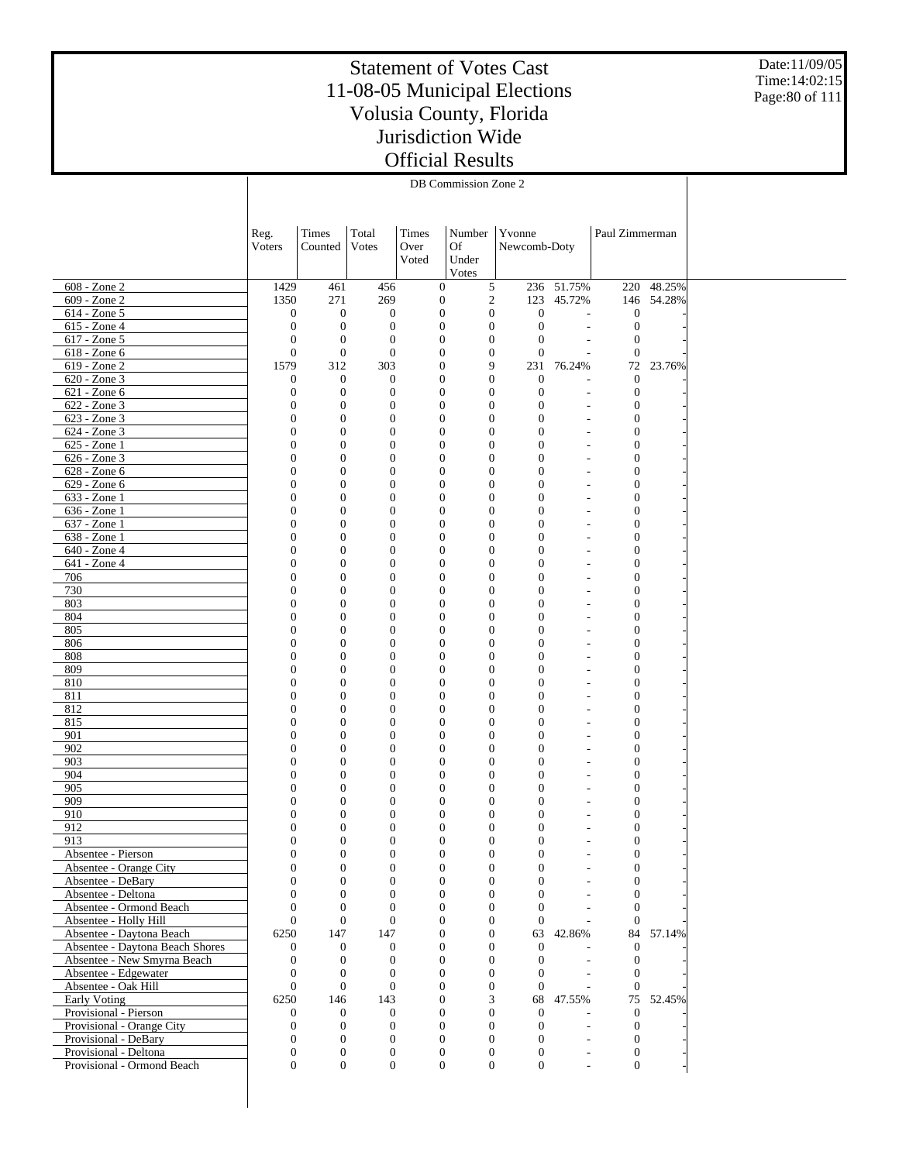Date:11/09/05 Time:14:02:15 Page:80 of 111

|                                                   | Reg.<br>Voters           | Times<br>Counted   Votes             | Total                                | Times<br>Over<br>Voted             | Of<br>Under                      | Number   Yvonne<br>Newcomb-Doty    |                          | Paul Zimmerman                       |        |
|---------------------------------------------------|--------------------------|--------------------------------------|--------------------------------------|------------------------------------|----------------------------------|------------------------------------|--------------------------|--------------------------------------|--------|
|                                                   |                          |                                      |                                      |                                    | Votes                            |                                    |                          |                                      |        |
| 608 - Zone 2                                      | 1429                     | 461                                  | 456                                  | $\mathbf{0}$                       | 5                                |                                    | 236 51.75%               | 220                                  | 48.25% |
| 609 - Zone 2<br>$614 - Zone$ 5                    | 1350<br>$\boldsymbol{0}$ | 271<br>$\boldsymbol{0}$              | 269<br>$\boldsymbol{0}$              | $\boldsymbol{0}$<br>$\mathbf{0}$   | $\sqrt{2}$<br>$\boldsymbol{0}$   | $\boldsymbol{0}$                   | 123 45.72%<br>$\sim$     | 146<br>$\boldsymbol{0}$              | 54.28% |
| 615 - Zone 4                                      | $\boldsymbol{0}$         | $\boldsymbol{0}$                     | $\boldsymbol{0}$                     | $\boldsymbol{0}$                   | $\boldsymbol{0}$                 | $\boldsymbol{0}$                   |                          | $\boldsymbol{0}$                     |        |
| 617 - Zone 5                                      | $\mathbf{0}$             | $\boldsymbol{0}$                     | $\boldsymbol{0}$                     | $\overline{0}$                     | $\boldsymbol{0}$                 | $\mathbf{0}$                       |                          | $\boldsymbol{0}$                     |        |
| 618 - Zone 6                                      | $\boldsymbol{0}$         | $\boldsymbol{0}$                     | $\boldsymbol{0}$                     | $\boldsymbol{0}$                   | $\boldsymbol{0}$                 | $\mathbf{0}$                       |                          | $\boldsymbol{0}$                     |        |
| 619 - Zone 2                                      | 1579                     | 312                                  | 303                                  | $\boldsymbol{0}$                   | 9                                |                                    | 231 76.24%               | 72                                   | 23.76% |
| 620 - Zone 3                                      | $\boldsymbol{0}$         | $\boldsymbol{0}$                     | $\boldsymbol{0}$                     | $\mathbf{0}$                       | $\boldsymbol{0}$                 | $\mathbf{0}$                       |                          | $\boldsymbol{0}$                     |        |
| 621 - Zone 6                                      | $\theta$                 | $\boldsymbol{0}$                     | $\boldsymbol{0}$                     | $\boldsymbol{0}$                   | $\boldsymbol{0}$                 | $\mathbf{0}$                       | $\overline{\phantom{a}}$ | $\boldsymbol{0}$                     |        |
| 622 - Zone 3                                      | $\theta$                 | $\boldsymbol{0}$                     | $\boldsymbol{0}$                     | $\boldsymbol{0}$                   | $\boldsymbol{0}$                 | $\mathbf{0}$                       |                          | $\boldsymbol{0}$                     |        |
| 623 - Zone 3                                      | $\Omega$                 | $\boldsymbol{0}$                     | $\boldsymbol{0}$                     | $\boldsymbol{0}$                   | $\boldsymbol{0}$                 | $\overline{0}$                     | $\overline{\phantom{a}}$ | $\boldsymbol{0}$                     |        |
| 624 - Zone 3<br>625 - Zone 1                      | $\mathbf{0}$<br>$\Omega$ | $\boldsymbol{0}$<br>$\boldsymbol{0}$ | $\boldsymbol{0}$<br>$\boldsymbol{0}$ | $\boldsymbol{0}$<br>$\overline{0}$ | $\boldsymbol{0}$<br>$\mathbf{0}$ | $\overline{0}$<br>$\theta$         | $\overline{a}$           | $\boldsymbol{0}$<br>$\boldsymbol{0}$ |        |
| 626 - Zone 3                                      | $\mathbf{0}$             | $\boldsymbol{0}$                     | $\boldsymbol{0}$                     | $\boldsymbol{0}$                   | $\mathbf{0}$                     | $\overline{0}$                     |                          | $\boldsymbol{0}$                     |        |
| 628 - Zone 6                                      | $\Omega$                 | $\boldsymbol{0}$                     | $\boldsymbol{0}$                     | $\overline{0}$                     | $\mathbf{0}$                     | $\overline{0}$                     | $\overline{\phantom{a}}$ | $\boldsymbol{0}$                     |        |
| 629 - Zone 6                                      | $\mathbf{0}$             | $\boldsymbol{0}$                     | $\boldsymbol{0}$                     | $\boldsymbol{0}$                   | $\boldsymbol{0}$                 | $\overline{0}$                     |                          | $\boldsymbol{0}$                     |        |
| $633 - Z$ one 1                                   | $\Omega$                 | $\boldsymbol{0}$                     | $\boldsymbol{0}$                     | $\overline{0}$                     | $\mathbf{0}$                     | $\theta$                           | $\overline{\phantom{a}}$ | $\boldsymbol{0}$                     |        |
| 636 - Zone 1                                      | $\mathbf{0}$             | $\boldsymbol{0}$                     | $\boldsymbol{0}$                     | $\boldsymbol{0}$                   | $\boldsymbol{0}$                 | $\overline{0}$                     |                          | $\boldsymbol{0}$                     |        |
| 637 - Zone 1                                      | $\Omega$                 | $\boldsymbol{0}$                     | $\boldsymbol{0}$                     | $\boldsymbol{0}$                   | $\mathbf{0}$                     | $\overline{0}$                     | $\overline{\phantom{a}}$ | $\boldsymbol{0}$                     |        |
| 638 - Zone 1                                      | $\mathbf{0}$             | $\boldsymbol{0}$                     | $\boldsymbol{0}$                     | $\boldsymbol{0}$                   | $\mathbf{0}$                     | $\overline{0}$                     |                          | $\boldsymbol{0}$                     |        |
| 640 - Zone 4                                      | $\Omega$                 | $\boldsymbol{0}$                     | $\boldsymbol{0}$                     | $\overline{0}$                     | $\mathbf{0}$                     | $\overline{0}$                     | $\overline{a}$           | $\boldsymbol{0}$                     |        |
| 641 - Zone 4<br>706                               | $\mathbf{0}$<br>$\Omega$ | $\boldsymbol{0}$<br>$\boldsymbol{0}$ | $\boldsymbol{0}$<br>$\boldsymbol{0}$ | $\boldsymbol{0}$<br>$\overline{0}$ | $\mathbf{0}$<br>$\mathbf{0}$     | $\overline{0}$<br>$\overline{0}$   | $\overline{\phantom{a}}$ | $\boldsymbol{0}$<br>$\boldsymbol{0}$ |        |
| 730                                               | $\mathbf{0}$             | $\boldsymbol{0}$                     | $\boldsymbol{0}$                     | $\boldsymbol{0}$                   | $\mathbf{0}$                     | $\overline{0}$                     |                          | $\boldsymbol{0}$                     |        |
| 803                                               | $\Omega$                 | $\boldsymbol{0}$                     | $\boldsymbol{0}$                     | $\overline{0}$                     | $\mathbf{0}$                     | $\overline{0}$                     | $\overline{\phantom{a}}$ | $\boldsymbol{0}$                     |        |
| 804                                               | $\mathbf{0}$             | $\boldsymbol{0}$                     | $\boldsymbol{0}$                     | $\boldsymbol{0}$                   | $\boldsymbol{0}$                 | $\overline{0}$                     |                          | $\boldsymbol{0}$                     |        |
| 805                                               | $\Omega$                 | $\boldsymbol{0}$                     | $\boldsymbol{0}$                     | $\boldsymbol{0}$                   | $\mathbf{0}$                     | $\overline{0}$                     | $\overline{\phantom{a}}$ | $\boldsymbol{0}$                     |        |
| 806                                               | $\mathbf{0}$             | $\boldsymbol{0}$                     | $\boldsymbol{0}$                     | $\boldsymbol{0}$                   | $\mathbf{0}$                     | $\overline{0}$                     |                          | $\boldsymbol{0}$                     |        |
| 808                                               | $\Omega$                 | $\boldsymbol{0}$                     | $\boldsymbol{0}$                     | $\overline{0}$                     | $\mathbf{0}$                     | $\overline{0}$                     | ٠                        | $\boldsymbol{0}$                     |        |
| 809                                               | $\mathbf{0}$             | $\boldsymbol{0}$                     | $\boldsymbol{0}$                     | $\boldsymbol{0}$                   | $\mathbf{0}$                     | $\overline{0}$                     |                          | $\boldsymbol{0}$                     |        |
| 810<br>811                                        | $\Omega$<br>$\mathbf{0}$ | $\boldsymbol{0}$<br>$\boldsymbol{0}$ | $\boldsymbol{0}$<br>$\boldsymbol{0}$ | $\overline{0}$<br>$\boldsymbol{0}$ | $\mathbf{0}$<br>$\mathbf{0}$     | $\overline{0}$<br>$\overline{0}$   | $\overline{\phantom{a}}$ | $\boldsymbol{0}$<br>$\boldsymbol{0}$ |        |
| 812                                               | $\Omega$                 | $\boldsymbol{0}$                     | $\boldsymbol{0}$                     | $\overline{0}$                     | $\mathbf{0}$                     | $\overline{0}$                     | $\overline{\phantom{a}}$ | $\boldsymbol{0}$                     |        |
| 815                                               | $\mathbf{0}$             | $\boldsymbol{0}$                     | $\boldsymbol{0}$                     | $\boldsymbol{0}$                   | $\boldsymbol{0}$                 | $\overline{0}$                     |                          | $\boldsymbol{0}$                     |        |
| 901                                               | $\Omega$                 | $\boldsymbol{0}$                     | $\boldsymbol{0}$                     | $\boldsymbol{0}$                   | $\mathbf{0}$                     | $\overline{0}$                     | $\overline{\phantom{a}}$ | $\boldsymbol{0}$                     |        |
| 902                                               | $\mathbf{0}$             | $\boldsymbol{0}$                     | $\boldsymbol{0}$                     | $\boldsymbol{0}$                   | $\mathbf{0}$                     | $\overline{0}$                     |                          | $\boldsymbol{0}$                     |        |
| 903                                               | $\Omega$                 | $\boldsymbol{0}$                     | $\boldsymbol{0}$                     | $\overline{0}$                     | $\mathbf{0}$                     | $\theta$                           | ٠                        | $\boldsymbol{0}$                     |        |
| 904                                               | $\mathbf{0}$             | $\boldsymbol{0}$                     | $\boldsymbol{0}$                     | $\boldsymbol{0}$                   | $\mathbf{0}$                     | $\overline{0}$                     |                          | $\boldsymbol{0}$                     |        |
| 905                                               | $\Omega$                 | $\boldsymbol{0}$                     | $\boldsymbol{0}$                     | $\overline{0}$                     | $\mathbf{0}$                     | $\overline{0}$                     | ٠                        | $\boldsymbol{0}$                     |        |
| 909<br>910                                        | $\Omega$<br>$\Omega$     | $\boldsymbol{0}$                     | $\boldsymbol{0}$<br>$\mathbf{0}$     | $\boldsymbol{0}$<br>$\overline{0}$ | $\mathbf{0}$                     | $\overline{0}$<br>$\Omega$         |                          | $\boldsymbol{0}$                     |        |
| 912                                               | 0                        | $\boldsymbol{0}$<br>$\boldsymbol{0}$ | $\mathbf{0}$                         | $\boldsymbol{0}$                   | $\mathbf{0}$<br>$\mathbf{0}$     | $\mathbf{0}$                       | ٠                        | $\boldsymbol{0}$<br>$\boldsymbol{0}$ |        |
| 913                                               | $\Omega$                 | $\overline{0}$                       | $\boldsymbol{0}$                     | $\Omega$                           | $\overline{0}$                   | $\Omega$                           |                          | $\boldsymbol{0}$                     |        |
| Absentee - Pierson                                |                          | $\boldsymbol{0}$                     | $\mathbf{0}$                         | $\overline{0}$                     | $\boldsymbol{0}$                 |                                    |                          | $\boldsymbol{0}$                     |        |
| Absentee - Orange City                            | $\mathbf{0}$             | $\mathbf{0}$                         | $\boldsymbol{0}$                     | $\mathbf{0}$                       | $\boldsymbol{0}$                 | $\theta$                           |                          | $\boldsymbol{0}$                     |        |
| Absentee - DeBary                                 | $\mathbf{0}$             | $\mathbf{0}$                         | $\boldsymbol{0}$                     | $\boldsymbol{0}$                   | $\mathbf{0}$                     | $\overline{0}$                     |                          | $\boldsymbol{0}$                     |        |
| Absentee - Deltona                                | $\Omega$                 | $\overline{0}$                       | $\overline{0}$                       | $\overline{0}$                     | $\Omega$                         | $\Omega$                           |                          | $\mathbf{0}$                         |        |
| Absentee - Ormond Beach                           | $\Omega$                 | $\overline{0}$                       | $\mathbf{0}$                         | $\boldsymbol{0}$                   | $\mathbf{0}$                     | $\mathbf{0}$                       |                          | $\overline{0}$                       |        |
| Absentee - Holly Hill<br>Absentee - Daytona Beach | $\Omega$                 | $\mathbf{0}$                         | $\mathbf{0}$                         | $\overline{0}$                     | $\Omega$<br>$\mathbf{0}$         | $\theta$                           |                          | $\mathbf{0}$                         |        |
| Absentee - Daytona Beach Shores                   | 6250<br>$\theta$         | 147<br>$\mathbf{0}$                  | 147<br>$\boldsymbol{0}$              | $\boldsymbol{0}$<br>$\overline{0}$ | $\Omega$                         | 63<br>$\overline{0}$               | 42.86%                   | 84<br>$\mathbf{0}$                   | 57.14% |
| Absentee - New Smyrna Beach                       | $\mathbf{0}$             | $\mathbf{0}$                         | $\mathbf{0}$                         | $\boldsymbol{0}$                   | $\mathbf{0}$                     | $\mathbf{0}$                       |                          | $\overline{0}$                       |        |
| Absentee - Edgewater                              | $\Omega$                 | $\overline{0}$                       | $\mathbf{0}$                         | $\overline{0}$                     | $\Omega$                         | $\Omega$                           |                          | $\mathbf{0}$                         |        |
| Absentee - Oak Hill                               | $\mathbf{0}$             | $\mathbf{0}$                         | $\mathbf{0}$                         | $\overline{0}$                     | $\mathbf{0}$                     | $\theta$                           |                          | $\overline{0}$                       |        |
| Early Voting                                      | 6250                     | 146                                  | 143                                  | $\overline{0}$                     | 3                                | 68                                 | 47.55%                   | 75                                   | 52.45% |
| Provisional - Pierson                             | $\theta$                 | $\mathbf{0}$                         | $\mathbf{0}$                         | $\overline{0}$                     | $\mathbf{0}$                     | $\theta$                           |                          | $\mathbf{0}$                         |        |
| Provisional - Orange City                         | $\Omega$                 | $\Omega$                             | $\mathbf{0}$                         | $\Omega$                           | $\Omega$                         | $\mathbf{0}$                       |                          | $\overline{0}$                       |        |
| Provisional - DeBary                              | $\mathbf{0}$             | $\mathbf{0}$                         | $\mathbf{0}$                         | $\overline{0}$                     | $\mathbf{0}$                     | $\mathbf{0}$                       |                          | 0                                    |        |
| Provisional - Deltona                             | $\Omega$<br>$\mathbf{0}$ | $\mathbf{0}$<br>$\boldsymbol{0}$     | $\mathbf{0}$<br>$\boldsymbol{0}$     | $\overline{0}$<br>$\overline{0}$   | $\mathbf{0}$                     | $\overline{0}$<br>$\boldsymbol{0}$ |                          | 0                                    |        |
| Provisional - Ormond Beach                        |                          |                                      |                                      |                                    | $\boldsymbol{0}$                 |                                    |                          | $\boldsymbol{0}$                     |        |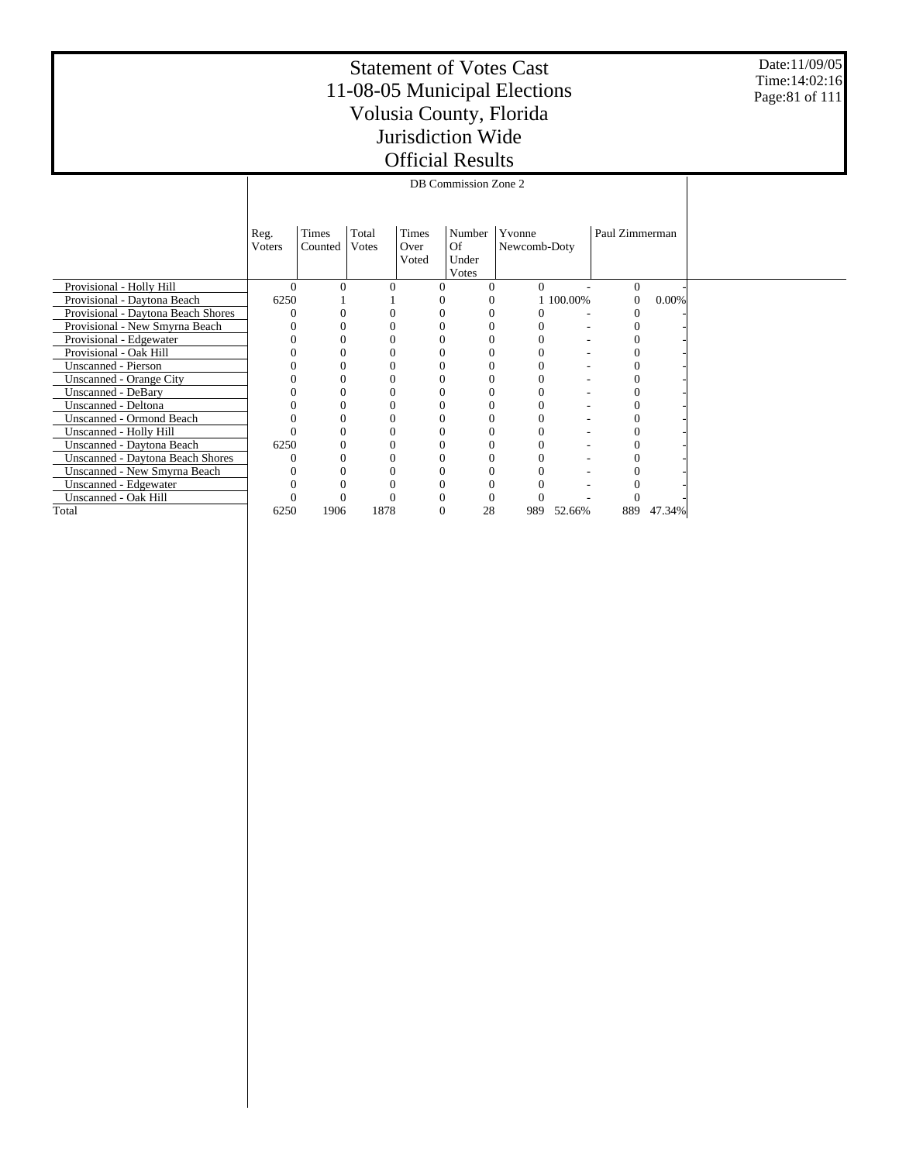Date:11/09/05 Time:14:02:16 Page:81 of 111

|                                         | Reg.           | Times    | Total | Times         | Number<br>Of | Yvonne       |           | Paul Zimmerman |        |
|-----------------------------------------|----------------|----------|-------|---------------|--------------|--------------|-----------|----------------|--------|
|                                         | <b>V</b> oters | Counted  | Votes | Over<br>Voted | Under        | Newcomb-Doty |           |                |        |
|                                         |                |          |       |               | Votes        |              |           |                |        |
| Provisional - Holly Hill                | $\Omega$       | 0        |       | $\Omega$      | $\Omega$     | $\Omega$     |           | $\Omega$       |        |
| Provisional - Daytona Beach             | 6250           |          |       |               |              |              | 1 100,00% | $\Omega$       | 0.00%  |
| Provisional - Daytona Beach Shores      |                | $\Omega$ |       |               |              |              |           |                |        |
| Provisional - New Smyrna Beach          |                |          |       |               |              |              |           |                |        |
| Provisional - Edgewater                 |                |          |       |               |              |              |           |                |        |
| Provisional - Oak Hill                  |                |          |       |               |              |              |           |                |        |
| Unscanned - Pierson                     |                |          |       |               |              |              |           |                |        |
| Unscanned - Orange City                 |                |          |       |               |              |              |           |                |        |
| Unscanned - DeBary                      |                |          |       |               |              |              |           |                |        |
| Unscanned - Deltona                     |                |          |       |               |              |              |           |                |        |
| Unscanned - Ormond Beach                |                |          |       |               |              |              |           |                |        |
| Unscanned - Holly Hill                  |                |          |       |               |              |              |           |                |        |
| Unscanned - Daytona Beach               | 6250           |          |       |               |              |              |           |                |        |
| <b>Unscanned - Daytona Beach Shores</b> |                |          |       |               |              |              |           |                |        |
| Unscanned - New Smyrna Beach            |                |          |       |               |              |              |           |                |        |
| Unscanned - Edgewater                   |                |          |       |               |              |              |           |                |        |
| Unscanned - Oak Hill                    |                |          |       |               |              |              |           |                |        |
| Total                                   | 6250           | 1906     | 1878  |               | 28           | 989          | 52.66%    | 889            | 47.34% |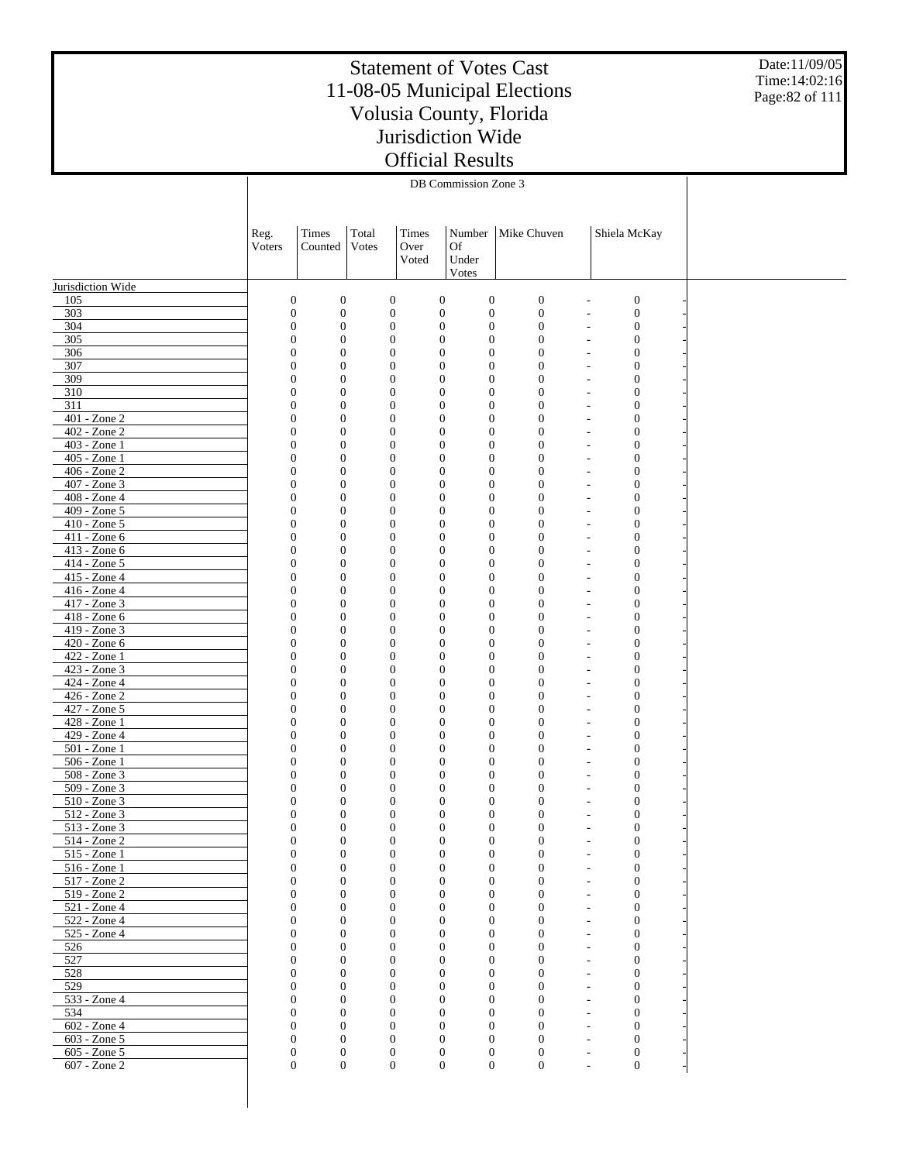Date:11/09/05 Time:14:02:16 Page:82 of 111

|                               | DD COMMISSION LONG J             |                                      |       |                                      |                                      |                                                                          |                          |                                      |  |  |
|-------------------------------|----------------------------------|--------------------------------------|-------|--------------------------------------|--------------------------------------|--------------------------------------------------------------------------|--------------------------|--------------------------------------|--|--|
|                               |                                  |                                      |       |                                      |                                      |                                                                          |                          |                                      |  |  |
|                               | Reg.<br>Voters                   | Times<br>Counted   Votes             | Total | Times<br>Over<br>Voted               | <b>Of</b><br>Under<br>Votes          | Number   Mike Chuven                                                     |                          | Shiela McKay                         |  |  |
| Jurisdiction Wide             |                                  |                                      |       |                                      |                                      |                                                                          |                          |                                      |  |  |
| 105                           | $\boldsymbol{0}$                 | $\boldsymbol{0}$                     |       | $\boldsymbol{0}$                     | $\boldsymbol{0}$                     | $\boldsymbol{0}$<br>$\boldsymbol{0}$                                     |                          | $\boldsymbol{0}$                     |  |  |
| 303                           | $\mathbf{0}$                     | $\boldsymbol{0}$                     |       | $\boldsymbol{0}$                     | $\boldsymbol{0}$                     | $\boldsymbol{0}$<br>$\boldsymbol{0}$                                     |                          | $\boldsymbol{0}$                     |  |  |
| 304                           | $\mathbf{0}$                     | $\boldsymbol{0}$                     |       | $\boldsymbol{0}$                     | $\boldsymbol{0}$                     | $\boldsymbol{0}$<br>$\boldsymbol{0}$                                     |                          | $\boldsymbol{0}$                     |  |  |
| 305                           | $\Omega$                         | $\boldsymbol{0}$                     |       | $\boldsymbol{0}$                     | $\boldsymbol{0}$                     | $\boldsymbol{0}$<br>$\overline{0}$                                       |                          | $\boldsymbol{0}$                     |  |  |
| 306                           | $\mathbf{0}$                     | $\boldsymbol{0}$                     |       | $\boldsymbol{0}$                     | $\boldsymbol{0}$                     | $\boldsymbol{0}$<br>$\overline{0}$                                       |                          | $\boldsymbol{0}$                     |  |  |
| 307                           | $\Omega$                         | $\boldsymbol{0}$                     |       | $\boldsymbol{0}$                     | $\boldsymbol{0}$                     | $\boldsymbol{0}$<br>$\Omega$                                             |                          | $\boldsymbol{0}$                     |  |  |
| 309                           | $\mathbf{0}$                     | $\boldsymbol{0}$                     |       | $\boldsymbol{0}$                     | $\boldsymbol{0}$                     | $\boldsymbol{0}$<br>$\overline{0}$                                       |                          | $\boldsymbol{0}$                     |  |  |
| 310                           | $\Omega$                         | $\boldsymbol{0}$                     |       | $\boldsymbol{0}$                     | $\boldsymbol{0}$                     | $\boldsymbol{0}$<br>$\overline{0}$                                       |                          | $\boldsymbol{0}$                     |  |  |
| 311                           | $\mathbf{0}$                     | $\boldsymbol{0}$                     |       | $\boldsymbol{0}$                     | $\boldsymbol{0}$                     | $\boldsymbol{0}$<br>$\overline{0}$                                       |                          | $\boldsymbol{0}$                     |  |  |
| 401 - Zone 2                  | $\Omega$                         | $\boldsymbol{0}$                     |       | $\boldsymbol{0}$                     | $\boldsymbol{0}$                     | $\boldsymbol{0}$<br>$\Omega$                                             |                          | $\boldsymbol{0}$                     |  |  |
| 402 - Zone 2                  | $\mathbf{0}$                     | $\boldsymbol{0}$                     |       | $\boldsymbol{0}$                     | $\boldsymbol{0}$                     | $\boldsymbol{0}$<br>$\overline{0}$                                       |                          | $\boldsymbol{0}$                     |  |  |
| 403 - Zone 1                  | $\Omega$                         | $\boldsymbol{0}$                     |       | $\boldsymbol{0}$                     | $\boldsymbol{0}$                     | $\boldsymbol{0}$<br>$\Omega$                                             | $\overline{a}$           | $\boldsymbol{0}$                     |  |  |
| 405 - Zone 1                  | $\mathbf{0}$                     | $\boldsymbol{0}$                     |       | $\boldsymbol{0}$                     | $\boldsymbol{0}$                     | $\boldsymbol{0}$<br>$\overline{0}$                                       |                          | $\boldsymbol{0}$                     |  |  |
| 406 - Zone 2                  | $\Omega$                         | $\boldsymbol{0}$                     |       | $\boldsymbol{0}$                     | $\boldsymbol{0}$                     | $\boldsymbol{0}$<br>$\Omega$                                             |                          | $\boldsymbol{0}$                     |  |  |
| 407 - Zone 3                  | $\mathbf{0}$                     | $\boldsymbol{0}$                     |       | $\boldsymbol{0}$                     | $\boldsymbol{0}$                     | $\boldsymbol{0}$<br>$\overline{0}$                                       |                          | $\boldsymbol{0}$                     |  |  |
| 408 - Zone 4                  | $\Omega$                         | $\boldsymbol{0}$                     |       | $\boldsymbol{0}$                     | $\boldsymbol{0}$                     | $\boldsymbol{0}$<br>$\overline{0}$                                       |                          | $\boldsymbol{0}$                     |  |  |
| 409 - Zone 5                  | $\mathbf{0}$<br>$\Omega$         | $\boldsymbol{0}$                     |       | $\boldsymbol{0}$                     | $\boldsymbol{0}$                     | $\boldsymbol{0}$<br>$\overline{0}$<br>$\Omega$                           |                          | $\boldsymbol{0}$                     |  |  |
| 410 - Zone 5<br>411 - Zone 6  | $\mathbf{0}$                     | $\boldsymbol{0}$<br>$\boldsymbol{0}$ |       | $\boldsymbol{0}$<br>$\boldsymbol{0}$ | $\boldsymbol{0}$<br>$\boldsymbol{0}$ | $\boldsymbol{0}$<br>$\boldsymbol{0}$<br>$\overline{0}$                   |                          | $\boldsymbol{0}$<br>$\boldsymbol{0}$ |  |  |
| 413 - Zone 6                  | $\Omega$                         | $\boldsymbol{0}$                     |       | $\boldsymbol{0}$                     | $\boldsymbol{0}$                     | $\boldsymbol{0}$<br>$\Omega$                                             | $\overline{a}$           | $\boldsymbol{0}$                     |  |  |
| $414 - Zone 5$                | $\mathbf{0}$                     | $\boldsymbol{0}$                     |       | $\boldsymbol{0}$                     | $\boldsymbol{0}$                     | $\boldsymbol{0}$<br>$\overline{0}$                                       |                          | $\boldsymbol{0}$                     |  |  |
| 415 - Zone 4                  | $\Omega$                         | $\boldsymbol{0}$                     |       | $\boldsymbol{0}$                     | $\boldsymbol{0}$                     | $\boldsymbol{0}$<br>$\Omega$                                             |                          | $\boldsymbol{0}$                     |  |  |
| 416 - Zone 4                  | $\mathbf{0}$                     | $\boldsymbol{0}$                     |       | $\boldsymbol{0}$                     | $\boldsymbol{0}$                     | $\boldsymbol{0}$<br>$\overline{0}$                                       |                          | $\boldsymbol{0}$                     |  |  |
| 417 - Zone 3                  | $\Omega$                         | $\boldsymbol{0}$                     |       | $\boldsymbol{0}$                     | $\boldsymbol{0}$                     | $\boldsymbol{0}$<br>$\overline{0}$                                       |                          | $\boldsymbol{0}$                     |  |  |
| 418 - Zone 6                  | $\mathbf{0}$                     | $\boldsymbol{0}$                     |       | $\boldsymbol{0}$                     | $\boldsymbol{0}$                     | $\boldsymbol{0}$<br>$\overline{0}$                                       |                          | $\boldsymbol{0}$                     |  |  |
| 419 - Zone 3                  | $\Omega$                         | $\boldsymbol{0}$                     |       | $\boldsymbol{0}$                     | $\boldsymbol{0}$                     | $\boldsymbol{0}$<br>$\Omega$                                             |                          | $\boldsymbol{0}$                     |  |  |
| 420 - Zone 6                  | $\mathbf{0}$                     | $\boldsymbol{0}$                     |       | $\boldsymbol{0}$                     | $\boldsymbol{0}$                     | $\boldsymbol{0}$<br>$\overline{0}$                                       |                          | $\boldsymbol{0}$                     |  |  |
| 422 - Zone 1                  | $\Omega$                         | $\boldsymbol{0}$                     |       | $\boldsymbol{0}$                     | $\boldsymbol{0}$                     | $\boldsymbol{0}$<br>$\Omega$                                             | $\overline{a}$           | $\boldsymbol{0}$                     |  |  |
| 423 - Zone 3                  | $\mathbf{0}$                     | $\boldsymbol{0}$                     |       | $\boldsymbol{0}$                     | $\boldsymbol{0}$                     | $\boldsymbol{0}$<br>$\overline{0}$                                       |                          | $\boldsymbol{0}$                     |  |  |
| 424 - Zone 4                  | $\Omega$                         | $\boldsymbol{0}$                     |       | $\boldsymbol{0}$                     | $\boldsymbol{0}$                     | $\boldsymbol{0}$<br>$\Omega$                                             |                          | $\boldsymbol{0}$                     |  |  |
| 426 - Zone 2                  | $\mathbf{0}$                     | $\boldsymbol{0}$                     |       | $\boldsymbol{0}$                     | $\boldsymbol{0}$                     | $\boldsymbol{0}$<br>$\overline{0}$                                       |                          | $\boldsymbol{0}$                     |  |  |
| 427 - Zone 5                  | $\Omega$                         | $\boldsymbol{0}$                     |       | $\boldsymbol{0}$                     | $\boldsymbol{0}$                     | $\boldsymbol{0}$<br>$\overline{0}$                                       |                          | $\boldsymbol{0}$                     |  |  |
| 428 - Zone 1                  | $\mathbf{0}$                     | $\boldsymbol{0}$                     |       | $\boldsymbol{0}$                     | $\boldsymbol{0}$                     | $\boldsymbol{0}$<br>$\overline{0}$                                       |                          | $\boldsymbol{0}$                     |  |  |
| 429 - Zone 4                  | $\Omega$                         | $\boldsymbol{0}$                     |       | $\boldsymbol{0}$                     | $\boldsymbol{0}$                     | $\boldsymbol{0}$<br>$\Omega$                                             |                          | $\boldsymbol{0}$                     |  |  |
| 501 - Zone 1                  | $\mathbf{0}$                     | $\boldsymbol{0}$                     |       | $\boldsymbol{0}$                     | $\boldsymbol{0}$                     | $\boldsymbol{0}$<br>$\overline{0}$                                       |                          | $\boldsymbol{0}$                     |  |  |
| $506 - Z$ one 1               | $\Omega$                         | $\boldsymbol{0}$                     |       | $\boldsymbol{0}$                     | $\boldsymbol{0}$                     | $\boldsymbol{0}$<br>$\Omega$                                             | $\overline{a}$           | $\boldsymbol{0}$                     |  |  |
| 508 - Zone 3                  | $\Omega$                         | $\boldsymbol{0}$                     |       | $\boldsymbol{0}$                     | $\boldsymbol{0}$                     | $\boldsymbol{0}$<br>$\overline{0}$                                       |                          | $\boldsymbol{0}$                     |  |  |
| 509 - Zone 3                  | $\Omega$                         | $\boldsymbol{0}$                     |       | $\mathbf{0}$                         | $\boldsymbol{0}$                     | $\boldsymbol{0}$<br>$\Omega$                                             |                          | $\boldsymbol{0}$                     |  |  |
| $510 - Z$ one 3               | $\Omega$                         | $\boldsymbol{0}$                     |       | $\mathbf{0}$                         | $\boldsymbol{0}$                     | $\boldsymbol{0}$<br>$\overline{0}$                                       |                          | $\boldsymbol{0}$                     |  |  |
| 512 - Zone 3                  | $\Omega$                         | $\boldsymbol{0}$                     |       | $\mathbf{0}$                         | $\boldsymbol{0}$                     | $\mathbf{0}$<br>$\Omega$                                                 |                          | $\boldsymbol{0}$                     |  |  |
| 513 - Zone 3                  | $\mathbf{0}$<br>$\Omega$         | $\boldsymbol{0}$                     |       | $\boldsymbol{0}$                     | $\boldsymbol{0}$<br>$\Omega$         | $\boldsymbol{0}$<br>$\overline{0}$<br>$\theta$<br>$\Omega$               |                          | $\boldsymbol{0}$<br>$\Omega$         |  |  |
| 514 - Zone 2<br>$515 - Zone1$ |                                  | $\boldsymbol{0}$                     |       | $\Omega$                             |                                      |                                                                          |                          |                                      |  |  |
| 516 - Zone 1                  | $\boldsymbol{0}$<br>$\mathbf{0}$ | $\boldsymbol{0}$<br>$\mathbf{0}$     |       | $\boldsymbol{0}$<br>$\boldsymbol{0}$ | $\boldsymbol{0}$<br>$\boldsymbol{0}$ | $\boldsymbol{0}$<br>$\boldsymbol{0}$<br>$\overline{0}$<br>$\overline{0}$ | ٠                        | $\boldsymbol{0}$<br>$\mathbf{0}$     |  |  |
| 517 - Zone 2                  | $\overline{0}$                   | $\boldsymbol{0}$                     |       | $\boldsymbol{0}$                     | $\boldsymbol{0}$                     | $\boldsymbol{0}$<br>$\overline{0}$                                       |                          | $\boldsymbol{0}$                     |  |  |
| 519 - Zone 2                  | $\Omega$                         | $\theta$                             |       | $\mathbf{0}$                         | $\mathbf{0}$                         | $\overline{0}$<br>$\Omega$                                               | ٠                        | $\boldsymbol{0}$                     |  |  |
| 521 - Zone 4                  | $\mathbf{0}$                     | $\boldsymbol{0}$                     |       | $\boldsymbol{0}$                     | $\boldsymbol{0}$                     | $\boldsymbol{0}$<br>$\overline{0}$                                       |                          | $\boldsymbol{0}$                     |  |  |
| 522 - Zone 4                  | $\Omega$                         | $\theta$                             |       | $\mathbf{0}$                         | $\mathbf{0}$                         | $\mathbf{0}$<br>$\Omega$                                                 | $\overline{\phantom{a}}$ | $\boldsymbol{0}$                     |  |  |
| 525 - Zone 4                  | $\mathbf{0}$                     | $\boldsymbol{0}$                     |       | $\boldsymbol{0}$                     | $\mathbf{0}$                         | $\boldsymbol{0}$<br>$\overline{0}$                                       |                          | $\boldsymbol{0}$                     |  |  |
| 526                           | $\Omega$                         | $\theta$                             |       | $\mathbf{0}$                         | $\mathbf{0}$                         | $\mathbf{0}$<br>$\Omega$                                                 | ٠                        | $\boldsymbol{0}$                     |  |  |
| 527                           | $\Omega$                         | $\boldsymbol{0}$                     |       | $\boldsymbol{0}$                     | $\boldsymbol{0}$                     | $\boldsymbol{0}$<br>$\overline{0}$                                       |                          | $\boldsymbol{0}$                     |  |  |
| 528                           | $\Omega$                         | $\theta$                             |       | $\mathbf{0}$                         | $\mathbf{0}$                         | $\Omega$<br>$\Omega$                                                     | ٠                        | $\mathbf{0}$                         |  |  |
| 529                           | $\Omega$                         | $\boldsymbol{0}$                     |       | $\boldsymbol{0}$                     | $\mathbf{0}$                         | $\mathbf{0}$<br>$\overline{0}$                                           |                          | $\boldsymbol{0}$                     |  |  |
| 533 - Zone 4                  | $\Omega$                         | $\theta$                             |       | $\mathbf{0}$                         | $\mathbf{0}$                         | $\Omega$<br>$\Omega$                                                     | ٠                        | $\boldsymbol{0}$                     |  |  |
| 534                           | $\Omega$                         | $\boldsymbol{0}$                     |       | $\boldsymbol{0}$                     | $\boldsymbol{0}$                     | $\boldsymbol{0}$<br>$\overline{0}$                                       |                          | $\boldsymbol{0}$                     |  |  |
| 602 - Zone 4                  | $\Omega$                         | $\theta$                             |       | $\mathbf{0}$                         | $\mathbf{0}$                         | $\Omega$<br>$\Omega$                                                     | ٠                        | $\boldsymbol{0}$                     |  |  |
| 603 - Zone 5                  | $\mathbf{0}$                     | $\boldsymbol{0}$                     |       | $\boldsymbol{0}$                     | $\boldsymbol{0}$                     | $\boldsymbol{0}$<br>$\overline{0}$                                       |                          | $\boldsymbol{0}$                     |  |  |
| 605 - Zone 5                  | $\mathbf{0}$                     | $\boldsymbol{0}$                     |       | $\boldsymbol{0}$                     | $\boldsymbol{0}$                     | $\boldsymbol{0}$<br>$\boldsymbol{0}$                                     |                          | $\boldsymbol{0}$                     |  |  |
| 607 - Zone 2                  | $\overline{0}$                   | $\mathbf{0}$                         |       | $\boldsymbol{0}$                     | $\overline{0}$                       | $\overline{0}$<br>$\boldsymbol{0}$                                       |                          | $\boldsymbol{0}$                     |  |  |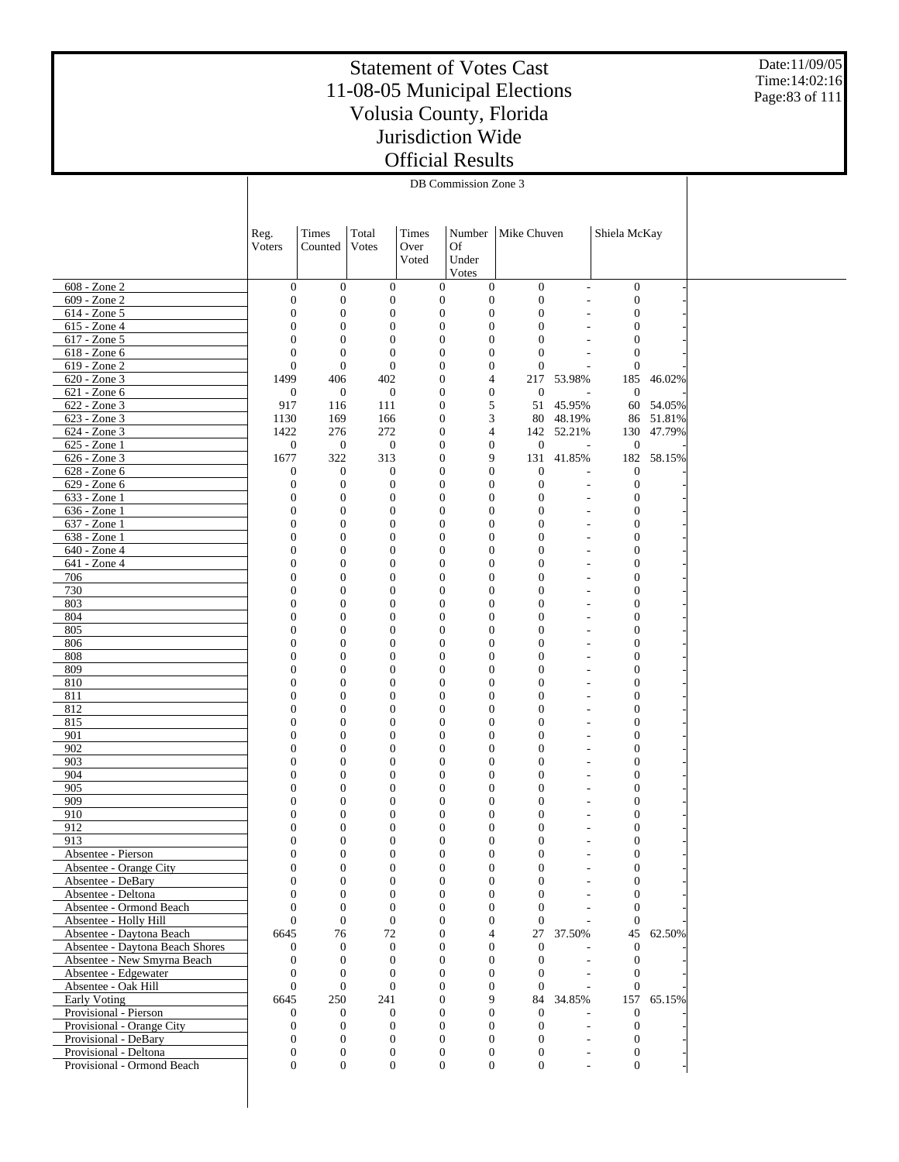Date:11/09/05 Time:14:02:16 Page:83 of 111

## Statement of Votes Cast 11-08-05 Municipal Elections Volusia County, Florida Jurisdiction Wide Official Results DB Commission Zone 3

 $\overline{\phantom{a}}$ 

|                                               | Reg.<br>Voters                       | <b>Times</b><br>Counted              | Total<br>Votes                   | Times<br>Over                      | Number<br><b>Of</b>                  | Mike Chuven                        |                                                      | Shiela McKay                         |        |
|-----------------------------------------------|--------------------------------------|--------------------------------------|----------------------------------|------------------------------------|--------------------------------------|------------------------------------|------------------------------------------------------|--------------------------------------|--------|
|                                               |                                      |                                      |                                  | Voted                              | Under<br>Votes                       |                                    |                                                      |                                      |        |
| 608 - Zone 2                                  | $\boldsymbol{0}$                     | $\mathbf{0}$                         | $\mathbf{0}$                     | $\overline{0}$                     | $\boldsymbol{0}$                     | $\overline{0}$                     | $\overline{\phantom{a}}$                             | $\boldsymbol{0}$                     |        |
| 609 - Zone 2                                  | $\boldsymbol{0}$                     | $\boldsymbol{0}$                     | $\boldsymbol{0}$                 | $\boldsymbol{0}$                   | $\boldsymbol{0}$                     | $\boldsymbol{0}$                   | $\overline{a}$                                       | $\boldsymbol{0}$                     |        |
| 614 - Zone 5                                  | $\overline{0}$                       | $\boldsymbol{0}$                     | $\mathbf{0}$                     | $\overline{0}$                     | $\boldsymbol{0}$                     | $\boldsymbol{0}$                   | $\overline{\phantom{a}}$                             | $\boldsymbol{0}$                     |        |
| 615 - Zone 4                                  | $\boldsymbol{0}$                     | $\boldsymbol{0}$                     | $\mathbf{0}$                     | $\mathbf{0}$                       | $\boldsymbol{0}$                     | $\boldsymbol{0}$                   |                                                      | $\boldsymbol{0}$                     |        |
| 617 - Zone 5                                  | $\overline{0}$                       | $\mathbf{0}$                         | $\boldsymbol{0}$                 | $\overline{0}$                     | $\boldsymbol{0}$                     | $\overline{0}$                     |                                                      | $\boldsymbol{0}$                     |        |
| 618 - Zone 6                                  | $\boldsymbol{0}$                     | $\boldsymbol{0}$                     | $\mathbf{0}$                     | $\boldsymbol{0}$                   | $\boldsymbol{0}$                     | $\theta$                           |                                                      | $\boldsymbol{0}$                     |        |
| 619 - Zone 2                                  | $\theta$                             | $\boldsymbol{0}$                     | $\mathbf{0}$                     | $\theta$                           | $\boldsymbol{0}$                     | $\overline{0}$                     | $\overline{a}$                                       | $\boldsymbol{0}$                     |        |
| 620 - Zone 3                                  | 1499                                 | 406                                  | 402                              | $\boldsymbol{0}$                   | 4                                    |                                    | 217 53.98%                                           | 185                                  | 46.02% |
| 621 - Zone 6                                  | $\mathbf{0}$                         | $\mathbf{0}$                         | $\mathbf{0}$                     | $\boldsymbol{0}$                   | $\boldsymbol{0}$                     | $\boldsymbol{0}$                   |                                                      | $\mathbf{0}$                         |        |
| 622 - Zone 3                                  | 917                                  | 116                                  | 111                              | $\boldsymbol{0}$                   | 5                                    | 51                                 | 45.95%                                               | 60                                   | 54.05% |
| 623 - Zone 3                                  | 1130                                 | 169                                  | 166                              | $\mathbf{0}$                       | 3                                    | 80                                 | 48.19%                                               | 86                                   | 51.81% |
| 624 - Zone 3                                  | 1422                                 | 276                                  | 272                              | $\boldsymbol{0}$                   | $\overline{4}$                       |                                    | 142 52.21%                                           | 130                                  | 47.79% |
| 625 - Zone 1                                  | $\mathbf{0}$                         | $\mathbf{0}$                         | $\boldsymbol{0}$                 | $\boldsymbol{0}$                   | $\boldsymbol{0}$                     | $\boldsymbol{0}$                   | $\overline{\phantom{a}}$                             | $\mathbf{0}$                         |        |
| 626 - Zone 3                                  | 1677                                 | 322                                  | 313                              | $\boldsymbol{0}$                   | 9                                    | 131                                | 41.85%                                               | 182                                  | 58.15% |
| 628 - Zone 6                                  | $\mathbf{0}$                         | $\mathbf{0}$                         | $\mathbf{0}$                     | $\mathbf{0}$                       | $\boldsymbol{0}$                     | $\boldsymbol{0}$                   | L,                                                   | $\boldsymbol{0}$                     |        |
| 629 - Zone 6<br>633 - Zone 1                  | $\boldsymbol{0}$<br>$\mathbf{0}$     | $\boldsymbol{0}$<br>$\boldsymbol{0}$ | $\mathbf{0}$<br>$\boldsymbol{0}$ | $\boldsymbol{0}$<br>$\overline{0}$ | $\boldsymbol{0}$<br>$\boldsymbol{0}$ | $\mathbf{0}$<br>$\boldsymbol{0}$   | $\overline{\phantom{a}}$<br>$\overline{\phantom{a}}$ | $\boldsymbol{0}$<br>$\boldsymbol{0}$ |        |
| 636 - Zone 1                                  | $\boldsymbol{0}$                     | $\boldsymbol{0}$                     | $\mathbf{0}$                     | $\boldsymbol{0}$                   | $\boldsymbol{0}$                     | $\overline{0}$                     | $\overline{a}$                                       | $\boldsymbol{0}$                     |        |
| 637 - Zone 1                                  | $\mathbf{0}$                         | $\mathbf{0}$                         | $\boldsymbol{0}$                 | $\overline{0}$                     | $\boldsymbol{0}$                     | $\overline{0}$                     | ÷,                                                   | $\boldsymbol{0}$                     |        |
| 638 - Zone 1                                  | $\boldsymbol{0}$                     | $\boldsymbol{0}$                     | $\mathbf{0}$                     | $\boldsymbol{0}$                   | $\boldsymbol{0}$                     | $\boldsymbol{0}$                   |                                                      | $\boldsymbol{0}$                     |        |
| 640 - Zone 4                                  | $\mathbf{0}$                         | $\mathbf{0}$                         | $\boldsymbol{0}$                 | $\theta$                           | $\boldsymbol{0}$                     | $\overline{0}$                     |                                                      | $\boldsymbol{0}$                     |        |
| 641 - Zone 4                                  | $\boldsymbol{0}$                     | $\boldsymbol{0}$                     | $\mathbf{0}$                     | $\boldsymbol{0}$                   | $\boldsymbol{0}$                     | $\boldsymbol{0}$                   | $\overline{a}$                                       | $\boldsymbol{0}$                     |        |
| 706                                           | $\mathbf{0}$                         | $\boldsymbol{0}$                     | $\boldsymbol{0}$                 | $\overline{0}$                     | $\boldsymbol{0}$                     | $\boldsymbol{0}$                   | $\overline{\phantom{a}}$                             | $\boldsymbol{0}$                     |        |
| 730                                           | $\mathbf{0}$                         | $\boldsymbol{0}$                     | $\mathbf{0}$                     | $\mathbf{0}$                       | $\boldsymbol{0}$                     | $\boldsymbol{0}$                   | $\overline{a}$                                       | $\boldsymbol{0}$                     |        |
| 803                                           | $\mathbf{0}$                         | $\mathbf{0}$                         | $\boldsymbol{0}$                 | $\overline{0}$                     | $\boldsymbol{0}$                     | $\overline{0}$                     | $\overline{\phantom{a}}$                             | $\boldsymbol{0}$                     |        |
| 804                                           | $\mathbf{0}$                         | $\boldsymbol{0}$                     | $\mathbf{0}$                     | $\boldsymbol{0}$                   | $\boldsymbol{0}$                     | $\boldsymbol{0}$                   |                                                      | $\boldsymbol{0}$                     |        |
| 805                                           | $\mathbf{0}$                         | $\boldsymbol{0}$                     | $\boldsymbol{0}$                 | $\overline{0}$                     | $\boldsymbol{0}$                     | $\boldsymbol{0}$                   |                                                      | $\boldsymbol{0}$                     |        |
| 806                                           | $\mathbf{0}$                         | $\boldsymbol{0}$                     | $\mathbf{0}$                     | $\boldsymbol{0}$                   | $\boldsymbol{0}$                     | $\boldsymbol{0}$                   |                                                      | $\boldsymbol{0}$                     |        |
| 808                                           | $\mathbf{0}$                         | $\boldsymbol{0}$                     | $\boldsymbol{0}$                 | $\theta$                           | $\boldsymbol{0}$                     | $\boldsymbol{0}$                   | ÷,                                                   | $\boldsymbol{0}$                     |        |
| 809                                           | $\mathbf{0}$                         | $\boldsymbol{0}$                     | $\mathbf{0}$                     | $\boldsymbol{0}$                   | $\boldsymbol{0}$                     | $\boldsymbol{0}$                   | $\overline{a}$                                       | $\boldsymbol{0}$                     |        |
| 810                                           | $\mathbf{0}$                         | $\boldsymbol{0}$                     | $\boldsymbol{0}$                 | $\overline{0}$                     | $\boldsymbol{0}$                     | $\boldsymbol{0}$                   | $\overline{\phantom{a}}$                             | $\boldsymbol{0}$                     |        |
| 811                                           | $\mathbf{0}$                         | $\boldsymbol{0}$                     | $\boldsymbol{0}$                 | $\boldsymbol{0}$                   | $\boldsymbol{0}$                     | $\boldsymbol{0}$                   | $\overline{a}$                                       | $\boldsymbol{0}$                     |        |
| 812                                           | $\mathbf{0}$                         | $\mathbf{0}$                         | $\boldsymbol{0}$                 | $\overline{0}$                     | $\boldsymbol{0}$                     | $\overline{0}$                     | ÷,                                                   | $\boldsymbol{0}$                     |        |
| 815                                           | $\mathbf{0}$                         | $\boldsymbol{0}$                     | $\mathbf{0}$                     | $\boldsymbol{0}$                   | $\boldsymbol{0}$                     | $\boldsymbol{0}$                   |                                                      | $\boldsymbol{0}$                     |        |
| 901                                           | $\mathbf{0}$                         | $\boldsymbol{0}$                     | $\boldsymbol{0}$                 | $\overline{0}$                     | $\boldsymbol{0}$                     | $\boldsymbol{0}$                   | ÷,                                                   | $\boldsymbol{0}$                     |        |
| 902                                           | $\mathbf{0}$                         | $\boldsymbol{0}$                     | $\mathbf{0}$                     | $\boldsymbol{0}$                   | $\boldsymbol{0}$                     | $\boldsymbol{0}$                   |                                                      | $\boldsymbol{0}$                     |        |
| 903<br>904                                    | $\mathbf{0}$<br>$\mathbf{0}$         | $\boldsymbol{0}$<br>$\boldsymbol{0}$ | $\boldsymbol{0}$<br>$\mathbf{0}$ | $\theta$<br>$\boldsymbol{0}$       | $\boldsymbol{0}$<br>$\boldsymbol{0}$ | $\overline{0}$<br>$\boldsymbol{0}$ | $\overline{\phantom{a}}$                             | $\boldsymbol{0}$<br>$\boldsymbol{0}$ |        |
| 905                                           | $\mathbf{0}$                         | $\mathbf{0}$                         | $\boldsymbol{0}$                 | $\theta$                           | $\boldsymbol{0}$                     | $\boldsymbol{0}$                   | $\overline{a}$<br>$\overline{\phantom{a}}$           | $\boldsymbol{0}$                     |        |
| 909                                           | $\mathbf{0}$                         | $\boldsymbol{0}$                     | $\mathbf{0}$                     | $\boldsymbol{0}$                   | $\boldsymbol{0}$                     | $\boldsymbol{0}$                   |                                                      | $\boldsymbol{0}$                     |        |
| 910                                           | $\mathbf{0}$                         | $\boldsymbol{0}$                     | $\boldsymbol{0}$                 | $\theta$                           | $\boldsymbol{0}$                     | $\boldsymbol{0}$                   |                                                      | $\boldsymbol{0}$                     |        |
| 912                                           | $\mathbf{0}$                         | $\boldsymbol{0}$                     | $\boldsymbol{0}$                 | $\mathbf{0}$                       | $\boldsymbol{0}$                     | $\boldsymbol{0}$                   |                                                      | $\boldsymbol{0}$                     |        |
| 913                                           | $\overline{0}$                       | $\boldsymbol{0}$                     | $\mathbf{0}$                     | $\boldsymbol{0}$                   | $\mathbf{0}$                         | $\overline{0}$                     | $\overline{a}$                                       | $\boldsymbol{0}$                     |        |
| Absentee - Pierson                            | $\bf{0}$                             | $\upsilon$                           | 0                                | $\boldsymbol{0}$                   | $\boldsymbol{0}$                     | $\boldsymbol{0}$                   |                                                      | 0                                    |        |
| Absentee - Orange City                        | $\boldsymbol{0}$                     | $\boldsymbol{0}$                     | 0                                | $\boldsymbol{0}$                   | $\boldsymbol{0}$                     | $\boldsymbol{0}$                   |                                                      | $\boldsymbol{0}$                     |        |
| Absentee - DeBary                             | $\boldsymbol{0}$                     | $\boldsymbol{0}$                     | $\mathbf{0}$                     | $\mathbf{0}$                       | $\boldsymbol{0}$                     | $\mathbf{0}$                       |                                                      | $\boldsymbol{0}$                     |        |
| Absentee - Deltona                            | $\overline{0}$                       | $\mathbf{0}$                         | $\mathbf{0}$                     | $\theta$                           | $\boldsymbol{0}$                     | $\mathbf{0}$                       |                                                      | $\mathbf{0}$                         |        |
| Absentee - Ormond Beach                       | $\mathbf{0}$                         | $\boldsymbol{0}$                     | $\mathbf{0}$                     | $\overline{0}$                     | $\boldsymbol{0}$                     | $\theta$                           |                                                      | $\boldsymbol{0}$                     |        |
| Absentee - Holly Hill                         | $\mathbf{0}$                         | $\mathbf{0}$                         | $\mathbf{0}$                     | $\theta$                           | $\boldsymbol{0}$                     | $\theta$                           |                                                      | $\mathbf{0}$                         |        |
| Absentee - Daytona Beach                      | 6645                                 | 76                                   | 72                               | $\overline{0}$                     | 4                                    | 27                                 | 37.50%                                               | 45                                   | 62.50% |
| Absentee - Daytona Beach Shores               | $\boldsymbol{0}$                     | $\mathbf{0}$                         | $\mathbf{0}$                     | $\theta$                           | $\boldsymbol{0}$                     | $\theta$                           |                                                      | $\mathbf{0}$                         |        |
| Absentee - New Smyrna Beach                   | $\mathbf{0}$                         | $\boldsymbol{0}$                     | $\mathbf{0}$                     | $\overline{0}$                     | $\boldsymbol{0}$                     | $\theta$                           |                                                      | $\mathbf{0}$                         |        |
| Absentee - Edgewater                          | $\boldsymbol{0}$                     | $\theta$                             | $\mathbf{0}$                     | $\theta$                           | $\boldsymbol{0}$                     | $\theta$                           |                                                      | $\mathbf{0}$                         |        |
| Absentee - Oak Hill                           | $\boldsymbol{0}$                     | $\mathbf{0}$                         | $\mathbf{0}$                     | $\theta$                           | $\boldsymbol{0}$                     | $\theta$                           |                                                      | $\boldsymbol{0}$                     |        |
| Early Voting                                  | 6645                                 | 250                                  | 241                              | $\theta$                           | 9                                    | 84                                 | 34.85%                                               | 157                                  | 65.15% |
| Provisional - Pierson                         | $\boldsymbol{0}$                     | $\mathbf{0}$                         | $\mathbf{0}$                     | $\overline{0}$                     | $\boldsymbol{0}$                     | $\theta$                           |                                                      | $\boldsymbol{0}$                     |        |
| Provisional - Orange City                     | $\mathbf{0}$                         | $\theta$                             | $\overline{0}$                   | $\theta$                           | $\mathbf{0}$                         | $\theta$                           |                                                      | $\boldsymbol{0}$                     |        |
| Provisional - DeBary<br>Provisional - Deltona | $\mathbf{0}$                         | $\boldsymbol{0}$                     | $\mathbf{0}$                     | $\mathbf{0}$                       | $\boldsymbol{0}$<br>$\boldsymbol{0}$ | $\theta$                           |                                                      | $\boldsymbol{0}$                     |        |
| Provisional - Ormond Beach                    | $\boldsymbol{0}$<br>$\boldsymbol{0}$ | $\boldsymbol{0}$<br>$\mathbf{0}$     | $\mathbf{0}$<br>$\mathbf{0}$     | $\overline{0}$<br>$\overline{0}$   | $\boldsymbol{0}$                     | $\boldsymbol{0}$<br>$\mathbf{0}$   | $\overline{\phantom{a}}$                             | 0<br>$\mathbf{0}$                    |        |
|                                               |                                      |                                      |                                  |                                    |                                      |                                    |                                                      |                                      |        |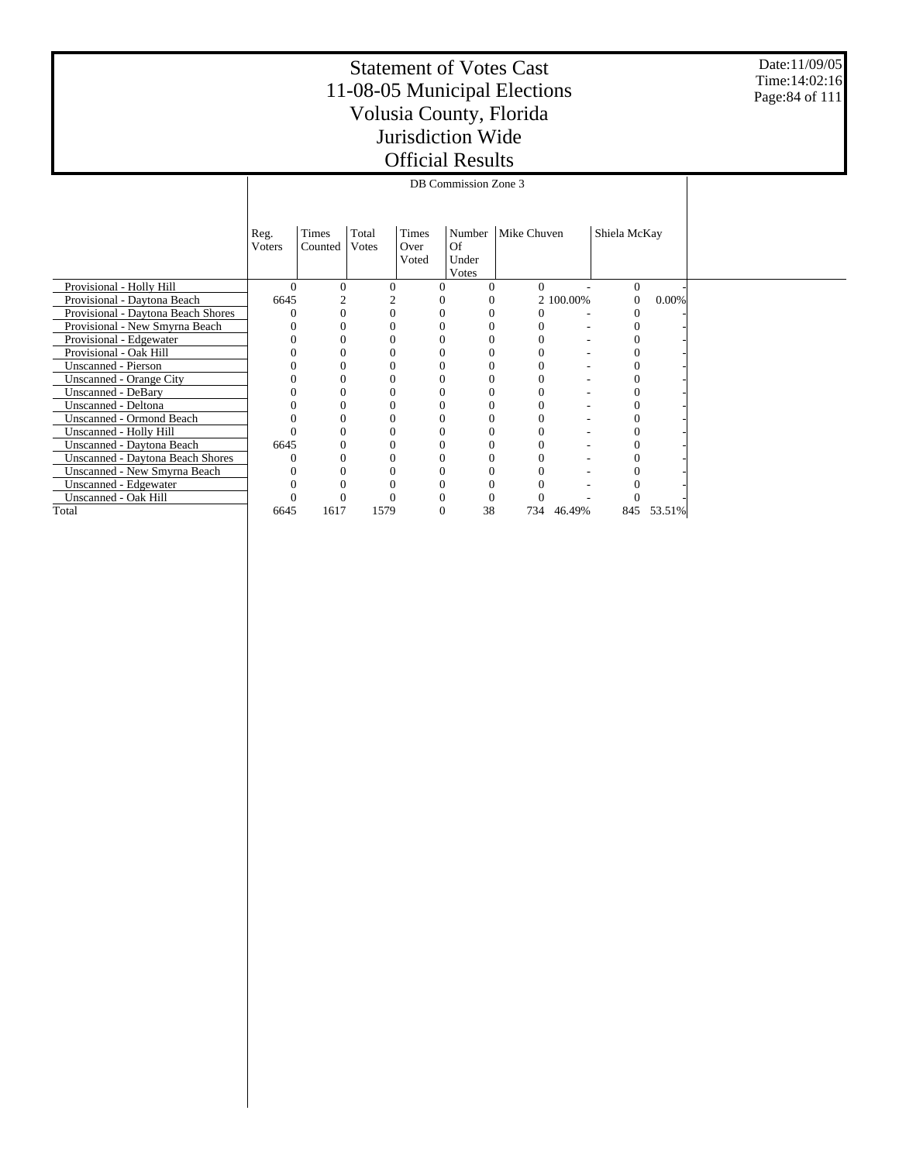Date:11/09/05 Time:14:02:16 Page:84 of 111

|                                         | Reg.     | Times    | Total    | Times | Number | Mike Chuven |           | Shiela McKay |        |
|-----------------------------------------|----------|----------|----------|-------|--------|-------------|-----------|--------------|--------|
|                                         | Voters   | Counted  | Votes    | Over  | Of     |             |           |              |        |
|                                         |          |          |          | Voted | Under  |             |           |              |        |
|                                         |          |          |          |       | Votes  |             |           |              |        |
| Provisional - Holly Hill                | $\Omega$ | $\Omega$ | $\Omega$ |       |        | $\Omega$    |           | $\Omega$     |        |
| Provisional - Daytona Beach             | 6645     |          |          |       |        |             | 2 100.00% |              | 0.00%  |
| Provisional - Daytona Beach Shores      |          |          |          |       |        |             |           |              |        |
| Provisional - New Smyrna Beach          |          |          |          |       |        |             |           |              |        |
| Provisional - Edgewater                 |          |          |          |       |        |             |           |              |        |
| Provisional - Oak Hill                  |          |          |          |       |        |             |           |              |        |
| <b>Unscanned - Pierson</b>              |          |          |          |       |        |             |           |              |        |
| Unscanned - Orange City                 |          |          |          |       |        |             |           |              |        |
| Unscanned - DeBary                      |          |          |          |       |        |             |           |              |        |
| Unscanned - Deltona                     |          |          |          |       |        |             |           |              |        |
| Unscanned - Ormond Beach                |          |          |          |       |        |             |           |              |        |
| Unscanned - Holly Hill                  |          |          |          |       |        |             |           |              |        |
| Unscanned - Daytona Beach               | 6645     |          |          |       |        |             |           |              |        |
| <b>Unscanned - Daytona Beach Shores</b> |          |          |          |       |        |             |           |              |        |
| Unscanned - New Smyrna Beach            |          |          |          |       |        |             |           |              |        |
| Unscanned - Edgewater                   |          |          |          |       |        |             |           |              |        |
| Unscanned - Oak Hill                    |          |          |          |       |        |             |           |              |        |
| Total                                   | 6645     | 1617     | 1579     |       | 38     | 734         | 46.49%    | 845          | 53.51% |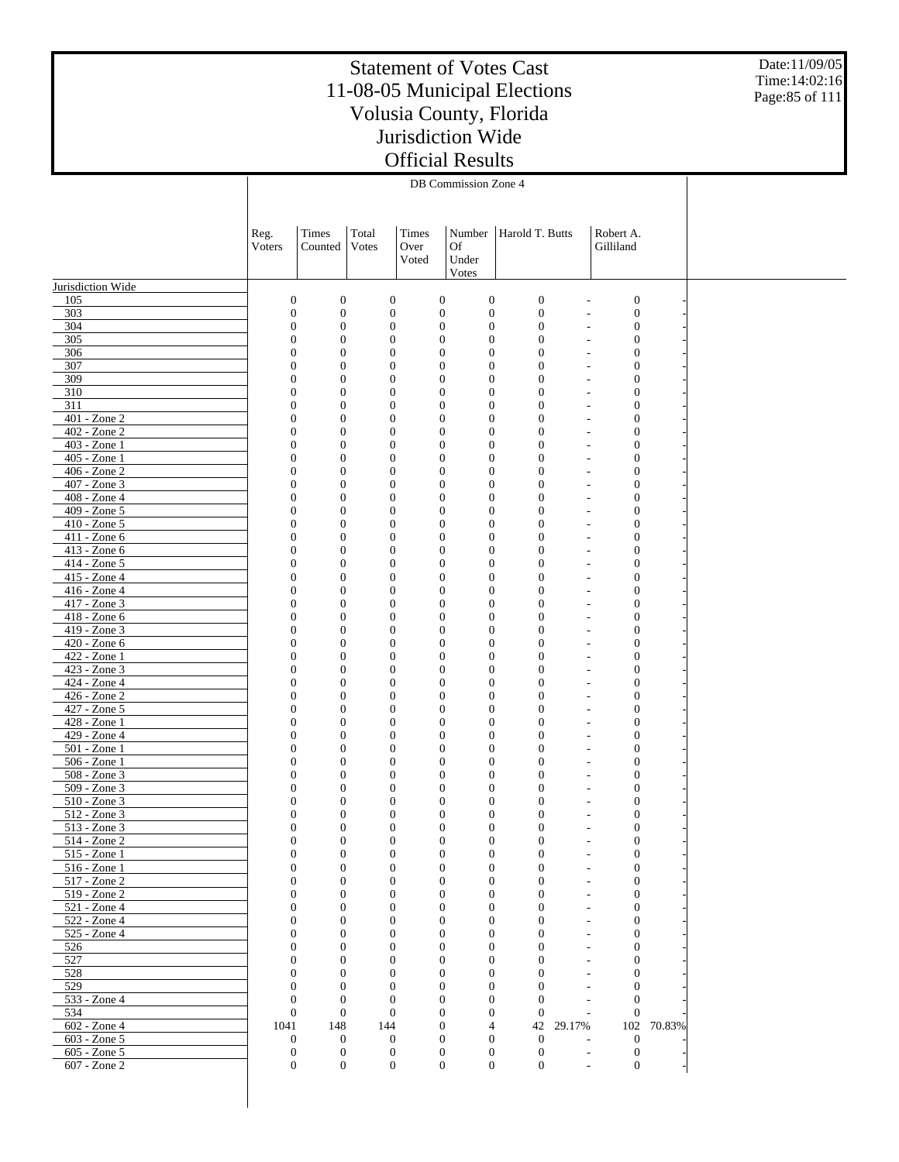Date:11/09/05 Time:14:02:16 Page:85 of 111

Τ

### Statement of Votes Cast 11-08-05 Municipal Elections Volusia County, Florida Jurisdiction Wide Official Results DB Commission Zone 4

T

|                                 |                                  |                                  |                        |                              |                                      | <b>DB</b> Commission Lone            |                                      |                          |                                  |        |
|---------------------------------|----------------------------------|----------------------------------|------------------------|------------------------------|--------------------------------------|--------------------------------------|--------------------------------------|--------------------------|----------------------------------|--------|
|                                 | Reg.<br>Voters                   | Times<br>Counted                 | Total<br><b>V</b> otes | Times<br>Over<br>Voted       | Of                                   | Number<br>Under<br><b>Votes</b>      | Harold T. Butts                      |                          | Robert A.<br>Gilliland           |        |
| Jurisdiction Wide               |                                  |                                  |                        |                              |                                      |                                      |                                      |                          |                                  |        |
| 105                             | $\boldsymbol{0}$                 | $\boldsymbol{0}$                 |                        | $\mathbf{0}$                 | $\boldsymbol{0}$                     | $\boldsymbol{0}$                     | $\boldsymbol{0}$                     |                          | $\boldsymbol{0}$                 |        |
| 303                             | $\mathbf{0}$                     | $\mathbf{0}$                     |                        | $\mathbf{0}$                 | $\mathbf{0}$                         | $\boldsymbol{0}$                     | $\boldsymbol{0}$                     | Ĭ.                       | $\boldsymbol{0}$                 |        |
| 304                             | $\boldsymbol{0}$                 | $\mathbf{0}$                     |                        | $\mathbf{0}$                 | $\boldsymbol{0}$                     | $\boldsymbol{0}$                     | $\boldsymbol{0}$                     |                          | $\mathbf{0}$                     |        |
| 305                             | $\mathbf{0}$                     | $\mathbf{0}$                     |                        | $\mathbf{0}$                 | $\boldsymbol{0}$                     | $\boldsymbol{0}$                     | $\boldsymbol{0}$                     |                          | $\mathbf{0}$                     |        |
| 306                             | $\mathbf{0}$                     | $\boldsymbol{0}$                 |                        | $\mathbf{0}$                 | $\boldsymbol{0}$                     | $\boldsymbol{0}$                     | $\boldsymbol{0}$                     |                          | $\mathbf{0}$                     |        |
| 307                             | $\mathbf{0}$                     | $\mathbf{0}$                     |                        | $\mathbf{0}$                 | $\mathbf{0}$                         | $\boldsymbol{0}$                     | $\boldsymbol{0}$                     |                          | $\mathbf{0}$                     |        |
| 309                             | $\mathbf{0}$                     | $\boldsymbol{0}$                 |                        | $\mathbf{0}$                 | $\boldsymbol{0}$                     | $\boldsymbol{0}$                     | $\boldsymbol{0}$                     |                          | $\mathbf{0}$                     |        |
| 310<br>311                      | $\mathbf{0}$<br>$\mathbf{0}$     | $\mathbf{0}$<br>$\boldsymbol{0}$ |                        | $\mathbf{0}$<br>$\mathbf{0}$ | $\mathbf{0}$<br>$\boldsymbol{0}$     | $\boldsymbol{0}$<br>$\boldsymbol{0}$ | $\boldsymbol{0}$<br>$\boldsymbol{0}$ |                          | $\mathbf{0}$<br>$\mathbf{0}$     |        |
| $401 - Z$ one 2                 | $\mathbf{0}$                     | $\mathbf{0}$                     |                        | $\mathbf{0}$                 | $\mathbf{0}$                         | $\boldsymbol{0}$                     | $\boldsymbol{0}$                     |                          | $\mathbf{0}$                     |        |
| 402 - Zone 2                    | $\mathbf{0}$                     | $\boldsymbol{0}$                 |                        | $\mathbf{0}$                 | $\boldsymbol{0}$                     | $\boldsymbol{0}$                     | $\boldsymbol{0}$                     |                          | $\mathbf{0}$                     |        |
| 403 - Zone 1                    | $\mathbf{0}$                     | $\mathbf{0}$                     |                        | $\mathbf{0}$                 | $\mathbf{0}$                         | $\boldsymbol{0}$                     | $\boldsymbol{0}$                     |                          | $\mathbf{0}$                     |        |
| 405 - Zone 1                    | $\mathbf{0}$                     | $\boldsymbol{0}$                 |                        | $\mathbf{0}$                 | $\boldsymbol{0}$                     | $\boldsymbol{0}$                     | $\boldsymbol{0}$                     |                          | $\boldsymbol{0}$                 |        |
| 406 - Zone 2                    | $\mathbf{0}$                     | $\mathbf{0}$                     |                        | $\mathbf{0}$                 | $\mathbf{0}$                         | $\boldsymbol{0}$                     | $\boldsymbol{0}$                     |                          | $\mathbf{0}$                     |        |
| 407 - Zone 3                    | $\mathbf{0}$                     | $\boldsymbol{0}$                 |                        | $\mathbf{0}$                 | $\boldsymbol{0}$                     | $\boldsymbol{0}$                     | $\boldsymbol{0}$                     |                          | $\mathbf{0}$                     |        |
| 408 - Zone 4                    | $\mathbf{0}$                     | $\mathbf{0}$                     |                        | $\mathbf{0}$                 | $\mathbf{0}$                         | $\boldsymbol{0}$                     | $\boldsymbol{0}$                     |                          | $\mathbf{0}$                     |        |
| 409 - Zone 5                    | $\mathbf{0}$                     | $\boldsymbol{0}$                 |                        | $\mathbf{0}$                 | $\boldsymbol{0}$                     | $\boldsymbol{0}$                     | $\boldsymbol{0}$                     |                          | $\boldsymbol{0}$                 |        |
| 410 - Zone 5                    | $\mathbf{0}$                     | $\mathbf{0}$                     |                        | $\mathbf{0}$                 | $\mathbf{0}$                         | $\boldsymbol{0}$                     | $\boldsymbol{0}$                     |                          | $\mathbf{0}$                     |        |
| 411 - Zone 6                    | $\mathbf{0}$                     | $\boldsymbol{0}$                 |                        | $\mathbf{0}$                 | $\boldsymbol{0}$                     | $\boldsymbol{0}$                     | $\boldsymbol{0}$                     |                          | $\mathbf{0}$                     |        |
| 413 - Zone 6<br>414 - Zone 5    | $\mathbf{0}$<br>$\mathbf{0}$     | $\mathbf{0}$<br>$\boldsymbol{0}$ |                        | $\mathbf{0}$<br>$\mathbf{0}$ | $\mathbf{0}$<br>$\boldsymbol{0}$     | $\boldsymbol{0}$<br>$\boldsymbol{0}$ | $\boldsymbol{0}$<br>$\boldsymbol{0}$ |                          | $\mathbf{0}$<br>$\mathbf{0}$     |        |
| 415 - Zone 4                    | $\mathbf{0}$                     | $\mathbf{0}$                     |                        | $\mathbf{0}$                 | $\mathbf{0}$                         | $\boldsymbol{0}$                     | $\boldsymbol{0}$                     |                          | $\mathbf{0}$                     |        |
| 416 - Zone 4                    | $\mathbf{0}$                     | $\boldsymbol{0}$                 |                        | $\mathbf{0}$                 | $\boldsymbol{0}$                     | $\boldsymbol{0}$                     | $\boldsymbol{0}$                     |                          | $\mathbf{0}$                     |        |
| 417 - Zone 3                    | $\mathbf{0}$                     | $\mathbf{0}$                     |                        | $\mathbf{0}$                 | $\mathbf{0}$                         | $\boldsymbol{0}$                     | $\boldsymbol{0}$                     | ÷,                       | $\mathbf{0}$                     |        |
| 418 - Zone 6                    | $\mathbf{0}$                     | $\boldsymbol{0}$                 |                        | $\mathbf{0}$                 | $\boldsymbol{0}$                     | $\boldsymbol{0}$                     | $\boldsymbol{0}$                     |                          | $\mathbf{0}$                     |        |
| 419 - Zone 3                    | $\mathbf{0}$                     | $\mathbf{0}$                     |                        | $\mathbf{0}$                 | $\mathbf{0}$                         | $\boldsymbol{0}$                     | $\boldsymbol{0}$                     |                          | $\mathbf{0}$                     |        |
| 420 - Zone 6                    | $\mathbf{0}$                     | $\boldsymbol{0}$                 |                        | $\mathbf{0}$                 | $\boldsymbol{0}$                     | $\boldsymbol{0}$                     | $\boldsymbol{0}$                     |                          | $\mathbf{0}$                     |        |
| 422 - Zone 1                    | $\mathbf{0}$                     | $\mathbf{0}$                     |                        | $\mathbf{0}$                 | $\mathbf{0}$                         | $\boldsymbol{0}$                     | $\boldsymbol{0}$                     |                          | $\mathbf{0}$                     |        |
| 423 - Zone 3                    | $\mathbf{0}$                     | $\boldsymbol{0}$                 |                        | $\mathbf{0}$                 | $\boldsymbol{0}$                     | $\boldsymbol{0}$                     | $\boldsymbol{0}$                     |                          | $\mathbf{0}$                     |        |
| 424 - Zone 4                    | $\mathbf{0}$                     | $\mathbf{0}$                     |                        | $\mathbf{0}$                 | $\mathbf{0}$                         | $\boldsymbol{0}$                     | $\boldsymbol{0}$                     |                          | $\mathbf{0}$                     |        |
| 426 - Zone 2                    | $\mathbf{0}$                     | $\boldsymbol{0}$                 |                        | $\mathbf{0}$                 | $\boldsymbol{0}$                     | $\boldsymbol{0}$                     | $\boldsymbol{0}$                     |                          | $\mathbf{0}$                     |        |
| 427 - Zone 5<br>428 - Zone 1    | $\mathbf{0}$<br>$\mathbf{0}$     | $\mathbf{0}$<br>$\boldsymbol{0}$ |                        | $\mathbf{0}$<br>$\mathbf{0}$ | $\mathbf{0}$                         | $\boldsymbol{0}$<br>$\boldsymbol{0}$ | $\boldsymbol{0}$<br>$\boldsymbol{0}$ |                          | $\mathbf{0}$                     |        |
| 429 - Zone 4                    | $\mathbf{0}$                     | $\mathbf{0}$                     |                        | $\mathbf{0}$                 | $\boldsymbol{0}$<br>$\mathbf{0}$     | $\boldsymbol{0}$                     | $\boldsymbol{0}$                     |                          | $\boldsymbol{0}$<br>$\mathbf{0}$ |        |
| 501 - Zone 1                    | $\mathbf{0}$                     | $\boldsymbol{0}$                 |                        | $\mathbf{0}$                 | $\boldsymbol{0}$                     | $\boldsymbol{0}$                     | $\boldsymbol{0}$                     |                          | $\mathbf{0}$                     |        |
| 506 - Zone 1                    | $\mathbf{0}$                     | $\mathbf{0}$                     |                        | $\mathbf{0}$                 | $\mathbf{0}$                         | $\boldsymbol{0}$                     | $\boldsymbol{0}$                     |                          | $\mathbf{0}$                     |        |
| 508 - Zone 3                    | $\mathbf{0}$                     | $\boldsymbol{0}$                 |                        | $\mathbf{0}$                 | 0                                    | $\boldsymbol{0}$                     | $\boldsymbol{0}$                     |                          | $\mathbf{0}$                     |        |
| 509 - Zone 3                    | $\Omega$                         | $\mathbf{0}$                     |                        | $\mathbf{0}$                 | $\mathbf{0}$                         | $\boldsymbol{0}$                     | $\boldsymbol{0}$                     |                          | $\mathbf{0}$                     |        |
| 510 - Zone 3                    | $\theta$                         | $\boldsymbol{0}$                 |                        | $\mathbf{0}$                 | $\boldsymbol{0}$                     | $\boldsymbol{0}$                     | $\boldsymbol{0}$                     |                          | $\mathbf{0}$                     |        |
| 512 - Zone 3                    | $\Omega$                         | $\overline{0}$                   |                        | $\mathbf{0}$                 | $\boldsymbol{0}$                     | $\boldsymbol{0}$                     | $\boldsymbol{0}$                     |                          | $\mathbf{0}$                     |        |
| 513 - Zone 3                    | $\mathbf{0}$                     | $\overline{0}$                   |                        | $\mathbf{0}$                 | $\overline{0}$                       | $\boldsymbol{0}$                     | $\overline{0}$                       |                          | $\mathbf{0}$                     |        |
| 514 - Zone 2                    | $\Omega$                         | $\Omega$                         |                        | $\theta$                     | $\Omega$                             | $\mathbf{0}$                         | $\Omega$                             |                          | $\Omega$                         |        |
| 515 - Zone 1<br>516 - Zone 1    | $\boldsymbol{0}$<br>$\mathbf{0}$ | $\mathbf{0}$<br>$\overline{0}$   |                        | $\mathbf{0}$<br>$\mathbf{0}$ | $\boldsymbol{0}$<br>$\boldsymbol{0}$ | $\mathbf{0}$<br>$\mathbf{0}$         | $\boldsymbol{0}$<br>$\boldsymbol{0}$ |                          | $\mathbf{0}$<br>$\mathbf{0}$     |        |
| 517 - Zone 2                    | $\mathbf{0}$                     | $\overline{0}$                   |                        | $\mathbf{0}$                 | $\boldsymbol{0}$                     | $\boldsymbol{0}$                     | $\boldsymbol{0}$                     |                          | $\mathbf{0}$                     |        |
| 519 - Zone 2                    | $\Omega$                         | $\overline{0}$                   |                        | $\overline{0}$               | $\theta$                             | $\mathbf{0}$                         | $\mathbf{0}$                         |                          | $\mathbf{0}$                     |        |
| 521 - Zone 4                    | $\mathbf{0}$                     | $\overline{0}$                   |                        | $\mathbf{0}$                 | $\boldsymbol{0}$                     | $\boldsymbol{0}$                     | $\overline{0}$                       |                          | $\mathbf{0}$                     |        |
| 522 - Zone 4                    | $\Omega$                         | $\overline{0}$                   |                        | $\overline{0}$               | $\theta$                             | $\mathbf{0}$                         | $\mathbf{0}$                         |                          | $\mathbf{0}$                     |        |
| 525 - Zone 4                    | $\mathbf{0}$                     | $\overline{0}$                   |                        | $\overline{0}$               | $\overline{0}$                       | $\boldsymbol{0}$                     | $\overline{0}$                       |                          | $\mathbf{0}$                     |        |
| 526                             | $\Omega$                         | $\overline{0}$                   |                        | $\overline{0}$               | $\theta$                             | $\mathbf{0}$                         | $\mathbf{0}$                         |                          | $\overline{0}$                   |        |
| 527                             | $\mathbf{0}$                     | $\overline{0}$                   |                        | $\mathbf{0}$                 | $\boldsymbol{0}$                     | $\boldsymbol{0}$                     | $\overline{0}$                       |                          | $\mathbf{0}$                     |        |
| 528                             | $\Omega$                         | $\overline{0}$                   |                        | $\overline{0}$               | $\theta$                             | $\mathbf{0}$                         | $\mathbf{0}$                         |                          | $\overline{0}$                   |        |
| 529                             | $\mathbf{0}$                     | $\overline{0}$                   |                        | $\overline{0}$               | $\overline{0}$                       | $\mathbf{0}$                         | $\overline{0}$                       |                          | $\theta$                         |        |
| 533 - Zone 4                    | $\mathbf{0}$                     | $\overline{0}$                   |                        | $\overline{0}$               | $\theta$                             | $\mathbf{0}$                         | $\theta$                             |                          | $\overline{0}$                   |        |
| 534                             | $\mathbf{0}$                     | $\mathbf{0}$                     |                        | $\boldsymbol{0}$             | $\mathbf{0}$                         | $\boldsymbol{0}$                     | $\mathbf{0}$                         |                          | $\overline{0}$                   |        |
| $602 - Z$ one 4<br>603 - Zone 5 | 1041<br>$\mathbf{0}$             | 148<br>$\overline{0}$            | 144                    | $\mathbf{0}$                 | $\theta$<br>$\overline{0}$           | $\overline{4}$<br>$\mathbf{0}$       | 42<br>$\mathbf{0}$                   | 29.17%                   | 102<br>$\mathbf{0}$              | 70.83% |
| 605 - Zone 5                    | $\boldsymbol{0}$                 | $\mathbf{0}$                     |                        | $\boldsymbol{0}$             | $\overline{0}$                       | $\boldsymbol{0}$                     | $\mathbf{0}$                         | $\overline{\phantom{a}}$ | $\mathbf{0}$                     |        |
| 607 - Zone 2                    | $\mathbf{0}$                     | $\overline{0}$                   |                        | $\mathbf{0}$                 | $\overline{0}$                       | $\mathbf{0}$                         | $\overline{0}$                       | $\overline{a}$           | $\overline{0}$                   |        |
|                                 |                                  |                                  |                        |                              |                                      |                                      |                                      |                          |                                  |        |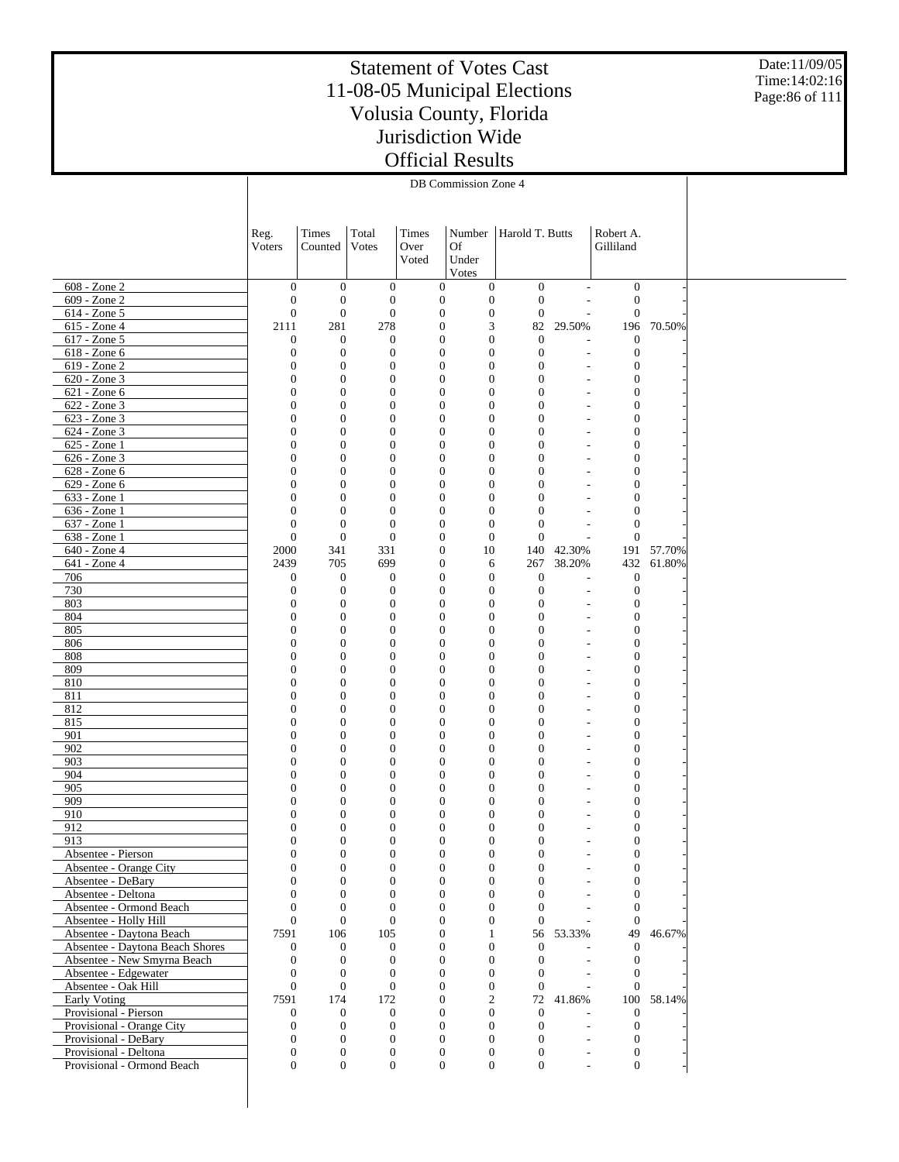Date:11/09/05 Time:14:02:16 Page:86 of 111

ī

### Statement of Votes Cast 11-08-05 Municipal Elections Volusia County, Florida Jurisdiction Wide Official Results DB Commission Zone 4

|                                                  | Reg.                             | Times                                | Total                              | Times                                |                                  | Number   Harold T. Butts             |                                                      | Robert A.                            |            |
|--------------------------------------------------|----------------------------------|--------------------------------------|------------------------------------|--------------------------------------|----------------------------------|--------------------------------------|------------------------------------------------------|--------------------------------------|------------|
|                                                  | Voters                           | Counted                              | Votes                              | Over                                 | <b>Of</b>                        |                                      |                                                      | Gilliland                            |            |
|                                                  |                                  |                                      |                                    | Voted                                | Under                            |                                      |                                                      |                                      |            |
|                                                  |                                  |                                      |                                    |                                      | Votes                            |                                      |                                                      |                                      |            |
| 608 - Zone 2<br>609 - Zone 2                     | $\mathbf{0}$<br>$\boldsymbol{0}$ | $\mathbf{0}$<br>$\mathbf{0}$         | $\overline{0}$<br>$\boldsymbol{0}$ | $\mathbf{0}$<br>$\boldsymbol{0}$     | $\mathbf{0}$<br>$\boldsymbol{0}$ | $\boldsymbol{0}$<br>$\boldsymbol{0}$ | $\sim$<br>$\overline{\phantom{a}}$                   | $\mathbf{0}$<br>$\mathbf{0}$         |            |
| 614 - Zone 5                                     | $\overline{0}$                   | $\overline{0}$                       | $\mathbf{0}$                       | $\boldsymbol{0}$                     | $\boldsymbol{0}$                 | $\mathbf{0}$                         |                                                      | $\theta$                             |            |
| 615 - Zone 4                                     | 2111                             | 281                                  | 278                                | $\boldsymbol{0}$                     | 3                                | 82                                   | 29.50%                                               | 196                                  | 70.50%     |
| 617 - Zone 5                                     | 0                                | $\mathbf{0}$                         | $\boldsymbol{0}$                   | $\boldsymbol{0}$                     | $\boldsymbol{0}$                 | $\boldsymbol{0}$                     |                                                      | $\mathbf{0}$                         |            |
| 618 - Zone 6                                     | $\boldsymbol{0}$                 | $\boldsymbol{0}$                     | $\boldsymbol{0}$                   | $\boldsymbol{0}$                     | $\boldsymbol{0}$                 | $\boldsymbol{0}$                     | $\overline{\phantom{a}}$                             | $\boldsymbol{0}$                     |            |
| 619 - Zone 2                                     | $\mathbf{0}$                     | $\mathbf{0}$                         | $\boldsymbol{0}$                   | $\boldsymbol{0}$                     | $\mathbf{0}$                     | $\boldsymbol{0}$                     | $\overline{\phantom{a}}$                             | $\boldsymbol{0}$                     |            |
| 620 - Zone 3                                     | $\mathbf{0}$                     | $\boldsymbol{0}$                     | $\mathbf{0}$                       | $\mathbf{0}$                         | $\mathbf{0}$                     | $\mathbf{0}$                         | $\overline{a}$                                       | $\boldsymbol{0}$                     |            |
| 621 - Zone 6<br>622 - Zone 3                     | $\mathbf{0}$<br>$\mathbf{0}$     | $\boldsymbol{0}$<br>$\boldsymbol{0}$ | $\boldsymbol{0}$<br>$\mathbf{0}$   | $\boldsymbol{0}$<br>$\boldsymbol{0}$ | $\mathbf{0}$<br>$\boldsymbol{0}$ | $\overline{0}$<br>$\overline{0}$     | $\overline{\phantom{a}}$<br>$\overline{\phantom{a}}$ | $\boldsymbol{0}$<br>$\boldsymbol{0}$ |            |
| 623 - Zone 3                                     | $\mathbf{0}$                     | $\boldsymbol{0}$                     | $\mathbf{0}$                       | $\boldsymbol{0}$                     | $\mathbf{0}$                     | $\overline{0}$                       | $\overline{\phantom{a}}$                             | $\boldsymbol{0}$                     |            |
| 624 - Zone 3                                     | $\mathbf{0}$                     | $\boldsymbol{0}$                     | $\mathbf{0}$                       | $\boldsymbol{0}$                     | $\mathbf{0}$                     | $\overline{0}$                       | $\overline{a}$                                       | $\boldsymbol{0}$                     |            |
| 625 - Zone 1                                     | $\mathbf{0}$                     | $\boldsymbol{0}$                     | $\boldsymbol{0}$                   | $\boldsymbol{0}$                     | $\mathbf{0}$                     | $\overline{0}$                       | $\overline{\phantom{a}}$                             | $\boldsymbol{0}$                     |            |
| 626 - Zone 3                                     | $\mathbf{0}$                     | $\boldsymbol{0}$                     | $\mathbf{0}$                       | $\boldsymbol{0}$                     | $\boldsymbol{0}$                 | $\overline{0}$                       | $\overline{\phantom{a}}$                             | $\boldsymbol{0}$                     |            |
| 628 - Zone 6                                     | $\mathbf{0}$                     | $\boldsymbol{0}$                     | $\boldsymbol{0}$                   | $\boldsymbol{0}$                     | $\mathbf{0}$                     | $\overline{0}$                       | $\overline{\phantom{a}}$                             | $\boldsymbol{0}$                     |            |
| $629 - Zone 6$                                   | $\mathbf{0}$                     | $\boldsymbol{0}$                     | $\mathbf{0}$                       | $\mathbf{0}$                         | $\mathbf{0}$                     | $\overline{0}$                       | $\overline{a}$                                       | $\boldsymbol{0}$                     |            |
| 633 - Zone 1                                     | $\mathbf{0}$                     | $\boldsymbol{0}$                     | $\boldsymbol{0}$                   | $\boldsymbol{0}$                     | $\boldsymbol{0}$                 | $\overline{0}$                       | $\overline{a}$                                       | $\boldsymbol{0}$                     |            |
| 636 - Zone 1                                     | $\mathbf{0}$                     | $\boldsymbol{0}$                     | $\mathbf{0}$                       | $\boldsymbol{0}$                     | $\boldsymbol{0}$                 | $\mathbf{0}$                         | $\overline{\phantom{a}}$                             | $\mathbf{0}$                         |            |
| 637 - Zone 1<br>638 - Zone 1                     | $\mathbf{0}$<br>$\mathbf{0}$     | $\boldsymbol{0}$<br>$\boldsymbol{0}$ | $\mathbf{0}$<br>$\mathbf{0}$       | $\boldsymbol{0}$<br>$\mathbf{0}$     | $\mathbf{0}$<br>$\mathbf{0}$     | $\boldsymbol{0}$<br>$\overline{0}$   | $\overline{a}$                                       | $\overline{0}$<br>$\overline{0}$     |            |
| 640 - Zone 4                                     | 2000                             | 341                                  | 331                                | $\boldsymbol{0}$                     | 10                               | 140                                  | 42.30%                                               | 191                                  | 57.70%     |
| 641 - Zone 4                                     | 2439                             | 705                                  | 699                                | $\boldsymbol{0}$                     | 6                                | 267                                  | 38.20%                                               | 432                                  | 61.80%     |
| 706                                              | 0                                | $\mathbf{0}$                         | $\mathbf{0}$                       | $\boldsymbol{0}$                     | $\mathbf{0}$                     | $\boldsymbol{0}$                     | $\overline{a}$                                       | $\mathbf{0}$                         |            |
| 730                                              | $\boldsymbol{0}$                 | $\mathbf{0}$                         | $\boldsymbol{0}$                   | $\boldsymbol{0}$                     | $\boldsymbol{0}$                 | $\boldsymbol{0}$                     | $\overline{\phantom{a}}$                             | $\boldsymbol{0}$                     |            |
| 803                                              | $\mathbf{0}$                     | $\boldsymbol{0}$                     | $\boldsymbol{0}$                   | $\boldsymbol{0}$                     | $\boldsymbol{0}$                 | $\boldsymbol{0}$                     | $\overline{a}$                                       | $\boldsymbol{0}$                     |            |
| 804                                              | $\mathbf{0}$                     | $\boldsymbol{0}$                     | $\mathbf{0}$                       | $\boldsymbol{0}$                     | $\boldsymbol{0}$                 | $\mathbf{0}$                         | $\overline{\phantom{a}}$                             | $\boldsymbol{0}$                     |            |
| 805                                              | $\mathbf{0}$                     | $\boldsymbol{0}$                     | $\boldsymbol{0}$                   | $\boldsymbol{0}$                     | $\mathbf{0}$                     | $\overline{0}$                       | $\overline{\phantom{a}}$                             | $\boldsymbol{0}$                     |            |
| 806                                              | $\mathbf{0}$                     | $\boldsymbol{0}$                     | $\mathbf{0}$                       | $\overline{0}$                       | $\mathbf{0}$<br>$\mathbf{0}$     | $\overline{0}$<br>$\overline{0}$     | $\overline{\phantom{a}}$                             | $\boldsymbol{0}$                     |            |
| 808<br>809                                       | $\mathbf{0}$<br>$\mathbf{0}$     | $\boldsymbol{0}$<br>$\boldsymbol{0}$ | $\boldsymbol{0}$<br>$\mathbf{0}$   | $\boldsymbol{0}$<br>$\boldsymbol{0}$ | $\boldsymbol{0}$                 | $\overline{0}$                       | $\overline{\phantom{a}}$<br>$\overline{\phantom{a}}$ | $\boldsymbol{0}$<br>$\boldsymbol{0}$ |            |
| 810                                              | $\mathbf{0}$                     | $\boldsymbol{0}$                     | $\boldsymbol{0}$                   | $\boldsymbol{0}$                     | $\mathbf{0}$                     | $\overline{0}$                       | $\overline{\phantom{a}}$                             | $\boldsymbol{0}$                     |            |
| 811                                              | $\mathbf{0}$                     | $\boldsymbol{0}$                     | $\mathbf{0}$                       | $\boldsymbol{0}$                     | $\mathbf{0}$                     | $\overline{0}$                       | $\overline{\phantom{a}}$                             | $\boldsymbol{0}$                     |            |
| 812                                              | $\mathbf{0}$                     | $\boldsymbol{0}$                     | $\boldsymbol{0}$                   | $\boldsymbol{0}$                     | $\mathbf{0}$                     | $\overline{0}$                       | $\overline{\phantom{a}}$                             | $\boldsymbol{0}$                     |            |
| 815                                              | $\mathbf{0}$                     | $\boldsymbol{0}$                     | $\mathbf{0}$                       | $\boldsymbol{0}$                     | $\boldsymbol{0}$                 | $\overline{0}$                       | $\overline{\phantom{a}}$                             | $\boldsymbol{0}$                     |            |
| 901                                              | $\mathbf{0}$                     | $\boldsymbol{0}$                     | $\boldsymbol{0}$                   | $\boldsymbol{0}$                     | $\mathbf{0}$                     | $\overline{0}$                       | $\overline{\phantom{a}}$                             | $\boldsymbol{0}$                     |            |
| 902                                              | $\mathbf{0}$                     | $\boldsymbol{0}$                     | $\mathbf{0}$                       | $\boldsymbol{0}$                     | $\mathbf{0}$                     | $\overline{0}$                       | $\overline{\phantom{a}}$                             | $\boldsymbol{0}$                     |            |
| 903                                              | $\mathbf{0}$                     | $\boldsymbol{0}$                     | $\boldsymbol{0}$                   | $\boldsymbol{0}$                     | $\mathbf{0}$                     | $\overline{0}$                       | $\overline{\phantom{a}}$                             | $\boldsymbol{0}$                     |            |
| 904<br>905                                       | $\mathbf{0}$<br>$\mathbf{0}$     | $\boldsymbol{0}$<br>$\boldsymbol{0}$ | $\mathbf{0}$<br>$\boldsymbol{0}$   | $\boldsymbol{0}$<br>$\boldsymbol{0}$ | $\boldsymbol{0}$<br>$\mathbf{0}$ | $\overline{0}$<br>$\overline{0}$     | $\overline{\phantom{a}}$<br>$\overline{\phantom{a}}$ | $\boldsymbol{0}$<br>$\boldsymbol{0}$ |            |
| 909                                              | $\boldsymbol{0}$                 | $\boldsymbol{0}$                     | $\mathbf{0}$                       | $\boldsymbol{0}$                     | $\mathbf{0}$                     | $\overline{0}$                       | $\overline{\phantom{a}}$                             | $\boldsymbol{0}$                     |            |
| 910                                              | $\theta$                         | $\boldsymbol{0}$                     | $\boldsymbol{0}$                   | $\boldsymbol{0}$                     | $\mathbf{0}$                     | $\overline{0}$                       | $\overline{\phantom{a}}$                             | $\boldsymbol{0}$                     |            |
| 912                                              | $\Omega$                         | $\boldsymbol{0}$                     | $\mathbf{0}$                       | $\mathbf{0}$                         | $\mathbf{0}$                     | $\overline{0}$                       | $\overline{\phantom{a}}$                             | $\boldsymbol{0}$                     |            |
| 913                                              | $\Omega$                         | $\Omega$                             | $\Omega$                           | $\Omega$                             | $\Omega$                         | $\Omega$                             |                                                      | $\Omega$                             |            |
| Absentee - Pierson                               | $\mathbf{0}$                     | $\mathbf{0}$                         | $\mathbf{0}$                       | $\mathbf{0}$                         | $\mathbf{0}$                     | $\mathbf{0}$                         |                                                      | $\mathbf{0}$                         |            |
| Absentee - Orange City                           | $\overline{0}$                   | $\overline{0}$                       | $\boldsymbol{0}$                   | $\boldsymbol{0}$                     | $\mathbf{0}$                     | $\overline{0}$                       |                                                      | $\overline{0}$                       |            |
| Absentee - DeBary                                | $\overline{0}$                   | $\overline{0}$                       | $\overline{0}$                     | $\overline{0}$                       | $\overline{0}$                   | $\overline{0}$                       | L,                                                   | $\overline{0}$                       |            |
| Absentee - Deltona                               | $\overline{0}$                   | $\overline{0}$                       | $\overline{0}$                     | $\overline{0}$                       | $\overline{0}$                   | $\overline{0}$                       |                                                      | $\overline{0}$                       |            |
| Absentee - Ormond Beach<br>Absentee - Holly Hill | $\overline{0}$<br>$\Omega$       | $\overline{0}$<br>$\overline{0}$     | $\overline{0}$<br>$\mathbf{0}$     | $\overline{0}$<br>$\overline{0}$     | $\overline{0}$<br>$\overline{0}$ | $\overline{0}$<br>$\theta$           |                                                      | $\overline{0}$<br>$\overline{0}$     |            |
| Absentee - Daytona Beach                         | 7591                             | 106                                  | 105                                | $\overline{0}$                       | $\mathbf{1}$                     | 56                                   | 53.33%                                               | 49                                   | 46.67%     |
| Absentee - Daytona Beach Shores                  | 0                                | $\overline{0}$                       | $\mathbf{0}$                       | $\overline{0}$                       | $\mathbf{0}$                     | $\mathbf{0}$                         |                                                      | $\theta$                             |            |
| Absentee - New Smyrna Beach                      | 0                                | $\overline{0}$                       | $\overline{0}$                     | $\overline{0}$                       | $\overline{0}$                   | $\mathbf{0}$                         | $\sim$                                               | $\mathbf{0}$                         |            |
| Absentee - Edgewater                             | $\overline{0}$                   | $\overline{0}$                       | $\mathbf{0}$                       | $\overline{0}$                       | $\overline{0}$                   | $\mathbf{0}$                         | $\sim$                                               | $\overline{0}$                       |            |
| Absentee - Oak Hill                              | $\overline{0}$                   | $\overline{0}$                       | $\overline{0}$                     | $\overline{0}$                       | $\boldsymbol{0}$                 | $\mathbf{0}$                         | $\overline{\phantom{a}}$                             | $\Omega$                             |            |
| Early Voting                                     | 7591                             | 174                                  | 172                                | $\overline{0}$                       | $\overline{c}$                   | 72                                   | 41.86%                                               |                                      | 100 58.14% |
| Provisional - Pierson                            | $\boldsymbol{0}$                 | $\overline{0}$                       | $\mathbf{0}$                       | $\overline{0}$                       | $\overline{0}$                   | $\theta$                             |                                                      | $\overline{0}$                       |            |
| Provisional - Orange City                        | $\overline{0}$                   | $\overline{0}$                       | $\overline{0}$                     | $\overline{0}$<br>$\overline{0}$     | $\overline{0}$                   | $\boldsymbol{0}$<br>$\overline{0}$   | L.                                                   | $\mathbf{0}$                         |            |
| Provisional - DeBary<br>Provisional - Deltona    | $\overline{0}$<br>$\mathbf{0}$   | $\overline{0}$<br>$\mathbf{0}$       | $\overline{0}$<br>$\boldsymbol{0}$ | $\mathbf{0}$                         | $\overline{0}$<br>$\mathbf{0}$   | $\mathbf{0}$                         | $\sim$<br>$\overline{\phantom{a}}$                   | $\overline{0}$<br>$\overline{0}$     |            |
| Provisional - Ormond Beach                       | $\overline{0}$                   | $\boldsymbol{0}$                     | $\boldsymbol{0}$                   | $\overline{0}$                       | $\mathbf{0}$                     | $\boldsymbol{0}$                     | $\overline{\phantom{a}}$                             | $\overline{0}$                       |            |
|                                                  |                                  |                                      |                                    |                                      |                                  |                                      |                                                      |                                      |            |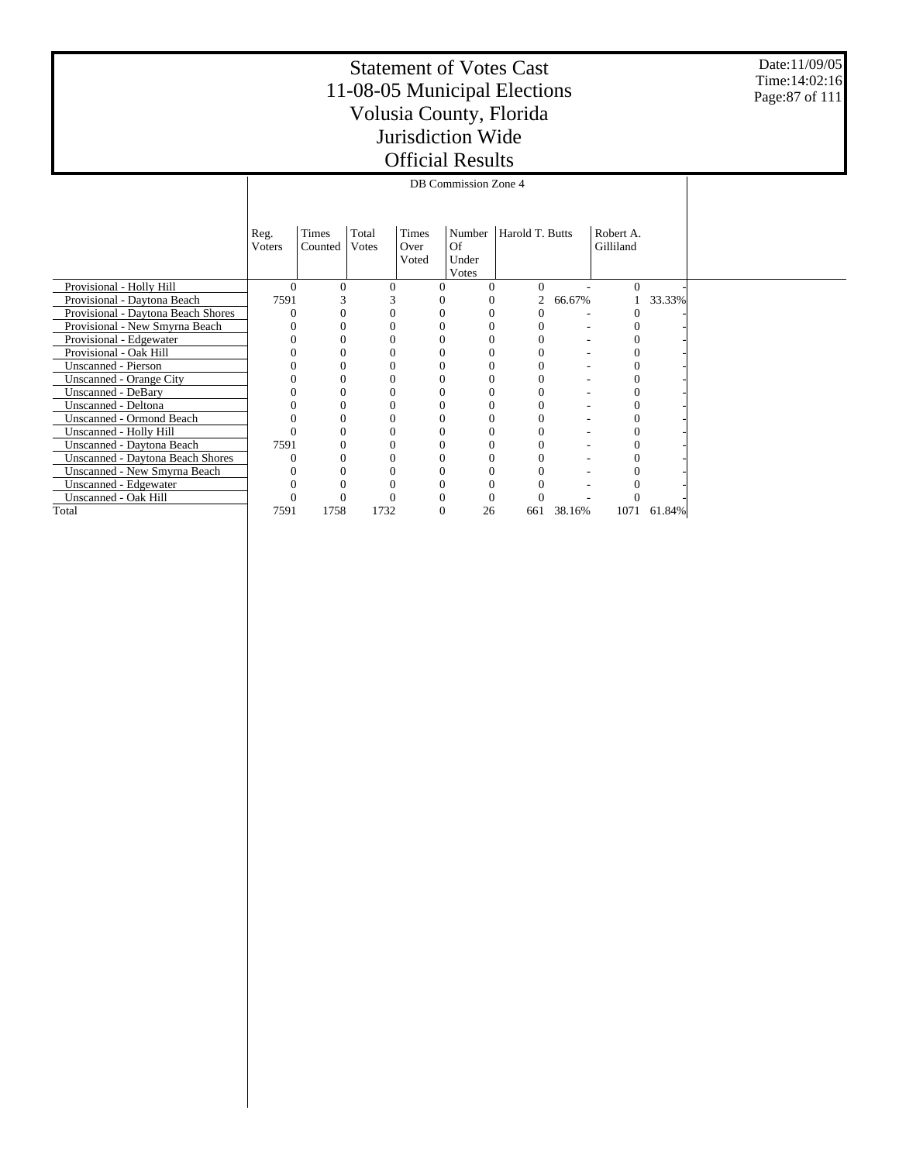Date:11/09/05 Time:14:02:16 Page:87 of 111

|                                         | Reg.<br>Voters | Times<br>Counted | Total<br>Votes | Times<br>Over<br>Voted | Of<br>Under<br>Votes | Number   Harold T. Butts |            | Robert A.<br>Gilliland |        |
|-----------------------------------------|----------------|------------------|----------------|------------------------|----------------------|--------------------------|------------|------------------------|--------|
| Provisional - Holly Hill                | $\Omega$       | $\Omega$         | $\Omega$       |                        |                      | 0                        |            | $\Omega$               |        |
| Provisional - Daytona Beach             | 7591           |                  |                |                        |                      |                          | 66.67%     |                        | 33.33% |
| Provisional - Daytona Beach Shores      |                |                  |                |                        |                      |                          |            |                        |        |
| Provisional - New Smyrna Beach          |                |                  |                |                        |                      |                          |            |                        |        |
| Provisional - Edgewater                 |                |                  |                | $^{(1)}$               |                      |                          |            |                        |        |
| Provisional - Oak Hill                  |                |                  |                | $^{(1)}$               |                      |                          |            |                        |        |
| Unscanned - Pierson                     |                |                  |                |                        |                      |                          |            |                        |        |
| Unscanned - Orange City                 |                |                  |                |                        |                      |                          |            |                        |        |
| Unscanned - DeBary                      |                |                  |                |                        |                      |                          |            |                        |        |
| Unscanned - Deltona                     |                |                  |                |                        |                      |                          |            |                        |        |
| Unscanned - Ormond Beach                |                |                  |                |                        |                      |                          |            |                        |        |
| Unscanned - Holly Hill                  |                |                  |                |                        |                      |                          |            |                        |        |
| Unscanned - Daytona Beach               | 7591           |                  |                | 0                      |                      |                          |            |                        |        |
| <b>Unscanned - Daytona Beach Shores</b> |                |                  |                | $^{(1)}$               |                      |                          |            |                        |        |
| Unscanned - New Smyrna Beach            |                |                  |                | $^{(1)}$               |                      |                          |            |                        |        |
| Unscanned - Edgewater                   |                |                  |                |                        |                      |                          |            |                        |        |
| Unscanned - Oak Hill                    |                |                  |                |                        |                      |                          |            |                        |        |
| Total                                   | 7591           | 1758             | 1732           |                        | 26                   |                          | 661 38.16% | 1071                   | 61.84% |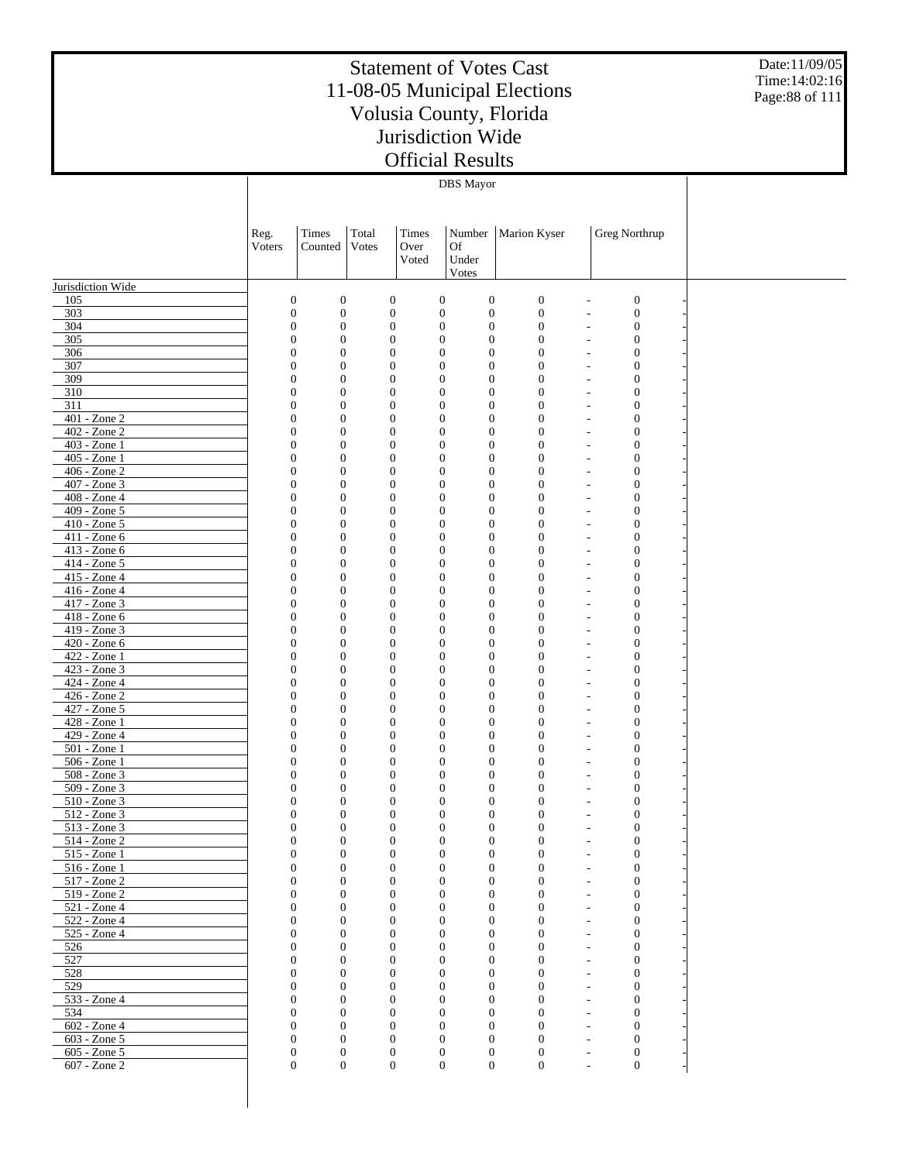Statement of Votes Cast 11-08-05 Municipal Elections Volusia County, Florida Jurisdiction Wide Official Results

Date:11/09/05 Time:14:02:16 Page:88 of 111

#### DBS Mayor

|                                   | Reg.<br>Voters                       | Times<br>Counted   Votes             | Total                                | Times<br>Over<br>Voted | Of<br>Under<br>Votes                                                 | Number   Marion Kyser                | Greg Northrup                                                            |  |
|-----------------------------------|--------------------------------------|--------------------------------------|--------------------------------------|------------------------|----------------------------------------------------------------------|--------------------------------------|--------------------------------------------------------------------------|--|
| Jurisdiction Wide                 |                                      |                                      |                                      |                        |                                                                      |                                      |                                                                          |  |
| 105                               | $\boldsymbol{0}$                     | $\boldsymbol{0}$                     | $\boldsymbol{0}$                     |                        | $\boldsymbol{0}$<br>$\boldsymbol{0}$                                 | $\boldsymbol{0}$                     | $\boldsymbol{0}$<br>L.                                                   |  |
| 303                               | $\boldsymbol{0}$                     | $\boldsymbol{0}$                     | $\boldsymbol{0}$                     |                        | $\boldsymbol{0}$<br>$\boldsymbol{0}$                                 | $\boldsymbol{0}$                     | $\boldsymbol{0}$                                                         |  |
| 304                               | $\mathbf{0}$                         | $\boldsymbol{0}$                     | $\boldsymbol{0}$                     |                        | $\boldsymbol{0}$<br>$\boldsymbol{0}$                                 | $\mathbf{0}$                         | $\boldsymbol{0}$<br>$\overline{a}$                                       |  |
| 305                               | $\mathbf{0}$                         | $\boldsymbol{0}$                     | $\boldsymbol{0}$                     |                        | $\boldsymbol{0}$<br>$\boldsymbol{0}$                                 | $\mathbf{0}$                         | $\boldsymbol{0}$                                                         |  |
| 306                               | $\boldsymbol{0}$                     | $\boldsymbol{0}$                     | $\boldsymbol{0}$                     |                        | $\mathbf{0}$<br>$\mathbf{0}$                                         | $\mathbf{0}$                         | $\boldsymbol{0}$<br>$\overline{a}$                                       |  |
| 307<br>309                        | $\boldsymbol{0}$<br>$\boldsymbol{0}$ | $\boldsymbol{0}$<br>$\boldsymbol{0}$ | $\boldsymbol{0}$<br>$\boldsymbol{0}$ |                        | $\boldsymbol{0}$<br>$\mathbf{0}$<br>$\boldsymbol{0}$<br>$\mathbf{0}$ | $\mathbf{0}$<br>$\mathbf{0}$         | $\boldsymbol{0}$<br>$\boldsymbol{0}$<br>÷,                               |  |
| 310                               | $\boldsymbol{0}$                     | $\boldsymbol{0}$                     | $\boldsymbol{0}$                     |                        | $\boldsymbol{0}$<br>$\mathbf{0}$                                     | $\mathbf{0}$                         | $\boldsymbol{0}$<br>L.                                                   |  |
| $\overline{311}$                  | $\boldsymbol{0}$                     | $\boldsymbol{0}$                     | $\boldsymbol{0}$                     |                        | $\boldsymbol{0}$<br>$\mathbf{0}$                                     | $\mathbf{0}$                         | $\boldsymbol{0}$<br>$\overline{a}$                                       |  |
| $401 - Z$ one $2$                 | $\boldsymbol{0}$                     | $\boldsymbol{0}$                     | $\boldsymbol{0}$                     |                        | $\boldsymbol{0}$<br>$\mathbf{0}$                                     | $\mathbf{0}$                         | $\boldsymbol{0}$                                                         |  |
| $402 - Z$ one $2$                 | $\boldsymbol{0}$                     | $\boldsymbol{0}$                     | $\boldsymbol{0}$                     |                        | $\boldsymbol{0}$<br>$\mathbf{0}$                                     | $\mathbf{0}$                         | $\boldsymbol{0}$<br>$\overline{a}$                                       |  |
| $403 - Z$ one 1                   | $\boldsymbol{0}$                     | $\boldsymbol{0}$                     | $\boldsymbol{0}$                     |                        | $\boldsymbol{0}$<br>$\mathbf{0}$                                     | $\mathbf{0}$                         | $\boldsymbol{0}$<br>÷,                                                   |  |
| $405 - Zone$ 1                    | $\boldsymbol{0}$                     | $\boldsymbol{0}$                     | $\boldsymbol{0}$                     |                        | $\boldsymbol{0}$<br>$\mathbf{0}$                                     | $\mathbf{0}$                         | $\boldsymbol{0}$<br>$\overline{a}$                                       |  |
| $406 - Z$ one $2$                 | $\boldsymbol{0}$                     | $\boldsymbol{0}$                     | $\boldsymbol{0}$                     |                        | $\boldsymbol{0}$<br>$\mathbf{0}$                                     | $\mathbf{0}$                         | $\boldsymbol{0}$                                                         |  |
| $407 - Z$ one 3                   | $\boldsymbol{0}$                     | $\boldsymbol{0}$                     | $\boldsymbol{0}$                     |                        | $\boldsymbol{0}$<br>$\mathbf{0}$                                     | $\mathbf{0}$                         | $\boldsymbol{0}$<br>$\overline{a}$                                       |  |
| 408 - Zone 4                      | $\boldsymbol{0}$                     | $\boldsymbol{0}$                     | $\boldsymbol{0}$                     |                        | $\boldsymbol{0}$<br>$\mathbf{0}$                                     | $\mathbf{0}$                         | $\boldsymbol{0}$                                                         |  |
| $409 - Zone$ 5<br>410 - Zone 5    | $\boldsymbol{0}$<br>$\boldsymbol{0}$ | $\boldsymbol{0}$<br>$\boldsymbol{0}$ | $\boldsymbol{0}$<br>$\boldsymbol{0}$ |                        | $\boldsymbol{0}$<br>$\mathbf{0}$<br>$\boldsymbol{0}$<br>$\mathbf{0}$ | $\mathbf{0}$<br>$\mathbf{0}$         | $\boldsymbol{0}$<br>$\overline{a}$<br>$\boldsymbol{0}$<br>$\overline{a}$ |  |
| $411 - Zone 6$                    | $\boldsymbol{0}$                     | $\boldsymbol{0}$                     | $\boldsymbol{0}$                     |                        | $\boldsymbol{0}$<br>$\mathbf{0}$                                     | $\mathbf{0}$                         | $\boldsymbol{0}$<br>$\overline{a}$                                       |  |
| $413 - Zone 6$                    | $\boldsymbol{0}$                     | $\boldsymbol{0}$                     | $\boldsymbol{0}$                     |                        | $\boldsymbol{0}$<br>$\mathbf{0}$                                     | $\mathbf{0}$                         | $\boldsymbol{0}$                                                         |  |
| $414 - Zone 5$                    | $\boldsymbol{0}$                     | $\boldsymbol{0}$                     | $\boldsymbol{0}$                     |                        | $\boldsymbol{0}$<br>$\mathbf{0}$                                     | $\mathbf{0}$                         | $\boldsymbol{0}$<br>$\overline{a}$                                       |  |
| 415 - Zone 4                      | $\boldsymbol{0}$                     | $\boldsymbol{0}$                     | $\boldsymbol{0}$                     |                        | $\boldsymbol{0}$<br>$\mathbf{0}$                                     | $\mathbf{0}$                         | $\boldsymbol{0}$<br>$\overline{a}$                                       |  |
| $416 - Zone4$                     | $\boldsymbol{0}$                     | $\boldsymbol{0}$                     | $\boldsymbol{0}$                     |                        | $\boldsymbol{0}$<br>$\mathbf{0}$                                     | $\mathbf{0}$                         | $\boldsymbol{0}$<br>$\overline{a}$                                       |  |
| 417 - Zone 3                      | $\boldsymbol{0}$                     | $\boldsymbol{0}$                     | $\boldsymbol{0}$                     |                        | $\boldsymbol{0}$<br>$\mathbf{0}$                                     | $\mathbf{0}$                         | $\boldsymbol{0}$                                                         |  |
| $418 - Zone 6$                    | $\boldsymbol{0}$                     | $\boldsymbol{0}$                     | $\boldsymbol{0}$                     |                        | $\boldsymbol{0}$<br>$\mathbf{0}$                                     | $\mathbf{0}$                         | $\boldsymbol{0}$<br>$\overline{a}$                                       |  |
| $419 - Zone$ 3                    | $\boldsymbol{0}$                     | $\boldsymbol{0}$                     | $\boldsymbol{0}$                     |                        | $\boldsymbol{0}$<br>$\mathbf{0}$                                     | $\mathbf{0}$                         | $\boldsymbol{0}$                                                         |  |
| $420 - Z$ one 6<br>422 - Zone 1   | $\boldsymbol{0}$                     | $\boldsymbol{0}$                     | $\boldsymbol{0}$                     |                        | $\boldsymbol{0}$<br>$\mathbf{0}$                                     | $\mathbf{0}$<br>$\mathbf{0}$         | $\boldsymbol{0}$<br>$\overline{a}$                                       |  |
| $423 - Zone$ 3                    | $\boldsymbol{0}$<br>$\boldsymbol{0}$ | $\boldsymbol{0}$<br>$\boldsymbol{0}$ | $\boldsymbol{0}$<br>$\boldsymbol{0}$ |                        | $\boldsymbol{0}$<br>$\mathbf{0}$<br>$\boldsymbol{0}$<br>$\mathbf{0}$ | $\mathbf{0}$                         | $\boldsymbol{0}$<br>÷<br>$\boldsymbol{0}$<br>$\overline{a}$              |  |
| 424 - Zone 4                      | $\boldsymbol{0}$                     | $\boldsymbol{0}$                     | $\boldsymbol{0}$                     |                        | $\boldsymbol{0}$<br>$\mathbf{0}$                                     | $\mathbf{0}$                         | $\boldsymbol{0}$                                                         |  |
| $426 - Zone$ 2                    | $\boldsymbol{0}$                     | $\boldsymbol{0}$                     | $\boldsymbol{0}$                     |                        | $\boldsymbol{0}$<br>$\mathbf{0}$                                     | $\mathbf{0}$                         | $\boldsymbol{0}$<br>$\overline{a}$                                       |  |
| 427 - Zone 5                      | $\boldsymbol{0}$                     | $\boldsymbol{0}$                     | $\boldsymbol{0}$                     |                        | $\boldsymbol{0}$<br>$\mathbf{0}$                                     | $\mathbf{0}$                         | $\boldsymbol{0}$<br>÷,                                                   |  |
| $428 - Zone$ 1                    | $\boldsymbol{0}$                     | $\boldsymbol{0}$                     | $\boldsymbol{0}$                     |                        | $\boldsymbol{0}$<br>$\mathbf{0}$                                     | $\mathbf{0}$                         | $\boldsymbol{0}$<br>$\overline{a}$                                       |  |
| 429 - Zone 4                      | $\boldsymbol{0}$                     | $\boldsymbol{0}$                     | $\boldsymbol{0}$                     |                        | $\boldsymbol{0}$<br>$\mathbf{0}$                                     | $\mathbf{0}$                         | $\boldsymbol{0}$                                                         |  |
| $501 - Z$ one 1                   | $\boldsymbol{0}$                     | $\boldsymbol{0}$                     | $\boldsymbol{0}$                     |                        | $\boldsymbol{0}$<br>$\mathbf{0}$                                     | $\mathbf{0}$                         | $\boldsymbol{0}$<br>$\overline{a}$                                       |  |
| $506 - Zone$ 1                    | $\boldsymbol{0}$                     | $\boldsymbol{0}$                     | $\boldsymbol{0}$                     |                        | $\boldsymbol{0}$<br>$\mathbf{0}$                                     | $\mathbf{0}$                         | $\boldsymbol{0}$                                                         |  |
| $508 - Z$ one 3<br>$509 - Zone$ 3 | $\boldsymbol{0}$                     | $\boldsymbol{0}$                     | $\boldsymbol{0}$                     |                        | $\mathbf{0}$<br>$\mathbf{0}$                                         | $\mathbf{0}$<br>$\mathbf{0}$         | $\boldsymbol{0}$<br>$\overline{a}$                                       |  |
| $510 - Z$ one 3                   | $\boldsymbol{0}$<br>$\boldsymbol{0}$ | $\boldsymbol{0}$<br>$\boldsymbol{0}$ | $\boldsymbol{0}$<br>$\boldsymbol{0}$ |                        | $\boldsymbol{0}$<br>$\mathbf{0}$<br>$\boldsymbol{0}$<br>$\mathbf{0}$ | $\mathbf{0}$                         | $\boldsymbol{0}$<br>$\boldsymbol{0}$                                     |  |
| $512 - Zone$ 3                    | $\boldsymbol{0}$                     | $\boldsymbol{0}$                     | $\boldsymbol{0}$                     |                        | $\boldsymbol{0}$<br>$\mathbf{0}$                                     | $\mathbf{0}$                         | $\boldsymbol{0}$                                                         |  |
| $513 - Zone$ 3                    | $\mathbf{0}$                         | $\boldsymbol{0}$                     | $\boldsymbol{0}$                     |                        | $\boldsymbol{0}$<br>$\mathbf{0}$                                     | $\mathbf{0}$                         | $\boldsymbol{0}$                                                         |  |
| 514 - Zone 2                      | $\boldsymbol{0}$                     | $\boldsymbol{0}$                     | $\boldsymbol{0}$                     |                        | $\boldsymbol{0}$<br>$\boldsymbol{0}$                                 | $\mathbf{0}$                         | $\boldsymbol{0}$                                                         |  |
| 515 - Zone 1                      | $\Omega$                             | $\overline{0}$                       | $\mathbf{0}$                         |                        | $\Omega$<br>$\mathbf{0}$                                             | $\Omega$                             | $\Omega$                                                                 |  |
| 516 - Zone 1                      | $\boldsymbol{0}$                     | $\boldsymbol{0}$                     | $\theta$                             |                        | $\mathbf{0}$<br>$\mathbf{0}$                                         | 0                                    | 0                                                                        |  |
| 517 - Zone 2                      | $\mathbf{0}$                         | $\mathbf{0}$                         | $\mathbf{0}$                         |                        | $\overline{0}$<br>$\mathbf{0}$                                       | $\theta$                             | $\mathbf{0}$                                                             |  |
| $519 - Zone2$                     | $\mathbf{0}$                         | $\mathbf{0}$                         | $\overline{0}$                       |                        | $\theta$<br>$\mathbf{0}$                                             | $\overline{0}$                       | $\boldsymbol{0}$                                                         |  |
| 521 - Zone 4                      | $\mathbf{0}$<br>$\mathbf{0}$         | $\Omega$<br>$\mathbf{0}$             | $\Omega$<br>$\mathbf{0}$             |                        | $\mathbf{0}$<br>$\overline{0}$<br>$\overline{0}$                     | $\theta$<br>$\theta$                 | $\mathbf{0}$                                                             |  |
| 522 - Zone 4<br>525 - Zone 4      | $\Omega$                             | $\Omega$                             | $\Omega$                             |                        | $\mathbf{0}$<br>$\overline{0}$<br>$\Omega$                           | $\theta$                             | $\boldsymbol{0}$<br>$\mathbf{0}$                                         |  |
| 526                               | $\mathbf{0}$                         | $\mathbf{0}$                         | $\mathbf{0}$                         |                        | $\overline{0}$<br>$\mathbf{0}$                                       | $\theta$                             | $\boldsymbol{0}$                                                         |  |
| 527                               | $\Omega$                             | $\Omega$                             | $\Omega$                             |                        | $\theta$<br>$\Omega$                                                 | $\Omega$                             | $\mathbf{0}$                                                             |  |
| 528                               | $\mathbf{0}$                         | $\mathbf{0}$                         | $\mathbf{0}$                         |                        | $\overline{0}$<br>$\mathbf{0}$                                       | $\theta$                             | $\boldsymbol{0}$                                                         |  |
| 529                               | $\Omega$                             | $\Omega$                             | $\Omega$                             |                        | $\overline{0}$<br>$\Omega$                                           | $\theta$                             | $\mathbf{0}$                                                             |  |
| 533 - Zone 4                      | $\mathbf{0}$                         | $\mathbf{0}$                         | $\mathbf{0}$                         |                        | $\overline{0}$<br>$\mathbf{0}$                                       | $\theta$                             | $\mathbf{0}$                                                             |  |
| 534                               | $\Omega$                             | $\Omega$                             | $\Omega$                             |                        | $\theta$<br>$\Omega$                                                 | $\theta$                             | $\mathbf{0}$                                                             |  |
| $602 - Z$ one 4                   | $\mathbf{0}$                         | $\mathbf{0}$                         | $\mathbf{0}$                         |                        | $\overline{0}$<br>$\mathbf{0}$                                       | $\theta$                             | $\boldsymbol{0}$                                                         |  |
| $603 - Z$ one 5                   | $\Omega$                             | $\Omega$                             | $\Omega$                             |                        | $\overline{0}$<br>$\overline{0}$                                     | $\theta$                             | $\mathbf{0}$                                                             |  |
| 605 - Zone 5<br>$607 - Z$ one $2$ | $\boldsymbol{0}$<br>$\Omega$         | $\mathbf{0}$<br>$\overline{0}$       | $\boldsymbol{0}$<br>$\boldsymbol{0}$ |                        | $\mathbf{0}$<br>$\mathbf{0}$<br>$\overline{0}$<br>$\mathbf{0}$       | $\boldsymbol{0}$<br>$\boldsymbol{0}$ | $\boldsymbol{0}$<br>$\mathbf{0}$                                         |  |
|                                   |                                      |                                      |                                      |                        |                                                                      |                                      |                                                                          |  |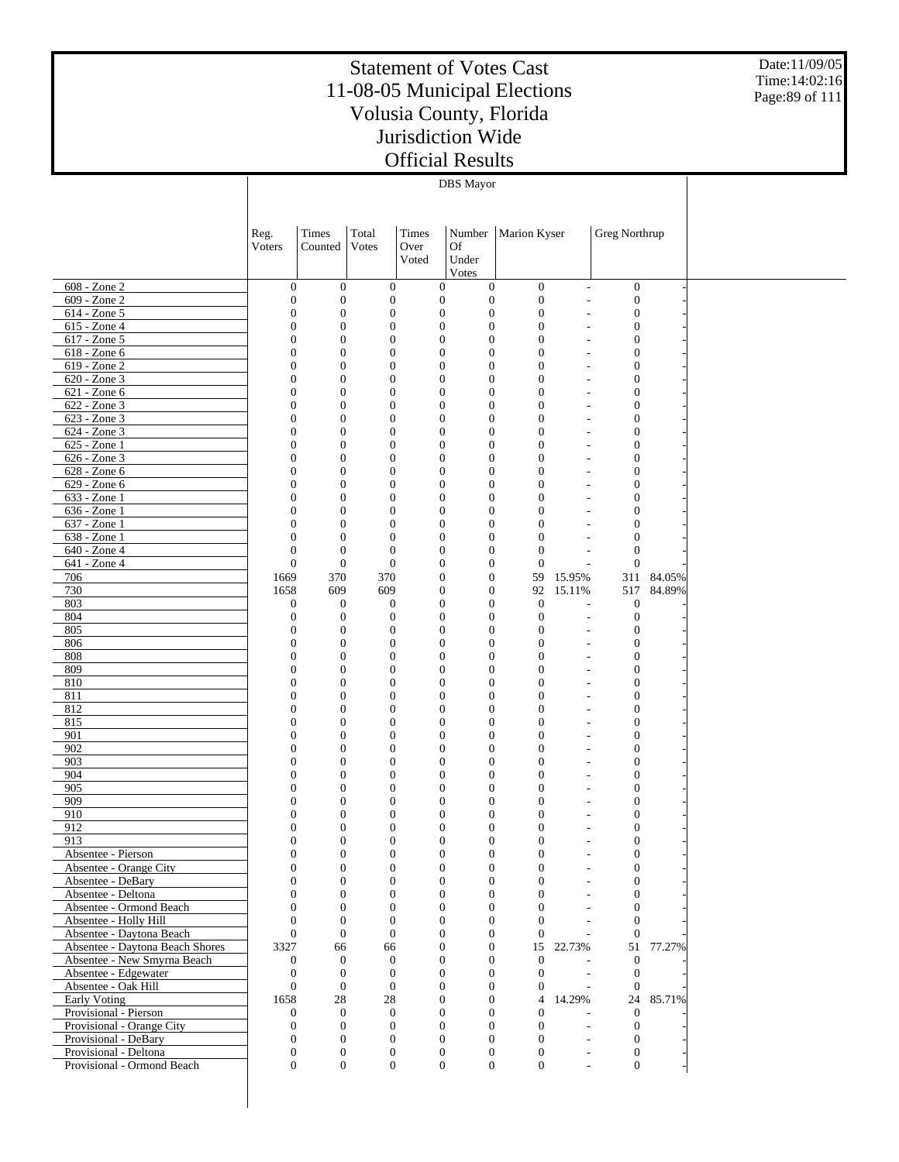Date:11/09/05 Time:14:02:16 Page:89 of 111

## Statement of Votes Cast 11-08-05 Municipal Elections Volusia County, Florida Jurisdiction Wide Official Results

DBS Mayor

|                                                                | Reg.<br>Voters                   | Times<br>Counted                     | Total<br>Votes                       | Times<br>Over<br>Voted | Number<br>Of<br>Under<br>Votes                                               | Marion Kyser                         |                          | Greg Northrup                    |        |
|----------------------------------------------------------------|----------------------------------|--------------------------------------|--------------------------------------|------------------------|------------------------------------------------------------------------------|--------------------------------------|--------------------------|----------------------------------|--------|
| 608 - Zone 2                                                   | $\boldsymbol{0}$                 | $\boldsymbol{0}$                     | $\boldsymbol{0}$                     |                        | $\mathbf{0}$<br>$\boldsymbol{0}$                                             | $\boldsymbol{0}$                     | $\overline{\phantom{a}}$ | $\boldsymbol{0}$                 |        |
| 609 - Zone 2                                                   | $\mathbf{0}$                     | $\boldsymbol{0}$                     | $\boldsymbol{0}$                     |                        | $\boldsymbol{0}$<br>$\boldsymbol{0}$                                         | $\boldsymbol{0}$                     | $\overline{a}$           | $\boldsymbol{0}$                 |        |
| $614 - Zone$ 5                                                 | $\boldsymbol{0}$                 | $\boldsymbol{0}$                     | $\boldsymbol{0}$                     |                        | $\mathbf{0}$<br>$\boldsymbol{0}$                                             | $\boldsymbol{0}$                     |                          | $\boldsymbol{0}$                 |        |
| 615 - Zone 4                                                   | $\boldsymbol{0}$                 | $\boldsymbol{0}$                     | $\boldsymbol{0}$                     |                        | $\boldsymbol{0}$<br>$\boldsymbol{0}$                                         | $\boldsymbol{0}$                     |                          | $\boldsymbol{0}$                 |        |
| $617 - Zone$ 5                                                 | $\overline{0}$                   | $\boldsymbol{0}$                     | $\boldsymbol{0}$                     |                        | $\boldsymbol{0}$<br>$\boldsymbol{0}$                                         | $\boldsymbol{0}$                     | $\overline{\phantom{a}}$ | $\mathbf{0}$                     |        |
| 618 - Zone 6<br>$619 - Zone2$                                  | $\overline{0}$<br>$\overline{0}$ | $\boldsymbol{0}$<br>$\boldsymbol{0}$ | $\boldsymbol{0}$<br>$\boldsymbol{0}$ |                        | $\boldsymbol{0}$<br>$\boldsymbol{0}$<br>$\boldsymbol{0}$                     | $\boldsymbol{0}$<br>$\boldsymbol{0}$ |                          | $\boldsymbol{0}$<br>$\mathbf{0}$ |        |
| 620 - Zone 3                                                   | $\overline{0}$                   | $\boldsymbol{0}$                     | $\boldsymbol{0}$                     |                        | $\boldsymbol{0}$<br>$\boldsymbol{0}$<br>$\boldsymbol{0}$                     | $\boldsymbol{0}$                     |                          | $\boldsymbol{0}$                 |        |
| $621 - Zone 6$                                                 | $\overline{0}$                   | $\boldsymbol{0}$                     | $\boldsymbol{0}$                     |                        | $\boldsymbol{0}$<br>$\boldsymbol{0}$                                         | $\boldsymbol{0}$                     |                          | $\mathbf{0}$                     |        |
| $622 - Zone$ 3                                                 | $\overline{0}$                   | $\boldsymbol{0}$                     | $\boldsymbol{0}$                     |                        | $\boldsymbol{0}$<br>$\boldsymbol{0}$                                         | $\boldsymbol{0}$                     |                          | $\boldsymbol{0}$                 |        |
| $623 - Zone$ 3                                                 | $\overline{0}$                   | $\boldsymbol{0}$                     | $\boldsymbol{0}$                     |                        | $\boldsymbol{0}$<br>$\boldsymbol{0}$                                         | $\boldsymbol{0}$                     |                          | $\mathbf{0}$                     |        |
| 624 - Zone 3                                                   | $\overline{0}$                   | $\boldsymbol{0}$                     | $\boldsymbol{0}$                     |                        | $\boldsymbol{0}$<br>$\boldsymbol{0}$                                         | $\boldsymbol{0}$                     |                          | $\boldsymbol{0}$                 |        |
| $625 - Zone1$                                                  | $\overline{0}$                   | $\boldsymbol{0}$                     | $\boldsymbol{0}$                     |                        | $\boldsymbol{0}$<br>$\boldsymbol{0}$                                         | $\boldsymbol{0}$                     | ٠                        | $\mathbf{0}$                     |        |
| 626 - Zone 3                                                   | 0                                | $\boldsymbol{0}$                     | $\boldsymbol{0}$                     |                        | $\boldsymbol{0}$<br>$\boldsymbol{0}$                                         | $\boldsymbol{0}$                     |                          | $\boldsymbol{0}$                 |        |
| $628 - Z$ one $6$                                              | $\mathbf{0}$                     | $\boldsymbol{0}$                     | $\boldsymbol{0}$                     |                        | $\boldsymbol{0}$<br>$\boldsymbol{0}$                                         | $\boldsymbol{0}$                     | $\overline{a}$           | $\mathbf{0}$                     |        |
| 629 - Zone 6                                                   | 0                                | $\boldsymbol{0}$                     | $\boldsymbol{0}$                     |                        | $\boldsymbol{0}$<br>$\boldsymbol{0}$                                         | $\boldsymbol{0}$                     |                          | $\boldsymbol{0}$                 |        |
| $633 - Zone1$<br>636 - Zone 1                                  | $\mathbf{0}$<br>$\boldsymbol{0}$ | $\boldsymbol{0}$<br>$\boldsymbol{0}$ | $\boldsymbol{0}$<br>$\boldsymbol{0}$ |                        | $\boldsymbol{0}$<br>$\boldsymbol{0}$<br>$\boldsymbol{0}$<br>$\boldsymbol{0}$ | $\boldsymbol{0}$<br>$\boldsymbol{0}$ | $\overline{a}$           | $\mathbf{0}$<br>$\boldsymbol{0}$ |        |
| $637 - Zone1$                                                  | $\mathbf{0}$                     | $\boldsymbol{0}$                     | $\boldsymbol{0}$                     |                        | $\boldsymbol{0}$<br>$\boldsymbol{0}$                                         | $\boldsymbol{0}$                     |                          | $\mathbf{0}$                     |        |
| 638 - Zone 1                                                   | $\mathbf{0}$                     | $\boldsymbol{0}$                     | $\boldsymbol{0}$                     |                        | $\boldsymbol{0}$<br>$\boldsymbol{0}$                                         | $\boldsymbol{0}$                     |                          | $\mathbf{0}$                     |        |
| $640 - Z$ one 4                                                | $\mathbf{0}$                     | $\boldsymbol{0}$                     | $\boldsymbol{0}$                     |                        | $\boldsymbol{0}$<br>$\boldsymbol{0}$                                         | $\boldsymbol{0}$                     |                          | $\mathbf{0}$                     |        |
| 641 - Zone 4                                                   | $\overline{0}$                   | $\boldsymbol{0}$                     | $\boldsymbol{0}$                     |                        | $\boldsymbol{0}$<br>$\boldsymbol{0}$                                         | $\mathbf{0}$                         |                          | $\mathbf{0}$                     |        |
| 706                                                            | 1669                             | 370                                  | 370                                  |                        | $\boldsymbol{0}$<br>$\boldsymbol{0}$                                         | 59<br>15.95%                         |                          | 311                              | 84.05% |
| 730                                                            | 1658                             | 609                                  | 609                                  |                        | $\boldsymbol{0}$<br>$\boldsymbol{0}$                                         | 15.11%<br>92                         |                          | 517                              | 84.89% |
| 803                                                            | 0                                | $\boldsymbol{0}$                     | $\boldsymbol{0}$                     |                        | $\boldsymbol{0}$<br>$\boldsymbol{0}$                                         | $\boldsymbol{0}$                     | $\overline{a}$           | $\boldsymbol{0}$                 |        |
| 804                                                            | $\boldsymbol{0}$                 | $\boldsymbol{0}$                     | $\boldsymbol{0}$                     |                        | $\boldsymbol{0}$<br>$\boldsymbol{0}$                                         | $\boldsymbol{0}$                     | $\overline{a}$           | $\boldsymbol{0}$                 |        |
| 805                                                            | $\boldsymbol{0}$                 | $\boldsymbol{0}$                     | $\boldsymbol{0}$                     |                        | $\boldsymbol{0}$<br>$\boldsymbol{0}$                                         | $\boldsymbol{0}$                     | $\overline{\phantom{a}}$ | $\mathbf{0}$                     |        |
| 806<br>808                                                     | $\boldsymbol{0}$<br>$\mathbf{0}$ | $\boldsymbol{0}$<br>$\boldsymbol{0}$ | $\boldsymbol{0}$<br>$\boldsymbol{0}$ |                        | $\boldsymbol{0}$<br>$\boldsymbol{0}$                                         | $\boldsymbol{0}$<br>$\boldsymbol{0}$ | $\overline{a}$           | $\boldsymbol{0}$<br>$\mathbf{0}$ |        |
| 809                                                            | $\boldsymbol{0}$                 | $\boldsymbol{0}$                     | $\boldsymbol{0}$                     |                        | $\boldsymbol{0}$<br>$\boldsymbol{0}$<br>$\boldsymbol{0}$<br>$\boldsymbol{0}$ | $\boldsymbol{0}$                     |                          | $\boldsymbol{0}$                 |        |
| 810                                                            | $\overline{0}$                   | $\boldsymbol{0}$                     | $\boldsymbol{0}$                     |                        | $\boldsymbol{0}$<br>$\boldsymbol{0}$                                         | $\boldsymbol{0}$                     | $\overline{a}$           | $\mathbf{0}$                     |        |
| 811                                                            | $\overline{0}$                   | $\boldsymbol{0}$                     | $\boldsymbol{0}$                     |                        | $\boldsymbol{0}$<br>$\boldsymbol{0}$                                         | $\boldsymbol{0}$                     |                          | $\boldsymbol{0}$                 |        |
| 812                                                            | $\overline{0}$                   | $\boldsymbol{0}$                     | $\boldsymbol{0}$                     |                        | $\boldsymbol{0}$<br>$\boldsymbol{0}$                                         | $\boldsymbol{0}$                     | ٠                        | $\mathbf{0}$                     |        |
| 815                                                            | $\overline{0}$                   | $\boldsymbol{0}$                     | $\boldsymbol{0}$                     |                        | $\boldsymbol{0}$<br>$\boldsymbol{0}$                                         | $\boldsymbol{0}$                     |                          | $\boldsymbol{0}$                 |        |
| 901                                                            | $\overline{0}$                   | $\boldsymbol{0}$                     | $\boldsymbol{0}$                     |                        | $\boldsymbol{0}$<br>$\boldsymbol{0}$                                         | $\boldsymbol{0}$                     |                          | $\mathbf{0}$                     |        |
| 902                                                            | $\overline{0}$                   | $\boldsymbol{0}$                     | $\boldsymbol{0}$                     |                        | $\boldsymbol{0}$<br>$\boldsymbol{0}$                                         | $\boldsymbol{0}$                     |                          | $\boldsymbol{0}$                 |        |
| 903                                                            | $\overline{0}$                   | $\boldsymbol{0}$                     | $\boldsymbol{0}$                     |                        | $\boldsymbol{0}$<br>$\boldsymbol{0}$                                         | $\boldsymbol{0}$                     |                          | $\mathbf{0}$                     |        |
| 904                                                            | $\overline{0}$                   | $\boldsymbol{0}$                     | $\boldsymbol{0}$                     |                        | $\boldsymbol{0}$<br>$\boldsymbol{0}$                                         | $\boldsymbol{0}$                     |                          | $\boldsymbol{0}$                 |        |
| 905<br>909                                                     | $\overline{0}$<br>$\overline{0}$ | $\boldsymbol{0}$<br>$\boldsymbol{0}$ | $\boldsymbol{0}$<br>$\boldsymbol{0}$ |                        | $\boldsymbol{0}$<br>$\boldsymbol{0}$<br>$\boldsymbol{0}$<br>$\boldsymbol{0}$ | $\boldsymbol{0}$<br>$\boldsymbol{0}$ | ٠                        | $\mathbf{0}$<br>$\boldsymbol{0}$ |        |
| 910                                                            | $\overline{0}$                   | 0                                    | $\boldsymbol{0}$                     |                        | $\boldsymbol{0}$<br>$\boldsymbol{0}$                                         | $\boldsymbol{0}$                     |                          | $\mathbf{0}$                     |        |
| 912                                                            | $\overline{0}$                   | $\boldsymbol{0}$                     | $\boldsymbol{0}$                     |                        | $\boldsymbol{0}$<br>$\boldsymbol{0}$                                         | $\boldsymbol{0}$                     |                          | $\boldsymbol{0}$                 |        |
| 913                                                            | $\overline{0}$                   | $\boldsymbol{0}$                     | $\boldsymbol{0}$                     |                        | $\boldsymbol{0}$<br>$\boldsymbol{0}$                                         | $\boldsymbol{0}$                     |                          | $\mathbf{0}$                     |        |
| Absentee - Pierson                                             | $\mathbf{0}$                     | $\overline{0}$                       | $\boldsymbol{0}$                     |                        | $\overline{0}$<br>$\mathbf{0}$                                               | $\boldsymbol{0}$                     | $\overline{a}$           | $\boldsymbol{0}$                 |        |
| Absentee - Orange City                                         | $\boldsymbol{0}$                 | $\mathbf{0}$                         | $\boldsymbol{0}$                     |                        | 0<br>$\overline{0}$                                                          | $\mathbf{0}$                         |                          | 0                                |        |
| Absentee - DeBary                                              | $\mathbf{0}$                     | $\mathbf{0}$                         | $\boldsymbol{0}$                     |                        | $\boldsymbol{0}$<br>$\boldsymbol{0}$                                         | $\boldsymbol{0}$                     |                          | $\boldsymbol{0}$                 |        |
| Absentee - Deltona                                             | $\overline{0}$                   | $\overline{0}$                       | $\mathbf{0}$                         |                        | $\overline{0}$<br>$\mathbf{0}$                                               | $\overline{0}$                       |                          | $\overline{0}$                   |        |
| Absentee - Ormond Beach                                        | $\overline{0}$                   | $\overline{0}$                       | $\mathbf{0}$                         |                        | $\boldsymbol{0}$<br>$\boldsymbol{0}$                                         | $\overline{0}$                       |                          | $\boldsymbol{0}$                 |        |
| Absentee - Holly Hill                                          | $\overline{0}$                   | $\overline{0}$                       | $\overline{0}$                       |                        | $\boldsymbol{0}$<br>$\mathbf{0}$                                             | $\overline{0}$                       |                          | $\boldsymbol{0}$                 |        |
| Absentee - Daytona Beach                                       | $\mathbf{0}$                     | $\theta$                             | $\boldsymbol{0}$                     |                        | $\boldsymbol{0}$<br>$\boldsymbol{0}$<br>$\overline{0}$                       | $\boldsymbol{0}$                     |                          | $\mathbf{0}$                     |        |
| Absentee - Daytona Beach Shores<br>Absentee - New Smyrna Beach | 3327<br>$\boldsymbol{0}$         | 66<br>$\mathbf{0}$                   | 66<br>$\boldsymbol{0}$               |                        | $\boldsymbol{0}$<br>$\boldsymbol{0}$<br>$\boldsymbol{0}$                     | 15<br>22.73%<br>$\boldsymbol{0}$     |                          | 51<br>$\boldsymbol{0}$           | 77.27% |
| Absentee - Edgewater                                           | 0                                | $\mathbf{0}$                         | $\mathbf{0}$                         |                        | $\boldsymbol{0}$<br>$\overline{0}$                                           | $\overline{0}$                       |                          | $\boldsymbol{0}$                 |        |
| Absentee - Oak Hill                                            | $\mathbf{0}$                     | $\mathbf{0}$                         | $\boldsymbol{0}$                     |                        | $\boldsymbol{0}$<br>$\boldsymbol{0}$                                         | $\mathbf{0}$                         |                          | $\mathbf{0}$                     |        |
| Early Voting                                                   | 1658                             | 28                                   | $28\,$                               |                        | $\boldsymbol{0}$<br>$\overline{0}$                                           | $\overline{4}$<br>14.29%             |                          | 24                               | 85.71% |
| Provisional - Pierson                                          | $\boldsymbol{0}$                 | $\overline{0}$                       | $\boldsymbol{0}$                     |                        | $\boldsymbol{0}$<br>$\mathbf{0}$                                             | $\mathbf{0}$                         |                          | $\mathbf{0}$                     |        |
| Provisional - Orange City                                      | $\overline{0}$                   | $\overline{0}$                       | $\mathbf{0}$                         |                        | $\overline{0}$<br>$\overline{0}$                                             | $\mathbf{0}$                         |                          | $\boldsymbol{0}$                 |        |
| Provisional - DeBary                                           | $\overline{0}$                   | $\overline{0}$                       | $\mathbf{0}$                         |                        | $\overline{0}$<br>$\boldsymbol{0}$                                           | $\overline{0}$                       |                          | $\boldsymbol{0}$                 |        |
| Provisional - Deltona                                          | $\overline{0}$                   | $\overline{0}$                       | $\boldsymbol{0}$                     |                        | $\boldsymbol{0}$<br>$\overline{0}$                                           | $\boldsymbol{0}$                     |                          | $\mathbf{0}$                     |        |
| Provisional - Ormond Beach                                     | $\mathbf{0}$                     | $\overline{0}$                       | $\boldsymbol{0}$                     |                        | $\overline{0}$<br>$\mathbf{0}$                                               | $\boldsymbol{0}$                     |                          | $\mathbf{0}$                     |        |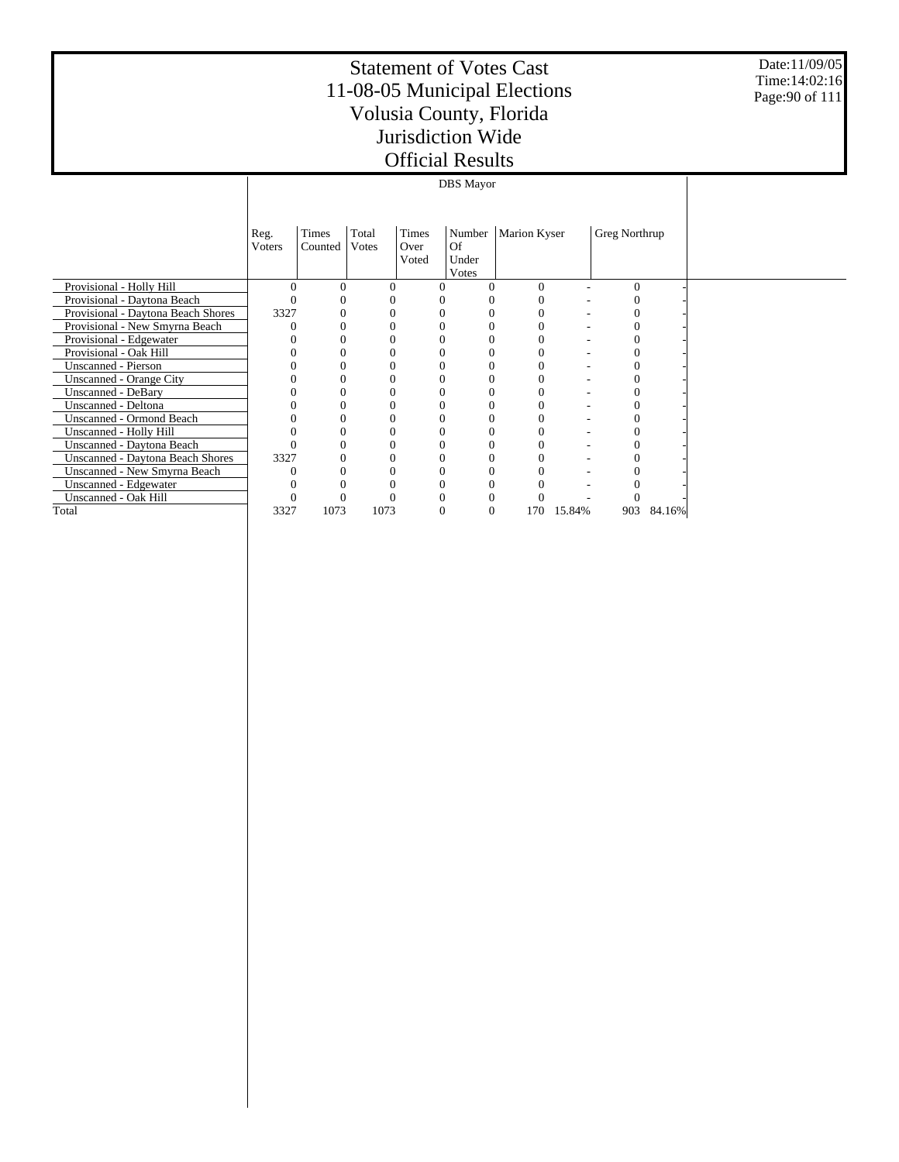Statement of Votes Cast 11-08-05 Municipal Elections Volusia County, Florida Jurisdiction Wide Official Results

Date:11/09/05 Time:14:02:16 Page:90 of 111

#### DBS Mayor

|                                         | Reg.<br>Voters | Times<br>Counted | Total<br>Votes | Times<br>Over<br>Voted | <b>Of</b><br>Votes | Number<br>Under | Marion Kyser |        | Greg Northrup |            |
|-----------------------------------------|----------------|------------------|----------------|------------------------|--------------------|-----------------|--------------|--------|---------------|------------|
| Provisional - Holly Hill                |                |                  |                |                        |                    |                 |              |        |               |            |
| Provisional - Daytona Beach             |                |                  |                |                        |                    |                 |              |        |               |            |
| Provisional - Daytona Beach Shores      | 3327           |                  |                |                        |                    |                 |              |        |               |            |
| Provisional - New Smyrna Beach          |                |                  |                |                        |                    |                 |              |        |               |            |
| Provisional - Edgewater                 |                |                  |                |                        |                    |                 |              |        |               |            |
| Provisional - Oak Hill                  |                |                  |                |                        |                    |                 |              |        |               |            |
| Unscanned - Pierson                     |                |                  |                |                        |                    |                 |              |        |               |            |
| Unscanned - Orange City                 |                |                  |                |                        |                    |                 |              |        |               |            |
| Unscanned - DeBary                      |                |                  |                |                        |                    |                 |              |        |               |            |
| Unscanned - Deltona                     |                |                  |                |                        |                    |                 |              |        |               |            |
| <b>Unscanned - Ormond Beach</b>         |                |                  |                |                        |                    |                 |              |        |               |            |
| Unscanned - Holly Hill                  |                |                  |                |                        |                    |                 |              |        |               |            |
| Unscanned - Daytona Beach               |                |                  |                |                        |                    |                 |              |        |               |            |
| <b>Unscanned - Daytona Beach Shores</b> | 3327           |                  |                |                        |                    |                 |              |        |               |            |
| Unscanned - New Smyrna Beach            |                |                  |                |                        |                    |                 |              |        |               |            |
| Unscanned - Edgewater                   |                |                  |                |                        |                    |                 |              |        |               |            |
| Unscanned - Oak Hill                    |                |                  |                |                        |                    |                 |              |        |               |            |
| Total                                   | 3327           | 1073             | 1073           |                        |                    |                 | 170          | 15.84% |               | 903 84.16% |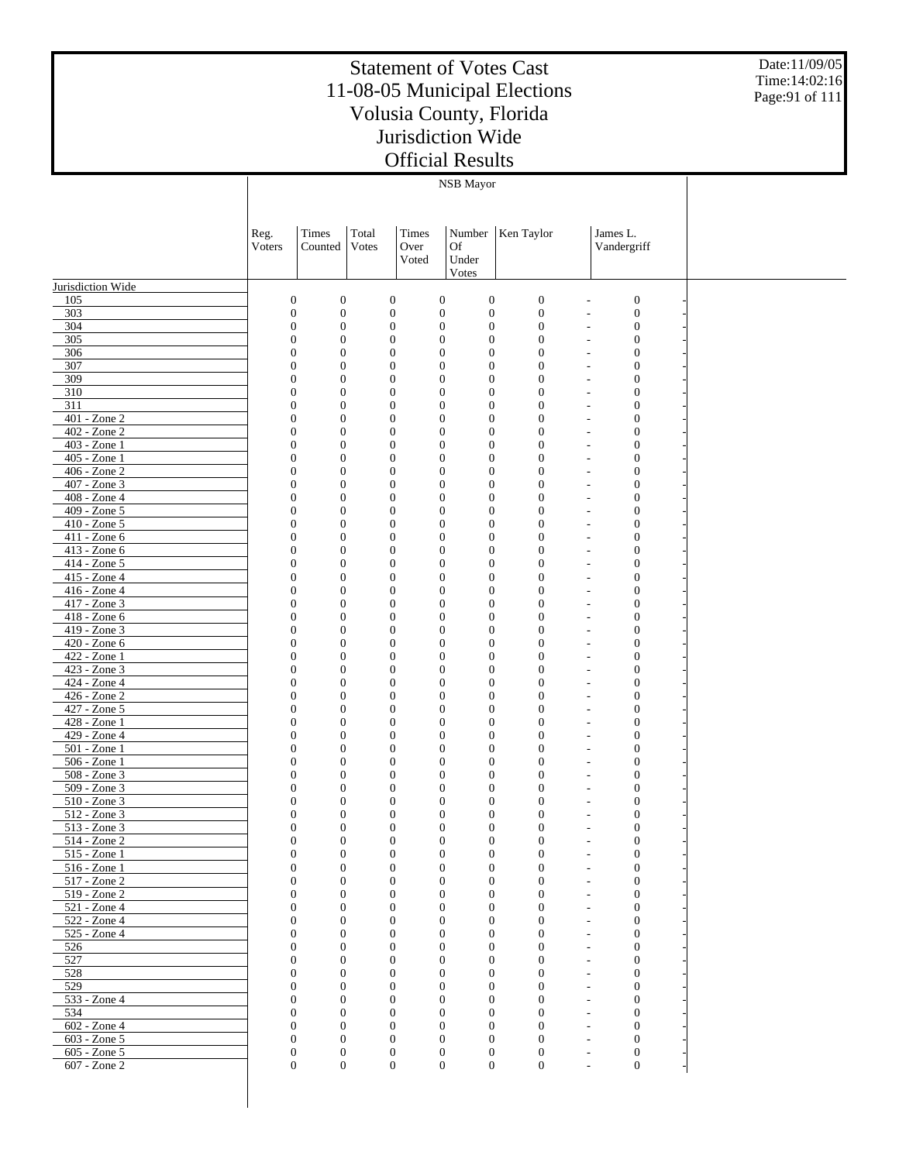Statement of Votes Cast 11-08-05 Municipal Elections Volusia County, Florida Jurisdiction Wide Official Results

Date:11/09/05 Time:14:02:16 Page:91 of 111

#### NSB Mayor

|                              | Reg.<br>Voters                       | Times<br>Counted   Votes             | Total | Times<br>Over<br>Voted               | Number<br><b>Of</b><br>Under<br>Votes                                    | Ken Taylor                   | James L.       | Vandergriff                          |  |
|------------------------------|--------------------------------------|--------------------------------------|-------|--------------------------------------|--------------------------------------------------------------------------|------------------------------|----------------|--------------------------------------|--|
| Jurisdiction Wide            |                                      |                                      |       |                                      |                                                                          |                              |                |                                      |  |
| 105                          | $\boldsymbol{0}$                     | $\boldsymbol{0}$                     |       | $\boldsymbol{0}$                     | $\boldsymbol{0}$<br>$\boldsymbol{0}$                                     | $\boldsymbol{0}$             |                | $\boldsymbol{0}$                     |  |
| 303                          | $\boldsymbol{0}$                     | $\boldsymbol{0}$                     |       | $\boldsymbol{0}$                     | $\boldsymbol{0}$<br>$\boldsymbol{0}$                                     | $\boldsymbol{0}$             | $\overline{a}$ | $\boldsymbol{0}$                     |  |
| 304                          | $\boldsymbol{0}$                     | $\boldsymbol{0}$                     |       | $\boldsymbol{0}$                     | $\mathbf{0}$<br>$\boldsymbol{0}$                                         | $\mathbf{0}$                 | $\overline{a}$ | $\boldsymbol{0}$                     |  |
| 305                          | $\boldsymbol{0}$                     | $\boldsymbol{0}$                     |       | $\boldsymbol{0}$                     | $\boldsymbol{0}$<br>$\boldsymbol{0}$                                     | $\mathbf{0}$                 | L,             | $\boldsymbol{0}$                     |  |
| 306                          | $\boldsymbol{0}$                     | $\boldsymbol{0}$                     |       | $\boldsymbol{0}$                     | $\boldsymbol{0}$<br>$\mathbf{0}$                                         | $\mathbf{0}$                 |                | $\boldsymbol{0}$                     |  |
| 307                          | $\boldsymbol{0}$                     | $\boldsymbol{0}$                     |       | $\boldsymbol{0}$                     | $\boldsymbol{0}$<br>$\boldsymbol{0}$                                     | $\mathbf{0}$                 | L,             | $\boldsymbol{0}$                     |  |
| 309                          | $\boldsymbol{0}$                     | $\boldsymbol{0}$                     |       | $\boldsymbol{0}$                     | $\boldsymbol{0}$<br>$\mathbf{0}$                                         | $\mathbf{0}$                 |                | $\boldsymbol{0}$                     |  |
| 310                          | $\boldsymbol{0}$                     | $\boldsymbol{0}$                     |       | $\boldsymbol{0}$                     | $\boldsymbol{0}$<br>$\boldsymbol{0}$                                     | $\mathbf{0}$<br>$\mathbf{0}$ |                | $\boldsymbol{0}$                     |  |
| 311<br>401 - Zone 2          | $\boldsymbol{0}$<br>$\boldsymbol{0}$ | $\boldsymbol{0}$<br>$\boldsymbol{0}$ |       | $\boldsymbol{0}$<br>$\boldsymbol{0}$ | $\boldsymbol{0}$<br>$\mathbf{0}$<br>$\boldsymbol{0}$<br>$\boldsymbol{0}$ | $\mathbf{0}$                 | $\overline{a}$ | $\boldsymbol{0}$<br>$\boldsymbol{0}$ |  |
| 402 - Zone 2                 | $\boldsymbol{0}$                     | $\boldsymbol{0}$                     |       | $\boldsymbol{0}$                     | $\boldsymbol{0}$<br>$\mathbf{0}$                                         | $\mathbf{0}$                 |                | $\boldsymbol{0}$                     |  |
| 403 - Zone 1                 | $\boldsymbol{0}$                     | $\boldsymbol{0}$                     |       | $\boldsymbol{0}$                     | $\boldsymbol{0}$<br>$\boldsymbol{0}$                                     | $\mathbf{0}$                 | ٠              | $\boldsymbol{0}$                     |  |
| 405 - Zone 1                 | $\boldsymbol{0}$                     | $\boldsymbol{0}$                     |       | $\boldsymbol{0}$                     | $\boldsymbol{0}$<br>$\mathbf{0}$                                         | $\mathbf{0}$                 |                | $\boldsymbol{0}$                     |  |
| 406 - Zone 2                 | $\boldsymbol{0}$                     | $\boldsymbol{0}$                     |       | $\boldsymbol{0}$                     | $\boldsymbol{0}$<br>$\mathbf{0}$                                         | $\mathbf{0}$                 | ٠              | $\boldsymbol{0}$                     |  |
| 407 - Zone 3                 | $\boldsymbol{0}$                     | $\boldsymbol{0}$                     |       | $\boldsymbol{0}$                     | $\boldsymbol{0}$<br>$\mathbf{0}$                                         | $\mathbf{0}$                 |                | $\boldsymbol{0}$                     |  |
| 408 - Zone 4                 | $\boldsymbol{0}$                     | $\boldsymbol{0}$                     |       | $\boldsymbol{0}$                     | $\boldsymbol{0}$<br>$\boldsymbol{0}$                                     | $\mathbf{0}$                 | L,             | $\boldsymbol{0}$                     |  |
| 409 - Zone 5                 | $\boldsymbol{0}$                     | $\boldsymbol{0}$                     |       | $\boldsymbol{0}$                     | $\boldsymbol{0}$<br>$\mathbf{0}$                                         | $\mathbf{0}$                 |                | $\boldsymbol{0}$                     |  |
| 410 - Zone 5                 | $\boldsymbol{0}$                     | $\boldsymbol{0}$                     |       | $\boldsymbol{0}$                     | $\boldsymbol{0}$<br>$\mathbf{0}$                                         | $\mathbf{0}$                 | ٠              | $\boldsymbol{0}$                     |  |
| 411 - Zone 6                 | $\boldsymbol{0}$                     | $\boldsymbol{0}$                     |       | $\boldsymbol{0}$                     | $\boldsymbol{0}$<br>$\mathbf{0}$                                         | $\mathbf{0}$                 |                | $\boldsymbol{0}$                     |  |
| 413 - Zone 6                 | $\boldsymbol{0}$                     | $\boldsymbol{0}$                     |       | $\boldsymbol{0}$                     | $\boldsymbol{0}$<br>$\boldsymbol{0}$                                     | $\mathbf{0}$                 | $\overline{a}$ | $\boldsymbol{0}$                     |  |
| 414 - Zone 5                 | $\boldsymbol{0}$                     | $\boldsymbol{0}$                     |       | $\boldsymbol{0}$<br>$\boldsymbol{0}$ | $\boldsymbol{0}$<br>$\mathbf{0}$                                         | $\mathbf{0}$<br>$\mathbf{0}$ |                | $\boldsymbol{0}$                     |  |
| 415 - Zone 4<br>416 - Zone 4 | $\boldsymbol{0}$<br>$\boldsymbol{0}$ | $\boldsymbol{0}$<br>$\boldsymbol{0}$ |       | $\boldsymbol{0}$                     | $\boldsymbol{0}$<br>$\mathbf{0}$<br>$\boldsymbol{0}$<br>$\mathbf{0}$     | $\mathbf{0}$                 | ٠<br>÷.        | $\boldsymbol{0}$<br>$\boldsymbol{0}$ |  |
| 417 - Zone 3                 | $\boldsymbol{0}$                     | $\boldsymbol{0}$                     |       | $\boldsymbol{0}$                     | $\boldsymbol{0}$<br>$\boldsymbol{0}$                                     | $\mathbf{0}$                 | ٠              | $\boldsymbol{0}$                     |  |
| 418 - Zone 6                 | $\boldsymbol{0}$                     | $\boldsymbol{0}$                     |       | $\boldsymbol{0}$                     | $\boldsymbol{0}$<br>$\mathbf{0}$                                         | $\mathbf{0}$                 |                | $\boldsymbol{0}$                     |  |
| 419 - Zone 3                 | $\boldsymbol{0}$                     | $\boldsymbol{0}$                     |       | $\boldsymbol{0}$                     | $\boldsymbol{0}$<br>$\boldsymbol{0}$                                     | $\mathbf{0}$                 | $\overline{a}$ | $\boldsymbol{0}$                     |  |
| 420 - Zone 6                 | $\boldsymbol{0}$                     | $\boldsymbol{0}$                     |       | $\boldsymbol{0}$                     | $\boldsymbol{0}$<br>$\mathbf{0}$                                         | $\mathbf{0}$                 |                | $\boldsymbol{0}$                     |  |
| 422 - Zone 1                 | $\boldsymbol{0}$                     | $\boldsymbol{0}$                     |       | $\boldsymbol{0}$                     | $\boldsymbol{0}$<br>$\mathbf{0}$                                         | $\mathbf{0}$                 |                | $\boldsymbol{0}$                     |  |
| 423 - Zone 3                 | $\boldsymbol{0}$                     | $\boldsymbol{0}$                     |       | $\boldsymbol{0}$                     | $\boldsymbol{0}$<br>$\mathbf{0}$                                         | $\mathbf{0}$                 |                | $\boldsymbol{0}$                     |  |
| 424 - Zone 4                 | $\boldsymbol{0}$                     | $\boldsymbol{0}$                     |       | $\boldsymbol{0}$                     | $\boldsymbol{0}$<br>$\boldsymbol{0}$                                     | $\mathbf{0}$                 | $\overline{a}$ | $\boldsymbol{0}$                     |  |
| 426 - Zone 2                 | $\boldsymbol{0}$                     | $\boldsymbol{0}$                     |       | $\boldsymbol{0}$                     | $\boldsymbol{0}$<br>$\mathbf{0}$                                         | $\mathbf{0}$                 |                | $\boldsymbol{0}$                     |  |
| 427 - Zone 5                 | $\boldsymbol{0}$                     | $\boldsymbol{0}$                     |       | $\boldsymbol{0}$                     | $\boldsymbol{0}$<br>$\boldsymbol{0}$                                     | $\mathbf{0}$                 | ٠              | $\boldsymbol{0}$                     |  |
| 428 - Zone 1                 | $\boldsymbol{0}$                     | $\boldsymbol{0}$                     |       | $\boldsymbol{0}$                     | $\boldsymbol{0}$<br>$\mathbf{0}$                                         | $\mathbf{0}$                 |                | $\boldsymbol{0}$                     |  |
| 429 - Zone 4                 | $\boldsymbol{0}$                     | $\boldsymbol{0}$                     |       | $\boldsymbol{0}$                     | $\boldsymbol{0}$<br>$\mathbf{0}$                                         | $\mathbf{0}$                 | ٠              | $\boldsymbol{0}$                     |  |
| 501 - Zone 1                 | $\boldsymbol{0}$                     | $\boldsymbol{0}$                     |       | $\boldsymbol{0}$                     | $\boldsymbol{0}$<br>$\mathbf{0}$                                         | $\mathbf{0}$                 |                | $\boldsymbol{0}$                     |  |
| 506 - Zone 1                 | $\boldsymbol{0}$                     | $\boldsymbol{0}$<br>$\boldsymbol{0}$ |       | $\boldsymbol{0}$<br>$\boldsymbol{0}$ | $\boldsymbol{0}$<br>$\boldsymbol{0}$                                     | $\mathbf{0}$<br>$\mathbf{0}$ | L,             | $\boldsymbol{0}$                     |  |
| 508 - Zone 3<br>509 - Zone 3 | $\boldsymbol{0}$<br>$\boldsymbol{0}$ | $\boldsymbol{0}$                     |       | $\boldsymbol{0}$                     | $\boldsymbol{0}$<br>$\mathbf{0}$<br>$\boldsymbol{0}$<br>$\boldsymbol{0}$ | $\mathbf{0}$                 |                | $\boldsymbol{0}$<br>$\boldsymbol{0}$ |  |
| 510 - Zone 3                 | $\boldsymbol{0}$                     | $\boldsymbol{0}$                     |       | $\boldsymbol{0}$                     | $\boldsymbol{0}$<br>$\mathbf{0}$                                         | $\mathbf{0}$                 |                | $\boldsymbol{0}$                     |  |
| $512 - Zone$ 3               | $\boldsymbol{0}$                     | $\boldsymbol{0}$                     |       | $\boldsymbol{0}$                     | $\boldsymbol{0}$<br>$\mathbf{0}$                                         | $\mathbf{0}$                 |                | $\boldsymbol{0}$                     |  |
| 513 - Zone 3                 | $\boldsymbol{0}$                     | $\boldsymbol{0}$                     |       | $\boldsymbol{0}$                     | $\boldsymbol{0}$<br>$\boldsymbol{0}$                                     | $\mathbf{0}$                 |                | $\boldsymbol{0}$                     |  |
| 514 - Zone 2                 | $\mathbf{0}$                         | $\boldsymbol{0}$                     |       | $\boldsymbol{0}$                     | $\boldsymbol{0}$<br>$\mathbf{0}$                                         | $\mathbf{0}$                 |                | $\boldsymbol{0}$                     |  |
| 515 - Zone 1                 | $\Omega$                             | $\Omega$                             |       | $\Omega$                             | $\Omega$<br>$\mathbf{0}$                                                 | $\Omega$                     |                | $\Omega$                             |  |
| 516 - Zone 1                 | $\mathbf{0}$                         | $\boldsymbol{0}$                     |       | $\boldsymbol{0}$                     | $\boldsymbol{0}$<br>$\overline{0}$                                       | $\overline{0}$               |                | $\boldsymbol{0}$                     |  |
| $517 - Zone2$                | $\boldsymbol{0}$                     | $\boldsymbol{0}$                     |       | $\boldsymbol{0}$                     | $\mathbf{0}$<br>$\boldsymbol{0}$                                         | $\overline{0}$               |                | $\boldsymbol{0}$                     |  |
| $519 - Zone2$                | $\mathbf{0}$                         | $\mathbf{0}$                         |       | $\overline{0}$                       | $\mathbf{0}$<br>$\Omega$                                                 | $\overline{0}$               |                | $\boldsymbol{0}$                     |  |
| 521 - Zone 4                 | $\boldsymbol{0}$                     | $\mathbf{0}$                         |       | $\overline{0}$                       | $\boldsymbol{0}$<br>$\Omega$                                             | $\overline{0}$               |                | $\boldsymbol{0}$                     |  |
| 522 - Zone 4                 | $\mathbf{0}$                         | $\overline{0}$                       |       | $\mathbf{0}$                         | $\mathbf{0}$<br>$\Omega$                                                 | $\theta$                     |                | $\boldsymbol{0}$                     |  |
| 525 - Zone 4                 | $\boldsymbol{0}$                     | $\overline{0}$                       |       | $\mathbf{0}$                         | $\boldsymbol{0}$<br>$\Omega$                                             | $\Omega$                     |                | $\boldsymbol{0}$                     |  |
| $\frac{526}{ }$              | $\mathbf{0}$                         | $\Omega$                             |       | $\mathbf{0}$                         | $\boldsymbol{0}$<br>$\Omega$                                             | $\theta$                     |                | $\boldsymbol{0}$                     |  |
| 527                          | $\mathbf{0}$<br>$\mathbf{0}$         | $\overline{0}$<br>$\Omega$           |       | $\overline{0}$<br>$\overline{0}$     | $\boldsymbol{0}$<br>$\Omega$<br>$\boldsymbol{0}$<br>$\Omega$             | $\Omega$<br>$\theta$         |                | $\boldsymbol{0}$<br>$\boldsymbol{0}$ |  |
| 528<br>529                   | $\mathbf{0}$                         | $\overline{0}$                       |       | $\overline{0}$                       | $\boldsymbol{0}$<br>$\Omega$                                             | $\Omega$                     |                | $\boldsymbol{0}$                     |  |
| 533 - Zone 4                 | $\mathbf{0}$                         | $\overline{0}$                       |       | $\overline{0}$                       | $\boldsymbol{0}$<br>$\Omega$                                             | $\theta$                     |                | $\boldsymbol{0}$                     |  |
| 534                          | $\mathbf{0}$                         | $\overline{0}$                       |       | $\mathbf{0}$                         | $\boldsymbol{0}$<br>$\Omega$                                             | $\overline{0}$               |                | $\boldsymbol{0}$                     |  |
| 602 - Zone 4                 | $\mathbf{0}$                         | $\overline{0}$                       |       | $\mathbf{0}$                         | $\boldsymbol{0}$<br>$\Omega$                                             | $\theta$                     |                | $\boldsymbol{0}$                     |  |
| 603 - Zone 5                 | $\boldsymbol{0}$                     | $\mathbf{0}$                         |       | $\mathbf{0}$                         | $\boldsymbol{0}$<br>$\Omega$                                             | $\overline{0}$               |                | $\boldsymbol{0}$                     |  |
| 605 - Zone 5                 | $\boldsymbol{0}$                     | $\boldsymbol{0}$                     |       | $\boldsymbol{0}$                     | $\mathbf{0}$<br>$\overline{0}$                                           | $\boldsymbol{0}$             |                | $\boldsymbol{0}$                     |  |
| 607 - Zone 2                 | $\boldsymbol{0}$                     | $\boldsymbol{0}$                     |       | $\boldsymbol{0}$                     | $\boldsymbol{0}$<br>$\boldsymbol{0}$                                     | $\boldsymbol{0}$             |                | $\boldsymbol{0}$                     |  |
|                              |                                      |                                      |       |                                      |                                                                          |                              |                |                                      |  |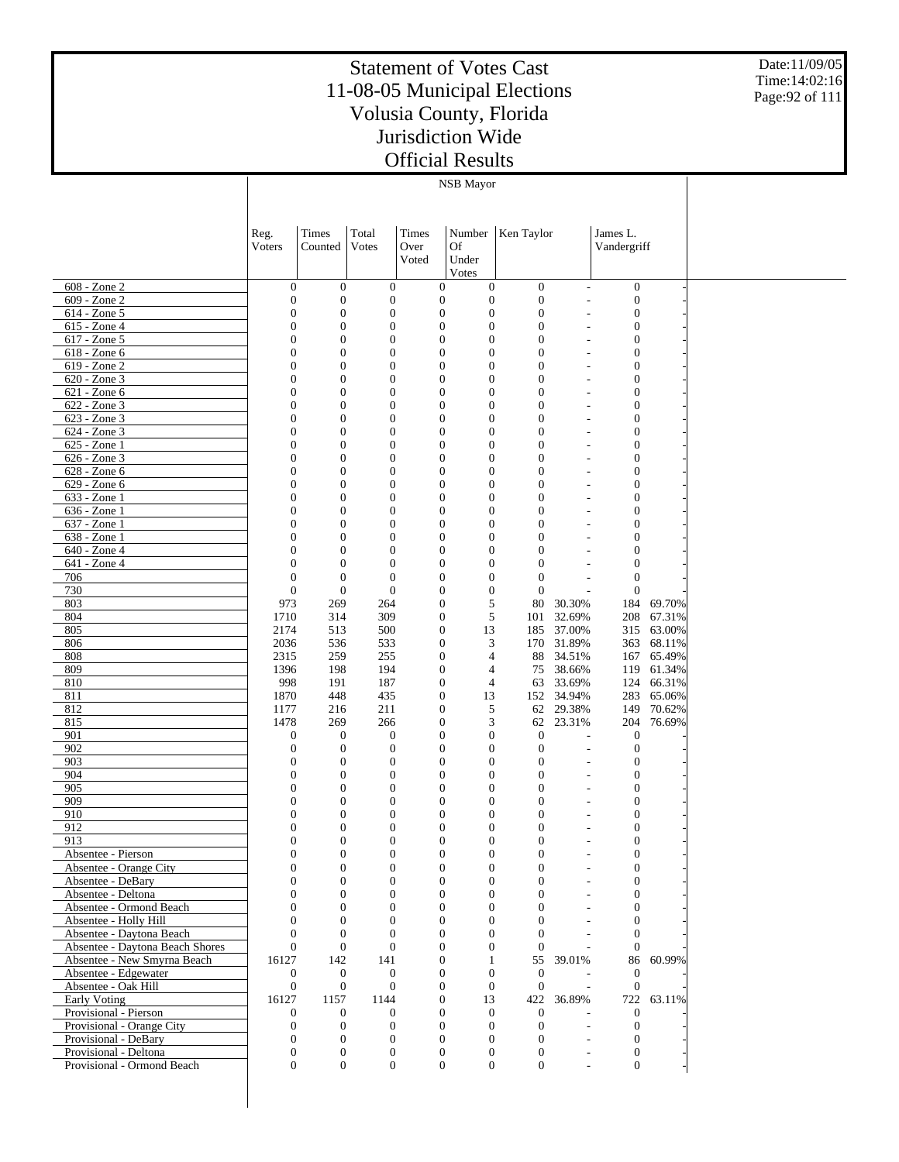Date:11/09/05 Time:14:02:16 Page:92 of 111

# Statement of Votes Cast 11-08-05 Municipal Elections Volusia County, Florida Jurisdiction Wide Official Results

NSB Mayor

|                                                  | Reg.<br>Voters                       | Times<br>Counted                     | Total<br>Votes                       | Times<br>Over<br>Voted | Of<br>Under                          | Number   Ken Taylor                                                          |                  | James L.<br>Vandergriff                      |                  |
|--------------------------------------------------|--------------------------------------|--------------------------------------|--------------------------------------|------------------------|--------------------------------------|------------------------------------------------------------------------------|------------------|----------------------------------------------|------------------|
| 608 - Zone 2                                     | $\boldsymbol{0}$                     | $\mathbf{0}$                         | $\mathbf{0}$                         |                        | <b>Votes</b><br>$\mathbf{0}$         | $\mathbf{0}$<br>$\boldsymbol{0}$                                             |                  | $\boldsymbol{0}$<br>$\overline{\phantom{a}}$ |                  |
| 609 - Zone 2                                     | $\boldsymbol{0}$                     | $\boldsymbol{0}$                     | $\boldsymbol{0}$                     |                        | $\boldsymbol{0}$                     | $\boldsymbol{0}$<br>$\boldsymbol{0}$                                         |                  | $\boldsymbol{0}$<br>$\overline{\phantom{a}}$ |                  |
| 614 - Zone 5                                     | $\boldsymbol{0}$                     | $\mathbf{0}$                         | $\boldsymbol{0}$                     |                        | $\boldsymbol{0}$                     | $\boldsymbol{0}$<br>$\boldsymbol{0}$                                         |                  | $\boldsymbol{0}$                             |                  |
| 615 - Zone 4                                     | $\mathbf{0}$                         | $\boldsymbol{0}$                     | $\boldsymbol{0}$                     |                        | $\boldsymbol{0}$                     | $\boldsymbol{0}$<br>$\boldsymbol{0}$                                         |                  | $\boldsymbol{0}$                             |                  |
| 617 - Zone 5                                     | $\boldsymbol{0}$                     | $\boldsymbol{0}$                     | $\boldsymbol{0}$                     |                        | $\boldsymbol{0}$                     | $\boldsymbol{0}$<br>$\boldsymbol{0}$                                         |                  | $\boldsymbol{0}$                             |                  |
| 618 - Zone 6                                     | $\mathbf{0}$                         | $\boldsymbol{0}$                     | $\boldsymbol{0}$                     |                        | $\boldsymbol{0}$                     | $\boldsymbol{0}$<br>$\boldsymbol{0}$                                         |                  | $\mathbf{0}$                                 |                  |
| 619 - Zone 2                                     | $\boldsymbol{0}$                     | $\boldsymbol{0}$                     | $\boldsymbol{0}$                     |                        | $\boldsymbol{0}$                     | $\boldsymbol{0}$<br>$\boldsymbol{0}$                                         |                  | $\boldsymbol{0}$                             |                  |
| 620 - Zone 3                                     | $\mathbf{0}$                         | $\boldsymbol{0}$                     | $\boldsymbol{0}$                     |                        | $\boldsymbol{0}$                     | $\boldsymbol{0}$<br>$\boldsymbol{0}$                                         |                  | 0                                            |                  |
| 621 - Zone 6                                     | $\boldsymbol{0}$                     | $\boldsymbol{0}$                     | $\boldsymbol{0}$                     |                        | $\boldsymbol{0}$                     | $\boldsymbol{0}$<br>$\boldsymbol{0}$                                         |                  | $\boldsymbol{0}$                             |                  |
| 622 - Zone 3                                     | $\theta$                             | $\boldsymbol{0}$                     | $\boldsymbol{0}$                     |                        | $\boldsymbol{0}$                     | $\boldsymbol{0}$<br>$\boldsymbol{0}$                                         |                  | 0                                            |                  |
| 623 - Zone 3                                     | $\boldsymbol{0}$                     | $\boldsymbol{0}$                     | $\boldsymbol{0}$                     |                        | $\boldsymbol{0}$                     | $\boldsymbol{0}$<br>$\boldsymbol{0}$                                         |                  | $\boldsymbol{0}$                             |                  |
| 624 - Zone 3                                     | $\mathbf{0}$                         | $\boldsymbol{0}$                     | $\boldsymbol{0}$                     |                        | $\boldsymbol{0}$                     | $\boldsymbol{0}$<br>$\boldsymbol{0}$                                         |                  | 0                                            |                  |
| 625 - Zone 1<br>626 - Zone 3                     | $\boldsymbol{0}$<br>$\mathbf{0}$     | $\boldsymbol{0}$<br>$\boldsymbol{0}$ | $\boldsymbol{0}$<br>$\boldsymbol{0}$ |                        | $\boldsymbol{0}$<br>$\boldsymbol{0}$ | $\boldsymbol{0}$<br>$\boldsymbol{0}$<br>$\boldsymbol{0}$<br>$\boldsymbol{0}$ |                  | $\boldsymbol{0}$<br>0                        |                  |
| 628 - Zone 6                                     | $\boldsymbol{0}$                     | $\boldsymbol{0}$                     | $\boldsymbol{0}$                     |                        | $\boldsymbol{0}$                     | $\boldsymbol{0}$<br>$\boldsymbol{0}$                                         |                  | $\boldsymbol{0}$                             |                  |
| 629 - Zone 6                                     | $\mathbf{0}$                         | $\boldsymbol{0}$                     | $\boldsymbol{0}$                     |                        | $\boldsymbol{0}$                     | $\boldsymbol{0}$<br>$\boldsymbol{0}$                                         |                  | 0                                            |                  |
| 633 - Zone 1                                     | $\boldsymbol{0}$                     | $\boldsymbol{0}$                     | $\boldsymbol{0}$                     |                        | $\boldsymbol{0}$                     | $\boldsymbol{0}$<br>$\boldsymbol{0}$                                         |                  | $\boldsymbol{0}$                             |                  |
| 636 - Zone 1                                     | $\theta$                             | $\boldsymbol{0}$                     | $\boldsymbol{0}$                     |                        | $\boldsymbol{0}$                     | $\boldsymbol{0}$<br>$\boldsymbol{0}$                                         |                  | 0                                            |                  |
| 637 - Zone 1                                     | $\boldsymbol{0}$                     | $\boldsymbol{0}$                     | $\boldsymbol{0}$                     |                        | $\boldsymbol{0}$                     | $\boldsymbol{0}$<br>$\boldsymbol{0}$                                         |                  | $\boldsymbol{0}$                             |                  |
| 638 - Zone 1                                     | $\mathbf{0}$                         | $\boldsymbol{0}$                     | $\boldsymbol{0}$                     |                        | $\boldsymbol{0}$                     | $\boldsymbol{0}$<br>$\boldsymbol{0}$                                         |                  | 0                                            |                  |
| 640 - Zone 4                                     | $\boldsymbol{0}$                     | $\boldsymbol{0}$                     | $\boldsymbol{0}$                     |                        | $\boldsymbol{0}$                     | $\boldsymbol{0}$<br>$\mathbf{0}$                                             |                  | $\boldsymbol{0}$                             |                  |
| 641 - Zone 4                                     | $\boldsymbol{0}$                     | $\overline{0}$                       | $\boldsymbol{0}$                     |                        | $\boldsymbol{0}$                     | $\boldsymbol{0}$<br>$\theta$                                                 |                  | $\boldsymbol{0}$                             |                  |
| 706                                              | $\boldsymbol{0}$                     | $\mathbf{0}$                         | $\mathbf{0}$                         |                        | $\boldsymbol{0}$                     | $\boldsymbol{0}$<br>$\boldsymbol{0}$                                         |                  | $\boldsymbol{0}$                             |                  |
| 730                                              | $\boldsymbol{0}$                     | $\mathbf{0}$                         | $\boldsymbol{0}$                     |                        | $\boldsymbol{0}$                     | $\boldsymbol{0}$<br>$\theta$                                                 |                  | $\mathbf{0}$                                 |                  |
| 803<br>804                                       | 973<br>1710                          | 269<br>314                           | 264<br>309                           |                        | $\boldsymbol{0}$<br>$\boldsymbol{0}$ | 5<br>80<br>5<br>101                                                          | 30.30%<br>32.69% | 184<br>208                                   | 69.70%<br>67.31% |
| 805                                              | 2174                                 | 513                                  | 500                                  |                        | $\boldsymbol{0}$<br>13               | 185                                                                          | 37.00%           |                                              | 315 63.00%       |
| 806                                              | 2036                                 | 536                                  | 533                                  |                        | $\boldsymbol{0}$                     | $\mathfrak{Z}$                                                               | 170 31.89%       |                                              | 363 68.11%       |
| 808                                              | 2315                                 | 259                                  | 255                                  |                        | $\boldsymbol{0}$                     | 88<br>$\overline{4}$                                                         | 34.51%           |                                              | 167 65.49%       |
| 809                                              | 1396                                 | 198                                  | 194                                  |                        | $\boldsymbol{0}$                     | $\overline{4}$<br>75                                                         | 38.66%           | 119                                          | 61.34%           |
| 810                                              | 998                                  | 191                                  | 187                                  |                        | $\boldsymbol{0}$                     | $\overline{4}$<br>63                                                         | 33.69%           |                                              | 124 66.31%       |
| 811                                              | 1870                                 | 448                                  | 435                                  |                        | $\boldsymbol{0}$<br>13               |                                                                              | 152 34.94%       | 283                                          | 65.06%           |
| 812                                              | 1177                                 | 216                                  | 211                                  |                        | $\boldsymbol{0}$                     | 5<br>62                                                                      | 29.38%           | 149                                          | 70.62%           |
| 815                                              | 1478                                 | 269                                  | 266                                  |                        | $\boldsymbol{0}$                     | 3                                                                            | 62 23.31%        |                                              | 204 76.69%       |
| 901                                              | $\boldsymbol{0}$                     | $\mathbf{0}$                         | $\boldsymbol{0}$                     |                        | $\boldsymbol{0}$                     | $\boldsymbol{0}$<br>$\boldsymbol{0}$                                         |                  | $\mathbf{0}$                                 |                  |
| 902<br>903                                       | $\boldsymbol{0}$<br>$\boldsymbol{0}$ | $\mathbf{0}$<br>$\mathbf{0}$         | $\boldsymbol{0}$                     |                        | $\boldsymbol{0}$<br>$\boldsymbol{0}$ | $\boldsymbol{0}$<br>$\mathbf{0}$<br>$\boldsymbol{0}$                         |                  | $\mathbf{0}$<br>$\boldsymbol{0}$             |                  |
| 904                                              | $\mathbf{0}$                         | $\boldsymbol{0}$                     | $\boldsymbol{0}$<br>$\boldsymbol{0}$ |                        | $\boldsymbol{0}$                     | $\boldsymbol{0}$<br>$\boldsymbol{0}$<br>$\boldsymbol{0}$                     |                  | $\mathbf{0}$                                 |                  |
| 905                                              | $\mathbf{0}$                         | $\boldsymbol{0}$                     | $\boldsymbol{0}$                     |                        | $\boldsymbol{0}$                     | $\boldsymbol{0}$<br>$\boldsymbol{0}$                                         |                  | 0                                            |                  |
| 909                                              | $\overline{0}$                       | $\boldsymbol{0}$                     | $\boldsymbol{0}$                     |                        | $\boldsymbol{0}$                     | $\boldsymbol{0}$<br>$\overline{0}$                                           |                  | 0                                            |                  |
| 910                                              | $\overline{0}$                       | $\boldsymbol{0}$                     | $\boldsymbol{0}$                     |                        | $\boldsymbol{0}$                     | $\boldsymbol{0}$<br>$\overline{0}$                                           |                  | $\boldsymbol{0}$                             |                  |
| 912                                              | $\overline{0}$                       | $\boldsymbol{0}$                     | $\boldsymbol{0}$                     |                        | $\boldsymbol{0}$                     | $\boldsymbol{0}$<br>$\boldsymbol{0}$                                         |                  | $\boldsymbol{0}$                             |                  |
| 913                                              | $\boldsymbol{0}$                     | $\boldsymbol{0}$                     | $\boldsymbol{0}$                     |                        | $\boldsymbol{0}$                     | $\mathbf{0}$<br>$\overline{0}$                                               |                  | $\boldsymbol{0}$                             |                  |
| Absentee - Pierson                               | $\Omega$                             | $\Omega$                             | $\Omega$                             |                        | $\Omega$                             | $\Omega$<br>$\Omega$                                                         |                  | $\Omega$                                     |                  |
| Absentee - Orange City                           | $\mathbf{0}$                         | $\boldsymbol{0}$                     | $\boldsymbol{0}$                     |                        | $\mathbf{0}$                         | $\boldsymbol{0}$<br>$\mathbf{0}$                                             |                  | $\boldsymbol{0}$                             |                  |
| Absentee - DeBary                                | 0                                    | $\mathbf{0}$                         | $\boldsymbol{0}$                     |                        | $\theta$                             | $\mathbf{0}$<br>$\theta$                                                     |                  | $\mathbf{0}$                                 |                  |
| Absentee - Deltona                               | $\theta$                             | $\overline{0}$                       | $\boldsymbol{0}$                     |                        | $\theta$                             | $\mathbf{0}$<br>$\theta$                                                     |                  | $\mathbf{0}$                                 |                  |
| Absentee - Ormond Beach<br>Absentee - Holly Hill | $\theta$<br>$\theta$                 | $\mathbf{0}$<br>$\overline{0}$       | $\boldsymbol{0}$<br>$\mathbf{0}$     |                        | $\theta$<br>$\overline{0}$           | $\mathbf{0}$<br>$\theta$<br>$\mathbf{0}$<br>$\overline{0}$                   |                  | $\mathbf{0}$                                 |                  |
| Absentee - Daytona Beach                         | $\theta$                             | $\overline{0}$                       | $\mathbf{0}$                         |                        | $\theta$                             | $\mathbf{0}$<br>$\overline{0}$                                               |                  | $\boldsymbol{0}$<br>$\mathbf{0}$             |                  |
| Absentee - Daytona Beach Shores                  | $\theta$                             | $\mathbf{0}$                         | $\theta$                             |                        | $\theta$                             | $\mathbf{0}$<br>$\theta$                                                     |                  | $\overline{0}$                               |                  |
| Absentee - New Smyrna Beach                      | 16127                                | 142                                  | 141                                  |                        | $\theta$                             | $\mathbf{1}$                                                                 | 55 39.01%        |                                              | 86 60.99%        |
| Absentee - Edgewater                             | $\mathbf{0}$                         | $\mathbf{0}$                         | $\mathbf{0}$                         |                        | $\overline{0}$                       | $\mathbf{0}$<br>$\theta$                                                     |                  | $\overline{0}$                               |                  |
| Absentee - Oak Hill                              | $\mathbf{0}$                         | $\mathbf{0}$                         | $\mathbf{0}$                         |                        | $\theta$                             | $\boldsymbol{0}$<br>$\theta$                                                 |                  | $\theta$                                     |                  |
| Early Voting                                     | 16127                                | 1157                                 | 1144                                 |                        | 13<br>$\mathbf{0}$                   |                                                                              | 422 36.89%       | 722                                          | 63.11%           |
| Provisional - Pierson                            | $\overline{0}$                       | $\boldsymbol{0}$                     | $\mathbf{0}$                         |                        | $\theta$                             | $\overline{0}$<br>$\theta$                                                   |                  | $\mathbf{0}$                                 |                  |
| Provisional - Orange City                        | $\overline{0}$                       | $\boldsymbol{0}$                     | $\boldsymbol{0}$                     |                        | $\theta$                             | $\overline{0}$<br>$\theta$                                                   |                  | $\boldsymbol{0}$                             |                  |
| Provisional - DeBary                             | $\theta$                             | $\overline{0}$                       | $\boldsymbol{0}$                     |                        | $\theta$                             | $\mathbf{0}$<br>$\theta$                                                     |                  | $\mathbf{0}$                                 |                  |
| Provisional - Deltona                            | $\theta$                             | $\boldsymbol{0}$                     | $\boldsymbol{0}$                     |                        | $\mathbf{0}$                         | $\mathbf{0}$<br>$\theta$                                                     |                  | $\boldsymbol{0}$                             |                  |
| Provisional - Ormond Beach                       | $\theta$                             | $\mathbf{0}$                         | 0                                    |                        | $\boldsymbol{0}$                     | $\mathbf{0}$<br>$\theta$                                                     |                  | $\boldsymbol{0}$                             |                  |
|                                                  |                                      |                                      |                                      |                        |                                      |                                                                              |                  |                                              |                  |
|                                                  |                                      |                                      |                                      |                        |                                      |                                                                              |                  |                                              |                  |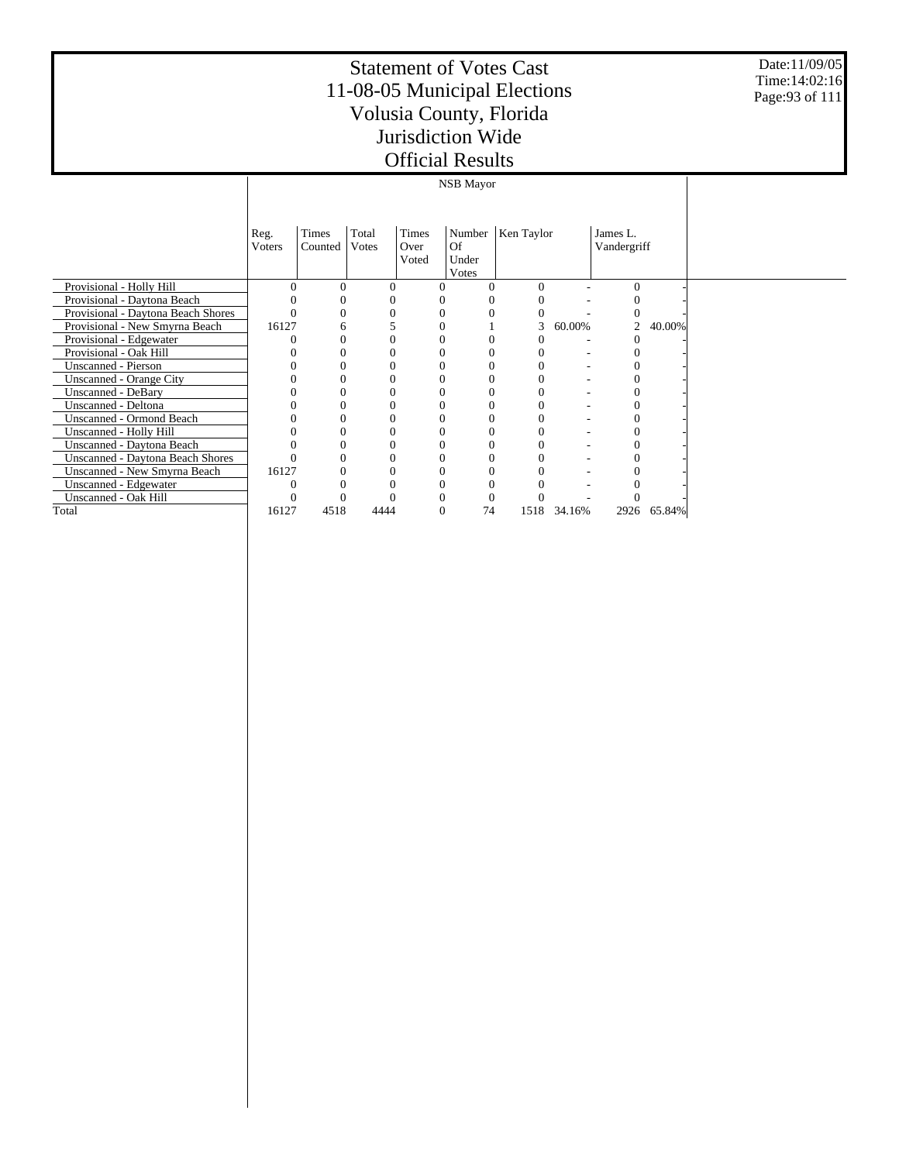Statement of Votes Cast 11-08-05 Municipal Elections Volusia County, Florida Jurisdiction Wide Official Results

Date:11/09/05 Time:14:02:16 Page:93 of 111

#### NSB Mayor

|                                         | Reg.   | Times   | Total | Times |    |       | Number   Ken Taylor |        | James L.    |             |
|-----------------------------------------|--------|---------|-------|-------|----|-------|---------------------|--------|-------------|-------------|
|                                         | Voters | Counted | Votes | Over  | Of |       |                     |        | Vandergriff |             |
|                                         |        |         |       | Voted |    | Under |                     |        |             |             |
|                                         |        |         |       |       |    | Votes |                     |        |             |             |
| Provisional - Holly Hill                |        |         |       |       |    |       |                     |        | $\Omega$    |             |
| Provisional - Daytona Beach             |        |         |       |       |    |       |                     |        |             |             |
| Provisional - Daytona Beach Shores      |        |         |       |       |    |       |                     |        |             |             |
| Provisional - New Smyrna Beach          | 16127  |         |       |       |    |       | 3                   | 60.00% | 2           | 40.00%      |
| Provisional - Edgewater                 |        |         |       |       |    |       |                     |        |             |             |
| Provisional - Oak Hill                  |        |         |       |       |    |       |                     |        |             |             |
| <b>Unscanned - Pierson</b>              |        |         |       |       |    |       |                     |        |             |             |
| Unscanned - Orange City                 |        |         |       |       |    |       |                     |        |             |             |
| <b>Unscanned - DeBary</b>               |        |         |       |       |    |       |                     |        |             |             |
| Unscanned - Deltona                     |        |         |       |       |    |       |                     |        |             |             |
| Unscanned - Ormond Beach                |        |         |       |       |    |       |                     |        |             |             |
| Unscanned - Holly Hill                  |        |         |       |       |    |       |                     |        |             |             |
| Unscanned - Daytona Beach               |        |         |       |       |    |       |                     |        |             |             |
| <b>Unscanned - Daytona Beach Shores</b> |        |         |       |       |    |       |                     |        |             |             |
| Unscanned - New Smyrna Beach            | 16127  |         |       |       |    |       |                     |        |             |             |
| Unscanned - Edgewater                   |        |         |       |       |    |       |                     |        |             |             |
| Unscanned - Oak Hill                    |        |         |       |       |    |       |                     |        |             |             |
| Total                                   | 16127  | 4518    | 4444  |       | 0  | 74    | 1518                | 34.16% |             | 2926 65.84% |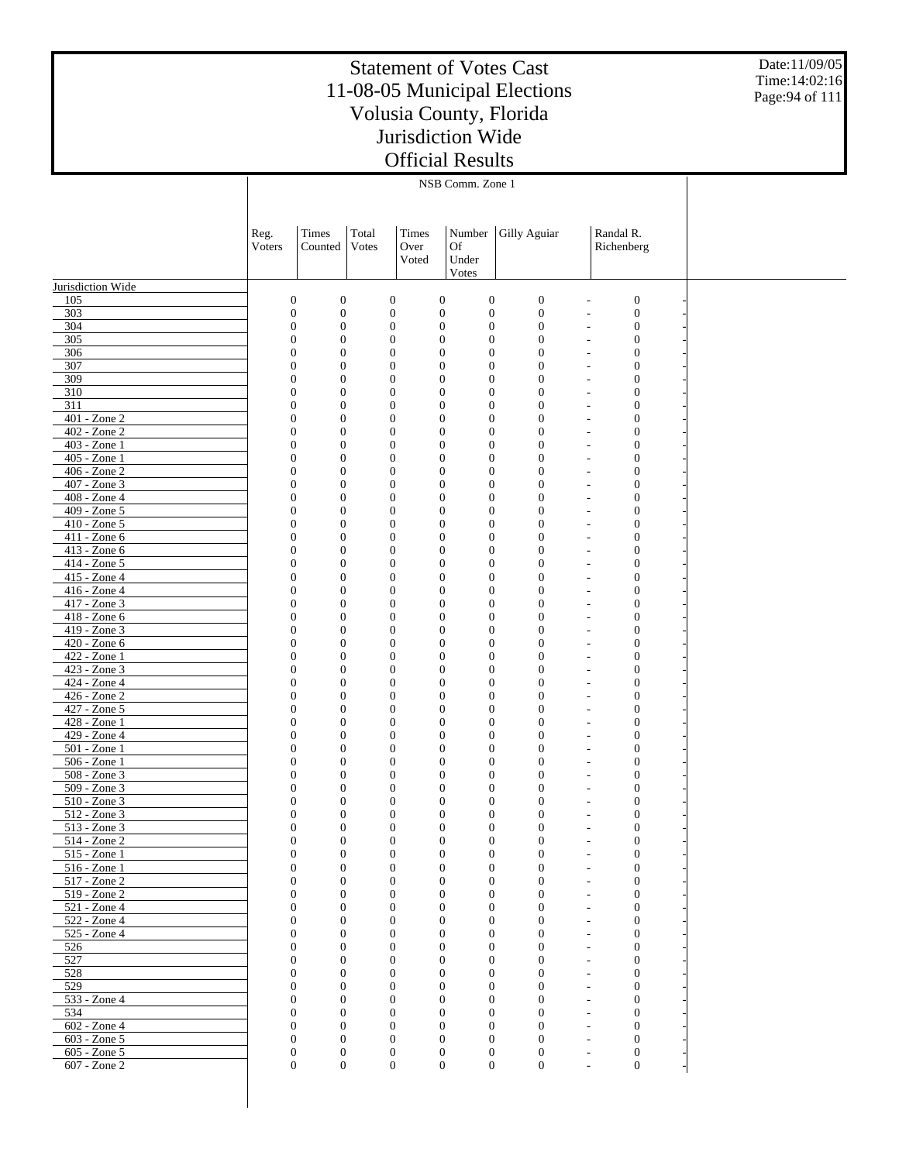Date:11/09/05 Time:14:02:16 Page:94 of 111

| NSB Comm. Zone 1 |  |
|------------------|--|
|                  |  |

|                                    | Reg.<br>Voters                       | Times<br>Counted                     | Total<br>Votes | Times<br>Over<br>Voted               | Number<br><b>Of</b><br>Under<br>Votes | Gilly Aguiar                                                                 |                                | Randal R.<br>Richenberg              |  |
|------------------------------------|--------------------------------------|--------------------------------------|----------------|--------------------------------------|---------------------------------------|------------------------------------------------------------------------------|--------------------------------|--------------------------------------|--|
| Jurisdiction Wide                  |                                      |                                      |                |                                      |                                       |                                                                              |                                |                                      |  |
| 105                                | $\boldsymbol{0}$                     | $\boldsymbol{0}$                     |                | $\boldsymbol{0}$                     | $\boldsymbol{0}$                      | $\boldsymbol{0}$<br>$\boldsymbol{0}$                                         |                                | $\boldsymbol{0}$                     |  |
| 303                                | $\boldsymbol{0}$                     | $\boldsymbol{0}$                     |                | $\boldsymbol{0}$                     | $\boldsymbol{0}$                      | $\boldsymbol{0}$<br>$\boldsymbol{0}$                                         |                                | $\boldsymbol{0}$                     |  |
| $\overline{304}$                   | $\boldsymbol{0}$                     | $\boldsymbol{0}$                     |                | $\boldsymbol{0}$                     | $\mathbf{0}$                          | $\boldsymbol{0}$<br>$\boldsymbol{0}$                                         | $\overline{a}$                 | $\boldsymbol{0}$                     |  |
| $\overline{305}$                   | $\boldsymbol{0}$                     | $\boldsymbol{0}$                     |                | $\boldsymbol{0}$                     | $\mathbf{0}$                          | $\boldsymbol{0}$<br>$\boldsymbol{0}$                                         | L,                             | $\boldsymbol{0}$                     |  |
| 306                                | $\boldsymbol{0}$                     | $\boldsymbol{0}$                     |                | $\boldsymbol{0}$                     | $\boldsymbol{0}$                      | $\boldsymbol{0}$<br>$\boldsymbol{0}$                                         | ÷,                             | $\boldsymbol{0}$                     |  |
| 307<br>309                         | $\boldsymbol{0}$<br>$\boldsymbol{0}$ | $\boldsymbol{0}$<br>$\mathbf{0}$     |                | $\boldsymbol{0}$<br>$\boldsymbol{0}$ | $\boldsymbol{0}$<br>$\boldsymbol{0}$  | $\boldsymbol{0}$<br>$\boldsymbol{0}$<br>$\boldsymbol{0}$<br>$\boldsymbol{0}$ |                                | $\boldsymbol{0}$                     |  |
| 310                                | $\boldsymbol{0}$                     | $\boldsymbol{0}$                     |                | $\boldsymbol{0}$                     | $\boldsymbol{0}$                      | $\boldsymbol{0}$<br>$\boldsymbol{0}$                                         | ٠<br>L,                        | $\boldsymbol{0}$<br>$\boldsymbol{0}$ |  |
| $\overline{311}$                   | $\overline{0}$                       | $\boldsymbol{0}$                     |                | $\boldsymbol{0}$                     | $\boldsymbol{0}$                      | $\boldsymbol{0}$<br>$\boldsymbol{0}$                                         | $\overline{\phantom{a}}$       | $\boldsymbol{0}$                     |  |
| $401 - Z$ one $2$                  | $\boldsymbol{0}$                     | $\boldsymbol{0}$                     |                | $\boldsymbol{0}$                     | $\boldsymbol{0}$                      | $\boldsymbol{0}$<br>$\boldsymbol{0}$                                         | ÷,                             | $\boldsymbol{0}$                     |  |
| $402 - Z$ one $2$                  | $\boldsymbol{0}$                     | $\boldsymbol{0}$                     |                | $\boldsymbol{0}$                     | $\boldsymbol{0}$                      | $\boldsymbol{0}$<br>$\boldsymbol{0}$                                         | $\overline{\phantom{a}}$       | $\boldsymbol{0}$                     |  |
| $403 - Z$ one 1                    | $\boldsymbol{0}$                     | $\boldsymbol{0}$                     |                | $\boldsymbol{0}$                     | $\boldsymbol{0}$                      | $\boldsymbol{0}$<br>$\boldsymbol{0}$                                         | L,                             | $\boldsymbol{0}$                     |  |
| $405 - Z$ one 1                    | $\overline{0}$                       | $\boldsymbol{0}$                     |                | $\boldsymbol{0}$                     | $\boldsymbol{0}$                      | $\boldsymbol{0}$<br>$\boldsymbol{0}$                                         | $\overline{\phantom{a}}$       | $\boldsymbol{0}$                     |  |
| 406 - Zone 2                       | $\boldsymbol{0}$                     | $\boldsymbol{0}$                     |                | $\boldsymbol{0}$                     | $\boldsymbol{0}$                      | $\boldsymbol{0}$<br>$\boldsymbol{0}$                                         | ÷,                             | $\boldsymbol{0}$                     |  |
| $407 - Z$ one 3                    | $\boldsymbol{0}$                     | $\boldsymbol{0}$                     |                | $\boldsymbol{0}$                     | $\boldsymbol{0}$                      | $\boldsymbol{0}$<br>$\boldsymbol{0}$                                         | $\overline{\phantom{a}}$       | $\boldsymbol{0}$                     |  |
| $408 - Z$ one 4                    | $\boldsymbol{0}$                     | $\boldsymbol{0}$                     |                | $\boldsymbol{0}$                     | $\boldsymbol{0}$                      | $\boldsymbol{0}$<br>$\boldsymbol{0}$                                         | L,                             | $\boldsymbol{0}$                     |  |
| $409 - Z$ one 5<br>$410 - Z$ one 5 | $\overline{0}$<br>$\boldsymbol{0}$   | $\boldsymbol{0}$                     |                | $\boldsymbol{0}$                     | $\boldsymbol{0}$<br>$\boldsymbol{0}$  | $\boldsymbol{0}$<br>$\boldsymbol{0}$<br>$\boldsymbol{0}$                     | $\overline{\phantom{a}}$       | $\boldsymbol{0}$                     |  |
| $411 - Zone 6$                     | $\boldsymbol{0}$                     | $\boldsymbol{0}$<br>$\boldsymbol{0}$ |                | $\boldsymbol{0}$<br>$\boldsymbol{0}$ | $\boldsymbol{0}$                      | $\boldsymbol{0}$<br>$\boldsymbol{0}$<br>$\boldsymbol{0}$                     | ÷,<br>$\overline{\phantom{a}}$ | $\boldsymbol{0}$<br>$\boldsymbol{0}$ |  |
| $413 - Zone 6$                     | $\boldsymbol{0}$                     | $\boldsymbol{0}$                     |                | $\boldsymbol{0}$                     | $\boldsymbol{0}$                      | $\boldsymbol{0}$<br>$\boldsymbol{0}$                                         | L,                             | $\boldsymbol{0}$                     |  |
| $414 - Zone 5$                     | $\overline{0}$                       | $\boldsymbol{0}$                     |                | $\boldsymbol{0}$                     | $\boldsymbol{0}$                      | $\boldsymbol{0}$<br>$\boldsymbol{0}$                                         | $\overline{\phantom{a}}$       | $\boldsymbol{0}$                     |  |
| $415 - Z$ one 4                    | $\boldsymbol{0}$                     | $\boldsymbol{0}$                     |                | $\boldsymbol{0}$                     | $\boldsymbol{0}$                      | $\boldsymbol{0}$<br>$\boldsymbol{0}$                                         | ÷,                             | $\boldsymbol{0}$                     |  |
| $416 - Zone4$                      | $\boldsymbol{0}$                     | $\boldsymbol{0}$                     |                | $\boldsymbol{0}$                     | $\boldsymbol{0}$                      | $\boldsymbol{0}$<br>$\boldsymbol{0}$                                         | $\overline{\phantom{a}}$       | $\boldsymbol{0}$                     |  |
| $417 - Zone$ 3                     | $\boldsymbol{0}$                     | $\boldsymbol{0}$                     |                | $\boldsymbol{0}$                     | $\boldsymbol{0}$                      | $\boldsymbol{0}$<br>$\boldsymbol{0}$                                         | L,                             | $\boldsymbol{0}$                     |  |
| $418 - Zone 6$                     | $\overline{0}$                       | $\boldsymbol{0}$                     |                | $\boldsymbol{0}$                     | $\boldsymbol{0}$                      | $\boldsymbol{0}$<br>$\boldsymbol{0}$                                         | $\overline{\phantom{a}}$       | $\boldsymbol{0}$                     |  |
| $419 - Zone$ 3                     | $\boldsymbol{0}$                     | $\boldsymbol{0}$                     |                | $\boldsymbol{0}$                     | $\boldsymbol{0}$                      | $\boldsymbol{0}$<br>$\boldsymbol{0}$                                         | ÷,                             | $\boldsymbol{0}$                     |  |
| $420 - Z$ one 6<br>$422 - Zone1$   | $\boldsymbol{0}$<br>$\boldsymbol{0}$ | $\boldsymbol{0}$<br>$\boldsymbol{0}$ |                | $\boldsymbol{0}$                     | $\boldsymbol{0}$<br>$\boldsymbol{0}$  | $\boldsymbol{0}$<br>$\boldsymbol{0}$<br>$\boldsymbol{0}$<br>$\boldsymbol{0}$ | ÷,                             | $\boldsymbol{0}$                     |  |
| $423 - Z$ one 3                    | $\boldsymbol{0}$                     | $\boldsymbol{0}$                     |                | $\boldsymbol{0}$<br>$\boldsymbol{0}$ | $\boldsymbol{0}$                      | $\boldsymbol{0}$<br>$\boldsymbol{0}$                                         | L,<br>$\overline{a}$           | $\boldsymbol{0}$<br>$\boldsymbol{0}$ |  |
| $\overline{424 - \text{Zone }4}$   | $\boldsymbol{0}$                     | $\boldsymbol{0}$                     |                | $\boldsymbol{0}$                     | $\boldsymbol{0}$                      | $\boldsymbol{0}$<br>$\boldsymbol{0}$                                         | ÷,                             | $\boldsymbol{0}$                     |  |
| $426 - Zone$ 2                     | $\boldsymbol{0}$                     | $\boldsymbol{0}$                     |                | $\boldsymbol{0}$                     | $\boldsymbol{0}$                      | $\boldsymbol{0}$<br>$\boldsymbol{0}$                                         | ÷,                             | $\boldsymbol{0}$                     |  |
| $427 - Z$ one 5                    | $\boldsymbol{0}$                     | $\boldsymbol{0}$                     |                | $\boldsymbol{0}$                     | $\boldsymbol{0}$                      | $\boldsymbol{0}$<br>$\boldsymbol{0}$                                         | L,                             | $\boldsymbol{0}$                     |  |
| $428 - Z$ one 1                    | $\boldsymbol{0}$                     | $\boldsymbol{0}$                     |                | $\boldsymbol{0}$                     | $\boldsymbol{0}$                      | $\boldsymbol{0}$<br>$\boldsymbol{0}$                                         | $\overline{a}$                 | $\boldsymbol{0}$                     |  |
| 429 - Zone 4                       | $\boldsymbol{0}$                     | $\boldsymbol{0}$                     |                | $\boldsymbol{0}$                     | $\boldsymbol{0}$                      | $\boldsymbol{0}$<br>$\boldsymbol{0}$                                         | ÷,                             | $\boldsymbol{0}$                     |  |
| $501 - Z$ one 1                    | $\boldsymbol{0}$                     | $\boldsymbol{0}$                     |                | $\boldsymbol{0}$                     | $\boldsymbol{0}$                      | $\boldsymbol{0}$<br>$\boldsymbol{0}$                                         | ÷,                             | $\boldsymbol{0}$                     |  |
| $506 - Zone1$                      | $\boldsymbol{0}$                     | $\boldsymbol{0}$                     |                | $\boldsymbol{0}$                     | $\boldsymbol{0}$                      | $\boldsymbol{0}$<br>$\boldsymbol{0}$                                         | L,                             | $\boldsymbol{0}$                     |  |
| $508 - Z$ one 3                    | $\overline{0}$                       | $\boldsymbol{0}$                     |                | $\boldsymbol{0}$                     | $\boldsymbol{0}$                      | $\boldsymbol{0}$<br>$\boldsymbol{0}$                                         | $\overline{\phantom{a}}$       | $\boldsymbol{0}$                     |  |
| $509 - Zone$ 3<br>$510 - Z$ one 3  | $\boldsymbol{0}$<br>$\overline{0}$   | $\boldsymbol{0}$<br>$\boldsymbol{0}$ |                | $\boldsymbol{0}$<br>$\boldsymbol{0}$ | $\boldsymbol{0}$<br>$\boldsymbol{0}$  | $\boldsymbol{0}$<br>$\boldsymbol{0}$<br>$\boldsymbol{0}$<br>$\boldsymbol{0}$ | L,                             | $\boldsymbol{0}$<br>$\boldsymbol{0}$ |  |
| $512 - Zone$ 3                     | $\boldsymbol{0}$                     | $\boldsymbol{0}$                     |                | $\boldsymbol{0}$                     | $\mathbf{0}$                          | $\boldsymbol{0}$<br>$\boldsymbol{0}$                                         |                                | $\boldsymbol{0}$                     |  |
| $513 - Zone$ 3                     | $\overline{0}$                       | $\mathbf{0}$                         |                | $\mathbf{0}$                         | $\boldsymbol{0}$                      | $\boldsymbol{0}$<br>$\boldsymbol{0}$                                         |                                | $\boldsymbol{0}$                     |  |
| $514 - Zone2$                      | $\overline{0}$                       | $\boldsymbol{0}$                     |                | $\boldsymbol{0}$                     | $\boldsymbol{0}$                      | $\boldsymbol{0}$<br>$\boldsymbol{0}$                                         |                                | $\boldsymbol{0}$                     |  |
| 515 - Zone 1                       | $\Omega$                             | $\overline{0}$                       |                | $\Omega$                             | $\Omega$                              | $\Omega$<br>$\Omega$                                                         |                                | $\Omega$                             |  |
| $516 - Zone$ 1                     | $\Omega$                             | $\boldsymbol{0}$                     |                | $\Omega$                             | $\boldsymbol{0}$                      | $\mathbf{0}$<br>0                                                            |                                | $\mathbf{0}$                         |  |
| $517 - Zone2$                      | $\theta$                             | $\overline{0}$                       |                | $\boldsymbol{0}$                     | $\mathbf{0}$                          | $\overline{0}$<br>$\Omega$                                                   |                                | $\mathbf{0}$                         |  |
| $519 - Zone2$                      | $\overline{0}$                       | $\overline{0}$                       |                | $\overline{0}$                       | $\mathbf{0}$                          | $\overline{0}$<br>$\mathbf{0}$                                               |                                | $\boldsymbol{0}$                     |  |
| $\overline{521 - \text{Zone } 4}$  | $\Omega$                             | $\Omega$                             |                | $\Omega$                             | $\theta$                              | $\Omega$<br>$\theta$                                                         |                                | $\mathbf{0}$                         |  |
| 522 - Zone 4<br>$525 - Zone4$      | 0<br>$\Omega$                        | $\overline{0}$<br>$\theta$           |                | $\mathbf{0}$<br>$\Omega$             | $\boldsymbol{0}$<br>$\overline{0}$    | $\mathbf{0}$<br>$\overline{0}$<br>$\Omega$<br>$\theta$                       |                                | $\boldsymbol{0}$<br>$\mathbf{0}$     |  |
| 526                                | $\Omega$                             | $\overline{0}$                       |                | $\mathbf{0}$                         | $\overline{0}$                        | $\mathbf{0}$<br>$\theta$                                                     |                                | $\boldsymbol{0}$                     |  |
| 527                                | $\Omega$                             | $\theta$                             |                | $\Omega$                             | $\overline{0}$                        | $\Omega$<br>$\theta$                                                         |                                | $\mathbf{0}$                         |  |
| 528                                | $\Omega$                             | $\overline{0}$                       |                | $\mathbf{0}$                         | $\mathbf{0}$                          | $\mathbf{0}$<br>$\overline{0}$                                               |                                | $\boldsymbol{0}$                     |  |
| 529                                | $\Omega$                             | $\theta$                             |                | $\mathbf{0}$                         | $\overline{0}$                        | $\Omega$<br>$\theta$                                                         |                                | $\mathbf{0}$                         |  |
| $533 - Zone4$                      | $\Omega$                             | $\overline{0}$                       |                | $\mathbf{0}$                         | $\overline{0}$                        | $\mathbf{0}$<br>$\overline{0}$                                               |                                | $\boldsymbol{0}$                     |  |
| 534                                | $\Omega$                             | $\theta$                             |                | $\mathbf{0}$                         | $\overline{0}$                        | $\Omega$<br>$\Omega$                                                         |                                | $\mathbf{0}$                         |  |
| $602 - Z$ one 4                    | $\theta$                             | $\overline{0}$                       |                | $\mathbf{0}$                         | $\overline{0}$                        | $\mathbf{0}$<br>$\mathbf{0}$                                                 |                                | $\boldsymbol{0}$                     |  |
| $603 - Z$ one 5                    | $\Omega$                             | $\overline{0}$                       |                | $\mathbf{0}$                         | $\theta$                              | $\Omega$<br>$\mathbf{0}$                                                     |                                | $\boldsymbol{0}$                     |  |
| 605 - Zone 5<br>$607 - Z$ one $2$  | $\boldsymbol{0}$<br>$\Omega$         | $\boldsymbol{0}$<br>$\overline{0}$   |                | $\boldsymbol{0}$<br>$\boldsymbol{0}$ | $\boldsymbol{0}$<br>$\overline{0}$    | $\boldsymbol{0}$<br>$\boldsymbol{0}$<br>$\Omega$<br>$\boldsymbol{0}$         |                                | $\boldsymbol{0}$<br>$\mathbf{0}$     |  |
|                                    |                                      |                                      |                |                                      |                                       |                                                                              |                                |                                      |  |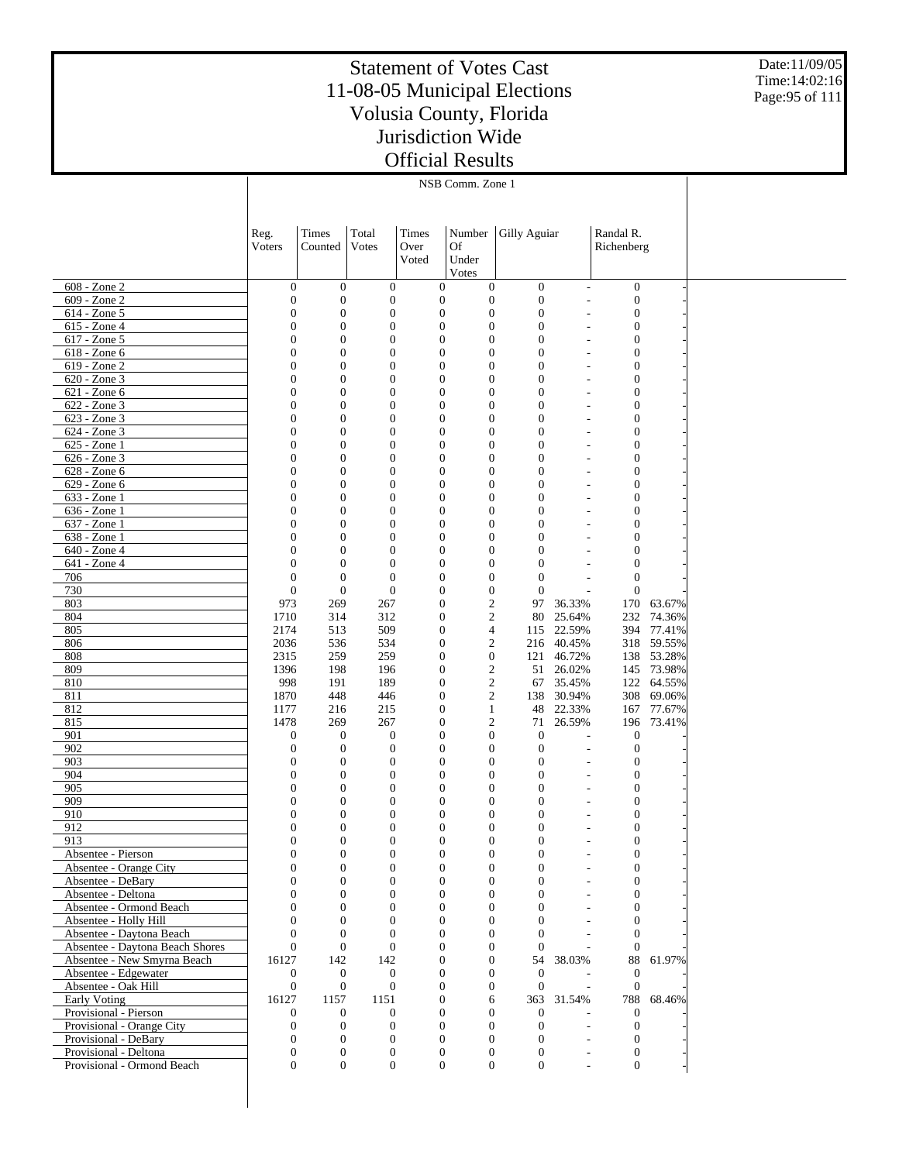Date:11/09/05 Time:14:02:16 Page:95 of 111

|                                                   | Reg.<br>Voters                       | <b>Times</b><br>Counted            | Total<br>Votes                       | Times<br>Over | Number<br>Of                         |                                      | Gilly Aguiar                         |                                    | Randal R.<br>Richenberg              |                      |
|---------------------------------------------------|--------------------------------------|------------------------------------|--------------------------------------|---------------|--------------------------------------|--------------------------------------|--------------------------------------|------------------------------------|--------------------------------------|----------------------|
|                                                   |                                      |                                    |                                      | Voted         | Under<br>Votes                       |                                      |                                      |                                    |                                      |                      |
| 608 - Zone 2                                      | $\boldsymbol{0}$                     | $\overline{0}$                     | $\boldsymbol{0}$                     |               | $\boldsymbol{0}$                     | $\boldsymbol{0}$                     | $\boldsymbol{0}$                     | $\overline{\phantom{a}}$           | $\boldsymbol{0}$                     |                      |
| 609 - Zone 2                                      | $\boldsymbol{0}$                     | $\boldsymbol{0}$                   | $\boldsymbol{0}$                     |               | $\boldsymbol{0}$                     | $\boldsymbol{0}$                     | $\boldsymbol{0}$                     | ÷,                                 | $\boldsymbol{0}$                     |                      |
| 614 - Zone 5                                      | $\mathbf{0}$                         | $\overline{0}$                     | $\boldsymbol{0}$                     |               | $\boldsymbol{0}$                     | $\boldsymbol{0}$                     | $\mathbf{0}$                         | ÷,                                 | $\boldsymbol{0}$                     |                      |
| 615 - Zone 4                                      | $\boldsymbol{0}$                     | $\boldsymbol{0}$                   | $\boldsymbol{0}$                     |               | $\boldsymbol{0}$                     | $\boldsymbol{0}$                     | $\boldsymbol{0}$                     |                                    | $\boldsymbol{0}$                     |                      |
| 617 - Zone 5<br>618 - Zone 6                      | $\mathbf{0}$<br>$\boldsymbol{0}$     | $\overline{0}$<br>$\boldsymbol{0}$ | $\boldsymbol{0}$<br>$\boldsymbol{0}$ |               | $\boldsymbol{0}$<br>$\boldsymbol{0}$ | $\boldsymbol{0}$<br>$\boldsymbol{0}$ | $\boldsymbol{0}$<br>$\boldsymbol{0}$ |                                    | $\boldsymbol{0}$<br>$\boldsymbol{0}$ |                      |
| 619 - Zone 2                                      | $\overline{0}$                       | $\overline{0}$                     | $\boldsymbol{0}$                     |               | $\boldsymbol{0}$                     | $\boldsymbol{0}$                     | $\boldsymbol{0}$                     |                                    | $\boldsymbol{0}$                     |                      |
| 620 - Zone 3                                      | $\boldsymbol{0}$                     | $\boldsymbol{0}$                   | $\boldsymbol{0}$                     |               | $\boldsymbol{0}$                     | $\boldsymbol{0}$                     | $\boldsymbol{0}$                     |                                    | $\boldsymbol{0}$                     |                      |
| 621 - Zone 6                                      | $\overline{0}$                       | $\overline{0}$                     | $\boldsymbol{0}$                     |               | $\boldsymbol{0}$                     | $\boldsymbol{0}$                     | $\boldsymbol{0}$                     | ٠                                  | $\boldsymbol{0}$                     |                      |
| 622 - Zone 3                                      | $\boldsymbol{0}$                     | $\boldsymbol{0}$                   | $\boldsymbol{0}$                     |               | $\boldsymbol{0}$                     | $\boldsymbol{0}$                     | $\boldsymbol{0}$                     |                                    | $\boldsymbol{0}$                     |                      |
| 623 - Zone 3                                      | $\overline{0}$                       | $\overline{0}$                     | $\boldsymbol{0}$                     |               | $\boldsymbol{0}$                     | $\boldsymbol{0}$                     | $\boldsymbol{0}$                     | ٠                                  | $\boldsymbol{0}$                     |                      |
| 624 - Zone 3<br>625 - Zone 1                      | $\boldsymbol{0}$<br>$\overline{0}$   | $\boldsymbol{0}$<br>$\overline{0}$ | $\boldsymbol{0}$<br>$\boldsymbol{0}$ |               | $\boldsymbol{0}$<br>$\boldsymbol{0}$ | $\boldsymbol{0}$<br>$\boldsymbol{0}$ | $\boldsymbol{0}$<br>$\boldsymbol{0}$ | ٠                                  | $\boldsymbol{0}$<br>$\boldsymbol{0}$ |                      |
| 626 - Zone 3                                      | $\boldsymbol{0}$                     | $\boldsymbol{0}$                   | $\boldsymbol{0}$                     |               | $\boldsymbol{0}$                     | $\boldsymbol{0}$                     | $\boldsymbol{0}$                     |                                    | $\boldsymbol{0}$                     |                      |
| 628 - Zone 6                                      | $\overline{0}$                       | $\overline{0}$                     | $\boldsymbol{0}$                     |               | $\boldsymbol{0}$                     | $\boldsymbol{0}$                     | $\boldsymbol{0}$                     |                                    | $\boldsymbol{0}$                     |                      |
| 629 - Zone 6                                      | $\boldsymbol{0}$                     | $\boldsymbol{0}$                   | $\boldsymbol{0}$                     |               | $\boldsymbol{0}$                     | $\boldsymbol{0}$                     | $\boldsymbol{0}$                     |                                    | $\boldsymbol{0}$                     |                      |
| 633 - Zone 1                                      | $\mathbf{0}$                         | $\overline{0}$                     | $\boldsymbol{0}$                     |               | $\boldsymbol{0}$                     | $\boldsymbol{0}$                     | $\boldsymbol{0}$                     | ٠                                  | $\boldsymbol{0}$                     |                      |
| $636 - Z$ one 1                                   | $\boldsymbol{0}$                     | $\boldsymbol{0}$                   | $\boldsymbol{0}$                     |               | $\boldsymbol{0}$                     | $\boldsymbol{0}$                     | $\boldsymbol{0}$                     |                                    | $\boldsymbol{0}$                     |                      |
| 637 - Zone 1<br>638 - Zone 1                      | $\overline{0}$<br>$\boldsymbol{0}$   | $\overline{0}$<br>$\boldsymbol{0}$ | $\boldsymbol{0}$<br>$\boldsymbol{0}$ |               | $\boldsymbol{0}$<br>$\boldsymbol{0}$ | $\boldsymbol{0}$<br>$\boldsymbol{0}$ | $\boldsymbol{0}$<br>$\boldsymbol{0}$ |                                    | $\boldsymbol{0}$<br>$\boldsymbol{0}$ |                      |
| 640 - Zone 4                                      | $\overline{0}$                       | $\overline{0}$                     | $\boldsymbol{0}$                     |               | $\boldsymbol{0}$                     | $\boldsymbol{0}$                     | $\boldsymbol{0}$                     |                                    | $\boldsymbol{0}$                     |                      |
| 641 - Zone 4                                      | $\boldsymbol{0}$                     | $\mathbf{0}$                       | $\boldsymbol{0}$                     |               | $\boldsymbol{0}$                     | $\boldsymbol{0}$                     | $\boldsymbol{0}$                     |                                    | $\boldsymbol{0}$                     |                      |
| 706                                               | $\boldsymbol{0}$                     | $\mathbf{0}$                       | $\boldsymbol{0}$                     |               | $\boldsymbol{0}$                     | $\boldsymbol{0}$                     | $\mathbf{0}$                         |                                    | $\boldsymbol{0}$                     |                      |
| 730                                               | $\boldsymbol{0}$                     | $\mathbf{0}$                       | $\boldsymbol{0}$                     |               | $\boldsymbol{0}$                     | $\boldsymbol{0}$                     | $\mathbf{0}$                         |                                    | $\boldsymbol{0}$                     |                      |
| 803                                               | 973                                  | 269                                | 267                                  |               | $\boldsymbol{0}$                     | $\boldsymbol{2}$                     | 97                                   | 36.33%                             | 170                                  | 63.67%               |
| 804<br>805                                        | 1710                                 | 314                                | 312                                  |               | $\boldsymbol{0}$                     | $\overline{c}$                       | 80                                   | 25.64%                             | 232<br>394                           | 74.36%               |
| 806                                               | 2174<br>2036                         | 513<br>536                         | 509<br>534                           |               | $\boldsymbol{0}$<br>$\boldsymbol{0}$ | 4<br>$\overline{c}$                  | 115<br>216                           | 22.59%<br>40.45%                   |                                      | 77.41%<br>318 59.55% |
| 808                                               | 2315                                 | 259                                | 259                                  |               | $\boldsymbol{0}$                     | $\boldsymbol{0}$                     | 121                                  | 46.72%                             |                                      | 138 53.28%           |
| 809                                               | 1396                                 | 198                                | 196                                  |               | $\boldsymbol{0}$                     | $\mathfrak{2}$                       | 51                                   | 26.02%                             | 145                                  | 73.98%               |
| 810                                               | 998                                  | 191                                | 189                                  |               | $\boldsymbol{0}$                     | $\mathfrak{2}$                       | 67                                   | 35.45%                             | 122                                  | 64.55%               |
| 811                                               | 1870                                 | 448                                | 446                                  |               | $\boldsymbol{0}$                     | $\overline{c}$                       | 138                                  | 30.94%                             | 308                                  | 69.06%               |
| 812                                               | 1177                                 | 216                                | 215                                  |               | $\boldsymbol{0}$                     | $\mathbf{1}$                         | 48                                   | 22.33%                             | 167                                  | 77.67%               |
| 815<br>901                                        | 1478                                 | 269<br>$\boldsymbol{0}$            | 267<br>$\boldsymbol{0}$              |               | $\boldsymbol{0}$<br>$\boldsymbol{0}$ | $\overline{c}$<br>$\boldsymbol{0}$   | 71<br>$\mathbf{0}$                   | 26.59%<br>$\overline{\phantom{a}}$ | 196<br>$\boldsymbol{0}$              | 73.41%               |
| 902                                               | $\boldsymbol{0}$<br>$\boldsymbol{0}$ | $\boldsymbol{0}$                   | $\boldsymbol{0}$                     |               | $\boldsymbol{0}$                     | $\boldsymbol{0}$                     | $\mathbf{0}$                         |                                    | $\boldsymbol{0}$                     |                      |
| 903                                               | $\boldsymbol{0}$                     | $\overline{0}$                     | $\boldsymbol{0}$                     |               | $\boldsymbol{0}$                     | $\boldsymbol{0}$                     | $\mathbf{0}$                         | ÷,                                 | $\boldsymbol{0}$                     |                      |
| 904                                               | $\boldsymbol{0}$                     | $\boldsymbol{0}$                   | $\boldsymbol{0}$                     |               | $\boldsymbol{0}$                     | $\boldsymbol{0}$                     | $\boldsymbol{0}$                     |                                    | $\boldsymbol{0}$                     |                      |
| 905                                               | $\theta$                             | $\overline{0}$                     | $\boldsymbol{0}$                     |               | $\boldsymbol{0}$                     | $\boldsymbol{0}$                     | $\boldsymbol{0}$                     |                                    | $\boldsymbol{0}$                     |                      |
| 909                                               | $\boldsymbol{0}$                     | $\boldsymbol{0}$                   | $\boldsymbol{0}$                     |               | $\boldsymbol{0}$                     | $\boldsymbol{0}$                     | $\boldsymbol{0}$                     |                                    | $\boldsymbol{0}$                     |                      |
| 910                                               | $\theta$                             | $\overline{0}$                     | $\boldsymbol{0}$                     |               | $\boldsymbol{0}$                     | $\boldsymbol{0}$                     | $\boldsymbol{0}$                     |                                    | $\boldsymbol{0}$                     |                      |
| 912<br>913                                        | $\boldsymbol{0}$<br>$\boldsymbol{0}$ | $\boldsymbol{0}$<br>$\overline{0}$ | $\boldsymbol{0}$<br>$\boldsymbol{0}$ |               | $\boldsymbol{0}$<br>$\boldsymbol{0}$ | $\boldsymbol{0}$<br>$\boldsymbol{0}$ | $\boldsymbol{0}$<br>$\boldsymbol{0}$ | ٠                                  | $\boldsymbol{0}$<br>$\boldsymbol{0}$ |                      |
| Absentee - Pierson                                | $\boldsymbol{0}$                     | $\overline{0}$                     | $\mathbf{0}$                         |               | $\boldsymbol{0}$                     | $\mathbf{0}$                         | $\overline{0}$                       | ÷,                                 | $\boldsymbol{0}$                     |                      |
| Absentee - Orange City                            | $\boldsymbol{0}$                     | 0                                  | $\boldsymbol{0}$                     |               | $\boldsymbol{0}$                     | 0                                    | $\boldsymbol{0}$                     |                                    | $\boldsymbol{0}$                     |                      |
| Absentee - DeBary                                 | $\boldsymbol{0}$                     | $\overline{0}$                     | $\boldsymbol{0}$                     |               | $\boldsymbol{0}$                     | $\mathbf{0}$                         | $\overline{0}$                       |                                    | $\boldsymbol{0}$                     |                      |
| Absentee - Deltona                                | $\mathbf{0}$                         | $\theta$                           | $\mathbf{0}$                         |               | $\boldsymbol{0}$                     | $\theta$                             | $\Omega$                             |                                    | $\boldsymbol{0}$                     |                      |
| Absentee - Ormond Beach                           | $\mathbf{0}$                         | $\Omega$                           | $\overline{0}$                       |               | $\boldsymbol{0}$                     | $\mathbf{0}$                         | $\Omega$                             |                                    | $\boldsymbol{0}$                     |                      |
| Absentee - Holly Hill<br>Absentee - Daytona Beach | $\Omega$<br>$\mathbf{0}$             | $\theta$<br>$\mathbf{0}$           | $\mathbf{0}$<br>$\mathbf{0}$         |               | $\boldsymbol{0}$<br>$\boldsymbol{0}$ | $\theta$<br>$\mathbf{0}$             | $\Omega$<br>$\Omega$                 |                                    | $\boldsymbol{0}$<br>$\boldsymbol{0}$ |                      |
| Absentee - Daytona Beach Shores                   | $\mathbf{0}$                         | $\theta$                           | $\mathbf{0}$                         |               | $\overline{0}$                       | $\Omega$                             | $\Omega$                             |                                    | $\mathbf{0}$                         |                      |
| Absentee - New Smyrna Beach                       | 16127                                | 142                                | 142                                  |               | $\boldsymbol{0}$                     | $\mathbf{0}$                         | 54                                   | 38.03%                             |                                      | 88 61.97%            |
| Absentee - Edgewater                              | $\boldsymbol{0}$                     | $\boldsymbol{0}$                   | $\boldsymbol{0}$                     |               | $\boldsymbol{0}$                     | $\Omega$                             | $\theta$                             |                                    | $\theta$                             |                      |
| Absentee - Oak Hill                               | $\mathbf{0}$                         | $\overline{0}$                     | $\mathbf{0}$                         |               | $\boldsymbol{0}$                     | $\mathbf{0}$                         | $\Omega$                             |                                    | $\mathbf{0}$                         |                      |
| Early Voting                                      | 16127                                | 1157                               | 1151                                 |               | $\boldsymbol{0}$                     | 6                                    |                                      | 363 31.54%                         | 788                                  | 68.46%               |
| Provisional - Pierson                             | $\overline{0}$                       | $\overline{0}$                     | $\overline{0}$                       |               | $\boldsymbol{0}$                     | $\Omega$                             | $\theta$                             |                                    | $\mathbf{0}$                         |                      |
| Provisional - Orange City<br>Provisional - DeBary | $\mathbf{0}$<br>$\mathbf{0}$         | $\overline{0}$<br>$\overline{0}$   | $\mathbf{0}$<br>$\mathbf{0}$         |               | $\mathbf{0}$<br>$\boldsymbol{0}$     | $\Omega$<br>$\mathbf{0}$             | $\overline{0}$<br>$\mathbf{0}$       |                                    | $\boldsymbol{0}$<br>$\boldsymbol{0}$ |                      |
| Provisional - Deltona                             | $\mathbf{0}$                         | $\Omega$                           | $\boldsymbol{0}$                     |               | $\boldsymbol{0}$                     | $\Omega$                             | $\theta$                             |                                    | $\boldsymbol{0}$                     |                      |
| Provisional - Ormond Beach                        | $\mathbf{0}$                         | $\overline{0}$                     | $\mathbf{0}$                         |               | $\boldsymbol{0}$                     | $\overline{0}$                       | $\theta$                             |                                    | $\mathbf{0}$                         |                      |
|                                                   |                                      |                                    |                                      |               |                                      |                                      |                                      |                                    |                                      |                      |
|                                                   |                                      |                                    |                                      |               |                                      |                                      |                                      |                                    |                                      |                      |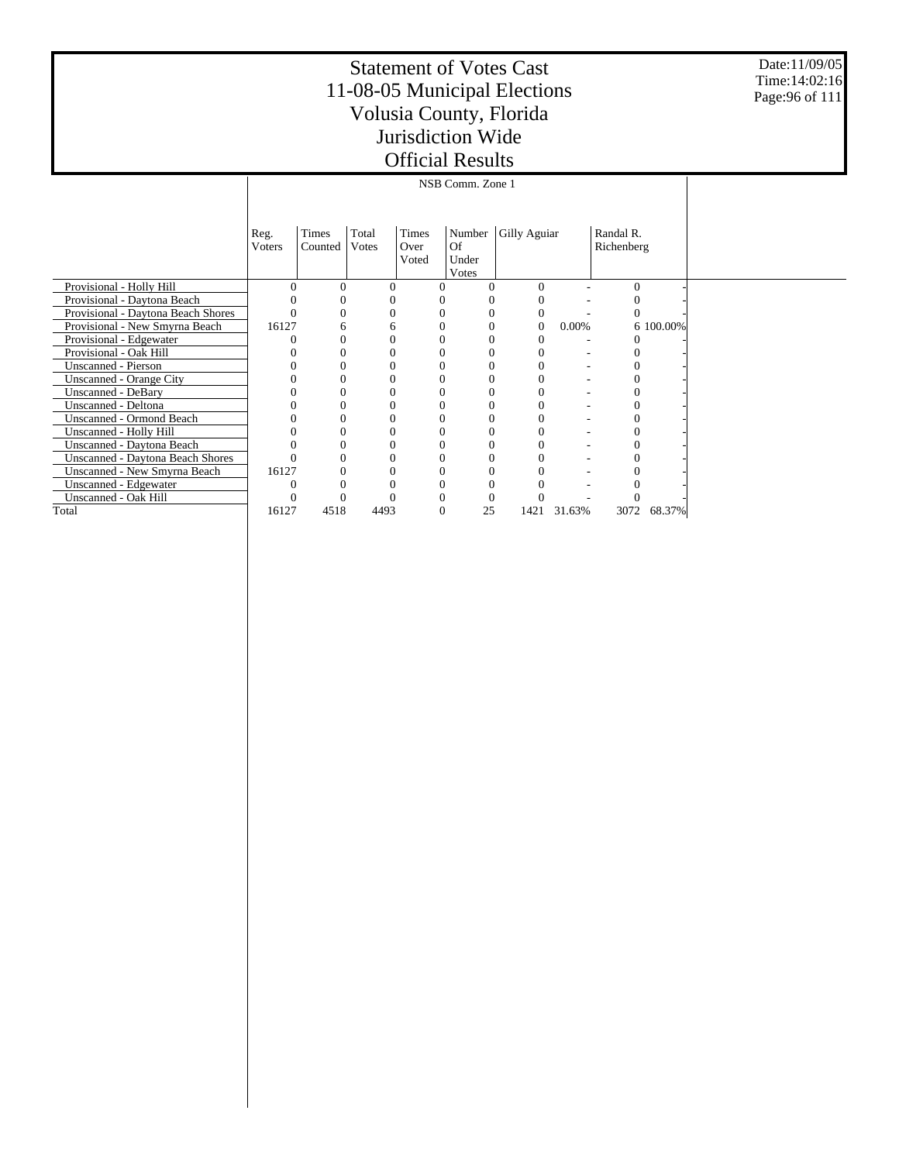Date:11/09/05 Time:14:02:16 Page:96 of 111

|  | NSB Comm. Zone 1 |  |  |
|--|------------------|--|--|
|--|------------------|--|--|

|                                         | Reg.          | Times   | Total | Times | Number |    | Gilly Aguiar |        | Randal R.  |             |
|-----------------------------------------|---------------|---------|-------|-------|--------|----|--------------|--------|------------|-------------|
|                                         | <b>Voters</b> | Counted | Votes | Over  | Of     |    |              |        | Richenberg |             |
|                                         |               |         |       | Voted | Under  |    |              |        |            |             |
|                                         |               |         |       |       | Votes  |    |              |        |            |             |
| Provisional - Holly Hill                |               |         |       |       |        |    |              |        | $\Omega$   |             |
| Provisional - Daytona Beach             |               |         |       |       |        |    |              |        |            |             |
| Provisional - Daytona Beach Shores      |               |         |       |       |        |    |              |        |            |             |
| Provisional - New Smyrna Beach          | 16127         |         |       |       |        |    |              | 0.00%  |            | 6 100,00%   |
| Provisional - Edgewater                 |               |         |       |       |        |    |              |        |            |             |
| Provisional - Oak Hill                  |               |         |       |       |        |    |              |        |            |             |
| Unscanned - Pierson                     |               |         |       |       |        |    |              |        |            |             |
| Unscanned - Orange City                 |               |         |       |       |        |    |              |        |            |             |
| Unscanned - DeBary                      |               |         |       |       |        |    |              |        |            |             |
| Unscanned - Deltona                     |               |         |       |       |        |    |              |        |            |             |
| Unscanned - Ormond Beach                |               |         |       |       |        |    |              |        |            |             |
| Unscanned - Holly Hill                  |               |         |       |       |        |    |              |        |            |             |
| Unscanned - Daytona Beach               |               |         |       |       |        |    |              |        |            |             |
| <b>Unscanned - Daytona Beach Shores</b> |               |         |       |       |        |    |              |        |            |             |
| Unscanned - New Smyrna Beach            | 16127         |         |       |       |        |    |              |        |            |             |
| Unscanned - Edgewater                   |               |         |       |       |        |    |              |        |            |             |
| Unscanned - Oak Hill                    |               |         |       |       |        |    |              |        |            |             |
| Total                                   | 16127         | 4518    | 4493  |       |        | 25 | 1421         | 31.63% |            | 3072 68.37% |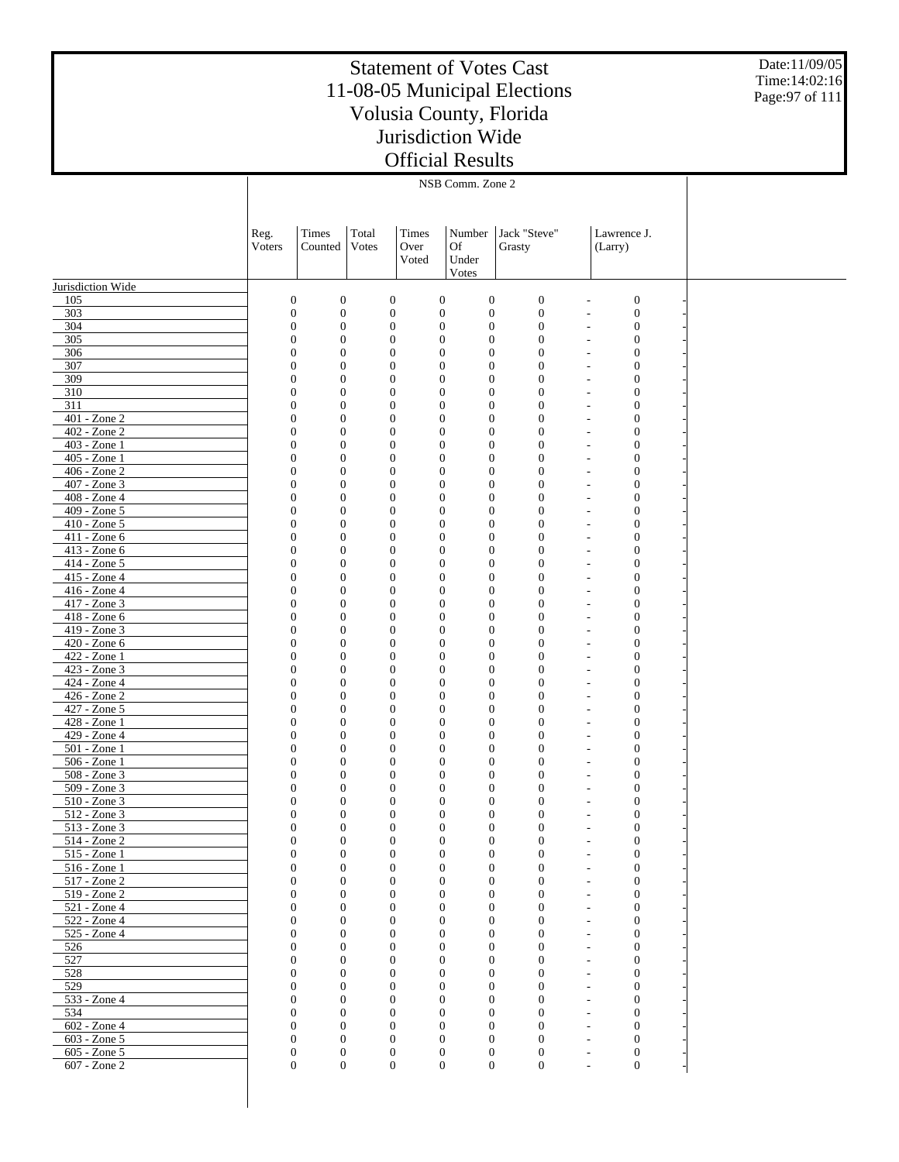Date:11/09/05 Time:14:02:16 Page:97 of 111

|                               |                                  |                                      |                |                                      | NSB Comm. Zone 2                                                         |                                      |                                            |                                      |
|-------------------------------|----------------------------------|--------------------------------------|----------------|--------------------------------------|--------------------------------------------------------------------------|--------------------------------------|--------------------------------------------|--------------------------------------|
|                               | Reg.<br>Voters                   | Times<br>Counted                     | Total<br>Votes | Times<br>Over<br>Voted               | Number<br><b>Of</b><br>Under<br>Votes                                    | Jack "Steve"<br>Grasty               |                                            | Lawrence J.<br>(Larry)               |
| Jurisdiction Wide             |                                  |                                      |                |                                      |                                                                          |                                      |                                            |                                      |
| 105                           | $\boldsymbol{0}$                 | $\boldsymbol{0}$                     |                | $\boldsymbol{0}$                     | $\boldsymbol{0}$<br>$\mathbf{0}$                                         | $\boldsymbol{0}$                     | $\overline{a}$                             | $\boldsymbol{0}$                     |
| 303                           | $\boldsymbol{0}$                 | $\boldsymbol{0}$                     |                | $\boldsymbol{0}$                     | $\boldsymbol{0}$<br>$\mathbf{0}$                                         | $\boldsymbol{0}$                     | L,                                         | $\boldsymbol{0}$                     |
| 304                           | $\theta$                         | $\boldsymbol{0}$                     |                | $\boldsymbol{0}$                     | $\boldsymbol{0}$<br>$\mathbf{0}$                                         | $\boldsymbol{0}$                     | $\overline{\phantom{a}}$                   | $\boldsymbol{0}$                     |
| 305                           | $\overline{0}$                   | $\boldsymbol{0}$                     |                | $\mathbf{0}$                         | $\boldsymbol{0}$<br>$\boldsymbol{0}$                                     | $\boldsymbol{0}$                     | L,                                         | $\boldsymbol{0}$                     |
| 306<br>307                    | $\overline{0}$<br>$\overline{0}$ | $\boldsymbol{0}$<br>$\mathbf{0}$     |                | $\boldsymbol{0}$<br>$\mathbf{0}$     | $\boldsymbol{0}$<br>$\mathbf{0}$<br>$\boldsymbol{0}$<br>$\boldsymbol{0}$ | $\boldsymbol{0}$<br>$\boldsymbol{0}$ | $\overline{\phantom{m}}$<br>$\overline{a}$ | $\boldsymbol{0}$<br>$\boldsymbol{0}$ |
| 309                           | $\overline{0}$                   | $\mathbf{0}$                         |                | $\boldsymbol{0}$                     | $\boldsymbol{0}$<br>$\mathbf{0}$                                         | $\boldsymbol{0}$                     | $\overline{\phantom{a}}$                   | $\boldsymbol{0}$                     |
| 310                           | $\overline{0}$                   | $\mathbf{0}$                         |                | $\boldsymbol{0}$                     | $\boldsymbol{0}$<br>$\boldsymbol{0}$                                     | $\boldsymbol{0}$                     | $\overline{a}$                             | $\boldsymbol{0}$                     |
| 311                           | $\overline{0}$                   | $\boldsymbol{0}$                     |                | $\boldsymbol{0}$                     | $\boldsymbol{0}$<br>$\mathbf{0}$                                         | $\boldsymbol{0}$                     | $\overline{\phantom{a}}$                   | $\boldsymbol{0}$                     |
| 401 - Zone 2                  | $\overline{0}$                   | $\mathbf{0}$                         |                | $\mathbf{0}$                         | $\boldsymbol{0}$<br>$\boldsymbol{0}$                                     | 0                                    | L,                                         | $\boldsymbol{0}$                     |
| 402 - Zone 2                  | $\overline{0}$                   | $\boldsymbol{0}$                     |                | $\boldsymbol{0}$                     | $\boldsymbol{0}$<br>$\mathbf{0}$                                         | $\boldsymbol{0}$                     | $\overline{\phantom{0}}$                   | $\boldsymbol{0}$                     |
| 403 - Zone 1                  | $\overline{0}$                   | $\mathbf{0}$                         |                | $\boldsymbol{0}$                     | $\boldsymbol{0}$<br>$\boldsymbol{0}$                                     | $\boldsymbol{0}$                     | L,                                         | $\boldsymbol{0}$                     |
| 405 - Zone 1                  | $\overline{0}$                   | $\boldsymbol{0}$                     |                | $\boldsymbol{0}$                     | $\boldsymbol{0}$<br>$\mathbf{0}$                                         | $\boldsymbol{0}$                     | $\overline{\phantom{a}}$                   | $\boldsymbol{0}$                     |
| 406 - Zone 2                  | $\overline{0}$                   | $\mathbf{0}$                         |                | $\mathbf{0}$                         | $\boldsymbol{0}$<br>$\boldsymbol{0}$                                     | 0                                    | L,                                         | $\boldsymbol{0}$                     |
| 407 - Zone 3<br>408 - Zone 4  | $\overline{0}$<br>$\overline{0}$ | $\boldsymbol{0}$<br>$\mathbf{0}$     |                | $\boldsymbol{0}$<br>$\mathbf{0}$     | $\boldsymbol{0}$<br>$\mathbf{0}$<br>$\boldsymbol{0}$<br>$\boldsymbol{0}$ | $\boldsymbol{0}$<br>$\boldsymbol{0}$ | $\overline{\phantom{m}}$<br>$\overline{a}$ | $\boldsymbol{0}$<br>$\boldsymbol{0}$ |
| 409 - Zone 5                  | $\overline{0}$                   | $\boldsymbol{0}$                     |                | $\boldsymbol{0}$                     | $\boldsymbol{0}$<br>$\mathbf{0}$                                         | $\boldsymbol{0}$                     | $\overline{\phantom{a}}$                   | $\boldsymbol{0}$                     |
| 410 - Zone 5                  | $\overline{0}$                   | $\mathbf{0}$                         |                | $\mathbf{0}$                         | $\boldsymbol{0}$<br>$\boldsymbol{0}$                                     | 0                                    | $\overline{\phantom{a}}$                   | $\boldsymbol{0}$                     |
| 411 - Zone 6                  | $\overline{0}$                   | $\boldsymbol{0}$                     |                | $\boldsymbol{0}$                     | $\boldsymbol{0}$<br>$\mathbf{0}$                                         | $\boldsymbol{0}$                     | $\overline{\phantom{a}}$                   | $\boldsymbol{0}$                     |
| 413 - Zone 6                  | $\overline{0}$                   | $\mathbf{0}$                         |                | $\mathbf{0}$                         | $\boldsymbol{0}$<br>$\boldsymbol{0}$                                     | 0                                    | $\overline{a}$                             | $\boldsymbol{0}$                     |
| 414 - Zone 5                  | $\overline{0}$                   | $\boldsymbol{0}$                     |                | $\boldsymbol{0}$                     | $\boldsymbol{0}$<br>$\mathbf{0}$                                         | $\boldsymbol{0}$                     | $\overline{\phantom{m}}$                   | $\boldsymbol{0}$                     |
| 415 - Zone 4                  | $\overline{0}$                   | $\mathbf{0}$                         |                | $\mathbf{0}$                         | $\boldsymbol{0}$<br>$\boldsymbol{0}$                                     | $\boldsymbol{0}$                     | $\overline{\phantom{a}}$                   | $\boldsymbol{0}$                     |
| 416 - Zone 4                  | $\overline{0}$                   | $\mathbf{0}$                         |                | $\boldsymbol{0}$                     | $\boldsymbol{0}$<br>$\mathbf{0}$                                         | $\boldsymbol{0}$                     | $\overline{\phantom{a}}$                   | $\boldsymbol{0}$                     |
| 417 - Zone 3<br>418 - Zone 6  | $\overline{0}$<br>$\overline{0}$ | $\mathbf{0}$<br>$\boldsymbol{0}$     |                | $\boldsymbol{0}$<br>$\boldsymbol{0}$ | $\boldsymbol{0}$<br>$\boldsymbol{0}$<br>$\boldsymbol{0}$<br>$\mathbf{0}$ | 0<br>$\boldsymbol{0}$                | L,<br>$\overline{\phantom{m}}$             | $\boldsymbol{0}$<br>$\boldsymbol{0}$ |
| 419 - Zone 3                  | $\overline{0}$                   | $\mathbf{0}$                         |                | $\mathbf{0}$                         | $\boldsymbol{0}$<br>$\boldsymbol{0}$                                     | 0                                    | L,                                         | $\boldsymbol{0}$                     |
| 420 - Zone 6                  | $\overline{0}$                   | $\mathbf{0}$                         |                | $\boldsymbol{0}$                     | $\boldsymbol{0}$<br>$\mathbf{0}$                                         | $\boldsymbol{0}$                     | $\overline{\phantom{a}}$                   | $\boldsymbol{0}$                     |
| 422 - Zone 1                  | $\overline{0}$                   | $\mathbf{0}$                         |                | $\boldsymbol{0}$                     | $\boldsymbol{0}$<br>$\boldsymbol{0}$                                     | $\boldsymbol{0}$                     | $\overline{a}$                             | $\boldsymbol{0}$                     |
| 423 - Zone 3                  | $\overline{0}$                   | $\boldsymbol{0}$                     |                | $\boldsymbol{0}$                     | $\boldsymbol{0}$<br>$\mathbf{0}$                                         | $\boldsymbol{0}$                     | $\overline{\phantom{a}}$                   | $\boldsymbol{0}$                     |
| 424 - Zone 4                  | $\overline{0}$                   | $\mathbf{0}$                         |                | $\mathbf{0}$                         | $\boldsymbol{0}$<br>$\boldsymbol{0}$                                     | 0                                    | L,                                         | $\boldsymbol{0}$                     |
| 426 - Zone 2                  | $\overline{0}$                   | $\boldsymbol{0}$                     |                | $\boldsymbol{0}$                     | $\boldsymbol{0}$<br>$\mathbf{0}$                                         | $\boldsymbol{0}$                     | $\overline{\phantom{m}}$                   | $\boldsymbol{0}$                     |
| 427 - Zone 5                  | $\overline{0}$                   | $\mathbf{0}$                         |                | $\boldsymbol{0}$                     | $\boldsymbol{0}$<br>$\boldsymbol{0}$                                     | $\boldsymbol{0}$                     | L,                                         | $\boldsymbol{0}$                     |
| 428 - Zone 1<br>429 - Zone 4  | $\overline{0}$<br>$\overline{0}$ | $\boldsymbol{0}$<br>$\mathbf{0}$     |                | $\boldsymbol{0}$                     | $\boldsymbol{0}$<br>$\mathbf{0}$<br>$\boldsymbol{0}$<br>$\boldsymbol{0}$ | $\boldsymbol{0}$                     | $\overline{\phantom{a}}$                   | $\boldsymbol{0}$                     |
| 501 - Zone 1                  | $\overline{0}$                   | $\boldsymbol{0}$                     |                | $\mathbf{0}$<br>$\boldsymbol{0}$     | $\boldsymbol{0}$<br>$\mathbf{0}$                                         | 0<br>$\boldsymbol{0}$                | L,<br>$\overline{\phantom{m}}$             | $\boldsymbol{0}$<br>$\boldsymbol{0}$ |
| 506 - Zone 1                  | $\overline{0}$                   | $\mathbf{0}$                         |                | $\mathbf{0}$                         | $\boldsymbol{0}$<br>$\boldsymbol{0}$                                     | $\boldsymbol{0}$                     | $\overline{a}$                             | $\boldsymbol{0}$                     |
| 508 - Zone 3                  | $\overline{0}$                   | $\boldsymbol{0}$                     |                | $\boldsymbol{0}$                     | $\boldsymbol{0}$<br>$\mathbf{0}$                                         | $\boldsymbol{0}$                     | $\overline{\phantom{a}}$                   | $\boldsymbol{0}$                     |
| 509 - Zone 3                  | $\overline{0}$                   | $\mathbf{0}$                         |                | $\boldsymbol{0}$                     | $\mathbf{0}$<br>$\boldsymbol{0}$                                         | $\boldsymbol{0}$                     | $\overline{a}$                             | $\boldsymbol{0}$                     |
| 510 - Zone 3                  | $\theta$                         | $\boldsymbol{0}$                     |                | $\boldsymbol{0}$                     | $\mathbf{0}$<br>$\mathbf{0}$                                             | $\boldsymbol{0}$                     | $\overline{\phantom{a}}$                   | $\boldsymbol{0}$                     |
| 512 - Zone 3                  | $\theta$                         | $\mathbf{0}$                         |                | $\boldsymbol{0}$                     | $\boldsymbol{0}$<br>$\boldsymbol{0}$                                     | $\boldsymbol{0}$                     | ÷,                                         | $\boldsymbol{0}$                     |
| 513 - Zone 3                  | $\mathbf{0}$                     | $\boldsymbol{0}$                     |                | $\boldsymbol{0}$                     | $\mathbf{0}$<br>$\theta$                                                 | $\boldsymbol{0}$                     | ÷,                                         | $\boldsymbol{0}$                     |
| $514 - Zone$ 2                | $\Omega$                         | $\overline{0}$                       |                | $\Omega$                             | $\Omega$<br>$\Omega$                                                     | $\Omega$                             |                                            | $\Omega$                             |
| 515 - Zone 1<br>$516 - Zone1$ | $\theta$<br>$\boldsymbol{0}$     | $\boldsymbol{0}$<br>$\boldsymbol{0}$ |                | $\boldsymbol{0}$<br>$\boldsymbol{0}$ | $\boldsymbol{0}$<br>$\mathbf{0}$<br>$\mathbf{0}$<br>$\mathbf{0}$         | $\boldsymbol{0}$<br>$\mathbf{0}$     |                                            | $\mathbf{0}$<br>$\boldsymbol{0}$     |
| 517 - Zone 2                  | $\Omega$                         | $\boldsymbol{0}$                     |                | $\mathbf{0}$                         | $\boldsymbol{0}$<br>$\theta$                                             | $\theta$                             |                                            | $\boldsymbol{0}$                     |
| 519 - Zone 2                  | $\theta$                         | $\boldsymbol{0}$                     |                | $\mathbf{0}$                         | $\mathbf{0}$<br>$\boldsymbol{0}$                                         | $\mathbf{0}$                         |                                            | $\boldsymbol{0}$                     |
| 521 - Zone 4                  | $\Omega$                         | $\overline{0}$                       |                | $\mathbf{0}$                         | $\boldsymbol{0}$<br>$\mathbf{0}$                                         | $\theta$                             |                                            | $\boldsymbol{0}$                     |
| 522 - Zone 4                  | $\Omega$                         | $\boldsymbol{0}$                     |                | $\mathbf{0}$                         | $\boldsymbol{0}$<br>$\mathbf{0}$                                         | $\overline{0}$                       |                                            | $\boldsymbol{0}$                     |
| 525 - Zone 4                  | $\Omega$                         | $\overline{0}$                       |                | $\mathbf{0}$                         | $\boldsymbol{0}$<br>$\mathbf{0}$                                         | $\theta$                             |                                            | $\boldsymbol{0}$                     |
| 526                           | 0                                | $\boldsymbol{0}$                     |                | $\mathbf{0}$                         | $\boldsymbol{0}$<br>$\boldsymbol{0}$                                     | $\overline{0}$                       |                                            | $\boldsymbol{0}$                     |
| 527                           | 0                                | $\overline{0}$                       |                | $\mathbf{0}$                         | $\boldsymbol{0}$<br>$\mathbf{0}$                                         | $\theta$                             |                                            | $\boldsymbol{0}$                     |
| 528<br>529                    | $\Omega$<br>0                    | $\overline{0}$<br>$\overline{0}$     |                | $\mathbf{0}$<br>$\mathbf{0}$         | $\boldsymbol{0}$<br>$\mathbf{0}$<br>$\theta$                             | $\overline{0}$<br>$\theta$           | ÷                                          | $\boldsymbol{0}$<br>$\mathbf{0}$     |
| 533 - Zone 4                  | 0                                | $\overline{0}$                       |                | $\mathbf{0}$                         | $\boldsymbol{0}$<br>$\boldsymbol{0}$<br>$\boldsymbol{0}$                 | $\overline{0}$                       |                                            | $\boldsymbol{0}$                     |
| 534                           | $\Omega$                         | $\overline{0}$                       |                | $\mathbf{0}$                         | $\overline{0}$<br>$\mathbf{0}$                                           | $\theta$                             |                                            | $\boldsymbol{0}$                     |
| 602 - Zone 4                  | $\Omega$                         | $\overline{0}$                       |                | $\mathbf{0}$                         | $\boldsymbol{0}$<br>$\boldsymbol{0}$                                     | 0                                    |                                            | $\boldsymbol{0}$                     |
| 603 - Zone 5                  | $\Omega$                         | $\boldsymbol{0}$                     |                | $\boldsymbol{0}$                     | $\boldsymbol{0}$<br>$\theta$                                             | $\mathbf{0}$                         |                                            | $\boldsymbol{0}$                     |
| 605 - Zone 5                  | 0                                | $\boldsymbol{0}$                     |                | $\boldsymbol{0}$                     | $\boldsymbol{0}$<br>$\boldsymbol{0}$                                     | $\boldsymbol{0}$                     |                                            | $\boldsymbol{0}$                     |
| 607 - Zone 2                  | $\Omega$                         | $\overline{0}$                       |                | $\boldsymbol{0}$                     | $\mathbf{0}$<br>$\mathbf{0}$                                             | $\boldsymbol{0}$                     |                                            | $\overline{0}$                       |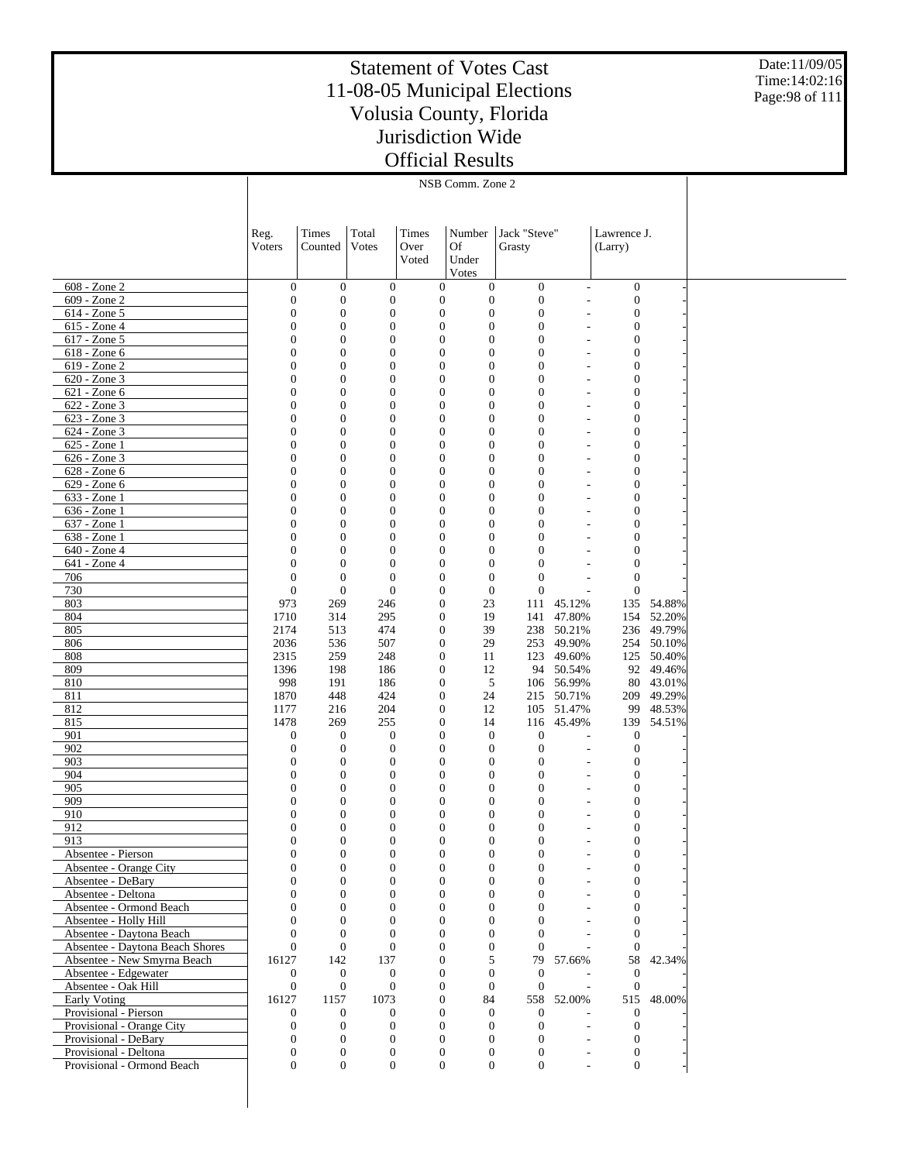Date:11/09/05 Time:14:02:16 Page:98 of 111

1

### Statement of Votes Cast 11-08-05 Municipal Elections Volusia County, Florida Jurisdiction Wide Official Results NSB Comm. Zone 2

1

|                                                                | Reg.<br>Voters                       | Times<br>Counted                 | Total<br>Votes                   | Times<br>Over<br>Voted | Of                                   | Number<br>Under<br><b>Votes</b>      | Jack "Steve"<br>Grasty       |                                            | Lawrence J.<br>(Larry)               |                        |
|----------------------------------------------------------------|--------------------------------------|----------------------------------|----------------------------------|------------------------|--------------------------------------|--------------------------------------|------------------------------|--------------------------------------------|--------------------------------------|------------------------|
| 608 - Zone 2                                                   | $\boldsymbol{0}$                     | $\mathbf{0}$                     | $\mathbf{0}$                     |                        | $\mathbf{0}$                         | $\mathbf{0}$                         | $\boldsymbol{0}$             | $\overline{\phantom{a}}$                   | $\boldsymbol{0}$                     |                        |
| 609 - Zone 2                                                   | $\boldsymbol{0}$                     | $\mathbf{0}$                     | $\boldsymbol{0}$                 |                        | $\mathbf{0}$                         | $\boldsymbol{0}$                     | $\boldsymbol{0}$             | $\overline{a}$                             | $\boldsymbol{0}$                     |                        |
| $614 - Z$ one 5                                                | $\boldsymbol{0}$                     | $\mathbf{0}$                     | $\boldsymbol{0}$                 |                        | $\boldsymbol{0}$                     | $\boldsymbol{0}$                     | $\mathbf{0}$                 | L.                                         | $\boldsymbol{0}$                     |                        |
| 615 - Zone 4                                                   | $\boldsymbol{0}$                     | $\boldsymbol{0}$                 | $\mathbf{0}$                     |                        | $\mathbf{0}$                         | $\boldsymbol{0}$                     | $\boldsymbol{0}$             | ٠                                          | $\boldsymbol{0}$                     |                        |
| 617 - Zone 5                                                   | $\boldsymbol{0}$                     | $\mathbf{0}$                     | $\boldsymbol{0}$                 |                        | $\boldsymbol{0}$                     | $\boldsymbol{0}$                     | $\boldsymbol{0}$             | -                                          | $\boldsymbol{0}$                     |                        |
| 618 - Zone 6                                                   | $\boldsymbol{0}$                     | $\boldsymbol{0}$                 | $\mathbf{0}$                     |                        | $\boldsymbol{0}$                     | $\boldsymbol{0}$                     | $\mathbf{0}$                 | $\overline{a}$                             | $\boldsymbol{0}$                     |                        |
| 619 - Zone 2                                                   | $\boldsymbol{0}$                     | $\mathbf{0}$                     | $\boldsymbol{0}$                 |                        | $\boldsymbol{0}$                     | $\boldsymbol{0}$                     | $\mathbf{0}$                 | $\overline{\phantom{a}}$                   | $\boldsymbol{0}$                     |                        |
| 620 - Zone 3                                                   | $\boldsymbol{0}$                     | $\mathbf{0}$                     | $\mathbf{0}$                     |                        | $\mathbf{0}$                         | $\boldsymbol{0}$                     | $\mathbf{0}$                 | L,                                         | $\boldsymbol{0}$                     |                        |
| 621 - Zone 6                                                   | $\boldsymbol{0}$                     | $\mathbf{0}$                     | $\boldsymbol{0}$                 |                        | $\boldsymbol{0}$                     | $\boldsymbol{0}$                     | $\mathbf{0}$                 | $\overline{a}$                             | $\boldsymbol{0}$                     |                        |
| 622 - Zone 3<br>623 - Zone 3                                   | $\boldsymbol{0}$<br>$\boldsymbol{0}$ | $\boldsymbol{0}$<br>$\mathbf{0}$ | $\mathbf{0}$<br>$\boldsymbol{0}$ |                        | $\boldsymbol{0}$<br>$\boldsymbol{0}$ | $\boldsymbol{0}$<br>$\boldsymbol{0}$ | $\mathbf{0}$<br>$\mathbf{0}$ | $\overline{a}$<br>$\overline{\phantom{a}}$ | $\boldsymbol{0}$<br>$\boldsymbol{0}$ |                        |
| 624 - Zone 3                                                   | $\boldsymbol{0}$                     | $\mathbf{0}$                     | $\mathbf{0}$                     |                        | $\mathbf{0}$                         | $\boldsymbol{0}$                     | $\mathbf{0}$                 | $\overline{a}$                             | $\boldsymbol{0}$                     |                        |
| 625 - Zone 1                                                   | $\boldsymbol{0}$                     | $\boldsymbol{0}$                 | $\boldsymbol{0}$                 |                        | $\boldsymbol{0}$                     | $\boldsymbol{0}$                     | $\mathbf{0}$                 | $\overline{a}$                             | $\boldsymbol{0}$                     |                        |
| 626 - Zone 3                                                   | $\boldsymbol{0}$                     | $\boldsymbol{0}$                 | $\mathbf{0}$                     |                        | $\boldsymbol{0}$                     | $\boldsymbol{0}$                     | $\mathbf{0}$                 | ٠                                          | $\boldsymbol{0}$                     |                        |
| $628 - Z$ one 6                                                | $\boldsymbol{0}$                     | $\mathbf{0}$                     | $\boldsymbol{0}$                 |                        | $\boldsymbol{0}$                     | $\boldsymbol{0}$                     | $\mathbf{0}$                 | $\overline{a}$                             | $\boldsymbol{0}$                     |                        |
| 629 - Zone 6                                                   | $\boldsymbol{0}$                     | $\mathbf{0}$                     | $\mathbf{0}$                     |                        | $\mathbf{0}$                         | $\boldsymbol{0}$                     | $\mathbf{0}$                 | $\overline{a}$                             | $\boldsymbol{0}$                     |                        |
| 633 - Zone 1                                                   | $\boldsymbol{0}$                     | $\boldsymbol{0}$                 | $\boldsymbol{0}$                 |                        | $\boldsymbol{0}$                     | $\boldsymbol{0}$                     | $\mathbf{0}$                 | ٠                                          | $\boldsymbol{0}$                     |                        |
| 636 - Zone 1                                                   | $\boldsymbol{0}$                     | $\boldsymbol{0}$                 | $\mathbf{0}$                     |                        | $\boldsymbol{0}$                     | $\boldsymbol{0}$                     | $\mathbf{0}$                 | ٠                                          | $\boldsymbol{0}$                     |                        |
| 637 - Zone 1                                                   | $\boldsymbol{0}$                     | $\mathbf{0}$                     | $\boldsymbol{0}$                 |                        | $\boldsymbol{0}$                     | $\boldsymbol{0}$                     | $\mathbf{0}$                 | ٠                                          | $\boldsymbol{0}$                     |                        |
| 638 - Zone 1<br>640 - Zone 4                                   | $\boldsymbol{0}$<br>$\boldsymbol{0}$ | $\mathbf{0}$<br>$\boldsymbol{0}$ | $\mathbf{0}$<br>$\boldsymbol{0}$ |                        | $\mathbf{0}$<br>$\boldsymbol{0}$     | $\boldsymbol{0}$<br>$\boldsymbol{0}$ | $\mathbf{0}$<br>$\mathbf{0}$ | ÷.<br>L,                                   | $\boldsymbol{0}$<br>$\boldsymbol{0}$ |                        |
| 641 - Zone 4                                                   | $\boldsymbol{0}$                     | $\overline{0}$                   | $\mathbf{0}$                     |                        | $\mathbf{0}$                         | $\boldsymbol{0}$                     | $\mathbf{0}$                 |                                            | $\boldsymbol{0}$                     |                        |
| 706                                                            | $\boldsymbol{0}$                     | $\boldsymbol{0}$                 | $\mathbf{0}$                     |                        | $\boldsymbol{0}$                     | $\boldsymbol{0}$                     | $\theta$                     | ٠                                          | $\boldsymbol{0}$                     |                        |
| 730                                                            | $\boldsymbol{0}$                     | $\boldsymbol{0}$                 | $\mathbf{0}$                     |                        | $\mathbf{0}$                         | $\boldsymbol{0}$                     | $\overline{0}$               |                                            | $\boldsymbol{0}$                     |                        |
| 803                                                            | 973                                  | 269                              | 246                              |                        | $\boldsymbol{0}$                     | 23                                   |                              | 111 45.12%                                 | 135                                  | 54.88%                 |
| 804                                                            | 1710                                 | 314                              | 295                              |                        | $\mathbf{0}$                         | 19                                   | 141                          | 47.80%                                     | 154                                  | 52.20%                 |
| 805                                                            | 2174                                 | 513                              | 474                              |                        | $\boldsymbol{0}$                     | 39                                   |                              | 238 50.21%                                 |                                      | 236 49.79%             |
| 806                                                            | 2036                                 | 536                              | 507                              |                        | $\boldsymbol{0}$                     | 29                                   | 253                          | 49.90%                                     | 254                                  | 50.10%                 |
| 808                                                            | 2315                                 | 259                              | 248                              |                        | $\boldsymbol{0}$                     | 11                                   |                              | 123 49.60%                                 |                                      | 125 50.40%             |
| 809<br>810                                                     | 1396<br>998                          | 198<br>191                       | 186<br>186                       |                        | $\boldsymbol{0}$<br>$\boldsymbol{0}$ | 12<br>5                              |                              | 94 50.54%<br>106 56.99%                    |                                      | 92 49.46%<br>80 43.01% |
| 811                                                            | 1870                                 | 448                              | 424                              |                        | $\boldsymbol{0}$                     | 24                                   |                              | 215 50.71%                                 | 209                                  | 49.29%                 |
| 812                                                            | 1177                                 | 216                              | 204                              |                        | $\boldsymbol{0}$                     | 12                                   |                              | 105 51.47%                                 | 99                                   | 48.53%                 |
| 815                                                            | 1478                                 | 269                              | 255                              |                        | $\boldsymbol{0}$                     | 14                                   | 116                          | 45.49%                                     | 139                                  | 54.51%                 |
| 901                                                            | $\mathbf{0}$                         | $\mathbf{0}$                     | $\boldsymbol{0}$                 |                        | $\boldsymbol{0}$                     | $\mathbf{0}$                         | $\boldsymbol{0}$             | $\overline{a}$                             | $\mathbf{0}$                         |                        |
| 902                                                            | $\mathbf{0}$                         | $\mathbf{0}$                     | $\mathbf{0}$                     |                        | $\boldsymbol{0}$                     | $\mathbf{0}$                         | $\boldsymbol{0}$             | L,                                         | $\boldsymbol{0}$                     |                        |
| 903                                                            | $\boldsymbol{0}$                     | $\mathbf{0}$                     | $\mathbf{0}$                     |                        | $\boldsymbol{0}$                     | $\mathbf{0}$                         | $\mathbf{0}$                 | $\overline{a}$                             | $\boldsymbol{0}$                     |                        |
| 904                                                            | $\boldsymbol{0}$                     | $\boldsymbol{0}$                 | $\mathbf{0}$                     |                        | $\boldsymbol{0}$                     | $\mathbf{0}$                         | $\mathbf{0}$                 | L,                                         | $\boldsymbol{0}$                     |                        |
| 905                                                            | $\boldsymbol{0}$                     | $\mathbf{0}$                     | $\mathbf{0}$                     |                        | $\boldsymbol{0}$                     | $\boldsymbol{0}$                     | $\mathbf{0}$                 | L,                                         | $\boldsymbol{0}$                     |                        |
| 909<br>910                                                     | $\boldsymbol{0}$<br>$\boldsymbol{0}$ | $\mathbf{0}$<br>$\boldsymbol{0}$ | $\mathbf{0}$<br>$\mathbf{0}$     |                        | $\mathbf{0}$<br>$\mathbf{0}$         | $\boldsymbol{0}$<br>$\mathbf{0}$     | $\mathbf{0}$<br>$\mathbf{0}$ |                                            | $\boldsymbol{0}$<br>$\boldsymbol{0}$ |                        |
| 912                                                            | $\boldsymbol{0}$                     | $\mathbf{0}$                     | $\mathbf{0}$                     |                        | $\mathbf{0}$                         | $\boldsymbol{0}$                     | $\mathbf{0}$                 |                                            | $\boldsymbol{0}$                     |                        |
| 913                                                            | $\Omega$                             | $\Omega$                         | $\Omega$                         |                        | $\Omega$                             | $\Omega$                             | $\Omega$                     |                                            | $\Omega$                             |                        |
| Absentee - Pierson                                             | $\boldsymbol{0}$                     | $\boldsymbol{0}$                 | $\mathbf{0}$                     |                        | $\boldsymbol{0}$                     | $\boldsymbol{0}$                     | $\overline{0}$               |                                            | $\boldsymbol{0}$                     |                        |
| Absentee - Orange City                                         | $\mathbf{0}$                         | $\boldsymbol{0}$                 | $\boldsymbol{0}$                 |                        | $\boldsymbol{0}$                     | $\boldsymbol{0}$                     | $\overline{0}$               |                                            | $\boldsymbol{0}$                     |                        |
| Absentee - DeBary                                              | $\mathbf{0}$                         | $\boldsymbol{0}$                 | $\boldsymbol{0}$                 |                        | $\boldsymbol{0}$                     | $\boldsymbol{0}$                     | $\overline{0}$               |                                            | $\boldsymbol{0}$                     |                        |
| Absentee - Deltona                                             | $\mathbf{0}$                         | $\overline{0}$                   | $\mathbf{0}$                     |                        | $\boldsymbol{0}$                     | $\boldsymbol{0}$                     | $\overline{0}$               |                                            | $\mathbf{0}$                         |                        |
| Absentee - Ormond Beach                                        | $\mathbf{0}$                         | $\overline{0}$                   | $\mathbf{0}$                     |                        | $\boldsymbol{0}$                     | $\boldsymbol{0}$                     | $\Omega$                     |                                            | $\boldsymbol{0}$                     |                        |
| Absentee - Holly Hill                                          | $\mathbf{0}$                         | $\overline{0}$                   | $\mathbf{0}$                     |                        | $\overline{0}$                       | $\boldsymbol{0}$                     | $\Omega$                     |                                            | $\mathbf{0}$                         |                        |
| Absentee - Daytona Beach                                       | $\mathbf{0}$<br>$\mathbf{0}$         | $\overline{0}$<br>$\overline{0}$ | $\mathbf{0}$<br>$\mathbf{0}$     |                        | $\boldsymbol{0}$<br>$\boldsymbol{0}$ | $\boldsymbol{0}$                     | $\overline{0}$<br>$\theta$   |                                            | $\mathbf{0}$<br>$\overline{0}$       |                        |
| Absentee - Daytona Beach Shores<br>Absentee - New Smyrna Beach | 16127                                | 142                              | 137                              |                        | $\boldsymbol{0}$                     | $\boldsymbol{0}$<br>5                | 79                           | 57.66%                                     | 58                                   | 42.34%                 |
| Absentee - Edgewater                                           | $\mathbf{0}$                         | 0                                | $\boldsymbol{0}$                 |                        | $\boldsymbol{0}$                     | $\boldsymbol{0}$                     | $\mathbf{0}$                 |                                            | $\mathbf{0}$                         |                        |
| Absentee - Oak Hill                                            | $\boldsymbol{0}$                     | $\mathbf{0}$                     | $\boldsymbol{0}$                 |                        | $\boldsymbol{0}$                     | $\boldsymbol{0}$                     | $\theta$                     | L.                                         | $\mathbf{0}$                         |                        |
| Early Voting                                                   | 16127                                | 1157                             | 1073                             |                        | $\boldsymbol{0}$                     | 84                                   |                              | 558 52.00%                                 | 515                                  | 48.00%                 |
| Provisional - Pierson                                          | $\boldsymbol{0}$                     | $\mathbf{0}$                     | $\boldsymbol{0}$                 |                        | $\boldsymbol{0}$                     | $\boldsymbol{0}$                     | $\overline{0}$               |                                            | $\boldsymbol{0}$                     |                        |
| Provisional - Orange City                                      | $\boldsymbol{0}$                     | $\mathbf{0}$                     | $\boldsymbol{0}$                 |                        | $\overline{0}$                       | $\boldsymbol{0}$                     | $\overline{0}$               | L.                                         | $\boldsymbol{0}$                     |                        |
| Provisional - DeBary                                           | $\boldsymbol{0}$                     | $\mathbf{0}$                     | $\mathbf{0}$                     |                        | $\boldsymbol{0}$                     | $\mathbf{0}$                         | $\overline{0}$               | L.                                         | $\mathbf{0}$                         |                        |
| Provisional - Deltona                                          | $\mathbf{0}$                         | $\boldsymbol{0}$                 | $\mathbf{0}$                     |                        | $\boldsymbol{0}$                     | $\mathbf{0}$                         | $\mathbf{0}$                 | $\overline{\phantom{m}}$                   | $\mathbf{0}$                         |                        |
| Provisional - Ormond Beach                                     | $\mathbf{0}$                         | $\boldsymbol{0}$                 | $\mathbf{0}$                     |                        | $\boldsymbol{0}$                     | $\boldsymbol{0}$                     | $\overline{0}$               |                                            | $\mathbf{0}$                         |                        |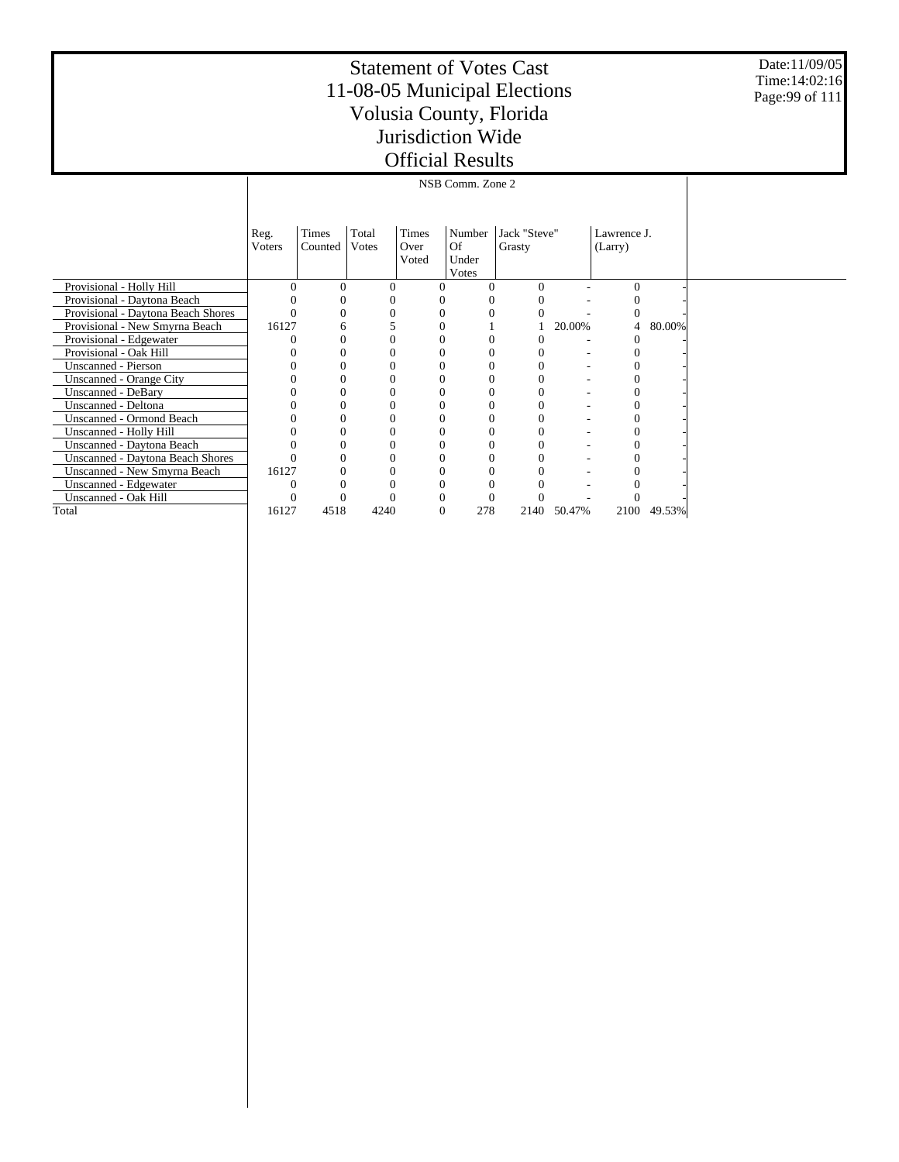Date:11/09/05 Time:14:02:16 Page:99 of 111

|                                         | Reg.<br>Voters | Times<br>Counted | Total<br>Votes | Times<br>Over<br>Voted | Number<br>Of<br>Under |          | Jack "Steve"<br>Grasty |        | Lawrence J.<br>(Larry) |             |
|-----------------------------------------|----------------|------------------|----------------|------------------------|-----------------------|----------|------------------------|--------|------------------------|-------------|
|                                         |                |                  |                |                        | Votes                 | $\Omega$ |                        |        |                        |             |
| Provisional - Holly Hill                |                |                  |                |                        |                       |          |                        |        |                        |             |
| Provisional - Daytona Beach             |                |                  |                |                        |                       |          |                        |        |                        |             |
| Provisional - Daytona Beach Shores      | 16127          |                  |                |                        |                       |          |                        |        |                        |             |
| Provisional - New Smyrna Beach          |                |                  |                |                        |                       |          |                        | 20.00% |                        | 4 80.00%    |
| Provisional - Edgewater                 |                |                  |                |                        |                       |          |                        |        |                        |             |
| Provisional - Oak Hill                  |                |                  |                |                        |                       |          |                        |        |                        |             |
| Unscanned - Pierson                     |                |                  |                |                        |                       |          |                        |        |                        |             |
| Unscanned - Orange City                 |                |                  |                |                        |                       |          |                        |        |                        |             |
| Unscanned - DeBary                      |                |                  |                |                        |                       |          |                        |        |                        |             |
| Unscanned - Deltona                     |                |                  |                |                        |                       |          |                        |        |                        |             |
| Unscanned - Ormond Beach                |                |                  |                |                        |                       |          |                        |        |                        |             |
| Unscanned - Holly Hill                  |                |                  |                |                        |                       |          |                        |        |                        |             |
| Unscanned - Daytona Beach               |                |                  |                |                        |                       |          |                        |        |                        |             |
| <b>Unscanned - Daytona Beach Shores</b> |                |                  |                |                        |                       |          |                        |        |                        |             |
| Unscanned - New Smyrna Beach            | 16127          |                  |                |                        |                       |          |                        |        |                        |             |
| Unscanned - Edgewater                   |                |                  |                |                        |                       |          |                        |        |                        |             |
| Unscanned - Oak Hill                    |                |                  |                |                        |                       |          |                        |        |                        |             |
| Total                                   | 16127          | 4518             |                | 4240                   | 0                     | 278      | 2140                   | 50.47% |                        | 2100 49.53% |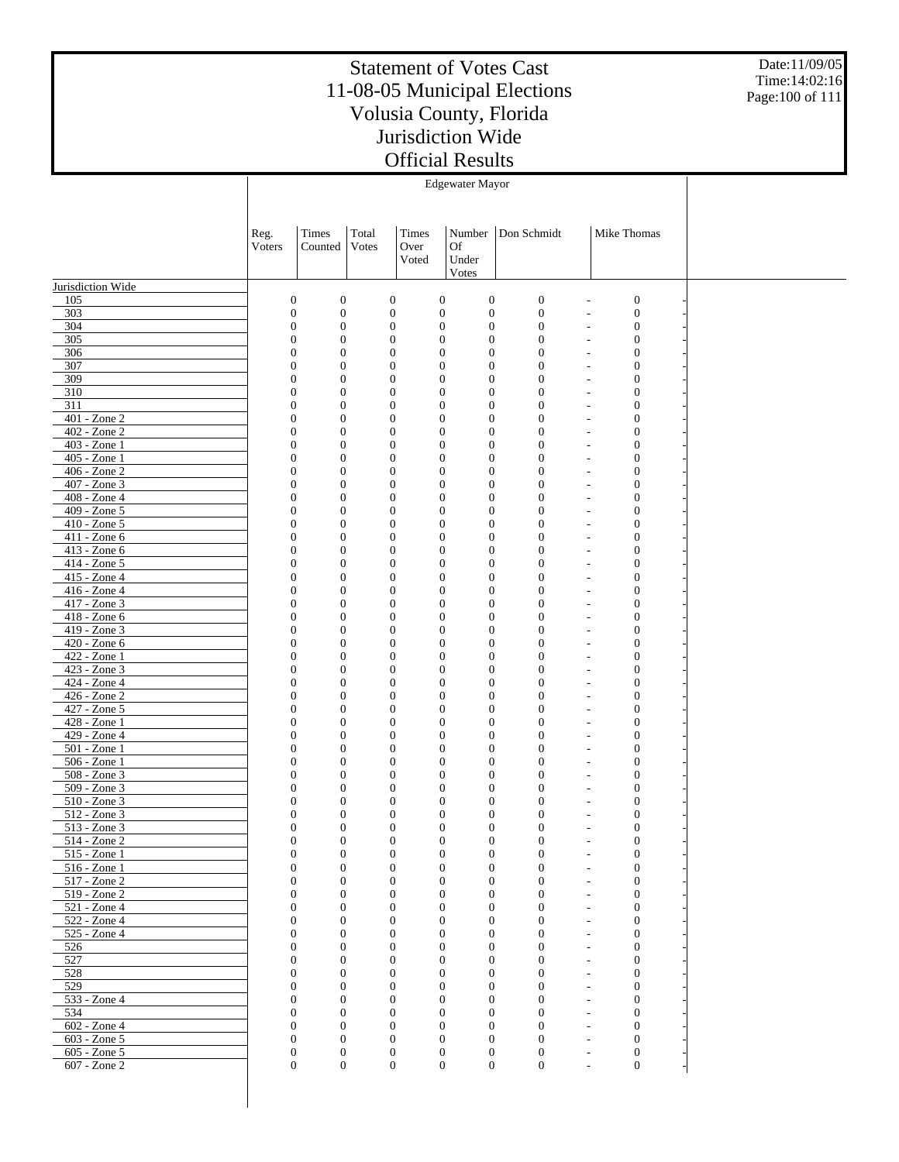Date:11/09/05 Time:14:02:16 Page:100 of 111

# Statement of Votes Cast 11-08-05 Municipal Elections Volusia County, Florida Jurisdiction Wide Official Results

Edgewater Mayor

|                                 | Reg.   | Times                                                                        | Total | Times                                | Number                                                                       | Don Schmidt                          | Mike Thomas                                                              |  |
|---------------------------------|--------|------------------------------------------------------------------------------|-------|--------------------------------------|------------------------------------------------------------------------------|--------------------------------------|--------------------------------------------------------------------------|--|
|                                 | Voters | Counted Votes                                                                |       | Over                                 | Of                                                                           |                                      |                                                                          |  |
|                                 |        |                                                                              |       | Voted                                | Under<br>Votes                                                               |                                      |                                                                          |  |
| Jurisdiction Wide               |        |                                                                              |       |                                      |                                                                              |                                      |                                                                          |  |
| 105                             |        | $\boldsymbol{0}$<br>$\boldsymbol{0}$                                         |       | $\boldsymbol{0}$                     | $\boldsymbol{0}$<br>$\boldsymbol{0}$                                         | $\boldsymbol{0}$                     | $\boldsymbol{0}$<br>÷,                                                   |  |
| 303<br>304                      |        | $\boldsymbol{0}$<br>$\boldsymbol{0}$<br>$\boldsymbol{0}$<br>$\boldsymbol{0}$ |       | $\boldsymbol{0}$<br>$\boldsymbol{0}$ | $\boldsymbol{0}$<br>$\boldsymbol{0}$<br>$\boldsymbol{0}$<br>$\boldsymbol{0}$ | $\mathbf{0}$<br>$\boldsymbol{0}$     | $\boldsymbol{0}$<br>$\overline{a}$<br>$\boldsymbol{0}$<br>$\overline{a}$ |  |
| 305                             |        | $\boldsymbol{0}$<br>$\mathbf{0}$                                             |       | $\boldsymbol{0}$                     | $\mathbf{0}$<br>$\boldsymbol{0}$                                             | $\boldsymbol{0}$                     | $\mathbf{0}$<br>÷,                                                       |  |
| 306                             |        | $\boldsymbol{0}$<br>$\mathbf{0}$                                             |       | $\boldsymbol{0}$                     | $\boldsymbol{0}$<br>$\boldsymbol{0}$                                         | $\boldsymbol{0}$                     | $\boldsymbol{0}$<br>٠                                                    |  |
| 307                             |        | $\boldsymbol{0}$<br>$\mathbf{0}$                                             |       | $\boldsymbol{0}$                     | $\boldsymbol{0}$<br>$\boldsymbol{0}$                                         | $\boldsymbol{0}$                     | $\mathbf{0}$<br>$\overline{a}$                                           |  |
| 309                             |        | $\boldsymbol{0}$<br>$\mathbf{0}$                                             |       | $\boldsymbol{0}$                     | $\boldsymbol{0}$<br>$\boldsymbol{0}$                                         | $\boldsymbol{0}$                     | $\boldsymbol{0}$                                                         |  |
| 310                             |        | $\boldsymbol{0}$<br>$\mathbf{0}$                                             |       | $\boldsymbol{0}$                     | $\boldsymbol{0}$<br>$\boldsymbol{0}$                                         | $\boldsymbol{0}$                     | $\mathbf{0}$<br>÷,                                                       |  |
| 311<br>401 - Zone 2             |        | $\boldsymbol{0}$<br>$\mathbf{0}$<br>$\boldsymbol{0}$<br>$\mathbf{0}$         |       | $\boldsymbol{0}$<br>$\boldsymbol{0}$ | $\boldsymbol{0}$<br>$\boldsymbol{0}$<br>$\boldsymbol{0}$<br>$\boldsymbol{0}$ | $\boldsymbol{0}$<br>$\boldsymbol{0}$ | $\boldsymbol{0}$<br>٠<br>$\mathbf{0}$<br>$\overline{a}$                  |  |
| 402 - Zone 2                    |        | $\boldsymbol{0}$<br>$\mathbf{0}$                                             |       | $\boldsymbol{0}$                     | $\boldsymbol{0}$<br>$\boldsymbol{0}$                                         | $\boldsymbol{0}$                     | $\boldsymbol{0}$                                                         |  |
| 403 - Zone 1                    |        | $\boldsymbol{0}$<br>$\mathbf{0}$                                             |       | $\boldsymbol{0}$                     | $\boldsymbol{0}$<br>$\boldsymbol{0}$                                         | $\boldsymbol{0}$                     | $\mathbf{0}$<br>$\overline{a}$                                           |  |
| 405 - Zone 1                    |        | $\boldsymbol{0}$<br>$\mathbf{0}$                                             |       | $\boldsymbol{0}$                     | $\boldsymbol{0}$<br>$\boldsymbol{0}$                                         | $\boldsymbol{0}$                     | $\boldsymbol{0}$<br>٠                                                    |  |
| 406 - Zone 2                    |        | $\boldsymbol{0}$<br>$\mathbf{0}$                                             |       | $\boldsymbol{0}$                     | $\boldsymbol{0}$<br>$\mathbf{0}$                                             | $\boldsymbol{0}$                     | $\mathbf{0}$<br>$\overline{a}$                                           |  |
| 407 - Zone 3                    |        | $\boldsymbol{0}$<br>$\mathbf{0}$                                             |       | $\boldsymbol{0}$                     | $\boldsymbol{0}$<br>$\mathbf{0}$                                             | $\boldsymbol{0}$                     | $\boldsymbol{0}$                                                         |  |
| 408 - Zone 4                    |        | $\boldsymbol{0}$<br>$\mathbf{0}$                                             |       | $\boldsymbol{0}$                     | $\boldsymbol{0}$<br>$\mathbf{0}$                                             | $\boldsymbol{0}$                     | $\mathbf{0}$<br>$\overline{a}$                                           |  |
| 409 - Zone 5<br>410 - Zone 5    |        | $\boldsymbol{0}$<br>$\mathbf{0}$<br>$\boldsymbol{0}$<br>$\mathbf{0}$         |       | $\boldsymbol{0}$<br>$\boldsymbol{0}$ | $\boldsymbol{0}$<br>$\mathbf{0}$<br>$\boldsymbol{0}$<br>$\boldsymbol{0}$     | $\boldsymbol{0}$<br>$\boldsymbol{0}$ | $\boldsymbol{0}$<br>٠<br>$\mathbf{0}$                                    |  |
| $411 - Zone 6$                  |        | $\boldsymbol{0}$<br>$\mathbf{0}$                                             |       | $\boldsymbol{0}$                     | $\boldsymbol{0}$<br>$\boldsymbol{0}$                                         | $\boldsymbol{0}$                     | $\overline{a}$<br>$\boldsymbol{0}$                                       |  |
| 413 - Zone 6                    |        | $\boldsymbol{0}$<br>$\mathbf{0}$                                             |       | $\boldsymbol{0}$                     | $\boldsymbol{0}$<br>$\boldsymbol{0}$                                         | $\boldsymbol{0}$                     | $\mathbf{0}$<br>$\overline{a}$                                           |  |
| 414 - Zone 5                    |        | $\boldsymbol{0}$<br>$\mathbf{0}$                                             |       | $\boldsymbol{0}$                     | $\boldsymbol{0}$<br>$\boldsymbol{0}$                                         | $\boldsymbol{0}$                     | $\boldsymbol{0}$<br>٠                                                    |  |
| 415 - Zone 4                    |        | $\boldsymbol{0}$<br>$\mathbf{0}$                                             |       | $\boldsymbol{0}$                     | $\boldsymbol{0}$<br>$\boldsymbol{0}$                                         | $\boldsymbol{0}$                     | $\mathbf{0}$<br>$\overline{a}$                                           |  |
| 416 - Zone 4                    |        | $\boldsymbol{0}$<br>$\mathbf{0}$                                             |       | $\boldsymbol{0}$                     | $\boldsymbol{0}$<br>$\boldsymbol{0}$                                         | $\boldsymbol{0}$                     | $\boldsymbol{0}$                                                         |  |
| 417 - Zone 3                    |        | $\boldsymbol{0}$<br>$\mathbf{0}$                                             |       | $\boldsymbol{0}$                     | $\boldsymbol{0}$<br>$\boldsymbol{0}$                                         | $\boldsymbol{0}$                     | $\mathbf{0}$<br>$\overline{a}$                                           |  |
| 418 - Zone 6                    |        | $\boldsymbol{0}$<br>$\mathbf{0}$                                             |       | $\boldsymbol{0}$                     | $\boldsymbol{0}$<br>$\boldsymbol{0}$                                         | $\boldsymbol{0}$                     | $\boldsymbol{0}$<br>٠                                                    |  |
| 419 - Zone 3                    |        | $\boldsymbol{0}$<br>$\mathbf{0}$                                             |       | $\boldsymbol{0}$                     | $\boldsymbol{0}$<br>$\boldsymbol{0}$                                         | $\boldsymbol{0}$                     | $\mathbf{0}$<br>$\overline{a}$                                           |  |
| 420 - Zone 6<br>422 - Zone 1    |        | $\boldsymbol{0}$<br>$\mathbf{0}$<br>$\boldsymbol{0}$<br>$\mathbf{0}$         |       | $\boldsymbol{0}$<br>$\boldsymbol{0}$ | $\boldsymbol{0}$<br>$\boldsymbol{0}$<br>$\boldsymbol{0}$<br>$\mathbf{0}$     | $\boldsymbol{0}$<br>$\boldsymbol{0}$ | $\boldsymbol{0}$<br>$\mathbf{0}$<br>$\overline{a}$                       |  |
| 423 - Zone 3                    |        | $\boldsymbol{0}$<br>$\mathbf{0}$                                             |       | $\boldsymbol{0}$                     | $\boldsymbol{0}$<br>$\mathbf{0}$                                             | $\boldsymbol{0}$                     | $\boldsymbol{0}$<br>٠                                                    |  |
| 424 - Zone 4                    |        | $\boldsymbol{0}$<br>$\mathbf{0}$                                             |       | $\boldsymbol{0}$                     | $\boldsymbol{0}$<br>$\mathbf{0}$                                             | $\boldsymbol{0}$                     | $\mathbf{0}$<br>÷,                                                       |  |
| 426 - Zone 2                    |        | $\boldsymbol{0}$<br>$\mathbf{0}$                                             |       | $\boldsymbol{0}$                     | $\boldsymbol{0}$<br>$\mathbf{0}$                                             | $\boldsymbol{0}$                     | $\boldsymbol{0}$<br>÷,                                                   |  |
| 427 - Zone 5                    |        | $\boldsymbol{0}$<br>$\mathbf{0}$                                             |       | $\boldsymbol{0}$                     | $\boldsymbol{0}$<br>$\boldsymbol{0}$                                         | $\boldsymbol{0}$                     | $\mathbf{0}$<br>$\overline{a}$                                           |  |
| 428 - Zone 1                    |        | $\boldsymbol{0}$<br>$\mathbf{0}$                                             |       | $\boldsymbol{0}$                     | $\boldsymbol{0}$<br>$\boldsymbol{0}$                                         | $\boldsymbol{0}$                     | $\boldsymbol{0}$                                                         |  |
| 429 - Zone 4                    |        | $\boldsymbol{0}$<br>$\mathbf{0}$                                             |       | $\boldsymbol{0}$                     | $\boldsymbol{0}$<br>$\boldsymbol{0}$                                         | $\boldsymbol{0}$                     | $\boldsymbol{0}$<br>÷,                                                   |  |
| 501 - Zone 1                    |        | $\boldsymbol{0}$<br>$\mathbf{0}$                                             |       | $\boldsymbol{0}$                     | $\boldsymbol{0}$<br>$\boldsymbol{0}$                                         | $\boldsymbol{0}$                     | $\boldsymbol{0}$<br>÷,                                                   |  |
| 506 - Zone 1<br>$508 - Z$ one 3 |        | $\boldsymbol{0}$<br>$\mathbf{0}$<br>$\boldsymbol{0}$<br>$\mathbf{0}$         |       | $\boldsymbol{0}$<br>$\boldsymbol{0}$ | $\boldsymbol{0}$<br>$\boldsymbol{0}$<br>$\boldsymbol{0}$<br>$\boldsymbol{0}$ | $\boldsymbol{0}$<br>$\boldsymbol{0}$ | $\mathbf{0}$<br>$\boldsymbol{0}$                                         |  |
| $509 - Zone$ 3                  |        | $\boldsymbol{0}$<br>$\mathbf{0}$                                             |       | $\boldsymbol{0}$                     | $\mathbf{0}$<br>$\boldsymbol{0}$                                             | $\boldsymbol{0}$                     | $\boldsymbol{0}$<br>÷,                                                   |  |
| 510 - Zone 3                    |        | $\boldsymbol{0}$<br>$\mathbf{0}$                                             |       | $\boldsymbol{0}$                     | $\boldsymbol{0}$<br>$\boldsymbol{0}$                                         | $\boldsymbol{0}$                     | $\boldsymbol{0}$                                                         |  |
| 512 - Zone 3                    |        | $\boldsymbol{0}$<br>$\Omega$                                                 |       | $\boldsymbol{0}$                     | $\boldsymbol{0}$<br>$\boldsymbol{0}$                                         | $\boldsymbol{0}$                     | $\mathbf{0}$                                                             |  |
| 513 - Zone 3                    |        | $\boldsymbol{0}$<br>$\Omega$                                                 |       | $\mathbf{0}$                         | $\boldsymbol{0}$<br>$\boldsymbol{0}$                                         | $\boldsymbol{0}$                     | $\boldsymbol{0}$                                                         |  |
| 514 - Zone 2                    |        | $\boldsymbol{0}$<br>$\mathbf{0}$                                             |       | $\boldsymbol{0}$                     | $\boldsymbol{0}$<br>$\mathbf{0}$                                             | $\boldsymbol{0}$                     | $\mathbf{0}$<br>÷,                                                       |  |
| 515 - Zone 1                    |        | $\Omega$<br>$\Omega$                                                         |       | $\Omega$                             | $\Omega$<br>$\Omega$                                                         | $\Omega$                             | $\Omega$                                                                 |  |
| 516 - Zone 1<br>517 - Zone 2    |        | $\mathbf{0}$<br>$\mathbf{0}$<br>$\mathbf{0}$<br>$\mathbf{0}$                 |       | $\boldsymbol{0}$<br>$\boldsymbol{0}$ | $\mathbf{0}$<br>0<br>$\boldsymbol{0}$<br>0                                   | 0<br>$\boldsymbol{0}$                | 0                                                                        |  |
| 519 - Zone 2                    |        | $\Omega$<br>$\theta$                                                         |       | $\mathbf{0}$                         | $\theta$<br>$\boldsymbol{0}$                                                 | 0                                    | $\boldsymbol{0}$<br>$\mathbf{0}$                                         |  |
| 521 - Zone 4                    |        | $\overline{0}$<br>$\Omega$                                                   |       | $\boldsymbol{0}$                     | $\theta$<br>$\boldsymbol{0}$                                                 | 0                                    | $\boldsymbol{0}$                                                         |  |
| 522 - Zone 4                    |        | $\theta$<br>$\Omega$                                                         |       | $\mathbf{0}$                         | $\theta$<br>$\boldsymbol{0}$                                                 | 0                                    | 0                                                                        |  |
| 525 - Zone 4                    |        | 0<br>0                                                                       |       | $\boldsymbol{0}$                     | $\theta$<br>$\boldsymbol{0}$                                                 | 0                                    | $\boldsymbol{0}$                                                         |  |
| 526                             |        | $\theta$<br>$\Omega$                                                         |       | $\mathbf{0}$                         | $\theta$<br>$\boldsymbol{0}$                                                 | 0                                    | $\boldsymbol{0}$                                                         |  |
| 527                             |        | $\overline{0}$<br>0                                                          |       | $\mathbf{0}$                         | $\overline{0}$<br>$\boldsymbol{0}$                                           | 0                                    | $\boldsymbol{0}$                                                         |  |
| 528                             |        | $\theta$<br>$\Omega$                                                         |       | $\mathbf{0}$                         | $\theta$<br>$\boldsymbol{0}$                                                 | 0                                    | 0                                                                        |  |
| 529<br>533 - Zone 4             |        | $\overline{0}$<br>$\Omega$<br>$\theta$<br>$\Omega$                           |       | $\boldsymbol{0}$<br>$\mathbf{0}$     | $\theta$<br>$\boldsymbol{0}$<br>$\theta$<br>$\boldsymbol{0}$                 | 0<br>0                               | $\boldsymbol{0}$<br>0                                                    |  |
| 534                             |        | $\overline{0}$<br>0                                                          |       | $\mathbf{0}$                         | $\overline{0}$<br>$\boldsymbol{0}$                                           | 0                                    | $\boldsymbol{0}$                                                         |  |
| 602 - Zone 4                    |        | $\theta$<br>$\Omega$                                                         |       | $\mathbf{0}$                         | $\theta$<br>0                                                                | 0                                    | $\mathbf{0}$                                                             |  |
|                                 |        |                                                                              |       |                                      |                                                                              |                                      |                                                                          |  |
| $603 - Zone$ 5                  |        | $\mathbf{0}$<br>0                                                            |       | $\boldsymbol{0}$                     | $\theta$<br>0                                                                | 0                                    | $\mathbf{0}$                                                             |  |
| 605 - Zone 5<br>607 - Zone 2    |        | $\Omega$<br>$\boldsymbol{0}$                                                 |       | $\boldsymbol{0}$<br>$\boldsymbol{0}$ | $\boldsymbol{0}$<br>0                                                        | $\boldsymbol{0}$                     | $\boldsymbol{0}$                                                         |  |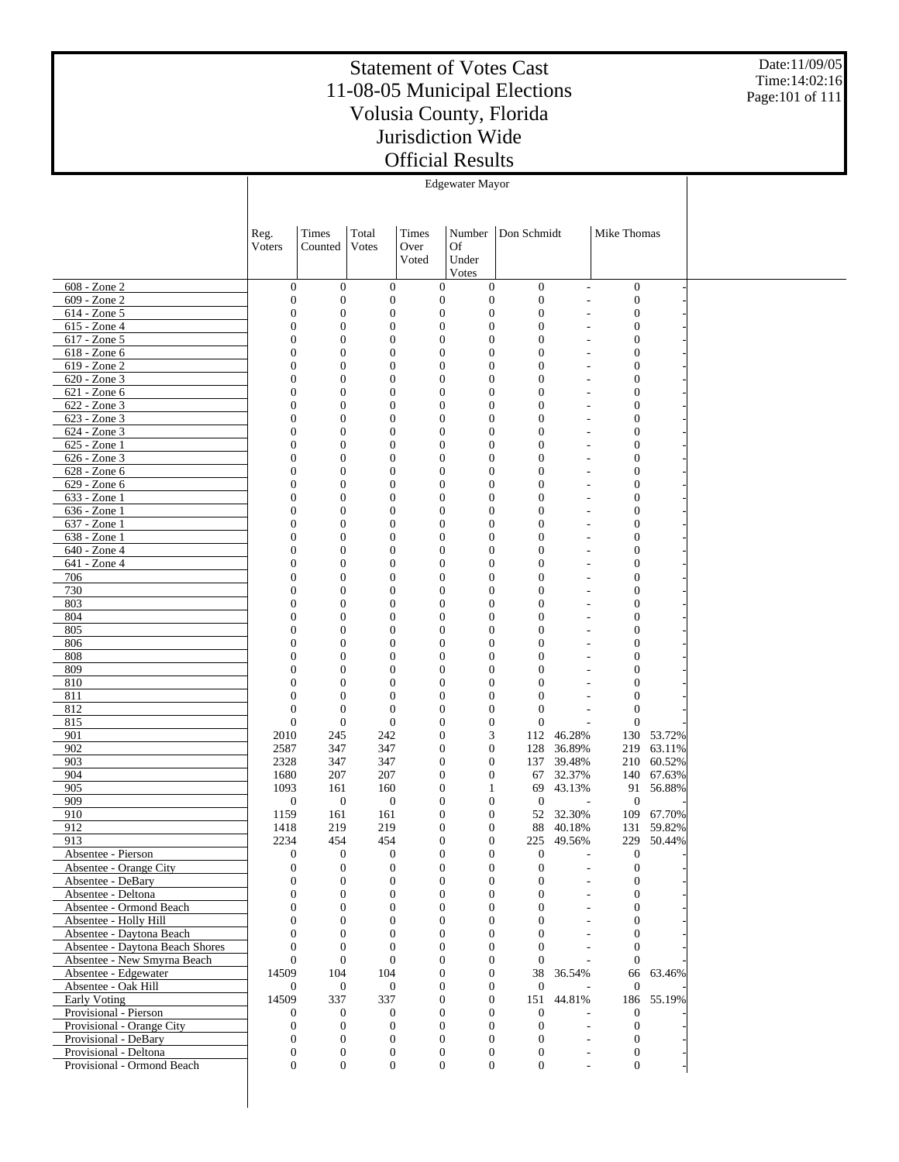Date:11/09/05 Time:14:02:16 Page:101 of 111

# Statement of Votes Cast 11-08-05 Municipal Elections Volusia County, Florida Jurisdiction Wide Official Results

Edgewater Mayor

|                                                                | Reg.<br>Voters                     | Times<br>Counted                     | Total<br><b>Votes</b>        | Times<br>Over<br>Voted | Number<br><b>Of</b><br>Under         | Don Schmidt                                                                  |                          | Mike Thomas                                                                                  |                          |
|----------------------------------------------------------------|------------------------------------|--------------------------------------|------------------------------|------------------------|--------------------------------------|------------------------------------------------------------------------------|--------------------------|----------------------------------------------------------------------------------------------|--------------------------|
|                                                                |                                    |                                      |                              |                        | Votes                                |                                                                              |                          |                                                                                              |                          |
| 608 - Zone 2<br>609 - Zone 2                                   | $\boldsymbol{0}$<br>$\mathbf{0}$   | $\mathbf{0}$<br>$\boldsymbol{0}$     | $\mathbf{0}$<br>$\mathbf{0}$ |                        | $\boldsymbol{0}$<br>$\boldsymbol{0}$ | $\boldsymbol{0}$<br>$\boldsymbol{0}$<br>$\boldsymbol{0}$                     | $\mathbf{0}$             | $\boldsymbol{0}$<br>$\overline{\phantom{a}}$<br>$\boldsymbol{0}$<br>$\overline{\phantom{a}}$ |                          |
| 614 - Zone 5                                                   | $\mathbf{0}$                       | $\mathbf{0}$                         | $\mathbf{0}$                 |                        | $\boldsymbol{0}$                     | $\boldsymbol{0}$<br>$\boldsymbol{0}$                                         |                          | $\mathbf{0}$                                                                                 |                          |
| 615 - Zone 4                                                   | $\mathbf{0}$                       | $\boldsymbol{0}$                     | $\mathbf{0}$                 |                        | $\boldsymbol{0}$                     | $\boldsymbol{0}$<br>$\mathbf{0}$                                             |                          | $\boldsymbol{0}$                                                                             |                          |
| 617 - Zone 5                                                   | $\boldsymbol{0}$                   | $\boldsymbol{0}$                     | $\mathbf{0}$                 |                        | $\boldsymbol{0}$                     | $\boldsymbol{0}$<br>$\boldsymbol{0}$                                         |                          | $\boldsymbol{0}$                                                                             |                          |
| 618 - Zone 6                                                   | $\mathbf{0}$                       | $\boldsymbol{0}$                     | $\mathbf{0}$                 |                        | $\boldsymbol{0}$                     | $\boldsymbol{0}$<br>$\mathbf{0}$                                             |                          | $\boldsymbol{0}$                                                                             |                          |
| 619 - Zone 2                                                   | $\boldsymbol{0}$                   | $\boldsymbol{0}$                     | $\mathbf{0}$                 |                        | $\boldsymbol{0}$                     | $\boldsymbol{0}$<br>$\mathbf{0}$                                             |                          | $\boldsymbol{0}$                                                                             |                          |
| 620 - Zone 3                                                   | $\mathbf{0}$                       | $\boldsymbol{0}$                     | $\mathbf{0}$                 |                        | $\boldsymbol{0}$                     | $\boldsymbol{0}$<br>$\mathbf{0}$                                             |                          | $\boldsymbol{0}$                                                                             |                          |
| 621 - Zone 6<br>622 - Zone 3                                   | $\boldsymbol{0}$<br>$\overline{0}$ | $\boldsymbol{0}$<br>$\boldsymbol{0}$ | $\mathbf{0}$<br>$\mathbf{0}$ |                        | $\boldsymbol{0}$<br>$\boldsymbol{0}$ | $\boldsymbol{0}$<br>$\mathbf{0}$<br>$\boldsymbol{0}$<br>$\boldsymbol{0}$     |                          | $\boldsymbol{0}$<br>$\boldsymbol{0}$                                                         |                          |
| 623 - Zone 3                                                   | $\mathbf{0}$                       | $\boldsymbol{0}$                     | $\mathbf{0}$                 |                        | $\boldsymbol{0}$                     | $\boldsymbol{0}$<br>$\boldsymbol{0}$                                         |                          | $\boldsymbol{0}$                                                                             |                          |
| 624 - Zone 3                                                   | $\mathbf{0}$                       | $\boldsymbol{0}$                     | $\mathbf{0}$                 |                        | $\boldsymbol{0}$                     | $\boldsymbol{0}$<br>$\boldsymbol{0}$                                         |                          | $\boldsymbol{0}$                                                                             |                          |
| 625 - Zone 1                                                   | $\boldsymbol{0}$                   | $\boldsymbol{0}$                     | $\mathbf{0}$                 |                        | $\boldsymbol{0}$                     | $\boldsymbol{0}$<br>$\mathbf{0}$                                             |                          | $\boldsymbol{0}$                                                                             |                          |
| 626 - Zone 3                                                   | $\mathbf{0}$                       | $\boldsymbol{0}$                     | $\mathbf{0}$                 |                        | $\boldsymbol{0}$                     | $\boldsymbol{0}$<br>$\mathbf{0}$                                             |                          | $\boldsymbol{0}$                                                                             |                          |
| 628 - Zone 6                                                   | $\mathbf{0}$                       | $\boldsymbol{0}$                     | $\mathbf{0}$                 |                        | $\boldsymbol{0}$                     | $\boldsymbol{0}$<br>$\mathbf{0}$                                             |                          | $\boldsymbol{0}$                                                                             |                          |
| 629 - Zone 6                                                   | $\mathbf{0}$                       | $\boldsymbol{0}$                     | $\mathbf{0}$                 |                        | $\boldsymbol{0}$                     | $\boldsymbol{0}$<br>$\mathbf{0}$                                             |                          | $\boldsymbol{0}$                                                                             |                          |
| 633 - Zone 1                                                   | $\boldsymbol{0}$                   | $\boldsymbol{0}$                     | $\mathbf{0}$                 |                        | $\boldsymbol{0}$                     | $\boldsymbol{0}$<br>$\mathbf{0}$                                             |                          | $\boldsymbol{0}$                                                                             |                          |
| 636 - Zone 1<br>637 - Zone 1                                   | $\mathbf{0}$<br>$\boldsymbol{0}$   | $\boldsymbol{0}$<br>$\boldsymbol{0}$ | $\mathbf{0}$<br>$\mathbf{0}$ |                        | $\boldsymbol{0}$<br>$\boldsymbol{0}$ | $\boldsymbol{0}$<br>$\mathbf{0}$<br>$\boldsymbol{0}$<br>$\boldsymbol{0}$     |                          | $\boldsymbol{0}$<br>$\boldsymbol{0}$                                                         |                          |
| 638 - Zone 1                                                   | $\mathbf{0}$                       | $\boldsymbol{0}$                     | $\mathbf{0}$                 |                        | $\boldsymbol{0}$                     | $\boldsymbol{0}$<br>$\mathbf{0}$                                             |                          | $\boldsymbol{0}$                                                                             |                          |
| 640 - Zone 4                                                   | $\boldsymbol{0}$                   | $\boldsymbol{0}$                     | $\mathbf{0}$                 |                        | $\boldsymbol{0}$                     | $\boldsymbol{0}$<br>$\mathbf{0}$                                             |                          | $\boldsymbol{0}$                                                                             |                          |
| 641 - Zone 4                                                   | $\overline{0}$                     | $\boldsymbol{0}$                     | $\mathbf{0}$                 |                        | $\boldsymbol{0}$                     | $\boldsymbol{0}$<br>$\mathbf{0}$                                             |                          | $\boldsymbol{0}$                                                                             |                          |
| 706                                                            | $\mathbf{0}$                       | $\boldsymbol{0}$                     | $\mathbf{0}$                 |                        | $\boldsymbol{0}$                     | $\boldsymbol{0}$<br>$\boldsymbol{0}$                                         |                          | $\boldsymbol{0}$                                                                             |                          |
| 730                                                            | $\mathbf{0}$                       | $\boldsymbol{0}$                     | $\mathbf{0}$                 |                        | $\boldsymbol{0}$                     | $\boldsymbol{0}$<br>$\mathbf{0}$                                             |                          | $\boldsymbol{0}$                                                                             |                          |
| 803                                                            | $\boldsymbol{0}$                   | $\boldsymbol{0}$                     | $\mathbf{0}$                 |                        | $\boldsymbol{0}$                     | $\boldsymbol{0}$<br>$\boldsymbol{0}$                                         |                          | $\boldsymbol{0}$                                                                             |                          |
| 804<br>805                                                     | $\mathbf{0}$<br>$\boldsymbol{0}$   | $\boldsymbol{0}$<br>$\boldsymbol{0}$ | $\mathbf{0}$<br>$\mathbf{0}$ |                        | $\boldsymbol{0}$<br>$\boldsymbol{0}$ | $\boldsymbol{0}$<br>$\boldsymbol{0}$<br>$\boldsymbol{0}$<br>$\boldsymbol{0}$ |                          | $\boldsymbol{0}$<br>$\boldsymbol{0}$                                                         |                          |
| 806                                                            | $\mathbf{0}$                       | $\boldsymbol{0}$                     | $\mathbf{0}$                 |                        | $\boldsymbol{0}$                     | $\boldsymbol{0}$<br>$\boldsymbol{0}$                                         |                          | $\boldsymbol{0}$                                                                             |                          |
| 808                                                            | $\boldsymbol{0}$                   | $\boldsymbol{0}$                     | $\mathbf{0}$                 |                        | $\boldsymbol{0}$                     | $\boldsymbol{0}$<br>$\overline{0}$                                           |                          | $\boldsymbol{0}$                                                                             |                          |
| 809                                                            | $\mathbf{0}$                       | $\boldsymbol{0}$                     | $\mathbf{0}$                 |                        | $\boldsymbol{0}$                     | $\boldsymbol{0}$<br>$\boldsymbol{0}$                                         |                          | $\boldsymbol{0}$                                                                             |                          |
| 810                                                            | $\mathbf{0}$                       | $\boldsymbol{0}$                     | $\mathbf{0}$                 |                        | $\boldsymbol{0}$                     | $\boldsymbol{0}$<br>$\overline{0}$                                           |                          | $\boldsymbol{0}$                                                                             |                          |
| 811                                                            | $\mathbf{0}$                       | $\boldsymbol{0}$                     | $\mathbf{0}$                 |                        | $\boldsymbol{0}$                     | $\boldsymbol{0}$<br>$\boldsymbol{0}$                                         |                          | $\mathbf{0}$                                                                                 |                          |
| 812                                                            | $\mathbf{0}$                       | $\mathbf{0}$                         | $\mathbf{0}$                 |                        | $\boldsymbol{0}$                     | $\boldsymbol{0}$<br>$\boldsymbol{0}$                                         |                          | $\mathbf{0}$                                                                                 |                          |
| 815                                                            | $\mathbf{0}$                       | $\boldsymbol{0}$                     | $\mathbf{0}$                 |                        | $\boldsymbol{0}$                     | $\boldsymbol{0}$<br>$\boldsymbol{0}$<br>3                                    |                          | $\mathbf{0}$<br>$\overline{\phantom{a}}$                                                     |                          |
| 901<br>902                                                     | 2010<br>2587                       | 245<br>347                           | 242<br>347                   |                        | $\boldsymbol{0}$<br>$\boldsymbol{0}$ | $\boldsymbol{0}$                                                             | 112 46.28%<br>128 36.89% |                                                                                              | 130 53.72%<br>219 63.11% |
| 903                                                            | 2328                               | 347                                  | 347                          |                        | $\boldsymbol{0}$                     | $\boldsymbol{0}$<br>137                                                      | 39.48%                   |                                                                                              | 210 60.52%               |
| 904                                                            | 1680                               | 207                                  | 207                          |                        | $\boldsymbol{0}$                     | $\boldsymbol{0}$                                                             | 67 32.37%                |                                                                                              | 140 67.63%               |
| 905                                                            | 1093                               | 161                                  | 160                          |                        | $\boldsymbol{0}$                     | $\mathbf{1}$<br>69                                                           | 43.13%                   |                                                                                              | 91 56.88%                |
| 909                                                            | $\mathbf{0}$                       | $\boldsymbol{0}$                     | $\mathbf{0}$                 |                        | $\boldsymbol{0}$                     | $\boldsymbol{0}$<br>$\mathbf{0}$                                             |                          | $\mathbf{0}$<br>$\overline{\phantom{a}}$                                                     |                          |
| 910                                                            | 1159                               | 161                                  | 161                          |                        | $\boldsymbol{0}$                     | $\boldsymbol{0}$                                                             | 52 32.30%                | 109                                                                                          | 67.70%                   |
| 912                                                            | 1418                               | 219                                  | 219                          |                        | $\boldsymbol{0}$                     | $\boldsymbol{0}$<br>88                                                       | 40.18%                   |                                                                                              | 131 59.82%               |
| 913<br>Absentee - Pierson                                      | 2234<br>$\theta$                   | 454<br>$\overline{0}$                | 454<br>$\theta$              |                        | $\boldsymbol{0}$<br>$\overline{0}$   | $\boldsymbol{0}$<br>$\Omega$<br>$\boldsymbol{0}$                             | 225 49.56%               | $\mathbf{0}$                                                                                 | 229 50.44%               |
| Absentee - Orange City                                         | $\boldsymbol{0}$                   | $\boldsymbol{0}$                     | $\boldsymbol{0}$             |                        | $\boldsymbol{0}$                     | $\boldsymbol{0}$                                                             | $\mathbf{0}$             | 0                                                                                            |                          |
| Absentee - DeBary                                              | $\overline{0}$                     | $\mathbf{0}$                         | $\mathbf{0}$                 |                        | $\boldsymbol{0}$                     | $\boldsymbol{0}$                                                             | $\overline{0}$           | $\boldsymbol{0}$                                                                             |                          |
| Absentee - Deltona                                             | $\mathbf{0}$                       | $\overline{0}$                       | $\boldsymbol{0}$             |                        | $\boldsymbol{0}$                     | $\mathbf{0}$                                                                 | $\overline{0}$           | $\boldsymbol{0}$                                                                             |                          |
| Absentee - Ormond Beach                                        | $\overline{0}$                     | $\mathbf{0}$                         | $\mathbf{0}$                 |                        | $\boldsymbol{0}$                     | $\overline{0}$                                                               | $\overline{0}$           | $\mathbf{0}$                                                                                 |                          |
| Absentee - Holly Hill                                          | $\mathbf{0}$                       | $\mathbf{0}$                         |                              | $\boldsymbol{0}$       | $\boldsymbol{0}$                     | $\overline{0}$                                                               | $\overline{0}$           | $\boldsymbol{0}$                                                                             |                          |
| Absentee - Daytona Beach                                       | $\overline{0}$                     | $\Omega$                             | $\mathbf{0}$                 |                        | $\boldsymbol{0}$                     | $\overline{0}$                                                               | $\overline{0}$           | $\mathbf{0}$                                                                                 |                          |
| Absentee - Daytona Beach Shores<br>Absentee - New Smyrna Beach | $\mathbf{0}$<br>$\mathbf{0}$       | $\mathbf{0}$<br>$\theta$             | $\mathbf{0}$<br>$\mathbf{0}$ |                        | $\boldsymbol{0}$<br>$\boldsymbol{0}$ | $\mathbf{0}$<br>$\overline{0}$<br>$\theta$                                   | $\overline{0}$           | $\mathbf{0}$<br>$\overline{0}$                                                               |                          |
| Absentee - Edgewater                                           | 14509                              | 104                                  | 104                          |                        | $\boldsymbol{0}$                     | $\mathbf{0}$                                                                 | 38 36.54%                |                                                                                              | 66 63.46%                |
| Absentee - Oak Hill                                            | $\boldsymbol{0}$                   | $\mathbf{0}$                         | $\boldsymbol{0}$             |                        | $\boldsymbol{0}$                     | $\overline{0}$<br>$\theta$                                                   |                          | $\theta$                                                                                     |                          |
| Early Voting                                                   | 14509                              | 337                                  | 337                          |                        | $\boldsymbol{0}$                     | $\overline{0}$<br>151                                                        | 44.81%                   |                                                                                              | 186 55.19%               |
| Provisional - Pierson                                          | 0                                  | $\mathbf{0}$                         | $\boldsymbol{0}$             |                        | $\boldsymbol{0}$                     | $\overline{0}$<br>$\mathbf{0}$                                               |                          | $\mathbf{0}$                                                                                 |                          |
| Provisional - Orange City                                      | $\boldsymbol{0}$                   | $\theta$                             | $\boldsymbol{0}$             |                        | $\boldsymbol{0}$                     | $\overline{0}$                                                               | $\overline{0}$           | $\mathbf{0}$                                                                                 |                          |
| Provisional - DeBary                                           | $\mathbf{0}$                       | $\mathbf{0}$                         | $\mathbf{0}$                 |                        | $\boldsymbol{0}$                     | $\overline{0}$                                                               | $\overline{0}$           | $\mathbf{0}$                                                                                 |                          |
| Provisional - Deltona                                          | $\boldsymbol{0}$                   | $\mathbf{0}$                         | $\mathbf{0}$                 |                        | $\boldsymbol{0}$                     | $\overline{0}$                                                               | $\mathbf{0}$             | 0<br>$\overline{\phantom{a}}$                                                                |                          |
| Provisional - Ormond Beach                                     | $\overline{0}$                     | $\overline{0}$                       | $\mathbf{0}$                 |                        | $\overline{0}$                       | $\Omega$                                                                     | $\overline{0}$           | $\mathbf{0}$<br>$\overline{\phantom{a}}$                                                     |                          |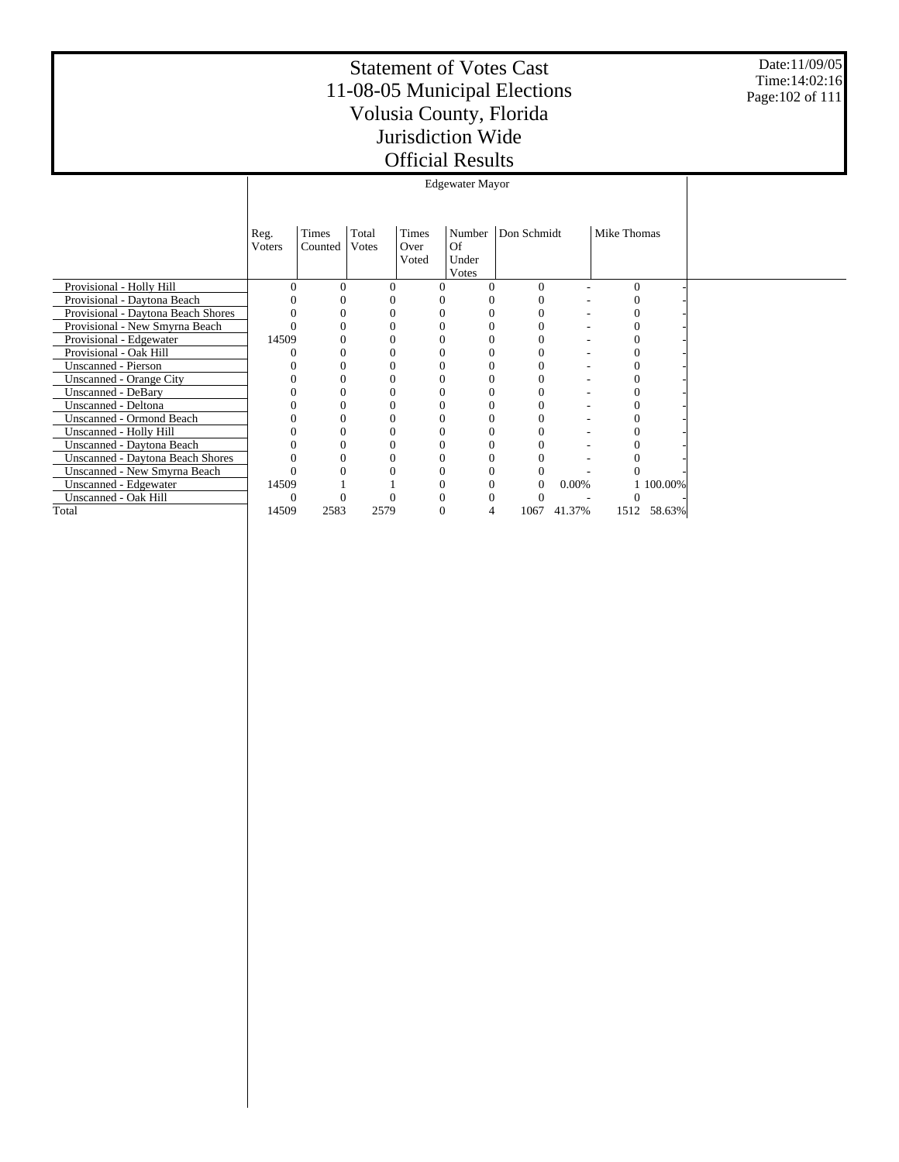Date:11/09/05 Time:14:02:16 Page:102 of 111

# Statement of Votes Cast 11-08-05 Municipal Elections Volusia County, Florida Jurisdiction Wide Official Results

#### Edgewater Mayor

|                                         | Reg.   | Times   | Total | Times | Number | Don Schmidt  |        | Mike Thomas |             |
|-----------------------------------------|--------|---------|-------|-------|--------|--------------|--------|-------------|-------------|
|                                         | Voters | Counted | Votes | Over  | Of     |              |        |             |             |
|                                         |        |         |       | Voted | Under  |              |        |             |             |
|                                         |        |         |       |       | Votes  |              |        |             |             |
| Provisional - Holly Hill                |        |         |       |       |        | $\mathbf{0}$ |        | 0           |             |
| Provisional - Daytona Beach             |        |         |       |       |        |              |        |             |             |
| Provisional - Daytona Beach Shores      |        |         |       |       |        |              |        |             |             |
| Provisional - New Smyrna Beach          |        |         |       |       |        |              |        |             |             |
| Provisional - Edgewater                 | 14509  |         |       |       |        |              |        |             |             |
| Provisional - Oak Hill                  |        |         |       |       |        |              |        |             |             |
| Unscanned - Pierson                     |        |         |       |       |        |              |        |             |             |
| Unscanned - Orange City                 |        |         |       |       |        |              |        |             |             |
| Unscanned - DeBary                      |        |         |       |       |        |              |        |             |             |
| Unscanned - Deltona                     |        |         |       |       |        |              |        |             |             |
| Unscanned - Ormond Beach                |        |         |       |       |        |              |        |             |             |
| Unscanned - Holly Hill                  |        |         |       |       |        |              |        |             |             |
| Unscanned - Daytona Beach               |        |         |       |       |        |              |        |             |             |
| <b>Unscanned - Daytona Beach Shores</b> |        |         |       |       |        |              |        |             |             |
| Unscanned - New Smyrna Beach            |        |         |       |       |        |              |        |             |             |
| Unscanned - Edgewater                   | 14509  |         |       |       |        |              | 0.00%  |             | 1 100.00%   |
| Unscanned - Oak Hill                    |        |         |       |       |        |              |        |             |             |
| Total                                   | 14509  | 2583    | 2579  |       |        | 1067         | 41.37% |             | 1512 58.63% |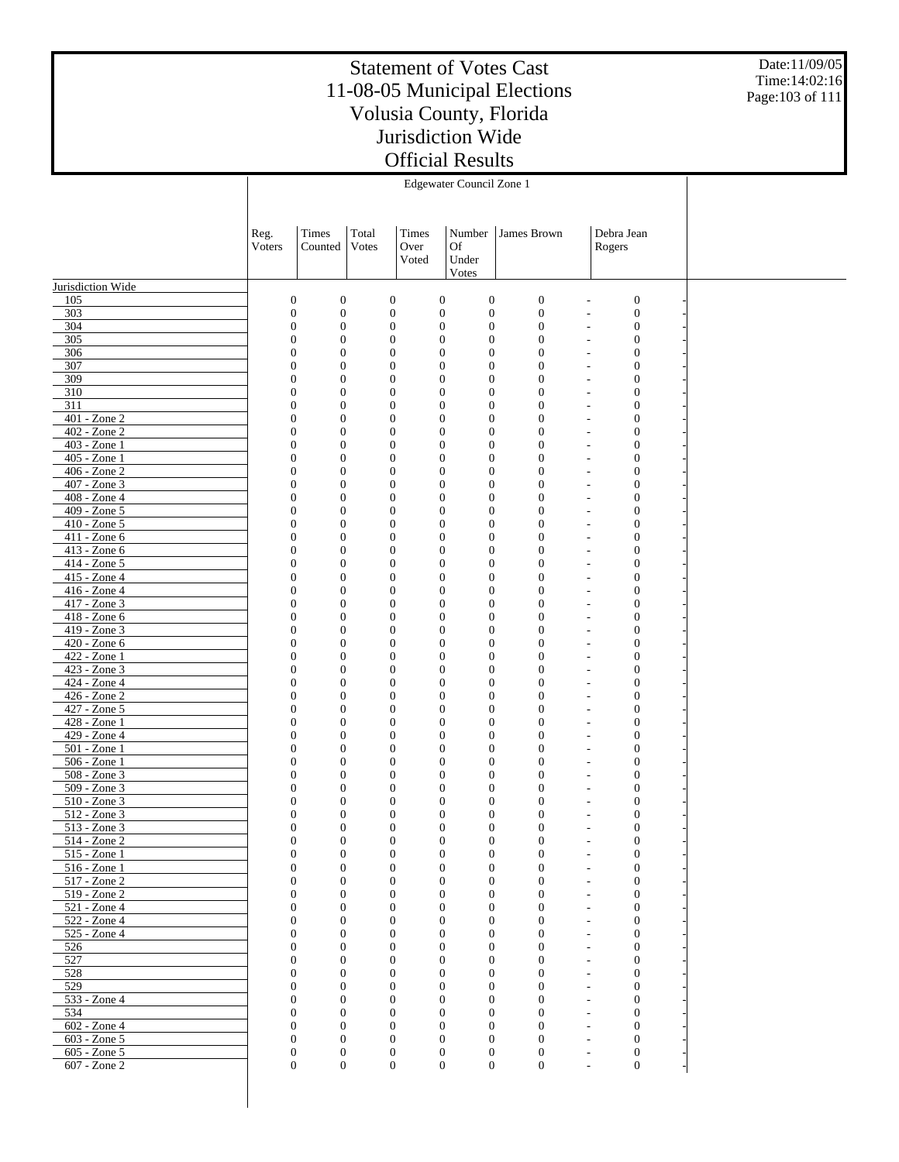Date:11/09/05 Time:14:02:16 Page:103 of 111

# Statement of Votes Cast 11-08-05 Municipal Elections Volusia County, Florida Jurisdiction Wide Official Results

|                                 |                                      |                                      |                |                                      | Edgewater Council Zone 1              |                                      |                                      |                                                              |  |
|---------------------------------|--------------------------------------|--------------------------------------|----------------|--------------------------------------|---------------------------------------|--------------------------------------|--------------------------------------|--------------------------------------------------------------|--|
|                                 |                                      |                                      |                |                                      |                                       |                                      |                                      |                                                              |  |
|                                 | Reg.<br>Voters                       | Times<br>Counted                     | Total<br>Votes | Times<br>Over<br>Voted               | Number<br><b>Of</b><br>Under<br>Votes | James Brown                          |                                      | Debra Jean<br>Rogers                                         |  |
| Jurisdiction Wide               |                                      |                                      |                |                                      |                                       |                                      |                                      |                                                              |  |
| 105                             | $\boldsymbol{0}$                     | $\boldsymbol{0}$                     |                | $\boldsymbol{0}$                     | $\boldsymbol{0}$                      | $\boldsymbol{0}$                     | $\boldsymbol{0}$                     | $\boldsymbol{0}$                                             |  |
| 303                             | $\boldsymbol{0}$                     | $\boldsymbol{0}$                     |                | $\boldsymbol{0}$                     | $\boldsymbol{0}$                      | $\boldsymbol{0}$                     | $\boldsymbol{0}$                     | $\boldsymbol{0}$                                             |  |
| 304<br>305                      | $\boldsymbol{0}$<br>$\boldsymbol{0}$ | $\boldsymbol{0}$<br>$\boldsymbol{0}$ |                | $\boldsymbol{0}$<br>$\boldsymbol{0}$ | $\boldsymbol{0}$<br>$\mathbf{0}$      | $\boldsymbol{0}$<br>$\boldsymbol{0}$ | $\boldsymbol{0}$<br>$\boldsymbol{0}$ | $\boldsymbol{0}$<br>$\boldsymbol{0}$                         |  |
| 306                             | $\boldsymbol{0}$                     | $\boldsymbol{0}$                     |                | $\boldsymbol{0}$                     | $\mathbf{0}$                          | $\boldsymbol{0}$                     | $\mathbf{0}$                         | $\boldsymbol{0}$                                             |  |
| 307                             | $\boldsymbol{0}$                     | $\boldsymbol{0}$                     |                | $\boldsymbol{0}$                     | $\mathbf{0}$                          | $\boldsymbol{0}$                     | $\boldsymbol{0}$                     | $\boldsymbol{0}$                                             |  |
| 309                             | $\boldsymbol{0}$                     | $\boldsymbol{0}$                     |                | $\boldsymbol{0}$                     | $\mathbf{0}$                          | $\boldsymbol{0}$                     | $\mathbf{0}$                         | $\boldsymbol{0}$                                             |  |
| 310                             | $\boldsymbol{0}$                     | $\boldsymbol{0}$                     |                | $\boldsymbol{0}$                     | $\mathbf{0}$                          | $\boldsymbol{0}$                     | $\boldsymbol{0}$                     | $\boldsymbol{0}$                                             |  |
| 311<br>$401 - Z$ one 2          | $\boldsymbol{0}$<br>$\boldsymbol{0}$ | $\boldsymbol{0}$<br>$\boldsymbol{0}$ |                | $\boldsymbol{0}$<br>$\boldsymbol{0}$ | $\mathbf{0}$<br>$\mathbf{0}$          | $\boldsymbol{0}$<br>$\boldsymbol{0}$ | $\mathbf{0}$<br>$\boldsymbol{0}$     | $\boldsymbol{0}$<br>$\boldsymbol{0}$                         |  |
| 402 - Zone 2                    | $\boldsymbol{0}$                     | $\boldsymbol{0}$                     |                | $\boldsymbol{0}$                     | $\mathbf{0}$                          | $\boldsymbol{0}$                     | $\mathbf{0}$                         | $\boldsymbol{0}$                                             |  |
| 403 - Zone 1                    | $\boldsymbol{0}$                     | $\boldsymbol{0}$                     |                | $\boldsymbol{0}$                     | $\mathbf{0}$                          | $\boldsymbol{0}$                     | $\boldsymbol{0}$                     | $\boldsymbol{0}$                                             |  |
| 405 - Zone 1                    | $\boldsymbol{0}$                     | $\overline{0}$                       |                | $\boldsymbol{0}$                     | $\mathbf{0}$                          | $\boldsymbol{0}$                     | $\mathbf{0}$                         | $\boldsymbol{0}$                                             |  |
| 406 - Zone 2                    | $\boldsymbol{0}$                     | $\boldsymbol{0}$                     |                | $\boldsymbol{0}$                     | $\mathbf{0}$                          | $\boldsymbol{0}$                     | $\boldsymbol{0}$                     | $\boldsymbol{0}$                                             |  |
| $407 - Z$ one 3<br>408 - Zone 4 | $\boldsymbol{0}$<br>$\boldsymbol{0}$ | $\boldsymbol{0}$<br>$\boldsymbol{0}$ |                | $\boldsymbol{0}$<br>$\boldsymbol{0}$ | $\mathbf{0}$<br>$\mathbf{0}$          | $\boldsymbol{0}$<br>$\boldsymbol{0}$ | $\mathbf{0}$<br>$\boldsymbol{0}$     | $\boldsymbol{0}$<br>$\boldsymbol{0}$                         |  |
| 409 - Zone 5                    | $\boldsymbol{0}$                     | $\overline{0}$                       |                | $\boldsymbol{0}$                     | $\mathbf{0}$                          | $\boldsymbol{0}$                     | $\mathbf{0}$                         | $\boldsymbol{0}$                                             |  |
| 410 - Zone 5                    | $\boldsymbol{0}$                     | $\boldsymbol{0}$                     |                | $\boldsymbol{0}$                     | $\mathbf{0}$                          | $\boldsymbol{0}$                     | $\boldsymbol{0}$                     | $\boldsymbol{0}$                                             |  |
| 411 - Zone 6                    | $\boldsymbol{0}$                     | $\boldsymbol{0}$                     |                | $\boldsymbol{0}$                     | $\mathbf{0}$                          | $\boldsymbol{0}$                     | $\mathbf{0}$                         | $\boldsymbol{0}$                                             |  |
| 413 - Zone 6                    | $\boldsymbol{0}$                     | $\boldsymbol{0}$                     |                | $\boldsymbol{0}$                     | $\mathbf{0}$                          | $\boldsymbol{0}$                     | $\boldsymbol{0}$                     | $\boldsymbol{0}$                                             |  |
| 414 - Zone 5<br>415 - Zone 4    | $\boldsymbol{0}$<br>$\boldsymbol{0}$ | $\overline{0}$<br>$\boldsymbol{0}$   |                | $\boldsymbol{0}$<br>$\boldsymbol{0}$ | $\mathbf{0}$<br>$\mathbf{0}$          | $\boldsymbol{0}$<br>$\boldsymbol{0}$ | $\mathbf{0}$<br>$\boldsymbol{0}$     | $\boldsymbol{0}$<br>$\boldsymbol{0}$                         |  |
| 416 - Zone 4                    | $\boldsymbol{0}$                     | $\boldsymbol{0}$                     |                | $\boldsymbol{0}$                     | $\mathbf{0}$                          | $\boldsymbol{0}$                     | $\mathbf{0}$                         | $\boldsymbol{0}$                                             |  |
| 417 - Zone 3                    | $\boldsymbol{0}$                     | $\boldsymbol{0}$                     |                | $\boldsymbol{0}$                     | $\mathbf{0}$                          | $\boldsymbol{0}$                     | $\boldsymbol{0}$                     | $\boldsymbol{0}$                                             |  |
| 418 - Zone 6                    | $\boldsymbol{0}$                     | $\overline{0}$                       |                | $\boldsymbol{0}$                     | $\mathbf{0}$                          | $\boldsymbol{0}$                     | $\mathbf{0}$                         | $\boldsymbol{0}$                                             |  |
| 419 - Zone 3                    | $\boldsymbol{0}$                     | $\boldsymbol{0}$                     |                | $\boldsymbol{0}$                     | $\mathbf{0}$                          | $\boldsymbol{0}$                     | $\boldsymbol{0}$                     | $\boldsymbol{0}$                                             |  |
| 420 - Zone 6<br>422 - Zone 1    | $\boldsymbol{0}$<br>$\boldsymbol{0}$ | $\boldsymbol{0}$<br>$\boldsymbol{0}$ |                | $\boldsymbol{0}$<br>$\boldsymbol{0}$ | $\mathbf{0}$<br>$\mathbf{0}$          | $\boldsymbol{0}$<br>$\boldsymbol{0}$ | $\mathbf{0}$<br>$\boldsymbol{0}$     | $\boldsymbol{0}$<br>$\boldsymbol{0}$                         |  |
| 423 - Zone 3                    | $\boldsymbol{0}$                     | $\overline{0}$                       |                | $\boldsymbol{0}$                     | $\mathbf{0}$                          | $\boldsymbol{0}$                     | $\mathbf{0}$                         | $\boldsymbol{0}$                                             |  |
| 424 - Zone 4                    | $\boldsymbol{0}$                     | $\boldsymbol{0}$                     |                | $\boldsymbol{0}$                     | $\mathbf{0}$                          | $\boldsymbol{0}$                     | $\boldsymbol{0}$                     | $\boldsymbol{0}$                                             |  |
| 426 - Zone 2                    | $\boldsymbol{0}$                     | $\boldsymbol{0}$                     |                | $\boldsymbol{0}$                     | $\mathbf{0}$                          | $\boldsymbol{0}$                     | $\mathbf{0}$                         | $\boldsymbol{0}$                                             |  |
| 427 - Zone 5                    | $\boldsymbol{0}$                     | $\boldsymbol{0}$                     |                | $\boldsymbol{0}$                     | $\mathbf{0}$                          | $\boldsymbol{0}$                     | $\boldsymbol{0}$                     | $\boldsymbol{0}$                                             |  |
| 428 - Zone 1<br>429 - Zone 4    | $\boldsymbol{0}$<br>$\boldsymbol{0}$ | $\overline{0}$<br>$\boldsymbol{0}$   |                | $\boldsymbol{0}$<br>$\boldsymbol{0}$ | $\mathbf{0}$<br>$\mathbf{0}$          | $\boldsymbol{0}$<br>$\boldsymbol{0}$ | $\mathbf{0}$<br>$\boldsymbol{0}$     | $\boldsymbol{0}$<br>$\boldsymbol{0}$                         |  |
| 501 - Zone 1                    | $\boldsymbol{0}$                     | $\boldsymbol{0}$                     |                | $\boldsymbol{0}$                     | $\mathbf{0}$                          | $\boldsymbol{0}$                     | $\mathbf{0}$                         | $\boldsymbol{0}$                                             |  |
| 506 - Zone 1                    | $\boldsymbol{0}$                     | $\boldsymbol{0}$                     |                | $\boldsymbol{0}$                     | $\mathbf{0}$                          | $\boldsymbol{0}$                     | $\boldsymbol{0}$                     | $\boldsymbol{0}$                                             |  |
| 508 - Zone 3                    | $\boldsymbol{0}$                     | $\boldsymbol{0}$                     |                | $\boldsymbol{0}$                     | $\mathbf{0}$                          | $\boldsymbol{0}$                     | $\mathbf{0}$                         | $\boldsymbol{0}$                                             |  |
| 509 - Zone 3                    | $\mathbf{0}$                         | $\boldsymbol{0}$                     |                | $\boldsymbol{0}$                     | $\mathbf{0}$                          | $\boldsymbol{0}$                     | $\boldsymbol{0}$                     | $\boldsymbol{0}$                                             |  |
| 510 - Zone 3<br>512 - Zone 3    | $\mathbf{0}$<br>$\boldsymbol{0}$     | $\boldsymbol{0}$<br>$\boldsymbol{0}$ |                | $\boldsymbol{0}$<br>$\boldsymbol{0}$ | $\mathbf{0}$<br>$\mathbf{0}$          | $\boldsymbol{0}$<br>$\boldsymbol{0}$ | $\mathbf{0}$<br>$\boldsymbol{0}$     | $\boldsymbol{0}$<br>$\boldsymbol{0}$                         |  |
| 513 - Zone 3                    | $\boldsymbol{0}$                     | $\boldsymbol{0}$                     |                | $\boldsymbol{0}$                     | $\boldsymbol{0}$                      | $\boldsymbol{0}$                     | $\boldsymbol{0}$                     | $\boldsymbol{0}$<br>$\overline{\phantom{a}}$                 |  |
| 514 - Zone 2                    | 0                                    | $\bf{0}$                             |                | $\bf{0}$                             | $\boldsymbol{0}$                      | $\bf{0}$                             | 0                                    | $\Omega$                                                     |  |
| 515 - Zone 1                    | $\boldsymbol{0}$                     | $\mathbf{0}$                         |                | $\boldsymbol{0}$                     | $\boldsymbol{0}$                      | $\boldsymbol{0}$                     | $\boldsymbol{0}$                     | $\mathbf{0}$                                                 |  |
| 516 - Zone 1                    | $\Omega$                             | $\mathbf{0}$                         |                | $\boldsymbol{0}$                     | $\mathbf{0}$                          | $\boldsymbol{0}$                     | $\boldsymbol{0}$                     | $\boldsymbol{0}$                                             |  |
| 517 - Zone 2<br>519 - Zone 2    | $\Omega$<br>$\Omega$                 | $\mathbf{0}$<br>$\overline{0}$       |                | $\boldsymbol{0}$<br>$\boldsymbol{0}$ | $\boldsymbol{0}$<br>$\theta$          | $\boldsymbol{0}$<br>$\boldsymbol{0}$ | $\overline{0}$<br>$\mathbf{0}$       | $\boldsymbol{0}$<br>$\boldsymbol{0}$                         |  |
| 521 - Zone 4                    | $\Omega$                             | $\mathbf{0}$                         |                | $\boldsymbol{0}$                     | $\theta$                              | $\boldsymbol{0}$                     | $\overline{0}$                       | $\boldsymbol{0}$                                             |  |
| 522 - Zone 4                    | $\Omega$                             | $\overline{0}$                       |                | $\boldsymbol{0}$                     | $\theta$                              | $\boldsymbol{0}$                     | $\overline{0}$                       | $\boldsymbol{0}$                                             |  |
| 525 - Zone 4                    | $\Omega$                             | $\mathbf{0}$                         |                | $\boldsymbol{0}$                     | $\boldsymbol{0}$                      | $\boldsymbol{0}$                     | $\overline{0}$                       | $\boldsymbol{0}$                                             |  |
| 526                             | $\Omega$                             | $\overline{0}$                       |                | $\boldsymbol{0}$                     | $\theta$                              | $\boldsymbol{0}$                     | $\boldsymbol{0}$                     | $\boldsymbol{0}$                                             |  |
| 527<br>528                      | $\Omega$<br>$\Omega$                 | $\mathbf{0}$<br>$\overline{0}$       |                | $\boldsymbol{0}$<br>$\boldsymbol{0}$ | $\theta$<br>$\theta$                  | $\boldsymbol{0}$<br>$\boldsymbol{0}$ | $\boldsymbol{0}$<br>$\boldsymbol{0}$ | $\boldsymbol{0}$<br>$\boldsymbol{0}$                         |  |
| 529                             | $\Omega$                             | $\mathbf{0}$                         |                | $\boldsymbol{0}$                     | $\boldsymbol{0}$                      | $\boldsymbol{0}$                     | $\boldsymbol{0}$                     | $\boldsymbol{0}$                                             |  |
| 533 - Zone 4                    | $\Omega$                             | $\overline{0}$                       |                | $\boldsymbol{0}$                     | $\theta$                              | $\boldsymbol{0}$                     | $\boldsymbol{0}$                     | $\boldsymbol{0}$                                             |  |
| 534                             | $\Omega$                             | $\mathbf{0}$                         |                | $\boldsymbol{0}$                     | $\theta$                              | $\boldsymbol{0}$                     | $\boldsymbol{0}$                     | $\boldsymbol{0}$                                             |  |
| 602 - Zone 4                    | $\Omega$                             | $\overline{0}$                       |                | $\boldsymbol{0}$                     | $\theta$                              | $\boldsymbol{0}$                     | $\boldsymbol{0}$                     | $\boldsymbol{0}$                                             |  |
| 603 - Zone 5<br>605 - Zone 5    | $\mathbf{0}$<br>$\Omega$             | $\mathbf{0}$<br>$\mathbf{0}$         |                | $\boldsymbol{0}$<br>$\mathbf{0}$     | $\boldsymbol{0}$<br>$\boldsymbol{0}$  | $\mathbf{0}$<br>$\boldsymbol{0}$     | $\boldsymbol{0}$<br>$\boldsymbol{0}$ | $\boldsymbol{0}$<br>$\mathbf{0}$<br>$\overline{\phantom{a}}$ |  |
| 607 - Zone 2                    | $\overline{0}$                       | $\overline{0}$                       |                | $\boldsymbol{0}$                     | $\boldsymbol{0}$                      | $\boldsymbol{0}$                     | $\boldsymbol{0}$                     | $\boldsymbol{0}$<br>$\overline{a}$                           |  |
|                                 |                                      |                                      |                |                                      |                                       |                                      |                                      |                                                              |  |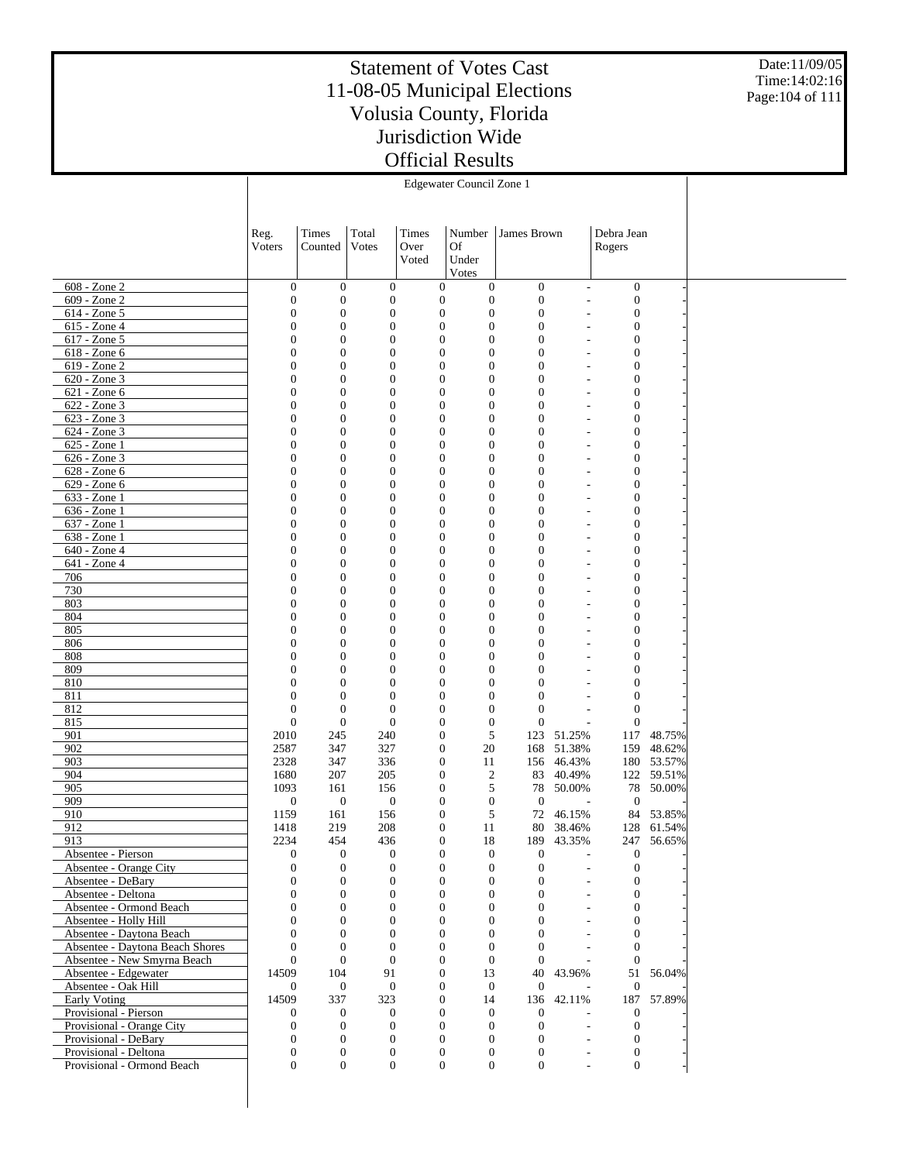Date:11/09/05 Time:14:02:16 Page:104 of 111

|                                                   | Edgewater Council Zone 1       |                                  |                                      |                        |                                                                  |                                      |                      |                                      |                          |  |  |
|---------------------------------------------------|--------------------------------|----------------------------------|--------------------------------------|------------------------|------------------------------------------------------------------|--------------------------------------|----------------------|--------------------------------------|--------------------------|--|--|
|                                                   |                                |                                  |                                      |                        |                                                                  |                                      |                      |                                      |                          |  |  |
|                                                   | Reg.<br>Voters                 | Times<br>Counted                 | Total<br>Votes                       | Times<br>Over<br>Voted | Number<br>Of<br>Under<br>Votes                                   | James Brown                          |                      | Debra Jean<br>Rogers                 |                          |  |  |
| 608 - Zone 2                                      | $\mathbf{0}$                   | $\boldsymbol{0}$                 | $\boldsymbol{0}$                     |                        | $\boldsymbol{0}$<br>$\mathbf{0}$                                 | $\mathbf{0}$                         | ÷,                   | $\boldsymbol{0}$                     |                          |  |  |
| $\overline{609 - \text{Zone}}$ 2                  | $\mathbf{0}$                   | $\boldsymbol{0}$                 | $\boldsymbol{0}$                     |                        | $\boldsymbol{0}$<br>$\boldsymbol{0}$                             | $\boldsymbol{0}$                     |                      | $\boldsymbol{0}$                     |                          |  |  |
| 614 - Zone 5                                      | $\mathbf{0}$                   | $\overline{0}$                   | $\boldsymbol{0}$                     |                        | $\boldsymbol{0}$<br>$\boldsymbol{0}$                             | $\boldsymbol{0}$                     | L,                   | $\boldsymbol{0}$                     |                          |  |  |
| 615 - Zone 4                                      | $\mathbf{0}$                   | $\overline{0}$                   | $\boldsymbol{0}$                     |                        | $\boldsymbol{0}$<br>$\mathbf{0}$                                 | $\boldsymbol{0}$                     |                      | $\boldsymbol{0}$                     |                          |  |  |
| 617 - Zone 5                                      | $\overline{0}$                 | $\overline{0}$                   | $\boldsymbol{0}$                     |                        | $\overline{0}$<br>$\mathbf{0}$                                   | $\boldsymbol{0}$                     |                      | $\boldsymbol{0}$                     |                          |  |  |
| 618 - Zone 6                                      | $\mathbf{0}$                   | $\overline{0}$                   | $\boldsymbol{0}$                     |                        | $\overline{0}$<br>$\mathbf{0}$                                   | $\boldsymbol{0}$                     |                      | $\boldsymbol{0}$                     |                          |  |  |
| 619 - Zone 2<br>620 - Zone 3                      | $\overline{0}$<br>$\mathbf{0}$ | $\overline{0}$<br>$\overline{0}$ | $\boldsymbol{0}$<br>$\boldsymbol{0}$ |                        | $\overline{0}$<br>$\mathbf{0}$<br>$\mathbf{0}$<br>$\mathbf{0}$   | $\boldsymbol{0}$<br>$\boldsymbol{0}$ | ٠                    | $\boldsymbol{0}$<br>$\boldsymbol{0}$ |                          |  |  |
| 621 - Zone 6                                      | $\overline{0}$                 | $\overline{0}$                   | $\boldsymbol{0}$                     |                        | $\overline{0}$<br>$\mathbf{0}$                                   | $\boldsymbol{0}$                     | ٠                    | $\boldsymbol{0}$                     |                          |  |  |
| 622 - Zone 3                                      | $\mathbf{0}$                   | $\overline{0}$                   | $\boldsymbol{0}$                     |                        | $\overline{0}$<br>$\mathbf{0}$                                   | $\boldsymbol{0}$                     |                      | $\boldsymbol{0}$                     |                          |  |  |
| 623 - Zone 3                                      | $\overline{0}$                 | $\overline{0}$                   | $\boldsymbol{0}$                     |                        | $\overline{0}$<br>$\mathbf{0}$                                   | $\boldsymbol{0}$                     | ٠                    | $\boldsymbol{0}$                     |                          |  |  |
| 624 - Zone 3                                      | $\mathbf{0}$                   | $\overline{0}$                   | $\boldsymbol{0}$                     |                        | $\mathbf{0}$<br>$\mathbf{0}$                                     | $\boldsymbol{0}$                     |                      | $\boldsymbol{0}$                     |                          |  |  |
| 625 - Zone 1                                      | $\overline{0}$                 | $\overline{0}$                   | $\boldsymbol{0}$                     |                        | $\overline{0}$<br>$\mathbf{0}$                                   | $\boldsymbol{0}$                     | ٠                    | $\boldsymbol{0}$                     |                          |  |  |
| 626 - Zone 3                                      | $\mathbf{0}$                   | $\overline{0}$                   | $\boldsymbol{0}$                     |                        | $\overline{0}$<br>$\mathbf{0}$                                   | $\boldsymbol{0}$                     |                      | $\boldsymbol{0}$                     |                          |  |  |
| 628 - Zone 6<br>629 - Zone 6                      | $\overline{0}$<br>$\mathbf{0}$ | $\overline{0}$<br>$\overline{0}$ | $\boldsymbol{0}$<br>$\boldsymbol{0}$ |                        | $\overline{0}$<br>$\mathbf{0}$<br>$\mathbf{0}$<br>$\mathbf{0}$   | $\boldsymbol{0}$<br>$\boldsymbol{0}$ | L,                   | $\boldsymbol{0}$<br>$\boldsymbol{0}$ |                          |  |  |
| 633 - Zone 1                                      | $\overline{0}$                 | $\overline{0}$                   | $\boldsymbol{0}$                     |                        | $\overline{0}$<br>$\mathbf{0}$                                   | $\boldsymbol{0}$                     | L,                   | $\boldsymbol{0}$                     |                          |  |  |
| 636 - Zone 1                                      | $\mathbf{0}$                   | $\overline{0}$                   | $\boldsymbol{0}$                     |                        | $\boldsymbol{0}$<br>$\mathbf{0}$                                 | $\boldsymbol{0}$                     |                      | $\boldsymbol{0}$                     |                          |  |  |
| 637 - Zone 1                                      | $\overline{0}$                 | $\overline{0}$                   | $\boldsymbol{0}$                     |                        | $\overline{0}$<br>$\mathbf{0}$                                   | $\boldsymbol{0}$                     | L,                   | $\boldsymbol{0}$                     |                          |  |  |
| 638 - Zone 1                                      | $\mathbf{0}$                   | $\overline{0}$                   | $\boldsymbol{0}$                     |                        | $\mathbf{0}$<br>$\mathbf{0}$                                     | $\boldsymbol{0}$                     |                      | $\boldsymbol{0}$                     |                          |  |  |
| 640 - Zone 4                                      | $\overline{0}$                 | $\overline{0}$                   | $\boldsymbol{0}$                     |                        | $\overline{0}$<br>$\mathbf{0}$                                   | $\boldsymbol{0}$                     | L,                   | $\boldsymbol{0}$                     |                          |  |  |
| 641 - Zone 4<br>706                               | $\mathbf{0}$<br>$\overline{0}$ | $\overline{0}$<br>$\overline{0}$ | $\boldsymbol{0}$<br>$\boldsymbol{0}$ |                        | $\overline{0}$<br>$\mathbf{0}$<br>$\overline{0}$<br>$\mathbf{0}$ | $\overline{0}$<br>$\boldsymbol{0}$   | L,                   | $\boldsymbol{0}$<br>$\boldsymbol{0}$ |                          |  |  |
| 730                                               | $\mathbf{0}$                   | $\overline{0}$                   | $\boldsymbol{0}$                     |                        | $\mathbf{0}$<br>$\mathbf{0}$                                     | $\boldsymbol{0}$                     |                      | $\boldsymbol{0}$                     |                          |  |  |
| 803                                               | $\overline{0}$                 | $\overline{0}$                   | $\boldsymbol{0}$                     |                        | $\overline{0}$<br>$\mathbf{0}$                                   | $\boldsymbol{0}$                     |                      | $\boldsymbol{0}$                     |                          |  |  |
| 804                                               | $\mathbf{0}$                   | $\overline{0}$                   | $\boldsymbol{0}$                     |                        | $\overline{0}$<br>$\mathbf{0}$                                   | $\boldsymbol{0}$                     |                      | $\boldsymbol{0}$                     |                          |  |  |
| 805                                               | $\overline{0}$                 | $\overline{0}$                   | $\boldsymbol{0}$                     |                        | $\overline{0}$<br>$\mathbf{0}$                                   | $\boldsymbol{0}$                     |                      | $\boldsymbol{0}$                     |                          |  |  |
| 806                                               | $\mathbf{0}$<br>$\overline{0}$ | $\overline{0}$<br>$\overline{0}$ | $\boldsymbol{0}$                     |                        | $\overline{0}$<br>$\mathbf{0}$<br>$\overline{0}$<br>$\mathbf{0}$ | $\boldsymbol{0}$<br>$\overline{0}$   |                      | $\boldsymbol{0}$<br>$\mathbf{0}$     |                          |  |  |
| 808<br>809                                        | $\mathbf{0}$                   | $\overline{0}$                   | $\boldsymbol{0}$<br>$\boldsymbol{0}$ |                        | $\overline{0}$<br>$\mathbf{0}$                                   | $\overline{0}$                       |                      | $\boldsymbol{0}$                     |                          |  |  |
| 810                                               | $\overline{0}$                 | $\overline{0}$                   | $\boldsymbol{0}$                     |                        | $\overline{0}$<br>$\mathbf{0}$                                   | $\overline{0}$                       |                      | $\mathbf{0}$                         |                          |  |  |
| 811                                               | $\mathbf{0}$                   | $\overline{0}$                   | $\boldsymbol{0}$                     |                        | $\mathbf{0}$<br>$\mathbf{0}$                                     | $\boldsymbol{0}$                     |                      | $\boldsymbol{0}$                     |                          |  |  |
| 812                                               | $\mathbf{0}$                   | $\overline{0}$                   | $\boldsymbol{0}$                     |                        | $\overline{0}$<br>$\theta$                                       | $\boldsymbol{0}$                     |                      | $\boldsymbol{0}$                     |                          |  |  |
| 815                                               | $\mathbf{0}$                   | $\mathbf{0}$                     | $\boldsymbol{0}$                     |                        | $\boldsymbol{0}$<br>$\mathbf{0}$                                 | $\overline{0}$                       |                      | $\mathbf{0}$                         |                          |  |  |
| 901<br>902                                        | 2010<br>2587                   | 245<br>347                       | 240<br>327                           |                        | $\boldsymbol{0}$<br>5<br>$\boldsymbol{0}$<br>20                  | 168                                  | 123 51.25%<br>51.38% | 159                                  | 117 48.75%<br>48.62%     |  |  |
| 903                                               | 2328                           | 347                              | 336                                  |                        | $\boldsymbol{0}$<br>11                                           |                                      | 156 46.43%           |                                      | 180 53.57%               |  |  |
| 904                                               | 1680                           | 207                              | 205                                  |                        | $\boldsymbol{0}$<br>$\overline{2}$                               | 83                                   | 40.49%               |                                      | 122 59.51%               |  |  |
| 905                                               | 1093                           | 161                              | 156                                  |                        | $\boldsymbol{0}$<br>5                                            | 78                                   | 50.00%               |                                      | 78 50.00%                |  |  |
| 909                                               | $\mathbf{0}$                   | $\boldsymbol{0}$                 | $\mathbf{0}$                         |                        | $\boldsymbol{0}$<br>$\mathbf{0}$                                 | $\mathbf{0}$                         |                      | $\theta$                             |                          |  |  |
| 910                                               | 1159                           | 161                              | 156                                  |                        | $\boldsymbol{0}$<br>5                                            | 72                                   | 46.15%               | 84                                   | 53.85%                   |  |  |
| 912<br>913                                        | 1418<br>2234                   | 219<br>454                       | 208<br>436                           |                        | $\overline{0}$<br>11<br>$\boldsymbol{0}$                         | 80                                   | 38.46%<br>189 43.35% |                                      | 128 61.54%<br>247 56.65% |  |  |
| Absentee - Pierson                                | $\mathbf{0}$                   | $\theta$                         | $\mathbf{0}$                         |                        | 18<br>$\boldsymbol{0}$<br>$\mathbf{0}$                           | $\overline{0}$                       |                      | $\boldsymbol{0}$                     |                          |  |  |
| Absentee - Orange City                            | $\overline{0}$                 | $\Omega$                         | $\Omega$                             |                        | $\mathbf{0}$<br>$\overline{0}$                                   | $\overline{0}$                       |                      | $\mathbf{0}$                         |                          |  |  |
| Absentee - DeBary                                 | $\overline{0}$                 | $\mathbf{0}$                     | $\mathbf{0}$                         |                        | $\mathbf{0}$<br>$\overline{0}$                                   | $\overline{0}$                       |                      | $\boldsymbol{0}$                     |                          |  |  |
| Absentee - Deltona                                | $\theta$                       | $\mathbf{0}$                     | $\mathbf{0}$                         |                        | $\mathbf{0}$<br>$\overline{0}$                                   | $\Omega$                             |                      | $\mathbf{0}$                         |                          |  |  |
| Absentee - Ormond Beach                           | $\overline{0}$                 | $\mathbf{0}$                     | $\mathbf{0}$                         |                        | $\mathbf{0}$<br>$\overline{0}$                                   | $\Omega$                             |                      | $\mathbf{0}$                         |                          |  |  |
| Absentee - Holly Hill<br>Absentee - Daytona Beach | $\theta$<br>$\theta$           | $\Omega$<br>$\Omega$             | $\Omega$<br>$\mathbf{0}$             |                        | $\mathbf{0}$<br>$\Omega$<br>$\mathbf{0}$<br>$\overline{0}$       | $\Omega$<br>$\Omega$                 |                      | $\mathbf{0}$<br>$\mathbf{0}$         |                          |  |  |
| Absentee - Daytona Beach Shores                   | $\theta$                       | $\mathbf{0}$                     | $\Omega$                             |                        | $\mathbf{0}$<br>$\overline{0}$                                   | $\overline{0}$                       |                      | $\mathbf{0}$                         |                          |  |  |
| Absentee - New Smyrna Beach                       | $\overline{0}$                 | $\theta$                         | $\mathbf{0}$                         |                        | $\mathbf{0}$<br>$\overline{0}$                                   | $\Omega$                             |                      | $\mathbf{0}$                         |                          |  |  |
| Absentee - Edgewater                              | 14509                          | 104                              | 91                                   |                        | $\mathbf{0}$<br>13                                               |                                      | 40 43.96%            |                                      | 51 56.04%                |  |  |
| Absentee - Oak Hill                               | $\mathbf{0}$                   | $\mathbf{0}$                     | $\boldsymbol{0}$                     |                        | $\boldsymbol{0}$<br>$\overline{0}$                               | $\boldsymbol{0}$                     |                      | $\mathbf{0}$                         |                          |  |  |
| Early Voting                                      | 14509                          | 337                              | 323                                  |                        | $\mathbf{0}$<br>14                                               |                                      | 136 42.11%           |                                      | 187 57.89%               |  |  |
| Provisional - Pierson                             | $\overline{0}$                 | $\overline{0}$                   | $\mathbf{0}$                         |                        | $\mathbf{0}$<br>$\overline{0}$                                   | $\overline{0}$                       |                      | $\mathbf{0}$                         |                          |  |  |
| Provisional - Orange City<br>Provisional - DeBary | $\overline{0}$<br>$\mathbf{0}$ | $\mathbf{0}$<br>$\overline{0}$   | $\Omega$<br>$\overline{0}$           |                        | $\Omega$<br>$\overline{0}$<br>$\mathbf{0}$<br>$\overline{0}$     | $\overline{0}$<br>$\overline{0}$     |                      | $\mathbf{0}$<br>$\boldsymbol{0}$     |                          |  |  |
| Provisional - Deltona                             | $\theta$                       | $\overline{0}$                   | $\overline{0}$                       |                        | $\overline{0}$<br>$\overline{0}$                                 | $\overline{0}$                       |                      | $\mathbf{0}$                         |                          |  |  |
| Provisional - Ormond Beach                        | $\mathbf{0}$                   | $\theta$                         | $\mathbf{0}$                         |                        | $\boldsymbol{0}$<br>$\overline{0}$                               | $\overline{0}$                       |                      | $\mathbf{0}$                         |                          |  |  |
|                                                   |                                |                                  |                                      |                        |                                                                  |                                      |                      |                                      |                          |  |  |
|                                                   |                                |                                  |                                      |                        |                                                                  |                                      |                      |                                      |                          |  |  |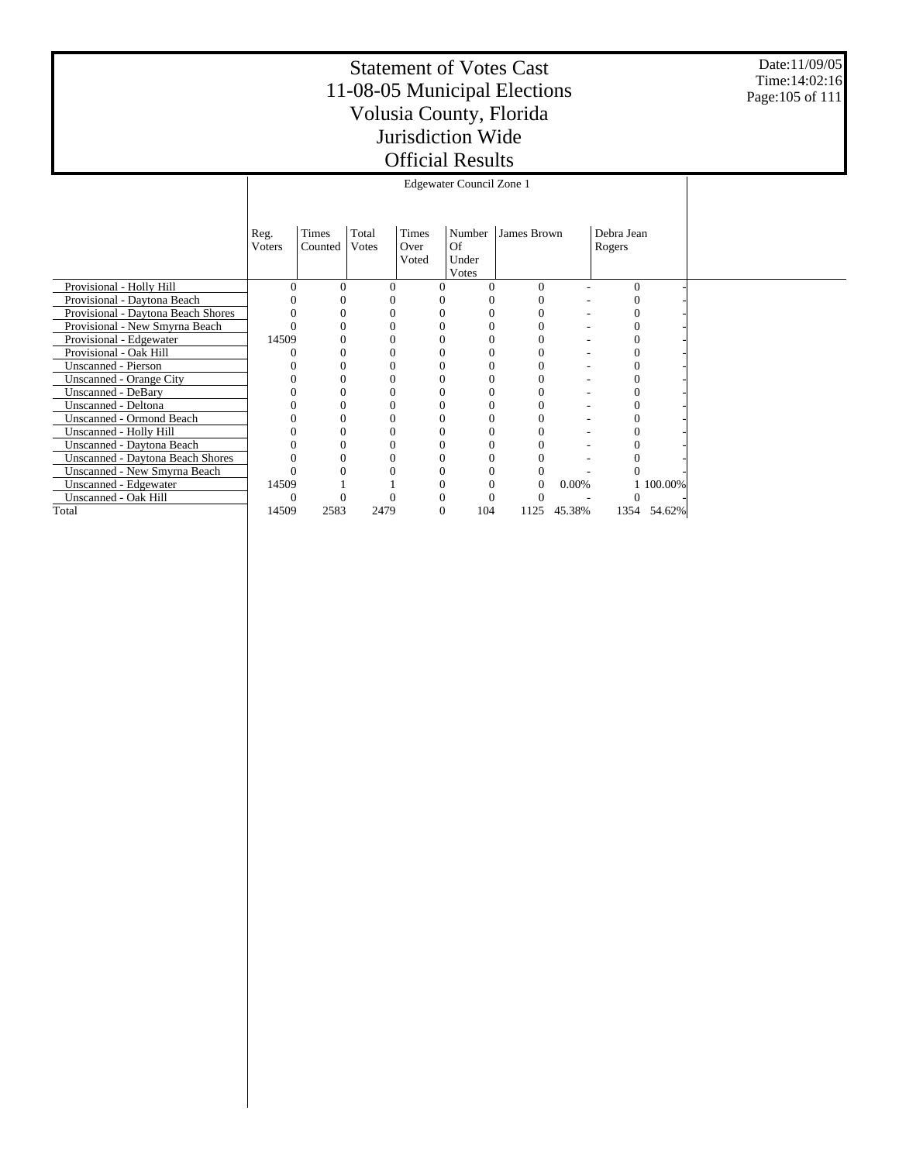Date:11/09/05 Time:14:02:16 Page:105 of 111

 $\overline{\phantom{a}}$ 

## Statement of Votes Cast 11-08-05 Municipal Elections Volusia County, Florida Jurisdiction Wide Official Results Edgewater Council Zone 1

|                                         | Reg.<br>Voters | Times<br>Counted | Total<br>Votes | Times<br>Over<br>Voted | Number<br><b>Of</b><br>Under<br>Votes | James Brown |        | Debra Jean<br>Rogers |             |
|-----------------------------------------|----------------|------------------|----------------|------------------------|---------------------------------------|-------------|--------|----------------------|-------------|
| Provisional - Holly Hill                |                |                  |                |                        |                                       | $\Omega$    |        | 0                    |             |
| Provisional - Daytona Beach             |                |                  |                |                        |                                       |             |        |                      |             |
| Provisional - Daytona Beach Shores      |                |                  |                |                        |                                       |             |        |                      |             |
| Provisional - New Smyrna Beach          |                |                  |                |                        |                                       |             |        |                      |             |
| Provisional - Edgewater                 | 14509          |                  |                |                        |                                       |             |        |                      |             |
| Provisional - Oak Hill                  |                |                  |                |                        |                                       |             |        |                      |             |
| Unscanned - Pierson                     |                |                  |                |                        |                                       |             |        |                      |             |
| Unscanned - Orange City                 |                |                  |                |                        |                                       |             |        |                      |             |
| Unscanned - DeBary                      |                |                  |                |                        |                                       |             |        |                      |             |
| Unscanned - Deltona                     |                |                  |                |                        |                                       |             |        |                      |             |
| Unscanned - Ormond Beach                |                |                  |                |                        |                                       |             |        |                      |             |
| Unscanned - Holly Hill                  |                |                  |                |                        |                                       |             |        |                      |             |
| Unscanned - Daytona Beach               |                |                  |                |                        |                                       |             |        |                      |             |
| <b>Unscanned - Daytona Beach Shores</b> |                |                  |                |                        |                                       |             |        |                      |             |
| Unscanned - New Smyrna Beach            |                |                  |                |                        |                                       |             |        |                      |             |
| Unscanned - Edgewater                   | 14509          |                  |                |                        |                                       | $\Omega$    | 0.00%  |                      | 1 100.00%   |
| Unscanned - Oak Hill                    |                |                  |                |                        |                                       |             |        |                      |             |
| Total                                   | 14509          | 2583             | 2479           |                        | 104                                   | 1125        | 45.38% |                      | 1354 54.62% |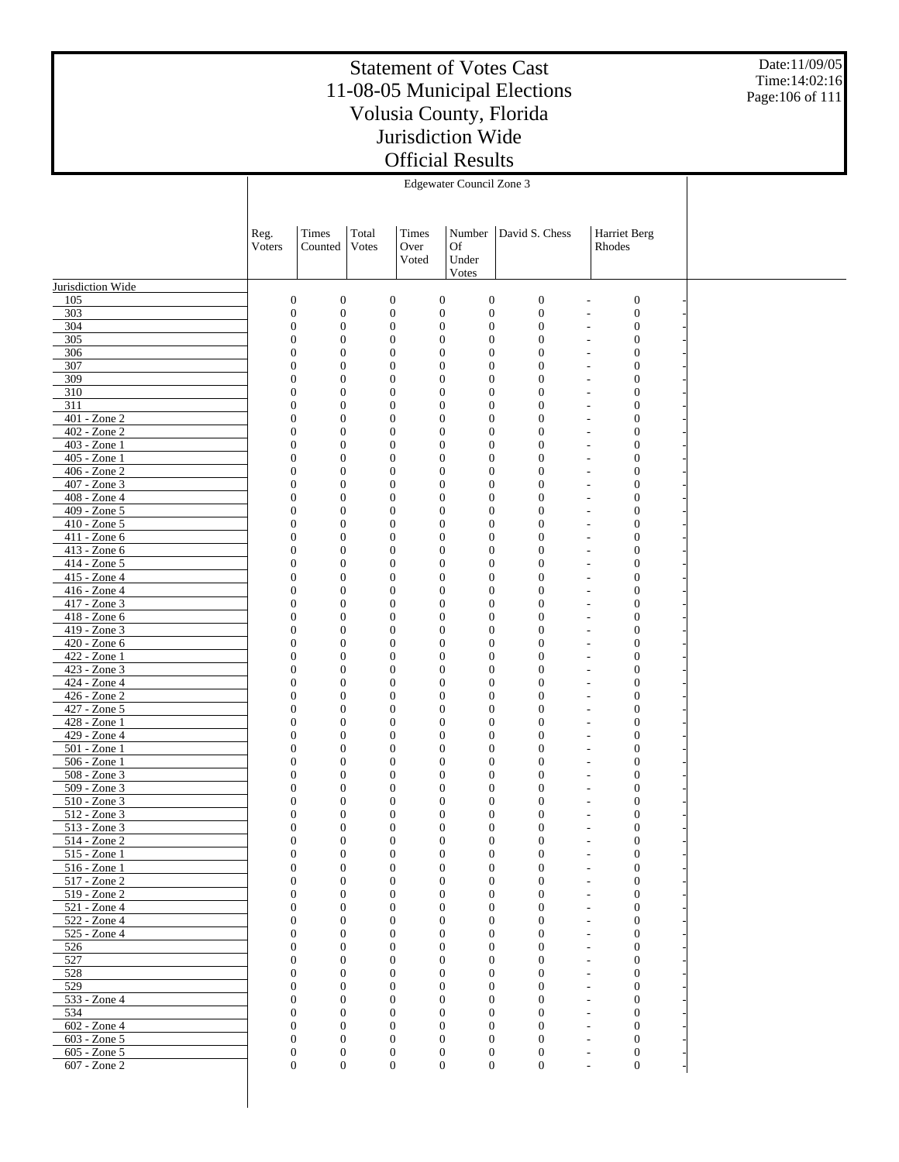Date:11/09/05 Time:14:02:16 Page:106 of 111

T

### Statement of Votes Cast 11-08-05 Municipal Elections Volusia County, Florida Jurisdiction Wide Official Results Edgewater Council Zone 3

T

|                                 |                                  |                                      |       |                                      | Lugewater Council Zone 5                                                     |                                  |                                                                            |  |
|---------------------------------|----------------------------------|--------------------------------------|-------|--------------------------------------|------------------------------------------------------------------------------|----------------------------------|----------------------------------------------------------------------------|--|
|                                 |                                  |                                      |       |                                      |                                                                              |                                  |                                                                            |  |
|                                 | Reg.<br>Voters                   | Times<br>Counted   Votes             | Total | Times<br>Over<br>Voted               | <b>Of</b><br>Under<br>Votes                                                  | Number   David S. Chess          | <b>Harriet Berg</b><br>Rhodes                                              |  |
| Jurisdiction Wide               |                                  |                                      |       |                                      |                                                                              |                                  |                                                                            |  |
| 105                             | $\mathbf{0}$                     | $\boldsymbol{0}$                     |       | $\boldsymbol{0}$                     | $\boldsymbol{0}$<br>$\boldsymbol{0}$                                         | $\boldsymbol{0}$                 | $\boldsymbol{0}$<br>$\overline{a}$                                         |  |
| 303                             | $\overline{0}$                   | $\boldsymbol{0}$                     |       | $\boldsymbol{0}$                     | $\boldsymbol{0}$<br>$\boldsymbol{0}$                                         | $\boldsymbol{0}$                 | $\boldsymbol{0}$<br>$\overline{\phantom{a}}$                               |  |
| 304                             | $\overline{0}$                   | $\boldsymbol{0}$                     |       | $\boldsymbol{0}$                     | $\boldsymbol{0}$<br>$\boldsymbol{0}$                                         | $\boldsymbol{0}$                 | $\boldsymbol{0}$<br>$\overline{a}$                                         |  |
| 305                             | $\Omega$                         | $\boldsymbol{0}$                     |       | $\boldsymbol{0}$                     | $\boldsymbol{0}$<br>$\boldsymbol{0}$                                         | $\theta$                         | $\boldsymbol{0}$<br>$\overline{a}$                                         |  |
| 306                             | $\mathbf{0}$                     | $\mathbf{0}$                         |       | $\boldsymbol{0}$                     | $\boldsymbol{0}$<br>$\boldsymbol{0}$                                         | $\overline{0}$                   | $\boldsymbol{0}$                                                           |  |
| 307                             | $\Omega$                         | $\boldsymbol{0}$                     |       | $\boldsymbol{0}$                     | $\boldsymbol{0}$<br>$\mathbf{0}$                                             | $\overline{0}$                   | $\boldsymbol{0}$<br>$\overline{a}$                                         |  |
| 309<br>310                      | $\Omega$<br>$\Omega$             | $\boldsymbol{0}$<br>$\boldsymbol{0}$ |       | $\boldsymbol{0}$<br>$\boldsymbol{0}$ | $\boldsymbol{0}$<br>$\boldsymbol{0}$<br>$\boldsymbol{0}$<br>$\mathbf{0}$     | $\overline{0}$<br>$\overline{0}$ | $\boldsymbol{0}$<br>$\boldsymbol{0}$                                       |  |
| 311                             | $\mathbf{0}$                     | $\mathbf{0}$                         |       | $\boldsymbol{0}$                     | $\boldsymbol{0}$<br>$\boldsymbol{0}$                                         | $\mathbf{0}$                     | $\overline{a}$<br>$\boldsymbol{0}$<br>$\overline{a}$                       |  |
| 401 - Zone 2                    | $\Omega$                         | $\boldsymbol{0}$                     |       | $\boldsymbol{0}$                     | $\boldsymbol{0}$<br>$\boldsymbol{0}$                                         | $\overline{0}$                   | $\boldsymbol{0}$<br>$\overline{a}$                                         |  |
| 402 - Zone 2                    | $\Omega$                         | $\boldsymbol{0}$                     |       | $\boldsymbol{0}$                     | $\boldsymbol{0}$<br>$\boldsymbol{0}$                                         | $\overline{0}$                   | $\boldsymbol{0}$<br>٠                                                      |  |
| 403 - Zone 1                    | $\Omega$                         | $\boldsymbol{0}$                     |       | $\boldsymbol{0}$                     | $\boldsymbol{0}$<br>$\boldsymbol{0}$                                         | $\overline{0}$                   | $\boldsymbol{0}$<br>$\overline{\phantom{a}}$                               |  |
| 405 - Zone 1                    | $\Omega$                         | $\boldsymbol{0}$                     |       | $\boldsymbol{0}$                     | $\boldsymbol{0}$<br>$\boldsymbol{0}$                                         | $\mathbf{0}$                     | $\boldsymbol{0}$<br>$\overline{a}$                                         |  |
| 406 - Zone 2                    | $\Omega$                         | $\boldsymbol{0}$                     |       | $\boldsymbol{0}$                     | $\boldsymbol{0}$<br>$\boldsymbol{0}$                                         | $\overline{0}$                   | $\boldsymbol{0}$<br>$\overline{a}$                                         |  |
| $407 - Z$ one 3                 | $\Omega$                         | $\boldsymbol{0}$                     |       | $\boldsymbol{0}$                     | $\boldsymbol{0}$<br>$\boldsymbol{0}$                                         | $\overline{0}$                   | $\boldsymbol{0}$<br>٠                                                      |  |
| 408 - Zone 4                    | $\Omega$                         | $\boldsymbol{0}$                     |       | $\boldsymbol{0}$                     | $\boldsymbol{0}$<br>$\boldsymbol{0}$                                         | $\overline{0}$                   | $\boldsymbol{0}$<br>$\overline{\phantom{a}}$                               |  |
| 409 - Zone 5<br>$410 - Z$ one 5 | $\Omega$<br>$\Omega$             | $\boldsymbol{0}$<br>$\boldsymbol{0}$ |       | $\boldsymbol{0}$<br>$\boldsymbol{0}$ | $\boldsymbol{0}$<br>$\boldsymbol{0}$<br>$\boldsymbol{0}$<br>$\boldsymbol{0}$ | $\mathbf{0}$<br>$\overline{0}$   | $\boldsymbol{0}$<br>٠<br>$\boldsymbol{0}$<br>$\overline{a}$                |  |
| 411 - Zone 6                    | $\Omega$                         | $\boldsymbol{0}$                     |       | $\boldsymbol{0}$                     | $\boldsymbol{0}$<br>$\boldsymbol{0}$                                         | $\overline{0}$                   | $\boldsymbol{0}$<br>٠                                                      |  |
| 413 - Zone 6                    | $\Omega$                         | $\boldsymbol{0}$                     |       | $\boldsymbol{0}$                     | $\boldsymbol{0}$<br>$\boldsymbol{0}$                                         | $\overline{0}$                   | $\boldsymbol{0}$<br>$\overline{\phantom{a}}$                               |  |
| 414 - Zone 5                    | $\Omega$                         | $\boldsymbol{0}$                     |       | $\boldsymbol{0}$                     | $\boldsymbol{0}$<br>$\boldsymbol{0}$                                         | $\mathbf{0}$                     | $\boldsymbol{0}$<br>٠                                                      |  |
| 415 - Zone 4                    | $\Omega$                         | $\boldsymbol{0}$                     |       | $\boldsymbol{0}$                     | $\boldsymbol{0}$<br>$\boldsymbol{0}$                                         | $\overline{0}$                   | $\boldsymbol{0}$<br>٠                                                      |  |
| 416 - Zone 4                    | $\Omega$                         | $\boldsymbol{0}$                     |       | $\boldsymbol{0}$                     | $\boldsymbol{0}$<br>$\boldsymbol{0}$                                         | $\overline{0}$                   | $\boldsymbol{0}$                                                           |  |
| 417 - Zone 3                    | $\Omega$                         | $\boldsymbol{0}$                     |       | $\boldsymbol{0}$                     | $\boldsymbol{0}$<br>$\boldsymbol{0}$                                         | $\overline{0}$                   | $\boldsymbol{0}$<br>$\overline{\phantom{a}}$                               |  |
| 418 - Zone 6                    | $\Omega$<br>$\Omega$             | $\boldsymbol{0}$                     |       | $\boldsymbol{0}$                     | $\boldsymbol{0}$<br>$\boldsymbol{0}$                                         | $\mathbf{0}$<br>$\overline{0}$   | $\boldsymbol{0}$<br>٠                                                      |  |
| 419 - Zone 3<br>420 - Zone 6    | $\Omega$                         | $\boldsymbol{0}$<br>$\boldsymbol{0}$ |       | $\boldsymbol{0}$<br>$\boldsymbol{0}$ | $\boldsymbol{0}$<br>$\boldsymbol{0}$<br>$\boldsymbol{0}$<br>$\boldsymbol{0}$ | $\mathbf{0}$                     | $\boldsymbol{0}$<br>٠<br>$\boldsymbol{0}$                                  |  |
| 422 - Zone 1                    | $\Omega$                         | $\boldsymbol{0}$                     |       | $\boldsymbol{0}$                     | $\boldsymbol{0}$<br>$\boldsymbol{0}$                                         | $\overline{0}$                   | $\boldsymbol{0}$<br>$\overline{\phantom{a}}$                               |  |
| 423 - Zone 3                    | $\mathbf{0}$                     | $\mathbf{0}$                         |       | $\boldsymbol{0}$                     | $\boldsymbol{0}$<br>$\boldsymbol{0}$                                         | $\mathbf{0}$                     | $\boldsymbol{0}$                                                           |  |
| 424 - Zone 4                    | $\Omega$                         | $\boldsymbol{0}$                     |       | $\boldsymbol{0}$                     | $\boldsymbol{0}$<br>$\boldsymbol{0}$                                         | $\overline{0}$                   | $\boldsymbol{0}$<br>٠                                                      |  |
| 426 - Zone 2                    | $\Omega$                         | $\boldsymbol{0}$                     |       | $\boldsymbol{0}$                     | $\boldsymbol{0}$<br>$\boldsymbol{0}$                                         | $\mathbf{0}$                     | $\boldsymbol{0}$                                                           |  |
| 427 - Zone 5                    | $\Omega$                         | $\boldsymbol{0}$                     |       | $\boldsymbol{0}$                     | $\boldsymbol{0}$<br>$\boldsymbol{0}$                                         | $\overline{0}$                   | $\boldsymbol{0}$<br>$\overline{a}$                                         |  |
| 428 - Zone 1                    | $\mathbf{0}$                     | $\mathbf{0}$                         |       | $\boldsymbol{0}$                     | $\boldsymbol{0}$<br>$\boldsymbol{0}$                                         | $\mathbf{0}$                     | $\boldsymbol{0}$                                                           |  |
| 429 - Zone 4                    | $\Omega$<br>$\Omega$             | $\boldsymbol{0}$                     |       | $\boldsymbol{0}$                     | $\boldsymbol{0}$<br>$\overline{0}$                                           | $\overline{0}$                   | $\boldsymbol{0}$<br>$\overline{a}$                                         |  |
| 501 - Zone 1<br>506 - Zone 1    | $\Omega$                         | $\boldsymbol{0}$<br>$\boldsymbol{0}$ |       | $\boldsymbol{0}$<br>$\boldsymbol{0}$ | $\boldsymbol{0}$<br>$\boldsymbol{0}$<br>$\boldsymbol{0}$<br>$\theta$         | $\mathbf{0}$<br>$\overline{0}$   | $\boldsymbol{0}$<br>$\boldsymbol{0}$<br>$\overline{a}$                     |  |
| 508 - Zone 3                    | $\Omega$                         | $\mathbf{0}$                         |       | $\boldsymbol{0}$                     | $\boldsymbol{0}$<br>$\boldsymbol{0}$                                         | $\mathbf{0}$                     | $\boldsymbol{0}$                                                           |  |
| 509 - Zone 3                    | $\Omega$                         | $\boldsymbol{0}$                     |       | $\mathbf{0}$                         | $\boldsymbol{0}$<br>$\overline{0}$                                           | $\overline{0}$                   | $\boldsymbol{0}$<br>٠                                                      |  |
| 510 - Zone 3                    | $\Omega$                         | $\boldsymbol{0}$                     |       | $\mathbf{0}$                         | $\boldsymbol{0}$<br>$\boldsymbol{0}$                                         | $\theta$                         | $\boldsymbol{0}$                                                           |  |
| 512 - Zone 3                    | $\Omega$                         | $\boldsymbol{0}$                     |       | $\overline{0}$                       | $\boldsymbol{0}$<br>$\overline{0}$                                           | $\overline{0}$                   | $\boldsymbol{0}$                                                           |  |
| 513 - Zone 3                    | $\mathbf{0}$                     | $\boldsymbol{0}$                     |       | $\mathbf{0}$                         | $\boldsymbol{0}$<br>$\boldsymbol{0}$                                         | $\overline{0}$                   | $\boldsymbol{0}$                                                           |  |
| 514 - Zone 2                    | $\Omega$                         | $\Omega$                             |       | $\Omega$                             | $\Omega$<br>$\theta$                                                         | $\Omega$                         | $\Omega$                                                                   |  |
| $515 - Zone$ 1                  | $\boldsymbol{0}$<br>$\mathbf{0}$ | $\boldsymbol{0}$<br>$\overline{0}$   |       | $\boldsymbol{0}$<br>$\overline{0}$   | $\boldsymbol{0}$<br>$\mathbf{0}$<br>$\mathbf{0}$<br>$\overline{0}$           | $\mathbf{0}$<br>$\boldsymbol{0}$ | $\boldsymbol{0}$<br>$\mathbf{0}$                                           |  |
| 516 - Zone 1<br>517 - Zone 2    | $\mathbf{0}$                     | $\boldsymbol{0}$                     |       | $\boldsymbol{0}$                     | $\overline{0}$<br>$\boldsymbol{0}$                                           | $\boldsymbol{0}$                 | $\overline{\phantom{a}}$<br>$\mathbf{0}$<br>٠                              |  |
| 519 - Zone 2                    | $\Omega$                         | $\overline{0}$                       |       | $\overline{0}$                       | $\overline{0}$<br>$\mathbf{0}$                                               | $\mathbf{0}$                     | $\mathbf{0}$<br>$\overline{\phantom{a}}$                                   |  |
| 521 - Zone 4                    | $\Omega$                         | $\mathbf{0}$                         |       | $\boldsymbol{0}$                     | $\overline{0}$<br>$\boldsymbol{0}$                                           | $\theta$                         | $\mathbf{0}$<br>٠                                                          |  |
| 522 - Zone 4                    | $\Omega$                         | $\mathbf{0}$                         |       | $\overline{0}$                       | $\overline{0}$<br>$\mathbf{0}$                                               | $\Omega$                         | $\mathbf{0}$<br>$\overline{\phantom{a}}$                                   |  |
| 525 - Zone 4                    | $\Omega$                         | $\mathbf{0}$                         |       | $\overline{0}$                       | $\overline{0}$<br>$\mathbf{0}$                                               | $\overline{0}$                   | $\mathbf{0}$<br>٠                                                          |  |
| 526                             | $\Omega$                         | $\mathbf{0}$                         |       | $\overline{0}$                       | $\overline{0}$<br>$\Omega$                                                   | $\Omega$                         | $\mathbf{0}$<br>$\overline{\phantom{a}}$                                   |  |
| 527                             | $\Omega$                         | $\mathbf{0}$                         |       | $\boldsymbol{0}$                     | $\overline{0}$<br>$\boldsymbol{0}$                                           | $\overline{0}$                   | $\mathbf{0}$<br>٠                                                          |  |
| 528                             | $\Omega$<br>$\Omega$             | $\mathbf{0}$                         |       | $\overline{0}$<br>$\overline{0}$     | $\overline{0}$<br>$\mathbf{0}$<br>$\overline{0}$<br>$\mathbf{0}$             | $\Omega$<br>$\overline{0}$       | $\mathbf{0}$<br>$\overline{\phantom{a}}$                                   |  |
| 529<br>533 - Zone 4             | $\Omega$                         | $\mathbf{0}$<br>$\mathbf{0}$         |       | $\overline{0}$                       | $\overline{0}$<br>$\Omega$                                                   | $\Omega$                         | $\mathbf{0}$<br>$\overline{a}$<br>$\mathbf{0}$<br>$\overline{\phantom{a}}$ |  |
| 534                             | $\Omega$                         | $\mathbf{0}$                         |       | $\boldsymbol{0}$                     | $\overline{0}$<br>$\boldsymbol{0}$                                           | $\theta$                         | $\mathbf{0}$<br>$\overline{a}$                                             |  |
| 602 - Zone 4                    | $\Omega$                         | $\mathbf{0}$                         |       | $\overline{0}$                       | $\overline{0}$<br>$\mathbf{0}$                                               | $\Omega$                         | $\mathbf{0}$<br>$\overline{\phantom{a}}$                                   |  |
| 603 - Zone 5                    | $\Omega$                         | $\boldsymbol{0}$                     |       | $\overline{0}$                       | $\boldsymbol{0}$<br>$\overline{0}$                                           | $\theta$                         | $\mathbf{0}$<br>$\overline{a}$                                             |  |
| 605 - Zone 5                    | $\Omega$                         | $\mathbf{0}$                         |       | $\boldsymbol{0}$                     | $\mathbf{0}$<br>$\boldsymbol{0}$                                             | $\boldsymbol{0}$                 | $\mathbf{0}$<br>$\overline{\phantom{a}}$                                   |  |
| 607 - Zone 2                    | $\Omega$                         | $\overline{0}$                       |       | $\overline{0}$                       | $\overline{0}$<br>$\mathbf{0}$                                               | $\boldsymbol{0}$                 | $\mathbf{0}$                                                               |  |
|                                 |                                  |                                      |       |                                      |                                                                              |                                  |                                                                            |  |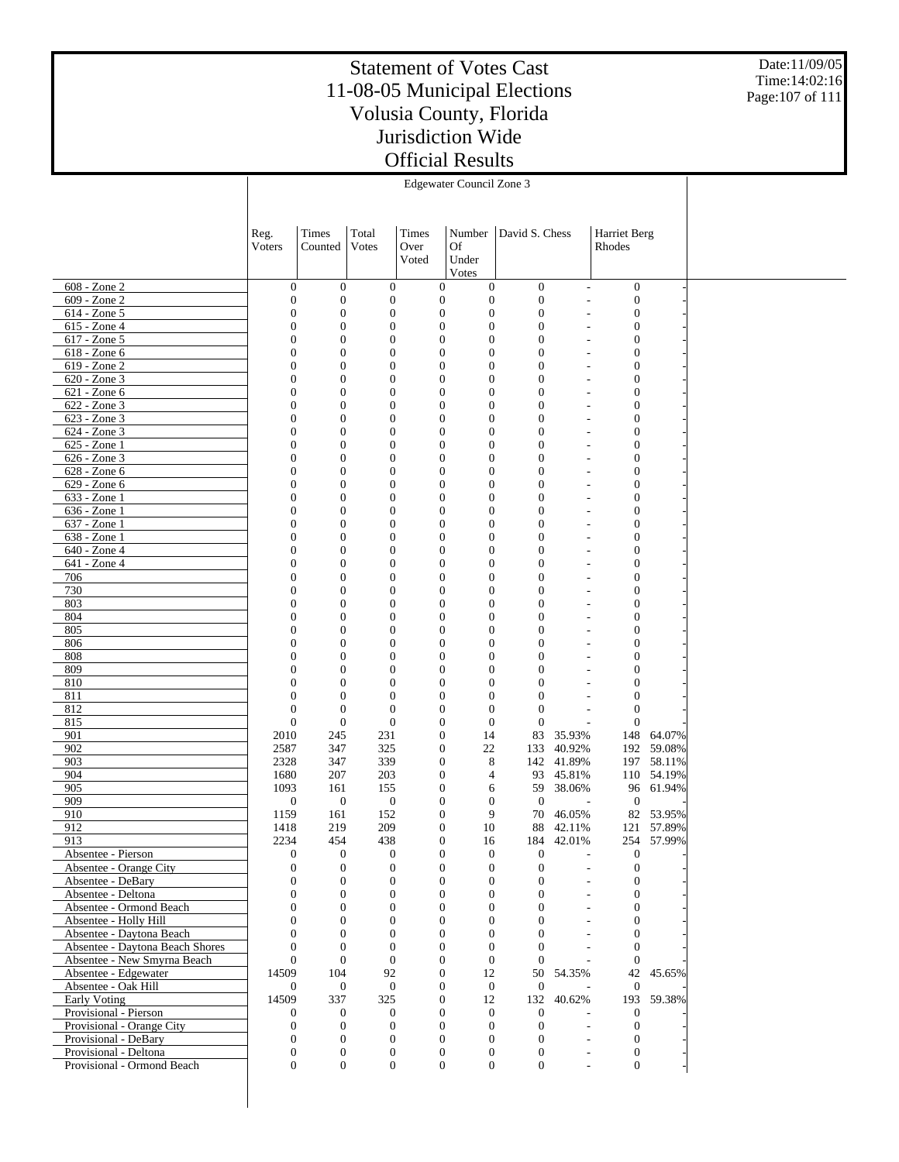Date:11/09/05 Time:14:02:16 Page:107 of 111

# Statement of Votes Cast 11-08-05 Municipal Elections Volusia County, Florida Jurisdiction Wide Official Results

|                                             | Edgewater Council Zone 3         |                                    |                                      |                        |                                                                              |                                      |                          |                                      |                     |  |
|---------------------------------------------|----------------------------------|------------------------------------|--------------------------------------|------------------------|------------------------------------------------------------------------------|--------------------------------------|--------------------------|--------------------------------------|---------------------|--|
|                                             |                                  |                                    |                                      |                        |                                                                              |                                      |                          |                                      |                     |  |
|                                             | Reg.<br>Voters                   | Times<br>Counted                   | Total<br>Votes                       | Times<br>Over<br>Voted | Number<br>Of<br>Under<br>Votes                                               | David S. Chess                       |                          | Harriet Berg<br>Rhodes               |                     |  |
| 608 - Zone 2                                | $\boldsymbol{0}$                 | $\mathbf{0}$                       | $\boldsymbol{0}$                     |                        | $\boldsymbol{0}$<br>$\boldsymbol{0}$                                         | $\boldsymbol{0}$                     | $\overline{\phantom{a}}$ | $\boldsymbol{0}$                     |                     |  |
| 609 - Zone 2                                | $\boldsymbol{0}$                 | $\boldsymbol{0}$                   | $\boldsymbol{0}$                     |                        | $\boldsymbol{0}$<br>$\boldsymbol{0}$                                         | $\boldsymbol{0}$                     | L,                       | $\boldsymbol{0}$                     |                     |  |
| 614 - Zone 5                                | $\mathbf{0}$                     | $\boldsymbol{0}$                   | $\boldsymbol{0}$                     |                        | $\boldsymbol{0}$<br>$\boldsymbol{0}$                                         | $\boldsymbol{0}$                     | ٠                        | $\boldsymbol{0}$                     |                     |  |
| 615 - Zone 4                                | $\mathbf{0}$                     | $\boldsymbol{0}$                   | $\boldsymbol{0}$                     |                        | $\boldsymbol{0}$<br>$\boldsymbol{0}$                                         | $\boldsymbol{0}$                     |                          | $\boldsymbol{0}$                     |                     |  |
| 617 - Zone 5                                | $\mathbf{0}$                     | $\overline{0}$                     | $\boldsymbol{0}$                     |                        | $\boldsymbol{0}$<br>$\boldsymbol{0}$                                         | $\boldsymbol{0}$                     | ٠                        | $\boldsymbol{0}$                     |                     |  |
| 618 - Zone 6                                | $\mathbf{0}$                     | $\overline{0}$                     | $\boldsymbol{0}$                     |                        | $\mathbf{0}$<br>$\mathbf{0}$                                                 | $\boldsymbol{0}$                     |                          | $\boldsymbol{0}$                     |                     |  |
| 619 - Zone 2<br>620 - Zone 3                | $\mathbf{0}$<br>$\mathbf{0}$     | $\overline{0}$<br>$\overline{0}$   | $\boldsymbol{0}$<br>$\boldsymbol{0}$ |                        | $\boldsymbol{0}$<br>$\boldsymbol{0}$<br>$\boldsymbol{0}$<br>$\boldsymbol{0}$ | $\boldsymbol{0}$<br>$\boldsymbol{0}$ | ٠                        | $\boldsymbol{0}$<br>$\boldsymbol{0}$ |                     |  |
| 621 - Zone 6                                | $\mathbf{0}$                     | $\overline{0}$                     | $\boldsymbol{0}$                     |                        | $\boldsymbol{0}$<br>$\boldsymbol{0}$                                         | $\boldsymbol{0}$                     | ٠<br>٠                   | $\boldsymbol{0}$                     |                     |  |
| 622 - Zone 3                                | $\mathbf{0}$                     | $\overline{0}$                     | $\boldsymbol{0}$                     |                        | $\mathbf{0}$<br>$\mathbf{0}$                                                 | $\boldsymbol{0}$                     | ٠                        | $\boldsymbol{0}$                     |                     |  |
| 623 - Zone 3                                | $\mathbf{0}$                     | $\overline{0}$                     | $\boldsymbol{0}$                     |                        | $\boldsymbol{0}$<br>$\boldsymbol{0}$                                         | $\boldsymbol{0}$                     | ٠                        | $\boldsymbol{0}$                     |                     |  |
| 624 - Zone 3                                | $\mathbf{0}$                     | $\overline{0}$                     | $\boldsymbol{0}$                     |                        | $\boldsymbol{0}$<br>$\boldsymbol{0}$                                         | $\boldsymbol{0}$                     | L,                       | $\boldsymbol{0}$                     |                     |  |
| 625 - Zone 1                                | $\mathbf{0}$                     | $\overline{0}$                     | $\boldsymbol{0}$                     |                        | $\boldsymbol{0}$<br>$\boldsymbol{0}$                                         | $\boldsymbol{0}$                     | ٠                        | $\boldsymbol{0}$                     |                     |  |
| 626 - Zone 3                                | $\mathbf{0}$                     | $\overline{0}$                     | $\boldsymbol{0}$                     |                        | $\mathbf{0}$<br>$\mathbf{0}$                                                 | $\boldsymbol{0}$                     | L,                       | $\boldsymbol{0}$                     |                     |  |
| 628 - Zone 6<br>629 - Zone 6                | $\mathbf{0}$<br>$\mathbf{0}$     | $\overline{0}$<br>$\overline{0}$   | $\boldsymbol{0}$<br>$\boldsymbol{0}$ |                        | $\boldsymbol{0}$<br>$\boldsymbol{0}$<br>$\boldsymbol{0}$<br>$\boldsymbol{0}$ | $\boldsymbol{0}$<br>$\boldsymbol{0}$ | ٠<br>L,                  | $\boldsymbol{0}$<br>$\boldsymbol{0}$ |                     |  |
| 633 - Zone 1                                | $\mathbf{0}$                     | $\overline{0}$                     | $\boldsymbol{0}$                     |                        | $\boldsymbol{0}$<br>$\boldsymbol{0}$                                         | $\boldsymbol{0}$                     | ٠                        | $\boldsymbol{0}$                     |                     |  |
| 636 - Zone 1                                | $\mathbf{0}$                     | $\overline{0}$                     | $\boldsymbol{0}$                     |                        | $\mathbf{0}$<br>$\mathbf{0}$                                                 | $\boldsymbol{0}$                     | L,                       | $\boldsymbol{0}$                     |                     |  |
| 637 - Zone 1                                | $\mathbf{0}$                     | $\overline{0}$                     | $\boldsymbol{0}$                     |                        | $\boldsymbol{0}$<br>$\boldsymbol{0}$                                         | $\boldsymbol{0}$                     | ٠                        | $\boldsymbol{0}$                     |                     |  |
| 638 - Zone 1                                | $\mathbf{0}$                     | $\overline{0}$                     | $\boldsymbol{0}$                     |                        | $\boldsymbol{0}$<br>$\boldsymbol{0}$                                         | $\boldsymbol{0}$                     | L,                       | $\boldsymbol{0}$                     |                     |  |
| 640 - Zone 4                                | $\mathbf{0}$                     | $\overline{0}$                     | $\boldsymbol{0}$                     |                        | $\boldsymbol{0}$<br>$\boldsymbol{0}$                                         | $\boldsymbol{0}$                     | L,                       | $\boldsymbol{0}$                     |                     |  |
| 641 - Zone 4<br>706                         | $\mathbf{0}$<br>$\mathbf{0}$     | $\overline{0}$<br>$\overline{0}$   | $\boldsymbol{0}$<br>$\boldsymbol{0}$ |                        | $\mathbf{0}$<br>$\mathbf{0}$<br>$\boldsymbol{0}$<br>$\boldsymbol{0}$         | $\boldsymbol{0}$<br>$\boldsymbol{0}$ | L,<br>L,                 | $\boldsymbol{0}$<br>$\boldsymbol{0}$ |                     |  |
| 730                                         | $\mathbf{0}$                     | $\overline{0}$                     | $\boldsymbol{0}$                     |                        | $\boldsymbol{0}$<br>$\mathbf{0}$                                             | $\boldsymbol{0}$                     | L,                       | $\boldsymbol{0}$                     |                     |  |
| 803                                         | $\mathbf{0}$                     | $\overline{0}$                     | $\boldsymbol{0}$                     |                        | $\boldsymbol{0}$<br>$\boldsymbol{0}$                                         | $\boldsymbol{0}$                     | L,                       | $\boldsymbol{0}$                     |                     |  |
| 804                                         | $\mathbf{0}$                     | $\overline{0}$                     | $\boldsymbol{0}$                     |                        | $\mathbf{0}$<br>$\mathbf{0}$                                                 | $\boldsymbol{0}$                     | L,                       | $\boldsymbol{0}$                     |                     |  |
| 805                                         | $\mathbf{0}$                     | $\overline{0}$                     | $\boldsymbol{0}$                     |                        | $\boldsymbol{0}$<br>$\boldsymbol{0}$                                         | $\boldsymbol{0}$                     | L,                       | $\boldsymbol{0}$                     |                     |  |
| 806                                         | $\mathbf{0}$                     | $\overline{0}$                     | $\boldsymbol{0}$                     |                        | $\boldsymbol{0}$<br>$\mathbf{0}$                                             | $\boldsymbol{0}$                     | ÷                        | $\boldsymbol{0}$                     |                     |  |
| 808                                         | $\mathbf{0}$                     | $\overline{0}$                     | $\boldsymbol{0}$                     |                        | $\boldsymbol{0}$<br>$\boldsymbol{0}$                                         | $\boldsymbol{0}$                     | ٠                        | $\boldsymbol{0}$                     |                     |  |
| 809<br>810                                  | $\mathbf{0}$<br>$\mathbf{0}$     | $\overline{0}$<br>$\overline{0}$   | $\boldsymbol{0}$<br>$\boldsymbol{0}$ |                        | $\mathbf{0}$<br>$\mathbf{0}$<br>$\boldsymbol{0}$<br>$\boldsymbol{0}$         | $\boldsymbol{0}$<br>$\boldsymbol{0}$ | ٠                        | $\boldsymbol{0}$<br>$\boldsymbol{0}$ |                     |  |
| 811                                         | $\mathbf{0}$                     | $\overline{0}$                     | $\mathbf{0}$                         |                        | $\mathbf{0}$<br>$\boldsymbol{0}$                                             | $\boldsymbol{0}$                     |                          | $\boldsymbol{0}$                     |                     |  |
| 812                                         | $\mathbf{0}$                     | $\mathbf{0}$                       | $\mathbf{0}$                         |                        | $\boldsymbol{0}$<br>$\boldsymbol{0}$                                         | $\mathbf{0}$                         |                          | $\boldsymbol{0}$                     |                     |  |
| 815                                         | $\mathbf{0}$                     | $\mathbf{0}$                       | $\boldsymbol{0}$                     |                        | $\boldsymbol{0}$<br>$\boldsymbol{0}$                                         | $\mathbf{0}$                         |                          | $\boldsymbol{0}$                     |                     |  |
| 901                                         | 2010                             | 245                                | 231                                  |                        | $\boldsymbol{0}$<br>14                                                       | 83                                   | 35.93%                   | 148                                  | 64.07%              |  |
| 902                                         | 2587                             | 347                                | 325                                  |                        | $\boldsymbol{0}$<br>22                                                       | 133                                  | 40.92%                   | 192                                  | 59.08%              |  |
| 903                                         | 2328                             | 347                                | 339                                  |                        | $\boldsymbol{0}$<br>8                                                        | 142                                  | 41.89%                   |                                      | 197 58.11%          |  |
| 904<br>905                                  | 1680<br>1093                     | 207<br>161                         | 203<br>155                           |                        | $\boldsymbol{0}$<br>4<br>$\boldsymbol{0}$<br>6                               | 93<br>59                             | 45.81%<br>38.06%         | 110                                  | 54.19%<br>96 61.94% |  |
| 909                                         | $\boldsymbol{0}$                 | $\mathbf{0}$                       | $\mathbf{0}$                         |                        | $\boldsymbol{0}$<br>$\boldsymbol{0}$                                         | $\mathbf{0}$                         |                          | $\mathbf{0}$                         |                     |  |
| 910                                         | 1159                             | 161                                | 152                                  |                        | $\mathbf{0}$<br>9                                                            | 70                                   | 46.05%                   | 82                                   | 53.95%              |  |
| 912                                         | 1418                             | 219                                | 209                                  |                        | $\boldsymbol{0}$<br>10                                                       | 88                                   | 42.11%                   |                                      | 121 57.89%          |  |
| 913                                         | 2234                             | 454                                | 438                                  |                        | 0<br>16                                                                      | 184                                  | 42.01%                   |                                      | 254 57.99%          |  |
| Absentee - Pierson                          | $\mathbf{0}$                     | $\mathbf{0}$                       | $\boldsymbol{0}$                     |                        | $\boldsymbol{0}$<br>$\mathbf{0}$                                             | $\boldsymbol{0}$                     |                          | $\boldsymbol{0}$                     |                     |  |
| Absentee - Orange City<br>Absentee - DeBary | $\overline{0}$<br>$\overline{0}$ | $\boldsymbol{0}$<br>$\overline{0}$ | $\boldsymbol{0}$                     |                        | $\mathbf{0}$<br>$\boldsymbol{0}$<br>$\mathbf{0}$                             | $\mathbf{0}$                         |                          | $\mathbf{0}$                         |                     |  |
| Absentee - Deltona                          | $\theta$                         | $\overline{0}$                     | $\boldsymbol{0}$<br>$\boldsymbol{0}$ |                        | $\boldsymbol{0}$<br>$\mathbf{0}$<br>$\boldsymbol{0}$                         | $\boldsymbol{0}$<br>$\theta$         |                          | $\boldsymbol{0}$<br>$\boldsymbol{0}$ |                     |  |
| Absentee - Ormond Beach                     | $\overline{0}$                   | $\overline{0}$                     | $\boldsymbol{0}$                     |                        | $\boldsymbol{0}$<br>$\mathbf{0}$                                             | $\theta$                             |                          | $\boldsymbol{0}$                     |                     |  |
| Absentee - Holly Hill                       | $\theta$                         | $\overline{0}$                     | $\boldsymbol{0}$                     |                        | $\overline{0}$<br>$\mathbf{0}$                                               | $\theta$                             |                          | $\mathbf{0}$                         |                     |  |
| Absentee - Daytona Beach                    | $\overline{0}$                   | $\overline{0}$                     | $\boldsymbol{0}$                     |                        | $\boldsymbol{0}$<br>$\mathbf{0}$                                             | $\theta$                             |                          | $\mathbf{0}$                         |                     |  |
| Absentee - Daytona Beach Shores             | $\overline{0}$                   | $\overline{0}$                     | $\boldsymbol{0}$                     |                        | $\mathbf{0}$<br>$\boldsymbol{0}$                                             | $\theta$                             |                          | $\mathbf{0}$                         |                     |  |
| Absentee - New Smyrna Beach                 | $\overline{0}$                   | $\mathbf{0}$                       | $\boldsymbol{0}$                     |                        | $\boldsymbol{0}$<br>$\mathbf{0}$                                             | $\theta$                             |                          | $\boldsymbol{0}$                     |                     |  |
| Absentee - Edgewater                        | 14509                            | 104                                | 92                                   |                        | $\mathbf{0}$<br>12                                                           |                                      | 50 54.35%                |                                      | 42 45.65%           |  |
| Absentee - Oak Hill<br>Early Voting         | $\theta$<br>14509                | $\boldsymbol{0}$<br>337            | $\mathbf{0}$<br>325                  |                        | $\mathbf{0}$<br>$\mathbf{0}$<br>$\mathbf{0}$<br>12                           | $\mathbf{0}$<br>132                  | 40.62%                   | $\mathbf{0}$                         | 193 59.38%          |  |
| Provisional - Pierson                       | $\theta$                         | $\boldsymbol{0}$                   | $\boldsymbol{0}$                     |                        | $\mathbf{0}$<br>$\mathbf{0}$                                                 | $\mathbf{0}$                         |                          | $\mathbf{0}$                         |                     |  |
| Provisional - Orange City                   | $\overline{0}$                   | $\boldsymbol{0}$                   | $\boldsymbol{0}$                     |                        | $\overline{0}$<br>$\mathbf{0}$                                               | $\mathbf{0}$                         |                          | $\mathbf{0}$                         |                     |  |
| Provisional - DeBary                        | $\overline{0}$                   | $\overline{0}$                     | $\boldsymbol{0}$                     |                        | $\mathbf{0}$<br>$\mathbf{0}$                                                 | $\mathbf{0}$                         |                          | $\boldsymbol{0}$                     |                     |  |
| Provisional - Deltona                       | $\overline{0}$                   | $\mathbf{0}$                       | $\boldsymbol{0}$                     |                        | $\mathbf{0}$<br>$\boldsymbol{0}$                                             | $\mathbf{0}$                         |                          | $\mathbf{0}$                         |                     |  |
| Provisional - Ormond Beach                  | $\boldsymbol{0}$                 | $\mathbf{0}$                       | $\boldsymbol{0}$                     |                        | $\boldsymbol{0}$<br>$\overline{0}$                                           | $\mathbf{0}$                         | L.                       | $\boldsymbol{0}$                     |                     |  |
|                                             |                                  |                                    |                                      |                        |                                                                              |                                      |                          |                                      |                     |  |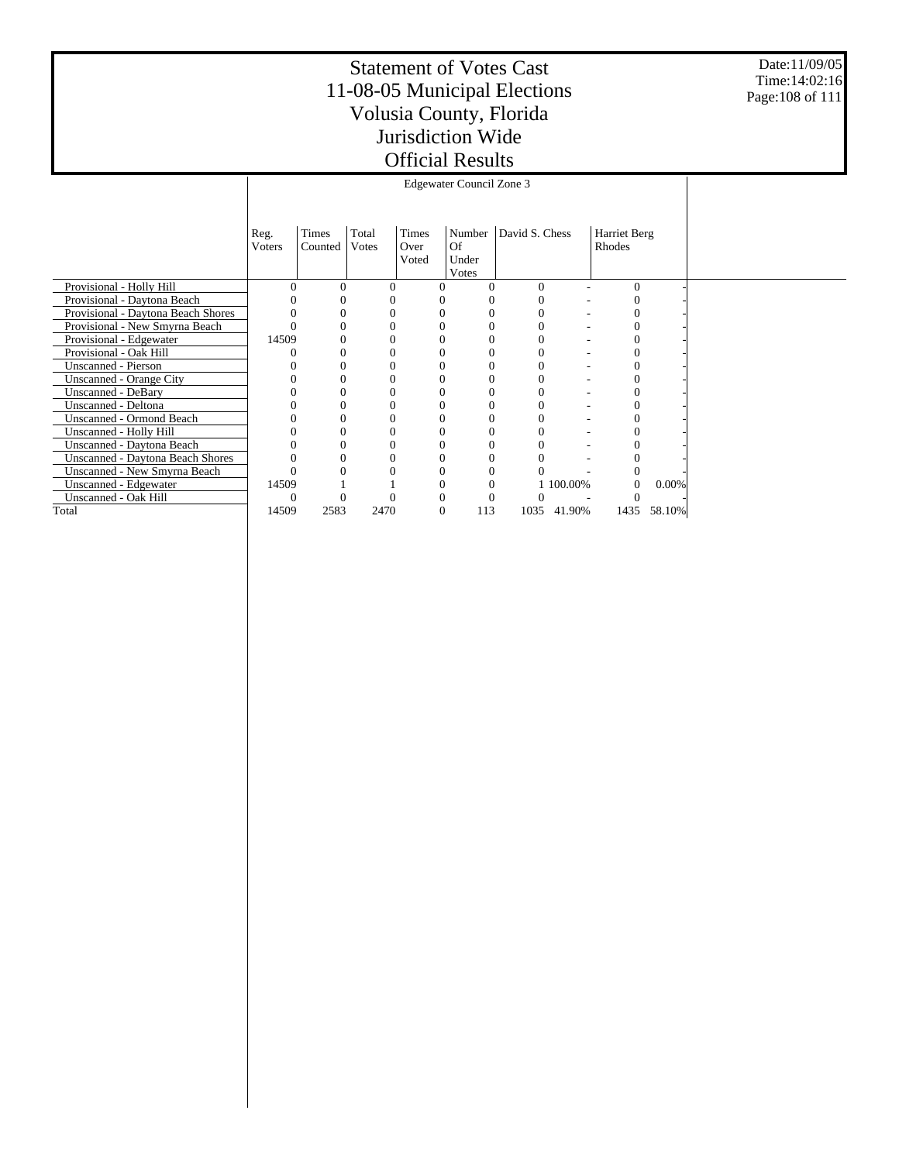Date:11/09/05 Time:14:02:16 Page:108 of 111

 $\overline{\phantom{a}}$ 

## Statement of Votes Cast 11-08-05 Municipal Elections Volusia County, Florida Jurisdiction Wide Official Results Edgewater Council Zone 3

|                                    | Reg.<br><b>V</b> oters | Times<br>Counted | Total<br>Votes | Times<br>Over<br>Voted | Number<br>Of<br>Under<br>Votes | David S. Chess |           | Harriet Berg<br>Rhodes |        |
|------------------------------------|------------------------|------------------|----------------|------------------------|--------------------------------|----------------|-----------|------------------------|--------|
| Provisional - Holly Hill           | $\Omega$               | $\Omega$         |                | $\Omega$               | $\Omega$                       | $\Omega$       |           | $\Omega$               |        |
| Provisional - Daytona Beach        |                        |                  |                |                        |                                |                |           |                        |        |
| Provisional - Daytona Beach Shores |                        |                  |                |                        | 0                              |                |           |                        |        |
| Provisional - New Smyrna Beach     |                        |                  |                |                        |                                |                |           |                        |        |
| Provisional - Edgewater            | 14509                  |                  |                |                        | 0                              |                |           |                        |        |
| Provisional - Oak Hill             |                        |                  |                |                        | 0                              |                |           |                        |        |
| Unscanned - Pierson                |                        |                  |                |                        | 0<br>$\Omega$                  |                |           |                        |        |
| Unscanned - Orange City            |                        |                  |                |                        | 0                              |                |           | 0                      |        |
| Unscanned - DeBary                 |                        |                  |                |                        | 0<br>$\Omega$                  |                |           |                        |        |
| Unscanned - Deltona                |                        |                  |                |                        | 0                              |                |           |                        |        |
| Unscanned - Ormond Beach           |                        |                  |                |                        | 0<br>0                         |                |           |                        |        |
| Unscanned - Holly Hill             |                        |                  |                |                        | 0                              |                |           |                        |        |
| Unscanned - Daytona Beach          |                        |                  |                |                        | $\Omega$                       |                |           |                        |        |
| Unscanned - Daytona Beach Shores   |                        |                  |                |                        | 0                              |                |           |                        |        |
| Unscanned - New Smyrna Beach       |                        |                  |                |                        |                                |                |           |                        |        |
| Unscanned - Edgewater              | 14509                  |                  |                |                        | 0                              |                | 1 100.00% | $\mathbf{0}$           | 0.00%  |
| Unscanned - Oak Hill               | $\theta$               |                  |                |                        | 0                              |                |           |                        |        |
| Total                              | 14509                  | 2583             | 2470           |                        | 113<br>$\overline{0}$          | 1035           | 41.90%    | 1435                   | 58.10% |
|                                    |                        |                  |                |                        |                                |                |           |                        |        |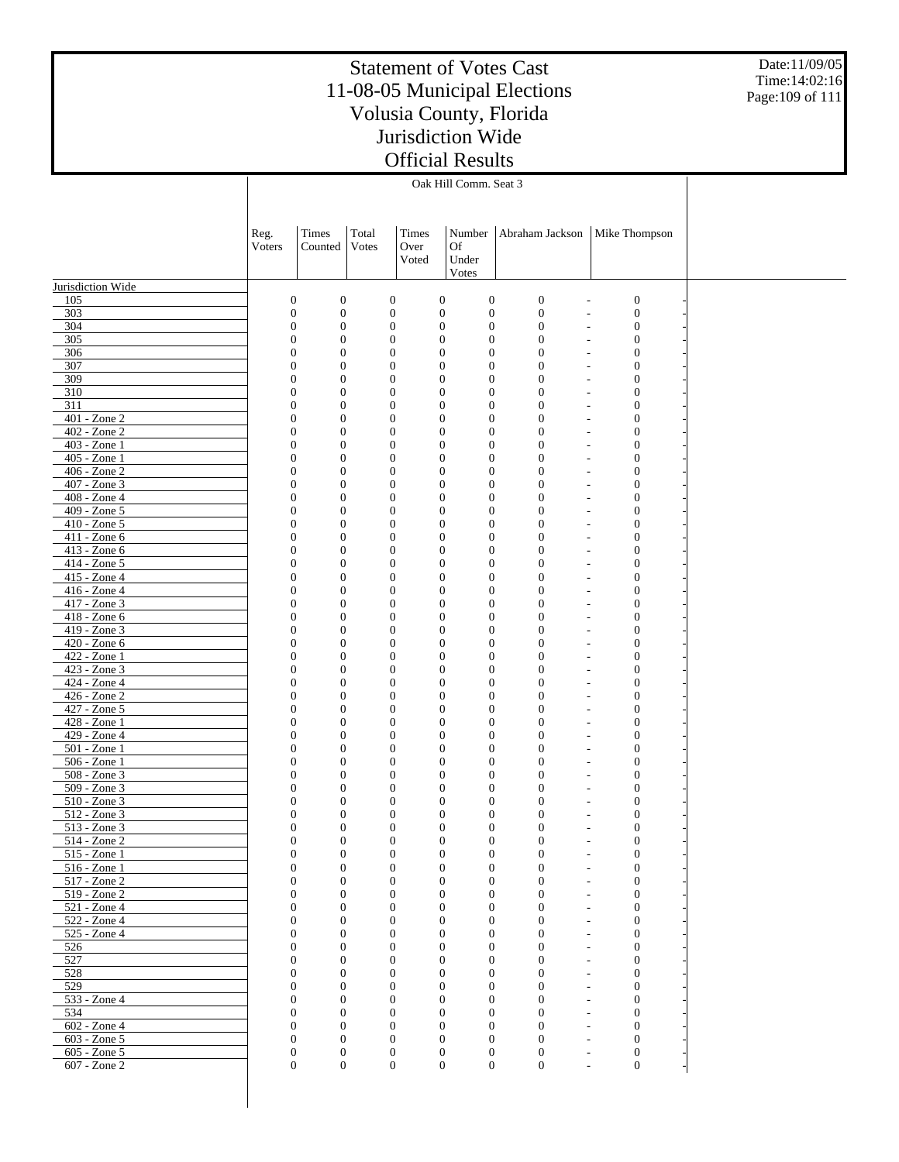Date:11/09/05 Time:14:02:16 Page:109 of 111

## Statement of Votes Cast 11-08-05 Municipal Elections Volusia County, Florida Jurisdiction Wide Official Results Oak Hill Comm. Seat 3

|                                   | Reg.                                 | Times                                | Total        | Times                                |                                                                              | Number   Abraham Jackson             | Mike Thompson                          |  |
|-----------------------------------|--------------------------------------|--------------------------------------|--------------|--------------------------------------|------------------------------------------------------------------------------|--------------------------------------|----------------------------------------|--|
|                                   | Voters                               | Counted                              | <b>Votes</b> | Over                                 | Of                                                                           |                                      |                                        |  |
|                                   |                                      |                                      |              | Voted                                | Under                                                                        |                                      |                                        |  |
| Jurisdiction Wide                 |                                      |                                      |              |                                      | Votes                                                                        |                                      |                                        |  |
| 105                               | $\boldsymbol{0}$                     | $\boldsymbol{0}$                     |              | $\boldsymbol{0}$                     | $\boldsymbol{0}$<br>$\boldsymbol{0}$                                         | $\boldsymbol{0}$                     | $\boldsymbol{0}$<br>÷,                 |  |
| 303                               | $\mathbf{0}$                         | $\boldsymbol{0}$                     |              | $\boldsymbol{0}$                     | $\boldsymbol{0}$<br>$\boldsymbol{0}$                                         | $\boldsymbol{0}$                     | $\boldsymbol{0}$                       |  |
| 304                               | $\boldsymbol{0}$                     | $\boldsymbol{0}$                     |              | $\mathbf{0}$                         | $\boldsymbol{0}$<br>$\boldsymbol{0}$                                         | $\boldsymbol{0}$                     | $\mathbf{0}$<br>٠                      |  |
| 305                               | $\boldsymbol{0}$                     | $\boldsymbol{0}$<br>$\overline{0}$   |              | $\mathbf{0}$                         | $\boldsymbol{0}$<br>$\boldsymbol{0}$                                         | $\boldsymbol{0}$                     | $\boldsymbol{0}$                       |  |
| 306<br>307                        | $\boldsymbol{0}$<br>$\boldsymbol{0}$ | $\boldsymbol{0}$                     |              | $\boldsymbol{0}$<br>$\boldsymbol{0}$ | $\boldsymbol{0}$<br>$\boldsymbol{0}$<br>$\boldsymbol{0}$<br>$\boldsymbol{0}$ | $\boldsymbol{0}$<br>$\boldsymbol{0}$ | $\mathbf{0}$<br>٠<br>$\boldsymbol{0}$  |  |
| 309                               | $\boldsymbol{0}$                     | $\overline{0}$                       |              | $\boldsymbol{0}$                     | $\boldsymbol{0}$<br>$\boldsymbol{0}$                                         | $\boldsymbol{0}$                     | $\mathbf{0}$<br>٠                      |  |
| 310                               | $\boldsymbol{0}$                     | $\boldsymbol{0}$                     |              | $\boldsymbol{0}$                     | $\boldsymbol{0}$<br>$\boldsymbol{0}$                                         | $\boldsymbol{0}$                     | $\boldsymbol{0}$                       |  |
| 311                               | $\boldsymbol{0}$                     | $\boldsymbol{0}$                     |              | $\boldsymbol{0}$                     | $\boldsymbol{0}$<br>$\boldsymbol{0}$                                         | $\boldsymbol{0}$                     | $\mathbf{0}$<br>٠                      |  |
| $401 - Z$ one $2$<br>402 - Zone 2 | $\boldsymbol{0}$<br>$\boldsymbol{0}$ | $\boldsymbol{0}$<br>$\boldsymbol{0}$ |              | $\boldsymbol{0}$<br>$\boldsymbol{0}$ | $\boldsymbol{0}$<br>$\boldsymbol{0}$<br>$\boldsymbol{0}$<br>$\boldsymbol{0}$ | $\boldsymbol{0}$<br>$\boldsymbol{0}$ | $\boldsymbol{0}$<br>٠<br>$\mathbf{0}$  |  |
| 403 - Zone 1                      | $\boldsymbol{0}$                     | $\boldsymbol{0}$                     |              | $\boldsymbol{0}$                     | $\boldsymbol{0}$<br>$\boldsymbol{0}$                                         | $\boldsymbol{0}$                     | ÷,<br>$\boldsymbol{0}$                 |  |
| 405 - Zone 1                      | $\boldsymbol{0}$                     | $\boldsymbol{0}$                     |              | $\boldsymbol{0}$                     | $\boldsymbol{0}$<br>$\boldsymbol{0}$                                         | $\boldsymbol{0}$                     | $\mathbf{0}$<br>$\overline{a}$         |  |
| 406 - Zone 2                      | $\boldsymbol{0}$                     | $\boldsymbol{0}$                     |              | $\boldsymbol{0}$                     | $\boldsymbol{0}$<br>$\boldsymbol{0}$                                         | $\boldsymbol{0}$                     | $\boldsymbol{0}$                       |  |
| 407 - Zone 3                      | $\boldsymbol{0}$                     | $\boldsymbol{0}$                     |              | $\boldsymbol{0}$                     | $\boldsymbol{0}$<br>$\boldsymbol{0}$                                         | $\boldsymbol{0}$                     | $\mathbf{0}$<br>÷,                     |  |
| 408 - Zone 4                      | $\boldsymbol{0}$                     | $\boldsymbol{0}$                     |              | $\boldsymbol{0}$                     | $\boldsymbol{0}$<br>$\boldsymbol{0}$                                         | $\boldsymbol{0}$                     | $\boldsymbol{0}$                       |  |
| 409 - Zone 5<br>410 - Zone 5      | $\boldsymbol{0}$<br>$\boldsymbol{0}$ | $\boldsymbol{0}$<br>$\boldsymbol{0}$ |              | $\boldsymbol{0}$<br>$\boldsymbol{0}$ | $\boldsymbol{0}$<br>$\boldsymbol{0}$<br>$\boldsymbol{0}$<br>$\boldsymbol{0}$ | $\boldsymbol{0}$<br>$\boldsymbol{0}$ | $\mathbf{0}$<br>٠<br>$\boldsymbol{0}$  |  |
| 411 - Zone 6                      | $\boldsymbol{0}$                     | $\boldsymbol{0}$                     |              | $\boldsymbol{0}$                     | $\boldsymbol{0}$<br>$\boldsymbol{0}$                                         | $\boldsymbol{0}$                     | $\mathbf{0}$<br>٠                      |  |
| 413 - Zone 6                      | $\boldsymbol{0}$                     | $\boldsymbol{0}$                     |              | $\boldsymbol{0}$                     | $\boldsymbol{0}$<br>$\boldsymbol{0}$                                         | $\boldsymbol{0}$                     | $\boldsymbol{0}$                       |  |
| 414 - Zone 5                      | $\boldsymbol{0}$                     | $\boldsymbol{0}$                     |              | $\boldsymbol{0}$                     | $\boldsymbol{0}$<br>$\boldsymbol{0}$                                         | $\boldsymbol{0}$                     | $\mathbf{0}$<br>÷,                     |  |
| 415 - Zone 4                      | $\boldsymbol{0}$                     | $\boldsymbol{0}$                     |              | $\boldsymbol{0}$                     | $\boldsymbol{0}$<br>$\boldsymbol{0}$                                         | $\boldsymbol{0}$                     | $\boldsymbol{0}$                       |  |
| 416 - Zone 4<br>$417 - Zone$ 3    | $\boldsymbol{0}$<br>$\boldsymbol{0}$ | $\boldsymbol{0}$<br>$\boldsymbol{0}$ |              | $\boldsymbol{0}$<br>$\boldsymbol{0}$ | $\boldsymbol{0}$<br>$\boldsymbol{0}$<br>$\boldsymbol{0}$<br>$\boldsymbol{0}$ | $\boldsymbol{0}$<br>$\boldsymbol{0}$ | $\mathbf{0}$<br>٠<br>$\boldsymbol{0}$  |  |
| 418 - Zone 6                      | $\boldsymbol{0}$                     | $\boldsymbol{0}$                     |              | $\boldsymbol{0}$                     | $\boldsymbol{0}$<br>$\boldsymbol{0}$                                         | $\boldsymbol{0}$                     | $\mathbf{0}$<br>÷,                     |  |
| 419 - Zone 3                      | $\boldsymbol{0}$                     | $\boldsymbol{0}$                     |              | $\boldsymbol{0}$                     | $\boldsymbol{0}$<br>$\boldsymbol{0}$                                         | $\boldsymbol{0}$                     | $\boldsymbol{0}$                       |  |
| 420 - Zone 6                      | $\boldsymbol{0}$                     | $\boldsymbol{0}$                     |              | $\boldsymbol{0}$                     | $\boldsymbol{0}$<br>$\boldsymbol{0}$                                         | $\boldsymbol{0}$                     | $\mathbf{0}$<br>٠                      |  |
| 422 - Zone 1                      | $\boldsymbol{0}$                     | $\boldsymbol{0}$                     |              | $\boldsymbol{0}$                     | $\boldsymbol{0}$<br>$\boldsymbol{0}$                                         | $\boldsymbol{0}$                     | $\boldsymbol{0}$                       |  |
| 423 - Zone 3<br>424 - Zone 4      | $\boldsymbol{0}$<br>$\boldsymbol{0}$ | $\boldsymbol{0}$<br>$\boldsymbol{0}$ |              | $\boldsymbol{0}$<br>$\boldsymbol{0}$ | $\boldsymbol{0}$<br>$\boldsymbol{0}$<br>$\boldsymbol{0}$<br>$\boldsymbol{0}$ | $\boldsymbol{0}$<br>$\boldsymbol{0}$ | $\mathbf{0}$<br>٠<br>$\boldsymbol{0}$  |  |
| 426 - Zone 2                      | $\boldsymbol{0}$                     | $\overline{0}$                       |              | $\boldsymbol{0}$                     | $\boldsymbol{0}$<br>$\boldsymbol{0}$                                         | $\boldsymbol{0}$                     | $\mathbf{0}$<br>÷,                     |  |
| 427 - Zone 5                      | $\boldsymbol{0}$                     | $\boldsymbol{0}$                     |              | $\boldsymbol{0}$                     | $\boldsymbol{0}$<br>$\boldsymbol{0}$                                         | $\boldsymbol{0}$                     | $\boldsymbol{0}$                       |  |
| 428 - Zone 1                      | $\boldsymbol{0}$                     | $\boldsymbol{0}$                     |              | $\boldsymbol{0}$                     | $\boldsymbol{0}$<br>$\boldsymbol{0}$                                         | $\boldsymbol{0}$                     | $\mathbf{0}$<br>$\overline{a}$         |  |
| 429 - Zone 4                      | $\boldsymbol{0}$                     | $\boldsymbol{0}$                     |              | $\boldsymbol{0}$                     | $\boldsymbol{0}$<br>$\boldsymbol{0}$                                         | $\boldsymbol{0}$                     | $\boldsymbol{0}$                       |  |
| 501 - Zone 1<br>506 - Zone 1      | $\boldsymbol{0}$<br>$\boldsymbol{0}$ | $\overline{0}$<br>$\boldsymbol{0}$   |              | $\boldsymbol{0}$<br>$\boldsymbol{0}$ | $\boldsymbol{0}$<br>$\boldsymbol{0}$<br>$\boldsymbol{0}$<br>$\boldsymbol{0}$ | $\boldsymbol{0}$<br>$\boldsymbol{0}$ | $\mathbf{0}$<br>÷,<br>$\boldsymbol{0}$ |  |
| $508 - Z$ one 3                   | $\boldsymbol{0}$                     | $\boldsymbol{0}$                     |              | $\boldsymbol{0}$                     | $\boldsymbol{0}$<br>$\boldsymbol{0}$                                         | $\boldsymbol{0}$                     | $\mathbf{0}$<br>٠                      |  |
| $509 - Zone$ 3                    | $\boldsymbol{0}$                     | $\boldsymbol{0}$                     |              | $\boldsymbol{0}$                     | $\boldsymbol{0}$<br>$\boldsymbol{0}$                                         | $\boldsymbol{0}$                     | $\boldsymbol{0}$                       |  |
| 510 - Zone 3                      | $\boldsymbol{0}$                     | $\overline{0}$                       |              | $\boldsymbol{0}$                     | $\boldsymbol{0}$<br>$\boldsymbol{0}$                                         | $\mathbf{0}$                         | $\mathbf{0}$                           |  |
| 512 - Zone 3                      | $\boldsymbol{0}$                     | 0                                    |              | $\boldsymbol{0}$                     | $\boldsymbol{0}$<br>$\boldsymbol{0}$                                         | $\boldsymbol{0}$                     | $\boldsymbol{0}$                       |  |
| 513 - Zone 3<br>514 - Zone 2      | $\boldsymbol{0}$<br>$\boldsymbol{0}$ | $\overline{0}$<br>$\boldsymbol{0}$   |              | $\boldsymbol{0}$<br>$\boldsymbol{0}$ | $\boldsymbol{0}$<br>$\boldsymbol{0}$<br>$\boldsymbol{0}$<br>$\boldsymbol{0}$ | $\boldsymbol{0}$<br>$\overline{0}$   | $\mathbf{0}$<br>$\mathbf{0}$           |  |
| 515 - Zone 1                      | $\Omega$                             | $\Omega$                             |              | $\Omega$                             | $\Omega$<br>$\Omega$                                                         | $\Omega$                             | $\Omega$                               |  |
| 516 - Zone 1                      | $\boldsymbol{0}$                     | $\mathbf{0}$                         |              | $\boldsymbol{0}$                     | $\boldsymbol{0}$<br>$\boldsymbol{0}$                                         | $\mathbf{0}$                         | $\mathbf{0}$                           |  |
| 517 - Zone 2                      | $\mathbf{0}$                         | $\boldsymbol{0}$                     |              | $\boldsymbol{0}$                     | $\boldsymbol{0}$<br>$\boldsymbol{0}$                                         | $\mathbf{0}$                         | $\boldsymbol{0}$<br>٠                  |  |
| 519 - Zone 2                      | $\boldsymbol{0}$                     | $\boldsymbol{0}$                     |              | $\boldsymbol{0}$                     | $\boldsymbol{0}$<br>$\boldsymbol{0}$                                         | $\boldsymbol{0}$                     | $\boldsymbol{0}$                       |  |
| 521 - Zone 4<br>522 - Zone 4      | $\Omega$<br>$\mathbf{0}$             | $\mathbf{0}$<br>$\boldsymbol{0}$     |              | $\mathbf{0}$<br>$\boldsymbol{0}$     | $\mathbf{0}$<br>$\mathbf{0}$<br>$\boldsymbol{0}$<br>$\mathbf{0}$             | $\mathbf{0}$<br>$\mathbf{0}$         | $\mathbf{0}$<br>٠<br>$\mathbf{0}$      |  |
| 525 - Zone 4                      | $\Omega$                             | $\overline{0}$                       |              | $\mathbf{0}$                         | $\mathbf{0}$<br>$\mathbf{0}$                                                 | $\mathbf{0}$                         | $\overline{0}$<br>٠                    |  |
| 526                               | $\mathbf{0}$                         | $\mathbf{0}$                         |              | $\mathbf{0}$                         | $\mathbf{0}$<br>$\mathbf{0}$                                                 | $\overline{0}$                       | $\mathbf{0}$<br>٠                      |  |
| 527                               | $\Omega$                             | $\Omega$                             |              | $\mathbf{0}$                         | $\mathbf{0}$<br>$\mathbf{0}$                                                 | $\Omega$                             | $\theta$<br>٠                          |  |
| 528                               | $\mathbf{0}$                         | $\boldsymbol{0}$                     |              | $\boldsymbol{0}$                     | $\mathbf{0}$<br>$\mathbf{0}$                                                 | $\overline{0}$                       | $\mathbf{0}$                           |  |
| 529<br>533 - Zone 4               | $\Omega$<br>$\mathbf{0}$             | $\overline{0}$<br>$\mathbf{0}$       |              | $\mathbf{0}$<br>$\mathbf{0}$         | $\mathbf{0}$<br>$\mathbf{0}$<br>$\mathbf{0}$<br>$\mathbf{0}$                 | $\Omega$<br>$\overline{0}$           | $\overline{0}$<br>٠<br>$\mathbf{0}$    |  |
| 534                               | $\Omega$                             | $\Omega$                             |              | $\mathbf{0}$                         | $\mathbf{0}$<br>$\mathbf{0}$                                                 | $\Omega$                             | $\mathbf{0}$<br>٠                      |  |
| 602 - Zone 4                      | $\mathbf{0}$                         | $\boldsymbol{0}$                     |              | $\mathbf{0}$                         | $\boldsymbol{0}$<br>$\mathbf{0}$                                             | $\overline{0}$                       | $\boldsymbol{0}$                       |  |
| 603 - Zone 5                      | $\mathbf{0}$                         | $\mathbf{0}$                         |              | $\mathbf{0}$                         | $\mathbf{0}$<br>$\mathbf{0}$                                                 | $\mathbf{0}$                         | $\mathbf{0}$<br>٠                      |  |
| 605 - Zone 5                      | $\boldsymbol{0}$                     | $\boldsymbol{0}$                     |              | $\mathbf{0}$                         | $\boldsymbol{0}$<br>$\mathbf{0}$                                             | $\boldsymbol{0}$                     | $\boldsymbol{0}$<br>٠                  |  |
| 607 - Zone 2                      | $\overline{0}$                       | $\boldsymbol{0}$                     |              | $\boldsymbol{0}$                     | $\boldsymbol{0}$<br>$\overline{0}$                                           | $\boldsymbol{0}$                     | $\boldsymbol{0}$<br>٠                  |  |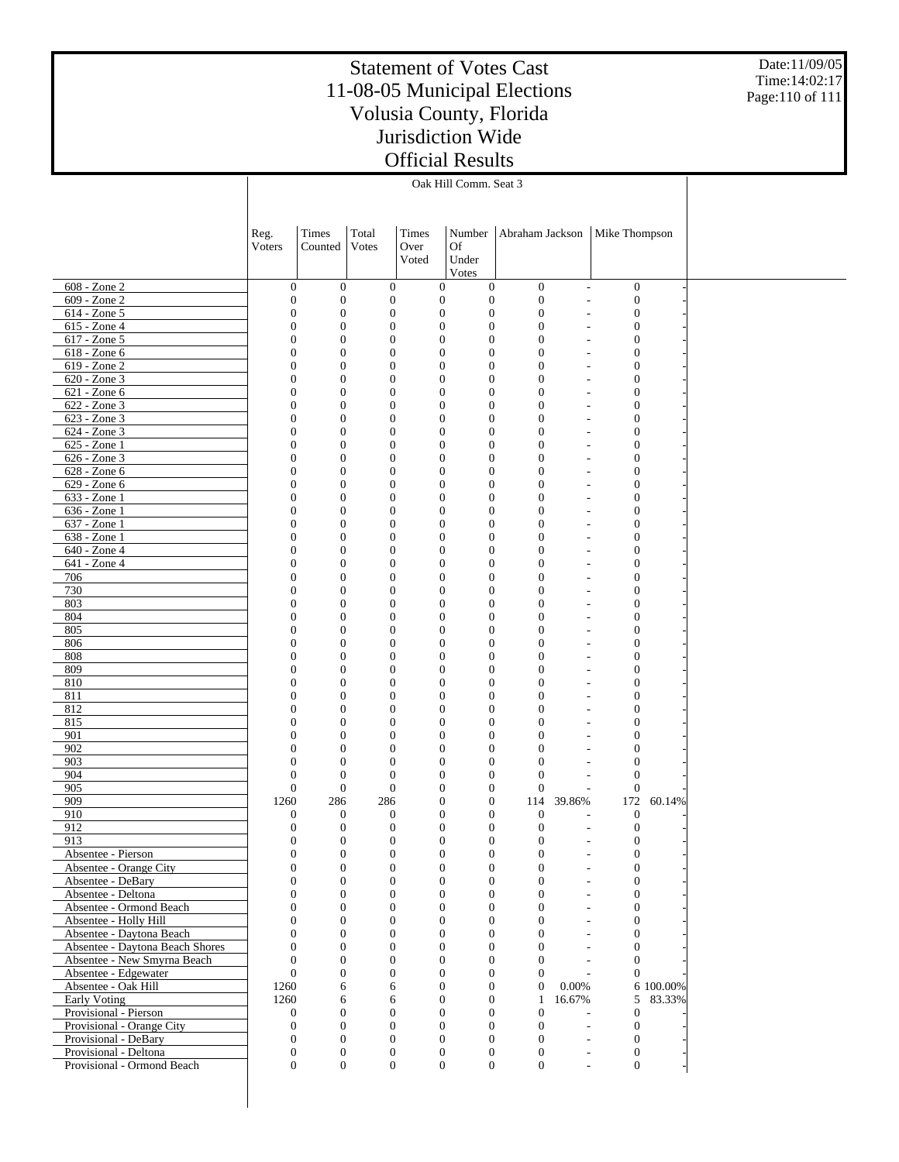Date:11/09/05 Time:14:02:17 Page:110 of 111

## Statement of Votes Cast 11-08-05 Municipal Elections Volusia County, Florida Jurisdiction Wide Official Results Oak Hill Comm. Seat 3

 $\overline{\phantom{a}}$ 

|                                             |                                      | Times                                | Total                                | Times | Number                               | Abraham Jackson                                                              |                          | Mike Thompson                        |           |  |
|---------------------------------------------|--------------------------------------|--------------------------------------|--------------------------------------|-------|--------------------------------------|------------------------------------------------------------------------------|--------------------------|--------------------------------------|-----------|--|
|                                             | Reg.<br>Voters                       | Counted                              | <b>Votes</b>                         | Over  | <b>Of</b>                            |                                                                              |                          |                                      |           |  |
|                                             |                                      |                                      |                                      | Voted | Under                                |                                                                              |                          |                                      |           |  |
| 608 - Zone 2                                | $\boldsymbol{0}$                     | $\boldsymbol{0}$                     | $\boldsymbol{0}$                     |       | Votes<br>$\boldsymbol{0}$            | $\boldsymbol{0}$<br>$\boldsymbol{0}$                                         | $\overline{\phantom{a}}$ | $\boldsymbol{0}$                     |           |  |
| 609 - Zone 2                                | $\boldsymbol{0}$                     | $\boldsymbol{0}$                     | $\boldsymbol{0}$                     |       | $\boldsymbol{0}$                     | $\boldsymbol{0}$<br>$\boldsymbol{0}$                                         | ÷,                       | $\boldsymbol{0}$                     |           |  |
| 614 - Zone 5                                | $\boldsymbol{0}$                     | $\boldsymbol{0}$                     | $\boldsymbol{0}$                     |       | $\boldsymbol{0}$                     | $\boldsymbol{0}$<br>$\boldsymbol{0}$                                         |                          | $\boldsymbol{0}$                     |           |  |
| 615 - Zone 4                                | $\boldsymbol{0}$                     | $\mathbf{0}$                         | $\boldsymbol{0}$                     |       | $\boldsymbol{0}$                     | $\boldsymbol{0}$<br>$\boldsymbol{0}$                                         | ٠                        | $\boldsymbol{0}$                     |           |  |
| 617 - Zone 5<br>618 - Zone 6                | $\boldsymbol{0}$<br>$\boldsymbol{0}$ | $\boldsymbol{0}$<br>$\boldsymbol{0}$ | $\boldsymbol{0}$<br>$\boldsymbol{0}$ |       | $\boldsymbol{0}$<br>$\boldsymbol{0}$ | $\boldsymbol{0}$<br>$\boldsymbol{0}$<br>$\boldsymbol{0}$<br>$\boldsymbol{0}$ | ٠                        | $\boldsymbol{0}$<br>$\boldsymbol{0}$ |           |  |
| 619 - Zone 2                                | $\boldsymbol{0}$                     | $\boldsymbol{0}$                     | $\boldsymbol{0}$                     |       | $\boldsymbol{0}$                     | $\boldsymbol{0}$<br>$\boldsymbol{0}$                                         | ٠<br>۰                   | $\boldsymbol{0}$                     |           |  |
| 620 - Zone 3                                | $\boldsymbol{0}$                     | $\boldsymbol{0}$                     | $\boldsymbol{0}$                     |       | $\boldsymbol{0}$                     | $\boldsymbol{0}$<br>$\boldsymbol{0}$                                         | ٠                        | $\boldsymbol{0}$                     |           |  |
| 621 - Zone 6                                | $\boldsymbol{0}$                     | $\mathbf{0}$                         | $\boldsymbol{0}$                     |       | $\boldsymbol{0}$                     | $\boldsymbol{0}$<br>$\boldsymbol{0}$                                         | ۰                        | $\boldsymbol{0}$                     |           |  |
| 622 - Zone 3                                | $\boldsymbol{0}$                     | $\boldsymbol{0}$                     | $\boldsymbol{0}$                     |       | $\boldsymbol{0}$                     | $\boldsymbol{0}$<br>$\boldsymbol{0}$                                         | ٠                        | $\boldsymbol{0}$                     |           |  |
| 623 - Zone 3                                | $\boldsymbol{0}$                     | $\boldsymbol{0}$                     | $\boldsymbol{0}$                     |       | $\boldsymbol{0}$                     | $\boldsymbol{0}$<br>$\boldsymbol{0}$                                         | ۰                        | $\boldsymbol{0}$                     |           |  |
| 624 - Zone 3<br>625 - Zone 1                | $\boldsymbol{0}$<br>$\boldsymbol{0}$ | $\mathbf{0}$<br>$\boldsymbol{0}$     | $\boldsymbol{0}$<br>$\boldsymbol{0}$ |       | $\boldsymbol{0}$<br>$\boldsymbol{0}$ | $\boldsymbol{0}$<br>$\boldsymbol{0}$<br>$\boldsymbol{0}$<br>$\boldsymbol{0}$ | $\overline{\phantom{0}}$ | $\boldsymbol{0}$                     |           |  |
| 626 - Zone 3                                | $\boldsymbol{0}$                     | $\boldsymbol{0}$                     | $\boldsymbol{0}$                     |       | $\boldsymbol{0}$                     | $\boldsymbol{0}$<br>$\boldsymbol{0}$                                         | ÷,<br>٠                  | $\boldsymbol{0}$<br>$\boldsymbol{0}$ |           |  |
| 628 - Zone 6                                | $\boldsymbol{0}$                     | $\boldsymbol{0}$                     | $\boldsymbol{0}$                     |       | $\boldsymbol{0}$                     | $\boldsymbol{0}$<br>$\boldsymbol{0}$                                         | ۰                        | $\boldsymbol{0}$                     |           |  |
| 629 - Zone 6                                | $\boldsymbol{0}$                     | $\boldsymbol{0}$                     | $\boldsymbol{0}$                     |       | $\boldsymbol{0}$                     | $\boldsymbol{0}$<br>$\boldsymbol{0}$                                         | ٠                        | $\boldsymbol{0}$                     |           |  |
| 633 - Zone 1                                | $\boldsymbol{0}$                     | $\mathbf{0}$                         | $\boldsymbol{0}$                     |       | $\boldsymbol{0}$                     | $\boldsymbol{0}$<br>$\boldsymbol{0}$                                         | ۰                        | $\boldsymbol{0}$                     |           |  |
| 636 - Zone 1                                | $\boldsymbol{0}$                     | $\boldsymbol{0}$                     | $\boldsymbol{0}$                     |       | $\boldsymbol{0}$                     | $\boldsymbol{0}$<br>$\boldsymbol{0}$                                         | ٠                        | $\boldsymbol{0}$                     |           |  |
| 637 - Zone 1                                | $\boldsymbol{0}$                     | $\boldsymbol{0}$                     | $\boldsymbol{0}$                     |       | $\boldsymbol{0}$                     | $\boldsymbol{0}$<br>$\boldsymbol{0}$                                         | ٠                        | $\boldsymbol{0}$                     |           |  |
| 638 - Zone 1                                | $\boldsymbol{0}$                     | $\boldsymbol{0}$                     | $\boldsymbol{0}$                     |       | $\boldsymbol{0}$                     | $\boldsymbol{0}$<br>$\boldsymbol{0}$                                         | ٠                        | $\boldsymbol{0}$                     |           |  |
| 640 - Zone 4<br>641 - Zone 4                | $\boldsymbol{0}$<br>$\boldsymbol{0}$ | $\boldsymbol{0}$<br>$\boldsymbol{0}$ | $\boldsymbol{0}$<br>$\boldsymbol{0}$ |       | $\boldsymbol{0}$<br>$\boldsymbol{0}$ | $\boldsymbol{0}$<br>$\boldsymbol{0}$<br>$\boldsymbol{0}$<br>$\boldsymbol{0}$ | ۰<br>٠                   | $\boldsymbol{0}$<br>$\boldsymbol{0}$ |           |  |
| 706                                         | $\boldsymbol{0}$                     | $\boldsymbol{0}$                     | $\boldsymbol{0}$                     |       | $\boldsymbol{0}$                     | $\boldsymbol{0}$<br>$\boldsymbol{0}$                                         | ٠                        | $\boldsymbol{0}$                     |           |  |
| 730                                         | $\boldsymbol{0}$                     | $\mathbf{0}$                         | $\boldsymbol{0}$                     |       | $\boldsymbol{0}$                     | $\boldsymbol{0}$<br>$\boldsymbol{0}$                                         | ٠                        | $\boldsymbol{0}$                     |           |  |
| 803                                         | $\boldsymbol{0}$                     | $\boldsymbol{0}$                     | $\boldsymbol{0}$                     |       | $\boldsymbol{0}$                     | $\boldsymbol{0}$<br>$\boldsymbol{0}$                                         | ۰                        | $\boldsymbol{0}$                     |           |  |
| 804                                         | $\boldsymbol{0}$                     | $\boldsymbol{0}$                     | $\boldsymbol{0}$                     |       | $\boldsymbol{0}$                     | $\boldsymbol{0}$<br>$\boldsymbol{0}$                                         | $\overline{\phantom{0}}$ | $\boldsymbol{0}$                     |           |  |
| 805                                         | $\boldsymbol{0}$                     | $\boldsymbol{0}$                     | $\boldsymbol{0}$                     |       | $\boldsymbol{0}$                     | $\boldsymbol{0}$<br>$\boldsymbol{0}$                                         | ٠                        | $\boldsymbol{0}$                     |           |  |
| 806                                         | $\boldsymbol{0}$                     | $\mathbf{0}$                         | $\boldsymbol{0}$                     |       | $\boldsymbol{0}$                     | $\boldsymbol{0}$<br>$\boldsymbol{0}$                                         | ٠                        | $\boldsymbol{0}$                     |           |  |
| 808<br>809                                  | $\boldsymbol{0}$<br>$\boldsymbol{0}$ | $\boldsymbol{0}$<br>$\boldsymbol{0}$ | $\boldsymbol{0}$<br>$\boldsymbol{0}$ |       | $\boldsymbol{0}$<br>$\boldsymbol{0}$ | $\boldsymbol{0}$<br>$\boldsymbol{0}$<br>$\boldsymbol{0}$<br>$\boldsymbol{0}$ | ۰<br>٠                   | $\boldsymbol{0}$<br>$\boldsymbol{0}$ |           |  |
| 810                                         | $\boldsymbol{0}$                     | $\boldsymbol{0}$                     | $\boldsymbol{0}$                     |       | $\boldsymbol{0}$                     | $\boldsymbol{0}$<br>$\boldsymbol{0}$                                         | ٠                        | $\boldsymbol{0}$                     |           |  |
| 811                                         | $\boldsymbol{0}$                     | $\mathbf{0}$                         | $\boldsymbol{0}$                     |       | $\boldsymbol{0}$                     | $\boldsymbol{0}$<br>$\boldsymbol{0}$                                         | ٠                        | $\boldsymbol{0}$                     |           |  |
| 812                                         | $\boldsymbol{0}$                     | $\boldsymbol{0}$                     | $\boldsymbol{0}$                     |       | $\boldsymbol{0}$                     | $\boldsymbol{0}$<br>$\boldsymbol{0}$                                         | ٠                        | $\boldsymbol{0}$                     |           |  |
| 815                                         | $\boldsymbol{0}$                     | $\boldsymbol{0}$                     | $\boldsymbol{0}$                     |       | $\boldsymbol{0}$                     | $\boldsymbol{0}$<br>$\boldsymbol{0}$                                         | ۰                        | $\boldsymbol{0}$                     |           |  |
| 901                                         | $\mathbf{0}$                         | $\boldsymbol{0}$                     | $\boldsymbol{0}$                     |       | $\boldsymbol{0}$                     | $\boldsymbol{0}$<br>$\boldsymbol{0}$                                         |                          | $\boldsymbol{0}$                     |           |  |
| 902                                         | $\boldsymbol{0}$                     | $\mathbf{0}$                         | $\boldsymbol{0}$                     |       | $\boldsymbol{0}$                     | $\boldsymbol{0}$<br>$\boldsymbol{0}$                                         | ÷                        | $\boldsymbol{0}$                     |           |  |
| 903<br>904                                  | $\mathbf{0}$<br>$\boldsymbol{0}$     | $\mathbf{0}$<br>$\mathbf{0}$         | $\boldsymbol{0}$<br>$\boldsymbol{0}$ |       | $\boldsymbol{0}$<br>$\boldsymbol{0}$ | $\boldsymbol{0}$<br>$\boldsymbol{0}$<br>$\boldsymbol{0}$<br>$\boldsymbol{0}$ | ٠                        | $\boldsymbol{0}$<br>$\boldsymbol{0}$ |           |  |
| 905                                         | $\boldsymbol{0}$                     | $\boldsymbol{0}$                     | $\boldsymbol{0}$                     |       | $\boldsymbol{0}$                     | $\boldsymbol{0}$<br>$\boldsymbol{0}$                                         | L,                       | $\boldsymbol{0}$                     |           |  |
| 909                                         | 1260                                 | 286                                  | 286                                  |       | $\boldsymbol{0}$                     | $\boldsymbol{0}$<br>114                                                      | 39.86%                   | 172                                  | 60.14%    |  |
| 910                                         | $\boldsymbol{0}$                     | $\boldsymbol{0}$                     | $\boldsymbol{0}$                     |       | $\boldsymbol{0}$                     | $\boldsymbol{0}$<br>$\boldsymbol{0}$                                         |                          | $\boldsymbol{0}$                     |           |  |
| 912                                         | $\boldsymbol{0}$                     | $\boldsymbol{0}$                     | $\boldsymbol{0}$                     |       | $\boldsymbol{0}$                     | $\boldsymbol{0}$<br>$\boldsymbol{0}$                                         | ٠                        | $\boldsymbol{0}$                     |           |  |
| 913                                         | $\overline{0}$                       | $\boldsymbol{0}$                     | $\boldsymbol{0}$                     |       | $\boldsymbol{0}$                     | $\boldsymbol{0}$<br>$\boldsymbol{0}$                                         | $\overline{\phantom{a}}$ | $\boldsymbol{0}$                     |           |  |
| Absentee - Pierson                          | 0                                    | 0                                    | $\bf{0}$                             |       | 0                                    | $\bf{0}$<br>0                                                                | ۰                        | 0                                    |           |  |
| Absentee - Orange City<br>Absentee - DeBary | $\boldsymbol{0}$<br>$\boldsymbol{0}$ | $\boldsymbol{0}$<br>$\boldsymbol{0}$ | $\boldsymbol{0}$<br>$\boldsymbol{0}$ |       | $\boldsymbol{0}$<br>$\boldsymbol{0}$ | $\boldsymbol{0}$<br>$\boldsymbol{0}$<br>$\boldsymbol{0}$<br>$\boldsymbol{0}$ | ٠<br>٠                   | $\boldsymbol{0}$<br>$\boldsymbol{0}$ |           |  |
| Absentee - Deltona                          | $\boldsymbol{0}$                     | $\boldsymbol{0}$                     | $\boldsymbol{0}$                     |       | $\boldsymbol{0}$                     | $\boldsymbol{0}$<br>$\boldsymbol{0}$                                         | ÷                        | $\boldsymbol{0}$                     |           |  |
| Absentee - Ormond Beach                     | $\overline{0}$                       | $\boldsymbol{0}$                     | $\boldsymbol{0}$                     |       | $\boldsymbol{0}$                     | $\boldsymbol{0}$<br>$\boldsymbol{0}$                                         | ۰                        | $\boldsymbol{0}$                     |           |  |
| Absentee - Holly Hill                       | $\boldsymbol{0}$                     | $\boldsymbol{0}$                     | $\boldsymbol{0}$                     |       | $\boldsymbol{0}$                     | $\boldsymbol{0}$<br>$\boldsymbol{0}$                                         |                          | $\boldsymbol{0}$                     |           |  |
| Absentee - Daytona Beach                    | $\boldsymbol{0}$                     | $\boldsymbol{0}$                     | $\boldsymbol{0}$                     |       | $\boldsymbol{0}$                     | $\boldsymbol{0}$<br>$\mathbf{0}$                                             | L.                       | $\boldsymbol{0}$                     |           |  |
| Absentee - Daytona Beach Shores             | $\boldsymbol{0}$                     | $\boldsymbol{0}$                     | $\boldsymbol{0}$                     |       | $\boldsymbol{0}$                     | $\boldsymbol{0}$<br>$\boldsymbol{0}$                                         |                          | $\boldsymbol{0}$                     |           |  |
| Absentee - New Smyrna Beach                 | $\boldsymbol{0}$                     | $\boldsymbol{0}$                     | $\boldsymbol{0}$                     |       | $\boldsymbol{0}$                     | $\boldsymbol{0}$<br>$\mathbf{0}$                                             | ÷                        | $\boldsymbol{0}$                     |           |  |
| Absentee - Edgewater<br>Absentee - Oak Hill | $\mathbf{0}$<br>1260                 | $\boldsymbol{0}$                     | $\boldsymbol{0}$                     |       | $\boldsymbol{0}$<br>$\boldsymbol{0}$ | $\boldsymbol{0}$<br>$\boldsymbol{0}$<br>$\boldsymbol{0}$<br>$\mathbf{0}$     | 0.00%                    | $\boldsymbol{0}$                     | 6 100.00% |  |
| Early Voting                                | 1260                                 | 6<br>6                               | 6<br>6                               |       | $\boldsymbol{0}$                     | $\boldsymbol{0}$<br>$\mathbf{1}$                                             | 16.67%                   | 5                                    | 83.33%    |  |
| Provisional - Pierson                       | 0                                    | $\boldsymbol{0}$                     | $\boldsymbol{0}$                     |       | $\boldsymbol{0}$                     | $\boldsymbol{0}$<br>$\mathbf{0}$                                             |                          | $\boldsymbol{0}$                     |           |  |
| Provisional - Orange City                   | $\boldsymbol{0}$                     | $\boldsymbol{0}$                     | $\boldsymbol{0}$                     |       | $\boldsymbol{0}$                     | $\boldsymbol{0}$<br>$\mathbf{0}$                                             | ÷                        | $\boldsymbol{0}$                     |           |  |
| Provisional - DeBary                        | $\boldsymbol{0}$                     | $\boldsymbol{0}$                     | $\mathbf{0}$                         |       | $\boldsymbol{0}$                     | $\boldsymbol{0}$<br>$\mathbf{0}$                                             | ÷,                       | $\boldsymbol{0}$                     |           |  |
| Provisional - Deltona                       | $\boldsymbol{0}$                     | $\boldsymbol{0}$                     | $\mathbf{0}$                         |       | $\boldsymbol{0}$                     | $\mathbf{0}$<br>$\mathbf{0}$                                                 | $\overline{\phantom{a}}$ | $\boldsymbol{0}$                     |           |  |
| Provisional - Ormond Beach                  | $\boldsymbol{0}$                     | $\boldsymbol{0}$                     | $\boldsymbol{0}$                     |       | $\boldsymbol{0}$                     | $\boldsymbol{0}$<br>$\boldsymbol{0}$                                         |                          | $\boldsymbol{0}$<br>÷,               |           |  |